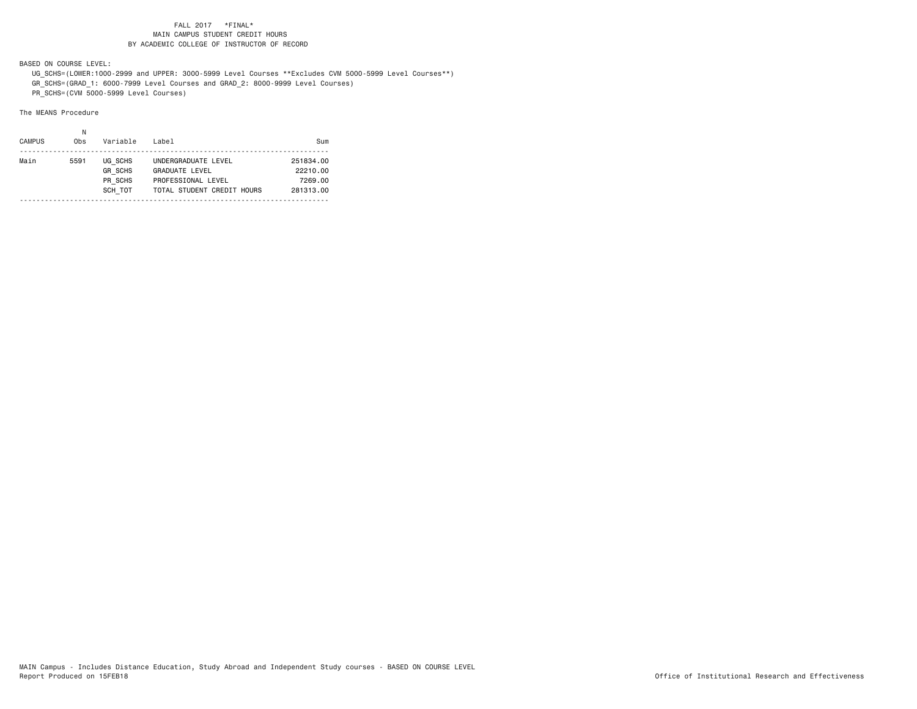BASED ON COURSE LEVEL:

 UG\_SCHS=(LOWER:1000-2999 and UPPER: 3000-5999 Level Courses \*\*Excludes CVM 5000-5999 Level Courses\*\*) GR\_SCHS=(GRAD\_1: 6000-7999 Level Courses and GRAD\_2: 8000-9999 Level Courses) PR\_SCHS=(CVM 5000-5999 Level Courses)

The MEANS Procedure

| <b>CAMPUS</b> | Obs  | Variable                                        | Label                                                                                            | Sum                                           |
|---------------|------|-------------------------------------------------|--------------------------------------------------------------------------------------------------|-----------------------------------------------|
| Main          | 5591 | UG SCHS<br><b>GR SCHS</b><br>PR SCHS<br>SCH TOT | UNDERGRADUATE LEVEL<br><b>GRADUATE LEVEL</b><br>PROFESSIONAL LEVEL<br>TOTAL STUDENT CREDIT HOURS | 251834.00<br>22210.00<br>7269.00<br>281313.00 |
|               |      |                                                 |                                                                                                  |                                               |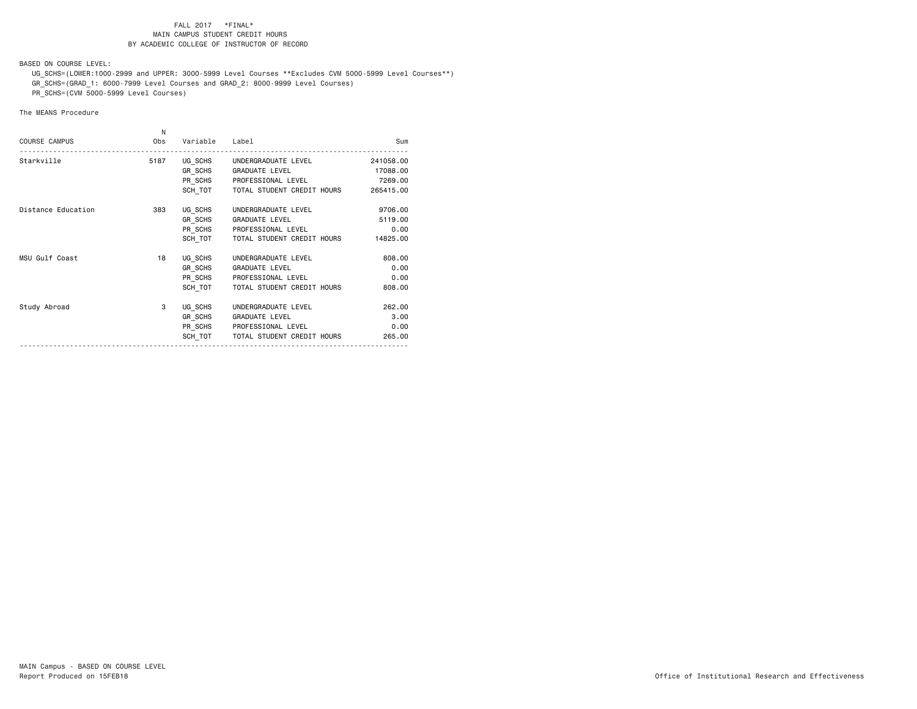BASED ON COURSE LEVEL:

 UG\_SCHS=(LOWER:1000-2999 and UPPER: 3000-5999 Level Courses \*\*Excludes CVM 5000-5999 Level Courses\*\*) GR\_SCHS=(GRAD\_1: 6000-7999 Level Courses and GRAD\_2: 8000-9999 Level Courses)

PR\_SCHS=(CVM 5000-5999 Level Courses)

# The MEANS Procedure

| <b>COURSE CAMPUS</b> | N<br>Obs | Variable Label |                                                       | Sum                   |
|----------------------|----------|----------------|-------------------------------------------------------|-----------------------|
| Starkville           | 5187     |                | UG SCHS UNDERGRADUATE LEVEL<br>GR SCHS GRADUATE LEVEL | 241058.00<br>17088.00 |
|                      |          |                | PR SCHS PROFESSIONAL LEVEL                            | 7269.00               |
|                      |          |                | SCH TOT TOTAL STUDENT CREDIT HOURS                    | 265415.00             |
| Distance Education   | 383      | UG SCHS        | UNDERGRADUATE LEVEL                                   | 9706.00               |
|                      |          | GR SCHS        | <b>GRADUATE LEVEL</b>                                 | 5119.00               |
|                      |          |                | PR SCHS PROFESSIONAL LEVEL                            | 0.00                  |
|                      |          | SCH TOT        | TOTAL STUDENT CREDIT HOURS                            | 14825.00              |
| MSU Gulf Coast       | 18       | UG SCHS        | UNDERGRADUATE LEVEL                                   | 808,00                |
|                      |          | GR SCHS        | <b>GRADUATE LEVEL</b>                                 | 0.00                  |
|                      |          | PR SCHS        | PROFESSIONAL LEVEL                                    | 0.00                  |
|                      |          | SCH TOT        | TOTAL STUDENT CREDIT HOURS                            | 808.00                |
| Study Abroad         | 3        | UG SCHS        | UNDERGRADUATE LEVEL                                   | 262,00                |
|                      |          | GR SCHS        | <b>GRADUATE LEVEL</b>                                 | 3.00                  |
|                      |          |                | PR SCHS PROFESSIONAL LEVEL                            | 0.00                  |
|                      |          | SCH TOT        | TOTAL STUDENT CREDIT HOURS                            | 265.00                |
|                      |          |                |                                                       |                       |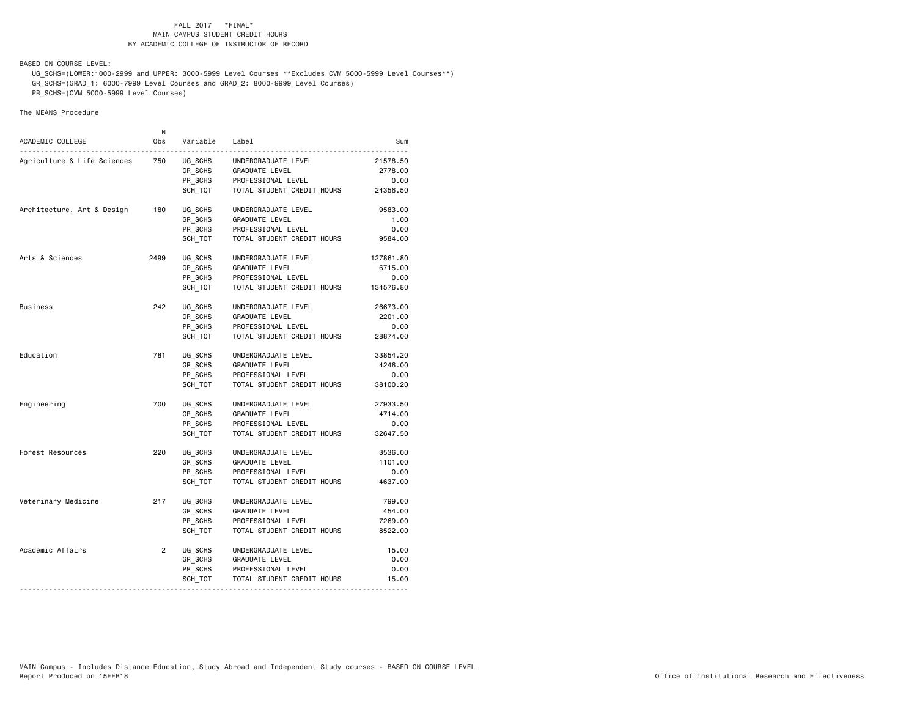BASED ON COURSE LEVEL:

The MEANS Procedure

 UG\_SCHS=(LOWER:1000-2999 and UPPER: 3000-5999 Level Courses \*\*Excludes CVM 5000-5999 Level Courses\*\*) GR\_SCHS=(GRAD\_1: 6000-7999 Level Courses and GRAD\_2: 8000-9999 Level Courses) PR SCHS=(CVM 5000-5999 Level Courses)

# NACADEMIC COLLEGE Obs Variable Label Sum---------------------------------------------------------------------------------------------Agriculture & Life Sciences 750 UG SCHS UNDERGRADUATE LEVEL 21578.50 GR\_SCHS GRADUATE LEVEL 2778.00 PROFESSIONAL LEVEL 0.00 SCH\_TOT TOTAL STUDENT CREDIT HOURS 24356.50 Architecture, Art & Design 180 UG SCHS UNDERGRADUATE LEVEL 9583.00 GR\_SCHS GRADUATE LEVEL 1.00 PR\_SCHS PROFESSIONAL LEVEL 0.00 SCH\_TOT TOTAL STUDENT CREDIT HOURS 9584.00 Arts & Sciences 2499 UG\_SCHS UNDERGRADUATE LEVEL 127861.80<br>GR\_SCHS GRADUATE LEVEL 6715.00 GRADUATE LEVEL 6715.00 PR\_SCHS PROFESSIONAL LEVEL 0.00 SCH\_TOT TOTAL STUDENT CREDIT HOURS 134576.80 Business 242 UG\_SCHS UNDERGRADUATE LEVEL 26673.00 GR SCHS GRADUATE LEVEL 2201.00 PR\_SCHS PROFESSIONAL LEVEL 0.00 SCH\_TOT TOTAL STUDENT CREDIT HOURS 28874.00 Education 781 UG\_SCHS UNDERGRADUATE LEVEL 33854.20 GR\_SCHS GRADUATE LEVEL 4246.00 PR\_SCHS PROFESSIONAL LEVEL 0.00 SCH\_TOT TOTAL STUDENT CREDIT HOURS 38100.20 Engineering 700 VG SCHS UNDERGRADUATE LEVEL 27933.50 GR\_SCHS GRADUATE LEVEL 4714.00 PR\_SCHS PROFESSIONAL LEVEL 0.00 SCH\_TOT TOTAL STUDENT CREDIT HOURS 32647.50 Forest Resources 220 UG SCHS UNDERGRADUATE LEVEL 3536.00 GR\_SCHS GRADUATE LEVEL 1101.00 PR\_SCHS PROFESSIONAL LEVEL 0.00 SCH\_TOT TOTAL STUDENT CREDIT HOURS 4637.00 Veterinary Medicine 217 UG SCHS UNDERGRADUATE LEVEL 799.00 GR SCHS GRADUATE LEVEL 454.00 PR\_SCHS PROFESSIONAL LEVEL 7269.00 SCH\_TOT TOTAL STUDENT CREDIT HOURS 8522.00 Academic Affairs  $\overline{2}$  UG SCHS UNDERGRADUATE LEVEL  $\overline{15.00}$ GR\_SCHS GRADUATE LEVEL 0.00 PR\_SCHS PROFESSIONAL LEVEL 0.00 SCH\_TOT TOTAL STUDENT CREDIT HOURS 15.00 ---------------------------------------------------------------------------------------------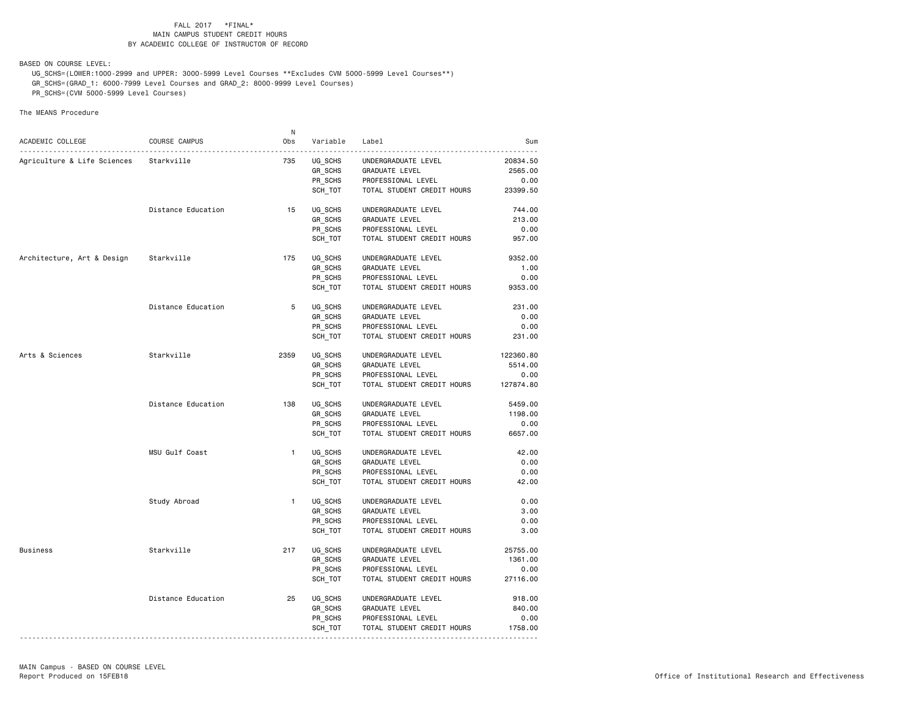BASED ON COURSE LEVEL:

 UG\_SCHS=(LOWER:1000-2999 and UPPER: 3000-5999 Level Courses \*\*Excludes CVM 5000-5999 Level Courses\*\*) GR\_SCHS=(GRAD\_1: 6000-7999 Level Courses and GRAD\_2: 8000-9999 Level Courses) PR\_SCHS=(CVM 5000-5999 Level Courses)

The MEANS Procedure

|                                       |                    | N            |          |                                      |           |
|---------------------------------------|--------------------|--------------|----------|--------------------------------------|-----------|
| ACADEMIC COLLEGE                      | COURSE CAMPUS      | Obs          | Variable | Label                                | Sum<br>.  |
| Agriculture & Life Sciences           | Starkville         | 735          | UG SCHS  | UNDERGRADUATE LEVEL                  | 20834.50  |
|                                       |                    |              | GR_SCHS  | GRADUATE LEVEL                       | 2565.00   |
|                                       |                    |              | PR SCHS  | PROFESSIONAL LEVEL                   | 0.00      |
|                                       |                    |              | SCH_TOT  | TOTAL STUDENT CREDIT HOURS           | 23399.50  |
|                                       |                    |              |          |                                      |           |
|                                       | Distance Education | 15           | UG_SCHS  | UNDERGRADUATE LEVEL                  | 744.00    |
|                                       |                    |              | GR_SCHS  | GRADUATE LEVEL                       | 213.00    |
|                                       |                    |              | PR_SCHS  | PROFESSIONAL LEVEL                   | 0.00      |
|                                       |                    |              | SCH TOT  | TOTAL STUDENT CREDIT HOURS           | 957.00    |
| Architecture, Art & Design Starkville |                    | 175          | UG_SCHS  | UNDERGRADUATE LEVEL                  | 9352.00   |
|                                       |                    |              | GR_SCHS  | GRADUATE LEVEL                       | 1.00      |
|                                       |                    |              | PR_SCHS  | PROFESSIONAL LEVEL                   | 0.00      |
|                                       |                    |              | SCH TOT  | TOTAL STUDENT CREDIT HOURS           | 9353.00   |
|                                       | Distance Education | 5            | UG_SCHS  | UNDERGRADUATE LEVEL                  | 231.00    |
|                                       |                    |              | GR SCHS  | GRADUATE LEVEL                       | 0.00      |
|                                       |                    |              | PR_SCHS  | PROFESSIONAL LEVEL                   | 0.00      |
|                                       |                    |              | SCH_TOT  | TOTAL STUDENT CREDIT HOURS           | 231.00    |
| Arts & Sciences                       | Starkville         | 2359         | UG SCHS  | UNDERGRADUATE LEVEL                  | 122360.80 |
|                                       |                    |              | GR_SCHS  | GRADUATE LEVEL                       | 5514.00   |
|                                       |                    |              | PR_SCHS  | PROFESSIONAL LEVEL                   | 0.00      |
|                                       |                    |              | SCH TOT  | TOTAL STUDENT CREDIT HOURS 127874.80 |           |
|                                       | Distance Education | 138          | UG SCHS  | UNDERGRADUATE LEVEL                  | 5459.00   |
|                                       |                    |              | GR_SCHS  | GRADUATE LEVEL                       | 1198.00   |
|                                       |                    |              | PR SCHS  | PROFESSIONAL LEVEL                   | 0.00      |
|                                       |                    |              | SCH TOT  | TOTAL STUDENT CREDIT HOURS           | 6657.00   |
|                                       | MSU Gulf Coast     | $\mathbf{1}$ | UG_SCHS  | UNDERGRADUATE LEVEL                  | 42.00     |
|                                       |                    |              | GR_SCHS  | GRADUATE LEVEL                       | 0.00      |
|                                       |                    |              | PR SCHS  | PROFESSIONAL LEVEL                   | 0.00      |
|                                       |                    |              | SCH TOT  | TOTAL STUDENT CREDIT HOURS           | 42.00     |
|                                       | Study Abroad       | $\mathbf{1}$ | UG SCHS  | UNDERGRADUATE LEVEL                  | 0.00      |
|                                       |                    |              | GR_SCHS  | GRADUATE LEVEL                       | 3.00      |
|                                       |                    |              | PR SCHS  | PROFESSIONAL LEVEL                   | 0.00      |
|                                       |                    |              | SCH_TOT  | TOTAL STUDENT CREDIT HOURS           | 3.00      |
| Business                              | Starkville         | 217          | UG SCHS  | UNDERGRADUATE LEVEL                  | 25755.00  |
|                                       |                    |              | GR_SCHS  | GRADUATE LEVEL                       | 1361.00   |
|                                       |                    |              | PR SCHS  | PROFESSIONAL LEVEL                   | 0.00      |
|                                       |                    |              | SCH_TOT  | TOTAL STUDENT CREDIT HOURS           | 27116.00  |
|                                       | Distance Education | 25           | UG_SCHS  | UNDERGRADUATE LEVEL                  | 918.00    |
|                                       |                    |              | GR_SCHS  | GRADUATE LEVEL                       | 840.00    |
|                                       |                    |              | PR SCHS  | PROFESSIONAL LEVEL                   | 0.00      |
|                                       |                    |              | SCH_TOT  | TOTAL STUDENT CREDIT HOURS           | 1758.00   |
|                                       |                    |              |          |                                      |           |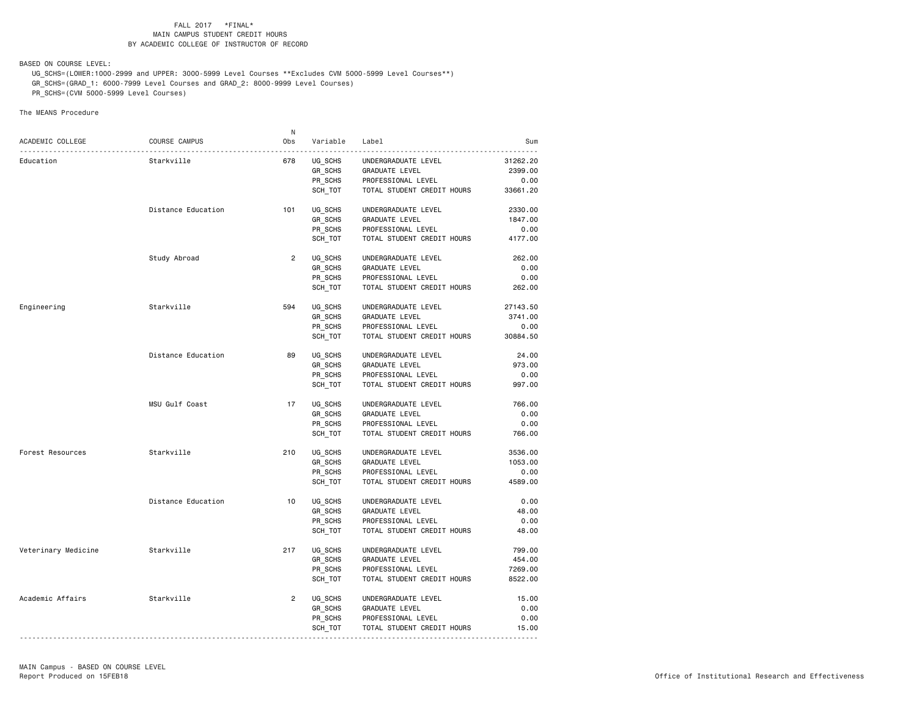BASED ON COURSE LEVEL:

 UG\_SCHS=(LOWER:1000-2999 and UPPER: 3000-5999 Level Courses \*\*Excludes CVM 5000-5999 Level Courses\*\*) GR\_SCHS=(GRAD\_1: 6000-7999 Level Courses and GRAD\_2: 8000-9999 Level Courses) PR\_SCHS=(CVM 5000-5999 Level Courses)

The MEANS Procedure

|                     |                    | N.             |          |                                                  |                 |
|---------------------|--------------------|----------------|----------|--------------------------------------------------|-----------------|
| ACADEMIC COLLEGE    | COURSE CAMPUS      | Obs            | Variable | Label                                            | Sum             |
| Education           | Starkville         | 678            | UG SCHS  | UNDERGRADUATE LEVEL                              | 31262.20        |
|                     |                    |                | GR_SCHS  | GRADUATE LEVEL                                   | 2399.00         |
|                     |                    |                | PR SCHS  | PROFESSIONAL LEVEL                               | 0.00            |
|                     |                    |                | SCH_TOT  | TOTAL STUDENT CREDIT HOURS                       | 33661.20        |
|                     |                    |                |          |                                                  |                 |
|                     | Distance Education | 101            | UG_SCHS  | UNDERGRADUATE LEVEL                              | 2330.00         |
|                     |                    |                | GR_SCHS  | <b>GRADUATE LEVEL</b>                            | 1847.00         |
|                     |                    |                | PR SCHS  | PROFESSIONAL LEVEL<br>TOTAL STUDENT CREDIT HOURS | 0.00<br>4177.00 |
|                     |                    |                | SCH_TOT  |                                                  |                 |
|                     | Study Abroad       | $\overline{2}$ | UG_SCHS  | UNDERGRADUATE LEVEL                              | 262.00          |
|                     |                    |                | GR_SCHS  | GRADUATE LEVEL                                   | 0.00            |
|                     |                    |                | PR SCHS  | PROFESSIONAL LEVEL                               | 0.00            |
|                     |                    |                | SCH_TOT  | TOTAL STUDENT CREDIT HOURS                       | 262.00          |
| Engineering         | Starkville         | 594            | UG SCHS  | UNDERGRADUATE LEVEL                              | 27143.50        |
|                     |                    |                | GR SCHS  | GRADUATE LEVEL                                   | 3741.00         |
|                     |                    |                | PR_SCHS  | PROFESSIONAL LEVEL                               | 0.00            |
|                     |                    |                | SCH_TOT  | TOTAL STUDENT CREDIT HOURS                       | 30884.50        |
|                     | Distance Education | 89             | UG SCHS  | UNDERGRADUATE LEVEL                              | 24.00           |
|                     |                    |                | GR SCHS  | GRADUATE LEVEL                                   | 973.00          |
|                     |                    |                | PR_SCHS  | PROFESSIONAL LEVEL                               | 0.00            |
|                     |                    |                | SCH_TOT  | TOTAL STUDENT CREDIT HOURS                       | 997.00          |
|                     |                    |                |          |                                                  |                 |
|                     | MSU Gulf Coast     | 17             | UG SCHS  | UNDERGRADUATE LEVEL                              | 766.00          |
|                     |                    |                | GR_SCHS  | <b>GRADUATE LEVEL</b>                            | 0.00            |
|                     |                    |                | PR SCHS  | PROFESSIONAL LEVEL                               | 0.00<br>766.00  |
|                     |                    |                | SCH TOT  | TOTAL STUDENT CREDIT HOURS                       |                 |
| Forest Resources    | Starkville         | 210            | UG_SCHS  | UNDERGRADUATE LEVEL                              | 3536.00         |
|                     |                    |                | GR SCHS  | <b>GRADUATE LEVEL</b>                            | 1053.00         |
|                     |                    |                | PR SCHS  | PROFESSIONAL LEVEL                               | 0.00            |
|                     |                    |                | SCH TOT  | TOTAL STUDENT CREDIT HOURS                       | 4589.00         |
|                     | Distance Education | 10             | UG SCHS  | UNDERGRADUATE LEVEL                              | 0.00            |
|                     |                    |                | GR_SCHS  | GRADUATE LEVEL                                   | 48.00           |
|                     |                    |                | PR SCHS  | PROFESSIONAL LEVEL                               | 0.00            |
|                     |                    |                | SCH_TOT  | TOTAL STUDENT CREDIT HOURS                       | 48.00           |
| Veterinary Medicine | Starkville         | 217            | UG SCHS  | UNDERGRADUATE LEVEL                              | 799.00          |
|                     |                    |                | GR_SCHS  | GRADUATE LEVEL                                   | 454.00          |
|                     |                    |                | PR SCHS  | PROFESSIONAL LEVEL                               | 7269.00         |
|                     |                    |                | SCH_TOT  | TOTAL STUDENT CREDIT HOURS                       | 8522.00         |
| Academic Affairs    | Starkville         | $\overline{2}$ | UG_SCHS  | UNDERGRADUATE LEVEL                              | 15.00           |
|                     |                    |                | GR_SCHS  | GRADUATE LEVEL                                   | 0.00            |
|                     |                    |                | PR SCHS  | PROFESSIONAL LEVEL                               | 0.00            |
|                     |                    |                | SCH_TOT  | TOTAL STUDENT CREDIT HOURS                       | 15.00           |
|                     |                    |                |          |                                                  |                 |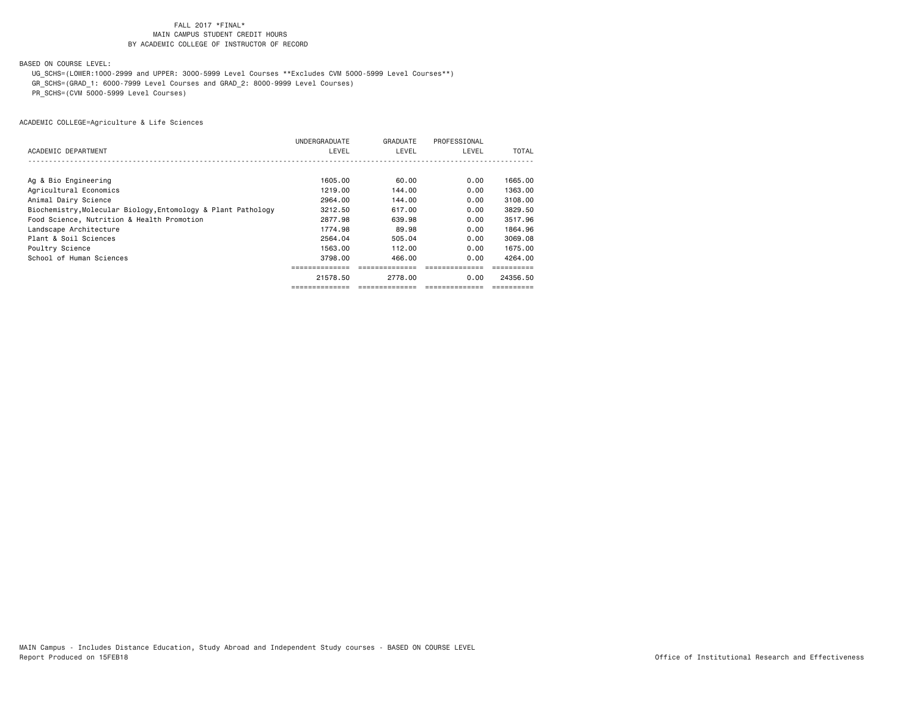BASED ON COURSE LEVEL:

 UG\_SCHS=(LOWER:1000-2999 and UPPER: 3000-5999 Level Courses \*\*Excludes CVM 5000-5999 Level Courses\*\*) GR\_SCHS=(GRAD\_1: 6000-7999 Level Courses and GRAD\_2: 8000-9999 Level Courses) PR\_SCHS=(CVM 5000-5999 Level Courses)

|                                                               | UNDERGRADUATE | GRADUATE | PROFESSIONAL |          |
|---------------------------------------------------------------|---------------|----------|--------------|----------|
| ACADEMIC DEPARTMENT                                           | LEVEL         | LEVEL    | LEVEL        | TOTAL    |
|                                                               |               |          |              |          |
|                                                               |               |          |              |          |
| Ag & Bio Engineering                                          | 1605.00       | 60.00    | 0.00         | 1665.00  |
| Agricultural Economics                                        | 1219.00       | 144.00   | 0.00         | 1363.00  |
| Animal Dairy Science                                          | 2964.00       | 144.00   | 0.00         | 3108.00  |
| Biochemistry, Molecular Biology, Entomology & Plant Pathology | 3212.50       | 617,00   | 0.00         | 3829.50  |
| Food Science, Nutrition & Health Promotion                    | 2877.98       | 639.98   | 0.00         | 3517.96  |
| Landscape Architecture                                        | 1774.98       | 89.98    | 0.00         | 1864.96  |
| Plant & Soil Sciences                                         | 2564.04       | 505.04   | 0.00         | 3069.08  |
| Poultry Science                                               | 1563.00       | 112.00   | 0.00         | 1675.00  |
| School of Human Sciences                                      | 3798.00       | 466,00   | 0.00         | 4264.00  |
|                                                               |               |          |              |          |
|                                                               | 21578.50      | 2778.00  | 0.00         | 24356.50 |
|                                                               |               |          |              |          |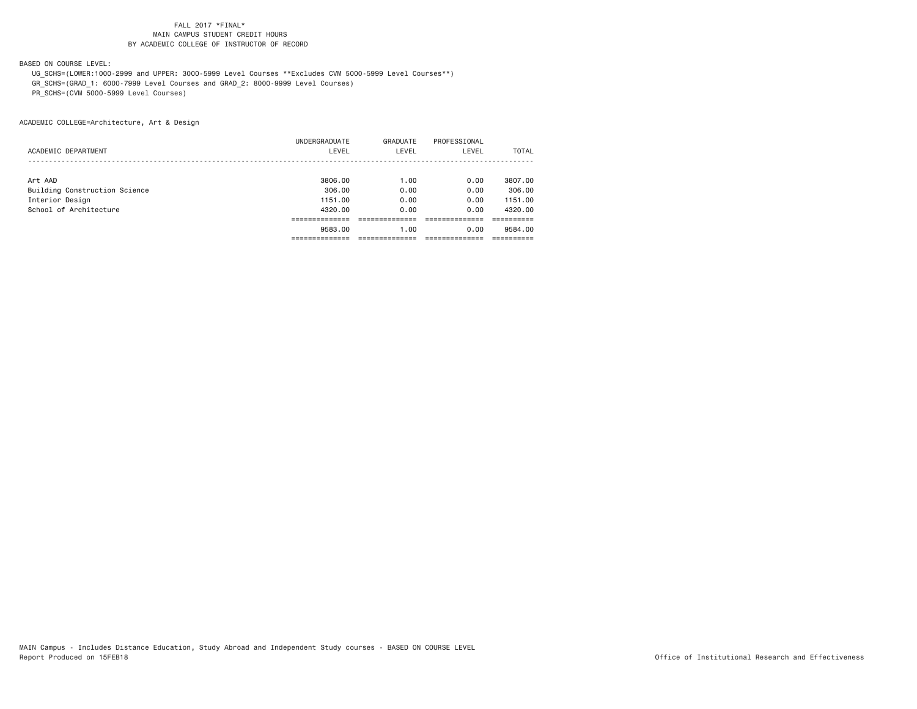BASED ON COURSE LEVEL:

 UG\_SCHS=(LOWER:1000-2999 and UPPER: 3000-5999 Level Courses \*\*Excludes CVM 5000-5999 Level Courses\*\*) GR\_SCHS=(GRAD\_1: 6000-7999 Level Courses and GRAD\_2: 8000-9999 Level Courses) PR\_SCHS=(CVM 5000-5999 Level Courses)

ACADEMIC COLLEGE=Architecture, Art & Design

|                               | UNDERGRADUATE | GRADUATE | PROFESSIONAL |              |
|-------------------------------|---------------|----------|--------------|--------------|
| ACADEMIC DEPARTMENT           | LEVEL         | LEVEL    | LEVEL        | <b>TOTAL</b> |
|                               |               |          |              |              |
| Art AAD                       | 3806.00       | 1.00     | 0.00         | 3807.00      |
| Building Construction Science | 306,00        | 0.00     | 0.00         | 306,00       |
| Interior Design               | 1151.00       | 0.00     | 0.00         | 1151.00      |
| School of Architecture        | 4320.00       | 0.00     | 0.00         | 4320.00      |
|                               |               |          |              |              |
|                               | 9583.00       | 1.00     | 0.00         | 9584.00      |
|                               |               |          |              |              |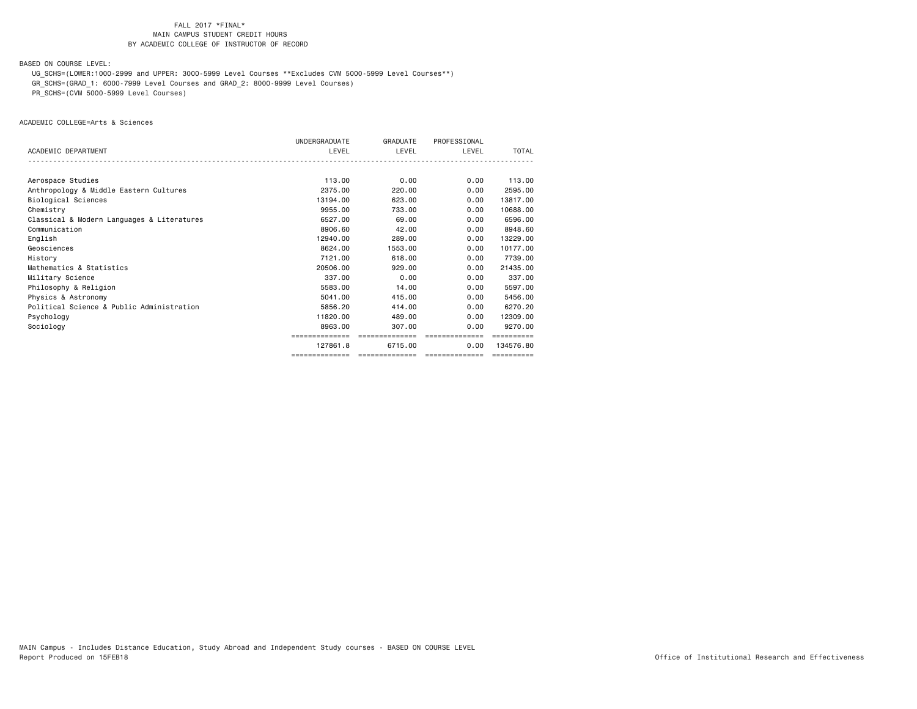BASED ON COURSE LEVEL:

 UG\_SCHS=(LOWER:1000-2999 and UPPER: 3000-5999 Level Courses \*\*Excludes CVM 5000-5999 Level Courses\*\*) GR\_SCHS=(GRAD\_1: 6000-7999 Level Courses and GRAD\_2: 8000-9999 Level Courses)

PR\_SCHS=(CVM 5000-5999 Level Courses)

ACADEMIC COLLEGE=Arts & Sciences

|                                            | UNDERGRADUATE  | GRADUATE                         | PROFESSIONAL   |            |
|--------------------------------------------|----------------|----------------------------------|----------------|------------|
| ACADEMIC DEPARTMENT                        | LEVEL          | LEVEL                            | LEVEL          | TOTAL      |
|                                            |                |                                  |                |            |
| Aerospace Studies                          | 113,00         | 0.00                             | 0.00           | 113.00     |
| Anthropology & Middle Eastern Cultures     | 2375.00        | 220,00                           | 0.00           | 2595.00    |
| Biological Sciences                        | 13194.00       | 623,00                           | 0.00           | 13817,00   |
| Chemistry                                  | 9955,00        | 733,00                           | 0.00           | 10688,00   |
| Classical & Modern Languages & Literatures | 6527.00        | 69.00                            | 0.00           | 6596.00    |
| Communication                              | 8906.60        | 42.00                            | 0.00           | 8948.60    |
| English                                    | 12940.00       | 289,00                           | 0.00           | 13229.00   |
| Geosciences                                | 8624.00        | 1553.00                          | 0.00           | 10177.00   |
| History                                    | 7121.00        | 618,00                           | 0.00           | 7739.00    |
| Mathematics & Statistics                   | 20506.00       | 929,00                           | 0.00           | 21435.00   |
| Military Science                           | 337,00         | 0.00                             | 0.00           | 337.00     |
| Philosophy & Religion                      | 5583.00        | 14.00                            | 0.00           | 5597.00    |
| Physics & Astronomy                        | 5041.00        | 415,00                           | 0.00           | 5456.00    |
| Political Science & Public Administration  | 5856.20        | 414.00                           | 0.00           | 6270.20    |
| Psychology                                 | 11820.00       | 489,00                           | 0.00           | 12309.00   |
| Sociology                                  | 8963.00        | 307.00                           | 0.00           | 9270.00    |
|                                            | ,-----------   | ==============                   | ============== |            |
|                                            | 127861.8       | 6715.00                          | 0.00           | 134576.80  |
|                                            | ============== | -------------------------------- |                | ========== |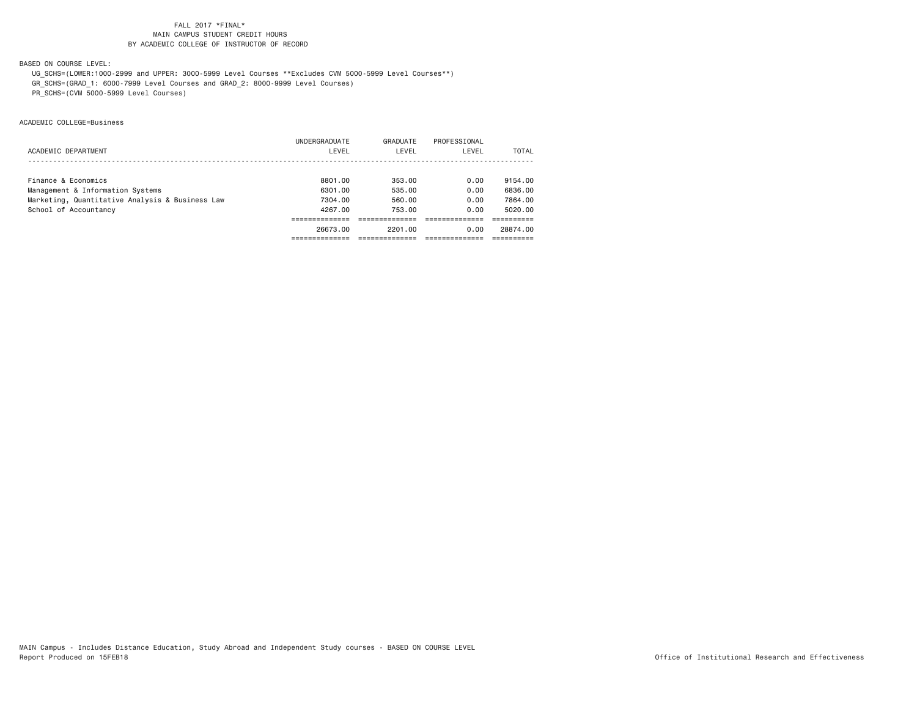BASED ON COURSE LEVEL:

 UG\_SCHS=(LOWER:1000-2999 and UPPER: 3000-5999 Level Courses \*\*Excludes CVM 5000-5999 Level Courses\*\*) GR\_SCHS=(GRAD\_1: 6000-7999 Level Courses and GRAD\_2: 8000-9999 Level Courses) PR\_SCHS=(CVM 5000-5999 Level Courses)

ACADEMIC COLLEGE=Business

|                                                 | UNDERGRADUATE | GRADUATE | PROFESSIONAL |          |
|-------------------------------------------------|---------------|----------|--------------|----------|
| ACADEMIC DEPARTMENT                             | LEVEL         | LEVEL    | LEVEL        | TOTAL    |
|                                                 |               |          |              |          |
| Finance & Economics                             | 8801.00       | 353.00   | 0.00         | 9154.00  |
| Management & Information Systems                | 6301.00       | 535.00   | 0.00         | 6836.00  |
| Marketing, Quantitative Analysis & Business Law | 7304.00       | 560.00   | 0.00         | 7864.00  |
| School of Accountancy                           | 4267.00       | 753.00   | 0.00         | 5020.00  |
|                                                 |               |          |              |          |
|                                                 | 26673.00      | 2201.00  | 0.00         | 28874.00 |
|                                                 |               |          |              |          |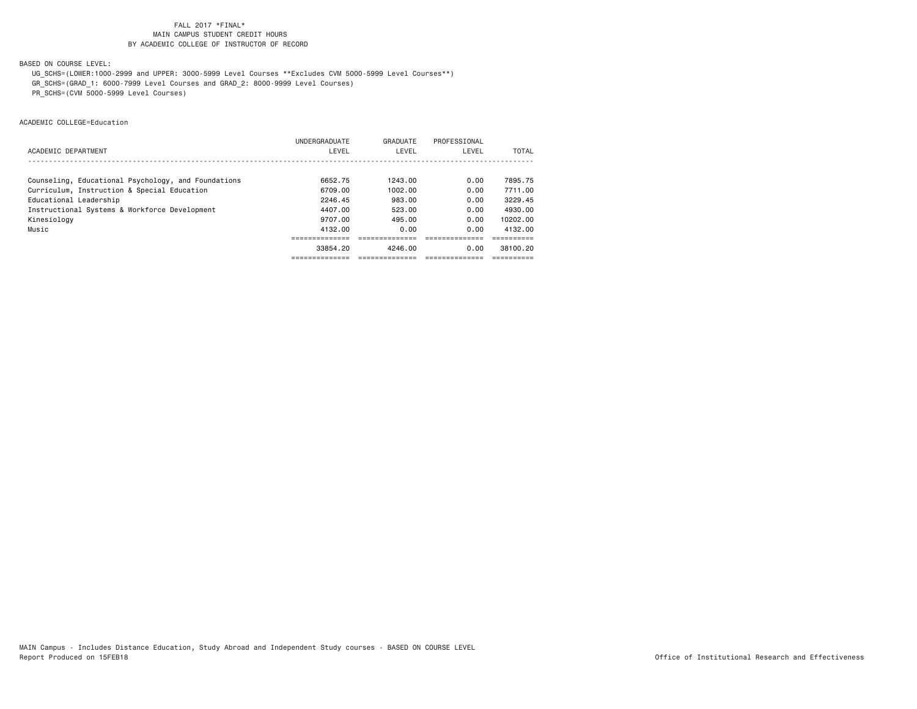BASED ON COURSE LEVEL:

 UG\_SCHS=(LOWER:1000-2999 and UPPER: 3000-5999 Level Courses \*\*Excludes CVM 5000-5999 Level Courses\*\*) GR\_SCHS=(GRAD\_1: 6000-7999 Level Courses and GRAD\_2: 8000-9999 Level Courses) PR\_SCHS=(CVM 5000-5999 Level Courses)

ACADEMIC COLLEGE=Education

|                                                     | UNDERGRADUATE | GRADUATE | PROFESSIONAL |          |
|-----------------------------------------------------|---------------|----------|--------------|----------|
| ACADEMIC DEPARTMENT                                 | LEVEL         | LEVEL    | LEVEL        | TOTAL    |
|                                                     |               |          |              |          |
| Counseling, Educational Psychology, and Foundations | 6652.75       | 1243.00  | 0.00         | 7895.75  |
| Curriculum, Instruction & Special Education         | 6709.00       | 1002.00  | 0.00         | 7711.00  |
| Educational Leadership                              | 2246.45       | 983.00   | 0.00         | 3229.45  |
| Instructional Systems & Workforce Development       | 4407.00       | 523.00   | 0.00         | 4930.00  |
| Kinesiology                                         | 9707.00       | 495.00   | 0.00         | 10202.00 |
| Music                                               | 4132.00       | 0.00     | 0.00         | 4132.00  |
|                                                     |               |          |              |          |
|                                                     | 33854.20      | 4246.00  | 0.00         | 38100.20 |
|                                                     |               |          |              |          |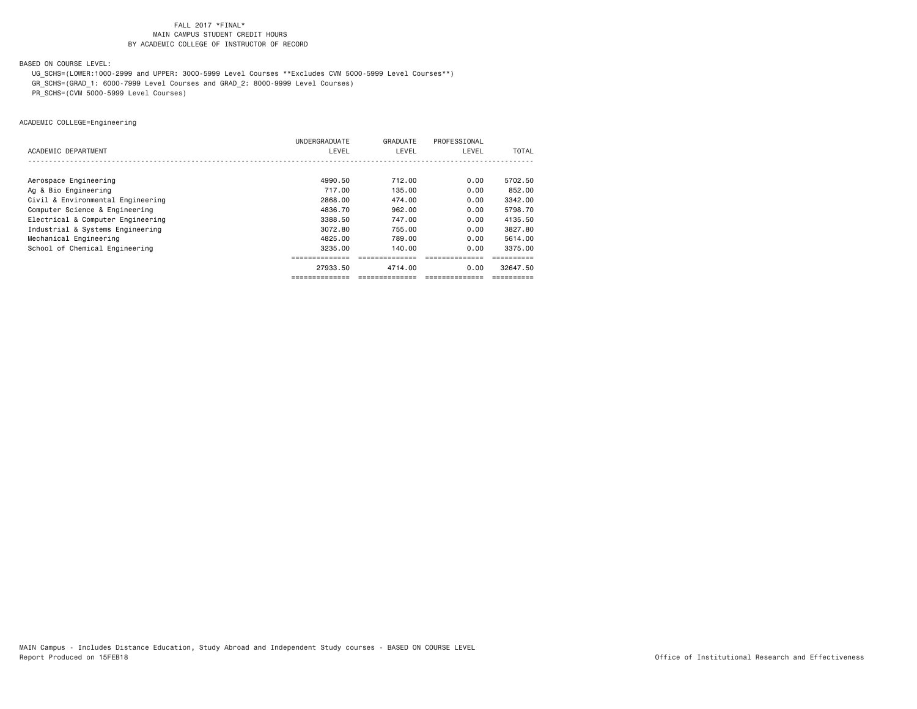BASED ON COURSE LEVEL:

 UG\_SCHS=(LOWER:1000-2999 and UPPER: 3000-5999 Level Courses \*\*Excludes CVM 5000-5999 Level Courses\*\*) GR\_SCHS=(GRAD\_1: 6000-7999 Level Courses and GRAD\_2: 8000-9999 Level Courses)

PR\_SCHS=(CVM 5000-5999 Level Courses)

ACADEMIC COLLEGE=Engineering

|                                   | UNDERGRADUATE | GRADUATE      | PROFESSIONAL   |              |
|-----------------------------------|---------------|---------------|----------------|--------------|
| ACADEMIC DEPARTMENT               | LEVEL         | LEVEL         | LEVEL          | <b>TOTAL</b> |
|                                   |               |               |                |              |
| Aerospace Engineering             | 4990.50       | 712.00        | 0.00           | 5702.50      |
| Ag & Bio Engineering              | 717.00        | 135.00        | 0.00           | 852,00       |
| Civil & Environmental Engineering | 2868.00       | 474.00        | 0.00           | 3342.00      |
| Computer Science & Engineering    | 4836.70       | 962.00        | 0.00           | 5798.70      |
| Electrical & Computer Engineering | 3388.50       | 747.00        | 0.00           | 4135.50      |
| Industrial & Systems Engineering  | 3072.80       | 755.00        | 0.00           | 3827.80      |
| Mechanical Engineering            | 4825.00       | 789.00        | 0.00           | 5614.00      |
| School of Chemical Engineering    | 3235.00       | 140.00        | 0.00           | 3375.00      |
|                                   |               |               |                |              |
|                                   | 27933.50      | 4714.00       | 0.00           | 32647.50     |
|                                   |               | ============= | -------------- |              |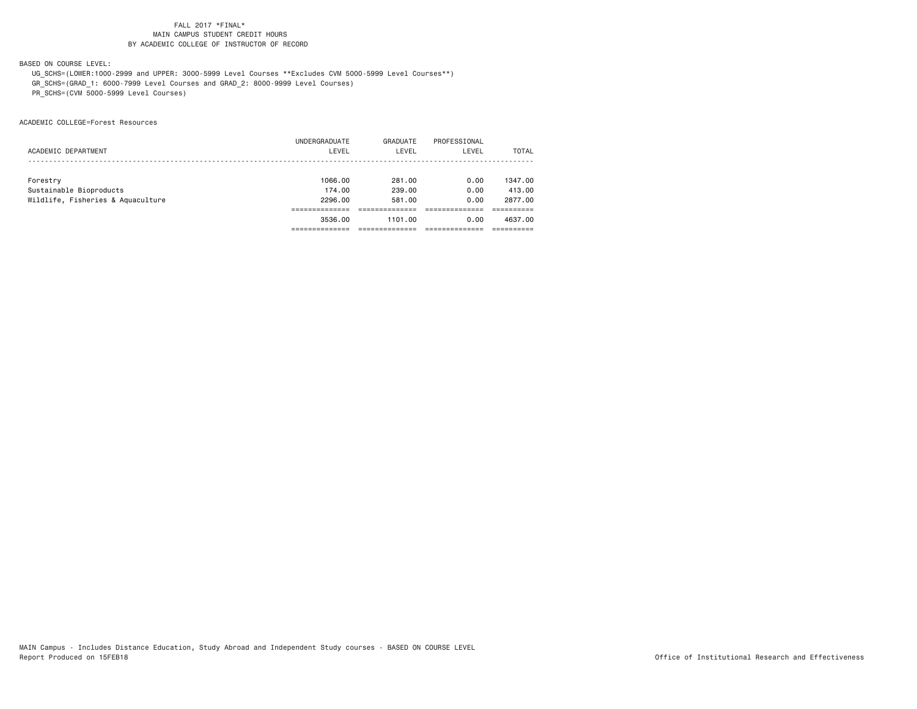BASED ON COURSE LEVEL:

 UG\_SCHS=(LOWER:1000-2999 and UPPER: 3000-5999 Level Courses \*\*Excludes CVM 5000-5999 Level Courses\*\*) GR\_SCHS=(GRAD\_1: 6000-7999 Level Courses and GRAD\_2: 8000-9999 Level Courses) PR\_SCHS=(CVM 5000-5999 Level Courses)

ACADEMIC COLLEGE=Forest Resources

|                                   | UNDERGRADUATE | GRADUATE | PROFESSIONAL |         |
|-----------------------------------|---------------|----------|--------------|---------|
| ACADEMIC DEPARTMENT               | LEVEL         | LEVEL    | LEVEL        | TOTAL   |
|                                   |               |          |              |         |
| Forestry                          | 1066.00       | 281.00   | 0.00         | 1347,00 |
|                                   |               |          |              |         |
| Sustainable Bioproducts           | 174.00        | 239,00   | 0.00         | 413,00  |
| Wildlife, Fisheries & Aquaculture | 2296.00       | 581,00   | 0.00         | 2877.00 |
|                                   |               |          |              |         |
|                                   | 3536.00       | 1101.00  | 0.00         | 4637.00 |
|                                   |               |          |              |         |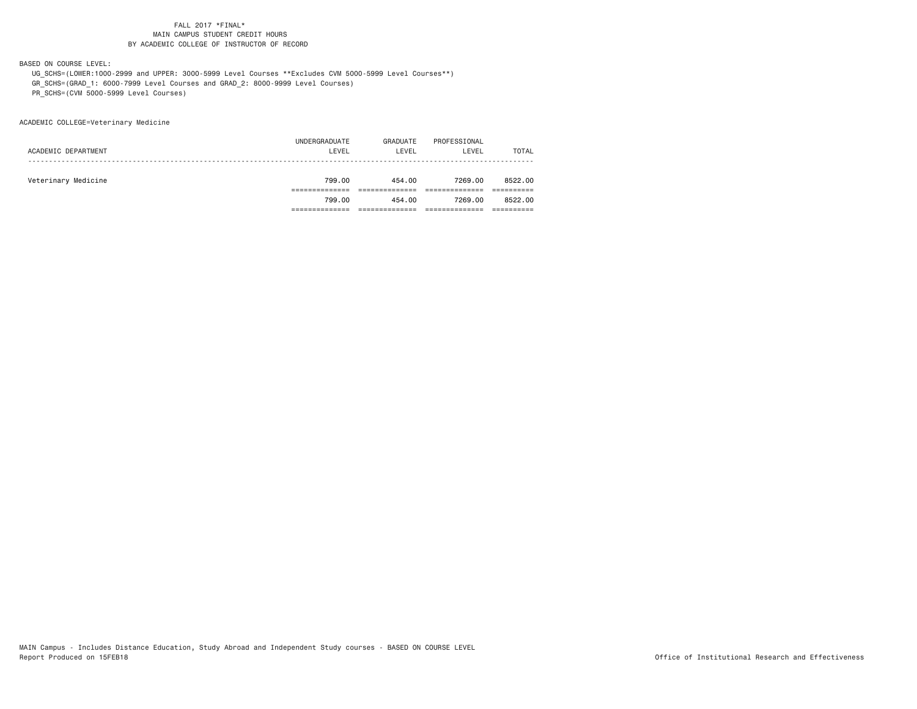BASED ON COURSE LEVEL:

 UG\_SCHS=(LOWER:1000-2999 and UPPER: 3000-5999 Level Courses \*\*Excludes CVM 5000-5999 Level Courses\*\*) GR\_SCHS=(GRAD\_1: 6000-7999 Level Courses and GRAD\_2: 8000-9999 Level Courses) PR\_SCHS=(CVM 5000-5999 Level Courses)

ACADEMIC COLLEGE=Veterinary Medicine

|                     | 799.00        | 454.00   | 7269.00      | 8522.00      |
|---------------------|---------------|----------|--------------|--------------|
|                     |               |          |              |              |
| Veterinary Medicine | 799.00        | 454.00   | 7269.00      | 8522.00      |
|                     |               |          |              |              |
| ACADEMIC DEPARTMENT | LEVEL         | LEVEL    | LEVEL        | <b>TOTAL</b> |
|                     | UNDERGRADUATE | GRADUATE | PROFESSIONAL |              |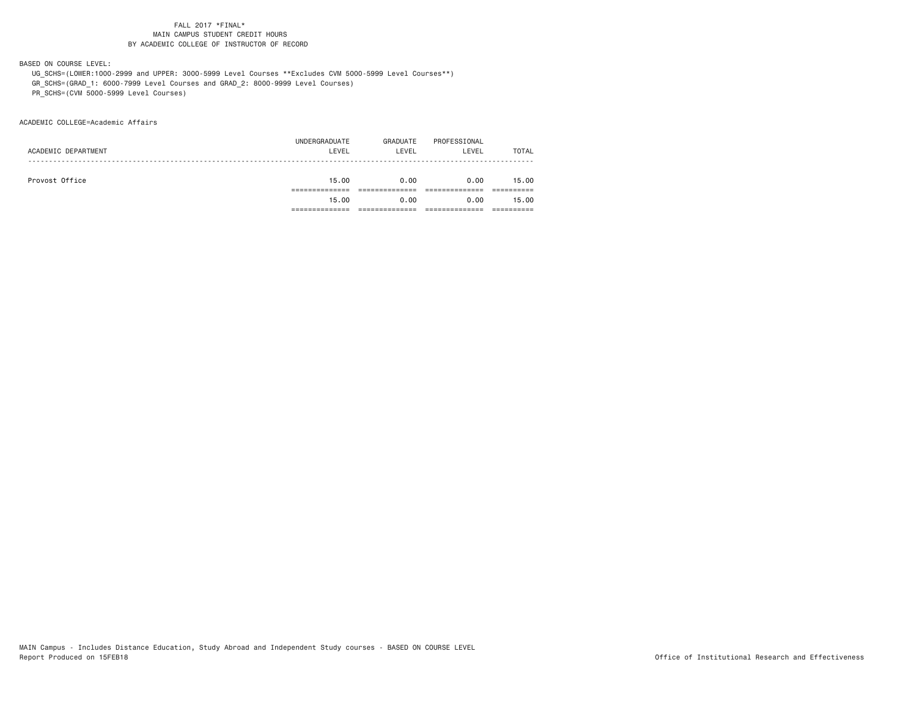BASED ON COURSE LEVEL:

 UG\_SCHS=(LOWER:1000-2999 and UPPER: 3000-5999 Level Courses \*\*Excludes CVM 5000-5999 Level Courses\*\*) GR\_SCHS=(GRAD\_1: 6000-7999 Level Courses and GRAD\_2: 8000-9999 Level Courses) PR\_SCHS=(CVM 5000-5999 Level Courses)

ACADEMIC COLLEGE=Academic Affairs

|                     | 15.00         | 0.00     | 0.00         | 15.00        |
|---------------------|---------------|----------|--------------|--------------|
|                     |               |          |              |              |
| Provost Office      | 15.00         | 0.00     | 0.00         | 15.00        |
|                     |               |          |              |              |
| ACADEMIC DEPARTMENT | LEVEL         | LEVEL    | LEVEL        | <b>TOTAL</b> |
|                     | UNDERGRADUATE | GRADUATE | PROFESSIONAL |              |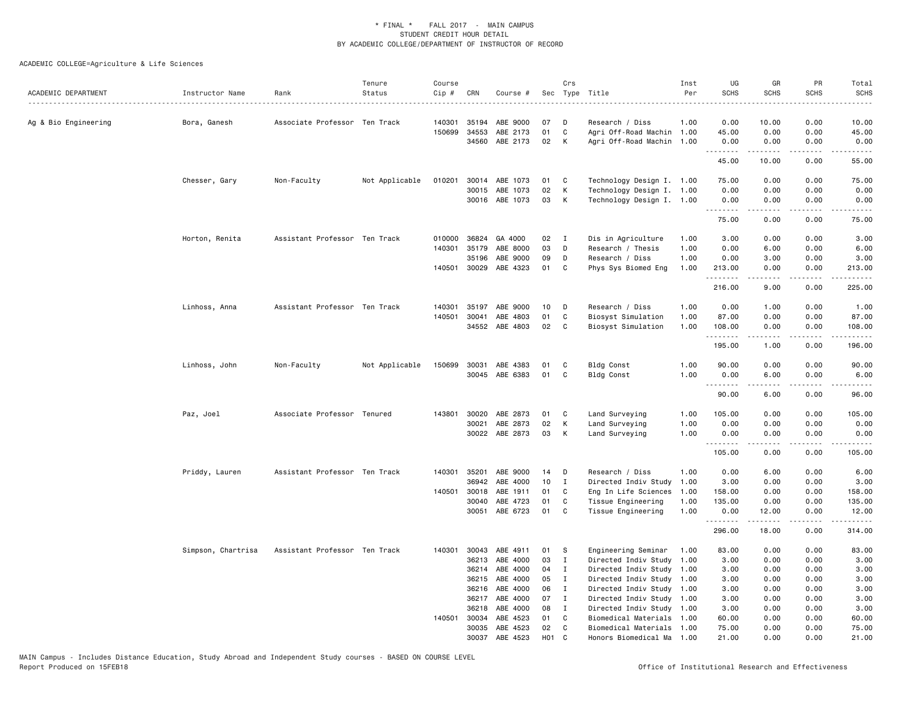| ACADEMIC DEPARTMENT  | Instructor Name    | Rank                          | Tenure<br>Status | Course<br>Cip # | CRN            | Course #             |                  | Crs            | Sec Type Title            | Inst<br>Per | UG<br><b>SCHS</b> | GR<br><b>SCHS</b>                                                                                                                                             | PR<br><b>SCHS</b>            | Total<br><b>SCHS</b>    |
|----------------------|--------------------|-------------------------------|------------------|-----------------|----------------|----------------------|------------------|----------------|---------------------------|-------------|-------------------|---------------------------------------------------------------------------------------------------------------------------------------------------------------|------------------------------|-------------------------|
| Ag & Bio Engineering | Bora, Ganesh       | Associate Professor Ten Track |                  | 140301          | 35194          | ABE 9000             | 07               | D              | Research / Diss           | 1.00        | 0.00              | 10.00                                                                                                                                                         | 0.00                         | 10.00                   |
|                      |                    |                               |                  | 150699          | 34553          | ABE 2173             | 01               | C              | Agri Off-Road Machin 1.00 |             | 45.00             | 0.00                                                                                                                                                          | 0.00                         | 45.00                   |
|                      |                    |                               |                  |                 | 34560          | ABE 2173             | 02               | К              | Agri Off-Road Machin 1.00 |             | 0.00              | 0.00                                                                                                                                                          | 0.00<br>.                    | 0.00                    |
|                      |                    |                               |                  |                 |                |                      |                  |                |                           |             | .<br>45.00        | $\frac{1}{2} \left( \frac{1}{2} \right) \left( \frac{1}{2} \right) \left( \frac{1}{2} \right) \left( \frac{1}{2} \right) \left( \frac{1}{2} \right)$<br>10.00 | 0.00                         | .<br>55.00              |
|                      | Chesser, Gary      | Non-Faculty                   | Not Applicable   | 010201          | 30014          | ABE 1073             | 01               | C              | Technology Design I. 1.00 |             | 75.00             | 0.00                                                                                                                                                          | 0.00                         | 75.00                   |
|                      |                    |                               |                  |                 | 30015          | ABE 1073             | 02               | К              | Technology Design I. 1.00 |             | 0.00              | 0.00                                                                                                                                                          | 0.00                         | 0.00                    |
|                      |                    |                               |                  |                 |                | 30016 ABE 1073       | 03               | K              | Technology Design I. 1.00 |             | 0.00<br>.         | 0.00<br>.                                                                                                                                                     | 0.00<br>.                    | 0.00                    |
|                      |                    |                               |                  |                 |                |                      |                  |                |                           |             | 75.00             | 0.00                                                                                                                                                          | 0.00                         | 75.00                   |
|                      | Horton, Renita     | Assistant Professor Ten Track |                  |                 |                | 010000 36824 GA 4000 | 02               | $\blacksquare$ | Dis in Agriculture        | 1.00        | 3.00              | 0.00                                                                                                                                                          | 0.00                         | 3.00                    |
|                      |                    |                               |                  | 140301          | 35179          | ABE 8000             | 03               | D              | Research / Thesis         | 1.00        | 0.00              | 6.00                                                                                                                                                          | 0.00                         | 6.00                    |
|                      |                    |                               |                  |                 | 35196          | ABE 9000             | 09               | D              | Research / Diss           | 1.00        | 0.00              | 3.00                                                                                                                                                          | 0.00                         | 3.00                    |
|                      |                    |                               |                  |                 | 140501 30029   | ABE 4323             | 01               | C              | Phys Sys Biomed Eng       | 1.00        | 213.00<br>.       | 0.00<br>.                                                                                                                                                     | 0.00<br>$\sim$ $\sim$ $\sim$ | 213.00<br>.             |
|                      |                    |                               |                  |                 |                |                      |                  |                |                           |             | 216.00            | 9.00                                                                                                                                                          | 0.00                         | 225.00                  |
|                      | Linhoss, Anna      | Assistant Professor Ten Track |                  | 140301          | 35197          | ABE 9000             | 10               | D              | Research / Diss           | 1.00        | 0.00              | 1.00                                                                                                                                                          | 0.00                         | 1.00                    |
|                      |                    |                               |                  | 140501          | 30041          | ABE 4803             | 01               | C              | Biosyst Simulation        | 1.00        | 87.00             | 0.00                                                                                                                                                          | 0.00                         | 87.00                   |
|                      |                    |                               |                  |                 |                | 34552 ABE 4803       | 02               | C              | Biosyst Simulation        | 1.00        | 108.00            | 0.00                                                                                                                                                          | 0.00                         | 108.00                  |
|                      |                    |                               |                  |                 |                |                      |                  |                |                           |             | .<br>195.00       | $\frac{1}{2} \left( \frac{1}{2} \right) \left( \frac{1}{2} \right) \left( \frac{1}{2} \right) \left( \frac{1}{2} \right) \left( \frac{1}{2} \right)$<br>1.00  | .<br>0.00                    | 196.00                  |
|                      | Linhoss, John      | Non-Faculty                   | Not Applicable   | 150699          | 30031          | ABE 4383             | 01               | C              | Bldg Const                | 1.00        | 90.00             | 0.00                                                                                                                                                          | 0.00                         | 90.00                   |
|                      |                    |                               |                  |                 |                | 30045 ABE 6383       | 01               | $\mathbf C$    | <b>Bldg Const</b>         | 1.00        | 0.00              | 6.00                                                                                                                                                          | 0.00                         | 6.00                    |
|                      |                    |                               |                  |                 |                |                      |                  |                |                           |             | .<br>90.00        | .<br>6.00                                                                                                                                                     | .<br>0.00                    | .<br>96.00              |
|                      | Paz, Joel          | Associate Professor Tenured   |                  | 143801          | 30020          | ABE 2873             | 01               | C              | Land Surveying            | 1.00        | 105.00            | 0.00                                                                                                                                                          | 0.00                         | 105.00                  |
|                      |                    |                               |                  |                 | 30021          | ABE 2873             | 02               | K              | Land Surveying            | 1.00        | 0.00              | 0.00                                                                                                                                                          | 0.00                         | 0.00                    |
|                      |                    |                               |                  |                 |                | 30022 ABE 2873       | 03               | К              | Land Surveying            | 1.00        | 0.00              | 0.00                                                                                                                                                          | 0.00                         | 0.00                    |
|                      |                    |                               |                  |                 |                |                      |                  |                |                           |             | .<br>105.00       | .<br>0.00                                                                                                                                                     | .<br>0.00                    | .<br>105.00             |
|                      | Priddy, Lauren     | Assistant Professor Ten Track |                  | 140301          | 35201          | ABE 9000             | 14               | D              | Research / Diss           | 1.00        | 0.00              | 6.00                                                                                                                                                          | 0.00                         | 6.00                    |
|                      |                    |                               |                  |                 | 36942          | ABE 4000             | 10               | $\mathbf{I}$   | Directed Indiv Study      | 1.00        | 3.00              | 0.00                                                                                                                                                          | 0.00                         | 3.00                    |
|                      |                    |                               |                  | 140501          | 30018          | ABE 1911             | 01               | C              | Eng In Life Sciences      | 1.00        | 158.00            | 0.00                                                                                                                                                          | 0.00                         | 158.00                  |
|                      |                    |                               |                  |                 | 30040          | ABE 4723             | 01               | C              | Tissue Engineering        | 1.00        | 135.00            | 0.00                                                                                                                                                          | 0.00                         | 135.00                  |
|                      |                    |                               |                  |                 |                | 30051 ABE 6723       | 01               | C              | Tissue Engineering        | 1.00        | 0.00              | 12.00                                                                                                                                                         | 0.00                         | 12.00                   |
|                      |                    |                               |                  |                 |                |                      |                  |                |                           |             | .<br>296.00       | المستمال<br>18.00                                                                                                                                             | .<br>0.00                    | $\frac{1}{2}$<br>314.00 |
|                      | Simpson, Chartrisa | Assistant Professor Ten Track |                  | 140301          | 30043          | ABE 4911             | 01               | s              | Engineering Seminar       | 1.00        | 83.00             | 0.00                                                                                                                                                          | 0.00                         | 83.00                   |
|                      |                    |                               |                  |                 | 36213          | ABE 4000             | 03               | $\mathbf{I}$   | Directed Indiv Study      | 1.00        | 3.00              | 0.00                                                                                                                                                          | 0.00                         | 3.00                    |
|                      |                    |                               |                  |                 | 36214          | ABE 4000             | 04               | I              | Directed Indiv Study 1.00 |             | 3.00              | 0.00                                                                                                                                                          | 0.00                         | 3.00                    |
|                      |                    |                               |                  |                 | 36215          | ABE 4000             | 05               | $\mathbf I$    | Directed Indiv Study 1.00 |             | 3.00              | 0.00                                                                                                                                                          | 0.00                         | 3.00                    |
|                      |                    |                               |                  |                 | 36216          | ABE 4000             | 06               | $\mathbf{I}$   | Directed Indiv Study      | 1.00        | 3.00              | 0.00                                                                                                                                                          | 0.00                         | 3.00                    |
|                      |                    |                               |                  |                 | 36217          | ABE 4000             | 07               | I              | Directed Indiv Study 1.00 |             | 3.00              | 0.00                                                                                                                                                          | 0.00                         | 3.00                    |
|                      |                    |                               |                  |                 | 36218          | ABE 4000             | 08               | $\mathbf{I}$   | Directed Indiv Study      | 1.00        | 3.00              | 0.00                                                                                                                                                          | 0.00                         | 3.00                    |
|                      |                    |                               |                  | 140501          | 30034          | ABE 4523             | 01               | C              | Biomedical Materials      | 1.00        | 60.00             | 0.00                                                                                                                                                          | 0.00                         | 60.00                   |
|                      |                    |                               |                  |                 | 30035<br>30037 | ABE 4523             | 02<br><b>HO1</b> | C<br>C         | Biomedical Materials      | 1.00        | 75.00<br>21.00    | 0.00<br>0.00                                                                                                                                                  | 0.00<br>0.00                 | 75.00<br>21.00          |
|                      |                    |                               |                  |                 |                | ABE 4523             |                  |                | Honors Biomedical Ma 1.00 |             |                   |                                                                                                                                                               |                              |                         |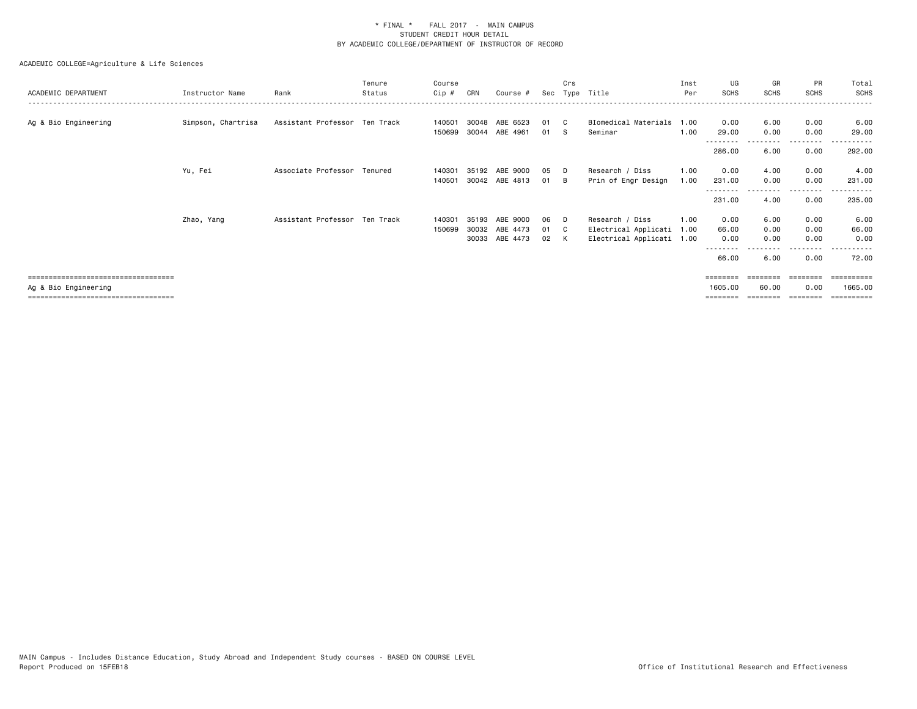| ACADEMIC DEPARTMENT                                          | Instructor Name    | Rank                          | Tenure<br>Status | Course<br>Cip #  | CRN                     | Course #                         | Sec              | Crs<br>Type | Title                                                                | Inst<br>Per  | UG<br><b>SCHS</b>             | GR<br><b>SCHS</b>    | PR<br><b>SCHS</b>    | Total<br><b>SCHS</b>  |
|--------------------------------------------------------------|--------------------|-------------------------------|------------------|------------------|-------------------------|----------------------------------|------------------|-------------|----------------------------------------------------------------------|--------------|-------------------------------|----------------------|----------------------|-----------------------|
| Ag & Bio Engineering                                         | Simpson, Chartrisa | Assistant Professor Ten Track |                  | 140501<br>150699 | 30048<br>30044          | ABE 6523<br>ABE 4961             | 01<br>01         | - C<br>- S  | BIomedical Materials<br>Seminar                                      | 1.00<br>1.00 | 0.00<br>29.00                 | 6.00<br>0.00         | 0.00<br>0.00         | 6.00<br>29.00         |
|                                                              |                    |                               |                  |                  |                         |                                  |                  |             |                                                                      |              | --------<br>286.00            | 6.00                 | $\cdots$<br>0.00     | 292.00                |
|                                                              | Yu, Fei            | Associate Professor Tenured   |                  | 140301<br>140501 | 35192                   | ABE 9000<br>30042 ABE 4813       | 05<br>01         | - D<br>- B  | Research / Diss<br>Prin of Engr Design                               | 1.00<br>1.00 | 0.00<br>231.00                | 4.00<br>0.00         | 0.00<br>0.00         | 4.00<br>231.00        |
|                                                              |                    |                               |                  |                  |                         |                                  |                  |             |                                                                      |              | --------<br>231.00            | 4.00                 | . <b>.</b> .<br>0.00 | .<br>235.00           |
|                                                              | Zhao, Yang         | Assistant Professor Ten Track |                  | 140301<br>150699 | 35193<br>30032<br>30033 | ABE 9000<br>ABE 4473<br>ABE 4473 | 06<br>01<br>02 K | D.<br>- C   | Research / Diss<br>Electrical Applicati<br>Electrical Applicati 1.00 | 1.00<br>1.00 | 0.00<br>66.00<br>0.00<br>---- | 6.00<br>0.00<br>0.00 | 0.00<br>0.00<br>0.00 | 6.00<br>66.00<br>0.00 |
| ====================================                         |                    |                               |                  |                  |                         |                                  |                  |             |                                                                      |              | 66.00<br>========             | 6.00                 | 0.00                 | 72.00                 |
| Ag & Bio Engineering<br>==================================== |                    |                               |                  |                  |                         |                                  |                  |             |                                                                      |              | 1605,00                       | 60.00                | 0.00                 | 1665.00               |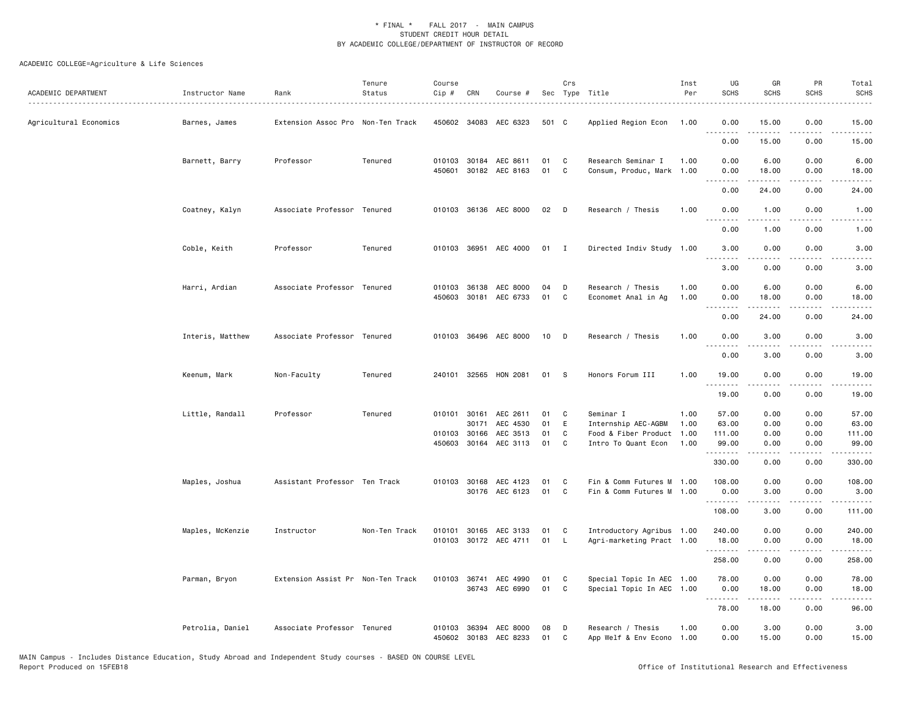| ACADEMIC DEPARTMENT    | Instructor Name  | Rank                              | Tenure<br>Status | Course<br>Cip # | CRN          | Course #                   |          | Crs          | Sec Type Title                                 | Inst<br>Per | UG<br><b>SCHS</b>                                                                                                                 | GR<br><b>SCHS</b>                                                                                                                                            | PR<br><b>SCHS</b>                   | Total<br><b>SCHS</b>                                                                                                |
|------------------------|------------------|-----------------------------------|------------------|-----------------|--------------|----------------------------|----------|--------------|------------------------------------------------|-------------|-----------------------------------------------------------------------------------------------------------------------------------|--------------------------------------------------------------------------------------------------------------------------------------------------------------|-------------------------------------|---------------------------------------------------------------------------------------------------------------------|
| Agricultural Economics | Barnes, James    | Extension Assoc Pro Non-Ten Track |                  |                 |              | 450602 34083 AEC 6323      | 501 C    |              | Applied Region Econ 1.00                       |             | 0.00<br>.                                                                                                                         | 15.00                                                                                                                                                        | 0.00                                | 15.00                                                                                                               |
|                        |                  |                                   |                  |                 |              |                            |          |              |                                                |             | 0.00                                                                                                                              | 15.00                                                                                                                                                        | 0.00                                | 15.00                                                                                                               |
|                        | Barnett, Barry   | Professor                         | Tenured          |                 |              | 010103 30184 AEC 8611      | 01       | C            | Research Seminar I                             | 1.00        | 0.00                                                                                                                              | 6.00                                                                                                                                                         | 0.00                                | 6.00                                                                                                                |
|                        |                  |                                   |                  |                 |              | 450601 30182 AEC 8163      | 01       | C            | Consum, Produc, Mark 1.00                      |             | 0.00<br>د د د د                                                                                                                   | 18.00                                                                                                                                                        | 0.00<br>$\sim$ $\sim$ $\sim$ $\sim$ | 18.00                                                                                                               |
|                        |                  |                                   |                  |                 |              |                            |          |              |                                                |             | 0.00                                                                                                                              | 24.00                                                                                                                                                        | 0.00                                | 24.00                                                                                                               |
|                        | Coatney, Kalyn   | Associate Professor Tenured       |                  |                 |              | 010103 36136 AEC 8000      | 02       | D            | Research / Thesis                              | 1.00        | 0.00<br>$\frac{1}{2} \left( \frac{1}{2} \right) \left( \frac{1}{2} \right) \left( \frac{1}{2} \right) \left( \frac{1}{2} \right)$ | 1.00<br>-----                                                                                                                                                | 0.00<br>.                           | 1.00<br>$\cdots$                                                                                                    |
|                        |                  |                                   |                  |                 |              |                            |          |              |                                                |             | 0.00                                                                                                                              | 1.00                                                                                                                                                         | 0.00                                | 1.00                                                                                                                |
|                        | Coble, Keith     | Professor                         | Tenured          |                 |              | 010103 36951 AEC 4000      | 01       | $\mathbf{I}$ | Directed Indiv Study 1.00                      |             | 3.00<br>.                                                                                                                         | 0.00<br>$\frac{1}{2} \left( \frac{1}{2} \right) \left( \frac{1}{2} \right) \left( \frac{1}{2} \right) \left( \frac{1}{2} \right) \left( \frac{1}{2} \right)$ | 0.00<br>.                           | 3.00                                                                                                                |
|                        |                  |                                   |                  |                 |              |                            |          |              |                                                |             | 3.00                                                                                                                              | 0.00                                                                                                                                                         | 0.00                                | 3.00                                                                                                                |
|                        | Harri, Ardian    | Associate Professor Tenured       |                  |                 | 010103 36138 | AEC 8000                   | 04       | D            | Research / Thesis                              | 1.00        | 0.00                                                                                                                              | 6.00                                                                                                                                                         | 0.00                                | 6.00                                                                                                                |
|                        |                  |                                   |                  |                 |              | 450603 30181 AEC 6733      | 01       | $\mathbf c$  | Economet Anal in Ag                            | 1.00        | 0.00<br><u>.</u>                                                                                                                  | 18.00                                                                                                                                                        | 0.00                                | 18.00                                                                                                               |
|                        |                  |                                   |                  |                 |              |                            |          |              |                                                |             | 0.00                                                                                                                              | 24.00                                                                                                                                                        | 0.00                                | 24.00                                                                                                               |
|                        | Interis, Matthew | Associate Professor Tenured       |                  |                 |              | 010103 36496 AEC 8000      | 10       | D            | Research / Thesis                              | 1.00        | 0.00<br>.                                                                                                                         | 3.00                                                                                                                                                         | 0.00                                | 3.00                                                                                                                |
|                        |                  |                                   |                  |                 |              |                            |          |              |                                                |             | 0.00                                                                                                                              | 3.00                                                                                                                                                         | 0.00                                | 3.00                                                                                                                |
|                        | Keenum, Mark     | Non-Faculty                       | Tenured          |                 |              | 240101 32565 HON 2081      | 01       | - S          | Honors Forum III                               | 1.00        | 19.00<br>.                                                                                                                        | 0.00<br><b>.</b>                                                                                                                                             | 0.00<br>.                           | 19.00<br>.                                                                                                          |
|                        |                  |                                   |                  |                 |              |                            |          |              |                                                |             | 19.00                                                                                                                             | 0.00                                                                                                                                                         | 0.00                                | 19.00                                                                                                               |
|                        | Little, Randall  | Professor                         | Tenured          |                 | 010101 30161 | AEC 2611                   | 01       | C            | Seminar I                                      | 1.00        | 57.00                                                                                                                             | 0.00                                                                                                                                                         | 0.00                                | 57.00                                                                                                               |
|                        |                  |                                   |                  |                 | 30171        | AEC 4530                   | 01       | E            | Internship AEC-AGBM                            | 1.00        | 63.00                                                                                                                             | 0.00                                                                                                                                                         | 0.00                                | 63.00                                                                                                               |
|                        |                  |                                   |                  |                 | 010103 30166 | AEC 3513                   | 01       | C            | Food & Fiber Product                           | 1.00        | 111.00                                                                                                                            | 0.00                                                                                                                                                         | 0.00                                | 111.00                                                                                                              |
|                        |                  |                                   |                  |                 |              | 450603 30164 AEC 3113      | 01       | C            | Intro To Quant Econ                            | 1.00        | 99.00<br>.                                                                                                                        | 0.00<br>.                                                                                                                                                    | 0.00                                | 99.00<br>.                                                                                                          |
|                        |                  |                                   |                  |                 |              |                            |          |              |                                                |             | 330.00                                                                                                                            | 0.00                                                                                                                                                         | 0.00                                | 330.00                                                                                                              |
|                        | Maples, Joshua   | Assistant Professor Ten Track     |                  |                 |              | 010103 30168 AEC 4123      | 01       | C            | Fin & Comm Futures M 1.00                      |             | 108.00                                                                                                                            | 0.00                                                                                                                                                         | 0.00                                | 108.00                                                                                                              |
|                        |                  |                                   |                  |                 |              | 30176 AEC 6123             | 01       | C            | Fin & Comm Futures M 1.00                      |             | 0.00<br>.                                                                                                                         | 3.00<br>$\frac{1}{2} \left( \frac{1}{2} \right) \left( \frac{1}{2} \right) \left( \frac{1}{2} \right) \left( \frac{1}{2} \right) \left( \frac{1}{2} \right)$ | 0.00<br>.                           | 3.00<br>$\begin{array}{cccccccccc} \bullet & \bullet & \bullet & \bullet & \bullet & \bullet & \bullet \end{array}$ |
|                        |                  |                                   |                  |                 |              |                            |          |              |                                                |             | 108.00                                                                                                                            | 3.00                                                                                                                                                         | 0.00                                | 111.00                                                                                                              |
|                        | Maples, McKenzie | Instructor                        | Non-Ten Track    |                 |              | 010101 30165 AEC 3133      | 01       | C            | Introductory Agribus 1.00                      |             | 240.00                                                                                                                            | 0.00                                                                                                                                                         | 0.00                                | 240.00                                                                                                              |
|                        |                  |                                   |                  |                 |              | 010103 30172 AEC 4711      | 01       | L.           | Agri-marketing Pract 1.00                      |             | 18.00<br>.                                                                                                                        | 0.00                                                                                                                                                         | 0.00<br>.                           | 18.00                                                                                                               |
|                        |                  |                                   |                  |                 |              |                            |          |              |                                                |             | 258.00                                                                                                                            | 0.00                                                                                                                                                         | 0.00                                | 258.00                                                                                                              |
|                        | Parman, Bryon    | Extension Assist Pr Non-Ten Track |                  |                 | 010103 36741 | AEC 4990                   | 01       | C            | Special Topic In AEC 1.00                      |             | 78.00                                                                                                                             | 0.00                                                                                                                                                         | 0.00                                | 78.00                                                                                                               |
|                        |                  |                                   |                  |                 |              | 36743 AEC 6990             | 01       | C            | Special Topic In AEC 1.00                      |             | 0.00<br>.                                                                                                                         | 18.00                                                                                                                                                        | 0.00                                | 18.00                                                                                                               |
|                        |                  |                                   |                  |                 |              |                            |          |              |                                                |             | 78.00                                                                                                                             | 18.00                                                                                                                                                        | 0.00                                | 96.00                                                                                                               |
|                        | Petrolia, Daniel | Associate Professor Tenured       |                  | 010103          | 450602 30183 | 36394 AEC 8000<br>AEC 8233 | 08<br>01 | D<br>C       | Research / Thesis<br>App Welf & Env Econo 1.00 | 1.00        | 0.00<br>0.00                                                                                                                      | 3.00<br>15.00                                                                                                                                                | 0.00<br>0.00                        | 3.00<br>15.00                                                                                                       |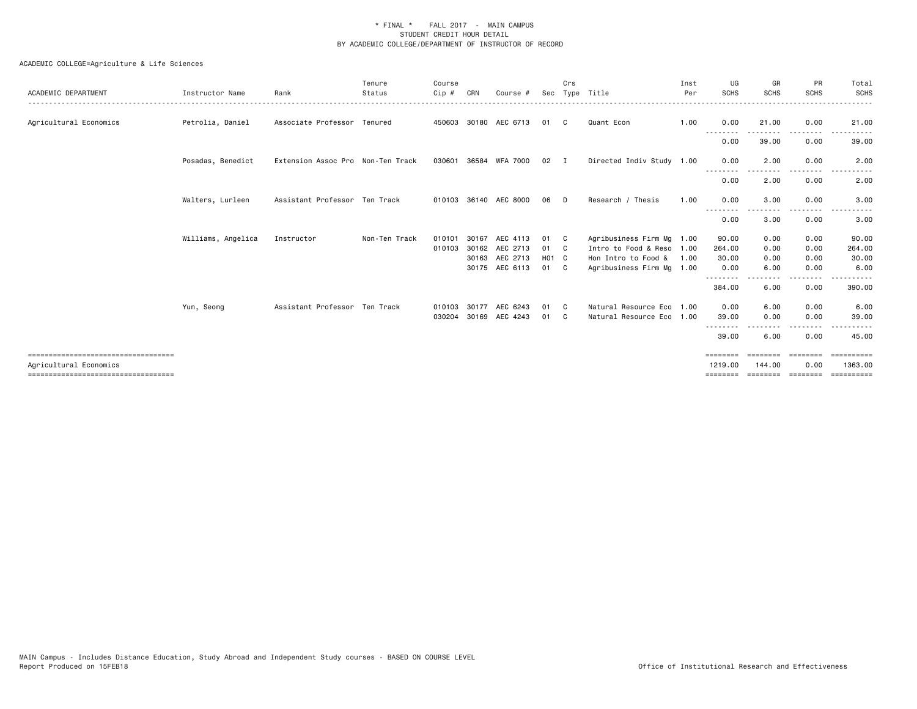| ACADEMIC DEPARTMENT                                              | Instructor Name    | Rank                              | Tenure<br>Status | Course<br>Cip #  | CRN            | Course #              | Sec               | Crs                          | Type Title                                             | Inst<br>Per | UG<br><b>SCHS</b>            | GR<br><b>SCHS</b> | PR<br><b>SCHS</b> | Total<br><b>SCHS</b>  |
|------------------------------------------------------------------|--------------------|-----------------------------------|------------------|------------------|----------------|-----------------------|-------------------|------------------------------|--------------------------------------------------------|-------------|------------------------------|-------------------|-------------------|-----------------------|
| Agricultural Economics                                           | Petrolia, Daniel   | Associate Professor Tenured       |                  |                  |                | 450603 30180 AEC 6713 | 01                | C                            | Quant Econ                                             | 1.00        | 0.00<br>--------             | 21.00             | 0.00              | 21.00                 |
|                                                                  |                    |                                   |                  |                  |                |                       |                   |                              |                                                        |             | 0.00                         | 39.00             | 0.00              | 39.00                 |
|                                                                  | Posadas, Benedict  | Extension Assoc Pro Non-Ten Track |                  |                  |                | 030601 36584 WFA 7000 | 02                | $\mathbf{I}$                 | Directed Indiv Study 1.00                              |             | 0.00<br>--------             | 2.00              | 0.00              | 2.00                  |
|                                                                  |                    |                                   |                  |                  |                |                       |                   |                              |                                                        |             | 0.00                         | 2.00              | 0.00              | 2.00                  |
|                                                                  | Walters, Lurleen   | Assistant Professor Ten Track     |                  |                  |                | 010103 36140 AEC 8000 | 06                | D.                           | Research / Thesis                                      | 1.00        | 0.00<br>$  -$                | 3.00              | 0.00              | 3.00                  |
|                                                                  |                    |                                   |                  |                  |                |                       |                   |                              |                                                        |             | 0.00                         | 3.00              | 0.00              | 3.00                  |
|                                                                  | Williams, Angelica | Instructor                        | Non-Ten Track    | 010101<br>010103 | 30167<br>30162 | AEC 4113<br>AEC 2713  | 01<br>01          | $\mathbf{C}$<br>$\mathbf{C}$ | Agribusiness Firm Mg 1.00<br>Intro to Food & Reso 1.00 |             | 90.00<br>264.00              | 0.00<br>0.00      | 0.00<br>0.00      | 90.00<br>264.00       |
|                                                                  |                    |                                   |                  |                  | 30163          | AEC 2713              | H <sub>01</sub> C |                              | Hon Intro to Food &                                    | 1.00        | 30.00                        | 0.00              | 0.00              | 30.00                 |
|                                                                  |                    |                                   |                  |                  |                | 30175 AEC 6113        | 01 C              |                              | Agribusiness Firm Mg 1.00                              |             | 0.00                         | 6.00              | 0.00              | 6.00                  |
|                                                                  |                    |                                   |                  |                  |                |                       |                   |                              |                                                        |             | - - - - - - - -<br>384.00    | 6.00              | 0.00              | 390.00                |
|                                                                  | Yun, Seong         | Assistant Professor Ten Track     |                  | 010103           | 30177          | AEC 6243              | 01                | $\mathbf{C}$                 | Natural Resource Eco 1.00                              |             | 0.00                         | 6.00              | 0.00              | 6.00                  |
|                                                                  |                    |                                   |                  | 030204           |                | 30169 AEC 4243        | 01                | $\mathbf{C}$                 | Natural Resource Eco 1.00                              |             | 39.00                        | 0.00              | 0.00              | 39.00                 |
|                                                                  |                    |                                   |                  |                  |                |                       |                   |                              |                                                        |             | 39.00                        | 6.00              | 0.00              | 45.00                 |
| ======================================<br>Agricultural Economics |                    |                                   |                  |                  |                |                       |                   |                              |                                                        |             | $=$ = = = = = = =<br>1219.00 | eeeeeee<br>144.00 | ========<br>0.00  | ==========<br>1363.00 |
| ======================================                           |                    |                                   |                  |                  |                |                       |                   |                              |                                                        |             | $=$ = = = = = = =            | $=$ = = = = = = = | ========          |                       |
|                                                                  |                    |                                   |                  |                  |                |                       |                   |                              |                                                        |             |                              |                   |                   |                       |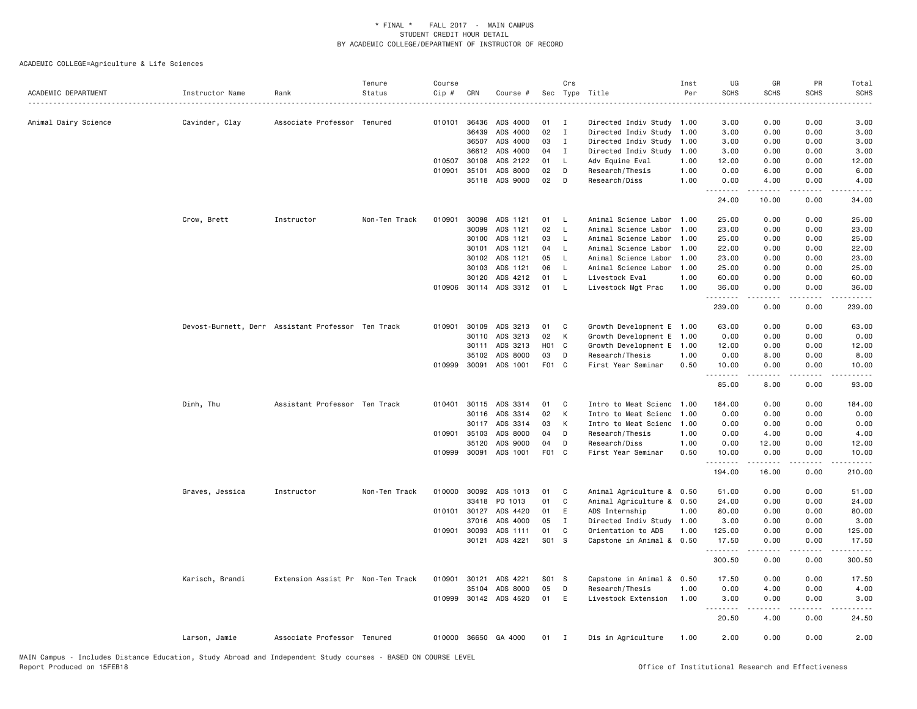| ACADEMIC DEPARTMENT  | Instructor Name                                    | Rank                              | Tenure<br>Status | Course<br>$Cip$ # | CRN          | Course #             |                  | Crs          | Sec Type Title            | Inst<br>Per | UG<br><b>SCHS</b><br>. | GR<br><b>SCHS</b>                                                                                                                                            | PR<br><b>SCHS</b><br>-----                  | Total<br><b>SCHS</b><br>$- - - - -$                                                                                                                                                      |
|----------------------|----------------------------------------------------|-----------------------------------|------------------|-------------------|--------------|----------------------|------------------|--------------|---------------------------|-------------|------------------------|--------------------------------------------------------------------------------------------------------------------------------------------------------------|---------------------------------------------|------------------------------------------------------------------------------------------------------------------------------------------------------------------------------------------|
| Animal Dairy Science | Cavinder, Clay                                     | Associate Professor Tenured       |                  |                   | 010101 36436 | ADS 4000             | 01               | $\mathbf{I}$ | Directed Indiv Study 1.00 |             | 3.00                   | 0.00                                                                                                                                                         | 0.00                                        | 3.00                                                                                                                                                                                     |
|                      |                                                    |                                   |                  |                   | 36439        | ADS 4000             | 02               | Ι.           | Directed Indiv Study      | 1.00        | 3.00                   | 0.00                                                                                                                                                         | 0.00                                        | 3.00                                                                                                                                                                                     |
|                      |                                                    |                                   |                  |                   | 36507        | ADS 4000             | 03               | Ι.           | Directed Indiv Study      | 1.00        | 3.00                   | 0.00                                                                                                                                                         | 0.00                                        | 3.00                                                                                                                                                                                     |
|                      |                                                    |                                   |                  |                   | 36612        | ADS 4000             | 04               | Ι.           | Directed Indiv Study      | 1.00        | 3.00                   | 0.00                                                                                                                                                         | 0.00                                        | 3.00                                                                                                                                                                                     |
|                      |                                                    |                                   |                  | 010507            | 30108        | ADS 2122             | 01               | L.           | Adv Equine Eval           | 1.00        | 12.00                  | 0.00                                                                                                                                                         | 0.00                                        | 12.00                                                                                                                                                                                    |
|                      |                                                    |                                   |                  | 010901            | 35101        | ADS 8000             | 02               | D            | Research/Thesis           | 1.00        | 0.00                   | 6.00                                                                                                                                                         | 0.00                                        | 6.00                                                                                                                                                                                     |
|                      |                                                    |                                   |                  |                   | 35118        | ADS 9000             | 02               | D            | Research/Diss             | 1.00        | 0.00<br>.              | 4.00<br>.                                                                                                                                                    | 0.00<br>$\omega$ $\omega$ $\omega$ $\omega$ | 4.00<br>$\omega$ is $\omega$ in                                                                                                                                                          |
|                      |                                                    |                                   |                  |                   |              |                      |                  |              |                           |             | 24.00                  | 10.00                                                                                                                                                        | 0.00                                        | 34.00                                                                                                                                                                                    |
|                      | Crow, Brett                                        | Instructor                        | Non-Ten Track    | 010901            | 30098        | ADS 1121             | 01               | <b>L</b>     | Animal Science Labor      | 1.00        | 25.00                  | 0.00                                                                                                                                                         | 0.00                                        | 25.00                                                                                                                                                                                    |
|                      |                                                    |                                   |                  |                   | 30099        | ADS 1121             | 02               | $\mathsf{L}$ | Animal Science Labor      | 1.00        | 23.00                  | 0.00                                                                                                                                                         | 0.00                                        | 23.00                                                                                                                                                                                    |
|                      |                                                    |                                   |                  |                   | 30100        | ADS 1121             | 03               | L            | Animal Science Labor      | 1.00        | 25.00                  | 0.00                                                                                                                                                         | 0.00                                        | 25.00                                                                                                                                                                                    |
|                      |                                                    |                                   |                  |                   | 30101        | ADS 1121             | 04               | $\mathsf{L}$ | Animal Science Labor      | 1.00        | 22.00                  | 0.00                                                                                                                                                         | 0.00                                        | 22.00                                                                                                                                                                                    |
|                      |                                                    |                                   |                  |                   | 30102        | ADS 1121             | 05               | L.           | Animal Science Labor      | 1.00        | 23.00                  | 0.00                                                                                                                                                         | 0.00                                        | 23.00                                                                                                                                                                                    |
|                      |                                                    |                                   |                  |                   | 30103        | ADS 1121             | 06               | L.           | Animal Science Labor      | 1.00        | 25.00                  | 0.00                                                                                                                                                         | 0.00                                        | 25.00                                                                                                                                                                                    |
|                      |                                                    |                                   |                  |                   | 30120        | ADS 4212             | 01               | L            | Livestock Eval            | 1.00        | 60.00                  | 0.00                                                                                                                                                         | 0.00                                        | 60.00                                                                                                                                                                                    |
|                      |                                                    |                                   |                  | 010906            | 30114        | ADS 3312             | 01               | L.           | Livestock Mgt Prac        | 1.00        | 36.00                  | 0.00<br>.                                                                                                                                                    | 0.00<br>د د د د                             | 36.00<br>.                                                                                                                                                                               |
|                      |                                                    |                                   |                  |                   |              |                      |                  |              |                           |             | 239.00                 | 0.00                                                                                                                                                         | 0.00                                        | 239.00                                                                                                                                                                                   |
|                      | Devost-Burnett, Derr Assistant Professor Ten Track |                                   |                  | 010901            | 30109        | ADS 3213             | 01               | C            | Growth Development E 1.00 |             | 63.00                  | 0.00                                                                                                                                                         | 0.00                                        | 63.00                                                                                                                                                                                    |
|                      |                                                    |                                   |                  |                   | 30110        | ADS 3213             | 02               | К            | Growth Development E 1.00 |             | 0.00                   | 0.00                                                                                                                                                         | 0.00                                        | 0.00                                                                                                                                                                                     |
|                      |                                                    |                                   |                  |                   | 30111        | ADS 3213             | H <sub>0</sub> 1 | C            | Growth Development E 1.00 |             | 12.00                  | 0.00                                                                                                                                                         | 0.00                                        | 12.00                                                                                                                                                                                    |
|                      |                                                    |                                   |                  |                   | 35102        | ADS 8000             | 03               | D            | Research/Thesis           | 1.00        | 0.00                   | 8.00                                                                                                                                                         | 0.00                                        | 8.00                                                                                                                                                                                     |
|                      |                                                    |                                   |                  | 010999            | 30091        | ADS 1001             | F01 C            |              | First Year Seminar        | 0.50        | 10.00                  | 0.00                                                                                                                                                         | 0.00<br>.                                   | 10.00<br>$- - - -$                                                                                                                                                                       |
|                      |                                                    |                                   |                  |                   |              |                      |                  |              |                           |             | 85.00                  | 8.00                                                                                                                                                         | 0.00                                        | 93.00                                                                                                                                                                                    |
|                      | Dinh, Thu                                          | Assistant Professor Ten Track     |                  | 010401            | 30115        | ADS 3314             | 01               | C            | Intro to Meat Scienc      | 1.00        | 184,00                 | 0.00                                                                                                                                                         | 0.00                                        | 184.00                                                                                                                                                                                   |
|                      |                                                    |                                   |                  |                   | 30116        | ADS 3314             | 02               | K            | Intro to Meat Scienc      | 1.00        | 0.00                   | 0.00                                                                                                                                                         | 0.00                                        | 0.00                                                                                                                                                                                     |
|                      |                                                    |                                   |                  |                   | 30117        | ADS 3314             | 03               | К            | Intro to Meat Scienc      | 1.00        | 0.00                   | 0.00                                                                                                                                                         | 0.00                                        | 0.00                                                                                                                                                                                     |
|                      |                                                    |                                   |                  |                   | 010901 35103 | ADS 8000             | 04               | D            | Research/Thesis           | 1.00        | 0.00                   | 4.00                                                                                                                                                         | 0.00                                        | 4.00                                                                                                                                                                                     |
|                      |                                                    |                                   |                  |                   | 35120        | ADS 9000             | 04               | D            | Research/Diss             | 1.00        | 0.00                   | 12.00                                                                                                                                                        | 0.00                                        | 12.00                                                                                                                                                                                    |
|                      |                                                    |                                   |                  | 010999            | 30091        | ADS 1001             | F01 C            |              | First Year Seminar        | 0.50        | 10.00<br>.             | 0.00<br>$\frac{1}{2} \left( \frac{1}{2} \right) \left( \frac{1}{2} \right) \left( \frac{1}{2} \right) \left( \frac{1}{2} \right) \left( \frac{1}{2} \right)$ | 0.00<br>.                                   | 10.00<br>$- - - - - -$                                                                                                                                                                   |
|                      |                                                    |                                   |                  |                   |              |                      |                  |              |                           |             | 194.00                 | 16.00                                                                                                                                                        | 0.00                                        | 210.00                                                                                                                                                                                   |
|                      | Graves, Jessica                                    | Instructor                        | Non-Ten Track    | 010000            | 30092        | ADS 1013             | 01               | C            | Animal Agriculture & 0.50 |             | 51.00                  | 0.00                                                                                                                                                         | 0.00                                        | 51.00                                                                                                                                                                                    |
|                      |                                                    |                                   |                  |                   | 33418        | PO 1013              | 01               | C            | Animal Agriculture &      | 0.50        | 24.00                  | 0.00                                                                                                                                                         | 0.00                                        | 24.00                                                                                                                                                                                    |
|                      |                                                    |                                   |                  | 010101            | 30127        | ADS 4420             | 01               | Ε            | ADS Internship            | 1.00        | 80.00                  | 0.00                                                                                                                                                         | 0.00                                        | 80.00                                                                                                                                                                                    |
|                      |                                                    |                                   |                  |                   | 37016        | ADS 4000             | 05               | $\mathbf I$  | Directed Indiv Study 1.00 |             | 3.00                   | 0.00                                                                                                                                                         | 0.00                                        | 3.00                                                                                                                                                                                     |
|                      |                                                    |                                   |                  |                   | 010901 30093 | ADS 1111             | 01               | C            | Orientation to ADS        | 1.00        | 125.00                 | 0.00                                                                                                                                                         | 0.00                                        | 125.00                                                                                                                                                                                   |
|                      |                                                    |                                   |                  |                   | 30121        | ADS 4221             | S01 S            |              | Capstone in Animal & 0.50 |             | 17.50<br>.             | 0.00<br><u>.</u>                                                                                                                                             | 0.00<br>.                                   | 17.50<br>$\frac{1}{2} \left( \frac{1}{2} \right) \left( \frac{1}{2} \right) \left( \frac{1}{2} \right) \left( \frac{1}{2} \right) \left( \frac{1}{2} \right) \left( \frac{1}{2} \right)$ |
|                      |                                                    |                                   |                  |                   |              |                      |                  |              |                           |             | 300.50                 | 0.00                                                                                                                                                         | 0.00                                        | 300.50                                                                                                                                                                                   |
|                      | Karisch, Brandi                                    | Extension Assist Pr Non-Ten Track |                  | 010901            | 30121        | ADS 4221             | S01 S            |              | Capstone in Animal & 0.50 |             | 17.50                  | 0.00                                                                                                                                                         | 0.00                                        | 17.50                                                                                                                                                                                    |
|                      |                                                    |                                   |                  |                   | 35104        | ADS 8000             | 05               | D            | Research/Thesis           | 1.00        | 0.00                   | 4.00                                                                                                                                                         | 0.00                                        | 4.00                                                                                                                                                                                     |
|                      |                                                    |                                   |                  | 010999            |              | 30142 ADS 4520       | 01               | E            | Livestock Extension       | 1.00        | 3.00<br>. <b>.</b>     | 0.00<br>.                                                                                                                                                    | 0.00<br>$- - - -$                           | 3.00                                                                                                                                                                                     |
|                      |                                                    |                                   |                  |                   |              |                      |                  |              |                           |             | 20.50                  | 4.00                                                                                                                                                         | 0.00                                        | 24.50                                                                                                                                                                                    |
|                      | Larson, Jamie                                      | Associate Professor Tenured       |                  |                   |              | 010000 36650 GA 4000 | $01$ I           |              | Dis in Agriculture        | 1.00        | 2.00                   | 0.00                                                                                                                                                         | 0.00                                        | 2.00                                                                                                                                                                                     |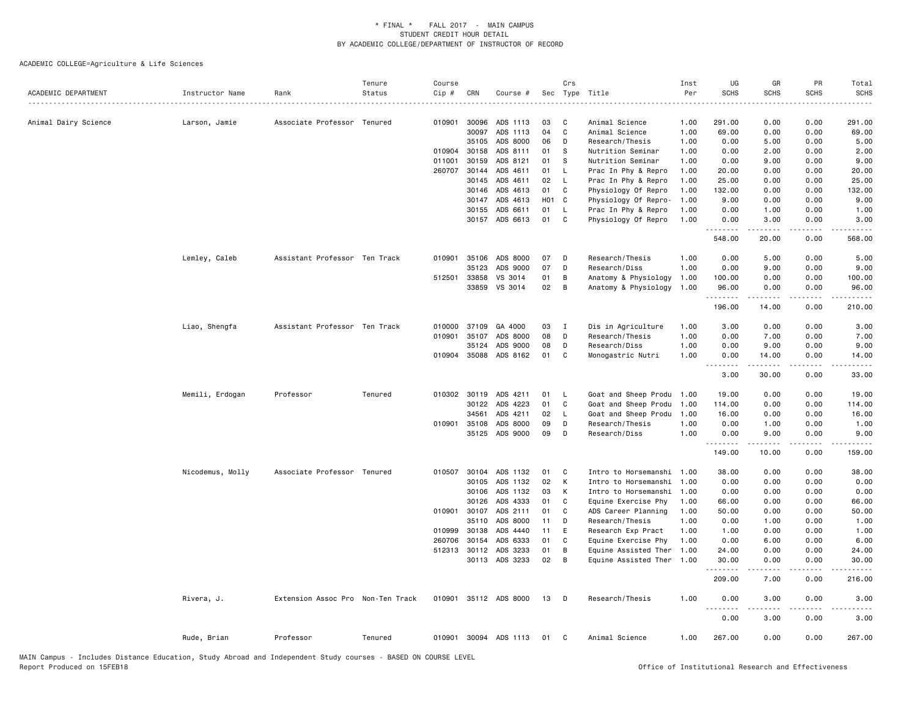|                      |                  |                                   | Tenure  | Course  |              |                       |       | Crs          |                           | Inst | UG          | GR                    | PR                                  | Total                               |
|----------------------|------------------|-----------------------------------|---------|---------|--------------|-----------------------|-------|--------------|---------------------------|------|-------------|-----------------------|-------------------------------------|-------------------------------------|
| ACADEMIC DEPARTMENT  | Instructor Name  | Rank                              | Status  | $Cip$ # | CRN          | Course #              | Sec   |              | Type Title                | Per  | <b>SCHS</b> | <b>SCHS</b>           | <b>SCHS</b>                         | <b>SCHS</b>                         |
| Animal Dairy Science | Larson, Jamie    | Associate Professor Tenured       |         | 010901  | 30096        | ADS 1113              | 03    | C            | Animal Science            | 1.00 | 291.00      | 0.00                  | 0.00                                | 291.00                              |
|                      |                  |                                   |         |         | 30097        | ADS 1113              | 04    | C            | Animal Science            | 1.00 | 69.00       | 0.00                  | 0.00                                | 69.00                               |
|                      |                  |                                   |         |         | 35105        | ADS 8000              | 06    | D            | Research/Thesis           | 1.00 | 0.00        | 5.00                  | 0.00                                | 5.00                                |
|                      |                  |                                   |         | 010904  | 30158        | ADS 8111              | 01    | s            | Nutrition Seminar         | 1.00 | 0.00        | 2.00                  | 0.00                                | 2.00                                |
|                      |                  |                                   |         | 011001  | 30159        | ADS 8121              | 01    | s            | Nutrition Seminar         | 1.00 | 0.00        | 9.00                  | 0.00                                | 9.00                                |
|                      |                  |                                   |         | 260707  | 30144        | ADS 4611              | 01    | L.           | Prac In Phy & Repro       | 1.00 | 20.00       | 0.00                  | 0.00                                | 20.00                               |
|                      |                  |                                   |         |         | 30145        | ADS 4611              | 02    | L.           | Prac In Phy & Repro       | 1.00 | 25.00       | 0.00                  | 0.00                                | 25.00                               |
|                      |                  |                                   |         |         | 30146        | ADS 4613              | 01    | C            | Physiology Of Repro       | 1.00 | 132.00      | 0.00                  | 0.00                                | 132.00                              |
|                      |                  |                                   |         |         | 30147        | ADS 4613              | H01 C |              | Physiology Of Repro-      | 1.00 | 9.00        | 0.00                  | 0.00                                | 9.00                                |
|                      |                  |                                   |         |         | 30155        | ADS 6611              | 01    | L.           | Prac In Phy & Repro       | 1.00 | 0.00        | 1.00                  | 0.00                                | 1.00                                |
|                      |                  |                                   |         |         | 30157        | ADS 6613              | 01    | C            | Physiology Of Repro       | 1.00 | 0.00<br>.   | 3,00<br>$- - - - -$   | 0.00<br>.                           | 3.00<br>.                           |
|                      |                  |                                   |         |         |              |                       |       |              |                           |      | 548.00      | 20.00                 | 0.00                                | 568.00                              |
|                      | Lemley, Caleb    | Assistant Professor Ten Track     |         | 010901  | 35106        | ADS 8000              | 07    | D            | Research/Thesis           | 1.00 | 0.00        | 5.00                  | 0.00                                | 5.00                                |
|                      |                  |                                   |         |         | 35123        | ADS 9000              | 07    | D            | Research/Diss             | 1.00 | 0.00        | 9.00                  | 0.00                                | 9.00                                |
|                      |                  |                                   |         | 512501  | 33858        | VS 3014               | 01    | В            | Anatomy & Physiology      | 1.00 | 100.00      | 0.00                  | 0.00                                | 100.00                              |
|                      |                  |                                   |         |         | 33859        | VS 3014               | 02    | B            | Anatomy & Physiology      | 1.00 | 96.00<br>.  | 0.00<br><b>.</b>      | 0.00<br>د د د د                     | 96.00<br>.                          |
|                      |                  |                                   |         |         |              |                       |       |              |                           |      | 196.00      | 14.00                 | 0.00                                | 210.00                              |
|                      | Liao, Shengfa    | Assistant Professor Ten Track     |         | 010000  | 37109        | GA 4000               | 03    | $\mathbf{I}$ | Dis in Agriculture        | 1.00 | 3.00        | 0.00                  | 0.00                                | 3.00                                |
|                      |                  |                                   |         | 010901  | 35107        | ADS 8000              | 08    | D            | Research/Thesis           | 1.00 | 0.00        | 7.00                  | 0.00                                | 7.00                                |
|                      |                  |                                   |         |         | 35124        | ADS 9000              | 08    | D            | Research/Diss             | 1.00 | 0.00        | 9.00                  | 0.00                                | 9.00                                |
|                      |                  |                                   |         |         |              | 010904 35088 ADS 8162 | 01    | C            | Monogastric Nutri         | 1.00 | 0.00        | 14.00                 | 0.00                                | 14.00                               |
|                      |                  |                                   |         |         |              |                       |       |              |                           |      | .<br>3.00   | .<br>30.00            | .<br>0.00                           | .<br>33.00                          |
|                      | Memili, Erdogan  | Professor                         | Tenured |         | 010302 30119 | ADS 4211              | 01    | L.           | Goat and Sheep Produ 1.00 |      | 19.00       | 0.00                  | 0.00                                | 19.00                               |
|                      |                  |                                   |         |         | 30122        | ADS 4223              | 01    | C            | Goat and Sheep Produ      | 1.00 | 114.00      | 0.00                  | 0.00                                | 114.00                              |
|                      |                  |                                   |         |         | 34561        | ADS 4211              | 02    | L.           | Goat and Sheep Produ      | 1.00 | 16.00       | 0.00                  | 0.00                                | 16.00                               |
|                      |                  |                                   |         |         | 010901 35108 | ADS 8000              | 09    | D            | Research/Thesis           | 1.00 | 0.00        | 1.00                  | 0.00                                | 1.00                                |
|                      |                  |                                   |         |         | 35125        | ADS 9000              | 09    | D            | Research/Diss             | 1.00 | 0.00<br>.   | 9.00<br>.             | 0.00<br>$\sim$ $\sim$ $\sim$ $\sim$ | 9.00<br>$\sim$ $\sim$ $\sim$ $\sim$ |
|                      |                  |                                   |         |         |              |                       |       |              |                           |      | 149.00      | 10.00                 | 0.00                                | 159.00                              |
|                      | Nicodemus, Molly | Associate Professor Tenured       |         | 010507  | 30104        | ADS 1132              | 01    | C.           | Intro to Horsemanshi      | 1.00 | 38.00       | 0.00                  | 0.00                                | 38.00                               |
|                      |                  |                                   |         |         | 30105        | ADS 1132              | 02    | K            | Intro to Horsemanshi      | 1.00 | 0.00        | 0.00                  | 0.00                                | 0.00                                |
|                      |                  |                                   |         |         | 30106        | ADS 1132              | 03    | К            | Intro to Horsemanshi      | 1.00 | 0.00        | 0.00                  | 0.00                                | 0.00                                |
|                      |                  |                                   |         |         | 30126        | ADS 4333              | 01    | C            | Equine Exercise Phy       | 1.00 | 66.00       | 0.00                  | 0.00                                | 66.00                               |
|                      |                  |                                   |         |         | 010901 30107 | ADS 2111              | 01    | C            | ADS Career Planning       | 1.00 | 50.00       | 0.00                  | 0.00                                | 50.00                               |
|                      |                  |                                   |         |         | 35110        | ADS 8000              | 11    | D            | Research/Thesis           | 1.00 | 0.00        | 1.00                  | 0.00                                | 1.00                                |
|                      |                  |                                   |         | 010999  | 30138        | ADS 4440              | 11    | E            | Research Exp Pract        | 1.00 | 1.00        | 0.00                  | 0.00                                | 1.00                                |
|                      |                  |                                   |         | 260706  | 30154        | ADS 6333              | 01    | C            | Equine Exercise Phy       | 1.00 | 0.00        | 6.00                  | 0.00                                | 6.00                                |
|                      |                  |                                   |         | 512313  | 30112        | ADS 3233              | 01    | B            | Equine Assisted Ther      | 1.00 | 24.00       | 0.00                  | 0.00                                | 24.00                               |
|                      |                  |                                   |         |         |              | 30113 ADS 3233        | 02    | B            | Equine Assisted Ther 1.00 |      | 30.00<br>.  | 0.00<br>.             | 0.00<br>.                           | 30.00<br>.                          |
|                      |                  |                                   |         |         |              |                       |       |              |                           |      | 209.00      | 7.00                  | 0.00                                | 216.00                              |
|                      | Rivera, J.       | Extension Assoc Pro Non-Ten Track |         |         |              | 010901 35112 ADS 8000 | 13    | D            | Research/Thesis           | 1.00 | 0.00        | 3.00<br>$\frac{1}{2}$ | 0.00<br>.                           | 3.00<br>.                           |
|                      |                  |                                   |         |         |              |                       |       |              |                           |      | 0.00        | 3.00                  | 0.00                                | 3.00                                |
|                      | Rude, Brian      | Professor                         | Tenured |         |              | 010901 30094 ADS 1113 | 01    | C            | Animal Science            | 1.00 | 267.00      | 0.00                  | 0.00                                | 267.00                              |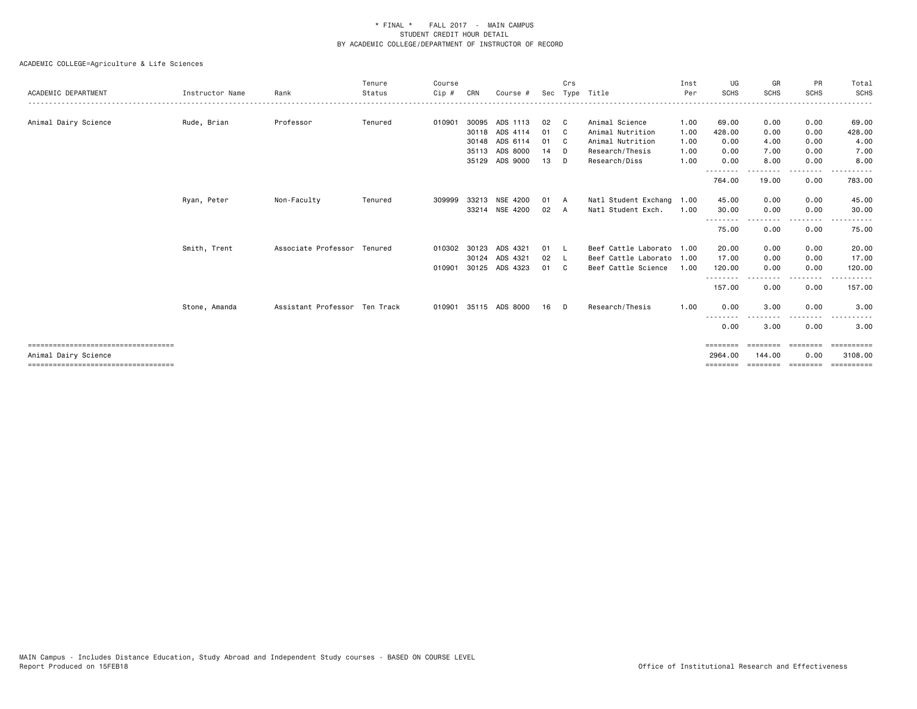| ACADEMIC DEPARTMENT                    | Instructor Name | Rank                          | Tenure<br>Status | Course<br>$Cip \#$ | CRN   | Course #       |      | Crs          | Sec Type Title            | Inst<br>Per | UG<br><b>SCHS</b>       | GR<br><b>SCHS</b> | PR<br><b>SCHS</b> | Total<br>SCHS |
|----------------------------------------|-----------------|-------------------------------|------------------|--------------------|-------|----------------|------|--------------|---------------------------|-------------|-------------------------|-------------------|-------------------|---------------|
|                                        |                 |                               |                  |                    |       |                |      |              |                           |             |                         |                   |                   |               |
| Animal Dairy Science                   | Rude, Brian     | Professor                     | Tenured          | 010901             |       | 30095 ADS 1113 | 02   | - C          | Animal Science            | 1.00        | 69.00                   | 0.00              | 0.00              | 69.00         |
|                                        |                 |                               |                  |                    | 30118 | ADS 4114       | 01   | - C          | Animal Nutrition          | 1.00        | 428.00                  | 0.00              | 0.00              | 428.00        |
|                                        |                 |                               |                  |                    |       | 30148 ADS 6114 | 01   | $\mathbf{C}$ | Animal Nutrition          | 1.00        | 0.00                    | 4.00              | 0.00              | 4.00          |
|                                        |                 |                               |                  |                    | 35113 | ADS 8000       | 14   | D            | Research/Thesis           | 1.00        | 0.00                    | 7.00              | 0.00              | 7.00          |
|                                        |                 |                               |                  |                    |       | 35129 ADS 9000 | 13   | D            | Research/Diss             | 1.00        | 0.00<br>.               | 8.00              | 0.00<br>$- - - -$ | 8.00          |
|                                        |                 |                               |                  |                    |       |                |      |              |                           |             | 764.00                  | 19.00             | 0.00              | 783.00        |
|                                        | Ryan, Peter     | Non-Faculty                   | Tenured          | 309999             | 33213 | NSE 4200       | 01   | A            | Natl Student Exchang 1.00 |             | 45.00                   | 0.00              | 0.00              | 45.00         |
|                                        |                 |                               |                  |                    |       | 33214 NSE 4200 | 02 A |              | Natl Student Exch.        | 1.00        | 30.00                   | 0.00              | 0.00              | 30.00         |
|                                        |                 |                               |                  |                    |       |                |      |              |                           |             | --------<br>75.00       | <b>.</b><br>0.00  | .<br>0.00         | 75.00         |
|                                        | Smith, Trent    | Associate Professor Tenured   |                  | 010302 30123       |       | ADS 4321       | 01   | <b>L</b>     | Beef Cattle Laborato 1.00 |             | 20.00                   | 0.00              | 0.00              | 20.00         |
|                                        |                 |                               |                  |                    | 30124 | ADS 4321       | 02   | $\mathsf{L}$ | Beef Cattle Laborato 1.00 |             | 17.00                   | 0.00              | 0.00              | 17.00         |
|                                        |                 |                               |                  | 010901             | 30125 | ADS 4323       | 01   | - C          | Beef Cattle Science       | 1.00        | 120.00                  | 0.00              | 0.00              | 120.00        |
|                                        |                 |                               |                  |                    |       |                |      |              |                           |             | .<br>157.00             | 0.00              | 0.00              | 157.00        |
|                                        | Stone, Amanda   | Assistant Professor Ten Track |                  | 010901             |       | 35115 ADS 8000 | 16   | D.           | Research/Thesis           | 1.00        | 0.00                    | 3.00              | 0.00              | 3.00          |
|                                        |                 |                               |                  |                    |       |                |      |              |                           |             | - - - - - - - -<br>0.00 | 3.00              | --------<br>0.00  | .<br>3.00     |
| ====================================   |                 |                               |                  |                    |       |                |      |              |                           |             | ========                | ========          | --------          | ==========    |
| Animal Dairy Science                   |                 |                               |                  |                    |       |                |      |              |                           |             | 2964.00                 | 144,00            | 0.00              | 3108.00       |
| ====================================== |                 |                               |                  |                    |       |                |      |              |                           |             |                         | ========          | ---------         | ==========    |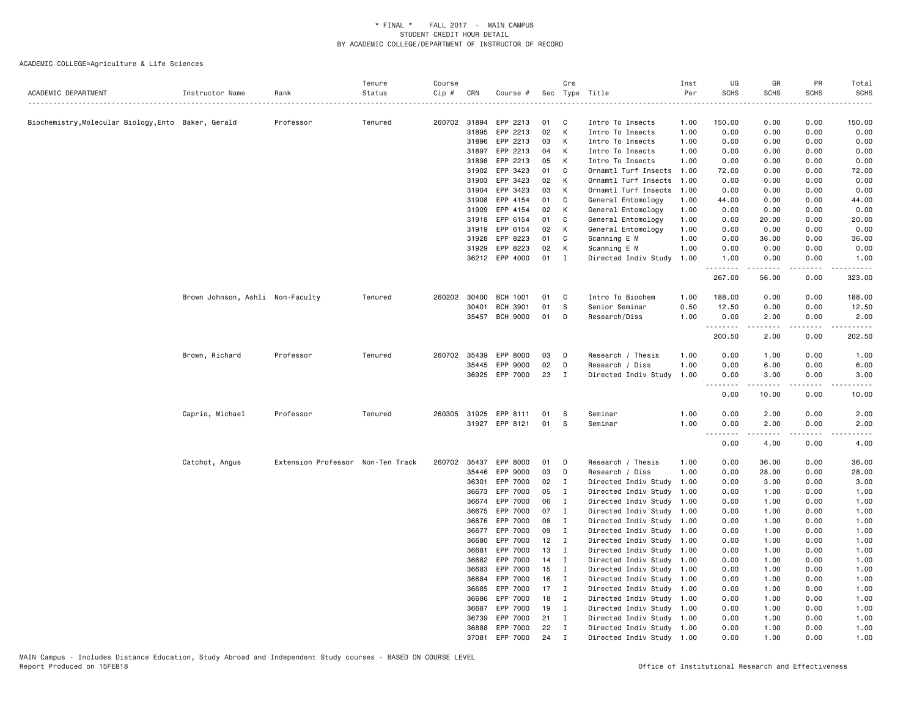| ACADEMIC DEPARTMENT                               | Instructor Name                  | Rank                              | Tenure<br>Status | Course<br>Cip # | CRN            | Course #             |          | Crs                         | Sec Type Title                       | Inst<br>Per  | UG<br><b>SCHS</b>   | GR<br><b>SCHS</b>                                                                                                                                                                        | PR<br><b>SCHS</b> | Total<br><b>SCHS</b>                                                                       |
|---------------------------------------------------|----------------------------------|-----------------------------------|------------------|-----------------|----------------|----------------------|----------|-----------------------------|--------------------------------------|--------------|---------------------|------------------------------------------------------------------------------------------------------------------------------------------------------------------------------------------|-------------------|--------------------------------------------------------------------------------------------|
|                                                   |                                  |                                   |                  |                 |                |                      |          |                             |                                      | .            |                     |                                                                                                                                                                                          |                   |                                                                                            |
| Biochemistry,Molecular Biology,Ento Baker, Gerald |                                  | Professor                         | Tenured          |                 | 260702 31894   | EPP 2213             | 01<br>02 | C<br>K                      | Intro To Insects                     | 1.00         | 150.00              | 0.00                                                                                                                                                                                     | 0.00              | 150.00                                                                                     |
|                                                   |                                  |                                   |                  |                 | 31895<br>31896 | EPP 2213<br>EPP 2213 | 03       | К                           | Intro To Insects<br>Intro To Insects | 1.00<br>1.00 | 0.00<br>0.00        | 0.00<br>0.00                                                                                                                                                                             | 0.00<br>0.00      | 0.00<br>0.00                                                                               |
|                                                   |                                  |                                   |                  |                 | 31897          | EPP 2213             | 04       | К                           | Intro To Insects                     | 1.00         | 0.00                | 0.00                                                                                                                                                                                     | 0.00              | 0.00                                                                                       |
|                                                   |                                  |                                   |                  |                 | 31898          | EPP 2213             | 05       | К                           | Intro To Insects                     | 1.00         | 0.00                | 0.00                                                                                                                                                                                     | 0.00              | 0.00                                                                                       |
|                                                   |                                  |                                   |                  |                 | 31902          | EPP 3423             | 01       | C                           | Ornamtl Turf Insects                 | 1.00         | 72.00               | 0.00                                                                                                                                                                                     | 0.00              | 72.00                                                                                      |
|                                                   |                                  |                                   |                  |                 | 31903          | EPP 3423             | 02       | К                           | Ornamtl Turf Insects                 | 1.00         | 0.00                | 0.00                                                                                                                                                                                     | 0.00              | 0.00                                                                                       |
|                                                   |                                  |                                   |                  |                 | 31904          | EPP 3423             | 03       | K                           | Ornamtl Turf Insects                 | 1.00         | 0.00                | 0.00                                                                                                                                                                                     | 0.00              | 0.00                                                                                       |
|                                                   |                                  |                                   |                  |                 | 31908          | EPP 4154             | 01       | C                           | General Entomology                   | 1.00         | 44.00               | 0.00                                                                                                                                                                                     | 0.00              | 44.00                                                                                      |
|                                                   |                                  |                                   |                  |                 | 31909          | EPP 4154             | 02       | К                           | General Entomology                   | 1.00         | 0.00                | 0.00                                                                                                                                                                                     | 0.00              | 0.00                                                                                       |
|                                                   |                                  |                                   |                  |                 | 31918          | EPP 6154             | 01       | C                           | General Entomology                   | 1.00         | 0.00                | 20.00                                                                                                                                                                                    | 0.00              | 20.00                                                                                      |
|                                                   |                                  |                                   |                  |                 | 31919          | EPP 6154             | 02       | К                           | General Entomology                   | 1.00         | 0.00                | 0.00                                                                                                                                                                                     | 0.00              | 0.00                                                                                       |
|                                                   |                                  |                                   |                  |                 | 31928          | EPP 8223             | 01       | C                           | Scanning E M                         | 1.00         | 0.00                | 36.00                                                                                                                                                                                    | 0.00              | 36.00                                                                                      |
|                                                   |                                  |                                   |                  |                 | 31929          | EPP 8223             | 02       | К                           | Scanning E M                         | 1.00         | 0.00                | 0.00                                                                                                                                                                                     | 0.00              | 0.00                                                                                       |
|                                                   |                                  |                                   |                  |                 |                | 36212 EPP 4000       | 01       | I                           | Directed Indiv Study                 | 1.00         | 1.00                | 0.00                                                                                                                                                                                     | 0.00              | 1.00                                                                                       |
|                                                   |                                  |                                   |                  |                 |                |                      |          |                             |                                      |              | .<br>267.00         | $\frac{1}{2} \left( \frac{1}{2} \right) \left( \frac{1}{2} \right) \left( \frac{1}{2} \right) \left( \frac{1}{2} \right) \left( \frac{1}{2} \right)$<br>56.00                            | .<br>0.00         | $\mathbf{1} \cdot \mathbf{1} \cdot \mathbf{1} \cdot \mathbf{1} \cdot \mathbf{1}$<br>323.00 |
|                                                   | Brown Johnson, Ashli Non-Faculty |                                   | Tenured          |                 | 260202 30400   | <b>BCH 1001</b>      | 01       | C                           | Intro To Biochem                     | 1.00         | 188.00              | 0.00                                                                                                                                                                                     | 0.00              | 188.00                                                                                     |
|                                                   |                                  |                                   |                  |                 | 30401          | <b>BCH 3901</b>      | 01       | S                           | Senior Seminar                       | 0.50         | 12.50               | 0.00                                                                                                                                                                                     | 0.00              | 12.50                                                                                      |
|                                                   |                                  |                                   |                  |                 | 35457          | <b>BCH 9000</b>      | 01       | D                           | Research/Diss                        | 1.00         | 0.00                | 2.00                                                                                                                                                                                     | 0.00              | 2.00                                                                                       |
|                                                   |                                  |                                   |                  |                 |                |                      |          |                             |                                      |              | .<br>200.50         | 2.00                                                                                                                                                                                     | 0.00              | 202.50                                                                                     |
|                                                   | Brown, Richard                   | Professor                         | Tenured          |                 | 260702 35439   | EPP 8000             | 03       | D                           | Research / Thesis                    | 1.00         | 0.00                | 1.00                                                                                                                                                                                     | 0.00              | 1.00                                                                                       |
|                                                   |                                  |                                   |                  |                 | 35445          | EPP 9000             | 02       | D                           | Research / Diss                      | 1.00         | 0.00                | 6.00                                                                                                                                                                                     | 0.00              | 6.00                                                                                       |
|                                                   |                                  |                                   |                  |                 | 36925          | EPP 7000             | 23       | $\mathbf I$                 | Directed Indiv Study                 | 1.00         | 0.00                | 3.00                                                                                                                                                                                     | 0.00              | 3.00                                                                                       |
|                                                   |                                  |                                   |                  |                 |                |                      |          |                             |                                      |              | .<br>0.00           | $\frac{1}{2} \left( \frac{1}{2} \right) \left( \frac{1}{2} \right) \left( \frac{1}{2} \right) \left( \frac{1}{2} \right) \left( \frac{1}{2} \right) \left( \frac{1}{2} \right)$<br>10.00 | .<br>0.00         | .<br>10.00                                                                                 |
|                                                   | Caprio, Michael                  | Professor                         | Tenured          | 260305          | 31925          | EPP 8111             | 01       | S                           | Seminar                              | 1.00         | 0.00                | 2.00                                                                                                                                                                                     | 0.00              | 2.00                                                                                       |
|                                                   |                                  |                                   |                  |                 |                | 31927 EPP 8121       | 01       | S                           | Seminar                              | 1.00         | 0.00<br>$- - - - -$ | 2.00                                                                                                                                                                                     | 0.00              | 2.00                                                                                       |
|                                                   |                                  |                                   |                  |                 |                |                      |          |                             |                                      |              | 0.00                | 4.00                                                                                                                                                                                     | 0.00              | 4.00                                                                                       |
|                                                   | Catchot, Angus                   | Extension Professor Non-Ten Track |                  |                 | 260702 35437   | EPP 8000             | 01       | D                           | Research / Thesis                    | 1.00         | 0.00                | 36.00                                                                                                                                                                                    | 0.00              | 36.00                                                                                      |
|                                                   |                                  |                                   |                  |                 | 35446          | EPP 9000             | 03       | D                           | Research / Diss                      | 1.00         | 0.00                | 28.00                                                                                                                                                                                    | 0.00              | 28.00                                                                                      |
|                                                   |                                  |                                   |                  |                 | 36301          | EPP 7000             | 02       | $\mathbf{I}$                | Directed Indiv Study                 | 1.00         | 0.00                | 3.00                                                                                                                                                                                     | 0.00              | 3.00                                                                                       |
|                                                   |                                  |                                   |                  |                 | 36673          | EPP 7000             | 05       | <b>I</b>                    | Directed Indiv Study                 | 1.00         | 0.00                | 1.00                                                                                                                                                                                     | 0.00              | 1.00                                                                                       |
|                                                   |                                  |                                   |                  |                 | 36674          | EPP 7000             | 06       | I                           | Directed Indiv Study                 | 1.00         | 0.00                | 1.00                                                                                                                                                                                     | 0.00              | 1.00                                                                                       |
|                                                   |                                  |                                   |                  |                 | 36675          | EPP 7000             | 07       | $\mathbf{I}$                | Directed Indiv Study                 | 1.00         | 0.00                | 1.00                                                                                                                                                                                     | 0.00              | 1.00                                                                                       |
|                                                   |                                  |                                   |                  |                 | 36676          | EPP 7000             | 08       | I                           | Directed Indiv Study                 | 1.00         | 0.00                | 1.00                                                                                                                                                                                     | 0.00              | 1.00                                                                                       |
|                                                   |                                  |                                   |                  |                 | 36677          | EPP 7000             | 09       | Ι                           | Directed Indiv Study                 | 1.00         | 0.00                | 1.00                                                                                                                                                                                     | 0.00              | 1.00                                                                                       |
|                                                   |                                  |                                   |                  |                 | 36680          | EPP 7000             | 12       | $\mathbf{I}$                | Directed Indiv Study 1.00            |              | 0.00                | 1.00                                                                                                                                                                                     | 0.00              | 1.00                                                                                       |
|                                                   |                                  |                                   |                  |                 | 36681          | EPP 7000             | 13       | $\mathbf{I}$                | Directed Indiv Study                 | 1.00         | 0.00                | 1.00                                                                                                                                                                                     | 0.00              | 1.00                                                                                       |
|                                                   |                                  |                                   |                  |                 | 36682          | EPP 7000             | 14       | $\mathbf{I}$                | Directed Indiv Study                 | 1.00         | 0.00                | 1.00                                                                                                                                                                                     | 0.00              | 1.00                                                                                       |
|                                                   |                                  |                                   |                  |                 | 36683          | EPP 7000             | 15       | $\mathbf{I}$                | Directed Indiv Study                 | 1.00         | 0.00                | 1.00                                                                                                                                                                                     | 0.00              | 1.00                                                                                       |
|                                                   |                                  |                                   |                  |                 | 36684          | EPP 7000             | 16       | $\mathbf{I}$                | Directed Indiv Study 1.00            |              | 0.00                | 1.00                                                                                                                                                                                     | 0.00              | 1.00                                                                                       |
|                                                   |                                  |                                   |                  |                 | 36685          | EPP 7000             | 17       | I                           | Directed Indiv Study                 | 1.00         | 0.00                | 1.00                                                                                                                                                                                     | 0.00              | 1.00                                                                                       |
|                                                   |                                  |                                   |                  |                 | 36686          | EPP 7000             | 18       | $\mathbf{I}$                | Directed Indiv Study 1.00            |              | 0.00                | 1.00                                                                                                                                                                                     | 0.00              | 1.00                                                                                       |
|                                                   |                                  |                                   |                  |                 | 36687          | EPP 7000             | 19       | I                           | Directed Indiv Study 1.00            |              | 0.00                | 1.00                                                                                                                                                                                     | 0.00              | 1.00                                                                                       |
|                                                   |                                  |                                   |                  |                 | 36739          | EPP 7000             | 21       | I                           | Directed Indiv Study 1.00            |              | 0.00                | 1.00                                                                                                                                                                                     | 0.00              | 1.00                                                                                       |
|                                                   |                                  |                                   |                  |                 | 36888          | EPP 7000             | 22       | $\mathbf I$<br>$\mathbf{r}$ | Directed Indiv Study 1.00            |              | 0.00                | 1.00                                                                                                                                                                                     | 0.00              | 1.00                                                                                       |
|                                                   |                                  |                                   |                  |                 | 37081          | EPP 7000             | 24       |                             | Directed Indiv Study 1.00            |              | 0.00                | 1.00                                                                                                                                                                                     | 0.00              | 1.00                                                                                       |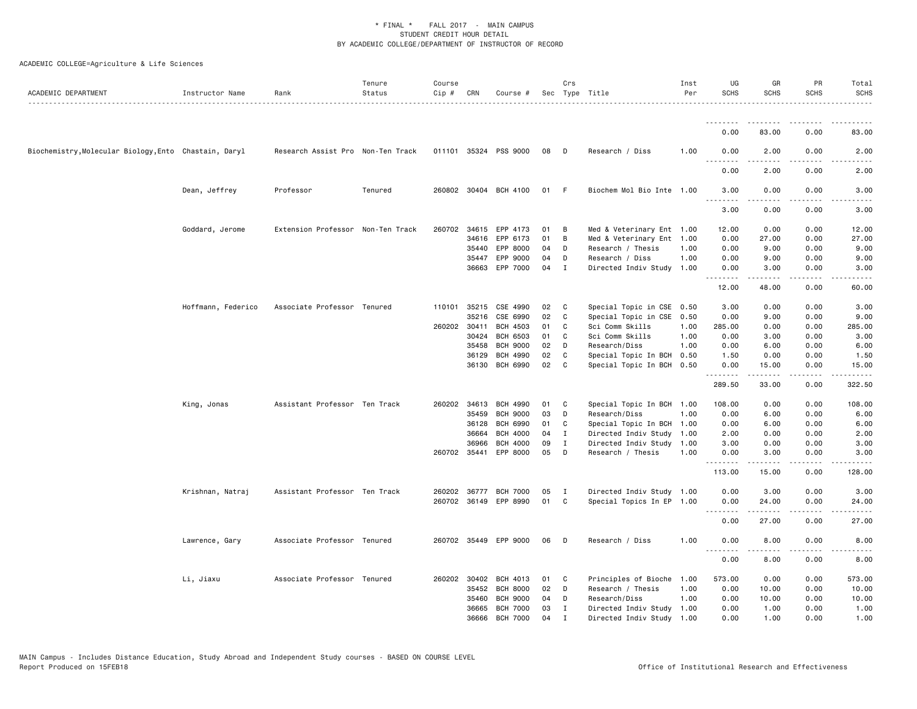| ACADEMIC DEPARTMENT                                   | Instructor Name    | Rank                              | Tenure<br>Status | Course<br>Cip # | CRN   | Course #              |    | Crs         | Sec Type Title            | Inst<br>Per | UG<br><b>SCHS</b>                   | GR<br><b>SCHS</b>   | PR<br><b>SCHS</b>                   | Total<br><b>SCHS</b>  |
|-------------------------------------------------------|--------------------|-----------------------------------|------------------|-----------------|-------|-----------------------|----|-------------|---------------------------|-------------|-------------------------------------|---------------------|-------------------------------------|-----------------------|
|                                                       |                    |                                   |                  |                 |       |                       |    |             |                           |             | <u>.</u>                            |                     |                                     |                       |
|                                                       |                    |                                   |                  |                 |       |                       |    |             |                           |             | 0.00                                | 83.00               | 0.00                                | 83.00                 |
| Biochemistry, Molecular Biology, Ento Chastain, Daryl |                    | Research Assist Pro Non-Ten Track |                  |                 |       | 011101 35324 PSS 9000 | 08 | D           | Research / Diss           | 1.00        | 0.00<br>$\sim$ $\sim$ $\sim$        | 2.00                | 0.00<br>$\sim$ $\sim$ $\sim$ $\sim$ | 2.00                  |
|                                                       |                    |                                   |                  |                 |       |                       |    |             |                           |             | 0.00                                | 2.00                | 0.00                                | 2.00                  |
|                                                       | Dean, Jeffrey      | Professor                         | Tenured          |                 |       | 260802 30404 BCH 4100 | 01 | - F         | Biochem Mol Bio Inte 1.00 |             | 3.00<br>$- - - -$                   | 0.00<br>.           | 0.00<br>$- - - -$                   | 3.00<br>----          |
|                                                       |                    |                                   |                  |                 |       |                       |    |             |                           |             | 3.00                                | 0.00                | 0.00                                | 3.00                  |
|                                                       | Goddard, Jerome    | Extension Professor Non-Ten Track |                  |                 |       | 260702 34615 EPP 4173 | 01 | B           | Med & Veterinary Ent 1.00 |             | 12.00                               | 0.00                | 0.00                                | 12.00                 |
|                                                       |                    |                                   |                  |                 | 34616 | EPP 6173              | 01 | B           | Med & Veterinary Ent 1.00 |             | 0.00                                | 27.00               | 0.00                                | 27.00                 |
|                                                       |                    |                                   |                  |                 | 35440 | EPP 8000              | 04 | D           | Research / Thesis         | 1.00        | 0.00                                | 9.00                | 0.00                                | 9.00                  |
|                                                       |                    |                                   |                  |                 |       | 35447 EPP 9000        | 04 | D           | Research / Diss           | 1.00        | 0.00                                | 9.00                | 0.00                                | 9.00                  |
|                                                       |                    |                                   |                  |                 | 36663 | EPP 7000              | 04 | Ι           | Directed Indiv Study 1.00 |             | 0.00<br>$\sim$ $\sim$ $\sim$ $\sim$ | 3.00<br>-----       | 0.00<br>$\sim$ $\sim$ $\sim$ $\sim$ | 3.00                  |
|                                                       |                    |                                   |                  |                 |       |                       |    |             |                           |             | 12.00                               | 48.00               | 0.00                                | 60.00                 |
|                                                       | Hoffmann, Federico | Associate Professor Tenured       |                  |                 |       | 110101 35215 CSE 4990 | 02 | C           | Special Topic in CSE 0.50 |             | 3.00                                | 0.00                | 0.00                                | 3.00                  |
|                                                       |                    |                                   |                  |                 | 35216 | CSE 6990              | 02 | C           | Special Topic in CSE      | 0.50        | 0.00                                | 9.00                | 0.00                                | 9.00                  |
|                                                       |                    |                                   |                  | 260202 30411    |       | <b>BCH 4503</b>       | 01 | C           | Sci Comm Skills           | 1.00        | 285.00                              | 0.00                | 0.00                                | 285.00                |
|                                                       |                    |                                   |                  |                 | 30424 | <b>BCH 6503</b>       | 01 | C           | Sci Comm Skills           | 1.00        | 0.00                                | 3.00                | 0.00                                | 3.00                  |
|                                                       |                    |                                   |                  |                 | 35458 | <b>BCH 9000</b>       | 02 | D           | Research/Diss             | 1.00        | 0.00                                | 6.00                | 0.00                                | 6.00                  |
|                                                       |                    |                                   |                  |                 | 36129 | <b>BCH 4990</b>       | 02 | C           | Special Topic In BCH      | 0.50        | 1.50                                | 0.00                | 0.00                                | 1.50                  |
|                                                       |                    |                                   |                  |                 | 36130 | BCH 6990              | 02 | C           | Special Topic In BCH 0.50 |             | 0.00<br>.                           | 15.00<br>.          | 0.00<br>.                           | 15.00<br>.            |
|                                                       |                    |                                   |                  |                 |       |                       |    |             |                           |             | 289.50                              | 33.00               | 0.00                                | 322.50                |
|                                                       | King, Jonas        | Assistant Professor Ten Track     |                  |                 |       | 260202 34613 BCH 4990 | 01 | C           | Special Topic In BCH 1.00 |             | 108.00                              | 0.00                | 0.00                                | 108.00                |
|                                                       |                    |                                   |                  |                 | 35459 | <b>BCH 9000</b>       | 03 | D           | Research/Diss             | 1.00        | 0.00                                | 6.00                | 0.00                                | 6.00                  |
|                                                       |                    |                                   |                  |                 | 36128 | BCH 6990              | 01 | C           | Special Topic In BCH 1.00 |             | 0.00                                | 6.00                | 0.00                                | 6.00                  |
|                                                       |                    |                                   |                  |                 | 36664 | <b>BCH 4000</b>       | 04 | $\mathbf I$ | Directed Indiv Study 1.00 |             | 2.00                                | 0.00                | 0.00                                | 2.00                  |
|                                                       |                    |                                   |                  |                 | 36966 | <b>BCH 4000</b>       | 09 | Ι           | Directed Indiv Study      | 1.00        | 3.00                                | 0.00                | 0.00                                | 3.00                  |
|                                                       |                    |                                   |                  | 260702 35441    |       | EPP 8000              | 05 | D           | Research / Thesis         | 1.00        | 0.00<br>.                           | 3.00<br>$- - - - -$ | 0.00<br>.                           | 3.00<br>.             |
|                                                       |                    |                                   |                  |                 |       |                       |    |             |                           |             | 113.00                              | 15.00               | 0.00                                | 128.00                |
|                                                       | Krishnan, Natraj   | Assistant Professor Ten Track     |                  |                 |       | 260202 36777 BCH 7000 | 05 | I           | Directed Indiv Study 1.00 |             | 0.00                                | 3.00                | 0.00                                | 3.00                  |
|                                                       |                    |                                   |                  |                 |       | 260702 36149 EPP 8990 | 01 | C           | Special Topics In EP 1.00 |             | 0.00<br>$\omega$ is a $\omega$      | 24.00<br>-----      | 0.00<br>.                           | 24.00                 |
|                                                       |                    |                                   |                  |                 |       |                       |    |             |                           |             | 0.00                                | 27.00               | 0.00                                | 27.00                 |
|                                                       | Lawrence, Gary     | Associate Professor Tenured       |                  |                 |       | 260702 35449 EPP 9000 | 06 | D           | Research / Diss           | 1.00        | 0.00<br>.                           | 8.00<br>.           | 0.00<br>$\frac{1}{2}$               | 8.00<br>$\frac{1}{2}$ |
|                                                       |                    |                                   |                  |                 |       |                       |    |             |                           |             | 0.00                                | 8.00                | 0.00                                | 8.00                  |
|                                                       | Li, Jiaxu          | Associate Professor Tenured       |                  |                 |       | 260202 30402 BCH 4013 | 01 | C           | Principles of Bioche      | 1.00        | 573.00                              | 0.00                | 0.00                                | 573.00                |
|                                                       |                    |                                   |                  |                 | 35452 | <b>BCH 8000</b>       | 02 | D           | Research / Thesis         | 1.00        | 0.00                                | 10.00               | 0.00                                | 10.00                 |
|                                                       |                    |                                   |                  |                 | 35460 | <b>BCH 9000</b>       | 04 | D           | Research/Diss             | 1.00        | 0.00                                | 10.00               | 0.00                                | 10.00                 |
|                                                       |                    |                                   |                  |                 | 36665 | <b>BCH 7000</b>       | 03 | Ι.          | Directed Indiv Study 1.00 |             | 0.00                                | 1.00                | 0.00                                | 1.00                  |
|                                                       |                    |                                   |                  |                 | 36666 | <b>BCH 7000</b>       | 04 |             | Directed Indiv Study 1.00 |             | 0.00                                | 1.00                | 0.00                                | 1.00                  |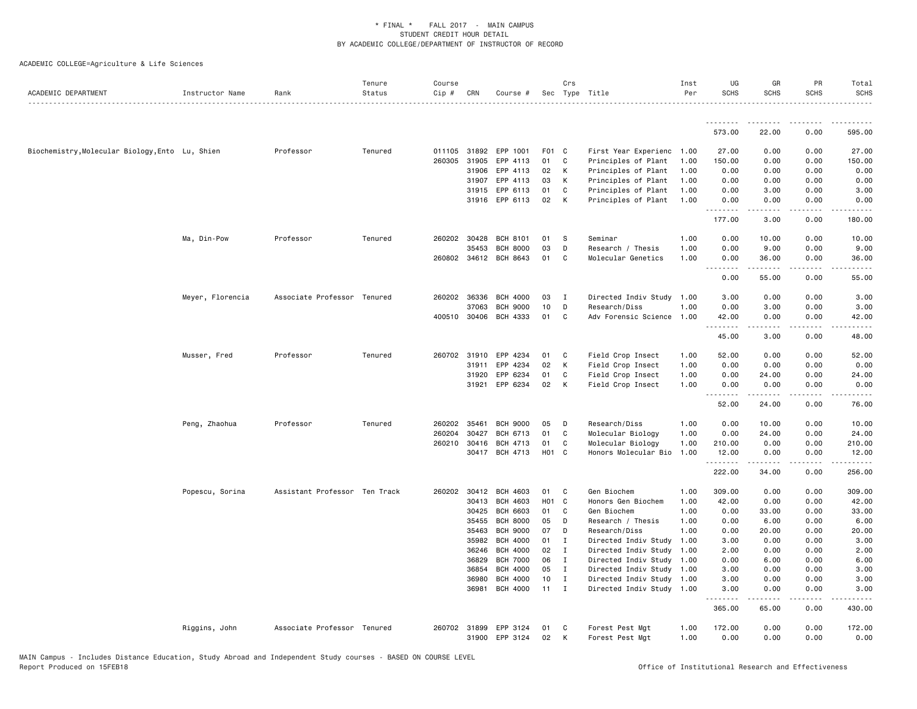| ACADEMIC DEPARTMENT                             | Instructor Name  | Rank                          | Tenure<br>Status | Course<br>Cip # | CRN            | Course #                           |          | Crs          | Sec Type Title                     | Inst<br>Per  | UG<br><b>SCHS</b> | GR<br><b>SCHS</b>                                                                                                                                            | PR<br><b>SCHS</b> | Total<br><b>SCHS</b> |
|-------------------------------------------------|------------------|-------------------------------|------------------|-----------------|----------------|------------------------------------|----------|--------------|------------------------------------|--------------|-------------------|--------------------------------------------------------------------------------------------------------------------------------------------------------------|-------------------|----------------------|
|                                                 |                  |                               |                  |                 |                |                                    |          |              |                                    |              | .                 | .                                                                                                                                                            | .                 |                      |
|                                                 |                  |                               |                  |                 |                |                                    |          |              |                                    |              | 573.00            | 22.00                                                                                                                                                        | 0.00              | 595.00               |
| Biochemistry, Molecular Biology, Ento Lu, Shien |                  | Professor                     | Tenured          | 011105          | 31892          | EPP 1001                           | F01 C    |              | First Year Experienc 1.00          |              | 27.00             | 0.00                                                                                                                                                         | 0.00              | 27.00                |
|                                                 |                  |                               |                  | 260305          | 31905          | EPP 4113                           | 01       | C            | Principles of Plant                | 1.00         | 150.00            | 0.00                                                                                                                                                         | 0.00              | 150.00               |
|                                                 |                  |                               |                  |                 | 31906          | EPP 4113                           | 02       | K            | Principles of Plant                | 1.00         | 0.00              | 0.00                                                                                                                                                         | 0.00              | 0.00                 |
|                                                 |                  |                               |                  |                 | 31907          | EPP 4113                           | 03       | К            | Principles of Plant                | 1.00         | 0.00              | 0.00                                                                                                                                                         | 0.00              | 0.00                 |
|                                                 |                  |                               |                  |                 | 31915          | EPP 6113                           | 01       | C            | Principles of Plant                | 1.00         | 0.00              | 3.00                                                                                                                                                         | 0.00              | 3.00                 |
|                                                 |                  |                               |                  |                 |                | 31916 EPP 6113                     | 02       | K            | Principles of Plant                | 1.00         | 0.00<br>.         | 0.00                                                                                                                                                         | 0.00              | 0.00                 |
|                                                 |                  |                               |                  |                 |                |                                    |          |              |                                    |              | 177.00            | 3.00                                                                                                                                                         | 0.00              | 180.00               |
|                                                 | Ma, Din-Pow      | Professor                     | Tenured          | 260202 30428    |                | <b>BCH 8101</b>                    | 01       | - S          | Seminar                            | 1.00         | 0.00              | 10.00                                                                                                                                                        | 0.00              | 10.00                |
|                                                 |                  |                               |                  |                 | 35453          | <b>BCH 8000</b>                    | 03       | $\mathsf D$  | Research / Thesis                  | 1.00         | 0.00              | 9.00                                                                                                                                                         | 0.00              | 9.00                 |
|                                                 |                  |                               |                  | 260802 34612    |                | BCH 8643                           | 01       | C            | Molecular Genetics                 | 1.00         | 0.00<br><u>.</u>  | 36.00                                                                                                                                                        | 0.00              | 36.00                |
|                                                 |                  |                               |                  |                 |                |                                    |          |              |                                    |              | 0.00              | 55.00                                                                                                                                                        | 0.00              | 55.00                |
|                                                 | Meyer, Florencia | Associate Professor Tenured   |                  | 260202 36336    |                | <b>BCH 4000</b>                    | 03       | $\mathbf{I}$ | Directed Indiv Study 1.00          |              | 3.00              | 0.00                                                                                                                                                         | 0.00              | 3.00                 |
|                                                 |                  |                               |                  |                 | 37063          | <b>BCH 9000</b>                    | 10       | D            | Research/Diss                      | 1.00         | 0.00              | 3.00                                                                                                                                                         | 0.00              | 3.00                 |
|                                                 |                  |                               |                  | 400510 30406    |                | BCH 4333                           | 01       | C            | Adv Forensic Science 1.00          |              | 42.00<br>.        | 0.00                                                                                                                                                         | 0.00<br>الداعات   | 42.00                |
|                                                 |                  |                               |                  |                 |                |                                    |          |              |                                    |              | 45.00             | <b>.</b><br>3.00                                                                                                                                             | 0.00              | .<br>48.00           |
|                                                 | Musser, Fred     | Professor                     | Tenured          | 260702          | 31910          | EPP 4234                           | 01       | C            | Field Crop Insect                  | 1.00         | 52.00             | 0.00                                                                                                                                                         | 0.00              | 52.00                |
|                                                 |                  |                               |                  |                 | 31911          | EPP 4234                           | 02       | К            | Field Crop Insect                  | 1.00         | 0.00              | 0.00                                                                                                                                                         | 0.00              | 0.00                 |
|                                                 |                  |                               |                  |                 | 31920          | EPP 6234                           | 01       | C            | Field Crop Insect                  | 1.00         | 0.00              | 24.00                                                                                                                                                        | 0.00              | 24.00                |
|                                                 |                  |                               |                  |                 | 31921          | EPP 6234                           | 02       | K            | Field Crop Insect                  | 1.00         | 0.00<br>.         | 0.00<br>.                                                                                                                                                    | 0.00<br>.         | 0.00<br>.            |
|                                                 |                  |                               |                  |                 |                |                                    |          |              |                                    |              | 52.00             | 24.00                                                                                                                                                        | 0.00              | 76.00                |
|                                                 | Peng, Zhaohua    | Professor                     | Tenured          | 260202          | 35461          | <b>BCH 9000</b>                    | 05       | D            | Research/Diss                      | 1.00         | 0.00              | 10.00                                                                                                                                                        | 0.00              | 10.00                |
|                                                 |                  |                               |                  | 260204          | 30427          | BCH 6713                           | 01       | C            | Molecular Biology                  | 1.00         | 0.00              | 24.00                                                                                                                                                        | 0.00              | 24.00                |
|                                                 |                  |                               |                  | 260210          | 30416          | <b>BCH 4713</b>                    | 01       | C            | Molecular Biology                  | 1.00         | 210.00            | 0.00                                                                                                                                                         | 0.00              | 210.00               |
|                                                 |                  |                               |                  |                 | 30417          | BCH 4713                           | H01 C    |              | Honors Molecular Bio               | 1.00         | 12.00<br>.        | 0.00<br>.                                                                                                                                                    | 0.00<br>.         | 12.00<br>.           |
|                                                 |                  |                               |                  |                 |                |                                    |          |              |                                    |              | 222.00            | 34.00                                                                                                                                                        | 0.00              | 256.00               |
|                                                 | Popescu, Sorina  | Assistant Professor Ten Track |                  | 260202 30412    |                | <b>BCH 4603</b>                    | 01       | C            | Gen Biochem                        | 1.00         | 309.00            | 0.00                                                                                                                                                         | 0.00              | 309.00               |
|                                                 |                  |                               |                  |                 | 30413          | <b>BCH 4603</b>                    | H01 C    |              | Honors Gen Biochem                 | 1.00         | 42.00             | 0.00                                                                                                                                                         | 0.00              | 42.00                |
|                                                 |                  |                               |                  |                 | 30425          | <b>BCH 6603</b>                    | 01       | C            | Gen Biochem                        | 1.00         | 0.00              | 33.00                                                                                                                                                        | 0.00              | 33.00                |
|                                                 |                  |                               |                  |                 | 35455<br>35463 | <b>BCH 8000</b><br><b>BCH 9000</b> | 05<br>07 | D<br>D       | Research / Thesis<br>Research/Diss | 1.00<br>1.00 | 0.00<br>0.00      | 6.00<br>20.00                                                                                                                                                | 0.00<br>0.00      | 6.00<br>20.00        |
|                                                 |                  |                               |                  |                 | 35982          | <b>BCH 4000</b>                    | 01       | $\mathbf{I}$ | Directed Indiv Study               | 1.00         | 3.00              | 0.00                                                                                                                                                         | 0.00              | 3.00                 |
|                                                 |                  |                               |                  |                 | 36246          | <b>BCH 4000</b>                    | 02       | $\mathbf{I}$ | Directed Indiv Study 1.00          |              | 2.00              | 0.00                                                                                                                                                         | 0.00              | 2.00                 |
|                                                 |                  |                               |                  |                 | 36829          | <b>BCH 7000</b>                    | 06       | $\mathbf{I}$ | Directed Indiv Study 1.00          |              | 0.00              | 6.00                                                                                                                                                         | 0.00              | 6.00                 |
|                                                 |                  |                               |                  |                 | 36854          | <b>BCH 4000</b>                    | 05       | $\mathbf{I}$ | Directed Indiv Study 1.00          |              | 3.00              | 0.00                                                                                                                                                         | 0.00              | 3.00                 |
|                                                 |                  |                               |                  |                 | 36980          | <b>BCH 4000</b>                    | 10       | $\mathbf{I}$ | Directed Indiv Study 1.00          |              | 3.00              | 0.00                                                                                                                                                         | 0.00              | 3.00                 |
|                                                 |                  |                               |                  |                 | 36981          | <b>BCH 4000</b>                    | 11       | $\mathbf{I}$ | Directed Indiv Study 1.00          |              | 3.00<br>.         | 0.00<br>$\frac{1}{2} \left( \frac{1}{2} \right) \left( \frac{1}{2} \right) \left( \frac{1}{2} \right) \left( \frac{1}{2} \right) \left( \frac{1}{2} \right)$ | 0.00<br>.         | 3.00                 |
|                                                 |                  |                               |                  |                 |                |                                    |          |              |                                    |              | 365.00            | 65.00                                                                                                                                                        | 0.00              | 430.00               |
|                                                 | Riggins, John    | Associate Professor Tenured   |                  | 260702 31899    |                | EPP 3124                           | 01       | C            | Forest Pest Mgt                    | 1.00         | 172.00            | 0.00                                                                                                                                                         | 0.00              | 172.00               |
|                                                 |                  |                               |                  |                 | 31900          | EPP 3124                           | 02       | к            | Forest Pest Mgt                    | 1.00         | 0.00              | 0.00                                                                                                                                                         | 0.00              | 0.00                 |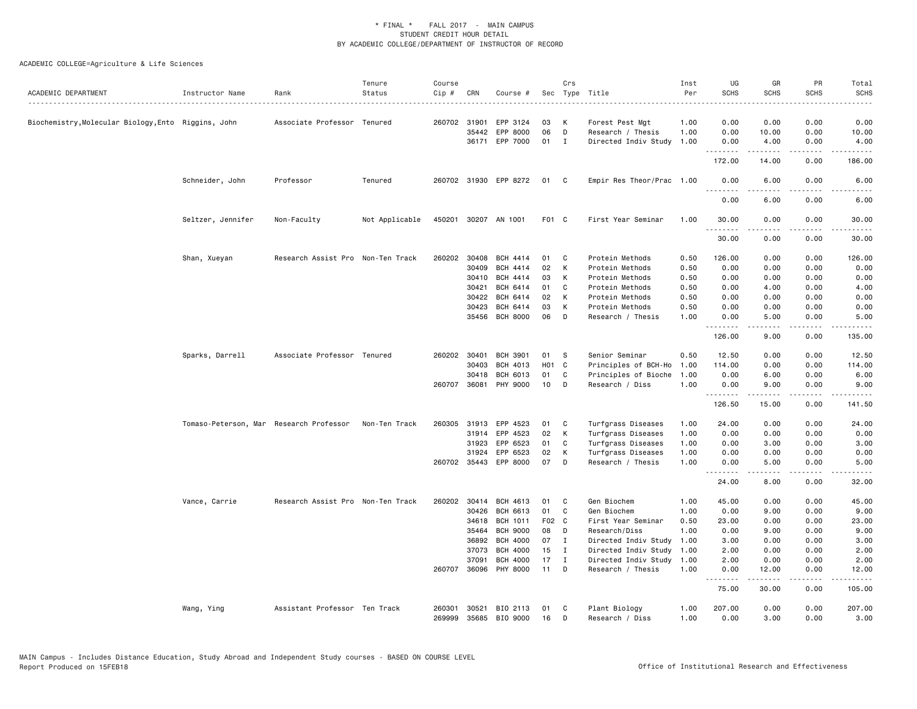| ACADEMIC DEPARTMENT                               | Instructor Name                         | Rank                              | Tenure<br>Status | Course<br>Cip # | CRN          | Course #              |       | Crs          | Sec Type Title            | Inst<br>Per | UG<br><b>SCHS</b> | GR<br><b>SCHS</b>                                                                                                                                            | PR<br><b>SCHS</b>                                                                                                                 | Total<br><b>SCHS</b><br>$\frac{1}{2} \left( \frac{1}{2} \right) \left( \frac{1}{2} \right) \left( \frac{1}{2} \right) \left( \frac{1}{2} \right)$ |
|---------------------------------------------------|-----------------------------------------|-----------------------------------|------------------|-----------------|--------------|-----------------------|-------|--------------|---------------------------|-------------|-------------------|--------------------------------------------------------------------------------------------------------------------------------------------------------------|-----------------------------------------------------------------------------------------------------------------------------------|---------------------------------------------------------------------------------------------------------------------------------------------------|
| Biochemistry,Molecular Biology,Ento Riggins, John |                                         | Associate Professor Tenured       |                  |                 | 260702 31901 | EPP 3124              | 03    | К            | Forest Pest Mgt           | 1.00        | 0.00              | 0.00                                                                                                                                                         | 0.00                                                                                                                              | 0.00                                                                                                                                              |
|                                                   |                                         |                                   |                  |                 | 35442        | EPP 8000              | 06    | D            | Research / Thesis         | 1.00        | 0.00              | 10.00                                                                                                                                                        | 0.00                                                                                                                              | 10.00                                                                                                                                             |
|                                                   |                                         |                                   |                  |                 |              | 36171 EPP 7000        | 01    | $\mathbf{I}$ | Directed Indiv Study      | 1.00        | 0.00<br>.         | 4.00<br>.                                                                                                                                                    | 0.00<br>.                                                                                                                         | 4.00<br>.                                                                                                                                         |
|                                                   |                                         |                                   |                  |                 |              |                       |       |              |                           |             | 172.00            | 14.00                                                                                                                                                        | 0.00                                                                                                                              | 186.00                                                                                                                                            |
|                                                   | Schneider, John                         | Professor                         | Tenured          |                 |              | 260702 31930 EPP 8272 | 01    | C            | Empir Res Theor/Prac 1.00 |             | 0.00<br><u>.</u>  | 6.00<br>-----                                                                                                                                                | 0.00<br>.                                                                                                                         | 6.00<br>-----                                                                                                                                     |
|                                                   |                                         |                                   |                  |                 |              |                       |       |              |                           |             | 0.00              | 6.00                                                                                                                                                         | 0.00                                                                                                                              | 6.00                                                                                                                                              |
|                                                   | Seltzer, Jennifer                       | Non-Faculty                       | Not Applicable   |                 |              | 450201 30207 AN 1001  | F01 C |              | First Year Seminar        | 1.00        | 30.00<br>.        | 0.00<br>لأعاجب                                                                                                                                               | 0.00<br>.                                                                                                                         | 30.00<br>.                                                                                                                                        |
|                                                   |                                         |                                   |                  |                 |              |                       |       |              |                           |             | 30.00             | 0.00                                                                                                                                                         | 0.00                                                                                                                              | 30.00                                                                                                                                             |
|                                                   | Shan, Xueyan                            | Research Assist Pro Non-Ten Track |                  | 260202          | 30408        | <b>BCH 4414</b>       | 01    | C            | Protein Methods           | 0.50        | 126.00            | 0.00                                                                                                                                                         | 0.00                                                                                                                              | 126.00                                                                                                                                            |
|                                                   |                                         |                                   |                  |                 | 30409        | <b>BCH 4414</b>       | 02    | K            | Protein Methods           | 0.50        | 0.00              | 0.00                                                                                                                                                         | 0.00                                                                                                                              | 0.00                                                                                                                                              |
|                                                   |                                         |                                   |                  |                 | 30410        | BCH 4414              | 03    | К            | Protein Methods           | 0.50        | 0.00              | 0.00                                                                                                                                                         | 0.00                                                                                                                              | 0.00                                                                                                                                              |
|                                                   |                                         |                                   |                  |                 | 30421        | BCH 6414              | 01    | C            | Protein Methods           | 0.50        | 0.00              | 4.00                                                                                                                                                         | 0.00                                                                                                                              | 4.00                                                                                                                                              |
|                                                   |                                         |                                   |                  |                 | 30422        | BCH 6414              | 02    | K            | Protein Methods           | 0.50        | 0.00              | 0.00                                                                                                                                                         | 0.00                                                                                                                              | 0.00                                                                                                                                              |
|                                                   |                                         |                                   |                  |                 | 30423        | BCH 6414              | 03    | К            | Protein Methods           | 0.50        | 0.00              | 0.00                                                                                                                                                         | 0.00                                                                                                                              | 0.00                                                                                                                                              |
|                                                   |                                         |                                   |                  |                 | 35456        | <b>BCH 8000</b>       | 06    | D            | Research / Thesis         | 1.00        | 0.00<br>.         | 5.00                                                                                                                                                         | 0.00<br>$\frac{1}{2} \left( \frac{1}{2} \right) \left( \frac{1}{2} \right) \left( \frac{1}{2} \right) \left( \frac{1}{2} \right)$ | 5.00                                                                                                                                              |
|                                                   |                                         |                                   |                  |                 |              |                       |       |              |                           |             | 126.00            | 9.00                                                                                                                                                         | 0.00                                                                                                                              | 135.00                                                                                                                                            |
|                                                   | Sparks, Darrell                         | Associate Professor Tenured       |                  |                 | 260202 30401 | <b>BCH 3901</b>       | 01    | S            | Senior Seminar            | 0.50        | 12.50             | 0.00                                                                                                                                                         | 0.00                                                                                                                              | 12.50                                                                                                                                             |
|                                                   |                                         |                                   |                  |                 | 30403        | BCH 4013              | H01 C |              | Principles of BCH-Ho      | 1.00        | 114.00            | 0.00                                                                                                                                                         | 0.00                                                                                                                              | 114.00                                                                                                                                            |
|                                                   |                                         |                                   |                  |                 | 30418        | <b>BCH 6013</b>       | 01    | C            | Principles of Bioche      | 1.00        | 0.00              | 6.00                                                                                                                                                         | 0.00                                                                                                                              | 6.00                                                                                                                                              |
|                                                   |                                         |                                   |                  |                 | 260707 36081 | PHY 9000              | 10    | D            | Research / Diss           | 1.00        | 0.00              | 9.00<br>$\frac{1}{2} \left( \frac{1}{2} \right) \left( \frac{1}{2} \right) \left( \frac{1}{2} \right) \left( \frac{1}{2} \right) \left( \frac{1}{2} \right)$ | 0.00<br>.                                                                                                                         | 9.00<br>.                                                                                                                                         |
|                                                   |                                         |                                   |                  |                 |              |                       |       |              |                           |             | 126.50            | 15.00                                                                                                                                                        | 0.00                                                                                                                              | 141.50                                                                                                                                            |
|                                                   | Tomaso-Peterson, Mar Research Professor |                                   | Non-Ten Track    |                 |              | 260305 31913 EPP 4523 | 01    | C            | Turfgrass Diseases        | 1.00        | 24.00             | 0.00                                                                                                                                                         | 0.00                                                                                                                              | 24.00                                                                                                                                             |
|                                                   |                                         |                                   |                  |                 | 31914        | EPP 4523              | 02    | К            | Turfgrass Diseases        | 1.00        | 0.00              | 0.00                                                                                                                                                         | 0.00                                                                                                                              | 0.00                                                                                                                                              |
|                                                   |                                         |                                   |                  |                 | 31923        | EPP 6523              | 01    | C            | Turfgrass Diseases        | 1.00        | 0.00              | 3.00                                                                                                                                                         | 0.00                                                                                                                              | 3.00                                                                                                                                              |
|                                                   |                                         |                                   |                  |                 | 31924        | EPP 6523              | 02    | К            | Turfgrass Diseases        | 1.00        | 0.00              | 0.00                                                                                                                                                         | 0.00                                                                                                                              | 0.00                                                                                                                                              |
|                                                   |                                         |                                   |                  |                 | 260702 35443 | EPP 8000              | 07    | D            | Research / Thesis         | 1.00        | 0.00<br>.         | 5.00                                                                                                                                                         | 0.00<br>$\sim$ $\sim$ $\sim$ $\sim$                                                                                               | 5.00                                                                                                                                              |
|                                                   |                                         |                                   |                  |                 |              |                       |       |              |                           |             | 24.00             | 8.00                                                                                                                                                         | 0.00                                                                                                                              | 32.00                                                                                                                                             |
|                                                   | Vance, Carrie                           | Research Assist Pro Non-Ten Track |                  |                 | 260202 30414 | BCH 4613              | 01    | C            | Gen Biochem               | 1.00        | 45.00             | 0.00                                                                                                                                                         | 0.00                                                                                                                              | 45.00                                                                                                                                             |
|                                                   |                                         |                                   |                  |                 | 30426        | BCH 6613              | 01    | C            | Gen Biochem               | 1.00        | 0.00              | 9.00                                                                                                                                                         | 0.00                                                                                                                              | 9.00                                                                                                                                              |
|                                                   |                                         |                                   |                  |                 | 34618        | <b>BCH 1011</b>       | F02 C |              | First Year Seminar        | 0.50        | 23.00             | 0.00                                                                                                                                                         | 0.00                                                                                                                              | 23.00                                                                                                                                             |
|                                                   |                                         |                                   |                  |                 | 35464        | <b>BCH 9000</b>       | 08    | D            | Research/Diss             | 1.00        | 0.00              | 9.00                                                                                                                                                         | 0.00                                                                                                                              | 9.00                                                                                                                                              |
|                                                   |                                         |                                   |                  |                 | 36892        | <b>BCH 4000</b>       | 07    | $\mathbf I$  | Directed Indiv Study      | 1.00        | 3.00              | 0.00                                                                                                                                                         | 0.00                                                                                                                              | 3.00                                                                                                                                              |
|                                                   |                                         |                                   |                  |                 | 37073        | <b>BCH 4000</b>       | 15    | I            | Directed Indiv Study      | 1.00        | 2.00              | 0.00                                                                                                                                                         | 0.00                                                                                                                              | 2.00                                                                                                                                              |
|                                                   |                                         |                                   |                  |                 | 37091        | <b>BCH 4000</b>       | 17    | Ι            | Directed Indiv Study      | 1.00        | 2.00              | 0.00                                                                                                                                                         | 0.00                                                                                                                              | 2.00                                                                                                                                              |
|                                                   |                                         |                                   |                  |                 |              | 260707 36096 PHY 8000 | 11    | D            | Research / Thesis         | 1.00        | 0.00              | 12.00<br>$   -$                                                                                                                                              | 0.00<br>.                                                                                                                         | 12.00<br>.                                                                                                                                        |
|                                                   |                                         |                                   |                  |                 |              |                       |       |              |                           |             | .<br>75.00        | 30.00                                                                                                                                                        | 0.00                                                                                                                              | 105.00                                                                                                                                            |
|                                                   | Wang, Ying                              | Assistant Professor Ten Track     |                  | 260301          | 30521        | BIO 2113              | 01    | C            | Plant Biology             | 1.00        | 207.00            | 0.00                                                                                                                                                         | 0.00                                                                                                                              | 207.00                                                                                                                                            |
|                                                   |                                         |                                   |                  | 269999          |              | 35685 BIO 9000        | 16    | D            | Research / Diss           | 1.00        | 0.00              | 3.00                                                                                                                                                         | 0.00                                                                                                                              | 3.00                                                                                                                                              |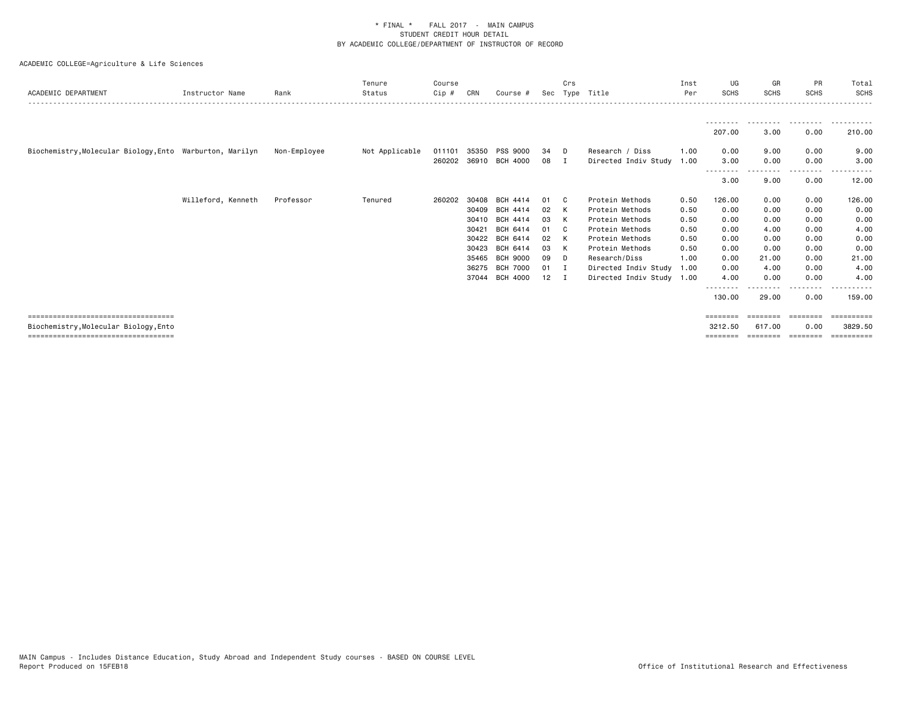| ACADEMIC DEPARTMENT                                      | Instructor Name    | Rank         | Tenure<br>Status | Course<br>Cip # | CRN   | Course #        | Sec | Crs            | Type Title                | Inst<br>Per | UG<br><b>SCHS</b>         | GR<br><b>SCHS</b> | PR<br><b>SCHS</b> | Total<br><b>SCHS</b> |
|----------------------------------------------------------|--------------------|--------------|------------------|-----------------|-------|-----------------|-----|----------------|---------------------------|-------------|---------------------------|-------------------|-------------------|----------------------|
|                                                          |                    |              |                  |                 |       |                 |     |                |                           |             |                           |                   |                   |                      |
|                                                          |                    |              |                  |                 |       |                 |     |                |                           |             | 207.00                    | 3.00              | 0.00              | 210.00               |
| Biochemistry, Molecular Biology, Ento Warburton, Marilyn |                    | Non-Employee | Not Applicable   | 011101          | 35350 | <b>PSS 9000</b> | 34  | - D            | Research / Diss           | 1.00        | 0.00                      | 9.00              | 0.00              | 9.00                 |
|                                                          |                    |              |                  | 260202          |       | 36910 BCH 4000  | 08  | $\blacksquare$ | Directed Indiv Study      | 1.00        | 3.00                      | 0.00              | 0.00              | 3.00                 |
|                                                          |                    |              |                  |                 |       |                 |     |                |                           |             | 3.00                      | 9.00              | 0.00              | 12.00                |
|                                                          | Willeford, Kenneth | Professor    | Tenured          | 260202          | 30408 | BCH 4414        | 01  | - C            | Protein Methods           | 0.50        | 126.00                    | 0.00              | 0.00              | 126.00               |
|                                                          |                    |              |                  |                 | 30409 | BCH 4414        | 02  | K              | Protein Methods           | 0.50        | 0.00                      | 0.00              | 0.00              | 0.00                 |
|                                                          |                    |              |                  |                 |       | 30410 BCH 4414  | 03  | K              | Protein Methods           | 0.50        | 0.00                      | 0.00              | 0.00              | 0.00                 |
|                                                          |                    |              |                  |                 | 30421 | BCH 6414        | 01  | - C            | Protein Methods           | 0.50        | 0.00                      | 4.00              | 0.00              | 4.00                 |
|                                                          |                    |              |                  |                 | 30422 | BCH 6414        | 02  | K              | Protein Methods           | 0.50        | 0.00                      | 0.00              | 0.00              | 0.00                 |
|                                                          |                    |              |                  |                 | 30423 | BCH 6414        | 03  | K              | Protein Methods           | 0.50        | 0.00                      | 0.00              | 0.00              | 0.00                 |
|                                                          |                    |              |                  |                 | 35465 | <b>BCH 9000</b> | 09  | - D            | Research/Diss             | 1.00        | 0.00                      | 21.00             | 0.00              | 21.00                |
|                                                          |                    |              |                  |                 | 36275 | <b>BCH 7000</b> | 01  | I.             | Directed Indiv Study      | 1.00        | 0.00                      | 4.00              | 0.00              | 4.00                 |
|                                                          |                    |              |                  |                 | 37044 | BCH 4000        | 12  | $\mathbf I$    | Directed Indiv Study 1.00 |             | 4.00                      | 0.00              | 0.00              | 4.00                 |
|                                                          |                    |              |                  |                 |       |                 |     |                |                           |             | - - - - - - - -<br>130.00 | 29.00             | 0.00              | 159.00               |
| ====================================                     |                    |              |                  |                 |       |                 |     |                |                           |             | ========                  |                   | ========          | ==========           |
| Biochemistry, Molecular Biology, Ento                    |                    |              |                  |                 |       |                 |     |                |                           |             | 3212.50                   | 617.00            | 0.00              | 3829.50              |
| =====================================                    |                    |              |                  |                 |       |                 |     |                |                           |             | ========                  | ========          | ---------         |                      |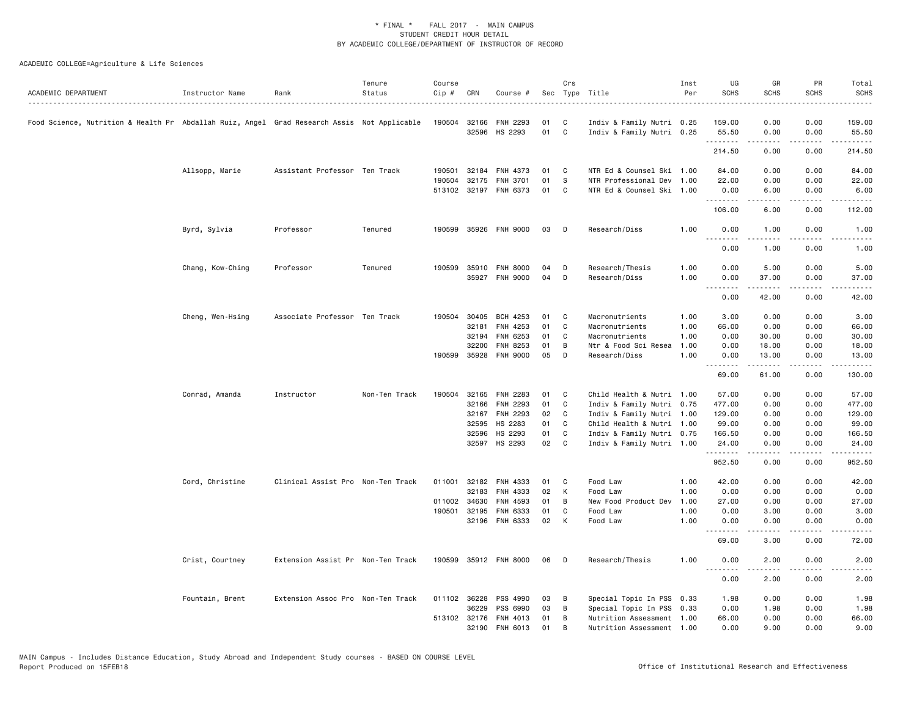| ACADEMIC DEPARTMENT                                                                         | Instructor Name  | Rank                              | Tenure<br>Status | Course<br>Cip # | CRN          | Course #              |    | Crs                        | Sec Type Title            | Inst<br>Per | UG<br><b>SCHS</b> | GR<br><b>SCHS</b>                                                                                                                                            | PR<br><b>SCHS</b>                   | Total<br><b>SCHS</b>                                                                                                      |
|---------------------------------------------------------------------------------------------|------------------|-----------------------------------|------------------|-----------------|--------------|-----------------------|----|----------------------------|---------------------------|-------------|-------------------|--------------------------------------------------------------------------------------------------------------------------------------------------------------|-------------------------------------|---------------------------------------------------------------------------------------------------------------------------|
| Food Science, Nutrition & Health Pr Abdallah Ruiz, Angel Grad Research Assis Not Applicable |                  |                                   |                  |                 | 190504 32166 | <b>FNH 2293</b>       | 01 | C                          | Indiv & Family Nutri 0.25 |             | 159.00            | 0.00                                                                                                                                                         | 0.00                                | 159.00                                                                                                                    |
|                                                                                             |                  |                                   |                  |                 |              | 32596 HS 2293         | 01 | $\mathbf{C}$               | Indiv & Family Nutri 0.25 |             | 55.50<br>.        | 0.00<br><u>.</u>                                                                                                                                             | 0.00<br>.                           | 55.50<br><u>.</u>                                                                                                         |
|                                                                                             |                  |                                   |                  |                 |              |                       |    |                            |                           |             | 214.50            | 0.00                                                                                                                                                         | 0.00                                | 214.50                                                                                                                    |
|                                                                                             | Allsopp, Marie   | Assistant Professor Ten Track     |                  | 190501          | 32184        | FNH 4373              | 01 | C                          | NTR Ed & Counsel Ski 1.00 |             | 84.00             | 0.00                                                                                                                                                         | 0.00                                | 84.00                                                                                                                     |
|                                                                                             |                  |                                   |                  | 190504          | 32175        | FNH 3701              | 01 | - S                        | NTR Professional Dev 1.00 |             | 22.00             | 0.00                                                                                                                                                         | 0.00                                | 22.00                                                                                                                     |
|                                                                                             |                  |                                   |                  |                 |              | 513102 32197 FNH 6373 | 01 | $\mathbf{C}$               | NTR Ed & Counsel Ski 1.00 |             | 0.00              | 6.00                                                                                                                                                         | 0.00<br>.                           | 6.00                                                                                                                      |
|                                                                                             |                  |                                   |                  |                 |              |                       |    |                            |                           |             | .<br>106.00       | $\begin{array}{cccccccccccccc} \bullet & \bullet & \bullet & \bullet & \bullet & \bullet & \bullet \end{array}$<br>6.00                                      | 0.00                                | $\begin{array}{cccccccccccccc} \bullet & \bullet & \bullet & \bullet & \bullet & \bullet & \bullet \end{array}$<br>112.00 |
|                                                                                             | Byrd, Sylvia     | Professor                         | Tenured          | 190599          |              | 35926 FNH 9000        | 03 | D                          | Research/Diss             | 1.00        | 0.00              | 1.00                                                                                                                                                         | 0.00                                | 1.00                                                                                                                      |
|                                                                                             |                  |                                   |                  |                 |              |                       |    |                            |                           |             | .<br>0.00         | $\frac{1}{2} \left( \frac{1}{2} \right) \left( \frac{1}{2} \right) \left( \frac{1}{2} \right) \left( \frac{1}{2} \right) \left( \frac{1}{2} \right)$<br>1.00 | $\sim$ $\sim$ $\sim$<br>0.00        | 1.00                                                                                                                      |
|                                                                                             | Chang, Kow-Ching | Professor                         | Tenured          | 190599          | 35910        | <b>FNH 8000</b>       | 04 | D                          | Research/Thesis           | 1.00        | 0.00              | 5.00                                                                                                                                                         | 0.00                                | 5.00                                                                                                                      |
|                                                                                             |                  |                                   |                  |                 |              | 35927 FNH 9000        | 04 | D                          | Research/Diss             | 1.00        | 0.00<br>.         | 37.00<br>.                                                                                                                                                   | 0.00                                | 37.00                                                                                                                     |
|                                                                                             |                  |                                   |                  |                 |              |                       |    |                            |                           |             | 0.00              | 42.00                                                                                                                                                        | 0.00                                | 42.00                                                                                                                     |
|                                                                                             | Cheng, Wen-Hsing | Associate Professor Ten Track     |                  | 190504          | 30405        | <b>BCH 4253</b>       | 01 | C                          | Macronutrients            | 1.00        | 3.00              | 0.00                                                                                                                                                         | 0.00                                | 3.00                                                                                                                      |
|                                                                                             |                  |                                   |                  |                 | 32181        | FNH 4253              | 01 | C                          | Macronutrients            | 1.00        | 66.00             | 0.00                                                                                                                                                         | 0.00                                | 66.00                                                                                                                     |
|                                                                                             |                  |                                   |                  |                 | 32194        | FNH 6253              | 01 | C                          | Macronutrients            | 1.00        | 0.00              | 30.00                                                                                                                                                        | 0.00                                | 30.00                                                                                                                     |
|                                                                                             |                  |                                   |                  |                 | 32200        | FNH 8253              | 01 | B                          | Ntr & Food Sci Resea      | 1.00        | 0.00              | 18.00                                                                                                                                                        | 0.00                                | 18.00                                                                                                                     |
|                                                                                             |                  |                                   |                  |                 | 190599 35928 | <b>FNH 9000</b>       | 05 | D                          | Research/Diss             | 1.00        | 0.00              | 13.00                                                                                                                                                        | 0.00                                | 13.00                                                                                                                     |
|                                                                                             |                  |                                   |                  |                 |              |                       |    |                            |                           |             | .<br>69.00        | .<br>61.00                                                                                                                                                   | $\sim$ $\sim$ $\sim$ $\sim$<br>0.00 | .<br>130.00                                                                                                               |
|                                                                                             | Conrad, Amanda   | Instructor                        | Non-Ten Track    | 190504          | 32165        | FNH 2283              | 01 | C                          | Child Health & Nutri 1.00 |             | 57.00             | 0.00                                                                                                                                                         | 0.00                                | 57.00                                                                                                                     |
|                                                                                             |                  |                                   |                  |                 | 32166        | <b>FNH 2293</b>       | 01 | C.                         | Indiv & Family Nutri 0.75 |             | 477.00            | 0.00                                                                                                                                                         | 0.00                                | 477.00                                                                                                                    |
|                                                                                             |                  |                                   |                  |                 |              | 32167 FNH 2293        | 02 | $\mathbf{C}$               | Indiv & Family Nutri 1.00 |             | 129.00            | 0.00                                                                                                                                                         | 0.00                                | 129.00                                                                                                                    |
|                                                                                             |                  |                                   |                  |                 | 32595        | HS 2283               | 01 | C                          | Child Health & Nutri 1.00 |             | 99.00             | 0.00                                                                                                                                                         | 0.00                                | 99.00                                                                                                                     |
|                                                                                             |                  |                                   |                  |                 | 32596        | HS 2293               | 01 | C                          | Indiv & Family Nutri 0.75 |             | 166.50            | 0.00                                                                                                                                                         | 0.00                                | 166.50                                                                                                                    |
|                                                                                             |                  |                                   |                  |                 |              | 32597 HS 2293         | 02 | $\overline{\phantom{a}}$ c | Indiv & Family Nutri 1.00 |             | 24.00<br>.        | 0.00<br>-----                                                                                                                                                | 0.00<br>.                           | 24.00<br>-----                                                                                                            |
|                                                                                             |                  |                                   |                  |                 |              |                       |    |                            |                           |             | 952.50            | 0.00                                                                                                                                                         | 0.00                                | 952.50                                                                                                                    |
|                                                                                             | Cord, Christine  | Clinical Assist Pro Non-Ten Track |                  | 011001          | 32182        | FNH 4333              | 01 | $\mathbf{C}$               | Food Law                  | 1.00        | 42.00             | 0.00                                                                                                                                                         | 0.00                                | 42.00                                                                                                                     |
|                                                                                             |                  |                                   |                  |                 | 32183        | FNH 4333              | 02 | K                          | Food Law                  | 1.00        | 0.00              | 0.00                                                                                                                                                         | 0.00                                | 0.00                                                                                                                      |
|                                                                                             |                  |                                   |                  |                 | 011002 34630 | FNH 4593              | 01 | B                          | New Food Product Dev      | 1.00        | 27.00             | 0.00                                                                                                                                                         | 0.00                                | 27.00                                                                                                                     |
|                                                                                             |                  |                                   |                  | 190501          | 32195        | FNH 6333              | 01 | C                          | Food Law                  | 1.00        | 0.00              | 3.00                                                                                                                                                         | 0.00                                | 3.00                                                                                                                      |
|                                                                                             |                  |                                   |                  |                 |              | 32196 FNH 6333        | 02 | K                          | Food Law                  | 1.00        | 0.00<br>.         | 0.00                                                                                                                                                         | 0.00                                | 0.00                                                                                                                      |
|                                                                                             |                  |                                   |                  |                 |              |                       |    |                            |                           |             | 69.00             | 3.00                                                                                                                                                         | 0.00                                | 72.00                                                                                                                     |
|                                                                                             | Crist, Courtney  | Extension Assist Pr Non-Ten Track |                  |                 |              | 190599 35912 FNH 8000 | 06 | D                          | Research/Thesis           | 1.00        | 0.00<br>.         | 2.00<br>-----                                                                                                                                                | 0.00                                | 2.00                                                                                                                      |
|                                                                                             |                  |                                   |                  |                 |              |                       |    |                            |                           |             | 0.00              | 2.00                                                                                                                                                         | 0.00                                | 2.00                                                                                                                      |
|                                                                                             | Fountain, Brent  | Extension Assoc Pro Non-Ten Track |                  |                 | 011102 36228 | PSS 4990              | 03 | B                          | Special Topic In PSS 0.33 |             | 1.98              | 0.00                                                                                                                                                         | 0.00                                | 1.98                                                                                                                      |
|                                                                                             |                  |                                   |                  |                 | 36229        | PSS 6990              | 03 | B                          | Special Topic In PSS 0.33 |             | 0.00              | 1.98                                                                                                                                                         | 0.00                                | 1.98                                                                                                                      |
|                                                                                             |                  |                                   |                  |                 | 513102 32176 | FNH 4013              | 01 | В                          | Nutrition Assessment 1.00 |             | 66.00             | 0.00                                                                                                                                                         | 0.00                                | 66.00                                                                                                                     |
|                                                                                             |                  |                                   |                  |                 | 32190        | FNH 6013              | 01 | B                          | Nutrition Assessment 1.00 |             | 0.00              | 9.00                                                                                                                                                         | 0.00                                | 9.00                                                                                                                      |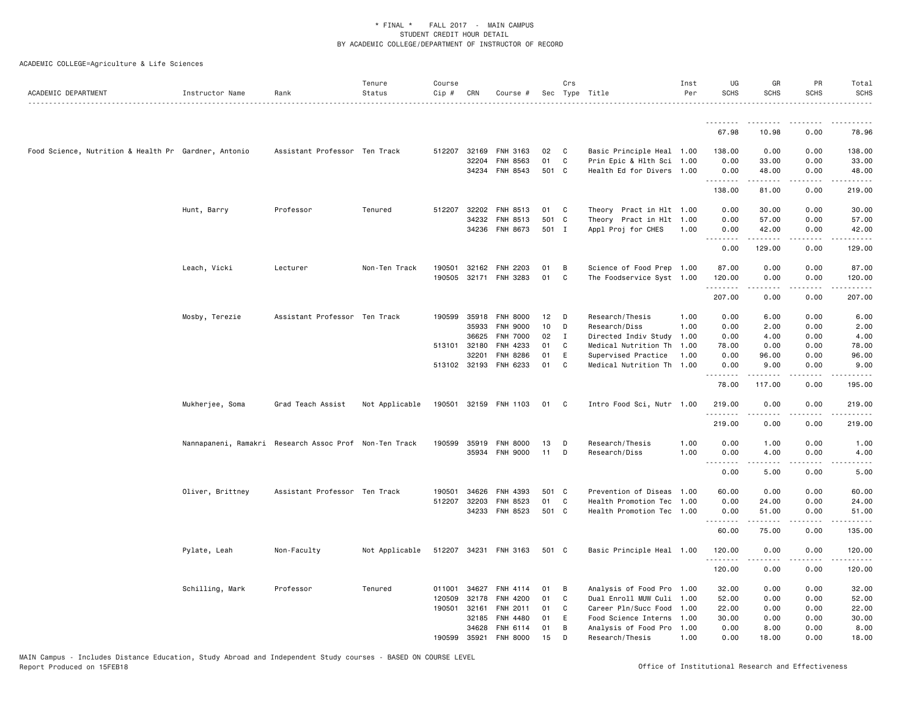| ACADEMIC DEPARTMENT                                  | Instructor Name  | Rank                                                   | Tenure<br>Status | Course<br>Cip # | CRN            | Course #              |             | Crs            | Sec Type Title                                         | Inst<br>Per | UG<br>SCHS    | GR<br><b>SCHS</b>                                                                                                                                            | PR<br><b>SCHS</b>      | Total<br><b>SCHS</b>                                                                                                                |
|------------------------------------------------------|------------------|--------------------------------------------------------|------------------|-----------------|----------------|-----------------------|-------------|----------------|--------------------------------------------------------|-------------|---------------|--------------------------------------------------------------------------------------------------------------------------------------------------------------|------------------------|-------------------------------------------------------------------------------------------------------------------------------------|
|                                                      |                  |                                                        |                  |                 |                |                       |             |                |                                                        |             | .             |                                                                                                                                                              |                        |                                                                                                                                     |
|                                                      |                  |                                                        |                  |                 |                |                       |             |                |                                                        |             | 67.98         | 10.98                                                                                                                                                        | 0.00                   | 78.96                                                                                                                               |
| Food Science, Nutrition & Health Pr Gardner, Antonio |                  | Assistant Professor Ten Track                          |                  |                 | 512207 32169   | FNH 3163              | 02          | $\mathbf{C}$   | Basic Principle Heal 1.00                              |             | 138.00        | 0.00                                                                                                                                                         | 0.00                   | 138.00                                                                                                                              |
|                                                      |                  |                                                        |                  |                 | 32204          | <b>FNH 8563</b>       | 01          | C              | Prin Epic & Hlth Sci 1.00                              |             | 0.00          | 33.00                                                                                                                                                        | 0.00                   | 33.00                                                                                                                               |
|                                                      |                  |                                                        |                  |                 | 34234          | FNH 8543              | 501 C       |                | Health Ed for Divers 1.00                              |             | 0.00<br>.     | 48.00<br>.                                                                                                                                                   | 0.00<br>.              | 48.00<br>.                                                                                                                          |
|                                                      |                  |                                                        |                  |                 |                |                       |             |                |                                                        |             | 138.00        | 81.00                                                                                                                                                        | 0.00                   | 219.00                                                                                                                              |
|                                                      | Hunt, Barry      | Professor                                              | Tenured          |                 | 512207 32202   | FNH 8513              | 01          | $\mathbf{C}$   | Theory Pract in Hlt 1.00                               |             | 0.00          | 30.00                                                                                                                                                        | 0.00                   | 30.00                                                                                                                               |
|                                                      |                  |                                                        |                  |                 | 34232          | FNH 8513              | 501 C       |                | Theory Pract in Hlt 1.00                               |             | 0.00          | 57.00                                                                                                                                                        | 0.00                   | 57.00                                                                                                                               |
|                                                      |                  |                                                        |                  |                 |                | 34236 FNH 8673        | 501 I       |                | Appl Proj for CHES                                     | 1.00        | 0.00<br>.     | 42.00<br>-----                                                                                                                                               | 0.00<br>المتمام المتنا | 42.00<br>.                                                                                                                          |
|                                                      |                  |                                                        |                  |                 |                |                       |             |                |                                                        |             | 0.00          | 129.00                                                                                                                                                       | 0.00                   | 129.00                                                                                                                              |
|                                                      | Leach, Vicki     | Lecturer                                               | Non-Ten Track    | 190501          | 32162          | <b>FNH 2203</b>       | 01          | B              | Science of Food Prep 1.00                              |             | 87.00         | 0.00                                                                                                                                                         | 0.00                   | 87.00                                                                                                                               |
|                                                      |                  |                                                        |                  | 190505          |                | 32171 FNH 3283        | 01          | C              | The Foodservice Syst 1.00                              |             | 120.00        | 0.00                                                                                                                                                         | 0.00                   | 120.00                                                                                                                              |
|                                                      |                  |                                                        |                  |                 |                |                       |             |                |                                                        |             | .<br>207.00   | $\frac{1}{2} \left( \frac{1}{2} \right) \left( \frac{1}{2} \right) \left( \frac{1}{2} \right) \left( \frac{1}{2} \right) \left( \frac{1}{2} \right)$<br>0.00 | .<br>0.00              | .<br>207.00                                                                                                                         |
|                                                      | Mosby, Terezie   | Assistant Professor Ten Track                          |                  | 190599          | 35918          | <b>FNH 8000</b>       | 12          | D              | Research/Thesis                                        | 1.00        | 0.00          | 6.00                                                                                                                                                         | 0.00                   | 6.00                                                                                                                                |
|                                                      |                  |                                                        |                  |                 | 35933          | <b>FNH 9000</b>       | 10          | D              | Research/Diss                                          | 1.00        | 0.00          | 2.00                                                                                                                                                         | 0.00                   | 2.00                                                                                                                                |
|                                                      |                  |                                                        |                  |                 | 36625          | <b>FNH 7000</b>       | 02          | $\blacksquare$ | Directed Indiv Study 1.00                              |             | 0.00          | 4.00                                                                                                                                                         | 0.00                   | 4.00                                                                                                                                |
|                                                      |                  |                                                        |                  | 513101 32180    |                | FNH 4233              | 01          | C              | Medical Nutrition Th 1.00                              |             | 78.00         | 0.00                                                                                                                                                         | 0.00                   | 78.00                                                                                                                               |
|                                                      |                  |                                                        |                  |                 | 32201          | FNH 8286              | 01          | E              | Supervised Practice                                    | 1.00        | 0.00          | 96.00                                                                                                                                                        | 0.00                   | 96.00                                                                                                                               |
|                                                      |                  |                                                        |                  |                 | 513102 32193   | FNH 6233              | 01          | C              | Medical Nutrition Th 1.00                              |             | 0.00<br>.     | 9.00<br>.                                                                                                                                                    | 0.00<br>.              | 9.00<br><u>.</u>                                                                                                                    |
|                                                      |                  |                                                        |                  |                 |                |                       |             |                |                                                        |             | 78.00         | 117.00                                                                                                                                                       | 0.00                   | 195.00                                                                                                                              |
|                                                      | Mukherjee, Soma  | Grad Teach Assist                                      | Not Applicable   |                 |                | 190501 32159 FNH 1103 | 01 C        |                | Intro Food Sci, Nutr 1.00                              |             | 219.00        | 0.00                                                                                                                                                         | 0.00                   | 219.00                                                                                                                              |
|                                                      |                  |                                                        |                  |                 |                |                       |             |                |                                                        |             | 219.00        | 0.00                                                                                                                                                         | 0.00                   | 219.00                                                                                                                              |
|                                                      |                  | Nannapaneni, Ramakri Research Assoc Prof Non-Ten Track |                  |                 | 190599 35919   | <b>FNH 8000</b>       | 13          | D              | Research/Thesis                                        | 1.00        | 0.00          | 1.00                                                                                                                                                         | 0.00                   | 1.00                                                                                                                                |
|                                                      |                  |                                                        |                  |                 | 35934          | FNH 9000              | 11          | D              | Research/Diss                                          | 1.00        | 0.00          | 4.00                                                                                                                                                         | 0.00                   | 4.00                                                                                                                                |
|                                                      |                  |                                                        |                  |                 |                |                       |             |                |                                                        |             | .<br>0.00     | $\frac{1}{2}$<br>5.00                                                                                                                                        | $\frac{1}{2}$<br>0.00  | 5.00                                                                                                                                |
|                                                      |                  |                                                        |                  |                 |                |                       |             |                |                                                        |             |               |                                                                                                                                                              |                        |                                                                                                                                     |
|                                                      | Oliver, Brittney | Assistant Professor Ten Track                          |                  | 190501          | 34626          | FNH 4393              | 501 C       |                | Prevention of Diseas 1.00                              |             | 60.00         | 0.00                                                                                                                                                         | 0.00                   | 60.00                                                                                                                               |
|                                                      |                  |                                                        |                  | 512207 32203    | 34233          | FNH 8523<br>FNH 8523  | 01<br>501 C | C              | Health Promotion Tec 1.00<br>Health Promotion Tec 1.00 |             | 0.00<br>0.00  | 24.00<br>51.00                                                                                                                                               | 0.00<br>0.00           | 24.00<br>51.00                                                                                                                      |
|                                                      |                  |                                                        |                  |                 |                |                       |             |                |                                                        |             | .             | .                                                                                                                                                            | .                      | <u>.</u>                                                                                                                            |
|                                                      |                  |                                                        |                  |                 |                |                       |             |                |                                                        |             | 60.00         | 75.00                                                                                                                                                        | 0.00                   | 135.00                                                                                                                              |
|                                                      | Pylate, Leah     | Non-Faculty                                            | Not Applicable   |                 |                | 512207 34231 FNH 3163 | 501 C       |                | Basic Principle Heal 1.00                              |             | 120.00<br>.   | 0.00<br>د د د د د                                                                                                                                            | 0.00<br>.              | 120.00<br>$\begin{array}{cccccccccccccc} \bullet & \bullet & \bullet & \bullet & \bullet & \bullet & \bullet & \bullet \end{array}$ |
|                                                      |                  |                                                        |                  |                 |                |                       |             |                |                                                        |             | 120.00        | 0.00                                                                                                                                                         | 0.00                   | 120.00                                                                                                                              |
|                                                      | Schilling, Mark  | Professor                                              | Tenured          | 011001          | 34627          | FNH 4114              | 01          | B              | Analysis of Food Pro 1.00                              |             | 32.00         | 0.00                                                                                                                                                         | 0.00                   | 32.00                                                                                                                               |
|                                                      |                  |                                                        |                  | 120509          | 32178          | FNH 4200              | 01          | C              | Dual Enroll MUW Culi 1.00                              |             | 52.00         | 0.00                                                                                                                                                         | 0.00                   | 52.00                                                                                                                               |
|                                                      |                  |                                                        |                  | 190501          | 32161          | FNH 2011              | 01          | C              | Career Pln/Succ Food 1.00                              |             | 22.00         | 0.00                                                                                                                                                         | 0.00                   | 22.00                                                                                                                               |
|                                                      |                  |                                                        |                  |                 | 32185<br>34628 | FNH 4480<br>FNH 6114  | 01<br>01    | E<br>B         | Food Science Interns 1.00                              |             | 30.00<br>0.00 | 0.00<br>8.00                                                                                                                                                 | 0.00<br>0.00           | 30.00<br>8.00                                                                                                                       |
|                                                      |                  |                                                        |                  | 190599          | 35921          | <b>FNH 8000</b>       | 15          | D              | Analysis of Food Pro 1.00<br>Research/Thesis           | 1.00        | 0.00          | 18.00                                                                                                                                                        | 0.00                   | 18.00                                                                                                                               |
|                                                      |                  |                                                        |                  |                 |                |                       |             |                |                                                        |             |               |                                                                                                                                                              |                        |                                                                                                                                     |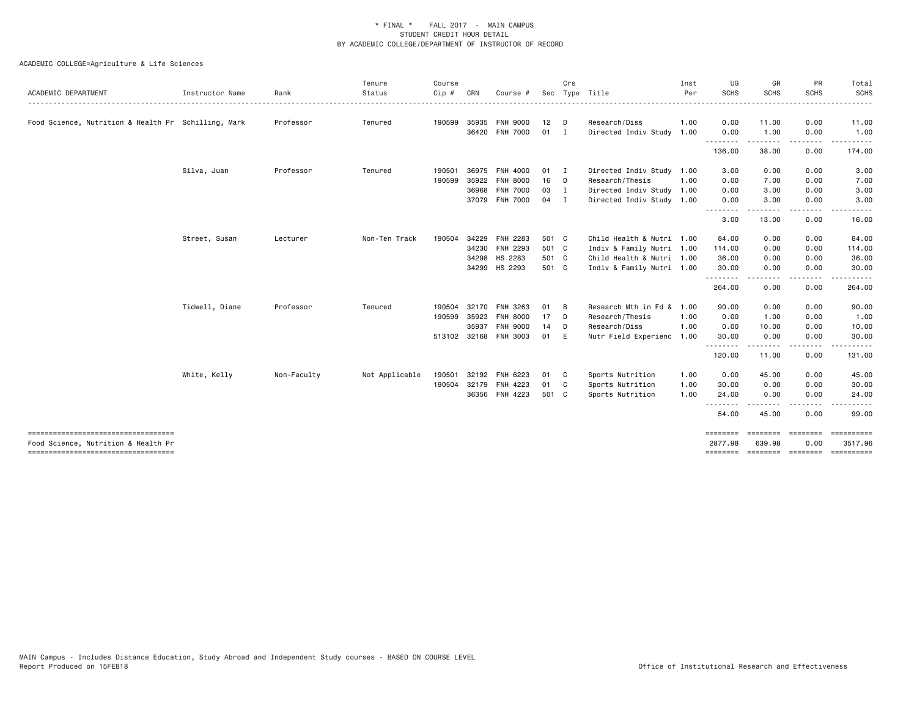|                                                     |                 |             | Tenure         | Course       |       |                 |                 | Crs            |                           | Inst | UG                        | GR                 | PR                                                                                                                                | Total            |
|-----------------------------------------------------|-----------------|-------------|----------------|--------------|-------|-----------------|-----------------|----------------|---------------------------|------|---------------------------|--------------------|-----------------------------------------------------------------------------------------------------------------------------------|------------------|
| ACADEMIC DEPARTMENT                                 | Instructor Name | Rank        | Status         | Cip #        | CRN   | Course          |                 |                | Sec Type Title            | Per  | SCHS                      | <b>SCHS</b>        | <b>SCHS</b>                                                                                                                       | <b>SCHS</b>      |
| Food Science, Nutrition & Health Pr Schilling, Mark |                 | Professor   | Tenured        | 190599       | 35935 | <b>FNH 9000</b> | 12              | D              | Research/Diss             | 1.00 | 0.00                      | 11.00              | 0.00                                                                                                                              | 11.00            |
|                                                     |                 |             |                |              |       | 36420 FNH 7000  | 01              | I.             | Directed Indiv Study      | 1.00 | 0.00                      | 1.00               | 0.00                                                                                                                              | 1.00             |
|                                                     |                 |             |                |              |       |                 |                 |                |                           |      | <u>.</u><br>136.00        | 38.00              | $\cdots$<br>0.00                                                                                                                  | .<br>174.00      |
|                                                     | Silva, Juan     | Professor   | Tenured        | 190501       |       | 36975 FNH 4000  | 01 I            |                | Directed Indiv Study 1.00 |      | 3.00                      | 0.00               | 0.00                                                                                                                              | 3.00             |
|                                                     |                 |             |                | 190599       | 35922 | <b>FNH 8000</b> | 16 D            |                | Research/Thesis           | 1.00 | 0.00                      | 7.00               | 0.00                                                                                                                              | 7.00             |
|                                                     |                 |             |                |              | 36968 | <b>FNH 7000</b> | 03              | $\mathbf{I}$   | Directed Indiv Study 1.00 |      | 0.00                      | 3.00               | 0.00                                                                                                                              | 3.00             |
|                                                     |                 |             |                |              |       | 37079 FNH 7000  | 04              | $\blacksquare$ | Directed Indiv Study 1.00 |      | 0.00<br>.                 | 3.00               | 0.00<br>$\frac{1}{2} \left( \frac{1}{2} \right) \left( \frac{1}{2} \right) \left( \frac{1}{2} \right) \left( \frac{1}{2} \right)$ | 3,00<br>$\cdots$ |
|                                                     |                 |             |                |              |       |                 |                 |                |                           |      | 3.00                      | -----<br>13.00     | 0.00                                                                                                                              | 16.00            |
|                                                     | Street, Susan   | Lecturer    | Non-Ten Track  | 190504       | 34229 | FNH 2283        | 501 C           |                | Child Health & Nutri 1.00 |      | 84.00                     | 0.00               | 0.00                                                                                                                              | 84.00            |
|                                                     |                 |             |                |              | 34230 | FNH 2293        | 501 C           |                | Indiv & Family Nutri 1.00 |      | 114.00                    | 0.00               | 0.00                                                                                                                              | 114.00           |
|                                                     |                 |             |                |              |       | 34298 HS 2283   | 501 C           |                | Child Health & Nutri 1.00 |      | 36.00                     | 0.00               | 0.00                                                                                                                              | 36.00            |
|                                                     |                 |             |                |              |       | 34299 HS 2293   | 501 C           |                | Indiv & Family Nutri 1.00 |      | 30.00                     | 0.00               | 0.00                                                                                                                              | 30.00            |
|                                                     |                 |             |                |              |       |                 |                 |                |                           |      | - - - - - - - -<br>264.00 | 0.00               | 0.00                                                                                                                              | 264.00           |
|                                                     | Tidwell, Diane  | Professor   | Tenured        | 190504       | 32170 | FNH 3263        | 01              | B              | Research Mth in Fd &      | 1.00 | 90.00                     | 0.00               | 0.00                                                                                                                              | 90.00            |
|                                                     |                 |             |                | 190599       | 35923 | <b>FNH 8000</b> | 17 <sup>2</sup> | D D            | Research/Thesis           | 1.00 | 0.00                      | 1.00               | 0.00                                                                                                                              | 1.00             |
|                                                     |                 |             |                |              | 35937 | <b>FNH 9000</b> | 14              | D              | Research/Diss             | 1.00 | 0.00                      | 10.00              | 0.00                                                                                                                              | 10.00            |
|                                                     |                 |             |                | 513102 32168 |       | FNH 3003        | 01 E            |                | Nutr Field Experienc      | 1.00 | 30.00                     | 0.00               | 0.00                                                                                                                              | 30.00            |
|                                                     |                 |             |                |              |       |                 |                 |                |                           |      | .<br>120.00               | 11.00              | $\cdots$<br>0.00                                                                                                                  | 131.00           |
|                                                     | White, Kelly    | Non-Faculty | Not Applicable | 190501       |       | 32192 FNH 6223  | 01 C            |                | Sports Nutrition          | 1.00 | 0.00                      | 45.00              | 0.00                                                                                                                              | 45.00            |
|                                                     |                 |             |                | 190504       |       | 32179 FNH 4223  | 01 C            |                | Sports Nutrition          | 1.00 | 30.00                     | 0.00               | 0.00                                                                                                                              | 30.00            |
|                                                     |                 |             |                |              |       | 36356 FNH 4223  | 501 C           |                | Sports Nutrition          | 1.00 | 24.00                     | 0.00               | 0.00                                                                                                                              | 24.00            |
|                                                     |                 |             |                |              |       |                 |                 |                |                           |      | .<br>54.00                | 45.00              | 0.00                                                                                                                              | 99.00            |
| Food Science, Nutrition & Health Pr                 |                 |             |                |              |       |                 |                 |                |                           |      | ========<br>2877.98       | ========<br>639.98 | ========<br>0.00                                                                                                                  | 3517.96          |
|                                                     |                 |             |                |              |       |                 |                 |                |                           |      |                           |                    | -------- ------- -------                                                                                                          | ==========       |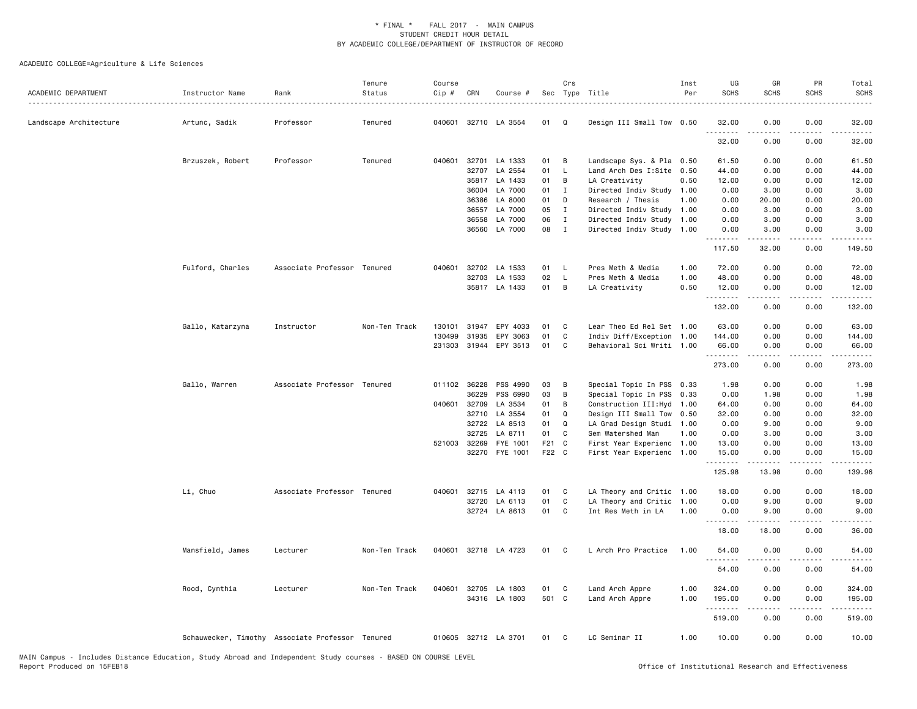| ACADEMIC DEPARTMENT    | Instructor Name                                  | Rank                        | Tenure<br>Status | Course<br>Cip # | CRN   | Course #              |       | Crs          | Sec Type Title             | Inst<br>Per | UG<br><b>SCHS</b> | GR<br><b>SCHS</b>                                                                                                                                             | PR<br><b>SCHS</b>                   | Total<br><b>SCHS</b>                                                                                                                                                                     |
|------------------------|--------------------------------------------------|-----------------------------|------------------|-----------------|-------|-----------------------|-------|--------------|----------------------------|-------------|-------------------|---------------------------------------------------------------------------------------------------------------------------------------------------------------|-------------------------------------|------------------------------------------------------------------------------------------------------------------------------------------------------------------------------------------|
| Landscape Architecture | Artunc, Sadik                                    | Professor                   | Tenured          | 040601          |       | 32710 LA 3554         | 01    | Q            | Design III Small Tow 0.50  |             | 32.00             | 0.00                                                                                                                                                          | 0.00                                | 32.00                                                                                                                                                                                    |
|                        |                                                  |                             |                  |                 |       |                       |       |              |                            |             | .<br>32.00        | 0.00                                                                                                                                                          | 0.00                                | 32.00                                                                                                                                                                                    |
|                        | Brzuszek, Robert                                 | Professor                   | Tenured          | 040601          |       | 32701 LA 1333         | 01    | B            | Landscape Sys. & Pla 0.50  |             | 61.50             | 0.00                                                                                                                                                          | 0.00                                | 61.50                                                                                                                                                                                    |
|                        |                                                  |                             |                  |                 |       | 32707 LA 2554         | 01    | L            | Land Arch Des I:Site 0.50  |             | 44.00             | 0.00                                                                                                                                                          | 0.00                                | 44.00                                                                                                                                                                                    |
|                        |                                                  |                             |                  |                 |       | 35817 LA 1433         | 01    | B            | LA Creativity              | 0.50        | 12.00             | 0.00                                                                                                                                                          | 0.00                                | 12.00                                                                                                                                                                                    |
|                        |                                                  |                             |                  |                 | 36004 | LA 7000               | 01    | $\mathbf{I}$ | Directed Indiv Study 1.00  |             | 0.00              | 3.00                                                                                                                                                          | 0.00                                | 3.00                                                                                                                                                                                     |
|                        |                                                  |                             |                  |                 | 36386 | LA 8000               | 01    | D            | Research / Thesis          | 1.00        | 0.00              | 20.00                                                                                                                                                         | 0.00                                | 20.00                                                                                                                                                                                    |
|                        |                                                  |                             |                  |                 | 36557 | LA 7000               | 05    | I            | Directed Indiv Study       | 1.00        | 0.00              | 3.00                                                                                                                                                          | 0.00                                | 3.00                                                                                                                                                                                     |
|                        |                                                  |                             |                  |                 | 36558 | LA 7000               | 06    | $\mathbf{I}$ | Directed Indiv Study 1.00  |             | 0.00              | 3.00                                                                                                                                                          | 0.00                                | 3.00                                                                                                                                                                                     |
|                        |                                                  |                             |                  |                 |       | 36560 LA 7000         | 08    | $\mathbf{I}$ | Directed Indiv Study 1.00  |             | 0.00<br>.         | 3.00<br>.                                                                                                                                                     | 0.00<br>$\sim$ $\sim$ $\sim$ $\sim$ | 3.00                                                                                                                                                                                     |
|                        |                                                  |                             |                  |                 |       |                       |       |              |                            |             | 117.50            | 32.00                                                                                                                                                         | 0.00                                | 149.50                                                                                                                                                                                   |
|                        | Fulford, Charles                                 | Associate Professor Tenured |                  | 040601          |       | 32702 LA 1533         | 01    | L.           | Pres Meth & Media          | 1.00        | 72.00             | 0.00                                                                                                                                                          | 0.00                                | 72.00                                                                                                                                                                                    |
|                        |                                                  |                             |                  |                 | 32703 | LA 1533               | 02    | L.           | Pres Meth & Media          | 1.00        | 48.00             | 0.00                                                                                                                                                          | 0.00                                | 48.00                                                                                                                                                                                    |
|                        |                                                  |                             |                  |                 |       | 35817 LA 1433         | 01    | B            | LA Creativity              | 0.50        | 12.00<br>.        | 0.00<br>$- - - - -$                                                                                                                                           | 0.00<br>.                           | 12.00<br>$\frac{1}{2} \left( \frac{1}{2} \right) \left( \frac{1}{2} \right) \left( \frac{1}{2} \right) \left( \frac{1}{2} \right) \left( \frac{1}{2} \right) \left( \frac{1}{2} \right)$ |
|                        |                                                  |                             |                  |                 |       |                       |       |              |                            |             | 132.00            | 0.00                                                                                                                                                          | 0.00                                | 132.00                                                                                                                                                                                   |
|                        | Gallo, Katarzyna                                 | Instructor                  | Non-Ten Track    | 130101          | 31947 | EPY 4033              | 01    | C            | Lear Theo Ed Rel Set 1.00  |             | 63.00             | 0.00                                                                                                                                                          | 0.00                                | 63.00                                                                                                                                                                                    |
|                        |                                                  |                             |                  | 130499          | 31935 | EPY 3063              | 01    | C            | Indiv Diff/Exception 1.00  |             | 144.00            | 0.00                                                                                                                                                          | 0.00                                | 144.00                                                                                                                                                                                   |
|                        |                                                  |                             |                  |                 |       | 231303 31944 EPY 3513 | 01    | C            | Behavioral Sci Writi 1.00  |             | 66.00             | 0.00                                                                                                                                                          | 0.00                                | 66.00                                                                                                                                                                                    |
|                        |                                                  |                             |                  |                 |       |                       |       |              |                            |             | .                 | 2.2.2.2.2                                                                                                                                                     | .                                   | .                                                                                                                                                                                        |
|                        |                                                  |                             |                  |                 |       |                       |       |              |                            |             | 273.00            | 0.00                                                                                                                                                          | 0.00                                | 273.00                                                                                                                                                                                   |
|                        | Gallo, Warren                                    | Associate Professor Tenured |                  | 011102 36228    |       | PSS 4990              | 03    | B            | Special Topic In PSS 0.33  |             | 1.98              | 0.00                                                                                                                                                          | 0.00                                | 1.98                                                                                                                                                                                     |
|                        |                                                  |                             |                  |                 | 36229 | PSS 6990              | 03    | B            | Special Topic In PSS 0.33  |             | 0.00              | 1.98                                                                                                                                                          | 0.00                                | 1.98                                                                                                                                                                                     |
|                        |                                                  |                             |                  | 040601 32709    |       | LA 3534               | 01    | В            | Construction III: Hyd 1.00 |             | 64.00             | 0.00                                                                                                                                                          | 0.00                                | 64.00                                                                                                                                                                                    |
|                        |                                                  |                             |                  |                 | 32710 | LA 3554               | 01    | Q            | Design III Small Tow 0.50  |             | 32.00             | 0.00                                                                                                                                                          | 0.00                                | 32.00                                                                                                                                                                                    |
|                        |                                                  |                             |                  |                 | 32722 | LA 8513               | 01    | Q            | LA Grad Design Studi 1.00  |             | 0.00              | 9.00                                                                                                                                                          | 0.00                                | 9.00                                                                                                                                                                                     |
|                        |                                                  |                             |                  |                 | 32725 | LA 8711               | 01    | C            | Sem Watershed Man          | 1.00        | 0.00              | 3.00                                                                                                                                                          | 0.00                                | 3.00                                                                                                                                                                                     |
|                        |                                                  |                             |                  | 521003          | 32269 | FYE 1001              | F21 C |              | First Year Experienc 1.00  |             | 13.00             | 0.00                                                                                                                                                          | 0.00                                | 13.00                                                                                                                                                                                    |
|                        |                                                  |                             |                  |                 |       | 32270 FYE 1001        | F22 C |              | First Year Experienc 1.00  |             | 15.00<br>.        | 0.00<br>د د د د د                                                                                                                                             | 0.00<br>.                           | 15.00<br>$\frac{1}{2} \left( \frac{1}{2} \right) \left( \frac{1}{2} \right) \left( \frac{1}{2} \right) \left( \frac{1}{2} \right) \left( \frac{1}{2} \right) \left( \frac{1}{2} \right)$ |
|                        |                                                  |                             |                  |                 |       |                       |       |              |                            |             | 125.98            | 13.98                                                                                                                                                         | 0.00                                | 139.96                                                                                                                                                                                   |
|                        | Li, Chuo                                         | Associate Professor Tenured |                  |                 |       | 040601 32715 LA 4113  | 01    | C            | LA Theory and Critic 1.00  |             | 18.00             | 0.00                                                                                                                                                          | 0.00                                | 18.00                                                                                                                                                                                    |
|                        |                                                  |                             |                  |                 |       | 32720 LA 6113         | 01    | C            | LA Theory and Critic       | 1.00        | 0.00              | 9.00                                                                                                                                                          | 0.00                                | 9.00                                                                                                                                                                                     |
|                        |                                                  |                             |                  |                 |       | 32724 LA 8613         | 01    | C            | Int Res Meth in LA         | 1.00        | 0.00              | 9.00                                                                                                                                                          | 0.00                                | 9.00                                                                                                                                                                                     |
|                        |                                                  |                             |                  |                 |       |                       |       |              |                            |             | .<br>18.00        | $\frac{1}{2} \left( \frac{1}{2} \right) \left( \frac{1}{2} \right) \left( \frac{1}{2} \right) \left( \frac{1}{2} \right) \left( \frac{1}{2} \right)$<br>18.00 | .<br>0.00                           | .<br>36.00                                                                                                                                                                               |
|                        | Mansfield, James                                 | Lecturer                    | Non-Ten Track    | 040601          |       | 32718 LA 4723         | 01    | C            | L Arch Pro Practice        | 1.00        | 54.00             | 0.00                                                                                                                                                          | 0.00                                | 54.00                                                                                                                                                                                    |
|                        |                                                  |                             |                  |                 |       |                       |       |              |                            |             | .<br>54.00        | 0.00                                                                                                                                                          | 0.00                                | 54.00                                                                                                                                                                                    |
|                        | Rood, Cynthia                                    | Lecturer                    | Non-Ten Track    |                 |       | 040601 32705 LA 1803  | 01    | C            | Land Arch Appre            | 1.00        | 324.00            | 0.00                                                                                                                                                          | 0.00                                | 324.00                                                                                                                                                                                   |
|                        |                                                  |                             |                  |                 |       | 34316 LA 1803         | 501 C |              | Land Arch Appre            | 1.00        | 195.00            | 0.00                                                                                                                                                          | 0.00                                | 195.00                                                                                                                                                                                   |
|                        |                                                  |                             |                  |                 |       |                       |       |              |                            |             | .<br>519.00       | 0.00                                                                                                                                                          | .<br>0.00                           | $- - - - - -$<br>519.00                                                                                                                                                                  |
|                        | Schauwecker, Timothy Associate Professor Tenured |                             |                  |                 |       | 010605 32712 LA 3701  | 01    | C            | LC Seminar II              | 1.00        | 10.00             | 0.00                                                                                                                                                          | 0.00                                | 10.00                                                                                                                                                                                    |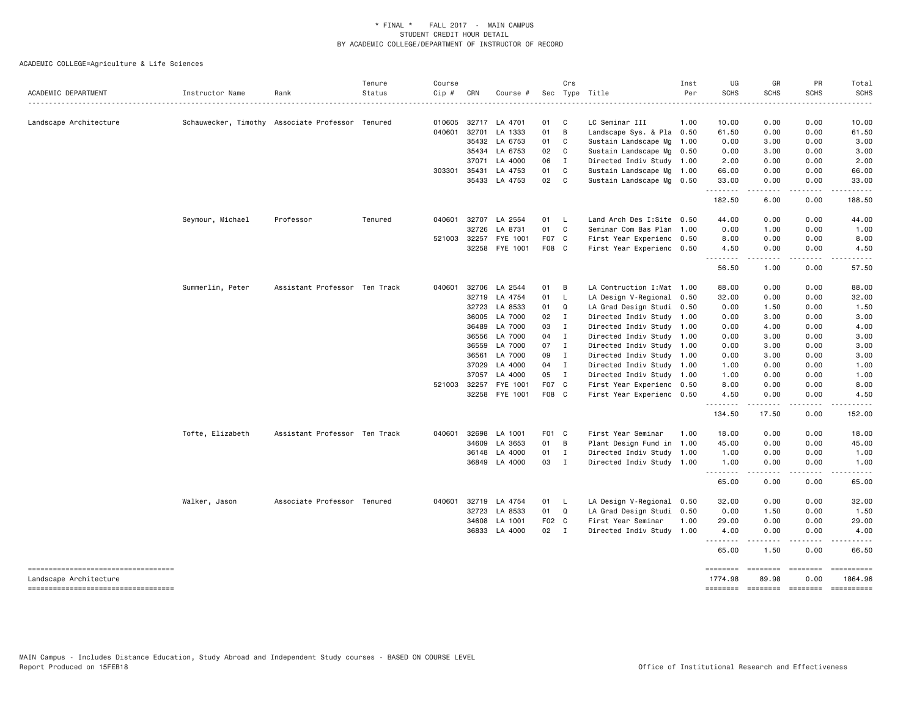| ACADEMIC DEPARTMENT                                                                                  | Instructor Name  | Rank                                             | Tenure<br>Status<br><u>.</u> | Course<br>Cip # | CRN            | Course #           |              | Crs            | Sec Type Title                                         | Inst<br>Per | UG<br><b>SCHS</b><br>.          | GR<br><b>SCHS</b>                                                                                                                                            | PR<br><b>SCHS</b>    | Total<br><b>SCHS</b><br>.           |
|------------------------------------------------------------------------------------------------------|------------------|--------------------------------------------------|------------------------------|-----------------|----------------|--------------------|--------------|----------------|--------------------------------------------------------|-------------|---------------------------------|--------------------------------------------------------------------------------------------------------------------------------------------------------------|----------------------|-------------------------------------|
| Landscape Architecture                                                                               |                  | Schauwecker, Timothy Associate Professor Tenured |                              | 010605          | 32717          | LA 4701            | 01           | $\mathbf{C}$   | LC Seminar III                                         | 1.00        | 10.00                           | 0.00                                                                                                                                                         | 0.00                 | 10.00                               |
|                                                                                                      |                  |                                                  |                              | 040601          | 32701          | LA 1333            | 01           | B              | Landscape Sys. & Pla 0.50                              |             | 61.50                           | 0.00                                                                                                                                                         | 0.00                 | 61.50                               |
|                                                                                                      |                  |                                                  |                              |                 | 35432          | LA 6753            | 01 C         |                | Sustain Landscape Mg 1.00                              |             | 0.00                            | 3.00                                                                                                                                                         | 0.00                 | 3.00                                |
|                                                                                                      |                  |                                                  |                              |                 | 35434          | LA 6753            | 02 C         |                | Sustain Landscape Mg 0.50                              |             | 0.00                            | 3.00                                                                                                                                                         | 0.00                 | 3.00                                |
|                                                                                                      |                  |                                                  |                              |                 | 37071          | LA 4000            | 06           | $\blacksquare$ | Directed Indiv Study 1.00                              |             | 2.00                            | 0.00                                                                                                                                                         | 0.00                 | 2.00                                |
|                                                                                                      |                  |                                                  |                              | 303301 35431    |                | LA 4753            | 01           | $\mathbf{C}$   | Sustain Landscape Mg 1.00                              |             | 66.00                           | 0.00                                                                                                                                                         | 0.00                 | 66.00                               |
|                                                                                                      |                  |                                                  |                              |                 |                | 35433 LA 4753      | 02 C         |                | Sustain Landscape Mg 0.50                              |             | 33.00<br>.                      | 0.00<br>.                                                                                                                                                    | 0.00<br>.            | 33.00                               |
|                                                                                                      |                  |                                                  |                              |                 |                |                    |              |                |                                                        |             | 182.50                          | 6.00                                                                                                                                                         | 0.00                 | 188.50                              |
|                                                                                                      | Seymour, Michael | Professor                                        | Tenured                      | 040601          | 32707          | LA 2554            | 01 L         |                | Land Arch Des I:Site 0.50                              |             | 44.00                           | 0.00                                                                                                                                                         | 0.00                 | 44.00                               |
|                                                                                                      |                  |                                                  |                              |                 | 32726          | LA 8731            | 01 C         |                | Seminar Com Bas Plan 1.00                              |             | 0.00                            | 1.00                                                                                                                                                         | 0.00                 | 1.00                                |
|                                                                                                      |                  |                                                  |                              | 521003 32257    |                | FYE 1001           | F07 C        |                | First Year Experienc 0.50                              |             | 8.00                            | 0.00                                                                                                                                                         | 0.00                 | 8.00                                |
|                                                                                                      |                  |                                                  |                              |                 | 32258          | FYE 1001           | F08 C        |                | First Year Experienc 0.50                              |             | 4.50<br>.                       | 0.00<br>$\frac{1}{2} \left( \frac{1}{2} \right) \left( \frac{1}{2} \right) \left( \frac{1}{2} \right) \left( \frac{1}{2} \right) \left( \frac{1}{2} \right)$ | 0.00<br>.            | 4.50                                |
|                                                                                                      |                  |                                                  |                              |                 |                |                    |              |                |                                                        |             | 56.50                           | 1.00                                                                                                                                                         | 0.00                 | 57.50                               |
|                                                                                                      | Summerlin, Peter | Assistant Professor Ten Track                    |                              | 040601          | 32706          | LA 2544            | 01 B         |                | LA Contruction I: Mat 1.00                             |             | 88.00                           | 0.00                                                                                                                                                         | 0.00                 | 88.00                               |
|                                                                                                      |                  |                                                  |                              |                 | 32719          | LA 4754            | 01           | L.             | LA Design V-Regional 0.50                              |             | 32.00                           | 0.00                                                                                                                                                         | 0.00                 | 32.00                               |
|                                                                                                      |                  |                                                  |                              |                 | 32723          | LA 8533            | 01 Q         |                | LA Grad Design Studi 0.50                              |             | 0.00                            | 1.50                                                                                                                                                         | 0.00                 | 1.50                                |
|                                                                                                      |                  |                                                  |                              |                 | 36005          | LA 7000            | 02 I         |                | Directed Indiv Study 1.00                              |             | 0.00                            | 3.00                                                                                                                                                         | 0.00                 | 3.00                                |
|                                                                                                      |                  |                                                  |                              |                 | 36489          | LA 7000            | 03           | $\mathbf{I}$   | Directed Indiv Study 1.00                              |             | 0.00                            | 4.00                                                                                                                                                         | 0.00                 | 4.00                                |
|                                                                                                      |                  |                                                  |                              |                 | 36556          | LA 7000            | $04$ I       |                | Directed Indiv Study 1.00                              |             | 0.00                            | 3.00                                                                                                                                                         | 0.00                 | 3.00                                |
|                                                                                                      |                  |                                                  |                              |                 | 36559          | LA 7000            | 07           | $\mathbf{I}$   | Directed Indiv Study 1.00                              |             | 0.00                            | 3.00                                                                                                                                                         | 0.00                 | 3.00                                |
|                                                                                                      |                  |                                                  |                              |                 | 36561          | LA 7000<br>LA 4000 | 09 I<br>04 I |                | Directed Indiv Study 1.00                              |             | 0.00                            | 3.00                                                                                                                                                         | 0.00<br>0.00         | 3.00<br>1.00                        |
|                                                                                                      |                  |                                                  |                              |                 | 37029<br>37057 | LA 4000            | 05 I         |                | Directed Indiv Study 1.00<br>Directed Indiv Study 1.00 |             | 1.00<br>1.00                    | 0.00<br>0.00                                                                                                                                                 | 0.00                 | 1.00                                |
|                                                                                                      |                  |                                                  |                              | 521003          | 32257          | FYE 1001           | F07 C        |                | First Year Experienc 0.50                              |             | 8.00                            | 0.00                                                                                                                                                         | 0.00                 | 8.00                                |
|                                                                                                      |                  |                                                  |                              |                 |                | 32258 FYE 1001     | F08 C        |                | First Year Experienc 0.50                              |             | 4.50                            | 0.00                                                                                                                                                         | 0.00                 | 4.50                                |
|                                                                                                      |                  |                                                  |                              |                 |                |                    |              |                |                                                        |             | .<br>134.50                     | -----<br>17.50                                                                                                                                               | $\cdots$<br>0.00     | 152.00                              |
|                                                                                                      | Tofte, Elizabeth | Assistant Professor Ten Track                    |                              | 040601          | 32698          | LA 1001            | F01 C        |                | First Year Seminar                                     | 1.00        | 18.00                           | 0.00                                                                                                                                                         | 0.00                 | 18.00                               |
|                                                                                                      |                  |                                                  |                              |                 | 34609          | LA 3653            | 01 B         |                | Plant Design Fund in 1.00                              |             | 45.00                           | 0.00                                                                                                                                                         | 0.00                 | 45.00                               |
|                                                                                                      |                  |                                                  |                              |                 | 36148          | LA 4000            | 01 I         |                | Directed Indiv Study 1.00                              |             | 1.00                            | 0.00                                                                                                                                                         | 0.00                 | 1.00                                |
|                                                                                                      |                  |                                                  |                              |                 |                | 36849 LA 4000      | 03 I         |                | Directed Indiv Study 1.00                              |             | 1.00                            | 0.00                                                                                                                                                         | 0.00                 | 1.00                                |
|                                                                                                      |                  |                                                  |                              |                 |                |                    |              |                |                                                        |             | .<br>65.00                      | .<br>0.00                                                                                                                                                    | 0.00                 | .<br>65.00                          |
|                                                                                                      | Walker, Jason    | Associate Professor Tenured                      |                              | 040601          | 32719          | LA 4754            | 01           | $\mathsf{L}$   | LA Design V-Regional 0.50                              |             | 32.00                           | 0.00                                                                                                                                                         | 0.00                 | 32.00                               |
|                                                                                                      |                  |                                                  |                              |                 | 32723          | LA 8533            | 01 Q         |                | LA Grad Design Studi 0.50                              |             | 0.00                            | 1.50                                                                                                                                                         | 0.00                 | 1.50                                |
|                                                                                                      |                  |                                                  |                              |                 | 34608          | LA 1001            | F02 C        |                | First Year Seminar                                     | 1.00        | 29.00                           | 0.00                                                                                                                                                         | 0.00                 | 29.00                               |
|                                                                                                      |                  |                                                  |                              |                 | 36833          | LA 4000            | 02 I         |                | Directed Indiv Study 1.00                              |             | 4.00<br><u>.</u>                | 0.00                                                                                                                                                         | 0.00                 | 4.00                                |
|                                                                                                      |                  |                                                  |                              |                 |                |                    |              |                |                                                        |             | 65.00                           | 1.50                                                                                                                                                         | 0.00                 | 66.50                               |
| -----------------------------------<br>Landscape Architecture<br>----------------------------------- |                  |                                                  |                              |                 |                |                    |              |                |                                                        |             | ========<br>1774.98<br>======== | ========<br>89.98                                                                                                                                            | $=$ ========<br>0.00 | ==========<br>1864.96<br>========== |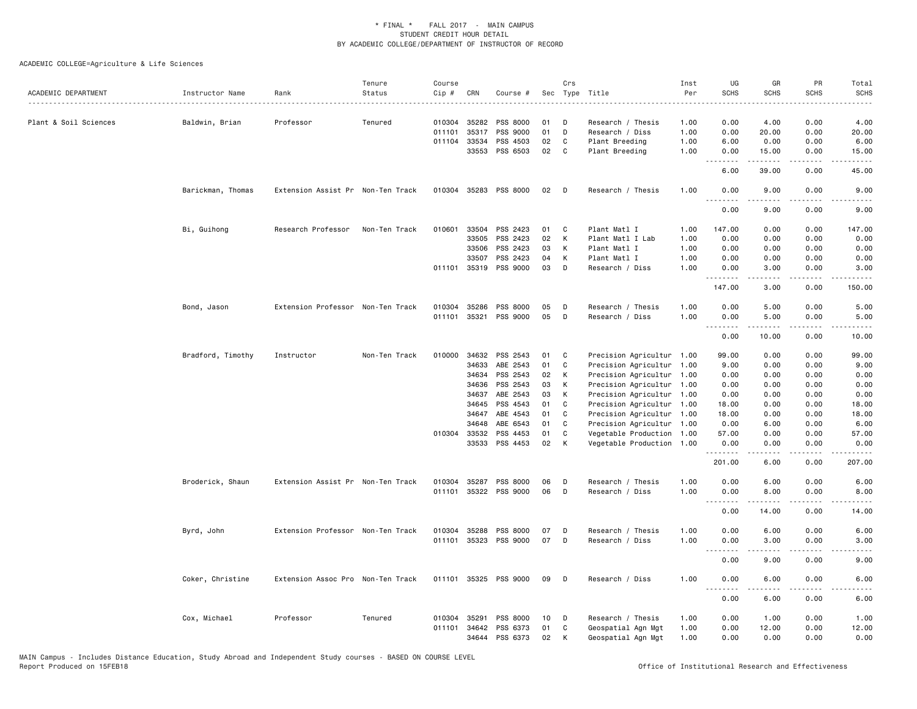| ACADEMIC DEPARTMENT   | Instructor Name   | Rank                              | Tenure<br>Status | Course<br>Cip # | CRN          | Course #              |    | Crs | Sec Type Title            | Inst<br>Per | UG<br><b>SCHS</b>     | GR<br><b>SCHS</b>   | PR<br><b>SCHS</b>     | Total<br><b>SCHS</b> |
|-----------------------|-------------------|-----------------------------------|------------------|-----------------|--------------|-----------------------|----|-----|---------------------------|-------------|-----------------------|---------------------|-----------------------|----------------------|
|                       |                   |                                   |                  |                 |              |                       |    |     |                           |             |                       |                     |                       |                      |
| Plant & Soil Sciences | Baldwin, Brian    | Professor                         | Tenured          | 010304          | 35282        | PSS 8000              | 01 | D   | Research / Thesis         | 1.00        | 0.00                  | 4.00                | 0.00                  | 4.00                 |
|                       |                   |                                   |                  | 011101          | 35317        | PSS 9000              | 01 | D   | Research / Diss           | 1.00        | 0.00                  | 20.00               | 0.00                  | 20.00                |
|                       |                   |                                   |                  | 011104          | 33534        | PSS 4503              | 02 | C   | Plant Breeding            | 1.00        | 6.00                  | 0.00                | 0.00                  | 6.00                 |
|                       |                   |                                   |                  |                 | 33553        | PSS 6503              | 02 | C   | Plant Breeding            | 1.00        | 0.00                  | 15.00               | 0.00                  | 15.00                |
|                       |                   |                                   |                  |                 |              |                       |    |     |                           |             | 6.00                  | 39.00               | 0.00                  | 45.00                |
|                       | Barickman, Thomas | Extension Assist Pr Non-Ten Track |                  |                 | 010304 35283 | PSS 8000              | 02 | D   | Research / Thesis         | 1.00        | 0.00                  | 9.00                | 0.00                  | 9.00                 |
|                       |                   |                                   |                  |                 |              |                       |    |     |                           |             | 0.00                  | 9.00                | 0.00                  | 9.00                 |
|                       | Bi, Guihong       | Research Professor                | Non-Ten Track    | 010601          | 33504        | PSS 2423              | 01 | C   | Plant Matl I              | 1.00        | 147.00                | 0.00                | 0.00                  | 147.00               |
|                       |                   |                                   |                  |                 | 33505        | PSS 2423              | 02 | K   | Plant Matl I Lab          | 1.00        | 0.00                  | 0.00                | 0.00                  | 0.00                 |
|                       |                   |                                   |                  |                 | 33506        | PSS 2423              | 03 | К   | Plant Matl I              | 1.00        | 0.00                  | 0.00                | 0.00                  | 0.00                 |
|                       |                   |                                   |                  |                 | 33507        | PSS 2423              | 04 | К   | Plant Matl I              | 1.00        | 0.00                  | 0.00                | 0.00                  | 0.00                 |
|                       |                   |                                   |                  |                 |              | 011101 35319 PSS 9000 | 03 | D   | Research / Diss           | 1.00        | 0.00<br>$\frac{1}{2}$ | 3.00<br>.           | 0.00<br>$\frac{1}{2}$ | 3.00                 |
|                       |                   |                                   |                  |                 |              |                       |    |     |                           |             | 147.00                | 3.00                | 0.00                  | 150.00               |
|                       | Bond, Jason       | Extension Professor Non-Ten Track |                  | 010304          | 35286        | PSS 8000              | 05 | D   | Research / Thesis         | 1.00        | 0.00                  | 5.00                | 0.00                  | 5.00                 |
|                       |                   |                                   |                  | 011101          | 35321        | PSS 9000              | 05 | D   | Research / Diss           | 1.00        | 0.00                  | 5.00                | 0.00                  | 5.00                 |
|                       |                   |                                   |                  |                 |              |                       |    |     |                           |             | .<br>0.00             | 10.00               | 0.00                  | 10.00                |
|                       | Bradford, Timothy | Instructor                        | Non-Ten Track    | 010000          | 34632        | PSS 2543              | 01 | C   | Precision Agricultur 1.00 |             | 99.00                 | 0.00                | 0.00                  | 99.00                |
|                       |                   |                                   |                  |                 | 34633        | ABE 2543              | 01 | C   | Precision Agricultur 1.00 |             | 9.00                  | 0.00                | 0.00                  | 9.00                 |
|                       |                   |                                   |                  |                 | 34634        | PSS 2543              | 02 | К   | Precision Agricultur 1.00 |             | 0.00                  | 0.00                | 0.00                  | 0.00                 |
|                       |                   |                                   |                  |                 | 34636        | PSS 2543              | 03 | К   | Precision Agricultur 1.00 |             | 0.00                  | 0.00                | 0.00                  | 0.00                 |
|                       |                   |                                   |                  |                 | 34637        | ABE 2543              | 03 | К   | Precision Agricultur 1.00 |             | 0.00                  | 0.00                | 0.00                  | 0.00                 |
|                       |                   |                                   |                  |                 | 34645        | PSS 4543              | 01 | C   | Precision Agricultur 1.00 |             | 18.00                 | 0.00                | 0.00                  | 18.00                |
|                       |                   |                                   |                  |                 | 34647        | ABE 4543              | 01 | C   | Precision Agricultur 1.00 |             | 18.00                 | 0.00                | 0.00                  | 18.00                |
|                       |                   |                                   |                  |                 | 34648        | ABE 6543              | 01 | C   | Precision Agricultur 1.00 |             | 0.00                  | 6.00                | 0.00                  | 6.00                 |
|                       |                   |                                   |                  |                 | 010304 33532 | PSS 4453              | 01 | C   | Vegetable Production 1.00 |             | 57.00                 | 0.00                | 0.00                  | 57.00                |
|                       |                   |                                   |                  |                 | 33533        | PSS 4453              | 02 | К   | Vegetable Production 1.00 |             | 0.00<br>.             | 0.00<br><u>.</u>    | 0.00<br>.             | 0.00<br>.            |
|                       |                   |                                   |                  |                 |              |                       |    |     |                           |             | 201.00                | 6.00                | 0.00                  | 207.00               |
|                       | Broderick, Shaun  | Extension Assist Pr Non-Ten Track |                  | 010304          | 35287        | PSS 8000              | 06 | D   | Research / Thesis         | 1.00        | 0.00                  | 6.00                | 0.00                  | 6.00                 |
|                       |                   |                                   |                  |                 |              | 011101 35322 PSS 9000 | 06 | D   | Research / Diss           | 1.00        | 0.00                  | 8.00                | 0.00                  | 8.00                 |
|                       |                   |                                   |                  |                 |              |                       |    |     |                           |             | $- - -$<br>.<br>0.00  | 14.00               | 0.00                  | 14.00                |
|                       | Byrd, John        | Extension Professor Non-Ten Track |                  | 010304          | 35288        | PSS 8000              | 07 | D   | Research / Thesis         | 1.00        | 0.00                  | 6.00                | 0.00                  | 6.00                 |
|                       |                   |                                   |                  |                 |              | 011101 35323 PSS 9000 | 07 | D   | Research / Diss           | 1.00        | 0.00                  | 3.00                | 0.00                  | 3.00                 |
|                       |                   |                                   |                  |                 |              |                       |    |     |                           |             | .<br>0.00             | 9.00                | 0.00                  | 9.00                 |
|                       | Coker, Christine  | Extension Assoc Pro Non-Ten Track |                  |                 |              | 011101 35325 PSS 9000 | 09 | D   | Research / Diss           | 1.00        | 0.00<br>$\frac{1}{2}$ | 6.00<br>$- - - - -$ | 0.00<br>.             | 6.00                 |
|                       |                   |                                   |                  |                 |              |                       |    |     |                           |             | 0.00                  | 6.00                | 0.00                  | 6.00                 |
|                       | Cox, Michael      | Professor                         | Tenured          | 010304          | 35291        | PSS 8000              | 10 | Ð   | Research / Thesis         | 1.00        | 0.00                  | 1.00                | 0.00                  | 1.00                 |
|                       |                   |                                   |                  | 011101          | 34642        | PSS 6373              | 01 | C   | Geospatial Agn Mgt        | 1.00        | 0.00                  | 12.00               | 0.00                  | 12.00                |
|                       |                   |                                   |                  |                 |              | 34644 PSS 6373        | 02 | K   | Geospatial Agn Mgt        | 1.00        | 0.00                  | 0.00                | 0.00                  | 0.00                 |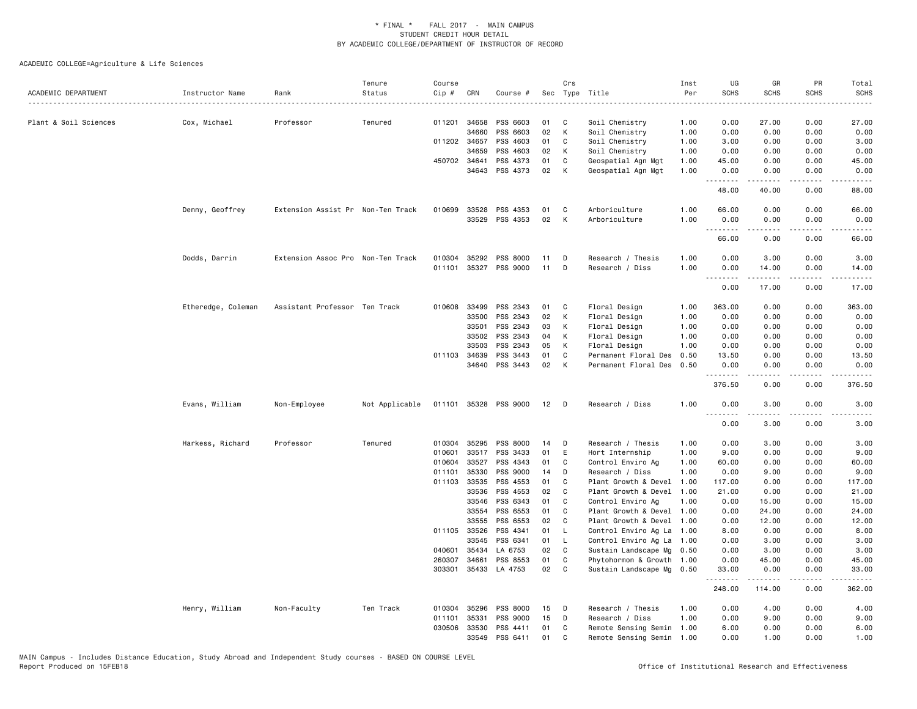|                       |                    |                                   | Tenure         | Course           |                |                       |          | Crs          |                                                        | Inst | UG                                | GR                       | PR                                  | Total         |
|-----------------------|--------------------|-----------------------------------|----------------|------------------|----------------|-----------------------|----------|--------------|--------------------------------------------------------|------|-----------------------------------|--------------------------|-------------------------------------|---------------|
| ACADEMIC DEPARTMENT   | Instructor Name    | Rank                              | Status         | $Cip$ #          | CRN            | Course #              | Sec      |              | Type Title                                             | Per  | <b>SCHS</b>                       | <b>SCHS</b>              | <b>SCHS</b>                         | <b>SCHS</b>   |
| Plant & Soil Sciences | Cox, Michael       | Professor                         | Tenured        | 011201           | 34658          | PSS 6603              | 01       | C            | Soil Chemistry                                         | 1.00 | 0.00                              | 27.00                    | 0.00                                | 27.00         |
|                       |                    |                                   |                |                  | 34660          | PSS 6603              | 02       | К            | Soil Chemistry                                         | 1.00 | 0.00                              | 0.00                     | 0.00                                | 0.00          |
|                       |                    |                                   |                |                  | 011202 34657   | PSS 4603              | 01       | C            | Soil Chemistry                                         | 1.00 | 3.00                              | 0.00                     | 0.00                                | 3.00          |
|                       |                    |                                   |                |                  | 34659          | PSS 4603              | 02       | К            | Soil Chemistry                                         | 1.00 | 0.00                              | 0.00                     | 0.00                                | 0.00          |
|                       |                    |                                   |                |                  | 450702 34641   | PSS 4373              | 01       | C            | Geospatial Agn Mgt                                     | 1.00 | 45.00                             | 0.00                     | 0.00                                | 45.00         |
|                       |                    |                                   |                |                  | 34643          | PSS 4373              | 02       | К            | Geospatial Agn Mgt                                     | 1.00 | 0.00<br>.                         | 0.00                     | 0.00                                | 0.00          |
|                       |                    |                                   |                |                  |                |                       |          |              |                                                        |      | 48.00                             | 40.00                    | 0.00                                | 88.00         |
|                       | Denny, Geoffrey    | Extension Assist Pr Non-Ten Track |                |                  | 010699 33528   | PSS 4353              | 01       | C            | Arboriculture                                          | 1.00 | 66.00                             | 0.00                     | 0.00                                | 66.00         |
|                       |                    |                                   |                |                  | 33529          | PSS 4353              | 02       | К            | Arboriculture                                          | 1.00 | 0.00<br>.                         | 0.00                     | 0.00                                | 0.00          |
|                       |                    |                                   |                |                  |                |                       |          |              |                                                        |      | 66.00                             | 0.00                     | 0.00                                | 66.00         |
|                       | Dodds, Darrin      | Extension Assoc Pro Non-Ten Track |                |                  | 010304 35292   | PSS 8000              | 11       | D            | Research / Thesis                                      | 1.00 | 0.00                              | 3.00                     | 0.00                                | 3.00          |
|                       |                    |                                   |                | 011101           |                | 35327 PSS 9000        | 11       | D            | Research / Diss                                        | 1.00 | 0.00<br>$\sim$ $\sim$ $\sim$<br>. | 14.00<br>المتمام المتعاد | 0.00<br>$\sim$ $\sim$ $\sim$ $\sim$ | 14.00<br>.    |
|                       |                    |                                   |                |                  |                |                       |          |              |                                                        |      | 0.00                              | 17.00                    | 0.00                                | 17.00         |
|                       | Etheredge, Coleman | Assistant Professor Ten Track     |                | 010608           | 33499          | PSS 2343              | 01       | C            | Floral Design                                          | 1.00 | 363.00                            | 0.00                     | 0.00                                | 363.00        |
|                       |                    |                                   |                |                  | 33500          | PSS 2343              | 02       | К            | Floral Design                                          | 1.00 | 0.00                              | 0.00                     | 0.00                                | 0.00          |
|                       |                    |                                   |                |                  | 33501          | PSS 2343              | 03       | К            | Floral Design                                          | 1.00 | 0.00                              | 0.00                     | 0.00                                | 0.00          |
|                       |                    |                                   |                |                  | 33502          | PSS 2343              | 04       | К            | Floral Design                                          | 1.00 | 0.00                              | 0.00                     | 0.00                                | 0.00          |
|                       |                    |                                   |                |                  | 33503          | PSS 2343              | 05       | K            | Floral Design                                          | 1.00 | 0.00                              | 0.00                     | 0.00                                | 0.00          |
|                       |                    |                                   |                | 011103           | 34639          | PSS 3443              | 01       | C            | Permanent Floral Des                                   | 0.50 | 13.50                             | 0.00                     | 0.00                                | 13.50         |
|                       |                    |                                   |                |                  | 34640          | PSS 3443              | 02       | К            | Permanent Floral Des                                   | 0.50 | 0.00<br>.                         | 0.00                     | 0.00                                | 0.00          |
|                       |                    |                                   |                |                  |                |                       |          |              |                                                        |      | 376.50                            | 0.00                     | 0.00                                | 376.50        |
|                       | Evans, William     | Non-Employee                      | Not Applicable |                  |                | 011101 35328 PSS 9000 | 12       | $\mathsf{D}$ | Research / Diss                                        | 1.00 | 0.00<br>.                         | 3.00                     | 0.00                                | 3.00          |
|                       |                    |                                   |                |                  |                |                       |          |              |                                                        |      | 0.00                              | 3.00                     | 0.00                                | 3.00          |
|                       | Harkess, Richard   | Professor                         | Tenured        |                  | 010304 35295   | PSS 8000              | 14       | D            | Research / Thesis                                      | 1.00 | 0.00                              | 3.00                     | 0.00                                | 3.00          |
|                       |                    |                                   |                | 010601           | 33517          | PSS 3433              | 01       | Ε            | Hort Internship                                        | 1.00 | 9.00                              | 0.00                     | 0.00                                | 9.00          |
|                       |                    |                                   |                | 010604           | 33527          | PSS 4343              | 01       | C            | Control Enviro Ag                                      | 1.00 | 60.00                             | 0.00                     | 0.00                                | 60.00         |
|                       |                    |                                   |                | 011101           | 35330          | PSS 9000              | 14       | D            | Research / Diss                                        | 1.00 | 0.00                              | 9.00                     | 0.00                                | 9.00          |
|                       |                    |                                   |                |                  | 011103 33535   | PSS 4553              | 01       | $\mathbf{C}$ | Plant Growth & Devel                                   | 1.00 | 117.00                            | 0.00                     | 0.00                                | 117.00        |
|                       |                    |                                   |                |                  | 33536          | PSS 4553              | 02       | C            | Plant Growth & Devel                                   | 1.00 | 21.00                             | 0.00                     | 0.00                                | 21.00         |
|                       |                    |                                   |                |                  | 33546          | PSS 6343              | 01       | C            | Control Enviro Ag                                      | 1.00 | 0.00                              | 15.00                    | 0.00                                | 15.00         |
|                       |                    |                                   |                |                  | 33554          | PSS 6553              | 01       | C            | Plant Growth & Devel 1.00                              |      | 0.00                              | 24.00                    | 0.00                                | 24.00         |
|                       |                    |                                   |                |                  | 33555          | PSS 6553              | 02       | C            | Plant Growth & Devel                                   | 1.00 | 0.00                              | 12.00                    | 0.00                                | 12.00         |
|                       |                    |                                   |                |                  | 011105 33526   | PSS 4341              | 01       | L            | Control Enviro Ag La                                   | 1.00 | 8.00                              | 0.00                     | 0.00                                | 8.00          |
|                       |                    |                                   |                |                  | 33545          | PSS 6341              | 01       | L.           | Control Enviro Ag La                                   | 1.00 | 0.00                              | 3.00                     | 0.00                                | 3.00          |
|                       |                    |                                   |                | 040601<br>260307 | 35434<br>34661 | LA 6753<br>PSS 8553   | 02<br>01 | C<br>C       | Sustain Landscape Mg 0.50                              |      | 0.00<br>0.00                      | 3.00<br>45.00            | 0.00<br>0.00                        | 3.00<br>45.00 |
|                       |                    |                                   |                | 303301           |                | 35433 LA 4753         | 02       | C            | Phytohormon & Growth 1.00<br>Sustain Landscape Mg 0.50 |      | 33.00                             | 0.00                     | 0.00                                | 33.00         |
|                       |                    |                                   |                |                  |                |                       |          |              |                                                        |      | <u>.</u><br>248.00                | <u>.</u><br>114.00       | .<br>0.00                           | .<br>362.00   |
|                       | Henry, William     | Non-Faculty                       | Ten Track      | 010304           | 35296          | PSS 8000              | 15       | D            | Research / Thesis                                      | 1.00 | 0.00                              | 4.00                     | 0.00                                | 4.00          |
|                       |                    |                                   |                | 011101           | 35331          | PSS 9000              | 15       | D            | Research / Diss                                        | 1.00 | 0.00                              | 9.00                     | 0.00                                | 9.00          |
|                       |                    |                                   |                | 030506           | 33530          | PSS 4411              | 01       | C            | Remote Sensing Semin                                   | 1.00 | 6.00                              | 0.00                     | 0.00                                | 6.00          |
|                       |                    |                                   |                |                  | 33549          | PSS 6411              | 01       | C            | Remote Sensing Semin                                   | 1.00 | 0.00                              | 1.00                     | 0.00                                | 1.00          |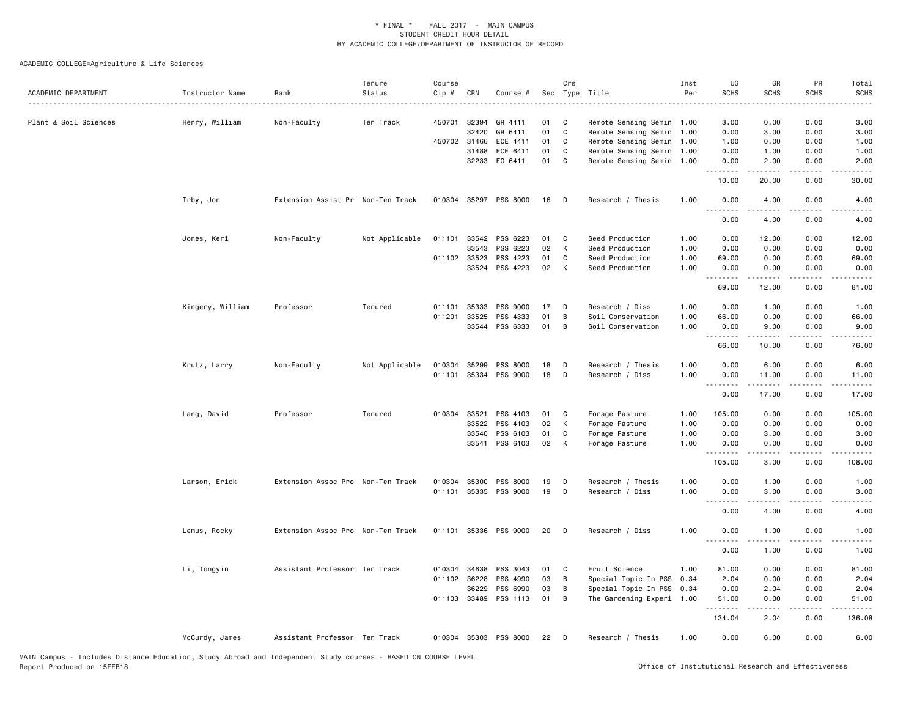| ACADEMIC DEPARTMENT   | Instructor Name  | Rank                              | Tenure<br>Status | Course<br>Cip # | CRN          | Course #              |    | Crs          | Sec Type Title            | Inst<br>Per | UG<br><b>SCHS</b>                                                                            | GR<br><b>SCHS</b> | PR<br><b>SCHS</b> | Total<br><b>SCHS</b> |
|-----------------------|------------------|-----------------------------------|------------------|-----------------|--------------|-----------------------|----|--------------|---------------------------|-------------|----------------------------------------------------------------------------------------------|-------------------|-------------------|----------------------|
| Plant & Soil Sciences | Henry, William   | Non-Faculty                       | Ten Track        | 450701          | 32394        | GR 4411               | 01 | C            | Remote Sensing Semin 1.00 |             | 3.00                                                                                         | 0.00              | 0.00              | 3.00                 |
|                       |                  |                                   |                  |                 | 32420        | GR 6411               | 01 | C.           | Remote Sensing Semin 1.00 |             | 0.00                                                                                         | 3.00              | 0.00              | 3.00                 |
|                       |                  |                                   |                  |                 | 450702 31466 | ECE 4411              | 01 | C            | Remote Sensing Semin 1.00 |             | 1.00                                                                                         | 0.00              | 0.00              | 1.00                 |
|                       |                  |                                   |                  |                 | 31488        | ECE 6411              | 01 | C            | Remote Sensing Semin 1.00 |             | 0.00                                                                                         | 1.00              | 0.00              | 1.00                 |
|                       |                  |                                   |                  |                 | 32233        | F0 6411               | 01 | $\mathbf{C}$ | Remote Sensing Semin 1.00 |             | 0.00<br>.                                                                                    | 2.00              | 0.00              | 2.00                 |
|                       |                  |                                   |                  |                 |              |                       |    |              |                           |             | 10.00                                                                                        | 20.00             | 0.00              | 30.00                |
|                       | Irby, Jon        | Extension Assist Pr Non-Ten Track |                  |                 |              | 010304 35297 PSS 8000 | 16 | - D          | Research / Thesis         | 1.00        | 0.00                                                                                         | 4.00              | 0.00              | 4.00                 |
|                       |                  |                                   |                  |                 |              |                       |    |              |                           |             | 0.00                                                                                         | 4.00              | 0.00              | 4.00                 |
|                       | Jones, Keri      | Non-Faculty                       | Not Applicable   | 011101 33542    |              | PSS 6223              | 01 | C            | Seed Production           | 1.00        | 0.00                                                                                         | 12.00             | 0.00              | 12.00                |
|                       |                  |                                   |                  |                 | 33543        | PSS 6223              | 02 | K            | Seed Production           | 1.00        | 0.00                                                                                         | 0.00              | 0.00              | 0.00                 |
|                       |                  |                                   |                  |                 | 011102 33523 | PSS 4223              | 01 | C            | Seed Production           | 1.00        | 69.00                                                                                        | 0.00              | 0.00              | 69.00                |
|                       |                  |                                   |                  |                 | 33524        | PSS 4223              | 02 | $\mathsf{K}$ | Seed Production           | 1.00        | 0.00<br>.                                                                                    | 0.00              | 0.00              | 0.00                 |
|                       |                  |                                   |                  |                 |              |                       |    |              |                           |             | 69.00                                                                                        | 12.00             | 0.00              | 81.00                |
|                       | Kingery, William | Professor                         | Tenured          | 011101          | 35333        | PSS 9000              | 17 | D            | Research / Diss           | 1.00        | 0.00                                                                                         | 1.00              | 0.00              | 1.00                 |
|                       |                  |                                   |                  | 011201          | 33525        | PSS 4333              | 01 | B            | Soil Conservation         | 1.00        | 66.00                                                                                        | 0.00              | 0.00              | 66.00                |
|                       |                  |                                   |                  |                 |              | 33544 PSS 6333        | 01 | B            | Soil Conservation         | 1.00        | 0.00<br>.                                                                                    | 9.00<br>.         | 0.00<br>.         | 9.00<br>.            |
|                       |                  |                                   |                  |                 |              |                       |    |              |                           |             | 66.00                                                                                        | 10.00             | 0.00              | 76.00                |
|                       | Krutz, Larry     | Non-Faculty                       | Not Applicable   | 010304          | 35299        | PSS 8000              | 18 | D            | Research / Thesis         | 1.00        | 0.00                                                                                         | 6.00              | 0.00              | 6.00                 |
|                       |                  |                                   |                  | 011101          |              | 35334 PSS 9000        | 18 | D            | Research / Diss           | 1.00        | 0.00                                                                                         | 11.00             | 0.00              | 11.00                |
|                       |                  |                                   |                  |                 |              |                       |    |              |                           |             | .<br>$\frac{1}{2} \left( \frac{1}{2} \right) \frac{1}{2} \left( \frac{1}{2} \right)$<br>0.00 | 17.00             | 0.00              | 17.00                |
|                       |                  |                                   |                  |                 |              |                       |    |              |                           |             |                                                                                              |                   |                   |                      |
|                       | Lang, David      | Professor                         | Tenured          | 010304 33521    |              | PSS 4103              | 01 | C            | Forage Pasture            | 1.00        | 105.00                                                                                       | 0.00              | 0.00              | 105.00               |
|                       |                  |                                   |                  |                 | 33522        | PSS 4103              | 02 | K            | Forage Pasture            | 1.00        | 0.00                                                                                         | 0.00              | 0.00              | 0.00                 |
|                       |                  |                                   |                  |                 | 33540        | PSS 6103              | 01 | C            | Forage Pasture            | 1.00        | 0.00                                                                                         | 3.00              | 0.00              | 3.00                 |
|                       |                  |                                   |                  |                 | 33541        | PSS 6103              | 02 | K            | Forage Pasture            | 1.00        | 0.00<br>.                                                                                    | 0.00<br>.         | 0.00<br>$\cdots$  | 0.00<br>.            |
|                       |                  |                                   |                  |                 |              |                       |    |              |                           |             | 105.00                                                                                       | 3.00              | 0.00              | 108.00               |
|                       | Larson, Erick    | Extension Assoc Pro Non-Ten Track |                  | 010304          | 35300        | PSS 8000              | 19 | D            | Research / Thesis         | 1.00        | 0.00                                                                                         | 1.00              | 0.00              | 1.00                 |
|                       |                  |                                   |                  | 011101          |              | 35335 PSS 9000        | 19 | D            | Research / Diss           | 1.00        | 0.00<br>.                                                                                    | 3.00              | 0.00              | 3.00                 |
|                       |                  |                                   |                  |                 |              |                       |    |              |                           |             | 0.00                                                                                         | 4.00              | 0.00              | 4.00                 |
|                       | Lemus, Rocky     | Extension Assoc Pro Non-Ten Track |                  |                 |              | 011101 35336 PSS 9000 | 20 | D            | Research / Diss           | 1.00        | 0.00<br>.                                                                                    | 1.00<br>-----     | 0.00              | 1.00                 |
|                       |                  |                                   |                  |                 |              |                       |    |              |                           |             | 0.00                                                                                         | 1.00              | 0.00              | 1.00                 |
|                       | Li, Tongyin      | Assistant Professor Ten Track     |                  |                 | 010304 34638 | PSS 3043              | 01 | C            | Fruit Science             | 1.00        | 81.00                                                                                        | 0.00              | 0.00              | 81.00                |
|                       |                  |                                   |                  |                 | 011102 36228 | PSS 4990              | 03 | B            | Special Topic In PSS      | 0.34        | 2.04                                                                                         | 0.00              | 0.00              | 2.04                 |
|                       |                  |                                   |                  |                 | 36229        | PSS 6990              | 03 | B            | Special Topic In PSS 0.34 |             | 0.00                                                                                         | 2.04              | 0.00              | 2.04                 |
|                       |                  |                                   |                  |                 | 011103 33489 | PSS 1113              | 01 | B            | The Gardening Experi 1.00 |             | 51.00<br>.                                                                                   | 0.00              | 0.00              | 51.00                |
|                       |                  |                                   |                  |                 |              |                       |    |              |                           |             | 134.04                                                                                       | 2.04              | 0.00              | 136.08               |
|                       | McCurdy, James   | Assistant Professor Ten Track     |                  |                 |              | 010304 35303 PSS 8000 | 22 | D            | Research / Thesis         | 1.00        | 0.00                                                                                         | 6.00              | 0.00              | 6.00                 |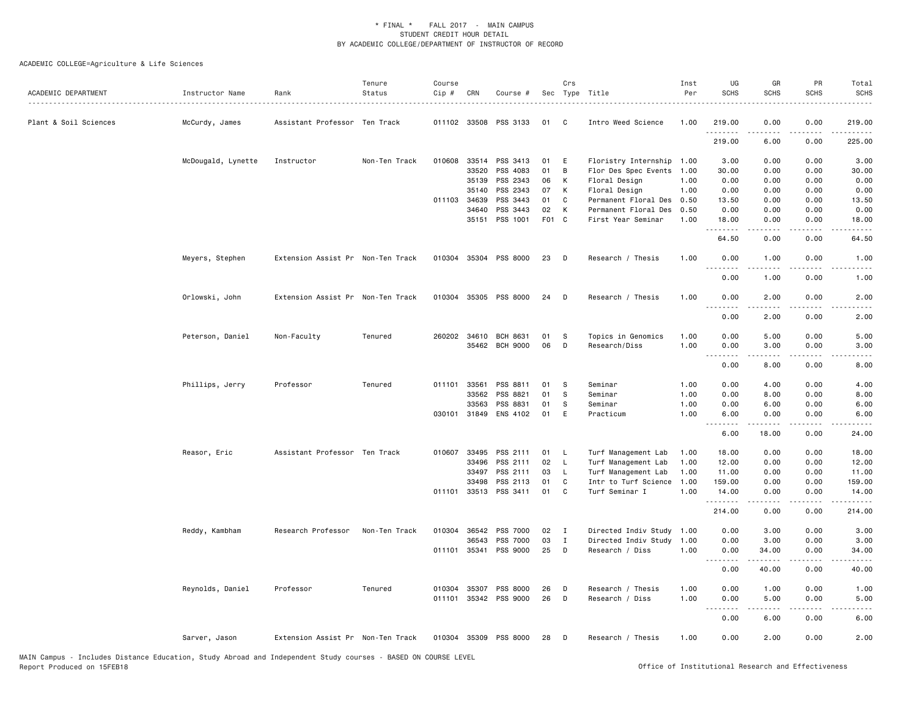| 011102 33508 PSS 3133<br>Plant & Soil Sciences<br>McCurdy, James<br>Assistant Professor Ten Track<br>01<br>C<br>Intro Weed Science<br>1.00<br>219.00<br>0.00<br>0.00<br>219.00<br>.<br>219.00<br>6.00<br>0.00<br>225.00<br>Floristry Internship 1.00<br>McDougald, Lynette<br>Instructor<br>Non-Ten Track<br>010608<br>33514<br>PSS 3413<br>01<br>E<br>3.00<br>0.00<br>0.00<br>3.00<br>33520<br>PSS 4083<br>01<br>B<br>Flor Des Spec Events 1.00<br>30.00<br>0.00<br>0.00<br>30.00<br>35139<br>PSS 2343<br>06<br>К<br>1.00<br>0.00<br>0.00<br>0.00<br>0.00<br>Floral Design<br>PSS 2343<br>07<br>1.00<br>0.00<br>0.00<br>0.00<br>35140<br>К<br>Floral Design<br>0.00<br>PSS 3443<br>01<br>C<br>0.50<br>13.50<br>0.00<br>13.50<br>011103 34639<br>Permanent Floral Des<br>0.00<br>PSS 3443<br>02<br>К<br>0.50<br>34640<br>Permanent Floral Des<br>0.00<br>0.00<br>0.00<br>0.00<br>F01<br>PSS 1001<br>$\mathbf{C}$<br>1.00<br>35151<br>First Year Seminar<br>18.00<br>0.00<br>0.00<br>18.00<br>.<br>.<br>.<br>.<br>64.50<br>0.00<br>0.00<br>64.50<br>Meyers, Stephen<br>Extension Assist Pr Non-Ten Track<br>010304 35304 PSS 8000<br>23<br>Research / Thesis<br>1.00<br>0.00<br>1.00<br>0.00<br>D<br>1.00<br>د د د د<br>.<br>0.00<br>1.00<br>0.00<br>1.00<br>010304<br>35305 PSS 8000<br>1.00<br>0.00<br>2.00<br>Orlowski, John<br>Extension Assist Pr Non-Ten Track<br>24<br>D<br>Research / Thesis<br>0.00<br>2.00<br>$- - - -$<br>$   -$<br>.<br>$- - - -$<br>0.00<br>2.00<br>0.00<br>2.00<br>Peterson, Daniel<br>260202 34610<br>Topics in Genomics<br>Non-Faculty<br>Tenured<br>BCH 8631<br>01<br>-S<br>1.00<br>0.00<br>5.00<br>0.00<br>5.00<br>35462 BCH 9000<br>06<br>D<br>Research/Diss<br>1.00<br>0.00<br>3.00<br>0.00<br>3.00<br>.<br>0.00<br>8.00<br>0.00<br>8.00<br>PSS 8811<br>Phillips, Jerry<br>Professor<br>Tenured<br>011101 33561<br>01<br>S<br>Seminar<br>1.00<br>0.00<br>4.00<br>0.00<br>4.00<br>33562<br>PSS 8821<br>01<br>S<br>1.00<br>0.00<br>8.00<br>0.00<br>8.00<br>Seminar<br>PSS 8831<br>01<br>0.00<br>0.00<br>33563<br>S<br>Seminar<br>1.00<br>6.00<br>6.00<br>ENS 4102<br>01<br>E<br>0.00<br>030101 31849<br>Practicum<br>1.00<br>6.00<br>0.00<br>6.00<br>.<br>-----<br>.<br>6.00<br>18.00<br>0.00<br>24.00<br>Reasor, Eric<br>Assistant Professor Ten Track<br>010607 33495<br>PSS 2111<br>01<br>- L<br>Turf Management Lab<br>1.00<br>18.00<br>0.00<br>0.00<br>18.00<br>02<br>33496<br>PSS 2111<br><b>L</b><br>Turf Management Lab<br>1.00<br>12.00<br>0.00<br>0.00<br>12.00<br>33497<br>PSS 2111<br>03<br>Turf Management Lab<br>0.00<br><b>L</b><br>1.00<br>11.00<br>0.00<br>11.00<br>PSS 2113<br>01<br>Intr to Turf Science<br>1.00<br>159.00<br>0.00<br>159.00<br>33498<br>C<br>0.00<br>011101 33513 PSS 3411<br>01<br>C<br>Turf Seminar I<br>1.00<br>0.00<br>0.00<br>14.00<br>14.00<br>22222<br>د د د د<br>$\begin{array}{cccccccccc} \bullet & \bullet & \bullet & \bullet & \bullet & \bullet & \bullet \end{array}$<br>214.00<br>214.00<br>0.00<br>0.00<br>010304 36542<br>PSS 7000<br>0.00<br>3.00<br>0.00<br>3.00<br>Reddy, Kambham<br>Research Professor<br>Non-Ten Track<br>02<br>Ι<br>Directed Indiv Study 1.00<br>03<br>PSS 7000<br>$\mathbf I$<br>Directed Indiv Study<br>0.00<br>0.00<br>36543<br>1.00<br>3.00<br>3.00<br>35341<br>PSS 9000<br>25<br>011101<br>D<br>Research / Diss<br>1.00<br>0.00<br>34.00<br>0.00<br>34.00<br>$\frac{1}{2}$<br>0.00<br>40.00<br>0.00<br>40.00<br>Reynolds, Daniel<br>Professor<br>Tenured<br>010304 35307<br>PSS 8000<br>26<br>Research / Thesis<br>1.00<br>0.00<br>1.00<br>0.00<br>1.00<br>D<br>011101 35342 PSS 9000<br>26<br>D<br>Research / Diss<br>1.00<br>0.00<br>5.00<br>0.00<br>5.00<br>.<br>.<br>$- - - -$<br>0.00<br>6.00<br>6.00<br>0.00<br>010304 35309 PSS 8000<br>1.00<br>0.00<br>2.00<br>0.00<br>2.00<br>Sarver, Jason<br>Extension Assist Pr Non-Ten Track<br>28<br>D<br>Research / Thesis | ACADEMIC DEPARTMENT | Instructor Name | Rank | Tenure<br>Status | Course<br>Cip # | CRN | Course # | Crs | Sec Type Title | Inst<br>Per | UG<br><b>SCHS</b> | GR<br><b>SCHS</b> | PR<br><b>SCHS</b> | Total<br><b>SCHS</b> |
|---------------------------------------------------------------------------------------------------------------------------------------------------------------------------------------------------------------------------------------------------------------------------------------------------------------------------------------------------------------------------------------------------------------------------------------------------------------------------------------------------------------------------------------------------------------------------------------------------------------------------------------------------------------------------------------------------------------------------------------------------------------------------------------------------------------------------------------------------------------------------------------------------------------------------------------------------------------------------------------------------------------------------------------------------------------------------------------------------------------------------------------------------------------------------------------------------------------------------------------------------------------------------------------------------------------------------------------------------------------------------------------------------------------------------------------------------------------------------------------------------------------------------------------------------------------------------------------------------------------------------------------------------------------------------------------------------------------------------------------------------------------------------------------------------------------------------------------------------------------------------------------------------------------------------------------------------------------------------------------------------------------------------------------------------------------------------------------------------------------------------------------------------------------------------------------------------------------------------------------------------------------------------------------------------------------------------------------------------------------------------------------------------------------------------------------------------------------------------------------------------------------------------------------------------------------------------------------------------------------------------------------------------------------------------------------------------------------------------------------------------------------------------------------------------------------------------------------------------------------------------------------------------------------------------------------------------------------------------------------------------------------------------------------------------------------------------------------------------------------------------------------------------------------------------------------------------------------------------------------------------------------------------------------------------------------------------------------------------------------------------------------------------------------------------------------------------------------------------------------------------------------------------------------------------------------------------------------------------------------------------------------------------------------------------------------------------------------------------------------------------------------------------------------------------------------------------------------------------------------------------------------------|---------------------|-----------------|------|------------------|-----------------|-----|----------|-----|----------------|-------------|-------------------|-------------------|-------------------|----------------------|
|                                                                                                                                                                                                                                                                                                                                                                                                                                                                                                                                                                                                                                                                                                                                                                                                                                                                                                                                                                                                                                                                                                                                                                                                                                                                                                                                                                                                                                                                                                                                                                                                                                                                                                                                                                                                                                                                                                                                                                                                                                                                                                                                                                                                                                                                                                                                                                                                                                                                                                                                                                                                                                                                                                                                                                                                                                                                                                                                                                                                                                                                                                                                                                                                                                                                                                                                                                                                                                                                                                                                                                                                                                                                                                                                                                                                                                                                                             |                     |                 |      |                  |                 |     |          |     |                |             |                   |                   |                   |                      |
|                                                                                                                                                                                                                                                                                                                                                                                                                                                                                                                                                                                                                                                                                                                                                                                                                                                                                                                                                                                                                                                                                                                                                                                                                                                                                                                                                                                                                                                                                                                                                                                                                                                                                                                                                                                                                                                                                                                                                                                                                                                                                                                                                                                                                                                                                                                                                                                                                                                                                                                                                                                                                                                                                                                                                                                                                                                                                                                                                                                                                                                                                                                                                                                                                                                                                                                                                                                                                                                                                                                                                                                                                                                                                                                                                                                                                                                                                             |                     |                 |      |                  |                 |     |          |     |                |             |                   |                   |                   |                      |
|                                                                                                                                                                                                                                                                                                                                                                                                                                                                                                                                                                                                                                                                                                                                                                                                                                                                                                                                                                                                                                                                                                                                                                                                                                                                                                                                                                                                                                                                                                                                                                                                                                                                                                                                                                                                                                                                                                                                                                                                                                                                                                                                                                                                                                                                                                                                                                                                                                                                                                                                                                                                                                                                                                                                                                                                                                                                                                                                                                                                                                                                                                                                                                                                                                                                                                                                                                                                                                                                                                                                                                                                                                                                                                                                                                                                                                                                                             |                     |                 |      |                  |                 |     |          |     |                |             |                   |                   |                   |                      |
|                                                                                                                                                                                                                                                                                                                                                                                                                                                                                                                                                                                                                                                                                                                                                                                                                                                                                                                                                                                                                                                                                                                                                                                                                                                                                                                                                                                                                                                                                                                                                                                                                                                                                                                                                                                                                                                                                                                                                                                                                                                                                                                                                                                                                                                                                                                                                                                                                                                                                                                                                                                                                                                                                                                                                                                                                                                                                                                                                                                                                                                                                                                                                                                                                                                                                                                                                                                                                                                                                                                                                                                                                                                                                                                                                                                                                                                                                             |                     |                 |      |                  |                 |     |          |     |                |             |                   |                   |                   |                      |
|                                                                                                                                                                                                                                                                                                                                                                                                                                                                                                                                                                                                                                                                                                                                                                                                                                                                                                                                                                                                                                                                                                                                                                                                                                                                                                                                                                                                                                                                                                                                                                                                                                                                                                                                                                                                                                                                                                                                                                                                                                                                                                                                                                                                                                                                                                                                                                                                                                                                                                                                                                                                                                                                                                                                                                                                                                                                                                                                                                                                                                                                                                                                                                                                                                                                                                                                                                                                                                                                                                                                                                                                                                                                                                                                                                                                                                                                                             |                     |                 |      |                  |                 |     |          |     |                |             |                   |                   |                   |                      |
|                                                                                                                                                                                                                                                                                                                                                                                                                                                                                                                                                                                                                                                                                                                                                                                                                                                                                                                                                                                                                                                                                                                                                                                                                                                                                                                                                                                                                                                                                                                                                                                                                                                                                                                                                                                                                                                                                                                                                                                                                                                                                                                                                                                                                                                                                                                                                                                                                                                                                                                                                                                                                                                                                                                                                                                                                                                                                                                                                                                                                                                                                                                                                                                                                                                                                                                                                                                                                                                                                                                                                                                                                                                                                                                                                                                                                                                                                             |                     |                 |      |                  |                 |     |          |     |                |             |                   |                   |                   |                      |
|                                                                                                                                                                                                                                                                                                                                                                                                                                                                                                                                                                                                                                                                                                                                                                                                                                                                                                                                                                                                                                                                                                                                                                                                                                                                                                                                                                                                                                                                                                                                                                                                                                                                                                                                                                                                                                                                                                                                                                                                                                                                                                                                                                                                                                                                                                                                                                                                                                                                                                                                                                                                                                                                                                                                                                                                                                                                                                                                                                                                                                                                                                                                                                                                                                                                                                                                                                                                                                                                                                                                                                                                                                                                                                                                                                                                                                                                                             |                     |                 |      |                  |                 |     |          |     |                |             |                   |                   |                   |                      |
|                                                                                                                                                                                                                                                                                                                                                                                                                                                                                                                                                                                                                                                                                                                                                                                                                                                                                                                                                                                                                                                                                                                                                                                                                                                                                                                                                                                                                                                                                                                                                                                                                                                                                                                                                                                                                                                                                                                                                                                                                                                                                                                                                                                                                                                                                                                                                                                                                                                                                                                                                                                                                                                                                                                                                                                                                                                                                                                                                                                                                                                                                                                                                                                                                                                                                                                                                                                                                                                                                                                                                                                                                                                                                                                                                                                                                                                                                             |                     |                 |      |                  |                 |     |          |     |                |             |                   |                   |                   |                      |
|                                                                                                                                                                                                                                                                                                                                                                                                                                                                                                                                                                                                                                                                                                                                                                                                                                                                                                                                                                                                                                                                                                                                                                                                                                                                                                                                                                                                                                                                                                                                                                                                                                                                                                                                                                                                                                                                                                                                                                                                                                                                                                                                                                                                                                                                                                                                                                                                                                                                                                                                                                                                                                                                                                                                                                                                                                                                                                                                                                                                                                                                                                                                                                                                                                                                                                                                                                                                                                                                                                                                                                                                                                                                                                                                                                                                                                                                                             |                     |                 |      |                  |                 |     |          |     |                |             |                   |                   |                   |                      |
|                                                                                                                                                                                                                                                                                                                                                                                                                                                                                                                                                                                                                                                                                                                                                                                                                                                                                                                                                                                                                                                                                                                                                                                                                                                                                                                                                                                                                                                                                                                                                                                                                                                                                                                                                                                                                                                                                                                                                                                                                                                                                                                                                                                                                                                                                                                                                                                                                                                                                                                                                                                                                                                                                                                                                                                                                                                                                                                                                                                                                                                                                                                                                                                                                                                                                                                                                                                                                                                                                                                                                                                                                                                                                                                                                                                                                                                                                             |                     |                 |      |                  |                 |     |          |     |                |             |                   |                   |                   |                      |
|                                                                                                                                                                                                                                                                                                                                                                                                                                                                                                                                                                                                                                                                                                                                                                                                                                                                                                                                                                                                                                                                                                                                                                                                                                                                                                                                                                                                                                                                                                                                                                                                                                                                                                                                                                                                                                                                                                                                                                                                                                                                                                                                                                                                                                                                                                                                                                                                                                                                                                                                                                                                                                                                                                                                                                                                                                                                                                                                                                                                                                                                                                                                                                                                                                                                                                                                                                                                                                                                                                                                                                                                                                                                                                                                                                                                                                                                                             |                     |                 |      |                  |                 |     |          |     |                |             |                   |                   |                   |                      |
|                                                                                                                                                                                                                                                                                                                                                                                                                                                                                                                                                                                                                                                                                                                                                                                                                                                                                                                                                                                                                                                                                                                                                                                                                                                                                                                                                                                                                                                                                                                                                                                                                                                                                                                                                                                                                                                                                                                                                                                                                                                                                                                                                                                                                                                                                                                                                                                                                                                                                                                                                                                                                                                                                                                                                                                                                                                                                                                                                                                                                                                                                                                                                                                                                                                                                                                                                                                                                                                                                                                                                                                                                                                                                                                                                                                                                                                                                             |                     |                 |      |                  |                 |     |          |     |                |             |                   |                   |                   |                      |
|                                                                                                                                                                                                                                                                                                                                                                                                                                                                                                                                                                                                                                                                                                                                                                                                                                                                                                                                                                                                                                                                                                                                                                                                                                                                                                                                                                                                                                                                                                                                                                                                                                                                                                                                                                                                                                                                                                                                                                                                                                                                                                                                                                                                                                                                                                                                                                                                                                                                                                                                                                                                                                                                                                                                                                                                                                                                                                                                                                                                                                                                                                                                                                                                                                                                                                                                                                                                                                                                                                                                                                                                                                                                                                                                                                                                                                                                                             |                     |                 |      |                  |                 |     |          |     |                |             |                   |                   |                   |                      |
|                                                                                                                                                                                                                                                                                                                                                                                                                                                                                                                                                                                                                                                                                                                                                                                                                                                                                                                                                                                                                                                                                                                                                                                                                                                                                                                                                                                                                                                                                                                                                                                                                                                                                                                                                                                                                                                                                                                                                                                                                                                                                                                                                                                                                                                                                                                                                                                                                                                                                                                                                                                                                                                                                                                                                                                                                                                                                                                                                                                                                                                                                                                                                                                                                                                                                                                                                                                                                                                                                                                                                                                                                                                                                                                                                                                                                                                                                             |                     |                 |      |                  |                 |     |          |     |                |             |                   |                   |                   |                      |
|                                                                                                                                                                                                                                                                                                                                                                                                                                                                                                                                                                                                                                                                                                                                                                                                                                                                                                                                                                                                                                                                                                                                                                                                                                                                                                                                                                                                                                                                                                                                                                                                                                                                                                                                                                                                                                                                                                                                                                                                                                                                                                                                                                                                                                                                                                                                                                                                                                                                                                                                                                                                                                                                                                                                                                                                                                                                                                                                                                                                                                                                                                                                                                                                                                                                                                                                                                                                                                                                                                                                                                                                                                                                                                                                                                                                                                                                                             |                     |                 |      |                  |                 |     |          |     |                |             |                   |                   |                   |                      |
|                                                                                                                                                                                                                                                                                                                                                                                                                                                                                                                                                                                                                                                                                                                                                                                                                                                                                                                                                                                                                                                                                                                                                                                                                                                                                                                                                                                                                                                                                                                                                                                                                                                                                                                                                                                                                                                                                                                                                                                                                                                                                                                                                                                                                                                                                                                                                                                                                                                                                                                                                                                                                                                                                                                                                                                                                                                                                                                                                                                                                                                                                                                                                                                                                                                                                                                                                                                                                                                                                                                                                                                                                                                                                                                                                                                                                                                                                             |                     |                 |      |                  |                 |     |          |     |                |             |                   |                   |                   |                      |
|                                                                                                                                                                                                                                                                                                                                                                                                                                                                                                                                                                                                                                                                                                                                                                                                                                                                                                                                                                                                                                                                                                                                                                                                                                                                                                                                                                                                                                                                                                                                                                                                                                                                                                                                                                                                                                                                                                                                                                                                                                                                                                                                                                                                                                                                                                                                                                                                                                                                                                                                                                                                                                                                                                                                                                                                                                                                                                                                                                                                                                                                                                                                                                                                                                                                                                                                                                                                                                                                                                                                                                                                                                                                                                                                                                                                                                                                                             |                     |                 |      |                  |                 |     |          |     |                |             |                   |                   |                   |                      |
|                                                                                                                                                                                                                                                                                                                                                                                                                                                                                                                                                                                                                                                                                                                                                                                                                                                                                                                                                                                                                                                                                                                                                                                                                                                                                                                                                                                                                                                                                                                                                                                                                                                                                                                                                                                                                                                                                                                                                                                                                                                                                                                                                                                                                                                                                                                                                                                                                                                                                                                                                                                                                                                                                                                                                                                                                                                                                                                                                                                                                                                                                                                                                                                                                                                                                                                                                                                                                                                                                                                                                                                                                                                                                                                                                                                                                                                                                             |                     |                 |      |                  |                 |     |          |     |                |             |                   |                   |                   |                      |
|                                                                                                                                                                                                                                                                                                                                                                                                                                                                                                                                                                                                                                                                                                                                                                                                                                                                                                                                                                                                                                                                                                                                                                                                                                                                                                                                                                                                                                                                                                                                                                                                                                                                                                                                                                                                                                                                                                                                                                                                                                                                                                                                                                                                                                                                                                                                                                                                                                                                                                                                                                                                                                                                                                                                                                                                                                                                                                                                                                                                                                                                                                                                                                                                                                                                                                                                                                                                                                                                                                                                                                                                                                                                                                                                                                                                                                                                                             |                     |                 |      |                  |                 |     |          |     |                |             |                   |                   |                   |                      |
|                                                                                                                                                                                                                                                                                                                                                                                                                                                                                                                                                                                                                                                                                                                                                                                                                                                                                                                                                                                                                                                                                                                                                                                                                                                                                                                                                                                                                                                                                                                                                                                                                                                                                                                                                                                                                                                                                                                                                                                                                                                                                                                                                                                                                                                                                                                                                                                                                                                                                                                                                                                                                                                                                                                                                                                                                                                                                                                                                                                                                                                                                                                                                                                                                                                                                                                                                                                                                                                                                                                                                                                                                                                                                                                                                                                                                                                                                             |                     |                 |      |                  |                 |     |          |     |                |             |                   |                   |                   |                      |
|                                                                                                                                                                                                                                                                                                                                                                                                                                                                                                                                                                                                                                                                                                                                                                                                                                                                                                                                                                                                                                                                                                                                                                                                                                                                                                                                                                                                                                                                                                                                                                                                                                                                                                                                                                                                                                                                                                                                                                                                                                                                                                                                                                                                                                                                                                                                                                                                                                                                                                                                                                                                                                                                                                                                                                                                                                                                                                                                                                                                                                                                                                                                                                                                                                                                                                                                                                                                                                                                                                                                                                                                                                                                                                                                                                                                                                                                                             |                     |                 |      |                  |                 |     |          |     |                |             |                   |                   |                   |                      |
|                                                                                                                                                                                                                                                                                                                                                                                                                                                                                                                                                                                                                                                                                                                                                                                                                                                                                                                                                                                                                                                                                                                                                                                                                                                                                                                                                                                                                                                                                                                                                                                                                                                                                                                                                                                                                                                                                                                                                                                                                                                                                                                                                                                                                                                                                                                                                                                                                                                                                                                                                                                                                                                                                                                                                                                                                                                                                                                                                                                                                                                                                                                                                                                                                                                                                                                                                                                                                                                                                                                                                                                                                                                                                                                                                                                                                                                                                             |                     |                 |      |                  |                 |     |          |     |                |             |                   |                   |                   |                      |
|                                                                                                                                                                                                                                                                                                                                                                                                                                                                                                                                                                                                                                                                                                                                                                                                                                                                                                                                                                                                                                                                                                                                                                                                                                                                                                                                                                                                                                                                                                                                                                                                                                                                                                                                                                                                                                                                                                                                                                                                                                                                                                                                                                                                                                                                                                                                                                                                                                                                                                                                                                                                                                                                                                                                                                                                                                                                                                                                                                                                                                                                                                                                                                                                                                                                                                                                                                                                                                                                                                                                                                                                                                                                                                                                                                                                                                                                                             |                     |                 |      |                  |                 |     |          |     |                |             |                   |                   |                   |                      |
|                                                                                                                                                                                                                                                                                                                                                                                                                                                                                                                                                                                                                                                                                                                                                                                                                                                                                                                                                                                                                                                                                                                                                                                                                                                                                                                                                                                                                                                                                                                                                                                                                                                                                                                                                                                                                                                                                                                                                                                                                                                                                                                                                                                                                                                                                                                                                                                                                                                                                                                                                                                                                                                                                                                                                                                                                                                                                                                                                                                                                                                                                                                                                                                                                                                                                                                                                                                                                                                                                                                                                                                                                                                                                                                                                                                                                                                                                             |                     |                 |      |                  |                 |     |          |     |                |             |                   |                   |                   |                      |
|                                                                                                                                                                                                                                                                                                                                                                                                                                                                                                                                                                                                                                                                                                                                                                                                                                                                                                                                                                                                                                                                                                                                                                                                                                                                                                                                                                                                                                                                                                                                                                                                                                                                                                                                                                                                                                                                                                                                                                                                                                                                                                                                                                                                                                                                                                                                                                                                                                                                                                                                                                                                                                                                                                                                                                                                                                                                                                                                                                                                                                                                                                                                                                                                                                                                                                                                                                                                                                                                                                                                                                                                                                                                                                                                                                                                                                                                                             |                     |                 |      |                  |                 |     |          |     |                |             |                   |                   |                   |                      |
|                                                                                                                                                                                                                                                                                                                                                                                                                                                                                                                                                                                                                                                                                                                                                                                                                                                                                                                                                                                                                                                                                                                                                                                                                                                                                                                                                                                                                                                                                                                                                                                                                                                                                                                                                                                                                                                                                                                                                                                                                                                                                                                                                                                                                                                                                                                                                                                                                                                                                                                                                                                                                                                                                                                                                                                                                                                                                                                                                                                                                                                                                                                                                                                                                                                                                                                                                                                                                                                                                                                                                                                                                                                                                                                                                                                                                                                                                             |                     |                 |      |                  |                 |     |          |     |                |             |                   |                   |                   |                      |
|                                                                                                                                                                                                                                                                                                                                                                                                                                                                                                                                                                                                                                                                                                                                                                                                                                                                                                                                                                                                                                                                                                                                                                                                                                                                                                                                                                                                                                                                                                                                                                                                                                                                                                                                                                                                                                                                                                                                                                                                                                                                                                                                                                                                                                                                                                                                                                                                                                                                                                                                                                                                                                                                                                                                                                                                                                                                                                                                                                                                                                                                                                                                                                                                                                                                                                                                                                                                                                                                                                                                                                                                                                                                                                                                                                                                                                                                                             |                     |                 |      |                  |                 |     |          |     |                |             |                   |                   |                   |                      |
|                                                                                                                                                                                                                                                                                                                                                                                                                                                                                                                                                                                                                                                                                                                                                                                                                                                                                                                                                                                                                                                                                                                                                                                                                                                                                                                                                                                                                                                                                                                                                                                                                                                                                                                                                                                                                                                                                                                                                                                                                                                                                                                                                                                                                                                                                                                                                                                                                                                                                                                                                                                                                                                                                                                                                                                                                                                                                                                                                                                                                                                                                                                                                                                                                                                                                                                                                                                                                                                                                                                                                                                                                                                                                                                                                                                                                                                                                             |                     |                 |      |                  |                 |     |          |     |                |             |                   |                   |                   |                      |
|                                                                                                                                                                                                                                                                                                                                                                                                                                                                                                                                                                                                                                                                                                                                                                                                                                                                                                                                                                                                                                                                                                                                                                                                                                                                                                                                                                                                                                                                                                                                                                                                                                                                                                                                                                                                                                                                                                                                                                                                                                                                                                                                                                                                                                                                                                                                                                                                                                                                                                                                                                                                                                                                                                                                                                                                                                                                                                                                                                                                                                                                                                                                                                                                                                                                                                                                                                                                                                                                                                                                                                                                                                                                                                                                                                                                                                                                                             |                     |                 |      |                  |                 |     |          |     |                |             |                   |                   |                   |                      |
|                                                                                                                                                                                                                                                                                                                                                                                                                                                                                                                                                                                                                                                                                                                                                                                                                                                                                                                                                                                                                                                                                                                                                                                                                                                                                                                                                                                                                                                                                                                                                                                                                                                                                                                                                                                                                                                                                                                                                                                                                                                                                                                                                                                                                                                                                                                                                                                                                                                                                                                                                                                                                                                                                                                                                                                                                                                                                                                                                                                                                                                                                                                                                                                                                                                                                                                                                                                                                                                                                                                                                                                                                                                                                                                                                                                                                                                                                             |                     |                 |      |                  |                 |     |          |     |                |             |                   |                   |                   |                      |
|                                                                                                                                                                                                                                                                                                                                                                                                                                                                                                                                                                                                                                                                                                                                                                                                                                                                                                                                                                                                                                                                                                                                                                                                                                                                                                                                                                                                                                                                                                                                                                                                                                                                                                                                                                                                                                                                                                                                                                                                                                                                                                                                                                                                                                                                                                                                                                                                                                                                                                                                                                                                                                                                                                                                                                                                                                                                                                                                                                                                                                                                                                                                                                                                                                                                                                                                                                                                                                                                                                                                                                                                                                                                                                                                                                                                                                                                                             |                     |                 |      |                  |                 |     |          |     |                |             |                   |                   |                   |                      |
|                                                                                                                                                                                                                                                                                                                                                                                                                                                                                                                                                                                                                                                                                                                                                                                                                                                                                                                                                                                                                                                                                                                                                                                                                                                                                                                                                                                                                                                                                                                                                                                                                                                                                                                                                                                                                                                                                                                                                                                                                                                                                                                                                                                                                                                                                                                                                                                                                                                                                                                                                                                                                                                                                                                                                                                                                                                                                                                                                                                                                                                                                                                                                                                                                                                                                                                                                                                                                                                                                                                                                                                                                                                                                                                                                                                                                                                                                             |                     |                 |      |                  |                 |     |          |     |                |             |                   |                   |                   |                      |
|                                                                                                                                                                                                                                                                                                                                                                                                                                                                                                                                                                                                                                                                                                                                                                                                                                                                                                                                                                                                                                                                                                                                                                                                                                                                                                                                                                                                                                                                                                                                                                                                                                                                                                                                                                                                                                                                                                                                                                                                                                                                                                                                                                                                                                                                                                                                                                                                                                                                                                                                                                                                                                                                                                                                                                                                                                                                                                                                                                                                                                                                                                                                                                                                                                                                                                                                                                                                                                                                                                                                                                                                                                                                                                                                                                                                                                                                                             |                     |                 |      |                  |                 |     |          |     |                |             |                   |                   |                   |                      |
|                                                                                                                                                                                                                                                                                                                                                                                                                                                                                                                                                                                                                                                                                                                                                                                                                                                                                                                                                                                                                                                                                                                                                                                                                                                                                                                                                                                                                                                                                                                                                                                                                                                                                                                                                                                                                                                                                                                                                                                                                                                                                                                                                                                                                                                                                                                                                                                                                                                                                                                                                                                                                                                                                                                                                                                                                                                                                                                                                                                                                                                                                                                                                                                                                                                                                                                                                                                                                                                                                                                                                                                                                                                                                                                                                                                                                                                                                             |                     |                 |      |                  |                 |     |          |     |                |             |                   |                   |                   |                      |
|                                                                                                                                                                                                                                                                                                                                                                                                                                                                                                                                                                                                                                                                                                                                                                                                                                                                                                                                                                                                                                                                                                                                                                                                                                                                                                                                                                                                                                                                                                                                                                                                                                                                                                                                                                                                                                                                                                                                                                                                                                                                                                                                                                                                                                                                                                                                                                                                                                                                                                                                                                                                                                                                                                                                                                                                                                                                                                                                                                                                                                                                                                                                                                                                                                                                                                                                                                                                                                                                                                                                                                                                                                                                                                                                                                                                                                                                                             |                     |                 |      |                  |                 |     |          |     |                |             |                   |                   |                   |                      |
|                                                                                                                                                                                                                                                                                                                                                                                                                                                                                                                                                                                                                                                                                                                                                                                                                                                                                                                                                                                                                                                                                                                                                                                                                                                                                                                                                                                                                                                                                                                                                                                                                                                                                                                                                                                                                                                                                                                                                                                                                                                                                                                                                                                                                                                                                                                                                                                                                                                                                                                                                                                                                                                                                                                                                                                                                                                                                                                                                                                                                                                                                                                                                                                                                                                                                                                                                                                                                                                                                                                                                                                                                                                                                                                                                                                                                                                                                             |                     |                 |      |                  |                 |     |          |     |                |             |                   |                   |                   |                      |
|                                                                                                                                                                                                                                                                                                                                                                                                                                                                                                                                                                                                                                                                                                                                                                                                                                                                                                                                                                                                                                                                                                                                                                                                                                                                                                                                                                                                                                                                                                                                                                                                                                                                                                                                                                                                                                                                                                                                                                                                                                                                                                                                                                                                                                                                                                                                                                                                                                                                                                                                                                                                                                                                                                                                                                                                                                                                                                                                                                                                                                                                                                                                                                                                                                                                                                                                                                                                                                                                                                                                                                                                                                                                                                                                                                                                                                                                                             |                     |                 |      |                  |                 |     |          |     |                |             |                   |                   |                   |                      |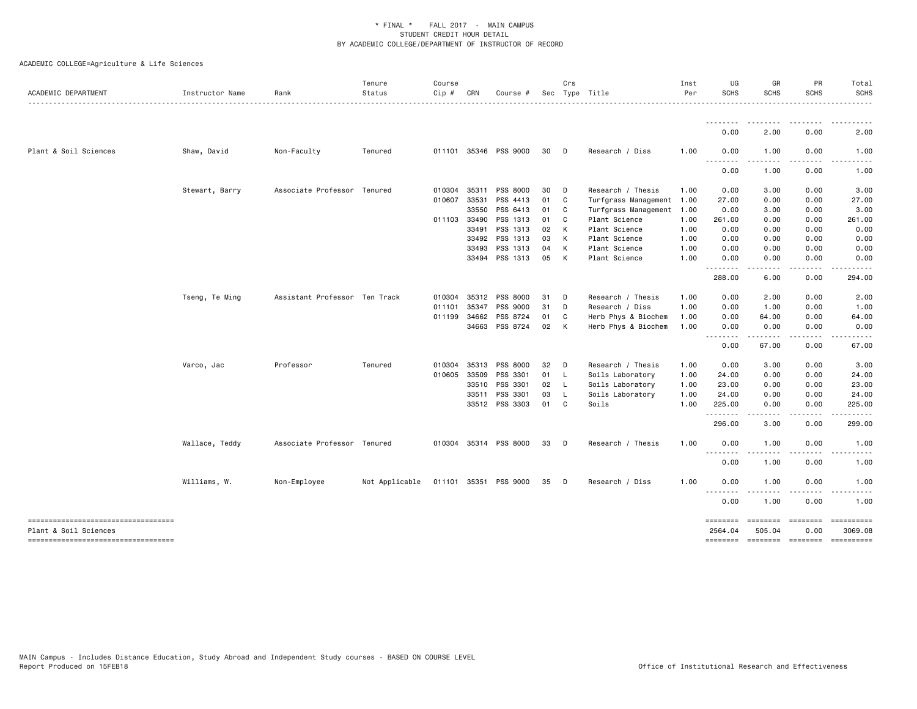| ACADEMIC DEPARTMENT                                         | Instructor Name | Rank                          | Tenure<br>Status | Course<br>Cip # | CRN   | Course #              |    | Crs            | Sec Type Title            | Inst<br>Per | UG<br><b>SCHS</b>                                    | GR<br><b>SCHS</b>        | PR<br><b>SCHS</b>     | Total<br><b>SCHS</b> |
|-------------------------------------------------------------|-----------------|-------------------------------|------------------|-----------------|-------|-----------------------|----|----------------|---------------------------|-------------|------------------------------------------------------|--------------------------|-----------------------|----------------------|
|                                                             |                 |                               |                  |                 |       |                       |    |                |                           |             | <u>.</u>                                             |                          |                       |                      |
|                                                             |                 |                               |                  |                 |       |                       |    |                |                           |             | 0.00                                                 | 2.00                     | 0.00                  | 2.00                 |
| Plant & Soil Sciences                                       | Shaw, David     | Non-Faculty                   | Tenured          |                 |       | 011101 35346 PSS 9000 | 30 | D              | Research / Diss           | 1.00        | 0.00                                                 | 1.00                     | 0.00                  | 1.00                 |
|                                                             |                 |                               |                  |                 |       |                       |    |                |                           |             | $\sim$ $\sim$ $\sim$<br>0.00                         | 1.00                     | 0.00                  | 1.00                 |
|                                                             | Stewart, Barry  | Associate Professor Tenured   |                  | 010304 35311    |       | PSS 8000              | 30 | D              | Research / Thesis         | 1.00        | 0.00                                                 | 3.00                     | 0.00                  | 3.00                 |
|                                                             |                 |                               |                  | 010607          | 33531 | PSS 4413              | 01 | $\mathbf{C}$   | Turfgrass Management 1.00 |             | 27.00                                                | 0.00                     | 0.00                  | 27.00                |
|                                                             |                 |                               |                  |                 | 33550 | PSS 6413              | 01 | $\mathbf{C}$   | Turfgrass Management      | 1.00        | 0.00                                                 | 3.00                     | 0.00                  | 3.00                 |
|                                                             |                 |                               |                  | 011103 33490    |       | PSS 1313              | 01 | C <sub>c</sub> | Plant Science             | 1.00        | 261.00                                               | 0.00                     | 0.00                  | 261.00               |
|                                                             |                 |                               |                  |                 | 33491 | PSS 1313              | 02 | K              | Plant Science             | 1.00        | 0.00                                                 | 0.00                     | 0.00                  | 0.00                 |
|                                                             |                 |                               |                  |                 | 33492 | PSS 1313              | 03 | K              | Plant Science             | 1.00        | 0.00                                                 | 0.00                     | 0.00                  | 0.00                 |
|                                                             |                 |                               |                  |                 | 33493 | PSS 1313              | 04 | K              | Plant Science             | 1.00        | 0.00                                                 | 0.00                     | 0.00                  | 0.00                 |
|                                                             |                 |                               |                  |                 |       | 33494 PSS 1313        | 05 | K              | Plant Science             | 1.00        | 0.00<br>$- - -$<br>.                                 | 0.00                     | 0.00                  | 0.00                 |
|                                                             |                 |                               |                  |                 |       |                       |    |                |                           |             | 288.00                                               | 6.00                     | 0.00                  | 294.00               |
|                                                             | Tseng, Te Ming  | Assistant Professor Ten Track |                  | 010304 35312    |       | PSS 8000              | 31 | $\mathsf{D}$   | Research / Thesis         | 1.00        | 0.00                                                 | 2.00                     | 0.00                  | 2.00                 |
|                                                             |                 |                               |                  | 011101          | 35347 | PSS 9000              | 31 | $\Box$         | Research / Diss           | 1.00        | 0.00                                                 | 1.00                     | 0.00                  | 1.00                 |
|                                                             |                 |                               |                  | 011199 34662    |       | PSS 8724              | 01 | C              | Herb Phys & Biochem       | 1.00        | 0.00                                                 | 64.00                    | 0.00                  | 64.00                |
|                                                             |                 |                               |                  |                 | 34663 | PSS 8724              | 02 | K              | Herb Phys & Biochem       | 1.00        | 0.00                                                 | 0.00                     | 0.00                  | 0.00                 |
|                                                             |                 |                               |                  |                 |       |                       |    |                |                           |             | 0.00                                                 | 67.00                    | 0.00                  | 67.00                |
|                                                             | Varco, Jac      | Professor                     | Tenured          | 010304 35313    |       | PSS 8000              | 32 | $\Box$         | Research / Thesis         | 1.00        | 0.00                                                 | 3.00                     | 0.00                  | 3.00                 |
|                                                             |                 |                               |                  | 010605 33509    |       | PSS 3301              | 01 | $\mathsf{L}$   | Soils Laboratory          | 1.00        | 24.00                                                | 0.00                     | 0.00                  | 24.00                |
|                                                             |                 |                               |                  |                 | 33510 | PSS 3301              | 02 | - L            | Soils Laboratory          | 1.00        | 23.00                                                | 0.00                     | 0.00                  | 23.00                |
|                                                             |                 |                               |                  |                 | 33511 | PSS 3301              | 03 | - L            | Soils Laboratory          | 1.00        | 24.00                                                | 0.00                     | 0.00                  | 24.00                |
|                                                             |                 |                               |                  |                 |       | 33512 PSS 3303        | 01 | C <sub>c</sub> | Soils                     | 1.00        | 225.00                                               | 0.00                     | 0.00                  | 225.00               |
|                                                             |                 |                               |                  |                 |       |                       |    |                |                           |             | 296.00                                               | .<br>3.00                | $\frac{1}{2}$<br>0.00 | 299.00               |
|                                                             | Wallace, Teddy  | Associate Professor Tenured   |                  |                 |       | 010304 35314 PSS 8000 | 33 | D              | Research / Thesis         | 1.00        | 0.00                                                 | 1.00                     | 0.00                  | 1.00                 |
|                                                             |                 |                               |                  |                 |       |                       |    |                |                           |             | $\sim$ $\sim$ $\sim$<br>$\sim$ $\sim$ $\sim$<br>0.00 | .<br>1.00                | .<br>0.00             | 1.00                 |
|                                                             | Williams, W.    | Non-Employee                  | Not Applicable   |                 |       | 011101 35351 PSS 9000 | 35 | $\Box$         | Research / Diss           | 1.00        | 0.00                                                 | 1.00                     | 0.00                  | 1.00                 |
|                                                             |                 |                               |                  |                 |       |                       |    |                |                           |             | .<br>$\sim$ $\sim$ $\sim$<br>0.00                    | 1.00                     | 0.00                  | 1.00                 |
| ----------------------------------<br>Plant & Soil Sciences |                 |                               |                  |                 |       |                       |    |                |                           |             | <b>EEEEEEEE</b><br>2564.04                           | <b>EEEEEEE</b><br>505.04 | ========<br>0.00      | 3069.08              |
| ----------------------------------                          |                 |                               |                  |                 |       |                       |    |                |                           |             | ========                                             |                          | --------- --------    | ==========           |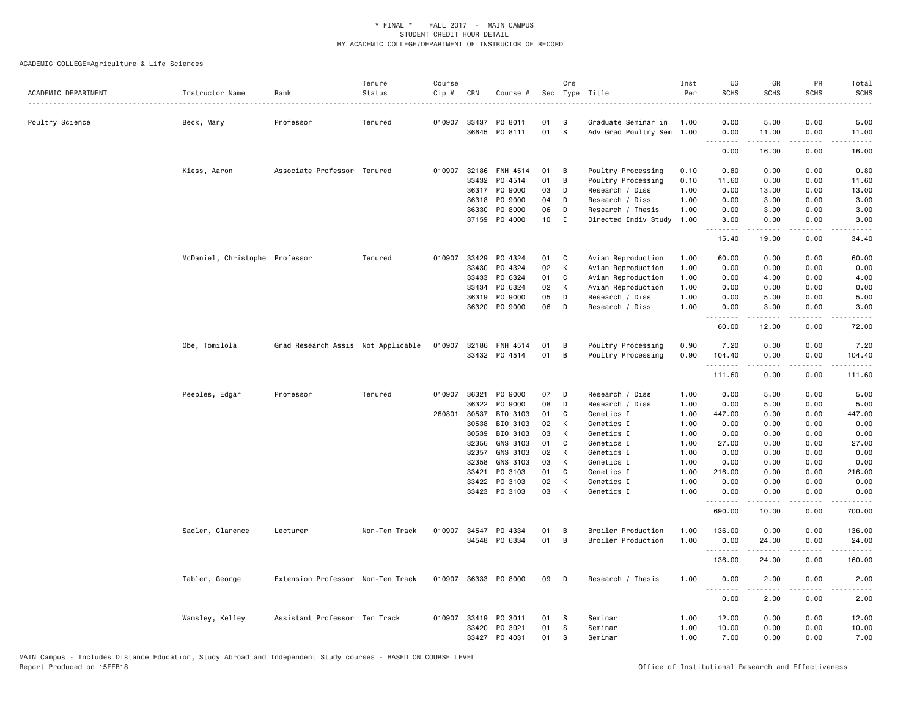| ACADEMIC DEPARTMENT | Instructor Name                | Rank                               | Tenure<br>Status | Course<br>$Cip$ # | CRN            | Course #              | Sec             | Crs          | Type Title                | Inst<br>Per  | UG<br><b>SCHS</b> | GR<br><b>SCHS</b>                                                                                                                                            | PR<br><b>SCHS</b> | Total<br><b>SCHS</b>                                                                                                                |
|---------------------|--------------------------------|------------------------------------|------------------|-------------------|----------------|-----------------------|-----------------|--------------|---------------------------|--------------|-------------------|--------------------------------------------------------------------------------------------------------------------------------------------------------------|-------------------|-------------------------------------------------------------------------------------------------------------------------------------|
| Poultry Science     | Beck, Mary                     | Professor                          | Tenured          | 010907            | 33437          | PO 8011               | 01              | -S           | Graduate Seminar in       | 1.00         | 0.00              | 5.00                                                                                                                                                         | 0.00              | 5.00                                                                                                                                |
|                     |                                |                                    |                  |                   |                | 36645 PO 8111         | 01              | s            | Adv Grad Poultry Sem 1.00 |              | 0.00<br>.         | 11.00<br><u>.</u>                                                                                                                                            | 0.00<br>.         | 11.00<br>.                                                                                                                          |
|                     |                                |                                    |                  |                   |                |                       |                 |              |                           |              | 0.00              | 16.00                                                                                                                                                        | 0.00              | 16.00                                                                                                                               |
|                     | Kiess, Aaron                   | Associate Professor Tenured        |                  | 010907            | 32186          | FNH 4514              | 01              | В            | Poultry Processing        | 0.10         | 0.80              | 0.00                                                                                                                                                         | 0.00              | 0.80                                                                                                                                |
|                     |                                |                                    |                  |                   | 33432          | PO 4514               | 01              | B            | Poultry Processing        | 0.10         | 11.60             | 0.00                                                                                                                                                         | 0.00              | 11.60                                                                                                                               |
|                     |                                |                                    |                  |                   |                | 36317 PO 9000         | 03              | D            | Research / Diss           | 1.00         | 0.00              | 13.00                                                                                                                                                        | 0.00              | 13.00                                                                                                                               |
|                     |                                |                                    |                  |                   | 36318          | P0 9000               | 04              | D            | Research / Diss           | 1.00         | 0.00              | 3.00                                                                                                                                                         | 0.00              | 3.00                                                                                                                                |
|                     |                                |                                    |                  |                   | 36330          | P0 8000               | 06              | D            | Research / Thesis         | 1.00         | 0.00              | 3.00                                                                                                                                                         | 0.00              | 3.00                                                                                                                                |
|                     |                                |                                    |                  |                   | 37159          | P0 4000               | 10 <sub>1</sub> | $\mathbf{I}$ | Directed Indiv Study      | 1.00         | 3.00<br>.         | 0.00<br>$\frac{1}{2} \left( \frac{1}{2} \right) \left( \frac{1}{2} \right) \left( \frac{1}{2} \right) \left( \frac{1}{2} \right) \left( \frac{1}{2} \right)$ | 0.00<br>المتماما  | 3.00<br>$- - - -$                                                                                                                   |
|                     |                                |                                    |                  |                   |                |                       |                 |              |                           |              | 15.40             | 19.00                                                                                                                                                        | 0.00              | 34.40                                                                                                                               |
|                     | McDaniel, Christophe Professor |                                    | Tenured          | 010907            | 33429          | PO 4324               | 01              | C            | Avian Reproduction        | 1.00         | 60.00             | 0.00                                                                                                                                                         | 0.00              | 60.00                                                                                                                               |
|                     |                                |                                    |                  |                   | 33430          | PO 4324               | 02              | $\mathsf{K}$ | Avian Reproduction        | 1.00         | 0.00              | 0.00                                                                                                                                                         | 0.00              | 0.00                                                                                                                                |
|                     |                                |                                    |                  |                   | 33433          | PO 6324               | 01              | C            | Avian Reproduction        | 1.00         | 0.00              | 4.00                                                                                                                                                         | 0.00              | 4.00                                                                                                                                |
|                     |                                |                                    |                  |                   | 33434          | PO 6324               | 02              | K            | Avian Reproduction        | 1.00         | 0.00              | 0.00                                                                                                                                                         | 0.00              | 0.00                                                                                                                                |
|                     |                                |                                    |                  |                   | 36319          | PO 9000               | 05              | D            | Research / Diss           | 1.00         | 0.00              | 5.00                                                                                                                                                         | 0.00              | 5.00                                                                                                                                |
|                     |                                |                                    |                  |                   |                | 36320 PO 9000         | 06              | D            | Research / Diss           | 1.00         | 0.00<br><u>.</u>  | 3.00                                                                                                                                                         | 0.00<br>----      | 3.00                                                                                                                                |
|                     |                                |                                    |                  |                   |                |                       |                 |              |                           |              | 60.00             | 12.00                                                                                                                                                        | 0.00              | 72.00                                                                                                                               |
|                     | Obe, Tomilola                  | Grad Research Assis Not Applicable |                  |                   |                | 010907 32186 FNH 4514 | 01              | B            | Poultry Processing        | 0.90         | 7.20              | 0.00                                                                                                                                                         | 0.00              | 7.20                                                                                                                                |
|                     |                                |                                    |                  |                   |                | 33432 PO 4514         | 01              | B            | Poultry Processing        | 0.90         | 104.40<br>.       | 0.00<br><b>.</b>                                                                                                                                             | 0.00<br>.         | 104.40<br>$\begin{array}{cccccccccccccc} \bullet & \bullet & \bullet & \bullet & \bullet & \bullet & \bullet & \bullet \end{array}$ |
|                     |                                |                                    |                  |                   |                |                       |                 |              |                           |              | 111.60            | 0.00                                                                                                                                                         | 0.00              | 111.60                                                                                                                              |
|                     | Peebles, Edgar                 | Professor                          | Tenured          | 010907            | 36321          | PO 9000               | 07              | D            | Research / Diss           | 1.00         | 0.00              | 5.00                                                                                                                                                         | 0.00              | 5.00                                                                                                                                |
|                     |                                |                                    |                  |                   | 36322          | P0 9000               | 08              | D            | Research / Diss           | 1.00         | 0.00              | 5.00                                                                                                                                                         | 0.00              | 5.00                                                                                                                                |
|                     |                                |                                    |                  | 260801            | 30537          | BIO 3103              | 01              | C            | Genetics I                | 1.00         | 447.00            | 0.00                                                                                                                                                         | 0.00              | 447.00                                                                                                                              |
|                     |                                |                                    |                  |                   | 30538          | BIO 3103              | 02              | К            | Genetics I                | 1.00         | 0.00              | 0.00                                                                                                                                                         | 0.00              | 0.00                                                                                                                                |
|                     |                                |                                    |                  |                   | 30539          | BIO 3103              | 03              | К            | Genetics I                | 1.00         | 0.00              | 0.00                                                                                                                                                         | 0.00              | 0.00                                                                                                                                |
|                     |                                |                                    |                  |                   | 32356          | GNS 3103              | 01              | C            | Genetics I                | 1.00         | 27.00             | 0.00                                                                                                                                                         | 0.00              | 27.00                                                                                                                               |
|                     |                                |                                    |                  |                   | 32357          | GNS 3103              | 02              | K            | Genetics I                | 1.00         | 0.00              | 0.00                                                                                                                                                         | 0.00              | 0.00                                                                                                                                |
|                     |                                |                                    |                  |                   | 32358          | GNS 3103              | 03              | К            | Genetics I                | 1.00         | 0.00              | 0.00                                                                                                                                                         | 0.00              | 0.00                                                                                                                                |
|                     |                                |                                    |                  |                   | 33421          | PO 3103               | 01              | C            | Genetics I                | 1.00         | 216.00            | 0.00                                                                                                                                                         | 0.00              | 216.00                                                                                                                              |
|                     |                                |                                    |                  |                   | 33422<br>33423 | PO 3103<br>PO 3103    | 02<br>03        | К<br>К       | Genetics I<br>Genetics I  | 1.00<br>1.00 | 0.00<br>0.00      | 0.00<br>0.00                                                                                                                                                 | 0.00<br>0.00      | 0.00<br>0.00                                                                                                                        |
|                     |                                |                                    |                  |                   |                |                       |                 |              |                           |              | .<br>690.00       | .<br>10.00                                                                                                                                                   | .<br>0.00         | 700.00                                                                                                                              |
|                     | Sadler, Clarence               | Lecturer                           | Non-Ten Track    | 010907            | 34547          | PO 4334               | 01              | В            | Broiler Production        | 1.00         | 136.00            | 0.00                                                                                                                                                         | 0.00              | 136.00                                                                                                                              |
|                     |                                |                                    |                  |                   |                | 34548 PO 6334         | 01              | B            | Broiler Production        | 1.00         | 0.00              | 24.00                                                                                                                                                        | 0.00              | 24.00                                                                                                                               |
|                     |                                |                                    |                  |                   |                |                       |                 |              |                           |              | .                 | $\frac{1}{2} \left( \frac{1}{2} \right) \left( \frac{1}{2} \right) \left( \frac{1}{2} \right) \left( \frac{1}{2} \right) \left( \frac{1}{2} \right)$         | .                 | .                                                                                                                                   |
|                     |                                |                                    |                  |                   |                |                       |                 |              |                           |              | 136.00            | 24.00                                                                                                                                                        | 0.00              | 160.00                                                                                                                              |
|                     | Tabler, George                 | Extension Professor Non-Ten Track  |                  |                   |                | 010907 36333 PO 8000  | 09              | D            | Research / Thesis         | 1.00         | 0.00<br>.         | 2.00<br>.                                                                                                                                                    | 0.00              | 2.00                                                                                                                                |
|                     |                                |                                    |                  |                   |                |                       |                 |              |                           |              | 0.00              | 2.00                                                                                                                                                         | 0.00              | 2.00                                                                                                                                |
|                     | Wamsley, Kelley                | Assistant Professor Ten Track      |                  |                   |                | 010907 33419 PO 3011  | 01              | -S           | Seminar                   | 1.00         | 12.00             | 0.00                                                                                                                                                         | 0.00              | 12.00                                                                                                                               |
|                     |                                |                                    |                  |                   | 33420          | PO 3021               | 01              | s            | Seminar                   | 1.00         | 10.00             | 0.00                                                                                                                                                         | 0.00              | 10.00                                                                                                                               |
|                     |                                |                                    |                  |                   |                | 33427 PO 4031         | 01              | S            | Seminar                   | 1.00         | 7.00              | 0.00                                                                                                                                                         | 0.00              | 7.00                                                                                                                                |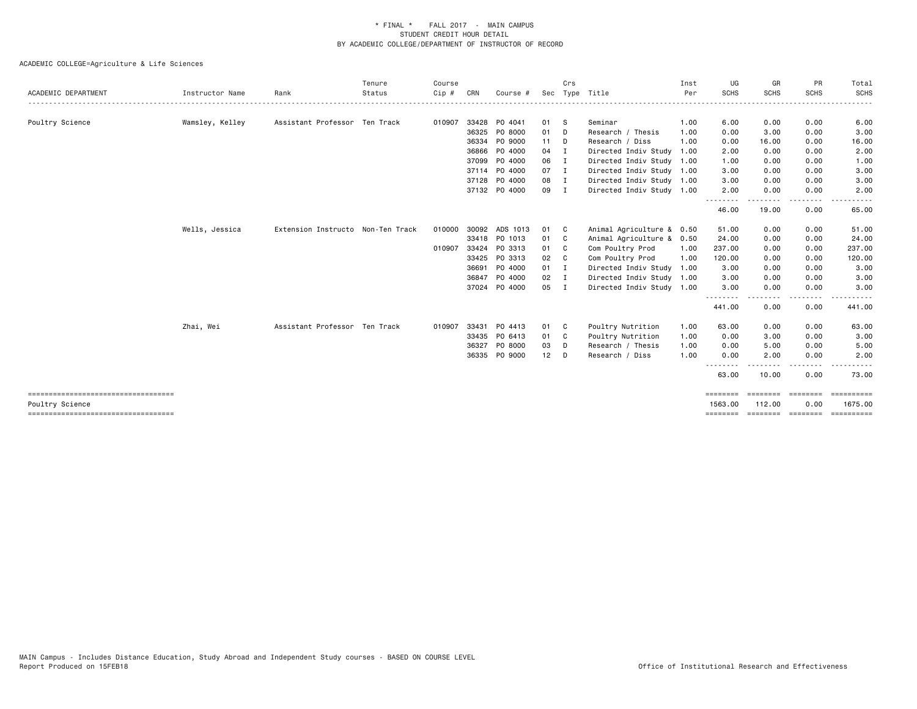|                     |                 |                                   | Tenure | Course |       |                |                 | Crs            |                           | Inst | UG                  | GR                 | PR                                                                                                                                | Total                              |
|---------------------|-----------------|-----------------------------------|--------|--------|-------|----------------|-----------------|----------------|---------------------------|------|---------------------|--------------------|-----------------------------------------------------------------------------------------------------------------------------------|------------------------------------|
| ACADEMIC DEPARTMENT | Instructor Name | Rank                              | Status | Cip #  | CRN   | Course #       |                 |                | Sec Type Title            | Per  | <b>SCHS</b>         | <b>SCHS</b>        | <b>SCHS</b>                                                                                                                       | <b>SCHS</b>                        |
| Poultry Science     | Wamsley, Kelley | Assistant Professor Ten Track     |        | 010907 |       | 33428 PO 4041  | 01 S            |                | Seminar                   | 1.00 | 6.00                | 0.00               | 0.00                                                                                                                              | 6.00                               |
|                     |                 |                                   |        |        | 36325 | PO 8000        | 01              | D              | Research / Thesis         | 1.00 | 0.00                | 3.00               | 0.00                                                                                                                              | 3.00                               |
|                     |                 |                                   |        |        | 36334 | PO 9000        | $11$ D          |                | Research / Diss           | 1.00 | 0.00                | 16.00              | 0.00                                                                                                                              | 16.00                              |
|                     |                 |                                   |        |        |       | 36866 PO 4000  | 04 I            |                | Directed Indiv Study 1.00 |      | 2.00                | 0.00               | 0.00                                                                                                                              | 2.00                               |
|                     |                 |                                   |        |        |       | 37099 P0 4000  | 06 I            |                | Directed Indiv Study 1.00 |      | 1.00                | 0.00               | 0.00                                                                                                                              | 1.00                               |
|                     |                 |                                   |        |        |       | 37114 PO 4000  | 07 I            |                | Directed Indiv Study 1.00 |      | 3.00                | 0.00               | 0.00                                                                                                                              | 3.00                               |
|                     |                 |                                   |        |        |       | 37128 PO 4000  | 08 I            |                | Directed Indiv Study 1.00 |      | 3.00                | 0.00               | 0.00                                                                                                                              | 3.00                               |
|                     |                 |                                   |        |        |       | 37132 PO 4000  | 09 I            |                | Directed Indiv Study 1.00 |      | 2.00                | 0.00               | 0.00                                                                                                                              | 2.00                               |
|                     |                 |                                   |        |        |       |                |                 |                |                           |      | 46.00               | 19.00              | 0.00                                                                                                                              | 65.00                              |
|                     | Wells, Jessica  | Extension Instructo Non-Ten Track |        | 010000 |       | 30092 ADS 1013 | 01              | $\mathbf{C}$   | Animal Agriculture & 0.50 |      | 51.00               | 0.00               | 0.00                                                                                                                              | 51.00                              |
|                     |                 |                                   |        |        |       | 33418 PO 1013  | 01              | $\mathbf{C}$   | Animal Agriculture &      | 0.50 | 24.00               | 0.00               | 0.00                                                                                                                              | 24.00                              |
|                     |                 |                                   |        | 010907 | 33424 | PO 3313        | 01              | C <sub>1</sub> | Com Poultry Prod          | 1.00 | 237.00              | 0.00               | 0.00                                                                                                                              | 237.00                             |
|                     |                 |                                   |        |        |       | 33425 PO 3313  | 02              | C <sub>1</sub> | Com Poultry Prod          | 1.00 | 120.00              | 0.00               | 0.00                                                                                                                              | 120.00                             |
|                     |                 |                                   |        |        | 36691 | P0 4000        | 01 I            |                | Directed Indiv Study      | 1.00 | 3.00                | 0.00               | 0.00                                                                                                                              | 3.00                               |
|                     |                 |                                   |        |        | 36847 | P0 4000        | $02 \qquad I$   |                | Directed Indiv Study      | 1.00 | 3.00                | 0.00               | 0.00                                                                                                                              | 3.00                               |
|                     |                 |                                   |        |        |       | 37024 P0 4000  | 05 I            |                | Directed Indiv Study 1.00 |      | 3.00                | 0.00               | 0.00<br>$\frac{1}{2} \left( \frac{1}{2} \right) \left( \frac{1}{2} \right) \left( \frac{1}{2} \right) \left( \frac{1}{2} \right)$ | 3.00                               |
|                     |                 |                                   |        |        |       |                |                 |                |                           |      | 441.00              | 0.00               | 0.00                                                                                                                              | 441.00                             |
|                     | Zhai, Wei       | Assistant Professor Ten Track     |        | 010907 |       | 33431 PO 4413  | 01              | $\mathbf{C}$   | Poultry Nutrition         | 1.00 | 63.00               | 0.00               | 0.00                                                                                                                              | 63.00                              |
|                     |                 |                                   |        |        |       | 33435 PO 6413  | 01              | - C            | Poultry Nutrition         | 1.00 | 0.00                | 3.00               | 0.00                                                                                                                              | 3.00                               |
|                     |                 |                                   |        |        | 36327 | PO 8000        | 03              | D              | Research / Thesis         | 1.00 | 0.00                | 5.00               | 0.00                                                                                                                              | 5.00                               |
|                     |                 |                                   |        |        |       | 36335 PO 9000  | 12 <sub>2</sub> | D              | Research / Diss           | 1.00 | 0.00                | 2.00               | 0.00                                                                                                                              | 2.00                               |
|                     |                 |                                   |        |        |       |                |                 |                |                           |      | .<br>63.00          | 10.00              | $\cdots$<br>0.00                                                                                                                  | 73.00                              |
| Poultry Science     |                 |                                   |        |        |       |                |                 |                |                           |      | ========<br>1563.00 | ========<br>112.00 | ========<br>0.00                                                                                                                  | $=$ = = = = = = = = = =<br>1675.00 |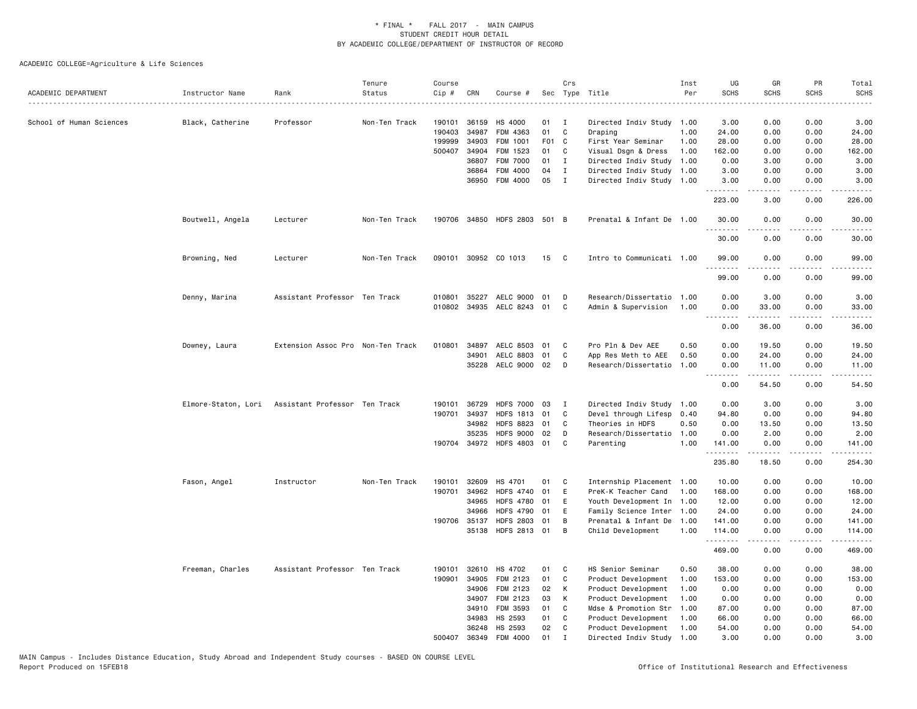|                          |                  |                                                   | Tenure        | Course |              |                           |       | Crs          |                           | Inst | UG          | GR                                                                                                                                                   | PR                   | Total                                                                                                                     |
|--------------------------|------------------|---------------------------------------------------|---------------|--------|--------------|---------------------------|-------|--------------|---------------------------|------|-------------|------------------------------------------------------------------------------------------------------------------------------------------------------|----------------------|---------------------------------------------------------------------------------------------------------------------------|
| ACADEMIC DEPARTMENT      | Instructor Name  | Rank                                              | Status        | Cip #  | CRN          | Course #                  |       |              | Sec Type Title            | Per  | <b>SCHS</b> | <b>SCHS</b>                                                                                                                                          | <b>SCHS</b>          | <b>SCHS</b>                                                                                                               |
| School of Human Sciences | Black, Catherine | Professor                                         | Non-Ten Track | 190101 | 36159        | HS 4000                   | 01    | <b>I</b>     | Directed Indiv Study      | 1.00 | 3.00        | 0.00                                                                                                                                                 | 0.00                 | 3.00                                                                                                                      |
|                          |                  |                                                   |               | 190403 | 34987        | FDM 4363                  | 01    | C            | Draping                   | 1.00 | 24.00       | 0.00                                                                                                                                                 | 0.00                 | 24.00                                                                                                                     |
|                          |                  |                                                   |               | 199999 | 34903        | FDM 1001                  | F01 C |              | First Year Seminar        | 1.00 | 28.00       | 0.00                                                                                                                                                 | 0.00                 | 28.00                                                                                                                     |
|                          |                  |                                                   |               | 500407 | 34904        | FDM 1523                  | 01    | C            | Visual Dsgn & Dress       | 1.00 | 162.00      | 0.00                                                                                                                                                 | 0.00                 | 162.00                                                                                                                    |
|                          |                  |                                                   |               |        | 36807        | <b>FDM 7000</b>           | 01    | I            | Directed Indiv Study      | 1.00 | 0.00        | 3.00                                                                                                                                                 | 0.00                 | 3.00                                                                                                                      |
|                          |                  |                                                   |               |        | 36864        | FDM 4000                  | 04    | $\mathbf{I}$ | Directed Indiv Study 1.00 |      | 3.00        | 0.00                                                                                                                                                 | 0.00                 | 3.00                                                                                                                      |
|                          |                  |                                                   |               |        | 36950        | FDM 4000                  | 05    | $\mathbf{I}$ | Directed Indiv Study 1.00 |      | 3.00        | 0.00                                                                                                                                                 | 0.00                 | 3.00                                                                                                                      |
|                          |                  |                                                   |               |        |              |                           |       |              |                           |      | .<br>223.00 | .<br>3.00                                                                                                                                            | .<br>0.00            | .<br>226.00                                                                                                               |
|                          | Boutwell, Angela | Lecturer                                          | Non-Ten Track | 190706 | 34850        | HDFS 2803 501 B           |       |              | Prenatal & Infant De 1.00 |      | 30.00       | 0.00                                                                                                                                                 | 0.00                 | 30.00                                                                                                                     |
|                          |                  |                                                   |               |        |              |                           |       |              |                           |      | .<br>30.00  | 0.00                                                                                                                                                 | $  -$<br>0.00        | .<br>30.00                                                                                                                |
|                          | Browning, Ned    | Lecturer                                          | Non-Ten Track |        |              | 090101 30952 CO 1013      | 15    | C            | Intro to Communicati 1.00 |      | 99.00       | 0.00                                                                                                                                                 | 0.00                 | 99.00                                                                                                                     |
|                          |                  |                                                   |               |        |              |                           |       |              |                           |      | 99.00       | 0.00                                                                                                                                                 | 0.00                 | 99.00                                                                                                                     |
|                          | Denny, Marina    | Assistant Professor Ten Track                     |               | 010801 | 35227        | AELC 9000 01              |       | D            | Research/Dissertatio      | 1.00 | 0.00        | 3.00                                                                                                                                                 | 0.00                 | 3.00                                                                                                                      |
|                          |                  |                                                   |               |        |              | 010802 34935 AELC 8243 01 |       | C            | Admin & Supervision       | 1.00 | 0.00        | 33.00                                                                                                                                                | 0.00                 | 33.00                                                                                                                     |
|                          |                  |                                                   |               |        |              |                           |       |              |                           |      | د د د د     | $\frac{1}{2} \left( \frac{1}{2} \right) \left( \frac{1}{2} \right) \left( \frac{1}{2} \right) \left( \frac{1}{2} \right) \left( \frac{1}{2} \right)$ | $\sim$ $\sim$ $\sim$ | $\frac{1}{2} \left( \frac{1}{2} \right) \left( \frac{1}{2} \right) \left( \frac{1}{2} \right) \left( \frac{1}{2} \right)$ |
|                          |                  |                                                   |               |        |              |                           |       |              |                           |      | 0.00        | 36.00                                                                                                                                                | 0.00                 | 36.00                                                                                                                     |
|                          | Downey, Laura    | Extension Assoc Pro Non-Ten Track                 |               |        | 010801 34897 | AELC 8503 01              |       | C            | Pro Pln & Dev AEE         | 0.50 | 0.00        | 19.50                                                                                                                                                | 0.00                 | 19.50                                                                                                                     |
|                          |                  |                                                   |               |        | 34901        | AELC 8803                 | 01    | C            | App Res Meth to AEE       | 0.50 | 0.00        | 24.00                                                                                                                                                | 0.00                 | 24.00                                                                                                                     |
|                          |                  |                                                   |               |        |              | 35228 AELC 9000 02        |       | D            | Research/Dissertatio      | 1.00 | 0.00<br>.   | 11.00<br>.                                                                                                                                           | 0.00<br>.            | 11.00<br>.                                                                                                                |
|                          |                  |                                                   |               |        |              |                           |       |              |                           |      | 0.00        | 54.50                                                                                                                                                | 0.00                 | 54.50                                                                                                                     |
|                          |                  | Elmore-Staton, Lori Assistant Professor Ten Track |               | 190101 | 36729        | <b>HDFS 7000</b>          | 03    | I            | Directed Indiv Study 1.00 |      | 0.00        | 3.00                                                                                                                                                 | 0.00                 | 3.00                                                                                                                      |
|                          |                  |                                                   |               | 190701 | 34937        | HDFS 1813 01              |       | C            | Devel through Lifesp      | 0.40 | 94.80       | 0.00                                                                                                                                                 | 0.00                 | 94.80                                                                                                                     |
|                          |                  |                                                   |               |        | 34982        | <b>HDFS 8823</b>          | 01    | C            | Theories in HDFS          | 0.50 | 0.00        | 13.50                                                                                                                                                | 0.00                 | 13.50                                                                                                                     |
|                          |                  |                                                   |               |        | 35235        | <b>HDFS 9000</b>          | 02    | D            | Research/Dissertatio      | 1.00 | 0.00        | 2.00                                                                                                                                                 | 0.00                 | 2.00                                                                                                                      |
|                          |                  |                                                   |               |        |              | 190704 34972 HDFS 4803 01 |       | C            | Parenting                 | 1.00 | 141.00      | 0.00                                                                                                                                                 | 0.00                 | 141.00                                                                                                                    |
|                          |                  |                                                   |               |        |              |                           |       |              |                           |      | .<br>235.80 | $- - - - -$<br>18.50                                                                                                                                 | .<br>0.00            | .<br>254.30                                                                                                               |
|                          | Fason, Angel     | Instructor                                        | Non-Ten Track | 190101 | 32609        | HS 4701                   | 01    | C            | Internship Placement 1.00 |      | 10.00       | 0.00                                                                                                                                                 | 0.00                 | 10.00                                                                                                                     |
|                          |                  |                                                   |               | 190701 | 34962        | <b>HDFS 4740</b>          | 01    | E            | PreK-K Teacher Cand       | 1.00 | 168.00      | 0.00                                                                                                                                                 | 0.00                 | 168.00                                                                                                                    |
|                          |                  |                                                   |               |        | 34965        | <b>HDFS 4780</b>          | 01    | E            | Youth Development In      | 1.00 | 12.00       | 0.00                                                                                                                                                 | 0.00                 | 12.00                                                                                                                     |
|                          |                  |                                                   |               |        | 34966        | HDFS 4790 01              |       | E            | Family Science Inter      | 1.00 | 24.00       | 0.00                                                                                                                                                 | 0.00                 | 24.00                                                                                                                     |
|                          |                  |                                                   |               |        | 190706 35137 | <b>HDFS 2803</b>          | 01    | B            | Prenatal & Infant De      | 1.00 | 141.00      | 0.00                                                                                                                                                 | 0.00                 | 141.00                                                                                                                    |
|                          |                  |                                                   |               |        | 35138        | HDFS 2813 01              |       | B            | Child Development         | 1.00 | 114.00<br>. | 0.00                                                                                                                                                 | 0.00                 | 114.00<br>.                                                                                                               |
|                          |                  |                                                   |               |        |              |                           |       |              |                           |      | 469.00      | 0.00                                                                                                                                                 | 0.00                 | 469.00                                                                                                                    |
|                          | Freeman, Charles | Assistant Professor Ten Track                     |               | 190101 | 32610        | HS 4702                   | 01    | C            | HS Senior Seminar         | 0.50 | 38.00       | 0.00                                                                                                                                                 | 0.00                 | 38.00                                                                                                                     |
|                          |                  |                                                   |               | 190901 | 34905        | FDM 2123                  | 01    | C            | Product Development       | 1.00 | 153.00      | 0.00                                                                                                                                                 | 0.00                 | 153.00                                                                                                                    |
|                          |                  |                                                   |               |        | 34906        | FDM 2123                  | 02    | К            | Product Development       | 1.00 | 0.00        | 0.00                                                                                                                                                 | 0.00                 | 0.00                                                                                                                      |
|                          |                  |                                                   |               |        | 34907        | FDM 2123                  | 03    | К            | Product Development       | 1.00 | 0.00        | 0.00                                                                                                                                                 | 0.00                 | 0.00                                                                                                                      |
|                          |                  |                                                   |               |        | 34910        | FDM 3593                  | 01    | C            | Mdse & Promotion Str      | 1.00 | 87.00       | 0.00                                                                                                                                                 | 0.00                 | 87.00                                                                                                                     |
|                          |                  |                                                   |               |        | 34983        | HS 2593                   | 01    | C            | Product Development       | 1.00 | 66.00       | 0.00                                                                                                                                                 | 0.00                 | 66.00                                                                                                                     |
|                          |                  |                                                   |               |        | 36248        | HS 2593                   | 02    | C            | Product Development       | 1.00 | 54.00       | 0.00                                                                                                                                                 | 0.00                 | 54.00                                                                                                                     |
|                          |                  |                                                   |               | 500407 | 36349        | FDM 4000                  | 01    | $\mathbf{I}$ | Directed Indiv Study 1.00 |      | 3.00        | 0.00                                                                                                                                                 | 0.00                 | 3.00                                                                                                                      |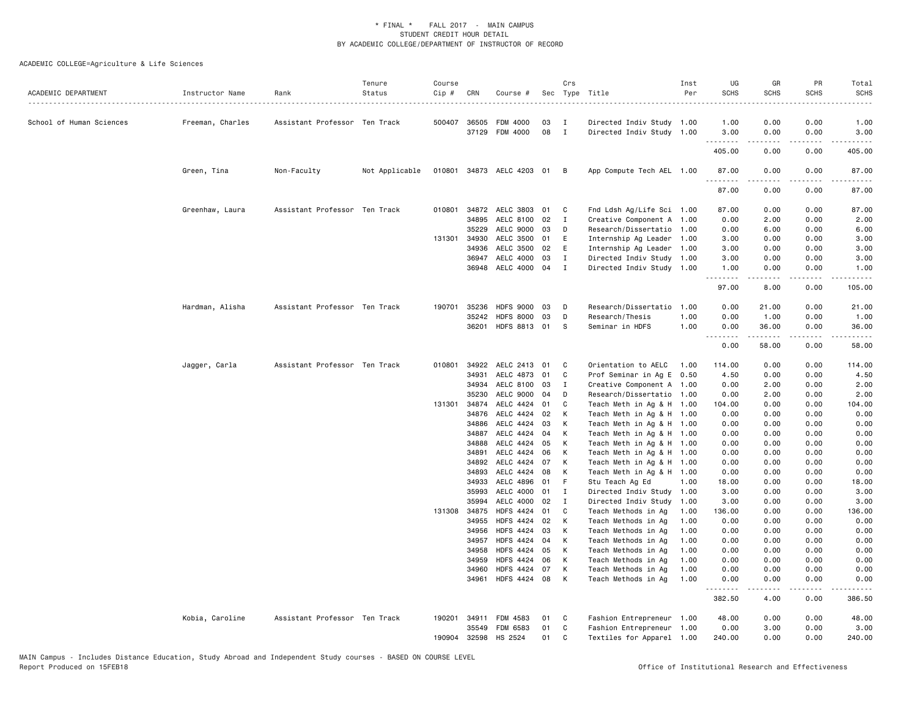| ACADEMIC DEPARTMENT      | Instructor Name  | Rank                          | Tenure<br>Status | Course<br>Cip # | CRN          | Course #                    |    | Crs            | Sec Type Title<br>.       | Inst<br>Per | UG<br><b>SCHS</b> | GR<br><b>SCHS</b>   | PR<br><b>SCHS</b> | Total<br><b>SCHS</b> |
|--------------------------|------------------|-------------------------------|------------------|-----------------|--------------|-----------------------------|----|----------------|---------------------------|-------------|-------------------|---------------------|-------------------|----------------------|
| School of Human Sciences | Freeman, Charles | Assistant Professor Ten Track |                  |                 | 500407 36505 | <b>FDM 4000</b>             | 03 | $\mathbf{I}$   | Directed Indiv Study 1.00 |             | 1.00              | 0.00                | 0.00              | 1.00                 |
|                          |                  |                               |                  |                 | 37129        | <b>FDM 4000</b>             | 08 | $\blacksquare$ | Directed Indiv Study 1.00 |             | 3.00              | 0.00                | 0.00              | 3.00                 |
|                          |                  |                               |                  |                 |              |                             |    |                |                           |             | 405.00            | 0.00                | 0.00              | 405.00               |
|                          | Green, Tina      | Non-Faculty                   | Not Applicable   |                 |              | 010801 34873 AELC 4203 01 B |    |                | App Compute Tech AEL 1.00 |             | 87.00             | 0.00                | 0.00              | 87.00                |
|                          |                  |                               |                  |                 |              |                             |    |                |                           |             | .<br>87.00        | -----<br>0.00       | .<br>0.00         | 87.00                |
|                          | Greenhaw, Laura  | Assistant Professor Ten Track |                  |                 | 010801 34872 | AELC 3803                   | 01 | C              | Fnd Ldsh Ag/Life Sci 1.00 |             | 87.00             | 0.00                | 0.00              | 87.00                |
|                          |                  |                               |                  |                 | 34895        | AELC 8100                   | 02 | $\mathbf{I}$   | Creative Component A 1.00 |             | 0.00              | 2.00                | 0.00              | 2.00                 |
|                          |                  |                               |                  |                 | 35229        | <b>AELC 9000</b>            | 03 | D              | Research/Dissertatio 1.00 |             | 0.00              | 6.00                | 0.00              | 6.00                 |
|                          |                  |                               |                  |                 | 131301 34930 | AELC 3500                   | 01 | E              | Internship Ag Leader 1.00 |             | 3.00              | 0.00                | 0.00              | 3.00                 |
|                          |                  |                               |                  |                 | 34936        | AELC 3500                   | 02 | E              | Internship Ag Leader 1.00 |             | 3.00              | 0.00                | 0.00              | 3.00                 |
|                          |                  |                               |                  |                 | 36947        | AELC 4000                   | 03 | I              | Directed Indiv Study 1.00 |             | 3.00              | 0.00                | 0.00              | 3.00                 |
|                          |                  |                               |                  |                 | 36948        | AELC 4000 04                |    | $\blacksquare$ | Directed Indiv Study 1.00 |             | 1.00<br>.         | 0.00                | 0.00<br>$- - - -$ | 1.00                 |
|                          |                  |                               |                  |                 |              |                             |    |                |                           |             | 97.00             | 8.00                | 0.00              | 105.00               |
|                          | Hardman, Alisha  | Assistant Professor Ten Track |                  | 190701          | 35236        | <b>HDFS 9000</b>            | 03 | D              | Research/Dissertatio      | 1.00        | 0.00              | 21.00               | 0.00              | 21.00                |
|                          |                  |                               |                  |                 | 35242        | <b>HDFS 8000</b>            | 03 | D              | Research/Thesis           | 1.00        | 0.00              | 1.00                | 0.00              | 1.00                 |
|                          |                  |                               |                  |                 | 36201        | HDFS 8813 01                |    | - S            | Seminar in HDFS           | 1.00        | 0.00<br>.         | 36.00<br>. <b>.</b> | 0.00<br>.         | 36.00<br>.           |
|                          |                  |                               |                  |                 |              |                             |    |                |                           |             | 0.00              | 58.00               | 0.00              | 58.00                |
|                          | Jagger, Carla    | Assistant Professor Ten Track |                  | 010801          | 34922        | AELC 2413                   | 01 | C              | Orientation to AELC       | 1.00        | 114.00            | 0.00                | 0.00              | 114.00               |
|                          |                  |                               |                  |                 | 34931        | AELC 4873                   | 01 | C              | Prof Seminar in Ag E 0.50 |             | 4.50              | 0.00                | 0.00              | 4.50                 |
|                          |                  |                               |                  |                 | 34934        | AELC 8100                   | 03 | $\mathbf{I}$   | Creative Component A 1.00 |             | 0.00              | 2.00                | 0.00              | 2.00                 |
|                          |                  |                               |                  |                 | 35230        | AELC 9000                   | 04 | D              | Research/Dissertatio 1.00 |             | 0.00              | 2.00                | 0.00              | 2.00                 |
|                          |                  |                               |                  |                 | 131301 34874 | AELC 4424                   | 01 | C              | Teach Meth in Ag & H 1.00 |             | 104.00            | 0.00                | 0.00              | 104.00               |
|                          |                  |                               |                  |                 | 34876        | AELC 4424                   | 02 | K              | Teach Meth in Ag & H 1.00 |             | 0.00              | 0.00                | 0.00              | 0.00                 |
|                          |                  |                               |                  |                 | 34886        | AELC 4424                   | 03 | К              | Teach Meth in Ag & H 1.00 |             | 0.00              | 0.00                | 0.00              | 0.00                 |
|                          |                  |                               |                  |                 | 34887        | AELC 4424                   | 04 | К              | Teach Meth in Ag & H 1.00 |             | 0.00              | 0.00                | 0.00              | 0.00                 |
|                          |                  |                               |                  |                 | 34888        | AELC 4424                   | 05 | K              | Teach Meth in Ag & H 1.00 |             | 0.00              | 0.00                | 0.00              | 0.00                 |
|                          |                  |                               |                  |                 | 34891        | AELC 4424                   | 06 | K              | Teach Meth in Ag & H 1.00 |             | 0.00              | 0.00                | 0.00              | 0.00                 |
|                          |                  |                               |                  |                 | 34892        | AELC 4424                   | 07 | K              | Teach Meth in Ag & H 1.00 |             | 0.00              | 0.00                | 0.00              | 0.00                 |
|                          |                  |                               |                  |                 | 34893        | AELC 4424                   | 08 | К              | Teach Meth in Ag & H 1.00 |             | 0.00              | 0.00                | 0.00              | 0.00                 |
|                          |                  |                               |                  |                 | 34933        | AELC 4896                   | 01 | F              | Stu Teach Ag Ed           | 1.00        | 18.00             | 0.00                | 0.00              | 18.00                |
|                          |                  |                               |                  |                 | 35993        | AELC 4000                   | 01 | $\mathbf{I}$   | Directed Indiv Study 1.00 |             | 3.00              | 0.00                | 0.00              | 3.00                 |
|                          |                  |                               |                  |                 | 35994        | AELC 4000                   | 02 | I              | Directed Indiv Study      | 1.00        | 3.00              | 0.00                | 0.00              | 3.00                 |
|                          |                  |                               |                  |                 | 131308 34875 | <b>HDFS 4424</b>            | 01 | C              | Teach Methods in Ag       | 1.00        | 136.00            | 0.00                | 0.00              | 136.00               |
|                          |                  |                               |                  |                 | 34955        | <b>HDFS 4424</b>            | 02 | K              | Teach Methods in Ag       | 1.00        | 0.00              | 0.00                | 0.00              | 0.00                 |
|                          |                  |                               |                  |                 | 34956        | <b>HDFS 4424</b>            | 03 | K              | Teach Methods in Ag       | 1.00        | 0.00              | 0.00                | 0.00              | 0.00                 |
|                          |                  |                               |                  |                 | 34957        | <b>HDFS 4424</b>            | 04 | К              | Teach Methods in Ag       | 1.00        | 0.00              | 0.00                | 0.00              | 0.00                 |
|                          |                  |                               |                  |                 | 34958        | <b>HDFS 4424</b>            | 05 | K              | Teach Methods in Ag       | 1.00        | 0.00              | 0.00                | 0.00              | 0.00                 |
|                          |                  |                               |                  |                 | 34959        | <b>HDFS 4424</b>            | 06 | К              | Teach Methods in Ag       | 1.00        | 0.00              | 0.00                | 0.00              | 0.00                 |
|                          |                  |                               |                  |                 | 34960        | <b>HDFS 4424</b>            | 07 | К              | Teach Methods in Ag       | 1.00        | 0.00              | 0.00                | 0.00              | 0.00                 |
|                          |                  |                               |                  |                 | 34961        | HDFS 4424 08                |    | K              | Teach Methods in Ag       | 1.00        | 0.00              | 0.00                | 0.00              | 0.00                 |
|                          |                  |                               |                  |                 |              |                             |    |                |                           |             | 382.50            | 4.00                | 0.00              | 386.50               |
|                          | Kobia, Caroline  | Assistant Professor Ten Track |                  |                 | 190201 34911 | FDM 4583                    | 01 | $\mathbf{C}$   | Fashion Entrepreneur 1.00 |             | 48.00             | 0.00                | 0.00              | 48.00                |
|                          |                  |                               |                  |                 | 35549        | FDM 6583                    | 01 | C              | Fashion Entrepreneur 1.00 |             | 0.00              | 3.00                | 0.00              | 3.00                 |
|                          |                  |                               |                  | 190904          | 32598        | HS 2524                     | 01 | C              | Textiles for Apparel 1.00 |             | 240.00            | 0.00                | 0.00              | 240.00               |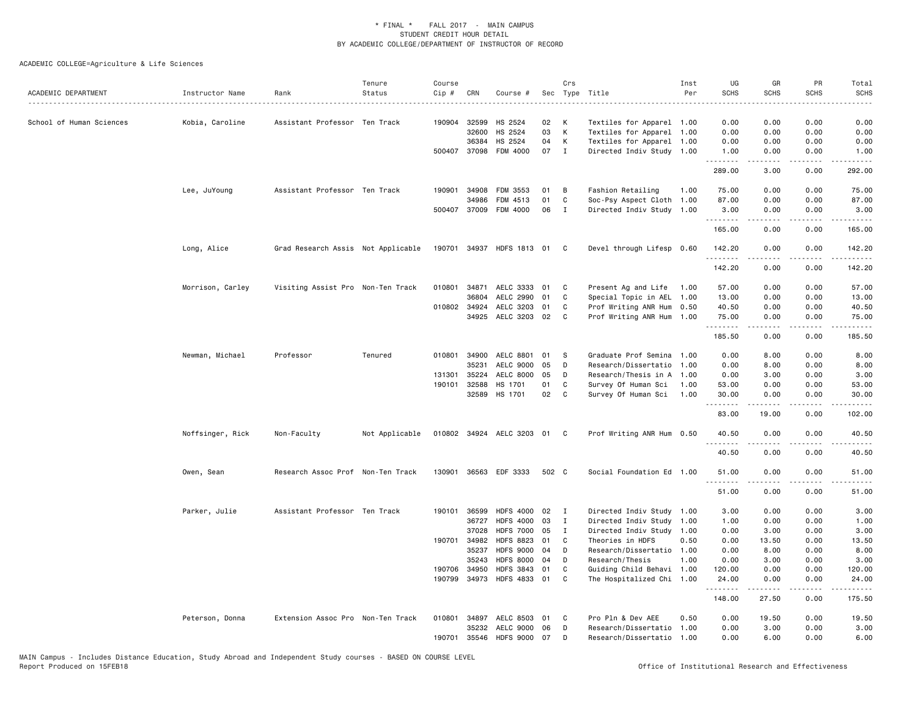| ACADEMIC DEPARTMENT      | Instructor Name  | Rank                               | Tenure<br>Status | Course<br>Cip # | CRN          | Course #                  |       | Crs          | Sec Type Title            | Inst<br>Per | UG<br><b>SCHS</b> | GR<br><b>SCHS</b>   | PR<br><b>SCHS</b>                   | Total<br><b>SCHS</b><br>$\frac{1}{2} \left( \frac{1}{2} \right) \left( \frac{1}{2} \right) \left( \frac{1}{2} \right) \left( \frac{1}{2} \right)$ |
|--------------------------|------------------|------------------------------------|------------------|-----------------|--------------|---------------------------|-------|--------------|---------------------------|-------------|-------------------|---------------------|-------------------------------------|---------------------------------------------------------------------------------------------------------------------------------------------------|
| School of Human Sciences | Kobia, Caroline  | Assistant Professor Ten Track      |                  |                 | 190904 32599 | HS 2524                   | 02    | к            | Textiles for Apparel 1.00 |             | 0.00              | 0.00                | 0.00                                | 0.00                                                                                                                                              |
|                          |                  |                                    |                  |                 | 32600        | HS 2524                   | 03    | К            | Textiles for Apparel      | 1.00        | 0.00              | 0.00                | 0.00                                | 0.00                                                                                                                                              |
|                          |                  |                                    |                  |                 | 36384        | HS 2524                   | 04    | К            | Textiles for Apparel 1.00 |             | 0.00              | 0.00                | 0.00                                | 0.00                                                                                                                                              |
|                          |                  |                                    |                  |                 | 500407 37098 | FDM 4000                  | 07    | $\mathbf{I}$ | Directed Indiv Study 1.00 |             | 1.00<br><u>.</u>  | 0.00                | 0.00                                | 1.00                                                                                                                                              |
|                          |                  |                                    |                  |                 |              |                           |       |              |                           |             | 289.00            | 3.00                | 0.00                                | 292.00                                                                                                                                            |
|                          | Lee, JuYoung     | Assistant Professor Ten Track      |                  | 190901          | 34908        | FDM 3553                  | 01    | B            | Fashion Retailing         | 1.00        | 75.00             | 0.00                | 0.00                                | 75.00                                                                                                                                             |
|                          |                  |                                    |                  |                 | 34986        | FDM 4513                  | 01    | C            | Soc-Psy Aspect Cloth      | 1.00        | 87.00             | 0.00                | 0.00                                | 87.00                                                                                                                                             |
|                          |                  |                                    |                  |                 | 500407 37009 | FDM 4000                  | 06    | $\mathbf I$  | Directed Indiv Study 1.00 |             | 3.00<br>.         | 0.00<br>$- - - - -$ | 0.00<br>.                           | 3.00<br>.                                                                                                                                         |
|                          |                  |                                    |                  |                 |              |                           |       |              |                           |             | 165.00            | 0.00                | 0.00                                | 165.00                                                                                                                                            |
|                          | Long, Alice      | Grad Research Assis Not Applicable |                  |                 |              | 190701 34937 HDFS 1813 01 |       | C            | Devel through Lifesp 0.60 |             | 142.20<br>.       | 0.00<br>.           | 0.00<br>.                           | 142.20<br>.                                                                                                                                       |
|                          |                  |                                    |                  |                 |              |                           |       |              |                           |             | 142.20            | 0.00                | 0.00                                | 142.20                                                                                                                                            |
|                          | Morrison, Carley | Visiting Assist Pro Non-Ten Track  |                  | 010801          | 34871        | AELC 3333                 | 01    | C            | Present Ag and Life       | 1.00        | 57.00             | 0.00                | 0.00                                | 57.00                                                                                                                                             |
|                          |                  |                                    |                  |                 | 36804        | AELC 2990                 | 01    | C            | Special Topic in AEL      | 1.00        | 13.00             | 0.00                | 0.00                                | 13.00                                                                                                                                             |
|                          |                  |                                    |                  |                 | 010802 34924 | AELC 3203                 | 01    | C            | Prof Writing ANR Hum 0.50 |             | 40.50             | 0.00                | 0.00                                | 40.50                                                                                                                                             |
|                          |                  |                                    |                  |                 | 34925        | AELC 3203 02              |       | C            | Prof Writing ANR Hum 1.00 |             | 75.00<br>.        | 0.00<br>.           | 0.00<br>$\sim$ $\sim$ $\sim$ $\sim$ | 75.00<br>.                                                                                                                                        |
|                          |                  |                                    |                  |                 |              |                           |       |              |                           |             | 185.50            | 0.00                | 0.00                                | 185.50                                                                                                                                            |
|                          | Newman, Michael  | Professor                          | Tenured          | 010801          | 34900        | AELC 8801                 | 01    | S            | Graduate Prof Semina      | 1.00        | 0.00              | 8.00                | 0.00                                | 8.00                                                                                                                                              |
|                          |                  |                                    |                  |                 | 35231        | AELC 9000                 | 05    | D            | Research/Dissertatio      | 1.00        | 0.00              | 8.00                | 0.00                                | 8.00                                                                                                                                              |
|                          |                  |                                    |                  |                 | 131301 35224 | <b>AELC 8000</b>          | 05    | D            | Research/Thesis in A 1.00 |             | 0.00              | 3.00                | 0.00                                | 3.00                                                                                                                                              |
|                          |                  |                                    |                  | 190101          | 32588        | HS 1701                   | 01    | C            | Survey Of Human Sci       | 1.00        | 53.00             | 0.00                | 0.00                                | 53.00                                                                                                                                             |
|                          |                  |                                    |                  |                 | 32589        | HS 1701                   | 02    | $\mathbf{C}$ | Survey Of Human Sci       | 1.00        | 30.00             | 0.00                | 0.00                                | 30.00                                                                                                                                             |
|                          |                  |                                    |                  |                 |              |                           |       |              |                           |             | 83.00             | 19.00               | 0.00                                | 102.00                                                                                                                                            |
|                          | Noffsinger, Rick | Non-Faculty                        | Not Applicable   |                 |              | 010802 34924 AELC 3203 01 |       | $\mathbf{C}$ | Prof Writing ANR Hum 0.50 |             | 40.50<br>.        | 0.00                | 0.00                                | 40.50                                                                                                                                             |
|                          |                  |                                    |                  |                 |              |                           |       |              |                           |             | 40.50             | 0.00                | 0.00                                | 40.50                                                                                                                                             |
|                          | Owen, Sean       | Research Assoc Prof Non-Ten Track  |                  |                 |              | 130901 36563 EDF 3333     | 502 C |              | Social Foundation Ed 1.00 |             | 51.00<br>.        | 0.00<br>.           | 0.00<br>$- - - -$                   | 51.00<br>.                                                                                                                                        |
|                          |                  |                                    |                  |                 |              |                           |       |              |                           |             | 51.00             | 0.00                | 0.00                                | 51.00                                                                                                                                             |
|                          | Parker, Julie    | Assistant Professor Ten Track      |                  |                 | 190101 36599 | <b>HDFS 4000</b>          | 02    | $\mathbf{I}$ | Directed Indiv Study      | 1.00        | 3.00              | 0.00                | 0.00                                | 3.00                                                                                                                                              |
|                          |                  |                                    |                  |                 | 36727        | <b>HDFS 4000</b>          | 03    | I            | Directed Indiv Study      | 1.00        | 1.00              | 0.00                | 0.00                                | 1.00                                                                                                                                              |
|                          |                  |                                    |                  |                 | 37028        | <b>HDFS 7000</b>          | 05    | $\mathbf I$  | Directed Indiv Study      | 1.00        | 0.00              | 3.00                | 0.00                                | 3.00                                                                                                                                              |
|                          |                  |                                    |                  |                 | 190701 34982 | <b>HDFS 8823</b>          | 01    | C            | Theories in HDFS          | 0.50        | 0.00              | 13.50               | 0.00                                | 13.50                                                                                                                                             |
|                          |                  |                                    |                  |                 | 35237        | HDFS 9000 04              |       | D            | Research/Dissertatio      | 1.00        | 0.00              | 8.00                | 0.00                                | 8.00                                                                                                                                              |
|                          |                  |                                    |                  |                 | 35243        | <b>HDFS 8000</b>          | 04    | D            | Research/Thesis           | 1.00        | 0.00              | 3.00                | 0.00                                | 3.00                                                                                                                                              |
|                          |                  |                                    |                  |                 | 190706 34950 | <b>HDFS 3843</b>          | 01    | C            | Guiding Child Behavi 1.00 |             | 120.00            | 0.00                | 0.00                                | 120.00                                                                                                                                            |
|                          |                  |                                    |                  |                 |              | 190799 34973 HDFS 4833 01 |       | C            | The Hospitalized Chi 1.00 |             | 24.00<br>.        | 0.00                | 0.00                                | 24.00                                                                                                                                             |
|                          |                  |                                    |                  |                 |              |                           |       |              |                           |             | 148.00            | 27.50               | 0.00                                | 175.50                                                                                                                                            |
|                          | Peterson, Donna  | Extension Assoc Pro Non-Ten Track  |                  |                 | 010801 34897 | AELC 8503 01              |       | C            | Pro Pln & Dev AEE         | 0.50        | 0.00              | 19.50               | 0.00                                | 19.50                                                                                                                                             |
|                          |                  |                                    |                  |                 | 35232        | AELC 9000                 | 06    | D            | Research/Dissertatio      | 1.00        | 0.00              | 3.00                | 0.00                                | 3.00                                                                                                                                              |
|                          |                  |                                    |                  | 190701          | 35546        | HDFS 9000 07              |       | D            | Research/Dissertatio      | 1.00        | 0.00              | 6.00                | 0.00                                | 6.00                                                                                                                                              |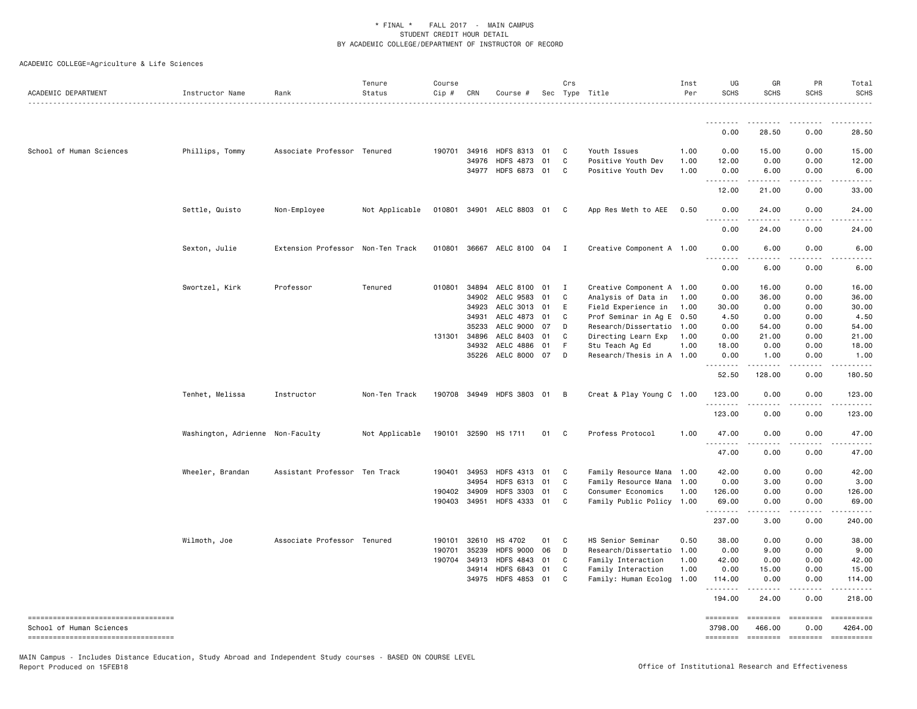ACADEMIC COLLEGE=Agriculture & Life Sciences

| ACADEMIC DEPARTMENT                                            | Instructor Name                  | Rank                              | Tenure<br>Status | Course<br>$Cip \#$ | CRN          | Course #                  |    | Crs            | Sec Type Title            | Inst<br>Per | UG<br><b>SCHS</b> | GR<br><b>SCHS</b>           | PR<br><b>SCHS</b>                   | Total<br><b>SCHS</b><br>. |
|----------------------------------------------------------------|----------------------------------|-----------------------------------|------------------|--------------------|--------------|---------------------------|----|----------------|---------------------------|-------------|-------------------|-----------------------------|-------------------------------------|---------------------------|
|                                                                |                                  |                                   |                  |                    |              |                           |    |                |                           |             | --------          | <u>.</u>                    | . <b>.</b> .                        |                           |
|                                                                |                                  |                                   |                  |                    |              |                           |    |                |                           |             | 0.00              | 28.50                       | 0.00                                | 28.50                     |
| School of Human Sciences                                       | Phillips, Tommy                  | Associate Professor Tenured       |                  | 190701             |              | 34916 HDFS 8313 01        |    | C              | Youth Issues              | 1.00        | 0.00              | 15.00                       | 0.00                                | 15,00                     |
|                                                                |                                  |                                   |                  |                    | 34976        | <b>HDFS 4873</b>          | 01 | C              | Positive Youth Dev        | 1.00        | 12.00             | 0.00                        | 0.00                                | 12.00                     |
|                                                                |                                  |                                   |                  |                    |              | 34977 HDFS 6873 01        |    | C              | Positive Youth Dev        | 1.00        | 0.00<br>.         | 6.00<br>.                   | 0.00<br>.                           | 6.00<br>.                 |
|                                                                |                                  |                                   |                  |                    |              |                           |    |                |                           |             | 12.00             | 21.00                       | 0.00                                | 33.00                     |
|                                                                | Settle, Quisto                   | Non-Employee                      | Not Applicable   |                    |              | 010801 34901 AELC 8803 01 |    | C              | App Res Meth to AEE       | 0.50        | 0.00              | 24.00                       | 0.00                                | 24.00                     |
|                                                                |                                  |                                   |                  |                    |              |                           |    |                |                           |             | 0.00              | 24.00                       | 0.00                                | 24.00                     |
|                                                                | Sexton, Julie                    | Extension Professor Non-Ten Track |                  |                    |              | 010801 36667 AELC 8100 04 |    | $\blacksquare$ | Creative Component A 1.00 |             | 0.00              | 6.00                        | 0.00                                | 6.00                      |
|                                                                |                                  |                                   |                  |                    |              |                           |    |                |                           |             | .<br>0.00         | 6.00                        | 0.00                                | 6.00                      |
|                                                                | Swortzel, Kirk                   | Professor                         | Tenured          | 010801             | 34894        | AELC 8100                 | 01 | I              | Creative Component A 1.00 |             | 0.00              | 16.00                       | 0.00                                | 16.00                     |
|                                                                |                                  |                                   |                  |                    | 34902        | AELC 9583                 | 01 | C              | Analysis of Data in       | 1.00        | 0.00              | 36.00                       | 0.00                                | 36.00                     |
|                                                                |                                  |                                   |                  |                    | 34923        | AELC 3013 01              |    | Ε              | Field Experience in       | 1.00        | 30.00             | 0.00                        | 0.00                                | 30.00                     |
|                                                                |                                  |                                   |                  |                    | 34931        | AELC 4873 01              |    | C              | Prof Seminar in Ag E 0.50 |             | 4.50              | 0.00                        | 0.00                                | 4.50                      |
|                                                                |                                  |                                   |                  |                    | 35233        | AELC 9000                 | 07 | D              | Research/Dissertatio      | 1.00        | 0.00              | 54.00                       | 0.00                                | 54.00                     |
|                                                                |                                  |                                   |                  | 131301             | 34896        | AELC 8403                 | 01 | C              | Directing Learn Exp       | 1.00        | 0.00              | 21.00                       | 0.00                                | 21.00                     |
|                                                                |                                  |                                   |                  |                    | 34932        | AELC 4886                 | 01 | F.             | Stu Teach Ag Ed           | 1.00        | 18.00             | 0.00                        | 0.00                                | 18.00                     |
|                                                                |                                  |                                   |                  |                    |              | 35226 AELC 8000 07        |    | D              | Research/Thesis in A 1.00 |             | 0.00              | 1.00                        | 0.00                                | 1.00                      |
|                                                                |                                  |                                   |                  |                    |              |                           |    |                |                           |             | .<br>52.50        | .<br>128.00                 | .<br>0.00                           | .<br>180.50               |
|                                                                | Tenhet, Melissa                  | Instructor                        | Non-Ten Track    |                    |              | 190708 34949 HDFS 3803 01 |    | B              | Creat & Play Young C 1.00 |             | 123.00            | 0.00                        | 0.00                                | 123.00                    |
|                                                                |                                  |                                   |                  |                    |              |                           |    |                |                           |             | 123.00            | 0.00                        | 0.00                                | 123.00                    |
|                                                                | Washington, Adrienne Non-Faculty |                                   | Not Applicable   |                    |              | 190101 32590 HS 1711      | 01 | C.             | Profess Protocol          | 1.00        | 47.00             | 0.00                        | 0.00                                | 47.00                     |
|                                                                |                                  |                                   |                  |                    |              |                           |    |                |                           |             | <u>.</u><br>47.00 | .<br>0.00                   | .<br>0.00                           | .<br>47.00                |
|                                                                | Wheeler, Brandan                 | Assistant Professor Ten Track     |                  | 190401             | 34953        | HDFS 4313 01              |    | C              | Family Resource Mana 1.00 |             | 42.00             | 0.00                        | 0.00                                | 42.00                     |
|                                                                |                                  |                                   |                  |                    | 34954        | HDFS 6313 01              |    | C              | Family Resource Mana 1.00 |             | 0.00              | 3.00                        | 0.00                                | 3.00                      |
|                                                                |                                  |                                   |                  |                    | 190402 34909 | <b>HDFS 3303</b>          | 01 | C              | Consumer Economics        | 1.00        | 126.00            | 0.00                        | 0.00                                | 126.00                    |
|                                                                |                                  |                                   |                  |                    | 190403 34951 | HDFS 4333 01              |    | $\mathtt{C}$   | Family Public Policy 1.00 |             | 69.00<br>.        | 0.00<br>$- - - - -$         | 0.00<br>.                           | 69.00<br>.                |
|                                                                |                                  |                                   |                  |                    |              |                           |    |                |                           |             | 237.00            | 3.00                        | 0.00                                | 240.00                    |
|                                                                | Wilmoth, Joe                     | Associate Professor Tenured       |                  | 190101             | 32610        | HS 4702                   | 01 | C              | HS Senior Seminar         | 0.50        | 38.00             | 0.00                        | 0.00                                | 38.00                     |
|                                                                |                                  |                                   |                  | 190701             | 35239        | <b>HDFS 9000</b>          | 06 | D              | Research/Dissertatio      | 1.00        | 0.00              | 9.00                        | 0.00                                | 9.00                      |
|                                                                |                                  |                                   |                  | 190704             | 34913        | <b>HDFS 4843</b>          | 01 | C              | Family Interaction        | 1.00        | 42.00             | 0.00                        | 0.00                                | 42.00                     |
|                                                                |                                  |                                   |                  |                    | 34914        | <b>HDFS 6843</b>          | 01 | C              | Family Interaction        | 1.00        | 0.00              | 15.00                       | 0.00                                | 15.00                     |
|                                                                |                                  |                                   |                  |                    | 34975        | <b>HDFS 4853</b>          | 01 | C              | Family: Human Ecolog      | 1.00        | 114.00<br>.       | 0.00                        | 0.00<br>$\sim$ $\sim$ $\sim$ $\sim$ | 114.00<br>.               |
|                                                                |                                  |                                   |                  |                    |              |                           |    |                |                           |             | 194.00            | 24.00                       | 0.00                                | 218.00                    |
| ----------------------------------                             |                                  |                                   |                  |                    |              |                           |    |                |                           |             | ========          | ========                    |                                     | ==========                |
| School of Human Sciences<br>---------------------------------- |                                  |                                   |                  |                    |              |                           |    |                |                           |             | 3798.00           | 466.00<br>======== ======== | 0.00<br>========                    | 4264.00<br>==========     |

MAIN Campus - Includes Distance Education, Study Abroad and Independent Study courses - BASED ON COURSE LEVEL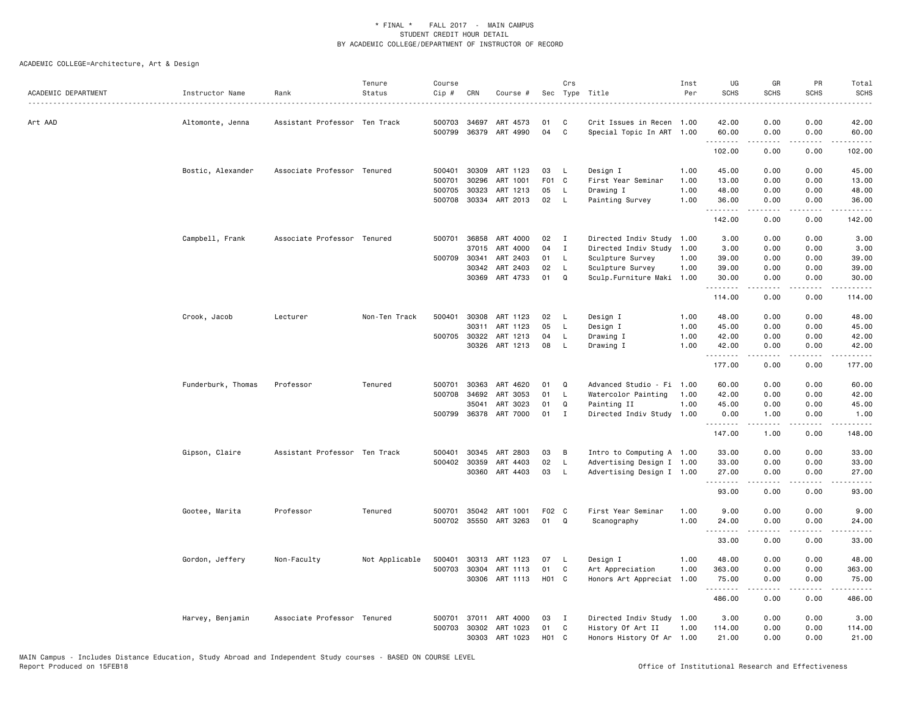| ACADEMIC DEPARTMENT | Instructor Name    | Rank                          | Tenure<br>Status | Course<br>Cip # | CRN          | Course #              |                  | Crs          | Sec Type Title            | Inst<br>Per | UG<br><b>SCHS</b> | GR<br><b>SCHS</b>   | PR<br><b>SCHS</b>                   | Total<br><b>SCHS</b><br>$\frac{1}{2}$                                                                                                                                                    |
|---------------------|--------------------|-------------------------------|------------------|-----------------|--------------|-----------------------|------------------|--------------|---------------------------|-------------|-------------------|---------------------|-------------------------------------|------------------------------------------------------------------------------------------------------------------------------------------------------------------------------------------|
| Art AAD             | Altomonte, Jenna   | Assistant Professor Ten Track |                  | 500703          | 34697        | ART 4573              | 01               | C            | Crit Issues in Recen 1.00 |             | 42.00             | 0.00                | 0.00                                | 42.00                                                                                                                                                                                    |
|                     |                    |                               |                  |                 |              | 500799 36379 ART 4990 | 04               | C            | Special Topic In ART 1.00 |             | 60.00             | 0.00                | 0.00<br>$\sim$ $\sim$ $\sim$ $\sim$ | 60.00                                                                                                                                                                                    |
|                     |                    |                               |                  |                 |              |                       |                  |              |                           |             | 102.00            | 0.00                | 0.00                                | 102.00                                                                                                                                                                                   |
|                     | Bostic, Alexander  | Associate Professor Tenured   |                  | 500401          | 30309        | ART 1123              | 03               | - L          | Design I                  | 1.00        | 45.00             | 0.00                | 0.00                                | 45.00                                                                                                                                                                                    |
|                     |                    |                               |                  | 500701          | 30296        | ART 1001              | F <sub>0</sub> 1 | C            | First Year Seminar        | 1.00        | 13.00             | 0.00                | 0.00                                | 13.00                                                                                                                                                                                    |
|                     |                    |                               |                  | 500705          | 30323        | ART 1213              | 05               | - L          | Drawing I                 | 1.00        | 48.00             | 0.00                | 0.00                                | 48.00                                                                                                                                                                                    |
|                     |                    |                               |                  |                 |              | 500708 30334 ART 2013 | 02               | - L          | Painting Survey           | 1.00        | 36.00<br>.        | 0.00<br>.           | 0.00<br>د د د د                     | 36.00<br>.                                                                                                                                                                               |
|                     |                    |                               |                  |                 |              |                       |                  |              |                           |             | 142.00            | 0.00                | 0.00                                | 142.00                                                                                                                                                                                   |
|                     | Campbell, Frank    | Associate Professor Tenured   |                  |                 |              | 500701 36858 ART 4000 | 02               | $\mathbf{I}$ | Directed Indiv Study 1.00 |             | 3.00              | 0.00                | 0.00                                | 3.00                                                                                                                                                                                     |
|                     |                    |                               |                  |                 | 37015        | ART 4000              | 04               | I            | Directed Indiv Study      | 1.00        | 3.00              | 0.00                | 0.00                                | 3.00                                                                                                                                                                                     |
|                     |                    |                               |                  | 500709          | 30341        | ART 2403              | 01               | - L          | Sculpture Survey          | 1.00        | 39.00             | 0.00                | 0.00                                | 39.00                                                                                                                                                                                    |
|                     |                    |                               |                  |                 | 30342        | ART 2403              | 02               | <b>L</b>     | Sculpture Survey          | 1.00        | 39.00             | 0.00                | 0.00                                | 39.00                                                                                                                                                                                    |
|                     |                    |                               |                  |                 | 30369        | ART 4733              | 01               | Q            | Sculp.Furniture Maki 1.00 |             | 30.00<br>.        | 0.00<br>2.2.2.2.2   | 0.00<br>.                           | 30.00<br>.                                                                                                                                                                               |
|                     |                    |                               |                  |                 |              |                       |                  |              |                           |             | 114.00            | 0.00                | 0.00                                | 114.00                                                                                                                                                                                   |
|                     | Crook, Jacob       | Lecturer                      | Non-Ten Track    | 500401          | 30308        | ART 1123              | 02               | - L          | Design I                  | 1.00        | 48.00             | 0.00                | 0.00                                | 48.00                                                                                                                                                                                    |
|                     |                    |                               |                  |                 | 30311        | ART 1123              | 05               | L            | Design I                  | 1.00        | 45.00             | 0.00                | 0.00                                | 45.00                                                                                                                                                                                    |
|                     |                    |                               |                  |                 | 500705 30322 | ART 1213              | 04               | L            | Drawing I                 | 1.00        | 42.00             | 0.00                | 0.00                                | 42.00                                                                                                                                                                                    |
|                     |                    |                               |                  |                 | 30326        | ART 1213              | 08               | L.           | Drawing I                 | 1.00        | 42.00<br>.        | 0.00<br>.           | 0.00<br>د د د د                     | 42.00<br>.                                                                                                                                                                               |
|                     |                    |                               |                  |                 |              |                       |                  |              |                           |             | 177.00            | 0.00                | 0.00                                | 177.00                                                                                                                                                                                   |
|                     | Funderburk, Thomas | Professor                     | Tenured          | 500701          | 30363        | ART 4620              | 01               | Q            | Advanced Studio - Fi 1.00 |             | 60.00             | 0.00                | 0.00                                | 60.00                                                                                                                                                                                    |
|                     |                    |                               |                  | 500708          | 34692        | ART 3053              | 01               | L            | Watercolor Painting       | 1.00        | 42.00             | 0.00                | 0.00                                | 42.00                                                                                                                                                                                    |
|                     |                    |                               |                  |                 | 35041        | ART 3023              | 01               | Q            | Painting II               | 1.00        | 45.00             | 0.00                | 0.00                                | 45.00                                                                                                                                                                                    |
|                     |                    |                               |                  |                 |              | 500799 36378 ART 7000 | 01               | I            | Directed Indiv Study 1.00 |             | 0.00<br>.         | 1.00<br>$- - - - -$ | 0.00<br>.                           | 1.00<br>.                                                                                                                                                                                |
|                     |                    |                               |                  |                 |              |                       |                  |              |                           |             | 147.00            | 1.00                | 0.00                                | 148.00                                                                                                                                                                                   |
|                     | Gipson, Claire     | Assistant Professor Ten Track |                  | 500401          | 30345        | ART 2803              | 03               | B            | Intro to Computing A 1.00 |             | 33.00             | 0.00                | 0.00                                | 33.00                                                                                                                                                                                    |
|                     |                    |                               |                  |                 | 500402 30359 | ART 4403              | 02               | - L          | Advertising Design I 1.00 |             | 33.00             | 0.00                | 0.00                                | 33.00                                                                                                                                                                                    |
|                     |                    |                               |                  |                 |              | 30360 ART 4403        | 03               | - L          | Advertising Design I 1.00 |             | 27.00<br>.        | 0.00                | 0.00                                | 27.00                                                                                                                                                                                    |
|                     |                    |                               |                  |                 |              |                       |                  |              |                           |             | 93.00             | 0.00                | 0.00                                | 93.00                                                                                                                                                                                    |
|                     | Gootee, Marita     | Professor                     | Tenured          |                 |              | 500701 35042 ART 1001 | F02 C            |              | First Year Seminar        | 1.00        | 9.00              | 0.00                | 0.00                                | 9.00                                                                                                                                                                                     |
|                     |                    |                               |                  |                 |              | 500702 35550 ART 3263 | 01               | $\Omega$     | Scanography               | 1.00        | 24.00             | 0.00                | 0.00                                | 24.00                                                                                                                                                                                    |
|                     |                    |                               |                  |                 |              |                       |                  |              |                           |             | .                 | .                   | .                                   | .                                                                                                                                                                                        |
|                     |                    |                               |                  |                 |              |                       |                  |              |                           |             | 33.00             | 0.00                | 0.00                                | 33.00                                                                                                                                                                                    |
|                     | Gordon, Jeffery    | Non-Faculty                   | Not Applicable   | 500401          | 30313        | ART 1123              | 07               | - L          | Design I                  | 1.00        | 48.00             | 0.00                | 0.00                                | 48.00                                                                                                                                                                                    |
|                     |                    |                               |                  |                 | 500703 30304 | ART 1113              | 01               | C            | Art Appreciation          | 1.00        | 363.00            | 0.00                | 0.00                                | 363.00                                                                                                                                                                                   |
|                     |                    |                               |                  |                 |              | 30306 ART 1113        | H01 C            |              | Honors Art Appreciat 1.00 |             | 75.00<br>.        | 0.00<br>$    -$     | 0.00<br>.                           | 75.00<br>$\frac{1}{2} \left( \frac{1}{2} \right) \left( \frac{1}{2} \right) \left( \frac{1}{2} \right) \left( \frac{1}{2} \right) \left( \frac{1}{2} \right) \left( \frac{1}{2} \right)$ |
|                     |                    |                               |                  |                 |              |                       |                  |              |                           |             | 486.00            | 0.00                | 0.00                                | 486.00                                                                                                                                                                                   |
|                     | Harvey, Benjamin   | Associate Professor Tenured   |                  | 500701          | 37011        | ART 4000              | 03               | I            | Directed Indiv Study 1.00 |             | 3.00              | 0.00                | 0.00                                | 3.00                                                                                                                                                                                     |
|                     |                    |                               |                  | 500703          | 30302        | ART 1023              | 01               | C            | History Of Art II         | 1.00        | 114.00            | 0.00                | 0.00                                | 114.00                                                                                                                                                                                   |
|                     |                    |                               |                  |                 | 30303        | ART 1023              | <b>HO1</b>       | C            | Honors History Of Ar 1.00 |             | 21,00             | 0.00                | 0.00                                | 21.00                                                                                                                                                                                    |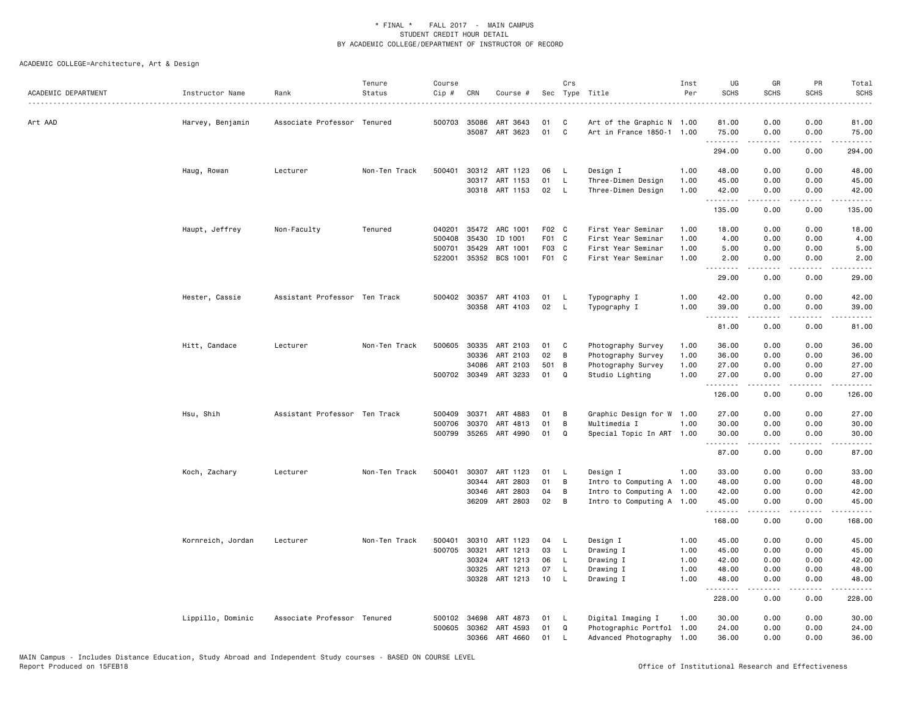| ACADEMIC DEPARTMENT | Instructor Name   | Rank                          | Tenure<br>Status | Course<br>Cip # | CRN          | Course #              |       | Crs            | Sec Type Title            | Inst<br>Per | UG<br><b>SCHS</b> | GR<br><b>SCHS</b> | PR<br><b>SCHS</b> | Total<br><b>SCHS</b><br>والمناصبات |
|---------------------|-------------------|-------------------------------|------------------|-----------------|--------------|-----------------------|-------|----------------|---------------------------|-------------|-------------------|-------------------|-------------------|------------------------------------|
| Art AAD             | Harvey, Benjamin  | Associate Professor Tenured   |                  |                 | 500703 35086 | ART 3643              | 01    | C              | Art of the Graphic N 1.00 |             | 81.00             | 0.00              | 0.00              | 81.00                              |
|                     |                   |                               |                  |                 |              | 35087 ART 3623        | 01    | $\mathbf c$    | Art in France 1850-1 1.00 |             | 75.00<br>.        | 0.00              | 0.00<br>.         | 75.00                              |
|                     |                   |                               |                  |                 |              |                       |       |                |                           |             | 294.00            | -----<br>0.00     | 0.00              | .<br>294.00                        |
|                     | Haug, Rowan       | Lecturer                      | Non-Ten Track    | 500401          |              | 30312 ART 1123        | 06    | $\mathsf{L}$   | Design I                  | 1.00        | 48.00             | 0.00              | 0.00              | 48.00                              |
|                     |                   |                               |                  |                 |              | 30317 ART 1153        | 01    | L.             | Three-Dimen Design        | 1.00        | 45.00             | 0.00              | 0.00              | 45.00                              |
|                     |                   |                               |                  |                 |              | 30318 ART 1153        | 02    | $\mathsf{L}$   | Three-Dimen Design        | 1.00        | 42.00<br>.        | 0.00              | 0.00<br>.         | 42.00<br>.                         |
|                     |                   |                               |                  |                 |              |                       |       |                |                           |             | 135.00            | 0.00              | 0.00              | 135.00                             |
|                     | Haupt, Jeffrey    | Non-Faculty                   | Tenured          | 040201          |              | 35472 ARC 1001        | F02 C |                | First Year Seminar        | 1.00        | 18.00             | 0.00              | 0.00              | 18.00                              |
|                     |                   |                               |                  | 500408          | 35430        | ID 1001               | F01 C |                | First Year Seminar        | 1.00        | 4.00              | 0.00              | 0.00              | 4.00                               |
|                     |                   |                               |                  | 500701          | 35429        | ART 1001              | F03 C |                | First Year Seminar        | 1.00        | 5.00              | 0.00              | 0.00              | 5.00                               |
|                     |                   |                               |                  | 522001          |              | 35352 BCS 1001        | F01 C |                | First Year Seminar        | 1.00        | 2.00              | 0.00              | 0.00              | 2.00                               |
|                     |                   |                               |                  |                 |              |                       |       |                |                           |             | 29.00             | 0.00              | 0.00              | 29.00                              |
|                     | Hester, Cassie    | Assistant Professor Ten Track |                  |                 |              | 500402 30357 ART 4103 | 01    | <b>L</b>       | Typography I              | 1.00        | 42.00             | 0.00              | 0.00              | 42.00                              |
|                     |                   |                               |                  |                 |              | 30358 ART 4103        | 02    | $\mathsf{L}$   | Typography I              | 1.00        | 39.00             | 0.00              | 0.00              | 39.00                              |
|                     |                   |                               |                  |                 |              |                       |       |                |                           |             |                   | -----             | .                 | .                                  |
|                     |                   |                               |                  |                 |              |                       |       |                |                           |             | 81.00             | 0.00              | 0.00              | 81.00                              |
|                     | Hitt, Candace     | Lecturer                      | Non-Ten Track    | 500605          |              | 30335 ART 2103        | 01    | C              | Photography Survey        | 1.00        | 36.00             | 0.00              | 0.00              | 36.00                              |
|                     |                   |                               |                  |                 | 30336        | ART 2103              | 02    | B              | Photography Survey        | 1.00        | 36.00             | 0.00              | 0.00              | 36.00                              |
|                     |                   |                               |                  |                 | 34086        | ART 2103              | 501   | $\overline{B}$ | Photography Survey        | 1.00        | 27.00             | 0.00              | 0.00              | 27.00                              |
|                     |                   |                               |                  |                 |              | 500702 30349 ART 3233 | 01    | $\Omega$       | Studio Lighting           | 1.00        | 27.00<br>.        | 0.00<br>-----     | 0.00<br>.         | 27.00<br>.                         |
|                     |                   |                               |                  |                 |              |                       |       |                |                           |             | 126.00            | 0.00              | 0.00              | 126.00                             |
|                     | Hsu, Shih         | Assistant Professor Ten Track |                  | 500409          | 30371        | ART 4883              | 01    | B              | Graphic Design for W      | 1.00        | 27.00             | 0.00              | 0.00              | 27.00                              |
|                     |                   |                               |                  | 500706          | 30370        | ART 4813              | 01    | В              | Multimedia I              | 1.00        | 30.00             | 0.00              | 0.00              | 30.00                              |
|                     |                   |                               |                  |                 |              | 500799 35265 ART 4990 | 01    | Q              | Special Topic In ART 1.00 |             | 30.00<br>.        | 0.00              | 0.00              | 30.00                              |
|                     |                   |                               |                  |                 |              |                       |       |                |                           |             | 87.00             | .<br>0.00         | .<br>0.00         | .<br>87.00                         |
|                     | Koch, Zachary     | Lecturer                      | Non-Ten Track    | 500401          | 30307        | ART 1123              | 01    | - L            | Design I                  | 1.00        | 33.00             | 0.00              | 0.00              | 33.00                              |
|                     |                   |                               |                  |                 | 30344        | ART 2803              | 01    | В              | Intro to Computing A 1.00 |             | 48.00             | 0.00              | 0.00              | 48.00                              |
|                     |                   |                               |                  |                 | 30346        | ART 2803              | 04    | B              | Intro to Computing A 1.00 |             | 42.00             | 0.00              | 0.00              | 42.00                              |
|                     |                   |                               |                  |                 |              | 36209 ART 2803        | 02    | B              | Intro to Computing A 1.00 |             | 45.00<br>.        | 0.00<br>.         | 0.00<br>.         | 45.00<br>.                         |
|                     |                   |                               |                  |                 |              |                       |       |                |                           |             | 168.00            | 0.00              | 0.00              | 168.00                             |
|                     | Kornreich, Jordan | Lecturer                      | Non-Ten Track    | 500401          |              | 30310 ART 1123        | 04    | - L            | Design I                  | 1.00        | 45.00             | 0.00              | 0.00              | 45.00                              |
|                     |                   |                               |                  | 500705          | 30321        | ART 1213              | 03    | $\mathsf{L}$   | Drawing I                 | 1.00        | 45.00             | 0.00              | 0.00              | 45.00                              |
|                     |                   |                               |                  |                 | 30324        | ART 1213              | 06    | <b>L</b>       | Drawing I                 | 1.00        | 42.00             | 0.00              | 0.00              | 42.00                              |
|                     |                   |                               |                  |                 | 30325        | ART 1213              | 07    | L.             | Drawing I                 | 1.00        | 48.00             | 0.00              | 0.00              | 48.00                              |
|                     |                   |                               |                  |                 |              | 30328 ART 1213        | 10    | $\mathsf{L}$   | Drawing I                 | 1.00        | 48.00<br>.        | 0.00<br>.         | 0.00<br>.         | 48.00<br>2.2.2.2.2.                |
|                     |                   |                               |                  |                 |              |                       |       |                |                           |             | 228.00            | 0.00              | 0.00              | 228.00                             |
|                     | Lippillo, Dominic | Associate Professor Tenured   |                  | 500102          | 34698        | ART 4873              | 01    | - L            | Digital Imaging I         | 1.00        | 30.00             | 0.00              | 0.00              | 30.00                              |
|                     |                   |                               |                  |                 |              | 500605 30362 ART 4593 | 01    | $\Omega$       | Photographic Portfol 1.00 |             | 24.00             | 0.00              | 0.00              | 24.00                              |
|                     |                   |                               |                  |                 | 30366        | ART 4660              | 01    | $\mathsf{L}$   | Advanced Photography 1.00 |             | 36.00             | 0.00              | 0.00              | 36.00                              |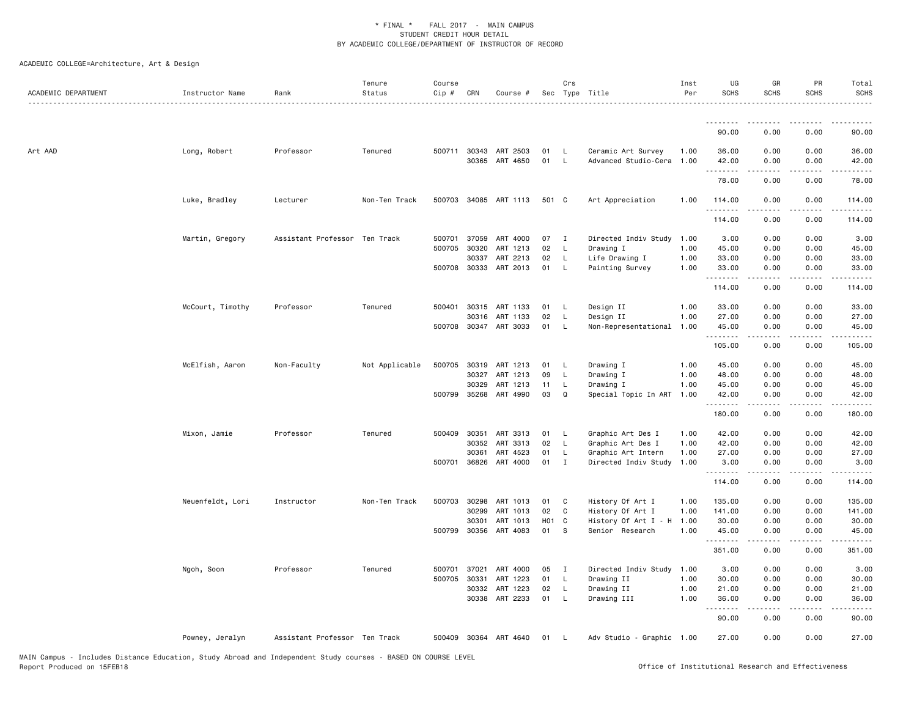| ACADEMIC DEPARTMENT | Instructor Name  | Rank                          | Tenure<br>Status | Course<br>$Cip \#$ | CRN   | Course #              |          | Crs                          | Sec Type Title                                  | Inst<br>Per | UG<br><b>SCHS</b>   | GR<br><b>SCHS</b>     | PR<br><b>SCHS</b> | Total<br><b>SCHS</b> |
|---------------------|------------------|-------------------------------|------------------|--------------------|-------|-----------------------|----------|------------------------------|-------------------------------------------------|-------------|---------------------|-----------------------|-------------------|----------------------|
|                     |                  |                               |                  |                    |       |                       |          |                              |                                                 |             | .<br>90.00          | 0.00                  | 0.00              | 90.00                |
|                     |                  |                               |                  |                    |       |                       |          |                              |                                                 |             |                     |                       |                   |                      |
| Art AAD             | Long, Robert     | Professor                     | Tenured          | 500711 30343       | 30365 | ART 2503<br>ART 4650  | 01<br>01 | $\mathsf{L}$<br>$\mathsf{L}$ | Ceramic Art Survey<br>Advanced Studio-Cera 1.00 | 1.00        | 36.00<br>42.00<br>. | 0.00<br>0.00          | 0.00<br>0.00      | 36.00<br>42.00       |
|                     |                  |                               |                  |                    |       |                       |          |                              |                                                 |             | 78.00               | 0.00                  | 0.00              | 78.00                |
|                     | Luke, Bradley    | Lecturer                      | Non-Ten Track    |                    |       | 500703 34085 ART 1113 | 501 C    |                              | Art Appreciation                                | 1.00        | 114.00<br>.         | 0.00<br>$\frac{1}{2}$ | 0.00<br>.         | 114.00               |
|                     |                  |                               |                  |                    |       |                       |          |                              |                                                 |             | 114.00              | 0.00                  | 0.00              | 114.00               |
|                     | Martin, Gregory  | Assistant Professor Ten Track |                  | 500701 37059       |       | ART 4000              | 07       | $\mathbf{I}$                 | Directed Indiv Study 1.00                       |             | 3.00                | 0.00                  | 0.00              | 3.00                 |
|                     |                  |                               |                  | 500705 30320       |       | ART 1213              | 02       | $\mathsf{L}$                 | Drawing I                                       | 1.00        | 45.00               | 0.00                  | 0.00              | 45.00                |
|                     |                  |                               |                  |                    | 30337 | ART 2213              | 02       | L.                           | Life Drawing I                                  | 1.00        | 33.00               | 0.00                  | 0.00              | 33.00                |
|                     |                  |                               |                  |                    |       | 500708 30333 ART 2013 | 01       | - L                          | Painting Survey                                 | 1.00        | 33.00<br>.          | 0.00                  | 0.00              | 33.00                |
|                     |                  |                               |                  |                    |       |                       |          |                              |                                                 |             | 114.00              | 0.00                  | 0.00              | 114.00               |
|                     | McCourt, Timothy | Professor                     | Tenured          | 500401 30315       |       | ART 1133              | 01       | $\mathsf{L}$                 | Design II                                       | 1.00        | 33.00               | 0.00                  | 0.00              | 33.00                |
|                     |                  |                               |                  |                    | 30316 | ART 1133              | 02       | $\mathsf{L}$                 | Design II                                       | 1.00        | 27.00               | 0.00                  | 0.00              | 27.00                |
|                     |                  |                               |                  |                    |       | 500708 30347 ART 3033 | 01       | L.                           | Non-Representational 1.00                       |             | 45.00<br>.          | 0.00<br>.             | 0.00<br>.         | 45.00<br>.           |
|                     |                  |                               |                  |                    |       |                       |          |                              |                                                 |             | 105.00              | 0.00                  | 0.00              | 105.00               |
|                     | McElfish, Aaron  | Non-Faculty                   | Not Applicable   | 500705 30319       |       | ART 1213              | 01       | - L                          | Drawing I                                       | 1.00        | 45.00               | 0.00                  | 0.00              | 45.00                |
|                     |                  |                               |                  |                    | 30327 | ART 1213              | 09       | L                            | Drawing I                                       | 1.00        | 48.00               | 0.00                  | 0.00              | 48.00                |
|                     |                  |                               |                  |                    | 30329 | ART 1213              | 11       | - L                          | Drawing I                                       | 1.00        | 45.00               | 0.00                  | 0.00              | 45.00                |
|                     |                  |                               |                  | 500799 35268       |       | ART 4990              | 03       | $\mathbf Q$                  | Special Topic In ART 1.00                       |             | 42.00<br>.          | 0.00<br>.             | 0.00<br>.         | 42.00<br>.           |
|                     |                  |                               |                  |                    |       |                       |          |                              |                                                 |             | 180.00              | 0.00                  | 0.00              | 180.00               |
|                     | Mixon, Jamie     | Professor                     | Tenured          | 500409 30351       |       | ART 3313              | 01       | - L                          | Graphic Art Des I                               | 1.00        | 42.00               | 0.00                  | 0.00              | 42.00                |
|                     |                  |                               |                  |                    | 30352 | ART 3313              | 02       | L.                           | Graphic Art Des I                               | 1.00        | 42.00               | 0.00                  | 0.00              | 42.00                |
|                     |                  |                               |                  |                    | 30361 | ART 4523              | 01       | - L                          | Graphic Art Intern                              | 1.00        | 27.00               | 0.00                  | 0.00              | 27.00                |
|                     |                  |                               |                  | 500701             | 36826 | ART 4000              | $01$ I   |                              | Directed Indiv Study                            | 1.00        | 3.00<br>.           | 0.00                  | 0.00              | 3.00                 |
|                     |                  |                               |                  |                    |       |                       |          |                              |                                                 |             | 114.00              | 0.00                  | 0.00              | 114.00               |
|                     | Neuenfeldt, Lori | Instructor                    | Non-Ten Track    | 500703 30298       |       | ART 1013              | 01       | $\mathbf{C}$                 | History Of Art I                                | 1.00        | 135.00              | 0.00                  | 0.00              | 135.00               |
|                     |                  |                               |                  |                    | 30299 | ART 1013              | 02       | C                            | History Of Art I                                | 1.00        | 141.00              | 0.00                  | 0.00              | 141.00               |
|                     |                  |                               |                  |                    | 30301 | ART 1013              | H01 C    |                              | History Of Art I - H 1.00                       |             | 30.00               | 0.00                  | 0.00              | 30.00                |
|                     |                  |                               |                  | 500799 30356       |       | ART 4083              | 01       | s                            | Senior Research                                 | 1.00        | 45.00<br>.          | 0.00<br>.             | 0.00<br>المستبدا  | 45.00<br>.           |
|                     |                  |                               |                  |                    |       |                       |          |                              |                                                 |             | 351.00              | 0.00                  | 0.00              | 351.00               |
|                     | Ngoh, Soon       | Professor                     | Tenured          | 500701             | 37021 | ART 4000              | 05       | $\mathbf{I}$                 | Directed Indiv Study 1.00                       |             | 3.00                | 0.00                  | 0.00              | 3.00                 |
|                     |                  |                               |                  | 500705 30331       |       | ART 1223              | 01       | $\mathsf{L}$                 | Drawing II                                      | 1.00        | 30.00               | 0.00                  | 0.00              | 30.00                |
|                     |                  |                               |                  |                    | 30332 | ART 1223              | 02       | L.                           | Drawing II                                      | 1.00        | 21.00               | 0.00                  | 0.00              | 21.00                |
|                     |                  |                               |                  |                    | 30338 | ART 2233              | 01       | <b>L</b>                     | Drawing III                                     | 1.00        | 36.00<br><u>.</u>   | 0.00                  | 0.00              | 36.00                |
|                     |                  |                               |                  |                    |       |                       |          |                              |                                                 |             | 90.00               | 0.00                  | 0.00              | 90.00                |
|                     | Powney, Jeralyn  | Assistant Professor Ten Track |                  |                    |       | 500409 30364 ART 4640 | 01       | - L                          | Adv Studio - Graphic 1.00                       |             | 27.00               | 0.00                  | 0.00              | 27.00                |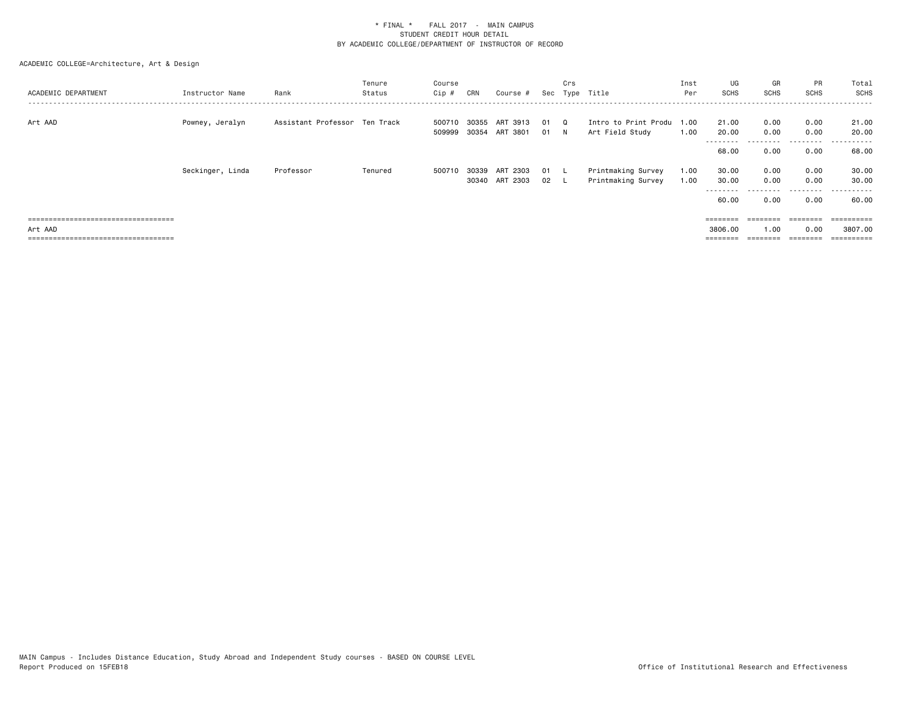| ACADEMIC DEPARTMENT                   | Instructor Name  | Rank                          | Tenure<br>Status | Course<br>Cip #  | CRN            | Course #                        |            | Crs<br>Sec Type Title |                                              | Inst<br>Per  | UG<br><b>SCHS</b>           | GR<br><b>SCHS</b>    | PR<br><b>SCHS</b>         | Total<br>SCHS                          |
|---------------------------------------|------------------|-------------------------------|------------------|------------------|----------------|---------------------------------|------------|-----------------------|----------------------------------------------|--------------|-----------------------------|----------------------|---------------------------|----------------------------------------|
| Art AAD                               | Powney, Jeralyn  | Assistant Professor Ten Track |                  | 500710<br>509999 | 30355<br>30354 | ART 3913<br>ART 3801            | 01<br>01 N | $\Omega$              | Intro to Print Produ 1.00<br>Art Field Study | 1.00         | 21.00<br>20.00<br>--------- | 0.00<br>0.00         | 0.00<br>0.00<br>.         | 21.00<br>20.00<br>. <u>.</u> .<br>$ -$ |
|                                       |                  |                               |                  |                  |                |                                 |            |                       |                                              |              | 68.00                       | 0.00                 | 0.00                      | 68.00                                  |
|                                       | Seckinger, Linda | Professor                     | Tenured          | 500710           | 30339          | ART 2303<br>30340 ART 2303 02 L | 01         | . L                   | Printmaking Survey<br>Printmaking Survey     | 1.00<br>1.00 | 30.00<br>30.00<br>60.00     | 0.00<br>0.00<br>0.00 | 0.00<br>0.00<br>0.00      | 30.00<br>30.00<br>------<br>60.00      |
| Art AAD                               |                  |                               |                  |                  |                |                                 |            |                       |                                              |              | 3806.00                     | ========<br>1.00     | $=$ = = = = = = =<br>0.00 | 3807.00                                |
| ===================================== |                  |                               |                  |                  |                |                                 |            |                       |                                              |              | ========                    |                      | ========                  | ==========                             |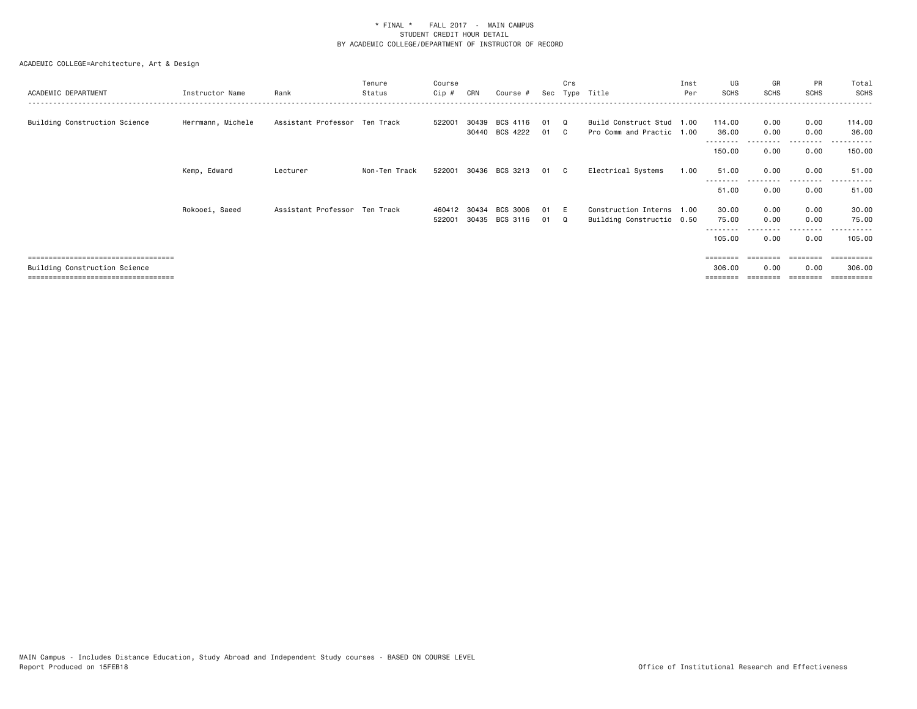| ACADEMIC DEPARTMENT                                                   | Instructor Name   | Rank                          | Tenure<br>Status | Course<br>Cip #  | CRN            | Course #             |          | Crs        | Sec Type Title                                         | Inst<br>Per | UG<br><b>SCHS</b>  | GR<br><b>SCHS</b> | PR<br><b>SCHS</b>                                                               | Total<br>SCHS       |
|-----------------------------------------------------------------------|-------------------|-------------------------------|------------------|------------------|----------------|----------------------|----------|------------|--------------------------------------------------------|-------------|--------------------|-------------------|---------------------------------------------------------------------------------|---------------------|
| Building Construction Science                                         | Herrmann, Michele | Assistant Professor Ten Track |                  | 522001           | 30439          | BCS 4116             | 01       |            | Build Construct Stud 1.00                              |             | 114.00             | 0.00              | 0.00                                                                            | 114.00              |
|                                                                       |                   |                               |                  |                  |                | 30440 BCS 4222       | 01       | C.         | Pro Comm and Practic 1.00                              |             | 36.00<br>150.00    | 0.00<br>0.00      | 0.00<br>.<br>0.00                                                               | 36.00<br>150.00     |
|                                                                       | Kemp, Edward      | Lecturer                      | Non-Ten Track    | 522001           |                | 30436 BCS 3213       | 01       | C.         | Electrical Systems                                     | 1.00        | 51.00              | 0.00              | 0.00<br>.                                                                       | 51.00<br>.<br>$  -$ |
|                                                                       |                   |                               |                  |                  |                |                      |          |            |                                                        |             | 51.00              | 0.00              | 0.00                                                                            | 51.00               |
|                                                                       | Rokooei, Saeed    | Assistant Professor Ten Track |                  | 460412<br>522001 | 30434<br>30435 | BCS 3006<br>BCS 3116 | 01<br>01 | - F<br>- 0 | Construction Interns 1.00<br>Building Constructio 0.50 |             | 30.00<br>75.00     | 0.00<br>0.00      | 0.00<br>0.00                                                                    | 30.00<br>75.00      |
|                                                                       |                   |                               |                  |                  |                |                      |          |            |                                                        |             | 105.00             | 0.00              | 0.00                                                                            | .<br>105.00         |
| ====================================<br>Building Construction Science |                   |                               |                  |                  |                |                      |          |            |                                                        |             | ========<br>306.00 | ========<br>0.00  | $\qquad \qquad \equiv \equiv \equiv \equiv \equiv \equiv \equiv \equiv$<br>0.00 | 306,00              |
| =====================================                                 |                   |                               |                  |                  |                |                      |          |            |                                                        |             | ========           |                   | ========                                                                        | ==========          |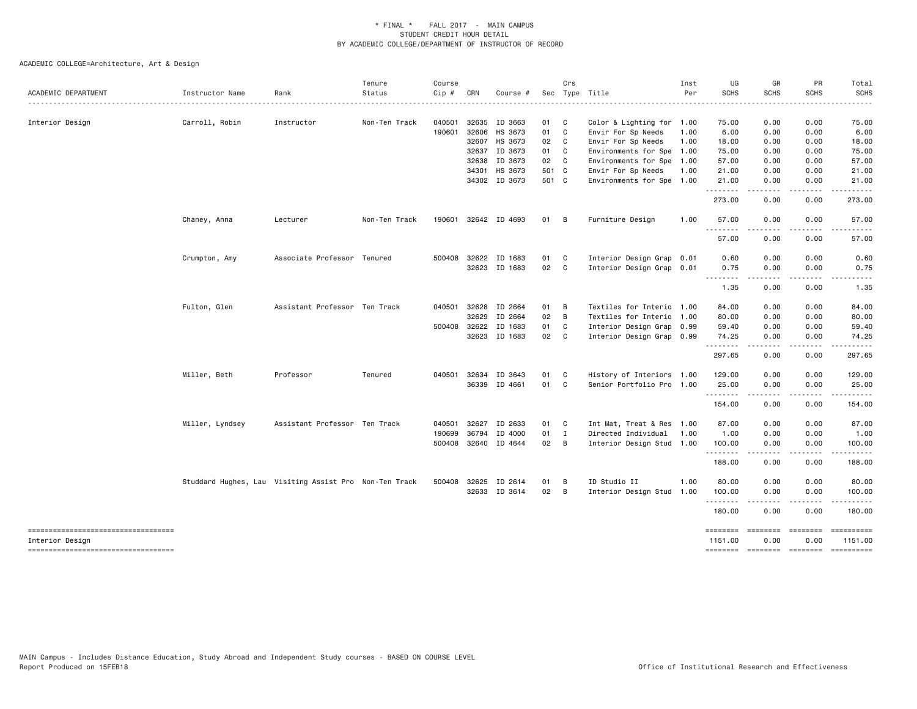| ACADEMIC DEPARTMENT                                   | Instructor Name                                        | Rank                          | Tenure<br>Status | Course<br>Cip # | CRN          | Course #             |       | Crs            | Sec Type Title            | Inst<br>Per | UG<br><b>SCHS</b>          | GR<br><b>SCHS</b> | PR<br><b>SCHS</b> | Total<br><b>SCHS</b>         |
|-------------------------------------------------------|--------------------------------------------------------|-------------------------------|------------------|-----------------|--------------|----------------------|-------|----------------|---------------------------|-------------|----------------------------|-------------------|-------------------|------------------------------|
|                                                       |                                                        |                               |                  |                 |              |                      |       |                |                           |             |                            |                   |                   |                              |
| Interior Design                                       | Carroll, Robin                                         | Instructor                    | Non-Ten Track    | 040501          | 32635        | ID 3663              | 01 C  |                | Color & Lighting for 1.00 |             | 75.00                      | 0.00              | 0.00              | 75.00                        |
|                                                       |                                                        |                               |                  | 190601          | 32606        | HS 3673              | 01 C  |                | Envir For Sp Needs        | 1.00        | 6.00                       | 0.00              | 0.00              | 6.00                         |
|                                                       |                                                        |                               |                  |                 |              | 32607 HS 3673        | 02    | C              | Envir For Sp Needs        | 1.00        | 18.00                      | 0.00              | 0.00              | 18.00                        |
|                                                       |                                                        |                               |                  |                 | 32637        | ID 3673              | 01 C  |                | Environments for Spe 1.00 |             | 75.00                      | 0.00              | 0.00              | 75.00                        |
|                                                       |                                                        |                               |                  |                 | 32638        | ID 3673              | 02    | C              | Environments for Spe 1.00 |             | 57.00                      | 0.00              | 0.00              | 57.00                        |
|                                                       |                                                        |                               |                  |                 | 34301        | HS 3673              | 501 C |                | Envir For Sp Needs        | 1.00        | 21.00                      | 0.00              | 0.00              | 21.00                        |
|                                                       |                                                        |                               |                  |                 |              | 34302 ID 3673        | 501 C |                | Environments for Spe 1.00 |             | 21.00<br>.                 | 0.00<br>.         | 0.00<br>.         | 21.00<br>.                   |
|                                                       |                                                        |                               |                  |                 |              |                      |       |                |                           |             | 273.00                     | 0.00              | 0.00              | 273.00                       |
|                                                       | Chaney, Anna                                           | Lecturer                      | Non-Ten Track    |                 |              | 190601 32642 ID 4693 | 01 B  |                | Furniture Design          | 1.00        | 57.00<br>.                 | 0.00<br>.         | 0.00<br>-----     | 57.00<br>.                   |
|                                                       |                                                        |                               |                  |                 |              |                      |       |                |                           |             | 57.00                      | 0.00              | 0.00              | 57.00                        |
|                                                       | Crumpton, Amy                                          | Associate Professor Tenured   |                  |                 | 500408 32622 | ID 1683              | 01    | $\mathbf{C}$   | Interior Design Grap 0.01 |             | 0.60                       | 0.00              | 0.00              | 0.60                         |
|                                                       |                                                        |                               |                  |                 | 32623        | ID 1683              | 02 C  |                | Interior Design Grap 0.01 |             | 0.75                       | 0.00              | 0.00              | 0.75                         |
|                                                       |                                                        |                               |                  |                 |              |                      |       |                |                           |             | 1.35                       | 0.00              | 0.00              | 1.35                         |
|                                                       | Fulton, Glen                                           | Assistant Professor Ten Track |                  |                 | 040501 32628 | ID 2664              | 01 B  |                | Textiles for Interio 1.00 |             | 84.00                      | 0.00              | 0.00              | 84.00                        |
|                                                       |                                                        |                               |                  |                 | 32629        | ID 2664              | 02    | $\overline{B}$ | Textiles for Interio 1.00 |             | 80.00                      | 0.00              | 0.00              | 80.00                        |
|                                                       |                                                        |                               |                  | 500408 32622    |              | ID 1683              | 01    | C.             | Interior Design Grap 0.99 |             | 59.40                      | 0.00              | 0.00              | 59.40                        |
|                                                       |                                                        |                               |                  |                 | 32623        | ID 1683              | 02 C  |                | Interior Design Grap 0.99 |             | 74.25<br>. <b>.</b>        | 0.00              | 0.00<br>.         | 74.25<br>.                   |
|                                                       |                                                        |                               |                  |                 |              |                      |       |                |                           |             | 297.65                     | 0.00              | 0.00              | 297.65                       |
|                                                       | Miller, Beth                                           | Professor                     | Tenured          |                 | 040501 32634 | ID 3643              | 01    | $\mathbf{C}$   | History of Interiors 1.00 |             | 129.00                     | 0.00              | 0.00              | 129.00                       |
|                                                       |                                                        |                               |                  |                 | 36339        | ID 4661              | 01    | C              | Senior Portfolio Pro 1.00 |             | 25.00<br>.                 | 0.00              | 0.00              | 25.00                        |
|                                                       |                                                        |                               |                  |                 |              |                      |       |                |                           |             | 154.00                     | 0.00              | 0.00              | 154.00                       |
|                                                       | Miller, Lyndsey                                        | Assistant Professor Ten Track |                  | 040501          | 32627        | ID 2633              | 01    | C              | Int Mat, Treat & Res 1.00 |             | 87.00                      | 0.00              | 0.00              | 87.00                        |
|                                                       |                                                        |                               |                  | 190699          | 36794        | ID 4000              | 01 I  |                | Directed Individual       | 1.00        | 1.00                       | 0.00              | 0.00              | 1.00                         |
|                                                       |                                                        |                               |                  |                 |              | 500408 32640 ID 4644 | 02 B  |                | Interior Design Stud 1.00 |             | 100.00<br>. <b>.</b>       | 0.00<br>----      | 0.00<br>.         | 100.00<br>.                  |
|                                                       |                                                        |                               |                  |                 |              |                      |       |                |                           |             | 188.00                     | 0.00              | 0.00              | 188.00                       |
|                                                       | Studdard Hughes, Lau Visiting Assist Pro Non-Ten Track |                               |                  |                 | 500408 32625 | ID 2614              | 01    | B              | ID Studio II              | 1.00        | 80.00                      | 0.00              | 0.00              | 80.00                        |
|                                                       |                                                        |                               |                  |                 |              | 32633 ID 3614        | 02 B  |                | Interior Design Stud 1.00 |             | 100.00<br>.                | 0.00              | 0.00              | 100.00                       |
|                                                       |                                                        |                               |                  |                 |              |                      |       |                |                           |             | 180.00                     | 0.00              | 0.00              | 180.00                       |
| ----------------------------------<br>Interior Design |                                                        |                               |                  |                 |              |                      |       |                |                           |             | <b>ESSESSES</b><br>1151.00 | ========<br>0.00  | ========<br>0.00  | ==========<br>1151.00        |
| ----------------------------------                    |                                                        |                               |                  |                 |              |                      |       |                |                           |             | ========                   |                   |                   | --------- -------- --------- |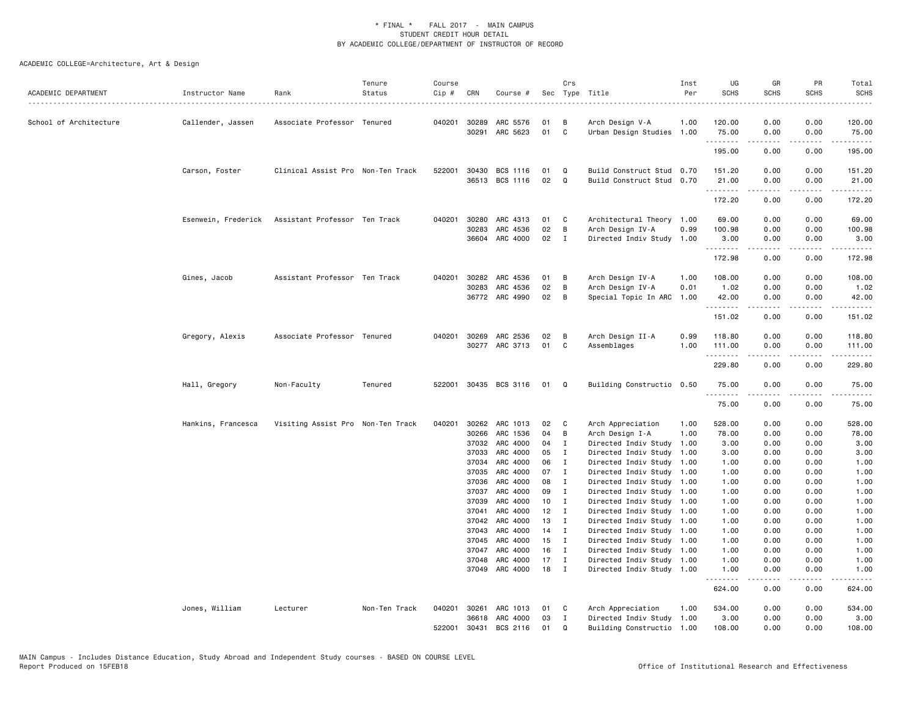| ACADEMIC DEPARTMENT    | Instructor Name<br>. | Rank                              | Tenure<br>Status | Course<br>Cip # | CRN          | Course #              |        | Crs            | Sec Type Title            | Inst<br>Per | UG<br><b>SCHS</b>      | GR<br><b>SCHS</b> | PR<br><b>SCHS</b> | Total<br><b>SCHS</b> |
|------------------------|----------------------|-----------------------------------|------------------|-----------------|--------------|-----------------------|--------|----------------|---------------------------|-------------|------------------------|-------------------|-------------------|----------------------|
| School of Architecture | Callender, Jassen    | Associate Professor Tenured       |                  |                 | 040201 30289 | ARC 5576              | 01     | B              | Arch Design V-A           | 1.00        | 120.00                 | 0.00              | 0.00              | 120.00               |
|                        |                      |                                   |                  |                 |              | 30291 ARC 5623        | 01     | C              | Urban Design Studies 1.00 |             | 75.00                  | 0.00              | 0.00              | 75.00                |
|                        |                      |                                   |                  |                 |              |                       |        |                |                           |             | .<br>195.00            | .<br>0.00         | .<br>0.00         | 195.00               |
|                        | Carson, Foster       | Clinical Assist Pro Non-Ten Track |                  | 522001          | 30430        | BCS 1116              | 01     | Q              | Build Construct Stud 0.70 |             | 151.20                 | 0.00              | 0.00              | 151.20               |
|                        |                      |                                   |                  |                 |              | 36513 BCS 1116        | 02     | Q              | Build Construct Stud 0.70 |             | 21.00<br>.             | 0.00              | 0.00              | 21.00                |
|                        |                      |                                   |                  |                 |              |                       |        |                |                           |             | 172.20                 | 0.00              | 0.00              | 172.20               |
|                        | Esenwein, Frederick  | Assistant Professor Ten Track     |                  |                 | 040201 30280 | ARC 4313              | 01     | <b>C</b>       | Architectural Theory 1.00 |             | 69.00                  | 0.00              | 0.00              | 69.00                |
|                        |                      |                                   |                  |                 | 30283        | ARC 4536              | 02     | B              | Arch Design IV-A          | 0.99        | 100.98                 | 0.00              | 0.00              | 100.98               |
|                        |                      |                                   |                  |                 | 36604        | ARC 4000              | 02     | $\mathbf{I}$   | Directed Indiv Study 1.00 |             | 3.00<br>.              | 0.00              | 0.00              | 3.00                 |
|                        |                      |                                   |                  |                 |              |                       |        |                |                           |             | 172.98                 | 0.00              | 0.00              | 172.98               |
|                        | Gines, Jacob         | Assistant Professor Ten Track     |                  |                 | 040201 30282 | ARC 4536              | 01     | B              | Arch Design IV-A          | 1.00        | 108.00                 | 0.00              | 0.00              | 108.00               |
|                        |                      |                                   |                  |                 | 30283        | ARC 4536              | 02     | B              | Arch Design IV-A          | 0.01        | 1.02                   | 0.00              | 0.00              | 1.02                 |
|                        |                      |                                   |                  |                 |              | 36772 ARC 4990        | 02     | B              | Special Topic In ARC      | 1.00        | 42.00<br>.             | 0.00<br>.         | 0.00<br>.         | 42.00<br>. <b>.</b>  |
|                        |                      |                                   |                  |                 |              |                       |        |                |                           |             | 151.02                 | 0.00              | 0.00              | 151.02               |
|                        | Gregory, Alexis      | Associate Professor Tenured       |                  |                 | 040201 30269 | ARC 2536              | 02     | $\overline{B}$ | Arch Design II-A          | 0.99        | 118.80                 | 0.00              | 0.00              | 118.80               |
|                        |                      |                                   |                  |                 |              | 30277 ARC 3713        | 01     | C              | Assemblages               | 1.00        | 111.00<br>. <u>.</u> . | 0.00              | 0.00              | 111.00<br>.          |
|                        |                      |                                   |                  |                 |              |                       |        |                |                           |             | 229.80                 | 0.00              | 0.00              | 229.80               |
|                        | Hall, Gregory        | Non-Faculty                       | Tenured          |                 |              | 522001 30435 BCS 3116 | 01 Q   |                | Building Constructio 0.50 |             | 75.00<br>.             | 0.00              | 0.00<br>.         | 75.00                |
|                        |                      |                                   |                  |                 |              |                       |        |                |                           |             | 75.00                  | 0.00              | 0.00              | 75.00                |
|                        | Hankins, Francesca   | Visiting Assist Pro Non-Ten Track |                  | 040201          | 30262        | ARC 1013              | 02     | $\mathbf{C}$   | Arch Appreciation         | 1.00        | 528.00                 | 0.00              | 0.00              | 528.00               |
|                        |                      |                                   |                  |                 | 30266        | ARC 1536              | 04     | B              | Arch Design I-A           | 1.00        | 78.00                  | 0.00              | 0.00              | 78.00                |
|                        |                      |                                   |                  |                 | 37032        | ARC 4000              | 04 I   |                | Directed Indiv Study 1.00 |             | 3.00                   | 0.00              | 0.00              | 3.00                 |
|                        |                      |                                   |                  |                 | 37033        | ARC 4000              | 05     | $\mathbf{I}$   | Directed Indiv Study 1.00 |             | 3.00                   | 0.00              | 0.00              | 3.00                 |
|                        |                      |                                   |                  |                 | 37034        | ARC 4000              | 06     | $\mathbf{I}$   | Directed Indiv Study 1.00 |             | 1.00                   | 0.00              | 0.00              | 1.00                 |
|                        |                      |                                   |                  |                 | 37035        | ARC 4000              | 07     | $\mathbf{I}$   | Directed Indiv Study 1.00 |             | 1.00                   | 0.00              | 0.00              | 1.00                 |
|                        |                      |                                   |                  |                 | 37036        | ARC 4000              | 08     | $\mathbf{I}$   | Directed Indiv Study 1.00 |             | 1.00                   | 0.00              | 0.00              | 1.00                 |
|                        |                      |                                   |                  |                 | 37037        | ARC 4000              | 09     | $\mathbf{I}$   | Directed Indiv Study 1.00 |             | 1.00                   | 0.00              | 0.00              | 1.00                 |
|                        |                      |                                   |                  |                 | 37039        | ARC 4000              | 10     | $\blacksquare$ | Directed Indiv Study 1.00 |             | 1.00                   | 0.00              | 0.00              | 1.00                 |
|                        |                      |                                   |                  |                 | 37041        | ARC 4000              | $12$ I |                | Directed Indiv Study 1.00 |             | 1.00                   | 0.00              | 0.00              | 1.00                 |
|                        |                      |                                   |                  |                 | 37042        | ARC 4000              | 13     | $\mathbf{I}$   | Directed Indiv Study 1.00 |             | 1.00                   | 0.00              | 0.00              | 1.00                 |
|                        |                      |                                   |                  |                 | 37043        | ARC 4000              | $14$ I |                | Directed Indiv Study 1.00 |             | 1.00                   | 0.00              | 0.00              | 1.00                 |
|                        |                      |                                   |                  |                 | 37045        | ARC 4000              | 15     | $\mathbf{I}$   | Directed Indiv Study 1.00 |             | 1.00                   | 0.00              | 0.00              | 1.00                 |
|                        |                      |                                   |                  |                 | 37047        | ARC 4000              | 16     | $\mathbf{I}$   | Directed Indiv Study 1.00 |             | 1.00                   | 0.00              | 0.00              | 1.00                 |
|                        |                      |                                   |                  |                 | 37048        | ARC 4000              | 17     | $\mathbf{I}$   | Directed Indiv Study 1.00 |             | 1.00                   | 0.00              | 0.00              | 1.00                 |
|                        |                      |                                   |                  |                 |              | 37049 ARC 4000        | 18     | $\blacksquare$ | Directed Indiv Study 1.00 |             | 1.00<br>.              | 0.00              | 0.00<br>.         | 1.00                 |
|                        |                      |                                   |                  |                 |              |                       |        |                |                           |             | 624.00                 | 0.00              | 0.00              | 624.00               |
|                        | Jones, William       | Lecturer                          | Non-Ten Track    | 040201          | 30261        | ARC 1013              | 01     | $\mathbf{C}$   | Arch Appreciation         | 1.00        | 534.00                 | 0.00              | 0.00              | 534.00               |
|                        |                      |                                   |                  |                 | 36618        | ARC 4000              | 03     | $\mathbf{I}$   | Directed Indiv Study 1.00 |             | 3.00                   | 0.00              | 0.00              | 3.00                 |
|                        |                      |                                   |                  | 522001          | 30431        | BCS 2116              | 01     | Q              | Building Constructio 1.00 |             | 108.00                 | 0.00              | 0.00              | 108.00               |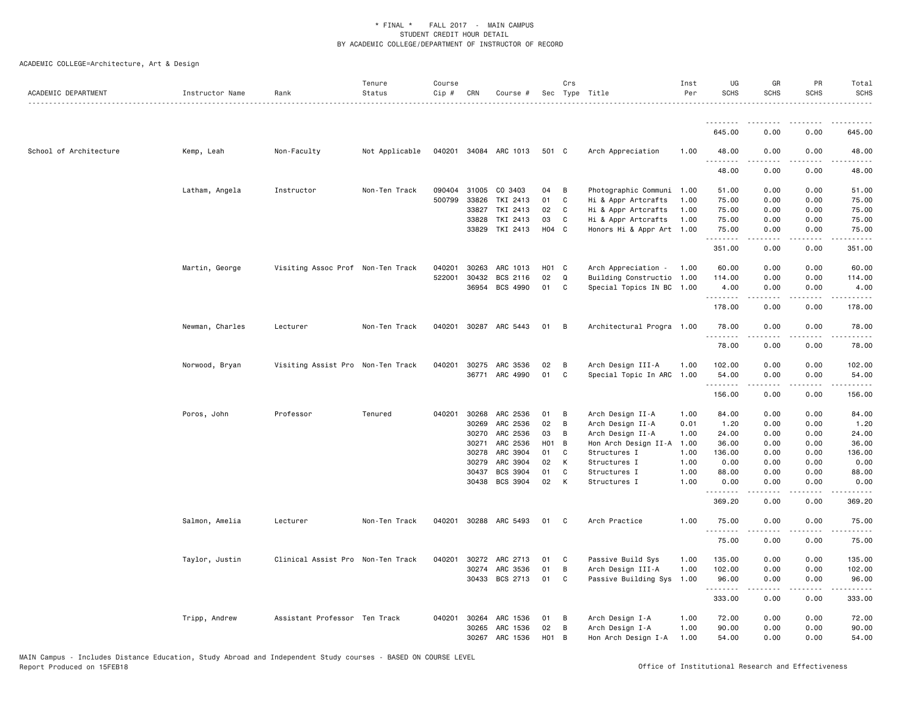| ACADEMIC DEPARTMENT    | Instructor Name | Rank                              | Tenure<br>Status | Course<br>Cip # | CRN          | Course #              |                   | Crs            | Sec Type Title            | Inst<br>Per | UG<br><b>SCHS</b> | GR<br><b>SCHS</b> | PR<br><b>SCHS</b>                   | Total<br><b>SCHS</b> |
|------------------------|-----------------|-----------------------------------|------------------|-----------------|--------------|-----------------------|-------------------|----------------|---------------------------|-------------|-------------------|-------------------|-------------------------------------|----------------------|
|                        |                 |                                   |                  |                 |              |                       |                   |                |                           |             |                   |                   |                                     |                      |
|                        |                 |                                   |                  |                 |              |                       |                   |                |                           |             | 645.00            | 0.00              | 0.00                                | 645.00               |
| School of Architecture | Kemp, Leah      | Non-Faculty                       | Not Applicable   |                 |              | 040201 34084 ARC 1013 | 501 C             |                | Arch Appreciation         | 1.00        | 48.00<br>.        | 0.00<br>.         | 0.00                                | 48.00<br>-----       |
|                        |                 |                                   |                  |                 |              |                       |                   |                |                           |             | 48.00             | 0.00              | 0.00                                | 48.00                |
|                        | Latham, Angela  | Instructor                        | Non-Ten Track    | 090404          | 31005        | CO 3403               | 04                | B              | Photographic Communi 1.00 |             | 51.00             | 0.00              | 0.00                                | 51.00                |
|                        |                 |                                   |                  | 500799          | 33826        | TKI 2413              | 01                | C              | Hi & Appr Artcrafts       | 1.00        | 75.00             | 0.00              | 0.00                                | 75.00                |
|                        |                 |                                   |                  |                 | 33827        | TKI 2413              | 02                | C              | Hi & Appr Artcrafts       | 1.00        | 75.00             | 0.00              | 0.00                                | 75.00                |
|                        |                 |                                   |                  |                 | 33828        | TKI 2413              | 03                | C              | Hi & Appr Artcrafts       | 1.00        | 75.00             | 0.00              | 0.00                                | 75.00                |
|                        |                 |                                   |                  |                 |              | 33829 TKI 2413        | H04 C             |                | Honors Hi & Appr Art 1.00 |             | 75.00<br>.        | 0.00              | 0.00                                | 75.00                |
|                        |                 |                                   |                  |                 |              |                       |                   |                |                           |             | 351.00            | 0.00              | 0.00                                | 351.00               |
|                        | Martin, George  | Visiting Assoc Prof Non-Ten Track |                  | 040201          | 30263        | ARC 1013              | H01 C             |                | Arch Appreciation - 1.00  |             | 60.00             | 0.00              | 0.00                                | 60.00                |
|                        |                 |                                   |                  | 522001          | 30432        | BCS 2116              | 02                | Q              | Building Constructio 1.00 |             | 114.00            | 0.00              | 0.00                                | 114.00               |
|                        |                 |                                   |                  |                 | 36954        | BCS 4990              | 01                | C              | Special Topics IN BC 1.00 |             | 4.00              | 0.00              | 0.00                                | 4.00                 |
|                        |                 |                                   |                  |                 |              |                       |                   |                |                           |             | 178.00            | 0.00              | 0.00                                | 178.00               |
|                        | Newman, Charles | Lecturer                          | Non-Ten Track    |                 |              | 040201 30287 ARC 5443 | 01                | $\overline{B}$ | Architectural Progra 1.00 |             | 78.00             | 0.00              | 0.00                                | 78.00                |
|                        |                 |                                   |                  |                 |              |                       |                   |                |                           |             | 78.00             | 0.00              | 0.00                                | 78.00                |
|                        | Norwood, Bryan  | Visiting Assist Pro Non-Ten Track |                  | 040201          | 30275        | ARC 3536              | 02                | B              | Arch Design III-A         | 1.00        | 102.00            | 0.00              | 0.00                                | 102.00               |
|                        |                 |                                   |                  |                 |              | 36771 ARC 4990        | 01                | C              | Special Topic In ARC 1.00 |             | 54.00             | 0.00              | 0.00                                | 54.00                |
|                        |                 |                                   |                  |                 |              |                       |                   |                |                           |             | .<br>156.00       | -----<br>0.00     | .<br>0.00                           | .<br>156.00          |
|                        | Poros, John     | Professor                         | Tenured          | 040201          | 30268        | ARC 2536              | 01                | B              | Arch Design II-A          | 1.00        | 84.00             | 0.00              | 0.00                                | 84.00                |
|                        |                 |                                   |                  |                 | 30269        | ARC 2536              | 02                | B              | Arch Design II-A          | 0.01        | 1.20              | 0.00              | 0.00                                | 1.20                 |
|                        |                 |                                   |                  |                 | 30270        | ARC 2536              | 03                | B              | Arch Design II-A          | 1.00        | 24.00             | 0.00              | 0.00                                | 24.00                |
|                        |                 |                                   |                  |                 | 30271        | ARC 2536              | $H01$ B           |                | Hon Arch Design II-A 1.00 |             | 36.00             | 0.00              | 0.00                                | 36.00                |
|                        |                 |                                   |                  |                 | 30278        | ARC 3904              | 01                | C              | Structures I              | 1.00        | 136.00            | 0.00              | 0.00                                | 136.00               |
|                        |                 |                                   |                  |                 | 30279        | ARC 3904              | 02                | К              | Structures I              | 1.00        | 0.00              | 0.00              | 0.00                                | 0.00                 |
|                        |                 |                                   |                  |                 | 30437        | BCS 3904              | 01                | C              | Structures I              | 1.00        | 88.00             | 0.00              | 0.00                                | 88.00                |
|                        |                 |                                   |                  |                 |              | 30438 BCS 3904        | 02                | К              | Structures I              | 1.00        | 0.00<br>.         | 0.00              | 0.00<br>$\sim$ $\sim$ $\sim$ $\sim$ | 0.00<br>.            |
|                        |                 |                                   |                  |                 |              |                       |                   |                |                           |             | 369.20            | 0.00              | 0.00                                | 369.20               |
|                        | Salmon, Amelia  | Lecturer                          | Non-Ten Track    | 040201          |              | 30288 ARC 5493        | 01                | $\mathbf{C}$   | Arch Practice             | 1.00        | 75.00<br>.        | 0.00<br>.         | 0.00<br>المستبدا                    | 75.00<br>.           |
|                        |                 |                                   |                  |                 |              |                       |                   |                |                           |             | 75.00             | 0.00              | 0.00                                | 75.00                |
|                        | Taylor, Justin  | Clinical Assist Pro Non-Ten Track |                  | 040201          | 30272        | ARC 2713              | 01                | $\mathbf C$    | Passive Build Sys         | 1.00        | 135.00            | 0.00              | 0.00                                | 135.00               |
|                        |                 |                                   |                  |                 | 30274        | ARC 3536              | 01                | B              | Arch Design III-A         | 1.00        | 102.00            | 0.00              | 0.00                                | 102.00               |
|                        |                 |                                   |                  |                 |              | 30433 BCS 2713        | 01                | C              | Passive Building Sys 1.00 |             | 96.00<br>.        | 0.00              | 0.00                                | 96.00                |
|                        |                 |                                   |                  |                 |              |                       |                   |                |                           |             | 333.00            | 0.00              | 0.00                                | 333.00               |
|                        | Tripp, Andrew   | Assistant Professor Ten Track     |                  |                 | 040201 30264 | ARC 1536              | 01                | B              | Arch Design I-A           | 1.00        | 72.00             | 0.00              | 0.00                                | 72.00                |
|                        |                 |                                   |                  |                 | 30265        | ARC 1536              | 02                | B              | Arch Design I-A           | 1.00        | 90.00             | 0.00              | 0.00                                | 90.00                |
|                        |                 |                                   |                  |                 | 30267        | ARC 1536              | H <sub>01</sub> B |                | Hon Arch Design I-A       | 1.00        | 54.00             | 0.00              | 0.00                                | 54.00                |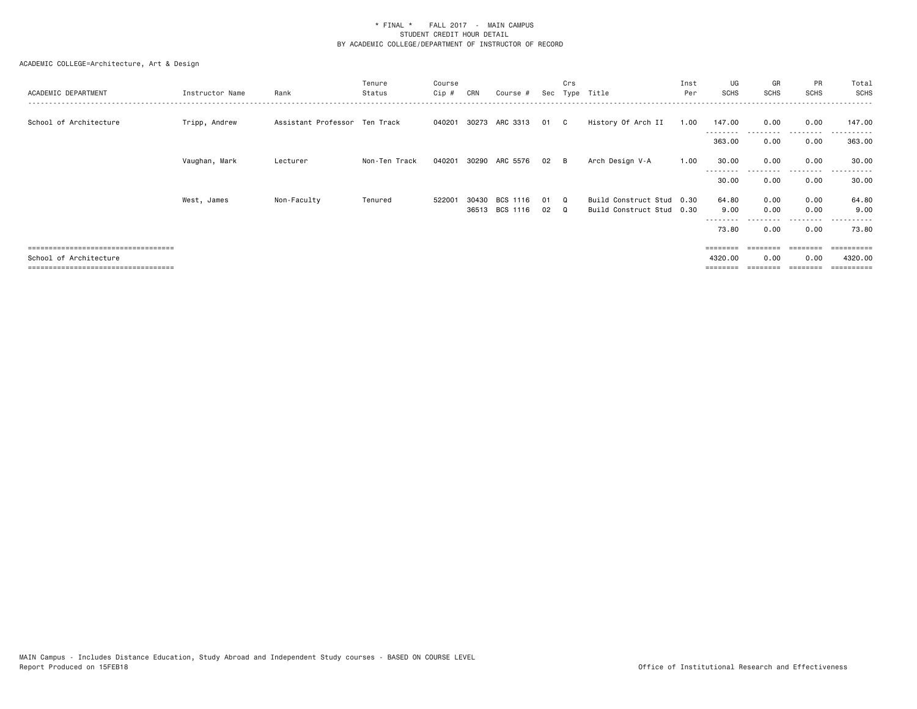| ACADEMIC DEPARTMENT                  | Instructor Name | Rank                          | Tenure<br>Status | Course<br>Cip # | CRN   | Course #       |    | Crs          | Sec Type Title            | Inst<br>Per | UG<br><b>SCHS</b>         | GR<br><b>SCHS</b> | PR<br><b>SCHS</b> | Total<br>SCHS |
|--------------------------------------|-----------------|-------------------------------|------------------|-----------------|-------|----------------|----|--------------|---------------------------|-------------|---------------------------|-------------------|-------------------|---------------|
| School of Architecture               | Tripp, Andrew   | Assistant Professor Ten Track |                  | 040201          | 30273 | ARC 3313       | 01 | $\mathbf{C}$ | History Of Arch II        | 1.00        | 147.00<br>- - - - - - - - | 0.00              | 0.00<br>.         | 147.00        |
|                                      |                 |                               |                  |                 |       |                |    |              |                           |             | 363.00                    | 0.00              | 0.00              | 363.00        |
|                                      | Vaughan, Mark   | Lecturer                      | Non-Ten Track    | 040201          | 30290 | ARC 5576       | 02 | — В          | Arch Design V-A           | 1.00        | 30.00<br>--------         | 0.00<br>.         | 0.00<br>.         | 30.00<br>.    |
|                                      |                 |                               |                  |                 |       |                |    |              |                           |             | 30.00                     | 0.00              | 0.00              | 30.00         |
|                                      | West, James     | Non-Faculty                   | Tenured          | 522001          | 30430 | BCS 1116       | 01 | $\Omega$     | Build Construct Stud 0.30 |             | 64.80                     | 0.00              | 0.00              | 64.80         |
|                                      |                 |                               |                  |                 |       | 36513 BCS 1116 | 02 | $\Omega$     | Build Construct Stud 0.30 |             | 9.00<br>--------          | 0.00              | 0.00<br>--------  | 9.00          |
|                                      |                 |                               |                  |                 |       |                |    |              |                           |             | 73.80                     | 0.00              | 0.00              | 73.80         |
| ==================================== |                 |                               |                  |                 |       |                |    |              |                           |             |                           | ========          | ========          | ==========    |
| School of Architecture               |                 |                               |                  |                 |       |                |    |              |                           |             | 4320.00                   | 0.00              | 0.00              | 4320.00       |
| ------------------------------------ |                 |                               |                  |                 |       |                |    |              |                           |             |                           |                   |                   | ==========    |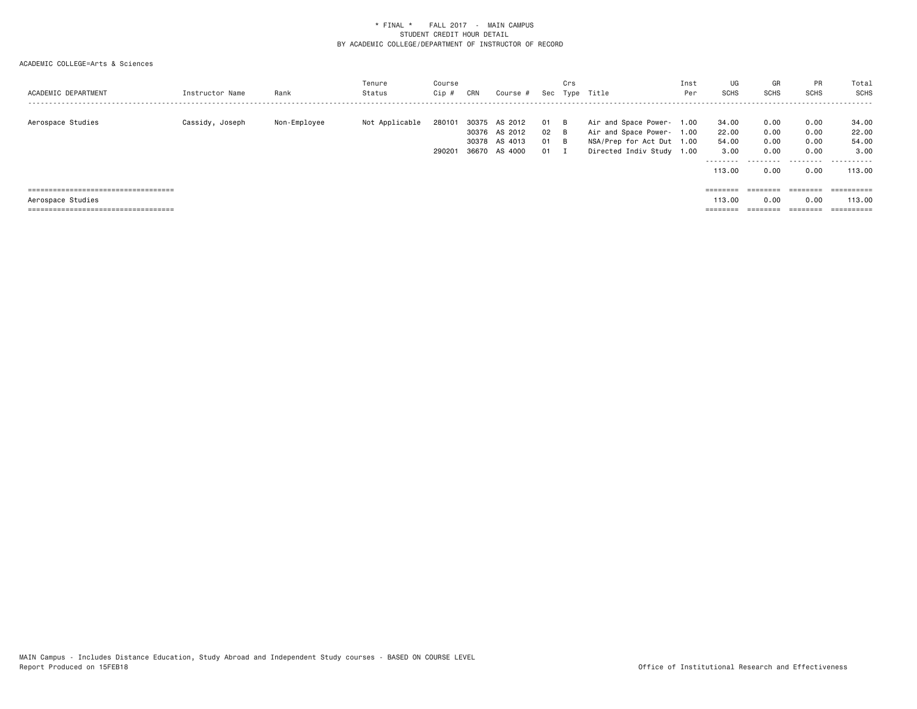| ACADEMIC DEPARTMENT                                                                                 | Instructor Name | Rank         | Tenure<br>Status | Course<br>Cip #  | CRN            | Course #                                             |                          | Crs | Sec Type Title                                                                                                   | Inst<br>Per | UG<br><b>SCHS</b>                              | GR<br><b>SCHS</b>                         | PR<br><b>SCHS</b>                         | Total<br>SCHS<br>- - - - - - -                                  |
|-----------------------------------------------------------------------------------------------------|-----------------|--------------|------------------|------------------|----------------|------------------------------------------------------|--------------------------|-----|------------------------------------------------------------------------------------------------------------------|-------------|------------------------------------------------|-------------------------------------------|-------------------------------------------|-----------------------------------------------------------------|
| Aerospace Studies                                                                                   | Cassidy, Joseph | Non-Employee | Not Applicable   | 280101<br>290201 | 30375<br>36670 | AS 2012<br>30376 AS 2012<br>30378 AS 4013<br>AS 4000 | 01 B<br>02 B<br>01<br>01 | - B | Air and Space Power- 1.00<br>Air and Space Power- 1.00<br>NSA/Prep for Act Dut 1.00<br>Directed Indiv Study 1.00 |             | 34.00<br>22.00<br>54.00<br>3.00<br>.<br>113.00 | 0.00<br>0.00<br>0.00<br>0.00<br>.<br>0.00 | 0.00<br>0.00<br>0.00<br>0.00<br>.<br>0.00 | 34.00<br>22.00<br>54.00<br>3.00<br>. <u>.</u> .<br>--<br>113,00 |
| =====================================<br>Aerospace Studies<br>===================================== |                 |              |                  |                  |                |                                                      |                          |     |                                                                                                                  |             | 113.00                                         | ========<br>0.00<br>________              | 0.00<br>========                          | ==========<br>113,00                                            |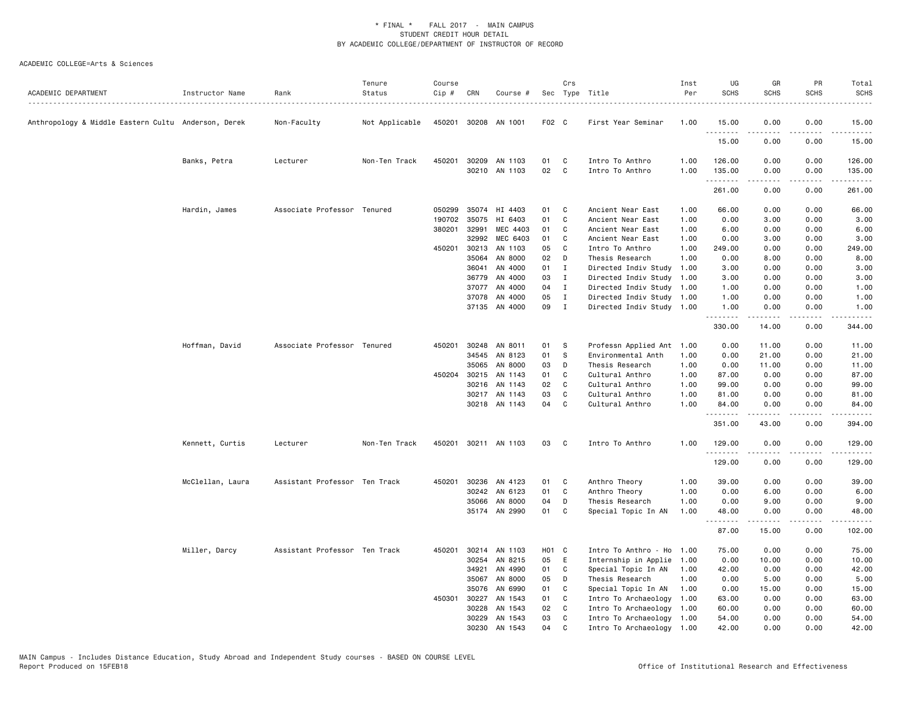| ACADEMIC DEPARTMENT                                 | Instructor Name  | Rank                          | Tenure<br>Status | Course<br>Cip # | CRN   | Course #                       |          | Crs            | Sec Type Title                     | Inst<br>Per  | UG<br><b>SCHS</b> | GR<br><b>SCHS</b>                                                                                                                                             | PR<br><b>SCHS</b>            | Total<br><b>SCHS</b>                                                                                                                |
|-----------------------------------------------------|------------------|-------------------------------|------------------|-----------------|-------|--------------------------------|----------|----------------|------------------------------------|--------------|-------------------|---------------------------------------------------------------------------------------------------------------------------------------------------------------|------------------------------|-------------------------------------------------------------------------------------------------------------------------------------|
| Anthropology & Middle Eastern Cultu Anderson, Derek |                  | Non-Faculty                   | Not Applicable   | 450201          |       | 30208 AN 1001                  | F02 C    |                | First Year Seminar                 | 1.00         | 15.00             | 0.00                                                                                                                                                          | 0.00                         | 15.00                                                                                                                               |
|                                                     |                  |                               |                  |                 |       |                                |          |                |                                    |              | .<br>15.00        | 0.00                                                                                                                                                          | $\sim$ $\sim$ $\sim$<br>0.00 | 15.00                                                                                                                               |
|                                                     | Banks, Petra     | Lecturer                      | Non-Ten Track    | 450201          |       | 30209 AN 1103<br>30210 AN 1103 | 01<br>02 | C<br>C         | Intro To Anthro<br>Intro To Anthro | 1.00<br>1.00 | 126.00<br>135.00  | 0.00<br>0.00                                                                                                                                                  | 0.00<br>0.00                 | 126.00<br>135.00                                                                                                                    |
|                                                     |                  |                               |                  |                 |       |                                |          |                |                                    |              | .<br>261.00       | 0.00                                                                                                                                                          | .<br>0.00                    | .<br>261.00                                                                                                                         |
|                                                     | Hardin, James    | Associate Professor Tenured   |                  | 050299          | 35074 | HI 4403                        | 01       | C              | Ancient Near East                  | 1.00         | 66.00             | 0.00                                                                                                                                                          | 0.00                         | 66.00                                                                                                                               |
|                                                     |                  |                               |                  | 190702          | 35075 | HI 6403                        | 01       | C              | Ancient Near East                  | 1.00         | 0.00              | 3.00                                                                                                                                                          | 0.00                         | 3.00                                                                                                                                |
|                                                     |                  |                               |                  | 380201          | 32991 | MEC 4403                       | 01       | C              | Ancient Near East                  | 1.00         | 6.00              | 0.00                                                                                                                                                          | 0.00                         | 6.00                                                                                                                                |
|                                                     |                  |                               |                  |                 | 32992 | MEC 6403                       | 01       | C              | Ancient Near East                  | 1.00         | 0.00              | 3.00                                                                                                                                                          | 0.00                         | 3.00                                                                                                                                |
|                                                     |                  |                               |                  | 450201          | 30213 | AN 1103                        | 05       | C              | Intro To Anthro                    | 1.00         | 249.00            | 0.00                                                                                                                                                          | 0.00                         | 249.00                                                                                                                              |
|                                                     |                  |                               |                  |                 | 35064 | AN 8000                        | 02       | D              | Thesis Research                    | 1.00         | 0.00              | 8.00                                                                                                                                                          | 0.00                         | 8.00                                                                                                                                |
|                                                     |                  |                               |                  |                 | 36041 | AN 4000                        | 01       | $\mathbf{I}$   | Directed Indiv Study               | 1.00         | 3.00              | 0.00                                                                                                                                                          | 0.00                         | 3.00                                                                                                                                |
|                                                     |                  |                               |                  |                 | 36779 | AN 4000                        | 03       | $\mathbf{I}$   | Directed Indiv Study               | 1.00         | 3.00              | 0.00                                                                                                                                                          | 0.00                         | 3.00                                                                                                                                |
|                                                     |                  |                               |                  |                 | 37077 | AN 4000                        | 04       | $\mathbf{I}$   | Directed Indiv Study               | 1.00         | 1.00              | 0.00                                                                                                                                                          | 0.00                         | 1.00                                                                                                                                |
|                                                     |                  |                               |                  |                 | 37078 | AN 4000                        | 05       | $\mathbf{I}$   | Directed Indiv Study               | 1.00         | 1.00              | 0.00                                                                                                                                                          | 0.00                         | 1.00                                                                                                                                |
|                                                     |                  |                               |                  |                 |       | 37135 AN 4000                  | 09       | $\blacksquare$ | Directed Indiv Study 1.00          |              | 1.00              | 0.00                                                                                                                                                          | 0.00                         | 1.00                                                                                                                                |
|                                                     |                  |                               |                  |                 |       |                                |          |                |                                    |              | .<br>330.00       | $\frac{1}{2} \left( \frac{1}{2} \right) \left( \frac{1}{2} \right) \left( \frac{1}{2} \right) \left( \frac{1}{2} \right) \left( \frac{1}{2} \right)$<br>14.00 | .<br>0.00                    | $\begin{array}{cccccccccccccc} \bullet & \bullet & \bullet & \bullet & \bullet & \bullet & \bullet & \bullet \end{array}$<br>344.00 |
|                                                     |                  |                               |                  |                 |       |                                |          |                |                                    |              |                   |                                                                                                                                                               |                              |                                                                                                                                     |
|                                                     | Hoffman, David   | Associate Professor Tenured   |                  | 450201          |       | 30248 AN 8011                  | 01       | <b>S</b>       | Professn Applied Ant               | 1.00         | 0.00              | 11.00                                                                                                                                                         | 0.00                         | 11.00                                                                                                                               |
|                                                     |                  |                               |                  |                 |       | 34545 AN 8123                  | 01       | - S            | Environmental Anth                 | 1.00         | 0.00              | 21.00                                                                                                                                                         | 0.00                         | 21.00                                                                                                                               |
|                                                     |                  |                               |                  |                 | 35065 | AN 8000                        | 03       | D              | Thesis Research                    | 1.00         | 0.00              | 11.00                                                                                                                                                         | 0.00                         | 11.00                                                                                                                               |
|                                                     |                  |                               |                  | 450204          | 30215 | AN 1143                        | 01       | C              | Cultural Anthro                    | 1.00         | 87.00             | 0.00                                                                                                                                                          | 0.00                         | 87.00                                                                                                                               |
|                                                     |                  |                               |                  |                 | 30216 | AN 1143                        | 02       | $\mathbf{C}$   | Cultural Anthro                    | 1.00         | 99.00             | 0.00                                                                                                                                                          | 0.00                         | 99.00                                                                                                                               |
|                                                     |                  |                               |                  |                 |       | 30217 AN 1143                  | 03       | C              | Cultural Anthro                    | 1.00         | 81.00             | 0.00                                                                                                                                                          | 0.00                         | 81.00                                                                                                                               |
|                                                     |                  |                               |                  |                 |       | 30218 AN 1143                  | 04       | $\mathbf c$    | Cultural Anthro                    | 1.00         | 84.00<br>.        | 0.00                                                                                                                                                          | 0.00<br>.                    | 84.00<br>$\cdots$                                                                                                                   |
|                                                     |                  |                               |                  |                 |       |                                |          |                |                                    |              | 351.00            | 43.00                                                                                                                                                         | 0.00                         | 394.00                                                                                                                              |
|                                                     | Kennett, Curtis  | Lecturer                      | Non-Ten Track    | 450201          |       | 30211 AN 1103                  | 03       | C              | Intro To Anthro                    | 1.00         | 129.00<br>.       | 0.00                                                                                                                                                          | 0.00<br>$- - - -$            | 129.00<br>.                                                                                                                         |
|                                                     |                  |                               |                  |                 |       |                                |          |                |                                    |              | 129.00            | 0.00                                                                                                                                                          | 0.00                         | 129.00                                                                                                                              |
|                                                     | McClellan, Laura | Assistant Professor Ten Track |                  | 450201          | 30236 | AN 4123                        | 01       | C              | Anthro Theory                      | 1.00         | 39.00             | 0.00                                                                                                                                                          | 0.00                         | 39.00                                                                                                                               |
|                                                     |                  |                               |                  |                 |       | 30242 AN 6123                  | 01       | C              | Anthro Theory                      | 1.00         | 0.00              | 6.00                                                                                                                                                          | 0.00                         | 6.00                                                                                                                                |
|                                                     |                  |                               |                  |                 |       | 35066 AN 8000                  | 04       | D              | Thesis Research                    | 1.00         | 0.00              | 9.00                                                                                                                                                          | 0.00                         | 9.00                                                                                                                                |
|                                                     |                  |                               |                  |                 |       | 35174 AN 2990                  | 01       | C              | Special Topic In AN                | 1.00         | 48.00<br><b></b>  | 0.00<br>$- - - - -$                                                                                                                                           | 0.00<br>.                    | 48.00<br>.                                                                                                                          |
|                                                     |                  |                               |                  |                 |       |                                |          |                |                                    |              | 87.00             | 15.00                                                                                                                                                         | 0.00                         | 102.00                                                                                                                              |
|                                                     | Miller, Darcy    | Assistant Professor Ten Track |                  | 450201          | 30214 | AN 1103                        | H01 C    |                | Intro To Anthro - Ho               | 1.00         | 75.00             | 0.00                                                                                                                                                          | 0.00                         | 75.00                                                                                                                               |
|                                                     |                  |                               |                  |                 | 30254 | AN 8215                        | 05       | E              | Internship in Applie               | 1.00         | 0.00              | 10.00                                                                                                                                                         | 0.00                         | 10.00                                                                                                                               |
|                                                     |                  |                               |                  |                 | 34921 | AN 4990                        | 01       | C              | Special Topic In AN                | 1.00         | 42.00             | 0.00                                                                                                                                                          | 0.00                         | 42.00                                                                                                                               |
|                                                     |                  |                               |                  |                 | 35067 | AN 8000                        | 05       | D              | Thesis Research                    | 1.00         | 0.00              | 5.00                                                                                                                                                          | 0.00                         | 5.00                                                                                                                                |
|                                                     |                  |                               |                  |                 | 35076 | AN 6990                        | 01       | C              | Special Topic In AN                | 1.00         | 0.00              | 15.00                                                                                                                                                         | 0.00                         | 15.00                                                                                                                               |
|                                                     |                  |                               |                  | 450301          | 30227 | AN 1543                        | 01       | C              | Intro To Archaeology               | 1.00         | 63.00             | 0.00                                                                                                                                                          | 0.00                         | 63.00                                                                                                                               |
|                                                     |                  |                               |                  |                 | 30228 | AN 1543                        | 02       | C              | Intro To Archaeology               | 1.00         | 60.00             | 0.00                                                                                                                                                          | 0.00                         | 60.00                                                                                                                               |
|                                                     |                  |                               |                  |                 |       | 30229 AN 1543                  | 03       | C              | Intro To Archaeology 1.00          |              | 54.00             | 0.00                                                                                                                                                          | 0.00                         | 54.00                                                                                                                               |
|                                                     |                  |                               |                  |                 |       | 30230 AN 1543                  | 04       | $\mathsf{C}$   | Intro To Archaeology 1.00          |              | 42.00             | 0.00                                                                                                                                                          | 0.00                         | 42.00                                                                                                                               |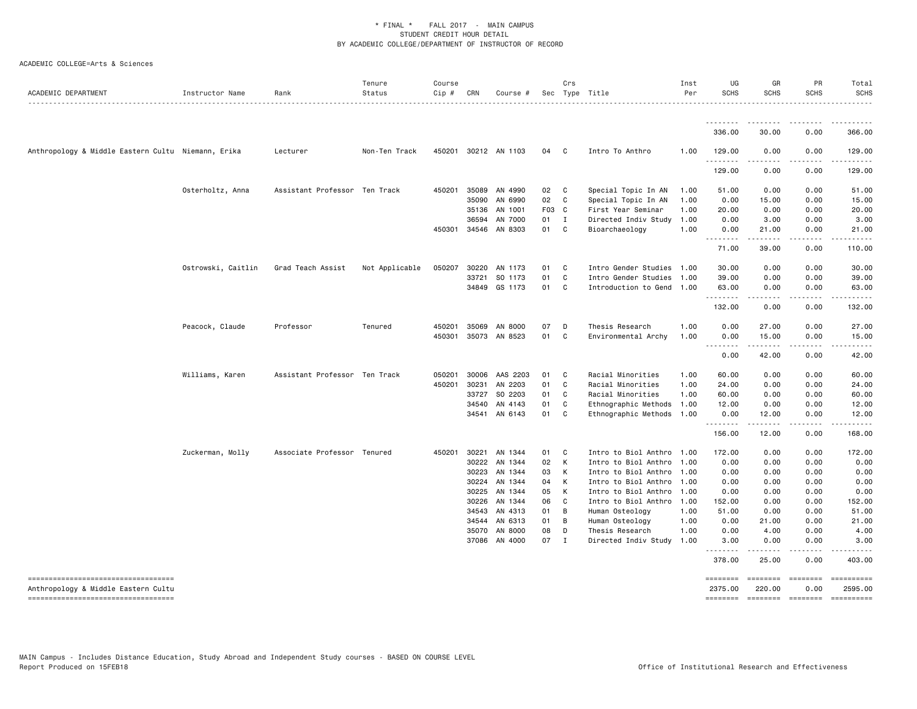| ACADEMIC DEPARTMENT                                                        | Instructor Name    | Rank                          | Tenure<br>Status | Course<br>Cip # | CRN   | Course #                 |          | Crs                 | Sec Type Title                          | Inst<br>Per  | UG<br><b>SCHS</b>   | GR<br>SCHS   | PR<br><b>SCHS</b>          | Total<br><b>SCHS</b> |
|----------------------------------------------------------------------------|--------------------|-------------------------------|------------------|-----------------|-------|--------------------------|----------|---------------------|-----------------------------------------|--------------|---------------------|--------------|----------------------------|----------------------|
|                                                                            |                    |                               |                  |                 |       |                          |          |                     |                                         |              | 336.00              | 30.00        | 0.00                       | -------<br>366.00    |
|                                                                            |                    |                               | Non-Ten Track    |                 |       | 450201 30212 AN 1103     | 04       | $\mathbf{C}$        | Intro To Anthro                         | 1.00         | 129.00              | 0.00         | 0.00                       |                      |
| Anthropology & Middle Eastern Cultu Niemann, Erika                         |                    | Lecturer                      |                  |                 |       |                          |          |                     |                                         |              | <u>.</u>            |              |                            | 129.00               |
|                                                                            |                    |                               |                  |                 |       |                          |          |                     |                                         |              | 129.00              | 0.00         | 0.00                       | 129.00               |
|                                                                            | Osterholtz, Anna   | Assistant Professor Ten Track |                  | 450201          | 35089 | AN 4990                  | 02       | C                   | Special Topic In AN                     | 1.00         | 51.00               | 0.00         | 0.00                       | 51.00                |
|                                                                            |                    |                               |                  |                 | 35090 | AN 6990                  | 02       | C                   | Special Topic In AN                     | 1.00         | 0.00                | 15.00        | 0.00                       | 15.00                |
|                                                                            |                    |                               |                  |                 | 35136 | AN 1001                  | F03 C    |                     | First Year Seminar                      | 1.00         | 20.00               | 0.00         | 0.00                       | 20.00                |
|                                                                            |                    |                               |                  |                 | 36594 | AN 7000                  | 01 I     |                     | Directed Indiv Study                    | 1.00         | 0.00                | 3.00         | 0.00                       | 3.00                 |
|                                                                            |                    |                               |                  | 450301          | 34546 | AN 8303                  | 01       | $\mathbf{C}$        | Bioarchaeology                          | 1.00         | 0.00<br>.           | 21.00        | 0.00                       | 21.00                |
|                                                                            |                    |                               |                  |                 |       |                          |          |                     |                                         |              | 71.00               | 39.00        | 0.00                       | 110.00               |
|                                                                            | Ostrowski, Caitlin | Grad Teach Assist             | Not Applicable   | 050207          | 30220 | AN 1173                  | 01       | C                   | Intro Gender Studies 1.00               |              | 30.00               | 0.00         | 0.00                       | 30.00                |
|                                                                            |                    |                               |                  |                 | 33721 | SO 1173                  | 01       | C                   | Intro Gender Studies 1.00               |              | 39.00               | 0.00         | 0.00                       | 39.00                |
|                                                                            |                    |                               |                  |                 | 34849 | GS 1173                  | 01       | $\mathbf{C}$        | Introduction to Gend 1.00               |              | 63.00<br>.          | 0.00         | 0.00                       | 63.00                |
|                                                                            |                    |                               |                  |                 |       |                          |          |                     |                                         |              | 132.00              | 0.00         | 0.00                       | 132.00               |
|                                                                            | Peacock, Claude    | Professor                     | Tenured          | 450201          | 35069 | AN 8000                  | 07       | D                   | Thesis Research                         | 1.00         | 0.00                | 27.00        | 0.00                       | 27.00                |
|                                                                            |                    |                               |                  | 450301          | 35073 | AN 8523                  | 01       | C                   | Environmental Archy                     | 1.00         | 0.00<br>.           | 15.00        | 0.00<br>.                  | 15.00                |
|                                                                            |                    |                               |                  |                 |       |                          |          |                     |                                         |              | 0.00                | 42.00        | 0.00                       | 42.00                |
|                                                                            | Williams, Karen    | Assistant Professor Ten Track |                  | 050201          | 30006 | AAS 2203                 | 01       | C                   | Racial Minorities                       | 1.00         | 60.00               | 0.00         | 0.00                       | 60.00                |
|                                                                            |                    |                               |                  | 450201          | 30231 | AN 2203                  | 01       | C.                  | Racial Minorities                       | 1.00         | 24.00               | 0.00         | 0.00                       | 24.00                |
|                                                                            |                    |                               |                  |                 | 33727 | SO 2203                  | 01       | C.                  | Racial Minorities                       | 1.00         | 60.00               | 0.00         | 0.00                       | 60.00                |
|                                                                            |                    |                               |                  |                 | 34540 | AN 4143                  | 01       | C                   | Ethnographic Methods                    | 1.00         | 12.00               | 0.00         | 0.00                       | 12.00                |
|                                                                            |                    |                               |                  |                 | 34541 | AN 6143                  | 01       | C.                  | Ethnographic Methods 1.00               |              | 0.00<br>.           | 12.00<br>.   | 0.00<br>.                  | 12.00<br>.           |
|                                                                            |                    |                               |                  |                 |       |                          |          |                     |                                         |              | 156.00              | 12.00        | 0.00                       | 168.00               |
|                                                                            | Zuckerman, Molly   | Associate Professor Tenured   |                  | 450201          | 30221 | AN 1344                  | 01       | C                   | Intro to Biol Anthro 1.00               |              | 172.00              | 0.00         | 0.00                       | 172.00               |
|                                                                            |                    |                               |                  |                 | 30222 | AN 1344                  | 02       | K                   | Intro to Biol Anthro 1.00               |              | 0.00                | 0.00         | 0.00                       | 0.00                 |
|                                                                            |                    |                               |                  |                 | 30223 | AN 1344                  | 03       | K                   | Intro to Biol Anthro 1.00               |              | 0.00                | 0.00         | 0.00                       | 0.00                 |
|                                                                            |                    |                               |                  |                 | 30224 | AN 1344                  | 04       | K                   | Intro to Biol Anthro 1.00               |              | 0.00                | 0.00         | 0.00                       | 0.00                 |
|                                                                            |                    |                               |                  |                 | 30225 | AN 1344                  | 05       | K                   | Intro to Biol Anthro                    | 1.00         | 0.00                | 0.00         | 0.00                       | 0.00                 |
|                                                                            |                    |                               |                  |                 | 30226 | AN 1344                  | 06       | C                   | Intro to Biol Anthro                    | 1.00         | 152.00              | 0.00         | 0.00                       | 152.00               |
|                                                                            |                    |                               |                  |                 | 34543 | AN 4313                  | 01       | B                   | Human Osteology                         | 1.00         | 51.00               | 0.00         | 0.00                       | 51.00                |
|                                                                            |                    |                               |                  |                 | 34544 | AN 6313                  | 01       | B                   | Human Osteology                         | 1.00         | 0.00                | 21.00        | 0.00                       | 21.00                |
|                                                                            |                    |                               |                  |                 | 35070 | AN 8000<br>37086 AN 4000 | 08<br>07 | D<br>$\blacksquare$ | Thesis Research<br>Directed Indiv Study | 1.00<br>1.00 | 0.00<br>3.00        | 4.00<br>0.00 | 0.00<br>0.00               | 4.00<br>3.00         |
|                                                                            |                    |                               |                  |                 |       |                          |          |                     |                                         |              | $\frac{1}{2}$       |              | .                          |                      |
|                                                                            |                    |                               |                  |                 |       |                          |          |                     |                                         |              | 378.00              | 25.00        | 0.00                       | 403.00               |
| -------------------------------------                                      |                    |                               |                  |                 |       |                          |          |                     |                                         |              |                     | ========     | <b>ESSESSEE</b>            | ==========           |
| Anthropology & Middle Eastern Cultu<br>----------------------------------- |                    |                               |                  |                 |       |                          |          |                     |                                         |              | 2375.00<br>======== | 220.00       | 0.00<br>--------- -------- | 2595.00              |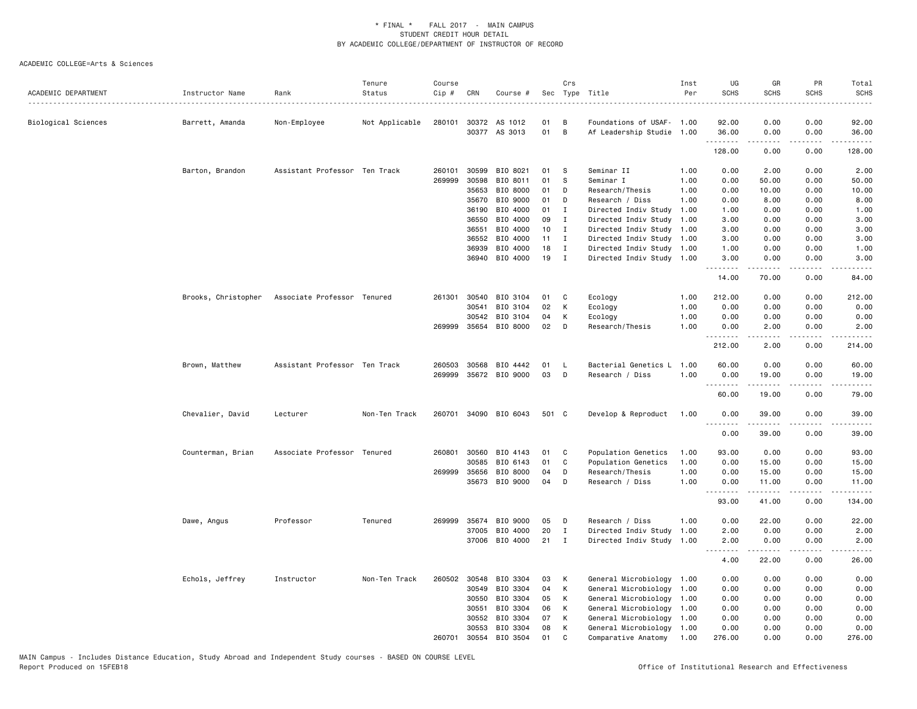| ACADEMIC DEPARTMENT | Instructor Name     | Rank                          | Tenure<br>Status | Course<br>Cip # | CRN          | Course #              |       | Crs          | Sec Type Title            | Inst<br>Per | UG<br><b>SCHS</b> | GR<br><b>SCHS</b>                                                                                                                                                                                                                                                                                                                             | PR<br><b>SCHS</b>            | Total<br><b>SCHS</b> |
|---------------------|---------------------|-------------------------------|------------------|-----------------|--------------|-----------------------|-------|--------------|---------------------------|-------------|-------------------|-----------------------------------------------------------------------------------------------------------------------------------------------------------------------------------------------------------------------------------------------------------------------------------------------------------------------------------------------|------------------------------|----------------------|
| Biological Sciences | Barrett, Amanda     | Non-Employee                  | Not Applicable   |                 | 280101 30372 | AS 1012               | 01    | в            | Foundations of USAF- 1.00 |             | 92.00             | 0.00                                                                                                                                                                                                                                                                                                                                          | 0.00                         | 92.00                |
|                     |                     |                               |                  |                 |              | 30377 AS 3013         | 01    | B            | Af Leadership Studie      | 1.00        | 36.00<br>.        | 0.00                                                                                                                                                                                                                                                                                                                                          | 0.00                         | 36.00                |
|                     |                     |                               |                  |                 |              |                       |       |              |                           |             | 128.00            | 0.00                                                                                                                                                                                                                                                                                                                                          | 0.00                         | 128.00               |
|                     | Barton, Brandon     | Assistant Professor Ten Track |                  | 260101          | 30599        | BIO 8021              | 01    | s            | Seminar II                | 1.00        | 0.00              | 2.00                                                                                                                                                                                                                                                                                                                                          | 0.00                         | 2.00                 |
|                     |                     |                               |                  | 269999          | 30598        | BIO 8011              | 01    | S            | Seminar I                 | 1.00        | 0.00              | 50.00                                                                                                                                                                                                                                                                                                                                         | 0.00                         | 50.00                |
|                     |                     |                               |                  |                 | 35653        | BIO 8000              | 01    | D            | Research/Thesis           | 1.00        | 0.00              | 10.00                                                                                                                                                                                                                                                                                                                                         | 0.00                         | 10.00                |
|                     |                     |                               |                  |                 | 35670        | BIO 9000              | 01    | D            | Research / Diss           | 1.00        | 0.00              | 8.00                                                                                                                                                                                                                                                                                                                                          | 0.00                         | 8.00                 |
|                     |                     |                               |                  |                 | 36190        | BIO 4000              | 01    | $\mathbf{I}$ | Directed Indiv Study      | 1.00        | 1.00              | 0.00                                                                                                                                                                                                                                                                                                                                          | 0.00                         | 1.00                 |
|                     |                     |                               |                  |                 | 36550        | BIO 4000              | 09    | I            | Directed Indiv Study      | 1.00        | 3.00              | 0.00                                                                                                                                                                                                                                                                                                                                          | 0.00                         | 3.00                 |
|                     |                     |                               |                  |                 | 36551        | BIO 4000              | 10    | $\mathbf{I}$ | Directed Indiv Study      | 1.00        | 3.00              | 0.00                                                                                                                                                                                                                                                                                                                                          | 0.00                         | 3.00                 |
|                     |                     |                               |                  |                 | 36552        | BIO 4000              | 11    | $\mathbf{I}$ | Directed Indiv Study      | 1.00        | 3.00              | 0.00                                                                                                                                                                                                                                                                                                                                          | 0.00                         | 3.00                 |
|                     |                     |                               |                  |                 | 36939        | BIO 4000              | 18    | I            | Directed Indiv Study 1.00 |             | 1.00              | 0.00                                                                                                                                                                                                                                                                                                                                          | 0.00                         | 1.00                 |
|                     |                     |                               |                  |                 | 36940        | BIO 4000              | 19    | $\mathbf{I}$ | Directed Indiv Study 1.00 |             | 3.00              | 0.00                                                                                                                                                                                                                                                                                                                                          | 0.00                         | 3.00                 |
|                     |                     |                               |                  |                 |              |                       |       |              |                           |             | 14.00             | 70.00                                                                                                                                                                                                                                                                                                                                         | 0.00                         | 84.00                |
|                     | Brooks, Christopher | Associate Professor Tenured   |                  |                 | 261301 30540 | BIO 3104              | 01    | C            | Ecology                   | 1.00        | 212.00            | 0.00                                                                                                                                                                                                                                                                                                                                          | 0.00                         | 212.00               |
|                     |                     |                               |                  |                 | 30541        | BIO 3104              | 02    | К            | Ecology                   | 1.00        | 0.00              | 0.00                                                                                                                                                                                                                                                                                                                                          | 0.00                         | 0.00                 |
|                     |                     |                               |                  |                 | 30542        | BIO 3104              | 04    | К            | Ecology                   | 1.00        | 0.00              | 0.00                                                                                                                                                                                                                                                                                                                                          | 0.00                         | 0.00                 |
|                     |                     |                               |                  |                 | 269999 35654 | BIO 8000              | 02    | D            | Research/Thesis           | 1.00        | 0.00              | 2.00                                                                                                                                                                                                                                                                                                                                          | 0.00                         | 2.00                 |
|                     |                     |                               |                  |                 |              |                       |       |              |                           |             | .<br>212.00       | $\frac{1}{2} \left( \frac{1}{2} \right) \left( \frac{1}{2} \right) \left( \frac{1}{2} \right) \left( \frac{1}{2} \right) \left( \frac{1}{2} \right)$<br>2.00                                                                                                                                                                                  | .<br>0.00                    | 214.00               |
|                     |                     |                               |                  |                 |              |                       |       |              |                           |             |                   |                                                                                                                                                                                                                                                                                                                                               |                              |                      |
|                     | Brown, Matthew      | Assistant Professor Ten Track |                  | 260503          | 30568        | BIO 4442              | 01    | L.           | Bacterial Genetics L      | 1.00        | 60.00             | 0.00                                                                                                                                                                                                                                                                                                                                          | 0.00                         | 60.00                |
|                     |                     |                               |                  |                 |              | 269999 35672 BIO 9000 | 03    | D            | Research / Diss           | 1.00        | 0.00<br>.         | 19.00<br>.                                                                                                                                                                                                                                                                                                                                    | 0.00<br>.                    | 19.00<br>.           |
|                     |                     |                               |                  |                 |              |                       |       |              |                           |             | 60.00             | 19.00                                                                                                                                                                                                                                                                                                                                         | 0.00                         | 79.00                |
|                     | Chevalier, David    | Lecturer                      | Non-Ten Track    |                 |              | 260701 34090 BIO 6043 | 501 C |              | Develop & Reproduct       | 1.00        | 0.00<br><u>.</u>  | 39.00<br>.                                                                                                                                                                                                                                                                                                                                    | 0.00<br>.                    | 39.00<br>.           |
|                     |                     |                               |                  |                 |              |                       |       |              |                           |             | 0.00              | 39.00                                                                                                                                                                                                                                                                                                                                         | 0.00                         | 39.00                |
|                     | Counterman, Brian   | Associate Professor Tenured   |                  | 260801          | 30560        | BIO 4143              | 01    | C            | Population Genetics       | 1.00        | 93.00             | 0.00                                                                                                                                                                                                                                                                                                                                          | 0.00                         | 93.00                |
|                     |                     |                               |                  |                 | 30585        | BIO 6143              | 01    | C            | Population Genetics       | 1.00        | 0.00              | 15.00                                                                                                                                                                                                                                                                                                                                         | 0.00                         | 15.00                |
|                     |                     |                               |                  | 269999          | 35656        | BIO 8000              | 04    | D            | Research/Thesis           | 1.00        | 0.00              | 15.00                                                                                                                                                                                                                                                                                                                                         | 0.00                         | 15.00                |
|                     |                     |                               |                  |                 | 35673        | BIO 9000              | 04    | D            | Research / Diss           | 1.00        | 0.00              | 11.00                                                                                                                                                                                                                                                                                                                                         | 0.00                         | 11.00                |
|                     |                     |                               |                  |                 |              |                       |       |              |                           |             | .<br>93.00        | $\frac{1}{2} \left( \begin{array}{ccc} 1 & 0 & 0 & 0 \\ 0 & 0 & 0 & 0 \\ 0 & 0 & 0 & 0 \\ 0 & 0 & 0 & 0 \\ 0 & 0 & 0 & 0 \\ 0 & 0 & 0 & 0 \\ 0 & 0 & 0 & 0 \\ 0 & 0 & 0 & 0 \\ 0 & 0 & 0 & 0 \\ 0 & 0 & 0 & 0 \\ 0 & 0 & 0 & 0 & 0 \\ 0 & 0 & 0 & 0 & 0 \\ 0 & 0 & 0 & 0 & 0 \\ 0 & 0 & 0 & 0 & 0 \\ 0 & 0 & 0 & 0 & 0 \\ 0 & 0 & 0$<br>41.00 | .<br>0.00                    | .<br>134.00          |
|                     | Dawe, Angus         | Professor                     | Tenured          | 269999          | 35674        | BIO 9000              | 05    | D            | Research / Diss           | 1.00        | 0.00              | 22.00                                                                                                                                                                                                                                                                                                                                         | 0.00                         | 22.00                |
|                     |                     |                               |                  |                 | 37005        | BIO 4000              | 20    | $\mathbf I$  | Directed Indiv Study      | 1.00        | 2.00              | 0.00                                                                                                                                                                                                                                                                                                                                          | 0.00                         | 2.00                 |
|                     |                     |                               |                  |                 | 37006        | BIO 4000              | 21    | $\mathbf{I}$ | Directed Indiv Study 1.00 |             | 2.00              | 0.00                                                                                                                                                                                                                                                                                                                                          | 0.00                         | 2.00                 |
|                     |                     |                               |                  |                 |              |                       |       |              |                           |             | د د د د<br>4.00   | $\frac{1}{2} \left( \frac{1}{2} \right) \left( \frac{1}{2} \right) \left( \frac{1}{2} \right) \left( \frac{1}{2} \right) \left( \frac{1}{2} \right)$<br>22.00                                                                                                                                                                                 | $\sim$ $\sim$ $\sim$<br>0.00 | 26.00                |
|                     | Echols, Jeffrey     | Instructor                    | Non-Ten Track    |                 | 260502 30548 | BIO 3304              | 03    | К            | General Microbiology 1.00 |             | 0.00              | 0.00                                                                                                                                                                                                                                                                                                                                          | 0.00                         | 0.00                 |
|                     |                     |                               |                  |                 | 30549        | BIO 3304              | 04    | К            | General Microbiology      | 1.00        | 0.00              | 0.00                                                                                                                                                                                                                                                                                                                                          | 0.00                         | 0.00                 |
|                     |                     |                               |                  |                 | 30550        | BIO 3304              | 05    | К            | General Microbiology 1.00 |             | 0.00              | 0.00                                                                                                                                                                                                                                                                                                                                          | 0.00                         | 0.00                 |
|                     |                     |                               |                  |                 | 30551        | BIO 3304              | 06    | К            | General Microbiology      | 1.00        | 0.00              | 0.00                                                                                                                                                                                                                                                                                                                                          | 0.00                         | 0.00                 |
|                     |                     |                               |                  |                 | 30552        | BIO 3304              | 07    | К            | General Microbiology      | 1.00        | 0.00              | 0.00                                                                                                                                                                                                                                                                                                                                          | 0.00                         | 0.00                 |
|                     |                     |                               |                  |                 | 30553        | BIO 3304              | 08    | К            | General Microbiology      | 1.00        | 0.00              | 0.00                                                                                                                                                                                                                                                                                                                                          | 0.00                         | 0.00                 |
|                     |                     |                               |                  | 260701          | 30554        | BIO 3504              | 01    | C            | Comparative Anatomy       | 1.00        | 276.00            | 0.00                                                                                                                                                                                                                                                                                                                                          | 0.00                         | 276.00               |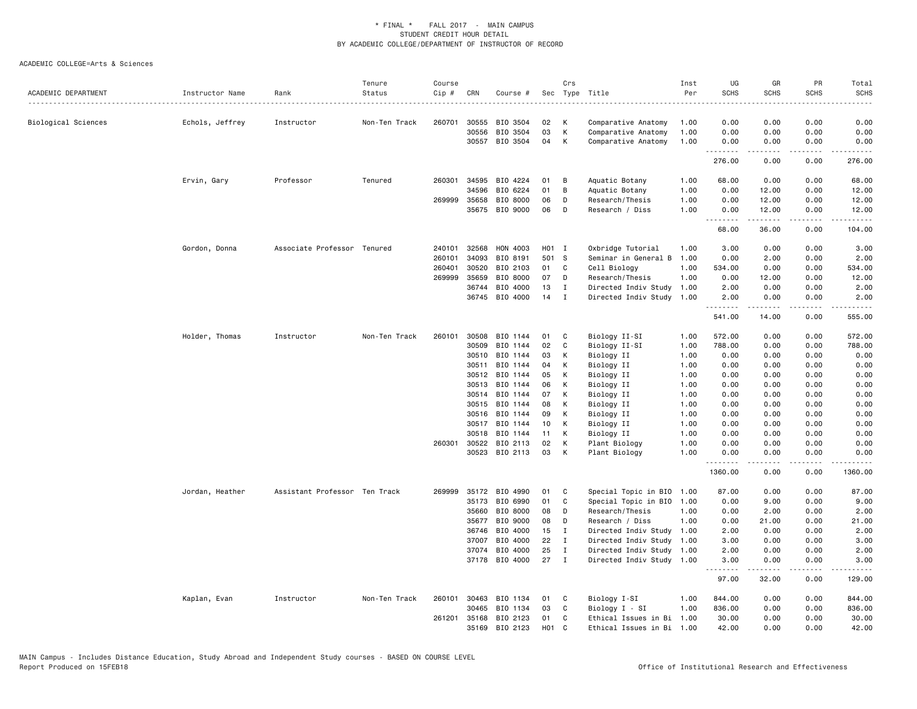| ACADEMIC DEPARTMENT | Instructor Name | Rank                          | Tenure<br>Status<br>. | Course<br>Cip # | CRN          | Course # |            | Crs          | Sec Type Title            | Inst<br>Per | UG<br><b>SCHS</b><br>. | GR<br><b>SCHS</b>   | PR<br><b>SCHS</b> | Total<br><b>SCHS</b><br>$\cdots$ |
|---------------------|-----------------|-------------------------------|-----------------------|-----------------|--------------|----------|------------|--------------|---------------------------|-------------|------------------------|---------------------|-------------------|----------------------------------|
| Biological Sciences | Echols, Jeffrey | Instructor                    | Non-Ten Track         | 260701          | 30555        | BIO 3504 | 02         | К            | Comparative Anatomy       | 1.00        | 0.00                   | 0.00                | 0.00              | 0.00                             |
|                     |                 |                               |                       |                 | 30556        | BIO 3504 | 03         | К            | Comparative Anatomy       | 1.00        | 0.00                   | 0.00                | 0.00              | 0.00                             |
|                     |                 |                               |                       |                 | 30557        | BIO 3504 | 04         | К            | Comparative Anatomy       | 1.00        | 0.00                   | 0.00                | 0.00              | 0.00                             |
|                     |                 |                               |                       |                 |              |          |            |              |                           |             | .<br>276.00            | .<br>0.00           | .<br>0.00         | .<br>276.00                      |
|                     | Ervin, Gary     | Professor                     | Tenured               | 260301          | 34595        | BIO 4224 | 01         | В            | Aquatic Botany            | 1.00        | 68.00                  | 0.00                | 0.00              | 68.00                            |
|                     |                 |                               |                       |                 | 34596        | BIO 6224 | 01         | B            | Aquatic Botany            | 1.00        | 0.00                   | 12.00               | 0.00              | 12.00                            |
|                     |                 |                               |                       |                 | 269999 35658 | BIO 8000 | 06         | D            | Research/Thesis           | 1.00        | 0.00                   | 12.00               | 0.00              | 12.00                            |
|                     |                 |                               |                       |                 | 35675        | BIO 9000 | 06         | D            | Research / Diss           | 1.00        | 0.00<br>.              | 12.00               | 0.00              | 12.00                            |
|                     |                 |                               |                       |                 |              |          |            |              |                           |             | 68.00                  | 36.00               | 0.00              | 104.00                           |
|                     | Gordon, Donna   | Associate Professor Tenured   |                       | 240101          | 32568        | HON 4003 | H01 I      |              | Oxbridge Tutorial         | 1.00        | 3.00                   | 0.00                | 0.00              | 3.00                             |
|                     |                 |                               |                       | 260101          | 34093        | BIO 8191 | 501 S      |              | Seminar in General B      | 1.00        | 0.00                   | 2.00                | 0.00              | 2.00                             |
|                     |                 |                               |                       | 260401          | 30520        | BIO 2103 | 01         | C            | Cell Biology              | 1.00        | 534.00                 | 0.00                | 0.00              | 534.00                           |
|                     |                 |                               |                       | 269999          | 35659        | BIO 8000 | 07         | D            | Research/Thesis           | 1.00        | 0.00                   | 12.00               | 0.00              | 12.00                            |
|                     |                 |                               |                       |                 | 36744        | BIO 4000 | 13         | $\mathbf I$  | Directed Indiv Study      | 1.00        | 2.00                   | 0.00                | 0.00              | 2.00                             |
|                     |                 |                               |                       |                 | 36745        | BIO 4000 | 14         | I            | Directed Indiv Study      | 1.00        | 2.00<br>.              | 0.00<br>$- - - - -$ | 0.00<br>الأعامات  | 2.00<br>.                        |
|                     |                 |                               |                       |                 |              |          |            |              |                           |             | 541.00                 | 14.00               | 0.00              | 555.00                           |
|                     | Holder, Thomas  | Instructor                    | Non-Ten Track         | 260101          | 30508        | BIO 1144 | 01         | C            | Biology II-SI             | 1.00        | 572.00                 | 0.00                | 0.00              | 572.00                           |
|                     |                 |                               |                       |                 | 30509        | BIO 1144 | 02         | C            | Biology II-SI             | 1.00        | 788.00                 | 0.00                | 0.00              | 788.00                           |
|                     |                 |                               |                       |                 | 30510        | BIO 1144 | 03         | к            | Biology II                | 1.00        | 0.00                   | 0.00                | 0.00              | 0.00                             |
|                     |                 |                               |                       |                 | 30511        | BIO 1144 | 04         | К            | Biology II                | 1.00        | 0.00                   | 0.00                | 0.00              | 0.00                             |
|                     |                 |                               |                       |                 | 30512        | BIO 1144 | 05         | К            | Biology II                | 1.00        | 0.00                   | 0.00                | 0.00              | 0.00                             |
|                     |                 |                               |                       |                 | 30513        | BIO 1144 | 06         | К            | Biology II                | 1.00        | 0.00                   | 0.00                | 0.00              | 0.00                             |
|                     |                 |                               |                       |                 | 30514        | BIO 1144 | 07         | К            | Biology II                | 1.00        | 0.00                   | 0.00                | 0.00              | 0.00                             |
|                     |                 |                               |                       |                 | 30515        | BIO 1144 | 08         | К            | Biology II                | 1.00        | 0.00                   | 0.00                | 0.00              | 0.00                             |
|                     |                 |                               |                       |                 | 30516        | BIO 1144 | 09         | К            | Biology II                | 1.00        | 0.00                   | 0.00                | 0.00              | 0.00                             |
|                     |                 |                               |                       |                 | 30517        | BIO 1144 | 10         | К            | Biology II                | 1.00        | 0.00                   | 0.00                | 0.00              | 0.00                             |
|                     |                 |                               |                       |                 | 30518        | BIO 1144 | 11         | К            | Biology II                | 1.00        | 0.00                   | 0.00                | 0.00              | 0.00                             |
|                     |                 |                               |                       | 260301          | 30522        | BIO 2113 | 02         | К            | Plant Biology             | 1.00        | 0.00                   | 0.00                | 0.00              | 0.00                             |
|                     |                 |                               |                       |                 | 30523        | BIO 2113 | 03         | K            | Plant Biology             | 1.00        | 0.00<br>.              | 0.00<br><u>.</u>    | 0.00<br>.         | 0.00<br><b>.</b>                 |
|                     |                 |                               |                       |                 |              |          |            |              |                           |             | 1360.00                | 0.00                | 0.00              | 1360.00                          |
|                     | Jordan, Heather | Assistant Professor Ten Track |                       | 269999          | 35172        | BIO 4990 | 01         | C            | Special Topic in BIO      | 1.00        | 87.00                  | 0.00                | 0.00              | 87.00                            |
|                     |                 |                               |                       |                 | 35173        | BIO 6990 | 01         | C            | Special Topic in BIO      | 1.00        | 0.00                   | 9.00                | 0.00              | 9.00                             |
|                     |                 |                               |                       |                 | 35660        | BIO 8000 | 08         | D            | Research/Thesis           | 1.00        | 0.00                   | 2.00                | 0.00              | 2.00                             |
|                     |                 |                               |                       |                 | 35677        | BIO 9000 | 08         | D            | Research / Diss           | 1.00        | 0.00                   | 21.00               | 0.00              | 21.00                            |
|                     |                 |                               |                       |                 | 36746        | BIO 4000 | 15         | $\mathbf{I}$ | Directed Indiv Study      | 1.00        | 2.00                   | 0.00                | 0.00              | 2.00                             |
|                     |                 |                               |                       |                 | 37007        | BIO 4000 | 22         | I            | Directed Indiv Study      | 1.00        | 3.00                   | 0.00                | 0.00              | 3.00                             |
|                     |                 |                               |                       |                 | 37074        | BIO 4000 | 25         | $\mathbf I$  | Directed Indiv Study      | 1.00        | 2.00                   | 0.00                | 0.00              | 2.00                             |
|                     |                 |                               |                       |                 | 37178        | BIO 4000 | 27         | $\mathbf{I}$ | Directed Indiv Study 1.00 |             | 3.00<br>.              | 0.00<br>$- - - - -$ | 0.00<br>.         | 3.00<br>.                        |
|                     |                 |                               |                       |                 |              |          |            |              |                           |             | 97.00                  | 32.00               | 0.00              | 129.00                           |
|                     | Kaplan, Evan    | Instructor                    | Non-Ten Track         | 260101          | 30463        | BIO 1134 | 01         | C            | Biology I-SI              | 1.00        | 844.00                 | 0.00                | 0.00              | 844.00                           |
|                     |                 |                               |                       |                 | 30465        | BIO 1134 | 03         | C            | Biology I - SI            | 1.00        | 836.00                 | 0.00                | 0.00              | 836.00                           |
|                     |                 |                               |                       | 261201          | 35168        | BIO 2123 | 01         | C            | Ethical Issues in Bi      | 1.00        | 30.00                  | 0.00                | 0.00              | 30.00                            |
|                     |                 |                               |                       |                 | 35169        | BIO 2123 | <b>HO1</b> | C            | Ethical Issues in Bi 1.00 |             | 42.00                  | 0.00                | 0.00              | 42.00                            |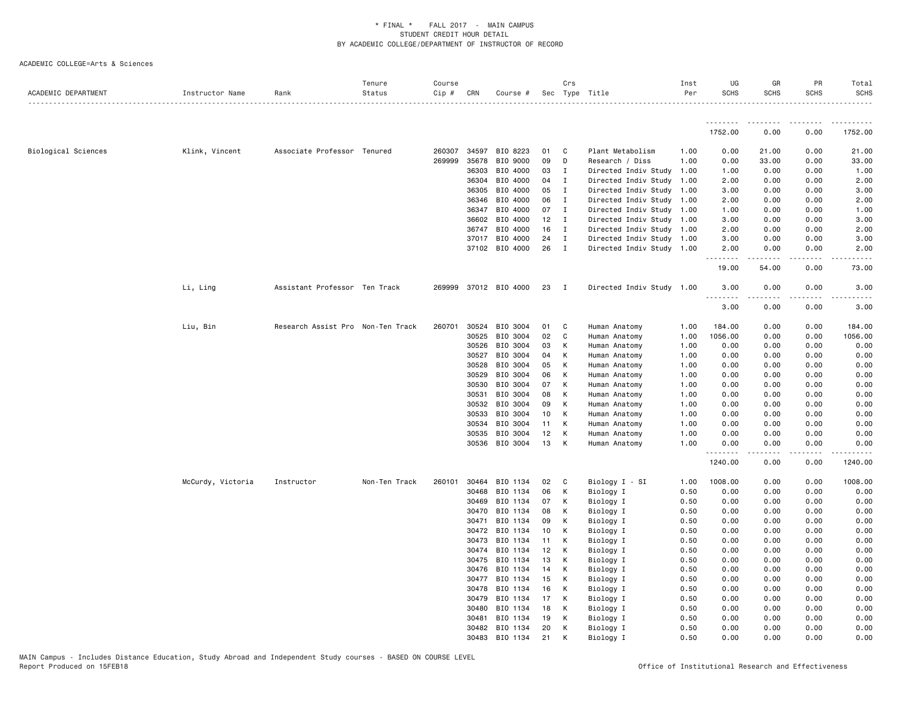| ACADEMIC DEPARTMENT | Instructor Name   | Rank                              | Tenure<br>Status<br>. | Course<br>Cip # | CRN          | Course #              |          | Crs            | Sec Type Title            | Inst<br>Per  | UG<br><b>SCHS</b> | GR<br><b>SCHS</b>   | PR<br><b>SCHS</b> | Total<br><b>SCHS</b> |
|---------------------|-------------------|-----------------------------------|-----------------------|-----------------|--------------|-----------------------|----------|----------------|---------------------------|--------------|-------------------|---------------------|-------------------|----------------------|
|                     |                   |                                   |                       |                 |              |                       |          |                |                           |              |                   |                     |                   |                      |
|                     |                   |                                   |                       |                 |              |                       |          |                |                           |              | 1752.00           | 0.00                | 0.00              | 1752.00              |
| Biological Sciences | Klink, Vincent    | Associate Professor Tenured       |                       | 260307          | 34597        | BIO 8223              | 01       | C              | Plant Metabolism          | 1.00         | 0.00              | 21.00               | 0.00              | 21.00                |
|                     |                   |                                   |                       |                 | 269999 35678 | BIO 9000              | 09       | D              | Research / Diss           | 1.00         | 0.00              | 33.00               | 0.00              | 33.00                |
|                     |                   |                                   |                       |                 | 36303        | BIO 4000              | 03       | $\mathbf{I}$   | Directed Indiv Study 1.00 |              | 1.00              | 0.00                | 0.00              | 1.00                 |
|                     |                   |                                   |                       |                 | 36304        | BIO 4000              | 04       | $\mathbf{I}$   | Directed Indiv Study 1.00 |              | 2.00              | 0.00                | 0.00              | 2.00                 |
|                     |                   |                                   |                       |                 | 36305        | BIO 4000              | 05       | $\mathbf{I}$   | Directed Indiv Study 1.00 |              | 3.00              | 0.00                | 0.00              | 3.00                 |
|                     |                   |                                   |                       |                 | 36346        | BIO 4000              | 06       | $\mathbf{I}$   | Directed Indiv Study 1.00 |              | 2.00              | 0.00                | 0.00              | 2.00                 |
|                     |                   |                                   |                       |                 | 36347        | BIO 4000              | 07       | $\mathbf{I}$   | Directed Indiv Study 1.00 |              | 1.00              | 0.00                | 0.00              | 1.00                 |
|                     |                   |                                   |                       |                 | 36602        | BIO 4000              | $12$ I   |                | Directed Indiv Study 1.00 |              | 3.00              | 0.00                | 0.00              | 3.00                 |
|                     |                   |                                   |                       |                 | 36747        | BIO 4000              | 16 I     |                | Directed Indiv Study 1.00 |              | 2.00              | 0.00                | 0.00              | 2.00                 |
|                     |                   |                                   |                       |                 | 37017        | BIO 4000              | 24       | $\mathbf{I}$   | Directed Indiv Study 1.00 |              | 3.00              | 0.00                | 0.00              | 3.00                 |
|                     |                   |                                   |                       |                 |              | 37102 BIO 4000        | 26       | $\mathbf{I}$   | Directed Indiv Study 1.00 |              | 2.00<br>.         | 0.00<br>.           | 0.00              | 2.00                 |
|                     |                   |                                   |                       |                 |              |                       |          |                |                           |              | 19.00             | 54.00               | 0.00              | 73.00                |
|                     | Li, Ling          | Assistant Professor Ten Track     |                       |                 |              | 269999 37012 BIO 4000 | 23       | $\blacksquare$ | Directed Indiv Study 1.00 |              | 3.00<br>.         | 0.00<br>$- - - - -$ | 0.00<br>.         | 3.00<br>-----        |
|                     |                   |                                   |                       |                 |              |                       |          |                |                           |              | 3.00              | 0.00                | 0.00              | 3.00                 |
|                     | Liu, Bin          | Research Assist Pro Non-Ten Track |                       | 260701          | 30524        | BIO 3004              | 01       | C              | Human Anatomy             | 1.00         | 184.00            | 0.00                | 0.00              | 184.00               |
|                     |                   |                                   |                       |                 | 30525        | BIO 3004              | 02       | C              | Human Anatomy             | 1.00         | 1056.00           | 0.00                | 0.00              | 1056.00              |
|                     |                   |                                   |                       |                 | 30526        | BIO 3004              | 03       | K              | Human Anatomy             | 1.00         | 0.00              | 0.00                | 0.00              | 0.00                 |
|                     |                   |                                   |                       |                 | 30527        | BIO 3004              | 04       | К              | Human Anatomy             | 1.00         | 0.00              | 0.00                | 0.00              | 0.00                 |
|                     |                   |                                   |                       |                 | 30528        | BIO 3004              | 05       | К              | Human Anatomy             | 1.00         | 0.00              | 0.00                | 0.00              | 0.00                 |
|                     |                   |                                   |                       |                 | 30529        | BIO 3004              | 06       | К              | Human Anatomy             | 1.00         | 0.00              | 0.00                | 0.00              | 0.00                 |
|                     |                   |                                   |                       |                 | 30530        | BIO 3004              | 07       | К              | Human Anatomy             | 1.00         | 0.00              | 0.00                | 0.00              | 0.00                 |
|                     |                   |                                   |                       |                 | 30531        | BIO 3004              | 08       | К              | Human Anatomy             | 1.00         | 0.00              | 0.00                | 0.00              | 0.00                 |
|                     |                   |                                   |                       |                 | 30532        | BIO 3004              | 09       | К              | Human Anatomy             | 1.00         | 0.00              | 0.00                | 0.00              | 0.00                 |
|                     |                   |                                   |                       |                 | 30533        | BIO 3004              | 10       | К              | Human Anatomy             | 1.00         | 0.00              | 0.00                | 0.00              | 0.00                 |
|                     |                   |                                   |                       |                 | 30534        | BIO 3004              | 11       | К              | Human Anatomy             | 1.00         | 0.00              | 0.00                | 0.00              | 0.00                 |
|                     |                   |                                   |                       |                 | 30535        | BIO 3004              | 12       | К              | Human Anatomy             | 1.00         | 0.00              | 0.00                | 0.00              | 0.00                 |
|                     |                   |                                   |                       |                 | 30536        | BIO 3004              | 13       | К              | Human Anatomy             | 1.00         | 0.00<br><u>.</u>  | 0.00<br>.           | 0.00<br>.         | 0.00<br>.            |
|                     |                   |                                   |                       |                 |              |                       |          |                |                           |              | 1240.00           | 0.00                | 0.00              | 1240.00              |
|                     | McCurdy, Victoria | Instructor                        | Non-Ten Track         | 260101          | 30464        | BIO 1134              | 02       | $\mathbf{C}$   | Biology I - SI            | 1.00         | 1008.00           | 0.00                | 0.00              | 1008.00              |
|                     |                   |                                   |                       |                 | 30468        | BIO 1134              | 06       | K              | Biology I                 | 0.50         | 0.00              | 0.00                | 0.00              | 0.00                 |
|                     |                   |                                   |                       |                 | 30469        | BIO 1134              | 07       | К              | Biology I                 | 0.50         | 0.00              | 0.00                | 0.00              | 0.00                 |
|                     |                   |                                   |                       |                 | 30470        | BIO 1134              | 08       | К              | Biology I                 | 0.50         | 0.00              | 0.00                | 0.00              | 0.00                 |
|                     |                   |                                   |                       |                 | 30471        | BIO 1134              | 09       | К              | Biology I                 | 0.50         | 0.00              | 0.00                | 0.00              | 0.00                 |
|                     |                   |                                   |                       |                 | 30472        | BIO 1134              | 10       | К              | Biology I                 | 0.50         | 0.00              | 0.00                | 0.00              | 0.00                 |
|                     |                   |                                   |                       |                 | 30473        | BIO 1134              | 11       | К              | Biology I                 | 0.50         | 0.00              | 0.00                | 0.00              | 0.00                 |
|                     |                   |                                   |                       |                 | 30474        | BIO 1134              | 12       | к              | Biology I                 | 0.50         | 0.00              | 0.00                | 0.00              | 0.00                 |
|                     |                   |                                   |                       |                 | 30475        | BIO 1134              | 13       | К              | Biology I                 | 0.50         | 0.00              | 0.00                | 0.00              | 0.00                 |
|                     |                   |                                   |                       |                 | 30476        | BIO 1134              | 14       | К              | Biology I                 | 0.50         | 0.00              | 0.00                | 0.00              | 0.00                 |
|                     |                   |                                   |                       |                 | 30477        | BIO 1134              | 15       | K              | Biology I                 | 0.50         | 0.00              | 0.00                | 0.00              | 0.00                 |
|                     |                   |                                   |                       |                 | 30478        | BIO 1134              | 16       | К              | Biology I                 | 0.50         | 0.00              | 0.00                | 0.00              | 0.00                 |
|                     |                   |                                   |                       |                 | 30479        | BIO 1134              | 17       | К              | Biology I                 | 0.50         | 0.00              | 0.00                | 0.00              | 0.00                 |
|                     |                   |                                   |                       |                 | 30480        | BIO 1134              | 18       | К              | Biology I                 | 0.50         | 0.00              | 0.00                | 0.00              | 0.00                 |
|                     |                   |                                   |                       |                 | 30481        | BIO 1134              | 19<br>20 | К<br>К         | Biology I                 | 0.50         | 0.00<br>0.00      | 0.00                | 0.00              | 0.00<br>0.00         |
|                     |                   |                                   |                       |                 | 30482        | BIO 1134              | 21       |                | Biology I                 | 0.50<br>0.50 | 0.00              | 0.00<br>0.00        | 0.00<br>0.00      | 0.00                 |
|                     |                   |                                   |                       |                 | 30483        | BIO 1134              |          |                | Biology I                 |              |                   |                     |                   |                      |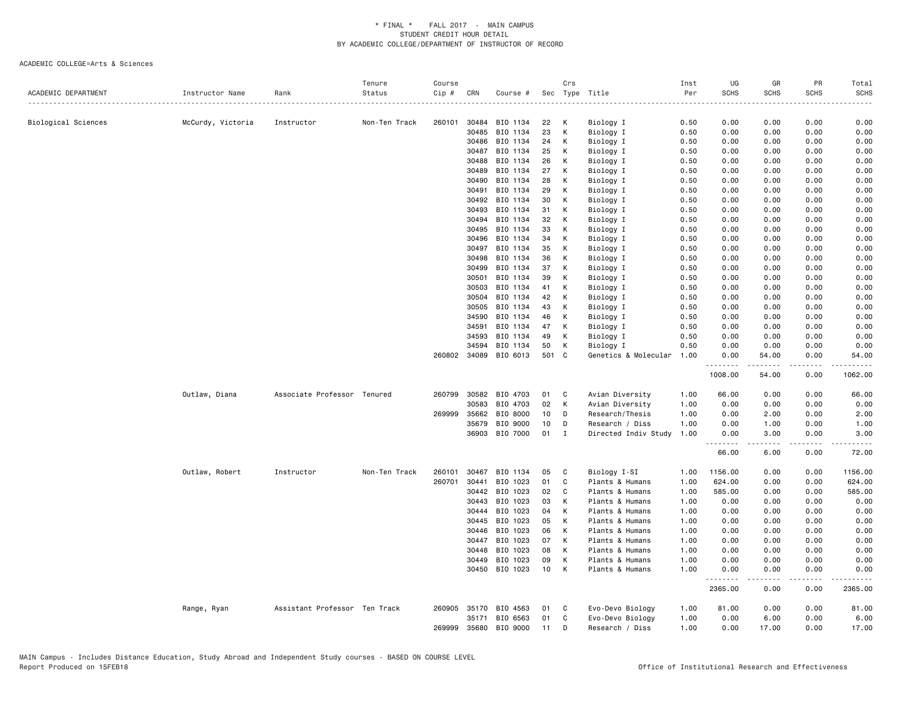| ACADEMIC DEPARTMENT | Instructor Name   | Rank                          | Tenure<br>Status | Course<br>Cip # | CRN          | Course # |                 | Crs          | Sec Type Title       | Inst<br>Per | UG<br><b>SCHS</b>       | GR<br><b>SCHS</b>        | PR<br><b>SCHS</b> | Total<br><b>SCHS</b> |
|---------------------|-------------------|-------------------------------|------------------|-----------------|--------------|----------|-----------------|--------------|----------------------|-------------|-------------------------|--------------------------|-------------------|----------------------|
|                     |                   |                               |                  |                 |              |          |                 |              |                      | .           |                         |                          |                   |                      |
| Biological Sciences | McCurdy, Victoria | Instructor                    | Non-Ten Track    | 260101          | 30484        | BIO 1134 | 22              | к            | Biology I            | 0.50        | 0.00                    | 0.00                     | 0.00              | 0.00                 |
|                     |                   |                               |                  |                 | 30485        | BIO 1134 | 23              | К            | Biology I            | 0.50        | 0.00                    | 0.00                     | 0.00              | 0.00                 |
|                     |                   |                               |                  |                 | 30486        | BIO 1134 | 24              | К            | Biology I            | 0.50        | 0.00                    | 0.00                     | 0.00              | 0.00                 |
|                     |                   |                               |                  |                 | 30487        | BIO 1134 | 25              | К            | Biology I            | 0.50        | 0.00                    | 0.00                     | 0.00              | 0.00                 |
|                     |                   |                               |                  |                 | 30488        | BIO 1134 | 26              | К            | Biology I            | 0.50        | 0.00                    | 0.00                     | 0.00              | 0.00                 |
|                     |                   |                               |                  |                 | 30489        | BIO 1134 | 27              | К            | Biology I            | 0.50        | 0.00                    | 0.00                     | 0.00              | 0.00                 |
|                     |                   |                               |                  |                 | 30490        | BIO 1134 | 28              | К            | Biology I            | 0.50        | 0.00                    | 0.00                     | 0.00              | 0.00                 |
|                     |                   |                               |                  |                 | 30491        | BIO 1134 | 29              | К            | Biology I            | 0.50        | 0.00                    | 0.00                     | 0.00              | 0.00                 |
|                     |                   |                               |                  |                 | 30492        | BIO 1134 | 30              | К            | Biology I            | 0.50        | 0.00                    | 0.00                     | 0.00              | 0.00                 |
|                     |                   |                               |                  |                 | 30493        | BIO 1134 | 31              | к            | Biology I            | 0.50        | 0.00                    | 0.00                     | 0.00              | 0.00                 |
|                     |                   |                               |                  |                 | 30494        | BIO 1134 | 32              | К            | Biology I            | 0.50        | 0.00                    | 0.00                     | 0.00              | 0.00                 |
|                     |                   |                               |                  |                 | 30495        | BIO 1134 | 33              | К            | Biology I            | 0.50        | 0.00                    | 0.00                     | 0.00              | 0.00                 |
|                     |                   |                               |                  |                 | 30496        | BIO 1134 | 34              | К            | Biology I            | 0.50        | 0.00                    | 0.00                     | 0.00              | 0.00                 |
|                     |                   |                               |                  |                 | 30497        | BIO 1134 | 35              | К            | Biology I            | 0.50        | 0.00                    | 0.00                     | 0.00              | 0.00                 |
|                     |                   |                               |                  |                 | 30498        | BIO 1134 | 36              | К            | Biology I            | 0.50        | 0.00                    | 0.00                     | 0.00              | 0.00                 |
|                     |                   |                               |                  |                 | 30499        | BIO 1134 | 37              | К            | Biology I            | 0.50        | 0.00                    | 0.00                     | 0.00              | 0.00                 |
|                     |                   |                               |                  |                 | 30501        | BIO 1134 | 39              | К            | Biology I            | 0.50        | 0.00                    | 0.00                     | 0.00              | 0.00                 |
|                     |                   |                               |                  |                 | 30503        | BIO 1134 | 41              | К            |                      | 0.50        | 0.00                    | 0.00                     | 0.00              | 0.00                 |
|                     |                   |                               |                  |                 |              |          |                 |              | Biology I            |             |                         |                          |                   |                      |
|                     |                   |                               |                  |                 | 30504        | BIO 1134 | 42              | К            | Biology I            | 0.50        | 0.00                    | 0.00                     | 0.00              | 0.00                 |
|                     |                   |                               |                  |                 | 30505        | BIO 1134 | 43              | К            | Biology I            | 0.50        | 0.00                    | 0.00                     | 0.00              | 0.00                 |
|                     |                   |                               |                  |                 | 34590        | BIO 1134 | 46              | К            | Biology I            | 0.50        | 0.00                    | 0.00                     | 0.00              | 0.00                 |
|                     |                   |                               |                  |                 | 34591        | BIO 1134 | 47              | К            | Biology I            | 0.50        | 0.00                    | 0.00                     | 0.00              | 0.00                 |
|                     |                   |                               |                  |                 | 34593        | BIO 1134 | 49              | к            | Biology I            | 0.50        | 0.00                    | 0.00                     | 0.00              | 0.00                 |
|                     |                   |                               |                  |                 | 34594        | BIO 1134 | 50              | К            | Biology I            | 0.50        | 0.00                    | 0.00                     | 0.00              | 0.00                 |
|                     |                   |                               |                  |                 | 260802 34089 | BIO 6013 | 501             | $\mathbf{C}$ | Genetics & Molecular | 1.00        | 0.00<br>.               | 54.00<br>المتمام المتعاد | 0.00<br>.         | 54.00<br>2.2.2.2.2.  |
|                     |                   |                               |                  |                 |              |          |                 |              |                      |             | 1008.00                 | 54.00                    | 0.00              | 1062.00              |
|                     | Outlaw, Diana     | Associate Professor Tenured   |                  | 260799          | 30582        | BIO 4703 | 01              | C            | Avian Diversity      | 1.00        | 66.00                   | 0.00                     | 0.00              | 66.00                |
|                     |                   |                               |                  |                 | 30583        | BIO 4703 | 02              | К            | Avian Diversity      | 1.00        | 0.00                    | 0.00                     | 0.00              | 0.00                 |
|                     |                   |                               |                  |                 | 269999 35662 | BIO 8000 | 10 <sub>1</sub> | D            | Research/Thesis      | 1.00        | 0.00                    | 2.00                     | 0.00              | 2.00                 |
|                     |                   |                               |                  |                 | 35679        | BIO 9000 | 10              | D            | Research / Diss      | 1.00        | 0.00                    | 1.00                     | 0.00              | 1.00                 |
|                     |                   |                               |                  |                 | 36903        | BIO 7000 | 01              | I            | Directed Indiv Study | 1.00        | 0.00<br>.               | 3.00<br>.                | 0.00              | 3.00                 |
|                     |                   |                               |                  |                 |              |          |                 |              |                      |             | 66.00                   | 6.00                     | 0.00              | 72.00                |
|                     | Outlaw, Robert    | Instructor                    | Non-Ten Track    | 260101          | 30467        | BIO 1134 | 05              | C            | Biology I-SI         | 1.00        | 1156.00                 | 0.00                     | 0.00              | 1156.00              |
|                     |                   |                               |                  | 260701          | 30441        | BIO 1023 | 01              | C            | Plants & Humans      | 1.00        | 624.00                  | 0.00                     | 0.00              | 624.00               |
|                     |                   |                               |                  |                 | 30442        | BIO 1023 | 02              | C            | Plants & Humans      | 1.00        | 585.00                  | 0.00                     | 0.00              | 585.00               |
|                     |                   |                               |                  |                 | 30443        | BIO 1023 | 03              | К            | Plants & Humans      | 1.00        | 0.00                    | 0.00                     | 0.00              | 0.00                 |
|                     |                   |                               |                  |                 | 30444        | BIO 1023 | 04              | К            | Plants & Humans      | 1.00        | 0.00                    | 0.00                     | 0.00              | 0.00                 |
|                     |                   |                               |                  |                 | 30445        | BIO 1023 | 05              | К            | Plants & Humans      | 1.00        | 0.00                    | 0.00                     | 0.00              | 0.00                 |
|                     |                   |                               |                  |                 | 30446        | BIO 1023 | 06              | K            | Plants & Humans      | 1.00        | 0.00                    | 0.00                     | 0.00              | 0.00                 |
|                     |                   |                               |                  |                 | 30447        | BIO 1023 | 07              | К            | Plants & Humans      | 1.00        | 0.00                    | 0.00                     | 0.00              | 0.00                 |
|                     |                   |                               |                  |                 | 30448        | BIO 1023 | 08              | K            | Plants & Humans      | 1.00        | 0.00                    | 0.00                     | 0.00              | 0.00                 |
|                     |                   |                               |                  |                 | 30449        | BIO 1023 | 09              | К            | Plants & Humans      | 1.00        | 0.00                    | 0.00                     | 0.00              | 0.00                 |
|                     |                   |                               |                  |                 | 30450        | BIO 1023 | 10              | K            | Plants & Humans      | 1.00        | 0.00                    | 0.00                     | 0.00              | 0.00                 |
|                     |                   |                               |                  |                 |              |          |                 |              |                      |             | .<br>$- - -$<br>2365.00 | .<br>0.00                | .<br>0.00         | 2365.00              |
|                     | Range, Ryan       | Assistant Professor Ten Track |                  | 260905          | 35170        | BIO 4563 | 01              | C            | Evo-Devo Biology     | 1.00        | 81.00                   | 0.00                     | 0.00              | 81.00                |
|                     |                   |                               |                  |                 | 35171        | BIO 6563 | 01              | C            | Evo-Devo Biology     | 1.00        | 0.00                    | 6.00                     | 0.00              | 6.00                 |
|                     |                   |                               |                  | 269999          | 35680        | BIO 9000 | 11              | D            | Research / Diss      | 1.00        | 0.00                    | 17.00                    | 0.00              | 17.00                |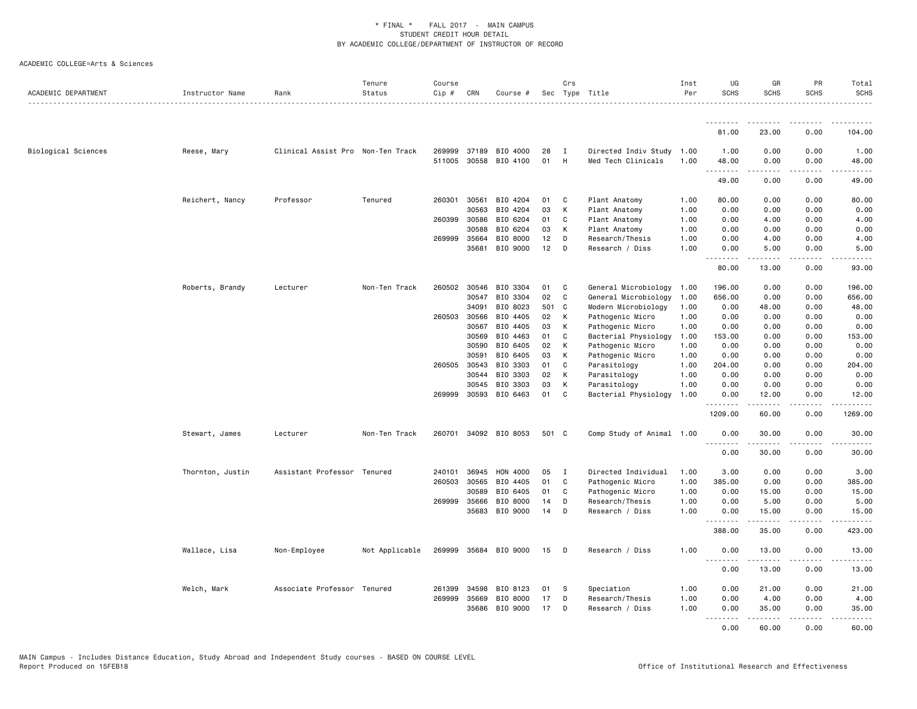| ACADEMIC DEPARTMENT | Instructor Name  | Rank                              | Tenure<br>Status | Course<br>$Cip$ # | CRN            | Course #              |          | Crs          | Sec Type Title                                  | Inst<br>Per  | UG<br><b>SCHS</b> | GR<br><b>SCHS</b>   | <b>PR</b><br><b>SCHS</b>            | Total<br><b>SCHS</b>                 |
|---------------------|------------------|-----------------------------------|------------------|-------------------|----------------|-----------------------|----------|--------------|-------------------------------------------------|--------------|-------------------|---------------------|-------------------------------------|--------------------------------------|
|                     |                  |                                   |                  |                   |                |                       |          |              |                                                 |              | <u>.</u>          |                     |                                     |                                      |
|                     |                  |                                   |                  |                   |                |                       |          |              |                                                 |              | 81.00             | 23.00               | 0.00                                | 104.00                               |
| Biological Sciences | Reese, Mary      | Clinical Assist Pro Non-Ten Track |                  | 269999<br>511005  | 37189<br>30558 | BIO 4000<br>BIO 4100  | 28<br>01 | I<br>H       | Directed Indiv Study 1.00<br>Med Tech Clinicals | 1.00         | 1.00<br>48.00     | 0.00<br>0.00        | 0.00<br>0.00                        | 1.00<br>48.00                        |
|                     |                  |                                   |                  |                   |                |                       |          |              |                                                 |              | .<br>49.00        | .<br>0.00           | .<br>0.00                           | .<br>49.00                           |
|                     | Reichert, Nancy  | Professor                         | Tenured          | 260301            | 30561          | BIO 4204              | 01       | C            | Plant Anatomy                                   | 1.00         | 80.00             | 0.00                | 0.00                                | 80.00                                |
|                     |                  |                                   |                  |                   | 30563          | BIO 4204              | 03       | К            | Plant Anatomy                                   | 1.00         | 0.00              | 0.00                | 0.00                                | 0.00                                 |
|                     |                  |                                   |                  | 260399            | 30586          | BIO 6204              | 01       | C            | Plant Anatomy                                   | 1.00         | 0.00              | 4.00                | 0.00                                | 4.00                                 |
|                     |                  |                                   |                  |                   | 30588          | BIO 6204              | 03       | К            | Plant Anatomy                                   | 1.00         | 0.00              | 0.00                | 0.00                                | 0.00                                 |
|                     |                  |                                   |                  | 269999            | 35664          | BIO 8000              | 12       | D            | Research/Thesis                                 | 1.00         | 0.00              | 4.00                | 0.00                                | 4.00                                 |
|                     |                  |                                   |                  |                   | 35681          | BIO 9000              | 12       | D            | Research / Diss                                 | 1.00         | 0.00<br>.         | 5.00<br>$- - - - -$ | 0.00<br>$\frac{1}{2}$               | 5.00                                 |
|                     |                  |                                   |                  |                   |                |                       |          |              |                                                 |              | 80.00             | 13.00               | 0.00                                | 93.00                                |
|                     | Roberts, Brandy  | Lecturer                          | Non-Ten Track    | 260502 30546      |                | BIO 3304              | 01       | C            | General Microbiology                            | 1.00         | 196.00            | 0.00                | 0.00                                | 196.00                               |
|                     |                  |                                   |                  |                   | 30547          | BIO 3304              | 02       | C            | General Microbiology                            | 1.00         | 656.00            | 0.00                | 0.00                                | 656.00                               |
|                     |                  |                                   |                  |                   | 34091          | BIO 8023              | 501      | C            | Modern Microbiology                             | 1.00         | 0.00              | 48.00               | 0.00                                | 48.00                                |
|                     |                  |                                   |                  | 260503            | 30566          | BIO 4405              | 02       | к            | Pathogenic Micro                                | 1.00         | 0.00              | 0.00                | 0.00                                | 0.00                                 |
|                     |                  |                                   |                  |                   | 30567          | BIO 4405              | 03       | К            | Pathogenic Micro                                | 1.00         | 0.00              | 0.00                | 0.00                                | 0.00                                 |
|                     |                  |                                   |                  |                   | 30569          | BIO 4463              | 01       | C            | Bacterial Physiology                            | 1.00         | 153.00            | 0.00                | 0.00                                | 153.00                               |
|                     |                  |                                   |                  |                   | 30590          | BIO 6405              | 02       | К            | Pathogenic Micro                                | 1.00         | 0.00              | 0.00                | 0.00                                | 0.00                                 |
|                     |                  |                                   |                  |                   | 30591          | BIO 6405              | 03       | К            | Pathogenic Micro                                | 1.00         | 0.00              | 0.00                | 0.00                                | 0.00                                 |
|                     |                  |                                   |                  | 260505            | 30543<br>30544 | BIO 3303<br>BIO 3303  | 01<br>02 | C<br>К       | Parasitology<br>Parasitology                    | 1.00<br>1.00 | 204.00<br>0.00    | 0.00<br>0.00        | 0.00<br>0.00                        | 204.00<br>0.00                       |
|                     |                  |                                   |                  |                   | 30545          | BIO 3303              | 03       | К            | Parasitology                                    | 1.00         | 0.00              | 0.00                | 0.00                                | 0.00                                 |
|                     |                  |                                   |                  | 269999            | 30593          | BIO 6463              | 01       | C            | Bacterial Physiology                            | 1.00         | 0.00              | 12.00               | 0.00                                | 12.00                                |
|                     |                  |                                   |                  |                   |                |                       |          |              |                                                 |              | .<br>1209.00      | -----<br>60.00      | $  -$<br>0.00                       | $  -$<br>1269.00                     |
|                     | Stewart, James   | Lecturer                          | Non-Ten Track    |                   |                | 260701 34092 BIO 8053 | 501 C    |              | Comp Study of Animal 1.00                       |              | 0.00              | 30.00               | 0.00                                | 30.00                                |
|                     |                  |                                   |                  |                   |                |                       |          |              |                                                 |              | .<br>0.00         | 30.00               | 0.00                                | 30.00                                |
|                     | Thornton, Justin | Assistant Professor Tenured       |                  | 240101            | 36945          | HON 4000              | 05       | $\mathbf{I}$ | Directed Individual                             | 1.00         | 3.00              | 0.00                | 0.00                                | 3.00                                 |
|                     |                  |                                   |                  | 260503            | 30565          | BIO 4405              | 01       | C            | Pathogenic Micro                                | 1.00         | 385.00            | 0.00                | 0.00                                | 385.00                               |
|                     |                  |                                   |                  |                   | 30589          | BIO 6405              | 01       | C            | Pathogenic Micro                                | 1.00         | 0.00              | 15.00               | 0.00                                | 15.00                                |
|                     |                  |                                   |                  | 269999            | 35666          | BIO 8000              | 14       | D            | Research/Thesis                                 | 1.00         | 0.00              | 5.00                | 0.00                                | 5.00                                 |
|                     |                  |                                   |                  |                   | 35683          | BIO 9000              | 14       | D            | Research / Diss                                 | 1.00         | 0.00<br>.         | 15.00<br>.          | 0.00<br>.                           | 15.00<br>.                           |
|                     |                  |                                   |                  |                   |                |                       |          |              |                                                 |              | 388.00            | 35.00               | 0.00                                | 423.00                               |
|                     | Wallace, Lisa    | Non-Employee                      | Not Applicable   | 269999            | 35684          | BIO 9000              | 15       | D            | Research / Diss                                 | 1.00         | 0.00<br>.         | 13.00<br>2.2.2.2.2  | 0.00<br>$\sim$ $\sim$ $\sim$ $\sim$ | 13.00<br>$\sim$ $\sim$ $\sim$ $\sim$ |
|                     |                  |                                   |                  |                   |                |                       |          |              |                                                 |              | 0.00              | 13.00               | 0.00                                | 13.00                                |
|                     | Welch, Mark      | Associate Professor Tenured       |                  | 261399            | 34598          | BIO 8123              | 01       | S            | Speciation                                      | 1.00         | 0.00              | 21.00               | 0.00                                | 21.00                                |
|                     |                  |                                   |                  | 269999            | 35669          | BIO 8000              | 17       | D            | Research/Thesis                                 | 1.00         | 0.00              | 4.00                | 0.00                                | 4.00                                 |
|                     |                  |                                   |                  |                   | 35686          | BIO 9000              | 17       | D            | Research / Diss                                 | 1.00         | 0.00              | 35.00               | 0.00                                | 35.00                                |
|                     |                  |                                   |                  |                   |                |                       |          |              |                                                 |              | $- - -$<br>0.00   | . <u>.</u><br>60.00 | .<br>0.00                           | .<br>60.00                           |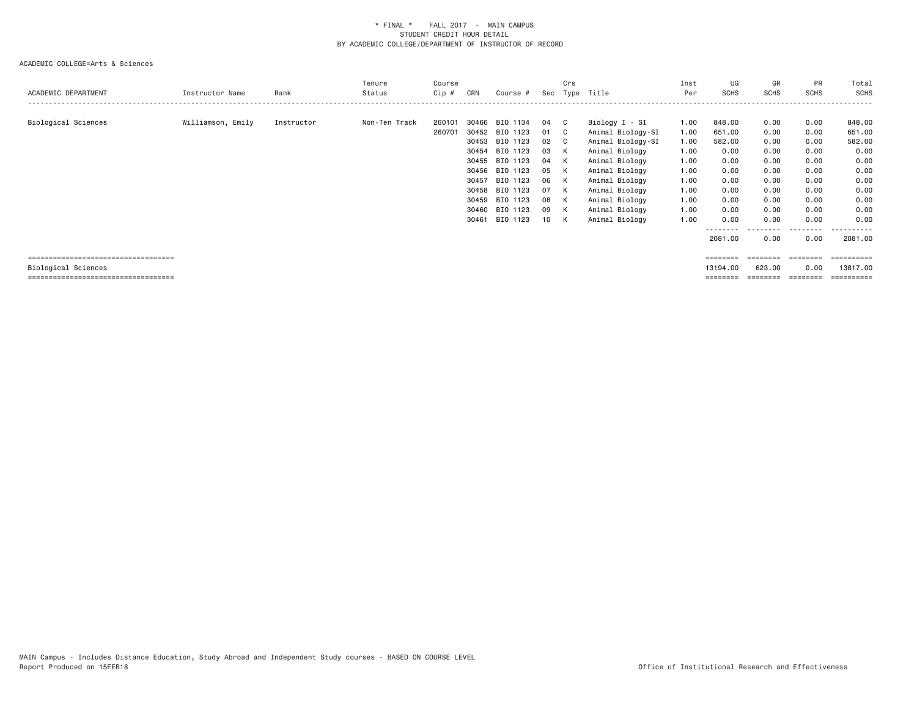# ACADEMIC COLLEGE=Arts & Sciences

| ACADEMIC DEPARTMENT | Instructor Name   | Rank       | Tenure<br>Status | Course<br>$Cip \#$ | CRN            | Course #                                                                                                                                                                               | Sec                                                              | Crs                                                                         | Type Title                                                                                                                                                                                               | Inst<br>Per                                                                          | UG<br>SCHS                                                                                                        | GR<br><b>SCHS</b>                                                                                 | PR<br><b>SCHS</b>                                                                                 | Total<br><b>SCHS</b>                                                                                       |
|---------------------|-------------------|------------|------------------|--------------------|----------------|----------------------------------------------------------------------------------------------------------------------------------------------------------------------------------------|------------------------------------------------------------------|-----------------------------------------------------------------------------|----------------------------------------------------------------------------------------------------------------------------------------------------------------------------------------------------------|--------------------------------------------------------------------------------------|-------------------------------------------------------------------------------------------------------------------|---------------------------------------------------------------------------------------------------|---------------------------------------------------------------------------------------------------|------------------------------------------------------------------------------------------------------------|
| Biological Sciences | Williamson, Emily | Instructor | Non-Ten Track    | 260101<br>260701   | 30457<br>30461 | 30466 BIO 1134<br>30452 BIO 1123<br>30453 BIO 1123<br>30454 BIO 1123<br>30455 BIO 1123<br>30456 BIO 1123<br>BIO 1123<br>30458 BIO 1123<br>30459 BIO 1123<br>30460 BIO 1123<br>BIO 1123 | - 04<br>01<br>02<br>03<br>04<br>05<br>06<br>07<br>08<br>09<br>10 | - C<br>$\mathbf{C}$<br>$\mathbf{C}$<br>K<br>K<br>K<br>K<br>K<br>K<br>K<br>K | Biology I - SI<br>Animal Biology-SI<br>Animal Biology-SI<br>Animal Biology<br>Animal Biology<br>Animal Biology<br>Animal Biology<br>Animal Biology<br>Animal Biology<br>Animal Biology<br>Animal Biology | 1.00<br>1.00<br>1.00<br>1.00<br>1.00<br>1.00<br>1.00<br>1.00<br>1.00<br>1.00<br>1.00 | 848.00<br>651.00<br>582.00<br>0.00<br>0.00<br>0.00<br>0.00<br>0.00<br>0.00<br>0.00<br>0.00<br>--------<br>2081.00 | 0.00<br>0.00<br>0.00<br>0.00<br>0.00<br>0.00<br>0.00<br>0.00<br>0.00<br>0.00<br>0.00<br>.<br>0.00 | 0.00<br>0.00<br>0.00<br>0.00<br>0.00<br>0.00<br>0.00<br>0.00<br>0.00<br>0.00<br>0.00<br>.<br>0.00 | 848.00<br>651.00<br>582.00<br>0.00<br>0.00<br>0.00<br>0.00<br>0.00<br>0.00<br>0.00<br>0.00<br>.<br>2081.00 |
|                     |                   |            |                  |                    |                |                                                                                                                                                                                        |                                                                  |                                                                             |                                                                                                                                                                                                          |                                                                                      |                                                                                                                   |                                                                                                   |                                                                                                   | -----------                                                                                                |

 Biological Sciences 13194.00 623.00 0.00 13817.00 =================================== ======== ======== ======== ==========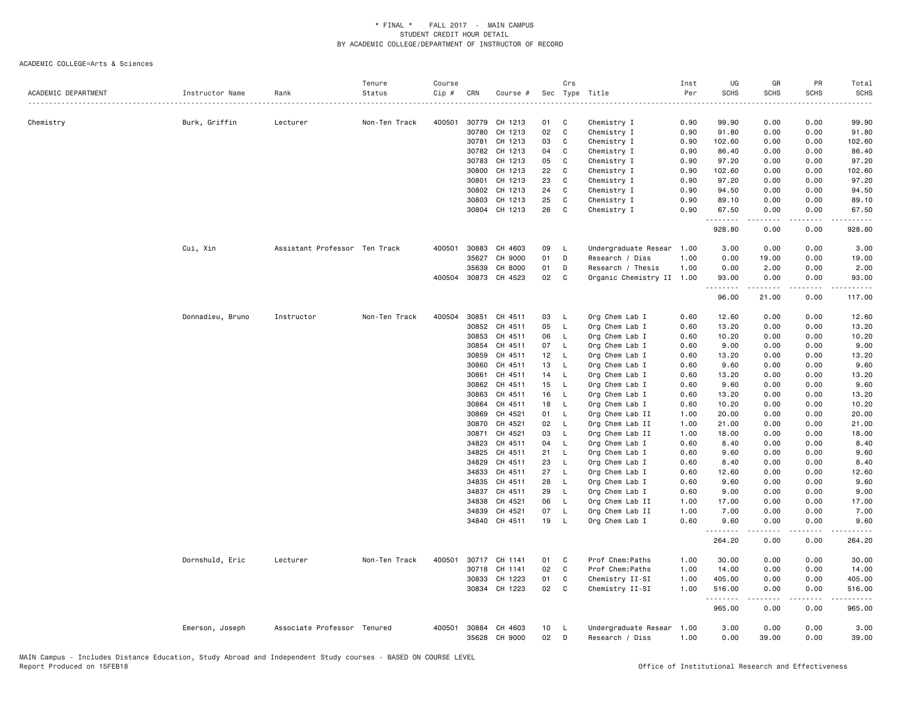| ACADEMIC DEPARTMENT | Instructor Name  | Rank                          | Tenure<br>Status | Course<br>Cip # | CRN   | Course #             |    | Crs          | Sec Type Title            | Inst<br>Per | UG<br><b>SCHS</b> | GR<br><b>SCHS</b>                                                                                                                                            | PR<br><b>SCHS</b> | Total<br><b>SCHS</b>                                                                                                                                           |
|---------------------|------------------|-------------------------------|------------------|-----------------|-------|----------------------|----|--------------|---------------------------|-------------|-------------------|--------------------------------------------------------------------------------------------------------------------------------------------------------------|-------------------|----------------------------------------------------------------------------------------------------------------------------------------------------------------|
| Chemistry           | Burk, Griffin    | Lecturer                      | Non-Ten Track    | 400501          | 30779 | CH 1213              | 01 | C            | Chemistry I               | .<br>0.90   | 99.90             | 0.00                                                                                                                                                         | 0.00              | $\sim$ $\sim$ $\sim$ $\sim$<br>99.90                                                                                                                           |
|                     |                  |                               |                  |                 | 30780 | CH 1213              | 02 | C            | Chemistry I               | 0.90        | 91.80             | 0.00                                                                                                                                                         | 0.00              | 91.80                                                                                                                                                          |
|                     |                  |                               |                  |                 | 30781 | CH 1213              | 03 | C            | Chemistry I               | 0.90        | 102.60            | 0.00                                                                                                                                                         | 0.00              | 102.60                                                                                                                                                         |
|                     |                  |                               |                  |                 | 30782 | CH 1213              | 04 | C            | Chemistry I               | 0.90        | 86.40             | 0.00                                                                                                                                                         | 0.00              | 86.40                                                                                                                                                          |
|                     |                  |                               |                  |                 | 30783 | CH 1213              | 05 | C            | Chemistry I               | 0.90        | 97.20             | 0.00                                                                                                                                                         | 0.00              | 97.20                                                                                                                                                          |
|                     |                  |                               |                  |                 | 30800 | CH 1213              | 22 | C            | Chemistry I               | 0.90        | 102.60            | 0.00                                                                                                                                                         | 0.00              | 102.60                                                                                                                                                         |
|                     |                  |                               |                  |                 | 30801 | CH 1213              | 23 | C            | Chemistry I               | 0.90        | 97.20             | 0.00                                                                                                                                                         | 0.00              | 97.20                                                                                                                                                          |
|                     |                  |                               |                  |                 | 30802 | CH 1213              | 24 | C            | Chemistry I               | 0.90        | 94.50             | 0.00                                                                                                                                                         | 0.00              | 94.50                                                                                                                                                          |
|                     |                  |                               |                  |                 | 30803 | CH 1213              | 25 | C            | Chemistry I               | 0.90        | 89.10             | 0.00                                                                                                                                                         | 0.00              | 89.10                                                                                                                                                          |
|                     |                  |                               |                  |                 |       | 30804 CH 1213        | 26 | C            | Chemistry I               | 0.90        | 67.50<br>.        | 0.00<br>$\frac{1}{2} \left( \frac{1}{2} \right) \left( \frac{1}{2} \right) \left( \frac{1}{2} \right) \left( \frac{1}{2} \right) \left( \frac{1}{2} \right)$ | 0.00<br>.         | 67.50<br>.                                                                                                                                                     |
|                     |                  |                               |                  |                 |       |                      |    |              |                           |             | 928.80            | 0.00                                                                                                                                                         | 0.00              | 928.80                                                                                                                                                         |
|                     | Cui, Xin         | Assistant Professor Ten Track |                  | 400501          | 30883 | CH 4603              | 09 | L            | Undergraduate Resear      | 1.00        | 3.00              | 0.00                                                                                                                                                         | 0.00              | 3.00                                                                                                                                                           |
|                     |                  |                               |                  |                 | 35627 | CH 9000              | 01 | D            | Research / Diss           | 1.00        | 0.00              | 19.00                                                                                                                                                        | 0.00              | 19.00                                                                                                                                                          |
|                     |                  |                               |                  |                 | 35639 | CH 8000              | 01 | D            | Research / Thesis         | 1.00        | 0.00              | 2.00                                                                                                                                                         | 0.00              | 2.00                                                                                                                                                           |
|                     |                  |                               |                  |                 |       | 400504 30873 CH 4523 | 02 | C            | Organic Chemistry II 1.00 |             | 93.00<br><u>.</u> | 0.00<br>$\frac{1}{2}$                                                                                                                                        | 0.00<br>.         | 93.00<br>.                                                                                                                                                     |
|                     |                  |                               |                  |                 |       |                      |    |              |                           |             | 96.00             | 21.00                                                                                                                                                        | 0.00              | 117.00                                                                                                                                                         |
|                     | Donnadieu, Bruno | Instructor                    | Non-Ten Track    | 400504          | 30851 | CH 4511              | 03 | - L          | Org Chem Lab I            | 0.60        | 12.60             | 0.00                                                                                                                                                         | 0.00              | 12.60                                                                                                                                                          |
|                     |                  |                               |                  |                 | 30852 | CH 4511              | 05 | - L          | Org Chem Lab I            | 0.60        | 13.20             | 0.00                                                                                                                                                         | 0.00              | 13.20                                                                                                                                                          |
|                     |                  |                               |                  |                 | 30853 | CH 4511              | 06 | L            | Org Chem Lab I            | 0.60        | 10.20             | 0.00                                                                                                                                                         | 0.00              | 10.20                                                                                                                                                          |
|                     |                  |                               |                  |                 | 30854 | CH 4511              | 07 | $\mathsf{L}$ | Org Chem Lab I            | 0.60        | 9.00              | 0.00                                                                                                                                                         | 0.00              | 9.00                                                                                                                                                           |
|                     |                  |                               |                  |                 | 30859 | CH 4511              | 12 | $\mathsf{L}$ | Org Chem Lab I            | 0.60        | 13.20             | 0.00                                                                                                                                                         | 0.00              | 13.20                                                                                                                                                          |
|                     |                  |                               |                  |                 | 30860 | CH 4511              | 13 | <b>L</b>     | Org Chem Lab I            | 0.60        | 9.60              | 0.00                                                                                                                                                         | 0.00              | 9.60                                                                                                                                                           |
|                     |                  |                               |                  |                 | 30861 | CH 4511              | 14 | - L          | Org Chem Lab I            | 0.60        | 13.20             | 0.00                                                                                                                                                         | 0.00              | 13.20                                                                                                                                                          |
|                     |                  |                               |                  |                 | 30862 | CH 4511              | 15 | <b>L</b>     | Org Chem Lab I            | 0.60        | 9.60              | 0.00                                                                                                                                                         | 0.00              | 9.60                                                                                                                                                           |
|                     |                  |                               |                  |                 | 30863 | CH 4511              | 16 | L,           | Org Chem Lab I            | 0.60        | 13.20             | 0.00                                                                                                                                                         | 0.00              | 13.20                                                                                                                                                          |
|                     |                  |                               |                  |                 | 30864 | CH 4511              | 18 | - L          | Org Chem Lab I            | 0.60        | 10.20             | 0.00                                                                                                                                                         | 0.00              | 10.20                                                                                                                                                          |
|                     |                  |                               |                  |                 | 30869 | CH 4521              | 01 | L            | Org Chem Lab II           | 1.00        | 20.00             | 0.00                                                                                                                                                         | 0.00              | 20.00                                                                                                                                                          |
|                     |                  |                               |                  |                 | 30870 | CH 4521              | 02 | $\mathsf{L}$ | Org Chem Lab II           | 1.00        | 21.00             | 0.00                                                                                                                                                         | 0.00              | 21.00                                                                                                                                                          |
|                     |                  |                               |                  |                 | 30871 | CH 4521              | 03 | <b>L</b>     | Org Chem Lab II           | 1.00        | 18.00             | 0.00                                                                                                                                                         | 0.00              | 18.00                                                                                                                                                          |
|                     |                  |                               |                  |                 | 34823 | CH 4511              | 04 | L            | Org Chem Lab I            | 0.60        | 8.40              | 0.00                                                                                                                                                         | 0.00              | 8.40                                                                                                                                                           |
|                     |                  |                               |                  |                 | 34825 | CH 4511              | 21 | $\mathsf{L}$ | Org Chem Lab I            | 0.60        | 9.60              | 0.00                                                                                                                                                         | 0.00              | 9.60                                                                                                                                                           |
|                     |                  |                               |                  |                 | 34829 | CH 4511              | 23 | L.           | Org Chem Lab I            | 0.60        | 8.40              | 0.00                                                                                                                                                         | 0.00              | 8.40                                                                                                                                                           |
|                     |                  |                               |                  |                 | 34833 | CH 4511              | 27 | - L          | Org Chem Lab I            | 0.60        | 12.60             | 0.00                                                                                                                                                         | 0.00              | 12.60                                                                                                                                                          |
|                     |                  |                               |                  |                 | 34835 | CH 4511              | 28 | - L          | Org Chem Lab I            | 0.60        | 9.60              | 0.00                                                                                                                                                         | 0.00              | 9.60                                                                                                                                                           |
|                     |                  |                               |                  |                 | 34837 | CH 4511              | 29 | L            | Org Chem Lab I            | 0.60        | 9.00              | 0.00                                                                                                                                                         | 0.00              | 9.00                                                                                                                                                           |
|                     |                  |                               |                  |                 | 34838 | CH 4521              | 06 | L.           | Org Chem Lab II           | 1.00        | 17.00             | 0.00                                                                                                                                                         | 0.00              | 17.00                                                                                                                                                          |
|                     |                  |                               |                  |                 | 34839 | CH 4521              | 07 | $\mathsf{L}$ | Org Chem Lab II           | 1.00        | 7.00              | 0.00                                                                                                                                                         | 0.00              | 7.00                                                                                                                                                           |
|                     |                  |                               |                  |                 |       | 34840 CH 4511        | 19 | $\mathsf{L}$ | Org Chem Lab I            | 0.60        | 9.60              | 0.00<br>-----                                                                                                                                                | 0.00<br>.         | 9.60<br>.                                                                                                                                                      |
|                     |                  |                               |                  |                 |       |                      |    |              |                           |             | 264.20            | 0.00                                                                                                                                                         | 0.00              | 264.20                                                                                                                                                         |
|                     | Dornshuld, Eric  | Lecturer                      | Non-Ten Track    | 400501          |       | 30717 CH 1141        | 01 | C            | Prof Chem: Paths          | 1.00        | 30.00             | 0.00                                                                                                                                                         | 0.00              | 30.00                                                                                                                                                          |
|                     |                  |                               |                  |                 | 30718 | CH 1141              | 02 | C            | Prof Chem: Paths          | 1.00        | 14.00             | 0.00                                                                                                                                                         | 0.00              | 14.00                                                                                                                                                          |
|                     |                  |                               |                  |                 | 30833 | CH 1223              | 01 | C            | Chemistry II-SI           | 1.00        | 405.00            | 0.00                                                                                                                                                         | 0.00              | 405.00                                                                                                                                                         |
|                     |                  |                               |                  |                 |       | 30834 CH 1223        | 02 | C            | Chemistry II-SI           | 1.00        | 516.00<br>.       | 0.00<br>.                                                                                                                                                    | 0.00<br>لأعامل    | 516.00<br>$\frac{1}{2} \left( \frac{1}{2} \right) \left( \frac{1}{2} \right) \left( \frac{1}{2} \right) \left( \frac{1}{2} \right) \left( \frac{1}{2} \right)$ |
|                     |                  |                               |                  |                 |       |                      |    |              |                           |             | 965.00            | 0.00                                                                                                                                                         | 0.00              | 965.00                                                                                                                                                         |
|                     | Emerson, Joseph  | Associate Professor Tenured   |                  | 400501          | 30884 | CH 4603              | 10 | - L          | Undergraduate Resear      | 1.00        | 3.00              | 0.00                                                                                                                                                         | 0.00              | 3.00                                                                                                                                                           |
|                     |                  |                               |                  |                 | 35628 | CH 9000              | 02 | D            | Research / Diss           | 1.00        | 0.00              | 39,00                                                                                                                                                        | 0.00              | 39.00                                                                                                                                                          |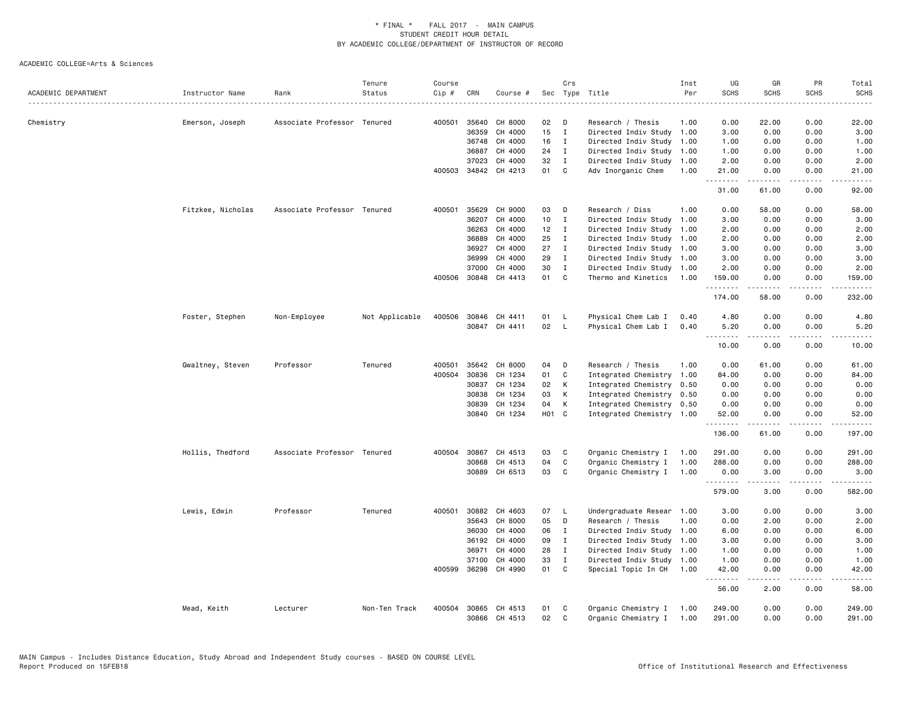| ACADEMIC DEPARTMENT | Instructor Name   | Rank                        | Tenure<br>Status | Course<br>Cip # | CRN          | Course #             |                 | Crs            | Sec Type Title            | Inst<br>Per | UG<br><b>SCHS</b> | GR<br><b>SCHS</b>                                                                                                                                                                       | PR<br><b>SCHS</b>     | Total<br><b>SCHS</b>                                                                                                              |
|---------------------|-------------------|-----------------------------|------------------|-----------------|--------------|----------------------|-----------------|----------------|---------------------------|-------------|-------------------|-----------------------------------------------------------------------------------------------------------------------------------------------------------------------------------------|-----------------------|-----------------------------------------------------------------------------------------------------------------------------------|
|                     | .                 |                             |                  |                 |              |                      |                 |                |                           |             |                   |                                                                                                                                                                                         |                       |                                                                                                                                   |
| Chemistry           | Emerson, Joseph   | Associate Professor Tenured |                  | 400501          | 35640        | CH 8000              | 02              | D              | Research / Thesis         | 1.00        | 0.00              | 22.00                                                                                                                                                                                   | 0.00                  | 22.00                                                                                                                             |
|                     |                   |                             |                  |                 | 36359        | CH 4000              | 15              | $\mathbf{I}$   | Directed Indiv Study 1.00 |             | 3.00              | 0.00                                                                                                                                                                                    | 0.00                  | 3.00                                                                                                                              |
|                     |                   |                             |                  |                 | 36748        | CH 4000              | 16              | $\blacksquare$ | Directed Indiv Study      | 1.00        | 1.00              | 0.00                                                                                                                                                                                    | 0.00                  | 1.00                                                                                                                              |
|                     |                   |                             |                  |                 | 36887        | CH 4000              | 24              | Ι.             | Directed Indiv Study 1.00 |             | 1.00              | 0.00                                                                                                                                                                                    | 0.00                  | 1.00                                                                                                                              |
|                     |                   |                             |                  |                 | 37023        | CH 4000              | 32              | $\mathbf{I}$   | Directed Indiv Study      | 1.00        | 2.00              | 0.00                                                                                                                                                                                    | 0.00                  | 2.00                                                                                                                              |
|                     |                   |                             |                  |                 |              | 400503 34842 CH 4213 | 01              | C              | Adv Inorganic Chem        | 1.00        | 21.00<br>.        | 0.00                                                                                                                                                                                    | 0.00<br>. <u>.</u> .  | 21.00<br>$- - - -$                                                                                                                |
|                     |                   |                             |                  |                 |              |                      |                 |                |                           |             | 31.00             | 61.00                                                                                                                                                                                   | 0.00                  | 92.00                                                                                                                             |
|                     | Fitzkee, Nicholas | Associate Professor Tenured |                  | 400501          | 35629        | CH 9000              | 03              | D              | Research / Diss           | 1.00        | 0.00              | 58.00                                                                                                                                                                                   | 0.00                  | 58.00                                                                                                                             |
|                     |                   |                             |                  |                 | 36207        | CH 4000              | 10 <sub>1</sub> | $\mathbf{I}$   | Directed Indiv Study 1.00 |             | 3.00              | 0.00                                                                                                                                                                                    | 0.00                  | 3.00                                                                                                                              |
|                     |                   |                             |                  |                 | 36263        | CH 4000              | 12              | I              | Directed Indiv Study      | 1.00        | 2.00              | 0.00                                                                                                                                                                                    | 0.00                  | 2.00                                                                                                                              |
|                     |                   |                             |                  |                 | 36889        | CH 4000              | 25              | $\mathbf I$    | Directed Indiv Study      | 1.00        | 2.00              | 0.00                                                                                                                                                                                    | 0.00                  | 2.00                                                                                                                              |
|                     |                   |                             |                  |                 | 36927        | CH 4000              | 27              | $\mathbf I$    | Directed Indiv Study 1.00 |             | 3.00              | 0.00                                                                                                                                                                                    | 0.00                  | 3.00                                                                                                                              |
|                     |                   |                             |                  |                 | 36999        | CH 4000              | 29              | I              | Directed Indiv Study      | 1.00        | 3.00              | 0.00                                                                                                                                                                                    | 0.00                  | 3.00                                                                                                                              |
|                     |                   |                             |                  |                 | 37000        | CH 4000              | 30              | $\mathbf{I}$   | Directed Indiv Study      | 1.00        | 2.00              | 0.00                                                                                                                                                                                    | 0.00                  | 2.00                                                                                                                              |
|                     |                   |                             |                  |                 | 400506 30848 | CH 4413              | 01              | C              | Thermo and Kinetics       | 1.00        | 159.00<br>.       | 0.00<br>$\frac{1}{2} \left( \frac{1}{2} \right) \left( \frac{1}{2} \right) \left( \frac{1}{2} \right) \left( \frac{1}{2} \right) \left( \frac{1}{2} \right) \left( \frac{1}{2} \right)$ | 0.00<br>.             | 159.00<br>$- - - - -$                                                                                                             |
|                     |                   |                             |                  |                 |              |                      |                 |                |                           |             | 174.00            | 58.00                                                                                                                                                                                   | 0.00                  | 232.00                                                                                                                            |
|                     | Foster, Stephen   | Non-Employee                | Not Applicable   | 400506          | 30846        | CH 4411              | 01              | - L            | Physical Chem Lab I       | 0.40        | 4.80              | 0.00                                                                                                                                                                                    | 0.00                  | 4.80                                                                                                                              |
|                     |                   |                             |                  |                 |              | 30847 CH 4411        | 02              | $\mathsf{L}$   | Physical Chem Lab I       | 0.40        | 5.20<br><u>.</u>  | 0.00<br>.                                                                                                                                                                               | 0.00<br>لأعامل        | 5.20<br>$\frac{1}{2} \left( \frac{1}{2} \right) \left( \frac{1}{2} \right) \left( \frac{1}{2} \right) \left( \frac{1}{2} \right)$ |
|                     |                   |                             |                  |                 |              |                      |                 |                |                           |             | 10.00             | 0.00                                                                                                                                                                                    | 0.00                  | 10.00                                                                                                                             |
|                     | Gwaltney, Steven  | Professor                   | Tenured          | 400501          |              | 35642 CH 8000        | 04              | D              | Research / Thesis         | 1.00        | 0.00              | 61.00                                                                                                                                                                                   | 0.00                  | 61.00                                                                                                                             |
|                     |                   |                             |                  | 400504          | 30836        | CH 1234              | 01              | C              | Integrated Chemistry      | 1.00        | 84.00             | 0.00                                                                                                                                                                                    | 0.00                  | 84.00                                                                                                                             |
|                     |                   |                             |                  |                 | 30837        | CH 1234              | 02              | К              | Integrated Chemistry 0.50 |             | 0.00              | 0.00                                                                                                                                                                                    | 0.00                  | 0.00                                                                                                                              |
|                     |                   |                             |                  |                 | 30838        | CH 1234              | 03              | К              | Integrated Chemistry 0.50 |             | 0.00              | 0.00                                                                                                                                                                                    | 0.00                  | 0.00                                                                                                                              |
|                     |                   |                             |                  |                 | 30839        | CH 1234              | 04              | К              | Integrated Chemistry 0.50 |             | 0.00              | 0.00                                                                                                                                                                                    | 0.00                  | 0.00                                                                                                                              |
|                     |                   |                             |                  |                 | 30840        | CH 1234              | H01 C           |                | Integrated Chemistry 1.00 |             | 52.00<br>.        | 0.00<br>-----                                                                                                                                                                           | 0.00<br>$\frac{1}{2}$ | 52.00<br>.                                                                                                                        |
|                     |                   |                             |                  |                 |              |                      |                 |                |                           |             | 136.00            | 61.00                                                                                                                                                                                   | 0.00                  | 197.00                                                                                                                            |
|                     | Hollis, Thedford  | Associate Professor Tenured |                  |                 | 400504 30867 | CH 4513              | 03              | C              | Organic Chemistry I       | 1.00        | 291.00            | 0.00                                                                                                                                                                                    | 0.00                  | 291.00                                                                                                                            |
|                     |                   |                             |                  |                 | 30868        | CH 4513              | 04              | C              | Organic Chemistry I       | 1.00        | 288.00            | 0.00                                                                                                                                                                                    | 0.00                  | 288.00                                                                                                                            |
|                     |                   |                             |                  |                 | 30889        | CH 6513              | 03              | C              | Organic Chemistry I       | 1.00        | 0.00<br>.         | 3.00<br>.                                                                                                                                                                               | 0.00                  | 3.00<br>.                                                                                                                         |
|                     |                   |                             |                  |                 |              |                      |                 |                |                           |             | 579.00            | 3.00                                                                                                                                                                                    | 0.00                  | 582.00                                                                                                                            |
|                     | Lewis, Edwin      | Professor                   | Tenured          | 400501          | 30882        | CH 4603              | 07 L            |                | Undergraduate Resear      | 1.00        | 3.00              | 0.00                                                                                                                                                                                    | 0.00                  | 3.00                                                                                                                              |
|                     |                   |                             |                  |                 | 35643        | CH 8000              | 05              | D              | Research / Thesis         | 1.00        | 0.00              | 2.00                                                                                                                                                                                    | 0.00                  | 2.00                                                                                                                              |
|                     |                   |                             |                  |                 | 36030        | CH 4000              | 06              | $\mathbf I$    | Directed Indiv Study 1.00 |             | 6.00              | 0.00                                                                                                                                                                                    | 0.00                  | 6.00                                                                                                                              |
|                     |                   |                             |                  |                 | 36192        | CH 4000              | 09              | Ι.             | Directed Indiv Study 1.00 |             | 3.00              | 0.00                                                                                                                                                                                    | 0.00                  | 3.00                                                                                                                              |
|                     |                   |                             |                  |                 | 36971        | CH 4000              | 28              | $\mathbf I$    | Directed Indiv Study      | 1.00        | 1.00              | 0.00                                                                                                                                                                                    | 0.00                  | 1.00                                                                                                                              |
|                     |                   |                             |                  |                 | 37100        | CH 4000              | 33              | I              | Directed Indiv Study 1.00 |             | 1.00              | 0.00                                                                                                                                                                                    | 0.00                  | 1.00                                                                                                                              |
|                     |                   |                             |                  |                 |              | 400599 36298 CH 4990 | 01              | C              | Special Topic In CH       | 1.00        | 42.00<br>.        | 0.00<br>.                                                                                                                                                                               | 0.00<br>.             | 42.00<br>.                                                                                                                        |
|                     |                   |                             |                  |                 |              |                      |                 |                |                           |             | 56.00             | 2.00                                                                                                                                                                                    | 0.00                  | 58.00                                                                                                                             |
|                     | Mead, Keith       | Lecturer                    | Non-Ten Track    | 400504          | 30865        | CH 4513              | 01              | C              | Organic Chemistry I       | 1.00        | 249.00            | 0.00                                                                                                                                                                                    | 0.00                  | 249.00                                                                                                                            |
|                     |                   |                             |                  |                 |              | 30866 CH 4513        | 02              | $\mathbf{C}$   | Organic Chemistry I       | 1.00        | 291.00            | 0.00                                                                                                                                                                                    | 0.00                  | 291.00                                                                                                                            |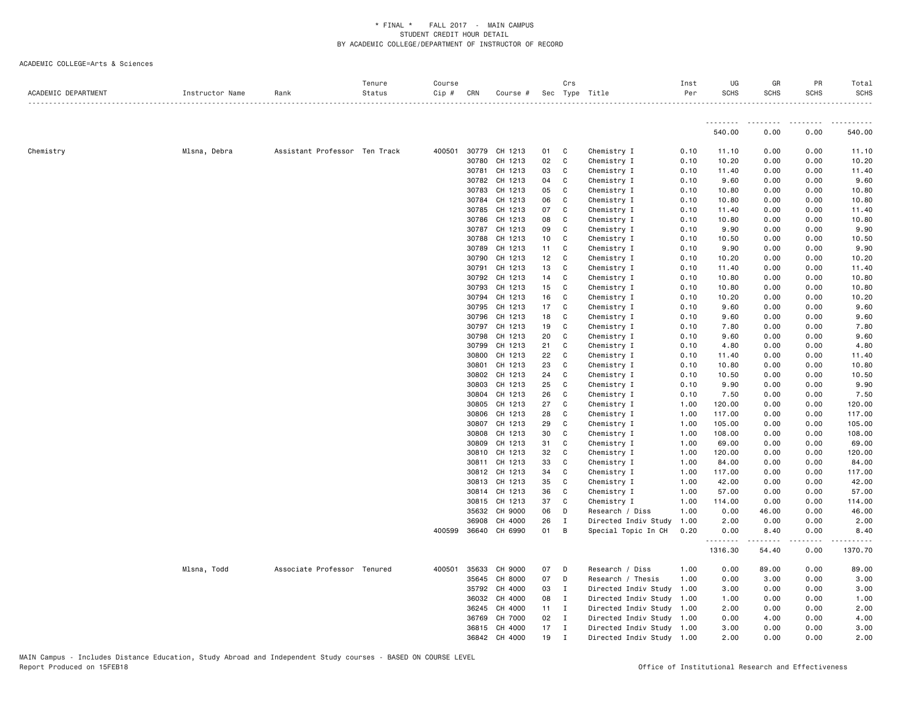| ACADEMIC DEPARTMENT | Instructor Name | Rank                          | Tenure<br>Status | Course<br>Cip # | CRN          | Course #             |              | Crs          | Sec Type Title            | Inst<br>Per | UG<br><b>SCHS</b> | GR<br><b>SCHS</b> | PR<br><b>SCHS</b> | Total<br><b>SCHS</b> |
|---------------------|-----------------|-------------------------------|------------------|-----------------|--------------|----------------------|--------------|--------------|---------------------------|-------------|-------------------|-------------------|-------------------|----------------------|
|                     |                 |                               |                  |                 |              |                      |              |              |                           |             |                   |                   |                   |                      |
|                     |                 |                               |                  |                 |              |                      |              |              |                           |             | 540.00            | 0.00              | 0.00              | 540.00               |
| Chemistry           | Mlsna, Debra    | Assistant Professor Ten Track |                  |                 |              | 400501 30779 CH 1213 | 01           | $\mathbf{C}$ | Chemistry I               | 0.10        | 11.10             | 0.00              | 0.00              | 11.10                |
|                     |                 |                               |                  |                 | 30780        | CH 1213              | 02 C         |              | Chemistry I               | 0.10        | 10.20             | 0.00              | 0.00              | 10.20                |
|                     |                 |                               |                  |                 | 30781        | CH 1213              | 03           | C            | Chemistry I               | 0.10        | 11.40             | 0.00              | 0.00              | 11.40                |
|                     |                 |                               |                  |                 | 30782        | CH 1213              | 04           | C            | Chemistry I               | 0.10        | 9.60              | 0.00              | 0.00              | 9.60                 |
|                     |                 |                               |                  |                 | 30783        | CH 1213              | 05           | C            | Chemistry I               | 0.10        | 10.80             | 0.00              | 0.00              | 10.80                |
|                     |                 |                               |                  |                 | 30784        | CH 1213              | 06           | $\mathbf{C}$ | Chemistry I               | 0.10        | 10.80             | 0.00              | 0.00              | 10.80                |
|                     |                 |                               |                  |                 | 30785        | CH 1213              | 07           | C            | Chemistry I               | 0.10        | 11.40             | 0.00              | 0.00              | 11.40                |
|                     |                 |                               |                  |                 | 30786        | CH 1213              | 08           | C            | Chemistry I               | 0.10        | 10.80             | 0.00              | 0.00              | 10.80                |
|                     |                 |                               |                  |                 | 30787        | CH 1213              | 09           | C            | Chemistry I               | 0.10        | 9.90              | 0.00              | 0.00              | 9.90                 |
|                     |                 |                               |                  |                 | 30788        | CH 1213              | 10           | $\mathbf{C}$ | Chemistry I               | 0.10        | 10.50             | 0.00              | 0.00              | 10.50                |
|                     |                 |                               |                  |                 | 30789        | CH 1213              | 11           | C            | Chemistry I               | 0.10        | 9.90              | 0.00              | 0.00              | 9.90                 |
|                     |                 |                               |                  |                 | 30790        | CH 1213              | 12           | C            | Chemistry I               | 0.10        | 10.20             | 0.00              | 0.00              | 10.20                |
|                     |                 |                               |                  |                 | 30791        | CH 1213              | 13           | C            | Chemistry I               | 0.10        | 11.40             | 0.00              | 0.00              | 11.40                |
|                     |                 |                               |                  |                 | 30792        | CH 1213              | 14           | C            | Chemistry I               | 0.10        | 10.80             | 0.00              | 0.00              | 10.80                |
|                     |                 |                               |                  |                 | 30793        | CH 1213              | 15           | C            | Chemistry I               | 0.10        | 10.80             | 0.00              | 0.00              | 10.80                |
|                     |                 |                               |                  |                 | 30794        | CH 1213              | 16           | C.           | Chemistry I               | 0.10        | 10.20             | 0.00              | 0.00              | 10.20                |
|                     |                 |                               |                  |                 | 30795        | CH 1213              | 17 C         |              | Chemistry I               | 0.10        | 9.60              | 0.00              | 0.00              | 9.60                 |
|                     |                 |                               |                  |                 | 30796        | CH 1213              | 18           | $\mathbf{C}$ | Chemistry I               | 0.10        | 9.60              | 0.00              | 0.00              | 9.60                 |
|                     |                 |                               |                  |                 | 30797        | CH 1213              | 19           | C            | Chemistry I               | 0.10        | 7.80              | 0.00              | 0.00              | 7.80                 |
|                     |                 |                               |                  |                 | 30798        | CH 1213              | 20           | C            | Chemistry I               | 0.10        | 9.60              | 0.00              | 0.00              | 9.60                 |
|                     |                 |                               |                  |                 | 30799        | CH 1213              | 21           | C            | Chemistry I               | 0.10        | 4.80              | 0.00              | 0.00              | 4.80                 |
|                     |                 |                               |                  |                 | 30800        | CH 1213              | 22           | C            | Chemistry I               | 0.10        | 11.40             | 0.00              | 0.00              | 11.40                |
|                     |                 |                               |                  |                 | 30801        | CH 1213              | 23           | C            | Chemistry I               | 0.10        | 10.80             | 0.00              | 0.00              | 10.80                |
|                     |                 |                               |                  |                 | 30802        | CH 1213              | 24           | C            | Chemistry I               | 0.10        | 10.50             | 0.00              | 0.00              | 10.50                |
|                     |                 |                               |                  |                 | 30803        | CH 1213              | 25           | C.           | Chemistry I               | 0.10        | 9.90              | 0.00              | 0.00              | 9.90                 |
|                     |                 |                               |                  |                 | 30804        | CH 1213              | 26           | C            | Chemistry I               | 0.10        | 7.50              | 0.00              | 0.00              | 7.50                 |
|                     |                 |                               |                  |                 | 30805        | CH 1213              | 27           | C            | Chemistry I               | 1.00        | 120.00            | 0.00              | 0.00              | 120.00               |
|                     |                 |                               |                  |                 | 30806        | CH 1213              | 28           | C            | Chemistry I               | 1.00        | 117.00            | 0.00              | 0.00              | 117.00               |
|                     |                 |                               |                  |                 | 30807        | CH 1213              | 29           | C            | Chemistry I               | 1.00        | 105.00            | 0.00              | 0.00              | 105.00               |
|                     |                 |                               |                  |                 | 30808        | CH 1213              | 30           | C            | Chemistry I               | 1.00        | 108.00            | 0.00              | 0.00              | 108.00               |
|                     |                 |                               |                  |                 | 30809        | CH 1213              | 31           | C            | Chemistry I               | 1.00        | 69.00             | 0.00              | 0.00              | 69.00                |
|                     |                 |                               |                  |                 | 30810        | CH 1213              | 32           | C            | Chemistry I               | 1.00        | 120.00            | 0.00              | 0.00              | 120.00               |
|                     |                 |                               |                  |                 | 30811        | CH 1213              | 33           | C            | Chemistry I               | 1.00        | 84.00             | 0.00              | 0.00              | 84.00                |
|                     |                 |                               |                  |                 |              | 30812 CH 1213        | 34           | C            | Chemistry I               | 1.00        | 117.00            | 0.00              | 0.00              | 117.00               |
|                     |                 |                               |                  |                 | 30813        | CH 1213              | 35           | $\mathbf{C}$ | Chemistry I               | 1.00        | 42.00             | 0.00              | 0.00              | 42.00                |
|                     |                 |                               |                  |                 |              | 30814 CH 1213        | 36           | C            | Chemistry I               | 1.00        | 57.00             | 0.00              | 0.00              | 57.00                |
|                     |                 |                               |                  |                 |              | 30815 CH 1213        | 37           | C            | Chemistry I               | 1.00        | 114.00            | 0.00              | 0.00              | 114.00               |
|                     |                 |                               |                  |                 | 35632        | CH 9000              | 06           | D            | Research / Diss           | 1.00        | 0.00              | 46.00             | 0.00              | 46.00                |
|                     |                 |                               |                  |                 | 36908        | CH 4000              | 26           | $\mathbf I$  | Directed Indiv Study      | 1.00        | 2.00              | 0.00              | 0.00              | 2.00                 |
|                     |                 |                               |                  | 400599          |              | 36640 CH 6990        | 01           | В            | Special Topic In CH       | 0.20        | 0.00<br>.         | 8.40              | 0.00              | 8.40<br>.            |
|                     |                 |                               |                  |                 |              |                      |              |              |                           |             | 1316.30           | 54.40             | 0.00              | 1370.70              |
|                     | Mlsna, Todd     | Associate Professor Tenured   |                  |                 | 400501 35633 | CH 9000              | 07           | $\Box$       | Research / Diss           | 1.00        | 0.00              | 89.00             | 0.00              | 89.00                |
|                     |                 |                               |                  |                 | 35645        | CH 8000              | 07           | D            | Research / Thesis         | 1.00        | 0.00              | 3.00              | 0.00              | 3.00                 |
|                     |                 |                               |                  |                 | 35792        | CH 4000              | 03           | $\mathbf{I}$ | Directed Indiv Study      | 1.00        | 3.00              | 0.00              | 0.00              | 3.00                 |
|                     |                 |                               |                  |                 | 36032        | CH 4000              | 08           | $\mathbf{I}$ | Directed Indiv Study 1.00 |             | 1.00              | 0.00              | 0.00              | 1.00                 |
|                     |                 |                               |                  |                 | 36245        | CH 4000              | $11 \quad I$ |              | Directed Indiv Study 1.00 |             | 2.00              | 0.00              | 0.00              | 2.00                 |
|                     |                 |                               |                  |                 | 36769        | CH 7000              | 02           | $\mathbf{I}$ | Directed Indiv Study 1.00 |             | 0.00              | 4.00              | 0.00              | 4.00                 |
|                     |                 |                               |                  |                 | 36815        | CH 4000              | 17           | $\mathbf{I}$ | Directed Indiv Study 1.00 |             | 3.00              | 0.00              | 0.00              | 3.00                 |
|                     |                 |                               |                  |                 |              | 36842 CH 4000        | 19           | $\mathbf{I}$ | Directed Indiv Study 1.00 |             | 2.00              | 0.00              | 0.00              | 2.00                 |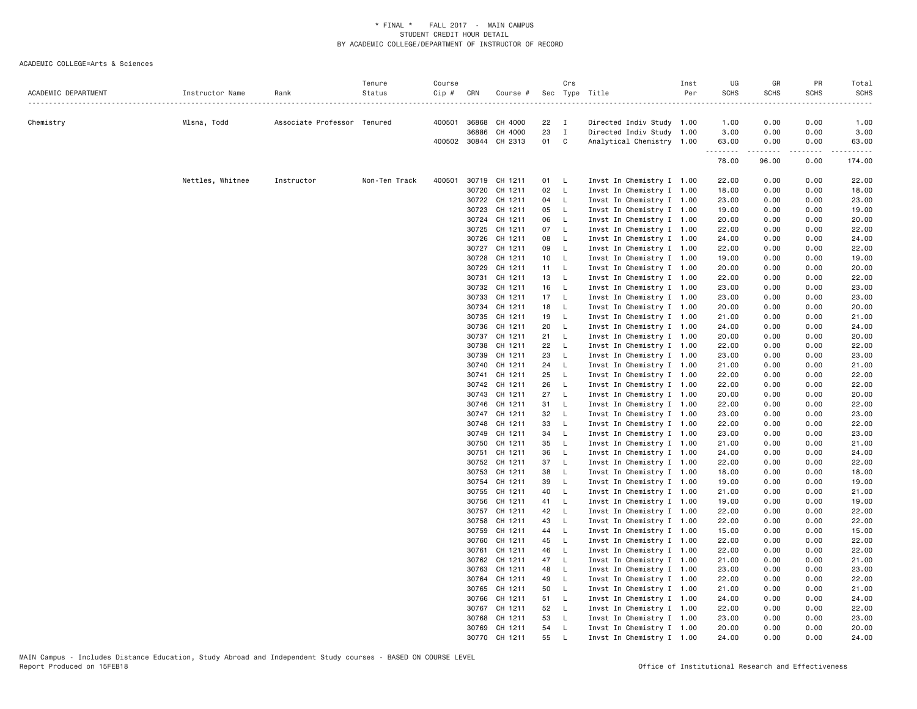|                     |                  |                             | Tenure        | Course         |                |                      |            | Crs          |                                                        | Inst | UG             | GR           | PR           | Total          |
|---------------------|------------------|-----------------------------|---------------|----------------|----------------|----------------------|------------|--------------|--------------------------------------------------------|------|----------------|--------------|--------------|----------------|
| ACADEMIC DEPARTMENT | Instructor Name  | Rank                        | Status        | $Cip \#$ $CRN$ |                | Course #             |            |              | Sec Type Title                                         | Per  | <b>SCHS</b>    | <b>SCHS</b>  | <b>SCHS</b>  | <b>SCHS</b>    |
| Chemistry           | Mlsna, Todd      | Associate Professor Tenured |               |                | 400501 36868   | CH 4000              | $22 \tI$   |              | Directed Indiv Study 1.00                              |      | 1.00           | 0.00         | 0.00         | 1.00           |
|                     |                  |                             |               |                | 36886          | CH 4000              | 23         | $\mathbf{I}$ | Directed Indiv Study 1.00                              |      | 3.00           | 0.00         | 0.00         | 3.00           |
|                     |                  |                             |               |                |                | 400502 30844 CH 2313 | 01 C       |              | Analytical Chemistry 1.00                              |      | 63.00          | 0.00         | 0.00         | 63.00          |
|                     |                  |                             |               |                |                |                      |            |              |                                                        |      | .<br>78.00     | .<br>96.00   | .<br>0.00    | .<br>174.00    |
|                     | Nettles, Whitnee | Instructor                  | Non-Ten Track | 400501         |                | 30719 CH 1211        | 01 L       |              | Invst In Chemistry I 1.00                              |      | 22.00          | 0.00         | 0.00         | 22.00          |
|                     |                  |                             |               |                |                | 30720 CH 1211        | 02         | - L          | Invst In Chemistry I 1.00                              |      | 18.00          | 0.00         | 0.00         | 18.00          |
|                     |                  |                             |               |                |                | 30722 CH 1211        | 04 L       |              | Invst In Chemistry I 1.00                              |      | 23.00          | 0.00         | 0.00         | 23.00          |
|                     |                  |                             |               |                | 30723          | CH 1211              | 05         | $\mathsf{L}$ | Invst In Chemistry I 1.00                              |      | 19.00          | 0.00         | 0.00         | 19.00          |
|                     |                  |                             |               |                |                | 30724 CH 1211        | 06         | $\mathsf{L}$ | Invst In Chemistry I 1.00                              |      | 20.00          | 0.00         | 0.00         | 20.00          |
|                     |                  |                             |               |                | 30725          | CH 1211              | 07 L       |              | Invst In Chemistry I 1.00                              |      | 22.00          | 0.00         | 0.00         | 22.00          |
|                     |                  |                             |               |                | 30726          | CH 1211              | 08         | $\mathsf{L}$ | Invst In Chemistry I 1.00                              |      | 24.00          | 0.00         | 0.00         | 24.00          |
|                     |                  |                             |               |                |                | 30727 CH 1211        | 09         | $\mathsf{L}$ | Invst In Chemistry I 1.00                              |      | 22.00          | 0.00         | 0.00         | 22.00          |
|                     |                  |                             |               |                | 30728          | CH 1211              | 10 L       |              | Invst In Chemistry I 1.00                              |      | 19.00          | 0.00         | 0.00         | 19.00          |
|                     |                  |                             |               |                | 30729          | CH 1211              | 11 L       |              | Invst In Chemistry I 1.00                              |      | 20.00          | 0.00         | 0.00         | 20.00          |
|                     |                  |                             |               |                | 30731          | CH 1211              | 13 L       |              | Invst In Chemistry I 1.00                              |      | 22.00          | 0.00         | 0.00         | 22.00          |
|                     |                  |                             |               |                | 30732          | CH 1211              | 16         | $\mathsf{L}$ | Invst In Chemistry I 1.00                              |      | 23.00          | 0.00         | 0.00         | 23.00          |
|                     |                  |                             |               |                | 30733          | CH 1211              | 17 L       |              | Invst In Chemistry I 1.00                              |      | 23.00          | 0.00         | 0.00         | 23.00          |
|                     |                  |                             |               |                | 30734          | CH 1211              | 18         | $\mathsf{L}$ | Invst In Chemistry I 1.00                              |      | 20.00          | 0.00         | 0.00         | 20.00          |
|                     |                  |                             |               |                | 30735          | CH 1211              | 19         | $\mathsf{L}$ | Invst In Chemistry I 1.00                              |      | 21.00          | 0.00         | 0.00         | 21.00          |
|                     |                  |                             |               |                |                | 30736 CH 1211        | 20         | $\mathsf{L}$ | Invst In Chemistry I 1.00                              |      | 24.00          | 0.00         | 0.00         | 24.00          |
|                     |                  |                             |               |                | 30737          | CH 1211              | 21         | $\mathsf{L}$ | Invst In Chemistry I 1.00                              |      | 20.00          | 0.00         | 0.00         | 20.00          |
|                     |                  |                             |               |                | 30738          | CH 1211              | 22         | $\mathsf{L}$ | Invst In Chemistry I 1.00                              |      | 22.00          | 0.00         | 0.00         | 22.00          |
|                     |                  |                             |               |                | 30739          | CH 1211              | 23         | - L          | Invst In Chemistry I 1.00                              |      | 23.00          | 0.00         | 0.00         | 23.00          |
|                     |                  |                             |               |                | 30740          | CH 1211              | 24         | $\mathsf{L}$ | Invst In Chemistry I 1.00                              |      | 21.00          | 0.00         | 0.00         | 21.00          |
|                     |                  |                             |               |                | 30741          | CH 1211              | 25         | $\mathsf{L}$ | Invst In Chemistry I 1.00                              |      | 22.00          | 0.00         | 0.00         | 22.00          |
|                     |                  |                             |               |                |                | 30742 CH 1211        | 26         | $\mathsf{L}$ | Invst In Chemistry I 1.00                              |      | 22.00          | 0.00         | 0.00         | 22.00          |
|                     |                  |                             |               |                | 30743<br>30746 | CH 1211<br>CH 1211   | 27<br>31 L | $\mathsf{L}$ | Invst In Chemistry I 1.00                              |      | 20.00<br>22.00 | 0.00<br>0.00 | 0.00         | 20.00<br>22.00 |
|                     |                  |                             |               |                |                | 30747 CH 1211        | 32         | $\mathsf{L}$ | Invst In Chemistry I 1.00<br>Invst In Chemistry I 1.00 |      | 23.00          | 0.00         | 0.00<br>0.00 | 23.00          |
|                     |                  |                             |               |                | 30748          | CH 1211              | 33         | $\mathsf{L}$ | Invst In Chemistry I 1.00                              |      | 22.00          | 0.00         | 0.00         | 22.00          |
|                     |                  |                             |               |                |                | 30749 CH 1211        | 34 L       |              | Invst In Chemistry I 1.00                              |      | 23.00          | 0.00         | 0.00         | 23.00          |
|                     |                  |                             |               |                | 30750          | CH 1211              | 35         | $\mathsf{L}$ | Invst In Chemistry I 1.00                              |      | 21.00          | 0.00         | 0.00         | 21.00          |
|                     |                  |                             |               |                | 30751          | CH 1211              | 36         | - L          | Invst In Chemistry I 1.00                              |      | 24.00          | 0.00         | 0.00         | 24.00          |
|                     |                  |                             |               |                |                | 30752 CH 1211        | 37 L       |              | Invst In Chemistry I 1.00                              |      | 22.00          | 0.00         | 0.00         | 22.00          |
|                     |                  |                             |               |                | 30753          | CH 1211              | 38         | $\mathsf{L}$ | Invst In Chemistry I 1.00                              |      | 18.00          | 0.00         | 0.00         | 18.00          |
|                     |                  |                             |               |                |                | 30754 CH 1211        | 39         | $-L$         | Invst In Chemistry I 1.00                              |      | 19.00          | 0.00         | 0.00         | 19.00          |
|                     |                  |                             |               |                |                | 30755 CH 1211        | 40         | $\mathsf{L}$ | Invst In Chemistry I 1.00                              |      | 21.00          | 0.00         | 0.00         | 21.00          |
|                     |                  |                             |               |                |                | 30756 CH 1211        | 41 L       |              | Invst In Chemistry I 1.00                              |      | 19.00          | 0.00         | 0.00         | 19.00          |
|                     |                  |                             |               |                |                | 30757 CH 1211        | 42         | $\mathsf{L}$ | Invst In Chemistry I 1.00                              |      | 22.00          | 0.00         | 0.00         | 22.00          |
|                     |                  |                             |               |                | 30758          | CH 1211              | 43         | - L          | Invst In Chemistry I 1.00                              |      | 22.00          | 0.00         | 0.00         | 22.00          |
|                     |                  |                             |               |                | 30759          | CH 1211              | 44 L       |              | Invst In Chemistry I 1.00                              |      | 15.00          | 0.00         | 0.00         | 15.00          |
|                     |                  |                             |               |                | 30760          | CH 1211              | 45         | $\mathsf{L}$ | Invst In Chemistry I 1.00                              |      | 22.00          | 0.00         | 0.00         | 22.00          |
|                     |                  |                             |               |                | 30761          | CH 1211              | 46         | $\mathsf{L}$ | Invst In Chemistry I 1.00                              |      | 22.00          | 0.00         | 0.00         | 22.00          |
|                     |                  |                             |               |                |                | 30762 CH 1211        | 47         | $\mathsf{L}$ | Invst In Chemistry I 1.00                              |      | 21.00          | 0.00         | 0.00         | 21.00          |
|                     |                  |                             |               |                | 30763          | CH 1211              | 48         | $\mathsf{L}$ | Invst In Chemistry I 1.00                              |      | 23.00          | 0.00         | 0.00         | 23.00          |
|                     |                  |                             |               |                | 30764          | CH 1211              | 49         | - L          | Invst In Chemistry I 1.00                              |      | 22.00          | 0.00         | 0.00         | 22.00          |
|                     |                  |                             |               |                | 30765          | CH 1211              | 50         | $\mathsf{L}$ | Invst In Chemistry I 1.00                              |      | 21.00          | 0.00         | 0.00         | 21.00          |
|                     |                  |                             |               |                | 30766          | CH 1211              | 51 L       |              | Invst In Chemistry I 1.00                              |      | 24.00          | 0.00         | 0.00         | 24.00          |
|                     |                  |                             |               |                |                | 30767 CH 1211        | 52 L       |              | Invst In Chemistry I 1.00                              |      | 22.00          | 0.00         | 0.00         | 22.00          |
|                     |                  |                             |               |                | 30768          | CH 1211              | 53         | L.           | Invst In Chemistry I 1.00                              |      | 23.00          | 0.00         | 0.00         | 23.00          |
|                     |                  |                             |               |                |                | 30769 CH 1211        | 54         | - L          | Invst In Chemistry I 1.00                              |      | 20.00          | 0.00         | 0.00         | 20.00          |
|                     |                  |                             |               |                | 30770          | CH 1211              | 55         | $\mathsf{L}$ | Invst In Chemistry I 1.00                              |      | 24.00          | 0.00         | 0.00         | 24,00          |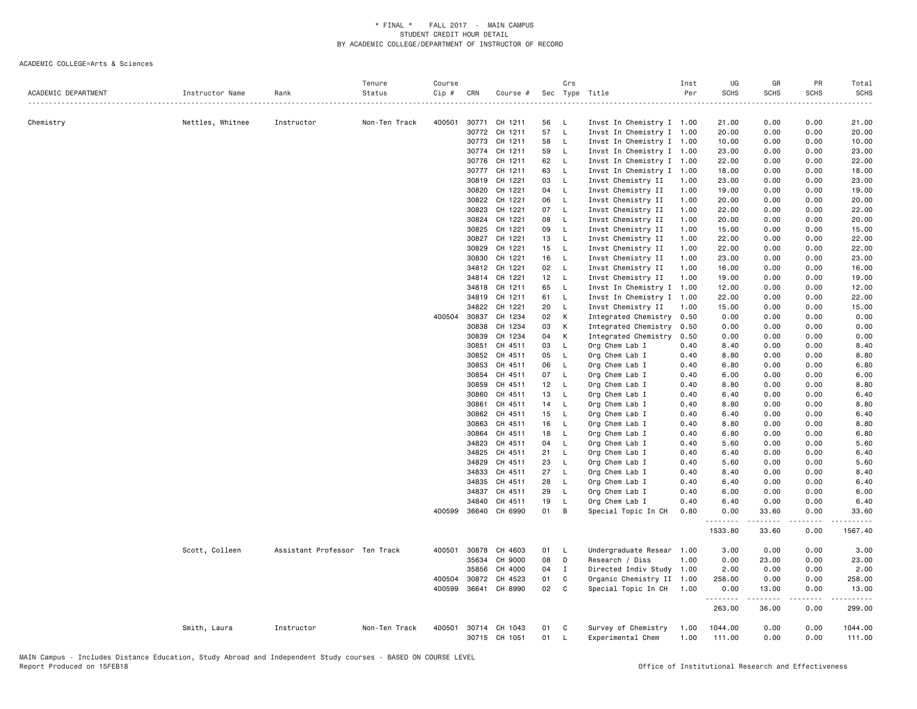| 400501 30771<br>CH 1211<br>0.00<br>0.00<br>21.00<br>Chemistry<br>Nettles, Whitnee<br>Instructor<br>Non-Ten Track<br>56<br>- L<br>Invst In Chemistry I 1.00<br>21.00<br>57<br>$\mathsf{L}$<br>30772<br>CH 1211<br>Invst In Chemistry I 1.00<br>0.00<br>0.00<br>20.00<br>20.00<br>CH 1211<br>58<br>0.00<br>10.00<br>30773<br>L.<br>Invst In Chemistry I 1.00<br>10.00<br>0.00<br>30774<br>CH 1211<br>59<br>Invst In Chemistry I 1.00<br>0.00<br>0.00<br>23.00<br>L.<br>23.00<br>CH 1211<br>62<br>Invst In Chemistry I 1.00<br>0.00<br>22.00<br>30776<br>- L<br>22.00<br>0.00<br>CH 1211<br>63<br>L<br>Invst In Chemistry I 1.00<br>0.00<br>18.00<br>30777<br>18.00<br>0.00<br>30819<br>CH 1221<br>03<br>Invst Chemistry II<br>23.00<br>0.00<br>0.00<br>23.00<br><b>L</b><br>1.00<br>30820<br>CH 1221<br>04<br>Invst Chemistry II<br>19.00<br>0.00<br>19.00<br>L.<br>1.00<br>0.00<br>CH 1221<br>06<br>$\mathsf{L}$<br>20.00<br>0.00<br>30822<br>Invst Chemistry II<br>1.00<br>0.00<br>20.00<br>07<br>0.00<br>30823<br>CH 1221<br>- L<br>Invst Chemistry II<br>1.00<br>22.00<br>0.00<br>22.00<br>30824<br>CH 1221<br>08<br>Invst Chemistry II<br>20.00<br>0.00<br>20.00<br>L.<br>1.00<br>0.00<br>30825<br>CH 1221<br>09<br>$\mathsf{L}$<br>Invst Chemistry II<br>1.00<br>15.00<br>0.00<br>0.00<br>15.00<br>30827<br>CH 1221<br>13<br>$\mathsf{L}$<br>Invst Chemistry II<br>1.00<br>22.00<br>0.00<br>0.00<br>22.00<br>CH 1221<br>0.00<br>22.00<br>30829<br>15<br>$\mathsf{L}$<br>Invst Chemistry II<br>1.00<br>22.00<br>0.00<br>30830<br>CH 1221<br>16<br>$\mathsf{L}$<br>Invst Chemistry II<br>1.00<br>23.00<br>0.00<br>0.00<br>23.00<br>34812<br>CH 1221<br>02<br>$\mathsf{L}$<br>Invst Chemistry II<br>1.00<br>16.00<br>0.00<br>0.00<br>16.00<br>12<br>CH 1221<br>$\mathsf{L}$<br>Invst Chemistry II<br>1.00<br>19.00<br>0.00<br>0.00<br>19.00<br>34814<br>34818<br>CH 1211<br>65<br>Invst In Chemistry I 1.00<br>0.00<br>12.00<br>L.<br>12.00<br>0.00<br>34819<br>CH 1211<br>61<br>Invst In Chemistry I<br>22.00<br>- L<br>1.00<br>22.00<br>0.00<br>0.00<br>34822<br>CH 1221<br>20<br>15.00<br>L.<br>Invst Chemistry II<br>1.00<br>15.00<br>0.00<br>0.00<br>0.00<br>400504 30837<br>CH 1234<br>02<br>K<br>Integrated Chemistry 0.50<br>0.00<br>0.00<br>0.00<br>30838<br>CH 1234<br>03<br>Integrated Chemistry<br>0.00<br>0.00<br>K<br>0.50<br>0.00<br>0.00<br>30839<br>CH 1234<br>04<br>K<br>Integrated Chemistry<br>0.50<br>0.00<br>0.00<br>0.00<br>0.00<br>CH 4511<br>03<br>$\mathsf{L}$<br>8.40<br>0.00<br>30851<br>Org Chem Lab I<br>0.40<br>0.00<br>8.40<br>CH 4511<br>0.00<br>30852<br>05<br>$\mathsf{L}$<br>Org Chem Lab I<br>0.40<br>8.80<br>0.00<br>8.80<br>06<br>30853<br>CH 4511<br>L<br>Org Chem Lab I<br>0.40<br>6.80<br>0.00<br>0.00<br>6.80<br>30854<br>CH 4511<br>07<br>$\mathsf{L}$<br>Org Chem Lab I<br>0.40<br>6.00<br>0.00<br>0.00<br>6.00<br>30859<br>CH 4511<br>12<br>8.80<br>0.00<br>0.00<br>8.80<br>- L<br>Org Chem Lab I<br>0.40<br>30860<br>CH 4511<br>13<br>$\mathsf{L}$<br>Org Chem Lab I<br>0.40<br>6.40<br>0.00<br>0.00<br>6.40<br>30861<br>CH 4511<br>14<br>Org Chem Lab I<br>0.40<br>8.80<br>0.00<br>8.80<br>- L<br>0.00<br>30862<br>CH 4511<br>15<br>$\mathsf{L}$<br>6.40<br>0.00<br>0.00<br>6.40<br>Org Chem Lab I<br>0.40<br>30863<br>CH 4511<br>16<br>Org Chem Lab I<br>0.40<br>8.80<br>0.00<br>0.00<br>8.80<br>L.<br>30864<br>CH 4511<br>18<br>0.40<br>6.80<br>0.00<br>0.00<br>6.80<br>L<br>Org Chem Lab I<br>34823<br>CH 4511<br>04<br>Org Chem Lab I<br>0.40<br>5.60<br>0.00<br>5.60<br>L.<br>0.00<br>21<br>0.00<br>34825<br>CH 4511<br>- L<br>Org Chem Lab I<br>0.40<br>6.40<br>0.00<br>6.40<br>5.60<br>34829<br>CH 4511<br>23<br>Org Chem Lab I<br>0.40<br>5.60<br>0.00<br>0.00<br>L.<br>27<br>34833<br>CH 4511<br>L<br>Org Chem Lab I<br>0.40<br>8.40<br>0.00<br>0.00<br>8.40<br>34835<br>CH 4511<br>28<br>L<br>Org Chem Lab I<br>0.40<br>6.40<br>0.00<br>0.00<br>6.40<br>0.00<br>34837<br>CH 4511<br>29<br>L,<br>Org Chem Lab I<br>0.40<br>6.00<br>0.00<br>6.00<br>19<br>34840<br>CH 4511<br>L<br>Org Chem Lab I<br>0.40<br>6.40<br>0.00<br>0.00<br>6.40<br>400599 36640<br>CH 6990<br>01<br>B<br>Special Topic In CH<br>0.80<br>0.00<br>33.60<br>0.00<br>33.60<br>.<br>.<br>.<br><u>.</u><br>1533.80<br>33.60<br>0.00<br>1567.40<br>3.00<br>3.00<br>Scott, Colleen<br>Assistant Professor Ten Track<br>400501<br>30878<br>CH 4603<br>01<br>- L<br>Undergraduate Resear 1.00<br>0.00<br>0.00<br>35634<br>CH 9000<br>08<br>0.00<br>0.00<br>23.00<br>$\mathsf{D}$<br>Research / Diss<br>1.00<br>23.00<br>35856<br>CH 4000<br>04<br>Directed Indiv Study 1.00<br>2.00<br>0.00<br>0.00<br>2.00<br>$\mathbf{I}$<br>400504 30872<br>CH 4523<br>01<br>C<br>Organic Chemistry II 1.00<br>258.00<br>0.00<br>258.00<br>0.00<br>02<br>400599 36641<br>CH 8990<br>C.<br>Special Topic In CH 1.00<br>0.00<br>13.00<br>0.00<br>13.00<br>.<br>.<br>-----<br>. <b>.</b><br>263.00<br>36.00<br>0.00<br>299.00<br>400501<br>30714 CH 1043<br>Survey of Chemistry<br>1044.00<br>0.00<br>0.00<br>1044.00<br>Smith, Laura<br>Instructor<br>Non-Ten Track<br>01<br><b>C</b><br>1.00<br>30715 CH 1051<br>01<br>$\mathsf{L}$<br>Experimental Chem<br>1.00<br>111.00<br>0.00<br>0.00<br>111.00 | ACADEMIC DEPARTMENT | Instructor Name | Rank | Tenure<br>Status<br>. | Course<br>Cip # | CRN | Course # | Crs | Sec Type Title | Inst<br>Per | UG<br><b>SCHS</b> | GR<br><b>SCHS</b> | PR<br><b>SCHS</b> | Total<br><b>SCHS</b> |
|-----------------------------------------------------------------------------------------------------------------------------------------------------------------------------------------------------------------------------------------------------------------------------------------------------------------------------------------------------------------------------------------------------------------------------------------------------------------------------------------------------------------------------------------------------------------------------------------------------------------------------------------------------------------------------------------------------------------------------------------------------------------------------------------------------------------------------------------------------------------------------------------------------------------------------------------------------------------------------------------------------------------------------------------------------------------------------------------------------------------------------------------------------------------------------------------------------------------------------------------------------------------------------------------------------------------------------------------------------------------------------------------------------------------------------------------------------------------------------------------------------------------------------------------------------------------------------------------------------------------------------------------------------------------------------------------------------------------------------------------------------------------------------------------------------------------------------------------------------------------------------------------------------------------------------------------------------------------------------------------------------------------------------------------------------------------------------------------------------------------------------------------------------------------------------------------------------------------------------------------------------------------------------------------------------------------------------------------------------------------------------------------------------------------------------------------------------------------------------------------------------------------------------------------------------------------------------------------------------------------------------------------------------------------------------------------------------------------------------------------------------------------------------------------------------------------------------------------------------------------------------------------------------------------------------------------------------------------------------------------------------------------------------------------------------------------------------------------------------------------------------------------------------------------------------------------------------------------------------------------------------------------------------------------------------------------------------------------------------------------------------------------------------------------------------------------------------------------------------------------------------------------------------------------------------------------------------------------------------------------------------------------------------------------------------------------------------------------------------------------------------------------------------------------------------------------------------------------------------------------------------------------------------------------------------------------------------------------------------------------------------------------------------------------------------------------------------------------------------------------------------------------------------------------------------------------------------------------------------------------------------------------------------------------------------------------------------------------------------------------------------------------------------------------------------------------------------------------------------------------------------------------------------------------------------------------------------------------------------------------------------------------------------------------------------------------------------------------------------------------------------------------------------------------------------------------------------------------------------------------------------------------------------------------------------------------------------------------------------------------------------------------------------------------------------------------------------------------------------------------------------------------------------------------------------------------------------------------|---------------------|-----------------|------|-----------------------|-----------------|-----|----------|-----|----------------|-------------|-------------------|-------------------|-------------------|----------------------|
|                                                                                                                                                                                                                                                                                                                                                                                                                                                                                                                                                                                                                                                                                                                                                                                                                                                                                                                                                                                                                                                                                                                                                                                                                                                                                                                                                                                                                                                                                                                                                                                                                                                                                                                                                                                                                                                                                                                                                                                                                                                                                                                                                                                                                                                                                                                                                                                                                                                                                                                                                                                                                                                                                                                                                                                                                                                                                                                                                                                                                                                                                                                                                                                                                                                                                                                                                                                                                                                                                                                                                                                                                                                                                                                                                                                                                                                                                                                                                                                                                                                                                                                                                                                                                                                                                                                                                                                                                                                                                                                                                                                                                                                                                                                                                                                                                                                                                                                                                                                                                                                                                                                                                                                                                 |                     |                 |      |                       |                 |     |          |     |                |             |                   |                   |                   |                      |
|                                                                                                                                                                                                                                                                                                                                                                                                                                                                                                                                                                                                                                                                                                                                                                                                                                                                                                                                                                                                                                                                                                                                                                                                                                                                                                                                                                                                                                                                                                                                                                                                                                                                                                                                                                                                                                                                                                                                                                                                                                                                                                                                                                                                                                                                                                                                                                                                                                                                                                                                                                                                                                                                                                                                                                                                                                                                                                                                                                                                                                                                                                                                                                                                                                                                                                                                                                                                                                                                                                                                                                                                                                                                                                                                                                                                                                                                                                                                                                                                                                                                                                                                                                                                                                                                                                                                                                                                                                                                                                                                                                                                                                                                                                                                                                                                                                                                                                                                                                                                                                                                                                                                                                                                                 |                     |                 |      |                       |                 |     |          |     |                |             |                   |                   |                   |                      |
|                                                                                                                                                                                                                                                                                                                                                                                                                                                                                                                                                                                                                                                                                                                                                                                                                                                                                                                                                                                                                                                                                                                                                                                                                                                                                                                                                                                                                                                                                                                                                                                                                                                                                                                                                                                                                                                                                                                                                                                                                                                                                                                                                                                                                                                                                                                                                                                                                                                                                                                                                                                                                                                                                                                                                                                                                                                                                                                                                                                                                                                                                                                                                                                                                                                                                                                                                                                                                                                                                                                                                                                                                                                                                                                                                                                                                                                                                                                                                                                                                                                                                                                                                                                                                                                                                                                                                                                                                                                                                                                                                                                                                                                                                                                                                                                                                                                                                                                                                                                                                                                                                                                                                                                                                 |                     |                 |      |                       |                 |     |          |     |                |             |                   |                   |                   |                      |
|                                                                                                                                                                                                                                                                                                                                                                                                                                                                                                                                                                                                                                                                                                                                                                                                                                                                                                                                                                                                                                                                                                                                                                                                                                                                                                                                                                                                                                                                                                                                                                                                                                                                                                                                                                                                                                                                                                                                                                                                                                                                                                                                                                                                                                                                                                                                                                                                                                                                                                                                                                                                                                                                                                                                                                                                                                                                                                                                                                                                                                                                                                                                                                                                                                                                                                                                                                                                                                                                                                                                                                                                                                                                                                                                                                                                                                                                                                                                                                                                                                                                                                                                                                                                                                                                                                                                                                                                                                                                                                                                                                                                                                                                                                                                                                                                                                                                                                                                                                                                                                                                                                                                                                                                                 |                     |                 |      |                       |                 |     |          |     |                |             |                   |                   |                   |                      |
|                                                                                                                                                                                                                                                                                                                                                                                                                                                                                                                                                                                                                                                                                                                                                                                                                                                                                                                                                                                                                                                                                                                                                                                                                                                                                                                                                                                                                                                                                                                                                                                                                                                                                                                                                                                                                                                                                                                                                                                                                                                                                                                                                                                                                                                                                                                                                                                                                                                                                                                                                                                                                                                                                                                                                                                                                                                                                                                                                                                                                                                                                                                                                                                                                                                                                                                                                                                                                                                                                                                                                                                                                                                                                                                                                                                                                                                                                                                                                                                                                                                                                                                                                                                                                                                                                                                                                                                                                                                                                                                                                                                                                                                                                                                                                                                                                                                                                                                                                                                                                                                                                                                                                                                                                 |                     |                 |      |                       |                 |     |          |     |                |             |                   |                   |                   |                      |
|                                                                                                                                                                                                                                                                                                                                                                                                                                                                                                                                                                                                                                                                                                                                                                                                                                                                                                                                                                                                                                                                                                                                                                                                                                                                                                                                                                                                                                                                                                                                                                                                                                                                                                                                                                                                                                                                                                                                                                                                                                                                                                                                                                                                                                                                                                                                                                                                                                                                                                                                                                                                                                                                                                                                                                                                                                                                                                                                                                                                                                                                                                                                                                                                                                                                                                                                                                                                                                                                                                                                                                                                                                                                                                                                                                                                                                                                                                                                                                                                                                                                                                                                                                                                                                                                                                                                                                                                                                                                                                                                                                                                                                                                                                                                                                                                                                                                                                                                                                                                                                                                                                                                                                                                                 |                     |                 |      |                       |                 |     |          |     |                |             |                   |                   |                   |                      |
|                                                                                                                                                                                                                                                                                                                                                                                                                                                                                                                                                                                                                                                                                                                                                                                                                                                                                                                                                                                                                                                                                                                                                                                                                                                                                                                                                                                                                                                                                                                                                                                                                                                                                                                                                                                                                                                                                                                                                                                                                                                                                                                                                                                                                                                                                                                                                                                                                                                                                                                                                                                                                                                                                                                                                                                                                                                                                                                                                                                                                                                                                                                                                                                                                                                                                                                                                                                                                                                                                                                                                                                                                                                                                                                                                                                                                                                                                                                                                                                                                                                                                                                                                                                                                                                                                                                                                                                                                                                                                                                                                                                                                                                                                                                                                                                                                                                                                                                                                                                                                                                                                                                                                                                                                 |                     |                 |      |                       |                 |     |          |     |                |             |                   |                   |                   |                      |
|                                                                                                                                                                                                                                                                                                                                                                                                                                                                                                                                                                                                                                                                                                                                                                                                                                                                                                                                                                                                                                                                                                                                                                                                                                                                                                                                                                                                                                                                                                                                                                                                                                                                                                                                                                                                                                                                                                                                                                                                                                                                                                                                                                                                                                                                                                                                                                                                                                                                                                                                                                                                                                                                                                                                                                                                                                                                                                                                                                                                                                                                                                                                                                                                                                                                                                                                                                                                                                                                                                                                                                                                                                                                                                                                                                                                                                                                                                                                                                                                                                                                                                                                                                                                                                                                                                                                                                                                                                                                                                                                                                                                                                                                                                                                                                                                                                                                                                                                                                                                                                                                                                                                                                                                                 |                     |                 |      |                       |                 |     |          |     |                |             |                   |                   |                   |                      |
|                                                                                                                                                                                                                                                                                                                                                                                                                                                                                                                                                                                                                                                                                                                                                                                                                                                                                                                                                                                                                                                                                                                                                                                                                                                                                                                                                                                                                                                                                                                                                                                                                                                                                                                                                                                                                                                                                                                                                                                                                                                                                                                                                                                                                                                                                                                                                                                                                                                                                                                                                                                                                                                                                                                                                                                                                                                                                                                                                                                                                                                                                                                                                                                                                                                                                                                                                                                                                                                                                                                                                                                                                                                                                                                                                                                                                                                                                                                                                                                                                                                                                                                                                                                                                                                                                                                                                                                                                                                                                                                                                                                                                                                                                                                                                                                                                                                                                                                                                                                                                                                                                                                                                                                                                 |                     |                 |      |                       |                 |     |          |     |                |             |                   |                   |                   |                      |
|                                                                                                                                                                                                                                                                                                                                                                                                                                                                                                                                                                                                                                                                                                                                                                                                                                                                                                                                                                                                                                                                                                                                                                                                                                                                                                                                                                                                                                                                                                                                                                                                                                                                                                                                                                                                                                                                                                                                                                                                                                                                                                                                                                                                                                                                                                                                                                                                                                                                                                                                                                                                                                                                                                                                                                                                                                                                                                                                                                                                                                                                                                                                                                                                                                                                                                                                                                                                                                                                                                                                                                                                                                                                                                                                                                                                                                                                                                                                                                                                                                                                                                                                                                                                                                                                                                                                                                                                                                                                                                                                                                                                                                                                                                                                                                                                                                                                                                                                                                                                                                                                                                                                                                                                                 |                     |                 |      |                       |                 |     |          |     |                |             |                   |                   |                   |                      |
|                                                                                                                                                                                                                                                                                                                                                                                                                                                                                                                                                                                                                                                                                                                                                                                                                                                                                                                                                                                                                                                                                                                                                                                                                                                                                                                                                                                                                                                                                                                                                                                                                                                                                                                                                                                                                                                                                                                                                                                                                                                                                                                                                                                                                                                                                                                                                                                                                                                                                                                                                                                                                                                                                                                                                                                                                                                                                                                                                                                                                                                                                                                                                                                                                                                                                                                                                                                                                                                                                                                                                                                                                                                                                                                                                                                                                                                                                                                                                                                                                                                                                                                                                                                                                                                                                                                                                                                                                                                                                                                                                                                                                                                                                                                                                                                                                                                                                                                                                                                                                                                                                                                                                                                                                 |                     |                 |      |                       |                 |     |          |     |                |             |                   |                   |                   |                      |
|                                                                                                                                                                                                                                                                                                                                                                                                                                                                                                                                                                                                                                                                                                                                                                                                                                                                                                                                                                                                                                                                                                                                                                                                                                                                                                                                                                                                                                                                                                                                                                                                                                                                                                                                                                                                                                                                                                                                                                                                                                                                                                                                                                                                                                                                                                                                                                                                                                                                                                                                                                                                                                                                                                                                                                                                                                                                                                                                                                                                                                                                                                                                                                                                                                                                                                                                                                                                                                                                                                                                                                                                                                                                                                                                                                                                                                                                                                                                                                                                                                                                                                                                                                                                                                                                                                                                                                                                                                                                                                                                                                                                                                                                                                                                                                                                                                                                                                                                                                                                                                                                                                                                                                                                                 |                     |                 |      |                       |                 |     |          |     |                |             |                   |                   |                   |                      |
|                                                                                                                                                                                                                                                                                                                                                                                                                                                                                                                                                                                                                                                                                                                                                                                                                                                                                                                                                                                                                                                                                                                                                                                                                                                                                                                                                                                                                                                                                                                                                                                                                                                                                                                                                                                                                                                                                                                                                                                                                                                                                                                                                                                                                                                                                                                                                                                                                                                                                                                                                                                                                                                                                                                                                                                                                                                                                                                                                                                                                                                                                                                                                                                                                                                                                                                                                                                                                                                                                                                                                                                                                                                                                                                                                                                                                                                                                                                                                                                                                                                                                                                                                                                                                                                                                                                                                                                                                                                                                                                                                                                                                                                                                                                                                                                                                                                                                                                                                                                                                                                                                                                                                                                                                 |                     |                 |      |                       |                 |     |          |     |                |             |                   |                   |                   |                      |
|                                                                                                                                                                                                                                                                                                                                                                                                                                                                                                                                                                                                                                                                                                                                                                                                                                                                                                                                                                                                                                                                                                                                                                                                                                                                                                                                                                                                                                                                                                                                                                                                                                                                                                                                                                                                                                                                                                                                                                                                                                                                                                                                                                                                                                                                                                                                                                                                                                                                                                                                                                                                                                                                                                                                                                                                                                                                                                                                                                                                                                                                                                                                                                                                                                                                                                                                                                                                                                                                                                                                                                                                                                                                                                                                                                                                                                                                                                                                                                                                                                                                                                                                                                                                                                                                                                                                                                                                                                                                                                                                                                                                                                                                                                                                                                                                                                                                                                                                                                                                                                                                                                                                                                                                                 |                     |                 |      |                       |                 |     |          |     |                |             |                   |                   |                   |                      |
|                                                                                                                                                                                                                                                                                                                                                                                                                                                                                                                                                                                                                                                                                                                                                                                                                                                                                                                                                                                                                                                                                                                                                                                                                                                                                                                                                                                                                                                                                                                                                                                                                                                                                                                                                                                                                                                                                                                                                                                                                                                                                                                                                                                                                                                                                                                                                                                                                                                                                                                                                                                                                                                                                                                                                                                                                                                                                                                                                                                                                                                                                                                                                                                                                                                                                                                                                                                                                                                                                                                                                                                                                                                                                                                                                                                                                                                                                                                                                                                                                                                                                                                                                                                                                                                                                                                                                                                                                                                                                                                                                                                                                                                                                                                                                                                                                                                                                                                                                                                                                                                                                                                                                                                                                 |                     |                 |      |                       |                 |     |          |     |                |             |                   |                   |                   |                      |
|                                                                                                                                                                                                                                                                                                                                                                                                                                                                                                                                                                                                                                                                                                                                                                                                                                                                                                                                                                                                                                                                                                                                                                                                                                                                                                                                                                                                                                                                                                                                                                                                                                                                                                                                                                                                                                                                                                                                                                                                                                                                                                                                                                                                                                                                                                                                                                                                                                                                                                                                                                                                                                                                                                                                                                                                                                                                                                                                                                                                                                                                                                                                                                                                                                                                                                                                                                                                                                                                                                                                                                                                                                                                                                                                                                                                                                                                                                                                                                                                                                                                                                                                                                                                                                                                                                                                                                                                                                                                                                                                                                                                                                                                                                                                                                                                                                                                                                                                                                                                                                                                                                                                                                                                                 |                     |                 |      |                       |                 |     |          |     |                |             |                   |                   |                   |                      |
|                                                                                                                                                                                                                                                                                                                                                                                                                                                                                                                                                                                                                                                                                                                                                                                                                                                                                                                                                                                                                                                                                                                                                                                                                                                                                                                                                                                                                                                                                                                                                                                                                                                                                                                                                                                                                                                                                                                                                                                                                                                                                                                                                                                                                                                                                                                                                                                                                                                                                                                                                                                                                                                                                                                                                                                                                                                                                                                                                                                                                                                                                                                                                                                                                                                                                                                                                                                                                                                                                                                                                                                                                                                                                                                                                                                                                                                                                                                                                                                                                                                                                                                                                                                                                                                                                                                                                                                                                                                                                                                                                                                                                                                                                                                                                                                                                                                                                                                                                                                                                                                                                                                                                                                                                 |                     |                 |      |                       |                 |     |          |     |                |             |                   |                   |                   |                      |
|                                                                                                                                                                                                                                                                                                                                                                                                                                                                                                                                                                                                                                                                                                                                                                                                                                                                                                                                                                                                                                                                                                                                                                                                                                                                                                                                                                                                                                                                                                                                                                                                                                                                                                                                                                                                                                                                                                                                                                                                                                                                                                                                                                                                                                                                                                                                                                                                                                                                                                                                                                                                                                                                                                                                                                                                                                                                                                                                                                                                                                                                                                                                                                                                                                                                                                                                                                                                                                                                                                                                                                                                                                                                                                                                                                                                                                                                                                                                                                                                                                                                                                                                                                                                                                                                                                                                                                                                                                                                                                                                                                                                                                                                                                                                                                                                                                                                                                                                                                                                                                                                                                                                                                                                                 |                     |                 |      |                       |                 |     |          |     |                |             |                   |                   |                   |                      |
|                                                                                                                                                                                                                                                                                                                                                                                                                                                                                                                                                                                                                                                                                                                                                                                                                                                                                                                                                                                                                                                                                                                                                                                                                                                                                                                                                                                                                                                                                                                                                                                                                                                                                                                                                                                                                                                                                                                                                                                                                                                                                                                                                                                                                                                                                                                                                                                                                                                                                                                                                                                                                                                                                                                                                                                                                                                                                                                                                                                                                                                                                                                                                                                                                                                                                                                                                                                                                                                                                                                                                                                                                                                                                                                                                                                                                                                                                                                                                                                                                                                                                                                                                                                                                                                                                                                                                                                                                                                                                                                                                                                                                                                                                                                                                                                                                                                                                                                                                                                                                                                                                                                                                                                                                 |                     |                 |      |                       |                 |     |          |     |                |             |                   |                   |                   |                      |
|                                                                                                                                                                                                                                                                                                                                                                                                                                                                                                                                                                                                                                                                                                                                                                                                                                                                                                                                                                                                                                                                                                                                                                                                                                                                                                                                                                                                                                                                                                                                                                                                                                                                                                                                                                                                                                                                                                                                                                                                                                                                                                                                                                                                                                                                                                                                                                                                                                                                                                                                                                                                                                                                                                                                                                                                                                                                                                                                                                                                                                                                                                                                                                                                                                                                                                                                                                                                                                                                                                                                                                                                                                                                                                                                                                                                                                                                                                                                                                                                                                                                                                                                                                                                                                                                                                                                                                                                                                                                                                                                                                                                                                                                                                                                                                                                                                                                                                                                                                                                                                                                                                                                                                                                                 |                     |                 |      |                       |                 |     |          |     |                |             |                   |                   |                   |                      |
|                                                                                                                                                                                                                                                                                                                                                                                                                                                                                                                                                                                                                                                                                                                                                                                                                                                                                                                                                                                                                                                                                                                                                                                                                                                                                                                                                                                                                                                                                                                                                                                                                                                                                                                                                                                                                                                                                                                                                                                                                                                                                                                                                                                                                                                                                                                                                                                                                                                                                                                                                                                                                                                                                                                                                                                                                                                                                                                                                                                                                                                                                                                                                                                                                                                                                                                                                                                                                                                                                                                                                                                                                                                                                                                                                                                                                                                                                                                                                                                                                                                                                                                                                                                                                                                                                                                                                                                                                                                                                                                                                                                                                                                                                                                                                                                                                                                                                                                                                                                                                                                                                                                                                                                                                 |                     |                 |      |                       |                 |     |          |     |                |             |                   |                   |                   |                      |
|                                                                                                                                                                                                                                                                                                                                                                                                                                                                                                                                                                                                                                                                                                                                                                                                                                                                                                                                                                                                                                                                                                                                                                                                                                                                                                                                                                                                                                                                                                                                                                                                                                                                                                                                                                                                                                                                                                                                                                                                                                                                                                                                                                                                                                                                                                                                                                                                                                                                                                                                                                                                                                                                                                                                                                                                                                                                                                                                                                                                                                                                                                                                                                                                                                                                                                                                                                                                                                                                                                                                                                                                                                                                                                                                                                                                                                                                                                                                                                                                                                                                                                                                                                                                                                                                                                                                                                                                                                                                                                                                                                                                                                                                                                                                                                                                                                                                                                                                                                                                                                                                                                                                                                                                                 |                     |                 |      |                       |                 |     |          |     |                |             |                   |                   |                   |                      |
|                                                                                                                                                                                                                                                                                                                                                                                                                                                                                                                                                                                                                                                                                                                                                                                                                                                                                                                                                                                                                                                                                                                                                                                                                                                                                                                                                                                                                                                                                                                                                                                                                                                                                                                                                                                                                                                                                                                                                                                                                                                                                                                                                                                                                                                                                                                                                                                                                                                                                                                                                                                                                                                                                                                                                                                                                                                                                                                                                                                                                                                                                                                                                                                                                                                                                                                                                                                                                                                                                                                                                                                                                                                                                                                                                                                                                                                                                                                                                                                                                                                                                                                                                                                                                                                                                                                                                                                                                                                                                                                                                                                                                                                                                                                                                                                                                                                                                                                                                                                                                                                                                                                                                                                                                 |                     |                 |      |                       |                 |     |          |     |                |             |                   |                   |                   |                      |
|                                                                                                                                                                                                                                                                                                                                                                                                                                                                                                                                                                                                                                                                                                                                                                                                                                                                                                                                                                                                                                                                                                                                                                                                                                                                                                                                                                                                                                                                                                                                                                                                                                                                                                                                                                                                                                                                                                                                                                                                                                                                                                                                                                                                                                                                                                                                                                                                                                                                                                                                                                                                                                                                                                                                                                                                                                                                                                                                                                                                                                                                                                                                                                                                                                                                                                                                                                                                                                                                                                                                                                                                                                                                                                                                                                                                                                                                                                                                                                                                                                                                                                                                                                                                                                                                                                                                                                                                                                                                                                                                                                                                                                                                                                                                                                                                                                                                                                                                                                                                                                                                                                                                                                                                                 |                     |                 |      |                       |                 |     |          |     |                |             |                   |                   |                   |                      |
|                                                                                                                                                                                                                                                                                                                                                                                                                                                                                                                                                                                                                                                                                                                                                                                                                                                                                                                                                                                                                                                                                                                                                                                                                                                                                                                                                                                                                                                                                                                                                                                                                                                                                                                                                                                                                                                                                                                                                                                                                                                                                                                                                                                                                                                                                                                                                                                                                                                                                                                                                                                                                                                                                                                                                                                                                                                                                                                                                                                                                                                                                                                                                                                                                                                                                                                                                                                                                                                                                                                                                                                                                                                                                                                                                                                                                                                                                                                                                                                                                                                                                                                                                                                                                                                                                                                                                                                                                                                                                                                                                                                                                                                                                                                                                                                                                                                                                                                                                                                                                                                                                                                                                                                                                 |                     |                 |      |                       |                 |     |          |     |                |             |                   |                   |                   |                      |
|                                                                                                                                                                                                                                                                                                                                                                                                                                                                                                                                                                                                                                                                                                                                                                                                                                                                                                                                                                                                                                                                                                                                                                                                                                                                                                                                                                                                                                                                                                                                                                                                                                                                                                                                                                                                                                                                                                                                                                                                                                                                                                                                                                                                                                                                                                                                                                                                                                                                                                                                                                                                                                                                                                                                                                                                                                                                                                                                                                                                                                                                                                                                                                                                                                                                                                                                                                                                                                                                                                                                                                                                                                                                                                                                                                                                                                                                                                                                                                                                                                                                                                                                                                                                                                                                                                                                                                                                                                                                                                                                                                                                                                                                                                                                                                                                                                                                                                                                                                                                                                                                                                                                                                                                                 |                     |                 |      |                       |                 |     |          |     |                |             |                   |                   |                   |                      |
|                                                                                                                                                                                                                                                                                                                                                                                                                                                                                                                                                                                                                                                                                                                                                                                                                                                                                                                                                                                                                                                                                                                                                                                                                                                                                                                                                                                                                                                                                                                                                                                                                                                                                                                                                                                                                                                                                                                                                                                                                                                                                                                                                                                                                                                                                                                                                                                                                                                                                                                                                                                                                                                                                                                                                                                                                                                                                                                                                                                                                                                                                                                                                                                                                                                                                                                                                                                                                                                                                                                                                                                                                                                                                                                                                                                                                                                                                                                                                                                                                                                                                                                                                                                                                                                                                                                                                                                                                                                                                                                                                                                                                                                                                                                                                                                                                                                                                                                                                                                                                                                                                                                                                                                                                 |                     |                 |      |                       |                 |     |          |     |                |             |                   |                   |                   |                      |
|                                                                                                                                                                                                                                                                                                                                                                                                                                                                                                                                                                                                                                                                                                                                                                                                                                                                                                                                                                                                                                                                                                                                                                                                                                                                                                                                                                                                                                                                                                                                                                                                                                                                                                                                                                                                                                                                                                                                                                                                                                                                                                                                                                                                                                                                                                                                                                                                                                                                                                                                                                                                                                                                                                                                                                                                                                                                                                                                                                                                                                                                                                                                                                                                                                                                                                                                                                                                                                                                                                                                                                                                                                                                                                                                                                                                                                                                                                                                                                                                                                                                                                                                                                                                                                                                                                                                                                                                                                                                                                                                                                                                                                                                                                                                                                                                                                                                                                                                                                                                                                                                                                                                                                                                                 |                     |                 |      |                       |                 |     |          |     |                |             |                   |                   |                   |                      |
|                                                                                                                                                                                                                                                                                                                                                                                                                                                                                                                                                                                                                                                                                                                                                                                                                                                                                                                                                                                                                                                                                                                                                                                                                                                                                                                                                                                                                                                                                                                                                                                                                                                                                                                                                                                                                                                                                                                                                                                                                                                                                                                                                                                                                                                                                                                                                                                                                                                                                                                                                                                                                                                                                                                                                                                                                                                                                                                                                                                                                                                                                                                                                                                                                                                                                                                                                                                                                                                                                                                                                                                                                                                                                                                                                                                                                                                                                                                                                                                                                                                                                                                                                                                                                                                                                                                                                                                                                                                                                                                                                                                                                                                                                                                                                                                                                                                                                                                                                                                                                                                                                                                                                                                                                 |                     |                 |      |                       |                 |     |          |     |                |             |                   |                   |                   |                      |
|                                                                                                                                                                                                                                                                                                                                                                                                                                                                                                                                                                                                                                                                                                                                                                                                                                                                                                                                                                                                                                                                                                                                                                                                                                                                                                                                                                                                                                                                                                                                                                                                                                                                                                                                                                                                                                                                                                                                                                                                                                                                                                                                                                                                                                                                                                                                                                                                                                                                                                                                                                                                                                                                                                                                                                                                                                                                                                                                                                                                                                                                                                                                                                                                                                                                                                                                                                                                                                                                                                                                                                                                                                                                                                                                                                                                                                                                                                                                                                                                                                                                                                                                                                                                                                                                                                                                                                                                                                                                                                                                                                                                                                                                                                                                                                                                                                                                                                                                                                                                                                                                                                                                                                                                                 |                     |                 |      |                       |                 |     |          |     |                |             |                   |                   |                   |                      |
|                                                                                                                                                                                                                                                                                                                                                                                                                                                                                                                                                                                                                                                                                                                                                                                                                                                                                                                                                                                                                                                                                                                                                                                                                                                                                                                                                                                                                                                                                                                                                                                                                                                                                                                                                                                                                                                                                                                                                                                                                                                                                                                                                                                                                                                                                                                                                                                                                                                                                                                                                                                                                                                                                                                                                                                                                                                                                                                                                                                                                                                                                                                                                                                                                                                                                                                                                                                                                                                                                                                                                                                                                                                                                                                                                                                                                                                                                                                                                                                                                                                                                                                                                                                                                                                                                                                                                                                                                                                                                                                                                                                                                                                                                                                                                                                                                                                                                                                                                                                                                                                                                                                                                                                                                 |                     |                 |      |                       |                 |     |          |     |                |             |                   |                   |                   |                      |
|                                                                                                                                                                                                                                                                                                                                                                                                                                                                                                                                                                                                                                                                                                                                                                                                                                                                                                                                                                                                                                                                                                                                                                                                                                                                                                                                                                                                                                                                                                                                                                                                                                                                                                                                                                                                                                                                                                                                                                                                                                                                                                                                                                                                                                                                                                                                                                                                                                                                                                                                                                                                                                                                                                                                                                                                                                                                                                                                                                                                                                                                                                                                                                                                                                                                                                                                                                                                                                                                                                                                                                                                                                                                                                                                                                                                                                                                                                                                                                                                                                                                                                                                                                                                                                                                                                                                                                                                                                                                                                                                                                                                                                                                                                                                                                                                                                                                                                                                                                                                                                                                                                                                                                                                                 |                     |                 |      |                       |                 |     |          |     |                |             |                   |                   |                   |                      |
|                                                                                                                                                                                                                                                                                                                                                                                                                                                                                                                                                                                                                                                                                                                                                                                                                                                                                                                                                                                                                                                                                                                                                                                                                                                                                                                                                                                                                                                                                                                                                                                                                                                                                                                                                                                                                                                                                                                                                                                                                                                                                                                                                                                                                                                                                                                                                                                                                                                                                                                                                                                                                                                                                                                                                                                                                                                                                                                                                                                                                                                                                                                                                                                                                                                                                                                                                                                                                                                                                                                                                                                                                                                                                                                                                                                                                                                                                                                                                                                                                                                                                                                                                                                                                                                                                                                                                                                                                                                                                                                                                                                                                                                                                                                                                                                                                                                                                                                                                                                                                                                                                                                                                                                                                 |                     |                 |      |                       |                 |     |          |     |                |             |                   |                   |                   |                      |
|                                                                                                                                                                                                                                                                                                                                                                                                                                                                                                                                                                                                                                                                                                                                                                                                                                                                                                                                                                                                                                                                                                                                                                                                                                                                                                                                                                                                                                                                                                                                                                                                                                                                                                                                                                                                                                                                                                                                                                                                                                                                                                                                                                                                                                                                                                                                                                                                                                                                                                                                                                                                                                                                                                                                                                                                                                                                                                                                                                                                                                                                                                                                                                                                                                                                                                                                                                                                                                                                                                                                                                                                                                                                                                                                                                                                                                                                                                                                                                                                                                                                                                                                                                                                                                                                                                                                                                                                                                                                                                                                                                                                                                                                                                                                                                                                                                                                                                                                                                                                                                                                                                                                                                                                                 |                     |                 |      |                       |                 |     |          |     |                |             |                   |                   |                   |                      |
|                                                                                                                                                                                                                                                                                                                                                                                                                                                                                                                                                                                                                                                                                                                                                                                                                                                                                                                                                                                                                                                                                                                                                                                                                                                                                                                                                                                                                                                                                                                                                                                                                                                                                                                                                                                                                                                                                                                                                                                                                                                                                                                                                                                                                                                                                                                                                                                                                                                                                                                                                                                                                                                                                                                                                                                                                                                                                                                                                                                                                                                                                                                                                                                                                                                                                                                                                                                                                                                                                                                                                                                                                                                                                                                                                                                                                                                                                                                                                                                                                                                                                                                                                                                                                                                                                                                                                                                                                                                                                                                                                                                                                                                                                                                                                                                                                                                                                                                                                                                                                                                                                                                                                                                                                 |                     |                 |      |                       |                 |     |          |     |                |             |                   |                   |                   |                      |
|                                                                                                                                                                                                                                                                                                                                                                                                                                                                                                                                                                                                                                                                                                                                                                                                                                                                                                                                                                                                                                                                                                                                                                                                                                                                                                                                                                                                                                                                                                                                                                                                                                                                                                                                                                                                                                                                                                                                                                                                                                                                                                                                                                                                                                                                                                                                                                                                                                                                                                                                                                                                                                                                                                                                                                                                                                                                                                                                                                                                                                                                                                                                                                                                                                                                                                                                                                                                                                                                                                                                                                                                                                                                                                                                                                                                                                                                                                                                                                                                                                                                                                                                                                                                                                                                                                                                                                                                                                                                                                                                                                                                                                                                                                                                                                                                                                                                                                                                                                                                                                                                                                                                                                                                                 |                     |                 |      |                       |                 |     |          |     |                |             |                   |                   |                   |                      |
|                                                                                                                                                                                                                                                                                                                                                                                                                                                                                                                                                                                                                                                                                                                                                                                                                                                                                                                                                                                                                                                                                                                                                                                                                                                                                                                                                                                                                                                                                                                                                                                                                                                                                                                                                                                                                                                                                                                                                                                                                                                                                                                                                                                                                                                                                                                                                                                                                                                                                                                                                                                                                                                                                                                                                                                                                                                                                                                                                                                                                                                                                                                                                                                                                                                                                                                                                                                                                                                                                                                                                                                                                                                                                                                                                                                                                                                                                                                                                                                                                                                                                                                                                                                                                                                                                                                                                                                                                                                                                                                                                                                                                                                                                                                                                                                                                                                                                                                                                                                                                                                                                                                                                                                                                 |                     |                 |      |                       |                 |     |          |     |                |             |                   |                   |                   |                      |
|                                                                                                                                                                                                                                                                                                                                                                                                                                                                                                                                                                                                                                                                                                                                                                                                                                                                                                                                                                                                                                                                                                                                                                                                                                                                                                                                                                                                                                                                                                                                                                                                                                                                                                                                                                                                                                                                                                                                                                                                                                                                                                                                                                                                                                                                                                                                                                                                                                                                                                                                                                                                                                                                                                                                                                                                                                                                                                                                                                                                                                                                                                                                                                                                                                                                                                                                                                                                                                                                                                                                                                                                                                                                                                                                                                                                                                                                                                                                                                                                                                                                                                                                                                                                                                                                                                                                                                                                                                                                                                                                                                                                                                                                                                                                                                                                                                                                                                                                                                                                                                                                                                                                                                                                                 |                     |                 |      |                       |                 |     |          |     |                |             |                   |                   |                   |                      |
|                                                                                                                                                                                                                                                                                                                                                                                                                                                                                                                                                                                                                                                                                                                                                                                                                                                                                                                                                                                                                                                                                                                                                                                                                                                                                                                                                                                                                                                                                                                                                                                                                                                                                                                                                                                                                                                                                                                                                                                                                                                                                                                                                                                                                                                                                                                                                                                                                                                                                                                                                                                                                                                                                                                                                                                                                                                                                                                                                                                                                                                                                                                                                                                                                                                                                                                                                                                                                                                                                                                                                                                                                                                                                                                                                                                                                                                                                                                                                                                                                                                                                                                                                                                                                                                                                                                                                                                                                                                                                                                                                                                                                                                                                                                                                                                                                                                                                                                                                                                                                                                                                                                                                                                                                 |                     |                 |      |                       |                 |     |          |     |                |             |                   |                   |                   |                      |
|                                                                                                                                                                                                                                                                                                                                                                                                                                                                                                                                                                                                                                                                                                                                                                                                                                                                                                                                                                                                                                                                                                                                                                                                                                                                                                                                                                                                                                                                                                                                                                                                                                                                                                                                                                                                                                                                                                                                                                                                                                                                                                                                                                                                                                                                                                                                                                                                                                                                                                                                                                                                                                                                                                                                                                                                                                                                                                                                                                                                                                                                                                                                                                                                                                                                                                                                                                                                                                                                                                                                                                                                                                                                                                                                                                                                                                                                                                                                                                                                                                                                                                                                                                                                                                                                                                                                                                                                                                                                                                                                                                                                                                                                                                                                                                                                                                                                                                                                                                                                                                                                                                                                                                                                                 |                     |                 |      |                       |                 |     |          |     |                |             |                   |                   |                   |                      |
|                                                                                                                                                                                                                                                                                                                                                                                                                                                                                                                                                                                                                                                                                                                                                                                                                                                                                                                                                                                                                                                                                                                                                                                                                                                                                                                                                                                                                                                                                                                                                                                                                                                                                                                                                                                                                                                                                                                                                                                                                                                                                                                                                                                                                                                                                                                                                                                                                                                                                                                                                                                                                                                                                                                                                                                                                                                                                                                                                                                                                                                                                                                                                                                                                                                                                                                                                                                                                                                                                                                                                                                                                                                                                                                                                                                                                                                                                                                                                                                                                                                                                                                                                                                                                                                                                                                                                                                                                                                                                                                                                                                                                                                                                                                                                                                                                                                                                                                                                                                                                                                                                                                                                                                                                 |                     |                 |      |                       |                 |     |          |     |                |             |                   |                   |                   |                      |
|                                                                                                                                                                                                                                                                                                                                                                                                                                                                                                                                                                                                                                                                                                                                                                                                                                                                                                                                                                                                                                                                                                                                                                                                                                                                                                                                                                                                                                                                                                                                                                                                                                                                                                                                                                                                                                                                                                                                                                                                                                                                                                                                                                                                                                                                                                                                                                                                                                                                                                                                                                                                                                                                                                                                                                                                                                                                                                                                                                                                                                                                                                                                                                                                                                                                                                                                                                                                                                                                                                                                                                                                                                                                                                                                                                                                                                                                                                                                                                                                                                                                                                                                                                                                                                                                                                                                                                                                                                                                                                                                                                                                                                                                                                                                                                                                                                                                                                                                                                                                                                                                                                                                                                                                                 |                     |                 |      |                       |                 |     |          |     |                |             |                   |                   |                   |                      |
|                                                                                                                                                                                                                                                                                                                                                                                                                                                                                                                                                                                                                                                                                                                                                                                                                                                                                                                                                                                                                                                                                                                                                                                                                                                                                                                                                                                                                                                                                                                                                                                                                                                                                                                                                                                                                                                                                                                                                                                                                                                                                                                                                                                                                                                                                                                                                                                                                                                                                                                                                                                                                                                                                                                                                                                                                                                                                                                                                                                                                                                                                                                                                                                                                                                                                                                                                                                                                                                                                                                                                                                                                                                                                                                                                                                                                                                                                                                                                                                                                                                                                                                                                                                                                                                                                                                                                                                                                                                                                                                                                                                                                                                                                                                                                                                                                                                                                                                                                                                                                                                                                                                                                                                                                 |                     |                 |      |                       |                 |     |          |     |                |             |                   |                   |                   |                      |
|                                                                                                                                                                                                                                                                                                                                                                                                                                                                                                                                                                                                                                                                                                                                                                                                                                                                                                                                                                                                                                                                                                                                                                                                                                                                                                                                                                                                                                                                                                                                                                                                                                                                                                                                                                                                                                                                                                                                                                                                                                                                                                                                                                                                                                                                                                                                                                                                                                                                                                                                                                                                                                                                                                                                                                                                                                                                                                                                                                                                                                                                                                                                                                                                                                                                                                                                                                                                                                                                                                                                                                                                                                                                                                                                                                                                                                                                                                                                                                                                                                                                                                                                                                                                                                                                                                                                                                                                                                                                                                                                                                                                                                                                                                                                                                                                                                                                                                                                                                                                                                                                                                                                                                                                                 |                     |                 |      |                       |                 |     |          |     |                |             |                   |                   |                   |                      |
|                                                                                                                                                                                                                                                                                                                                                                                                                                                                                                                                                                                                                                                                                                                                                                                                                                                                                                                                                                                                                                                                                                                                                                                                                                                                                                                                                                                                                                                                                                                                                                                                                                                                                                                                                                                                                                                                                                                                                                                                                                                                                                                                                                                                                                                                                                                                                                                                                                                                                                                                                                                                                                                                                                                                                                                                                                                                                                                                                                                                                                                                                                                                                                                                                                                                                                                                                                                                                                                                                                                                                                                                                                                                                                                                                                                                                                                                                                                                                                                                                                                                                                                                                                                                                                                                                                                                                                                                                                                                                                                                                                                                                                                                                                                                                                                                                                                                                                                                                                                                                                                                                                                                                                                                                 |                     |                 |      |                       |                 |     |          |     |                |             |                   |                   |                   |                      |
|                                                                                                                                                                                                                                                                                                                                                                                                                                                                                                                                                                                                                                                                                                                                                                                                                                                                                                                                                                                                                                                                                                                                                                                                                                                                                                                                                                                                                                                                                                                                                                                                                                                                                                                                                                                                                                                                                                                                                                                                                                                                                                                                                                                                                                                                                                                                                                                                                                                                                                                                                                                                                                                                                                                                                                                                                                                                                                                                                                                                                                                                                                                                                                                                                                                                                                                                                                                                                                                                                                                                                                                                                                                                                                                                                                                                                                                                                                                                                                                                                                                                                                                                                                                                                                                                                                                                                                                                                                                                                                                                                                                                                                                                                                                                                                                                                                                                                                                                                                                                                                                                                                                                                                                                                 |                     |                 |      |                       |                 |     |          |     |                |             |                   |                   |                   |                      |
|                                                                                                                                                                                                                                                                                                                                                                                                                                                                                                                                                                                                                                                                                                                                                                                                                                                                                                                                                                                                                                                                                                                                                                                                                                                                                                                                                                                                                                                                                                                                                                                                                                                                                                                                                                                                                                                                                                                                                                                                                                                                                                                                                                                                                                                                                                                                                                                                                                                                                                                                                                                                                                                                                                                                                                                                                                                                                                                                                                                                                                                                                                                                                                                                                                                                                                                                                                                                                                                                                                                                                                                                                                                                                                                                                                                                                                                                                                                                                                                                                                                                                                                                                                                                                                                                                                                                                                                                                                                                                                                                                                                                                                                                                                                                                                                                                                                                                                                                                                                                                                                                                                                                                                                                                 |                     |                 |      |                       |                 |     |          |     |                |             |                   |                   |                   |                      |
|                                                                                                                                                                                                                                                                                                                                                                                                                                                                                                                                                                                                                                                                                                                                                                                                                                                                                                                                                                                                                                                                                                                                                                                                                                                                                                                                                                                                                                                                                                                                                                                                                                                                                                                                                                                                                                                                                                                                                                                                                                                                                                                                                                                                                                                                                                                                                                                                                                                                                                                                                                                                                                                                                                                                                                                                                                                                                                                                                                                                                                                                                                                                                                                                                                                                                                                                                                                                                                                                                                                                                                                                                                                                                                                                                                                                                                                                                                                                                                                                                                                                                                                                                                                                                                                                                                                                                                                                                                                                                                                                                                                                                                                                                                                                                                                                                                                                                                                                                                                                                                                                                                                                                                                                                 |                     |                 |      |                       |                 |     |          |     |                |             |                   |                   |                   |                      |
|                                                                                                                                                                                                                                                                                                                                                                                                                                                                                                                                                                                                                                                                                                                                                                                                                                                                                                                                                                                                                                                                                                                                                                                                                                                                                                                                                                                                                                                                                                                                                                                                                                                                                                                                                                                                                                                                                                                                                                                                                                                                                                                                                                                                                                                                                                                                                                                                                                                                                                                                                                                                                                                                                                                                                                                                                                                                                                                                                                                                                                                                                                                                                                                                                                                                                                                                                                                                                                                                                                                                                                                                                                                                                                                                                                                                                                                                                                                                                                                                                                                                                                                                                                                                                                                                                                                                                                                                                                                                                                                                                                                                                                                                                                                                                                                                                                                                                                                                                                                                                                                                                                                                                                                                                 |                     |                 |      |                       |                 |     |          |     |                |             |                   |                   |                   |                      |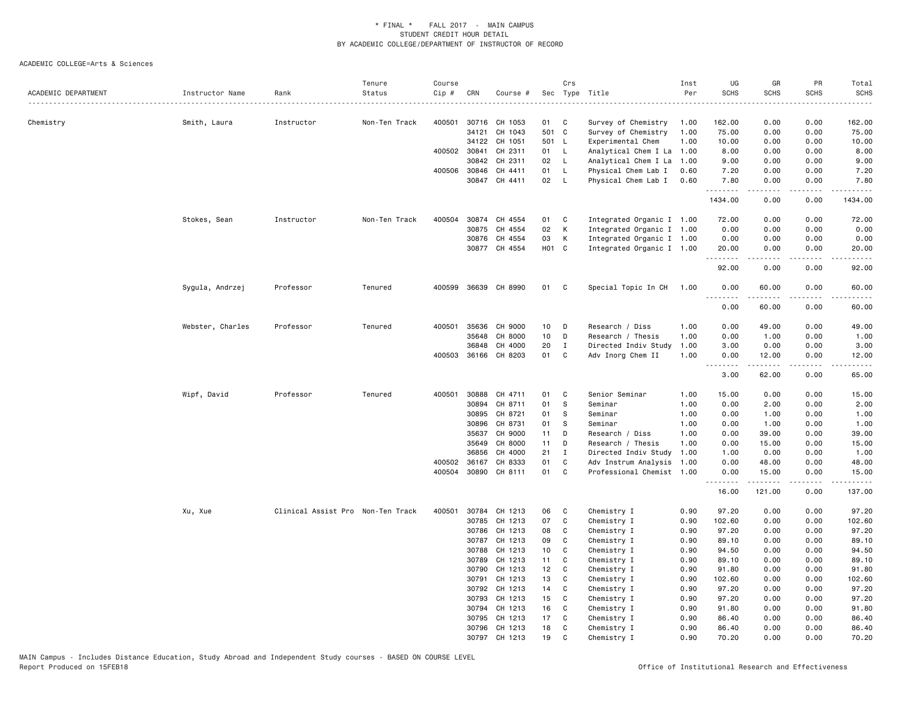| ACADEMIC DEPARTMENT | Instructor Name  | Rank                              | Tenure<br>Status | Course<br>Cip # | CRN          | Course #             |                   | Crs          | Sec Type Title            | Inst<br>Per | UG<br><b>SCHS</b> | GR<br><b>SCHS</b> | PR<br><b>SCHS</b> | Total<br><b>SCHS</b> |
|---------------------|------------------|-----------------------------------|------------------|-----------------|--------------|----------------------|-------------------|--------------|---------------------------|-------------|-------------------|-------------------|-------------------|----------------------|
|                     |                  |                                   |                  |                 |              |                      |                   |              |                           |             |                   |                   |                   |                      |
| Chemistry           | Smith, Laura     | Instructor                        | Non-Ten Track    | 400501          | 30716        | CH 1053              | 01                | C            | Survey of Chemistry       | 1.00        | 162.00            | 0.00              | 0.00              | 162.00               |
|                     |                  |                                   |                  |                 | 34121        | CH 1043              | 501 C             |              | Survey of Chemistry       | 1.00        | 75.00             | 0.00              | 0.00              | 75.00                |
|                     |                  |                                   |                  |                 | 34122        | CH 1051              | 501 L             |              | Experimental Chem         | 1.00        | 10.00             | 0.00              | 0.00              | 10.00                |
|                     |                  |                                   |                  |                 | 400502 30841 | CH 2311              | 01                | - L          | Analytical Chem I La      | 1.00        | 8.00              | 0.00              | 0.00              | 8.00                 |
|                     |                  |                                   |                  |                 | 30842        | CH 2311              | 02                | <b>L</b>     | Analytical Chem I La      | 1.00        | 9.00              | 0.00              | 0.00              | 9.00                 |
|                     |                  |                                   |                  |                 | 400506 30846 | CH 4411              | 01                | $\mathsf{L}$ | Physical Chem Lab I       | 0.60        | 7.20              | 0.00              | 0.00              | 7.20                 |
|                     |                  |                                   |                  |                 |              | 30847 CH 4411        | 02                | - L          | Physical Chem Lab I       | 0.60        | 7.80<br>.         | 0.00              | 0.00              | 7.80                 |
|                     |                  |                                   |                  |                 |              |                      |                   |              |                           |             | 1434.00           | 0.00              | 0.00              | 1434.00              |
|                     | Stokes, Sean     | Instructor                        | Non-Ten Track    | 400504          |              | 30874 CH 4554        | 01                | C            | Integrated Organic I 1.00 |             | 72.00             | 0.00              | 0.00              | 72.00                |
|                     |                  |                                   |                  |                 | 30875        | CH 4554              | 02                | К            | Integrated Organic I 1.00 |             | 0.00              | 0.00              | 0.00              | 0.00                 |
|                     |                  |                                   |                  |                 | 30876        | CH 4554              | 03                | К            | Integrated Organic I 1.00 |             | 0.00              | 0.00              | 0.00              | 0.00                 |
|                     |                  |                                   |                  |                 |              | 30877 CH 4554        | H <sub>01</sub> C |              | Integrated Organic I 1.00 |             | 20.00<br>.        | 0.00              | 0.00              | 20.00                |
|                     |                  |                                   |                  |                 |              |                      |                   |              |                           |             | 92.00             | 0.00              | 0.00              | 92.00                |
|                     | Sygula, Andrzej  | Professor                         | Tenured          |                 |              | 400599 36639 CH 8990 | 01                | C.           | Special Topic In CH       | 1.00        | 0.00<br><u>.</u>  | 60.00             | 0.00              | 60.00                |
|                     |                  |                                   |                  |                 |              |                      |                   |              |                           |             | 0.00              | 60.00             | 0.00              | 60.00                |
|                     | Webster, Charles | Professor                         | Tenured          | 400501          | 35636        | CH 9000              | 10                | D            | Research / Diss           | 1.00        | 0.00              | 49.00             | 0.00              | 49.00                |
|                     |                  |                                   |                  |                 | 35648        | CH 8000              | 10                | D            | Research / Thesis         | 1.00        | 0.00              | 1.00              | 0.00              | 1.00                 |
|                     |                  |                                   |                  |                 | 36848        | CH 4000              | 20                | $\mathbf I$  | Directed Indiv Study      | 1.00        | 3.00              | 0.00              | 0.00              | 3.00                 |
|                     |                  |                                   |                  |                 |              | 400503 36166 CH 8203 | 01                | C            | Adv Inorg Chem II         | 1.00        | 0.00<br>--------  | 12.00<br>-----    | 0.00              | 12.00                |
|                     |                  |                                   |                  |                 |              |                      |                   |              |                           |             | 3.00              | 62.00             | 0.00              | 65.00                |
|                     | Wipf, David      | Professor                         | Tenured          | 400501          | 30888        | CH 4711              | 01                | C            | Senior Seminar            | 1.00        | 15.00             | 0.00              | 0.00              | 15.00                |
|                     |                  |                                   |                  |                 | 30894        | CH 8711              | 01                | -S           | Seminar                   | 1.00        | 0.00              | 2.00              | 0.00              | 2.00                 |
|                     |                  |                                   |                  |                 | 30895        | CH 8721              | 01                | -S           | Seminar                   | 1.00        | 0.00              | 1.00              | 0.00              | 1.00                 |
|                     |                  |                                   |                  |                 | 30896        | CH 8731              | 01                | S            | Seminar                   | 1.00        | 0.00              | 1.00              | 0.00              | 1.00                 |
|                     |                  |                                   |                  |                 | 35637        | CH 9000              | 11                | D            | Research / Diss           | 1.00        | 0.00              | 39.00             | 0.00              | 39.00                |
|                     |                  |                                   |                  |                 | 35649        | CH 8000              | 11                | D            | Research / Thesis         | 1.00        | 0.00              | 15.00             | 0.00              | 15.00                |
|                     |                  |                                   |                  |                 | 36856        | CH 4000              | 21                | I            | Directed Indiv Study      | 1.00        | 1.00              | 0.00              | 0.00              | 1.00                 |
|                     |                  |                                   |                  |                 | 400502 36167 | CH 8333              | 01                | C            | Adv Instrum Analysis      | 1.00        | 0.00              | 48.00             | 0.00              | 48.00                |
|                     |                  |                                   |                  | 400504          |              | 30890 CH 8111        | 01                | C            | Professional Chemist 1.00 |             | 0.00<br><b></b>   | 15.00<br>.        | 0.00<br>.         | 15.00<br>.           |
|                     |                  |                                   |                  |                 |              |                      |                   |              |                           |             | 16.00             | 121.00            | 0.00              | 137.00               |
|                     | Xu, Xue          | Clinical Assist Pro Non-Ten Track |                  | 400501          | 30784        | CH 1213              | 06                | C            | Chemistry I               | 0.90        | 97.20             | 0.00              | 0.00              | 97.20                |
|                     |                  |                                   |                  |                 | 30785        | CH 1213              | 07                | C            | Chemistry I               | 0.90        | 102.60            | 0.00              | 0.00              | 102.60               |
|                     |                  |                                   |                  |                 | 30786        | CH 1213              | 08                | C            | Chemistry I               | 0.90        | 97.20             | 0.00              | 0.00              | 97.20                |
|                     |                  |                                   |                  |                 | 30787        | CH 1213              | 09                | C            | Chemistry I               | 0.90        | 89.10             | 0.00              | 0.00              | 89.10                |
|                     |                  |                                   |                  |                 | 30788        | CH 1213              | 10 <sub>1</sub>   | C            | Chemistry I               | 0.90        | 94.50             | 0.00              | 0.00              | 94.50                |
|                     |                  |                                   |                  |                 | 30789        | CH 1213              | 11                | C            | Chemistry I               | 0.90        | 89.10             | 0.00              | 0.00              | 89.10                |
|                     |                  |                                   |                  |                 | 30790        | CH 1213              | 12                | C            | Chemistry I               | 0.90        | 91.80             | 0.00              | 0.00              | 91.80                |
|                     |                  |                                   |                  |                 | 30791        | CH 1213              | 13                | C            | Chemistry I               | 0.90        | 102.60            | 0.00              | 0.00              | 102.60               |
|                     |                  |                                   |                  |                 | 30792        | CH 1213              | 14                | C            | Chemistry I               | 0.90        | 97.20             | 0.00              | 0.00              | 97.20                |
|                     |                  |                                   |                  |                 | 30793        | CH 1213              | 15                | C            | Chemistry I               | 0.90        | 97.20             | 0.00              | 0.00              | 97.20                |
|                     |                  |                                   |                  |                 | 30794        | CH 1213              | 16                | C            | Chemistry I               | 0.90        | 91.80             | 0.00              | 0.00              | 91.80                |
|                     |                  |                                   |                  |                 | 30795        | CH 1213              | 17                | C            | Chemistry I               | 0.90        | 86.40             | 0.00              | 0.00              | 86.40                |
|                     |                  |                                   |                  |                 | 30796        | CH 1213              | 18                | C            | Chemistry I               | 0.90        | 86.40             | 0.00              | 0.00              | 86.40                |
|                     |                  |                                   |                  |                 | 30797        | CH 1213              | 19                | C.           | Chemistry I               | 0.90        | 70.20             | 0.00              | 0.00              | 70.20                |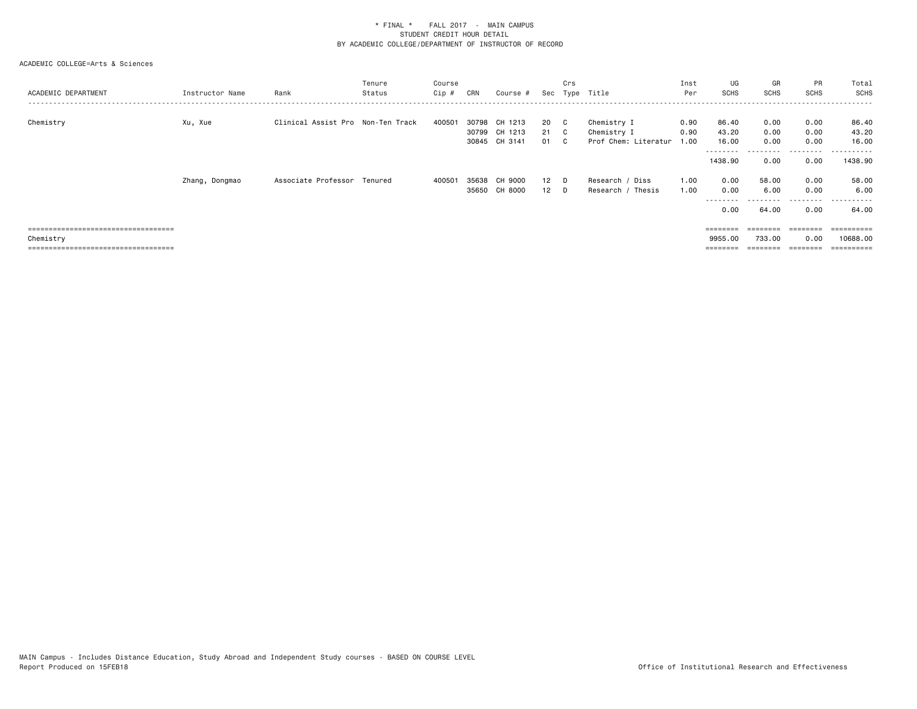| ACADEMIC DEPARTMENT                                | Instructor Name | Rank                              | Tenure<br>Status | Course<br>$Cip$ # | CRN            | Course #                                  |                      | Crs | Sec Type Title                                     | Inst<br>Per          | UG<br><b>SCHS</b>                    | GR<br><b>SCHS</b>      | PR<br><b>SCHS</b>                 | Total<br>SCHS                         |
|----------------------------------------------------|-----------------|-----------------------------------|------------------|-------------------|----------------|-------------------------------------------|----------------------|-----|----------------------------------------------------|----------------------|--------------------------------------|------------------------|-----------------------------------|---------------------------------------|
| Chemistry                                          | Xu, Xue         | Clinical Assist Pro Non-Ten Track |                  | 400501            | 30798          | CH 1213<br>30799 CH 1213<br>30845 CH 3141 | 20 C<br>21 C<br>01 C |     | Chemistry I<br>Chemistry I<br>Prof Chem: Literatur | 0.90<br>0.90<br>1.00 | 86.40<br>43.20<br>16.00<br>--------- | 0.00<br>0.00<br>0.00   | 0.00<br>0.00<br>0.00<br>--------- | 86.40<br>43.20<br>16.00<br>---------- |
|                                                    |                 |                                   |                  |                   |                |                                           |                      |     |                                                    |                      | 1438.90                              | 0.00                   | 0.00                              | 1438.90                               |
|                                                    | Zhang, Dongmao  | Associate Professor               | Tenured          | 400501            | 35638<br>35650 | CH 9000<br>CH 8000                        | $12$ D<br>$12$ D     |     | Research / Diss<br>Research / Thesis               | 1.00<br>1.00         | 0.00<br>0.00<br>----<br>0.00         | 58.00<br>6.00<br>64.00 | 0.00<br>0.00<br>0.00              | 58.00<br>6.00<br>. <u>.</u><br>64.00  |
| =====================================              |                 |                                   |                  |                   |                |                                           |                      |     |                                                    |                      |                                      | ========               | ========                          | ==========                            |
| Chemistry<br>===================================== |                 |                                   |                  |                   |                |                                           |                      |     |                                                    |                      | 9955.00<br>=======                   | 733.00                 | 0.00<br>========                  | 10688.00                              |
|                                                    |                 |                                   |                  |                   |                |                                           |                      |     |                                                    |                      |                                      |                        |                                   |                                       |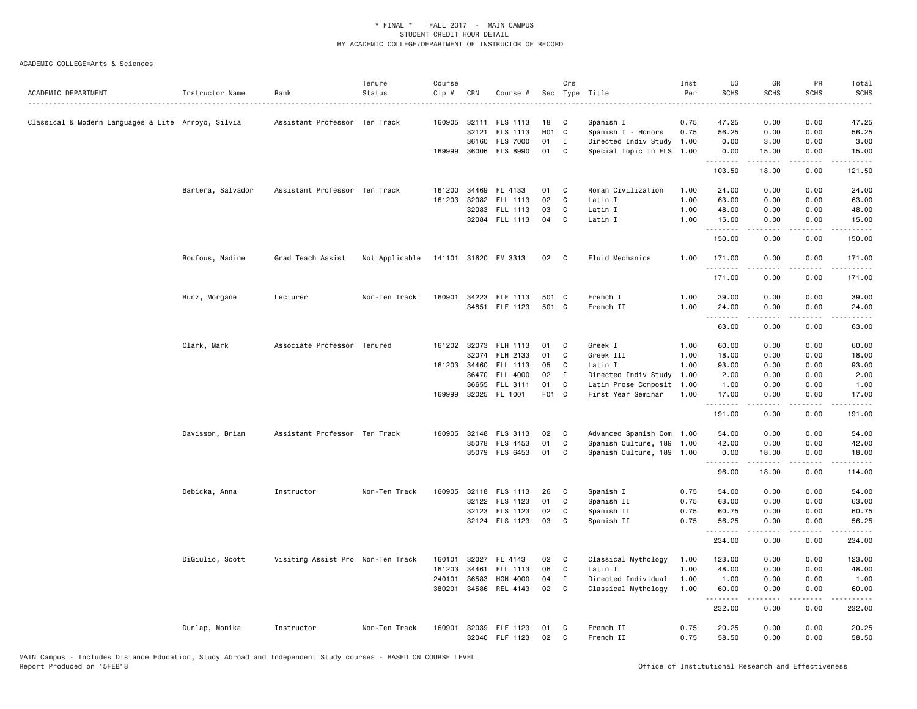| ACADEMIC DEPARTMENT                                | Instructor Name   | Rank                              | Tenure<br>Status | Course<br>$Cip \#$ | CRN            | Course #                          |             | Crs              | Sec Type Title                               | Inst<br>Per  | UG<br><b>SCHS</b> | GR<br><b>SCHS</b>                                                                                                                                            | PR<br><b>SCHS</b>     | Total<br><b>SCHS</b><br>$\sim$ $\sim$ $\sim$ $\sim$ |
|----------------------------------------------------|-------------------|-----------------------------------|------------------|--------------------|----------------|-----------------------------------|-------------|------------------|----------------------------------------------|--------------|-------------------|--------------------------------------------------------------------------------------------------------------------------------------------------------------|-----------------------|-----------------------------------------------------|
| Classical & Modern Languages & Lite Arroyo, Silvia |                   | Assistant Professor Ten Track     |                  |                    | 32121          | 160905 32111 FLS 1113<br>FLS 1113 | 18<br>H01 C | C                | Spanish I<br>Spanish I - Honors              | 0.75<br>0.75 | 47.25<br>56.25    | 0.00<br>0.00                                                                                                                                                 | 0.00<br>0.00          | 47.25<br>56.25                                      |
|                                                    |                   |                                   |                  |                    |                | 36160 FLS 7000                    | 01          | $\mathbf I$      | Directed Indiv Study                         | 1.00         | 0.00              | 3.00                                                                                                                                                         | 0.00                  | 3.00                                                |
|                                                    |                   |                                   |                  |                    |                | 169999 36006 FLS 8990             | 01          | C                | Special Topic In FLS                         | 1.00         | 0.00<br>.         | 15.00<br><u>.</u>                                                                                                                                            | 0.00<br>$- - - -$     | 15.00<br>$\frac{1}{2}$                              |
|                                                    |                   |                                   |                  |                    |                |                                   |             |                  |                                              |              | 103.50            | 18.00                                                                                                                                                        | 0.00                  | 121.50                                              |
|                                                    | Bartera, Salvador | Assistant Professor Ten Track     |                  |                    | 161200 34469   | FL 4133                           | 01          | C                | Roman Civilization                           | 1.00         | 24.00             | 0.00                                                                                                                                                         | 0.00                  | 24.00                                               |
|                                                    |                   |                                   |                  | 161203             | 32082          | FLL 1113                          | 02          | C                | Latin I                                      | 1.00         | 63.00             | 0.00                                                                                                                                                         | 0.00                  | 63.00                                               |
|                                                    |                   |                                   |                  |                    | 32083          | FLL 1113                          | 03          | $\mathtt{C}$     | Latin I                                      | 1.00         | 48.00             | 0.00                                                                                                                                                         | 0.00                  | 48.00                                               |
|                                                    |                   |                                   |                  |                    |                | 32084 FLL 1113                    | 04          | C                | Latin I                                      | 1.00         | 15.00<br>.        | 0.00<br>.                                                                                                                                                    | 0.00<br>$\frac{1}{2}$ | 15.00<br>.                                          |
|                                                    |                   |                                   |                  |                    |                |                                   |             |                  |                                              |              | 150.00            | 0.00                                                                                                                                                         | 0.00                  | 150.00                                              |
|                                                    | Boufous, Nadine   | Grad Teach Assist                 | Not Applicable   |                    |                | 141101 31620 EM 3313              | 02 C        |                  | Fluid Mechanics                              | 1.00         | 171.00            | 0.00                                                                                                                                                         | 0.00                  | 171.00                                              |
|                                                    |                   |                                   |                  |                    |                |                                   |             |                  |                                              |              | 171.00            | 0.00                                                                                                                                                         | 0.00                  | 171.00                                              |
|                                                    | Bunz, Morgane     | Lecturer                          | Non-Ten Track    | 160901             |                | 34223 FLF 1113                    | 501 C       |                  | French I                                     | 1.00         | 39.00             | 0.00                                                                                                                                                         | 0.00                  | 39.00                                               |
|                                                    |                   |                                   |                  |                    |                | 34851 FLF 1123                    | 501 C       |                  | French II                                    | 1.00         | 24.00             | 0.00                                                                                                                                                         | 0.00                  | 24.00                                               |
|                                                    |                   |                                   |                  |                    |                |                                   |             |                  |                                              |              | .<br>63.00        | 0.00                                                                                                                                                         | 0.00                  | 63.00                                               |
|                                                    | Clark, Mark       | Associate Professor Tenured       |                  |                    |                | 161202 32073 FLH 1113             | 01          | C                | Greek I                                      | 1.00         | 60.00             | 0.00                                                                                                                                                         | 0.00                  | 60.00                                               |
|                                                    |                   |                                   |                  |                    |                | 32074 FLH 2133                    | 01          | $\mathtt{C}$     | Greek III                                    | 1.00         | 18.00             | 0.00                                                                                                                                                         | 0.00                  | 18.00                                               |
|                                                    |                   |                                   |                  |                    | 161203 34460   | FLL 1113                          | 05          | C                | Latin I                                      | 1.00         | 93.00             | 0.00                                                                                                                                                         | 0.00                  | 93.00                                               |
|                                                    |                   |                                   |                  |                    | 36470          | FLL 4000<br>36655 FLL 3111        | 02<br>01    | Ι<br>C           | Directed Indiv Study<br>Latin Prose Composit | 1.00<br>1.00 | 2.00<br>1.00      | 0.00<br>0.00                                                                                                                                                 | 0.00<br>0.00          | 2.00<br>1.00                                        |
|                                                    |                   |                                   |                  |                    |                | 169999 32025 FL 1001              | F01 C       |                  | First Year Seminar                           | 1.00         | 17.00             | 0.00                                                                                                                                                         | 0.00                  | 17.00                                               |
|                                                    |                   |                                   |                  |                    |                |                                   |             |                  |                                              |              | .<br>191.00       | 0.00                                                                                                                                                         | 0.00                  | 191.00                                              |
|                                                    | Davisson, Brian   | Assistant Professor Ten Track     |                  |                    |                | 160905 32148 FLS 3113             | 02          | $\mathbf{C}$     | Advanced Spanish Com                         | 1.00         | 54.00             | 0.00                                                                                                                                                         | 0.00                  | 54.00                                               |
|                                                    |                   |                                   |                  |                    | 35078          | FLS 4453                          | 01          | C                | Spanish Culture, 189                         | 1.00         | 42.00             | 0.00                                                                                                                                                         | 0.00                  | 42.00                                               |
|                                                    |                   |                                   |                  |                    |                | 35079 FLS 6453                    | 01          | C                | Spanish Culture, 189 1.00                    |              | 0.00<br>.         | 18.00<br>.                                                                                                                                                   | 0.00<br>.             | 18.00<br>.                                          |
|                                                    |                   |                                   |                  |                    |                |                                   |             |                  |                                              |              | 96.00             | 18.00                                                                                                                                                        | 0.00                  | 114.00                                              |
|                                                    | Debicka, Anna     | Instructor                        | Non-Ten Track    | 160905             |                | 32118 FLS 1113                    | 26          | C                | Spanish I                                    | 0.75         | 54.00             | 0.00                                                                                                                                                         | 0.00                  | 54.00                                               |
|                                                    |                   |                                   |                  |                    |                | 32122 FLS 1123                    | 01          | C                | Spanish II                                   | 0.75         | 63.00             | 0.00                                                                                                                                                         | 0.00                  | 63.00                                               |
|                                                    |                   |                                   |                  |                    |                | 32123 FLS 1123                    | 02          | C<br>C           | Spanish II                                   | 0.75         | 60.75             | 0.00                                                                                                                                                         | 0.00                  | 60.75                                               |
|                                                    |                   |                                   |                  |                    |                | 32124 FLS 1123                    | 03          |                  | Spanish II                                   | 0.75         | 56.25<br>.        | 0.00<br>$\frac{1}{2} \left( \frac{1}{2} \right) \left( \frac{1}{2} \right) \left( \frac{1}{2} \right) \left( \frac{1}{2} \right) \left( \frac{1}{2} \right)$ | 0.00<br>.             | 56.25<br>.                                          |
|                                                    |                   |                                   |                  |                    |                |                                   |             |                  |                                              |              | 234.00            | 0.00                                                                                                                                                         | 0.00                  | 234.00                                              |
|                                                    | DiGiulio, Scott   | Visiting Assist Pro Non-Ten Track |                  | 160101             |                | 32027 FL 4143                     | 02          | C                | Classical Mythology                          | 1.00         | 123.00            | 0.00                                                                                                                                                         | 0.00                  | 123.00                                              |
|                                                    |                   |                                   |                  | 161203<br>240101   | 34461<br>36583 | FLL 1113<br>HON 4000              | 06<br>04    | C<br>$\mathbf I$ | Latin I<br>Directed Individual               | 1.00<br>1.00 | 48.00<br>1.00     | 0.00<br>0.00                                                                                                                                                 | 0.00<br>0.00          | 48.00<br>1.00                                       |
|                                                    |                   |                                   |                  | 380201             | 34586          | REL 4143                          | 02          | C                | Classical Mythology                          | 1.00         | 60.00             | 0.00                                                                                                                                                         | 0.00                  | 60.00                                               |
|                                                    |                   |                                   |                  |                    |                |                                   |             |                  |                                              |              | 232.00            | .<br>0.00                                                                                                                                                    | .<br>0.00             | .<br>232.00                                         |
|                                                    | Dunlap, Monika    | Instructor                        | Non-Ten Track    | 160901             |                | 32039 FLF 1123                    | 01          | C                | French II                                    | 0.75         | 20.25             | 0.00                                                                                                                                                         | 0.00                  | 20.25                                               |
|                                                    |                   |                                   |                  |                    |                | 32040 FLF 1123                    | 02          | C                | French II                                    | 0.75         | 58.50             | 0.00                                                                                                                                                         | 0.00                  | 58.50                                               |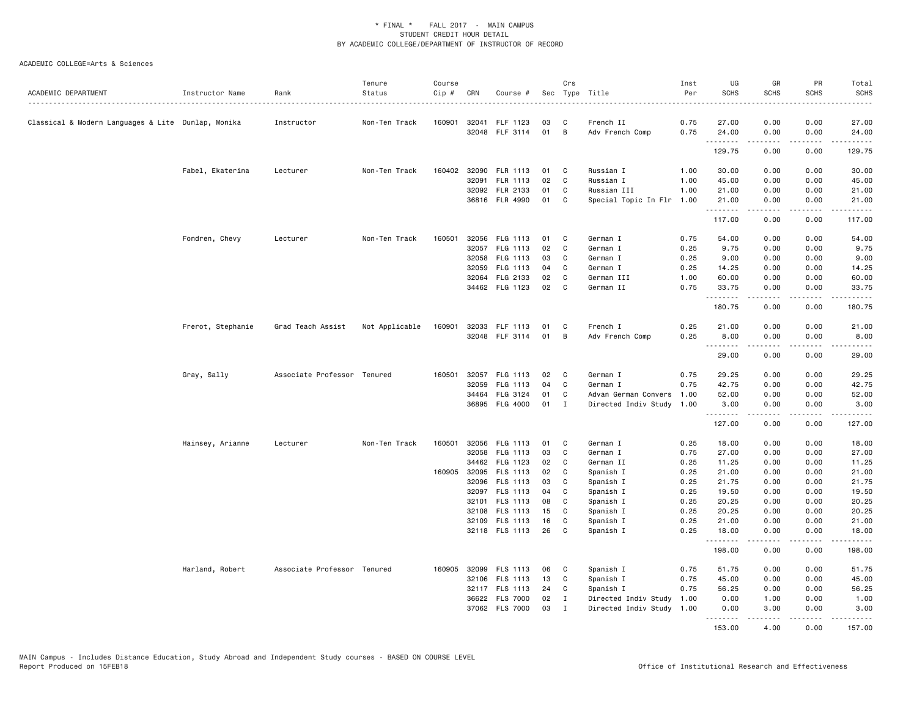| ACADEMIC DEPARTMENT                                | Instructor Name   | Rank                        | Tenure<br>Status | Course<br>Cip # | CRN   | Course #              |    | Crs            | Sec Type Title            | Inst<br>Per | UG<br><b>SCHS</b> | GR<br><b>SCHS</b>                                                                                                                                                                       | PR<br><b>SCHS</b> | Total<br><b>SCHS</b> |
|----------------------------------------------------|-------------------|-----------------------------|------------------|-----------------|-------|-----------------------|----|----------------|---------------------------|-------------|-------------------|-----------------------------------------------------------------------------------------------------------------------------------------------------------------------------------------|-------------------|----------------------|
| Classical & Modern Languages & Lite Dunlap, Monika |                   | Instructor                  | Non-Ten Track    |                 |       | 160901 32041 FLF 1123 | 03 | C              | French II                 | 0.75        | 27.00             | 0.00                                                                                                                                                                                    | 0.00              | 27.00                |
|                                                    |                   |                             |                  |                 |       | 32048 FLF 3114        | 01 | $\overline{B}$ | Adv French Comp           | 0.75        | 24.00<br>.        | 0.00<br>.                                                                                                                                                                               | 0.00<br>.         | 24.00<br>.           |
|                                                    |                   |                             |                  |                 |       |                       |    |                |                           |             | 129.75            | 0.00                                                                                                                                                                                    | 0.00              | 129.75               |
|                                                    | Fabel, Ekaterina  | Lecturer                    | Non-Ten Track    | 160402          |       | 32090 FLR 1113        | 01 | C              | Russian I                 | 1.00        | 30.00             | 0.00                                                                                                                                                                                    | 0.00              | 30.00                |
|                                                    |                   |                             |                  |                 | 32091 | FLR 1113              | 02 | $\mathbf c$    | Russian I                 | 1.00        | 45.00             | 0.00                                                                                                                                                                                    | 0.00              | 45.00                |
|                                                    |                   |                             |                  |                 |       | 32092 FLR 2133        | 01 | C              | Russian III               | 1.00        | 21.00             | 0.00                                                                                                                                                                                    | 0.00              | 21.00                |
|                                                    |                   |                             |                  |                 |       | 36816 FLR 4990        | 01 | C              | Special Topic In Flr 1.00 |             | 21.00             | 0.00                                                                                                                                                                                    | 0.00              | 21.00                |
|                                                    |                   |                             |                  |                 |       |                       |    |                |                           |             | .<br>117.00       | $- - - - -$<br>0.00                                                                                                                                                                     | .<br>0.00         | .<br>117.00          |
|                                                    | Fondren, Chevy    | Lecturer                    | Non-Ten Track    | 160501          |       | 32056 FLG 1113        | 01 | C              | German I                  | 0.75        | 54.00             | 0.00                                                                                                                                                                                    | 0.00              | 54.00                |
|                                                    |                   |                             |                  |                 |       | 32057 FLG 1113        | 02 | C              | German I                  | 0.25        | 9.75              | 0.00                                                                                                                                                                                    | 0.00              | 9.75                 |
|                                                    |                   |                             |                  |                 |       | 32058 FLG 1113        | 03 | C              | German I                  | 0.25        | 9.00              | 0.00                                                                                                                                                                                    | 0.00              | 9.00                 |
|                                                    |                   |                             |                  |                 | 32059 | FLG 1113              | 04 | C              | German I                  | 0.25        | 14.25             | 0.00                                                                                                                                                                                    | 0.00              | 14.25                |
|                                                    |                   |                             |                  |                 |       | 32064 FLG 2133        | 02 | C              | German III                | 1.00        | 60.00             | 0.00                                                                                                                                                                                    | 0.00              | 60.00                |
|                                                    |                   |                             |                  |                 |       | 34462 FLG 1123        | 02 | C              | German II                 | 0.75        | 33.75             | 0.00                                                                                                                                                                                    | 0.00              | 33.75                |
|                                                    |                   |                             |                  |                 |       |                       |    |                |                           |             | .<br>180.75       | $- - - - -$<br>0.00                                                                                                                                                                     | .<br>0.00         | .<br>180.75          |
|                                                    | Frerot, Stephanie | Grad Teach Assist           | Not Applicable   | 160901          |       | 32033 FLF 1113        | 01 | C              | French I                  | 0.25        | 21.00             | 0.00                                                                                                                                                                                    | 0.00              | 21.00                |
|                                                    |                   |                             |                  |                 |       | 32048 FLF 3114        | 01 | B              | Adv French Comp           | 0.25        | 8.00              | 0.00                                                                                                                                                                                    | 0.00              | 8.00                 |
|                                                    |                   |                             |                  |                 |       |                       |    |                |                           |             | 29.00             | -----<br>0.00                                                                                                                                                                           | .<br>0.00         | .<br>29.00           |
|                                                    | Gray, Sally       | Associate Professor Tenured |                  | 160501          |       | 32057 FLG 1113        | 02 | C              | German I                  | 0.75        | 29.25             | 0.00                                                                                                                                                                                    | 0.00              | 29.25                |
|                                                    |                   |                             |                  |                 |       | 32059 FLG 1113        | 04 | C              | German I                  | 0.75        | 42.75             | 0.00                                                                                                                                                                                    | 0.00              | 42.75                |
|                                                    |                   |                             |                  |                 | 34464 | FLG 3124              | 01 | C              | Advan German Convers      | 1.00        | 52.00             | 0.00                                                                                                                                                                                    | 0.00              | 52.00                |
|                                                    |                   |                             |                  |                 |       | 36895 FLG 4000        | 01 | $\mathbf{I}$   | Directed Indiv Study 1.00 |             | 3.00<br>.         | 0.00<br>.                                                                                                                                                                               | 0.00              | 3.00<br>.            |
|                                                    |                   |                             |                  |                 |       |                       |    |                |                           |             | 127.00            | 0.00                                                                                                                                                                                    | 0.00              | 127.00               |
|                                                    | Hainsey, Arianne  | Lecturer                    | Non-Ten Track    | 160501          |       | 32056 FLG 1113        | 01 | C              | German I                  | 0.25        | 18.00             | 0.00                                                                                                                                                                                    | 0.00              | 18.00                |
|                                                    |                   |                             |                  |                 |       | 32058 FLG 1113        | 03 | C              | German I                  | 0.75        | 27.00             | 0.00                                                                                                                                                                                    | 0.00              | 27.00                |
|                                                    |                   |                             |                  |                 |       | 34462 FLG 1123        | 02 | C              | German II                 | 0.25        | 11.25             | 0.00                                                                                                                                                                                    | 0.00              | 11.25                |
|                                                    |                   |                             |                  |                 |       | 160905 32095 FLS 1113 | 02 | C              | Spanish I                 | 0.25        | 21.00             | 0.00                                                                                                                                                                                    | 0.00              | 21.00                |
|                                                    |                   |                             |                  |                 | 32096 | FLS 1113              | 03 | C              | Spanish I                 | 0.25        | 21.75             | 0.00                                                                                                                                                                                    | 0.00              | 21.75                |
|                                                    |                   |                             |                  |                 |       | 32097 FLS 1113        | 04 | C              | Spanish I                 | 0.25        | 19.50             | 0.00                                                                                                                                                                                    | 0.00              | 19.50                |
|                                                    |                   |                             |                  |                 |       | 32101 FLS 1113        | 08 | C              | Spanish I                 | 0.25        | 20.25             | 0.00                                                                                                                                                                                    | 0.00              | 20.25                |
|                                                    |                   |                             |                  |                 |       | 32108 FLS 1113        | 15 | C              | Spanish I                 | 0.25        | 20.25             | 0.00                                                                                                                                                                                    | 0.00              | 20.25                |
|                                                    |                   |                             |                  |                 |       | 32109 FLS 1113        | 16 | C              | Spanish I                 | 0.25        | 21.00             | 0.00                                                                                                                                                                                    | 0.00              | 21.00                |
|                                                    |                   |                             |                  |                 |       | 32118 FLS 1113        | 26 | C              | Spanish I                 | 0.25        | 18.00<br>.        | 0.00<br>$\frac{1}{2} \left( \frac{1}{2} \right) \left( \frac{1}{2} \right) \left( \frac{1}{2} \right) \left( \frac{1}{2} \right) \left( \frac{1}{2} \right) \left( \frac{1}{2} \right)$ | 0.00<br>.         | 18.00<br>.           |
|                                                    |                   |                             |                  |                 |       |                       |    |                |                           |             | 198.00            | 0.00                                                                                                                                                                                    | 0.00              | 198.00               |
|                                                    | Harland, Robert   | Associate Professor Tenured |                  |                 |       | 160905 32099 FLS 1113 | 06 | C              | Spanish I                 | 0.75        | 51.75             | 0.00                                                                                                                                                                                    | 0.00              | 51.75                |
|                                                    |                   |                             |                  |                 |       | 32106 FLS 1113        | 13 | C              | Spanish I                 | 0.75        | 45.00             | 0.00                                                                                                                                                                                    | 0.00              | 45.00                |
|                                                    |                   |                             |                  |                 |       | 32117 FLS 1113        | 24 | C              | Spanish I                 | 0.75        | 56.25             | 0.00                                                                                                                                                                                    | 0.00              | 56.25                |
|                                                    |                   |                             |                  |                 |       | 36622 FLS 7000        | 02 | $\mathbf I$    | Directed Indiv Study      | 1.00        | 0.00              | 1.00                                                                                                                                                                                    | 0.00              | 1.00                 |
|                                                    |                   |                             |                  |                 |       | 37062 FLS 7000        | 03 | I              | Directed Indiv Study 1.00 |             | 0.00              | 3.00                                                                                                                                                                                    | 0.00<br>.         | 3.00<br>.            |
|                                                    |                   |                             |                  |                 |       |                       |    |                |                           |             | 153.00            | 4.00                                                                                                                                                                                    | 0.00              | 157.00               |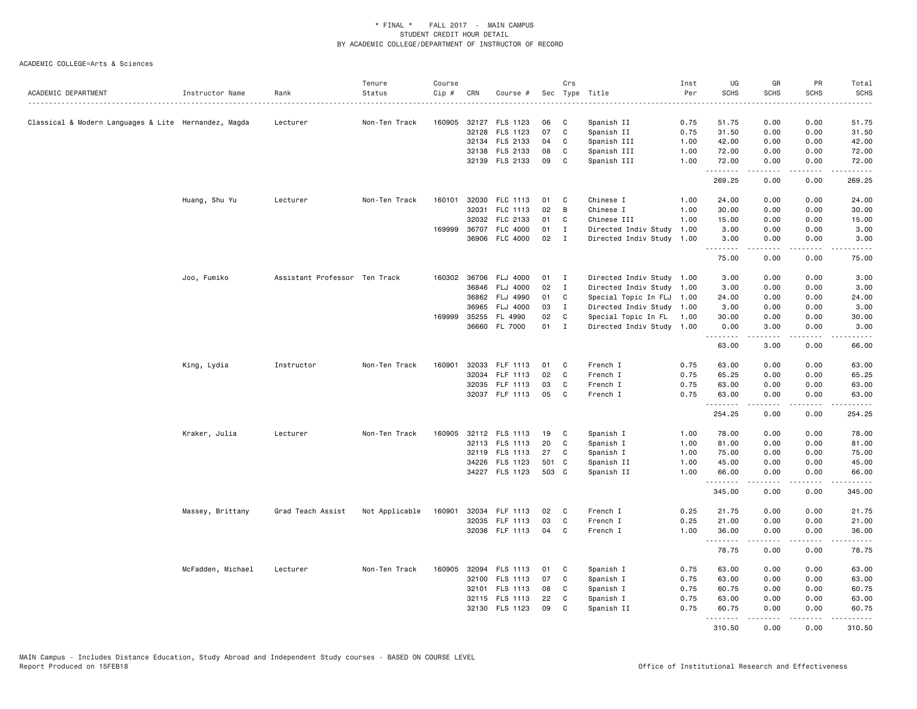| ACADEMIC DEPARTMENT                                  | Instructor Name   | Rank                          | Tenure<br>Status | Course<br>Cip # | CRN          | Course #              |       | Crs          | Sec Type Title            | Inst<br>Per | UG<br><b>SCHS</b>  | GR<br><b>SCHS</b> | PR<br><b>SCHS</b>            | Total<br><b>SCHS</b>                |
|------------------------------------------------------|-------------------|-------------------------------|------------------|-----------------|--------------|-----------------------|-------|--------------|---------------------------|-------------|--------------------|-------------------|------------------------------|-------------------------------------|
|                                                      |                   |                               |                  |                 |              |                       |       |              |                           |             |                    |                   |                              | $\sim$ $\sim$ $\sim$ $\sim$ $\sim$  |
| Classical & Modern Languages & Lite Hernandez, Magda |                   | Lecturer                      | Non-Ten Track    |                 |              | 160905 32127 FLS 1123 | 06    | C            | Spanish II                | 0.75        | 51.75              | 0.00              | 0.00                         | 51.75                               |
|                                                      |                   |                               |                  |                 |              | 32128 FLS 1123        | 07    | $\mathbf{C}$ | Spanish II                | 0.75        | 31.50              | 0.00              | 0.00                         | 31.50                               |
|                                                      |                   |                               |                  |                 |              | 32134 FLS 2133        | 04    | C            | Spanish III               | 1.00        | 42.00              | 0.00              | 0.00                         | 42.00                               |
|                                                      |                   |                               |                  |                 |              | 32138 FLS 2133        | 08    | C            | Spanish III               | 1.00        | 72.00              | 0.00              | 0.00                         | 72.00                               |
|                                                      |                   |                               |                  |                 |              | 32139 FLS 2133        | 09    | C            | Spanish III               | 1.00        | 72.00<br>.         | 0.00<br>.         | 0.00<br>.                    | 72.00<br>.                          |
|                                                      |                   |                               |                  |                 |              |                       |       |              |                           |             | 269.25             | 0.00              | 0.00                         | 269.25                              |
|                                                      | Huang, Shu Yu     | Lecturer                      | Non-Ten Track    | 160101          | 32030        | FLC 1113              | 01    | C            | Chinese I                 | 1.00        | 24.00              | 0.00              | 0.00                         | 24.00                               |
|                                                      |                   |                               |                  |                 | 32031        | FLC 1113              | 02    | В            | Chinese I                 | 1.00        | 30.00              | 0.00              | 0.00                         | 30.00                               |
|                                                      |                   |                               |                  |                 | 32032        | FLC 2133              | 01    | C            | Chinese III               | 1.00        | 15.00              | 0.00              | 0.00                         | 15.00                               |
|                                                      |                   |                               |                  | 169999          | 36707        | <b>FLC 4000</b>       | 01    | $\mathbf{I}$ | Directed Indiv Study      | 1.00        | 3.00               | 0.00              | 0.00                         | 3.00                                |
|                                                      |                   |                               |                  |                 |              | 36906 FLC 4000        | 02    | $\mathbf{I}$ | Directed Indiv Study      | 1.00        | 3.00               | 0.00              | 0.00                         | 3.00                                |
|                                                      |                   |                               |                  |                 |              |                       |       |              |                           |             | 75.00              | 0.00              | 0.00                         | 75.00                               |
|                                                      | Joo, Fumiko       | Assistant Professor Ten Track |                  |                 |              | 160302 36706 FLJ 4000 | 01    | $\mathbf{I}$ | Directed Indiv Study 1.00 |             | 3.00               | 0.00              | 0.00                         | 3.00                                |
|                                                      |                   |                               |                  |                 |              | 36846 FLJ 4000        | 02    | $\mathbf{I}$ | Directed Indiv Study 1.00 |             | 3.00               | 0.00              | 0.00                         | 3.00                                |
|                                                      |                   |                               |                  |                 | 36862        | FLJ 4990              | 01    | C            | Special Topic In FLJ      | 1.00        | 24.00              | 0.00              | 0.00                         | 24.00                               |
|                                                      |                   |                               |                  |                 | 36965        | <b>FLJ 4000</b>       | 03    | $\mathbf{I}$ | Directed Indiv Study 1.00 |             | 3.00               | 0.00              | 0.00                         | 3.00                                |
|                                                      |                   |                               |                  |                 | 169999 35255 | FL 4990               | 02    | C            | Special Topic In FL       | 1.00        | 30.00              | 0.00              | 0.00                         | 30.00                               |
|                                                      |                   |                               |                  |                 | 36660        | FL 7000               | 01    | $\mathbf{I}$ | Directed Indiv Study 1.00 |             | 0.00               | 3.00              | 0.00                         | 3.00<br>$\sim$ $\sim$ $\sim$ $\sim$ |
|                                                      |                   |                               |                  |                 |              |                       |       |              |                           |             | .<br>63.00         | .<br>3.00         | $\frac{1}{2}$<br>0.00        | 66.00                               |
|                                                      | King, Lydia       | Instructor                    | Non-Ten Track    | 160901          |              | 32033 FLF 1113        | 01    | C            | French I                  | 0.75        | 63.00              | 0.00              | 0.00                         | 63.00                               |
|                                                      |                   |                               |                  |                 | 32034        | FLF 1113              | 02    | $\mathbf{C}$ | French I                  | 0.75        | 65.25              | 0.00              | 0.00                         | 65.25                               |
|                                                      |                   |                               |                  |                 |              | 32035 FLF 1113        | 03    | C            | French I                  | 0.75        | 63.00              | 0.00              | 0.00                         | 63.00                               |
|                                                      |                   |                               |                  |                 |              | 32037 FLF 1113        | 05    | C            | French I                  | 0.75        | 63.00              | 0.00              | 0.00                         | 63.00                               |
|                                                      |                   |                               |                  |                 |              |                       |       |              |                           |             | <u>.</u><br>254.25 | .<br>0.00         | .<br>0.00                    | .<br>254.25                         |
|                                                      | Kraker, Julia     | Lecturer                      | Non-Ten Track    | 160905          |              | 32112 FLS 1113        | 19    | C            | Spanish I                 | 1.00        | 78.00              | 0.00              | 0.00                         | 78.00                               |
|                                                      |                   |                               |                  |                 |              | 32113 FLS 1113        | 20    | $\mathbf C$  | Spanish I                 | 1.00        | 81.00              | 0.00              | 0.00                         | 81.00                               |
|                                                      |                   |                               |                  |                 | 32119        | FLS 1113              | 27    | C            | Spanish I                 | 1.00        | 75.00              | 0.00              | 0.00                         | 75.00                               |
|                                                      |                   |                               |                  |                 |              | 34226 FLS 1123        | 501 C |              | Spanish II                | 1.00        | 45.00              | 0.00              | 0.00                         | 45.00                               |
|                                                      |                   |                               |                  |                 |              | 34227 FLS 1123        | 503 C |              | Spanish II                | 1.00        | 66.00              | 0.00              | 0.00                         | 66.00                               |
|                                                      |                   |                               |                  |                 |              |                       |       |              |                           |             | .<br>345.00        | -----<br>0.00     | .<br>0.00                    | .<br>345.00                         |
|                                                      | Massey, Brittany  | Grad Teach Assist             | Not Applicable   | 160901          |              | 32034 FLF 1113        | 02    | C            | French I                  | 0.25        | 21.75              | 0.00              | 0.00                         | 21.75                               |
|                                                      |                   |                               |                  |                 |              | 32035 FLF 1113        | 03    | C            | French I                  | 0.25        | 21.00              | 0.00              | 0.00                         | 21.00                               |
|                                                      |                   |                               |                  |                 |              | 32036 FLF 1113        | 04    | C            | French I                  | 1.00        | 36.00              | 0.00              | 0.00                         | 36.00                               |
|                                                      |                   |                               |                  |                 |              |                       |       |              |                           |             | .<br>78.75         | .<br>0.00         | $\sim$ $\sim$ $\sim$<br>0.00 | 78.75                               |
|                                                      | McFadden, Michael | Lecturer                      | Non-Ten Track    | 160905          |              | 32094 FLS 1113        | 01    | C            | Spanish I                 | 0.75        | 63.00              | 0.00              | 0.00                         | 63.00                               |
|                                                      |                   |                               |                  |                 | 32100        | <b>FLS 1113</b>       | 07    | C            | Spanish I                 | 0.75        | 63.00              | 0.00              | 0.00                         | 63.00                               |
|                                                      |                   |                               |                  |                 |              | 32101 FLS 1113        | 08    | C            | Spanish I                 | 0.75        | 60.75              | 0.00              | 0.00                         | 60.75                               |
|                                                      |                   |                               |                  |                 |              | 32115 FLS 1113        | 22    | C            | Spanish I                 | 0.75        | 63.00              | 0.00              | 0.00                         | 63.00                               |
|                                                      |                   |                               |                  |                 |              | 32130 FLS 1123        | 09    | C            | Spanish II                | 0.75        | 60.75              | 0.00<br>.         | 0.00                         | 60.75                               |
|                                                      |                   |                               |                  |                 |              |                       |       |              |                           |             | .<br>310.50        | 0.00              | .<br>0.00                    | .<br>310.50                         |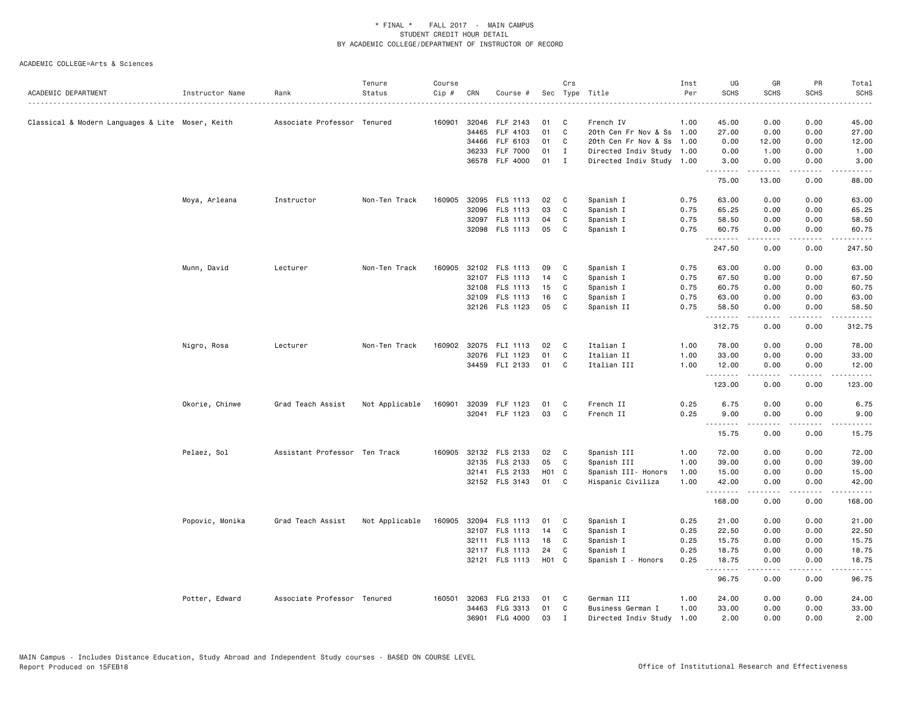| ACADEMIC DEPARTMENT                              | Instructor Name | Rank                          | Tenure<br>Status | Course<br>Cip# | CRN   | Course #              |       | Crs          | Sec Type Title            | Inst<br>Per | UG<br><b>SCHS</b> | GR<br><b>SCHS</b>                                                                                                    | PR<br><b>SCHS</b> | Total<br><b>SCHS</b> |
|--------------------------------------------------|-----------------|-------------------------------|------------------|----------------|-------|-----------------------|-------|--------------|---------------------------|-------------|-------------------|----------------------------------------------------------------------------------------------------------------------|-------------------|----------------------|
|                                                  |                 | Associate Professor Tenured   |                  | 160901         | 32046 | FLF 2143              | 01    | C            | French IV                 | 1.00        | 45.00             | 0.00                                                                                                                 | 0.00              | .<br>45.00           |
| Classical & Modern Languages & Lite Moser, Keith |                 |                               |                  |                | 34465 | FLF 4103              | 01    | C            | 20th Cen Fr Nov & Ss 1.00 |             | 27.00             | 0.00                                                                                                                 | 0.00              | 27.00                |
|                                                  |                 |                               |                  |                | 34466 | FLF 6103              | 01    | C            | 20th Cen Fr Nov & Ss      | 1.00        | 0.00              | 12.00                                                                                                                | 0.00              | 12.00                |
|                                                  |                 |                               |                  |                | 36233 | <b>FLF 7000</b>       | 01    | Ι.           | Directed Indiv Study 1.00 |             | 0.00              | 1.00                                                                                                                 | 0.00              | 1.00                 |
|                                                  |                 |                               |                  |                | 36578 | <b>FLF 4000</b>       | 01    | $\mathbf{I}$ | Directed Indiv Study 1.00 |             | 3.00              | 0.00                                                                                                                 | 0.00              | 3.00                 |
|                                                  |                 |                               |                  |                |       |                       |       |              |                           |             | .<br>75.00        | $\begin{array}{cccccccccc} \bullet & \bullet & \bullet & \bullet & \bullet & \bullet & \bullet \end{array}$<br>13.00 | .<br>0.00         | .<br>88.00           |
|                                                  | Moya, Arleana   | Instructor                    | Non-Ten Track    | 160905         |       | 32095 FLS 1113        | 02    | C            | Spanish I                 | 0.75        | 63.00             | 0.00                                                                                                                 | 0.00              | 63.00                |
|                                                  |                 |                               |                  |                | 32096 | FLS 1113              | 03    | C            | Spanish I                 | 0.75        | 65.25             | 0.00                                                                                                                 | 0.00              | 65.25                |
|                                                  |                 |                               |                  |                |       | 32097 FLS 1113        | 04    | C            | Spanish I                 | 0.75        | 58.50             | 0.00                                                                                                                 | 0.00              | 58.50                |
|                                                  |                 |                               |                  |                |       | 32098 FLS 1113        | 05    | C            | Spanish I                 | 0.75        | 60.75<br>.        | 0.00<br>.                                                                                                            | 0.00<br>.         | 60.75<br><u>.</u>    |
|                                                  |                 |                               |                  |                |       |                       |       |              |                           |             | 247.50            | 0.00                                                                                                                 | 0.00              | 247.50               |
|                                                  | Munn, David     | Lecturer                      | Non-Ten Track    | 160905         |       | 32102 FLS 1113        | 09    | C            | Spanish I                 | 0.75        | 63.00             | 0.00                                                                                                                 | 0.00              | 63.00                |
|                                                  |                 |                               |                  |                |       | 32107 FLS 1113        | 14    | C            | Spanish I                 | 0.75        | 67.50             | 0.00                                                                                                                 | 0.00              | 67.50                |
|                                                  |                 |                               |                  |                |       | 32108 FLS 1113        | 15    | C            | Spanish I                 | 0.75        | 60.75             | 0.00                                                                                                                 | 0.00              | 60.75                |
|                                                  |                 |                               |                  |                | 32109 | FLS 1113              | 16    | C            | Spanish I                 | 0.75        | 63.00             | 0.00                                                                                                                 | 0.00              | 63.00                |
|                                                  |                 |                               |                  |                |       | 32126 FLS 1123        | 05    | C            | Spanish II                | 0.75        | 58.50<br>.        | 0.00<br>.                                                                                                            | 0.00<br>.         | 58.50<br>.           |
|                                                  |                 |                               |                  |                |       |                       |       |              |                           |             | 312.75            | 0.00                                                                                                                 | 0.00              | 312.75               |
|                                                  | Nigro, Rosa     | Lecturer                      | Non-Ten Track    |                |       | 160902 32075 FLI 1113 | 02    | C            | Italian I                 | 1.00        | 78.00             | 0.00                                                                                                                 | 0.00              | 78.00                |
|                                                  |                 |                               |                  |                |       | 32076 FLI 1123        | 01    | C            | Italian II                | 1.00        | 33.00             | 0.00                                                                                                                 | 0.00              | 33.00                |
|                                                  |                 |                               |                  |                |       | 34459 FLI 2133        | 01    | C            | Italian III               | 1.00        | 12.00<br>.        | 0.00<br>-----                                                                                                        | 0.00<br>.         | 12.00<br>.           |
|                                                  |                 |                               |                  |                |       |                       |       |              |                           |             | 123.00            | 0.00                                                                                                                 | 0.00              | 123.00               |
|                                                  | Okorie, Chinwe  | Grad Teach Assist             | Not Applicable   | 160901         | 32039 | FLF 1123              | 01    | C            | French II                 | 0.25        | 6.75              | 0.00                                                                                                                 | 0.00              | 6.75                 |
|                                                  |                 |                               |                  |                |       | 32041 FLF 1123        | 03    | C            | French II                 | 0.25        | 9.00              | 0.00                                                                                                                 | 0.00              | 9.00                 |
|                                                  |                 |                               |                  |                |       |                       |       |              |                           |             | .<br>15.75        | .<br>0.00                                                                                                            | .<br>0.00         | .<br>15.75           |
|                                                  | Pelaez, Sol     | Assistant Professor Ten Track |                  |                |       | 160905 32132 FLS 2133 | 02    | C            | Spanish III               | 1.00        | 72.00             | 0.00                                                                                                                 | 0.00              | 72.00                |
|                                                  |                 |                               |                  |                | 32135 | FLS 2133              | 05    | C            | Spanish III               | 1.00        | 39.00             | 0.00                                                                                                                 | 0.00              | 39.00                |
|                                                  |                 |                               |                  |                |       | 32141 FLS 2133        | H01 C |              | Spanish III- Honors       | 1.00        | 15.00             | 0.00                                                                                                                 | 0.00              | 15.00                |
|                                                  |                 |                               |                  |                |       | 32152 FLS 3143        | 01    | C            | Hispanic Civiliza         | 1.00        | 42.00             | 0.00                                                                                                                 | 0.00              | 42.00                |
|                                                  |                 |                               |                  |                |       |                       |       |              |                           |             | .<br>168.00       | .<br>0.00                                                                                                            | .<br>0.00         | .<br>168.00          |
|                                                  | Popovic, Monika | Grad Teach Assist             | Not Applicable   | 160905         | 32094 | FLS 1113              | 01    | C            | Spanish I                 | 0.25        | 21.00             | 0.00                                                                                                                 | 0.00              | 21.00                |
|                                                  |                 |                               |                  |                |       | 32107 FLS 1113        | 14    | C            | Spanish I                 | 0.25        | 22.50             | 0.00                                                                                                                 | 0.00              | 22.50                |
|                                                  |                 |                               |                  |                |       | 32111 FLS 1113        | 18    | C            | Spanish I                 | 0.25        | 15.75             | 0.00                                                                                                                 | 0.00              | 15.75                |
|                                                  |                 |                               |                  |                |       | 32117 FLS 1113        | 24    | C            | Spanish I                 | 0.25        | 18.75             | 0.00                                                                                                                 | 0.00              | 18.75                |
|                                                  |                 |                               |                  |                |       | 32121 FLS 1113        | H01 C |              | Spanish I - Honors        | 0.25        | 18.75<br>.        | 0.00<br>.                                                                                                            | 0.00<br>$- - - -$ | 18.75<br>.           |
|                                                  |                 |                               |                  |                |       |                       |       |              |                           |             | 96.75             | 0.00                                                                                                                 | 0.00              | 96.75                |
|                                                  | Potter, Edward  | Associate Professor Tenured   |                  | 160501         |       | 32063 FLG 2133        | 01    | C            | German III                | 1.00        | 24.00             | 0.00                                                                                                                 | 0.00              | 24.00                |
|                                                  |                 |                               |                  |                | 34463 | FLG 3313              | 01    | C            | Business German I         | 1.00        | 33.00             | 0.00                                                                                                                 | 0.00              | 33.00                |
|                                                  |                 |                               |                  |                | 36901 | <b>FLG 4000</b>       | 03    | $\mathbf I$  | Directed Indiv Study      | 1.00        | 2.00              | 0.00                                                                                                                 | 0.00              | 2.00                 |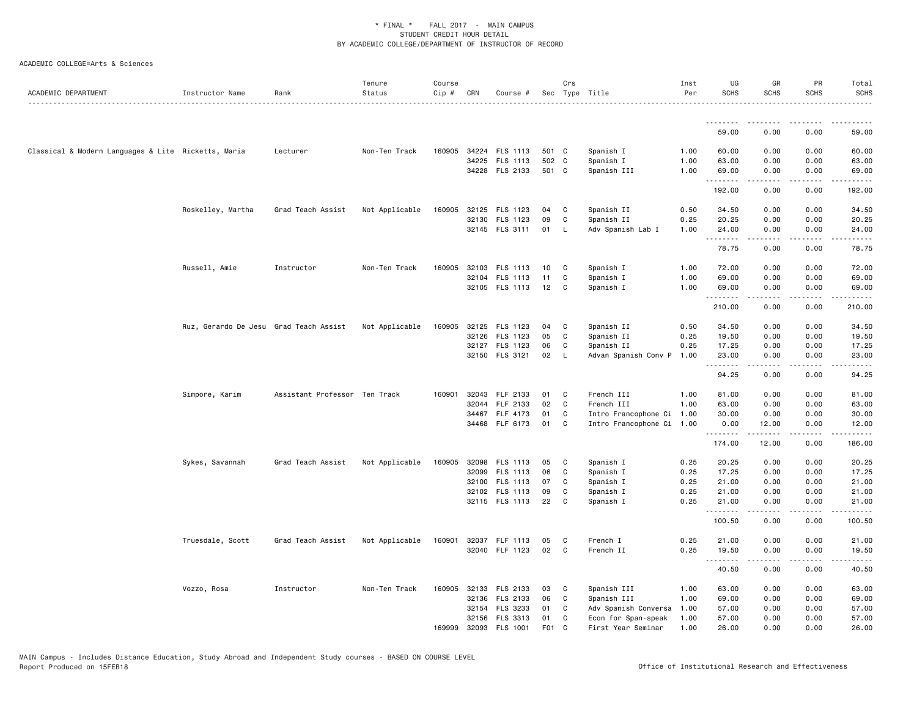| ACADEMIC DEPARTMENT                                 | Instructor Name                        | Rank                          | Tenure<br>Status | Course<br>Cip # | CRN   | Course #                         |                  | Crs            | Sec Type Title                                    | Inst<br>Per  | UG<br><b>SCHS</b> | GR<br><b>SCHS</b>              | PR<br><b>SCHS</b> | Total<br><b>SCHS</b> |
|-----------------------------------------------------|----------------------------------------|-------------------------------|------------------|-----------------|-------|----------------------------------|------------------|----------------|---------------------------------------------------|--------------|-------------------|--------------------------------|-------------------|----------------------|
|                                                     |                                        |                               |                  |                 |       |                                  |                  |                |                                                   |              | --------          |                                |                   |                      |
|                                                     |                                        |                               |                  |                 |       |                                  |                  |                |                                                   |              | 59.00             | 0.00                           | 0.00              | 59.00                |
| Classical & Modern Languages & Lite Ricketts, Maria |                                        | Lecturer                      | Non-Ten Track    |                 |       | 160905 34224 FLS 1113            | 501 C            |                | Spanish I                                         | 1.00         | 60.00             | 0.00                           | 0.00              | 60.00                |
|                                                     |                                        |                               |                  |                 |       | 34225 FLS 1113<br>34228 FLS 2133 | 502 C<br>501 C   |                | Spanish I<br>Spanish III                          | 1.00<br>1.00 | 63.00<br>69.00    | 0.00<br>0.00                   | 0.00<br>0.00      | 63.00<br>69.00       |
|                                                     |                                        |                               |                  |                 |       |                                  |                  |                |                                                   |              | .                 | .                              | المتماما          | .                    |
|                                                     |                                        |                               |                  |                 |       |                                  |                  |                |                                                   |              | 192.00            | 0.00                           | 0.00              | 192.00               |
|                                                     | Roskelley, Martha                      | Grad Teach Assist             | Not Applicable   | 160905          |       | 32125 FLS 1123                   | 04               | C              | Spanish II                                        | 0.50         | 34.50             | 0.00                           | 0.00              | 34.50                |
|                                                     |                                        |                               |                  |                 |       | 32130 FLS 1123                   | 09               | C              | Spanish II                                        | 0.25         | 20.25             | 0.00                           | 0.00              | 20.25                |
|                                                     |                                        |                               |                  |                 |       | 32145 FLS 3111                   | 01               | L              | Adv Spanish Lab I                                 | 1.00         | 24.00<br>.        | 0.00<br><b><i><u>.</u></i></b> | 0.00<br>.         | 24.00<br>والمستحدث   |
|                                                     |                                        |                               |                  |                 |       |                                  |                  |                |                                                   |              | 78.75             | 0.00                           | 0.00              | 78.75                |
|                                                     | Russell, Amie                          | Instructor                    | Non-Ten Track    | 160905          |       | 32103 FLS 1113                   | 10               | C              | Spanish I                                         | 1.00         | 72.00             | 0.00                           | 0.00              | 72.00                |
|                                                     |                                        |                               |                  |                 |       | 32104 FLS 1113                   | 11               | C              | Spanish I                                         | 1.00         | 69.00             | 0.00                           | 0.00              | 69.00                |
|                                                     |                                        |                               |                  |                 |       | 32105 FLS 1113                   | 12               | C              | Spanish I                                         | 1.00         | 69.00<br><u>.</u> | 0.00<br>.                      | 0.00<br>.         | 69.00<br>.           |
|                                                     |                                        |                               |                  |                 |       |                                  |                  |                |                                                   |              | 210.00            | 0.00                           | 0.00              | 210.00               |
|                                                     | Ruz, Gerardo De Jesu Grad Teach Assist |                               | Not Applicable   | 160905          |       | 32125 FLS 1123                   | 04               | C              | Spanish II                                        | 0.50         | 34.50             | 0.00                           | 0.00              | 34.50                |
|                                                     |                                        |                               |                  |                 |       | 32126 FLS 1123                   | 05               | C              | Spanish II                                        | 0.25         | 19.50             | 0.00                           | 0.00              | 19.50                |
|                                                     |                                        |                               |                  |                 |       | 32127 FLS 1123                   | 06               | C              | Spanish II                                        | 0.25         | 17.25             | 0.00                           | 0.00              | 17.25                |
|                                                     |                                        |                               |                  |                 |       | 32150 FLS 3121                   | 02               | L,             | Advan Spanish Conv P                              | 1.00         | 23.00<br>.        | 0.00<br>-----                  | 0.00<br>.         | 23.00<br>.           |
|                                                     |                                        |                               |                  |                 |       |                                  |                  |                |                                                   |              | 94.25             | 0.00                           | 0.00              | 94.25                |
|                                                     | Simpore, Karim                         | Assistant Professor Ten Track |                  | 160901          | 32043 | FLF 2133                         | 01               | C              | French III                                        | 1.00         | 81.00             | 0.00                           | 0.00              | 81.00                |
|                                                     |                                        |                               |                  |                 | 32044 | FLF 2133                         | 02               | C              | French III                                        | 1.00         | 63.00             | 0.00                           | 0.00              | 63.00                |
|                                                     |                                        |                               |                  |                 |       | 34467 FLF 4173<br>34468 FLF 6173 | 01<br>01         | C<br>C         | Intro Francophone Ci<br>Intro Francophone Ci 1.00 | 1.00         | 30.00<br>0.00     | 0.00<br>12.00                  | 0.00<br>0.00      | 30.00<br>12.00       |
|                                                     |                                        |                               |                  |                 |       |                                  |                  |                |                                                   |              | .                 | .                              | .                 | .                    |
|                                                     |                                        |                               |                  |                 |       |                                  |                  |                |                                                   |              | 174.00            | 12.00                          | 0.00              | 186.00               |
|                                                     | Sykes, Savannah                        | Grad Teach Assist             | Not Applicable   | 160905          |       | 32098 FLS 1113                   | 05               | C              | Spanish I                                         | 0.25         | 20.25             | 0.00                           | 0.00              | 20.25                |
|                                                     |                                        |                               |                  |                 | 32099 | FLS 1113                         | 06               | C              | Spanish I                                         | 0.25         | 17.25             | 0.00                           | 0.00              | 17.25                |
|                                                     |                                        |                               |                  |                 | 32102 | 32100 FLS 1113<br>FLS 1113       | 07<br>09         | C<br>C         | Spanish I<br>Spanish I                            | 0.25<br>0.25 | 21.00<br>21.00    | 0.00<br>0.00                   | 0.00<br>0.00      | 21.00<br>21.00       |
|                                                     |                                        |                               |                  |                 |       | 32115 FLS 1113                   | 22               | C              | Spanish I                                         | 0.25         | 21.00             | 0.00                           | 0.00              | 21.00                |
|                                                     |                                        |                               |                  |                 |       |                                  |                  |                |                                                   |              | .<br>100.50       | .<br>0.00                      | 0.00              | .<br>100.50          |
|                                                     |                                        |                               |                  |                 |       |                                  |                  |                |                                                   |              |                   |                                |                   |                      |
|                                                     | Truesdale, Scott                       | Grad Teach Assist             | Not Applicable   | 160901          |       | 32037 FLF 1113<br>32040 FLF 1123 | 05<br>02         | C<br>C         | French I<br>French II                             | 0.25<br>0.25 | 21.00<br>19.50    | 0.00<br>0.00                   | 0.00<br>0.00      | 21.00                |
|                                                     |                                        |                               |                  |                 |       |                                  |                  |                |                                                   |              | .                 | .                              | .                 | 19.50<br>.           |
|                                                     |                                        |                               |                  |                 |       |                                  |                  |                |                                                   |              | 40.50             | 0.00                           | 0.00              | 40.50                |
|                                                     | Vozzo, Rosa                            | Instructor                    | Non-Ten Track    |                 |       | 160905 32133 FLS 2133            | 03               | C              | Spanish III                                       | 1.00         | 63.00             | 0.00                           | 0.00              | 63.00                |
|                                                     |                                        |                               |                  |                 |       | 32136 FLS 2133                   | 06               | C              | Spanish III                                       | 1.00         | 69.00             | 0.00                           | 0.00              | 69.00                |
|                                                     |                                        |                               |                  |                 | 32156 | 32154 FLS 3233<br>FLS 3313       | 01<br>01         | C<br>C         | Adv Spanish Conversa<br>Econ for Span-speak       | 1.00<br>1.00 | 57.00<br>57.00    | 0.00<br>0.00                   | 0.00<br>0.00      | 57.00<br>57.00       |
|                                                     |                                        |                               |                  | 169999          |       | 32093 FLS 1001                   | F <sub>0</sub> 1 | C <sub>c</sub> | First Year Seminar                                | 1.00         | 26.00             | 0.00                           | 0.00              | 26.00                |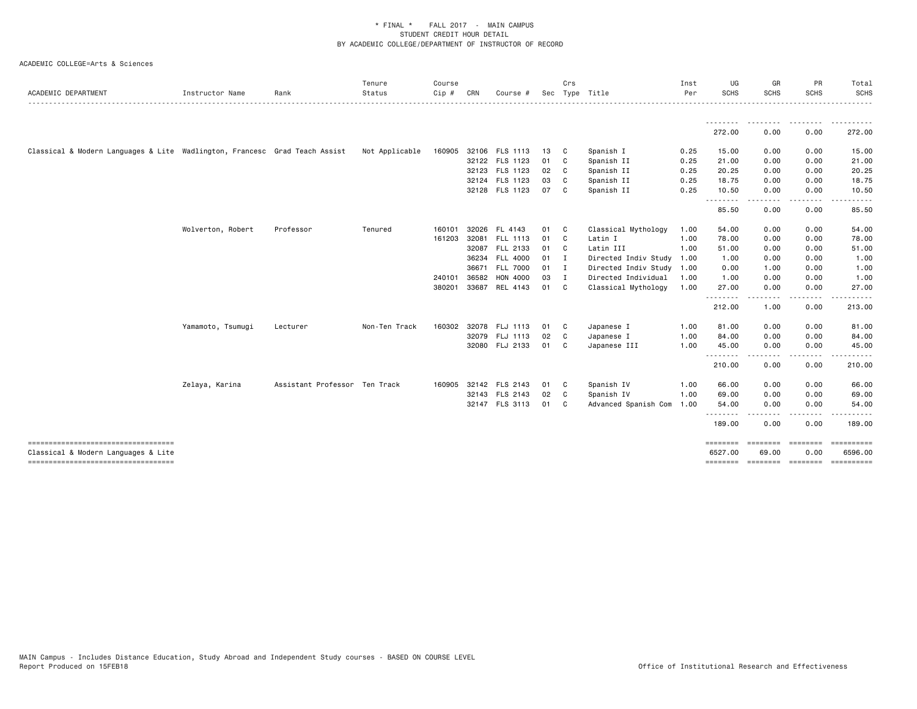| ACADEMIC DEPARTMENT                                                           | Instructor Name   | Rank                          | Tenure<br>Status | Course<br>Cip# | CRN   | Course #              |      | Crs          | Sec Type Title            | Inst<br>Per | UG<br><b>SCHS</b>   | GR<br><b>SCHS</b> | PR<br><b>SCHS</b> | Total<br><b>SCHS</b>      |
|-------------------------------------------------------------------------------|-------------------|-------------------------------|------------------|----------------|-------|-----------------------|------|--------------|---------------------------|-------------|---------------------|-------------------|-------------------|---------------------------|
|                                                                               |                   |                               |                  |                |       |                       |      |              |                           |             |                     |                   |                   |                           |
|                                                                               |                   |                               |                  |                |       |                       |      |              |                           |             | 272.00              | 0.00              | 0.00              | 272.00                    |
| Classical & Modern Languages & Lite Wadlington, Francesc Grad Teach Assist    |                   |                               | Not Applicable   | 160905         |       | 32106 FLS 1113        | 13 C |              | Spanish I                 | 0.25        | 15.00               | 0.00              | 0.00              | 15.00                     |
|                                                                               |                   |                               |                  |                |       | 32122 FLS 1123        | 01 C |              | Spanish II                | 0.25        | 21.00               | 0.00              | 0.00              | 21.00                     |
|                                                                               |                   |                               |                  |                |       | 32123 FLS 1123        | 02   | C            | Spanish II                | 0.25        | 20.25               | 0.00              | 0.00              | 20.25                     |
|                                                                               |                   |                               |                  |                |       | 32124 FLS 1123        | 03   | C            | Spanish II                | 0.25        | 18.75               | 0.00              | 0.00              | 18.75                     |
|                                                                               |                   |                               |                  |                |       | 32128 FLS 1123        | 07   | C.           | Spanish II                | 0.25        | 10.50<br>.          | 0.00              | 0.00              | 10.50                     |
|                                                                               |                   |                               |                  |                |       |                       |      |              |                           |             | 85.50               | 0.00              | 0.00              | 85.50                     |
|                                                                               | Wolverton, Robert | Professor                     | Tenured          | 160101         | 32026 | FL 4143               | 01   | $\mathbf{C}$ | Classical Mythology       | 1.00        | 54.00               | 0.00              | 0.00              | 54.00                     |
|                                                                               |                   |                               |                  | 161203 32081   |       | FLL 1113              | 01 C |              | Latin I                   | 1.00        | 78.00               | 0.00              | 0.00              | 78.00                     |
|                                                                               |                   |                               |                  |                | 32087 | FLL 2133              | 01 C |              | Latin III                 | 1.00        | 51.00               | 0.00              | 0.00              | 51.00                     |
|                                                                               |                   |                               |                  |                | 36234 | <b>FLL 4000</b>       | 01 I |              | Directed Indiv Study 1.00 |             | 1.00                | 0.00              | 0.00              | 1.00                      |
|                                                                               |                   |                               |                  |                |       | 36671 FLL 7000        | 01 I |              | Directed Indiv Study 1.00 |             | 0.00                | 1.00              | 0.00              | 1.00                      |
|                                                                               |                   |                               |                  | 240101         | 36582 | HON 4000              | 03 I |              | Directed Individual       | 1.00        | 1.00                | 0.00              | 0.00              | 1.00                      |
|                                                                               |                   |                               |                  | 380201         | 33687 | REL 4143              | 01   | $\mathbf{C}$ | Classical Mythology       | 1.00        | 27.00               | 0.00              | 0.00              | 27.00                     |
|                                                                               |                   |                               |                  |                |       |                       |      |              |                           |             | .<br>212.00         | .<br>1.00         | $\cdots$<br>0.00  | 213.00                    |
|                                                                               | Yamamoto, Tsumugi | Lecturer                      | Non-Ten Track    | 160302         |       | 32078 FLJ 1113        | 01 C |              | Japanese I                | 1.00        | 81.00               | 0.00              | 0.00              | 81.00                     |
|                                                                               |                   |                               |                  |                |       | 32079 FLJ 1113        | 02   | $\mathbf{C}$ | Japanese I                | 1.00        | 84.00               | 0.00              | 0.00              | 84.00                     |
|                                                                               |                   |                               |                  |                |       | 32080 FLJ 2133        | 01   | C.           | Japanese III              | 1.00        | 45.00               | 0.00              | 0.00              | 45.00                     |
|                                                                               |                   |                               |                  |                |       |                       |      |              |                           |             | .<br>210.00         | 0.00              | 0.00              | 210.00                    |
|                                                                               | Zelaya, Karina    | Assistant Professor Ten Track |                  |                |       | 160905 32142 FLS 2143 | 01 C |              | Spanish IV                | 1.00        | 66.00               | 0.00              | 0.00              | 66.00                     |
|                                                                               |                   |                               |                  |                |       | 32143 FLS 2143        | 02 C |              | Spanish IV                | 1.00        | 69.00               | 0.00              | 0.00              | 69.00                     |
|                                                                               |                   |                               |                  |                |       | 32147 FLS 3113        | 01   | $\mathbf{C}$ | Advanced Spanish Com      | 1.00        | 54.00               | 0.00              | 0.00              | 54.00                     |
|                                                                               |                   |                               |                  |                |       |                       |      |              |                           |             | .<br>189.00         | 0.00              | .<br>0.00         | .<br>189.00               |
| ======================================<br>Classical & Modern Languages & Lite |                   |                               |                  |                |       |                       |      |              |                           |             | ========<br>6527.00 | ========<br>69.00 | ========<br>0.00  | ==========<br>6596.00     |
| ----------------------------------                                            |                   |                               |                  |                |       |                       |      |              |                           |             | ========            |                   |                   | -------- ------- -------- |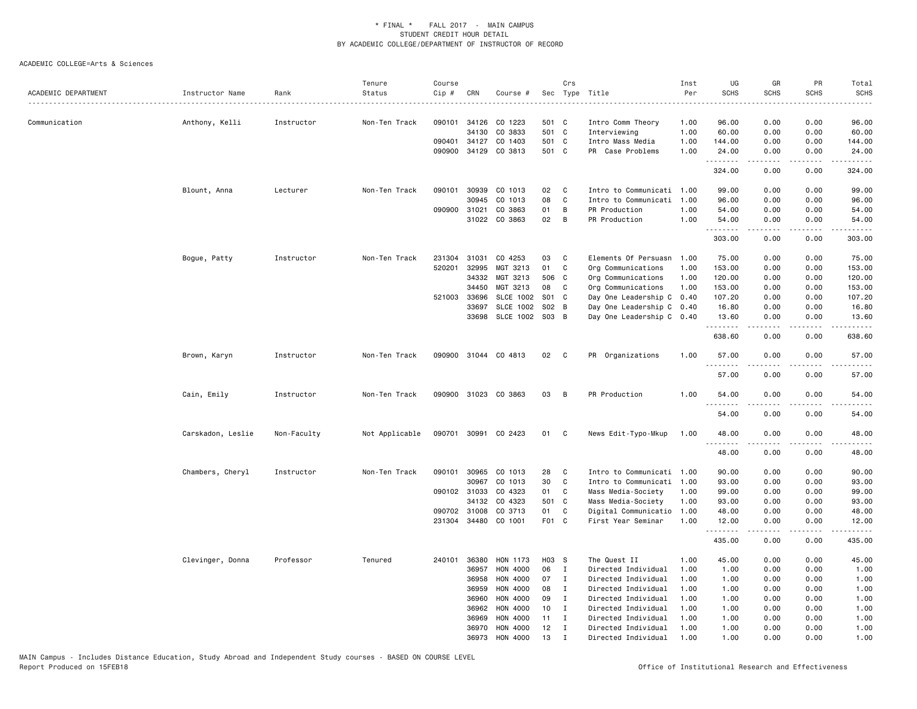| ACADEMIC DEPARTMENT | Instructor Name   | Rank        | Tenure<br>Status | Course<br>Cip # | CRN          | Course #             |                 | Crs          | Sec Type Title            | Inst<br>Per | UG<br><b>SCHS</b>             | GR<br><b>SCHS</b> | PR<br><b>SCHS</b> | Total<br><b>SCHS</b>   |
|---------------------|-------------------|-------------|------------------|-----------------|--------------|----------------------|-----------------|--------------|---------------------------|-------------|-------------------------------|-------------------|-------------------|------------------------|
| Communication       | Anthony, Kelli    | Instructor  | Non-Ten Track    | 090101          | 34126        | CO 1223              | 501 C           |              | Intro Comm Theory         | 1.00        | 96.00                         | 0.00              | 0.00              | 96.00                  |
|                     |                   |             |                  |                 | 34130        | CO 3833              | 501 C           |              | Interviewing              | 1.00        | 60.00                         | 0.00              | 0.00              | 60.00                  |
|                     |                   |             |                  |                 | 090401 34127 | CO 1403              | 501 C           |              | Intro Mass Media          | 1.00        | 144.00                        | 0.00              | 0.00              | 144.00                 |
|                     |                   |             |                  |                 |              | 090900 34129 CO 3813 | 501 C           |              | PR Case Problems          | 1.00        | 24.00                         | 0.00              | 0.00              | 24.00                  |
|                     |                   |             |                  |                 |              |                      |                 |              |                           |             | .<br>324.00                   | 0.00              | 0.00              | .<br>324.00            |
|                     | Blount, Anna      | Lecturer    | Non-Ten Track    | 090101          | 30939        | CO 1013              | 02              | C            | Intro to Communicati      | 1.00        | 99.00                         | 0.00              | 0.00              | 99.00                  |
|                     |                   |             |                  |                 | 30945        | CO 1013              | 08              | C            | Intro to Communicati      | 1.00        | 96.00                         | 0.00              | 0.00              | 96.00                  |
|                     |                   |             |                  | 090900 31021    |              | CO 3863              | 01              | B            | PR Production             | 1.00        | 54.00                         | 0.00              | 0.00              | 54.00                  |
|                     |                   |             |                  |                 |              | 31022 CO 3863        | 02              | B            | PR Production             | 1.00        | 54.00                         | 0.00              | 0.00              | 54.00                  |
|                     |                   |             |                  |                 |              |                      |                 |              |                           |             | . <b>.</b><br>303.00          | 0.00              | 0.00              | . <b>.</b> .<br>303.00 |
|                     | Bogue, Patty      | Instructor  | Non-Ten Track    | 231304          | 31031        | CO 4253              | 03              | C            | Elements Of Persuasn      | 1.00        | 75.00                         | 0.00              | 0.00              | 75.00                  |
|                     |                   |             |                  | 520201          | 32995        | MGT 3213             | 01              | C            | Org Communications        | 1.00        | 153.00                        | 0.00              | 0.00              | 153.00                 |
|                     |                   |             |                  |                 | 34332        | MGT 3213             | 506 C           |              | Org Communications        | 1.00        | 120.00                        | 0.00              | 0.00              | 120.00                 |
|                     |                   |             |                  |                 | 34450        | MGT 3213             | 08              | C            | Org Communications        | 1.00        | 153.00                        | 0.00              | 0.00              | 153.00                 |
|                     |                   |             |                  |                 | 521003 33696 | <b>SLCE 1002</b>     | <b>S01</b>      | $\mathbf{C}$ | Day One Leadership C      | 0.40        | 107.20                        | 0.00              | 0.00              | 107.20                 |
|                     |                   |             |                  |                 | 33697        | <b>SLCE 1002</b>     | S02 B           |              | Day One Leadership C 0.40 |             | 16.80                         | 0.00              | 0.00              | 16.80                  |
|                     |                   |             |                  |                 | 33698        | SLCE 1002            | S03 B           |              | Day One Leadership C 0.40 |             | 13.60                         | 0.00              | 0.00              | 13.60                  |
|                     |                   |             |                  |                 |              |                      |                 |              |                           |             | .<br>638.60                   | 0.00              | 0.00              | 638.60                 |
|                     | Brown, Karyn      | Instructor  | Non-Ten Track    |                 |              | 090900 31044 CO 4813 | 02              | $\mathbf{C}$ | PR Organizations          | 1.00        | 57.00                         | 0.00              | 0.00              | 57.00                  |
|                     |                   |             |                  |                 |              |                      |                 |              |                           |             | .<br>57.00                    | 0.00              | 0.00              | 57.00                  |
|                     | Cain, Emily       | Instructor  | Non-Ten Track    |                 |              | 090900 31023 CO 3863 | 03              | B            | PR Production             | 1.00        | 54.00                         | 0.00              | 0.00              | 54.00                  |
|                     |                   |             |                  |                 |              |                      |                 |              |                           |             | .                             |                   |                   |                        |
|                     |                   |             |                  |                 |              |                      |                 |              |                           |             | 54.00                         | 0.00              | 0.00              | 54.00                  |
|                     | Carskadon, Leslie | Non-Faculty | Not Applicable   |                 |              | 090701 30991 CO 2423 | 01              | C            | News Edit-Typo-Mkup       | 1.00        | 48.00<br>$\sim$ $\sim$ $\sim$ | 0.00              | 0.00<br>$- - - -$ | 48.00                  |
|                     |                   |             |                  |                 |              |                      |                 |              |                           |             | 48.00                         | 0.00              | 0.00              | 48.00                  |
|                     | Chambers, Cheryl  | Instructor  | Non-Ten Track    | 090101          | 30965        | CO 1013              | 28              | C            | Intro to Communicati      | 1.00        | 90.00                         | 0.00              | 0.00              | 90.00                  |
|                     |                   |             |                  |                 | 30967        | CO 1013              | 30              | C            | Intro to Communicati      | 1.00        | 93.00                         | 0.00              | 0.00              | 93.00                  |
|                     |                   |             |                  |                 | 090102 31033 | CO 4323              | 01              | C            | Mass Media-Society        | 1.00        | 99.00                         | 0.00              | 0.00              | 99.00                  |
|                     |                   |             |                  |                 | 34132        | CO 4323              | 501 C           |              | Mass Media-Society        | 1.00        | 93.00                         | 0.00              | 0.00              | 93.00                  |
|                     |                   |             |                  |                 | 090702 31008 | CO 3713              | 01              | C            | Digital Communicatio      | 1.00        | 48.00                         | 0.00              | 0.00              | 48.00                  |
|                     |                   |             |                  |                 | 231304 34480 | CO 1001              | F01 C           |              | First Year Seminar        | 1.00        | 12.00                         | 0.00              | 0.00              | 12.00                  |
|                     |                   |             |                  |                 |              |                      |                 |              |                           |             | .<br>435.00                   | 0.00              | 0.00              | 435.00                 |
|                     | Clevinger, Donna  | Professor   | Tenured          | 240101          | 36380        | HON 1173             | H03 S           |              | The Quest II              | 1.00        | 45.00                         | 0.00              | 0.00              | 45.00                  |
|                     |                   |             |                  |                 | 36957        | HON 4000             | 06              | $\mathbf{I}$ | Directed Individual       | 1.00        | 1.00                          | 0.00              | 0.00              | 1.00                   |
|                     |                   |             |                  |                 | 36958        | HON 4000             | 07              | I            | Directed Individual       | 1.00        | 1.00                          | 0.00              | 0.00              | 1.00                   |
|                     |                   |             |                  |                 | 36959        | HON 4000             | 08              | $\mathbf I$  | Directed Individual       | 1.00        | 1.00                          | 0.00              | 0.00              | 1.00                   |
|                     |                   |             |                  |                 | 36960        | HON 4000             | 09              | I            | Directed Individual       | 1.00        | 1.00                          | 0.00              | 0.00              | 1.00                   |
|                     |                   |             |                  |                 | 36962        | HON 4000             | 10 <sub>1</sub> | I            | Directed Individual       | 1.00        | 1.00                          | 0.00              | 0.00              | 1.00                   |
|                     |                   |             |                  |                 | 36969        | HON 4000             | 11              | I            | Directed Individual       | 1.00        | 1.00                          | 0.00              | 0.00              | 1.00                   |
|                     |                   |             |                  |                 | 36970        | HON 4000             | 12              | $\mathbf I$  | Directed Individual       | 1.00        | 1.00                          | 0.00              | 0.00              | 1.00                   |
|                     |                   |             |                  |                 | 36973        | HON 4000             | 13              | $\mathsf{T}$ | Directed Individual       | 1.00        | 1.00                          | 0.00              | 0.00              | 1.00                   |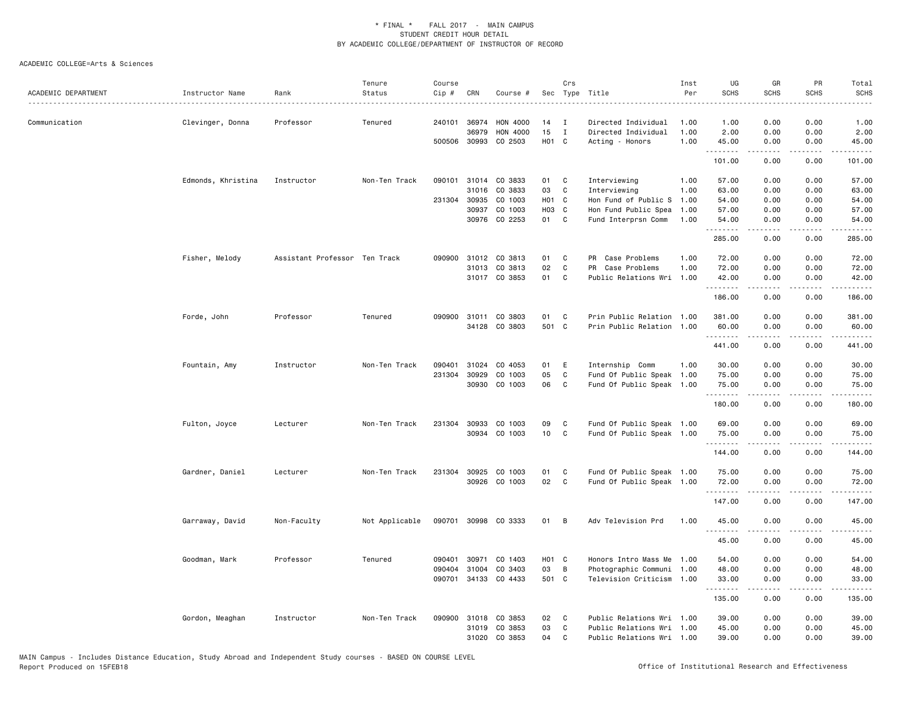| ACADEMIC DEPARTMENT | Instructor Name    | Rank                          | Tenure<br>Status | Course<br>Cip # | CRN                   | Course #                   |                | Crs          | Sec Type Title<br>.                          | Inst<br>Per<br>. <b>.</b> | UG<br><b>SCHS</b> | GR<br><b>SCHS</b>                                                                                                                                            | PR<br><b>SCHS</b> | Total<br><b>SCHS</b><br><u>.</u> |
|---------------------|--------------------|-------------------------------|------------------|-----------------|-----------------------|----------------------------|----------------|--------------|----------------------------------------------|---------------------------|-------------------|--------------------------------------------------------------------------------------------------------------------------------------------------------------|-------------------|----------------------------------|
| Communication       | Clevinger, Donna   | Professor                     | Tenured          | 240101          | 36974                 | HON 4000                   | 14             | I            | Directed Individual                          | 1.00                      | 1.00              | 0.00                                                                                                                                                         | 0.00              | 1.00                             |
|                     |                    |                               |                  |                 | 36979<br>500506 30993 | <b>HON 4000</b><br>CO 2503 | 15<br>H01 C    | $\mathbf{I}$ | Directed Individual<br>Acting - Honors       | 1.00<br>1.00              | 2.00<br>45.00     | 0.00<br>0.00                                                                                                                                                 | 0.00<br>0.00      | 2.00<br>45.00                    |
|                     |                    |                               |                  |                 |                       |                            |                |              |                                              |                           | .                 | $\omega$ is $\omega$ in $\omega$                                                                                                                             | .                 | .                                |
|                     |                    |                               |                  |                 |                       |                            |                |              |                                              |                           | 101.00            | 0.00                                                                                                                                                         | 0.00              | 101.00                           |
|                     | Edmonds, Khristina | Instructor                    | Non-Ten Track    | 090101          |                       | 31014 CO 3833              | 01             | C            | Interviewing                                 | 1.00                      | 57.00             | 0.00                                                                                                                                                         | 0.00              | 57.00                            |
|                     |                    |                               |                  |                 | 31016                 | CO 3833                    | 03             | C            | Interviewing                                 | 1.00                      | 63.00             | 0.00                                                                                                                                                         | 0.00              | 63.00                            |
|                     |                    |                               |                  | 231304          | 30935<br>30937        | CO 1003<br>CO 1003         | HO1 C<br>H03 C |              | Hon Fund of Public S<br>Hon Fund Public Spea | 1.00                      | 54.00<br>57.00    | 0.00<br>0.00                                                                                                                                                 | 0.00<br>0.00      | 54.00<br>57.00                   |
|                     |                    |                               |                  |                 |                       | 30976 CO 2253              | 01 C           |              | Fund Interprsn Comm                          | 1.00<br>1.00              | 54.00             | 0.00                                                                                                                                                         | 0.00              | 54.00                            |
|                     |                    |                               |                  |                 |                       |                            |                |              |                                              |                           | .                 | .                                                                                                                                                            | $- - - -$         | .                                |
|                     |                    |                               |                  |                 |                       |                            |                |              |                                              |                           | 285.00            | 0.00                                                                                                                                                         | 0.00              | 285.00                           |
|                     | Fisher, Melody     | Assistant Professor Ten Track |                  |                 |                       | 090900 31012 CO 3813       | 01             | C            | PR Case Problems                             | 1.00                      | 72.00             | 0.00                                                                                                                                                         | 0.00              | 72.00                            |
|                     |                    |                               |                  |                 |                       | 31013 CO 3813              | 02             | C            | PR Case Problems                             | 1.00                      | 72.00             | 0.00                                                                                                                                                         | 0.00              | 72.00                            |
|                     |                    |                               |                  |                 |                       | 31017 CO 3853              | 01 C           |              | Public Relations Wri 1.00                    |                           | 42.00<br><u>.</u> | 0.00<br>$- - - - -$                                                                                                                                          | 0.00<br>.         | 42.00<br>.                       |
|                     |                    |                               |                  |                 |                       |                            |                |              |                                              |                           | 186.00            | 0.00                                                                                                                                                         | 0.00              | 186.00                           |
|                     | Forde, John        | Professor                     | Tenured          |                 |                       | 090900 31011 CO 3803       | 01             | C            | Prin Public Relation 1.00                    |                           | 381.00            | 0.00                                                                                                                                                         | 0.00              | 381.00                           |
|                     |                    |                               |                  |                 |                       | 34128 CO 3803              | 501 C          |              | Prin Public Relation 1.00                    |                           | 60.00             | 0.00                                                                                                                                                         | 0.00              | 60.00                            |
|                     |                    |                               |                  |                 |                       |                            |                |              |                                              |                           | .<br>441.00       | 0.00                                                                                                                                                         | 0.00              | 441.00                           |
|                     |                    |                               |                  |                 |                       |                            |                |              |                                              |                           |                   |                                                                                                                                                              |                   |                                  |
|                     | Fountain, Amy      | Instructor                    | Non-Ten Track    | 090401          | 31024                 | CO 4053                    | 01             | E            | Internship Comm                              | 1.00                      | 30.00             | 0.00                                                                                                                                                         | 0.00              | 30.00                            |
|                     |                    |                               |                  | 231304          | 30929                 | CO 1003                    | 05             | C            | Fund Of Public Speak 1.00                    |                           | 75.00             | 0.00                                                                                                                                                         | 0.00              | 75.00                            |
|                     |                    |                               |                  |                 |                       | 30930 CO 1003              | 06             | C            | Fund Of Public Speak 1.00                    |                           | 75.00<br>.        | 0.00<br>$\frac{1}{2} \left( \frac{1}{2} \right) \left( \frac{1}{2} \right) \left( \frac{1}{2} \right) \left( \frac{1}{2} \right) \left( \frac{1}{2} \right)$ | 0.00<br>.         | 75.00<br>.                       |
|                     |                    |                               |                  |                 |                       |                            |                |              |                                              |                           | 180.00            | 0.00                                                                                                                                                         | 0.00              | 180.00                           |
|                     | Fulton, Joyce      | Lecturer                      | Non-Ten Track    |                 |                       | 231304 30933 CO 1003       | 09             | C            | Fund Of Public Speak 1.00                    |                           | 69.00             | 0.00                                                                                                                                                         | 0.00              | 69.00                            |
|                     |                    |                               |                  |                 |                       | 30934 CO 1003              | 10 C           |              | Fund Of Public Speak 1.00                    |                           | 75.00             | 0.00                                                                                                                                                         | 0.00              | 75.00                            |
|                     |                    |                               |                  |                 |                       |                            |                |              |                                              |                           | .                 | $- - - - -$                                                                                                                                                  | .                 | <u>.</u>                         |
|                     |                    |                               |                  |                 |                       |                            |                |              |                                              |                           | 144.00            | 0.00                                                                                                                                                         | 0.00              | 144.00                           |
|                     | Gardner, Daniel    | Lecturer                      | Non-Ten Track    | 231304          | 30925                 | CO 1003                    | 01             | C            | Fund Of Public Speak 1.00                    |                           | 75.00             | 0.00                                                                                                                                                         | 0.00              | 75.00                            |
|                     |                    |                               |                  |                 |                       | 30926 CO 1003              | 02             | $\mathbf{C}$ | Fund Of Public Speak 1.00                    |                           | 72.00             | 0.00                                                                                                                                                         | 0.00              | 72.00                            |
|                     |                    |                               |                  |                 |                       |                            |                |              |                                              |                           | .<br>147.00       | -----<br>0.00                                                                                                                                                | .<br>0.00         | 147.00                           |
|                     |                    |                               |                  |                 |                       |                            |                |              |                                              |                           |                   |                                                                                                                                                              |                   |                                  |
|                     | Garraway, David    | Non-Faculty                   | Not Applicable   |                 |                       | 090701 30998 CO 3333       | 01 B           |              | Adv Television Prd                           | 1.00                      | 45.00<br><u>.</u> | 0.00<br>$- - - - -$                                                                                                                                          | 0.00<br>.         | 45.00<br>.                       |
|                     |                    |                               |                  |                 |                       |                            |                |              |                                              |                           | 45.00             | 0.00                                                                                                                                                         | 0.00              | 45.00                            |
|                     | Goodman, Mark      | Professor                     | Tenured          | 090401          | 30971                 | CO 1403                    | H01 C          |              | Honors Intro Mass Me                         | 1.00                      | 54.00             | 0.00                                                                                                                                                         | 0.00              | 54.00                            |
|                     |                    |                               |                  | 090404          | 31004                 | CO 3403                    | 03             | B            | Photographic Communi 1.00                    |                           | 48.00             | 0.00                                                                                                                                                         | 0.00              | 48.00                            |
|                     |                    |                               |                  | 090701          |                       | 34133 CO 4433              | 501 C          |              | Television Criticism 1.00                    |                           | 33.00             | 0.00                                                                                                                                                         | 0.00              | 33.00                            |
|                     |                    |                               |                  |                 |                       |                            |                |              |                                              |                           | .                 | .                                                                                                                                                            | $\cdots$          | .                                |
|                     |                    |                               |                  |                 |                       |                            |                |              |                                              |                           | 135.00            | 0.00                                                                                                                                                         | 0.00              | 135.00                           |
|                     | Gordon, Meaghan    | Instructor                    | Non-Ten Track    |                 |                       | 090900 31018 CO 3853       | 02             | C            | Public Relations Wri 1.00                    |                           | 39.00             | 0.00                                                                                                                                                         | 0.00              | 39.00                            |
|                     |                    |                               |                  |                 |                       | 31019 CO 3853              | 03             | C            | Public Relations Wri 1.00                    |                           | 45.00             | 0.00                                                                                                                                                         | 0.00              | 45.00                            |
|                     |                    |                               |                  |                 |                       | 31020 CO 3853              | 04             | C            | Public Relations Wri 1.00                    |                           | 39.00             | 0.00                                                                                                                                                         | 0.00              | 39.00                            |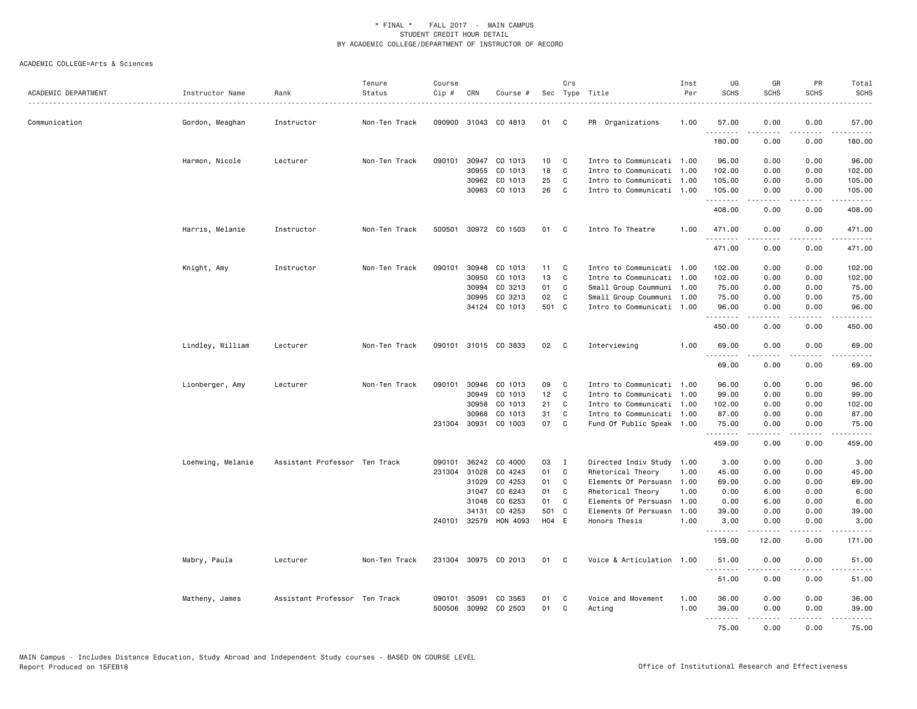| ACADEMIC DEPARTMENT | Instructor Name   | Rank                          | Tenure<br>Status | Course<br>Cip # | CRN          | Course #             |       | Crs          | Sec Type Title            | Inst<br>Per | UG<br><b>SCHS</b> | GR<br><b>SCHS</b>   | PR<br><b>SCHS</b>     | Total<br><b>SCHS</b>    |
|---------------------|-------------------|-------------------------------|------------------|-----------------|--------------|----------------------|-------|--------------|---------------------------|-------------|-------------------|---------------------|-----------------------|-------------------------|
| Communication       | Gordon, Meaghan   | Instructor                    | Non-Ten Track    |                 |              | 090900 31043 CO 4813 | 01 C  |              | PR Organizations          | 1.00        | 57.00             | 0.00                | 0.00                  | 57.00                   |
|                     |                   |                               |                  |                 |              |                      |       |              |                           |             | .<br>180.00       | .<br>0.00           | .<br>0.00             | .<br>180.00             |
|                     | Harmon, Nicole    | Lecturer                      | Non-Ten Track    | 090101          |              | 30947 CO 1013        | 10    | C            | Intro to Communicati 1.00 |             | 96.00             | 0.00                | 0.00                  | 96.00                   |
|                     |                   |                               |                  |                 | 30955        | CO 1013              | 18    | C            | Intro to Communicati 1.00 |             | 102.00            | 0.00                | 0.00                  | 102.00                  |
|                     |                   |                               |                  |                 | 30962        | CO 1013              | 25    | C            | Intro to Communicati 1.00 |             | 105,00            | 0.00                | 0.00                  | 105.00                  |
|                     |                   |                               |                  |                 |              | 30963 CO 1013        | 26    | $\mathbf{C}$ | Intro to Communicati 1.00 |             | 105.00<br>.       | 0.00<br>. <b>.</b>  | 0.00<br>.             | 105.00<br>$- - - - - -$ |
|                     |                   |                               |                  |                 |              |                      |       |              |                           |             | 408.00            | 0.00                | 0.00                  | 408.00                  |
|                     | Harris, Melanie   | Instructor                    | Non-Ten Track    |                 |              | 500501 30972 CO 1503 | 01 C  |              | Intro To Theatre          | 1.00        | 471.00<br>.       | 0.00<br>.           | 0.00<br>.             | 471.00<br>.             |
|                     |                   |                               |                  |                 |              |                      |       |              |                           |             | 471.00            | 0.00                | 0.00                  | 471.00                  |
|                     | Knight, Amy       | Instructor                    | Non-Ten Track    | 090101          |              | 30948 CO 1013        | 11    | C.           | Intro to Communicati 1.00 |             | 102,00            | 0.00                | 0.00                  | 102.00                  |
|                     |                   |                               |                  |                 | 30950        | CO 1013              | 13    | C            | Intro to Communicati 1.00 |             | 102.00            | 0.00                | 0.00                  | 102.00                  |
|                     |                   |                               |                  |                 | 30994        | CO 3213              | 01    | C            | Small Group Coummuni 1.00 |             | 75.00             | 0.00                | 0.00                  | 75.00                   |
|                     |                   |                               |                  |                 | 30995        | CO 3213              | 02    | C            | Small Group Coummuni 1.00 |             | 75.00             | 0.00                | 0.00                  | 75.00                   |
|                     |                   |                               |                  |                 |              | 34124 CO 1013        | 501 C |              | Intro to Communicati 1.00 |             | 96.00<br>.        | 0.00                | 0.00<br>$\frac{1}{2}$ | 96.00<br>.              |
|                     |                   |                               |                  |                 |              |                      |       |              |                           |             | 450.00            | 0.00                | 0.00                  | 450.00                  |
|                     | Lindley, William  | Lecturer                      | Non-Ten Track    |                 |              | 090101 31015 CO 3833 | 02    | $\mathbf{C}$ | Interviewing              | 1.00        | 69.00<br>.        | 0.00<br>. <b>.</b>  | 0.00                  | 69.00<br>.              |
|                     |                   |                               |                  |                 |              |                      |       |              |                           |             | 69.00             | 0.00                | 0.00                  | 69.00                   |
|                     | Lionberger, Amy   | Lecturer                      | Non-Ten Track    | 090101          |              | 30946 CO 1013        | 09    | C            | Intro to Communicati 1.00 |             | 96.00             | 0.00                | 0.00                  | 96.00                   |
|                     |                   |                               |                  |                 | 30949        | CO 1013              | 12    | C.           | Intro to Communicati 1.00 |             | 99.00             | 0.00                | 0.00                  | 99.00                   |
|                     |                   |                               |                  |                 | 30958        | CO 1013              | 21    | C            | Intro to Communicati 1.00 |             | 102.00            | 0.00                | 0.00                  | 102.00                  |
|                     |                   |                               |                  |                 | 30968        | CO 1013              | 31    | C            | Intro to Communicati 1.00 |             | 87.00             | 0.00                | 0.00                  | 87.00                   |
|                     |                   |                               |                  |                 |              | 231304 30931 CO 1003 | 07    | $\mathbf{C}$ | Fund Of Public Speak 1.00 |             | 75.00<br>.        | 0.00<br>$- - - - -$ | 0.00<br>.             | 75.00<br>.              |
|                     |                   |                               |                  |                 |              |                      |       |              |                           |             | 459.00            | 0.00                | 0.00                  | 459.00                  |
|                     | Loehwing, Melanie | Assistant Professor Ten Track |                  | 090101          | 36242        | CO 4000              | 03    | $\mathbf{I}$ | Directed Indiv Study 1.00 |             | 3.00              | 0.00                | 0.00                  | 3.00                    |
|                     |                   |                               |                  | 231304          | 31028        | CO 4243              | 01    | C            | Rhetorical Theory         | 1.00        | 45.00             | 0.00                | 0.00                  | 45.00                   |
|                     |                   |                               |                  |                 | 31029        | CO 4253              | 01    | $\mathbf{C}$ | Elements Of Persuasn 1.00 |             | 69.00             | 0.00                | 0.00                  | 69.00                   |
|                     |                   |                               |                  |                 | 31047        | CO 6243              | 01    | C            | Rhetorical Theory         | 1.00        | 0.00              | 6.00                | 0.00                  | 6.00                    |
|                     |                   |                               |                  |                 | 31048        | CO 6253              | 01    | C            | Elements Of Persuasn 1.00 |             | 0.00              | 6.00                | 0.00                  | 6.00                    |
|                     |                   |                               |                  |                 | 34131        | CO 4253              | 501 C |              | Elements Of Persuasn      | 1.00        | 39.00             | 0.00                | 0.00                  | 39.00                   |
|                     |                   |                               |                  |                 | 240101 32579 | HON 4093             | H04 E |              | Honors Thesis             | 1.00        | 3.00<br>.         | 0.00<br>.           | 0.00<br>.             | 3.00<br>.               |
|                     |                   |                               |                  |                 |              |                      |       |              |                           |             | 159.00            | 12.00               | 0.00                  | 171.00                  |
|                     | Mabry, Paula      | Lecturer                      | Non-Ten Track    |                 |              | 231304 30975 CO 2013 | 01 C  |              | Voice & Articulation 1.00 |             | 51.00<br><u>.</u> | 0.00<br>-----       | 0.00<br>.             | 51.00<br>.              |
|                     |                   |                               |                  |                 |              |                      |       |              |                           |             | 51.00             | 0.00                | 0.00                  | 51.00                   |
|                     | Matheny, James    | Assistant Professor Ten Track |                  | 090101          | 35091        | CO 3563              | 01    | C            | Voice and Movement        | 1.00        | 36.00             | 0.00                | 0.00                  | 36.00                   |
|                     |                   |                               |                  |                 |              | 500506 30992 CO 2503 | 01 C  |              | Acting                    | 1.00        | 39.00             | 0.00                | 0.00                  | 39.00                   |
|                     |                   |                               |                  |                 |              |                      |       |              |                           |             | .                 | $    -$             | .                     | .                       |
|                     |                   |                               |                  |                 |              |                      |       |              |                           |             | 75.00             | 0.00                | 0.00                  | 75.00                   |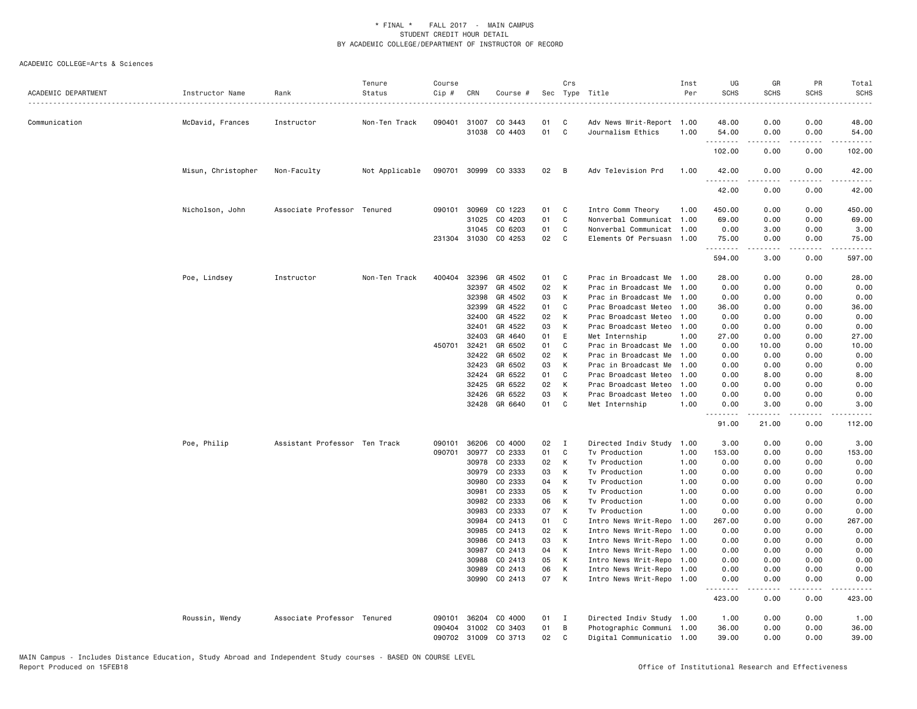| ACADEMIC DEPARTMENT | Instructor Name    | Rank                          | Tenure<br>Status | Course<br>Cip # | CRN            | Course #             |          | Crs            | Sec Type Title<br><u>.</u>                             | Inst<br>Per | UG<br><b>SCHS</b>  | GR<br><b>SCHS</b>   | PR<br><b>SCHS</b>                                                                                                                 | Total<br><b>SCHS</b> |
|---------------------|--------------------|-------------------------------|------------------|-----------------|----------------|----------------------|----------|----------------|--------------------------------------------------------|-------------|--------------------|---------------------|-----------------------------------------------------------------------------------------------------------------------------------|----------------------|
| Communication       | McDavid, Frances   | Instructor                    | Non-Ten Track    | 090401          | 31007          | CO 3443              | 01       | C              | Adv News Writ-Report 1.00                              |             | 48.00              | 0.00                | 0.00                                                                                                                              | 48.00                |
|                     |                    |                               |                  |                 | 31038          | CO 4403              | 01       | C              | Journalism Ethics                                      | 1.00        | 54.00<br>.         | 0.00                | 0.00                                                                                                                              | 54.00                |
|                     |                    |                               |                  |                 |                |                      |          |                |                                                        |             | 102.00             | 0.00                | 0.00                                                                                                                              | 102.00               |
|                     | Misun, Christopher | Non-Faculty                   | Not Applicable   |                 |                | 090701 30999 CO 3333 | 02       | $\overline{B}$ | Adv Television Prd                                     | 1.00        | 42.00<br>.         | 0.00<br>-----       | 0.00<br>.                                                                                                                         | 42.00<br>.           |
|                     |                    |                               |                  |                 |                |                      |          |                |                                                        |             | 42.00              | 0.00                | 0.00                                                                                                                              | 42.00                |
|                     | Nicholson, John    | Associate Professor Tenured   |                  | 090101          | 30969          | CO 1223              | 01       | C              | Intro Comm Theory                                      | 1.00        | 450.00             | 0.00                | 0.00                                                                                                                              | 450.00               |
|                     |                    |                               |                  |                 | 31025          | CO 4203              | 01       | C              | Nonverbal Communicat                                   | 1.00        | 69.00              | 0.00                | 0.00                                                                                                                              | 69.00                |
|                     |                    |                               |                  |                 | 31045          | CO 6203              | 01       | C              | Nonverbal Communicat 1.00                              |             | 0.00               | 3.00                | 0.00                                                                                                                              | 3.00                 |
|                     |                    |                               |                  |                 |                | 231304 31030 CO 4253 | 02       | $\mathbf C$    | Elements Of Persuasn 1.00                              |             | 75.00<br>.         | 0.00<br>$- - - - -$ | 0.00<br>.                                                                                                                         | 75.00<br>.           |
|                     |                    |                               |                  |                 |                |                      |          |                |                                                        |             | 594.00             | 3.00                | 0.00                                                                                                                              | 597.00               |
|                     | Poe, Lindsey       | Instructor                    | Non-Ten Track    | 400404          | 32396          | GR 4502              | 01       | C              | Prac in Broadcast Me                                   | 1.00        | 28.00              | 0.00                | 0.00                                                                                                                              | 28.00                |
|                     |                    |                               |                  |                 | 32397          | GR 4502              | 02       | K              | Prac in Broadcast Me                                   | 1.00        | 0.00               | 0.00                | 0.00                                                                                                                              | 0.00                 |
|                     |                    |                               |                  |                 | 32398          | GR 4502              | 03       | К              | Prac in Broadcast Me                                   | 1.00        | 0.00               | 0.00                | 0.00                                                                                                                              | 0.00                 |
|                     |                    |                               |                  |                 | 32399          | GR 4522              | 01       | C              | Prac Broadcast Meteo                                   | 1.00        | 36.00              | 0.00                | 0.00                                                                                                                              | 36.00                |
|                     |                    |                               |                  |                 | 32400          | GR 4522              | 02       | К              | Prac Broadcast Meteo                                   | 1.00        | 0.00               | 0.00                | 0.00                                                                                                                              | 0.00                 |
|                     |                    |                               |                  |                 | 32401          | GR 4522              | 03       | к              | Prac Broadcast Meteo                                   | 1.00        | 0.00               | 0.00                | 0.00                                                                                                                              | 0.00                 |
|                     |                    |                               |                  |                 | 32403          | GR 4640              | 01       | Ε              | Met Internship                                         | 1.00        | 27.00              | 0.00                | 0.00                                                                                                                              | 27.00                |
|                     |                    |                               |                  | 450701          | 32421          | GR 6502              | 01       | C              | Prac in Broadcast Me                                   | 1.00        | 0.00               | 10.00               | 0.00                                                                                                                              | 10.00                |
|                     |                    |                               |                  |                 | 32422          | GR 6502              | 02       | K              | Prac in Broadcast Me                                   | 1.00        | 0.00               | 0.00                | 0.00                                                                                                                              | 0.00                 |
|                     |                    |                               |                  |                 | 32423          | GR 6502              | 03       | К              | Prac in Broadcast Me                                   | 1.00        | 0.00               | 0.00                | 0.00                                                                                                                              | 0.00                 |
|                     |                    |                               |                  |                 | 32424          | GR 6522              | 01       | C              | Prac Broadcast Meteo                                   | 1.00        | 0.00               | 8.00                | 0.00                                                                                                                              | 8.00                 |
|                     |                    |                               |                  |                 | 32425          | GR 6522              | 02       | К              | Prac Broadcast Meteo                                   | 1.00        | 0.00               | 0.00                | 0.00                                                                                                                              | 0.00                 |
|                     |                    |                               |                  |                 | 32426          | GR 6522              | 03       | К              | Prac Broadcast Meteo                                   | 1.00        | 0.00               | 0.00                | 0.00                                                                                                                              | 0.00                 |
|                     |                    |                               |                  |                 | 32428          | GR 6640              | 01       | $\mathbf c$    | Met Internship                                         | 1.00        | 0.00<br>. <b>.</b> | 3.00<br>-----       | 0.00<br>$\frac{1}{2} \left( \frac{1}{2} \right) \left( \frac{1}{2} \right) \left( \frac{1}{2} \right) \left( \frac{1}{2} \right)$ | 3.00                 |
|                     |                    |                               |                  |                 |                |                      |          |                |                                                        |             | 91.00              | 21.00               | 0.00                                                                                                                              | 112.00               |
|                     | Poe, Philip        | Assistant Professor Ten Track |                  | 090101          | 36206          | CO 4000              | 02       | $\mathbf{I}$   | Directed Indiv Study                                   | 1.00        | 3.00               | 0.00                | 0.00                                                                                                                              | 3.00                 |
|                     |                    |                               |                  | 090701          | 30977          | CO 2333              | 01       | C              | Tv Production                                          | 1.00        | 153.00             | 0.00                | 0.00                                                                                                                              | 153.00               |
|                     |                    |                               |                  |                 | 30978          | CO 2333              | 02       | K              | Tv Production                                          | 1.00        | 0.00               | 0.00                | 0.00                                                                                                                              | 0.00                 |
|                     |                    |                               |                  |                 | 30979          | CO 2333              | 03       | К              | Tv Production                                          | 1.00        | 0.00               | 0.00                | 0.00                                                                                                                              | 0.00                 |
|                     |                    |                               |                  |                 | 30980          | CO 2333              | 04       | К              | Tv Production                                          | 1.00        | 0.00               | 0.00                | 0.00                                                                                                                              | 0.00                 |
|                     |                    |                               |                  |                 | 30981          | CO 2333              | 05       | К              | Tv Production                                          | 1.00        | 0.00               | 0.00                | 0.00                                                                                                                              | 0.00                 |
|                     |                    |                               |                  |                 | 30982          | CO 2333              | 06       | K              | Tv Production                                          | 1.00        | 0.00               | 0.00                | 0.00                                                                                                                              | 0.00                 |
|                     |                    |                               |                  |                 | 30983          | CO 2333              | 07       | К              | Tv Production                                          | 1.00        | 0.00               | 0.00                | 0.00                                                                                                                              | 0.00                 |
|                     |                    |                               |                  |                 | 30984          | CO 2413              | 01       | C              | Intro News Writ-Repo                                   | 1.00        | 267.00             | 0.00                | 0.00                                                                                                                              | 267.00               |
|                     |                    |                               |                  |                 | 30985          | CO 2413              | 02       | K              | Intro News Writ-Repo                                   | 1.00        | 0.00               | 0.00                | 0.00                                                                                                                              | 0.00                 |
|                     |                    |                               |                  |                 | 30986          | CO 2413              | 03       | К              | Intro News Writ-Repo                                   | 1.00        | 0.00               | 0.00                | 0.00                                                                                                                              | 0.00                 |
|                     |                    |                               |                  |                 | 30987          | CO 2413              | 04       | К              | Intro News Writ-Repo 1.00                              |             | 0.00               | 0.00                | 0.00                                                                                                                              | 0.00                 |
|                     |                    |                               |                  |                 | 30988          | CO 2413              | 05<br>06 | К              | Intro News Writ-Repo 1.00                              |             | 0.00               | 0.00                | 0.00                                                                                                                              | 0.00                 |
|                     |                    |                               |                  |                 | 30989<br>30990 | CO 2413<br>CO 2413   | 07       | К<br>К         | Intro News Writ-Repo 1.00<br>Intro News Writ-Repo 1.00 |             | 0.00<br>0.00       | 0.00<br>0.00        | 0.00<br>0.00                                                                                                                      | 0.00<br>0.00         |
|                     |                    |                               |                  |                 |                |                      |          |                |                                                        |             | 423.00             | 0.00                | 0.00                                                                                                                              | 423.00               |
|                     | Roussin, Wendy     | Associate Professor Tenured   |                  | 090101          | 36204          | CO 4000              | 01       | I              | Directed Indiv Study 1.00                              |             | 1.00               | 0.00                | 0.00                                                                                                                              | 1.00                 |
|                     |                    |                               |                  | 090404          | 31002          | CO 3403              | 01       | B              | Photographic Communi 1.00                              |             | 36.00              | 0.00                | 0.00                                                                                                                              | 36.00                |
|                     |                    |                               |                  | 090702          | 31009          | CO 3713              | 02       | C              | Digital Communicatio 1.00                              |             | 39.00              | 0.00                | 0.00                                                                                                                              | 39.00                |
|                     |                    |                               |                  |                 |                |                      |          |                |                                                        |             |                    |                     |                                                                                                                                   |                      |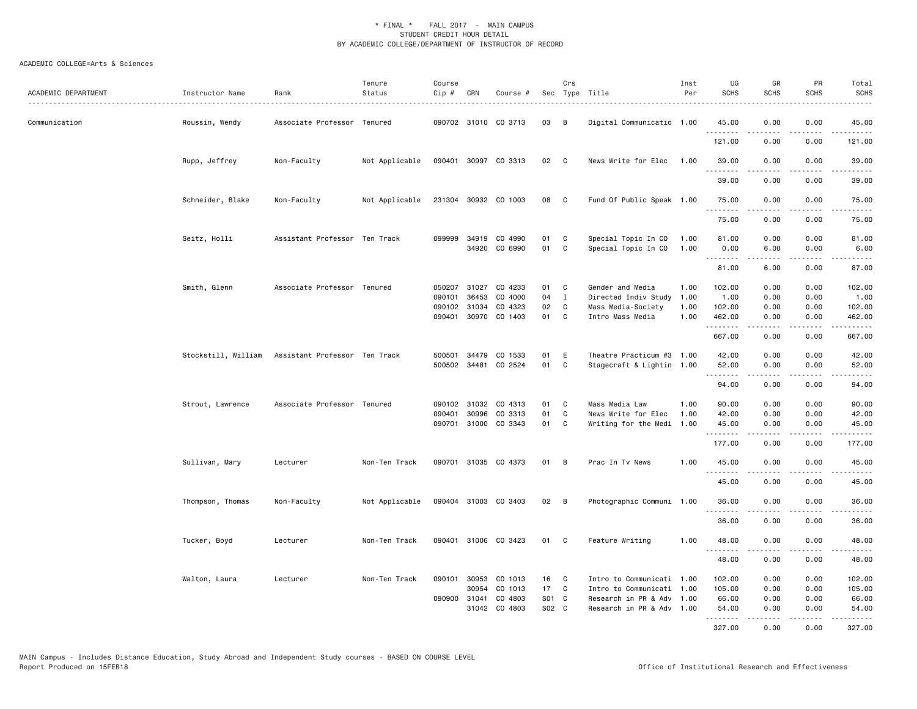| ACADEMIC DEPARTMENT | Instructor Name  | Rank                                              | Tenure<br>Status | Course<br>Cip # | CRN          | Course #             |              | Crs            | Sec Type Title            | Inst<br>Per | UG<br><b>SCHS</b>   | GR<br><b>SCHS</b>   | PR<br><b>SCHS</b>     | Total<br><b>SCHS</b>                                                                                                                                                                      |
|---------------------|------------------|---------------------------------------------------|------------------|-----------------|--------------|----------------------|--------------|----------------|---------------------------|-------------|---------------------|---------------------|-----------------------|-------------------------------------------------------------------------------------------------------------------------------------------------------------------------------------------|
| Communication       | Roussin, Wendy   | Associate Professor Tenured                       |                  |                 |              | 090702 31010 CO 3713 | 03           | $\overline{B}$ | Digital Communicatio 1.00 |             | 45.00               | 0.00                | 0.00                  | 45.00                                                                                                                                                                                     |
|                     |                  |                                                   |                  |                 |              |                      |              |                |                           |             | .<br>121.00         | .<br>0.00           | .<br>0.00             | .<br>121.00                                                                                                                                                                               |
|                     | Rupp, Jeffrey    | Non-Faculty                                       | Not Applicable   |                 |              | 090401 30997 CO 3313 | 02           | <b>C</b>       | News Write for Elec 1.00  |             | 39.00               | 0.00                | 0.00                  | 39.00                                                                                                                                                                                     |
|                     |                  |                                                   |                  |                 |              |                      |              |                |                           |             | 39.00               | 0.00                | 0.00                  | 39.00                                                                                                                                                                                     |
|                     | Schneider, Blake | Non-Faculty                                       | Not Applicable   |                 |              | 231304 30932 CO 1003 | 08 C         |                | Fund Of Public Speak 1.00 |             | 75.00<br>.          | 0.00<br>$- - - - -$ | 0.00<br>.             | 75.00<br>.                                                                                                                                                                                |
|                     |                  |                                                   |                  |                 |              |                      |              |                |                           |             | 75.00               | 0.00                | 0.00                  | 75.00                                                                                                                                                                                     |
|                     | Seitz, Holli     | Assistant Professor Ten Track                     |                  | 099999          |              | 34919 CO 4990        | 01           | C              | Special Topic In CO       | 1.00        | 81.00               | 0.00                | 0.00                  | 81.00                                                                                                                                                                                     |
|                     |                  |                                                   |                  |                 |              | 34920 CO 6990        | 01           | C              | Special Topic In CO       | 1.00        | 0.00                | 6.00                | 0.00                  | 6.00                                                                                                                                                                                      |
|                     |                  |                                                   |                  |                 |              |                      |              |                |                           |             | .<br>81.00          | .<br>6.00           | .<br>0.00             | .<br>87.00                                                                                                                                                                                |
|                     |                  |                                                   |                  |                 |              |                      |              |                |                           |             |                     |                     |                       |                                                                                                                                                                                           |
|                     | Smith, Glenn     | Associate Professor Tenured                       |                  |                 |              | 050207 31027 CO 4233 | 01 C         |                | Gender and Media          | 1.00        | 102.00              | 0.00                | 0.00                  | 102.00                                                                                                                                                                                    |
|                     |                  |                                                   |                  | 090101          | 36453        | CO 4000              | 04           | $\mathbf{I}$   | Directed Indiv Study      | 1.00        | 1.00                | 0.00                | 0.00                  | 1.00                                                                                                                                                                                      |
|                     |                  |                                                   |                  |                 | 090102 31034 | CO 4323              | 02           | C              | Mass Media-Society        | 1.00        | 102.00              | 0.00                | 0.00                  | 102.00                                                                                                                                                                                    |
|                     |                  |                                                   |                  |                 |              | 090401 30970 CO 1403 | 01 C         |                | Intro Mass Media          | 1.00        | 462.00<br>.         | 0.00<br><b>.</b>    | 0.00<br>.             | 462.00<br>$\frac{1}{2} \left( \frac{1}{2} \right) \left( \frac{1}{2} \right) \left( \frac{1}{2} \right) \left( \frac{1}{2} \right) \left( \frac{1}{2} \right) \left( \frac{1}{2} \right)$ |
|                     |                  |                                                   |                  |                 |              |                      |              |                |                           |             | 667.00              | 0.00                | 0.00                  | 667.00                                                                                                                                                                                    |
|                     |                  | Stockstill, William Assistant Professor Ten Track |                  | 500501          |              | 34479 CO 1533        | 01           | E              | Theatre Practicum #3 1.00 |             | 42.00               | 0.00                | 0.00                  | 42.00                                                                                                                                                                                     |
|                     |                  |                                                   |                  |                 |              | 500502 34481 CO 2524 | 01           | $\mathbf{C}$   | Stagecraft & Lightin 1.00 |             | 52.00<br>.          | 0.00                | 0.00                  | 52.00<br>.                                                                                                                                                                                |
|                     |                  |                                                   |                  |                 |              |                      |              |                |                           |             | 94.00               | 0.00                | 0.00                  | 94.00                                                                                                                                                                                     |
|                     | Strout, Lawrence | Associate Professor Tenured                       |                  | 090102          | 31032        | CO 4313              | 01           | C.             | Mass Media Law            | 1.00        | 90.00               | 0.00                | 0.00                  | 90.00                                                                                                                                                                                     |
|                     |                  |                                                   |                  | 090401          | 30996        | CO 3313              | 01           | C              | News Write for Elec       | 1.00        | 42.00               | 0.00                | 0.00                  | 42.00                                                                                                                                                                                     |
|                     |                  |                                                   |                  |                 |              | 090701 31000 CO 3343 | 01 C         |                | Writing for the Medi 1.00 |             | 45.00<br>.          | 0.00<br>-----       | 0.00<br>-----         | 45.00<br>.                                                                                                                                                                                |
|                     |                  |                                                   |                  |                 |              |                      |              |                |                           |             | 177.00              | 0.00                | 0.00                  | 177.00                                                                                                                                                                                    |
|                     | Sullivan, Mary   | Lecturer                                          | Non-Ten Track    |                 |              | 090701 31035 CO 4373 | 01           | B              | Prac In Tv News           | 1.00        | 45.00<br>. <b>.</b> | 0.00                | 0.00                  | 45.00                                                                                                                                                                                     |
|                     |                  |                                                   |                  |                 |              |                      |              |                |                           |             | 45.00               | .<br>0.00           | $\frac{1}{2}$<br>0.00 | .<br>45.00                                                                                                                                                                                |
|                     | Thompson, Thomas | Non-Faculty                                       | Not Applicable   |                 |              | 090404 31003 CO 3403 | $02 \quad B$ |                | Photographic Communi 1.00 |             | 36.00               | 0.00                | 0.00                  | 36.00                                                                                                                                                                                     |
|                     |                  |                                                   |                  |                 |              |                      |              |                |                           |             | .<br>36.00          | .<br>0.00           | .<br>0.00             | .<br>36.00                                                                                                                                                                                |
|                     | Tucker, Boyd     | Lecturer                                          | Non-Ten Track    |                 |              | 090401 31006 CO 3423 | 01 C         |                | Feature Writing           | 1.00        | 48.00               | 0.00                | 0.00                  | 48.00                                                                                                                                                                                     |
|                     |                  |                                                   |                  |                 |              |                      |              |                |                           |             | .<br>48.00          | .<br>0.00           | .<br>0.00             | .<br>48.00                                                                                                                                                                                |
|                     | Walton, Laura    | Lecturer                                          | Non-Ten Track    |                 |              | 090101 30953 CO 1013 | 16           | $\mathbf{C}$   | Intro to Communicati 1.00 |             | 102.00              | 0.00                | 0.00                  | 102.00                                                                                                                                                                                    |
|                     |                  |                                                   |                  |                 | 30954        | CO 1013              | 17           | $\mathbf{C}$   | Intro to Communicati 1.00 |             | 105.00              | 0.00                | 0.00                  | 105.00                                                                                                                                                                                    |
|                     |                  |                                                   |                  |                 | 090900 31041 | CO 4803              | S01 C        |                | Research in PR & Adv 1.00 |             | 66.00               | 0.00                | 0.00                  | 66.00                                                                                                                                                                                     |
|                     |                  |                                                   |                  |                 |              | 31042 CO 4803        | S02 C        |                | Research in PR & Adv 1.00 |             | 54.00<br><b></b>    | 0.00<br>.           | 0.00<br>. <u>.</u>    | 54.00<br>.                                                                                                                                                                                |
|                     |                  |                                                   |                  |                 |              |                      |              |                |                           |             | 327.00              | 0.00                | 0.00                  | 327.00                                                                                                                                                                                    |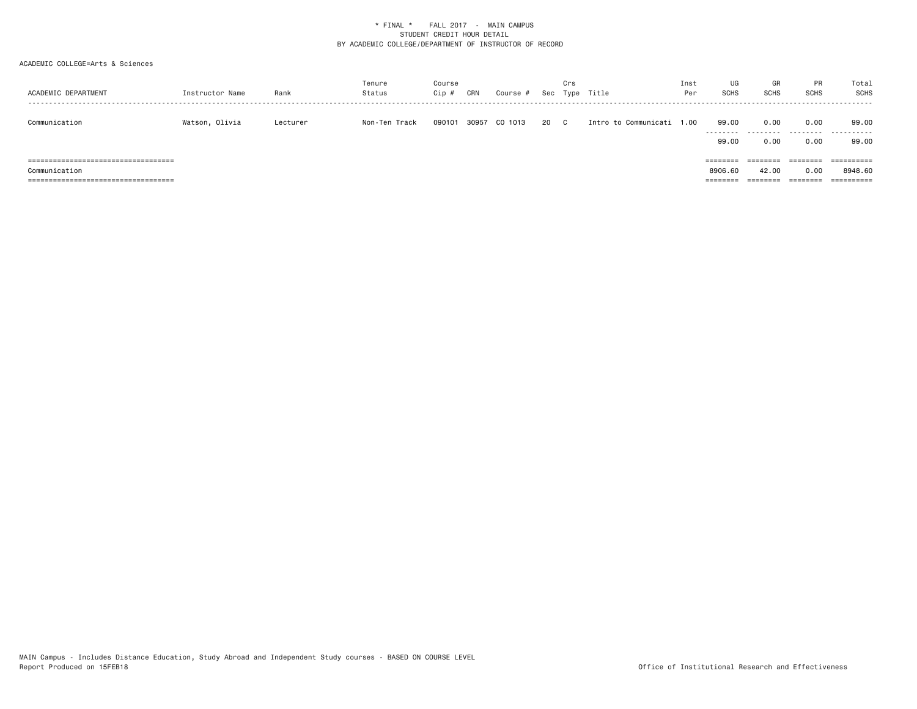| ACADEMIC DEPARTMENT                    | Instructor Name | Rank     | Tenure<br>Status | Course<br>Cip # | CRN   | Course # |      | Crs | Sec Type Title            | Inst<br>Per | UG<br>SCHS | GR<br><b>SCHS</b> | PR<br><b>SCHS</b> | Total<br>SCHS |
|----------------------------------------|-----------------|----------|------------------|-----------------|-------|----------|------|-----|---------------------------|-------------|------------|-------------------|-------------------|---------------|
| Communication                          | Watson, Olivia  | Lecturer | Non-Ten Track    | 090101          | 30957 | CO 1013  | 20 C |     | Intro to Communicati 1.00 |             | 99.00<br>. | 0.00              | 0.00<br>--------- | 99.00<br>.    |
|                                        |                 |          |                  |                 |       |          |      |     |                           |             | 99.00      | 0.00              | 0.00              | 99.00         |
| ===============================        |                 |          |                  |                 |       |          |      |     |                           |             |            | ========          | ========          |               |
| Communication                          |                 |          |                  |                 |       |          |      |     |                           |             | 8906.60    | 42.00             | 0.00              | 8948.60       |
| ====================================== |                 |          |                  |                 |       |          |      |     |                           |             | ========   | ========          | ========          | ==========    |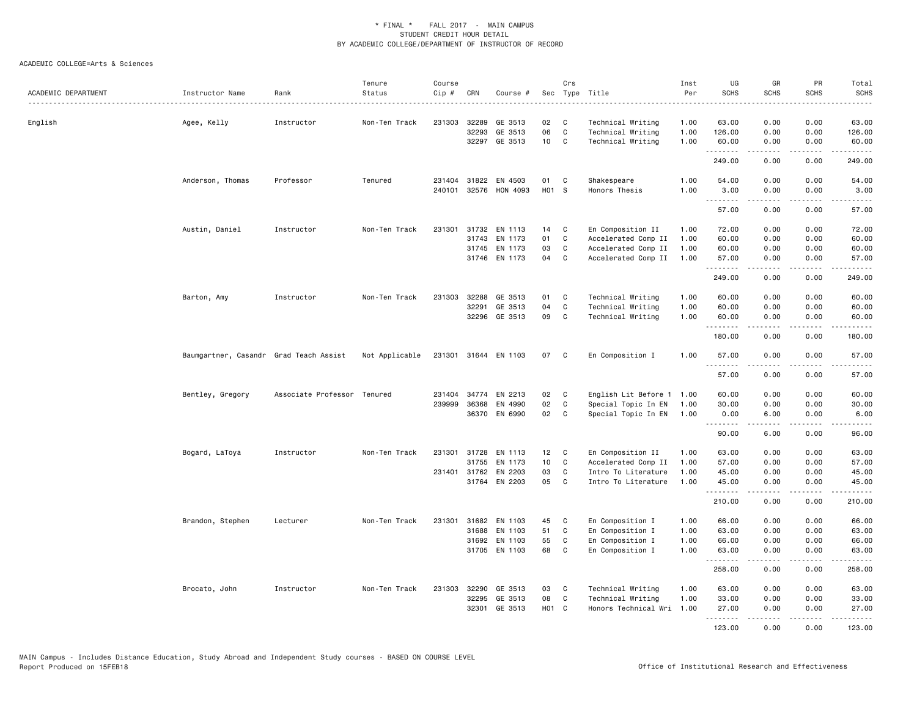| ACADEMIC DEPARTMENT | Instructor Name                        | Rank                        | Tenure<br>Status<br>. | Course<br>Cip # | CRN          | Course #             |                   | Crs          | Sec Type Title<br>.  | Inst<br>Per<br>. | UG<br><b>SCHS</b> | GR<br><b>SCHS</b>                   | PR<br><b>SCHS</b><br>.              | Total<br><b>SCHS</b><br>$\sim$ $\sim$ $\sim$ $\sim$ |
|---------------------|----------------------------------------|-----------------------------|-----------------------|-----------------|--------------|----------------------|-------------------|--------------|----------------------|------------------|-------------------|-------------------------------------|-------------------------------------|-----------------------------------------------------|
| English             | Agee, Kelly                            | Instructor                  | Non-Ten Track         | 231303          | 32289        | GE 3513              | 02                | C            | Technical Writing    | 1.00             | 63.00             | 0.00                                | 0.00                                | 63.00                                               |
|                     |                                        |                             |                       |                 | 32293        | GE 3513              | 06                | $\mathtt{C}$ | Technical Writing    | 1.00             | 126.00            | 0.00                                | 0.00                                | 126.00                                              |
|                     |                                        |                             |                       |                 | 32297        | GE 3513              | 10 <sub>1</sub>   | C            | Technical Writing    | 1.00             | 60.00             | 0.00                                | 0.00                                | 60.00                                               |
|                     |                                        |                             |                       |                 |              |                      |                   |              |                      |                  | .<br>249.00       | <b>.</b><br>0.00                    | .<br>0.00                           | .<br>249.00                                         |
|                     | Anderson, Thomas                       | Professor                   | Tenured               |                 |              | 231404 31822 EN 4503 | 01                | C            | Shakespeare          | 1.00             | 54.00             | 0.00                                | 0.00                                | 54.00                                               |
|                     |                                        |                             |                       | 240101          |              | 32576 HON 4093       | H01 S             |              | Honors Thesis        | 1.00             | 3.00<br>.         | 0.00<br>.                           | 0.00<br>$\sim$ $\sim$ $\sim$        | 3.00                                                |
|                     |                                        |                             |                       |                 |              |                      |                   |              |                      |                  | 57.00             | 0.00                                | 0.00                                | 57.00                                               |
|                     | Austin, Daniel                         | Instructor                  | Non-Ten Track         |                 |              | 231301 31732 EN 1113 | 14                | C            | En Composition II    | 1.00             | 72.00             | 0.00                                | 0.00                                | 72.00                                               |
|                     |                                        |                             |                       |                 | 31743        | EN 1173              | 01                | C            | Accelerated Comp II  | 1.00             | 60.00             | 0.00                                | 0.00                                | 60.00                                               |
|                     |                                        |                             |                       |                 |              | 31745 EN 1173        | 03                | C            | Accelerated Comp II  | 1.00             | 60.00             | 0.00                                | 0.00                                | 60.00                                               |
|                     |                                        |                             |                       |                 |              | 31746 EN 1173        | 04                | C            | Accelerated Comp II  | 1.00             | 57.00<br>.        | 0.00<br>$- - - - -$                 | 0.00<br>.                           | 57.00<br>.                                          |
|                     |                                        |                             |                       |                 |              |                      |                   |              |                      |                  | 249.00            | 0.00                                | 0.00                                | 249.00                                              |
|                     | Barton, Amy                            | Instructor                  | Non-Ten Track         | 231303          | 32288        | GE 3513              | 01                | C            | Technical Writing    | 1.00             | 60.00             | 0.00                                | 0.00                                | 60.00                                               |
|                     |                                        |                             |                       |                 | 32291        | GE 3513              | 04                | C            | Technical Writing    | 1.00             | 60.00             | 0.00                                | 0.00                                | 60.00                                               |
|                     |                                        |                             |                       |                 | 32296        | GE 3513              | 09                | C            | Technical Writing    | 1.00             | 60.00<br>.        | 0.00                                | 0.00<br>$\sim$ $\sim$ $\sim$ $\sim$ | 60.00                                               |
|                     |                                        |                             |                       |                 |              |                      |                   |              |                      |                  | 180.00            | 0.00                                | 0.00                                | 180.00                                              |
|                     | Baumgartner, Casandr Grad Teach Assist |                             | Not Applicable        |                 |              | 231301 31644 EN 1103 | 07                | C            | En Composition I     | 1.00             | 57.00<br>.        | 0.00<br>-----                       | 0.00<br>لأعامل                      | 57.00<br>.                                          |
|                     |                                        |                             |                       |                 |              |                      |                   |              |                      |                  | 57.00             | 0.00                                | 0.00                                | 57.00                                               |
|                     | Bentley, Gregory                       | Associate Professor Tenured |                       | 231404          | 34774        | EN 2213              | 02                | C            | English Lit Before 1 | 1.00             | 60.00             | 0.00                                | 0.00                                | 60.00                                               |
|                     |                                        |                             |                       | 239999          | 36368        | EN 4990              | 02                | C            | Special Topic In EN  | 1.00             | 30.00             | 0.00                                | 0.00                                | 30.00                                               |
|                     |                                        |                             |                       |                 |              | 36370 EN 6990        | 02                | C            | Special Topic In EN  | 1.00             | 0.00<br>.         | 6.00<br>-----                       | 0.00<br>.                           | 6.00<br>.                                           |
|                     |                                        |                             |                       |                 |              |                      |                   |              |                      |                  | 90.00             | 6.00                                | 0.00                                | 96.00                                               |
|                     | Bogard, LaToya                         | Instructor                  | Non-Ten Track         | 231301          | 31728        | EN 1113              | 12                | C            | En Composition II    | 1.00             | 63.00             | 0.00                                | 0.00                                | 63.00                                               |
|                     |                                        |                             |                       |                 | 31755        | EN 1173              | 10                | C            | Accelerated Comp II  | 1.00             | 57.00             | 0.00                                | 0.00                                | 57.00                                               |
|                     |                                        |                             |                       |                 | 231401 31762 | EN 2203              | 03                | C            | Intro To Literature  | 1.00             | 45.00             | 0.00                                | 0.00                                | 45.00                                               |
|                     |                                        |                             |                       |                 |              | 31764 EN 2203        | 05                | C            | Intro To Literature  | 1.00             | 45.00<br>.        | 0.00<br>$- - - - -$                 | 0.00<br>.                           | 45.00<br>.                                          |
|                     |                                        |                             |                       |                 |              |                      |                   |              |                      |                  | 210.00            | 0.00                                | 0.00                                | 210.00                                              |
|                     | Brandon, Stephen                       | Lecturer                    | Non-Ten Track         | 231301          | 31682        | EN 1103              | 45                | C            | En Composition I     | 1.00             | 66.00             | 0.00                                | 0.00                                | 66.00                                               |
|                     |                                        |                             |                       |                 | 31688        | EN 1103              | 51                | C            | En Composition I     | 1.00             | 63.00             | 0.00                                | 0.00                                | 63.00                                               |
|                     |                                        |                             |                       |                 |              | 31692 EN 1103        | 55                | C            | En Composition I     | 1.00             | 66.00             | 0.00                                | 0.00                                | 66.00                                               |
|                     |                                        |                             |                       |                 | 31705        | EN 1103              | 68                | C            | En Composition I     | 1.00             | 63.00<br>.        | 0.00<br>$\sim$ $\sim$ $\sim$ $\sim$ | 0.00<br>----                        | 63.00<br>$\frac{1}{2}$                              |
|                     |                                        |                             |                       |                 |              |                      |                   |              |                      |                  | 258.00            | 0.00                                | 0.00                                | 258.00                                              |
|                     | Brocato, John                          | Instructor                  | Non-Ten Track         |                 | 231303 32290 | GE 3513              | 03                | C            | Technical Writing    | 1.00             | 63.00             | 0.00                                | 0.00                                | 63.00                                               |
|                     |                                        |                             |                       |                 | 32295        | GE 3513              | 08                | C            | Technical Writing    | 1.00             | 33.00             | 0.00                                | 0.00                                | 33.00                                               |
|                     |                                        |                             |                       |                 | 32301        | GE 3513              | H <sub>01</sub> C |              | Honors Technical Wri | 1.00             | 27.00<br>.        | 0.00<br><b><i><u>.</u></i></b>      | 0.00<br>.                           | 27.00<br>.                                          |
|                     |                                        |                             |                       |                 |              |                      |                   |              |                      |                  | 123.00            | 0.00                                | 0.00                                | 123.00                                              |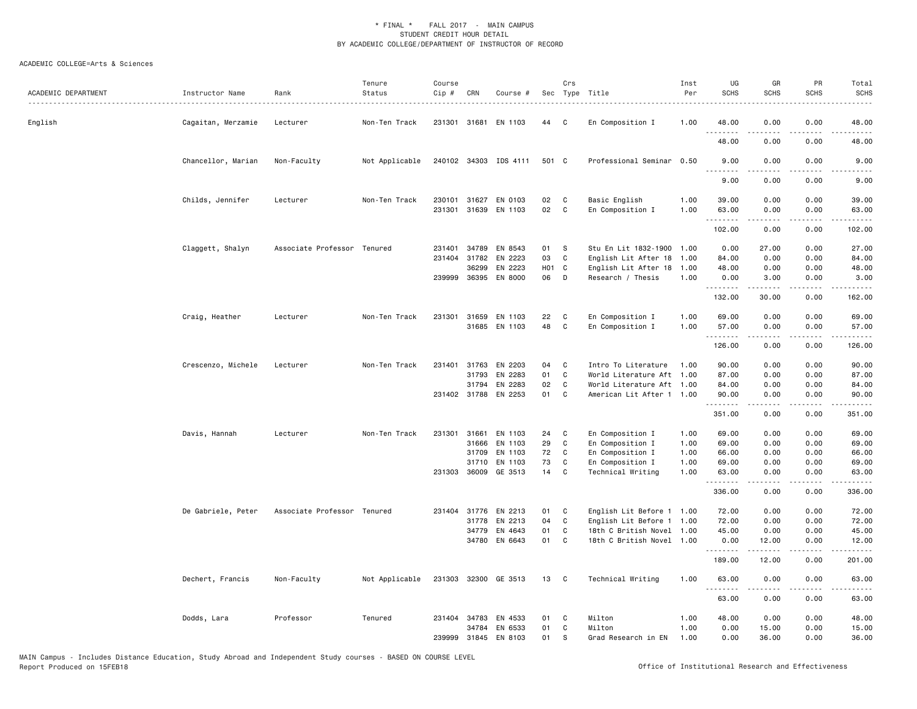| ACADEMIC DEPARTMENT | Instructor Name    | Rank                        | Tenure<br>Status | Course<br>Cip #  | CRN            | Course #              |            | Crs          | Sec Type Title                               | Inst<br>Per  | UG<br><b>SCHS</b>   | GR<br><b>SCHS</b>                                                                                                                                             | PR<br><b>SCHS</b>     | Total<br><b>SCHS</b>                                                                                                                                          |
|---------------------|--------------------|-----------------------------|------------------|------------------|----------------|-----------------------|------------|--------------|----------------------------------------------|--------------|---------------------|---------------------------------------------------------------------------------------------------------------------------------------------------------------|-----------------------|---------------------------------------------------------------------------------------------------------------------------------------------------------------|
| English             | Cagaitan, Merzamie | Lecturer                    | Non-Ten Track    | 231301           | 31681          | EN 1103               | 44         | C            | En Composition I                             | 1.00         | 48.00               | 0.00                                                                                                                                                          | 0.00                  | 48.00                                                                                                                                                         |
|                     |                    |                             |                  |                  |                |                       |            |              |                                              |              | 48.00               | 0.00                                                                                                                                                          | 0.00                  | 48.00                                                                                                                                                         |
|                     | Chancellor, Marian | Non-Faculty                 | Not Applicable   |                  |                | 240102 34303 IDS 4111 | 501 C      |              | Professional Seminar 0.50                    |              | 9.00<br>.           | 0.00<br>.                                                                                                                                                     | 0.00<br>$\frac{1}{2}$ | 9.00<br>.                                                                                                                                                     |
|                     |                    |                             |                  |                  |                |                       |            |              |                                              |              | 9.00                | 0.00                                                                                                                                                          | 0.00                  | 9.00                                                                                                                                                          |
|                     | Childs, Jennifer   | Lecturer                    | Non-Ten Track    | 230101<br>231301 | 31627<br>31639 | EN 0103<br>EN 1103    | 02<br>02   | C<br>C       | Basic English<br>En Composition I            | 1.00<br>1.00 | 39.00<br>63.00<br>. | 0.00<br>0.00<br><b>.</b>                                                                                                                                      | 0.00<br>0.00<br>.     | 39.00<br>63.00<br>.                                                                                                                                           |
|                     |                    |                             |                  |                  |                |                       |            |              |                                              |              | 102.00              | 0.00                                                                                                                                                          | 0.00                  | 102.00                                                                                                                                                        |
|                     | Claggett, Shalyn   | Associate Professor Tenured |                  | 231401<br>231404 | 34789<br>31782 | EN 8543<br>EN 2223    | 01<br>03   | S<br>C       | Stu En Lit 1832-1900<br>English Lit After 18 | 1.00<br>1.00 | 0.00<br>84.00       | 27.00<br>0.00                                                                                                                                                 | 0.00<br>0.00          | 27.00<br>84.00                                                                                                                                                |
|                     |                    |                             |                  |                  | 36299          | EN 2223               | <b>HO1</b> | C            | English Lit After 18                         | 1.00         | 48.00               | 0.00                                                                                                                                                          | 0.00                  | 48.00                                                                                                                                                         |
|                     |                    |                             |                  |                  |                | 239999 36395 EN 8000  | 06         | D            | Research / Thesis                            | 1.00         | 0.00<br>.           | 3.00<br>$- - - - -$                                                                                                                                           | 0.00<br>.             | 3.00<br>.                                                                                                                                                     |
|                     |                    |                             |                  |                  |                |                       |            |              |                                              |              | 132.00              | 30.00                                                                                                                                                         | 0.00                  | 162.00                                                                                                                                                        |
|                     | Craig, Heather     | Lecturer                    | Non-Ten Track    | 231301           | 31659          | EN 1103               | 22         | C            | En Composition I                             | 1.00         | 69.00               | 0.00                                                                                                                                                          | 0.00                  | 69.00                                                                                                                                                         |
|                     |                    |                             |                  |                  |                | 31685 EN 1103         | 48         | C            | En Composition I                             | 1.00         | 57.00<br>.          | 0.00<br>$\frac{1}{2} \left( \frac{1}{2} \right) \left( \frac{1}{2} \right) \left( \frac{1}{2} \right) \left( \frac{1}{2} \right) \left( \frac{1}{2} \right)$  | 0.00<br>.             | 57.00<br>$\frac{1}{2} \left( \frac{1}{2} \right) \left( \frac{1}{2} \right) \left( \frac{1}{2} \right) \left( \frac{1}{2} \right) \left( \frac{1}{2} \right)$ |
|                     |                    |                             |                  |                  |                |                       |            |              |                                              |              | 126.00              | 0.00                                                                                                                                                          | 0.00                  | 126.00                                                                                                                                                        |
|                     | Crescenzo, Michele | Lecturer                    | Non-Ten Track    | 231401           | 31763          | EN 2203               | 04         | C            | Intro To Literature                          | 1.00         | 90.00               | 0.00                                                                                                                                                          | 0.00                  | 90.00                                                                                                                                                         |
|                     |                    |                             |                  |                  | 31793          | EN 2283               | 01         | $\mathbf c$  | World Literature Aft 1.00                    |              | 87.00               | 0.00                                                                                                                                                          | 0.00                  | 87.00                                                                                                                                                         |
|                     |                    |                             |                  |                  | 31794          | EN 2283               | 02         | C            | World Literature Aft 1.00                    |              | 84.00               | 0.00                                                                                                                                                          | 0.00                  | 84.00                                                                                                                                                         |
|                     |                    |                             |                  |                  |                | 231402 31788 EN 2253  | 01         | C            | American Lit After 1 1.00                    |              | 90.00<br>.          | 0.00                                                                                                                                                          | 0.00                  | 90.00                                                                                                                                                         |
|                     |                    |                             |                  |                  |                |                       |            |              |                                              |              | 351.00              | 0.00                                                                                                                                                          | 0.00                  | 351.00                                                                                                                                                        |
|                     | Davis, Hannah      | Lecturer                    | Non-Ten Track    |                  | 231301 31661   | EN 1103               | 24         | C            | En Composition I                             | 1.00         | 69.00               | 0.00                                                                                                                                                          | 0.00                  | 69.00                                                                                                                                                         |
|                     |                    |                             |                  |                  | 31666          | EN 1103               | 29         | C            | En Composition I                             | 1.00         | 69.00               | 0.00                                                                                                                                                          | 0.00                  | 69.00                                                                                                                                                         |
|                     |                    |                             |                  |                  | 31709          | EN 1103               | 72         | C            | En Composition I                             | 1.00         | 66.00               | 0.00                                                                                                                                                          | 0.00                  | 66.00                                                                                                                                                         |
|                     |                    |                             |                  |                  | 31710          | EN 1103               | 73         | C            | En Composition I                             | 1.00         | 69.00               | 0.00                                                                                                                                                          | 0.00                  | 69.00                                                                                                                                                         |
|                     |                    |                             |                  |                  |                | 231303 36009 GE 3513  | 14         | C            | Technical Writing                            | 1.00         | 63.00<br>.          | 0.00                                                                                                                                                          | 0.00                  | 63.00                                                                                                                                                         |
|                     |                    |                             |                  |                  |                |                       |            |              |                                              |              | 336.00              | 0.00                                                                                                                                                          | 0.00                  | 336.00                                                                                                                                                        |
|                     | De Gabriele, Peter | Associate Professor Tenured |                  |                  |                | 231404 31776 EN 2213  | 01         | C            | English Lit Before 1 1.00                    |              | 72.00               | 0.00                                                                                                                                                          | 0.00                  | 72.00                                                                                                                                                         |
|                     |                    |                             |                  |                  | 31778          | EN 2213               | 04         | $\mathbf c$  | English Lit Before 1                         | 1.00         | 72.00               | 0.00                                                                                                                                                          | 0.00                  | 72.00                                                                                                                                                         |
|                     |                    |                             |                  |                  | 34779          | EN 4643               | 01         | C            | 18th C British Novel                         | 1.00         | 45.00               | 0.00                                                                                                                                                          | 0.00                  | 45.00                                                                                                                                                         |
|                     |                    |                             |                  |                  |                | 34780 EN 6643         | 01         | C            | 18th C British Novel 1.00                    |              | 0.00<br>.           | 12.00<br>$\frac{1}{2} \left( \frac{1}{2} \right) \left( \frac{1}{2} \right) \left( \frac{1}{2} \right) \left( \frac{1}{2} \right) \left( \frac{1}{2} \right)$ | 0.00<br>.             | 12.00                                                                                                                                                         |
|                     |                    |                             |                  |                  |                |                       |            |              |                                              |              | 189.00              | 12.00                                                                                                                                                         | 0.00                  | 201.00                                                                                                                                                        |
|                     | Dechert, Francis   | Non-Faculty                 | Not Applicable   |                  |                | 231303 32300 GE 3513  | 13         | $\mathbf{C}$ | Technical Writing                            | 1.00         | 63.00<br>.          | 0.00<br>.                                                                                                                                                     | 0.00<br>.             | 63.00<br>.                                                                                                                                                    |
|                     |                    |                             |                  |                  |                |                       |            |              |                                              |              | 63.00               | 0.00                                                                                                                                                          | 0.00                  | 63.00                                                                                                                                                         |
|                     | Dodds, Lara        | Professor                   | Tenured          |                  | 231404 34783   | EN 4533               | 01         | C            | Milton                                       | 1.00         | 48.00               | 0.00                                                                                                                                                          | 0.00                  | 48.00                                                                                                                                                         |
|                     |                    |                             |                  |                  |                | 34784 EN 6533         | 01         | C            | Milton                                       | 1.00         | 0.00                | 15.00                                                                                                                                                         | 0.00                  | 15.00                                                                                                                                                         |
|                     |                    |                             |                  | 239999           |                | 31845 EN 8103         | 01         | s            | Grad Research in EN                          | 1.00         | 0.00                | 36.00                                                                                                                                                         | 0.00                  | 36.00                                                                                                                                                         |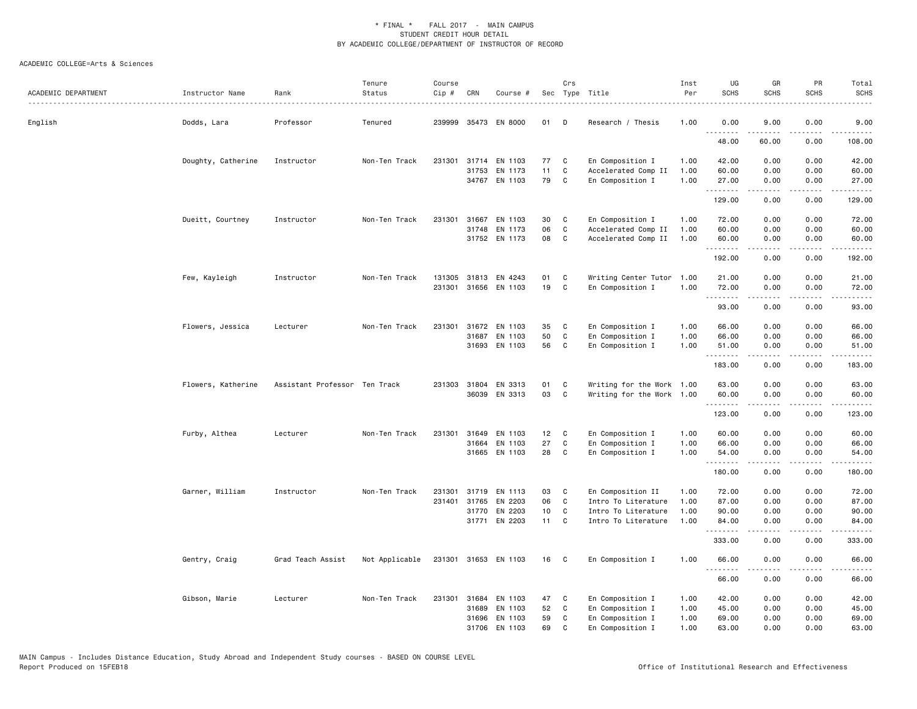| ACADEMIC DEPARTMENT | Instructor Name<br>. | Rank                          | Tenure<br>Status | Course<br>Cip # | CRN   | Course #                 |                 | Crs          | Sec Type Title                          | Inst<br>Per  | UG<br><b>SCHS</b> | GR<br><b>SCHS</b>                                                                                                                                            | PR<br><b>SCHS</b>               | Total<br><b>SCHS</b> |
|---------------------|----------------------|-------------------------------|------------------|-----------------|-------|--------------------------|-----------------|--------------|-----------------------------------------|--------------|-------------------|--------------------------------------------------------------------------------------------------------------------------------------------------------------|---------------------------------|----------------------|
| English             | Dodds, Lara          | Professor                     | Tenured          | 239999          |       | 35473 EN 8000            | 01              | D            | Research / Thesis                       | 1.00         | 0.00<br>.         | 9.00                                                                                                                                                         | 0.00                            | 9.00                 |
|                     |                      |                               |                  |                 |       |                          |                 |              |                                         |              | 48.00             | 60.00                                                                                                                                                        | 0.00                            | 108.00               |
|                     | Doughty, Catherine   | Instructor                    | Non-Ten Track    | 231301          |       | 31714 EN 1103            | 77              | C            | En Composition I                        | 1.00         | 42.00             | 0.00                                                                                                                                                         | 0.00                            | 42.00                |
|                     |                      |                               |                  |                 | 31753 | EN 1173<br>34767 EN 1103 | 11<br>79        | C<br>C       | Accelerated Comp II<br>En Composition I | 1.00<br>1.00 | 60.00<br>27.00    | 0.00<br>0.00                                                                                                                                                 | 0.00<br>0.00                    | 60.00<br>27.00       |
|                     |                      |                               |                  |                 |       |                          |                 |              |                                         |              | .<br>129.00       | 0.00                                                                                                                                                         | 0.00                            | .<br>129.00          |
|                     | Dueitt, Courtney     | Instructor                    | Non-Ten Track    | 231301          |       | 31667 EN 1103            | 30              | C            | En Composition I                        | 1.00         | 72.00             | 0.00                                                                                                                                                         | 0.00                            | 72.00                |
|                     |                      |                               |                  |                 | 31748 | EN 1173                  | 06              | C            | Accelerated Comp II                     | 1.00         | 60.00             | 0.00                                                                                                                                                         | 0.00                            | 60.00                |
|                     |                      |                               |                  |                 |       | 31752 EN 1173            | 08              | C            | Accelerated Comp II                     | 1.00         | 60.00<br>.        | 0.00                                                                                                                                                         | 0.00                            | 60.00                |
|                     |                      |                               |                  |                 |       |                          |                 |              |                                         |              | 192.00            | 0.00                                                                                                                                                         | 0.00                            | 192.00               |
|                     | Few, Kayleigh        | Instructor                    | Non-Ten Track    |                 |       | 131305 31813 EN 4243     | 01              | C            | Writing Center Tutor 1.00               |              | 21.00             | 0.00                                                                                                                                                         | 0.00                            | 21.00                |
|                     |                      |                               |                  | 231301          |       | 31656 EN 1103            | 19              | C            | En Composition I                        | 1.00         | 72.00<br>.        | 0.00<br>.                                                                                                                                                    | 0.00<br>$\sim$ $\sim$ $\sim$    | 72.00                |
|                     |                      |                               |                  |                 |       |                          |                 |              |                                         |              | 93.00             | 0.00                                                                                                                                                         | 0.00                            | 93.00                |
|                     | Flowers, Jessica     | Lecturer                      | Non-Ten Track    |                 |       | 231301 31672 EN 1103     | 35              | C            | En Composition I                        | 1.00         | 66.00             | 0.00                                                                                                                                                         | 0.00                            | 66.00                |
|                     |                      |                               |                  |                 | 31687 | EN 1103                  | 50              | C            | En Composition I                        | 1.00         | 66.00             | 0.00                                                                                                                                                         | 0.00                            | 66.00                |
|                     |                      |                               |                  |                 |       | 31693 EN 1103            | 56              | C            | En Composition I                        | 1.00         | 51.00<br>.        | 0.00<br>.                                                                                                                                                    | 0.00<br>.                       | 51.00<br>.           |
|                     |                      |                               |                  |                 |       |                          |                 |              |                                         |              | 183.00            | 0.00                                                                                                                                                         | 0.00                            | 183.00               |
|                     | Flowers, Katherine   | Assistant Professor Ten Track |                  |                 |       | 231303 31804 EN 3313     | 01              | C            | Writing for the Work 1.00               |              | 63.00             | 0.00                                                                                                                                                         | 0.00                            | 63.00                |
|                     |                      |                               |                  |                 | 36039 | EN 3313                  | 03              | C            | Writing for the Work 1.00               |              | 60.00<br>.        | 0.00<br>.                                                                                                                                                    | 0.00<br>.                       | 60.00<br>.           |
|                     |                      |                               |                  |                 |       |                          |                 |              |                                         |              | 123.00            | 0.00                                                                                                                                                         | 0.00                            | 123.00               |
|                     | Furby, Althea        | Lecturer                      | Non-Ten Track    | 231301          | 31649 | EN 1103                  | 12 <sub>2</sub> | $\mathbf{C}$ | En Composition I                        | 1.00         | 60.00             | 0.00                                                                                                                                                         | 0.00                            | 60.00                |
|                     |                      |                               |                  |                 | 31664 | EN 1103                  | 27              | C            | En Composition I                        | 1.00         | 66.00             | 0.00                                                                                                                                                         | 0.00                            | 66.00                |
|                     |                      |                               |                  |                 |       | 31665 EN 1103            | 28              | C            | En Composition I                        | 1.00         | 54.00<br>.        | 0.00<br>$\frac{1}{2} \left( \frac{1}{2} \right) \left( \frac{1}{2} \right) \left( \frac{1}{2} \right) \left( \frac{1}{2} \right) \left( \frac{1}{2} \right)$ | 0.00<br>.                       | 54.00<br>.           |
|                     |                      |                               |                  |                 |       |                          |                 |              |                                         |              | 180.00            | 0.00                                                                                                                                                         | 0.00                            | 180.00               |
|                     | Garner, William      | Instructor                    | Non-Ten Track    | 231301          | 31719 | EN 1113                  | 03              | C            | En Composition II                       | 1.00         | 72.00             | 0.00                                                                                                                                                         | 0.00                            | 72.00                |
|                     |                      |                               |                  | 231401          | 31765 | EN 2203                  | 06              | C            | Intro To Literature                     | 1.00         | 87.00             | 0.00                                                                                                                                                         | 0.00                            | 87.00                |
|                     |                      |                               |                  |                 | 31770 | EN 2203                  | 10 <sub>1</sub> | C            | Intro To Literature                     | 1.00         | 90.00             | 0.00                                                                                                                                                         | 0.00                            | 90.00                |
|                     |                      |                               |                  |                 | 31771 | EN 2203                  | 11              | C            | Intro To Literature                     | 1.00         | 84.00<br>.        | 0.00<br>.                                                                                                                                                    | 0.00<br>$\omega$ is $\omega$ in | 84.00<br>.           |
|                     |                      |                               |                  |                 |       |                          |                 |              |                                         |              | 333.00            | 0.00                                                                                                                                                         | 0.00                            | 333.00               |
|                     | Gentry, Craig        | Grad Teach Assist             | Not Applicable   |                 |       | 231301 31653 EN 1103     | 16 C            |              | En Composition I                        | 1.00         | 66.00<br>.        | 0.00                                                                                                                                                         | 0.00                            | 66.00                |
|                     |                      |                               |                  |                 |       |                          |                 |              |                                         |              | 66.00             | 0.00                                                                                                                                                         | 0.00                            | 66.00                |
|                     | Gibson, Marie        | Lecturer                      | Non-Ten Track    | 231301          | 31684 | EN 1103                  | 47              | C            | En Composition I                        | 1.00         | 42.00             | 0.00                                                                                                                                                         | 0.00                            | 42.00                |
|                     |                      |                               |                  |                 | 31689 | EN 1103                  | 52              | C            | En Composition I                        | 1.00         | 45.00             | 0.00                                                                                                                                                         | 0.00                            | 45.00                |
|                     |                      |                               |                  |                 | 31696 | EN 1103                  | 59              | C            | En Composition I                        | 1.00         | 69.00             | 0.00                                                                                                                                                         | 0.00                            | 69.00                |
|                     |                      |                               |                  |                 | 31706 | EN 1103                  | 69              | $\mathbf C$  | En Composition I                        | 1.00         | 63.00             | 0.00                                                                                                                                                         | 0.00                            | 63.00                |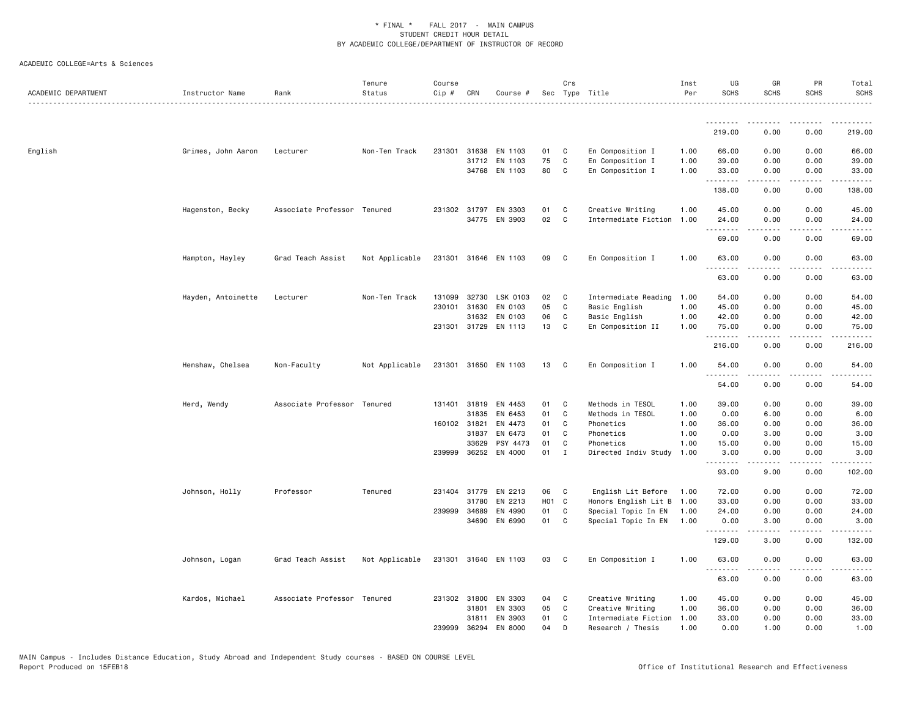| ACADEMIC DEPARTMENT | Instructor Name    | Rank                        | Tenure<br>Status | Course<br>Cip # | CRN          | Course #             |       | Crs          | Sec Type Title            | Inst<br>Per | UG<br><b>SCHS</b>             | GR<br><b>SCHS</b>                                                                                                                                            | PR<br><b>SCHS</b>                   | Total<br><b>SCHS</b> |
|---------------------|--------------------|-----------------------------|------------------|-----------------|--------------|----------------------|-------|--------------|---------------------------|-------------|-------------------------------|--------------------------------------------------------------------------------------------------------------------------------------------------------------|-------------------------------------|----------------------|
|                     |                    |                             |                  |                 |              |                      |       |              |                           |             | .                             | - - - - - -                                                                                                                                                  |                                     |                      |
|                     |                    |                             |                  |                 |              |                      |       |              |                           |             | 219.00                        | 0.00                                                                                                                                                         | 0.00                                | 219.00               |
| English             | Grimes, John Aaron | Lecturer                    | Non-Ten Track    |                 | 231301 31638 | EN 1103              | 01    | C            | En Composition I          | 1.00        | 66.00                         | 0.00                                                                                                                                                         | 0.00                                | 66.00                |
|                     |                    |                             |                  |                 | 31712        | EN 1103              | 75    | $\mathbf c$  | En Composition I          | 1.00        | 39.00                         | 0.00                                                                                                                                                         | 0.00                                | 39.00                |
|                     |                    |                             |                  |                 |              | 34768 EN 1103        | 80    | C            | En Composition I          | 1.00        | 33.00<br>.                    | 0.00                                                                                                                                                         | 0.00<br>$\sim$ $\sim$ $\sim$ $\sim$ | 33.00                |
|                     |                    |                             |                  |                 |              |                      |       |              |                           |             | 138.00                        | 0.00                                                                                                                                                         | 0.00                                | 138.00               |
|                     | Hagenston, Becky   | Associate Professor Tenured |                  |                 | 231302 31797 | EN 3303              | 01    | C            | Creative Writing          | 1.00        | 45.00                         | 0.00                                                                                                                                                         | 0.00                                | 45.00                |
|                     |                    |                             |                  |                 |              | 34775 EN 3903        | 02    | $\mathbf c$  | Intermediate Fiction 1.00 |             | 24.00<br>$\sim$ $\sim$ $\sim$ | 0.00                                                                                                                                                         | 0.00                                | 24.00                |
|                     |                    |                             |                  |                 |              |                      |       |              |                           |             | 69.00                         | 0.00                                                                                                                                                         | 0.00                                | 69.00                |
|                     | Hampton, Hayley    | Grad Teach Assist           | Not Applicable   |                 |              | 231301 31646 EN 1103 | 09    | $\mathbf{C}$ | En Composition I          | 1.00        | 63.00<br>.                    | 0.00<br>$\frac{1}{2} \left( \frac{1}{2} \right) \left( \frac{1}{2} \right) \left( \frac{1}{2} \right) \left( \frac{1}{2} \right) \left( \frac{1}{2} \right)$ | 0.00<br>.                           | 63.00<br>.           |
|                     |                    |                             |                  |                 |              |                      |       |              |                           |             | 63.00                         | 0.00                                                                                                                                                         | 0.00                                | 63.00                |
|                     | Hayden, Antoinette | Lecturer                    | Non-Ten Track    | 131099          | 32730        | LSK 0103             | 02    | C            | Intermediate Reading      | 1.00        | 54.00                         | 0.00                                                                                                                                                         | 0.00                                | 54.00                |
|                     |                    |                             |                  | 230101          | 31630        | EN 0103              | 05    | C            | Basic English             | 1.00        | 45.00                         | 0.00                                                                                                                                                         | 0.00                                | 45.00                |
|                     |                    |                             |                  |                 | 31632        | EN 0103              | 06    | C            | Basic English             | 1.00        | 42.00                         | 0.00                                                                                                                                                         | 0.00                                | 42.00                |
|                     |                    |                             |                  |                 | 231301 31729 | EN 1113              | 13    | C            | En Composition II         | 1.00        | 75.00<br>.                    | 0.00<br>.                                                                                                                                                    | 0.00<br>المستبدا                    | 75.00<br>.           |
|                     |                    |                             |                  |                 |              |                      |       |              |                           |             | 216.00                        | 0.00                                                                                                                                                         | 0.00                                | 216.00               |
|                     | Henshaw, Chelsea   | Non-Faculty                 | Not Applicable   |                 |              | 231301 31650 EN 1103 | 13    | $\mathbf{C}$ | En Composition I          | 1.00        | 54.00<br>.                    | 0.00                                                                                                                                                         | 0.00                                | 54.00                |
|                     |                    |                             |                  |                 |              |                      |       |              |                           |             | 54.00                         | 0.00                                                                                                                                                         | 0.00                                | 54.00                |
|                     | Herd, Wendy        | Associate Professor Tenured |                  |                 | 131401 31819 | EN 4453              | 01    | C.           | Methods in TESOL          | 1.00        | 39.00                         | 0.00                                                                                                                                                         | 0.00                                | 39.00                |
|                     |                    |                             |                  |                 | 31835        | EN 6453              | 01    | C            | Methods in TESOL          | 1.00        | 0.00                          | 6.00                                                                                                                                                         | 0.00                                | 6.00                 |
|                     |                    |                             |                  | 160102 31821    |              | EN 4473              | 01    | C            | Phonetics                 | 1.00        | 36.00                         | 0.00                                                                                                                                                         | 0.00                                | 36.00                |
|                     |                    |                             |                  |                 | 31837        | EN 6473              | 01    | C            | Phonetics                 | 1.00        | 0.00                          | 3.00                                                                                                                                                         | 0.00                                | 3.00                 |
|                     |                    |                             |                  |                 | 33629        | PSY 4473             | 01    | C            | Phonetics                 | 1.00        | 15.00                         | 0.00                                                                                                                                                         | 0.00                                | 15.00                |
|                     |                    |                             |                  |                 | 239999 36252 | EN 4000              | 01    | $\mathbf{I}$ | Directed Indiv Study      | 1.00        | 3.00<br>.                     | 0.00<br>$\frac{1}{2} \left( \frac{1}{2} \right) \left( \frac{1}{2} \right) \left( \frac{1}{2} \right) \left( \frac{1}{2} \right) \left( \frac{1}{2} \right)$ | 0.00<br>.                           | 3.00<br>.            |
|                     |                    |                             |                  |                 |              |                      |       |              |                           |             | 93.00                         | 9.00                                                                                                                                                         | 0.00                                | 102.00               |
|                     | Johnson, Holly     | Professor                   | Tenured          |                 | 231404 31779 | EN 2213              | 06    | C            | English Lit Before        | 1.00        | 72.00                         | 0.00                                                                                                                                                         | 0.00                                | 72.00                |
|                     |                    |                             |                  |                 | 31780        | EN 2213              | HO1 C |              | Honors English Lit B      | 1.00        | 33.00                         | 0.00                                                                                                                                                         | 0.00                                | 33.00                |
|                     |                    |                             |                  |                 | 239999 34689 | EN 4990              | 01    | $\mathbf c$  | Special Topic In EN       | 1.00        | 24.00                         | 0.00                                                                                                                                                         | 0.00                                | 24.00                |
|                     |                    |                             |                  |                 | 34690        | EN 6990              | 01    | C            | Special Topic In EN       | 1.00        | 0.00<br>.                     | 3.00                                                                                                                                                         | 0.00                                | 3.00                 |
|                     |                    |                             |                  |                 |              |                      |       |              |                           |             | 129.00                        | 3.00                                                                                                                                                         | 0.00                                | 132.00               |
|                     | Johnson, Logan     | Grad Teach Assist           | Not Applicable   |                 |              | 231301 31640 EN 1103 | 03    | $\mathbf{C}$ | En Composition I          | 1.00        | 63.00<br>.                    | 0.00<br>.                                                                                                                                                    | 0.00                                | 63.00                |
|                     |                    |                             |                  |                 |              |                      |       |              |                           |             | 63.00                         | 0.00                                                                                                                                                         | 0.00                                | 63.00                |
|                     | Kardos, Michael    | Associate Professor Tenured |                  |                 | 231302 31800 | EN 3303              | 04    | <b>C</b>     | Creative Writing          | 1.00        | 45.00                         | 0.00                                                                                                                                                         | 0.00                                | 45.00                |
|                     |                    |                             |                  |                 | 31801        | EN 3303              | 05    | C            | Creative Writing          | 1.00        | 36.00                         | 0.00                                                                                                                                                         | 0.00                                | 36.00                |
|                     |                    |                             |                  |                 | 31811        | EN 3903              | 01    | C            | Intermediate Fiction      | 1.00        | 33.00                         | 0.00                                                                                                                                                         | 0.00                                | 33.00                |
|                     |                    |                             |                  | 239999          | 36294        | EN 8000              | 04    | D            | Research / Thesis         | 1.00        | 0.00                          | 1.00                                                                                                                                                         | 0.00                                | 1.00                 |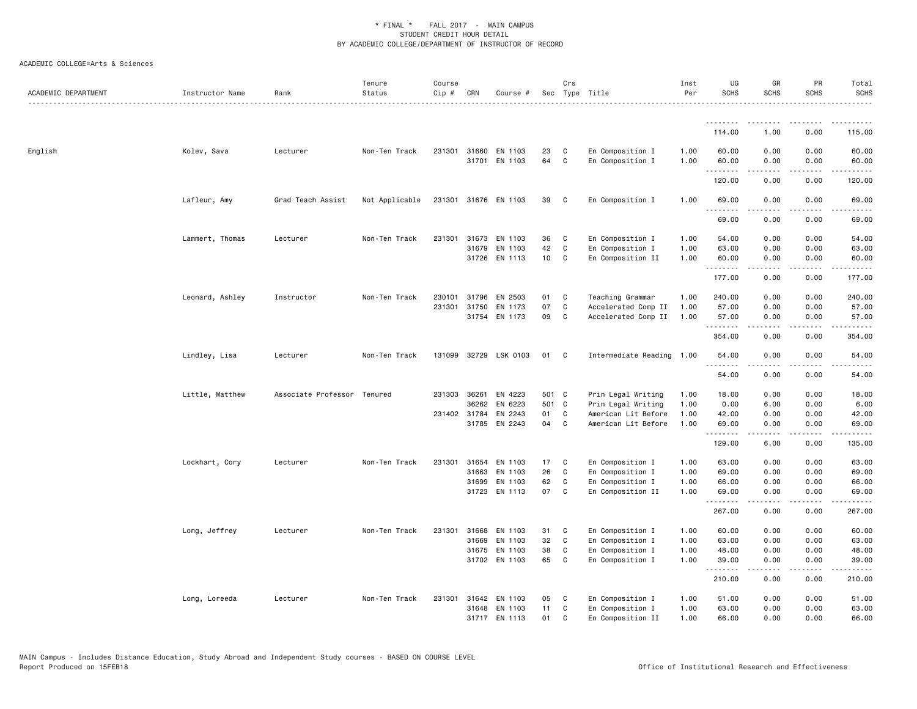| ACADEMIC DEPARTMENT | Instructor Name | Rank                        | Tenure<br>Status | Course<br>Cip # | CRN          | Course #                 |                 | Crs               | Sec Type Title                       | Inst<br>Per  | UG<br><b>SCHS</b> | GR<br><b>SCHS</b> | PR<br><b>SCHS</b>                   | Total<br><b>SCHS</b>                                                                                                                                          |
|---------------------|-----------------|-----------------------------|------------------|-----------------|--------------|--------------------------|-----------------|-------------------|--------------------------------------|--------------|-------------------|-------------------|-------------------------------------|---------------------------------------------------------------------------------------------------------------------------------------------------------------|
|                     |                 |                             |                  |                 |              |                          |                 |                   |                                      |              | <u>.</u>          |                   |                                     | .                                                                                                                                                             |
|                     |                 |                             |                  |                 |              |                          |                 |                   |                                      |              | 114.00            | 1.00              | 0.00                                | 115.00                                                                                                                                                        |
| English             | Kolev, Sava     | Lecturer                    | Non-Ten Track    | 231301          | 31701        | 31660 EN 1103<br>EN 1103 | 23<br>64        | C<br>$\mathtt{C}$ | En Composition I<br>En Composition I | 1.00<br>1.00 | 60.00<br>60.00    | 0.00<br>0.00      | 0.00<br>0.00                        | 60.00<br>60.00                                                                                                                                                |
|                     |                 |                             |                  |                 |              |                          |                 |                   |                                      |              | .<br>120.00       | .<br>0.00         | د د د د<br>0.00                     | .<br>120.00                                                                                                                                                   |
|                     | Lafleur, Amy    | Grad Teach Assist           | Not Applicable   |                 |              | 231301 31676 EN 1103     | 39              | $\mathbf{C}$      | En Composition I                     | 1.00         | 69.00             | 0.00              | 0.00                                | 69.00                                                                                                                                                         |
|                     |                 |                             |                  |                 |              |                          |                 |                   |                                      |              | 69.00             | 0.00              | 0.00                                | 69.00                                                                                                                                                         |
|                     | Lammert, Thomas | Lecturer                    | Non-Ten Track    | 231301          | 31673        | EN 1103                  | 36              | C                 | En Composition I                     | 1.00         | 54.00             | 0.00              | 0.00                                | 54.00                                                                                                                                                         |
|                     |                 |                             |                  |                 | 31679        | EN 1103                  | 42              | C                 | En Composition I                     | 1.00         | 63.00             | 0.00              | 0.00                                | 63.00                                                                                                                                                         |
|                     |                 |                             |                  |                 |              | 31726 EN 1113            | 10 <sub>1</sub> | C                 | En Composition II                    | 1.00         | 60.00<br>.        | 0.00<br>-----     | 0.00<br>.                           | 60.00<br>$\frac{1}{2} \left( \frac{1}{2} \right) \left( \frac{1}{2} \right) \left( \frac{1}{2} \right) \left( \frac{1}{2} \right) \left( \frac{1}{2} \right)$ |
|                     |                 |                             |                  |                 |              |                          |                 |                   |                                      |              | 177.00            | 0.00              | 0.00                                | 177.00                                                                                                                                                        |
|                     | Leonard, Ashley | Instructor                  | Non-Ten Track    | 230101          | 31796        | EN 2503                  | 01              | C                 | Teaching Grammar                     | 1.00         | 240.00            | 0.00              | 0.00                                | 240.00                                                                                                                                                        |
|                     |                 |                             |                  | 231301          | 31750        | EN 1173                  | 07              | $\mathtt{C}$      | Accelerated Comp II                  | 1.00         | 57.00             | 0.00              | 0.00                                | 57.00                                                                                                                                                         |
|                     |                 |                             |                  |                 |              | 31754 EN 1173            | 09              | $\mathbf c$       | Accelerated Comp II                  | 1.00         | 57.00<br>.        | 0.00              | 0.00                                | 57.00<br>.                                                                                                                                                    |
|                     |                 |                             |                  |                 |              |                          |                 |                   |                                      |              | 354.00            | 0.00              | 0.00                                | 354.00                                                                                                                                                        |
|                     | Lindley, Lisa   | Lecturer                    | Non-Ten Track    |                 |              | 131099 32729 LSK 0103    | 01              | C                 | Intermediate Reading 1.00            |              | 54.00<br>.        | 0.00              | 0.00                                | 54.00                                                                                                                                                         |
|                     |                 |                             |                  |                 |              |                          |                 |                   |                                      |              | 54.00             | 0.00              | 0.00                                | 54.00                                                                                                                                                         |
|                     | Little, Matthew | Associate Professor Tenured |                  | 231303          | 36261        | EN 4223                  | 501 C           |                   | Prin Legal Writing                   | 1.00         | 18.00             | 0.00              | 0.00                                | 18.00                                                                                                                                                         |
|                     |                 |                             |                  |                 | 36262        | EN 6223                  | 501 C           |                   | Prin Legal Writing                   | 1.00         | 0.00              | 6.00              | 0.00                                | 6.00                                                                                                                                                          |
|                     |                 |                             |                  |                 | 231402 31784 | EN 2243                  | 01              | $\mathtt{C}$      | American Lit Before                  | 1.00         | 42.00             | 0.00              | 0.00                                | 42.00                                                                                                                                                         |
|                     |                 |                             |                  |                 |              | 31785 EN 2243            | 04              | C                 | American Lit Before                  | 1.00         | 69.00<br>.        | 0.00<br>.         | 0.00<br>الأعامات                    | 69.00<br>.                                                                                                                                                    |
|                     |                 |                             |                  |                 |              |                          |                 |                   |                                      |              | 129.00            | 6.00              | 0.00                                | 135.00                                                                                                                                                        |
|                     | Lockhart, Cory  | Lecturer                    | Non-Ten Track    | 231301          | 31654        | EN 1103                  | 17              | C                 | En Composition I                     | 1.00         | 63.00             | 0.00              | 0.00                                | 63.00                                                                                                                                                         |
|                     |                 |                             |                  |                 | 31663        | EN 1103                  | 26              | $\mathtt{C}$      | En Composition I                     | 1.00         | 69.00             | 0.00              | 0.00                                | 69.00                                                                                                                                                         |
|                     |                 |                             |                  |                 | 31699        | EN 1103                  | 62              | C                 | En Composition I                     | 1.00         | 66.00             | 0.00              | 0.00                                | 66.00                                                                                                                                                         |
|                     |                 |                             |                  |                 |              | 31723 EN 1113            | 07              | $\mathbf{C}$      | En Composition II                    | 1.00         | 69.00<br>.        | 0.00              | 0.00                                | 69.00<br>.                                                                                                                                                    |
|                     |                 |                             |                  |                 |              |                          |                 |                   |                                      |              | 267.00            | 0.00              | 0.00                                | 267.00                                                                                                                                                        |
|                     | Long, Jeffrey   | Lecturer                    | Non-Ten Track    | 231301          | 31668        | EN 1103                  | 31              | C                 | En Composition I                     | 1.00         | 60.00             | 0.00              | 0.00                                | 60.00                                                                                                                                                         |
|                     |                 |                             |                  |                 | 31669        | EN 1103                  | 32              | C                 | En Composition I                     | 1.00         | 63.00             | 0.00              | 0.00                                | 63.00                                                                                                                                                         |
|                     |                 |                             |                  |                 |              | 31675 EN 1103            | 38              | C                 | En Composition I                     | 1.00         | 48.00             | 0.00              | 0.00                                | 48.00                                                                                                                                                         |
|                     |                 |                             |                  |                 |              | 31702 EN 1103            | 65              | C                 | En Composition I                     | 1.00         | 39.00<br>.        | 0.00              | 0.00<br>$\sim$ $\sim$ $\sim$ $\sim$ | 39.00                                                                                                                                                         |
|                     |                 |                             |                  |                 |              |                          |                 |                   |                                      |              | 210.00            | 0.00              | 0.00                                | 210.00                                                                                                                                                        |
|                     | Long, Loreeda   | Lecturer                    | Non-Ten Track    | 231301          |              | 31642 EN 1103            | 05              | C                 | En Composition I                     | 1.00         | 51.00             | 0.00              | 0.00                                | 51.00                                                                                                                                                         |
|                     |                 |                             |                  |                 |              | 31648 EN 1103            | 11              | C                 | En Composition I                     | 1.00         | 63.00             | 0.00              | 0.00                                | 63.00                                                                                                                                                         |
|                     |                 |                             |                  |                 |              | 31717 EN 1113            | 01              | C.                | En Composition II                    | 1.00         | 66.00             | 0.00              | 0.00                                | 66.00                                                                                                                                                         |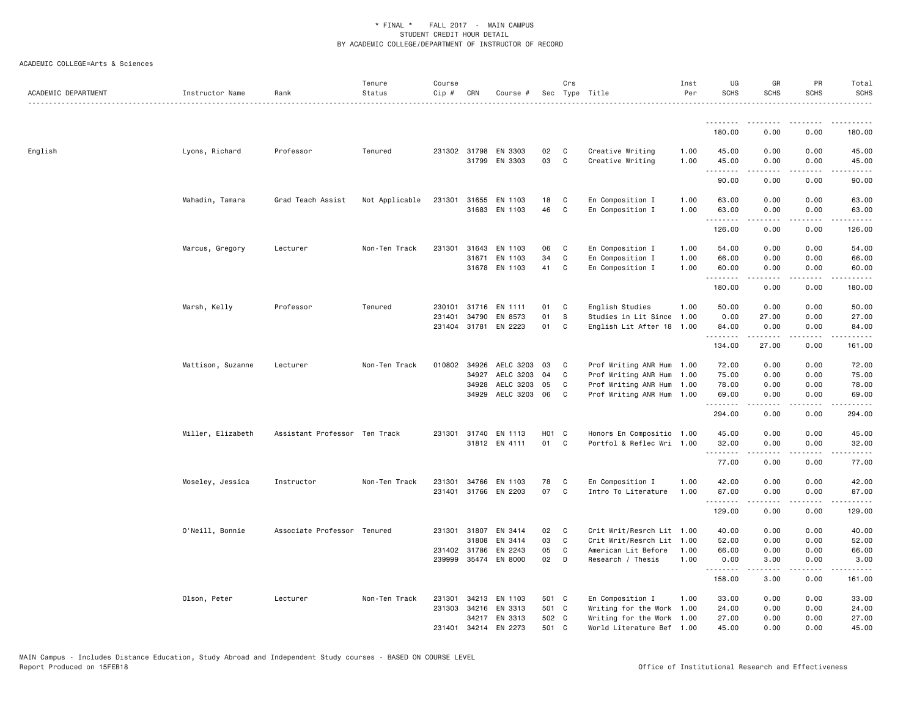| ACADEMIC DEPARTMENT | Instructor Name   | Rank                          | Tenure<br>Status | Course<br>$Cip$ # | CRN            | Course #                        |                   | Crs              | Sec Type Title                                    | Inst<br>Per  | UG<br><b>SCHS</b> | GR<br><b>SCHS</b>                        | <b>PR</b><br><b>SCHS</b>                                                                                                          | Total<br><b>SCHS</b>   |
|---------------------|-------------------|-------------------------------|------------------|-------------------|----------------|---------------------------------|-------------------|------------------|---------------------------------------------------|--------------|-------------------|------------------------------------------|-----------------------------------------------------------------------------------------------------------------------------------|------------------------|
|                     |                   |                               |                  |                   |                |                                 |                   |                  |                                                   |              | .                 |                                          |                                                                                                                                   |                        |
|                     |                   |                               |                  |                   |                |                                 |                   |                  |                                                   |              | 180.00            | 0.00                                     | 0.00                                                                                                                              | 180.00                 |
| English             | Lyons, Richard    | Professor                     | Tenured          |                   | 231302 31798   | EN 3303<br>31799 EN 3303        | 02<br>03          | C<br>C           | Creative Writing<br>Creative Writing              | 1.00<br>1.00 | 45.00<br>45.00    | 0.00<br>0.00                             | 0.00<br>0.00                                                                                                                      | 45.00<br>45.00         |
|                     |                   |                               |                  |                   |                |                                 |                   |                  |                                                   |              | .<br>90.00        | .<br>0.00                                | .<br>0.00                                                                                                                         | $\frac{1}{2}$<br>90.00 |
|                     | Mahadin, Tamara   | Grad Teach Assist             | Not Applicable   | 231301            | 31655          | EN 1103<br>31683 EN 1103        | 18<br>46          | C<br>C           | En Composition I<br>En Composition I              | 1.00<br>1.00 | 63.00<br>63.00    | 0.00<br>0.00                             | 0.00<br>0.00                                                                                                                      | 63.00<br>63.00         |
|                     |                   |                               |                  |                   |                |                                 |                   |                  |                                                   |              | .<br>126.00       | 0.00                                     | 0.00                                                                                                                              | 126.00                 |
|                     | Marcus, Gregory   | Lecturer                      | Non-Ten Track    | 231301            | 31643          | EN 1103                         | 06                | C                | En Composition I                                  | 1.00         | 54.00             | 0.00                                     | 0.00                                                                                                                              | 54.00                  |
|                     |                   |                               |                  |                   | 31671          | EN 1103<br>31678 EN 1103        | 34<br>41          | $\mathbf C$<br>C | En Composition I<br>En Composition I              | 1.00<br>1.00 | 66.00<br>60.00    | 0.00<br>0.00                             | 0.00<br>0.00                                                                                                                      | 66.00<br>60.00         |
|                     |                   |                               |                  |                   |                |                                 |                   |                  |                                                   |              | .<br>180.00       | 0.00                                     | 0.00                                                                                                                              | 180.00                 |
|                     | Marsh, Kelly      | Professor                     | Tenured          | 230101            | 31716          | EN 1111                         | 01                | C                | English Studies                                   | 1.00         | 50.00             | 0.00                                     | 0.00                                                                                                                              | 50.00                  |
|                     |                   |                               |                  | 231401            | 34790          | EN 8573                         | 01                | -S               | Studies in Lit Since                              | 1.00         | 0.00              | 27.00                                    | 0.00                                                                                                                              | 27.00                  |
|                     |                   |                               |                  |                   | 231404 31781   | EN 2223                         | 01                | C                | English Lit After 18 1.00                         |              | 84.00<br>.        | 0.00<br>$\omega$ is $\omega$ in $\omega$ | 0.00<br>$\frac{1}{2} \left( \frac{1}{2} \right) \left( \frac{1}{2} \right) \left( \frac{1}{2} \right) \left( \frac{1}{2} \right)$ | 84.00<br>.             |
|                     |                   |                               |                  |                   |                |                                 |                   |                  |                                                   |              | 134.00            | 27.00                                    | 0.00                                                                                                                              | 161.00                 |
|                     | Mattison, Suzanne | Lecturer                      | Non-Ten Track    | 010802            | 34926          | AELC 3203                       | 03                | C                | Prof Writing ANR Hum                              | 1.00         | 72.00             | 0.00                                     | 0.00                                                                                                                              | 72.00                  |
|                     |                   |                               |                  |                   | 34927          | AELC 3203                       | 04                | C                | Prof Writing ANR Hum                              | 1.00         | 75.00             | 0.00                                     | 0.00                                                                                                                              | 75.00                  |
|                     |                   |                               |                  |                   | 34928<br>34929 | AELC 3203<br>AELC 3203 06       | 05                | C<br>C           | Prof Writing ANR Hum<br>Prof Writing ANR Hum 1.00 | 1.00         | 78.00<br>69.00    | 0.00<br>0.00                             | 0.00<br>0.00                                                                                                                      | 78.00<br>69.00         |
|                     |                   |                               |                  |                   |                |                                 |                   |                  |                                                   |              | .<br>294.00       | 0.00                                     | 0.00                                                                                                                              | 294.00                 |
|                     | Miller, Elizabeth | Assistant Professor Ten Track |                  | 231301            |                | 31740 EN 1113                   | H <sub>01</sub> C |                  | Honors En Compositio 1.00                         |              | 45.00             | 0.00                                     | 0.00                                                                                                                              | 45.00                  |
|                     |                   |                               |                  |                   |                | 31812 EN 4111                   | 01                | C                | Portfol & Reflec Wri 1.00                         |              | 32.00             | 0.00                                     | 0.00                                                                                                                              | 32.00                  |
|                     |                   |                               |                  |                   |                |                                 |                   |                  |                                                   |              | 77.00             | .<br>0.00                                | $\sim$ $\sim$ $\sim$<br>0.00                                                                                                      | 77.00                  |
|                     | Moseley, Jessica  | Instructor                    | Non-Ten Track    | 231301            | 34766          | EN 1103                         | 78                | C                | En Composition I                                  | 1.00         | 42.00             | 0.00                                     | 0.00                                                                                                                              | 42.00                  |
|                     |                   |                               |                  | 231401            |                | 31766 EN 2203                   | 07                | C                | Intro To Literature                               | 1.00         | 87.00<br><u>.</u> | 0.00                                     | 0.00                                                                                                                              | 87.00                  |
|                     |                   |                               |                  |                   |                |                                 |                   |                  |                                                   |              | 129.00            | 0.00                                     | 0.00                                                                                                                              | 129.00                 |
|                     | O'Neill, Bonnie   | Associate Professor Tenured   |                  |                   | 231301 31807   | EN 3414                         | 02                | C                | Crit Writ/Resrch Lit 1.00                         |              | 40.00             | 0.00                                     | 0.00                                                                                                                              | 40.00                  |
|                     |                   |                               |                  |                   | 31808          | EN 3414                         | 03                | C                | Crit Writ/Resrch Lit 1.00                         |              | 52.00             | 0.00                                     | 0.00                                                                                                                              | 52.00                  |
|                     |                   |                               |                  |                   | 231402 31786   | EN 2243<br>239999 35474 EN 8000 | 05<br>02          | C<br>D           | American Lit Before<br>Research / Thesis          | 1.00<br>1.00 | 66.00<br>0.00     | 0.00<br>3.00                             | 0.00<br>0.00                                                                                                                      | 66.00<br>3.00          |
|                     |                   |                               |                  |                   |                |                                 |                   |                  |                                                   |              | .<br>158.00       | 3.00                                     | $\frac{1}{2}$<br>0.00                                                                                                             | .<br>161.00            |
|                     | Olson, Peter      | Lecturer                      | Non-Ten Track    | 231301            | 34213          | EN 1103                         | 501 C             |                  | En Composition I                                  | 1.00         | 33.00             | 0.00                                     | 0.00                                                                                                                              | 33.00                  |
|                     |                   |                               |                  | 231303            |                | 34216 EN 3313                   | 501 C             |                  | Writing for the Work 1.00                         |              | 24.00             | 0.00                                     | 0.00                                                                                                                              | 24.00                  |
|                     |                   |                               |                  |                   |                | 34217 EN 3313                   | 502 C             |                  | Writing for the Work 1.00                         |              | 27.00             | 0.00                                     | 0.00                                                                                                                              | 27.00                  |
|                     |                   |                               |                  | 231401            |                | 34214 EN 2273                   | 501 C             |                  | World Literature Bef 1.00                         |              | 45.00             | 0.00                                     | 0.00                                                                                                                              | 45.00                  |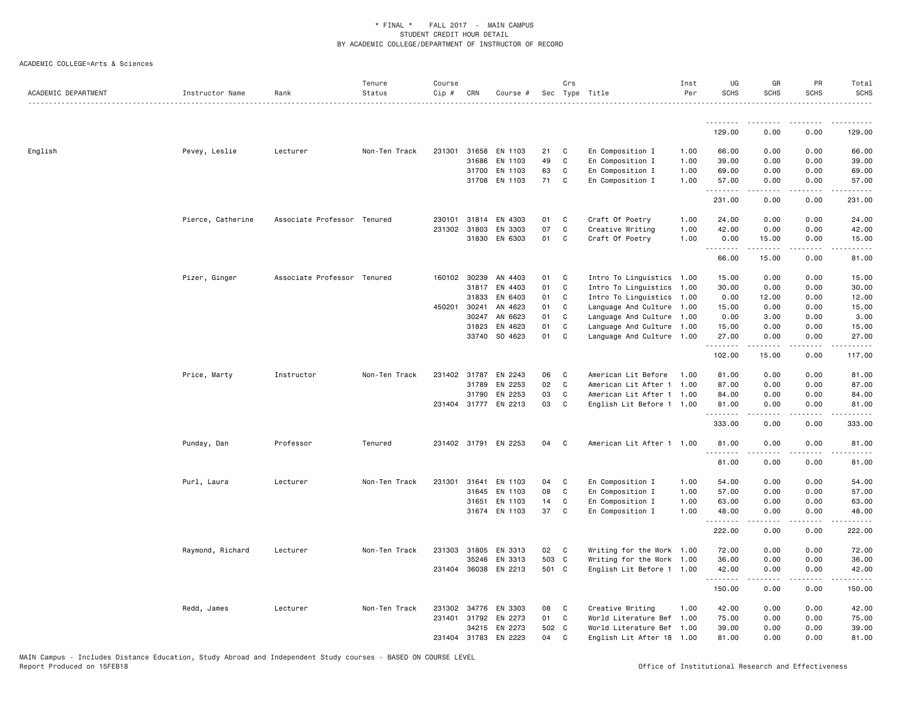| ACADEMIC DEPARTMENT | Instructor Name   | Rank                        | Tenure<br>Status | Course<br>Cip # | CRN          | Course #             |       | Crs          | Sec Type Title            | Inst<br>Per | UG<br><b>SCHS</b> | GR<br><b>SCHS</b>                                                                                                                                             | PR<br><b>SCHS</b> | Total<br><b>SCHS</b>                                                                                                                                          |
|---------------------|-------------------|-----------------------------|------------------|-----------------|--------------|----------------------|-------|--------------|---------------------------|-------------|-------------------|---------------------------------------------------------------------------------------------------------------------------------------------------------------|-------------------|---------------------------------------------------------------------------------------------------------------------------------------------------------------|
|                     |                   |                             |                  |                 |              |                      |       |              |                           |             | <u>.</u>          |                                                                                                                                                               |                   |                                                                                                                                                               |
|                     |                   |                             |                  |                 |              |                      |       |              |                           |             | 129.00            | 0.00                                                                                                                                                          | 0.00              | 129.00                                                                                                                                                        |
| English             | Pevey, Leslie     | Lecturer                    | Non-Ten Track    |                 | 231301 31658 | EN 1103              | 21    | C            | En Composition I          | 1.00        | 66.00             | 0.00                                                                                                                                                          | 0.00              | 66.00                                                                                                                                                         |
|                     |                   |                             |                  |                 | 31686        | EN 1103              | 49    | C            | En Composition I          | 1.00        | 39.00             | 0.00                                                                                                                                                          | 0.00              | 39.00                                                                                                                                                         |
|                     |                   |                             |                  |                 | 31700        | EN 1103              | 63    | C            | En Composition I          | 1.00        | 69.00             | 0.00                                                                                                                                                          | 0.00              | 69.00                                                                                                                                                         |
|                     |                   |                             |                  |                 | 31708        | EN 1103              | 71 C  |              | En Composition I          | 1.00        | 57.00<br>.        | 0.00                                                                                                                                                          | 0.00              | 57.00                                                                                                                                                         |
|                     |                   |                             |                  |                 |              |                      |       |              |                           |             | 231.00            | 0.00                                                                                                                                                          | 0.00              | 231.00                                                                                                                                                        |
|                     | Pierce, Catherine | Associate Professor Tenured |                  |                 | 230101 31814 | EN 4303              | 01    | C            | Craft Of Poetry           | 1.00        | 24.00             | 0.00                                                                                                                                                          | 0.00              | 24.00                                                                                                                                                         |
|                     |                   |                             |                  |                 | 231302 31803 | EN 3303              | 07    | $\mathbf c$  | Creative Writing          | 1.00        | 42.00             | 0.00                                                                                                                                                          | 0.00              | 42.00                                                                                                                                                         |
|                     |                   |                             |                  |                 | 31830        | EN 6303              | 01    | C.           | Craft Of Poetry           | 1.00        | 0.00<br>.         | 15.00<br>$\frac{1}{2} \left( \frac{1}{2} \right) \left( \frac{1}{2} \right) \left( \frac{1}{2} \right) \left( \frac{1}{2} \right) \left( \frac{1}{2} \right)$ | 0.00<br>د د د د   | 15.00<br>$\frac{1}{2} \left( \frac{1}{2} \right) \left( \frac{1}{2} \right) \left( \frac{1}{2} \right) \left( \frac{1}{2} \right) \left( \frac{1}{2} \right)$ |
|                     |                   |                             |                  |                 |              |                      |       |              |                           |             | 66.00             | 15.00                                                                                                                                                         | 0.00              | 81.00                                                                                                                                                         |
|                     | Pizer, Ginger     | Associate Professor Tenured |                  |                 | 160102 30239 | AN 4403              | 01    | $\mathbf{C}$ | Intro To Linguistics 1.00 |             | 15.00             | 0.00                                                                                                                                                          | 0.00              | 15.00                                                                                                                                                         |
|                     |                   |                             |                  |                 | 31817        | EN 4403              | 01    | C            | Intro To Linguistics 1.00 |             | 30.00             | 0.00                                                                                                                                                          | 0.00              | 30.00                                                                                                                                                         |
|                     |                   |                             |                  |                 | 31833        | EN 6403              | 01    | C            | Intro To Linguistics 1.00 |             | 0.00              | 12.00                                                                                                                                                         | 0.00              | 12.00                                                                                                                                                         |
|                     |                   |                             |                  | 450201 30241    |              | AN 4623              | 01    | C            | Language And Culture 1.00 |             | 15.00             | 0.00                                                                                                                                                          | 0.00              | 15.00                                                                                                                                                         |
|                     |                   |                             |                  |                 | 30247        | AN 6623              | 01    | C            | Language And Culture 1.00 |             | 0.00              | 3.00                                                                                                                                                          | 0.00              | 3.00                                                                                                                                                          |
|                     |                   |                             |                  |                 | 31823        | EN 4623              | 01    | C            | Language And Culture 1.00 |             | 15.00             | 0.00                                                                                                                                                          | 0.00              | 15.00                                                                                                                                                         |
|                     |                   |                             |                  |                 |              | 33740 SO 4623        | 01    | <b>C</b>     | Language And Culture 1.00 |             | 27.00<br>.        | 0.00<br>$\cdots$                                                                                                                                              | 0.00<br>.         | 27.00                                                                                                                                                         |
|                     |                   |                             |                  |                 |              |                      |       |              |                           |             | 102.00            | 15.00                                                                                                                                                         | 0.00              | 117.00                                                                                                                                                        |
|                     | Price, Marty      | Instructor                  | Non-Ten Track    |                 |              | 231402 31787 EN 2243 | 06    | C            | American Lit Before       | 1.00        | 81.00             | 0.00                                                                                                                                                          | 0.00              | 81.00                                                                                                                                                         |
|                     |                   |                             |                  |                 | 31789        | EN 2253              | 02    | C            | American Lit After 1      | 1.00        | 87.00             | 0.00                                                                                                                                                          | 0.00              | 87.00                                                                                                                                                         |
|                     |                   |                             |                  |                 | 31790        | EN 2253              | 03    | C            | American Lit After 1 1.00 |             | 84.00             | 0.00                                                                                                                                                          | 0.00              | 84.00                                                                                                                                                         |
|                     |                   |                             |                  |                 |              | 231404 31777 EN 2213 | 03    | C            | English Lit Before 1 1.00 |             | 81.00<br>.        | 0.00                                                                                                                                                          | 0.00              | 81.00                                                                                                                                                         |
|                     |                   |                             |                  |                 |              |                      |       |              |                           |             | 333.00            | 0.00                                                                                                                                                          | 0.00              | 333.00                                                                                                                                                        |
|                     | Punday, Dan       | Professor                   | Tenured          |                 |              | 231402 31791 EN 2253 | 04    | $\mathbf{C}$ | American Lit After 1 1.00 |             | 81.00<br><u>.</u> | 0.00<br>-----                                                                                                                                                 | 0.00<br>.         | 81.00                                                                                                                                                         |
|                     |                   |                             |                  |                 |              |                      |       |              |                           |             | 81.00             | 0.00                                                                                                                                                          | 0.00              | 81.00                                                                                                                                                         |
|                     | Purl, Laura       | Lecturer                    | Non-Ten Track    | 231301 31641    |              | EN 1103              | 04    | C            | En Composition I          | 1.00        | 54.00             | 0.00                                                                                                                                                          | 0.00              | 54.00                                                                                                                                                         |
|                     |                   |                             |                  |                 | 31645        | EN 1103              | 08    | C            | En Composition I          | 1.00        | 57.00             | 0.00                                                                                                                                                          | 0.00              | 57.00                                                                                                                                                         |
|                     |                   |                             |                  |                 | 31651        | EN 1103              | 14    | C            | En Composition I          | 1.00        | 63.00             | 0.00                                                                                                                                                          | 0.00              | 63.00                                                                                                                                                         |
|                     |                   |                             |                  |                 |              | 31674 EN 1103        | 37    | C            | En Composition I          | 1.00        | 48.00<br>.        | 0.00<br>.                                                                                                                                                     | 0.00<br>.         | 48.00<br>.                                                                                                                                                    |
|                     |                   |                             |                  |                 |              |                      |       |              |                           |             | 222.00            | 0.00                                                                                                                                                          | 0.00              | 222.00                                                                                                                                                        |
|                     | Raymond, Richard  | Lecturer                    | Non-Ten Track    | 231303 31805    |              | EN 3313              | 02 C  |              | Writing for the Work 1.00 |             | 72.00             | 0.00                                                                                                                                                          | 0.00              | 72.00                                                                                                                                                         |
|                     |                   |                             |                  |                 | 35246        | EN 3313              | 503 C |              | Writing for the Work 1.00 |             | 36.00             | 0.00                                                                                                                                                          | 0.00              | 36.00                                                                                                                                                         |
|                     |                   |                             |                  |                 |              | 231404 36038 EN 2213 | 501 C |              | English Lit Before 1 1.00 |             | 42.00<br>.        | 0.00<br><b>.</b>                                                                                                                                              | 0.00<br>.         | 42.00<br>.                                                                                                                                                    |
|                     |                   |                             |                  |                 |              |                      |       |              |                           |             | 150.00            | 0.00                                                                                                                                                          | 0.00              | 150.00                                                                                                                                                        |
|                     | Redd, James       | Lecturer                    | Non-Ten Track    |                 | 231302 34776 | EN 3303              | 08    | $\mathbf{C}$ | Creative Writing          | 1.00        | 42.00             | 0.00                                                                                                                                                          | 0.00              | 42.00                                                                                                                                                         |
|                     |                   |                             |                  | 231401 31792    |              | EN 2273              | 01    | C            | World Literature Bef 1.00 |             | 75.00             | 0.00                                                                                                                                                          | 0.00              | 75.00                                                                                                                                                         |
|                     |                   |                             |                  |                 | 34215        | EN 2273              | 502 C |              | World Literature Bef 1.00 |             | 39.00             | 0.00                                                                                                                                                          | 0.00              | 39.00                                                                                                                                                         |
|                     |                   |                             |                  | 231404 31783    |              | EN 2223              | 04    | C            | English Lit After 18 1.00 |             | 81.00             | 0.00                                                                                                                                                          | 0.00              | 81.00                                                                                                                                                         |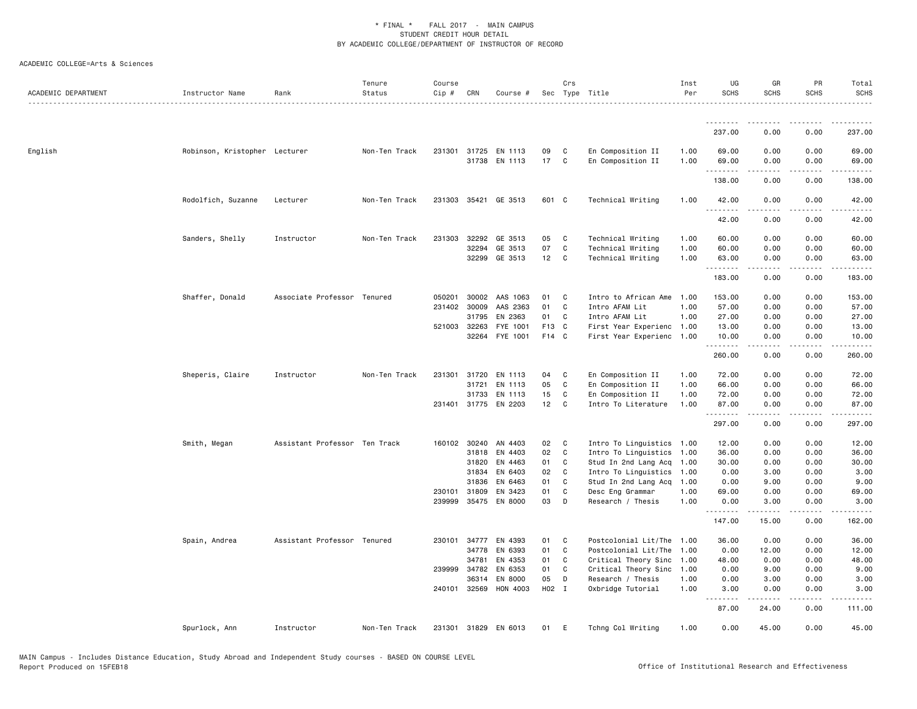| ACADEMIC DEPARTMENT | Instructor Name               | Rank                          | Tenure<br>Status | Course<br>Cip #        | CRN   | Course #                              |          | Crs              | Sec Type Title                         | Inst<br>Per  | UG<br><b>SCHS</b> | GR<br><b>SCHS</b>                                                                                                                                            | PR<br><b>SCHS</b>        | Total<br><b>SCHS</b>           |
|---------------------|-------------------------------|-------------------------------|------------------|------------------------|-------|---------------------------------------|----------|------------------|----------------------------------------|--------------|-------------------|--------------------------------------------------------------------------------------------------------------------------------------------------------------|--------------------------|--------------------------------|
|                     |                               |                               |                  |                        |       |                                       |          |                  |                                        |              | <u>.</u>          |                                                                                                                                                              |                          |                                |
|                     |                               |                               |                  |                        |       |                                       |          |                  |                                        |              | 237.00            | 0.00                                                                                                                                                         | 0.00                     | 237.00                         |
| English             | Robinson, Kristopher Lecturer |                               | Non-Ten Track    |                        |       | 231301 31725 EN 1113<br>31738 EN 1113 | 09<br>17 | C<br>$\mathbf c$ | En Composition II<br>En Composition II | 1.00<br>1.00 | 69.00<br>69.00    | 0.00<br>0.00<br>.                                                                                                                                            | 0.00<br>0.00<br>$\cdots$ | 69.00<br>69.00<br>. <u>.</u> . |
|                     |                               |                               |                  |                        |       |                                       |          |                  |                                        |              | .<br>138.00       | 0.00                                                                                                                                                         | 0.00                     | 138.00                         |
|                     | Rodolfich, Suzanne            | Lecturer                      | Non-Ten Track    |                        |       | 231303 35421 GE 3513                  | 601 C    |                  | Technical Writing                      | 1.00         | 42.00<br>.        | 0.00<br>$\frac{1}{2}$                                                                                                                                        | 0.00<br>.                | 42.00<br>.                     |
|                     |                               |                               |                  |                        |       |                                       |          |                  |                                        |              | 42.00             | 0.00                                                                                                                                                         | 0.00                     | 42.00                          |
|                     | Sanders, Shelly               | Instructor                    | Non-Ten Track    | 231303                 | 32292 | GE 3513                               | 05       | C                | Technical Writing                      | 1.00         | 60.00             | 0.00                                                                                                                                                         | 0.00                     | 60.00                          |
|                     |                               |                               |                  |                        | 32294 | GE 3513                               | 07       | C                | Technical Writing                      | 1.00         | 60.00             | 0.00                                                                                                                                                         | 0.00                     | 60.00                          |
|                     |                               |                               |                  |                        | 32299 | GE 3513                               | 12       | C                | Technical Writing                      | 1.00         | 63.00<br>.        | 0.00                                                                                                                                                         | 0.00                     | 63.00<br>.                     |
|                     |                               |                               |                  |                        |       |                                       |          |                  |                                        |              | 183.00            | 0.00                                                                                                                                                         | 0.00                     | 183.00                         |
|                     | Shaffer, Donald               | Associate Professor Tenured   |                  | 050201                 | 30002 | AAS 1063                              | 01       | $\mathbf{C}$     | Intro to African Ame                   | 1.00         | 153.00            | 0.00                                                                                                                                                         | 0.00                     | 153.00                         |
|                     |                               |                               |                  | 231402                 | 30009 | AAS 2363                              | 01       | C                | Intro AFAM Lit                         | 1.00         | 57.00             | 0.00                                                                                                                                                         | 0.00                     | 57.00                          |
|                     |                               |                               |                  |                        | 31795 | EN 2363                               | 01       | C                | Intro AFAM Lit                         | 1.00         | 27.00             | 0.00                                                                                                                                                         | 0.00                     | 27.00                          |
|                     |                               |                               |                  | 521003 32263           |       | FYE 1001                              | F13 C    |                  | First Year Experienc 1.00              |              | 13.00             | 0.00                                                                                                                                                         | 0.00                     | 13.00                          |
|                     |                               |                               |                  |                        | 32264 | FYE 1001                              | F14 C    |                  | First Year Experienc 1.00              |              | 10.00<br>.        | 0.00<br>$\frac{1}{2} \left( \frac{1}{2} \right) \left( \frac{1}{2} \right) \left( \frac{1}{2} \right) \left( \frac{1}{2} \right) \left( \frac{1}{2} \right)$ | 0.00<br>.                | 10.00<br>.                     |
|                     |                               |                               |                  |                        |       |                                       |          |                  |                                        |              | 260.00            | 0.00                                                                                                                                                         | 0.00                     | 260.00                         |
|                     | Sheperis, Claire              | Instructor                    | Non-Ten Track    | 231301                 | 31720 | EN 1113                               | 04       | C                | En Composition II                      | 1.00         | 72.00             | 0.00                                                                                                                                                         | 0.00                     | 72.00                          |
|                     |                               |                               |                  |                        | 31721 | EN 1113                               | 05       | C                | En Composition II                      | 1.00         | 66.00             | 0.00                                                                                                                                                         | 0.00                     | 66.00                          |
|                     |                               |                               |                  |                        | 31733 | EN 1113                               | 15       | C                | En Composition II                      | 1.00         | 72.00             | 0.00                                                                                                                                                         | 0.00                     | 72.00                          |
|                     |                               |                               |                  | 231401 31775           |       | EN 2203                               | 12       | C                | Intro To Literature                    | 1.00         | 87.00<br>.        | 0.00<br>.                                                                                                                                                    | 0.00<br>$\frac{1}{2}$    | 87.00<br>.                     |
|                     |                               |                               |                  |                        |       |                                       |          |                  |                                        |              | 297.00            | 0.00                                                                                                                                                         | 0.00                     | 297.00                         |
|                     | Smith, Megan                  | Assistant Professor Ten Track |                  | 160102 30240           |       | AN 4403                               | 02       | $\mathbf{C}$     | Intro To Linguistics 1.00              |              | 12.00             | 0.00                                                                                                                                                         | 0.00                     | 12.00                          |
|                     |                               |                               |                  |                        | 31818 | EN 4403                               | 02       | C                | Intro To Linguistics 1.00              |              | 36.00             | 0.00                                                                                                                                                         | 0.00                     | 36.00                          |
|                     |                               |                               |                  |                        | 31820 | EN 4463                               | 01       | C                | Stud In 2nd Lang Acq                   | 1.00         | 30.00             | 0.00                                                                                                                                                         | 0.00                     | 30.00                          |
|                     |                               |                               |                  |                        | 31834 | EN 6403                               | 02       | C                | Intro To Linguistics 1.00              |              | 0.00              | 3.00                                                                                                                                                         | 0.00                     | 3.00                           |
|                     |                               |                               |                  |                        | 31836 | EN 6463                               | 01       | C                | Stud In 2nd Lang Acq 1.00              |              | 0.00              | 9.00                                                                                                                                                         | 0.00                     | 9.00                           |
|                     |                               |                               |                  | 230101 31809<br>239999 | 35475 | EN 3423<br>EN 8000                    | 01<br>03 | C<br>D           | Desc Eng Grammar<br>Research / Thesis  | 1.00<br>1.00 | 69.00<br>0.00     | 0.00<br>3.00                                                                                                                                                 | 0.00<br>0.00             | 69.00<br>3.00                  |
|                     |                               |                               |                  |                        |       |                                       |          |                  |                                        |              | .                 | $\frac{1}{2}$                                                                                                                                                | .                        | .                              |
|                     |                               |                               |                  |                        |       |                                       |          |                  |                                        |              | 147.00            | 15.00                                                                                                                                                        | 0.00                     | 162.00                         |
|                     | Spain, Andrea                 | Assistant Professor Tenured   |                  | 230101                 | 34777 | EN 4393                               | 01       | <b>C</b>         | Postcolonial Lit/The 1.00              |              | 36.00             | 0.00                                                                                                                                                         | 0.00                     | 36.00                          |
|                     |                               |                               |                  |                        | 34778 | EN 6393                               | 01       | C                | Postcolonial Lit/The 1.00              |              | 0.00              | 12.00                                                                                                                                                        | 0.00                     | 12.00                          |
|                     |                               |                               |                  |                        | 34781 | EN 4353                               | 01       | C                | Critical Theory Sinc 1.00              |              | 48.00             | 0.00                                                                                                                                                         | 0.00                     | 48.00                          |
|                     |                               |                               |                  | 239999                 | 34782 | EN 6353                               | 01       | C                | Critical Theory Sinc 1.00              |              | 0.00              | 9.00                                                                                                                                                         | 0.00                     | 9.00                           |
|                     |                               |                               |                  |                        | 36314 | EN 8000                               | 05       | D                | Research / Thesis                      | 1.00         | 0.00              | 3.00                                                                                                                                                         | 0.00                     | 3.00                           |
|                     |                               |                               |                  | 240101 32569           |       | HON 4003                              | H02 I    |                  | Oxbridge Tutorial                      | 1.00         | 3.00<br><u>.</u>  | 0.00<br>.                                                                                                                                                    | 0.00<br>.                | 3.00                           |
|                     |                               |                               |                  |                        |       |                                       |          |                  |                                        |              | 87.00             | 24.00                                                                                                                                                        | 0.00                     | 111.00                         |
|                     | Spurlock, Ann                 | Instructor                    | Non-Ten Track    |                        |       | 231301 31829 EN 6013                  | 01       | E                | Tchng Col Writing                      | 1.00         | 0.00              | 45.00                                                                                                                                                        | 0.00                     | 45.00                          |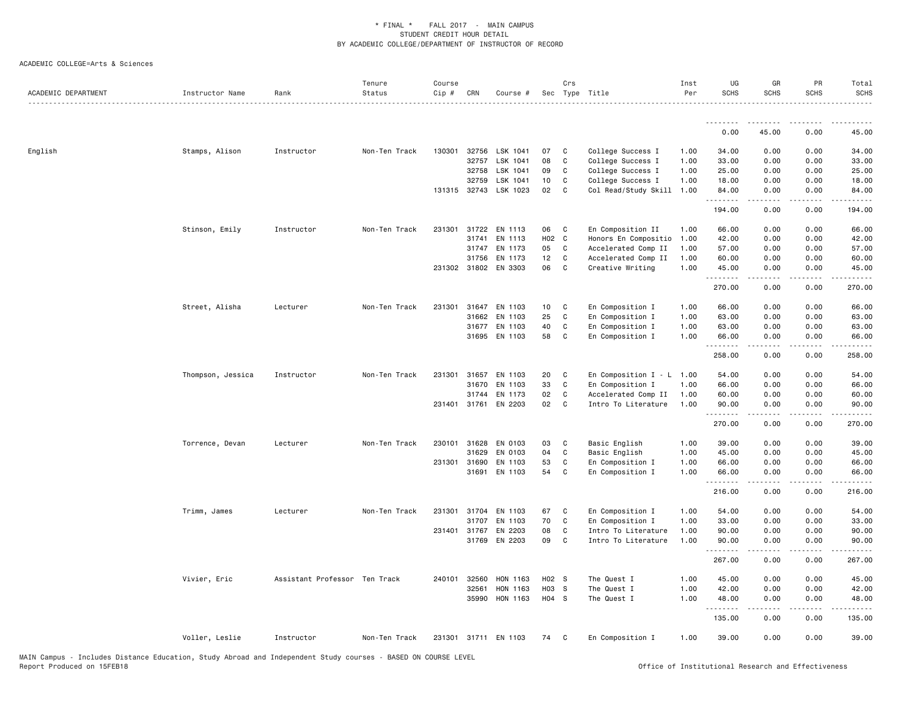| ACADEMIC DEPARTMENT | Instructor Name   | Rank                          | Tenure<br>Status | Course<br>Cip # | CRN   | Course #              |       | Crs          | Sec Type Title              | Inst<br>Per | UG<br><b>SCHS</b> | GR<br><b>SCHS</b> | PR<br><b>SCHS</b> | Total<br><b>SCHS</b> |
|---------------------|-------------------|-------------------------------|------------------|-----------------|-------|-----------------------|-------|--------------|-----------------------------|-------------|-------------------|-------------------|-------------------|----------------------|
|                     |                   |                               |                  |                 |       |                       |       |              |                             |             | .                 |                   |                   |                      |
|                     |                   |                               |                  |                 |       |                       |       |              |                             |             | 0.00              | 45.00             | 0.00              | 45.00                |
| English             | Stamps, Alison    | Instructor                    | Non-Ten Track    | 130301          | 32756 | LSK 1041              | 07    | C            | College Success I           | 1.00        | 34.00             | 0.00              | 0.00              | 34.00                |
|                     |                   |                               |                  |                 | 32757 | LSK 1041              | 08    | $\mathbf c$  | College Success I           | 1.00        | 33.00             | 0.00              | 0.00              | 33.00                |
|                     |                   |                               |                  |                 | 32758 | LSK 1041              | 09    | C            | College Success I           | 1.00        | 25.00             | 0.00              | 0.00              | 25.00                |
|                     |                   |                               |                  |                 | 32759 | LSK 1041              | 10    | C            | College Success I           | 1.00        | 18.00             | 0.00              | 0.00              | 18.00                |
|                     |                   |                               |                  |                 |       | 131315 32743 LSK 1023 | 02    | C.           | Col Read/Study Skill 1.00   |             | 84.00<br><u>.</u> | 0.00<br>.         | 0.00<br>.         | 84.00<br><u>.</u>    |
|                     |                   |                               |                  |                 |       |                       |       |              |                             |             | 194.00            | 0.00              | 0.00              | 194.00               |
|                     | Stinson, Emily    | Instructor                    | Non-Ten Track    | 231301 31722    |       | EN 1113               | 06    | C            | En Composition II           | 1.00        | 66.00             | 0.00              | 0.00              | 66.00                |
|                     |                   |                               |                  |                 | 31741 | EN 1113               | H02 C |              | Honors En Compositio 1.00   |             | 42.00             | 0.00              | 0.00              | 42.00                |
|                     |                   |                               |                  |                 | 31747 | EN 1173               | 05    | C            | Accelerated Comp II         | 1.00        | 57.00             | 0.00              | 0.00              | 57.00                |
|                     |                   |                               |                  |                 | 31756 | EN 1173               | 12    | C            | Accelerated Comp II         | 1.00        | 60.00             | 0.00              | 0.00              | 60.00                |
|                     |                   |                               |                  |                 |       | 231302 31802 EN 3303  | 06    | C            | Creative Writing            | 1.00        | 45.00<br>.        | 0.00              | 0.00<br>د د د د   | 45.00                |
|                     |                   |                               |                  |                 |       |                       |       |              |                             |             | 270.00            | 0.00              | 0.00              | 270.00               |
|                     | Street, Alisha    | Lecturer                      | Non-Ten Track    | 231301          | 31647 | EN 1103               | 10    | C            | En Composition I            | 1.00        | 66.00             | 0.00              | 0.00              | 66.00                |
|                     |                   |                               |                  |                 | 31662 | EN 1103               | 25    | C            | En Composition I            | 1.00        | 63.00             | 0.00              | 0.00              | 63.00                |
|                     |                   |                               |                  |                 | 31677 | EN 1103               | 40    | C            | En Composition I            | 1.00        | 63.00             | 0.00              | 0.00              | 63.00                |
|                     |                   |                               |                  |                 | 31695 | EN 1103               | 58    | C            | En Composition I            | 1.00        | 66.00<br><u>.</u> | 0.00              | 0.00              | 66.00                |
|                     |                   |                               |                  |                 |       |                       |       |              |                             |             | 258.00            | 0.00              | 0.00              | 258.00               |
|                     | Thompson, Jessica | Instructor                    | Non-Ten Track    | 231301          | 31657 | EN 1103               | 20    | C            | En Composition $I - L$ 1.00 |             | 54.00             | 0.00              | 0.00              | 54.00                |
|                     |                   |                               |                  |                 | 31670 | EN 1103               | 33    | C            | En Composition I            | 1.00        | 66.00             | 0.00              | 0.00              | 66.00                |
|                     |                   |                               |                  |                 | 31744 | EN 1173               | 02    | $\mathbb C$  | Accelerated Comp II         | 1.00        | 60.00             | 0.00              | 0.00              | 60.00                |
|                     |                   |                               |                  | 231401 31761    |       | EN 2203               | 02    | C            | Intro To Literature         | 1.00        | 90.00<br><u>.</u> | 0.00<br>.         | 0.00<br>.         | 90.00<br>.           |
|                     |                   |                               |                  |                 |       |                       |       |              |                             |             | 270.00            | 0.00              | 0.00              | 270.00               |
|                     | Torrence, Devan   | Lecturer                      | Non-Ten Track    | 230101          | 31628 | EN 0103               | 03    | C            | Basic English               | 1.00        | 39.00             | 0.00              | 0.00              | 39.00                |
|                     |                   |                               |                  |                 | 31629 | EN 0103               | 04    | C            | Basic English               | 1.00        | 45.00             | 0.00              | 0.00              | 45.00                |
|                     |                   |                               |                  | 231301          | 31690 | EN 1103               | 53    | C            | En Composition I            | 1.00        | 66.00             | 0.00              | 0.00              | 66.00                |
|                     |                   |                               |                  |                 | 31691 | EN 1103               | 54    | C            | En Composition I            | 1.00        | 66.00<br>.        | 0.00<br>.         | 0.00<br>.         | 66.00<br>.           |
|                     |                   |                               |                  |                 |       |                       |       |              |                             |             | 216.00            | 0.00              | 0.00              | 216.00               |
|                     | Trimm, James      | Lecturer                      | Non-Ten Track    | 231301          | 31704 | EN 1103               | 67    | C            | En Composition I            | 1.00        | 54.00             | 0.00              | 0.00              | 54.00                |
|                     |                   |                               |                  |                 | 31707 | EN 1103               | 70    | C            | En Composition I            | 1.00        | 33.00             | 0.00              | 0.00              | 33.00                |
|                     |                   |                               |                  | 231401 31767    |       | EN 2203               | 08    | C            | Intro To Literature         | 1.00        | 90.00             | 0.00              | 0.00              | 90.00                |
|                     |                   |                               |                  |                 |       | 31769 EN 2203         | 09    | C.           | Intro To Literature         | 1.00        | 90.00<br><u>.</u> | 0.00<br>.         | 0.00<br>.         | 90.00<br>.           |
|                     |                   |                               |                  |                 |       |                       |       |              |                             |             | 267.00            | 0.00              | 0.00              | 267.00               |
|                     | Vivier, Eric      | Assistant Professor Ten Track |                  | 240101 32560    |       | HON 1163              | H02 S |              | The Quest I                 | 1.00        | 45.00             | 0.00              | 0.00              | 45.00                |
|                     |                   |                               |                  |                 | 32561 | HON 1163              | HO3 S |              | The Quest I                 | 1.00        | 42.00             | 0.00              | 0.00              | 42.00                |
|                     |                   |                               |                  |                 | 35990 | HON 1163              | H04 S |              | The Quest I                 | 1.00        | 48.00<br><u>.</u> | 0.00              | 0.00              | 48.00                |
|                     |                   |                               |                  |                 |       |                       |       |              |                             |             | 135.00            | 0.00              | 0.00              | 135.00               |
|                     | Voller, Leslie    | Instructor                    | Non-Ten Track    |                 |       | 231301 31711 EN 1103  | 74    | $\mathbf{C}$ | En Composition I            | 1.00        | 39.00             | 0.00              | 0.00              | 39.00                |
|                     |                   |                               |                  |                 |       |                       |       |              |                             |             |                   |                   |                   |                      |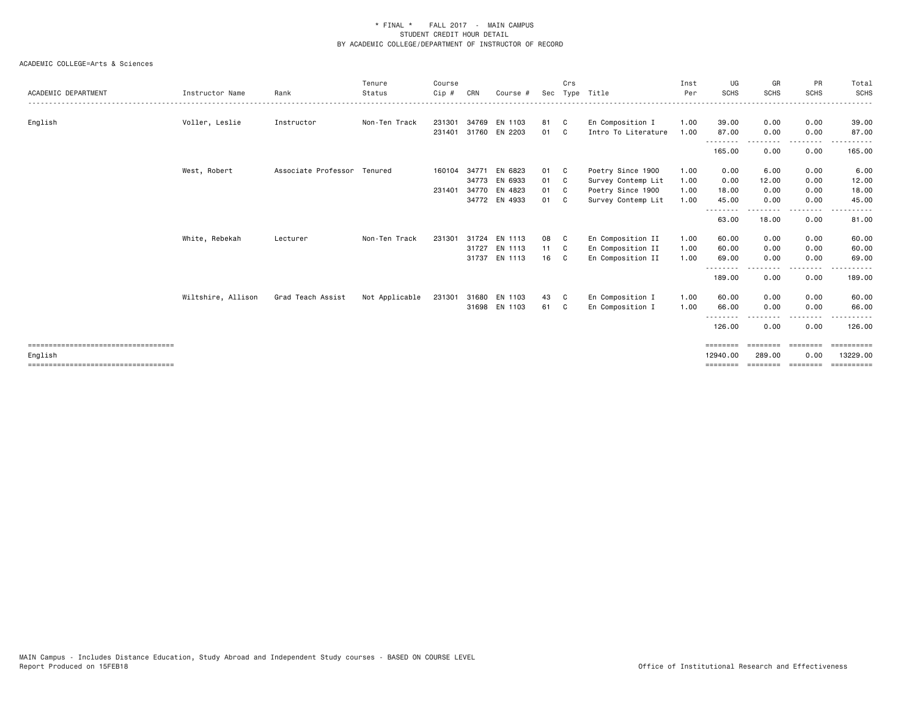| ACADEMIC DEPARTMENT                   | Instructor Name    | Rank                        | Tenure<br>Status | Course<br>Cip # | CRN   | Course #      | Sec  | Crs | Type Title          | Inst<br>Per | UG<br><b>SCHS</b>  | GR<br><b>SCHS</b>  | <b>PR</b><br><b>SCHS</b> | Total<br>SCHS |
|---------------------------------------|--------------------|-----------------------------|------------------|-----------------|-------|---------------|------|-----|---------------------|-------------|--------------------|--------------------|--------------------------|---------------|
| English                               | Voller, Leslie     | Instructor                  | Non-Ten Track    | 231301          |       | 34769 EN 1103 | 81   | C.  | En Composition I    | 1.00        | 39.00              | 0.00               | 0.00                     | 39.00         |
|                                       |                    |                             |                  | 231401          |       | 31760 EN 2203 | 01   | C.  | Intro To Literature | 1.00        | 87.00              | 0.00               | 0.00                     | 87.00         |
|                                       |                    |                             |                  |                 |       |               |      |     |                     |             | 165.00             | 0.00               | ----<br>0.00             | 165.00        |
|                                       | West, Robert       | Associate Professor Tenured |                  | 160104          | 34771 | EN 6823       | 01 C |     | Poetry Since 1900   | 1.00        | 0.00               | 6.00               | 0.00                     | 6.00          |
|                                       |                    |                             |                  |                 |       | 34773 EN 6933 | 01 C |     | Survey Contemp Lit  | 1.00        | 0.00               | 12.00              | 0.00                     | 12.00         |
|                                       |                    |                             |                  | 231401          |       | 34770 EN 4823 | 01 C |     | Poetry Since 1900   | 1.00        | 18.00              | 0.00               | 0.00                     | 18.00         |
|                                       |                    |                             |                  |                 |       | 34772 EN 4933 | 01 C |     | Survey Contemp Lit  | 1.00        | 45.00              | 0.00               | 0.00                     | 45.00<br>.    |
|                                       |                    |                             |                  |                 |       |               |      |     |                     |             | --------<br>63.00  | 18.00              | ----<br>0.00             | 81.00         |
|                                       | White, Rebekah     | Lecturer                    | Non-Ten Track    | 231301          | 31724 | EN 1113       | 08   | C.  | En Composition II   | 1.00        | 60.00              | 0.00               | 0.00                     | 60.00         |
|                                       |                    |                             |                  |                 |       | 31727 EN 1113 | 11   | C.  | En Composition II   | 1.00        | 60.00              | 0.00               | 0.00                     | 60.00         |
|                                       |                    |                             |                  |                 |       | 31737 EN 1113 | 16   | C.  | En Composition II   | 1.00        | 69.00              | 0.00               | 0.00                     | 69.00         |
|                                       |                    |                             |                  |                 |       |               |      |     |                     |             | 189.00             | . <b>.</b><br>0.00 | ----<br>0.00             | 189.00        |
|                                       | Wiltshire, Allison | Grad Teach Assist           | Not Applicable   | 231301          |       | 31680 EN 1103 | 43   | C.  | En Composition I    | 1.00        | 60.00              | 0.00               | 0.00                     | 60.00         |
|                                       |                    |                             |                  |                 |       | 31698 EN 1103 | 61 C |     | En Composition I    | 1.00        | 66.00              | 0.00               | 0.00                     | 66.00         |
|                                       |                    |                             |                  |                 |       |               |      |     |                     |             | --------<br>126.00 | 0.00               | 0.00                     | 126.00        |
| ===================================== |                    |                             |                  |                 |       |               |      |     |                     |             | ========           |                    | $=$ = = = = = = =        | ==========    |
| English                               |                    |                             |                  |                 |       |               |      |     |                     |             | 12940.00           | 289,00             | 0.00                     | 13229,00      |
| ===================================== |                    |                             |                  |                 |       |               |      |     |                     |             | ========           | ========           | ---------                | -==========   |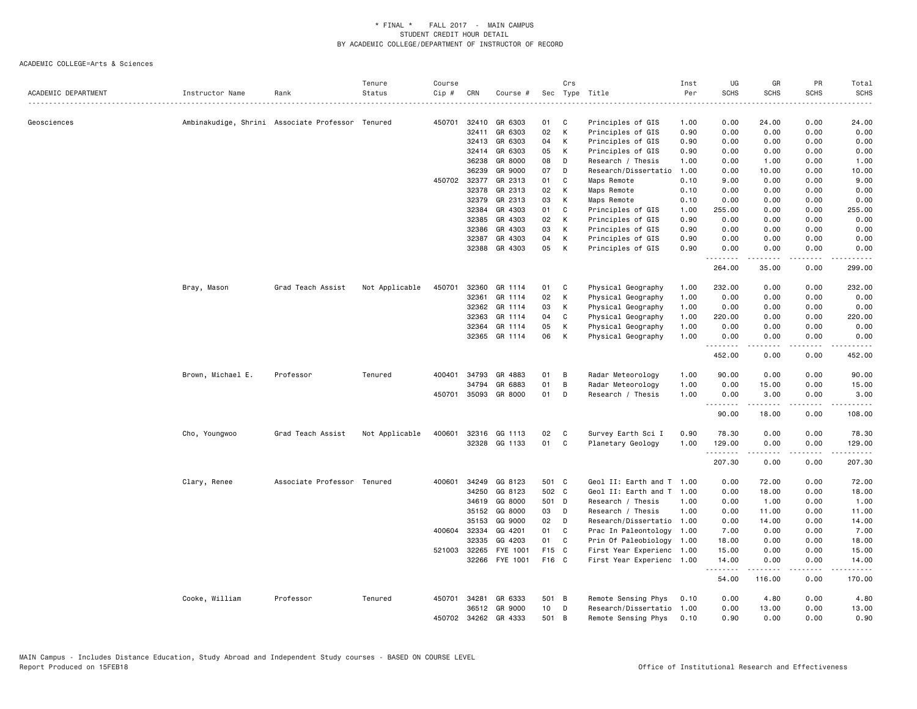| ACADEMIC DEPARTMENT | Instructor Name   | Rank                                             | Tenure<br>Status | Course<br>Cip # | CRN          | Course #             |                 | Crs            | Sec Type Title            | Inst<br>Per | UG<br><b>SCHS</b> | GR<br><b>SCHS</b> | PR<br><b>SCHS</b> | Total<br><b>SCHS</b>                                                                                        |
|---------------------|-------------------|--------------------------------------------------|------------------|-----------------|--------------|----------------------|-----------------|----------------|---------------------------|-------------|-------------------|-------------------|-------------------|-------------------------------------------------------------------------------------------------------------|
| Geosciences         |                   | Ambinakudige, Shrini Associate Professor Tenured |                  | 450701          | 32410        | GR 6303              | 01              | C              | Principles of GIS         | 1.00        | 0.00              | 24.00             | 0.00              | 24.00                                                                                                       |
|                     |                   |                                                  |                  |                 | 32411        | GR 6303              | 02              | К              | Principles of GIS         | 0.90        | 0.00              | 0.00              | 0.00              | 0.00                                                                                                        |
|                     |                   |                                                  |                  |                 | 32413        | GR 6303              | 04              | К              | Principles of GIS         | 0.90        | 0.00              | 0.00              | 0.00              | 0.00                                                                                                        |
|                     |                   |                                                  |                  |                 | 32414        | GR 6303              | 05              | К              | Principles of GIS         | 0.90        | 0.00              | 0.00              | 0.00              | 0.00                                                                                                        |
|                     |                   |                                                  |                  |                 | 36238        | GR 8000              | 08              | D              | Research / Thesis         | 1.00        | 0.00              | 1.00              | 0.00              | 1.00                                                                                                        |
|                     |                   |                                                  |                  |                 | 36239        | GR 9000              | 07              | D              | Research/Dissertatio      | 1.00        | 0.00              | 10.00             | 0.00              | 10.00                                                                                                       |
|                     |                   |                                                  |                  |                 | 450702 32377 | GR 2313              | 01              | C              | Maps Remote               | 0.10        | 9.00              | 0.00              | 0.00              | 9.00                                                                                                        |
|                     |                   |                                                  |                  |                 | 32378        | GR 2313              | 02              | К              | Maps Remote               | 0.10        | 0.00              | 0.00              | 0.00              | 0.00                                                                                                        |
|                     |                   |                                                  |                  |                 | 32379        | GR 2313              | 03              | К              | Maps Remote               | 0.10        | 0.00              | 0.00              | 0.00              | 0.00                                                                                                        |
|                     |                   |                                                  |                  |                 | 32384        | GR 4303              | 01              | C              | Principles of GIS         | 1.00        | 255.00            | 0.00              | 0.00              | 255.00                                                                                                      |
|                     |                   |                                                  |                  |                 | 32385        | GR 4303              | 02              | К              | Principles of GIS         | 0.90        | 0.00              | 0.00              | 0.00              | 0.00                                                                                                        |
|                     |                   |                                                  |                  |                 | 32386        | GR 4303              | 03              | К              | Principles of GIS         | 0.90        | 0.00              | 0.00              | 0.00              | 0.00                                                                                                        |
|                     |                   |                                                  |                  |                 | 32387        | GR 4303              | 04              | К              | Principles of GIS         | 0.90        | 0.00              | 0.00              | 0.00              | 0.00                                                                                                        |
|                     |                   |                                                  |                  |                 | 32388        | GR 4303              | 05              | К              | Principles of GIS         | 0.90        | 0.00<br>.         | 0.00<br><b>.</b>  | 0.00<br>لأعامل    | 0.00<br>.                                                                                                   |
|                     |                   |                                                  |                  |                 |              |                      |                 |                |                           |             | 264.00            | 35.00             | 0.00              | 299.00                                                                                                      |
|                     | Bray, Mason       | Grad Teach Assist                                | Not Applicable   | 450701          | 32360        | GR 1114              | 01              | C              | Physical Geography        | 1.00        | 232.00            | 0.00              | 0.00              | 232.00                                                                                                      |
|                     |                   |                                                  |                  |                 | 32361        | GR 1114              | 02              | К              | Physical Geography        | 1.00        | 0.00              | 0.00              | 0.00              | 0.00                                                                                                        |
|                     |                   |                                                  |                  |                 | 32362        | GR 1114              | 03              | К              | Physical Geography        | 1.00        | 0.00              | 0.00              | 0.00              | 0.00                                                                                                        |
|                     |                   |                                                  |                  |                 | 32363        | GR 1114              | 04              | C              | Physical Geography        | 1.00        | 220.00            | 0.00              | 0.00              | 220.00                                                                                                      |
|                     |                   |                                                  |                  |                 | 32364        | GR 1114              | 05              | Κ              | Physical Geography        | 1.00        | 0.00              | 0.00              | 0.00              | 0.00                                                                                                        |
|                     |                   |                                                  |                  |                 | 32365        | GR 1114              | 06              | К              | Physical Geography        | 1.00        | 0.00              | 0.00              | 0.00              | 0.00                                                                                                        |
|                     |                   |                                                  |                  |                 |              |                      |                 |                |                           |             | .<br>452.00       | -----<br>0.00     | .<br>0.00         | .<br>452.00                                                                                                 |
|                     | Brown, Michael E. | Professor                                        | Tenured          | 400401          | 34793        | GR 4883              | 01              | в              | Radar Meteorology         | 1.00        | 90.00             | 0.00              | 0.00              | 90.00                                                                                                       |
|                     |                   |                                                  |                  |                 | 34794        | GR 6883              | 01              | B              | Radar Meteorology         | 1.00        | 0.00              | 15.00             | 0.00              | 15.00                                                                                                       |
|                     |                   |                                                  |                  |                 |              | 450701 35093 GR 8000 | 01              | D              | Research / Thesis         | 1.00        | 0.00              | 3.00              | 0.00              | 3.00                                                                                                        |
|                     |                   |                                                  |                  |                 |              |                      |                 |                |                           |             | .                 | د د د د د         | .                 | .                                                                                                           |
|                     |                   |                                                  |                  |                 |              |                      |                 |                |                           |             | 90.00             | 18.00             | 0.00              | 108.00                                                                                                      |
|                     | Cho, Youngwoo     | Grad Teach Assist                                | Not Applicable   | 400601          | 32316        | GG 1113              | 02              | C              | Survey Earth Sci I        | 0.90        | 78.30             | 0.00              | 0.00              | 78.30                                                                                                       |
|                     |                   |                                                  |                  |                 |              | 32328 GG 1133        | 01              | C              | Planetary Geology         | 1.00        | 129.00            | 0.00              | 0.00              | 129.00                                                                                                      |
|                     |                   |                                                  |                  |                 |              |                      |                 |                |                           |             | .                 | -----             | $\frac{1}{2}$     | $\begin{array}{cccccccccc} \bullet & \bullet & \bullet & \bullet & \bullet & \bullet & \bullet \end{array}$ |
|                     |                   |                                                  |                  |                 |              |                      |                 |                |                           |             | 207.30            | 0.00              | 0.00              | 207.30                                                                                                      |
|                     | Clary, Renee      | Associate Professor Tenured                      |                  | 400601          | 34249        | GG 8123              | 501 C           |                | Geol II: Earth and T 1.00 |             | 0.00              | 72.00             | 0.00              | 72.00                                                                                                       |
|                     |                   |                                                  |                  |                 | 34250        | GG 8123              | 502 C           |                | Geol II: Earth and T 1.00 |             | 0.00              | 18.00             | 0.00              | 18.00                                                                                                       |
|                     |                   |                                                  |                  |                 | 34619        | GG 8000              | 501 D           |                | Research / Thesis         | 1.00        | 0.00              | 1.00              | 0.00              | 1.00                                                                                                        |
|                     |                   |                                                  |                  |                 | 35152        | GG 8000              | 03              | D              | Research / Thesis         | 1.00        | 0.00              | 11.00             | 0.00              | 11.00                                                                                                       |
|                     |                   |                                                  |                  |                 | 35153        | GG 9000              | 02              | D              | Research/Dissertatio 1.00 |             | 0.00              | 14.00             | 0.00              | 14.00                                                                                                       |
|                     |                   |                                                  |                  | 400604          | 32334        | GG 4201              | 01              | C              | Prac In Paleontology      | 1.00        | 7.00              | 0.00              | 0.00              | 7.00                                                                                                        |
|                     |                   |                                                  |                  |                 | 32335        | GG 4203              | 01              | C              | Prin Of Paleobiology 1.00 |             | 18.00             | 0.00              | 0.00              | 18.00                                                                                                       |
|                     |                   |                                                  |                  |                 | 521003 32265 | FYE 1001             | F15 C           |                | First Year Experienc 1.00 |             | 15.00             | 0.00              | 0.00              | 15.00                                                                                                       |
|                     |                   |                                                  |                  |                 | 32266        | FYE 1001             | F16 C           |                | First Year Experienc 1.00 |             | 14.00<br>.        | 0.00              | 0.00              | 14.00                                                                                                       |
|                     |                   |                                                  |                  |                 |              |                      |                 |                |                           |             | 54.00             | 116.00            | 0.00              | 170.00                                                                                                      |
|                     | Cooke, William    | Professor                                        | Tenured          | 450701          | 34281        | GR 6333              | 501 B           |                | Remote Sensing Phys       | 0.10        | 0.00              | 4.80              | 0.00              | 4.80                                                                                                        |
|                     |                   |                                                  |                  |                 | 36512        | GR 9000              | 10 <sub>1</sub> | D              | Research/Dissertatio      | 1.00        | 0.00              | 13.00             | 0.00              | 13.00                                                                                                       |
|                     |                   |                                                  |                  |                 | 450702 34262 | GR 4333              | 501             | $\overline{B}$ | Remote Sensing Phys       | 0.10        | 0.90              | 0.00              | 0.00              | 0.90                                                                                                        |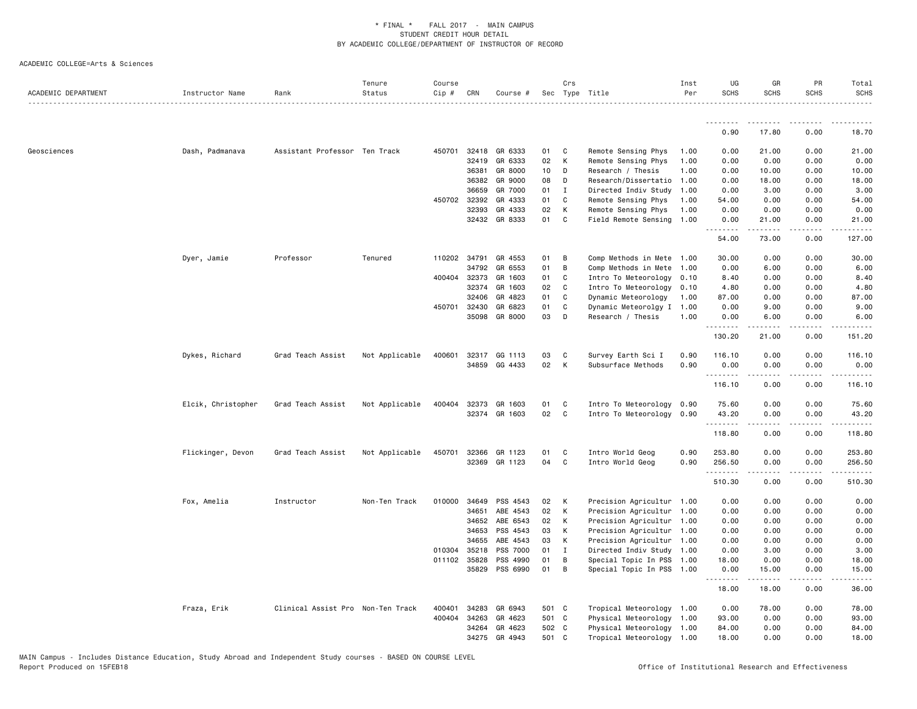| ACADEMIC DEPARTMENT | Instructor Name    | Rank                              | Tenure<br>Status | Course<br>Cip # | CRN          | Course #             |                 | Crs            | Sec Type Title                                         | Inst<br>Per  | UG<br><b>SCHS</b> | GR<br><b>SCHS</b>   | PR<br><b>SCHS</b>     | Total<br><b>SCHS</b> |
|---------------------|--------------------|-----------------------------------|------------------|-----------------|--------------|----------------------|-----------------|----------------|--------------------------------------------------------|--------------|-------------------|---------------------|-----------------------|----------------------|
|                     |                    |                                   |                  |                 |              |                      |                 |                |                                                        |              | .                 |                     |                       |                      |
|                     |                    |                                   |                  |                 |              |                      |                 |                |                                                        |              | 0.90              | 17.80               | 0.00                  | 18.70                |
| Geosciences         | Dash, Padmanava    | Assistant Professor Ten Track     |                  | 450701          | 32418        | GR 6333              | 01              | C              | Remote Sensing Phys                                    | 1.00         | 0.00              | 21.00               | 0.00                  | 21.00                |
|                     |                    |                                   |                  |                 | 32419        | GR 6333              | 02              | К              | Remote Sensing Phys                                    | 1.00         | 0.00              | 0.00                | 0.00                  | 0.00                 |
|                     |                    |                                   |                  |                 | 36381        | GR 8000              | 10 <sub>1</sub> | D              | Research / Thesis                                      | 1.00         | 0.00              | 10.00               | 0.00                  | 10.00                |
|                     |                    |                                   |                  |                 | 36382        | GR 9000              | 08              | D              | Research/Dissertatio                                   | 1.00         | 0.00              | 18.00               | 0.00                  | 18.00                |
|                     |                    |                                   |                  |                 | 36659        | GR 7000              | 01              | Ι.             | Directed Indiv Study                                   | 1.00         | 0.00              | 3.00                | 0.00                  | 3.00                 |
|                     |                    |                                   |                  |                 | 450702 32392 | GR 4333              | 01              | C              | Remote Sensing Phys                                    | 1.00         | 54.00             | 0.00                | 0.00                  | 54.00                |
|                     |                    |                                   |                  |                 | 32393        | GR 4333              | 02              | К              | Remote Sensing Phys                                    | 1.00         | 0.00              | 0.00                | 0.00                  | 0.00                 |
|                     |                    |                                   |                  |                 |              | 32432 GR 8333        | 01              | $\mathbf c$    | Field Remote Sensing 1.00                              |              | 0.00<br>.         | 21.00<br>د د د د د  | 0.00<br>.             | 21.00                |
|                     |                    |                                   |                  |                 |              |                      |                 |                |                                                        |              | 54.00             | 73.00               | 0.00                  | 127.00               |
|                     | Dyer, Jamie        | Professor                         | Tenured          |                 | 110202 34791 | GR 4553              | 01              | B              | Comp Methods in Mete 1.00                              |              | 30.00             | 0.00                | 0.00                  | 30.00                |
|                     |                    |                                   |                  |                 | 34792        | GR 6553              | 01              | B              | Comp Methods in Mete 1.00                              |              | 0.00              | 6.00                | 0.00                  | 6.00                 |
|                     |                    |                                   |                  |                 | 400404 32373 | GR 1603              | 01              | C              | Intro To Meteorology 0.10                              |              | 8.40              | 0.00                | 0.00                  | 8.40                 |
|                     |                    |                                   |                  |                 | 32374        | GR 1603              | 02              | C              | Intro To Meteorology 0.10                              |              | 4.80              | 0.00                | 0.00                  | 4.80                 |
|                     |                    |                                   |                  |                 | 32406        | GR 4823              | 01              | C              | Dynamic Meteorology                                    | 1.00         | 87.00             | 0.00                | 0.00                  | 87.00                |
|                     |                    |                                   |                  |                 | 450701 32430 | GR 6823<br>GR 8000   | 01<br>03        | C<br>D         | Dynamic Meteorolgy I                                   | 1.00<br>1.00 | 0.00<br>0.00      | 9.00<br>6.00        | 0.00<br>0.00          | 9.00                 |
|                     |                    |                                   |                  |                 | 35098        |                      |                 |                | Research / Thesis                                      |              | .                 |                     |                       | 6.00                 |
|                     |                    |                                   |                  |                 |              |                      |                 |                |                                                        |              | 130.20            | 21.00               | 0.00                  | 151.20               |
|                     | Dykes, Richard     | Grad Teach Assist                 | Not Applicable   | 400601          |              | 32317 GG 1113        | 03              | C              | Survey Earth Sci I                                     | 0.90         | 116.10            | 0.00                | 0.00                  | 116.10               |
|                     |                    |                                   |                  |                 |              | 34859 GG 4433        | 02              | K              | Subsurface Methods                                     | 0.90         | 0.00<br>.         | 0.00                | 0.00                  | 0.00                 |
|                     |                    |                                   |                  |                 |              |                      |                 |                |                                                        |              | 116.10            | 0.00                | 0.00                  | 116.10               |
|                     |                    | Grad Teach Assist                 |                  |                 |              | 400404 32373 GR 1603 | 01              | C              |                                                        |              |                   | 0.00                | 0.00                  | 75.60                |
|                     | Elcik, Christopher |                                   | Not Applicable   |                 |              | 32374 GR 1603        | 02              | $\mathbf{C}$   | Intro To Meteorology 0.90<br>Intro To Meteorology 0.90 |              | 75.60<br>43.20    | 0.00                | 0.00                  | 43.20                |
|                     |                    |                                   |                  |                 |              |                      |                 |                |                                                        |              | .                 | .                   | .                     | .                    |
|                     |                    |                                   |                  |                 |              |                      |                 |                |                                                        |              | 118.80            | 0.00                | 0.00                  | 118.80               |
|                     | Flickinger, Devon  | Grad Teach Assist                 | Not Applicable   | 450701          | 32366        | GR 1123              | 01              | C.             | Intro World Geog                                       | 0.90         | 253.80            | 0.00                | 0.00                  | 253.80               |
|                     |                    |                                   |                  |                 | 32369        | GR 1123              | 04              | C.             | Intro World Geog                                       | 0.90         | 256.50<br>.       | 0.00<br>$- - - - -$ | 0.00<br>.             | 256.50<br>. <u>.</u> |
|                     |                    |                                   |                  |                 |              |                      |                 |                |                                                        |              | 510.30            | 0.00                | 0.00                  | 510.30               |
|                     | Fox, Amelia        | Instructor                        | Non-Ten Track    | 010000          | 34649        | PSS 4543             | 02              | K              | Precision Agricultur 1.00                              |              | 0.00              | 0.00                | 0.00                  | 0.00                 |
|                     |                    |                                   |                  |                 | 34651        | ABE 4543             | 02              | к              | Precision Agricultur 1.00                              |              | 0.00              | 0.00                | 0.00                  | 0.00                 |
|                     |                    |                                   |                  |                 | 34652        | ABE 6543             | 02              | К              | Precision Agricultur 1.00                              |              | 0.00              | 0.00                | 0.00                  | 0.00                 |
|                     |                    |                                   |                  |                 | 34653        | PSS 4543             | 03              | K              | Precision Agricultur 1.00                              |              | 0.00              | 0.00                | 0.00                  | 0.00                 |
|                     |                    |                                   |                  |                 | 34655        | ABE 4543             | 03              | К              | Precision Agricultur 1.00                              |              | 0.00              | 0.00                | 0.00                  | 0.00                 |
|                     |                    |                                   |                  | 010304          | 35218        | PSS 7000             | 01              | $\mathbf{I}$   | Directed Indiv Study 1.00                              |              | 0.00              | 3.00                | 0.00                  | 3.00                 |
|                     |                    |                                   |                  |                 | 011102 35828 | PSS 4990             | 01              | B              | Special Topic In PSS 1.00                              |              | 18.00             | 0.00                | 0.00                  | 18.00                |
|                     |                    |                                   |                  |                 | 35829        | PSS 6990             | 01              | $\overline{B}$ | Special Topic In PSS 1.00                              |              | 0.00              | 15.00               | 0.00<br>$\frac{1}{2}$ | 15.00                |
|                     |                    |                                   |                  |                 |              |                      |                 |                |                                                        |              | .<br>18.00        | .<br>18.00          | 0.00                  | 36.00                |
|                     | Fraza, Erik        | Clinical Assist Pro Non-Ten Track |                  | 400401          | 34283        | GR 6943              | 501 C           |                | Tropical Meteorology 1.00                              |              | 0.00              | 78.00               | 0.00                  | 78.00                |
|                     |                    |                                   |                  | 400404          | 34263        | GR 4623              | 501 C           |                | Physical Meteorology 1.00                              |              | 93.00             | 0.00                | 0.00                  | 93.00                |
|                     |                    |                                   |                  |                 | 34264        | GR 4623              | 502 C           |                | Physical Meteorology 1.00                              |              | 84.00             | 0.00                | 0.00                  | 84.00                |
|                     |                    |                                   |                  |                 | 34275        | GR 4943              | 501 C           |                | Tropical Meteorology 1.00                              |              | 18.00             | 0.00                | 0.00                  | 18.00                |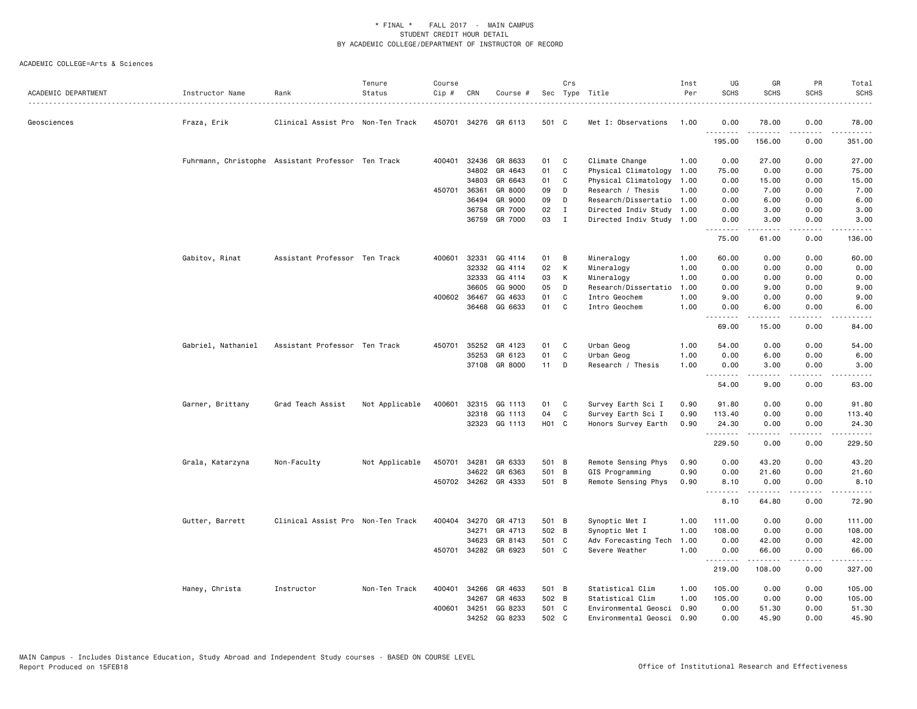| ACADEMIC DEPARTMENT | Instructor Name                                    | Rank                              | Tenure<br>Status | Course<br>$Cip$ # | CRN          | Course #             | Sec   | Crs          | Type Title                | Inst<br>Per | UG<br><b>SCHS</b>  | GR<br><b>SCHS</b>   | PR<br><b>SCHS</b> | Total<br>SCHS<br>$\frac{1}{2}$                                                                                                                               |
|---------------------|----------------------------------------------------|-----------------------------------|------------------|-------------------|--------------|----------------------|-------|--------------|---------------------------|-------------|--------------------|---------------------|-------------------|--------------------------------------------------------------------------------------------------------------------------------------------------------------|
| Geosciences         | Fraza, Erik                                        | Clinical Assist Pro Non-Ten Track |                  | 450701            |              | 34276 GR 6113        | 501 C |              | Met I: Observations       | 1.00        | 0.00<br>. <b>.</b> | 78.00               | 0.00<br>$\cdots$  | 78.00<br>.                                                                                                                                                   |
|                     |                                                    |                                   |                  |                   |              |                      |       |              |                           |             | 195.00             | 156.00              | 0.00              | 351.00                                                                                                                                                       |
|                     | Fuhrmann, Christophe Assistant Professor Ten Track |                                   |                  |                   |              | 400401 32436 GR 8633 | 01    | C            | Climate Change            | 1.00        | 0.00               | 27.00               | 0.00              | 27.00                                                                                                                                                        |
|                     |                                                    |                                   |                  |                   | 34802        | GR 4643              | 01    | C            | Physical Climatology      | 1.00        | 75.00              | 0.00                | 0.00              | 75.00                                                                                                                                                        |
|                     |                                                    |                                   |                  |                   | 34803        | GR 6643              | 01    | C            | Physical Climatology      | 1.00        | 0.00               | 15.00               | 0.00              | 15.00                                                                                                                                                        |
|                     |                                                    |                                   |                  |                   | 450701 36361 | GR 8000              | 09    | D            | Research / Thesis         | 1.00        | 0.00               | 7.00                | 0.00              | 7.00                                                                                                                                                         |
|                     |                                                    |                                   |                  |                   | 36494        | GR 9000              | 09    | D            | Research/Dissertatio 1.00 |             | 0.00               | 6.00                | 0.00              | 6.00                                                                                                                                                         |
|                     |                                                    |                                   |                  |                   | 36758        | GR 7000              | 02    | I            | Directed Indiv Study      | 1.00        | 0.00               | 3.00                | 0.00              | 3.00                                                                                                                                                         |
|                     |                                                    |                                   |                  |                   |              | 36759 GR 7000        | 03    | $\mathbf{I}$ | Directed Indiv Study 1.00 |             | 0.00<br>.          | 3,00<br><b>.</b>    | 0.00<br>.         | 3,00<br>.                                                                                                                                                    |
|                     |                                                    |                                   |                  |                   |              |                      |       |              |                           |             | 75.00              | 61.00               | 0.00              | 136.00                                                                                                                                                       |
|                     | Gabitov, Rinat                                     | Assistant Professor Ten Track     |                  | 400601            | 32331        | GG 4114              | 01    | В            | Mineralogy                | 1.00        | 60.00              | 0.00                | 0.00              | 60.00                                                                                                                                                        |
|                     |                                                    |                                   |                  |                   | 32332        | GG 4114              | 02    | K            | Mineralogy                | 1.00        | 0.00               | 0.00                | 0.00              | 0.00                                                                                                                                                         |
|                     |                                                    |                                   |                  |                   | 32333        | GG 4114              | 03    | К            | Mineralogy                | 1.00        | 0.00               | 0.00                | 0.00              | 0.00                                                                                                                                                         |
|                     |                                                    |                                   |                  |                   | 36605        | GG 9000              | 05    | D            | Research/Dissertatio      | 1.00        | 0.00               | 9.00                | 0.00              | 9.00                                                                                                                                                         |
|                     |                                                    |                                   |                  |                   | 400602 36467 | GG 4633              | 01    | C            | Intro Geochem             | 1.00        | 9.00               | 0.00                | 0.00              | 9.00                                                                                                                                                         |
|                     |                                                    |                                   |                  |                   |              | 36468 GG 6633        | 01    | C            | Intro Geochem             | 1.00        | 0.00<br>.          | 6.00<br><b>.</b>    | 0.00<br>د د د د   | 6.00<br>$\frac{1}{2}$                                                                                                                                        |
|                     |                                                    |                                   |                  |                   |              |                      |       |              |                           |             | 69.00              | 15.00               | 0.00              | 84.00                                                                                                                                                        |
|                     | Gabriel, Nathaniel                                 | Assistant Professor Ten Track     |                  | 450701            | 35252        | GR 4123              | 01    | C            | Urban Geog                | 1.00        | 54.00              | 0.00                | 0.00              | 54.00                                                                                                                                                        |
|                     |                                                    |                                   |                  |                   | 35253        | GR 6123              | 01    | C            | Urban Geog                | 1.00        | 0.00               | 6.00                | 0.00              | 6.00                                                                                                                                                         |
|                     |                                                    |                                   |                  |                   |              | 37108 GR 8000        | 11    | D            | Research / Thesis         | 1.00        | 0.00<br>.          | 3.00<br>.           | 0.00<br>لأعاما    | 3.00<br>$\frac{1}{2} \left( \frac{1}{2} \right) \left( \frac{1}{2} \right) \left( \frac{1}{2} \right) \left( \frac{1}{2} \right) \left( \frac{1}{2} \right)$ |
|                     |                                                    |                                   |                  |                   |              |                      |       |              |                           |             | 54.00              | 9.00                | 0.00              | 63.00                                                                                                                                                        |
|                     | Garner, Brittany                                   | Grad Teach Assist                 | Not Applicable   | 400601            |              | 32315 GG 1113        | 01    | C            | Survey Earth Sci I        | 0.90        | 91.80              | 0.00                | 0.00              | 91.80                                                                                                                                                        |
|                     |                                                    |                                   |                  |                   | 32318        | GG 1113              | 04    | C            | Survey Earth Sci I        | 0.90        | 113.40             | 0.00                | 0.00              | 113.40                                                                                                                                                       |
|                     |                                                    |                                   |                  |                   |              | 32323 GG 1113        | H01 C |              | Honors Survey Earth       | 0.90        | 24.30              | 0.00                | 0.00              | 24.30                                                                                                                                                        |
|                     |                                                    |                                   |                  |                   |              |                      |       |              |                           |             | .                  | .                   | .                 | .                                                                                                                                                            |
|                     |                                                    |                                   |                  |                   |              |                      |       |              |                           |             | 229.50             | 0.00                | 0.00              | 229.50                                                                                                                                                       |
|                     | Grala, Katarzyna                                   | Non-Faculty                       | Not Applicable   | 450701            | 34281        | GR 6333              | 501 B |              | Remote Sensing Phys       | 0.90        | 0.00               | 43.20               | 0.00              | 43.20                                                                                                                                                        |
|                     |                                                    |                                   |                  |                   | 34622        | GR 6363              | 501   | B            | GIS Programming           | 0.90        | 0.00               | 21.60               | 0.00              | 21.60                                                                                                                                                        |
|                     |                                                    |                                   |                  |                   |              | 450702 34262 GR 4333 | 501 B |              | Remote Sensing Phys       | 0.90        | 8.10<br>.          | 0.00<br>.           | 0.00<br>.         | 8.10<br>.                                                                                                                                                    |
|                     |                                                    |                                   |                  |                   |              |                      |       |              |                           |             | 8.10               | 64.80               | 0.00              | 72.90                                                                                                                                                        |
|                     | Gutter, Barrett                                    | Clinical Assist Pro Non-Ten Track |                  | 400404            |              | 34270 GR 4713        | 501 B |              | Synoptic Met I            | 1.00        | 111.00             | 0.00                | 0.00              | 111.00                                                                                                                                                       |
|                     |                                                    |                                   |                  |                   | 34271        | GR 4713              | 502 B |              | Synoptic Met I            | 1.00        | 108.00             | 0.00                | 0.00              | 108.00                                                                                                                                                       |
|                     |                                                    |                                   |                  |                   | 34623        | GR 8143              | 501 C |              | Adv Forecasting Tech      | 1.00        | 0.00               | 42.00               | 0.00              | 42.00                                                                                                                                                        |
|                     |                                                    |                                   |                  |                   |              | 450701 34282 GR 6923 | 501 C |              | Severe Weather            | 1.00        | 0.00<br>.          | 66.00<br>. <u>.</u> | 0.00<br>.         | 66.00<br>.                                                                                                                                                   |
|                     |                                                    |                                   |                  |                   |              |                      |       |              |                           |             | 219.00             | 108.00              | 0.00              | 327.00                                                                                                                                                       |
|                     | Haney, Christa                                     | Instructor                        | Non-Ten Track    | 400401            | 34266        | GR 4633              | 501 B |              | Statistical Clim          | 1.00        | 105.00             | 0.00                | 0.00              | 105.00                                                                                                                                                       |
|                     |                                                    |                                   |                  |                   | 34267        | GR 4633              | 502 B |              | Statistical Clim          | 1.00        | 105,00             | 0.00                | 0.00              | 105.00                                                                                                                                                       |
|                     |                                                    |                                   |                  | 400601            | 34251        | GG 8233              | 501 C |              | Environmental Geosci      | 0.90        | 0.00               | 51.30               | 0.00              | 51.30                                                                                                                                                        |
|                     |                                                    |                                   |                  |                   | 34252        | GG 8233              | 502   | C            | Environmental Geosci      | 0.90        | 0.00               | 45.90               | 0.00              | 45.90                                                                                                                                                        |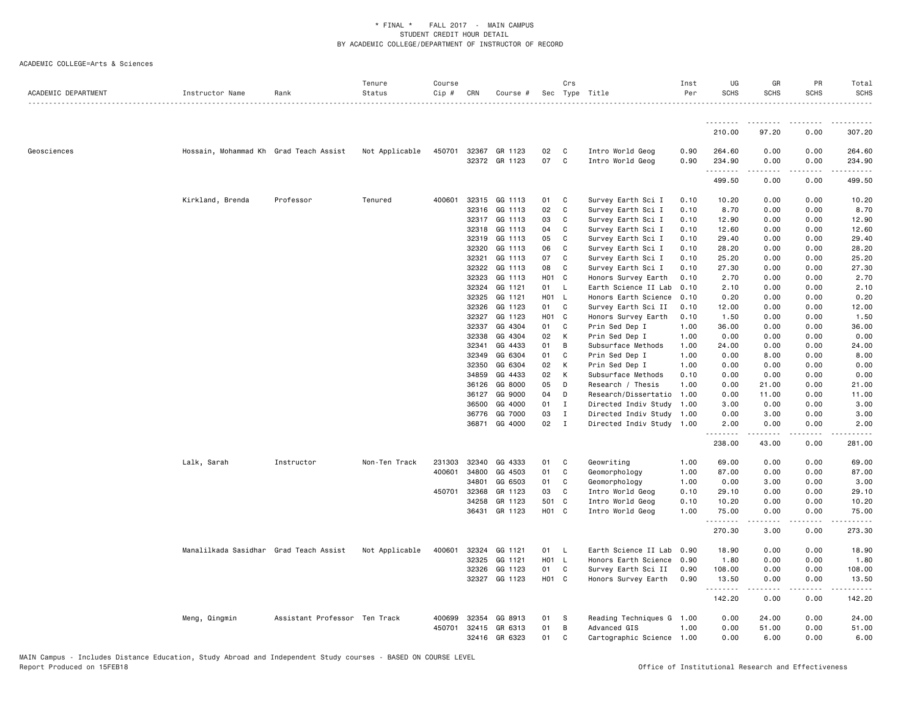| ACADEMIC DEPARTMENT | Instructor Name                        | Rank                          | Tenure<br>Status | Course<br>Cip # | CRN   | Course #                 |                   | Crs          | Sec Type Title                       | Inst<br>Per  | UG<br><b>SCHS</b>     | GR<br><b>SCHS</b> | PR<br><b>SCHS</b> | Total<br><b>SCHS</b>                                                                                                                                                     |
|---------------------|----------------------------------------|-------------------------------|------------------|-----------------|-------|--------------------------|-------------------|--------------|--------------------------------------|--------------|-----------------------|-------------------|-------------------|--------------------------------------------------------------------------------------------------------------------------------------------------------------------------|
|                     |                                        |                               |                  |                 |       |                          |                   |              |                                      |              | .                     | <b></b>           | <u>.</u>          | .                                                                                                                                                                        |
|                     |                                        |                               |                  |                 |       |                          |                   |              |                                      |              | 210.00                | 97.20             | 0.00              | 307.20                                                                                                                                                                   |
| Geosciences         | Hossain, Mohammad Kh Grad Teach Assist |                               | Not Applicable   | 450701          | 32367 | GR 1123<br>32372 GR 1123 | 02<br>07          | C<br>C       | Intro World Geog<br>Intro World Geog | 0.90<br>0.90 | 264.60<br>234.90<br>. | 0.00<br>0.00<br>. | 0.00<br>0.00<br>. | 264.60<br>234.90<br>$\frac{1}{2} \left( \frac{1}{2} \right) \left( \frac{1}{2} \right) \left( \frac{1}{2} \right) \left( \frac{1}{2} \right) \left( \frac{1}{2} \right)$ |
|                     |                                        |                               |                  |                 |       |                          |                   |              |                                      |              | 499.50                | 0.00              | 0.00              | 499.50                                                                                                                                                                   |
|                     | Kirkland, Brenda                       | Professor                     | Tenured          | 400601          |       | 32315 GG 1113            | 01                | C            | Survey Earth Sci I                   | 0.10         | 10.20                 | 0.00              | 0.00              | 10.20                                                                                                                                                                    |
|                     |                                        |                               |                  |                 | 32316 | GG 1113                  | 02                | C            | Survey Earth Sci I                   | 0.10         | 8.70                  | 0.00              | 0.00              | 8.70                                                                                                                                                                     |
|                     |                                        |                               |                  |                 | 32317 | GG 1113                  | 03                | C            | Survey Earth Sci I                   | 0.10         | 12.90                 | 0.00              | 0.00              | 12.90                                                                                                                                                                    |
|                     |                                        |                               |                  |                 | 32318 | GG 1113                  | 04                | C            | Survey Earth Sci I                   | 0.10         | 12.60                 | 0.00              | 0.00              | 12.60                                                                                                                                                                    |
|                     |                                        |                               |                  |                 | 32319 | GG 1113                  | 05                | C            | Survey Earth Sci I                   | 0.10         | 29.40                 | 0.00              | 0.00              | 29.40                                                                                                                                                                    |
|                     |                                        |                               |                  |                 | 32320 | GG 1113                  | 06                | C            | Survey Earth Sci I                   | 0.10         | 28.20                 | 0.00              | 0.00              | 28.20                                                                                                                                                                    |
|                     |                                        |                               |                  |                 | 32321 | GG 1113                  | 07                | C            | Survey Earth Sci I                   | 0.10         | 25.20                 | 0.00              | 0.00              | 25.20                                                                                                                                                                    |
|                     |                                        |                               |                  |                 | 32322 | GG 1113                  | 08                | C            | Survey Earth Sci I                   | 0.10         | 27.30                 | 0.00              | 0.00              | 27.30                                                                                                                                                                    |
|                     |                                        |                               |                  |                 | 32323 | GG 1113                  | H01 C             |              | Honors Survey Earth                  | 0.10         | 2.70                  | 0.00              | 0.00              | 2.70                                                                                                                                                                     |
|                     |                                        |                               |                  |                 | 32324 | GG 1121                  | 01                | L.           | Earth Science II Lab                 | 0.10         | 2.10                  | 0.00              | 0.00              | 2.10                                                                                                                                                                     |
|                     |                                        |                               |                  |                 | 32325 | GG 1121                  | H01 L             |              | Honors Earth Science                 | 0.10         | 0.20                  | 0.00              | 0.00              | 0.20                                                                                                                                                                     |
|                     |                                        |                               |                  |                 | 32326 | GG 1123                  | 01                | C            | Survey Earth Sci II                  | 0.10         | 12.00                 | 0.00              | 0.00              | 12.00                                                                                                                                                                    |
|                     |                                        |                               |                  |                 | 32327 | GG 1123                  | H01 C             |              | Honors Survey Earth                  | 0.10         | 1.50                  | 0.00              | 0.00              | 1.50                                                                                                                                                                     |
|                     |                                        |                               |                  |                 | 32337 | GG 4304                  | 01                | C            | Prin Sed Dep I                       | 1.00         | 36.00                 | 0.00              | 0.00              | 36.00                                                                                                                                                                    |
|                     |                                        |                               |                  |                 | 32338 | GG 4304                  | 02                | К            | Prin Sed Dep I                       | 1.00         | 0.00                  | 0.00              | 0.00              | 0.00                                                                                                                                                                     |
|                     |                                        |                               |                  |                 | 32341 | GG 4433                  | 01                | B            | Subsurface Methods                   | 1.00         | 24.00                 | 0.00              | 0.00              | 24.00                                                                                                                                                                    |
|                     |                                        |                               |                  |                 | 32349 | GG 6304                  | 01                | C            | Prin Sed Dep I                       | 1.00         | 0.00                  | 8.00              | 0.00              | 8.00                                                                                                                                                                     |
|                     |                                        |                               |                  |                 | 32350 | GG 6304                  | 02                | К            | Prin Sed Dep I                       | 1.00         | 0.00                  | 0.00              | 0.00              | 0.00                                                                                                                                                                     |
|                     |                                        |                               |                  |                 | 34859 | GG 4433                  | 02                | К            | Subsurface Methods                   | 0.10         | 0.00                  | 0.00              | 0.00              | 0.00                                                                                                                                                                     |
|                     |                                        |                               |                  |                 | 36126 | GG 8000                  | 05                | D            | Research / Thesis                    | 1.00         | 0.00                  | 21.00             | 0.00              | 21.00                                                                                                                                                                    |
|                     |                                        |                               |                  |                 | 36127 | GG 9000                  | 04                | D            | Research/Dissertatio                 | 1.00         | 0.00                  | 11.00             | 0.00              | 11.00                                                                                                                                                                    |
|                     |                                        |                               |                  |                 | 36500 | GG 4000                  | 01                | $\mathbf I$  | Directed Indiv Study                 | 1.00         | 3.00                  | 0.00              | 0.00              | 3.00                                                                                                                                                                     |
|                     |                                        |                               |                  |                 | 36776 | GG 7000                  | 03                | $\mathbf{I}$ | Directed Indiv Study 1.00            |              | 0.00                  | 3.00              | 0.00              | 3.00                                                                                                                                                                     |
|                     |                                        |                               |                  |                 | 36871 | GG 4000                  | 02                | $\mathbf{I}$ | Directed Indiv Study 1.00            |              | 2.00                  | 0.00              | 0.00              | 2.00                                                                                                                                                                     |
|                     |                                        |                               |                  |                 |       |                          |                   |              |                                      |              | 238.00                | 43.00             | 0.00              | 281.00                                                                                                                                                                   |
|                     | Lalk, Sarah                            | Instructor                    | Non-Ten Track    | 231303          | 32340 | GG 4333                  | 01                | C            | Geowriting                           | 1.00         | 69.00                 | 0.00              | 0.00              | 69.00                                                                                                                                                                    |
|                     |                                        |                               |                  | 400601          | 34800 | GG 4503                  | 01                | C            | Geomorphology                        | 1.00         | 87.00                 | 0.00              | 0.00              | 87.00                                                                                                                                                                    |
|                     |                                        |                               |                  |                 | 34801 | GG 6503                  | 01                | C            | Geomorphology                        | 1.00         | 0.00                  | 3.00              | 0.00              | 3.00                                                                                                                                                                     |
|                     |                                        |                               |                  | 450701          | 32368 | GR 1123                  | 03                | C            | Intro World Geog                     | 0.10         | 29.10                 | 0.00              | 0.00              | 29.10                                                                                                                                                                    |
|                     |                                        |                               |                  |                 | 34258 | GR 1123                  | 501               | C            | Intro World Geog                     | 0.10         | 10.20                 | 0.00              | 0.00              | 10.20                                                                                                                                                                    |
|                     |                                        |                               |                  |                 | 36431 | GR 1123                  | H01 C             |              | Intro World Geog                     | 1.00         | 75.00<br>.            | 0.00<br>.         | 0.00<br>.         | 75.00<br>.                                                                                                                                                               |
|                     |                                        |                               |                  |                 |       |                          |                   |              |                                      |              | 270.30                | 3.00              | 0.00              | 273.30                                                                                                                                                                   |
|                     | Manalilkada Sasidhar Grad Teach Assist |                               | Not Applicable   | 400601          | 32324 | GG 1121                  | 01                | L.           | Earth Science II Lab 0.90            |              | 18.90                 | 0.00              | 0.00              | 18.90                                                                                                                                                                    |
|                     |                                        |                               |                  |                 | 32325 | GG 1121                  | H01 L             |              | Honors Earth Science 0.90            |              | 1.80                  | 0.00              | 0.00              | 1.80                                                                                                                                                                     |
|                     |                                        |                               |                  |                 | 32326 | GG 1123                  | 01                | C            | Survey Earth Sci II                  | 0.90         | 108.00                | 0.00              | 0.00              | 108.00                                                                                                                                                                   |
|                     |                                        |                               |                  |                 | 32327 | GG 1123                  | H <sub>01</sub> C |              | Honors Survey Earth                  | 0.90         | 13.50                 | 0.00              | 0.00              | 13.50                                                                                                                                                                    |
|                     |                                        |                               |                  |                 |       |                          |                   |              |                                      |              | .<br>142.20           | د د د د د<br>0.00 | .<br>0.00         | ------<br>142.20                                                                                                                                                         |
|                     | Meng, Qingmin                          | Assistant Professor Ten Track |                  | 400699          | 32354 | GG 8913                  | 01                | S            | Reading Techniques G                 | 1.00         | 0.00                  | 24.00             | 0.00              | 24.00                                                                                                                                                                    |
|                     |                                        |                               |                  | 450701          |       | 32415 GR 6313            | 01                | B            | Advanced GIS                         | 1.00         | 0.00                  | 51.00             | 0.00              | 51.00                                                                                                                                                                    |
|                     |                                        |                               |                  |                 |       | 32416 GR 6323            | 01                | $\mathbf{C}$ | Cartographic Science 1.00            |              | 0.00                  | 6.00              | 0.00              | 6.00                                                                                                                                                                     |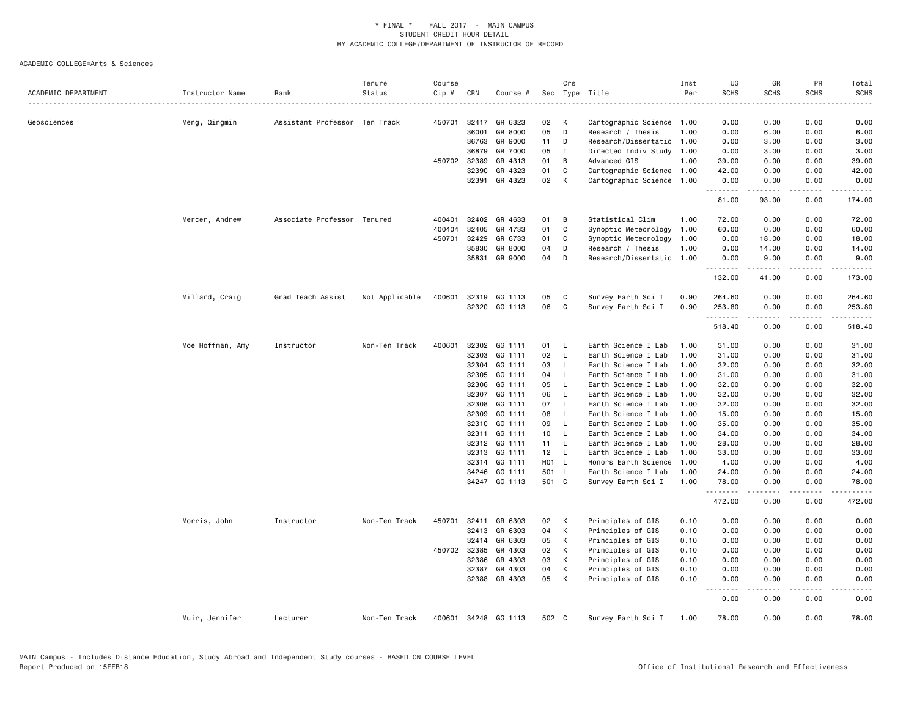| ACADEMIC DEPARTMENT | Instructor Name  | Rank                          | Tenure<br>Status | Course<br>Cip # | CRN   | Course #      |                 | Crs          | Sec Type Title            | Inst<br>Per | UG<br><b>SCHS</b><br>$\frac{1}{2} \left( \frac{1}{2} \right) \left( \frac{1}{2} \right) \left( \frac{1}{2} \right) \left( \frac{1}{2} \right)$ | GR<br><b>SCHS</b>    | PR<br><b>SCHS</b>                   | Total<br><b>SCHS</b><br>$- - - -$                                                                                                                              |
|---------------------|------------------|-------------------------------|------------------|-----------------|-------|---------------|-----------------|--------------|---------------------------|-------------|------------------------------------------------------------------------------------------------------------------------------------------------|----------------------|-------------------------------------|----------------------------------------------------------------------------------------------------------------------------------------------------------------|
| Geosciences         |                  | Assistant Professor Ten Track |                  | 450701          | 32417 | GR 6323       | 02              | к            | Cartographic Science      | 1.00        | 0.00                                                                                                                                           | 0.00                 | 0.00                                | 0.00                                                                                                                                                           |
|                     | Meng, Qingmin    |                               |                  |                 | 36001 | GR 8000       | 05              | D            | Research / Thesis         | 1.00        | 0.00                                                                                                                                           | 6.00                 | 0.00                                | 6.00                                                                                                                                                           |
|                     |                  |                               |                  |                 | 36763 | GR 9000       | 11              | D            | Research/Dissertatio      | 1.00        | 0.00                                                                                                                                           | 3.00                 | 0.00                                | 3.00                                                                                                                                                           |
|                     |                  |                               |                  |                 | 36879 | GR 7000       | 05              | $\mathbf I$  | Directed Indiv Study 1.00 |             | 0.00                                                                                                                                           | 3.00                 | 0.00                                | 3.00                                                                                                                                                           |
|                     |                  |                               |                  | 450702 32389    |       | GR 4313       | 01              | B            | Advanced GIS              | 1.00        | 39.00                                                                                                                                          | 0.00                 | 0.00                                | 39.00                                                                                                                                                          |
|                     |                  |                               |                  |                 | 32390 | GR 4323       | 01              | C            | Cartographic Science 1.00 |             | 42.00                                                                                                                                          | 0.00                 | 0.00                                | 42.00                                                                                                                                                          |
|                     |                  |                               |                  |                 | 32391 | GR 4323       | 02              | K            | Cartographic Science      | 1.00        | 0.00                                                                                                                                           | 0.00                 | 0.00                                | 0.00                                                                                                                                                           |
|                     |                  |                               |                  |                 |       |               |                 |              |                           |             | .<br>81.00                                                                                                                                     | -----<br>93.00       | 0.00                                | .<br>174.00                                                                                                                                                    |
|                     | Mercer, Andrew   | Associate Professor Tenured   |                  | 400401          | 32402 | GR 4633       | 01              | B            | Statistical Clim          | 1.00        | 72.00                                                                                                                                          | 0.00                 | 0.00                                | 72.00                                                                                                                                                          |
|                     |                  |                               |                  | 400404          | 32405 | GR 4733       | 01              | $\mathtt{C}$ | Synoptic Meteorology      | 1.00        | 60.00                                                                                                                                          | 0.00                 | 0.00                                | 60.00                                                                                                                                                          |
|                     |                  |                               |                  | 450701          | 32429 | GR 6733       | 01              | C            | Synoptic Meteorology      | 1.00        | 0.00                                                                                                                                           | 18.00                | 0.00                                | 18.00                                                                                                                                                          |
|                     |                  |                               |                  |                 | 35830 | GR 8000       | 04              | D            | Research / Thesis         | 1.00        | 0.00                                                                                                                                           | 14.00                | 0.00                                | 14.00                                                                                                                                                          |
|                     |                  |                               |                  |                 | 35831 | GR 9000       | 04              | D            | Research/Dissertatio      | 1.00        | 0.00                                                                                                                                           | 9.00                 | 0.00                                | 9.00                                                                                                                                                           |
|                     |                  |                               |                  |                 |       |               |                 |              |                           |             | .<br>132.00                                                                                                                                    | $- - - - -$<br>41.00 | لأعامل<br>0.00                      | .<br>173.00                                                                                                                                                    |
|                     | Millard, Craig   | Grad Teach Assist             | Not Applicable   | 400601          | 32319 | GG 1113       | 05              | C            | Survey Earth Sci I        | 0.90        | 264.60                                                                                                                                         | 0.00                 | 0.00                                | 264.60                                                                                                                                                         |
|                     |                  |                               |                  |                 |       | 32320 GG 1113 | 06              | C            | Survey Earth Sci I        | 0.90        | 253.80                                                                                                                                         | 0.00                 | 0.00                                | 253.80                                                                                                                                                         |
|                     |                  |                               |                  |                 |       |               |                 |              |                           |             | .<br>518.40                                                                                                                                    | .<br>0.00            | لأعامل<br>0.00                      | $\frac{1}{2} \left( \frac{1}{2} \right) \left( \frac{1}{2} \right) \left( \frac{1}{2} \right) \left( \frac{1}{2} \right) \left( \frac{1}{2} \right)$<br>518.40 |
|                     | Moe Hoffman, Amy | Instructor                    | Non-Ten Track    | 400601          | 32302 | GG 1111       | 01              | - L          | Earth Science I Lab       | 1.00        | 31.00                                                                                                                                          | 0.00                 | 0.00                                | 31.00                                                                                                                                                          |
|                     |                  |                               |                  |                 | 32303 | GG 1111       | 02              | - L          | Earth Science I Lab       | 1.00        | 31.00                                                                                                                                          | 0.00                 | 0.00                                | 31.00                                                                                                                                                          |
|                     |                  |                               |                  |                 | 32304 | GG 1111       | 03              | L            | Earth Science I Lab       | 1.00        | 32.00                                                                                                                                          | 0.00                 | 0.00                                | 32.00                                                                                                                                                          |
|                     |                  |                               |                  |                 | 32305 | GG 1111       | 04              | $\mathsf{L}$ | Earth Science I Lab       | 1.00        | 31.00                                                                                                                                          | 0.00                 | 0.00                                | 31.00                                                                                                                                                          |
|                     |                  |                               |                  |                 | 32306 | GG 1111       | 05              | - L          | Earth Science I Lab       | 1.00        | 32.00                                                                                                                                          | 0.00                 | 0.00                                | 32.00                                                                                                                                                          |
|                     |                  |                               |                  |                 | 32307 | GG 1111       | 06              | L            | Earth Science I Lab       | 1.00        | 32.00                                                                                                                                          | 0.00                 | 0.00                                | 32.00                                                                                                                                                          |
|                     |                  |                               |                  |                 | 32308 | GG 1111       | 07              | <b>L</b>     | Earth Science I Lab       | 1.00        | 32.00                                                                                                                                          | 0.00                 | 0.00                                | 32.00                                                                                                                                                          |
|                     |                  |                               |                  |                 | 32309 | GG 1111       | 08              | - L          | Earth Science I Lab       | 1.00        | 15.00                                                                                                                                          | 0.00                 | 0.00                                | 15.00                                                                                                                                                          |
|                     |                  |                               |                  |                 | 32310 | GG 1111       | 09              | L            | Earth Science I Lab       | 1.00        | 35.00                                                                                                                                          | 0.00                 | 0.00                                | 35.00                                                                                                                                                          |
|                     |                  |                               |                  |                 | 32311 | GG 1111       | 10 <sub>1</sub> | $\mathsf{L}$ | Earth Science I Lab       | 1.00        | 34.00                                                                                                                                          | 0.00                 | 0.00                                | 34.00                                                                                                                                                          |
|                     |                  |                               |                  |                 | 32312 | GG 1111       | 11              | - L          | Earth Science I Lab       | 1.00        | 28.00                                                                                                                                          | 0.00                 | 0.00                                | 28.00                                                                                                                                                          |
|                     |                  |                               |                  |                 | 32313 | GG 1111       | 12              | $\mathsf{L}$ | Earth Science I Lab       | 1.00        | 33.00                                                                                                                                          | 0.00                 | 0.00                                | 33.00                                                                                                                                                          |
|                     |                  |                               |                  |                 | 32314 | GG 1111       | H01 L           |              | Honors Earth Science      | 1.00        | 4.00                                                                                                                                           | 0.00                 | 0.00                                | 4.00                                                                                                                                                           |
|                     |                  |                               |                  |                 | 34246 | GG 1111       | 501 L           |              | Earth Science I Lab       | 1.00        | 24.00                                                                                                                                          | 0.00                 | 0.00                                | 24.00                                                                                                                                                          |
|                     |                  |                               |                  |                 |       | 34247 GG 1113 | 501 C           |              | Survey Earth Sci I        | 1.00        | 78.00                                                                                                                                          | 0.00                 | 0.00                                | 78.00                                                                                                                                                          |
|                     |                  |                               |                  |                 |       |               |                 |              |                           |             | .<br>472.00                                                                                                                                    | 0.00                 | $\sim$ $\sim$ $\sim$ $\sim$<br>0.00 | 472.00                                                                                                                                                         |
|                     | Morris, John     | Instructor                    | Non-Ten Track    | 450701          | 32411 | GR 6303       | 02              | К            | Principles of GIS         | 0.10        | 0.00                                                                                                                                           | 0.00                 | 0.00                                | 0.00                                                                                                                                                           |
|                     |                  |                               |                  |                 | 32413 | GR 6303       | 04              | К            | Principles of GIS         | 0.10        | 0.00                                                                                                                                           | 0.00                 | 0.00                                | 0.00                                                                                                                                                           |
|                     |                  |                               |                  |                 | 32414 | GR 6303       | 05              | К            | Principles of GIS         | 0.10        | 0.00                                                                                                                                           | 0.00                 | 0.00                                | 0.00                                                                                                                                                           |
|                     |                  |                               |                  | 450702 32385    |       | GR 4303       | 02              | К            | Principles of GIS         | 0.10        | 0.00                                                                                                                                           | 0.00                 | 0.00                                | 0.00                                                                                                                                                           |
|                     |                  |                               |                  |                 | 32386 | GR 4303       | 03              | К            | Principles of GIS         | 0.10        | 0.00                                                                                                                                           | 0.00                 | 0.00                                | 0.00                                                                                                                                                           |
|                     |                  |                               |                  |                 | 32387 | GR 4303       | 04              | К            | Principles of GIS         | 0.10        | 0.00                                                                                                                                           | 0.00                 | 0.00                                | 0.00                                                                                                                                                           |
|                     |                  |                               |                  |                 |       | 32388 GR 4303 | 05              | К            | Principles of GIS         | 0.10        | 0.00<br>.                                                                                                                                      | 0.00<br>.            | 0.00<br>لأعامل                      | 0.00<br>.                                                                                                                                                      |
|                     |                  |                               |                  |                 |       |               |                 |              |                           |             | 0.00                                                                                                                                           | 0.00                 | 0.00                                | 0.00                                                                                                                                                           |
|                     | Muir, Jennifer   | Lecturer                      | Non-Ten Track    | 400601          |       | 34248 GG 1113 | 502 C           |              | Survey Earth Sci I        | 1.00        | 78.00                                                                                                                                          | 0.00                 | 0.00                                | 78.00                                                                                                                                                          |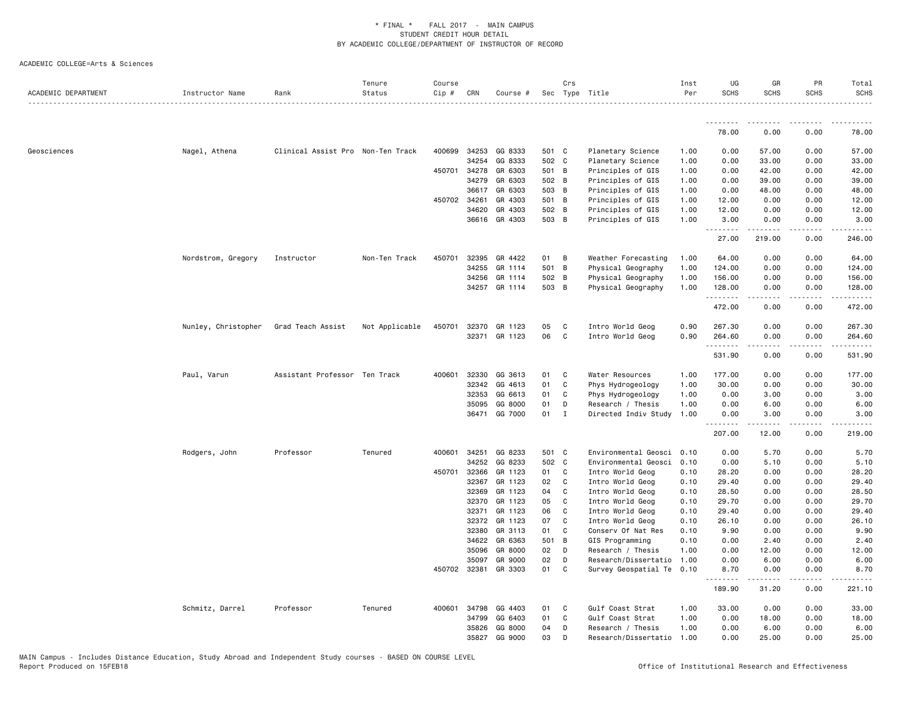| ACADEMIC DEPARTMENT | Instructor Name     | Rank                              | Tenure<br>Status | Course<br>$Cip$ # | CRN            | Course #           |          | Crs            | Sec Type Title                         | Inst<br>Per  | UG<br><b>SCHS</b>    | GR<br><b>SCHS</b>    | PR<br><b>SCHS</b> | Total<br><b>SCHS</b> |
|---------------------|---------------------|-----------------------------------|------------------|-------------------|----------------|--------------------|----------|----------------|----------------------------------------|--------------|----------------------|----------------------|-------------------|----------------------|
|                     |                     |                                   |                  |                   |                |                    |          |                |                                        |              | <u>.</u>             |                      |                   |                      |
|                     |                     |                                   |                  |                   |                |                    |          |                |                                        |              | 78.00                | 0.00                 | 0.00              | 78.00                |
| Geosciences         | Nagel, Athena       | Clinical Assist Pro Non-Ten Track |                  | 400699            | 34253          | GG 8333            | 501 C    |                | Planetary Science                      | 1.00         | 0.00                 | 57.00                | 0.00              | 57.00                |
|                     |                     |                                   |                  |                   | 34254          | GG 8333            | 502 C    |                | Planetary Science                      | 1.00         | 0.00                 | 33.00                | 0.00              | 33.00                |
|                     |                     |                                   |                  |                   | 450701 34278   | GR 6303            | 501 B    |                | Principles of GIS                      | 1.00         | 0.00                 | 42.00                | 0.00              | 42.00                |
|                     |                     |                                   |                  |                   | 34279          | GR 6303            | 502 B    |                | Principles of GIS                      | 1.00         | 0.00                 | 39.00                | 0.00              | 39.00                |
|                     |                     |                                   |                  |                   | 36617          | GR 6303            | 503 B    |                | Principles of GIS                      | 1.00         | 0.00                 | 48.00                | 0.00              | 48.00                |
|                     |                     |                                   |                  | 450702 34261      |                | GR 4303            | 501 B    |                | Principles of GIS                      | 1.00         | 12.00                | 0.00                 | 0.00              | 12.00                |
|                     |                     |                                   |                  |                   | 34620          | GR 4303            | 502 B    |                | Principles of GIS                      | 1.00         | 12.00                | 0.00                 | 0.00              | 12.00                |
|                     |                     |                                   |                  |                   |                | 36616 GR 4303      | 503 B    |                | Principles of GIS                      | 1.00         | 3.00<br>.            | 0.00                 | 0.00<br>.         | 3.00<br>. <u>.</u>   |
|                     |                     |                                   |                  |                   |                |                    |          |                |                                        |              | 27.00                | 219.00               | 0.00              | 246.00               |
|                     | Nordstrom, Gregory  | Instructor                        | Non-Ten Track    | 450701            | 32395          | GR 4422            | 01       | $\overline{B}$ | Weather Forecasting                    | 1.00         | 64.00                | 0.00                 | 0.00              | 64.00                |
|                     |                     |                                   |                  |                   | 34255          | GR 1114            | 501 B    |                | Physical Geography                     | 1.00         | 124.00               | 0.00                 | 0.00              | 124.00               |
|                     |                     |                                   |                  |                   | 34256          | GR 1114            | 502 B    |                | Physical Geography                     | 1.00         | 156.00               | 0.00                 | 0.00              | 156.00               |
|                     |                     |                                   |                  |                   | 34257          | GR 1114            | 503 B    |                | Physical Geography                     | 1.00         | 128.00<br>.          | 0.00                 | 0.00              | 128.00<br>.          |
|                     |                     |                                   |                  |                   |                |                    |          |                |                                        |              | 472.00               | 0.00                 | 0.00              | 472.00               |
|                     | Nunley, Christopher | Grad Teach Assist                 | Not Applicable   |                   | 450701 32370   | GR 1123            | 05       | C              | Intro World Geog                       | 0.90         | 267.30               | 0.00                 | 0.00              | 267.30               |
|                     |                     |                                   |                  |                   |                | 32371 GR 1123      | 06       | $\mathbf{C}$   | Intro World Geog                       | 0.90         | 264.60<br>.          | 0.00<br>.            | 0.00<br>.         | 264.60<br>.          |
|                     |                     |                                   |                  |                   |                |                    |          |                |                                        |              | 531.90               | 0.00                 | 0.00              | 531.90               |
|                     | Paul, Varun         | Assistant Professor Ten Track     |                  |                   | 400601 32330   | GG 3613            | 01       | $\mathbf{C}$   | Water Resources                        | 1.00         | 177.00               | 0.00                 | 0.00              | 177.00               |
|                     |                     |                                   |                  |                   | 32342          | GG 4613            | 01       | C              | Phys Hydrogeology                      | 1.00         | 30.00                | 0.00                 | 0.00              | 30.00                |
|                     |                     |                                   |                  |                   | 32353          | GG 6613            | 01       | C              | Phys Hydrogeology                      | 1.00         | 0.00                 | 3.00                 | 0.00              | 3.00                 |
|                     |                     |                                   |                  |                   | 35095          | GG 8000            | 01       | D              | Research / Thesis                      | 1.00         | 0.00                 | 6.00                 | 0.00              | 6.00                 |
|                     |                     |                                   |                  |                   | 36471          | GG 7000            | 01       | $\mathbf{I}$   | Directed Indiv Study                   | 1.00         | 0.00                 | 3.00<br>المتمامين    | 0.00<br>.         | 3.00<br>. <u>.</u>   |
|                     |                     |                                   |                  |                   |                |                    |          |                |                                        |              | 207.00               | 12.00                | 0.00              | 219.00               |
|                     | Rodgers, John       | Professor                         | Tenured          | 400601            | 34251          | GG 8233            | 501 C    |                | Environmental Geosci                   | 0.10         | 0.00                 | 5.70                 | 0.00              | 5.70                 |
|                     |                     |                                   |                  |                   | 34252          | GG 8233            | 502 C    |                | Environmental Geosci                   | 0.10         | 0.00                 | 5.10                 | 0.00              | 5.10                 |
|                     |                     |                                   |                  | 450701            | 32366          | GR 1123            | 01       | $\mathbf{C}$   | Intro World Geog                       | 0.10         | 28.20                | 0.00                 | 0.00              | 28.20                |
|                     |                     |                                   |                  |                   | 32367          | GR 1123            | 02       | $\mathbf{C}$   | Intro World Geog                       | 0.10         | 29.40                | 0.00                 | 0.00              | 29.40                |
|                     |                     |                                   |                  |                   | 32369          | GR 1123            | 04       | C.             | Intro World Geog                       | 0.10         | 28.50                | 0.00                 | 0.00              | 28.50                |
|                     |                     |                                   |                  |                   | 32370          | GR 1123            | 05       | C.<br>C.       | Intro World Geog                       | 0.10         | 29.70                | 0.00                 | 0.00              | 29.70                |
|                     |                     |                                   |                  |                   | 32371<br>32372 | GR 1123<br>GR 1123 | 06<br>07 | $\mathbf{C}$   | Intro World Geog                       | 0.10         | 29.40                | 0.00<br>0.00         | 0.00<br>0.00      | 29.40<br>26.10       |
|                     |                     |                                   |                  |                   | 32380          | GR 3113            | 01       | C              | Intro World Geog<br>Conserv Of Nat Res | 0.10<br>0.10 | 26.10<br>9.90        | 0.00                 | 0.00              | 9.90                 |
|                     |                     |                                   |                  |                   | 34622          | GR 6363            | 501 B    |                | GIS Programming                        | 0.10         | 0.00                 | 2.40                 | 0.00              | 2.40                 |
|                     |                     |                                   |                  |                   | 35096          | GR 8000            | 02       | $\mathsf{D}$   | Research / Thesis                      | 1.00         | 0.00                 | 12.00                | 0.00              | 12.00                |
|                     |                     |                                   |                  |                   | 35097          | GR 9000            | 02       | D              | Research/Dissertatio                   | 1.00         | 0.00                 | 6.00                 | 0.00              | 6.00                 |
|                     |                     |                                   |                  |                   | 450702 32381   | GR 3303            | 01       | C              | Survey Geospatial Te 0.10              |              | 8.70                 | 0.00                 | 0.00              | 8.70                 |
|                     |                     |                                   |                  |                   |                |                    |          |                |                                        |              | . <b>.</b><br>189.90 | $- - - - -$<br>31.20 | .<br>0.00         | 221.10               |
|                     | Schmitz, Darrel     | Professor                         | Tenured          |                   | 400601 34798   | GG 4403            | 01       | $\mathbf{C}$   | Gulf Coast Strat                       | 1.00         | 33.00                | 0.00                 | 0.00              | 33.00                |
|                     |                     |                                   |                  |                   | 34799          | GG 6403            | 01       | C              | Gulf Coast Strat                       | 1.00         | 0.00                 | 18.00                | 0.00              | 18.00                |
|                     |                     |                                   |                  |                   | 35826          | GG 8000            | 04       | D              | Research / Thesis                      | 1.00         | 0.00                 | 6.00                 | 0.00              | 6.00                 |
|                     |                     |                                   |                  |                   | 35827          | GG 9000            | 03       | D              | Research/Dissertatio                   | 1.00         | 0.00                 | 25.00                | 0.00              | 25.00                |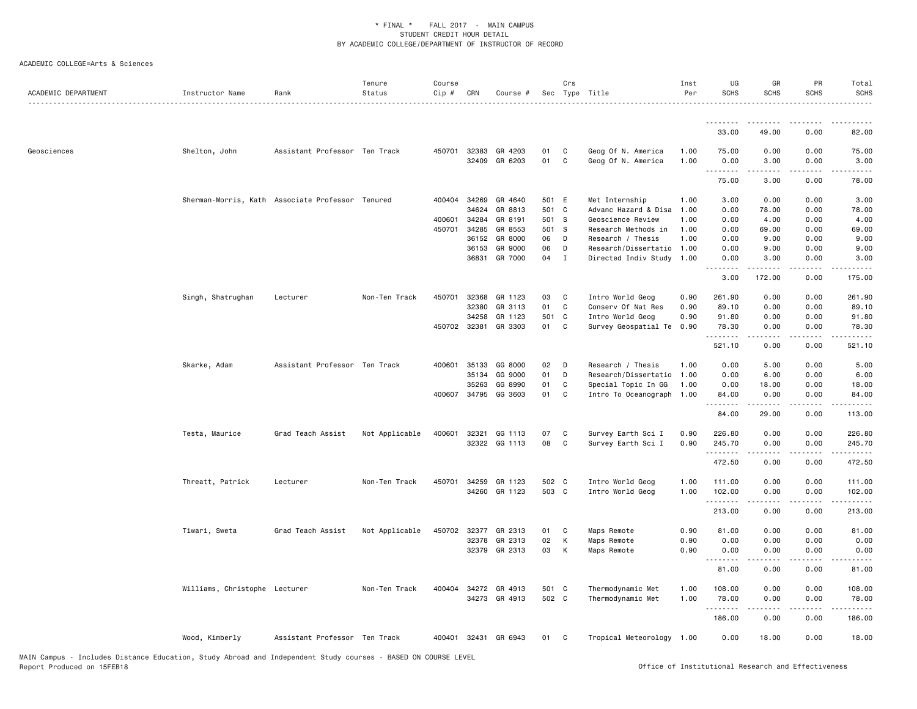| ACADEMIC DEPARTMENT | Instructor Name                                  | Rank                          | Tenure<br>Status | Course<br>$Cip$ # | CRN                   | Course #             |          | Crs               | Sec Type Title                                         | Inst<br>Per  | UG<br><b>SCHS</b>  | GR<br><b>SCHS</b>                                                                                                                 | PR<br><b>SCHS</b> | Total<br><b>SCHS</b> |
|---------------------|--------------------------------------------------|-------------------------------|------------------|-------------------|-----------------------|----------------------|----------|-------------------|--------------------------------------------------------|--------------|--------------------|-----------------------------------------------------------------------------------------------------------------------------------|-------------------|----------------------|
|                     |                                                  |                               |                  |                   |                       |                      |          |                   |                                                        |              | <u>.</u>           |                                                                                                                                   |                   |                      |
|                     |                                                  |                               |                  |                   |                       |                      |          |                   |                                                        |              | 33.00              | 49.00                                                                                                                             | 0.00              | 82.00                |
| Geosciences         | Shelton, John                                    | Assistant Professor Ten Track |                  |                   | 450701 32383<br>32409 | GR 4203<br>GR 6203   | 01<br>01 | C.<br>C           | Geog Of N. America<br>Geog Of N. America               | 1.00<br>1.00 | 75.00<br>0.00<br>. | 0.00<br>3.00                                                                                                                      | 0.00<br>0.00      | 75.00<br>3.00        |
|                     |                                                  |                               |                  |                   |                       |                      |          |                   |                                                        |              | 75.00              | 3.00                                                                                                                              | 0.00              | 78.00                |
|                     | Sherman-Morris, Kath Associate Professor Tenured |                               |                  |                   | 400404 34269          | GR 4640              | 501 E    |                   | Met Internship                                         | 1.00         | 3.00               | 0.00                                                                                                                              | 0.00              | 3.00                 |
|                     |                                                  |                               |                  |                   | 34624                 | GR 8813              | 501 C    |                   | Advanc Hazard & Disa                                   | 1.00         | 0.00               | 78.00                                                                                                                             | 0.00              | 78.00                |
|                     |                                                  |                               |                  | 400601 34284      |                       | GR 8191              | 501 S    |                   | Geoscience Review                                      | 1.00         | 0.00               | 4.00                                                                                                                              | 0.00              | 4.00                 |
|                     |                                                  |                               |                  |                   | 450701 34285          | GR 8553              | 501 S    |                   | Research Methods in                                    | 1.00         | 0.00               | 69.00                                                                                                                             | 0.00              | 69.00                |
|                     |                                                  |                               |                  |                   | 36152                 | GR 8000              | 06       | D                 | Research / Thesis                                      | 1.00         | 0.00               | 9.00                                                                                                                              | 0.00              | 9.00                 |
|                     |                                                  |                               |                  |                   | 36153<br>36831        | GR 9000<br>GR 7000   | 06<br>04 | D<br>$\mathbf{I}$ | Research/Dissertatio 1.00<br>Directed Indiv Study 1.00 |              | 0.00<br>0.00       | 9.00<br>3.00                                                                                                                      | 0.00<br>0.00      | 9.00<br>3.00         |
|                     |                                                  |                               |                  |                   |                       |                      |          |                   |                                                        |              | 3.00               | . <b>.</b><br>172.00                                                                                                              | .<br>0.00         | .<br>175.00          |
|                     | Singh, Shatrughan                                | Lecturer                      | Non-Ten Track    | 450701            | 32368                 | GR 1123              | 03       | C                 | Intro World Geog                                       | 0.90         | 261.90             | 0.00                                                                                                                              | 0.00              | 261.90               |
|                     |                                                  |                               |                  |                   | 32380                 | GR 3113              | 01       | C                 | Conserv Of Nat Res                                     | 0.90         | 89.10              | 0.00                                                                                                                              | 0.00              | 89.10                |
|                     |                                                  |                               |                  |                   | 34258                 | GR 1123              | 501 C    |                   | Intro World Geog                                       | 0.90         | 91.80              | 0.00                                                                                                                              | 0.00              | 91.80                |
|                     |                                                  |                               |                  |                   | 450702 32381          | GR 3303              | 01 C     |                   | Survey Geospatial Te 0.90                              |              | 78.30<br><u>.</u>  | 0.00<br><b>.</b>                                                                                                                  | 0.00<br>.         | 78.30<br><u>.</u>    |
|                     |                                                  |                               |                  |                   |                       |                      |          |                   |                                                        |              | 521.10             | 0.00                                                                                                                              | 0.00              | 521.10               |
|                     | Skarke, Adam                                     | Assistant Professor Ten Track |                  |                   | 400601 35133          | GG 8000              | 02       | D                 | Research / Thesis                                      | 1.00         | 0.00               | 5.00                                                                                                                              | 0.00              | 5.00                 |
|                     |                                                  |                               |                  |                   | 35134                 | GG 9000              | 01       | D                 | Research/Dissertatio 1.00                              |              | 0.00               | 6.00                                                                                                                              | 0.00              | 6.00                 |
|                     |                                                  |                               |                  |                   | 35263                 | GG 8990              | 01       | C                 | Special Topic In GG                                    | 1.00         | 0.00               | 18.00                                                                                                                             | 0.00              | 18.00                |
|                     |                                                  |                               |                  |                   |                       | 400607 34795 GG 3603 | 01       | C                 | Intro To Oceanograph 1.00                              |              | 84.00              | 0.00                                                                                                                              | 0.00              | 84.00                |
|                     |                                                  |                               |                  |                   |                       |                      |          |                   |                                                        |              | 84.00              | 29.00                                                                                                                             | 0.00              | 113.00               |
|                     | Testa, Maurice                                   | Grad Teach Assist             | Not Applicable   | 400601            | 32321                 | GG 1113              | 07       | C                 | Survey Earth Sci I                                     | 0.90         | 226.80             | 0.00                                                                                                                              | 0.00              | 226.80               |
|                     |                                                  |                               |                  |                   |                       | 32322 GG 1113        | 08       | C                 | Survey Earth Sci I                                     | 0.90         | 245.70<br>.        | 0.00                                                                                                                              | 0.00<br>بالمحامر  | 245.70<br>------     |
|                     |                                                  |                               |                  |                   |                       |                      |          |                   |                                                        |              | 472.50             | 0.00                                                                                                                              | 0.00              | 472.50               |
|                     | Threatt, Patrick                                 | Lecturer                      | Non-Ten Track    | 450701            | 34259                 | GR 1123              | 502 C    |                   | Intro World Geog                                       | 1.00         | 111.00             | 0.00                                                                                                                              | 0.00              | 111.00               |
|                     |                                                  |                               |                  |                   |                       | 34260 GR 1123        | 503 C    |                   | Intro World Geog                                       | 1.00         | 102.00             | 0.00                                                                                                                              | 0.00              | 102.00               |
|                     |                                                  |                               |                  |                   |                       |                      |          |                   |                                                        |              | 213.00             | 0.00                                                                                                                              | 0.00              | 213.00               |
|                     | Tiwari, Sweta                                    | Grad Teach Assist             | Not Applicable   | 450702 32377      |                       | GR 2313              | 01       | C                 | Maps Remote                                            | 0.90         | 81.00              | 0.00                                                                                                                              | 0.00              | 81.00                |
|                     |                                                  |                               |                  |                   | 32378                 | GR 2313              | 02       | K                 | Maps Remote                                            | 0.90         | 0.00               | 0.00                                                                                                                              | 0.00              | 0.00                 |
|                     |                                                  |                               |                  |                   |                       | 32379 GR 2313        | 03       | K                 | Maps Remote                                            | 0.90         | 0.00<br>.          | 0.00<br>$\frac{1}{2} \left( \frac{1}{2} \right) \left( \frac{1}{2} \right) \left( \frac{1}{2} \right) \left( \frac{1}{2} \right)$ | 0.00<br>.         | 0.00                 |
|                     |                                                  |                               |                  |                   |                       |                      |          |                   |                                                        |              | 81.00              | 0.00                                                                                                                              | 0.00              | 81.00                |
|                     | Williams, Christophe Lecturer                    |                               | Non-Ten Track    |                   |                       | 400404 34272 GR 4913 | 501 C    |                   | Thermodynamic Met                                      | 1.00         | 108.00             | 0.00                                                                                                                              | 0.00              | 108.00               |
|                     |                                                  |                               |                  |                   |                       | 34273 GR 4913        | 502 C    |                   | Thermodynamic Met                                      | 1.00         | 78.00<br>.         | 0.00<br>.                                                                                                                         | 0.00<br>المستبدا  | 78.00<br>.           |
|                     |                                                  |                               |                  |                   |                       |                      |          |                   |                                                        |              | 186.00             | 0.00                                                                                                                              | 0.00              | 186.00               |
|                     | Wood, Kimberly                                   | Assistant Professor Ten Track |                  |                   | 400401 32431          | GR 6943              | 01       | $\mathbf{C}$      | Tropical Meteorology 1.00                              |              | 0.00               | 18.00                                                                                                                             | 0.00              | 18.00                |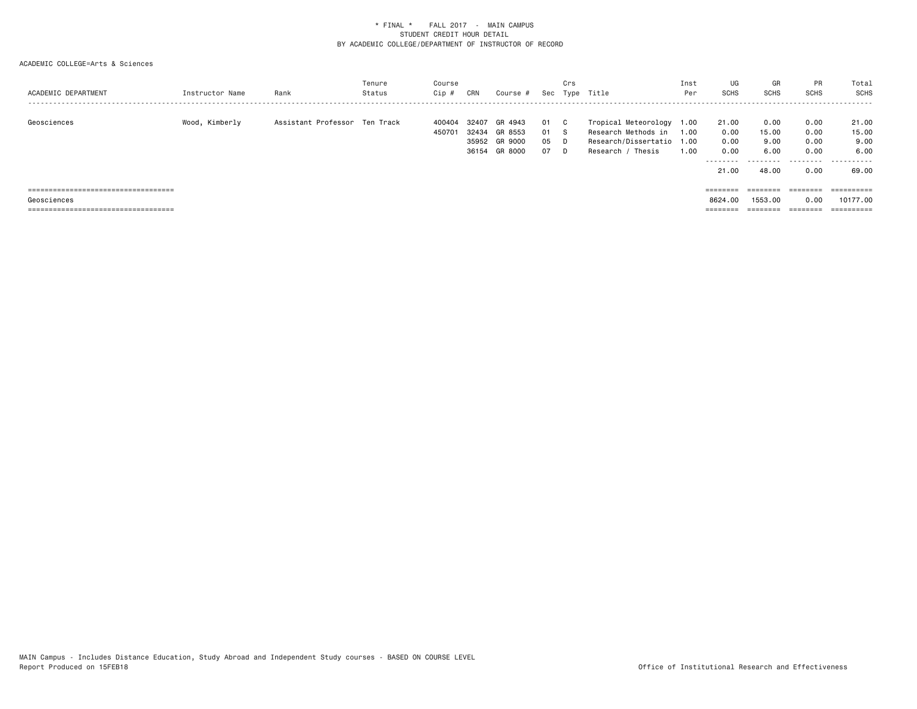| ACADEMIC DEPARTMENT                                                           | Instructor Name | Rank                          | Tenure<br>Status | Course<br>Cip #  | CRN            | Course #                                             | Sec                   | Crs                   | Type Title                                                                                              | Inst<br>Per  | UG<br><b>SCHS</b>                                                       | GR<br><b>SCHS</b>                           | PR<br><b>SCHS</b>                         | Total<br>SCHS                                |
|-------------------------------------------------------------------------------|-----------------|-------------------------------|------------------|------------------|----------------|------------------------------------------------------|-----------------------|-----------------------|---------------------------------------------------------------------------------------------------------|--------------|-------------------------------------------------------------------------|---------------------------------------------|-------------------------------------------|----------------------------------------------|
| Geosciences                                                                   | Wood, Kimberly  | Assistant Professor Ten Track |                  | 400404<br>450701 | 32407<br>32434 | GR 4943<br>GR 8553<br>35952 GR 9000<br>36154 GR 8000 | -01<br>01<br>05<br>07 | - C<br>- S<br>D.<br>D | Tropical Meteorology 1.00<br>Research Methods in<br>Research/Dissertatio 1.00<br>/ Thesis<br>Research / | 1.00<br>1.00 | 21.00<br>0.00<br>0.00<br>0.00<br>.<br>21.00                             | 0.00<br>15.00<br>9.00<br>6.00<br>.<br>48.00 | 0.00<br>0.00<br>0.00<br>0.00<br>.<br>0.00 | 21.00<br>15.00<br>9.00<br>6.00<br>.<br>69.00 |
| =====================================                                         |                 |                               |                  |                  |                |                                                      |                       |                       |                                                                                                         |              | ========                                                                | $=$ = = = = = = =                           | ========                                  | ==========                                   |
| Geosciences                                                                   |                 |                               |                  |                  |                |                                                      |                       |                       |                                                                                                         |              | 8624.00                                                                 | 1553.00                                     | 0.00                                      | 10177.00                                     |
| ------------------------------------<br>------------------------------------- |                 |                               |                  |                  |                |                                                      |                       |                       |                                                                                                         |              | $\qquad \qquad \equiv \equiv \equiv \equiv \equiv \equiv \equiv \equiv$ | --------<br>=======                         | ________<br>========                      | ==========                                   |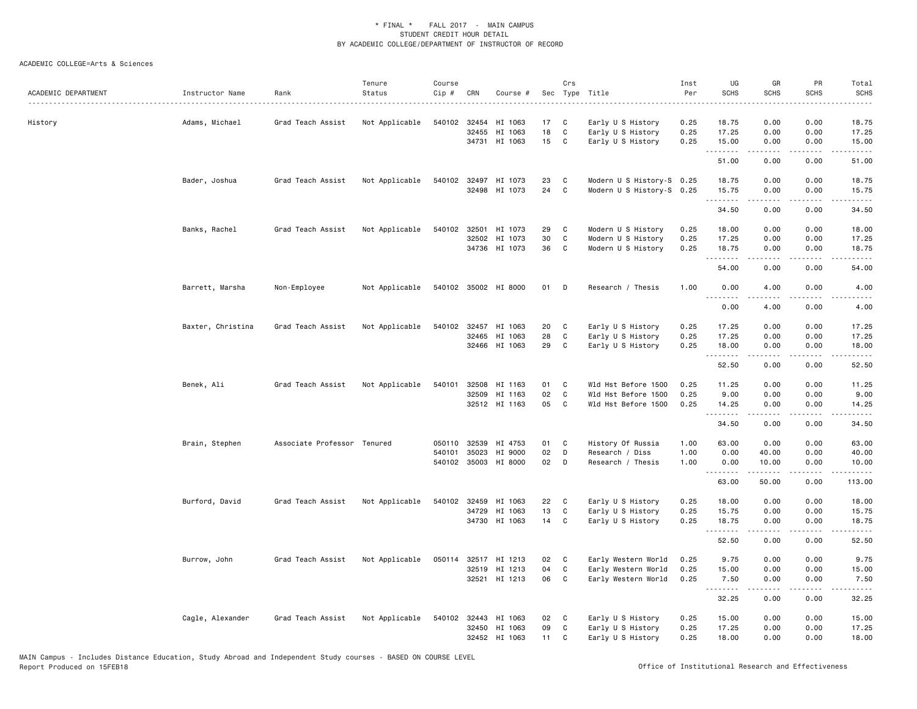| ACADEMIC DEPARTMENT | Instructor Name   | Rank                        | Tenure<br>Status | Course<br>Cip # | CRN          | Course #             |    | Crs          | Sec Type Title<br>.       | Inst<br>Per<br>. | UG<br><b>SCHS</b>   | GR<br><b>SCHS</b>                                                                                                                                                                                                                                                                                                                            | PR<br><b>SCHS</b>     | Total<br><b>SCHS</b><br>. |
|---------------------|-------------------|-----------------------------|------------------|-----------------|--------------|----------------------|----|--------------|---------------------------|------------------|---------------------|----------------------------------------------------------------------------------------------------------------------------------------------------------------------------------------------------------------------------------------------------------------------------------------------------------------------------------------------|-----------------------|---------------------------|
| History             | Adams, Michael    | Grad Teach Assist           | Not Applicable   |                 | 540102 32454 | HI 1063              | 17 | C            | Early U S History         | 0.25             | 18.75               | 0.00                                                                                                                                                                                                                                                                                                                                         | 0.00                  | 18.75                     |
|                     |                   |                             |                  |                 | 32455        | HI 1063              | 18 | C            | Early U S History         | 0.25             | 17.25               | 0.00                                                                                                                                                                                                                                                                                                                                         | 0.00                  | 17.25                     |
|                     |                   |                             |                  |                 |              | 34731 HI 1063        | 15 | C            | Early U S History         | 0.25             | 15.00<br>. <b>.</b> | 0.00<br>$- - - - -$                                                                                                                                                                                                                                                                                                                          | 0.00<br>.             | 15.00<br>.                |
|                     |                   |                             |                  |                 |              |                      |    |              |                           |                  | 51.00               | 0.00                                                                                                                                                                                                                                                                                                                                         | 0.00                  | 51.00                     |
|                     | Bader, Joshua     | Grad Teach Assist           | Not Applicable   |                 |              | 540102 32497 HI 1073 | 23 | C            | Modern U S History-S 0.25 |                  | 18.75               | 0.00                                                                                                                                                                                                                                                                                                                                         | 0.00                  | 18.75                     |
|                     |                   |                             |                  |                 |              | 32498 HI 1073        | 24 | C            | Modern U S History-S 0.25 |                  | 15.75<br>.          | 0.00                                                                                                                                                                                                                                                                                                                                         | 0.00                  | 15.75<br>.                |
|                     |                   |                             |                  |                 |              |                      |    |              |                           |                  | 34.50               | 0.00                                                                                                                                                                                                                                                                                                                                         | 0.00                  | 34.50                     |
|                     | Banks, Rachel     | Grad Teach Assist           | Not Applicable   |                 | 540102 32501 | HI 1073              | 29 | C            | Modern U S History        | 0.25             | 18.00               | 0.00                                                                                                                                                                                                                                                                                                                                         | 0.00                  | 18.00                     |
|                     |                   |                             |                  |                 | 32502        | HI 1073              | 30 | C            | Modern U S History        | 0.25             | 17.25               | 0.00                                                                                                                                                                                                                                                                                                                                         | 0.00                  | 17.25                     |
|                     |                   |                             |                  |                 |              | 34736 HI 1073        | 36 | C            | Modern U S History        | 0.25             | 18.75<br>.          | 0.00<br>.                                                                                                                                                                                                                                                                                                                                    | 0.00<br>.             | 18.75<br>.                |
|                     |                   |                             |                  |                 |              |                      |    |              |                           |                  | 54.00               | 0.00                                                                                                                                                                                                                                                                                                                                         | 0.00                  | 54.00                     |
|                     | Barrett, Marsha   | Non-Employee                | Not Applicable   |                 |              | 540102 35002 HI 8000 | 01 | D            | Research / Thesis         | 1.00             | 0.00<br>.           | 4.00<br>.                                                                                                                                                                                                                                                                                                                                    | 0.00<br>$- - - -$     | 4.00<br>$- - - -$         |
|                     |                   |                             |                  |                 |              |                      |    |              |                           |                  | 0.00                | 4.00                                                                                                                                                                                                                                                                                                                                         | 0.00                  | 4.00                      |
|                     | Baxter, Christina | Grad Teach Assist           | Not Applicable   | 540102          | 32457        | HI 1063              | 20 | C            | Early U S History         | 0.25             | 17.25               | 0.00                                                                                                                                                                                                                                                                                                                                         | 0.00                  | 17.25                     |
|                     |                   |                             |                  |                 | 32465        | HI 1063              | 28 | C            | Early U S History         | 0.25             | 17.25               | 0.00                                                                                                                                                                                                                                                                                                                                         | 0.00                  | 17.25                     |
|                     |                   |                             |                  |                 |              | 32466 HI 1063        | 29 | C            | Early U S History         | 0.25             | 18.00               | 0.00                                                                                                                                                                                                                                                                                                                                         | 0.00                  | 18.00                     |
|                     |                   |                             |                  |                 |              |                      |    |              |                           |                  | .<br>52.50          | <u>.</u><br>0.00                                                                                                                                                                                                                                                                                                                             | .<br>0.00             | .<br>52.50                |
|                     | Benek, Ali        | Grad Teach Assist           | Not Applicable   | 540101          | 32508        | HI 1163              | 01 | C            | Wld Hst Before 1500       | 0.25             | 11.25               | 0.00                                                                                                                                                                                                                                                                                                                                         | 0.00                  | 11.25                     |
|                     |                   |                             |                  |                 | 32509        | HI 1163              | 02 | C            | Wld Hst Before 1500       | 0.25             | 9.00                | 0.00                                                                                                                                                                                                                                                                                                                                         | 0.00                  | 9.00                      |
|                     |                   |                             |                  |                 |              | 32512 HI 1163        | 05 | C            | Wld Hst Before 1500       | 0.25             | 14.25<br>.          | 0.00<br>$\frac{1}{2} \left( \begin{array}{ccc} 1 & 0 & 0 & 0 \\ 0 & 0 & 0 & 0 \\ 0 & 0 & 0 & 0 \\ 0 & 0 & 0 & 0 \\ 0 & 0 & 0 & 0 \\ 0 & 0 & 0 & 0 \\ 0 & 0 & 0 & 0 \\ 0 & 0 & 0 & 0 \\ 0 & 0 & 0 & 0 \\ 0 & 0 & 0 & 0 \\ 0 & 0 & 0 & 0 & 0 \\ 0 & 0 & 0 & 0 & 0 \\ 0 & 0 & 0 & 0 & 0 \\ 0 & 0 & 0 & 0 & 0 \\ 0 & 0 & 0 & 0 & 0 \\ 0 & 0 & 0$ | 0.00                  | 14.25<br>.                |
|                     |                   |                             |                  |                 |              |                      |    |              |                           |                  | 34.50               | 0.00                                                                                                                                                                                                                                                                                                                                         | 0.00                  | 34.50                     |
|                     | Brain, Stephen    | Associate Professor Tenured |                  | 050110          | 32539        | HI 4753              | 01 | C            | History Of Russia         | 1.00             | 63.00               | 0.00                                                                                                                                                                                                                                                                                                                                         | 0.00                  | 63.00                     |
|                     |                   |                             |                  | 540101          | 35023        | HI 9000              | 02 | D            | Research / Diss           | 1.00             | 0.00                | 40.00                                                                                                                                                                                                                                                                                                                                        | 0.00                  | 40.00                     |
|                     |                   |                             |                  |                 | 540102 35003 | HI 8000              | 02 | D            | Research / Thesis         | 1.00             | 0.00<br>.           | 10.00<br>$\frac{1}{2} \left( \frac{1}{2} \right) \left( \frac{1}{2} \right) \left( \frac{1}{2} \right) \left( \frac{1}{2} \right) \left( \frac{1}{2} \right)$                                                                                                                                                                                | 0.00<br>.             | 10.00<br>.                |
|                     |                   |                             |                  |                 |              |                      |    |              |                           |                  | 63.00               | 50.00                                                                                                                                                                                                                                                                                                                                        | 0.00                  | 113.00                    |
|                     | Burford, David    | Grad Teach Assist           | Not Applicable   |                 | 540102 32459 | HI 1063              | 22 | $\mathbf{C}$ | Early U S History         | 0.25             | 18.00               | 0.00                                                                                                                                                                                                                                                                                                                                         | 0.00                  | 18.00                     |
|                     |                   |                             |                  |                 | 34729        | HI 1063              | 13 | C            | Early U S History         | 0.25             | 15.75               | 0.00                                                                                                                                                                                                                                                                                                                                         | 0.00                  | 15.75                     |
|                     |                   |                             |                  |                 |              | 34730 HI 1063        | 14 | C            | Early U S History         | 0.25             | 18.75<br><u>.</u>   | 0.00<br>$- - - - -$                                                                                                                                                                                                                                                                                                                          | 0.00<br>.             | 18.75<br>.                |
|                     |                   |                             |                  |                 |              |                      |    |              |                           |                  | 52.50               | 0.00                                                                                                                                                                                                                                                                                                                                         | 0.00                  | 52.50                     |
|                     | Burrow, John      | Grad Teach Assist           | Not Applicable   |                 |              | 050114 32517 HI 1213 | 02 | C            | Early Western World       | 0.25             | 9.75                | 0.00                                                                                                                                                                                                                                                                                                                                         | 0.00                  | 9.75                      |
|                     |                   |                             |                  |                 | 32519        | HI 1213              | 04 | C            | Early Western World       | 0.25             | 15.00               | 0.00                                                                                                                                                                                                                                                                                                                                         | 0.00                  | 15.00                     |
|                     |                   |                             |                  |                 |              | 32521 HI 1213        | 06 | C            | Early Western World       | 0.25             | 7.50<br><u>.</u>    | 0.00<br>.                                                                                                                                                                                                                                                                                                                                    | 0.00<br>$\frac{1}{2}$ | 7.50<br>.                 |
|                     |                   |                             |                  |                 |              |                      |    |              |                           |                  | 32.25               | 0.00                                                                                                                                                                                                                                                                                                                                         | 0.00                  | 32.25                     |
|                     | Cagle, Alexander  | Grad Teach Assist           | Not Applicable   |                 | 540102 32443 | HI 1063              | 02 | C            | Early U S History         | 0.25             | 15.00               | 0.00                                                                                                                                                                                                                                                                                                                                         | 0.00                  | 15.00                     |
|                     |                   |                             |                  |                 | 32450        | HI 1063              | 09 | C            | Early U S History         | 0.25             | 17.25               | 0.00                                                                                                                                                                                                                                                                                                                                         | 0.00                  | 17.25                     |
|                     |                   |                             |                  |                 |              | 32452 HI 1063        | 11 | C            | Early U S History         | 0.25             | 18.00               | 0.00                                                                                                                                                                                                                                                                                                                                         | 0.00                  | 18.00                     |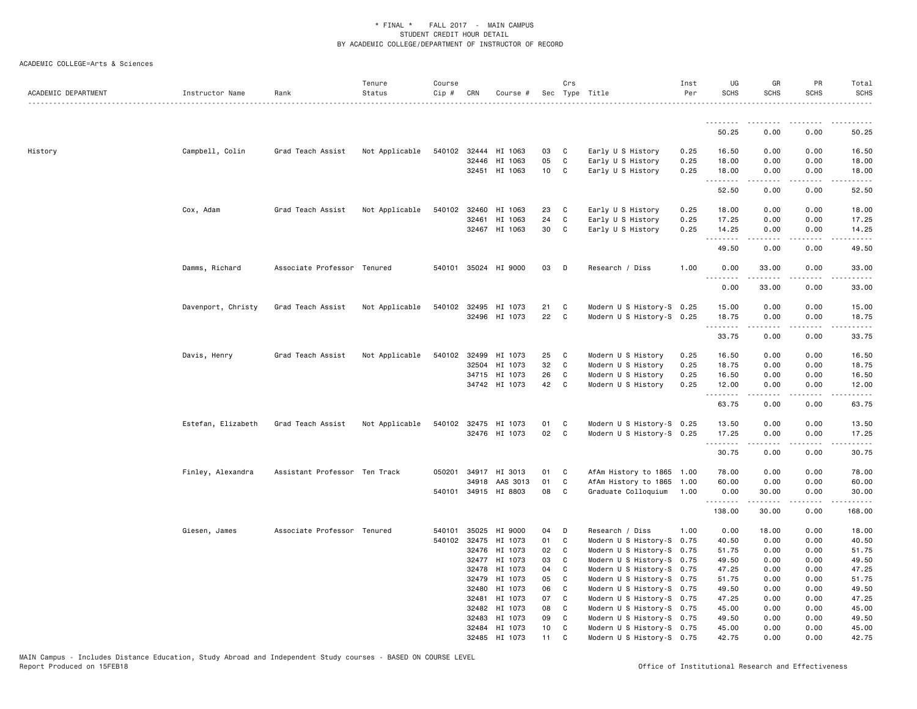| ACADEMIC DEPARTMENT | Instructor Name    | Rank                          | Tenure<br>Status | Course<br>Cip # | CRN            | Course #                 |          | Crs            | Sec Type Title                                         | Inst<br>Per  | UG<br><b>SCHS</b> | GR<br><b>SCHS</b>   | <b>PR</b><br><b>SCHS</b> | Total<br><b>SCHS</b><br>. |
|---------------------|--------------------|-------------------------------|------------------|-----------------|----------------|--------------------------|----------|----------------|--------------------------------------------------------|--------------|-------------------|---------------------|--------------------------|---------------------------|
|                     |                    |                               |                  |                 |                |                          |          |                |                                                        |              | <u>.</u>          |                     |                          |                           |
|                     |                    |                               |                  |                 |                |                          |          |                |                                                        |              | 50.25             | 0.00                | 0.00                     | 50.25                     |
| History             | Campbell, Colin    | Grad Teach Assist             | Not Applicable   |                 |                | 540102 32444 HI 1063     | 03       | C              | Early U S History                                      | 0.25         | 16.50             | 0.00                | 0.00                     | 16.50                     |
|                     |                    |                               |                  |                 | 32446          | HI 1063                  | 05       | C              | Early U S History                                      | 0.25         | 18.00             | 0.00                | 0.00                     | 18.00                     |
|                     |                    |                               |                  |                 |                | 32451 HI 1063            | 10       | $\mathbf{C}$   | Early U S History                                      | 0.25         | 18.00             | 0.00                | 0.00                     | 18.00                     |
|                     |                    |                               |                  |                 |                |                          |          |                |                                                        |              | .<br>52.50        | $- - - - -$<br>0.00 | .<br>0.00                | .<br>52.50                |
|                     | Cox, Adam          | Grad Teach Assist             | Not Applicable   | 540102          | 32460          | HI 1063                  | 23       | C              | Early U S History                                      | 0.25         | 18.00             | 0.00                | 0.00                     | 18.00                     |
|                     |                    |                               |                  |                 | 32461          | HI 1063                  | 24       | C              | Early U S History                                      | 0.25         | 17.25             | 0.00                | 0.00                     | 17.25                     |
|                     |                    |                               |                  |                 |                | 32467 HI 1063            | 30       | C              | Early U S History                                      | 0.25         | 14.25             | 0.00                | 0.00                     | 14.25                     |
|                     |                    |                               |                  |                 |                |                          |          |                |                                                        |              | .<br>49.50        | -----<br>0.00       | .<br>0.00                | .<br>49.50                |
|                     | Damms, Richard     | Associate Professor Tenured   |                  |                 |                | 540101 35024 HI 9000     | 03       | D              | Research / Diss                                        | 1.00         | 0.00              | 33.00               | 0.00                     | 33.00                     |
|                     |                    |                               |                  |                 |                |                          |          |                |                                                        |              | .<br>0.00         | .<br>33.00          | .<br>0.00                | .<br>33.00                |
|                     | Davenport, Christy | Grad Teach Assist             | Not Applicable   |                 | 540102 32495   | HI 1073                  | 21       | C              | Modern U S History-S 0.25                              |              | 15.00             | 0.00                | 0.00                     | 15.00                     |
|                     |                    |                               |                  |                 |                | 32496 HI 1073            | 22       | C              | Modern U S History-S 0.25                              |              | 18.75             | 0.00                | 0.00                     | 18.75                     |
|                     |                    |                               |                  |                 |                |                          |          |                |                                                        |              | .<br>33.75        | 0.00                | 0.00                     | 33.75                     |
|                     |                    |                               |                  |                 |                |                          |          |                |                                                        |              |                   |                     |                          |                           |
|                     | Davis, Henry       | Grad Teach Assist             | Not Applicable   |                 | 540102 32499   | HI 1073                  | 25       | C              | Modern U S History                                     | 0.25         | 16.50             | 0.00                | 0.00                     | 16.50                     |
|                     |                    |                               |                  |                 | 32504          | HI 1073<br>34715 HI 1073 | 32<br>26 | C<br>C         | Modern U S History<br>Modern U S History               | 0.25<br>0.25 | 18.75<br>16.50    | 0.00<br>0.00        | 0.00<br>0.00             | 18.75<br>16.50            |
|                     |                    |                               |                  |                 |                | 34742 HI 1073            | 42       | $\mathbf{C}$   | Modern U S History                                     | 0.25         | 12.00             | 0.00                | 0.00                     | 12.00                     |
|                     |                    |                               |                  |                 |                |                          |          |                |                                                        |              | .                 | <u>.</u>            | .                        | .                         |
|                     |                    |                               |                  |                 |                |                          |          |                |                                                        |              | 63.75             | 0.00                | 0.00                     | 63.75                     |
|                     | Estefan, Elizabeth | Grad Teach Assist             | Not Applicable   |                 |                | 540102 32475 HI 1073     | 01       | C              | Modern U S History-S 0.25                              |              | 13.50             | 0.00                | 0.00                     | 13.50                     |
|                     |                    |                               |                  |                 |                | 32476 HI 1073            | 02       | C <sub>1</sub> | Modern U S History-S 0.25                              |              | 17.25             | 0.00                | 0.00                     | 17.25                     |
|                     |                    |                               |                  |                 |                |                          |          |                |                                                        |              | .<br>30.75        | -----<br>0.00       | .<br>0.00                | .<br>30.75                |
|                     | Finley, Alexandra  | Assistant Professor Ten Track |                  | 050201          |                | 34917 HI 3013            | 01       | C              | AfAm History to 1865                                   | 1.00         | 78.00             | 0.00                | 0.00                     | 78.00                     |
|                     |                    |                               |                  |                 | 34918          | AAS 3013                 | 01       | C              | AfAm History to 1865                                   | 1.00         | 60.00             | 0.00                | 0.00                     | 60.00                     |
|                     |                    |                               |                  |                 |                | 540101 34915 HI 8803     | 08       | C              | Graduate Colloquium                                    | 1.00         | 0.00              | 30.00               | 0.00                     | 30.00                     |
|                     |                    |                               |                  |                 |                |                          |          |                |                                                        |              | .<br>138.00       | .<br>30.00          | .<br>0.00                | .<br>168.00               |
|                     | Giesen, James      | Associate Professor Tenured   |                  | 540101          | 35025          | HI 9000                  | 04       | D              | Research / Diss                                        | 1.00         | 0.00              | 18.00               | 0.00                     | 18.00                     |
|                     |                    |                               |                  |                 | 540102 32475   | HI 1073                  | 01       | C              | Modern U S History-S 0.75                              |              | 40.50             | 0.00                | 0.00                     | 40.50                     |
|                     |                    |                               |                  |                 | 32476          | HI 1073                  | 02       | C              | Modern U S History-S 0.75                              |              | 51.75             | 0.00                | 0.00                     | 51.75                     |
|                     |                    |                               |                  |                 | 32477          | HI 1073                  | 03       | C              | Modern U S History-S 0.75                              |              | 49.50             | 0.00                | 0.00                     | 49.50                     |
|                     |                    |                               |                  |                 | 32478          | HI 1073                  | 04       | C              | Modern U S History-S 0.75                              |              | 47.25             | 0.00                | 0.00                     | 47.25                     |
|                     |                    |                               |                  |                 | 32479          | HI 1073                  | 05       | C              | Modern U S History-S 0.75                              |              | 51.75             | 0.00                | 0.00                     | 51.75                     |
|                     |                    |                               |                  |                 | 32480          | HI 1073                  | 06       | C              | Modern U S History-S 0.75                              |              | 49.50             | 0.00                | 0.00                     | 49.50                     |
|                     |                    |                               |                  |                 | 32481<br>32482 | HI 1073<br>HI 1073       | 07<br>08 | C<br>C         | Modern U S History-S 0.75<br>Modern U S History-S 0.75 |              | 47.25<br>45.00    | 0.00<br>0.00        | 0.00<br>0.00             | 47.25<br>45.00            |
|                     |                    |                               |                  |                 | 32483          | HI 1073                  | 09       | C              | Modern U S History-S 0.75                              |              | 49.50             | 0.00                | 0.00                     | 49.50                     |
|                     |                    |                               |                  |                 |                | 32484 HI 1073            | 10       | C              | Modern U S History-S 0.75                              |              | 45.00             | 0.00                | 0.00                     | 45.00                     |
|                     |                    |                               |                  |                 |                | 32485 HI 1073            | 11       | C              | Modern U S History-S 0.75                              |              | 42.75             | 0.00                | 0.00                     | 42.75                     |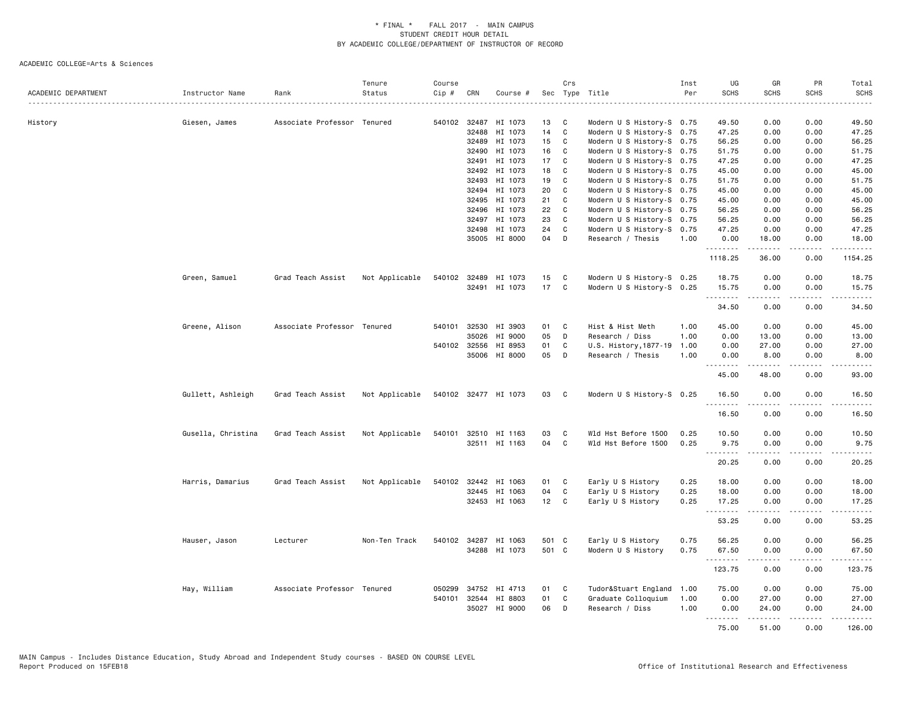| ACADEMIC DEPARTMENT | Instructor Name    | Rank                        | Tenure<br>Status | Course<br>$Cip$ # | CRN          | Course #             |       | Crs          | Sec Type Title             | Inst<br>Per | UG<br><b>SCHS</b> | GR<br><b>SCHS</b>                                                                                                                                             | PR<br><b>SCHS</b>            | Total<br><b>SCHS</b> |
|---------------------|--------------------|-----------------------------|------------------|-------------------|--------------|----------------------|-------|--------------|----------------------------|-------------|-------------------|---------------------------------------------------------------------------------------------------------------------------------------------------------------|------------------------------|----------------------|
|                     |                    |                             |                  |                   |              |                      |       |              |                            |             |                   |                                                                                                                                                               | .                            | .                    |
| History             | Giesen, James      | Associate Professor Tenured |                  |                   | 540102 32487 | HI 1073              | 13    | C            | Modern U S History-S 0.75  |             | 49.50             | 0.00                                                                                                                                                          | 0.00                         | 49.50                |
|                     |                    |                             |                  |                   | 32488        | HI 1073              | 14    | C            | Modern U S History-S 0.75  |             | 47.25             | 0.00                                                                                                                                                          | 0.00                         | 47.25                |
|                     |                    |                             |                  |                   | 32489        | HI 1073              | 15    | $\mathbf{C}$ | Modern U S History-S 0.75  |             | 56.25             | 0.00                                                                                                                                                          | 0.00                         | 56.25                |
|                     |                    |                             |                  |                   | 32490        | HI 1073              | 16    | C            | Modern U S History-S 0.75  |             | 51.75             | 0.00                                                                                                                                                          | 0.00                         | 51.75                |
|                     |                    |                             |                  |                   | 32491        | HI 1073              | 17    | C            | Modern U S History-S 0.75  |             | 47.25             | 0.00                                                                                                                                                          | 0.00                         | 47.25                |
|                     |                    |                             |                  |                   | 32492        | HI 1073              | 18    | C            | Modern U S History-S 0.75  |             | 45.00             | 0.00                                                                                                                                                          | 0.00                         | 45.00                |
|                     |                    |                             |                  |                   | 32493        | HI 1073              | 19    | C            | Modern U S History-S 0.75  |             | 51.75             | 0.00                                                                                                                                                          | 0.00                         | 51.75                |
|                     |                    |                             |                  |                   | 32494        | HI 1073              | 20    | C            | Modern U S History-S 0.75  |             | 45.00             | 0.00                                                                                                                                                          | 0.00                         | 45.00                |
|                     |                    |                             |                  |                   | 32495        | HI 1073              | 21    | C            | Modern U S History-S 0.75  |             | 45.00             | 0.00                                                                                                                                                          | 0.00                         | 45.00                |
|                     |                    |                             |                  |                   | 32496        | HI 1073              | 22    | C            | Modern U S History-S 0.75  |             | 56.25             | 0.00                                                                                                                                                          | 0.00                         | 56.25                |
|                     |                    |                             |                  |                   | 32497        | HI 1073              | 23    | C            | Modern U S History-S 0.75  |             | 56.25             | 0.00                                                                                                                                                          | 0.00                         | 56.25                |
|                     |                    |                             |                  |                   | 32498        | HI 1073              | 24    | C            | Modern U S History-S 0.75  |             | 47.25             | 0.00                                                                                                                                                          | 0.00                         | 47.25                |
|                     |                    |                             |                  |                   | 35005        | HI 8000              | 04    | D            | Research / Thesis          | 1.00        | 0.00              | 18.00                                                                                                                                                         | 0.00                         | 18.00                |
|                     |                    |                             |                  |                   |              |                      |       |              |                            |             | .<br>1118.25      | $\frac{1}{2} \left( \frac{1}{2} \right) \left( \frac{1}{2} \right) \left( \frac{1}{2} \right) \left( \frac{1}{2} \right) \left( \frac{1}{2} \right)$<br>36.00 | لأعامل<br>0.00               | .<br>1154.25         |
|                     | Green, Samuel      | Grad Teach Assist           | Not Applicable   |                   |              | 540102 32489 HI 1073 | 15    | C            | Modern U S History-S 0.25  |             | 18.75             | 0.00                                                                                                                                                          | 0.00                         | 18.75                |
|                     |                    |                             |                  |                   |              | 32491 HI 1073        | 17    | $\mathbf{C}$ | Modern U S History-S 0.25  |             | 15.75             | 0.00                                                                                                                                                          | 0.00                         | 15.75                |
|                     |                    |                             |                  |                   |              |                      |       |              |                            |             | .<br>34.50        | -----<br>0.00                                                                                                                                                 | .<br>0.00                    | .<br>34.50           |
|                     | Greene, Alison     | Associate Professor Tenured |                  |                   |              | 540101 32530 HI 3903 | 01    | C            | Hist & Hist Meth           | 1.00        | 45.00             | 0.00                                                                                                                                                          | 0.00                         | 45.00                |
|                     |                    |                             |                  |                   | 35026        | HI 9000              | 05    | D            | Research / Diss            | 1.00        | 0.00              | 13.00                                                                                                                                                         | 0.00                         | 13.00                |
|                     |                    |                             |                  |                   | 540102 32556 | HI 8953              | 01    | C            | U.S. History, 1877-19 1.00 |             | 0.00              | 27.00                                                                                                                                                         | 0.00                         | 27.00                |
|                     |                    |                             |                  |                   |              | 35006 HI 8000        | 05    | D            | Research / Thesis          | 1.00        | 0.00              | 8.00                                                                                                                                                          | 0.00                         | 8.00                 |
|                     |                    |                             |                  |                   |              |                      |       |              |                            |             | .<br>45.00        | .<br>48.00                                                                                                                                                    | .<br>0.00                    | .<br>93.00           |
|                     | Gullett, Ashleigh  | Grad Teach Assist           | Not Applicable   |                   |              | 540102 32477 HI 1073 | 03 C  |              | Modern U S History-S 0.25  |             | 16.50<br>.        | 0.00                                                                                                                                                          | 0.00<br>$\sim$ $\sim$ $\sim$ | 16.50<br>.           |
|                     |                    |                             |                  |                   |              |                      |       |              |                            |             | 16.50             | 0.00                                                                                                                                                          | 0.00                         | 16.50                |
|                     | Gusella, Christina | Grad Teach Assist           | Not Applicable   |                   |              | 540101 32510 HI 1163 | 03    | $\mathbf{C}$ | Wld Hst Before 1500        | 0.25        | 10.50             | 0.00                                                                                                                                                          | 0.00                         | 10.50                |
|                     |                    |                             |                  |                   |              | 32511 HI 1163        | 04    | $\mathbf{C}$ | Wld Hst Before 1500        | 0.25        | 9.75              | 0.00                                                                                                                                                          | 0.00                         | 9.75                 |
|                     |                    |                             |                  |                   |              |                      |       |              |                            |             | 20.25             | .<br>0.00                                                                                                                                                     | لأعامل<br>0.00               | .<br>20.25           |
|                     | Harris, Damarius   | Grad Teach Assist           | Not Applicable   |                   |              | 540102 32442 HI 1063 | 01 C  |              | Early U S History          | 0.25        | 18.00             | 0.00                                                                                                                                                          | 0.00                         | 18.00                |
|                     |                    |                             |                  |                   |              | 32445 HI 1063        | 04    | C.           | Early U S History          | 0.25        | 18.00             | 0.00                                                                                                                                                          | 0.00                         | 18.00                |
|                     |                    |                             |                  |                   |              | 32453 HI 1063        | 12    | $\mathbf{C}$ | Early U S History          | 0.25        | 17.25<br>.        | 0.00<br>22222                                                                                                                                                 | 0.00<br>.                    | 17.25<br>.           |
|                     |                    |                             |                  |                   |              |                      |       |              |                            |             | 53.25             | 0.00                                                                                                                                                          | 0.00                         | 53.25                |
|                     | Hauser, Jason      | Lecturer                    | Non-Ten Track    |                   |              | 540102 34287 HI 1063 | 501 C |              | Early U S History          | 0.75        | 56.25             | 0.00                                                                                                                                                          | 0.00                         | 56.25                |
|                     |                    |                             |                  |                   |              | 34288 HI 1073        | 501 C |              | Modern U S History         | 0.75        | 67.50             | 0.00                                                                                                                                                          | 0.00                         | 67.50                |
|                     |                    |                             |                  |                   |              |                      |       |              |                            |             | .<br>123.75       | .<br>0.00                                                                                                                                                     | .<br>0.00                    | .<br>123.75          |
|                     | Hay, William       | Associate Professor Tenured |                  | 050299            |              | 34752 HI 4713        | 01    | $\mathbf{C}$ | Tudor&Stuart England 1.00  |             | 75.00             | 0.00                                                                                                                                                          | 0.00                         | 75.00                |
|                     |                    |                             |                  | 540101            | 32544        | HI 8803              | 01    | C            | Graduate Colloquium        | 1.00        | 0.00              | 27.00                                                                                                                                                         | 0.00                         | 27.00                |
|                     |                    |                             |                  |                   |              | 35027 HI 9000        | 06    | D            | Research / Diss            | 1.00        | 0.00<br>.         | 24.00<br>$\begin{array}{cccccccccc} \bullet & \bullet & \bullet & \bullet & \bullet & \bullet \end{array}$                                                    | 0.00<br>.                    | 24.00<br>.           |
|                     |                    |                             |                  |                   |              |                      |       |              |                            |             | 75.00             | 51.00                                                                                                                                                         | 0.00                         | 126.00               |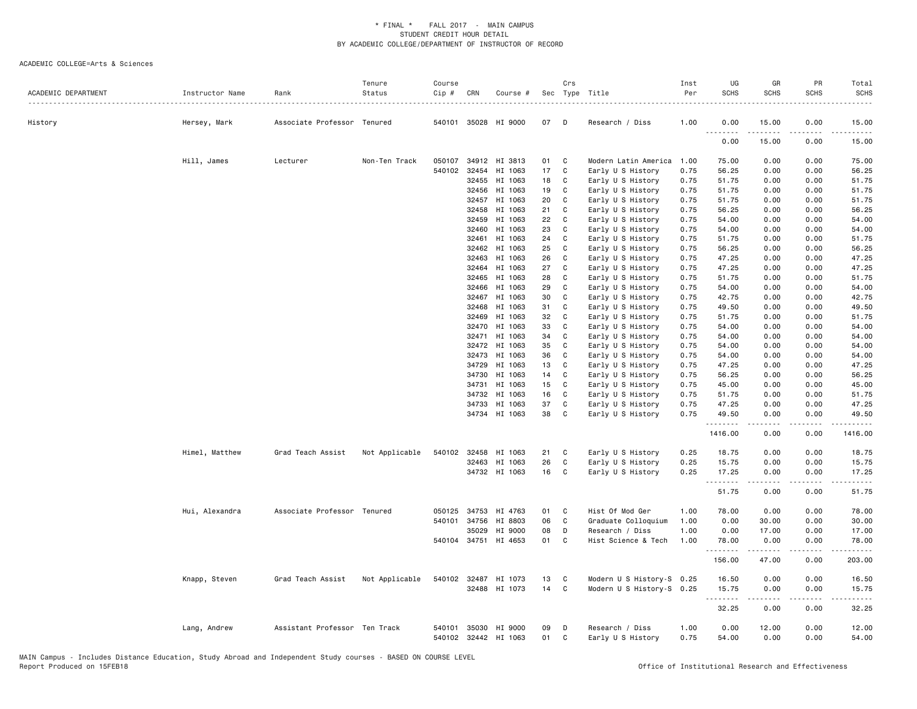| ACADEMIC DEPARTMENT | Instructor Name | Rank                          | Tenure<br>Status | Course<br>Cip # | CRN          | Course #                              |          | Crs          | Sec Type Title                       | Inst<br>Per  | UG<br><b>SCHS</b> | GR<br><b>SCHS</b> | PR<br><b>SCHS</b>            | Total<br><b>SCHS</b><br>$\frac{1}{2} \left( \frac{1}{2} \right) \left( \frac{1}{2} \right) \left( \frac{1}{2} \right) \left( \frac{1}{2} \right)$ |
|---------------------|-----------------|-------------------------------|------------------|-----------------|--------------|---------------------------------------|----------|--------------|--------------------------------------|--------------|-------------------|-------------------|------------------------------|---------------------------------------------------------------------------------------------------------------------------------------------------|
| History             | Hersey, Mark    | Associate Professor Tenured   |                  |                 |              | 540101 35028 HI 9000                  | 07       | D            | Research / Diss                      | 1.00         | 0.00<br>.         | 15.00             | 0.00                         | 15.00                                                                                                                                             |
|                     |                 |                               |                  |                 |              |                                       |          |              |                                      |              | 0.00              | 15.00             | 0.00                         | 15.00                                                                                                                                             |
|                     | Hill, James     | Lecturer                      | Non-Ten Track    | 050107          | 34912        | HI 3813                               | 01       | C            | Modern Latin America                 | 1.00         | 75.00             | 0.00              | 0.00                         | 75.00                                                                                                                                             |
|                     |                 |                               |                  | 540102          | 32454        | HI 1063                               | 17       | C            | Early U S History                    | 0.75         | 56.25             | 0.00              | 0.00                         | 56.25                                                                                                                                             |
|                     |                 |                               |                  |                 | 32455        | HI 1063                               | 18       | C            | Early U S History                    | 0.75         | 51.75             | 0.00              | 0.00                         | 51.75                                                                                                                                             |
|                     |                 |                               |                  |                 | 32456        | HI 1063                               | 19       | C            | Early U S History                    | 0.75         | 51.75             | 0.00              | 0.00                         | 51.75                                                                                                                                             |
|                     |                 |                               |                  |                 | 32457        | HI 1063                               | 20       | C            | Early U S History                    | 0.75         | 51.75             | 0.00              | 0.00                         | 51.75                                                                                                                                             |
|                     |                 |                               |                  |                 | 32458        | HI 1063                               | 21       | C            | Early U S History                    | 0.75         | 56.25             | 0.00              | 0.00                         | 56.25                                                                                                                                             |
|                     |                 |                               |                  |                 | 32459        | HI 1063                               | 22       | C            | Early U S History                    | 0.75         | 54.00             | 0.00              | 0.00                         | 54.00                                                                                                                                             |
|                     |                 |                               |                  |                 | 32460        | HI 1063                               | 23       | C            | Early U S History                    | 0.75         | 54.00             | 0.00              | 0.00                         | 54.00                                                                                                                                             |
|                     |                 |                               |                  |                 | 32461        | HI 1063                               | 24       | C            | Early U S History                    | 0.75         | 51.75             | 0.00              | 0.00                         | 51.75                                                                                                                                             |
|                     |                 |                               |                  |                 | 32462        | HI 1063                               | 25       | C            | Early U S History                    | 0.75         | 56.25             | 0.00              | 0.00                         | 56.25                                                                                                                                             |
|                     |                 |                               |                  |                 | 32463        | HI 1063                               | 26       | C            | Early U S History                    | 0.75         | 47.25             | 0.00              | 0.00                         | 47.25                                                                                                                                             |
|                     |                 |                               |                  |                 | 32464        | HI 1063                               | 27       | C            | Early U S History                    | 0.75         | 47.25             | 0.00              | 0.00                         | 47.25                                                                                                                                             |
|                     |                 |                               |                  |                 | 32465        | HI 1063                               | 28       | C            | Early U S History                    | 0.75         | 51.75             | 0.00              | 0.00                         | 51.75                                                                                                                                             |
|                     |                 |                               |                  |                 | 32466        | HI 1063                               | 29       | C            | Early U S History                    | 0.75         | 54.00             | 0.00              | 0.00                         | 54.00                                                                                                                                             |
|                     |                 |                               |                  |                 | 32467        | HI 1063                               | 30       | C            | Early U S History                    | 0.75         | 42.75             | 0.00              | 0.00                         | 42.75                                                                                                                                             |
|                     |                 |                               |                  |                 | 32468        | HI 1063                               | 31       | C            | Early U S History                    | 0.75         | 49.50             | 0.00              | 0.00                         | 49.50                                                                                                                                             |
|                     |                 |                               |                  |                 | 32469        | HI 1063                               | 32       | C            | Early U S History                    | 0.75         | 51.75             | 0.00              | 0.00                         | 51.75                                                                                                                                             |
|                     |                 |                               |                  |                 | 32470        | HI 1063                               | 33       | C            | Early U S History                    | 0.75         | 54.00             | 0.00              | 0.00                         | 54.00                                                                                                                                             |
|                     |                 |                               |                  |                 | 32471        | HI 1063                               | 34       | C            | Early U S History                    | 0.75         | 54.00             | 0.00              | 0.00                         | 54.00                                                                                                                                             |
|                     |                 |                               |                  |                 | 32472        | HI 1063                               | 35       | C            | Early U S History                    | 0.75         | 54.00             | 0.00              | 0.00                         | 54.00                                                                                                                                             |
|                     |                 |                               |                  |                 | 32473        | HI 1063                               | 36       | C            | Early U S History                    | 0.75         | 54.00             | 0.00              | 0.00                         | 54.00                                                                                                                                             |
|                     |                 |                               |                  |                 | 34729        | HI 1063                               | 13       | C            | Early U S History                    | 0.75         | 47.25             | 0.00              | 0.00                         | 47.25                                                                                                                                             |
|                     |                 |                               |                  |                 | 34730        | HI 1063                               | 14       | C            | Early U S History                    | 0.75         | 56.25             | 0.00              | 0.00                         | 56.25                                                                                                                                             |
|                     |                 |                               |                  |                 | 34731        | HI 1063                               | 15       | C            | Early U S History                    | 0.75         | 45.00             | 0.00              | 0.00                         | 45.00                                                                                                                                             |
|                     |                 |                               |                  |                 | 34732        | HI 1063                               | 16       | C            | Early U S History                    | 0.75         | 51.75             | 0.00              | 0.00                         | 51.75                                                                                                                                             |
|                     |                 |                               |                  |                 | 34733        | HI 1063                               | 37       | C            | Early U S History                    | 0.75         | 47.25             | 0.00              | 0.00                         | 47.25                                                                                                                                             |
|                     |                 |                               |                  |                 |              | 34734 HI 1063                         | 38       | C            | Early U S History                    | 0.75         | 49.50<br>.        | 0.00              | 0.00                         | 49.50                                                                                                                                             |
|                     |                 |                               |                  |                 |              |                                       |          |              |                                      |              | 1416.00           | 0.00              | 0.00                         | 1416.00                                                                                                                                           |
|                     | Himel, Matthew  | Grad Teach Assist             | Not Applicable   |                 | 540102 32458 | HI 1063                               | 21       | C.           | Early U S History                    | 0.25         | 18.75             | 0.00              | 0.00                         | 18.75                                                                                                                                             |
|                     |                 |                               |                  |                 | 32463        | HI 1063                               | 26       | C            | Early U S History                    | 0.25         | 15.75             | 0.00              | 0.00                         | 15.75                                                                                                                                             |
|                     |                 |                               |                  |                 |              | 34732 HI 1063                         | 16       | C            | Early U S History                    | 0.25         | 17.25<br>.        | 0.00              | 0.00                         | 17.25                                                                                                                                             |
|                     |                 |                               |                  |                 |              |                                       |          |              |                                      |              | 51.75             | 0.00              | 0.00                         | 51.75                                                                                                                                             |
|                     | Hui, Alexandra  | Associate Professor Tenured   |                  |                 | 050125 34753 | HI 4763                               | 01       | C            | Hist Of Mod Ger                      | 1.00         | 78.00             | 0.00              | 0.00                         | 78.00                                                                                                                                             |
|                     |                 |                               |                  |                 | 540101 34756 | HI 8803                               | 06       | C            | Graduate Colloquium                  | 1.00         | 0.00              | 30.00             | 0.00                         | 30.00                                                                                                                                             |
|                     |                 |                               |                  |                 | 35029        | HI 9000                               | 08       | D            | Research / Diss                      | 1.00         | 0.00              | 17.00             | 0.00                         | 17.00                                                                                                                                             |
|                     |                 |                               |                  |                 |              | 540104 34751 HI 4653                  | 01       | $\mathbf{C}$ | Hist Science & Tech                  | 1.00         | 78.00             | 0.00              | 0.00                         | 78.00                                                                                                                                             |
|                     |                 |                               |                  |                 |              |                                       |          |              |                                      |              | .<br>156.00       | .<br>47.00        | .<br>0.00                    | 203.00                                                                                                                                            |
|                     | Knapp, Steven   | Grad Teach Assist             | Not Applicable   |                 | 540102 32487 | HI 1073                               | 13       | C            | Modern U S History-S 0.25            |              | 16.50             | 0.00              | 0.00                         | 16.50                                                                                                                                             |
|                     |                 |                               |                  |                 |              | 32488 HI 1073                         | 14       | C            | Modern U S History-S 0.25            |              | 15.75             | 0.00              | 0.00                         | 15.75                                                                                                                                             |
|                     |                 |                               |                  |                 |              |                                       |          |              |                                      |              | .<br>32.25        | .<br>0.00         | $\sim$ $\sim$ $\sim$<br>0.00 | .<br>32.25                                                                                                                                        |
|                     |                 |                               |                  | 540101          |              |                                       |          | D            |                                      |              |                   |                   | 0.00                         |                                                                                                                                                   |
|                     | Lang, Andrew    | Assistant Professor Ten Track |                  |                 |              | 35030 HI 9000<br>540102 32442 HI 1063 | 09<br>01 | C            | Research / Diss<br>Early U S History | 1.00<br>0.75 | 0.00<br>54.00     | 12.00<br>0.00     | 0.00                         | 12.00<br>54.00                                                                                                                                    |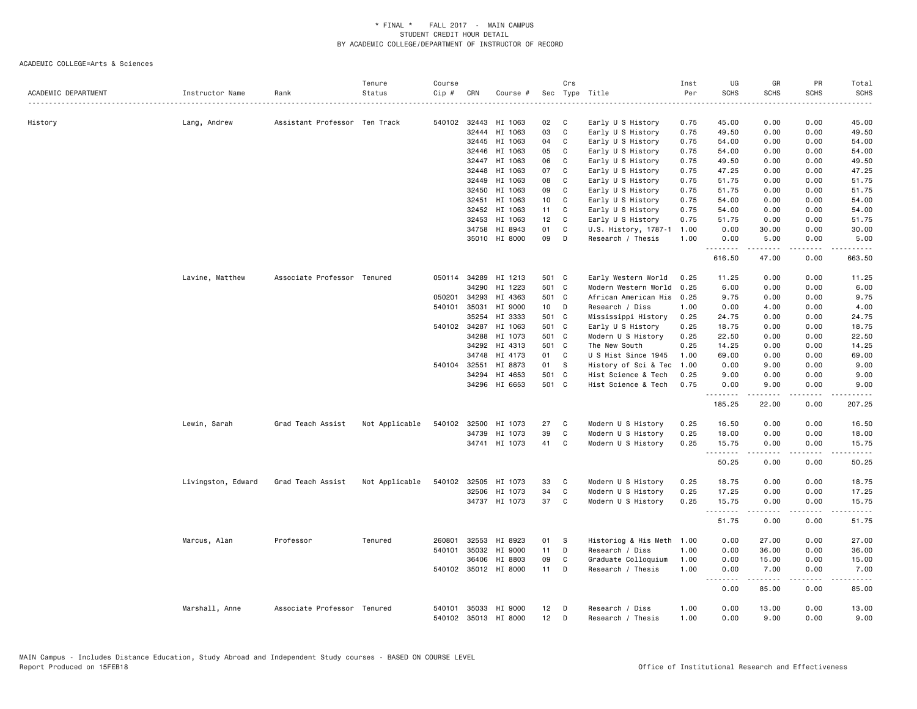| ACADEMIC DEPARTMENT | Instructor Name    | Rank                          | Tenure<br>Status | Course<br>$Cip \#$ | CRN          | Course #             |                 | Crs          | Sec Type Title            | Inst<br>Per<br>. | UG<br><b>SCHS</b>  | GR<br><b>SCHS</b>   | PR<br><b>SCHS</b>    | Total<br><b>SCHS</b><br>. |
|---------------------|--------------------|-------------------------------|------------------|--------------------|--------------|----------------------|-----------------|--------------|---------------------------|------------------|--------------------|---------------------|----------------------|---------------------------|
| History             |                    | Assistant Professor Ten Track |                  |                    | 540102 32443 | HI 1063              | 02              | C            | Early U S History         | 0.75             | 45.00              | 0.00                | 0.00                 | 45.00                     |
|                     | Lang, Andrew       |                               |                  |                    | 32444        | HI 1063              | 03              | C            | Early U S History         | 0.75             | 49.50              | 0.00                | 0.00                 | 49.50                     |
|                     |                    |                               |                  |                    |              | 32445 HI 1063        | 04              | C            | Early U S History         | 0.75             | 54.00              | 0.00                | 0.00                 | 54.00                     |
|                     |                    |                               |                  |                    | 32446        | HI 1063              | 05              | C            | Early U S History         | 0.75             | 54.00              | 0.00                | 0.00                 | 54.00                     |
|                     |                    |                               |                  |                    | 32447        | HI 1063              | 06              | C            | Early U S History         | 0.75             | 49.50              | 0.00                | 0.00                 | 49.50                     |
|                     |                    |                               |                  |                    | 32448        | HI 1063              | 07              | C            | Early U S History         | 0.75             | 47.25              | 0.00                | 0.00                 | 47.25                     |
|                     |                    |                               |                  |                    | 32449        | HI 1063              | 08              | C            | Early U S History         | 0.75             | 51.75              | 0.00                | 0.00                 | 51.75                     |
|                     |                    |                               |                  |                    | 32450        | HI 1063              | 09              | C            | Early U S History         | 0.75             | 51.75              | 0.00                | 0.00                 | 51.75                     |
|                     |                    |                               |                  |                    | 32451        | HI 1063              | 10 <sub>1</sub> | C            | Early U S History         | 0.75             | 54.00              | 0.00                | 0.00                 | 54.00                     |
|                     |                    |                               |                  |                    | 32452        | HI 1063              | 11              | C            | Early U S History         | 0.75             | 54.00              | 0.00                | 0.00                 | 54.00                     |
|                     |                    |                               |                  |                    | 32453        | HI 1063              | 12              | C            | Early U S History         | 0.75             | 51.75              | 0.00                | 0.00                 | 51.75                     |
|                     |                    |                               |                  |                    |              | 34758 HI 8943        | 01              | C            | U.S. History, 1787-1      | 1.00             | 0.00               | 30.00               | 0.00                 | 30.00                     |
|                     |                    |                               |                  |                    |              | 35010 HI 8000        | 09              | D            | Research / Thesis         | 1.00             | 0.00               | 5.00                | 0.00                 | 5.00                      |
|                     |                    |                               |                  |                    |              |                      |                 |              |                           |                  | .                  |                     | $\sim$ $\sim$ $\sim$ |                           |
|                     |                    |                               |                  |                    |              |                      |                 |              |                           |                  | 616.50             | 47.00               | 0.00                 | 663.50                    |
|                     | Lavine, Matthew    | Associate Professor Tenured   |                  |                    | 050114 34289 | HI 1213              | 501 C           |              | Early Western World       | 0.25             | 11.25              | 0.00                | 0.00                 | 11.25                     |
|                     |                    |                               |                  |                    | 34290        | HI 1223              | 501 C           |              | Modern Western World      | 0.25             | 6.00               | 0.00                | 0.00                 | 6.00                      |
|                     |                    |                               |                  | 050201             | 34293        | HI 4363              | 501 C           |              | African American His      | 0.25             | 9.75               | 0.00                | 0.00                 | 9.75                      |
|                     |                    |                               |                  |                    | 540101 35031 | HI 9000              | 10 <sub>1</sub> | D            | Research / Diss           | 1.00             | 0.00               | 4.00                | 0.00                 | 4.00                      |
|                     |                    |                               |                  |                    | 35254        | HI 3333              | 501 C           |              | Mississippi History       | 0.25             | 24.75              | 0.00                | 0.00                 | 24.75                     |
|                     |                    |                               |                  |                    | 540102 34287 | HI 1063              | 501 C           |              | Early U S History         | 0.25             | 18.75              | 0.00                | 0.00                 | 18.75                     |
|                     |                    |                               |                  |                    | 34288        | HI 1073              | 501 C           |              | Modern U S History        | 0.25             | 22.50              | 0.00                | 0.00                 | 22.50                     |
|                     |                    |                               |                  |                    | 34292        | HI 4313              | 501 C           |              | The New South             | 0.25             | 14.25              | 0.00                | 0.00                 | 14.25                     |
|                     |                    |                               |                  |                    | 34748        | HI 4173              | 01              | C            | U S Hist Since 1945       | 1.00             | 69.00              | 0.00                | 0.00                 | 69.00                     |
|                     |                    |                               |                  |                    | 540104 32551 | HI 8873              | 01 S            |              | History of Sci & Tec      | 1.00             | 0.00               | 9.00                | 0.00                 | 9.00                      |
|                     |                    |                               |                  |                    | 34294        | HI 4653              | 501 C           |              | Hist Science & Tech       | 0.25             | 9.00               | 0.00                | 0.00                 | 9.00                      |
|                     |                    |                               |                  |                    |              | 34296 HI 6653        | 501 C           |              | Hist Science & Tech       | 0.75             | 0.00<br>. <b>.</b> | 9.00<br>$- - - - -$ | 0.00<br>.            | 9.00<br>.                 |
|                     |                    |                               |                  |                    |              |                      |                 |              |                           |                  | 185.25             | 22.00               | 0.00                 | 207.25                    |
|                     | Lewin, Sarah       | Grad Teach Assist             | Not Applicable   |                    |              | 540102 32500 HI 1073 | 27              | $\mathbf{C}$ | Modern U S History        | 0.25             | 16.50              | 0.00                | 0.00                 | 16.50                     |
|                     |                    |                               |                  |                    | 34739        | HI 1073              | 39              | $\mathtt{C}$ | Modern U S History        | 0.25             | 18.00              | 0.00                | 0.00                 | 18.00                     |
|                     |                    |                               |                  |                    |              | 34741 HI 1073        | 41              | C            | Modern U S History        | 0.25             | 15.75<br><b></b>   | 0.00<br><b>.</b>    | 0.00<br>.            | 15.75<br>.                |
|                     |                    |                               |                  |                    |              |                      |                 |              |                           |                  | 50.25              | 0.00                | 0.00                 | 50.25                     |
|                     | Livingston, Edward | Grad Teach Assist             | Not Applicable   |                    |              | 540102 32505 HI 1073 | 33              | C            | Modern U S History        | 0.25             | 18.75              | 0.00                | 0.00                 | 18.75                     |
|                     |                    |                               |                  |                    | 32506        | HI 1073              | 34              | $\mathtt{C}$ | Modern U S History        | 0.25             | 17.25              | 0.00                | 0.00                 | 17.25                     |
|                     |                    |                               |                  |                    |              | 34737 HI 1073        | 37              | C            | Modern U S History        | 0.25             | 15.75              | 0.00                | 0.00                 | 15.75                     |
|                     |                    |                               |                  |                    |              |                      |                 |              |                           |                  | 51.75              | 0.00                | 0.00                 | .<br>51.75                |
|                     | Marcus, Alan       | Professor                     | Tenured          | 260801             |              | 32553 HI 8923        | 01              | -S           | Historiog & His Meth 1.00 |                  | 0.00               | 27.00               | 0.00                 | 27.00                     |
|                     |                    |                               |                  | 540101             | 35032        | HI 9000              | 11              | D            | Research / Diss           | 1.00             | 0.00               | 36.00               | 0.00                 | 36.00                     |
|                     |                    |                               |                  |                    | 36406        | HI 8803              | 09              | C            | Graduate Colloquium       | 1.00             | 0.00               | 15.00               | 0.00                 | 15.00                     |
|                     |                    |                               |                  |                    |              | 540102 35012 HI 8000 | $11$ D          |              | Research / Thesis         | 1.00             | 0.00               | 7.00                | 0.00                 | 7.00                      |
|                     |                    |                               |                  |                    |              |                      |                 |              |                           |                  | .<br>0.00          | .<br>85.00          | .<br>0.00            | .<br>85.00                |
|                     | Marshall, Anne     | Associate Professor Tenured   |                  | 540101             | 35033        | HI 9000              | 12              | D            | Research / Diss           | 1.00             | 0.00               | 13.00               | 0.00                 | 13.00                     |
|                     |                    |                               |                  |                    |              | 540102 35013 HI 8000 | 12              | D            | Research / Thesis         | 1.00             | 0.00               | 9.00                | 0.00                 | 9.00                      |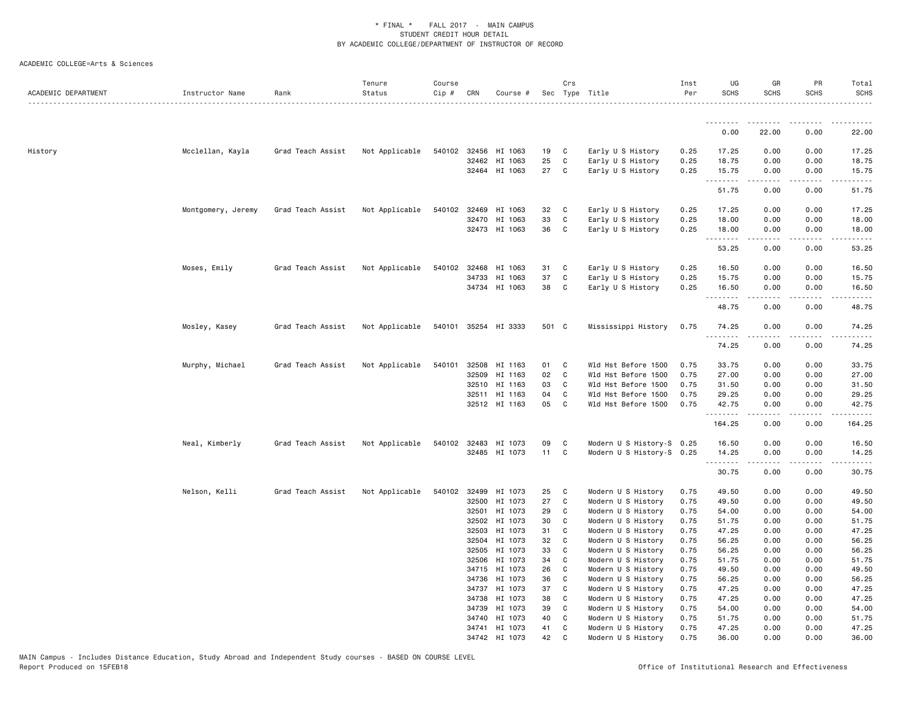| ACADEMIC DEPARTMENT | Instructor Name    | Rank              | Tenure<br>Status | Course<br>Cip # | CRN            | Course #                 |          | Crs          | Sec Type Title                           | Inst<br>Per  | UG<br><b>SCHS</b>                                                                                                                                             | GR<br><b>SCHS</b>                   | PR<br><b>SCHS</b> | Total<br><b>SCHS</b> |
|---------------------|--------------------|-------------------|------------------|-----------------|----------------|--------------------------|----------|--------------|------------------------------------------|--------------|---------------------------------------------------------------------------------------------------------------------------------------------------------------|-------------------------------------|-------------------|----------------------|
|                     |                    |                   |                  |                 |                |                          |          |              |                                          |              | .                                                                                                                                                             | --------                            | -----             | .                    |
|                     |                    |                   |                  |                 |                |                          |          |              |                                          |              | 0.00                                                                                                                                                          | 22.00                               | 0.00              | 22.00                |
| History             | Mcclellan, Kayla   | Grad Teach Assist | Not Applicable   |                 | 540102 32456   | HI 1063                  | 19       | C            | Early U S History                        | 0.25         | 17.25                                                                                                                                                         | 0.00                                | 0.00              | 17.25                |
|                     |                    |                   |                  |                 | 32462          | HI 1063                  | 25       | C            | Early U S History                        | 0.25         | 18.75                                                                                                                                                         | 0.00                                | 0.00              | 18.75                |
|                     |                    |                   |                  |                 |                | 32464 HI 1063            | 27       | $\mathbf{C}$ | Early U S History                        | 0.25         | 15.75<br>.                                                                                                                                                    | 0.00                                | 0.00              | 15.75                |
|                     |                    |                   |                  |                 |                |                          |          |              |                                          |              | 51.75                                                                                                                                                         | 0.00                                | 0.00              | 51.75                |
|                     | Montgomery, Jeremy | Grad Teach Assist | Not Applicable   |                 | 540102 32469   | HI 1063                  | 32 C     |              | Early U S History                        | 0.25         | 17.25                                                                                                                                                         | 0.00                                | 0.00              | 17.25                |
|                     |                    |                   |                  |                 | 32470          | HI 1063                  | 33       | C            | Early U S History                        | 0.25         | 18.00                                                                                                                                                         | 0.00                                | 0.00              | 18.00                |
|                     |                    |                   |                  |                 |                | 32473 HI 1063            | 36       | $\mathbf{C}$ | Early U S History                        | 0.25         | 18.00<br>.                                                                                                                                                    | 0.00<br>.                           | 0.00<br>.         | 18.00<br>.           |
|                     |                    |                   |                  |                 |                |                          |          |              |                                          |              | 53.25                                                                                                                                                         | 0.00                                | 0.00              | 53.25                |
|                     | Moses, Emily       | Grad Teach Assist | Not Applicable   | 540102          | 32468          | HI 1063                  | 31       | C            | Early U S History                        | 0.25         | 16.50                                                                                                                                                         | 0.00                                | 0.00              | 16.50                |
|                     |                    |                   |                  |                 | 34733          | HI 1063                  | 37       | C            | Early U S History                        | 0.25         | 15.75                                                                                                                                                         | 0.00                                | 0.00              | 15.75                |
|                     |                    |                   |                  |                 |                | 34734 HI 1063            | 38       | $\mathbf{C}$ | Early U S History                        | 0.25         | 16.50                                                                                                                                                         | 0.00                                | 0.00              | 16.50                |
|                     |                    |                   |                  |                 |                |                          |          |              |                                          |              | <u>.</u><br>48.75                                                                                                                                             | .<br>0.00                           | $\cdots$<br>0.00  | .<br>48.75           |
|                     | Mosley, Kasey      | Grad Teach Assist | Not Applicable   |                 |                | 540101 35254 HI 3333     | 501 C    |              | Mississippi History                      | 0.75         | 74.25<br>$\frac{1}{2} \left( \frac{1}{2} \right) \left( \frac{1}{2} \right) \left( \frac{1}{2} \right) \left( \frac{1}{2} \right) \left( \frac{1}{2} \right)$ | 0.00                                | 0.00              | 74.25                |
|                     |                    |                   |                  |                 |                |                          |          |              |                                          |              | 74.25                                                                                                                                                         | 0.00                                | 0.00              | 74.25                |
|                     | Murphy, Michael    | Grad Teach Assist | Not Applicable   |                 | 540101 32508   | HI 1163                  | 01 C     |              | Wld Hst Before 1500                      | 0.75         | 33.75                                                                                                                                                         | 0.00                                | 0.00              | 33.75                |
|                     |                    |                   |                  |                 | 32509          | HI 1163                  | 02       | $\mathbf{C}$ | Wld Hst Before 1500                      | 0.75         | 27.00                                                                                                                                                         | 0.00                                | 0.00              | 27.00                |
|                     |                    |                   |                  |                 | 32510          | HI 1163                  | 03       | C            | Wld Hst Before 1500                      | 0.75         | 31.50                                                                                                                                                         | 0.00                                | 0.00              | 31.50                |
|                     |                    |                   |                  |                 | 32511          | HI 1163                  | 04       | C            | Wld Hst Before 1500                      | 0.75         | 29.25                                                                                                                                                         | 0.00                                | 0.00              | 29.25                |
|                     |                    |                   |                  |                 |                | 32512 HI 1163            | 05       | C            | Wld Hst Before 1500                      | 0.75         | 42.75<br>.                                                                                                                                                    | 0.00<br>$\sim$ $\sim$ $\sim$ $\sim$ | 0.00<br>.         | 42.75<br>.           |
|                     |                    |                   |                  |                 |                |                          |          |              |                                          |              | 164.25                                                                                                                                                        | 0.00                                | 0.00              | 164.25               |
|                     | Neal, Kimberly     | Grad Teach Assist | Not Applicable   | 540102          | 32483          | HI 1073                  | 09       | C            | Modern U S History-S 0.25                |              | 16.50                                                                                                                                                         | 0.00                                | 0.00              | 16.50                |
|                     |                    |                   |                  |                 |                | 32485 HI 1073            | 11       | $\mathbf{C}$ | Modern U S History-S 0.25                |              | 14.25<br>$- - - -$                                                                                                                                            | 0.00                                | 0.00              | 14.25                |
|                     |                    |                   |                  |                 |                |                          |          |              |                                          |              | 30.75                                                                                                                                                         | 0.00                                | 0.00              | 30.75                |
|                     | Nelson, Kelli      | Grad Teach Assist | Not Applicable   |                 | 540102 32499   | HI 1073                  | 25       | C            | Modern U S History                       | 0.75         | 49.50                                                                                                                                                         | 0.00                                | 0.00              | 49.50                |
|                     |                    |                   |                  |                 | 32500          | HI 1073                  | 27       | C            | Modern U S History                       | 0.75         | 49.50                                                                                                                                                         | 0.00                                | 0.00              | 49.50                |
|                     |                    |                   |                  |                 | 32501          | HI 1073                  | 29       | C            | Modern U S History                       | 0.75         | 54.00                                                                                                                                                         | 0.00                                | 0.00              | 54.00                |
|                     |                    |                   |                  |                 | 32502          | HI 1073                  | 30       | C            | Modern U S History                       | 0.75         | 51.75                                                                                                                                                         | 0.00                                | 0.00              | 51.75                |
|                     |                    |                   |                  |                 | 32503<br>32504 | HI 1073<br>HI 1073       | 31<br>32 | C<br>C       | Modern U S History<br>Modern U S History | 0.75         | 47.25<br>56.25                                                                                                                                                | 0.00<br>0.00                        | 0.00<br>0.00      | 47.25<br>56.25       |
|                     |                    |                   |                  |                 | 32505          | HI 1073                  | 33       | C            | Modern U S History                       | 0.75<br>0.75 | 56.25                                                                                                                                                         | 0.00                                | 0.00              | 56.25                |
|                     |                    |                   |                  |                 | 32506          | HI 1073                  | 34       | C            | Modern U S History                       | 0.75         | 51.75                                                                                                                                                         | 0.00                                | 0.00              | 51.75                |
|                     |                    |                   |                  |                 | 34715          | HI 1073                  | 26       | C            | Modern U S History                       | 0.75         | 49.50                                                                                                                                                         | 0.00                                | 0.00              | 49.50                |
|                     |                    |                   |                  |                 | 34736          | HI 1073                  | 36       | C            | Modern U S History                       | 0.75         | 56.25                                                                                                                                                         | 0.00                                | 0.00              | 56.25                |
|                     |                    |                   |                  |                 | 34737          | HI 1073                  | 37       | C            | Modern U S History                       | 0.75         | 47.25                                                                                                                                                         | 0.00                                | 0.00              | 47.25                |
|                     |                    |                   |                  |                 | 34738          | HI 1073                  | 38       | C            | Modern U S History                       | 0.75         | 47.25                                                                                                                                                         | 0.00                                | 0.00              | 47.25                |
|                     |                    |                   |                  |                 | 34739          | HI 1073                  | 39       | C            | Modern U S History                       | 0.75         | 54.00                                                                                                                                                         | 0.00                                | 0.00              | 54.00                |
|                     |                    |                   |                  |                 | 34740          | HI 1073                  | 40       | C            | Modern U S History                       | 0.75         | 51.75                                                                                                                                                         | 0.00                                | 0.00              | 51.75                |
|                     |                    |                   |                  |                 | 34742          | 34741 HI 1073<br>HI 1073 | 41<br>42 | C<br>C       | Modern U S History<br>Modern U S History | 0.75<br>0.75 | 47.25<br>36.00                                                                                                                                                | 0.00<br>0.00                        | 0.00<br>0.00      | 47.25<br>36.00       |
|                     |                    |                   |                  |                 |                |                          |          |              |                                          |              |                                                                                                                                                               |                                     |                   |                      |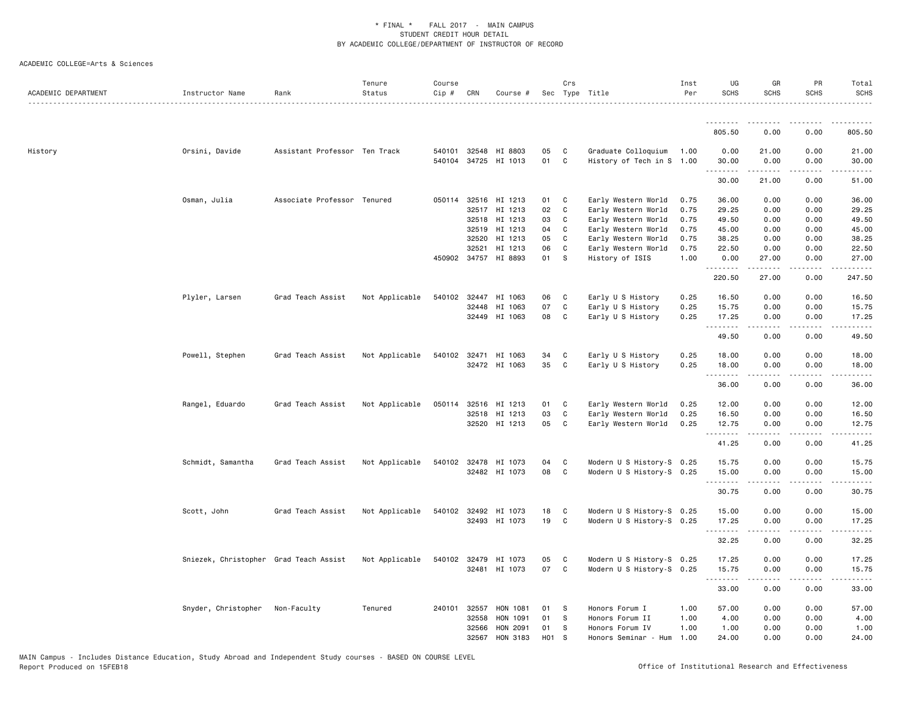| ACADEMIC DEPARTMENT | Instructor Name                        | Rank                          | Tenure<br>Status | Course<br>Cip # | CRN          | Course #                        |            | Crs          | Sec Type Title                                        | Inst<br>Per  | UG<br><b>SCHS</b>      | GR<br><b>SCHS</b>                                                                                 | PR<br><b>SCHS</b>                           | Total<br><b>SCHS</b> |
|---------------------|----------------------------------------|-------------------------------|------------------|-----------------|--------------|---------------------------------|------------|--------------|-------------------------------------------------------|--------------|------------------------|---------------------------------------------------------------------------------------------------|---------------------------------------------|----------------------|
|                     |                                        |                               |                  |                 |              |                                 |            |              |                                                       |              | --------               |                                                                                                   |                                             |                      |
|                     |                                        |                               |                  |                 |              |                                 |            |              |                                                       |              | 805.50                 | 0.00                                                                                              | 0.00                                        | 805.50               |
| History             | Orsini, Davide                         | Assistant Professor Ten Track |                  |                 | 540101 32548 | HI 8803<br>540104 34725 HI 1013 | 05<br>01 C | C C          | Graduate Colloquium 1.00<br>History of Tech in S 1.00 |              | 0.00<br>30.00<br>.     | 21.00<br>0.00                                                                                     | 0.00<br>0.00<br>$\sim$ $\sim$ $\sim$ $\sim$ | 21.00<br>30.00       |
|                     |                                        |                               |                  |                 |              |                                 |            |              |                                                       |              | 30.00                  | 21.00                                                                                             | 0.00                                        | 51.00                |
|                     | Osman, Julia                           | Associate Professor Tenured   |                  | 050114 32516    |              | HI 1213                         | 01 C       |              | Early Western World                                   | 0.75         | 36.00                  | 0.00                                                                                              | 0.00                                        | 36.00                |
|                     |                                        |                               |                  |                 | 32517        | HI 1213                         | 02         | $\mathbf{C}$ | Early Western World                                   | 0.75         | 29.25                  | 0.00                                                                                              | 0.00                                        | 29.25                |
|                     |                                        |                               |                  |                 | 32518        | HI 1213                         | 03         | C            | Early Western World                                   | 0.75         | 49.50                  | 0.00                                                                                              | 0.00                                        | 49.50                |
|                     |                                        |                               |                  |                 | 32519        | HI 1213                         | 04         | C            | Early Western World                                   | 0.75         | 45.00                  | 0.00                                                                                              | 0.00                                        | 45.00                |
|                     |                                        |                               |                  |                 | 32520        | HI 1213                         | 05         | C.           | Early Western World                                   | 0.75         | 38.25                  | 0.00                                                                                              | 0.00                                        | 38.25                |
|                     |                                        |                               |                  |                 | 32521        | HI 1213<br>450902 34757 HI 8893 | 06<br>01   | C.<br>s      | Early Western World                                   | 0.75<br>1.00 | 22.50                  | 0.00                                                                                              | 0.00<br>0.00                                | 22.50                |
|                     |                                        |                               |                  |                 |              |                                 |            |              | History of ISIS                                       |              | 0.00<br>.              | 27.00<br>.                                                                                        | $\sim$ $\sim$ $\sim$ $\sim$                 | 27.00<br>.           |
|                     |                                        |                               |                  |                 |              |                                 |            |              |                                                       |              | 220.50                 | 27.00                                                                                             | 0.00                                        | 247.50               |
|                     | Plyler, Larsen                         | Grad Teach Assist             | Not Applicable   | 540102 32447    |              | HI 1063                         | 06         | C            | Early U S History                                     | 0.25         | 16.50                  | 0.00                                                                                              | 0.00                                        | 16.50                |
|                     |                                        |                               |                  |                 | 32448        | HI 1063                         | 07         | C            | Early U S History                                     | 0.25         | 15.75                  | 0.00                                                                                              | 0.00                                        | 15.75                |
|                     |                                        |                               |                  |                 | 32449        | HI 1063                         | 08         | C            | Early U S History                                     | 0.25         | 17.25                  | 0.00                                                                                              | 0.00                                        | 17.25                |
|                     |                                        |                               |                  |                 |              |                                 |            |              |                                                       |              | <u>.</u><br>49.50      | 0.00                                                                                              | 0.00                                        | 49.50                |
|                     | Powell, Stephen                        | Grad Teach Assist             | Not Applicable   |                 |              | 540102 32471 HI 1063            | 34 C       |              | Early U S History                                     | 0.25         | 18.00                  | 0.00                                                                                              | 0.00                                        | 18.00                |
|                     |                                        |                               |                  |                 |              | 32472 HI 1063                   | 35         | C            | Early U S History                                     | 0.25         | 18.00                  | 0.00                                                                                              | 0.00                                        | 18.00                |
|                     |                                        |                               |                  |                 |              |                                 |            |              |                                                       |              | 1.1.1.1.1.1.1<br>36.00 | .<br>0.00                                                                                         | .<br>0.00                                   | .<br>36.00           |
|                     | Rangel, Eduardo                        | Grad Teach Assist             | Not Applicable   |                 |              | 050114 32516 HI 1213            | 01         | $\mathbf{C}$ | Early Western World                                   | 0.25         | 12.00                  | 0.00                                                                                              | 0.00                                        | 12.00                |
|                     |                                        |                               |                  |                 | 32518        | HI 1213                         | 03         | C            | Early Western World                                   | 0.25         | 16.50                  | 0.00                                                                                              | 0.00                                        | 16.50                |
|                     |                                        |                               |                  |                 |              | 32520 HI 1213                   | 05         | $\mathbf{C}$ | Early Western World                                   | 0.25         | 12.75                  | 0.00                                                                                              | 0.00                                        | 12.75                |
|                     |                                        |                               |                  |                 |              |                                 |            |              |                                                       |              | 41.25                  | 0.00                                                                                              | 0.00                                        | 41.25                |
|                     | Schmidt, Samantha                      | Grad Teach Assist             | Not Applicable   |                 |              | 540102 32478 HI 1073            | 04         | $\mathbf{C}$ | Modern U S History-S 0.25                             |              | 15.75                  | 0.00                                                                                              | 0.00                                        | 15.75                |
|                     |                                        |                               |                  |                 |              | 32482 HI 1073                   | 08         | C            | Modern U S History-S 0.25                             |              | 15.00                  | 0.00                                                                                              | 0.00                                        | 15.00                |
|                     |                                        |                               |                  |                 |              |                                 |            |              |                                                       |              | .                      |                                                                                                   |                                             |                      |
|                     |                                        |                               |                  |                 |              |                                 |            |              |                                                       |              | 30.75                  | 0.00                                                                                              | 0.00                                        | 30.75                |
|                     | Scott, John                            | Grad Teach Assist             | Not Applicable   |                 |              | 540102 32492 HI 1073            | 18         | C.           | Modern U S History-S 0.25                             |              | 15.00                  | 0.00                                                                                              | 0.00                                        | 15.00                |
|                     |                                        |                               |                  |                 |              | 32493 HI 1073                   | 19         | $\mathbf{C}$ | Modern U S History-S 0.25                             |              | 17.25                  | 0.00                                                                                              | 0.00                                        | 17.25                |
|                     |                                        |                               |                  |                 |              |                                 |            |              |                                                       |              | .<br>32.25             | .<br>0.00                                                                                         | -----<br>0.00                               | .<br>32.25           |
|                     | Sniezek, Christopher Grad Teach Assist |                               | Not Applicable   | 540102 32479    |              | HI 1073                         | 05         | $\mathbf{C}$ | Modern U S History-S 0.25                             |              | 17.25                  | 0.00                                                                                              | 0.00                                        | 17.25                |
|                     |                                        |                               |                  |                 |              | 32481 HI 1073                   | 07         | $\mathbf{C}$ | Modern U S History-S 0.25                             |              | 15.75                  | 0.00                                                                                              | 0.00                                        | 15.75                |
|                     |                                        |                               |                  |                 |              |                                 |            |              |                                                       |              | .                      | $\begin{array}{cccccccccc} \bullet & \bullet & \bullet & \bullet & \bullet & \bullet \end{array}$ | .                                           | .                    |
|                     |                                        |                               |                  |                 |              |                                 |            |              |                                                       |              | 33.00                  | 0.00                                                                                              | 0.00                                        | 33.00                |
|                     | Snyder, Christopher                    | Non-Faculty                   | Tenured          | 240101 32557    |              | HON 1081                        | 01         | $^{\circ}$ S | Honors Forum I                                        | 1.00         | 57.00                  | 0.00                                                                                              | 0.00                                        | 57.00                |
|                     |                                        |                               |                  |                 | 32558        | HON 1091                        | 01         | s.           | Honors Forum II                                       | 1.00         | 4.00                   | 0.00                                                                                              | 0.00                                        | 4.00                 |
|                     |                                        |                               |                  |                 | 32566        | HON 2091                        | 01         | - S          | Honors Forum IV                                       | 1.00         | 1.00                   | 0.00                                                                                              | 0.00                                        | 1.00                 |
|                     |                                        |                               |                  |                 | 32567        | HON 3183                        | H01 S      |              | Honors Seminar - Hum                                  | 1.00         | 24.00                  | 0.00                                                                                              | 0.00                                        | 24.00                |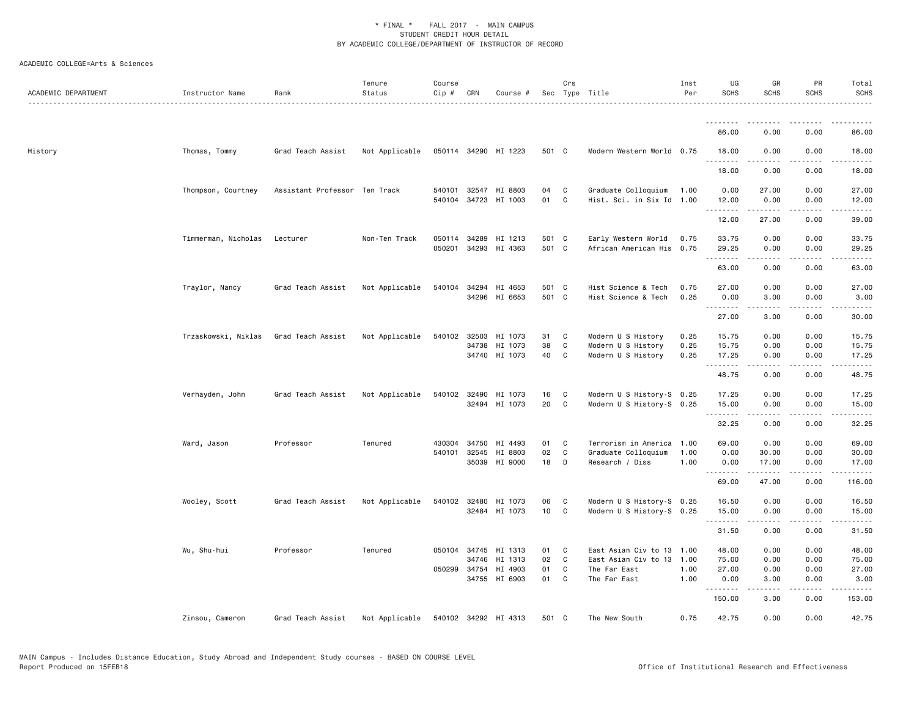| ACADEMIC DEPARTMENT | Instructor Name     | Rank                          | Tenure<br>Status | Course<br>Cip # | CRN          | Course #                 |            | Crs                          | Sec Type Title                                         | Inst<br>Per  | UG<br><b>SCHS</b>   | GR<br><b>SCHS</b>   | PR<br><b>SCHS</b> | Total<br><b>SCHS</b> |
|---------------------|---------------------|-------------------------------|------------------|-----------------|--------------|--------------------------|------------|------------------------------|--------------------------------------------------------|--------------|---------------------|---------------------|-------------------|----------------------|
|                     |                     |                               |                  |                 |              |                          |            |                              |                                                        |              | .                   | ------              |                   | .                    |
|                     |                     |                               |                  |                 |              |                          |            |                              |                                                        |              | 86.00               | 0.00                | 0.00              | 86.00                |
| History             | Thomas, Tommy       | Grad Teach Assist             | Not Applicable   |                 |              | 050114 34290 HI 1223     | 501 C      |                              | Modern Western World 0.75                              |              | 18.00<br>. <b>.</b> | 0.00<br>.           | 0.00<br>.         | 18.00<br>.           |
|                     |                     |                               |                  |                 |              |                          |            |                              |                                                        |              | 18.00               | 0.00                | 0.00              | 18.00                |
|                     | Thompson, Courtney  | Assistant Professor Ten Track |                  |                 | 540101 32547 | HI 8803                  | 04         | C                            | Graduate Colloquium                                    | 1.00         | 0.00                | 27.00               | 0.00              | 27.00                |
|                     |                     |                               |                  |                 |              | 540104 34723 HI 1003     | 01         | $\mathbf{C}$                 | Hist. Sci. in Six Id 1.00                              |              | 12.00<br>.          | 0.00                | 0.00              | 12.00                |
|                     |                     |                               |                  |                 |              |                          |            |                              |                                                        |              | 12.00               | 27.00               | 0.00              | 39.00                |
|                     | Timmerman, Nicholas | Lecturer                      | Non-Ten Track    |                 | 050114 34289 | HI 1213                  | 501 C      |                              | Early Western World                                    | 0.75         | 33.75               | 0.00                | 0.00              | 33.75                |
|                     |                     |                               |                  | 050201          | 34293        | HI 4363                  | 501 C      |                              | African American His 0.75                              |              | 29.25<br>.          | 0.00<br>.           | 0.00<br>.         | 29.25<br>.           |
|                     |                     |                               |                  |                 |              |                          |            |                              |                                                        |              | 63.00               | 0.00                | 0.00              | 63.00                |
|                     | Traylor, Nancy      | Grad Teach Assist             | Not Applicable   |                 | 540104 34294 | HI 4653                  | 501 C      |                              | Hist Science & Tech                                    | 0.75         | 27.00               | 0.00                | 0.00              | 27.00                |
|                     |                     |                               |                  |                 |              | 34296 HI 6653            | 501 C      |                              | Hist Science & Tech                                    | 0.25         | 0.00<br>.           | 3.00<br>.           | 0.00<br>$\cdots$  | 3.00<br>. <u>.</u>   |
|                     |                     |                               |                  |                 |              |                          |            |                              |                                                        |              | 27.00               | 3.00                | 0.00              | 30.00                |
|                     | Trzaskowski, Niklas | Grad Teach Assist             | Not Applicable   |                 |              | 540102 32503 HI 1073     | 31         | $\mathbf{C}$                 | Modern U S History                                     | 0.25         | 15.75               | 0.00                | 0.00              | 15.75                |
|                     |                     |                               |                  |                 | 34738        | HI 1073<br>34740 HI 1073 | 38<br>40   | C<br>C                       | Modern U S History<br>Modern U S History               | 0.25<br>0.25 | 15.75<br>17.25      | 0.00<br>0.00        | 0.00<br>0.00      | 15.75<br>17.25       |
|                     |                     |                               |                  |                 |              |                          |            |                              |                                                        |              | .<br>48.75          | .<br>0.00           | 0.00              | .<br>48.75           |
|                     |                     |                               |                  |                 |              |                          |            |                              |                                                        |              |                     |                     |                   |                      |
|                     | Verhayden, John     | Grad Teach Assist             | Not Applicable   |                 | 540102 32490 | HI 1073<br>32494 HI 1073 | 16<br>20   | $\mathbf{C}$<br>$\mathbf{C}$ | Modern U S History-S 0.25<br>Modern U S History-S 0.25 |              | 17.25<br>15.00      | 0.00<br>0.00        | 0.00<br>0.00      | 17.25<br>15.00       |
|                     |                     |                               |                  |                 |              |                          |            |                              |                                                        |              | .<br>32.25          | $- - - - -$<br>0.00 | .<br>0.00         | ------<br>32.25      |
|                     | Ward, Jason         | Professor                     | Tenured          | 430304          | 34750        | HI 4493                  | 01         | $\mathbf{C}$                 | Terrorism in America                                   | 1.00         | 69.00               | 0.00                | 0.00              | 69.00                |
|                     |                     |                               |                  |                 | 540101 32545 | HI 8803                  | 02         | C                            | Graduate Colloquium                                    | 1.00         | 0.00                | 30.00               | 0.00              | 30.00                |
|                     |                     |                               |                  |                 | 35039        | HI 9000                  | 18         | $\Box$                       | Research / Diss                                        | 1.00         | 0.00<br>.           | 17.00<br>.          | 0.00<br>.         | 17.00                |
|                     |                     |                               |                  |                 |              |                          |            |                              |                                                        |              | 69.00               | 47.00               | 0.00              | 116.00               |
|                     | Wooley, Scott       | Grad Teach Assist             | Not Applicable   |                 | 540102 32480 | HI 1073                  | 06         | $\mathbf{C}$                 | Modern U S History-S 0.25                              |              | 16.50               | 0.00                | 0.00              | 16.50                |
|                     |                     |                               |                  |                 |              | 32484 HI 1073            | 10         | $\mathbf{C}$                 | Modern U S History-S 0.25                              |              | 15.00<br>.          | 0.00                | 0.00              | 15.00                |
|                     |                     |                               |                  |                 |              |                          |            |                              |                                                        |              | 31.50               | 0.00                | 0.00              | 31.50                |
|                     | Wu, Shu-hui         | Professor                     | Tenured          |                 | 050104 34745 | HI 1313                  | 01         | $\overline{\phantom{a}}$ C   | East Asian Civ to 13 1.00                              |              | 48.00               | 0.00                | 0.00              | 48.00                |
|                     |                     |                               |                  |                 | 34746        | HI 1313                  | 02         | $\mathbf{C}$                 | East Asian Civ to 13 1.00                              |              | 75.00               | 0.00                | 0.00              | 75.00                |
|                     |                     |                               |                  |                 | 050299 34754 | HI 4903<br>34755 HI 6903 | 01<br>01 C | C                            | The Far East<br>The Far East                           | 1.00<br>1.00 | 27.00<br>0.00       | 0.00<br>3.00        | 0.00<br>0.00      | 27.00<br>3.00        |
|                     |                     |                               |                  |                 |              |                          |            |                              |                                                        |              | .                   | .                   | .                 | <u>.</u>             |
|                     |                     |                               |                  |                 |              |                          |            |                              |                                                        |              | 150.00              | 3.00                | 0.00              | 153.00               |
|                     | Zinsou, Cameron     | Grad Teach Assist             | Not Applicable   |                 |              | 540102 34292 HI 4313     | 501 C      |                              | The New South                                          | 0.75         | 42.75               | 0.00                | 0.00              | 42.75                |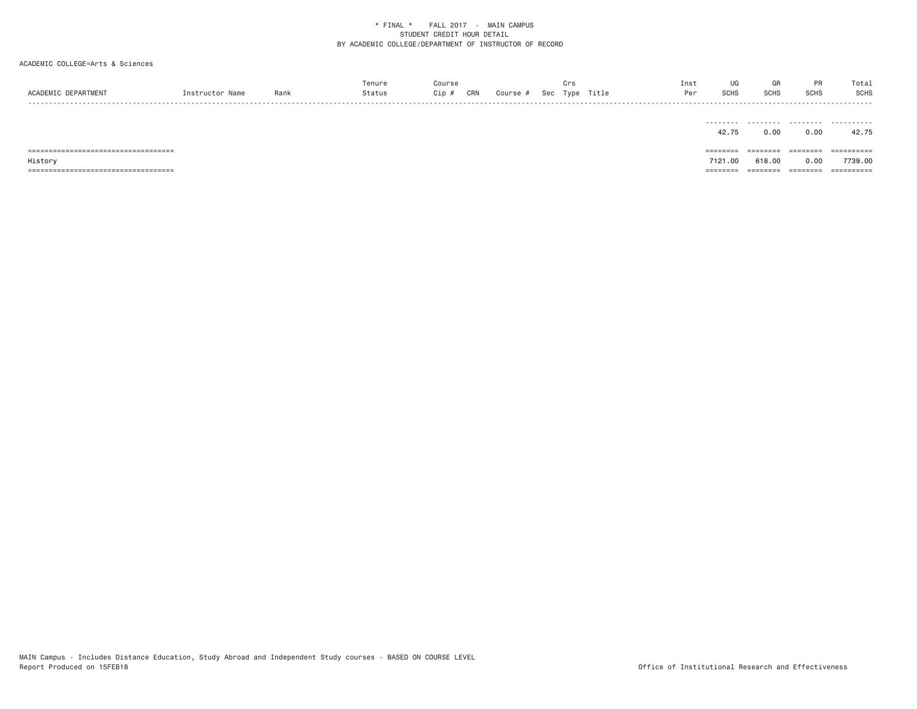# ACADEMIC COLLEGE=Arts & Sciences

|                               |                 |      | enure | Course |     |                     |     |      |       | Inst | UG                 |             |      | Total |
|-------------------------------|-----------------|------|-------|--------|-----|---------------------|-----|------|-------|------|--------------------|-------------|------|-------|
| ACADEMIC D<br><b>FPARTMEN</b> | Instructor Namo | Ran. |       | Cip #  | CRN | Course <del>h</del> | Sec | Type | Title | Per  | 0010<br><b>SUH</b> | <b>SCHS</b> | SCHS | SCHS  |
| -----                         |                 |      |       |        |     |                     |     |      |       |      |                    |             |      | ----- |

|                               | .        |         | -------- | -------    |
|-------------------------------|----------|---------|----------|------------|
|                               | 42.75    | 0.00    | 0.00     | 42.75      |
|                               |          |         |          |            |
| ;============================ | ======== | ======= | ====     | ---------- |
| ====                          |          |         |          |            |
| History                       | 7121.00  | 618.00  | 0.00     | 7739.00    |

MAIN Campus - Includes Distance Education, Study Abroad and Independent Study courses - BASED ON COURSE LEVEL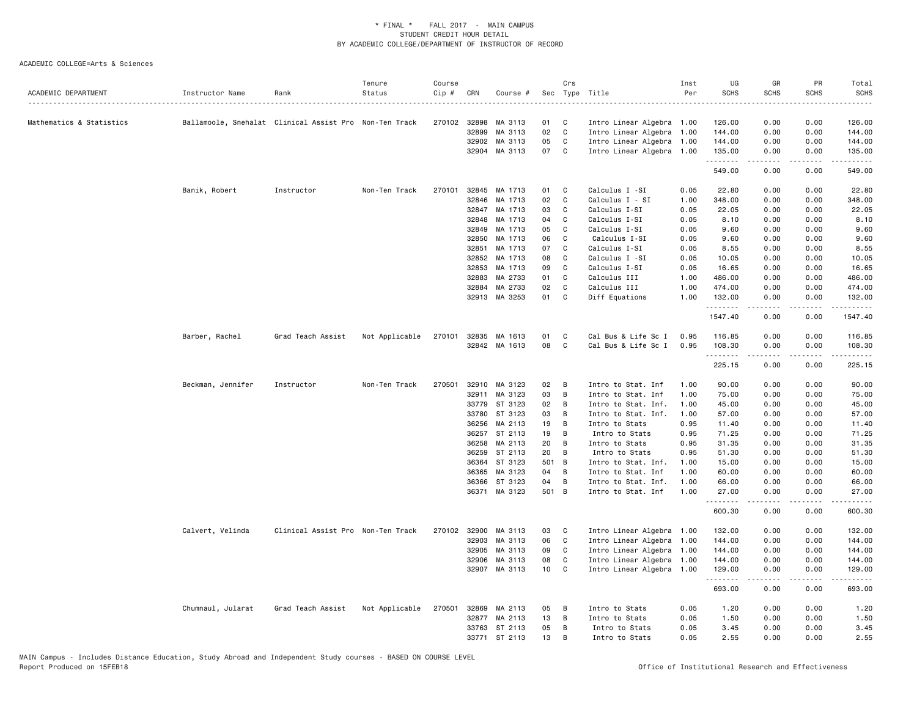| Mathematics & Statistics<br>Ballamoole, Snehalat Clinical Assist Pro Non-Ten Track<br>270102 32898<br>MA 3113<br>01<br>C<br>Intro Linear Algebra 1.00<br>126.00<br>0.00<br>0.00<br>126.00<br>32899<br>MA 3113<br>02<br>C<br>Intro Linear Algebra<br>0.00<br>1.00<br>144.00<br>0.00<br>144.00<br>05<br>32902<br>MA 3113<br>C<br>Intro Linear Algebra<br>1.00<br>144.00<br>0.00<br>0.00<br>144.00<br>32904 MA 3113<br>07<br>Intro Linear Algebra 1.00<br>$\mathbf{C}$<br>135.00<br>0.00<br>0.00<br>135.00<br>.<br>549.00<br>0.00<br>0.00<br>270101<br>32845<br>MA 1713<br>Calculus I -SI<br>22.80<br>0.00<br>Banik, Robert<br>Instructor<br>Non-Ten Track<br>01<br>C<br>0.05<br>0.00<br>02<br>32846<br>MA 1713<br>C<br>Calculus I - SI<br>1.00<br>348.00<br>0.00<br>0.00<br>348.00<br>32847<br>MA 1713<br>03<br>C<br>Calculus I-SI<br>0.00<br>0.05<br>22.05<br>0.00<br>32848<br>MA 1713<br>04<br>Calculus I-SI<br>0.05<br>C<br>8.10<br>0.00<br>0.00<br>32849<br>MA 1713<br>05<br>C<br>Calculus I-SI<br>0.05<br>9.60<br>0.00<br>0.00<br>32850<br>MA 1713<br>06<br>C<br>Calculus I-SI<br>0.05<br>0.00<br>9.60<br>0.00<br>MA 1713<br>07<br>32851<br>C<br>Calculus I-SI<br>0.05<br>8.55<br>0.00<br>0.00<br>32852<br>MA 1713<br>08<br>C<br>Calculus I -SI<br>0.05<br>10.05<br>0.00<br>0.00<br>32853<br>MA 1713<br>09<br>C<br>Calculus I-SI<br>0.05<br>16.65<br>0.00<br>0.00<br>32883<br>MA 2733<br>01<br>C<br>Calculus III<br>1.00<br>486.00<br>0.00<br>0.00<br>32884<br>MA 2733<br>02<br>Calculus III<br>1.00<br>474.00<br>0.00<br>C<br>0.00<br>32913 MA 3253<br>01<br>C<br>Diff Equations<br>1.00<br>132.00<br>0.00<br>0.00<br>.<br>.<br>.<br>-----<br>1547.40<br>0.00<br>0.00<br>Barber, Rachel<br>Not Applicable<br>32835<br>01<br>C<br>Cal Bus & Life Sc I<br>0.00<br>0.00<br>Grad Teach Assist<br>270101<br>MA 1613<br>0.95<br>116.85<br>116.85<br>08<br>32842 MA 1613<br>C<br>Cal Bus & Life Sc I<br>0.95<br>108.30<br>0.00<br>0.00<br>.<br>$\sim$ $\sim$ $\sim$ $\sim$<br>.<br>225.15<br>0.00<br>0.00<br>225.15<br>Non-Ten Track<br>270501<br>32910<br>MA 3123<br>02<br>0.00<br>Beckman, Jennifer<br>Instructor<br>B<br>Intro to Stat. Inf<br>1.00<br>90.00<br>0.00<br>32911 MA 3123<br>03<br>75.00<br>B<br>Intro to Stat. Inf<br>1.00<br>0.00<br>0.00<br>33779<br>ST 3123<br>02<br>B<br>Intro to Stat. Inf.<br>1.00<br>45.00<br>0.00<br>0.00<br>33780<br>ST 3123<br>03<br>57.00<br>0.00<br>0.00<br>В<br>Intro to Stat. Inf.<br>1.00<br>36256<br>MA 2113<br>19<br>B<br>Intro to Stats<br>0.95<br>11.40<br>0.00<br>0.00<br>36257<br>ST 2113<br>19<br>B<br>Intro to Stats<br>0.95<br>71.25<br>0.00<br>0.00<br>MA 2113<br>20<br>36258<br>B<br>Intro to Stats<br>0.95<br>31.35<br>0.00<br>0.00<br>36259<br>ST 2113<br>20<br>B<br>0.95<br>51.30<br>0.00<br>0.00<br>Intro to Stats<br>36364<br>ST 3123<br>501 B<br>1.00<br>15.00<br>0.00<br>0.00<br>Intro to Stat. Inf.<br>36365<br>MA 3123<br>04<br>B<br>1.00<br>60.00<br>Intro to Stat. Inf<br>0.00<br>0.00<br>04<br>36366<br>ST 3123<br>B<br>1.00<br>66.00<br>0.00<br>0.00<br>Intro to Stat. Inf.<br>36371 MA 3123<br>501 B<br>Intro to Stat. Inf<br>1.00<br>27.00<br>0.00<br>0.00<br>.<br>د د د د<br>600.30<br>0.00<br>0.00<br>Calvert, Velinda<br>Clinical Assist Pro Non-Ten Track<br>270102 32900<br>MA 3113<br>03<br>Intro Linear Algebra 1.00<br>132.00<br>0.00<br>C<br>0.00<br>32903<br>MA 3113<br>06<br>C<br>Intro Linear Algebra<br>1.00<br>144.00<br>0.00<br>0.00<br>09<br>32905<br>MA 3113<br>C<br>Intro Linear Algebra<br>144.00<br>0.00<br>0.00<br>1.00<br>32906<br>MA 3113<br>08<br>C<br>Intro Linear Algebra<br>144.00<br>1.00<br>0.00<br>0.00<br>10<br>32907 MA 3113<br>C<br>Intro Linear Algebra<br>1.00<br>129.00<br>0.00<br>0.00<br>.<br>.<br>.<br>.<br>693.00<br>0.00<br>0.00<br>05<br>0.05<br>0.00<br>Chumnaul, Jularat<br>Grad Teach Assist<br>Not Applicable<br>270501<br>32869<br>MA 2113<br>B<br>Intro to Stats<br>1.20<br>0.00<br>13<br>0.05<br>32877 MA 2113<br>B<br>Intro to Stats<br>1.50<br>0.00<br>0.00<br>ST 2113<br>05<br>0.05<br>33763<br>B<br>Intro to Stats<br>3.45<br>0.00<br>0.00<br>33771 ST 2113<br>13<br>B<br>0.05<br>2.55<br>0.00<br>0.00<br>Intro to Stats | ACADEMIC DEPARTMENT | Instructor Name | Rank | Tenure<br>Status | Course<br>Cip # | CRN | Course # | Crs | Sec Type Title<br>. | Inst<br>Per | UG<br><b>SCHS</b> | GR<br><b>SCHS</b> | PR<br><b>SCHS</b> | Total<br><b>SCHS</b> |
|-----------------------------------------------------------------------------------------------------------------------------------------------------------------------------------------------------------------------------------------------------------------------------------------------------------------------------------------------------------------------------------------------------------------------------------------------------------------------------------------------------------------------------------------------------------------------------------------------------------------------------------------------------------------------------------------------------------------------------------------------------------------------------------------------------------------------------------------------------------------------------------------------------------------------------------------------------------------------------------------------------------------------------------------------------------------------------------------------------------------------------------------------------------------------------------------------------------------------------------------------------------------------------------------------------------------------------------------------------------------------------------------------------------------------------------------------------------------------------------------------------------------------------------------------------------------------------------------------------------------------------------------------------------------------------------------------------------------------------------------------------------------------------------------------------------------------------------------------------------------------------------------------------------------------------------------------------------------------------------------------------------------------------------------------------------------------------------------------------------------------------------------------------------------------------------------------------------------------------------------------------------------------------------------------------------------------------------------------------------------------------------------------------------------------------------------------------------------------------------------------------------------------------------------------------------------------------------------------------------------------------------------------------------------------------------------------------------------------------------------------------------------------------------------------------------------------------------------------------------------------------------------------------------------------------------------------------------------------------------------------------------------------------------------------------------------------------------------------------------------------------------------------------------------------------------------------------------------------------------------------------------------------------------------------------------------------------------------------------------------------------------------------------------------------------------------------------------------------------------------------------------------------------------------------------------------------------------------------------------------------------------------------------------------------------------------------------------------------------------------------------------------------------------------------------------------------------------------------------------------------------------------------------------------------------------------------------------------------------------------------------------------------------------------------------------------------------------------------------------------------------------------------------|---------------------|-----------------|------|------------------|-----------------|-----|----------|-----|---------------------|-------------|-------------------|-------------------|-------------------|----------------------|
|                                                                                                                                                                                                                                                                                                                                                                                                                                                                                                                                                                                                                                                                                                                                                                                                                                                                                                                                                                                                                                                                                                                                                                                                                                                                                                                                                                                                                                                                                                                                                                                                                                                                                                                                                                                                                                                                                                                                                                                                                                                                                                                                                                                                                                                                                                                                                                                                                                                                                                                                                                                                                                                                                                                                                                                                                                                                                                                                                                                                                                                                                                                                                                                                                                                                                                                                                                                                                                                                                                                                                                                                                                                                                                                                                                                                                                                                                                                                                                                                                                                                                                                                                     |                     |                 |      |                  |                 |     |          |     |                     |             |                   |                   |                   |                      |
|                                                                                                                                                                                                                                                                                                                                                                                                                                                                                                                                                                                                                                                                                                                                                                                                                                                                                                                                                                                                                                                                                                                                                                                                                                                                                                                                                                                                                                                                                                                                                                                                                                                                                                                                                                                                                                                                                                                                                                                                                                                                                                                                                                                                                                                                                                                                                                                                                                                                                                                                                                                                                                                                                                                                                                                                                                                                                                                                                                                                                                                                                                                                                                                                                                                                                                                                                                                                                                                                                                                                                                                                                                                                                                                                                                                                                                                                                                                                                                                                                                                                                                                                                     |                     |                 |      |                  |                 |     |          |     |                     |             |                   |                   |                   |                      |
|                                                                                                                                                                                                                                                                                                                                                                                                                                                                                                                                                                                                                                                                                                                                                                                                                                                                                                                                                                                                                                                                                                                                                                                                                                                                                                                                                                                                                                                                                                                                                                                                                                                                                                                                                                                                                                                                                                                                                                                                                                                                                                                                                                                                                                                                                                                                                                                                                                                                                                                                                                                                                                                                                                                                                                                                                                                                                                                                                                                                                                                                                                                                                                                                                                                                                                                                                                                                                                                                                                                                                                                                                                                                                                                                                                                                                                                                                                                                                                                                                                                                                                                                                     |                     |                 |      |                  |                 |     |          |     |                     |             |                   |                   |                   |                      |
|                                                                                                                                                                                                                                                                                                                                                                                                                                                                                                                                                                                                                                                                                                                                                                                                                                                                                                                                                                                                                                                                                                                                                                                                                                                                                                                                                                                                                                                                                                                                                                                                                                                                                                                                                                                                                                                                                                                                                                                                                                                                                                                                                                                                                                                                                                                                                                                                                                                                                                                                                                                                                                                                                                                                                                                                                                                                                                                                                                                                                                                                                                                                                                                                                                                                                                                                                                                                                                                                                                                                                                                                                                                                                                                                                                                                                                                                                                                                                                                                                                                                                                                                                     |                     |                 |      |                  |                 |     |          |     |                     |             |                   |                   |                   |                      |
|                                                                                                                                                                                                                                                                                                                                                                                                                                                                                                                                                                                                                                                                                                                                                                                                                                                                                                                                                                                                                                                                                                                                                                                                                                                                                                                                                                                                                                                                                                                                                                                                                                                                                                                                                                                                                                                                                                                                                                                                                                                                                                                                                                                                                                                                                                                                                                                                                                                                                                                                                                                                                                                                                                                                                                                                                                                                                                                                                                                                                                                                                                                                                                                                                                                                                                                                                                                                                                                                                                                                                                                                                                                                                                                                                                                                                                                                                                                                                                                                                                                                                                                                                     |                     |                 |      |                  |                 |     |          |     |                     |             |                   |                   |                   |                      |
|                                                                                                                                                                                                                                                                                                                                                                                                                                                                                                                                                                                                                                                                                                                                                                                                                                                                                                                                                                                                                                                                                                                                                                                                                                                                                                                                                                                                                                                                                                                                                                                                                                                                                                                                                                                                                                                                                                                                                                                                                                                                                                                                                                                                                                                                                                                                                                                                                                                                                                                                                                                                                                                                                                                                                                                                                                                                                                                                                                                                                                                                                                                                                                                                                                                                                                                                                                                                                                                                                                                                                                                                                                                                                                                                                                                                                                                                                                                                                                                                                                                                                                                                                     |                     |                 |      |                  |                 |     |          |     |                     |             |                   |                   |                   | 549.00               |
|                                                                                                                                                                                                                                                                                                                                                                                                                                                                                                                                                                                                                                                                                                                                                                                                                                                                                                                                                                                                                                                                                                                                                                                                                                                                                                                                                                                                                                                                                                                                                                                                                                                                                                                                                                                                                                                                                                                                                                                                                                                                                                                                                                                                                                                                                                                                                                                                                                                                                                                                                                                                                                                                                                                                                                                                                                                                                                                                                                                                                                                                                                                                                                                                                                                                                                                                                                                                                                                                                                                                                                                                                                                                                                                                                                                                                                                                                                                                                                                                                                                                                                                                                     |                     |                 |      |                  |                 |     |          |     |                     |             |                   |                   |                   | 22.80                |
|                                                                                                                                                                                                                                                                                                                                                                                                                                                                                                                                                                                                                                                                                                                                                                                                                                                                                                                                                                                                                                                                                                                                                                                                                                                                                                                                                                                                                                                                                                                                                                                                                                                                                                                                                                                                                                                                                                                                                                                                                                                                                                                                                                                                                                                                                                                                                                                                                                                                                                                                                                                                                                                                                                                                                                                                                                                                                                                                                                                                                                                                                                                                                                                                                                                                                                                                                                                                                                                                                                                                                                                                                                                                                                                                                                                                                                                                                                                                                                                                                                                                                                                                                     |                     |                 |      |                  |                 |     |          |     |                     |             |                   |                   |                   |                      |
|                                                                                                                                                                                                                                                                                                                                                                                                                                                                                                                                                                                                                                                                                                                                                                                                                                                                                                                                                                                                                                                                                                                                                                                                                                                                                                                                                                                                                                                                                                                                                                                                                                                                                                                                                                                                                                                                                                                                                                                                                                                                                                                                                                                                                                                                                                                                                                                                                                                                                                                                                                                                                                                                                                                                                                                                                                                                                                                                                                                                                                                                                                                                                                                                                                                                                                                                                                                                                                                                                                                                                                                                                                                                                                                                                                                                                                                                                                                                                                                                                                                                                                                                                     |                     |                 |      |                  |                 |     |          |     |                     |             |                   |                   |                   | 22.05                |
|                                                                                                                                                                                                                                                                                                                                                                                                                                                                                                                                                                                                                                                                                                                                                                                                                                                                                                                                                                                                                                                                                                                                                                                                                                                                                                                                                                                                                                                                                                                                                                                                                                                                                                                                                                                                                                                                                                                                                                                                                                                                                                                                                                                                                                                                                                                                                                                                                                                                                                                                                                                                                                                                                                                                                                                                                                                                                                                                                                                                                                                                                                                                                                                                                                                                                                                                                                                                                                                                                                                                                                                                                                                                                                                                                                                                                                                                                                                                                                                                                                                                                                                                                     |                     |                 |      |                  |                 |     |          |     |                     |             |                   |                   |                   | 8.10                 |
|                                                                                                                                                                                                                                                                                                                                                                                                                                                                                                                                                                                                                                                                                                                                                                                                                                                                                                                                                                                                                                                                                                                                                                                                                                                                                                                                                                                                                                                                                                                                                                                                                                                                                                                                                                                                                                                                                                                                                                                                                                                                                                                                                                                                                                                                                                                                                                                                                                                                                                                                                                                                                                                                                                                                                                                                                                                                                                                                                                                                                                                                                                                                                                                                                                                                                                                                                                                                                                                                                                                                                                                                                                                                                                                                                                                                                                                                                                                                                                                                                                                                                                                                                     |                     |                 |      |                  |                 |     |          |     |                     |             |                   |                   |                   | 9.60                 |
|                                                                                                                                                                                                                                                                                                                                                                                                                                                                                                                                                                                                                                                                                                                                                                                                                                                                                                                                                                                                                                                                                                                                                                                                                                                                                                                                                                                                                                                                                                                                                                                                                                                                                                                                                                                                                                                                                                                                                                                                                                                                                                                                                                                                                                                                                                                                                                                                                                                                                                                                                                                                                                                                                                                                                                                                                                                                                                                                                                                                                                                                                                                                                                                                                                                                                                                                                                                                                                                                                                                                                                                                                                                                                                                                                                                                                                                                                                                                                                                                                                                                                                                                                     |                     |                 |      |                  |                 |     |          |     |                     |             |                   |                   |                   | 9.60                 |
|                                                                                                                                                                                                                                                                                                                                                                                                                                                                                                                                                                                                                                                                                                                                                                                                                                                                                                                                                                                                                                                                                                                                                                                                                                                                                                                                                                                                                                                                                                                                                                                                                                                                                                                                                                                                                                                                                                                                                                                                                                                                                                                                                                                                                                                                                                                                                                                                                                                                                                                                                                                                                                                                                                                                                                                                                                                                                                                                                                                                                                                                                                                                                                                                                                                                                                                                                                                                                                                                                                                                                                                                                                                                                                                                                                                                                                                                                                                                                                                                                                                                                                                                                     |                     |                 |      |                  |                 |     |          |     |                     |             |                   |                   |                   | 8.55                 |
|                                                                                                                                                                                                                                                                                                                                                                                                                                                                                                                                                                                                                                                                                                                                                                                                                                                                                                                                                                                                                                                                                                                                                                                                                                                                                                                                                                                                                                                                                                                                                                                                                                                                                                                                                                                                                                                                                                                                                                                                                                                                                                                                                                                                                                                                                                                                                                                                                                                                                                                                                                                                                                                                                                                                                                                                                                                                                                                                                                                                                                                                                                                                                                                                                                                                                                                                                                                                                                                                                                                                                                                                                                                                                                                                                                                                                                                                                                                                                                                                                                                                                                                                                     |                     |                 |      |                  |                 |     |          |     |                     |             |                   |                   |                   | 10.05                |
|                                                                                                                                                                                                                                                                                                                                                                                                                                                                                                                                                                                                                                                                                                                                                                                                                                                                                                                                                                                                                                                                                                                                                                                                                                                                                                                                                                                                                                                                                                                                                                                                                                                                                                                                                                                                                                                                                                                                                                                                                                                                                                                                                                                                                                                                                                                                                                                                                                                                                                                                                                                                                                                                                                                                                                                                                                                                                                                                                                                                                                                                                                                                                                                                                                                                                                                                                                                                                                                                                                                                                                                                                                                                                                                                                                                                                                                                                                                                                                                                                                                                                                                                                     |                     |                 |      |                  |                 |     |          |     |                     |             |                   |                   |                   | 16.65                |
|                                                                                                                                                                                                                                                                                                                                                                                                                                                                                                                                                                                                                                                                                                                                                                                                                                                                                                                                                                                                                                                                                                                                                                                                                                                                                                                                                                                                                                                                                                                                                                                                                                                                                                                                                                                                                                                                                                                                                                                                                                                                                                                                                                                                                                                                                                                                                                                                                                                                                                                                                                                                                                                                                                                                                                                                                                                                                                                                                                                                                                                                                                                                                                                                                                                                                                                                                                                                                                                                                                                                                                                                                                                                                                                                                                                                                                                                                                                                                                                                                                                                                                                                                     |                     |                 |      |                  |                 |     |          |     |                     |             |                   |                   |                   | 486.00               |
|                                                                                                                                                                                                                                                                                                                                                                                                                                                                                                                                                                                                                                                                                                                                                                                                                                                                                                                                                                                                                                                                                                                                                                                                                                                                                                                                                                                                                                                                                                                                                                                                                                                                                                                                                                                                                                                                                                                                                                                                                                                                                                                                                                                                                                                                                                                                                                                                                                                                                                                                                                                                                                                                                                                                                                                                                                                                                                                                                                                                                                                                                                                                                                                                                                                                                                                                                                                                                                                                                                                                                                                                                                                                                                                                                                                                                                                                                                                                                                                                                                                                                                                                                     |                     |                 |      |                  |                 |     |          |     |                     |             |                   |                   |                   | 474.00               |
|                                                                                                                                                                                                                                                                                                                                                                                                                                                                                                                                                                                                                                                                                                                                                                                                                                                                                                                                                                                                                                                                                                                                                                                                                                                                                                                                                                                                                                                                                                                                                                                                                                                                                                                                                                                                                                                                                                                                                                                                                                                                                                                                                                                                                                                                                                                                                                                                                                                                                                                                                                                                                                                                                                                                                                                                                                                                                                                                                                                                                                                                                                                                                                                                                                                                                                                                                                                                                                                                                                                                                                                                                                                                                                                                                                                                                                                                                                                                                                                                                                                                                                                                                     |                     |                 |      |                  |                 |     |          |     |                     |             |                   |                   |                   | 132.00               |
|                                                                                                                                                                                                                                                                                                                                                                                                                                                                                                                                                                                                                                                                                                                                                                                                                                                                                                                                                                                                                                                                                                                                                                                                                                                                                                                                                                                                                                                                                                                                                                                                                                                                                                                                                                                                                                                                                                                                                                                                                                                                                                                                                                                                                                                                                                                                                                                                                                                                                                                                                                                                                                                                                                                                                                                                                                                                                                                                                                                                                                                                                                                                                                                                                                                                                                                                                                                                                                                                                                                                                                                                                                                                                                                                                                                                                                                                                                                                                                                                                                                                                                                                                     |                     |                 |      |                  |                 |     |          |     |                     |             |                   |                   |                   | 1547.40              |
|                                                                                                                                                                                                                                                                                                                                                                                                                                                                                                                                                                                                                                                                                                                                                                                                                                                                                                                                                                                                                                                                                                                                                                                                                                                                                                                                                                                                                                                                                                                                                                                                                                                                                                                                                                                                                                                                                                                                                                                                                                                                                                                                                                                                                                                                                                                                                                                                                                                                                                                                                                                                                                                                                                                                                                                                                                                                                                                                                                                                                                                                                                                                                                                                                                                                                                                                                                                                                                                                                                                                                                                                                                                                                                                                                                                                                                                                                                                                                                                                                                                                                                                                                     |                     |                 |      |                  |                 |     |          |     |                     |             |                   |                   |                   |                      |
|                                                                                                                                                                                                                                                                                                                                                                                                                                                                                                                                                                                                                                                                                                                                                                                                                                                                                                                                                                                                                                                                                                                                                                                                                                                                                                                                                                                                                                                                                                                                                                                                                                                                                                                                                                                                                                                                                                                                                                                                                                                                                                                                                                                                                                                                                                                                                                                                                                                                                                                                                                                                                                                                                                                                                                                                                                                                                                                                                                                                                                                                                                                                                                                                                                                                                                                                                                                                                                                                                                                                                                                                                                                                                                                                                                                                                                                                                                                                                                                                                                                                                                                                                     |                     |                 |      |                  |                 |     |          |     |                     |             |                   |                   |                   | 108.30               |
|                                                                                                                                                                                                                                                                                                                                                                                                                                                                                                                                                                                                                                                                                                                                                                                                                                                                                                                                                                                                                                                                                                                                                                                                                                                                                                                                                                                                                                                                                                                                                                                                                                                                                                                                                                                                                                                                                                                                                                                                                                                                                                                                                                                                                                                                                                                                                                                                                                                                                                                                                                                                                                                                                                                                                                                                                                                                                                                                                                                                                                                                                                                                                                                                                                                                                                                                                                                                                                                                                                                                                                                                                                                                                                                                                                                                                                                                                                                                                                                                                                                                                                                                                     |                     |                 |      |                  |                 |     |          |     |                     |             |                   |                   |                   |                      |
|                                                                                                                                                                                                                                                                                                                                                                                                                                                                                                                                                                                                                                                                                                                                                                                                                                                                                                                                                                                                                                                                                                                                                                                                                                                                                                                                                                                                                                                                                                                                                                                                                                                                                                                                                                                                                                                                                                                                                                                                                                                                                                                                                                                                                                                                                                                                                                                                                                                                                                                                                                                                                                                                                                                                                                                                                                                                                                                                                                                                                                                                                                                                                                                                                                                                                                                                                                                                                                                                                                                                                                                                                                                                                                                                                                                                                                                                                                                                                                                                                                                                                                                                                     |                     |                 |      |                  |                 |     |          |     |                     |             |                   |                   |                   |                      |
|                                                                                                                                                                                                                                                                                                                                                                                                                                                                                                                                                                                                                                                                                                                                                                                                                                                                                                                                                                                                                                                                                                                                                                                                                                                                                                                                                                                                                                                                                                                                                                                                                                                                                                                                                                                                                                                                                                                                                                                                                                                                                                                                                                                                                                                                                                                                                                                                                                                                                                                                                                                                                                                                                                                                                                                                                                                                                                                                                                                                                                                                                                                                                                                                                                                                                                                                                                                                                                                                                                                                                                                                                                                                                                                                                                                                                                                                                                                                                                                                                                                                                                                                                     |                     |                 |      |                  |                 |     |          |     |                     |             |                   |                   |                   | 90.00                |
|                                                                                                                                                                                                                                                                                                                                                                                                                                                                                                                                                                                                                                                                                                                                                                                                                                                                                                                                                                                                                                                                                                                                                                                                                                                                                                                                                                                                                                                                                                                                                                                                                                                                                                                                                                                                                                                                                                                                                                                                                                                                                                                                                                                                                                                                                                                                                                                                                                                                                                                                                                                                                                                                                                                                                                                                                                                                                                                                                                                                                                                                                                                                                                                                                                                                                                                                                                                                                                                                                                                                                                                                                                                                                                                                                                                                                                                                                                                                                                                                                                                                                                                                                     |                     |                 |      |                  |                 |     |          |     |                     |             |                   |                   |                   | 75.00                |
|                                                                                                                                                                                                                                                                                                                                                                                                                                                                                                                                                                                                                                                                                                                                                                                                                                                                                                                                                                                                                                                                                                                                                                                                                                                                                                                                                                                                                                                                                                                                                                                                                                                                                                                                                                                                                                                                                                                                                                                                                                                                                                                                                                                                                                                                                                                                                                                                                                                                                                                                                                                                                                                                                                                                                                                                                                                                                                                                                                                                                                                                                                                                                                                                                                                                                                                                                                                                                                                                                                                                                                                                                                                                                                                                                                                                                                                                                                                                                                                                                                                                                                                                                     |                     |                 |      |                  |                 |     |          |     |                     |             |                   |                   |                   | 45.00                |
|                                                                                                                                                                                                                                                                                                                                                                                                                                                                                                                                                                                                                                                                                                                                                                                                                                                                                                                                                                                                                                                                                                                                                                                                                                                                                                                                                                                                                                                                                                                                                                                                                                                                                                                                                                                                                                                                                                                                                                                                                                                                                                                                                                                                                                                                                                                                                                                                                                                                                                                                                                                                                                                                                                                                                                                                                                                                                                                                                                                                                                                                                                                                                                                                                                                                                                                                                                                                                                                                                                                                                                                                                                                                                                                                                                                                                                                                                                                                                                                                                                                                                                                                                     |                     |                 |      |                  |                 |     |          |     |                     |             |                   |                   |                   | 57.00                |
|                                                                                                                                                                                                                                                                                                                                                                                                                                                                                                                                                                                                                                                                                                                                                                                                                                                                                                                                                                                                                                                                                                                                                                                                                                                                                                                                                                                                                                                                                                                                                                                                                                                                                                                                                                                                                                                                                                                                                                                                                                                                                                                                                                                                                                                                                                                                                                                                                                                                                                                                                                                                                                                                                                                                                                                                                                                                                                                                                                                                                                                                                                                                                                                                                                                                                                                                                                                                                                                                                                                                                                                                                                                                                                                                                                                                                                                                                                                                                                                                                                                                                                                                                     |                     |                 |      |                  |                 |     |          |     |                     |             |                   |                   |                   | 11.40                |
|                                                                                                                                                                                                                                                                                                                                                                                                                                                                                                                                                                                                                                                                                                                                                                                                                                                                                                                                                                                                                                                                                                                                                                                                                                                                                                                                                                                                                                                                                                                                                                                                                                                                                                                                                                                                                                                                                                                                                                                                                                                                                                                                                                                                                                                                                                                                                                                                                                                                                                                                                                                                                                                                                                                                                                                                                                                                                                                                                                                                                                                                                                                                                                                                                                                                                                                                                                                                                                                                                                                                                                                                                                                                                                                                                                                                                                                                                                                                                                                                                                                                                                                                                     |                     |                 |      |                  |                 |     |          |     |                     |             |                   |                   |                   | 71.25                |
|                                                                                                                                                                                                                                                                                                                                                                                                                                                                                                                                                                                                                                                                                                                                                                                                                                                                                                                                                                                                                                                                                                                                                                                                                                                                                                                                                                                                                                                                                                                                                                                                                                                                                                                                                                                                                                                                                                                                                                                                                                                                                                                                                                                                                                                                                                                                                                                                                                                                                                                                                                                                                                                                                                                                                                                                                                                                                                                                                                                                                                                                                                                                                                                                                                                                                                                                                                                                                                                                                                                                                                                                                                                                                                                                                                                                                                                                                                                                                                                                                                                                                                                                                     |                     |                 |      |                  |                 |     |          |     |                     |             |                   |                   |                   | 31.35                |
|                                                                                                                                                                                                                                                                                                                                                                                                                                                                                                                                                                                                                                                                                                                                                                                                                                                                                                                                                                                                                                                                                                                                                                                                                                                                                                                                                                                                                                                                                                                                                                                                                                                                                                                                                                                                                                                                                                                                                                                                                                                                                                                                                                                                                                                                                                                                                                                                                                                                                                                                                                                                                                                                                                                                                                                                                                                                                                                                                                                                                                                                                                                                                                                                                                                                                                                                                                                                                                                                                                                                                                                                                                                                                                                                                                                                                                                                                                                                                                                                                                                                                                                                                     |                     |                 |      |                  |                 |     |          |     |                     |             |                   |                   |                   | 51.30                |
|                                                                                                                                                                                                                                                                                                                                                                                                                                                                                                                                                                                                                                                                                                                                                                                                                                                                                                                                                                                                                                                                                                                                                                                                                                                                                                                                                                                                                                                                                                                                                                                                                                                                                                                                                                                                                                                                                                                                                                                                                                                                                                                                                                                                                                                                                                                                                                                                                                                                                                                                                                                                                                                                                                                                                                                                                                                                                                                                                                                                                                                                                                                                                                                                                                                                                                                                                                                                                                                                                                                                                                                                                                                                                                                                                                                                                                                                                                                                                                                                                                                                                                                                                     |                     |                 |      |                  |                 |     |          |     |                     |             |                   |                   |                   | 15.00                |
|                                                                                                                                                                                                                                                                                                                                                                                                                                                                                                                                                                                                                                                                                                                                                                                                                                                                                                                                                                                                                                                                                                                                                                                                                                                                                                                                                                                                                                                                                                                                                                                                                                                                                                                                                                                                                                                                                                                                                                                                                                                                                                                                                                                                                                                                                                                                                                                                                                                                                                                                                                                                                                                                                                                                                                                                                                                                                                                                                                                                                                                                                                                                                                                                                                                                                                                                                                                                                                                                                                                                                                                                                                                                                                                                                                                                                                                                                                                                                                                                                                                                                                                                                     |                     |                 |      |                  |                 |     |          |     |                     |             |                   |                   |                   | 60.00                |
|                                                                                                                                                                                                                                                                                                                                                                                                                                                                                                                                                                                                                                                                                                                                                                                                                                                                                                                                                                                                                                                                                                                                                                                                                                                                                                                                                                                                                                                                                                                                                                                                                                                                                                                                                                                                                                                                                                                                                                                                                                                                                                                                                                                                                                                                                                                                                                                                                                                                                                                                                                                                                                                                                                                                                                                                                                                                                                                                                                                                                                                                                                                                                                                                                                                                                                                                                                                                                                                                                                                                                                                                                                                                                                                                                                                                                                                                                                                                                                                                                                                                                                                                                     |                     |                 |      |                  |                 |     |          |     |                     |             |                   |                   |                   | 66.00                |
|                                                                                                                                                                                                                                                                                                                                                                                                                                                                                                                                                                                                                                                                                                                                                                                                                                                                                                                                                                                                                                                                                                                                                                                                                                                                                                                                                                                                                                                                                                                                                                                                                                                                                                                                                                                                                                                                                                                                                                                                                                                                                                                                                                                                                                                                                                                                                                                                                                                                                                                                                                                                                                                                                                                                                                                                                                                                                                                                                                                                                                                                                                                                                                                                                                                                                                                                                                                                                                                                                                                                                                                                                                                                                                                                                                                                                                                                                                                                                                                                                                                                                                                                                     |                     |                 |      |                  |                 |     |          |     |                     |             |                   |                   |                   | 27.00                |
|                                                                                                                                                                                                                                                                                                                                                                                                                                                                                                                                                                                                                                                                                                                                                                                                                                                                                                                                                                                                                                                                                                                                                                                                                                                                                                                                                                                                                                                                                                                                                                                                                                                                                                                                                                                                                                                                                                                                                                                                                                                                                                                                                                                                                                                                                                                                                                                                                                                                                                                                                                                                                                                                                                                                                                                                                                                                                                                                                                                                                                                                                                                                                                                                                                                                                                                                                                                                                                                                                                                                                                                                                                                                                                                                                                                                                                                                                                                                                                                                                                                                                                                                                     |                     |                 |      |                  |                 |     |          |     |                     |             |                   |                   |                   | 600.30               |
|                                                                                                                                                                                                                                                                                                                                                                                                                                                                                                                                                                                                                                                                                                                                                                                                                                                                                                                                                                                                                                                                                                                                                                                                                                                                                                                                                                                                                                                                                                                                                                                                                                                                                                                                                                                                                                                                                                                                                                                                                                                                                                                                                                                                                                                                                                                                                                                                                                                                                                                                                                                                                                                                                                                                                                                                                                                                                                                                                                                                                                                                                                                                                                                                                                                                                                                                                                                                                                                                                                                                                                                                                                                                                                                                                                                                                                                                                                                                                                                                                                                                                                                                                     |                     |                 |      |                  |                 |     |          |     |                     |             |                   |                   |                   | 132.00               |
|                                                                                                                                                                                                                                                                                                                                                                                                                                                                                                                                                                                                                                                                                                                                                                                                                                                                                                                                                                                                                                                                                                                                                                                                                                                                                                                                                                                                                                                                                                                                                                                                                                                                                                                                                                                                                                                                                                                                                                                                                                                                                                                                                                                                                                                                                                                                                                                                                                                                                                                                                                                                                                                                                                                                                                                                                                                                                                                                                                                                                                                                                                                                                                                                                                                                                                                                                                                                                                                                                                                                                                                                                                                                                                                                                                                                                                                                                                                                                                                                                                                                                                                                                     |                     |                 |      |                  |                 |     |          |     |                     |             |                   |                   |                   | 144.00               |
|                                                                                                                                                                                                                                                                                                                                                                                                                                                                                                                                                                                                                                                                                                                                                                                                                                                                                                                                                                                                                                                                                                                                                                                                                                                                                                                                                                                                                                                                                                                                                                                                                                                                                                                                                                                                                                                                                                                                                                                                                                                                                                                                                                                                                                                                                                                                                                                                                                                                                                                                                                                                                                                                                                                                                                                                                                                                                                                                                                                                                                                                                                                                                                                                                                                                                                                                                                                                                                                                                                                                                                                                                                                                                                                                                                                                                                                                                                                                                                                                                                                                                                                                                     |                     |                 |      |                  |                 |     |          |     |                     |             |                   |                   |                   | 144.00               |
|                                                                                                                                                                                                                                                                                                                                                                                                                                                                                                                                                                                                                                                                                                                                                                                                                                                                                                                                                                                                                                                                                                                                                                                                                                                                                                                                                                                                                                                                                                                                                                                                                                                                                                                                                                                                                                                                                                                                                                                                                                                                                                                                                                                                                                                                                                                                                                                                                                                                                                                                                                                                                                                                                                                                                                                                                                                                                                                                                                                                                                                                                                                                                                                                                                                                                                                                                                                                                                                                                                                                                                                                                                                                                                                                                                                                                                                                                                                                                                                                                                                                                                                                                     |                     |                 |      |                  |                 |     |          |     |                     |             |                   |                   |                   | 144.00               |
|                                                                                                                                                                                                                                                                                                                                                                                                                                                                                                                                                                                                                                                                                                                                                                                                                                                                                                                                                                                                                                                                                                                                                                                                                                                                                                                                                                                                                                                                                                                                                                                                                                                                                                                                                                                                                                                                                                                                                                                                                                                                                                                                                                                                                                                                                                                                                                                                                                                                                                                                                                                                                                                                                                                                                                                                                                                                                                                                                                                                                                                                                                                                                                                                                                                                                                                                                                                                                                                                                                                                                                                                                                                                                                                                                                                                                                                                                                                                                                                                                                                                                                                                                     |                     |                 |      |                  |                 |     |          |     |                     |             |                   |                   |                   | 129.00               |
|                                                                                                                                                                                                                                                                                                                                                                                                                                                                                                                                                                                                                                                                                                                                                                                                                                                                                                                                                                                                                                                                                                                                                                                                                                                                                                                                                                                                                                                                                                                                                                                                                                                                                                                                                                                                                                                                                                                                                                                                                                                                                                                                                                                                                                                                                                                                                                                                                                                                                                                                                                                                                                                                                                                                                                                                                                                                                                                                                                                                                                                                                                                                                                                                                                                                                                                                                                                                                                                                                                                                                                                                                                                                                                                                                                                                                                                                                                                                                                                                                                                                                                                                                     |                     |                 |      |                  |                 |     |          |     |                     |             |                   |                   |                   | 693.00               |
|                                                                                                                                                                                                                                                                                                                                                                                                                                                                                                                                                                                                                                                                                                                                                                                                                                                                                                                                                                                                                                                                                                                                                                                                                                                                                                                                                                                                                                                                                                                                                                                                                                                                                                                                                                                                                                                                                                                                                                                                                                                                                                                                                                                                                                                                                                                                                                                                                                                                                                                                                                                                                                                                                                                                                                                                                                                                                                                                                                                                                                                                                                                                                                                                                                                                                                                                                                                                                                                                                                                                                                                                                                                                                                                                                                                                                                                                                                                                                                                                                                                                                                                                                     |                     |                 |      |                  |                 |     |          |     |                     |             |                   |                   |                   | 1.20                 |
|                                                                                                                                                                                                                                                                                                                                                                                                                                                                                                                                                                                                                                                                                                                                                                                                                                                                                                                                                                                                                                                                                                                                                                                                                                                                                                                                                                                                                                                                                                                                                                                                                                                                                                                                                                                                                                                                                                                                                                                                                                                                                                                                                                                                                                                                                                                                                                                                                                                                                                                                                                                                                                                                                                                                                                                                                                                                                                                                                                                                                                                                                                                                                                                                                                                                                                                                                                                                                                                                                                                                                                                                                                                                                                                                                                                                                                                                                                                                                                                                                                                                                                                                                     |                     |                 |      |                  |                 |     |          |     |                     |             |                   |                   |                   | 1.50                 |
|                                                                                                                                                                                                                                                                                                                                                                                                                                                                                                                                                                                                                                                                                                                                                                                                                                                                                                                                                                                                                                                                                                                                                                                                                                                                                                                                                                                                                                                                                                                                                                                                                                                                                                                                                                                                                                                                                                                                                                                                                                                                                                                                                                                                                                                                                                                                                                                                                                                                                                                                                                                                                                                                                                                                                                                                                                                                                                                                                                                                                                                                                                                                                                                                                                                                                                                                                                                                                                                                                                                                                                                                                                                                                                                                                                                                                                                                                                                                                                                                                                                                                                                                                     |                     |                 |      |                  |                 |     |          |     |                     |             |                   |                   |                   | 3.45                 |
|                                                                                                                                                                                                                                                                                                                                                                                                                                                                                                                                                                                                                                                                                                                                                                                                                                                                                                                                                                                                                                                                                                                                                                                                                                                                                                                                                                                                                                                                                                                                                                                                                                                                                                                                                                                                                                                                                                                                                                                                                                                                                                                                                                                                                                                                                                                                                                                                                                                                                                                                                                                                                                                                                                                                                                                                                                                                                                                                                                                                                                                                                                                                                                                                                                                                                                                                                                                                                                                                                                                                                                                                                                                                                                                                                                                                                                                                                                                                                                                                                                                                                                                                                     |                     |                 |      |                  |                 |     |          |     |                     |             |                   |                   |                   | 2.55                 |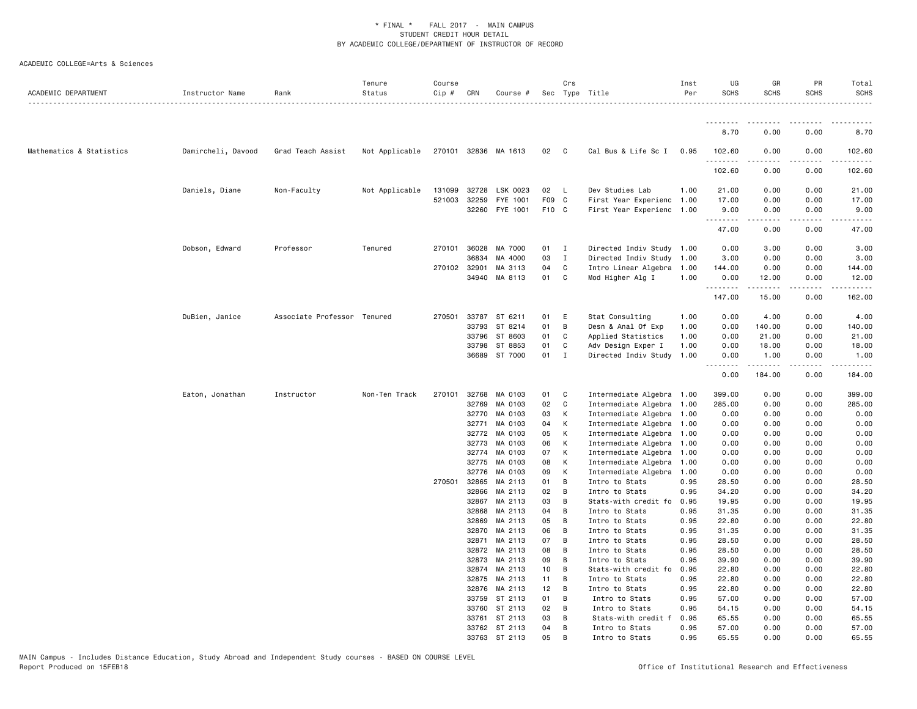| ACADEMIC DEPARTMENT      | Instructor Name    | Rank                        | Tenure<br>Status | Course<br>Cip # | CRN            | Course #             |          | Crs          | Sec Type Title                   | Inst<br>Per  | UG<br><b>SCHS</b> | GR<br><b>SCHS</b>      | PR<br><b>SCHS</b> | Total<br><b>SCHS</b><br><u>.</u> |
|--------------------------|--------------------|-----------------------------|------------------|-----------------|----------------|----------------------|----------|--------------|----------------------------------|--------------|-------------------|------------------------|-------------------|----------------------------------|
|                          |                    |                             |                  |                 |                |                      |          |              |                                  |              | <u>.</u>          |                        |                   |                                  |
|                          |                    |                             |                  |                 |                |                      |          |              |                                  |              | 8.70              | 0.00                   | 0.00              | 8.70                             |
| Mathematics & Statistics | Damircheli, Davood | Grad Teach Assist           | Not Applicable   |                 |                | 270101 32836 MA 1613 | 02       | $\mathbf{C}$ | Cal Bus & Life Sc I              | 0.95         | 102.60<br>.       | 0.00<br>.              | 0.00<br>$- - - -$ | 102.60<br>.                      |
|                          |                    |                             |                  |                 |                |                      |          |              |                                  |              | 102.60            | 0.00                   | 0.00              | 102.60                           |
|                          | Daniels, Diane     | Non-Faculty                 | Not Applicable   | 131099          | 32728          | LSK 0023             | 02       | - L          | Dev Studies Lab                  | 1.00         | 21.00             | 0.00                   | 0.00              | 21.00                            |
|                          |                    |                             |                  | 521003          | 32259          | FYE 1001             | F09 C    |              | First Year Experienc             | 1.00         | 17.00             | 0.00                   | 0.00              | 17.00                            |
|                          |                    |                             |                  |                 | 32260          | FYE 1001             | F10 C    |              | First Year Experienc             | 1.00         | 9.00<br>.         | 0.00                   | 0.00              | 9.00<br>.                        |
|                          |                    |                             |                  |                 |                |                      |          |              |                                  |              | 47.00             | 0.00                   | 0.00              | 47.00                            |
|                          | Dobson, Edward     | Professor                   | Tenured          |                 | 270101 36028   | MA 7000              | 01       | I.           | Directed Indiv Study 1.00        |              | 0.00              | 3.00                   | 0.00              | 3.00                             |
|                          |                    |                             |                  |                 | 36834          | MA 4000              | 03       | $\mathbf I$  | Directed Indiv Study             | 1.00         | 3.00              | 0.00                   | 0.00              | 3.00                             |
|                          |                    |                             |                  | 270102 32901    |                | MA 3113              | 04       | C            | Intro Linear Algebra             | 1.00         | 144.00            | 0.00                   | 0.00              | 144.00                           |
|                          |                    |                             |                  |                 |                | 34940 MA 8113        | 01       | $\mathbf{C}$ | Mod Higher Alg I                 | 1.00         | 0.00<br>.         | 12.00<br>$\frac{1}{2}$ | 0.00<br>.         | 12.00                            |
|                          |                    |                             |                  |                 |                |                      |          |              |                                  |              | 147.00            | 15.00                  | 0.00              | 162.00                           |
|                          | DuBien, Janice     | Associate Professor Tenured |                  | 270501          |                | 33787 ST 6211        | 01       | E            | Stat Consulting                  | 1.00         | 0.00              | 4.00                   | 0.00              | 4.00                             |
|                          |                    |                             |                  |                 | 33793          | ST 8214              | 01       | B            | Desn & Anal Of Exp               | 1.00         | 0.00              | 140.00                 | 0.00              | 140.00                           |
|                          |                    |                             |                  |                 | 33796          | ST 8603              | 01       | C            | Applied Statistics               | 1.00         | 0.00              | 21.00                  | 0.00              | 21.00                            |
|                          |                    |                             |                  |                 | 33798          | ST 8853              | 01       | C            | Adv Design Exper I               | 1.00         | 0.00              | 18.00                  | 0.00              | 18.00                            |
|                          |                    |                             |                  |                 |                | 36689 ST 7000        | 01       | $\mathbf{I}$ | Directed Indiv Study 1.00        |              | 0.00              | 1.00                   | 0.00              | 1.00                             |
|                          |                    |                             |                  |                 |                |                      |          |              |                                  |              | .<br>0.00         | .<br>184.00            | .<br>0.00         | .<br>184.00                      |
|                          | Eaton, Jonathan    | Instructor                  | Non-Ten Track    | 270101          | 32768          | MA 0103              | 01       | C            | Intermediate Algebra             | 1.00         | 399.00            | 0.00                   | 0.00              | 399.00                           |
|                          |                    |                             |                  |                 | 32769          | MA 0103              | 02       | C            | Intermediate Algebra             | 1.00         | 285.00            | 0.00                   | 0.00              | 285.00                           |
|                          |                    |                             |                  |                 |                | 32770 MA 0103        | 03       | К            | Intermediate Algebra             | 1.00         | 0.00              | 0.00                   | 0.00              | 0.00                             |
|                          |                    |                             |                  |                 | 32771          | MA 0103              | 04       | К            | Intermediate Algebra             | 1.00         | 0.00              | 0.00                   | 0.00              | 0.00                             |
|                          |                    |                             |                  |                 | 32772          | MA 0103              | 05       | К            | Intermediate Algebra             | 1.00         | 0.00              | 0.00                   | 0.00              | 0.00                             |
|                          |                    |                             |                  |                 | 32773          | MA 0103              | 06       | К            | Intermediate Algebra             | 1.00         | 0.00              | 0.00                   | 0.00              | 0.00                             |
|                          |                    |                             |                  |                 | 32774          | MA 0103              | 07       | К            | Intermediate Algebra             | 1.00         | 0.00              | 0.00                   | 0.00              | 0.00                             |
|                          |                    |                             |                  |                 | 32775          | MA 0103              | 08       | К            | Intermediate Algebra             | 1.00         | 0.00              | 0.00                   | 0.00              | 0.00                             |
|                          |                    |                             |                  |                 | 32776          | MA 0103              | 09       | К            | Intermediate Algebra             | 1.00         | 0.00              | 0.00                   | 0.00              | 0.00                             |
|                          |                    |                             |                  | 270501          | 32865          | MA 2113              | 01       | B            | Intro to Stats                   | 0.95         | 28.50             | 0.00                   | 0.00              | 28.50                            |
|                          |                    |                             |                  |                 | 32866          | MA 2113              | 02       | B            | Intro to Stats                   | 0.95         | 34.20             | 0.00                   | 0.00              | 34.20                            |
|                          |                    |                             |                  |                 | 32867          | MA 2113              | 03       | B            | Stats-with credit fo             | 0.95         | 19.95             | 0.00                   | 0.00              | 19.95                            |
|                          |                    |                             |                  |                 | 32868          | MA 2113              | 04       | B            | Intro to Stats                   | 0.95         | 31.35             | 0.00                   | 0.00              | 31.35                            |
|                          |                    |                             |                  |                 | 32869<br>32870 | MA 2113<br>MA 2113   | 05<br>06 | B<br>B       | Intro to Stats<br>Intro to Stats | 0.95<br>0.95 | 22.80<br>31.35    | 0.00<br>0.00           | 0.00<br>0.00      | 22.80<br>31.35                   |
|                          |                    |                             |                  |                 | 32871          | MA 2113              | 07       | B            | Intro to Stats                   | 0.95         | 28.50             | 0.00                   | 0.00              | 28.50                            |
|                          |                    |                             |                  |                 | 32872          | MA 2113              | 08       | B            | Intro to Stats                   | 0.95         | 28.50             | 0.00                   | 0.00              | 28.50                            |
|                          |                    |                             |                  |                 | 32873          | MA 2113              | 09       | B            | Intro to Stats                   | 0.95         | 39.90             | 0.00                   | 0.00              | 39.90                            |
|                          |                    |                             |                  |                 | 32874          | MA 2113              | 10       | B            | Stats-with credit fo             | 0.95         | 22.80             | 0.00                   | 0.00              | 22.80                            |
|                          |                    |                             |                  |                 | 32875          | MA 2113              | 11       | В            | Intro to Stats                   | 0.95         | 22.80             | 0.00                   | 0.00              | 22.80                            |
|                          |                    |                             |                  |                 | 32876          | MA 2113              | 12       | B            | Intro to Stats                   | 0.95         | 22.80             | 0.00                   | 0.00              | 22.80                            |
|                          |                    |                             |                  |                 | 33759          | ST 2113              | 01       | B            | Intro to Stats                   | 0.95         | 57.00             | 0.00                   | 0.00              | 57.00                            |
|                          |                    |                             |                  |                 | 33760          | ST 2113              | 02       | B            | Intro to Stats                   | 0.95         | 54.15             | 0.00                   | 0.00              | 54.15                            |
|                          |                    |                             |                  |                 |                | 33761 ST 2113        | 03       | В            | Stats-with credit f              | 0.95         | 65.55             | 0.00                   | 0.00              | 65.55                            |
|                          |                    |                             |                  |                 |                | 33762 ST 2113        | 04       | B            | Intro to Stats                   | 0.95         | 57.00             | 0.00                   | 0.00              | 57.00                            |
|                          |                    |                             |                  |                 |                | 33763 ST 2113        | 0.5      | <b>B</b>     | Intro to Stats                   | 0.95         | 65.55             | 0.00                   | 0.00              | 65.55                            |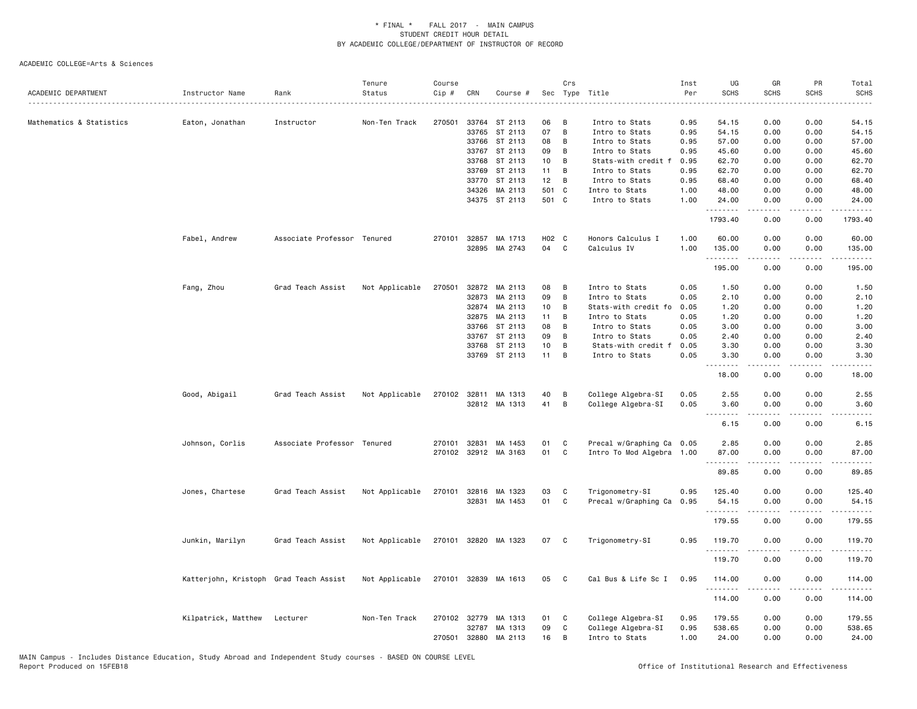| ACADEMIC DEPARTMENT      | Instructor Name                        | Rank                        | Tenure<br>Status | Course<br>$Cip$ # | CRN          | Course #                       |                 | Crs          | Sec Type Title                          | Inst<br>Per<br>. | UG<br><b>SCHS</b>            | GR<br><b>SCHS</b>    | PR<br><b>SCHS</b> | Total<br><b>SCHS</b><br>والمناصبات                                                                                                                   |
|--------------------------|----------------------------------------|-----------------------------|------------------|-------------------|--------------|--------------------------------|-----------------|--------------|-----------------------------------------|------------------|------------------------------|----------------------|-------------------|------------------------------------------------------------------------------------------------------------------------------------------------------|
| Mathematics & Statistics | Eaton, Jonathan                        | Instructor                  | Non-Ten Track    | 270501            |              | 33764 ST 2113                  | 06              | B            | Intro to Stats                          | 0.95             | 54.15                        | 0.00                 | 0.00              | 54.15                                                                                                                                                |
|                          |                                        |                             |                  |                   | 33765        | ST 2113                        | 07              | B            | Intro to Stats                          | 0.95             | 54.15                        | 0.00                 | 0.00              | 54.15                                                                                                                                                |
|                          |                                        |                             |                  |                   | 33766        | ST 2113                        | 08              | B            | Intro to Stats                          | 0.95             | 57.00                        | 0.00                 | 0.00              | 57.00                                                                                                                                                |
|                          |                                        |                             |                  |                   | 33767        | ST 2113                        | 09              | В            | Intro to Stats                          | 0.95             | 45.60                        | 0.00                 | 0.00              | 45.60                                                                                                                                                |
|                          |                                        |                             |                  |                   | 33768        | ST 2113                        | 10              | В            | Stats-with credit f                     | 0.95             | 62.70                        | 0.00                 | 0.00              | 62.70                                                                                                                                                |
|                          |                                        |                             |                  |                   | 33769        | ST 2113                        | 11              | B            | Intro to Stats                          | 0.95             | 62.70                        | 0.00                 | 0.00              | 62.70                                                                                                                                                |
|                          |                                        |                             |                  |                   | 33770        | ST 2113                        | 12              | B            | Intro to Stats                          | 0.95             | 68.40                        | 0.00                 | 0.00              | 68.40                                                                                                                                                |
|                          |                                        |                             |                  |                   | 34326        | MA 2113                        | 501 C           |              | Intro to Stats                          | 1.00             | 48.00                        | 0.00                 | 0.00              | 48.00                                                                                                                                                |
|                          |                                        |                             |                  |                   |              | 34375 ST 2113                  | 501 C           |              | Intro to Stats                          | 1.00             | 24.00<br>.                   | 0.00<br>. <u>.</u> . | 0.00<br>$- - - -$ | 24.00                                                                                                                                                |
|                          |                                        |                             |                  |                   |              |                                |                 |              |                                         |                  | 1793.40                      | 0.00                 | 0.00              | 1793.40                                                                                                                                              |
|                          | Fabel, Andrew                          | Associate Professor Tenured |                  | 270101            |              | 32857 MA 1713                  | H02 C           |              | Honors Calculus I                       | 1.00             | 60.00                        | 0.00                 | 0.00              | 60.00                                                                                                                                                |
|                          |                                        |                             |                  |                   | 32895        | MA 2743                        | 04              | C            | Calculus IV                             | 1.00             | 135.00<br>.                  | 0.00<br>.            | 0.00<br>.         | 135.00<br>.                                                                                                                                          |
|                          |                                        |                             |                  |                   |              |                                |                 |              |                                         |                  | 195.00                       | 0.00                 | 0.00              | 195.00                                                                                                                                               |
|                          | Fang, Zhou                             | Grad Teach Assist           | Not Applicable   | 270501            | 32872        | MA 2113                        | 08              | В            | Intro to Stats                          | 0.05             | 1.50                         | 0.00                 | 0.00              | 1.50                                                                                                                                                 |
|                          |                                        |                             |                  |                   | 32873        | MA 2113                        | 09              | B            | Intro to Stats                          | 0.05             | 2.10                         | 0.00                 | 0.00              | 2.10                                                                                                                                                 |
|                          |                                        |                             |                  |                   |              | 32874 MA 2113                  | 10 <sub>1</sub> | B            | Stats-with credit fo                    | 0.05             | 1.20                         | 0.00                 | 0.00              | 1.20                                                                                                                                                 |
|                          |                                        |                             |                  |                   | 32875        | MA 2113                        | 11              | B            | Intro to Stats                          | 0.05             | 1.20                         | 0.00                 | 0.00              | 1.20                                                                                                                                                 |
|                          |                                        |                             |                  |                   | 33766        | ST 2113                        | 08              | B            | Intro to Stats                          | 0.05             | 3.00                         | 0.00                 | 0.00              | 3.00                                                                                                                                                 |
|                          |                                        |                             |                  |                   | 33767        | ST 2113                        | 09              | В            | Intro to Stats                          | 0.05             | 2.40                         | 0.00                 | 0.00              | 2.40                                                                                                                                                 |
|                          |                                        |                             |                  |                   | 33768        | ST 2113                        | 10              | B            | Stats-with credit f                     | 0.05             | 3.30                         | 0.00                 | 0.00              | 3.30                                                                                                                                                 |
|                          |                                        |                             |                  |                   |              | 33769 ST 2113                  | 11              | B            | Intro to Stats                          | 0.05             | 3.30<br>$\sim$ $\sim$ $\sim$ | 0.00                 | 0.00              | 3.30                                                                                                                                                 |
|                          |                                        |                             |                  |                   |              |                                |                 |              |                                         |                  | 18.00                        | 0.00                 | 0.00              | 18.00                                                                                                                                                |
|                          | Good, Abigail                          | Grad Teach Assist           | Not Applicable   |                   |              | 270102 32811 MA 1313           | 40              | B            | College Algebra-SI                      | 0.05             | 2.55                         | 0.00                 | 0.00              | 2.55                                                                                                                                                 |
|                          |                                        |                             |                  |                   |              | 32812 MA 1313                  | 41              | B            | College Algebra-SI                      | 0.05             | 3.60                         | 0.00                 | 0.00              | 3.60                                                                                                                                                 |
|                          |                                        |                             |                  |                   |              |                                |                 |              |                                         |                  | $- - - -$                    | $\frac{1}{2}$        | $\frac{1}{2}$     | .                                                                                                                                                    |
|                          |                                        |                             |                  |                   |              |                                |                 |              |                                         |                  | 6.15                         | 0.00                 | 0.00              | 6.15                                                                                                                                                 |
|                          | Johnson, Corlis                        | Associate Professor Tenured |                  | 270101            | 32831        | MA 1453                        | 01              | C            | Precal w/Graphing Ca 0.05               |                  | 2.85                         | 0.00                 | 0.00              | 2.85                                                                                                                                                 |
|                          |                                        |                             |                  |                   |              | 270102 32912 MA 3163           | 01              | C            | Intro To Mod Algebra 1.00               |                  | 87.00                        | 0.00                 | 0.00              | 87.00                                                                                                                                                |
|                          |                                        |                             |                  |                   |              |                                |                 |              |                                         |                  | .<br>89.85                   | .<br>0.00            | المتماما<br>0.00  | .<br>89.85                                                                                                                                           |
|                          |                                        |                             |                  |                   |              |                                |                 |              |                                         |                  |                              |                      |                   |                                                                                                                                                      |
|                          | Jones, Chartese                        | Grad Teach Assist           | Not Applicable   | 270101            |              | 32816 MA 1323<br>32831 MA 1453 | 03<br>01        | C<br>C       | Trigonometry-SI<br>Precal w/Graphing Ca | 0.95<br>0.95     | 125.40<br>54.15              | 0.00<br>0.00         | 0.00<br>0.00      | 125.40<br>54.15                                                                                                                                      |
|                          |                                        |                             |                  |                   |              |                                |                 |              |                                         |                  | .                            | .                    | .                 | $\frac{1}{2} \left( \frac{1}{2} \right) \left( \frac{1}{2} \right) \left( \frac{1}{2} \right) \left( \frac{1}{2} \right) \left( \frac{1}{2} \right)$ |
|                          |                                        |                             |                  |                   |              |                                |                 |              |                                         |                  | 179.55                       | 0.00                 | 0.00              | 179.55                                                                                                                                               |
|                          | Junkin, Marilyn                        | Grad Teach Assist           | Not Applicable   |                   |              | 270101 32820 MA 1323           | 07              | C            | Trigonometry-SI                         | 0.95             | 119.70                       | 0.00                 | 0.00              | 119.70                                                                                                                                               |
|                          |                                        |                             |                  |                   |              |                                |                 |              |                                         |                  | .<br>119.70                  | 0.00                 | ----<br>0.00      | .<br>119.70                                                                                                                                          |
|                          |                                        |                             |                  |                   |              |                                |                 |              |                                         |                  |                              |                      |                   |                                                                                                                                                      |
|                          | Katterjohn, Kristoph Grad Teach Assist |                             | Not Applicable   |                   |              | 270101 32839 MA 1613           | 05              | $\mathbf{C}$ | Cal Bus & Life Sc I                     | 0.95             | 114.00<br>.                  | 0.00<br>$- - - - -$  | 0.00<br>.         | 114.00<br>.                                                                                                                                          |
|                          |                                        |                             |                  |                   |              |                                |                 |              |                                         |                  | 114.00                       | 0.00                 | 0.00              | 114.00                                                                                                                                               |
|                          | Kilpatrick, Matthew                    | Lecturer                    | Non-Ten Track    |                   | 270102 32779 | MA 1313                        | 01              | C            | College Algebra-SI                      | 0.95             | 179.55                       | 0.00                 | 0.00              | 179.55                                                                                                                                               |
|                          |                                        |                             |                  |                   | 32787        | MA 1313                        | 09              | C            | College Algebra-SI                      | 0.95             | 538.65                       | 0.00                 | 0.00              | 538.65                                                                                                                                               |
|                          |                                        |                             |                  | 270501            | 32880        | MA 2113                        | 16              | B            | Intro to Stats                          | 1.00             | 24.00                        | 0.00                 | 0.00              | 24.00                                                                                                                                                |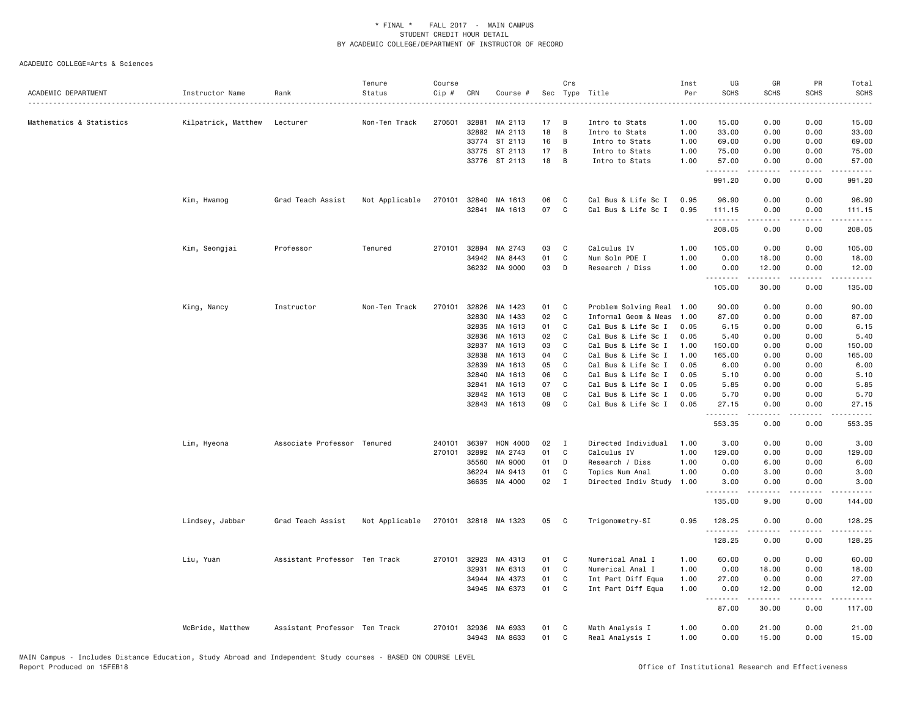| ACADEMIC DEPARTMENT      | Instructor Name     | Rank                          | Tenure<br>Status | Course<br>Cip # | CRN   | Course #        |    | Crs          | Sec Type Title       | Inst<br>Per | UG<br><b>SCHS</b> | GR<br><b>SCHS</b>                                                                                                                                             | PR<br><b>SCHS</b>            | Total<br><b>SCHS</b>  |
|--------------------------|---------------------|-------------------------------|------------------|-----------------|-------|-----------------|----|--------------|----------------------|-------------|-------------------|---------------------------------------------------------------------------------------------------------------------------------------------------------------|------------------------------|-----------------------|
| Mathematics & Statistics | Kilpatrick, Matthew | Lecturer                      | Non-Ten Track    | 270501          | 32881 | MA 2113         | 17 | B            | Intro to Stats       | 1.00        | 15.00             | 0.00                                                                                                                                                          | 0.00                         | 15.00                 |
|                          |                     |                               |                  |                 | 32882 | MA 2113         | 18 | B            | Intro to Stats       | 1.00        | 33.00             | 0.00                                                                                                                                                          | 0.00                         | 33.00                 |
|                          |                     |                               |                  |                 | 33774 | ST 2113         | 16 | B            | Intro to Stats       | 1.00        | 69.00             | 0.00                                                                                                                                                          | 0.00                         | 69.00                 |
|                          |                     |                               |                  |                 | 33775 | ST 2113         | 17 | B            | Intro to Stats       | 1.00        | 75.00             | 0.00                                                                                                                                                          | 0.00                         | 75.00                 |
|                          |                     |                               |                  |                 |       | 33776 ST 2113   | 18 | B            | Intro to Stats       | 1.00        | 57.00<br>.        | 0.00<br>.                                                                                                                                                     | 0.00<br>د د د د              | 57.00<br>.            |
|                          |                     |                               |                  |                 |       |                 |    |              |                      |             | 991.20            | 0.00                                                                                                                                                          | 0.00                         | 991.20                |
|                          | Kim, Hwamog         | Grad Teach Assist             | Not Applicable   | 270101          | 32840 | MA 1613         | 06 | C            | Cal Bus & Life Sc I  | 0.95        | 96.90             | 0.00                                                                                                                                                          | 0.00                         | 96.90                 |
|                          |                     |                               |                  |                 | 32841 | MA 1613         | 07 | C            | Cal Bus & Life Sc I  | 0.95        | 111.15<br>.       | 0.00<br>-----                                                                                                                                                 | 0.00<br>.                    | 111.15<br>المستملة    |
|                          |                     |                               |                  |                 |       |                 |    |              |                      |             | 208.05            | 0.00                                                                                                                                                          | 0.00                         | 208.05                |
|                          | Kim, Seongjai       | Professor                     | Tenured          | 270101          | 32894 | MA 2743         | 03 | C            | Calculus IV          | 1.00        | 105.00            | 0.00                                                                                                                                                          | 0.00                         | 105.00                |
|                          |                     |                               |                  |                 | 34942 | MA 8443         | 01 | $\mathtt{C}$ | Num Soln PDE I       | 1.00        | 0.00              | 18.00                                                                                                                                                         | 0.00                         | 18.00                 |
|                          |                     |                               |                  |                 |       | 36232 MA 9000   | 03 | D            | Research / Diss      | 1.00        | 0.00<br>.         | 12.00<br>$\frac{1}{2} \left( \frac{1}{2} \right) \left( \frac{1}{2} \right) \left( \frac{1}{2} \right) \left( \frac{1}{2} \right) \left( \frac{1}{2} \right)$ | 0.00<br>$\sim$ $\sim$ $\sim$ | 12.00<br>.            |
|                          |                     |                               |                  |                 |       |                 |    |              |                      |             | 105.00            | 30.00                                                                                                                                                         | 0.00                         | 135.00                |
|                          | King, Nancy         | Instructor                    | Non-Ten Track    | 270101          | 32826 | MA 1423         | 01 | C            | Problem Solving Real | 1.00        | 90.00             | 0.00                                                                                                                                                          | 0.00                         | 90.00                 |
|                          |                     |                               |                  |                 | 32830 | MA 1433         | 02 | C            | Informal Geom & Meas | 1.00        | 87.00             | 0.00                                                                                                                                                          | 0.00                         | 87.00                 |
|                          |                     |                               |                  |                 | 32835 | MA 1613         | 01 | C            | Cal Bus & Life Sc I  | 0.05        | 6.15              | 0.00                                                                                                                                                          | 0.00                         | 6.15                  |
|                          |                     |                               |                  |                 | 32836 | MA 1613         | 02 | C            | Cal Bus & Life Sc I  | 0.05        | 5.40              | 0.00                                                                                                                                                          | 0.00                         | 5.40                  |
|                          |                     |                               |                  |                 | 32837 | MA 1613         | 03 | C            | Cal Bus & Life Sc I  | 1.00        | 150.00            | 0.00                                                                                                                                                          | 0.00                         | 150.00                |
|                          |                     |                               |                  |                 | 32838 | MA 1613         | 04 | C            | Cal Bus & Life Sc I  | 1.00        | 165.00            | 0.00                                                                                                                                                          | 0.00                         | 165.00                |
|                          |                     |                               |                  |                 | 32839 | MA 1613         | 05 | C            | Cal Bus & Life Sc I  | 0.05        | 6.00              | 0.00                                                                                                                                                          | 0.00                         | 6.00                  |
|                          |                     |                               |                  |                 | 32840 | MA 1613         | 06 | C            | Cal Bus & Life Sc I  | 0.05        | 5.10              | 0.00                                                                                                                                                          | 0.00                         | 5.10                  |
|                          |                     |                               |                  |                 | 32841 | MA 1613         | 07 | C            | Cal Bus & Life Sc I  | 0.05        | 5.85              | 0.00                                                                                                                                                          | 0.00                         | 5.85                  |
|                          |                     |                               |                  |                 | 32842 | MA 1613         | 08 | C            | Cal Bus & Life Sc I  | 0.05        | 5.70              | 0.00                                                                                                                                                          | 0.00                         | 5.70                  |
|                          |                     |                               |                  |                 | 32843 | MA 1613         | 09 | C            | Cal Bus & Life Sc I  | 0.05        | 27.15<br>.        | 0.00<br>.                                                                                                                                                     | 0.00<br>.                    | 27.15<br>.            |
|                          |                     |                               |                  |                 |       |                 |    |              |                      |             | 553.35            | 0.00                                                                                                                                                          | 0.00                         | 553.35                |
|                          | Lim, Hyeona         | Associate Professor Tenured   |                  | 240101          | 36397 | <b>HON 4000</b> | 02 | Ι            | Directed Individual  | 1.00        | 3.00              | 0.00                                                                                                                                                          | 0.00                         | 3.00                  |
|                          |                     |                               |                  | 270101          | 32892 | MA 2743         | 01 | C            | Calculus IV          | 1.00        | 129.00            | 0.00                                                                                                                                                          | 0.00                         | 129.00                |
|                          |                     |                               |                  |                 | 35560 | MA 9000         | 01 | D            | Research / Diss      | 1.00        | 0.00              | 6.00                                                                                                                                                          | 0.00                         | 6.00                  |
|                          |                     |                               |                  |                 | 36224 | MA 9413         | 01 | C            | Topics Num Anal      | 1.00        | 0.00              | 3.00                                                                                                                                                          | 0.00                         | 3.00                  |
|                          |                     |                               |                  |                 |       | 36635 MA 4000   | 02 | $\mathbf{I}$ | Directed Indiv Study | 1.00        | 3.00<br>.         | 0.00<br>.                                                                                                                                                     | 0.00<br>.                    | 3.00<br>.             |
|                          |                     |                               |                  |                 |       |                 |    |              |                      |             | 135.00            | 9.00                                                                                                                                                          | 0.00                         | 144.00                |
|                          | Lindsey, Jabbar     | Grad Teach Assist             | Not Applicable   | 270101          |       | 32818 MA 1323   | 05 | C            | Trigonometry-SI      | 0.95        | 128.25<br>.       | 0.00<br>-----                                                                                                                                                 | 0.00<br>.                    | 128.25<br>$- - - - -$ |
|                          |                     |                               |                  |                 |       |                 |    |              |                      |             | 128.25            | 0.00                                                                                                                                                          | 0.00                         | 128.25                |
|                          | Liu, Yuan           | Assistant Professor Ten Track |                  | 270101          | 32923 | MA 4313         | 01 | C            | Numerical Anal I     | 1.00        | 60.00             | 0.00                                                                                                                                                          | 0.00                         | 60.00                 |
|                          |                     |                               |                  |                 | 32931 | MA 6313         | 01 | C            | Numerical Anal I     | 1.00        | 0.00              | 18.00                                                                                                                                                         | 0.00                         | 18.00                 |
|                          |                     |                               |                  |                 | 34944 | MA 4373         | 01 | C            | Int Part Diff Equa   | 1.00        | 27.00             | 0.00                                                                                                                                                          | 0.00                         | 27.00                 |
|                          |                     |                               |                  |                 | 34945 | MA 6373         | 01 | $\mathtt{C}$ | Int Part Diff Equa   | 1.00        | 0.00<br>.         | 12.00<br>د د د د د                                                                                                                                            | 0.00<br>.                    | 12.00<br>.            |
|                          |                     |                               |                  |                 |       |                 |    |              |                      |             | 87.00             | 30.00                                                                                                                                                         | 0.00                         | 117.00                |
|                          | McBride, Matthew    | Assistant Professor Ten Track |                  | 270101          | 32936 | MA 6933         | 01 | C            | Math Analysis I      | 1.00        | 0.00              | 21.00                                                                                                                                                         | 0.00                         | 21.00                 |
|                          |                     |                               |                  |                 |       | 34943 MA 8633   | 01 | $\mathtt{C}$ | Real Analysis I      | 1.00        | 0.00              | 15.00                                                                                                                                                         | 0.00                         | 15.00                 |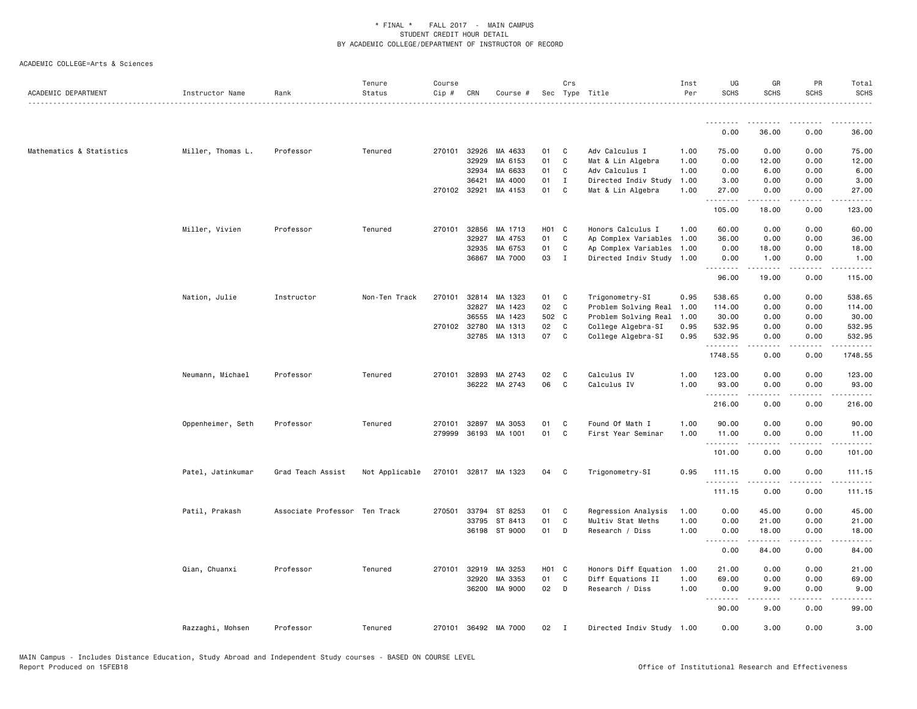| ACADEMIC DEPARTMENT      | Instructor Name   | Rank                          | Tenure<br>Status | Course<br>Cip # | CRN          | Course #             |       | Crs          | Sec Type Title            | Inst<br>Per | UG<br><b>SCHS</b>             | GR<br><b>SCHS</b>   | PR<br><b>SCHS</b>            | Total<br><b>SCHS</b>    |
|--------------------------|-------------------|-------------------------------|------------------|-----------------|--------------|----------------------|-------|--------------|---------------------------|-------------|-------------------------------|---------------------|------------------------------|-------------------------|
|                          |                   |                               |                  |                 |              |                      |       |              |                           |             | .                             |                     |                              |                         |
|                          |                   |                               |                  |                 |              |                      |       |              |                           |             | 0.00                          | 36.00               | 0.00                         | 36.00                   |
| Mathematics & Statistics | Miller, Thomas L. | Professor                     | Tenured          |                 | 270101 32926 | MA 4633              | 01    | C            | Adv Calculus I            | 1.00        | 75.00                         | 0.00                | 0.00                         | 75.00                   |
|                          |                   |                               |                  |                 | 32929        | MA 6153              | 01    | C            | Mat & Lin Algebra         | 1.00        | 0.00                          | 12.00               | 0.00                         | 12.00                   |
|                          |                   |                               |                  |                 | 32934        | MA 6633              | 01    | C            | Adv Calculus I            | 1.00        | 0.00                          | 6.00                | 0.00                         | 6.00                    |
|                          |                   |                               |                  |                 | 36421        | MA 4000              | 01    | $\mathbf{I}$ | Directed Indiv Study      | 1.00        | 3.00                          | 0.00                | 0.00                         | 3.00                    |
|                          |                   |                               |                  |                 | 270102 32921 | MA 4153              | 01    | $\mathbf{C}$ | Mat & Lin Algebra         | 1.00        | 27.00<br>$\sim$ $\sim$ $\sim$ | 0.00                | 0.00<br>$\sim$ $\sim$ $\sim$ | 27.00                   |
|                          |                   |                               |                  |                 |              |                      |       |              |                           |             | 105.00                        | 18.00               | 0.00                         | 123.00                  |
|                          | Miller, Vivien    | Professor                     | Tenured          | 270101          | 32856        | MA 1713              | H01 C |              | Honors Calculus I         | 1.00        | 60.00                         | 0.00                | 0.00                         | 60.00                   |
|                          |                   |                               |                  |                 | 32927        | MA 4753              | 01    | C            | Ap Complex Variables 1.00 |             | 36.00                         | 0.00                | 0.00                         | 36.00                   |
|                          |                   |                               |                  |                 | 32935        | MA 6753              | 01    | C            | Ap Complex Variables 1.00 |             | 0.00                          | 18.00               | 0.00                         | 18.00                   |
|                          |                   |                               |                  |                 |              | 36867 MA 7000        | 03 I  |              | Directed Indiv Study 1.00 |             | 0.00<br>.                     | 1.00                | 0.00                         | 1.00                    |
|                          |                   |                               |                  |                 |              |                      |       |              |                           |             | 96.00                         | 19.00               | 0.00                         | 115.00                  |
|                          | Nation, Julie     | Instructor                    | Non-Ten Track    | 270101          |              | 32814 MA 1323        | 01    | $\mathbf{C}$ | Trigonometry-SI           | 0.95        | 538.65                        | 0.00                | 0.00                         | 538.65                  |
|                          |                   |                               |                  |                 | 32827        | MA 1423              | 02    | C            | Problem Solving Real      | 1.00        | 114.00                        | 0.00                | 0.00                         | 114.00                  |
|                          |                   |                               |                  |                 | 36555        | MA 1423              | 502 C |              | Problem Solving Real      | 1.00        | 30.00                         | 0.00                | 0.00                         | 30.00                   |
|                          |                   |                               |                  |                 | 270102 32780 | MA 1313              | 02    | C            | College Algebra-SI        | 0.95        | 532.95                        | 0.00                | 0.00                         | 532.95                  |
|                          |                   |                               |                  |                 | 32785        | MA 1313              | 07    | $\mathbf{C}$ | College Algebra-SI        | 0.95        | 532.95<br>.                   | 0.00<br>.           | 0.00<br>$\sim$ $\sim$ $\sim$ | 532.95<br>.             |
|                          |                   |                               |                  |                 |              |                      |       |              |                           |             | 1748.55                       | 0.00                | 0.00                         | 1748.55                 |
|                          | Neumann, Michael  | Professor                     | Tenured          | 270101          | 32893        | MA 2743              | 02    | C            | Calculus IV               | 1.00        | 123.00                        | 0.00                | 0.00                         | 123.00                  |
|                          |                   |                               |                  |                 |              | 36222 MA 2743        | 06    | C            | Calculus IV               | 1.00        | 93.00                         | 0.00                | 0.00                         | 93.00                   |
|                          |                   |                               |                  |                 |              |                      |       |              |                           |             | .<br>216.00                   | .<br>0.00           | المستبدا<br>0.00             | $- - - - - -$<br>216.00 |
|                          | Oppenheimer, Seth | Professor                     | Tenured          | 270101          | 32897        | MA 3053              | 01    | C            | Found Of Math I           | 1.00        | 90.00                         | 0.00                | 0.00                         | 90.00                   |
|                          |                   |                               |                  | 279999          |              | 36193 MA 1001        | 01    | C            | First Year Seminar        | 1.00        | 11.00                         | 0.00                | 0.00                         | 11.00                   |
|                          |                   |                               |                  |                 |              |                      |       |              |                           |             | .<br>101.00                   | 0.00                | 0.00                         | 101.00                  |
|                          |                   |                               |                  |                 |              |                      |       |              |                           |             |                               |                     |                              |                         |
|                          | Patel, Jatinkumar | Grad Teach Assist             | Not Applicable   |                 |              | 270101 32817 MA 1323 | 04 C  |              | Trigonometry-SI           | 0.95        | 111.15                        | 0.00                | 0.00                         | 111.15                  |
|                          |                   |                               |                  |                 |              |                      |       |              |                           |             | 111.15                        | 0.00                | 0.00                         | 111.15                  |
|                          | Patil, Prakash    | Associate Professor Ten Track |                  | 270501          | 33794        | ST 8253              | 01    | C            | Regression Analysis       | 1.00        | 0.00                          | 45.00               | 0.00                         | 45.00                   |
|                          |                   |                               |                  |                 | 33795        | ST 8413              | 01    | C            | Multiv Stat Meths         | 1.00        | 0.00                          | 21.00               | 0.00                         | 21.00                   |
|                          |                   |                               |                  |                 |              | 36198 ST 9000        | 01    | D            | Research / Diss           | 1.00        | 0.00<br>.                     | 18.00<br>. <u>.</u> | 0.00<br>.                    | 18.00<br>. <u>.</u>     |
|                          |                   |                               |                  |                 |              |                      |       |              |                           |             | 0.00                          | 84.00               | 0.00                         | 84.00                   |
|                          | Qian, Chuanxi     | Professor                     | Tenured          | 270101          | 32919        | MA 3253              | H01 C |              | Honors Diff Equation      | 1.00        | 21.00                         | 0.00                | 0.00                         | 21.00                   |
|                          |                   |                               |                  |                 | 32920        | MA 3353              | 01    | C            | Diff Equations II         | 1.00        | 69.00                         | 0.00                | 0.00                         | 69.00                   |
|                          |                   |                               |                  |                 |              | 36200 MA 9000        | 02 D  |              | Research / Diss           | 1.00        | 0.00                          | 9.00                | 0.00                         | 9.00                    |
|                          |                   |                               |                  |                 |              |                      |       |              |                           |             | <u>.</u><br>90.00             | -----<br>9.00       | .<br>0.00                    | 99.00                   |
|                          | Razzaghi, Mohsen  | Professor                     | Tenured          |                 |              | 270101 36492 MA 7000 | 02    | $\mathbf{I}$ | Directed Indiv Study 1.00 |             | 0.00                          | 3.00                | 0.00                         | 3.00                    |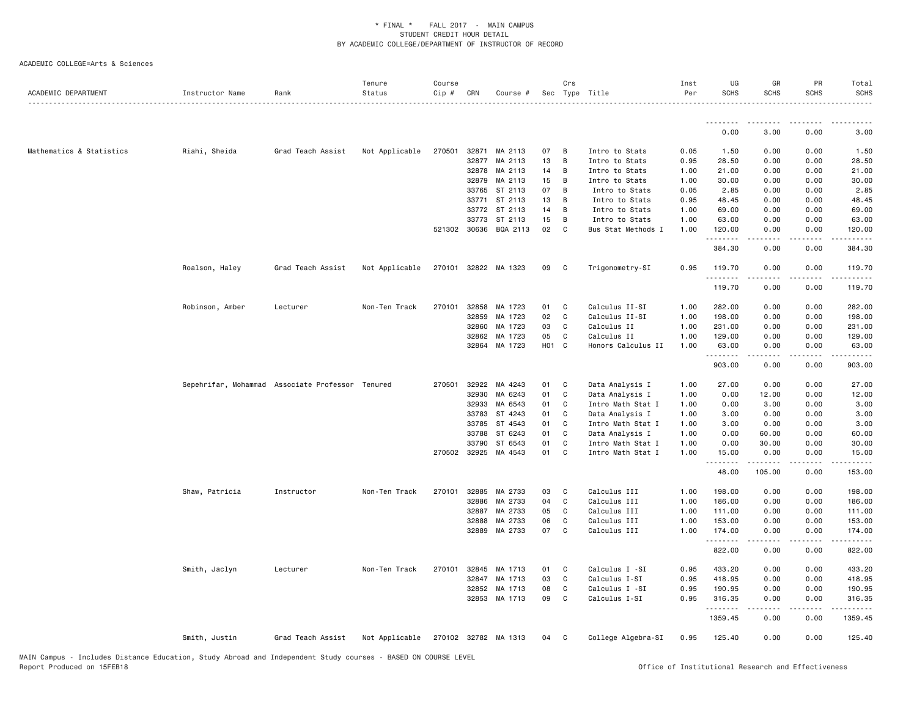| ACADEMIC DEPARTMENT      | Instructor Name | Rank                                             | Tenure<br>Status | Course<br>$Cip$ # | CRN            | Course #             |          | Crs            | Sec Type Title                         | Inst<br>Per  | UG<br><b>SCHS</b> | GR<br><b>SCHS</b> | PR<br><b>SCHS</b> | Total<br><b>SCHS</b> |
|--------------------------|-----------------|--------------------------------------------------|------------------|-------------------|----------------|----------------------|----------|----------------|----------------------------------------|--------------|-------------------|-------------------|-------------------|----------------------|
|                          |                 |                                                  |                  |                   |                |                      |          |                |                                        |              | .                 |                   |                   |                      |
|                          |                 |                                                  |                  |                   |                |                      |          |                |                                        |              | 0.00              | 3.00              | 0.00              | 3.00                 |
| Mathematics & Statistics | Riahi, Sheida   | Grad Teach Assist                                | Not Applicable   | 270501            | 32871          | MA 2113              | 07       | $\overline{B}$ | Intro to Stats                         | 0.05         | 1.50              | 0.00              | 0.00              | 1.50                 |
|                          |                 |                                                  |                  |                   | 32877          | MA 2113              | 13       | B              | Intro to Stats                         | 0.95         | 28.50             | 0.00              | 0.00              | 28.50                |
|                          |                 |                                                  |                  |                   | 32878          | MA 2113              | 14       | B              | Intro to Stats                         | 1.00         | 21.00             | 0.00              | 0.00              | 21.00                |
|                          |                 |                                                  |                  |                   | 32879          | MA 2113              | 15       | $\overline{B}$ | Intro to Stats                         | 1.00         | 30.00             | 0.00              | 0.00              | 30.00                |
|                          |                 |                                                  |                  |                   | 33765          | ST 2113              | 07       | B              | Intro to Stats                         | 0.05         | 2.85              | 0.00              | 0.00              | 2.85                 |
|                          |                 |                                                  |                  |                   | 33771          | ST 2113              | 13       | B              | Intro to Stats                         | 0.95         | 48.45             | 0.00              | 0.00              | 48.45                |
|                          |                 |                                                  |                  |                   | 33772          | ST 2113              | 14       | B              | Intro to Stats                         | 1.00         | 69.00             | 0.00              | 0.00              | 69.00                |
|                          |                 |                                                  |                  |                   | 33773          | ST 2113              | 15       | $\overline{B}$ | Intro to Stats                         | 1.00         | 63.00             | 0.00              | 0.00              | 63.00                |
|                          |                 |                                                  |                  | 521302 30636      |                | BQA 2113             | 02       | C              | Bus Stat Methods I                     | 1.00         | 120.00            | 0.00              | 0.00              | 120.00               |
|                          |                 |                                                  |                  |                   |                |                      |          |                |                                        |              | 384.30            | 0.00              | 0.00              | 384.30               |
|                          | Roalson, Haley  | Grad Teach Assist                                | Not Applicable   |                   |                | 270101 32822 MA 1323 | 09       | $\mathbf{C}$   | Trigonometry-SI                        | 0.95         | 119.70<br>.       | 0.00              | 0.00              | 119.70               |
|                          |                 |                                                  |                  |                   |                |                      |          |                |                                        |              | 119.70            | 0.00              | 0.00              | 119.70               |
|                          | Robinson, Amber | Lecturer                                         | Non-Ten Track    | 270101            | 32858          | MA 1723              | 01       | C              | Calculus II-SI                         | 1.00         | 282.00            | 0.00              | 0.00              | 282.00               |
|                          |                 |                                                  |                  |                   | 32859          | MA 1723              | 02       | C              | Calculus II-SI                         | 1.00         | 198.00            | 0.00              | 0.00              | 198.00               |
|                          |                 |                                                  |                  |                   | 32860          | MA 1723              | 03       | <b>C</b>       | Calculus II                            | 1.00         | 231.00            | 0.00              | 0.00              | 231.00               |
|                          |                 |                                                  |                  |                   | 32862          | MA 1723              | 05       | C              | Calculus II                            | 1.00         | 129.00            | 0.00              | 0.00              | 129.00               |
|                          |                 |                                                  |                  |                   | 32864          | MA 1723              | H01 C    |                | Honors Calculus II                     | 1.00         | 63.00<br>.        | 0.00              | 0.00<br>د د د د   | 63.00                |
|                          |                 |                                                  |                  |                   |                |                      |          |                |                                        |              | 903.00            | 0.00              | 0.00              | 903.00               |
|                          |                 | Sepehrifar, Mohammad Associate Professor Tenured |                  | 270501 32922      |                | MA 4243              | 01       | C              | Data Analysis I                        | 1.00         | 27.00             | 0.00              | 0.00              | 27.00                |
|                          |                 |                                                  |                  |                   | 32930          | MA 6243              | 01       | C              | Data Analysis I                        | 1.00         | 0.00              | 12.00             | 0.00              | 12.00                |
|                          |                 |                                                  |                  |                   | 32933          | MA 6543              | 01       | C              | Intro Math Stat I                      | 1.00         | 0.00              | 3.00              | 0.00              | 3.00                 |
|                          |                 |                                                  |                  |                   | 33783          | ST 4243              | 01       | C              | Data Analysis I                        | 1.00         | 3.00              | 0.00              | 0.00              | 3.00                 |
|                          |                 |                                                  |                  |                   | 33785          | ST 4543              | 01       | C              | Intro Math Stat I                      | 1.00         | 3.00              | 0.00              | 0.00              | 3.00                 |
|                          |                 |                                                  |                  |                   | 33788          | ST 6243              | 01       | C              | Data Analysis I                        | 1.00         | 0.00              | 60.00             | 0.00              | 60.00                |
|                          |                 |                                                  |                  | 270502 32925      | 33790          | ST 6543<br>MA 4543   | 01<br>01 | C<br>C         | Intro Math Stat I<br>Intro Math Stat I | 1.00<br>1.00 | 0.00<br>15.00     | 30.00<br>0.00     | 0.00<br>0.00      | 30.00<br>15.00       |
|                          |                 |                                                  |                  |                   |                |                      |          |                |                                        |              | <u>.</u><br>48.00 | 105.00            | 0.00              | 153.00               |
|                          | Shaw, Patricia  | Instructor                                       | Non-Ten Track    | 270101            | 32885          | MA 2733              | 03       | <b>C</b>       | Calculus III                           | 1.00         | 198.00            | 0.00              | 0.00              | 198.00               |
|                          |                 |                                                  |                  |                   | 32886          | MA 2733              | 04       | $\mathbf c$    | Calculus III                           | 1.00         | 186.00            | 0.00              | 0.00              | 186.00               |
|                          |                 |                                                  |                  |                   | 32887          | MA 2733              | 05       | C              | Calculus III                           | 1.00         | 111.00            | 0.00              | 0.00              | 111.00               |
|                          |                 |                                                  |                  |                   | 32888          | MA 2733              | 06       | C              | Calculus III                           | 1.00         | 153.00            | 0.00              | 0.00              | 153.00               |
|                          |                 |                                                  |                  |                   | 32889          | MA 2733              | 07       | C.             | Calculus III                           | 1.00         | 174.00<br>.       | 0.00              | 0.00              | 174.00<br><u>.</u>   |
|                          |                 |                                                  |                  |                   |                |                      |          |                |                                        |              | 822.00            | 0.00              | 0.00              | 822.00               |
|                          | Smith, Jaclyn   | Lecturer                                         | Non-Ten Track    | 270101            | 32845          | MA 1713              | 01       | C <sub>c</sub> | Calculus I -SI                         | 0.95         | 433.20            | 0.00              | 0.00              | 433.20               |
|                          |                 |                                                  |                  |                   | 32847          | MA 1713              | 03       | C              | Calculus I-SI                          | 0.95         | 418.95            | 0.00              | 0.00              | 418.95               |
|                          |                 |                                                  |                  |                   | 32852<br>32853 | MA 1713<br>MA 1713   | 08<br>09 | C<br>C         | Calculus I -SI<br>Calculus I-SI        | 0.95<br>0.95 | 190.95<br>316.35  | 0.00<br>0.00      | 0.00<br>0.00      | 190.95<br>316.35     |
|                          |                 |                                                  |                  |                   |                |                      |          |                |                                        |              | .<br>1359.45      | 0.00              | 0.00              | 1359.45              |
|                          | Smith, Justin   | Grad Teach Assist                                | Not Applicable   |                   |                | 270102 32782 MA 1313 | 04 C     |                | College Algebra-SI                     | 0.95         | 125.40            | 0.00              | 0.00              | 125.40               |
|                          |                 |                                                  |                  |                   |                |                      |          |                |                                        |              |                   |                   |                   |                      |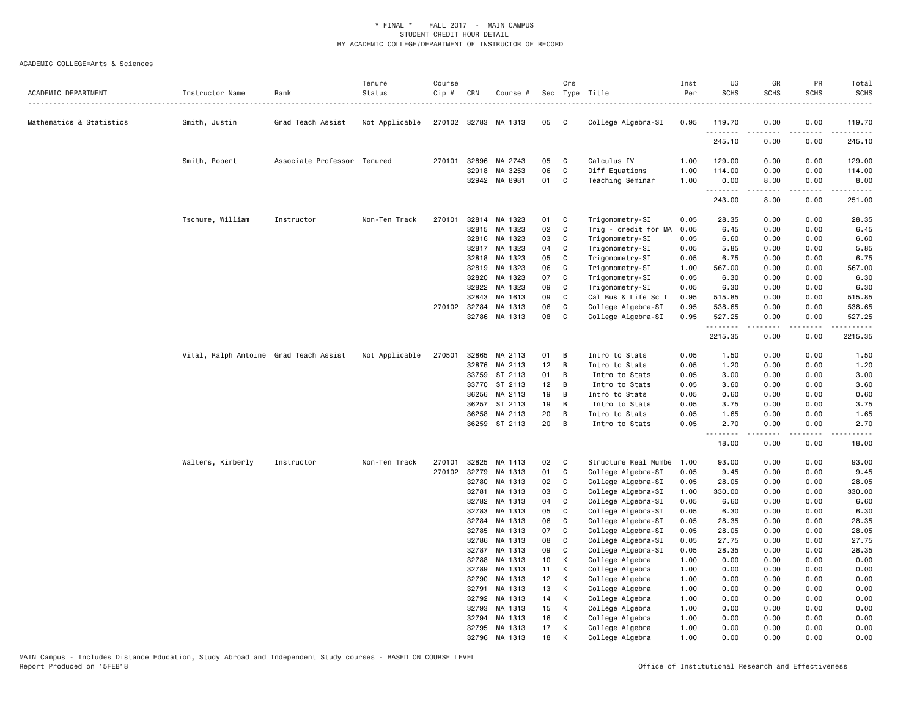| 270102 32783 MA 1313<br>Mathematics & Statistics<br>Smith, Justin<br>Grad Teach Assist<br>Not Applicable<br>05<br>$\mathbf{C}$<br>College Algebra-SI<br>0.95<br>119.70<br>0.00<br>0.00<br>119.70<br>245.10<br>0.00<br>0.00<br>245.10<br>Smith, Robert<br>Associate Professor Tenured<br>270101<br>32896<br>MA 2743<br>05<br>C<br>Calculus IV<br>1.00<br>129.00<br>0.00<br>0.00<br>129.00<br>32918<br>MA 3253<br>06<br>C<br>Diff Equations<br>1.00<br>114.00<br>0.00<br>0.00<br>114.00<br>32942 MA 8981<br>01<br>C<br>Teaching Seminar<br>0.00<br>8.00<br>0.00<br>1.00<br>8.00<br>.<br>.<br>.<br>.<br>243.00<br>8.00<br>0.00<br>251.00<br>Tschume, William<br>32814<br>Trigonometry-SI<br>28.35<br>Instructor<br>Non-Ten Track<br>270101<br>MA 1323<br>01<br>C<br>0.05<br>0.00<br>0.00<br>28.35<br>32815<br>MA 1323<br>02<br>C<br>Trig - credit for MA<br>0.05<br>6.45<br>0.00<br>0.00<br>6.45<br>32816 MA 1323<br>03<br>0.05<br>6.60<br>C<br>Trigonometry-SI<br>0.00<br>0.00<br>6.60<br>32817<br>MA 1323<br>Trigonometry-SI<br>0.05<br>5.85<br>04<br>C<br>0.00<br>0.00<br>5.85<br>05<br>0.05<br>32818<br>MA 1323<br>C<br>Trigonometry-SI<br>6.75<br>0.00<br>0.00<br>6.75<br>32819<br>MA 1323<br>06<br>C<br>1.00<br>567.00<br>0.00<br>0.00<br>567.00<br>Trigonometry-SI<br>MA 1323<br>07<br>C<br>0.05<br>6.30<br>6.30<br>32820<br>Trigonometry-SI<br>0.00<br>0.00<br>MA 1323<br>Trigonometry-SI<br>6.30<br>32822<br>09<br>C<br>0.05<br>0.00<br>0.00<br>6.30<br>32843<br>MA 1613<br>09<br>C<br>Cal Bus & Life Sc I<br>0.95<br>515.85<br>0.00<br>0.00<br>515.85<br>270102 32784<br>MA 1313<br>06<br>$\mathbb{C}$<br>0.95<br>538.65<br>0.00<br>538.65<br>College Algebra-SI<br>0.00<br>08<br>32786<br>MA 1313<br>C<br>College Algebra-SI<br>0.95<br>527.25<br>0.00<br>0.00<br>527.25<br>.<br>.<br>.<br>د د د د<br>2215.35<br>0.00<br>0.00<br>2215.35<br>Vital, Ralph Antoine Grad Teach Assist<br>Not Applicable<br>270501<br>32865<br>MA 2113<br>01<br>В<br>Intro to Stats<br>0.05<br>1.50<br>0.00<br>0.00<br>1.50<br>12<br>32876<br>MA 2113<br>В<br>Intro to Stats<br>0.05<br>1.20<br>0.00<br>0.00<br>1.20<br>3.00<br>33759<br>ST 2113<br>01<br>B<br>Intro to Stats<br>0.05<br>0.00<br>0.00<br>3.00<br>33770<br>ST 2113<br>12<br>B<br>Intro to Stats<br>0.05<br>3.60<br>0.00<br>0.00<br>3.60<br>19<br>0.05<br>0.60<br>36256<br>MA 2113<br>B<br>Intro to Stats<br>0.00<br>0.00<br>0.60<br>36257<br>ST 2113<br>19<br>0.05<br>3.75<br>0.00<br>3.75<br>В<br>Intro to Stats<br>0.00<br>20<br>0.05<br>1.65<br>36258<br>MA 2113<br>В<br>Intro to Stats<br>0.00<br>0.00<br>1.65<br>20<br>36259 ST 2113<br>В<br>Intro to Stats<br>0.05<br>2.70<br>0.00<br>0.00<br>2.70<br>18.00<br>0.00<br>0.00<br>18.00<br>Non-Ten Track<br>270101<br>32825<br>MA 1413<br>02<br>$\mathbf{C}$<br>Structure Real Numbe<br>1.00<br>93.00<br>0.00<br>0.00<br>93.00<br>Walters, Kimberly<br>Instructor<br>270102<br>32779<br>01<br>C<br>College Algebra-SI<br>0.05<br>9.45<br>0.00<br>0.00<br>9.45<br>MA 1313<br>02<br>College Algebra-SI<br>32780<br>MA 1313<br>C<br>0.05<br>28.05<br>0.00<br>0.00<br>28.05<br>College Algebra-SI<br>32781<br>MA 1313<br>03<br>C<br>1.00<br>330.00<br>0.00<br>0.00<br>330.00<br>32782<br>MA 1313<br>04<br>C<br>College Algebra-SI<br>0.05<br>6.60<br>0.00<br>0.00<br>6.60<br>32783<br>MA 1313<br>05<br>C<br>College Algebra-SI<br>0.05<br>6.30<br>0.00<br>0.00<br>6.30<br>32784<br>MA 1313<br>06<br>C<br>College Algebra-SI<br>0.05<br>28.35<br>0.00<br>0.00<br>28.35<br>MA 1313<br>07<br>C<br>College Algebra-SI<br>0.05<br>28.05<br>0.00<br>0.00<br>28.05<br>32785<br>MA 1313<br>08<br>C<br>College Algebra-SI<br>27.75<br>27.75<br>32786<br>0.05<br>0.00<br>0.00<br>MA 1313<br>09<br>C<br>College Algebra-SI<br>0.05<br>28.35<br>0.00<br>0.00<br>28.35<br>32787<br>32788<br>MA 1313<br>10<br>College Algebra<br>0.00<br>К<br>1.00<br>0.00<br>0.00<br>0.00<br>32789<br>MA 1313<br>11<br>K<br>College Algebra<br>1.00<br>0.00<br>0.00<br>0.00<br>0.00<br>MA 1313<br>12<br>College Algebra<br>0.00<br>0.00<br>0.00<br>32790<br>K<br>1.00<br>0.00<br>32791<br>MA 1313<br>13<br>К<br>College Algebra<br>0.00<br>0.00<br>0.00<br>1.00<br>0.00<br>32792<br>14<br>College Algebra<br>1.00<br>0.00<br>0.00<br>0.00<br>MA 1313<br>K<br>0.00<br>15<br>32793<br>MA 1313<br>К<br>College Algebra<br>1.00<br>0.00<br>0.00<br>0.00<br>0.00<br>16<br>MA 1313<br>К<br>College Algebra<br>1.00<br>0.00<br>0.00<br>0.00<br>0.00<br>32794<br>17<br>0.00<br>32795<br>MA 1313<br>К<br>College Algebra<br>1.00<br>0.00<br>0.00<br>0.00<br>32796 MA 1313<br>18<br>K<br>College Algebra<br>1.00<br>0.00<br>0.00<br>0.00<br>0.00 | ACADEMIC DEPARTMENT | Instructor Name | Rank | Tenure<br>Status | Course<br>$Cip$ # | CRN | Course # | Crs | Sec Type Title<br>. | Inst<br>Per | UG<br><b>SCHS</b> | GR<br><b>SCHS</b> | PR<br><b>SCHS</b> | Total<br><b>SCHS</b><br>. |
|-------------------------------------------------------------------------------------------------------------------------------------------------------------------------------------------------------------------------------------------------------------------------------------------------------------------------------------------------------------------------------------------------------------------------------------------------------------------------------------------------------------------------------------------------------------------------------------------------------------------------------------------------------------------------------------------------------------------------------------------------------------------------------------------------------------------------------------------------------------------------------------------------------------------------------------------------------------------------------------------------------------------------------------------------------------------------------------------------------------------------------------------------------------------------------------------------------------------------------------------------------------------------------------------------------------------------------------------------------------------------------------------------------------------------------------------------------------------------------------------------------------------------------------------------------------------------------------------------------------------------------------------------------------------------------------------------------------------------------------------------------------------------------------------------------------------------------------------------------------------------------------------------------------------------------------------------------------------------------------------------------------------------------------------------------------------------------------------------------------------------------------------------------------------------------------------------------------------------------------------------------------------------------------------------------------------------------------------------------------------------------------------------------------------------------------------------------------------------------------------------------------------------------------------------------------------------------------------------------------------------------------------------------------------------------------------------------------------------------------------------------------------------------------------------------------------------------------------------------------------------------------------------------------------------------------------------------------------------------------------------------------------------------------------------------------------------------------------------------------------------------------------------------------------------------------------------------------------------------------------------------------------------------------------------------------------------------------------------------------------------------------------------------------------------------------------------------------------------------------------------------------------------------------------------------------------------------------------------------------------------------------------------------------------------------------------------------------------------------------------------------------------------------------------------------------------------------------------------------------------------------------------------------------------------------------------------------------------------------------------------------------------------------------------------------------------------------------------------------------------------------------------------------------------------------------------------------------------------------------------------------------------------------------------------------------------------------------------------------------------------------------------------------------------------------------------------------------------------------------------------------------------------------------------------------------------------------------------------------------|---------------------|-----------------|------|------------------|-------------------|-----|----------|-----|---------------------|-------------|-------------------|-------------------|-------------------|---------------------------|
|                                                                                                                                                                                                                                                                                                                                                                                                                                                                                                                                                                                                                                                                                                                                                                                                                                                                                                                                                                                                                                                                                                                                                                                                                                                                                                                                                                                                                                                                                                                                                                                                                                                                                                                                                                                                                                                                                                                                                                                                                                                                                                                                                                                                                                                                                                                                                                                                                                                                                                                                                                                                                                                                                                                                                                                                                                                                                                                                                                                                                                                                                                                                                                                                                                                                                                                                                                                                                                                                                                                                                                                                                                                                                                                                                                                                                                                                                                                                                                                                                                                                                                                                                                                                                                                                                                                                                                                                                                                                                                                                                                                                             |                     |                 |      |                  |                   |     |          |     |                     |             |                   |                   |                   |                           |
|                                                                                                                                                                                                                                                                                                                                                                                                                                                                                                                                                                                                                                                                                                                                                                                                                                                                                                                                                                                                                                                                                                                                                                                                                                                                                                                                                                                                                                                                                                                                                                                                                                                                                                                                                                                                                                                                                                                                                                                                                                                                                                                                                                                                                                                                                                                                                                                                                                                                                                                                                                                                                                                                                                                                                                                                                                                                                                                                                                                                                                                                                                                                                                                                                                                                                                                                                                                                                                                                                                                                                                                                                                                                                                                                                                                                                                                                                                                                                                                                                                                                                                                                                                                                                                                                                                                                                                                                                                                                                                                                                                                                             |                     |                 |      |                  |                   |     |          |     |                     |             |                   |                   |                   |                           |
|                                                                                                                                                                                                                                                                                                                                                                                                                                                                                                                                                                                                                                                                                                                                                                                                                                                                                                                                                                                                                                                                                                                                                                                                                                                                                                                                                                                                                                                                                                                                                                                                                                                                                                                                                                                                                                                                                                                                                                                                                                                                                                                                                                                                                                                                                                                                                                                                                                                                                                                                                                                                                                                                                                                                                                                                                                                                                                                                                                                                                                                                                                                                                                                                                                                                                                                                                                                                                                                                                                                                                                                                                                                                                                                                                                                                                                                                                                                                                                                                                                                                                                                                                                                                                                                                                                                                                                                                                                                                                                                                                                                                             |                     |                 |      |                  |                   |     |          |     |                     |             |                   |                   |                   |                           |
|                                                                                                                                                                                                                                                                                                                                                                                                                                                                                                                                                                                                                                                                                                                                                                                                                                                                                                                                                                                                                                                                                                                                                                                                                                                                                                                                                                                                                                                                                                                                                                                                                                                                                                                                                                                                                                                                                                                                                                                                                                                                                                                                                                                                                                                                                                                                                                                                                                                                                                                                                                                                                                                                                                                                                                                                                                                                                                                                                                                                                                                                                                                                                                                                                                                                                                                                                                                                                                                                                                                                                                                                                                                                                                                                                                                                                                                                                                                                                                                                                                                                                                                                                                                                                                                                                                                                                                                                                                                                                                                                                                                                             |                     |                 |      |                  |                   |     |          |     |                     |             |                   |                   |                   |                           |
|                                                                                                                                                                                                                                                                                                                                                                                                                                                                                                                                                                                                                                                                                                                                                                                                                                                                                                                                                                                                                                                                                                                                                                                                                                                                                                                                                                                                                                                                                                                                                                                                                                                                                                                                                                                                                                                                                                                                                                                                                                                                                                                                                                                                                                                                                                                                                                                                                                                                                                                                                                                                                                                                                                                                                                                                                                                                                                                                                                                                                                                                                                                                                                                                                                                                                                                                                                                                                                                                                                                                                                                                                                                                                                                                                                                                                                                                                                                                                                                                                                                                                                                                                                                                                                                                                                                                                                                                                                                                                                                                                                                                             |                     |                 |      |                  |                   |     |          |     |                     |             |                   |                   |                   |                           |
|                                                                                                                                                                                                                                                                                                                                                                                                                                                                                                                                                                                                                                                                                                                                                                                                                                                                                                                                                                                                                                                                                                                                                                                                                                                                                                                                                                                                                                                                                                                                                                                                                                                                                                                                                                                                                                                                                                                                                                                                                                                                                                                                                                                                                                                                                                                                                                                                                                                                                                                                                                                                                                                                                                                                                                                                                                                                                                                                                                                                                                                                                                                                                                                                                                                                                                                                                                                                                                                                                                                                                                                                                                                                                                                                                                                                                                                                                                                                                                                                                                                                                                                                                                                                                                                                                                                                                                                                                                                                                                                                                                                                             |                     |                 |      |                  |                   |     |          |     |                     |             |                   |                   |                   |                           |
|                                                                                                                                                                                                                                                                                                                                                                                                                                                                                                                                                                                                                                                                                                                                                                                                                                                                                                                                                                                                                                                                                                                                                                                                                                                                                                                                                                                                                                                                                                                                                                                                                                                                                                                                                                                                                                                                                                                                                                                                                                                                                                                                                                                                                                                                                                                                                                                                                                                                                                                                                                                                                                                                                                                                                                                                                                                                                                                                                                                                                                                                                                                                                                                                                                                                                                                                                                                                                                                                                                                                                                                                                                                                                                                                                                                                                                                                                                                                                                                                                                                                                                                                                                                                                                                                                                                                                                                                                                                                                                                                                                                                             |                     |                 |      |                  |                   |     |          |     |                     |             |                   |                   |                   |                           |
|                                                                                                                                                                                                                                                                                                                                                                                                                                                                                                                                                                                                                                                                                                                                                                                                                                                                                                                                                                                                                                                                                                                                                                                                                                                                                                                                                                                                                                                                                                                                                                                                                                                                                                                                                                                                                                                                                                                                                                                                                                                                                                                                                                                                                                                                                                                                                                                                                                                                                                                                                                                                                                                                                                                                                                                                                                                                                                                                                                                                                                                                                                                                                                                                                                                                                                                                                                                                                                                                                                                                                                                                                                                                                                                                                                                                                                                                                                                                                                                                                                                                                                                                                                                                                                                                                                                                                                                                                                                                                                                                                                                                             |                     |                 |      |                  |                   |     |          |     |                     |             |                   |                   |                   |                           |
|                                                                                                                                                                                                                                                                                                                                                                                                                                                                                                                                                                                                                                                                                                                                                                                                                                                                                                                                                                                                                                                                                                                                                                                                                                                                                                                                                                                                                                                                                                                                                                                                                                                                                                                                                                                                                                                                                                                                                                                                                                                                                                                                                                                                                                                                                                                                                                                                                                                                                                                                                                                                                                                                                                                                                                                                                                                                                                                                                                                                                                                                                                                                                                                                                                                                                                                                                                                                                                                                                                                                                                                                                                                                                                                                                                                                                                                                                                                                                                                                                                                                                                                                                                                                                                                                                                                                                                                                                                                                                                                                                                                                             |                     |                 |      |                  |                   |     |          |     |                     |             |                   |                   |                   |                           |
|                                                                                                                                                                                                                                                                                                                                                                                                                                                                                                                                                                                                                                                                                                                                                                                                                                                                                                                                                                                                                                                                                                                                                                                                                                                                                                                                                                                                                                                                                                                                                                                                                                                                                                                                                                                                                                                                                                                                                                                                                                                                                                                                                                                                                                                                                                                                                                                                                                                                                                                                                                                                                                                                                                                                                                                                                                                                                                                                                                                                                                                                                                                                                                                                                                                                                                                                                                                                                                                                                                                                                                                                                                                                                                                                                                                                                                                                                                                                                                                                                                                                                                                                                                                                                                                                                                                                                                                                                                                                                                                                                                                                             |                     |                 |      |                  |                   |     |          |     |                     |             |                   |                   |                   |                           |
|                                                                                                                                                                                                                                                                                                                                                                                                                                                                                                                                                                                                                                                                                                                                                                                                                                                                                                                                                                                                                                                                                                                                                                                                                                                                                                                                                                                                                                                                                                                                                                                                                                                                                                                                                                                                                                                                                                                                                                                                                                                                                                                                                                                                                                                                                                                                                                                                                                                                                                                                                                                                                                                                                                                                                                                                                                                                                                                                                                                                                                                                                                                                                                                                                                                                                                                                                                                                                                                                                                                                                                                                                                                                                                                                                                                                                                                                                                                                                                                                                                                                                                                                                                                                                                                                                                                                                                                                                                                                                                                                                                                                             |                     |                 |      |                  |                   |     |          |     |                     |             |                   |                   |                   |                           |
|                                                                                                                                                                                                                                                                                                                                                                                                                                                                                                                                                                                                                                                                                                                                                                                                                                                                                                                                                                                                                                                                                                                                                                                                                                                                                                                                                                                                                                                                                                                                                                                                                                                                                                                                                                                                                                                                                                                                                                                                                                                                                                                                                                                                                                                                                                                                                                                                                                                                                                                                                                                                                                                                                                                                                                                                                                                                                                                                                                                                                                                                                                                                                                                                                                                                                                                                                                                                                                                                                                                                                                                                                                                                                                                                                                                                                                                                                                                                                                                                                                                                                                                                                                                                                                                                                                                                                                                                                                                                                                                                                                                                             |                     |                 |      |                  |                   |     |          |     |                     |             |                   |                   |                   |                           |
|                                                                                                                                                                                                                                                                                                                                                                                                                                                                                                                                                                                                                                                                                                                                                                                                                                                                                                                                                                                                                                                                                                                                                                                                                                                                                                                                                                                                                                                                                                                                                                                                                                                                                                                                                                                                                                                                                                                                                                                                                                                                                                                                                                                                                                                                                                                                                                                                                                                                                                                                                                                                                                                                                                                                                                                                                                                                                                                                                                                                                                                                                                                                                                                                                                                                                                                                                                                                                                                                                                                                                                                                                                                                                                                                                                                                                                                                                                                                                                                                                                                                                                                                                                                                                                                                                                                                                                                                                                                                                                                                                                                                             |                     |                 |      |                  |                   |     |          |     |                     |             |                   |                   |                   |                           |
|                                                                                                                                                                                                                                                                                                                                                                                                                                                                                                                                                                                                                                                                                                                                                                                                                                                                                                                                                                                                                                                                                                                                                                                                                                                                                                                                                                                                                                                                                                                                                                                                                                                                                                                                                                                                                                                                                                                                                                                                                                                                                                                                                                                                                                                                                                                                                                                                                                                                                                                                                                                                                                                                                                                                                                                                                                                                                                                                                                                                                                                                                                                                                                                                                                                                                                                                                                                                                                                                                                                                                                                                                                                                                                                                                                                                                                                                                                                                                                                                                                                                                                                                                                                                                                                                                                                                                                                                                                                                                                                                                                                                             |                     |                 |      |                  |                   |     |          |     |                     |             |                   |                   |                   |                           |
|                                                                                                                                                                                                                                                                                                                                                                                                                                                                                                                                                                                                                                                                                                                                                                                                                                                                                                                                                                                                                                                                                                                                                                                                                                                                                                                                                                                                                                                                                                                                                                                                                                                                                                                                                                                                                                                                                                                                                                                                                                                                                                                                                                                                                                                                                                                                                                                                                                                                                                                                                                                                                                                                                                                                                                                                                                                                                                                                                                                                                                                                                                                                                                                                                                                                                                                                                                                                                                                                                                                                                                                                                                                                                                                                                                                                                                                                                                                                                                                                                                                                                                                                                                                                                                                                                                                                                                                                                                                                                                                                                                                                             |                     |                 |      |                  |                   |     |          |     |                     |             |                   |                   |                   |                           |
|                                                                                                                                                                                                                                                                                                                                                                                                                                                                                                                                                                                                                                                                                                                                                                                                                                                                                                                                                                                                                                                                                                                                                                                                                                                                                                                                                                                                                                                                                                                                                                                                                                                                                                                                                                                                                                                                                                                                                                                                                                                                                                                                                                                                                                                                                                                                                                                                                                                                                                                                                                                                                                                                                                                                                                                                                                                                                                                                                                                                                                                                                                                                                                                                                                                                                                                                                                                                                                                                                                                                                                                                                                                                                                                                                                                                                                                                                                                                                                                                                                                                                                                                                                                                                                                                                                                                                                                                                                                                                                                                                                                                             |                     |                 |      |                  |                   |     |          |     |                     |             |                   |                   |                   |                           |
|                                                                                                                                                                                                                                                                                                                                                                                                                                                                                                                                                                                                                                                                                                                                                                                                                                                                                                                                                                                                                                                                                                                                                                                                                                                                                                                                                                                                                                                                                                                                                                                                                                                                                                                                                                                                                                                                                                                                                                                                                                                                                                                                                                                                                                                                                                                                                                                                                                                                                                                                                                                                                                                                                                                                                                                                                                                                                                                                                                                                                                                                                                                                                                                                                                                                                                                                                                                                                                                                                                                                                                                                                                                                                                                                                                                                                                                                                                                                                                                                                                                                                                                                                                                                                                                                                                                                                                                                                                                                                                                                                                                                             |                     |                 |      |                  |                   |     |          |     |                     |             |                   |                   |                   |                           |
|                                                                                                                                                                                                                                                                                                                                                                                                                                                                                                                                                                                                                                                                                                                                                                                                                                                                                                                                                                                                                                                                                                                                                                                                                                                                                                                                                                                                                                                                                                                                                                                                                                                                                                                                                                                                                                                                                                                                                                                                                                                                                                                                                                                                                                                                                                                                                                                                                                                                                                                                                                                                                                                                                                                                                                                                                                                                                                                                                                                                                                                                                                                                                                                                                                                                                                                                                                                                                                                                                                                                                                                                                                                                                                                                                                                                                                                                                                                                                                                                                                                                                                                                                                                                                                                                                                                                                                                                                                                                                                                                                                                                             |                     |                 |      |                  |                   |     |          |     |                     |             |                   |                   |                   |                           |
|                                                                                                                                                                                                                                                                                                                                                                                                                                                                                                                                                                                                                                                                                                                                                                                                                                                                                                                                                                                                                                                                                                                                                                                                                                                                                                                                                                                                                                                                                                                                                                                                                                                                                                                                                                                                                                                                                                                                                                                                                                                                                                                                                                                                                                                                                                                                                                                                                                                                                                                                                                                                                                                                                                                                                                                                                                                                                                                                                                                                                                                                                                                                                                                                                                                                                                                                                                                                                                                                                                                                                                                                                                                                                                                                                                                                                                                                                                                                                                                                                                                                                                                                                                                                                                                                                                                                                                                                                                                                                                                                                                                                             |                     |                 |      |                  |                   |     |          |     |                     |             |                   |                   |                   |                           |
|                                                                                                                                                                                                                                                                                                                                                                                                                                                                                                                                                                                                                                                                                                                                                                                                                                                                                                                                                                                                                                                                                                                                                                                                                                                                                                                                                                                                                                                                                                                                                                                                                                                                                                                                                                                                                                                                                                                                                                                                                                                                                                                                                                                                                                                                                                                                                                                                                                                                                                                                                                                                                                                                                                                                                                                                                                                                                                                                                                                                                                                                                                                                                                                                                                                                                                                                                                                                                                                                                                                                                                                                                                                                                                                                                                                                                                                                                                                                                                                                                                                                                                                                                                                                                                                                                                                                                                                                                                                                                                                                                                                                             |                     |                 |      |                  |                   |     |          |     |                     |             |                   |                   |                   |                           |
|                                                                                                                                                                                                                                                                                                                                                                                                                                                                                                                                                                                                                                                                                                                                                                                                                                                                                                                                                                                                                                                                                                                                                                                                                                                                                                                                                                                                                                                                                                                                                                                                                                                                                                                                                                                                                                                                                                                                                                                                                                                                                                                                                                                                                                                                                                                                                                                                                                                                                                                                                                                                                                                                                                                                                                                                                                                                                                                                                                                                                                                                                                                                                                                                                                                                                                                                                                                                                                                                                                                                                                                                                                                                                                                                                                                                                                                                                                                                                                                                                                                                                                                                                                                                                                                                                                                                                                                                                                                                                                                                                                                                             |                     |                 |      |                  |                   |     |          |     |                     |             |                   |                   |                   |                           |
|                                                                                                                                                                                                                                                                                                                                                                                                                                                                                                                                                                                                                                                                                                                                                                                                                                                                                                                                                                                                                                                                                                                                                                                                                                                                                                                                                                                                                                                                                                                                                                                                                                                                                                                                                                                                                                                                                                                                                                                                                                                                                                                                                                                                                                                                                                                                                                                                                                                                                                                                                                                                                                                                                                                                                                                                                                                                                                                                                                                                                                                                                                                                                                                                                                                                                                                                                                                                                                                                                                                                                                                                                                                                                                                                                                                                                                                                                                                                                                                                                                                                                                                                                                                                                                                                                                                                                                                                                                                                                                                                                                                                             |                     |                 |      |                  |                   |     |          |     |                     |             |                   |                   |                   |                           |
|                                                                                                                                                                                                                                                                                                                                                                                                                                                                                                                                                                                                                                                                                                                                                                                                                                                                                                                                                                                                                                                                                                                                                                                                                                                                                                                                                                                                                                                                                                                                                                                                                                                                                                                                                                                                                                                                                                                                                                                                                                                                                                                                                                                                                                                                                                                                                                                                                                                                                                                                                                                                                                                                                                                                                                                                                                                                                                                                                                                                                                                                                                                                                                                                                                                                                                                                                                                                                                                                                                                                                                                                                                                                                                                                                                                                                                                                                                                                                                                                                                                                                                                                                                                                                                                                                                                                                                                                                                                                                                                                                                                                             |                     |                 |      |                  |                   |     |          |     |                     |             |                   |                   |                   |                           |
|                                                                                                                                                                                                                                                                                                                                                                                                                                                                                                                                                                                                                                                                                                                                                                                                                                                                                                                                                                                                                                                                                                                                                                                                                                                                                                                                                                                                                                                                                                                                                                                                                                                                                                                                                                                                                                                                                                                                                                                                                                                                                                                                                                                                                                                                                                                                                                                                                                                                                                                                                                                                                                                                                                                                                                                                                                                                                                                                                                                                                                                                                                                                                                                                                                                                                                                                                                                                                                                                                                                                                                                                                                                                                                                                                                                                                                                                                                                                                                                                                                                                                                                                                                                                                                                                                                                                                                                                                                                                                                                                                                                                             |                     |                 |      |                  |                   |     |          |     |                     |             |                   |                   |                   |                           |
|                                                                                                                                                                                                                                                                                                                                                                                                                                                                                                                                                                                                                                                                                                                                                                                                                                                                                                                                                                                                                                                                                                                                                                                                                                                                                                                                                                                                                                                                                                                                                                                                                                                                                                                                                                                                                                                                                                                                                                                                                                                                                                                                                                                                                                                                                                                                                                                                                                                                                                                                                                                                                                                                                                                                                                                                                                                                                                                                                                                                                                                                                                                                                                                                                                                                                                                                                                                                                                                                                                                                                                                                                                                                                                                                                                                                                                                                                                                                                                                                                                                                                                                                                                                                                                                                                                                                                                                                                                                                                                                                                                                                             |                     |                 |      |                  |                   |     |          |     |                     |             |                   |                   |                   |                           |
|                                                                                                                                                                                                                                                                                                                                                                                                                                                                                                                                                                                                                                                                                                                                                                                                                                                                                                                                                                                                                                                                                                                                                                                                                                                                                                                                                                                                                                                                                                                                                                                                                                                                                                                                                                                                                                                                                                                                                                                                                                                                                                                                                                                                                                                                                                                                                                                                                                                                                                                                                                                                                                                                                                                                                                                                                                                                                                                                                                                                                                                                                                                                                                                                                                                                                                                                                                                                                                                                                                                                                                                                                                                                                                                                                                                                                                                                                                                                                                                                                                                                                                                                                                                                                                                                                                                                                                                                                                                                                                                                                                                                             |                     |                 |      |                  |                   |     |          |     |                     |             |                   |                   |                   |                           |
|                                                                                                                                                                                                                                                                                                                                                                                                                                                                                                                                                                                                                                                                                                                                                                                                                                                                                                                                                                                                                                                                                                                                                                                                                                                                                                                                                                                                                                                                                                                                                                                                                                                                                                                                                                                                                                                                                                                                                                                                                                                                                                                                                                                                                                                                                                                                                                                                                                                                                                                                                                                                                                                                                                                                                                                                                                                                                                                                                                                                                                                                                                                                                                                                                                                                                                                                                                                                                                                                                                                                                                                                                                                                                                                                                                                                                                                                                                                                                                                                                                                                                                                                                                                                                                                                                                                                                                                                                                                                                                                                                                                                             |                     |                 |      |                  |                   |     |          |     |                     |             |                   |                   |                   |                           |
|                                                                                                                                                                                                                                                                                                                                                                                                                                                                                                                                                                                                                                                                                                                                                                                                                                                                                                                                                                                                                                                                                                                                                                                                                                                                                                                                                                                                                                                                                                                                                                                                                                                                                                                                                                                                                                                                                                                                                                                                                                                                                                                                                                                                                                                                                                                                                                                                                                                                                                                                                                                                                                                                                                                                                                                                                                                                                                                                                                                                                                                                                                                                                                                                                                                                                                                                                                                                                                                                                                                                                                                                                                                                                                                                                                                                                                                                                                                                                                                                                                                                                                                                                                                                                                                                                                                                                                                                                                                                                                                                                                                                             |                     |                 |      |                  |                   |     |          |     |                     |             |                   |                   |                   |                           |
|                                                                                                                                                                                                                                                                                                                                                                                                                                                                                                                                                                                                                                                                                                                                                                                                                                                                                                                                                                                                                                                                                                                                                                                                                                                                                                                                                                                                                                                                                                                                                                                                                                                                                                                                                                                                                                                                                                                                                                                                                                                                                                                                                                                                                                                                                                                                                                                                                                                                                                                                                                                                                                                                                                                                                                                                                                                                                                                                                                                                                                                                                                                                                                                                                                                                                                                                                                                                                                                                                                                                                                                                                                                                                                                                                                                                                                                                                                                                                                                                                                                                                                                                                                                                                                                                                                                                                                                                                                                                                                                                                                                                             |                     |                 |      |                  |                   |     |          |     |                     |             |                   |                   |                   |                           |
|                                                                                                                                                                                                                                                                                                                                                                                                                                                                                                                                                                                                                                                                                                                                                                                                                                                                                                                                                                                                                                                                                                                                                                                                                                                                                                                                                                                                                                                                                                                                                                                                                                                                                                                                                                                                                                                                                                                                                                                                                                                                                                                                                                                                                                                                                                                                                                                                                                                                                                                                                                                                                                                                                                                                                                                                                                                                                                                                                                                                                                                                                                                                                                                                                                                                                                                                                                                                                                                                                                                                                                                                                                                                                                                                                                                                                                                                                                                                                                                                                                                                                                                                                                                                                                                                                                                                                                                                                                                                                                                                                                                                             |                     |                 |      |                  |                   |     |          |     |                     |             |                   |                   |                   |                           |
|                                                                                                                                                                                                                                                                                                                                                                                                                                                                                                                                                                                                                                                                                                                                                                                                                                                                                                                                                                                                                                                                                                                                                                                                                                                                                                                                                                                                                                                                                                                                                                                                                                                                                                                                                                                                                                                                                                                                                                                                                                                                                                                                                                                                                                                                                                                                                                                                                                                                                                                                                                                                                                                                                                                                                                                                                                                                                                                                                                                                                                                                                                                                                                                                                                                                                                                                                                                                                                                                                                                                                                                                                                                                                                                                                                                                                                                                                                                                                                                                                                                                                                                                                                                                                                                                                                                                                                                                                                                                                                                                                                                                             |                     |                 |      |                  |                   |     |          |     |                     |             |                   |                   |                   |                           |
|                                                                                                                                                                                                                                                                                                                                                                                                                                                                                                                                                                                                                                                                                                                                                                                                                                                                                                                                                                                                                                                                                                                                                                                                                                                                                                                                                                                                                                                                                                                                                                                                                                                                                                                                                                                                                                                                                                                                                                                                                                                                                                                                                                                                                                                                                                                                                                                                                                                                                                                                                                                                                                                                                                                                                                                                                                                                                                                                                                                                                                                                                                                                                                                                                                                                                                                                                                                                                                                                                                                                                                                                                                                                                                                                                                                                                                                                                                                                                                                                                                                                                                                                                                                                                                                                                                                                                                                                                                                                                                                                                                                                             |                     |                 |      |                  |                   |     |          |     |                     |             |                   |                   |                   |                           |
|                                                                                                                                                                                                                                                                                                                                                                                                                                                                                                                                                                                                                                                                                                                                                                                                                                                                                                                                                                                                                                                                                                                                                                                                                                                                                                                                                                                                                                                                                                                                                                                                                                                                                                                                                                                                                                                                                                                                                                                                                                                                                                                                                                                                                                                                                                                                                                                                                                                                                                                                                                                                                                                                                                                                                                                                                                                                                                                                                                                                                                                                                                                                                                                                                                                                                                                                                                                                                                                                                                                                                                                                                                                                                                                                                                                                                                                                                                                                                                                                                                                                                                                                                                                                                                                                                                                                                                                                                                                                                                                                                                                                             |                     |                 |      |                  |                   |     |          |     |                     |             |                   |                   |                   |                           |
|                                                                                                                                                                                                                                                                                                                                                                                                                                                                                                                                                                                                                                                                                                                                                                                                                                                                                                                                                                                                                                                                                                                                                                                                                                                                                                                                                                                                                                                                                                                                                                                                                                                                                                                                                                                                                                                                                                                                                                                                                                                                                                                                                                                                                                                                                                                                                                                                                                                                                                                                                                                                                                                                                                                                                                                                                                                                                                                                                                                                                                                                                                                                                                                                                                                                                                                                                                                                                                                                                                                                                                                                                                                                                                                                                                                                                                                                                                                                                                                                                                                                                                                                                                                                                                                                                                                                                                                                                                                                                                                                                                                                             |                     |                 |      |                  |                   |     |          |     |                     |             |                   |                   |                   |                           |
|                                                                                                                                                                                                                                                                                                                                                                                                                                                                                                                                                                                                                                                                                                                                                                                                                                                                                                                                                                                                                                                                                                                                                                                                                                                                                                                                                                                                                                                                                                                                                                                                                                                                                                                                                                                                                                                                                                                                                                                                                                                                                                                                                                                                                                                                                                                                                                                                                                                                                                                                                                                                                                                                                                                                                                                                                                                                                                                                                                                                                                                                                                                                                                                                                                                                                                                                                                                                                                                                                                                                                                                                                                                                                                                                                                                                                                                                                                                                                                                                                                                                                                                                                                                                                                                                                                                                                                                                                                                                                                                                                                                                             |                     |                 |      |                  |                   |     |          |     |                     |             |                   |                   |                   |                           |
|                                                                                                                                                                                                                                                                                                                                                                                                                                                                                                                                                                                                                                                                                                                                                                                                                                                                                                                                                                                                                                                                                                                                                                                                                                                                                                                                                                                                                                                                                                                                                                                                                                                                                                                                                                                                                                                                                                                                                                                                                                                                                                                                                                                                                                                                                                                                                                                                                                                                                                                                                                                                                                                                                                                                                                                                                                                                                                                                                                                                                                                                                                                                                                                                                                                                                                                                                                                                                                                                                                                                                                                                                                                                                                                                                                                                                                                                                                                                                                                                                                                                                                                                                                                                                                                                                                                                                                                                                                                                                                                                                                                                             |                     |                 |      |                  |                   |     |          |     |                     |             |                   |                   |                   |                           |
|                                                                                                                                                                                                                                                                                                                                                                                                                                                                                                                                                                                                                                                                                                                                                                                                                                                                                                                                                                                                                                                                                                                                                                                                                                                                                                                                                                                                                                                                                                                                                                                                                                                                                                                                                                                                                                                                                                                                                                                                                                                                                                                                                                                                                                                                                                                                                                                                                                                                                                                                                                                                                                                                                                                                                                                                                                                                                                                                                                                                                                                                                                                                                                                                                                                                                                                                                                                                                                                                                                                                                                                                                                                                                                                                                                                                                                                                                                                                                                                                                                                                                                                                                                                                                                                                                                                                                                                                                                                                                                                                                                                                             |                     |                 |      |                  |                   |     |          |     |                     |             |                   |                   |                   |                           |
|                                                                                                                                                                                                                                                                                                                                                                                                                                                                                                                                                                                                                                                                                                                                                                                                                                                                                                                                                                                                                                                                                                                                                                                                                                                                                                                                                                                                                                                                                                                                                                                                                                                                                                                                                                                                                                                                                                                                                                                                                                                                                                                                                                                                                                                                                                                                                                                                                                                                                                                                                                                                                                                                                                                                                                                                                                                                                                                                                                                                                                                                                                                                                                                                                                                                                                                                                                                                                                                                                                                                                                                                                                                                                                                                                                                                                                                                                                                                                                                                                                                                                                                                                                                                                                                                                                                                                                                                                                                                                                                                                                                                             |                     |                 |      |                  |                   |     |          |     |                     |             |                   |                   |                   |                           |
|                                                                                                                                                                                                                                                                                                                                                                                                                                                                                                                                                                                                                                                                                                                                                                                                                                                                                                                                                                                                                                                                                                                                                                                                                                                                                                                                                                                                                                                                                                                                                                                                                                                                                                                                                                                                                                                                                                                                                                                                                                                                                                                                                                                                                                                                                                                                                                                                                                                                                                                                                                                                                                                                                                                                                                                                                                                                                                                                                                                                                                                                                                                                                                                                                                                                                                                                                                                                                                                                                                                                                                                                                                                                                                                                                                                                                                                                                                                                                                                                                                                                                                                                                                                                                                                                                                                                                                                                                                                                                                                                                                                                             |                     |                 |      |                  |                   |     |          |     |                     |             |                   |                   |                   |                           |
|                                                                                                                                                                                                                                                                                                                                                                                                                                                                                                                                                                                                                                                                                                                                                                                                                                                                                                                                                                                                                                                                                                                                                                                                                                                                                                                                                                                                                                                                                                                                                                                                                                                                                                                                                                                                                                                                                                                                                                                                                                                                                                                                                                                                                                                                                                                                                                                                                                                                                                                                                                                                                                                                                                                                                                                                                                                                                                                                                                                                                                                                                                                                                                                                                                                                                                                                                                                                                                                                                                                                                                                                                                                                                                                                                                                                                                                                                                                                                                                                                                                                                                                                                                                                                                                                                                                                                                                                                                                                                                                                                                                                             |                     |                 |      |                  |                   |     |          |     |                     |             |                   |                   |                   |                           |
|                                                                                                                                                                                                                                                                                                                                                                                                                                                                                                                                                                                                                                                                                                                                                                                                                                                                                                                                                                                                                                                                                                                                                                                                                                                                                                                                                                                                                                                                                                                                                                                                                                                                                                                                                                                                                                                                                                                                                                                                                                                                                                                                                                                                                                                                                                                                                                                                                                                                                                                                                                                                                                                                                                                                                                                                                                                                                                                                                                                                                                                                                                                                                                                                                                                                                                                                                                                                                                                                                                                                                                                                                                                                                                                                                                                                                                                                                                                                                                                                                                                                                                                                                                                                                                                                                                                                                                                                                                                                                                                                                                                                             |                     |                 |      |                  |                   |     |          |     |                     |             |                   |                   |                   |                           |
|                                                                                                                                                                                                                                                                                                                                                                                                                                                                                                                                                                                                                                                                                                                                                                                                                                                                                                                                                                                                                                                                                                                                                                                                                                                                                                                                                                                                                                                                                                                                                                                                                                                                                                                                                                                                                                                                                                                                                                                                                                                                                                                                                                                                                                                                                                                                                                                                                                                                                                                                                                                                                                                                                                                                                                                                                                                                                                                                                                                                                                                                                                                                                                                                                                                                                                                                                                                                                                                                                                                                                                                                                                                                                                                                                                                                                                                                                                                                                                                                                                                                                                                                                                                                                                                                                                                                                                                                                                                                                                                                                                                                             |                     |                 |      |                  |                   |     |          |     |                     |             |                   |                   |                   |                           |
|                                                                                                                                                                                                                                                                                                                                                                                                                                                                                                                                                                                                                                                                                                                                                                                                                                                                                                                                                                                                                                                                                                                                                                                                                                                                                                                                                                                                                                                                                                                                                                                                                                                                                                                                                                                                                                                                                                                                                                                                                                                                                                                                                                                                                                                                                                                                                                                                                                                                                                                                                                                                                                                                                                                                                                                                                                                                                                                                                                                                                                                                                                                                                                                                                                                                                                                                                                                                                                                                                                                                                                                                                                                                                                                                                                                                                                                                                                                                                                                                                                                                                                                                                                                                                                                                                                                                                                                                                                                                                                                                                                                                             |                     |                 |      |                  |                   |     |          |     |                     |             |                   |                   |                   |                           |
|                                                                                                                                                                                                                                                                                                                                                                                                                                                                                                                                                                                                                                                                                                                                                                                                                                                                                                                                                                                                                                                                                                                                                                                                                                                                                                                                                                                                                                                                                                                                                                                                                                                                                                                                                                                                                                                                                                                                                                                                                                                                                                                                                                                                                                                                                                                                                                                                                                                                                                                                                                                                                                                                                                                                                                                                                                                                                                                                                                                                                                                                                                                                                                                                                                                                                                                                                                                                                                                                                                                                                                                                                                                                                                                                                                                                                                                                                                                                                                                                                                                                                                                                                                                                                                                                                                                                                                                                                                                                                                                                                                                                             |                     |                 |      |                  |                   |     |          |     |                     |             |                   |                   |                   |                           |
|                                                                                                                                                                                                                                                                                                                                                                                                                                                                                                                                                                                                                                                                                                                                                                                                                                                                                                                                                                                                                                                                                                                                                                                                                                                                                                                                                                                                                                                                                                                                                                                                                                                                                                                                                                                                                                                                                                                                                                                                                                                                                                                                                                                                                                                                                                                                                                                                                                                                                                                                                                                                                                                                                                                                                                                                                                                                                                                                                                                                                                                                                                                                                                                                                                                                                                                                                                                                                                                                                                                                                                                                                                                                                                                                                                                                                                                                                                                                                                                                                                                                                                                                                                                                                                                                                                                                                                                                                                                                                                                                                                                                             |                     |                 |      |                  |                   |     |          |     |                     |             |                   |                   |                   |                           |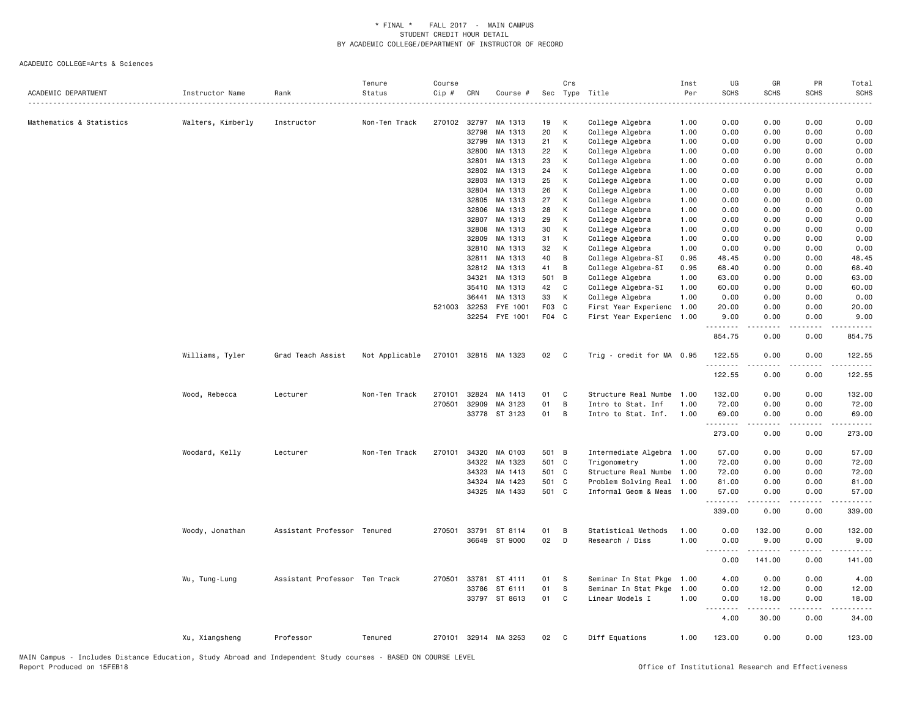| Non-Ten Track<br>270102 32797<br>MA 1313<br>19<br>College Algebra<br>0.00<br>0.00<br>0.00<br>0.00<br>Mathematics & Statistics<br>Walters, Kimberly<br>Instructor<br>К<br>1.00<br>20<br>К<br>32798<br>MA 1313<br>College Algebra<br>1.00<br>0.00<br>0.00<br>0.00<br>0.00<br>32799<br>MA 1313<br>21<br>К<br>College Algebra<br>1.00<br>0.00<br>0.00<br>0.00<br>0.00<br>MA 1313<br>22<br>К<br>0.00<br>32800<br>College Algebra<br>1.00<br>0.00<br>0.00<br>0.00<br>32801<br>MA 1313<br>23<br>К<br>College Algebra<br>1.00<br>0.00<br>0.00<br>0.00<br>0.00<br>32802<br>MA 1313<br>24<br>К<br>College Algebra<br>1.00<br>0.00<br>0.00<br>0.00<br>0.00<br>25<br>32803<br>MA 1313<br>К<br>College Algebra<br>1.00<br>0.00<br>0.00<br>0.00<br>0.00<br>32804<br>MA 1313<br>26<br>К<br>College Algebra<br>1.00<br>0.00<br>0.00<br>0.00<br>0.00<br>27<br>32805<br>MA 1313<br>К<br>College Algebra<br>1.00<br>0.00<br>0.00<br>0.00<br>0.00<br>MA 1313<br>32806<br>28<br>К<br>College Algebra<br>1.00<br>0.00<br>0.00<br>0.00<br>0.00<br>29<br>32807<br>MA 1313<br>К<br>College Algebra<br>1.00<br>0.00<br>0.00<br>0.00<br>0.00<br>MA 1313<br>32808<br>30<br>К<br>College Algebra<br>1.00<br>0.00<br>0.00<br>0.00<br>0.00<br>32809<br>MA 1313<br>31<br>0.00<br>К<br>College Algebra<br>1.00<br>0.00<br>0.00<br>0.00<br>32810<br>MA 1313<br>32<br>K<br>College Algebra<br>1.00<br>0.00<br>0.00<br>0.00<br>0.00<br>32811<br>MA 1313<br>40<br>B<br>College Algebra-SI<br>0.95<br>48.45<br>0.00<br>0.00<br>48.45<br>32812<br>MA 1313<br>41<br>B<br>College Algebra-SI<br>0.95<br>68.40<br>0.00<br>68.40<br>0.00<br>34321<br>MA 1313<br>501 B<br>College Algebra<br>1.00<br>63.00<br>0.00<br>0.00<br>63.00<br>35410<br>MA 1313<br>42<br>60.00<br>C<br>College Algebra-SI<br>1.00<br>0.00<br>0.00<br>60.00<br>36441<br>MA 1313<br>33<br>К<br>College Algebra<br>1.00<br>0.00<br>0.00<br>0.00<br>0.00<br>521003 32253<br>FYE 1001<br>F03 C<br>First Year Experienc<br>1.00<br>20.00<br>0.00<br>0.00<br>20.00<br>32254 FYE 1001<br>F04 C<br>First Year Experienc 1.00<br>9.00<br>0.00<br>9.00<br>0.00<br>.<br>.<br>$\frac{1}{2}$<br>.<br>854.75<br>0.00<br>0.00<br>854.75<br>Williams, Tyler<br>Grad Teach Assist<br>Not Applicable<br>270101 32815 MA 1323<br>02<br>Trig - credit for MA 0.95<br>122.55<br>0.00<br>0.00<br>122.55<br>$\mathbf{C}$<br>.<br>- - - -<br>.<br>122.55<br>0.00<br>0.00<br>Wood, Rebecca<br>Lecturer<br>Non-Ten Track<br>270101<br>32824<br>MA 1413<br>01<br>C<br>Structure Real Numbe<br>1.00<br>132.00<br>0.00<br>0.00<br>132.00<br>B<br>270501<br>32909<br>MA 3123<br>01<br>Intro to Stat. Inf<br>1.00<br>72.00<br>0.00<br>0.00<br>72.00<br>33778 ST 3123<br>01<br>B<br>Intro to Stat. Inf.<br>1.00<br>69.00<br>0.00<br>0.00<br>69.00<br>.<br>273.00<br>0.00<br>0.00<br>273.00<br>Woodard, Kelly<br>Lecturer<br>Non-Ten Track<br>270101<br>34320<br>MA 0103<br>501 B<br>Intermediate Algebra 1.00<br>57.00<br>0.00<br>0.00<br>34322<br>MA 1323<br>501 C<br>1.00<br>72.00<br>0.00<br>0.00<br>Trigonometry<br>501 C<br>34323<br>MA 1413<br>Structure Real Numbe 1.00<br>72.00<br>0.00<br>0.00<br>34324<br>MA 1423<br>501 C<br>Problem Solving Real<br>1.00<br>81.00<br>0.00<br>0.00<br>34325 MA 1433<br>501 C<br>0.00<br>Informal Geom & Meas<br>1.00<br>57.00<br>0.00<br>.<br>339.00<br>0.00<br>0.00<br>270501 33791<br>ST 8114<br>01<br>Statistical Methods<br>1.00<br>0.00<br>132.00<br>0.00<br>Woody, Jonathan<br>Assistant Professor Tenured<br>B<br>02<br>1.00<br>36649 ST 9000<br>D<br>Research / Diss<br>0.00<br>9.00<br>0.00<br>$\sim$ $\sim$ $\sim$<br>0.00<br>141.00<br>0.00<br>Assistant Professor Ten Track<br>270501 33781 ST 4111<br>01<br>Seminar In Stat Pkge 1.00<br>4.00<br>0.00<br>0.00<br>Wu, Tung-Lung<br>s<br>S<br>33786<br>ST 6111<br>01<br>Seminar In Stat Pkge<br>1.00<br>0.00<br>12.00<br>0.00<br>33797 ST 8613<br>Linear Models I<br>01<br>C<br>1.00<br>0.00<br>18.00<br>0.00<br>.<br>4.00<br>30.00<br>0.00<br>Xu, Xiangsheng<br>Professor<br>Tenured<br>270101 32914 MA 3253<br>02<br>C<br>Diff Equations<br>1.00<br>123.00<br>0.00<br>0.00 | ACADEMIC DEPARTMENT | Instructor Name | Rank | Tenure<br>Status | Course<br>Cip # | CRN | Course # | Crs | Sec Type Title | Inst<br>Per | UG<br><b>SCHS</b> | GR<br><b>SCHS</b> | PR<br><b>SCHS</b> | Total<br><b>SCHS</b> |
|-------------------------------------------------------------------------------------------------------------------------------------------------------------------------------------------------------------------------------------------------------------------------------------------------------------------------------------------------------------------------------------------------------------------------------------------------------------------------------------------------------------------------------------------------------------------------------------------------------------------------------------------------------------------------------------------------------------------------------------------------------------------------------------------------------------------------------------------------------------------------------------------------------------------------------------------------------------------------------------------------------------------------------------------------------------------------------------------------------------------------------------------------------------------------------------------------------------------------------------------------------------------------------------------------------------------------------------------------------------------------------------------------------------------------------------------------------------------------------------------------------------------------------------------------------------------------------------------------------------------------------------------------------------------------------------------------------------------------------------------------------------------------------------------------------------------------------------------------------------------------------------------------------------------------------------------------------------------------------------------------------------------------------------------------------------------------------------------------------------------------------------------------------------------------------------------------------------------------------------------------------------------------------------------------------------------------------------------------------------------------------------------------------------------------------------------------------------------------------------------------------------------------------------------------------------------------------------------------------------------------------------------------------------------------------------------------------------------------------------------------------------------------------------------------------------------------------------------------------------------------------------------------------------------------------------------------------------------------------------------------------------------------------------------------------------------------------------------------------------------------------------------------------------------------------------------------------------------------------------------------------------------------------------------------------------------------------------------------------------------------------------------------------------------------------------------------------------------------------------------------------------------------------------------------------------------------------------------------------------------------------------------------------------------------------------------------------------------------------------------------------------------------------------------------------------------------------------------------------------------------------------------------------------------------------------------------------------------------------------------------------------------------------------------------------------------------------|---------------------|-----------------|------|------------------|-----------------|-----|----------|-----|----------------|-------------|-------------------|-------------------|-------------------|----------------------|
|                                                                                                                                                                                                                                                                                                                                                                                                                                                                                                                                                                                                                                                                                                                                                                                                                                                                                                                                                                                                                                                                                                                                                                                                                                                                                                                                                                                                                                                                                                                                                                                                                                                                                                                                                                                                                                                                                                                                                                                                                                                                                                                                                                                                                                                                                                                                                                                                                                                                                                                                                                                                                                                                                                                                                                                                                                                                                                                                                                                                                                                                                                                                                                                                                                                                                                                                                                                                                                                                                                                                                                                                                                                                                                                                                                                                                                                                                                                                                                                                                                                                               |                     |                 |      |                  |                 |     |          |     |                |             |                   |                   |                   |                      |
|                                                                                                                                                                                                                                                                                                                                                                                                                                                                                                                                                                                                                                                                                                                                                                                                                                                                                                                                                                                                                                                                                                                                                                                                                                                                                                                                                                                                                                                                                                                                                                                                                                                                                                                                                                                                                                                                                                                                                                                                                                                                                                                                                                                                                                                                                                                                                                                                                                                                                                                                                                                                                                                                                                                                                                                                                                                                                                                                                                                                                                                                                                                                                                                                                                                                                                                                                                                                                                                                                                                                                                                                                                                                                                                                                                                                                                                                                                                                                                                                                                                                               |                     |                 |      |                  |                 |     |          |     |                |             |                   |                   |                   |                      |
|                                                                                                                                                                                                                                                                                                                                                                                                                                                                                                                                                                                                                                                                                                                                                                                                                                                                                                                                                                                                                                                                                                                                                                                                                                                                                                                                                                                                                                                                                                                                                                                                                                                                                                                                                                                                                                                                                                                                                                                                                                                                                                                                                                                                                                                                                                                                                                                                                                                                                                                                                                                                                                                                                                                                                                                                                                                                                                                                                                                                                                                                                                                                                                                                                                                                                                                                                                                                                                                                                                                                                                                                                                                                                                                                                                                                                                                                                                                                                                                                                                                                               |                     |                 |      |                  |                 |     |          |     |                |             |                   |                   |                   |                      |
|                                                                                                                                                                                                                                                                                                                                                                                                                                                                                                                                                                                                                                                                                                                                                                                                                                                                                                                                                                                                                                                                                                                                                                                                                                                                                                                                                                                                                                                                                                                                                                                                                                                                                                                                                                                                                                                                                                                                                                                                                                                                                                                                                                                                                                                                                                                                                                                                                                                                                                                                                                                                                                                                                                                                                                                                                                                                                                                                                                                                                                                                                                                                                                                                                                                                                                                                                                                                                                                                                                                                                                                                                                                                                                                                                                                                                                                                                                                                                                                                                                                                               |                     |                 |      |                  |                 |     |          |     |                |             |                   |                   |                   |                      |
|                                                                                                                                                                                                                                                                                                                                                                                                                                                                                                                                                                                                                                                                                                                                                                                                                                                                                                                                                                                                                                                                                                                                                                                                                                                                                                                                                                                                                                                                                                                                                                                                                                                                                                                                                                                                                                                                                                                                                                                                                                                                                                                                                                                                                                                                                                                                                                                                                                                                                                                                                                                                                                                                                                                                                                                                                                                                                                                                                                                                                                                                                                                                                                                                                                                                                                                                                                                                                                                                                                                                                                                                                                                                                                                                                                                                                                                                                                                                                                                                                                                                               |                     |                 |      |                  |                 |     |          |     |                |             |                   |                   |                   |                      |
|                                                                                                                                                                                                                                                                                                                                                                                                                                                                                                                                                                                                                                                                                                                                                                                                                                                                                                                                                                                                                                                                                                                                                                                                                                                                                                                                                                                                                                                                                                                                                                                                                                                                                                                                                                                                                                                                                                                                                                                                                                                                                                                                                                                                                                                                                                                                                                                                                                                                                                                                                                                                                                                                                                                                                                                                                                                                                                                                                                                                                                                                                                                                                                                                                                                                                                                                                                                                                                                                                                                                                                                                                                                                                                                                                                                                                                                                                                                                                                                                                                                                               |                     |                 |      |                  |                 |     |          |     |                |             |                   |                   |                   |                      |
|                                                                                                                                                                                                                                                                                                                                                                                                                                                                                                                                                                                                                                                                                                                                                                                                                                                                                                                                                                                                                                                                                                                                                                                                                                                                                                                                                                                                                                                                                                                                                                                                                                                                                                                                                                                                                                                                                                                                                                                                                                                                                                                                                                                                                                                                                                                                                                                                                                                                                                                                                                                                                                                                                                                                                                                                                                                                                                                                                                                                                                                                                                                                                                                                                                                                                                                                                                                                                                                                                                                                                                                                                                                                                                                                                                                                                                                                                                                                                                                                                                                                               |                     |                 |      |                  |                 |     |          |     |                |             |                   |                   |                   |                      |
|                                                                                                                                                                                                                                                                                                                                                                                                                                                                                                                                                                                                                                                                                                                                                                                                                                                                                                                                                                                                                                                                                                                                                                                                                                                                                                                                                                                                                                                                                                                                                                                                                                                                                                                                                                                                                                                                                                                                                                                                                                                                                                                                                                                                                                                                                                                                                                                                                                                                                                                                                                                                                                                                                                                                                                                                                                                                                                                                                                                                                                                                                                                                                                                                                                                                                                                                                                                                                                                                                                                                                                                                                                                                                                                                                                                                                                                                                                                                                                                                                                                                               |                     |                 |      |                  |                 |     |          |     |                |             |                   |                   |                   |                      |
|                                                                                                                                                                                                                                                                                                                                                                                                                                                                                                                                                                                                                                                                                                                                                                                                                                                                                                                                                                                                                                                                                                                                                                                                                                                                                                                                                                                                                                                                                                                                                                                                                                                                                                                                                                                                                                                                                                                                                                                                                                                                                                                                                                                                                                                                                                                                                                                                                                                                                                                                                                                                                                                                                                                                                                                                                                                                                                                                                                                                                                                                                                                                                                                                                                                                                                                                                                                                                                                                                                                                                                                                                                                                                                                                                                                                                                                                                                                                                                                                                                                                               |                     |                 |      |                  |                 |     |          |     |                |             |                   |                   |                   |                      |
|                                                                                                                                                                                                                                                                                                                                                                                                                                                                                                                                                                                                                                                                                                                                                                                                                                                                                                                                                                                                                                                                                                                                                                                                                                                                                                                                                                                                                                                                                                                                                                                                                                                                                                                                                                                                                                                                                                                                                                                                                                                                                                                                                                                                                                                                                                                                                                                                                                                                                                                                                                                                                                                                                                                                                                                                                                                                                                                                                                                                                                                                                                                                                                                                                                                                                                                                                                                                                                                                                                                                                                                                                                                                                                                                                                                                                                                                                                                                                                                                                                                                               |                     |                 |      |                  |                 |     |          |     |                |             |                   |                   |                   |                      |
|                                                                                                                                                                                                                                                                                                                                                                                                                                                                                                                                                                                                                                                                                                                                                                                                                                                                                                                                                                                                                                                                                                                                                                                                                                                                                                                                                                                                                                                                                                                                                                                                                                                                                                                                                                                                                                                                                                                                                                                                                                                                                                                                                                                                                                                                                                                                                                                                                                                                                                                                                                                                                                                                                                                                                                                                                                                                                                                                                                                                                                                                                                                                                                                                                                                                                                                                                                                                                                                                                                                                                                                                                                                                                                                                                                                                                                                                                                                                                                                                                                                                               |                     |                 |      |                  |                 |     |          |     |                |             |                   |                   |                   |                      |
|                                                                                                                                                                                                                                                                                                                                                                                                                                                                                                                                                                                                                                                                                                                                                                                                                                                                                                                                                                                                                                                                                                                                                                                                                                                                                                                                                                                                                                                                                                                                                                                                                                                                                                                                                                                                                                                                                                                                                                                                                                                                                                                                                                                                                                                                                                                                                                                                                                                                                                                                                                                                                                                                                                                                                                                                                                                                                                                                                                                                                                                                                                                                                                                                                                                                                                                                                                                                                                                                                                                                                                                                                                                                                                                                                                                                                                                                                                                                                                                                                                                                               |                     |                 |      |                  |                 |     |          |     |                |             |                   |                   |                   |                      |
|                                                                                                                                                                                                                                                                                                                                                                                                                                                                                                                                                                                                                                                                                                                                                                                                                                                                                                                                                                                                                                                                                                                                                                                                                                                                                                                                                                                                                                                                                                                                                                                                                                                                                                                                                                                                                                                                                                                                                                                                                                                                                                                                                                                                                                                                                                                                                                                                                                                                                                                                                                                                                                                                                                                                                                                                                                                                                                                                                                                                                                                                                                                                                                                                                                                                                                                                                                                                                                                                                                                                                                                                                                                                                                                                                                                                                                                                                                                                                                                                                                                                               |                     |                 |      |                  |                 |     |          |     |                |             |                   |                   |                   |                      |
|                                                                                                                                                                                                                                                                                                                                                                                                                                                                                                                                                                                                                                                                                                                                                                                                                                                                                                                                                                                                                                                                                                                                                                                                                                                                                                                                                                                                                                                                                                                                                                                                                                                                                                                                                                                                                                                                                                                                                                                                                                                                                                                                                                                                                                                                                                                                                                                                                                                                                                                                                                                                                                                                                                                                                                                                                                                                                                                                                                                                                                                                                                                                                                                                                                                                                                                                                                                                                                                                                                                                                                                                                                                                                                                                                                                                                                                                                                                                                                                                                                                                               |                     |                 |      |                  |                 |     |          |     |                |             |                   |                   |                   |                      |
|                                                                                                                                                                                                                                                                                                                                                                                                                                                                                                                                                                                                                                                                                                                                                                                                                                                                                                                                                                                                                                                                                                                                                                                                                                                                                                                                                                                                                                                                                                                                                                                                                                                                                                                                                                                                                                                                                                                                                                                                                                                                                                                                                                                                                                                                                                                                                                                                                                                                                                                                                                                                                                                                                                                                                                                                                                                                                                                                                                                                                                                                                                                                                                                                                                                                                                                                                                                                                                                                                                                                                                                                                                                                                                                                                                                                                                                                                                                                                                                                                                                                               |                     |                 |      |                  |                 |     |          |     |                |             |                   |                   |                   |                      |
|                                                                                                                                                                                                                                                                                                                                                                                                                                                                                                                                                                                                                                                                                                                                                                                                                                                                                                                                                                                                                                                                                                                                                                                                                                                                                                                                                                                                                                                                                                                                                                                                                                                                                                                                                                                                                                                                                                                                                                                                                                                                                                                                                                                                                                                                                                                                                                                                                                                                                                                                                                                                                                                                                                                                                                                                                                                                                                                                                                                                                                                                                                                                                                                                                                                                                                                                                                                                                                                                                                                                                                                                                                                                                                                                                                                                                                                                                                                                                                                                                                                                               |                     |                 |      |                  |                 |     |          |     |                |             |                   |                   |                   |                      |
|                                                                                                                                                                                                                                                                                                                                                                                                                                                                                                                                                                                                                                                                                                                                                                                                                                                                                                                                                                                                                                                                                                                                                                                                                                                                                                                                                                                                                                                                                                                                                                                                                                                                                                                                                                                                                                                                                                                                                                                                                                                                                                                                                                                                                                                                                                                                                                                                                                                                                                                                                                                                                                                                                                                                                                                                                                                                                                                                                                                                                                                                                                                                                                                                                                                                                                                                                                                                                                                                                                                                                                                                                                                                                                                                                                                                                                                                                                                                                                                                                                                                               |                     |                 |      |                  |                 |     |          |     |                |             |                   |                   |                   |                      |
|                                                                                                                                                                                                                                                                                                                                                                                                                                                                                                                                                                                                                                                                                                                                                                                                                                                                                                                                                                                                                                                                                                                                                                                                                                                                                                                                                                                                                                                                                                                                                                                                                                                                                                                                                                                                                                                                                                                                                                                                                                                                                                                                                                                                                                                                                                                                                                                                                                                                                                                                                                                                                                                                                                                                                                                                                                                                                                                                                                                                                                                                                                                                                                                                                                                                                                                                                                                                                                                                                                                                                                                                                                                                                                                                                                                                                                                                                                                                                                                                                                                                               |                     |                 |      |                  |                 |     |          |     |                |             |                   |                   |                   |                      |
|                                                                                                                                                                                                                                                                                                                                                                                                                                                                                                                                                                                                                                                                                                                                                                                                                                                                                                                                                                                                                                                                                                                                                                                                                                                                                                                                                                                                                                                                                                                                                                                                                                                                                                                                                                                                                                                                                                                                                                                                                                                                                                                                                                                                                                                                                                                                                                                                                                                                                                                                                                                                                                                                                                                                                                                                                                                                                                                                                                                                                                                                                                                                                                                                                                                                                                                                                                                                                                                                                                                                                                                                                                                                                                                                                                                                                                                                                                                                                                                                                                                                               |                     |                 |      |                  |                 |     |          |     |                |             |                   |                   |                   |                      |
|                                                                                                                                                                                                                                                                                                                                                                                                                                                                                                                                                                                                                                                                                                                                                                                                                                                                                                                                                                                                                                                                                                                                                                                                                                                                                                                                                                                                                                                                                                                                                                                                                                                                                                                                                                                                                                                                                                                                                                                                                                                                                                                                                                                                                                                                                                                                                                                                                                                                                                                                                                                                                                                                                                                                                                                                                                                                                                                                                                                                                                                                                                                                                                                                                                                                                                                                                                                                                                                                                                                                                                                                                                                                                                                                                                                                                                                                                                                                                                                                                                                                               |                     |                 |      |                  |                 |     |          |     |                |             |                   |                   |                   |                      |
|                                                                                                                                                                                                                                                                                                                                                                                                                                                                                                                                                                                                                                                                                                                                                                                                                                                                                                                                                                                                                                                                                                                                                                                                                                                                                                                                                                                                                                                                                                                                                                                                                                                                                                                                                                                                                                                                                                                                                                                                                                                                                                                                                                                                                                                                                                                                                                                                                                                                                                                                                                                                                                                                                                                                                                                                                                                                                                                                                                                                                                                                                                                                                                                                                                                                                                                                                                                                                                                                                                                                                                                                                                                                                                                                                                                                                                                                                                                                                                                                                                                                               |                     |                 |      |                  |                 |     |          |     |                |             |                   |                   |                   |                      |
|                                                                                                                                                                                                                                                                                                                                                                                                                                                                                                                                                                                                                                                                                                                                                                                                                                                                                                                                                                                                                                                                                                                                                                                                                                                                                                                                                                                                                                                                                                                                                                                                                                                                                                                                                                                                                                                                                                                                                                                                                                                                                                                                                                                                                                                                                                                                                                                                                                                                                                                                                                                                                                                                                                                                                                                                                                                                                                                                                                                                                                                                                                                                                                                                                                                                                                                                                                                                                                                                                                                                                                                                                                                                                                                                                                                                                                                                                                                                                                                                                                                                               |                     |                 |      |                  |                 |     |          |     |                |             |                   |                   |                   |                      |
|                                                                                                                                                                                                                                                                                                                                                                                                                                                                                                                                                                                                                                                                                                                                                                                                                                                                                                                                                                                                                                                                                                                                                                                                                                                                                                                                                                                                                                                                                                                                                                                                                                                                                                                                                                                                                                                                                                                                                                                                                                                                                                                                                                                                                                                                                                                                                                                                                                                                                                                                                                                                                                                                                                                                                                                                                                                                                                                                                                                                                                                                                                                                                                                                                                                                                                                                                                                                                                                                                                                                                                                                                                                                                                                                                                                                                                                                                                                                                                                                                                                                               |                     |                 |      |                  |                 |     |          |     |                |             |                   |                   |                   |                      |
|                                                                                                                                                                                                                                                                                                                                                                                                                                                                                                                                                                                                                                                                                                                                                                                                                                                                                                                                                                                                                                                                                                                                                                                                                                                                                                                                                                                                                                                                                                                                                                                                                                                                                                                                                                                                                                                                                                                                                                                                                                                                                                                                                                                                                                                                                                                                                                                                                                                                                                                                                                                                                                                                                                                                                                                                                                                                                                                                                                                                                                                                                                                                                                                                                                                                                                                                                                                                                                                                                                                                                                                                                                                                                                                                                                                                                                                                                                                                                                                                                                                                               |                     |                 |      |                  |                 |     |          |     |                |             |                   |                   |                   |                      |
|                                                                                                                                                                                                                                                                                                                                                                                                                                                                                                                                                                                                                                                                                                                                                                                                                                                                                                                                                                                                                                                                                                                                                                                                                                                                                                                                                                                                                                                                                                                                                                                                                                                                                                                                                                                                                                                                                                                                                                                                                                                                                                                                                                                                                                                                                                                                                                                                                                                                                                                                                                                                                                                                                                                                                                                                                                                                                                                                                                                                                                                                                                                                                                                                                                                                                                                                                                                                                                                                                                                                                                                                                                                                                                                                                                                                                                                                                                                                                                                                                                                                               |                     |                 |      |                  |                 |     |          |     |                |             |                   |                   |                   | 122.55               |
|                                                                                                                                                                                                                                                                                                                                                                                                                                                                                                                                                                                                                                                                                                                                                                                                                                                                                                                                                                                                                                                                                                                                                                                                                                                                                                                                                                                                                                                                                                                                                                                                                                                                                                                                                                                                                                                                                                                                                                                                                                                                                                                                                                                                                                                                                                                                                                                                                                                                                                                                                                                                                                                                                                                                                                                                                                                                                                                                                                                                                                                                                                                                                                                                                                                                                                                                                                                                                                                                                                                                                                                                                                                                                                                                                                                                                                                                                                                                                                                                                                                                               |                     |                 |      |                  |                 |     |          |     |                |             |                   |                   |                   |                      |
|                                                                                                                                                                                                                                                                                                                                                                                                                                                                                                                                                                                                                                                                                                                                                                                                                                                                                                                                                                                                                                                                                                                                                                                                                                                                                                                                                                                                                                                                                                                                                                                                                                                                                                                                                                                                                                                                                                                                                                                                                                                                                                                                                                                                                                                                                                                                                                                                                                                                                                                                                                                                                                                                                                                                                                                                                                                                                                                                                                                                                                                                                                                                                                                                                                                                                                                                                                                                                                                                                                                                                                                                                                                                                                                                                                                                                                                                                                                                                                                                                                                                               |                     |                 |      |                  |                 |     |          |     |                |             |                   |                   |                   |                      |
|                                                                                                                                                                                                                                                                                                                                                                                                                                                                                                                                                                                                                                                                                                                                                                                                                                                                                                                                                                                                                                                                                                                                                                                                                                                                                                                                                                                                                                                                                                                                                                                                                                                                                                                                                                                                                                                                                                                                                                                                                                                                                                                                                                                                                                                                                                                                                                                                                                                                                                                                                                                                                                                                                                                                                                                                                                                                                                                                                                                                                                                                                                                                                                                                                                                                                                                                                                                                                                                                                                                                                                                                                                                                                                                                                                                                                                                                                                                                                                                                                                                                               |                     |                 |      |                  |                 |     |          |     |                |             |                   |                   |                   |                      |
|                                                                                                                                                                                                                                                                                                                                                                                                                                                                                                                                                                                                                                                                                                                                                                                                                                                                                                                                                                                                                                                                                                                                                                                                                                                                                                                                                                                                                                                                                                                                                                                                                                                                                                                                                                                                                                                                                                                                                                                                                                                                                                                                                                                                                                                                                                                                                                                                                                                                                                                                                                                                                                                                                                                                                                                                                                                                                                                                                                                                                                                                                                                                                                                                                                                                                                                                                                                                                                                                                                                                                                                                                                                                                                                                                                                                                                                                                                                                                                                                                                                                               |                     |                 |      |                  |                 |     |          |     |                |             |                   |                   |                   |                      |
|                                                                                                                                                                                                                                                                                                                                                                                                                                                                                                                                                                                                                                                                                                                                                                                                                                                                                                                                                                                                                                                                                                                                                                                                                                                                                                                                                                                                                                                                                                                                                                                                                                                                                                                                                                                                                                                                                                                                                                                                                                                                                                                                                                                                                                                                                                                                                                                                                                                                                                                                                                                                                                                                                                                                                                                                                                                                                                                                                                                                                                                                                                                                                                                                                                                                                                                                                                                                                                                                                                                                                                                                                                                                                                                                                                                                                                                                                                                                                                                                                                                                               |                     |                 |      |                  |                 |     |          |     |                |             |                   |                   |                   |                      |
|                                                                                                                                                                                                                                                                                                                                                                                                                                                                                                                                                                                                                                                                                                                                                                                                                                                                                                                                                                                                                                                                                                                                                                                                                                                                                                                                                                                                                                                                                                                                                                                                                                                                                                                                                                                                                                                                                                                                                                                                                                                                                                                                                                                                                                                                                                                                                                                                                                                                                                                                                                                                                                                                                                                                                                                                                                                                                                                                                                                                                                                                                                                                                                                                                                                                                                                                                                                                                                                                                                                                                                                                                                                                                                                                                                                                                                                                                                                                                                                                                                                                               |                     |                 |      |                  |                 |     |          |     |                |             |                   |                   |                   | 57.00                |
|                                                                                                                                                                                                                                                                                                                                                                                                                                                                                                                                                                                                                                                                                                                                                                                                                                                                                                                                                                                                                                                                                                                                                                                                                                                                                                                                                                                                                                                                                                                                                                                                                                                                                                                                                                                                                                                                                                                                                                                                                                                                                                                                                                                                                                                                                                                                                                                                                                                                                                                                                                                                                                                                                                                                                                                                                                                                                                                                                                                                                                                                                                                                                                                                                                                                                                                                                                                                                                                                                                                                                                                                                                                                                                                                                                                                                                                                                                                                                                                                                                                                               |                     |                 |      |                  |                 |     |          |     |                |             |                   |                   |                   | 72.00                |
|                                                                                                                                                                                                                                                                                                                                                                                                                                                                                                                                                                                                                                                                                                                                                                                                                                                                                                                                                                                                                                                                                                                                                                                                                                                                                                                                                                                                                                                                                                                                                                                                                                                                                                                                                                                                                                                                                                                                                                                                                                                                                                                                                                                                                                                                                                                                                                                                                                                                                                                                                                                                                                                                                                                                                                                                                                                                                                                                                                                                                                                                                                                                                                                                                                                                                                                                                                                                                                                                                                                                                                                                                                                                                                                                                                                                                                                                                                                                                                                                                                                                               |                     |                 |      |                  |                 |     |          |     |                |             |                   |                   |                   | 72.00                |
|                                                                                                                                                                                                                                                                                                                                                                                                                                                                                                                                                                                                                                                                                                                                                                                                                                                                                                                                                                                                                                                                                                                                                                                                                                                                                                                                                                                                                                                                                                                                                                                                                                                                                                                                                                                                                                                                                                                                                                                                                                                                                                                                                                                                                                                                                                                                                                                                                                                                                                                                                                                                                                                                                                                                                                                                                                                                                                                                                                                                                                                                                                                                                                                                                                                                                                                                                                                                                                                                                                                                                                                                                                                                                                                                                                                                                                                                                                                                                                                                                                                                               |                     |                 |      |                  |                 |     |          |     |                |             |                   |                   |                   | 81.00                |
|                                                                                                                                                                                                                                                                                                                                                                                                                                                                                                                                                                                                                                                                                                                                                                                                                                                                                                                                                                                                                                                                                                                                                                                                                                                                                                                                                                                                                                                                                                                                                                                                                                                                                                                                                                                                                                                                                                                                                                                                                                                                                                                                                                                                                                                                                                                                                                                                                                                                                                                                                                                                                                                                                                                                                                                                                                                                                                                                                                                                                                                                                                                                                                                                                                                                                                                                                                                                                                                                                                                                                                                                                                                                                                                                                                                                                                                                                                                                                                                                                                                                               |                     |                 |      |                  |                 |     |          |     |                |             |                   |                   |                   | 57.00                |
|                                                                                                                                                                                                                                                                                                                                                                                                                                                                                                                                                                                                                                                                                                                                                                                                                                                                                                                                                                                                                                                                                                                                                                                                                                                                                                                                                                                                                                                                                                                                                                                                                                                                                                                                                                                                                                                                                                                                                                                                                                                                                                                                                                                                                                                                                                                                                                                                                                                                                                                                                                                                                                                                                                                                                                                                                                                                                                                                                                                                                                                                                                                                                                                                                                                                                                                                                                                                                                                                                                                                                                                                                                                                                                                                                                                                                                                                                                                                                                                                                                                                               |                     |                 |      |                  |                 |     |          |     |                |             |                   |                   |                   | 339.00               |
|                                                                                                                                                                                                                                                                                                                                                                                                                                                                                                                                                                                                                                                                                                                                                                                                                                                                                                                                                                                                                                                                                                                                                                                                                                                                                                                                                                                                                                                                                                                                                                                                                                                                                                                                                                                                                                                                                                                                                                                                                                                                                                                                                                                                                                                                                                                                                                                                                                                                                                                                                                                                                                                                                                                                                                                                                                                                                                                                                                                                                                                                                                                                                                                                                                                                                                                                                                                                                                                                                                                                                                                                                                                                                                                                                                                                                                                                                                                                                                                                                                                                               |                     |                 |      |                  |                 |     |          |     |                |             |                   |                   |                   | 132.00               |
|                                                                                                                                                                                                                                                                                                                                                                                                                                                                                                                                                                                                                                                                                                                                                                                                                                                                                                                                                                                                                                                                                                                                                                                                                                                                                                                                                                                                                                                                                                                                                                                                                                                                                                                                                                                                                                                                                                                                                                                                                                                                                                                                                                                                                                                                                                                                                                                                                                                                                                                                                                                                                                                                                                                                                                                                                                                                                                                                                                                                                                                                                                                                                                                                                                                                                                                                                                                                                                                                                                                                                                                                                                                                                                                                                                                                                                                                                                                                                                                                                                                                               |                     |                 |      |                  |                 |     |          |     |                |             |                   |                   |                   | 9.00                 |
|                                                                                                                                                                                                                                                                                                                                                                                                                                                                                                                                                                                                                                                                                                                                                                                                                                                                                                                                                                                                                                                                                                                                                                                                                                                                                                                                                                                                                                                                                                                                                                                                                                                                                                                                                                                                                                                                                                                                                                                                                                                                                                                                                                                                                                                                                                                                                                                                                                                                                                                                                                                                                                                                                                                                                                                                                                                                                                                                                                                                                                                                                                                                                                                                                                                                                                                                                                                                                                                                                                                                                                                                                                                                                                                                                                                                                                                                                                                                                                                                                                                                               |                     |                 |      |                  |                 |     |          |     |                |             |                   |                   |                   | 141.00               |
|                                                                                                                                                                                                                                                                                                                                                                                                                                                                                                                                                                                                                                                                                                                                                                                                                                                                                                                                                                                                                                                                                                                                                                                                                                                                                                                                                                                                                                                                                                                                                                                                                                                                                                                                                                                                                                                                                                                                                                                                                                                                                                                                                                                                                                                                                                                                                                                                                                                                                                                                                                                                                                                                                                                                                                                                                                                                                                                                                                                                                                                                                                                                                                                                                                                                                                                                                                                                                                                                                                                                                                                                                                                                                                                                                                                                                                                                                                                                                                                                                                                                               |                     |                 |      |                  |                 |     |          |     |                |             |                   |                   |                   | 4.00                 |
|                                                                                                                                                                                                                                                                                                                                                                                                                                                                                                                                                                                                                                                                                                                                                                                                                                                                                                                                                                                                                                                                                                                                                                                                                                                                                                                                                                                                                                                                                                                                                                                                                                                                                                                                                                                                                                                                                                                                                                                                                                                                                                                                                                                                                                                                                                                                                                                                                                                                                                                                                                                                                                                                                                                                                                                                                                                                                                                                                                                                                                                                                                                                                                                                                                                                                                                                                                                                                                                                                                                                                                                                                                                                                                                                                                                                                                                                                                                                                                                                                                                                               |                     |                 |      |                  |                 |     |          |     |                |             |                   |                   |                   | 12.00                |
|                                                                                                                                                                                                                                                                                                                                                                                                                                                                                                                                                                                                                                                                                                                                                                                                                                                                                                                                                                                                                                                                                                                                                                                                                                                                                                                                                                                                                                                                                                                                                                                                                                                                                                                                                                                                                                                                                                                                                                                                                                                                                                                                                                                                                                                                                                                                                                                                                                                                                                                                                                                                                                                                                                                                                                                                                                                                                                                                                                                                                                                                                                                                                                                                                                                                                                                                                                                                                                                                                                                                                                                                                                                                                                                                                                                                                                                                                                                                                                                                                                                                               |                     |                 |      |                  |                 |     |          |     |                |             |                   |                   |                   | 18.00                |
|                                                                                                                                                                                                                                                                                                                                                                                                                                                                                                                                                                                                                                                                                                                                                                                                                                                                                                                                                                                                                                                                                                                                                                                                                                                                                                                                                                                                                                                                                                                                                                                                                                                                                                                                                                                                                                                                                                                                                                                                                                                                                                                                                                                                                                                                                                                                                                                                                                                                                                                                                                                                                                                                                                                                                                                                                                                                                                                                                                                                                                                                                                                                                                                                                                                                                                                                                                                                                                                                                                                                                                                                                                                                                                                                                                                                                                                                                                                                                                                                                                                                               |                     |                 |      |                  |                 |     |          |     |                |             |                   |                   |                   | 34.00                |
|                                                                                                                                                                                                                                                                                                                                                                                                                                                                                                                                                                                                                                                                                                                                                                                                                                                                                                                                                                                                                                                                                                                                                                                                                                                                                                                                                                                                                                                                                                                                                                                                                                                                                                                                                                                                                                                                                                                                                                                                                                                                                                                                                                                                                                                                                                                                                                                                                                                                                                                                                                                                                                                                                                                                                                                                                                                                                                                                                                                                                                                                                                                                                                                                                                                                                                                                                                                                                                                                                                                                                                                                                                                                                                                                                                                                                                                                                                                                                                                                                                                                               |                     |                 |      |                  |                 |     |          |     |                |             |                   |                   |                   | 123.00               |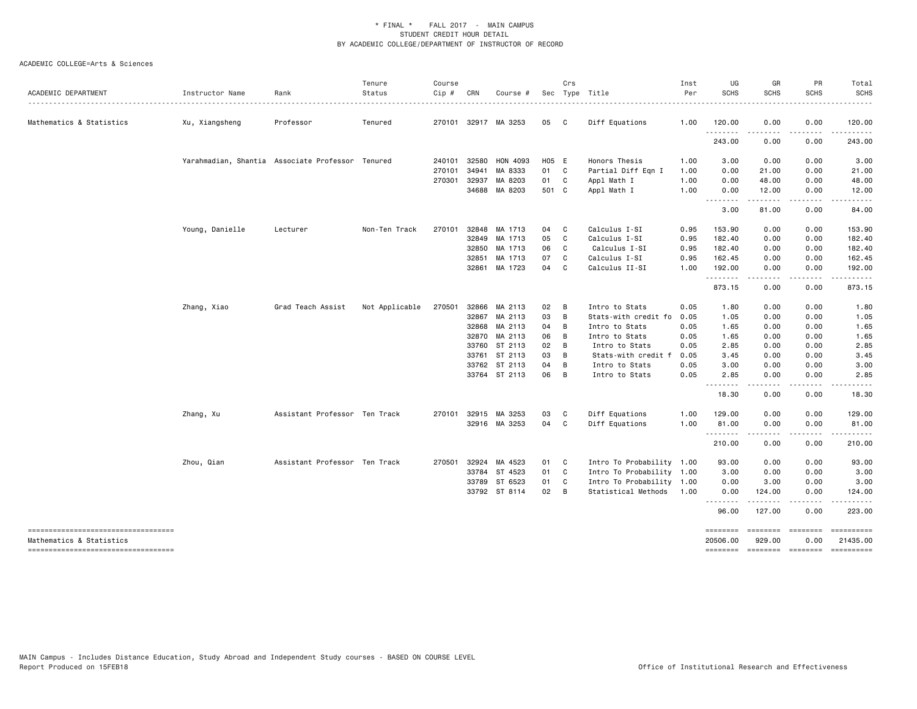| ACADEMIC DEPARTMENT                                             | Instructor Name | Rank                                             | Tenure<br>Status | Course<br>Cip # | CRN   | Course #             |       | Crs            | Sec Type Title            | Inst<br>Per | UG<br><b>SCHS</b>           | GR<br><b>SCHS</b>  | PR<br><b>SCHS</b>      | Total<br><b>SCHS</b>   |
|-----------------------------------------------------------------|-----------------|--------------------------------------------------|------------------|-----------------|-------|----------------------|-------|----------------|---------------------------|-------------|-----------------------------|--------------------|------------------------|------------------------|
| Mathematics & Statistics                                        | Xu, Xiangsheng  | Professor                                        | Tenured          |                 |       | 270101 32917 MA 3253 | 05    | $\mathbf{C}$   | Diff Equations            | 1.00        | 120.00                      | 0.00               | 0.00                   | 120.00                 |
|                                                                 |                 |                                                  |                  |                 |       |                      |       |                |                           |             | .<br>243.00                 | ----<br>0.00       | .<br>0.00              | .<br>243.00            |
|                                                                 |                 | Yarahmadian, Shantia Associate Professor Tenured |                  | 240101          | 32580 | HON 4093             | H05 E |                | Honors Thesis             | 1.00        | 3.00                        | 0.00               | 0.00                   | 3.00                   |
|                                                                 |                 |                                                  |                  | 270101          | 34941 | MA 8333              | 01 C  |                | Partial Diff Eqn I        | 1.00        | 0.00                        | 21.00              | 0.00                   | 21.00                  |
|                                                                 |                 |                                                  |                  | 270301          | 32937 | MA 8203              | 01 C  |                | Appl Math I               | 1.00        | 0.00                        | 48.00              | 0.00                   | 48.00                  |
|                                                                 |                 |                                                  |                  |                 | 34688 | MA 8203              | 501 C |                | Appl Math I               | 1.00        | 0.00                        | 12.00              | 0.00                   | 12.00                  |
|                                                                 |                 |                                                  |                  |                 |       |                      |       |                |                           |             | .<br>3.00                   | 81.00              | 0.00                   | 84.00                  |
|                                                                 | Young, Danielle | Lecturer                                         | Non-Ten Track    | 270101 32848    |       | MA 1713              | 04 C  |                | Calculus I-SI             | 0.95        | 153.90                      | 0.00               | 0.00                   | 153.90                 |
|                                                                 |                 |                                                  |                  |                 | 32849 | MA 1713              | 05    | $\mathbf{C}$   | Calculus I-SI             | 0.95        | 182.40                      | 0.00               | 0.00                   | 182.40                 |
|                                                                 |                 |                                                  |                  |                 | 32850 | MA 1713              | 06    | C              | Calculus I-SI             | 0.95        | 182.40                      | 0.00               | 0.00                   | 182.40                 |
|                                                                 |                 |                                                  |                  |                 | 32851 | MA 1713              | 07    | C              | Calculus I-SI             | 0.95        | 162.45                      | 0.00               | 0.00                   | 162.45                 |
|                                                                 |                 |                                                  |                  |                 | 32861 | MA 1723              | 04    | C.             | Calculus II-SI            | 1.00        | 192.00<br>.                 | 0.00<br>.          | 0.00<br>$\frac{1}{2}$  | 192.00<br>.            |
|                                                                 |                 |                                                  |                  |                 |       |                      |       |                |                           |             | 873.15                      | 0.00               | 0.00                   | 873.15                 |
|                                                                 | Zhang, Xiao     | Grad Teach Assist                                | Not Applicable   | 270501          | 32866 | MA 2113              | 02    | B              | Intro to Stats            | 0.05        | 1.80                        | 0.00               | 0.00                   | 1.80                   |
|                                                                 |                 |                                                  |                  |                 | 32867 | MA 2113              | 03    | $\overline{B}$ | Stats-with credit fo      | 0.05        | 1.05                        | 0.00               | 0.00                   | 1.05                   |
|                                                                 |                 |                                                  |                  |                 | 32868 | MA 2113              | 04    | B              | Intro to Stats            | 0.05        | 1.65                        | 0.00               | 0.00                   | 1.65                   |
|                                                                 |                 |                                                  |                  |                 | 32870 | MA 2113              | 06    | B              | Intro to Stats            | 0.05        | 1.65                        | 0.00               | 0.00                   | 1.65                   |
|                                                                 |                 |                                                  |                  |                 |       | 33760 ST 2113        | 02    | B              | Intro to Stats            | 0.05        | 2.85                        | 0.00               | 0.00                   | 2.85                   |
|                                                                 |                 |                                                  |                  |                 | 33761 | ST 2113              | 03    | B              | Stats-with credit f       | 0.05        | 3.45                        | 0.00               | 0.00                   | 3.45                   |
|                                                                 |                 |                                                  |                  |                 |       | 33762 ST 2113        | 04    | B              | Intro to Stats            | 0.05        | 3.00                        | 0.00               | 0.00                   | 3.00                   |
|                                                                 |                 |                                                  |                  |                 |       | 33764 ST 2113        | 06    | $\overline{B}$ | Intro to Stats            | 0.05        | 2.85<br>--------            | 0.00<br>.          | 0.00<br>.              | 2.85                   |
|                                                                 |                 |                                                  |                  |                 |       |                      |       |                |                           |             | 18.30                       | 0.00               | 0.00                   | 18.30                  |
|                                                                 | Zhang, Xu       | Assistant Professor Ten Track                    |                  | 270101          |       | 32915 MA 3253        | 03    | C              | Diff Equations            | 1.00        | 129.00                      | 0.00               | 0.00                   | 129.00                 |
|                                                                 |                 |                                                  |                  |                 |       | 32916 MA 3253        | 04 C  |                | Diff Equations            | 1.00        | 81.00<br>.                  | 0.00<br>.          | 0.00<br>.              | 81.00<br>.             |
|                                                                 |                 |                                                  |                  |                 |       |                      |       |                |                           |             | 210.00                      | 0.00               | 0.00                   | 210.00                 |
|                                                                 | Zhou, Qian      | Assistant Professor Ten Track                    |                  | 270501          | 32924 | MA 4523              | 01 C  |                | Intro To Probability 1.00 |             | 93.00                       | 0.00               | 0.00                   | 93.00                  |
|                                                                 |                 |                                                  |                  |                 | 33784 | ST 4523              | 01 C  |                | Intro To Probability 1.00 |             | 3.00                        | 0.00               | 0.00                   | 3.00                   |
|                                                                 |                 |                                                  |                  |                 |       | 33789 ST 6523        | 01 C  |                | Intro To Probability 1.00 |             | 0.00                        | 3.00               | 0.00                   | 3.00                   |
|                                                                 |                 |                                                  |                  |                 |       | 33792 ST 8114        | 02 B  |                | Statistical Methods       | 1.00        | 0.00<br>.                   | 124.00<br>.        | 0.00<br>.              | 124.00                 |
|                                                                 |                 |                                                  |                  |                 |       |                      |       |                |                           |             | 96.00                       | 127.00             | 0.00                   | 223.00                 |
| -----------------------------------<br>Mathematics & Statistics |                 |                                                  |                  |                 |       |                      |       |                |                           |             | <b>ESSESSES</b><br>20506.00 | ========<br>929.00 | <b>EBBEERE</b><br>0.00 | ==========<br>21435.00 |
| -----------------------------------                             |                 |                                                  |                  |                 |       |                      |       |                |                           |             | ========                    |                    | --------- --------     |                        |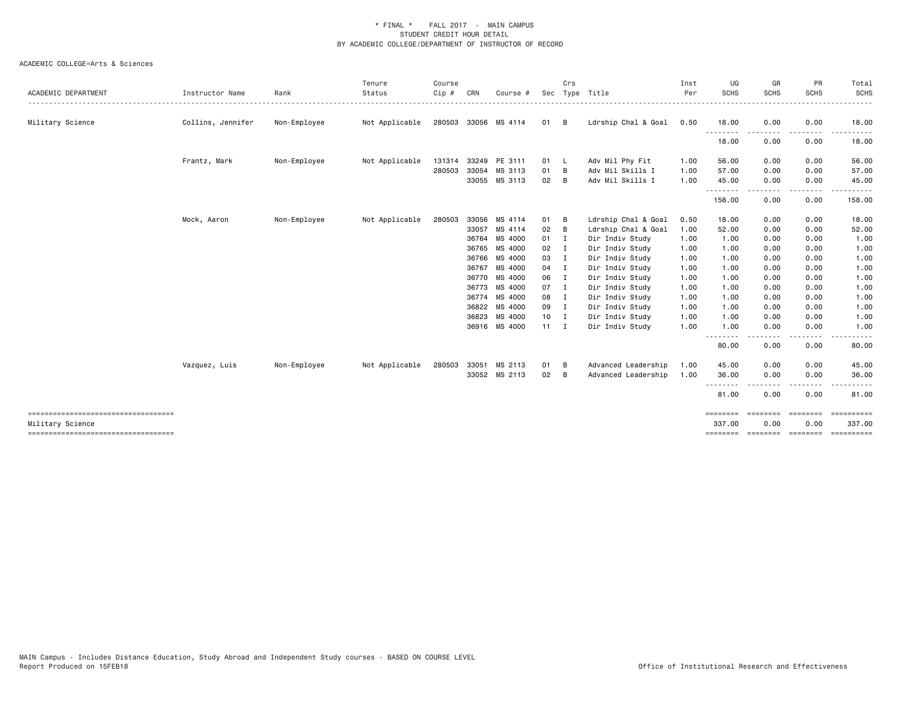| ACADEMIC DEPARTMENT                                        | Instructor Name   | Rank         | Tenure<br>Status | Course<br>Cip # | CRN   | Course #             | Sec          | Crs            | Type Title          | Inst<br>Per | UG<br><b>SCHS</b>                                                                                                                             | GR<br><b>SCHS</b> | PR<br><b>SCHS</b> | Total<br>SCHS<br>.   |
|------------------------------------------------------------|-------------------|--------------|------------------|-----------------|-------|----------------------|--------------|----------------|---------------------|-------------|-----------------------------------------------------------------------------------------------------------------------------------------------|-------------------|-------------------|----------------------|
| Military Science                                           | Collins, Jennifer | Non-Employee | Not Applicable   |                 |       | 280503 33056 MS 4114 | 01           | B              | Ldrship Chal & Goal | 0.50        | 18.00                                                                                                                                         | 0.00              | 0.00              | 18.00                |
|                                                            |                   |              |                  |                 |       |                      |              |                |                     |             | $\frac{1}{2} \left( \frac{1}{2} \right) \left( \frac{1}{2} \right) \left( \frac{1}{2} \right) \left( \frac{1}{2} \right)$<br>- - - -<br>18.00 | 0.00              | 0.00              | 18.00                |
|                                                            | Frantz, Mark      | Non-Employee | Not Applicable   | 131314          | 33249 | PE 3111              | 01           | - L            | Adv Mil Phy Fit     | 1.00        | 56.00                                                                                                                                         | 0.00              | 0.00              | 56.00                |
|                                                            |                   |              |                  | 280503          | 33054 | MS 3113              | 01           | B              | Adv Mil Skills I    | 1.00        | 57.00                                                                                                                                         | 0.00              | 0.00              | 57.00                |
|                                                            |                   |              |                  |                 |       | 33055 MS 3113        | 02           | B              | Adv Mil Skills I    | 1.00        | 45.00                                                                                                                                         | 0.00              | 0.00              | 45.00                |
|                                                            |                   |              |                  |                 |       |                      |              |                |                     |             | 158.00                                                                                                                                        | 0.00              | 0.00              | 158.00               |
|                                                            | Mock, Aaron       | Non-Employee | Not Applicable   | 280503          | 33056 | MS 4114              | 01           | в              | Ldrship Chal & Goal | 0.50        | 18.00                                                                                                                                         | 0.00              | 0.00              | 18.00                |
|                                                            |                   |              |                  |                 | 33057 | MS 4114              | 02           | B              | Ldrship Chal & Goal | 1.00        | 52.00                                                                                                                                         | 0.00              | 0.00              | 52.00                |
|                                                            |                   |              |                  |                 | 36764 | MS 4000              | 01           | I.             | Dir Indiv Study     | 1.00        | 1.00                                                                                                                                          | 0.00              | 0.00              | 1.00                 |
|                                                            |                   |              |                  |                 | 36765 | MS 4000              | 02           | $\blacksquare$ | Dir Indiv Study     | 1.00        | 1.00                                                                                                                                          | 0.00              | 0.00              | 1.00                 |
|                                                            |                   |              |                  |                 | 36766 | MS 4000              | 03           | $\blacksquare$ | Dir Indiv Study     | 1.00        | 1.00                                                                                                                                          | 0.00              | 0.00              | 1.00                 |
|                                                            |                   |              |                  |                 | 36767 | MS 4000              | 04           | $\mathbf{I}$   | Dir Indiv Study     | 1.00        | 1.00                                                                                                                                          | 0.00              | 0.00              | 1.00                 |
|                                                            |                   |              |                  |                 |       | 36770 MS 4000        | 06           | $\blacksquare$ | Dir Indiv Study     | 1.00        | 1.00                                                                                                                                          | 0.00              | 0.00              | 1.00                 |
|                                                            |                   |              |                  |                 |       | 36773 MS 4000        | 07           | $\blacksquare$ | Dir Indiv Study     | 1.00        | 1.00                                                                                                                                          | 0.00              | 0.00              | 1.00                 |
|                                                            |                   |              |                  |                 |       | 36774 MS 4000        | 08 I         |                | Dir Indiv Study     | 1.00        | 1.00                                                                                                                                          | 0.00              | 0.00              | 1.00                 |
|                                                            |                   |              |                  |                 | 36822 | MS 4000              | 09           | $\mathbf{I}$   | Dir Indiv Study     | 1.00        | 1.00                                                                                                                                          | 0.00              | 0.00              | 1.00                 |
|                                                            |                   |              |                  |                 | 36823 | MS 4000              | $10$ I       |                | Dir Indiv Study     | 1.00        | 1.00                                                                                                                                          | 0.00              | 0.00              | 1.00                 |
|                                                            |                   |              |                  |                 |       | 36916 MS 4000        | $11 \quad I$ |                | Dir Indiv Study     | 1.00        | 1.00<br>$\frac{1}{2}$                                                                                                                         | 0.00              | 0.00              | 1.00                 |
|                                                            |                   |              |                  |                 |       |                      |              |                |                     |             | 80.00                                                                                                                                         | 0.00              | 0.00              | 80.00                |
|                                                            | Vazquez, Luis     | Non-Employee | Not Applicable   | 280503          | 33051 | MS 2113              | 01           | B              | Advanced Leadership | 1.00        | 45.00                                                                                                                                         | 0.00              | 0.00              | 45.00                |
|                                                            |                   |              |                  |                 |       | 33052 MS 2113        | 02           | B              | Advanced Leadership | 1.00        | 36.00                                                                                                                                         | 0.00              | 0.00              | 36.00                |
|                                                            |                   |              |                  |                 |       |                      |              |                |                     |             | .<br>81.00                                                                                                                                    | 0.00              | 0.00              | 81.00                |
| ======================================<br>Military Science |                   |              |                  |                 |       |                      |              |                |                     |             | ========<br>337.00                                                                                                                            | ========<br>0.00  | ========<br>0.00  | ==========<br>337.00 |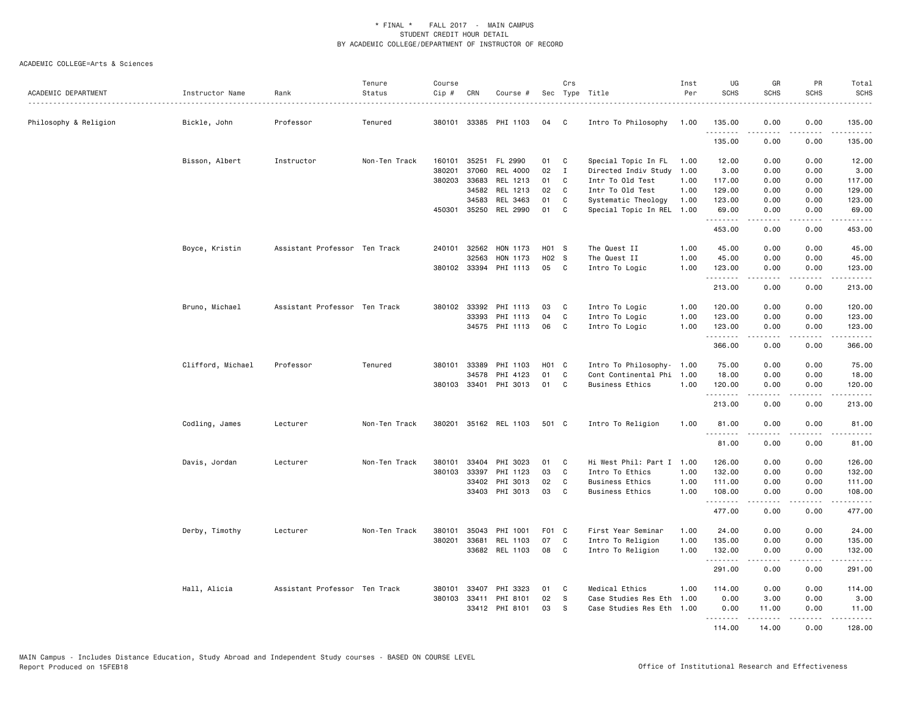| ACADEMIC DEPARTMENT   | Instructor Name   | Rank<br>.                     | Tenure<br>Status | Course<br>$Cip$ # | CRN          | Course #       |       | Crs          | Sec Type Title<br>.       | Inst<br>Per | UG<br><b>SCHS</b>  | GR<br><b>SCHS</b> | PR<br><b>SCHS</b>                   | Total<br><b>SCHS</b><br>.                                                                                                                                      |
|-----------------------|-------------------|-------------------------------|------------------|-------------------|--------------|----------------|-------|--------------|---------------------------|-------------|--------------------|-------------------|-------------------------------------|----------------------------------------------------------------------------------------------------------------------------------------------------------------|
| Philosophy & Religion | Bickle, John      | Professor                     | Tenured          | 380101            |              | 33385 PHI 1103 | 04    | C            | Intro To Philosophy       | 1.00        | 135.00             | 0.00              | 0.00                                | 135.00                                                                                                                                                         |
|                       |                   |                               |                  |                   |              |                |       |              |                           |             | .<br>135.00        | .<br>0.00         | $\sim$ $\sim$ $\sim$ $\sim$<br>0.00 | 135.00                                                                                                                                                         |
|                       | Bisson, Albert    | Instructor                    | Non-Ten Track    | 160101            | 35251        | FL 2990        | 01    | C            | Special Topic In FL       | 1.00        | 12.00              | 0.00              | 0.00                                | 12.00                                                                                                                                                          |
|                       |                   |                               |                  | 380201            | 37060        | REL 4000       | 02    | I            | Directed Indiv Study      | 1.00        | 3.00               | 0.00              | 0.00                                | 3.00                                                                                                                                                           |
|                       |                   |                               |                  | 380203            | 33683        | REL 1213       | 01    | C            | Intr To Old Test          | 1.00        | 117.00             | 0.00              | 0.00                                | 117.00                                                                                                                                                         |
|                       |                   |                               |                  |                   | 34582        | REL 1213       | 02    | C            | Intr To Old Test          | 1.00        | 129.00             | 0.00              | 0.00                                | 129.00                                                                                                                                                         |
|                       |                   |                               |                  |                   | 34583        | REL 3463       | 01    | C            | Systematic Theology       | 1.00        | 123.00             | 0.00              | 0.00                                | 123.00                                                                                                                                                         |
|                       |                   |                               |                  |                   | 450301 35250 | REL 2990       | 01    | C            | Special Topic In REL      | 1.00        | 69.00<br>.         | 0.00<br>.         | 0.00<br>$\cdots$                    | 69.00<br>.                                                                                                                                                     |
|                       |                   |                               |                  |                   |              |                |       |              |                           |             | 453.00             | 0.00              | 0.00                                | 453.00                                                                                                                                                         |
|                       | Boyce, Kristin    | Assistant Professor Ten Track |                  |                   | 240101 32562 | HON 1173       | H01 S |              | The Quest II              | 1.00        | 45.00              | 0.00              | 0.00                                | 45.00                                                                                                                                                          |
|                       |                   |                               |                  |                   | 32563        | HON 1173       | H02 S |              | The Quest II              | 1.00        | 45.00              | 0.00              | 0.00                                | 45.00                                                                                                                                                          |
|                       |                   |                               |                  |                   | 380102 33394 | PHI 1113       | 05    | C            | Intro To Logic            | 1.00        | 123.00<br>.        | 0.00              | 0.00<br>$\sim$ $\sim$ $\sim$        | 123.00<br>-----                                                                                                                                                |
|                       |                   |                               |                  |                   |              |                |       |              |                           |             | 213.00             | 0.00              | 0.00                                | 213.00                                                                                                                                                         |
|                       | Bruno, Michael    | Assistant Professor Ten Track |                  |                   | 380102 33392 | PHI 1113       | 03    | C            | Intro To Logic            | 1.00        | 120.00             | 0.00              | 0.00                                | 120.00                                                                                                                                                         |
|                       |                   |                               |                  |                   | 33393        | PHI 1113       | 04    | C            | Intro To Logic            | 1.00        | 123.00             | 0.00              | 0.00                                | 123.00                                                                                                                                                         |
|                       |                   |                               |                  |                   |              | 34575 PHI 1113 | 06    | C            | Intro To Logic            | 1.00        | 123.00             | 0.00              | 0.00                                | 123.00                                                                                                                                                         |
|                       |                   |                               |                  |                   |              |                |       |              |                           |             | .<br>366.00        | .<br>0.00         | .<br>0.00                           | .<br>366.00                                                                                                                                                    |
|                       | Clifford, Michael | Professor                     | Tenured          | 380101            | 33389        | PHI 1103       | H01 C |              | Intro To Philosophy-      | 1.00        | 75.00              | 0.00              | 0.00                                | 75.00                                                                                                                                                          |
|                       |                   |                               |                  |                   | 34578        | PHI 4123       | 01    | C            | Cont Continental Phi 1.00 |             | 18.00              | 0.00              | 0.00                                | 18.00                                                                                                                                                          |
|                       |                   |                               |                  |                   | 380103 33401 | PHI 3013       | 01    | C            | <b>Business Ethics</b>    | 1.00        | 120.00             | 0.00<br>.         | 0.00<br>.                           | 120.00<br>$\omega$ is a second                                                                                                                                 |
|                       |                   |                               |                  |                   |              |                |       |              |                           |             | 213.00             | 0.00              | 0.00                                | 213.00                                                                                                                                                         |
|                       | Codling, James    | Lecturer                      | Non-Ten Track    | 380201            |              | 35162 REL 1103 | 501 C |              | Intro To Religion         | 1.00        | 81.00              | 0.00              | 0.00                                | 81.00                                                                                                                                                          |
|                       |                   |                               |                  |                   |              |                |       |              |                           |             | .<br>81.00         | 0.00              | 0.00                                | 81.00                                                                                                                                                          |
|                       | Davis, Jordan     | Lecturer                      | Non-Ten Track    | 380101            | 33404        | PHI 3023       | 01    | C            | Hi West Phil: Part I      | 1.00        | 126.00             | 0.00              | 0.00                                | 126.00                                                                                                                                                         |
|                       |                   |                               |                  | 380103            | 33397        | PHI 1123       | 03    | $\mathbf{C}$ | Intro To Ethics           | 1.00        | 132.00             | 0.00              | 0.00                                | 132.00                                                                                                                                                         |
|                       |                   |                               |                  |                   | 33402        | PHI 3013       | 02    | C            | <b>Business Ethics</b>    | 1.00        | 111.00             | 0.00              | 0.00                                | 111.00                                                                                                                                                         |
|                       |                   |                               |                  |                   | 33403        | PHI 3013       | 03    | C            | <b>Business Ethics</b>    | 1.00        | 108.00<br>.        | 0.00              | 0.00                                | 108.00                                                                                                                                                         |
|                       |                   |                               |                  |                   |              |                |       |              |                           |             | 477.00             | 0.00              | 0.00                                | 477.00                                                                                                                                                         |
|                       | Derby, Timothy    | Lecturer                      | Non-Ten Track    | 380101            | 35043        | PHI 1001       | F01 C |              | First Year Seminar        | 1.00        | 24.00              | 0.00              | 0.00                                | 24.00                                                                                                                                                          |
|                       |                   |                               |                  | 380201            | 33681        | REL 1103       | 07    | C            | Intro To Religion         | 1.00        | 135.00             | 0.00              | 0.00                                | 135.00                                                                                                                                                         |
|                       |                   |                               |                  |                   |              | 33682 REL 1103 | 08    | C            | Intro To Religion         | 1.00        | 132.00<br>.        | 0.00              | 0.00                                | 132.00<br>$\frac{1}{2} \left( \frac{1}{2} \right) \left( \frac{1}{2} \right) \left( \frac{1}{2} \right) \left( \frac{1}{2} \right) \left( \frac{1}{2} \right)$ |
|                       |                   |                               |                  |                   |              |                |       |              |                           |             | 291.00             | 0.00              | 0.00                                | 291.00                                                                                                                                                         |
|                       | Hall, Alicia      | Assistant Professor Ten Track |                  | 380101            | 33407        | PHI 3323       | 01    | C            | Medical Ethics            | 1.00        | 114.00             | 0.00              | 0.00                                | 114.00                                                                                                                                                         |
|                       |                   |                               |                  |                   | 380103 33411 | PHI 8101       | 02    | S            | Case Studies Res Eth      | 1.00        | 0.00               | 3.00              | 0.00                                | 3.00                                                                                                                                                           |
|                       |                   |                               |                  |                   |              | 33412 PHI 8101 | 03    | S            | Case Studies Res Eth      | 1.00        | 0.00               | 11.00             | 0.00                                | 11.00                                                                                                                                                          |
|                       |                   |                               |                  |                   |              |                |       |              |                           |             | <u>.</u><br>114.00 | .<br>14.00        | .<br>0.00                           | .<br>128,00                                                                                                                                                    |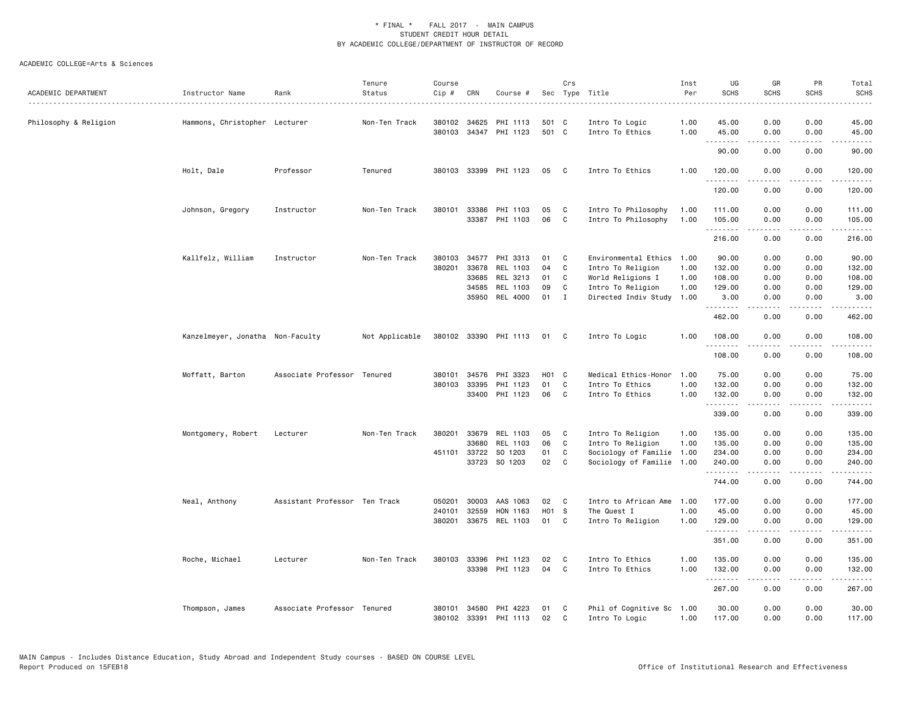| ACADEMIC DEPARTMENT   | Instructor Name                  | Rank                          | Tenure<br>Status | Course<br>Cip #  | CRN            | Course #              |                | Crs          | Sec Type Title                    | Inst<br>Per  | UG<br><b>SCHS</b>      | GR<br><b>SCHS</b>                                                                                                                                            | PR<br><b>SCHS</b>                   | Total<br><b>SCHS</b>                                                                                                                                           |
|-----------------------|----------------------------------|-------------------------------|------------------|------------------|----------------|-----------------------|----------------|--------------|-----------------------------------|--------------|------------------------|--------------------------------------------------------------------------------------------------------------------------------------------------------------|-------------------------------------|----------------------------------------------------------------------------------------------------------------------------------------------------------------|
| Philosophy & Religion | Hammons, Christopher Lecturer    |                               | Non-Ten Track    | 380102<br>380103 | 34625<br>34347 | PHI 1113<br>PHI 1123  | 501 C<br>501 C |              | Intro To Logic<br>Intro To Ethics | 1.00<br>1.00 | 45.00<br>45.00         | 0.00<br>0.00                                                                                                                                                 | 0.00<br>0.00                        | 45.00<br>45.00                                                                                                                                                 |
|                       |                                  |                               |                  |                  |                |                       |                |              |                                   |              | .<br>90.00             | -----<br>0.00                                                                                                                                                | $\sim$ $\sim$ $\sim$ $\sim$<br>0.00 | .<br>90.00                                                                                                                                                     |
|                       | Holt, Dale                       | Professor                     | Tenured          | 380103           |                | 33399 PHI 1123        | 05             | $\mathbf{C}$ | Intro To Ethics                   | 1.00         | 120.00                 | 0.00                                                                                                                                                         | 0.00                                | 120.00                                                                                                                                                         |
|                       |                                  |                               |                  |                  |                |                       |                |              |                                   |              | .<br>120.00            | 0.00                                                                                                                                                         | 0.00                                | 120.00                                                                                                                                                         |
|                       | Johnson, Gregory                 | Instructor                    | Non-Ten Track    | 380101           | 33386          | PHI 1103              | 05             | C            | Intro To Philosophy               | 1.00         | 111.00                 | 0.00                                                                                                                                                         | 0.00                                | 111.00                                                                                                                                                         |
|                       |                                  |                               |                  |                  |                | 33387 PHI 1103        | 06             | $\mathbf{C}$ | Intro To Philosophy               | 1.00         | 105.00<br>.            | 0.00<br>$\frac{1}{2} \left( \frac{1}{2} \right) \left( \frac{1}{2} \right) \left( \frac{1}{2} \right) \left( \frac{1}{2} \right) \left( \frac{1}{2} \right)$ | 0.00<br>.                           | 105.00<br>.                                                                                                                                                    |
|                       |                                  |                               |                  |                  |                |                       |                |              |                                   |              | 216.00                 | 0.00                                                                                                                                                         | 0.00                                | 216.00                                                                                                                                                         |
|                       | Kallfelz, William                | Instructor                    | Non-Ten Track    | 380103           | 34577          | PHI 3313              | 01             | C            | Environmental Ethics              | 1.00         | 90.00                  | 0.00                                                                                                                                                         | 0.00                                | 90.00                                                                                                                                                          |
|                       |                                  |                               |                  | 380201           | 33678          | REL 1103              | 04             | C            | Intro To Religion                 | 1.00         | 132.00                 | 0.00                                                                                                                                                         | 0.00                                | 132.00                                                                                                                                                         |
|                       |                                  |                               |                  |                  | 33685          | REL 3213              | 01             | C            | World Religions I                 | 1.00         | 108.00                 | 0.00                                                                                                                                                         | 0.00                                | 108.00                                                                                                                                                         |
|                       |                                  |                               |                  |                  | 34585          | REL 1103              | 09             | C            | Intro To Religion                 | 1.00         | 129.00                 | 0.00                                                                                                                                                         | 0.00                                | 129.00                                                                                                                                                         |
|                       |                                  |                               |                  |                  | 35950          | REL 4000              | 01             | I            | Directed Indiv Study              | 1.00         | 3.00<br>.              | 0.00                                                                                                                                                         | 0.00                                | 3.00                                                                                                                                                           |
|                       |                                  |                               |                  |                  |                |                       |                |              |                                   |              | 462.00                 | 0.00                                                                                                                                                         | 0.00                                | 462.00                                                                                                                                                         |
|                       | Kanzelmeyer, Jonatha Non-Faculty |                               | Not Applicable   |                  |                | 380102 33390 PHI 1113 | 01 C           |              | Intro To Logic                    | 1.00         | 108.00<br>. <u>.</u> . | 0.00<br>-----                                                                                                                                                | 0.00<br>.                           | 108.00<br>$\frac{1}{2} \left( \frac{1}{2} \right) \left( \frac{1}{2} \right) \left( \frac{1}{2} \right) \left( \frac{1}{2} \right) \left( \frac{1}{2} \right)$ |
|                       |                                  |                               |                  |                  |                |                       |                |              |                                   |              | 108.00                 | 0.00                                                                                                                                                         | 0.00                                | 108.00                                                                                                                                                         |
|                       | Moffatt, Barton                  | Associate Professor Tenured   |                  | 380101           | 34576          | PHI 3323              | H01 C          |              | Medical Ethics-Honor              | 1.00         | 75.00                  | 0.00                                                                                                                                                         | 0.00                                | 75.00                                                                                                                                                          |
|                       |                                  |                               |                  | 380103           | 33395          | PHI 1123              | 01             | C            | Intro To Ethics                   | 1.00         | 132.00                 | 0.00                                                                                                                                                         | 0.00                                | 132.00                                                                                                                                                         |
|                       |                                  |                               |                  |                  |                | 33400 PHI 1123        | 06             | $\mathbf{C}$ | Intro To Ethics                   | 1.00         | 132.00                 | 0.00                                                                                                                                                         | 0.00                                | 132.00                                                                                                                                                         |
|                       |                                  |                               |                  |                  |                |                       |                |              |                                   |              | .<br>339.00            | -----<br>0.00                                                                                                                                                | .<br>0.00                           | وعاعاه عامات<br>339.00                                                                                                                                         |
|                       | Montgomery, Robert               | Lecturer                      | Non-Ten Track    | 380201           | 33679          | REL 1103              | 05             | C            | Intro To Religion                 | 1.00         | 135.00                 | 0.00                                                                                                                                                         | 0.00                                | 135.00                                                                                                                                                         |
|                       |                                  |                               |                  |                  | 33680          | REL 1103              | 06             | C            | Intro To Religion                 | 1.00         | 135.00                 | 0.00                                                                                                                                                         | 0.00                                | 135.00                                                                                                                                                         |
|                       |                                  |                               |                  | 451101           | 33722          | SO 1203               | 01             | C            | Sociology of Familie              | 1.00         | 234.00                 | 0.00                                                                                                                                                         | 0.00                                | 234.00                                                                                                                                                         |
|                       |                                  |                               |                  |                  |                | 33723 SO 1203         | 02             | $\mathbf{C}$ | Sociology of Familie 1.00         |              | 240.00<br>.            | 0.00<br><b></b>                                                                                                                                              | 0.00<br>.                           | 240.00<br>.                                                                                                                                                    |
|                       |                                  |                               |                  |                  |                |                       |                |              |                                   |              | 744.00                 | 0.00                                                                                                                                                         | 0.00                                | 744.00                                                                                                                                                         |
|                       | Neal, Anthony                    | Assistant Professor Ten Track |                  | 050201           | 30003          | AAS 1063              | 02             | $\mathbf{C}$ | Intro to African Ame              | 1.00         | 177.00                 | 0.00                                                                                                                                                         | 0.00                                | 177.00                                                                                                                                                         |
|                       |                                  |                               |                  | 240101           | 32559          | HON 1163              | H01 S          |              | The Quest I                       | 1.00         | 45.00                  | 0.00                                                                                                                                                         | 0.00                                | 45.00                                                                                                                                                          |
|                       |                                  |                               |                  | 380201           |                | 33675 REL 1103        | 01             | $\mathbf{C}$ | Intro To Religion                 | 1.00         | 129.00<br>.            | 0.00<br>.                                                                                                                                                    | 0.00<br>.                           | 129.00<br><u>.</u>                                                                                                                                             |
|                       |                                  |                               |                  |                  |                |                       |                |              |                                   |              | 351.00                 | 0.00                                                                                                                                                         | 0.00                                | 351.00                                                                                                                                                         |
|                       | Roche, Michael                   | Lecturer                      | Non-Ten Track    | 380103           | 33396          | PHI 1123              | 02             | C.           | Intro To Ethics                   | 1.00         | 135.00                 | 0.00                                                                                                                                                         | 0.00                                | 135.00                                                                                                                                                         |
|                       |                                  |                               |                  |                  |                | 33398 PHI 1123        | 04             | $\mathbf{C}$ | Intro To Ethics                   | 1.00         | 132.00<br>.            | 0.00                                                                                                                                                         | 0.00<br>$\frac{1}{2}$               | 132.00<br>.                                                                                                                                                    |
|                       |                                  |                               |                  |                  |                |                       |                |              |                                   |              | 267.00                 | 0.00                                                                                                                                                         | 0.00                                | 267.00                                                                                                                                                         |
|                       | Thompson, James                  | Associate Professor Tenured   |                  | 380101           | 34580          | PHI 4223              | 01             | C            | Phil of Cognitive Sc              | 1.00         | 30.00                  | 0.00                                                                                                                                                         | 0.00                                | 30.00                                                                                                                                                          |
|                       |                                  |                               |                  | 380102           | 33391          | PHI 1113              | 02             | C            | Intro To Logic                    | 1.00         | 117.00                 | 0.00                                                                                                                                                         | 0.00                                | 117.00                                                                                                                                                         |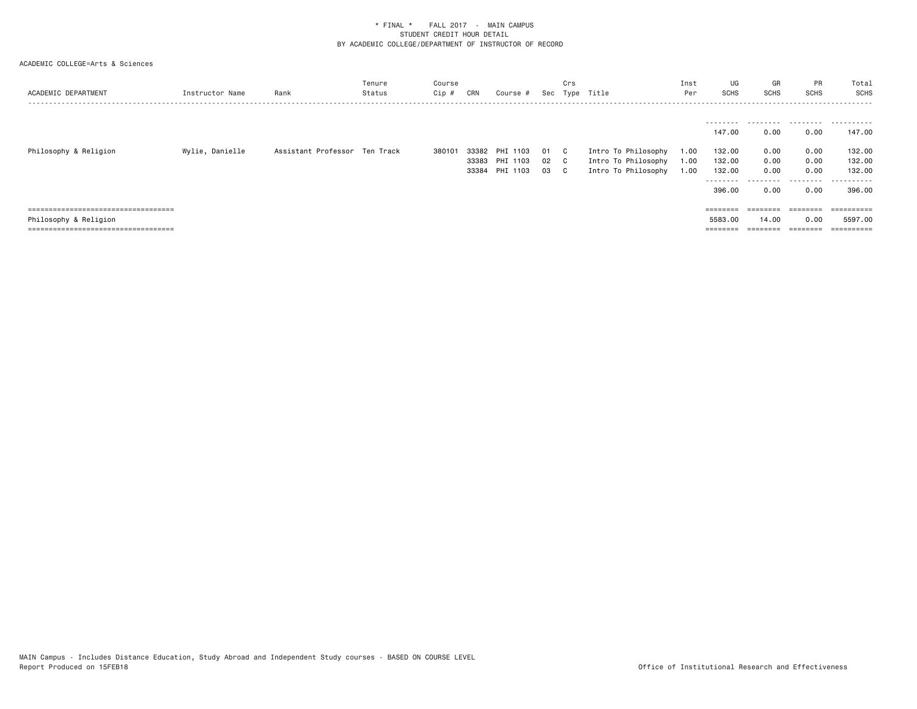| ACADEMIC DEPARTMENT                    | Instructor Name | Rank                          | Tenure<br>Status | Course<br>Cip # | CRN   | Course #                                        | Sec            | Crs<br>Type                | Title                                                             | Inst<br>Per          | UG<br><b>SCHS</b>                                                      | GR<br><b>SCHS</b>                                            | PR<br>SCHS                                | Total<br><b>SCHS</b><br>.                                |
|----------------------------------------|-----------------|-------------------------------|------------------|-----------------|-------|-------------------------------------------------|----------------|----------------------------|-------------------------------------------------------------------|----------------------|------------------------------------------------------------------------|--------------------------------------------------------------|-------------------------------------------|----------------------------------------------------------|
| Philosophy & Religion                  | Wylie, Danielle | Assistant Professor Ten Track |                  | 380101          | 33382 | PHI<br>1103<br>33383 PHI 1103<br>33384 PHI 1103 | 01<br>02<br>03 | - C<br>$\mathbf{C}$<br>- C | Intro To Philosophy<br>Intro To Philosophy<br>Intro To Philosophy | 1.00<br>1.00<br>1.00 | --------<br>147.00<br>132.00<br>132.00<br>132.00<br>--------<br>396.00 | 0.00<br>0.00<br>0.00<br>0.00<br>- - - - - - <b>-</b><br>0.00 | 0.00<br>0.00<br>0.00<br>0.00<br>.<br>0.00 | .<br>147.00<br>132.00<br>132.00<br>132.00<br>.<br>396.00 |
| -------------------------------------  |                 |                               |                  |                 |       |                                                 |                |                            |                                                                   |                      | ========                                                               | ========                                                     | eeeeeee                                   |                                                          |
| Philosophy & Religion                  |                 |                               |                  |                 |       |                                                 |                |                            |                                                                   |                      | 5583.00                                                                | 14.00                                                        | 0.00                                      | 5597.00                                                  |
| ====================================== |                 |                               |                  |                 |       |                                                 |                |                            |                                                                   |                      | ========                                                               |                                                              | $=$ $=$ $=$ $=$ $=$ $=$ $=$               |                                                          |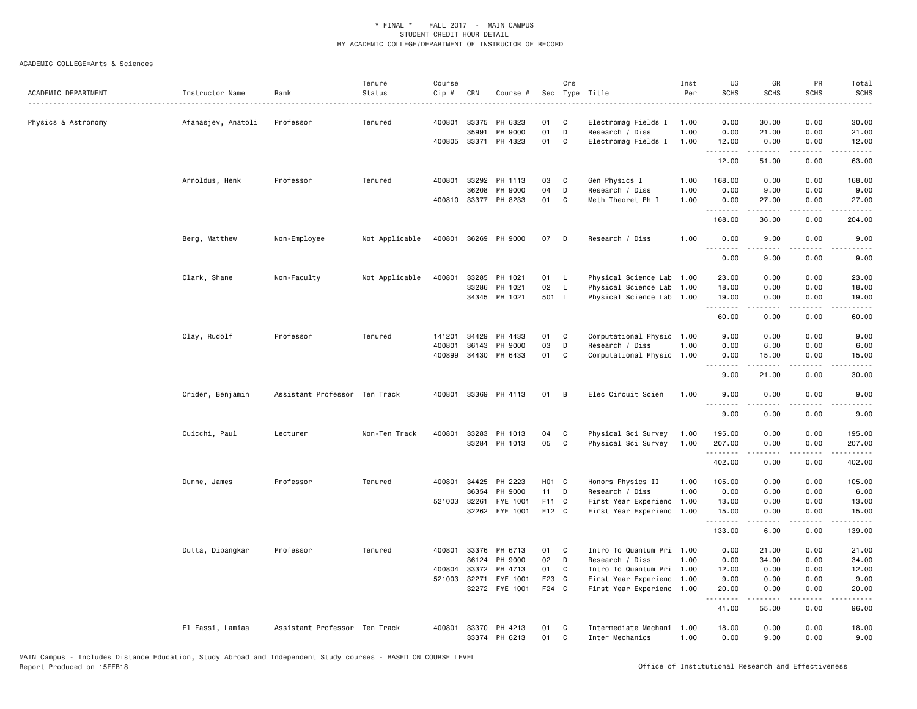| ACADEMIC DEPARTMENT | Instructor Name    | Rank                          | Tenure<br>Status | Course<br>Cip # | CRN          | Course #             |       | Crs          | Sec Type Title            | Inst<br>Per | UG<br><b>SCHS</b> | GR<br><b>SCHS</b>                                                                                                                                             | PR<br><b>SCHS</b>                   | Total<br><b>SCHS</b>                                                                                                                                           |
|---------------------|--------------------|-------------------------------|------------------|-----------------|--------------|----------------------|-------|--------------|---------------------------|-------------|-------------------|---------------------------------------------------------------------------------------------------------------------------------------------------------------|-------------------------------------|----------------------------------------------------------------------------------------------------------------------------------------------------------------|
| Physics & Astronomy | Afanasjev, Anatoli | Professor                     | Tenured          | 400801          | 33375        | PH 6323              | 01    | C            | Electromag Fields I       | 1.00        | 0.00              | 30.00                                                                                                                                                         | 0.00                                | 30.00                                                                                                                                                          |
|                     |                    |                               |                  |                 | 35991        | PH 9000              | 01    | D            | Research / Diss           | 1.00        | 0.00              | 21.00                                                                                                                                                         | 0.00                                | 21.00                                                                                                                                                          |
|                     |                    |                               |                  |                 |              | 400805 33371 PH 4323 | 01    | C            | Electromag Fields I       | 1.00        | 12.00             | 0.00<br>.                                                                                                                                                     | 0.00<br>.                           | 12.00<br>.                                                                                                                                                     |
|                     |                    |                               |                  |                 |              |                      |       |              |                           |             | 12.00             | 51.00                                                                                                                                                         | 0.00                                | 63.00                                                                                                                                                          |
|                     | Arnoldus, Henk     | Professor                     | Tenured          |                 |              | 400801 33292 PH 1113 | 03    | C            | Gen Physics I             | 1.00        | 168.00            | 0.00                                                                                                                                                          | 0.00                                | 168.00                                                                                                                                                         |
|                     |                    |                               |                  |                 | 36208        | PH 9000              | 04    | D            | Research / Diss           | 1.00        | 0.00              | 9.00                                                                                                                                                          | 0.00                                | 9.00                                                                                                                                                           |
|                     |                    |                               |                  |                 |              | 400810 33377 PH 8233 | 01    | C            | Meth Theoret Ph I         | 1.00        | 0.00<br>.         | 27.00<br>$\frac{1}{2} \left( \frac{1}{2} \right) \left( \frac{1}{2} \right) \left( \frac{1}{2} \right) \left( \frac{1}{2} \right) \left( \frac{1}{2} \right)$ | 0.00                                | 27.00                                                                                                                                                          |
|                     |                    |                               |                  |                 |              |                      |       |              |                           |             | 168.00            | 36.00                                                                                                                                                         | 0.00                                | 204.00                                                                                                                                                         |
|                     | Berg, Matthew      | Non-Employee                  | Not Applicable   |                 |              | 400801 36269 PH 9000 | 07    | D            | Research / Diss           | 1.00        | 0.00<br>.         | 9.00<br>-----                                                                                                                                                 | 0.00<br>----                        | 9.00                                                                                                                                                           |
|                     |                    |                               |                  |                 |              |                      |       |              |                           |             | 0.00              | 9.00                                                                                                                                                          | 0.00                                | 9.00                                                                                                                                                           |
|                     | Clark, Shane       | Non-Faculty                   | Not Applicable   | 400801          | 33285        | PH 1021              | 01    | - L          | Physical Science Lab      | 1.00        | 23.00             | 0.00                                                                                                                                                          | 0.00                                | 23.00                                                                                                                                                          |
|                     |                    |                               |                  |                 | 33286        | PH 1021              | 02    | $\mathsf{L}$ | Physical Science Lab      | 1.00        | 18.00             | 0.00                                                                                                                                                          | 0.00                                | 18.00                                                                                                                                                          |
|                     |                    |                               |                  |                 |              | 34345 PH 1021        | 501 L |              | Physical Science Lab 1.00 |             | 19.00<br>.        | 0.00                                                                                                                                                          | 0.00                                | 19.00                                                                                                                                                          |
|                     |                    |                               |                  |                 |              |                      |       |              |                           |             | 60.00             | 0.00                                                                                                                                                          | 0.00                                | 60.00                                                                                                                                                          |
|                     | Clay, Rudolf       | Professor                     | Tenured          | 141201          | 34429        | PH 4433              | 01    | C            | Computational Physic 1.00 |             | 9.00              | 0.00                                                                                                                                                          | 0.00                                | 9.00                                                                                                                                                           |
|                     |                    |                               |                  | 400801          | 36143        | PH 9000              | 03    | D            | Research / Diss           | 1.00        | 0.00              | 6.00                                                                                                                                                          | 0.00                                | 6.00                                                                                                                                                           |
|                     |                    |                               |                  | 400899          |              | 34430 PH 6433        | 01    | C            | Computational Physic 1.00 |             | 0.00<br>.         | 15.00<br>.                                                                                                                                                    | 0.00<br>.                           | 15.00<br>.                                                                                                                                                     |
|                     |                    |                               |                  |                 |              |                      |       |              |                           |             | 9.00              | 21.00                                                                                                                                                         | 0.00                                | 30.00                                                                                                                                                          |
|                     | Crider, Benjamin   | Assistant Professor Ten Track |                  | 400801          |              | 33369 PH 4113        | 01    | B            | Elec Circuit Scien        | 1.00        | 9.00<br>.         | 0.00<br>.                                                                                                                                                     | 0.00<br>$- - - -$                   | 9.00<br>$- - - -$                                                                                                                                              |
|                     |                    |                               |                  |                 |              |                      |       |              |                           |             | 9.00              | 0.00                                                                                                                                                          | 0.00                                | 9.00                                                                                                                                                           |
|                     | Cuicchi, Paul      | Lecturer                      | Non-Ten Track    | 400801          | 33283        | PH 1013              | 04    | C            | Physical Sci Survey       | 1.00        | 195.00            | 0.00                                                                                                                                                          | 0.00                                | 195.00                                                                                                                                                         |
|                     |                    |                               |                  |                 |              | 33284 PH 1013        | 05    | C            | Physical Sci Survey       | 1.00        | 207.00            | 0.00                                                                                                                                                          | 0.00                                | 207.00                                                                                                                                                         |
|                     |                    |                               |                  |                 |              |                      |       |              |                           |             | .<br>402.00       | 0.00                                                                                                                                                          | 0.00                                | 402.00                                                                                                                                                         |
|                     | Dunne, James       | Professor                     | Tenured          |                 | 400801 34425 | PH 2223              | H01 C |              | Honors Physics II         | 1.00        | 105.00            | 0.00                                                                                                                                                          | 0.00                                | 105.00                                                                                                                                                         |
|                     |                    |                               |                  |                 | 36354        | PH 9000              | 11 D  |              | Research / Diss           | 1.00        | 0.00              | 6.00                                                                                                                                                          | 0.00                                | 6.00                                                                                                                                                           |
|                     |                    |                               |                  | 521003          | 32261        | FYE 1001             | F11 C |              | First Year Experienc      | 1.00        | 13.00             | 0.00                                                                                                                                                          | 0.00                                | 13.00                                                                                                                                                          |
|                     |                    |                               |                  |                 |              | 32262 FYE 1001       | F12 C |              | First Year Experienc 1.00 |             | 15.00             | 0.00                                                                                                                                                          | 0.00                                | 15.00                                                                                                                                                          |
|                     |                    |                               |                  |                 |              |                      |       |              |                           |             | .<br>133.00       | $\frac{1}{2} \left( \frac{1}{2} \right) \left( \frac{1}{2} \right) \left( \frac{1}{2} \right) \left( \frac{1}{2} \right) \left( \frac{1}{2} \right)$<br>6.00  | لأعامل<br>0.00                      | $\frac{1}{2} \left( \frac{1}{2} \right) \left( \frac{1}{2} \right) \left( \frac{1}{2} \right) \left( \frac{1}{2} \right) \left( \frac{1}{2} \right)$<br>139,00 |
|                     | Dutta, Dipangkar   | Professor                     | Tenured          | 400801          |              | 33376 PH 6713        | 01    | C            | Intro To Quantum Pri 1.00 |             | 0.00              | 21.00                                                                                                                                                         | 0.00                                | 21.00                                                                                                                                                          |
|                     |                    |                               |                  |                 |              | 36124 PH 9000        | 02    | $\mathsf{D}$ | Research / Diss           | 1.00        | 0.00              | 34.00                                                                                                                                                         | 0.00                                | 34.00                                                                                                                                                          |
|                     |                    |                               |                  | 400804          | 33372        | PH 4713              | 01    | C            | Intro To Quantum Pri 1.00 |             | 12.00             | 0.00                                                                                                                                                          | 0.00                                | 12.00                                                                                                                                                          |
|                     |                    |                               |                  | 521003          | 32271        | FYE 1001             | F23 C |              | First Year Experienc 1.00 |             | 9.00              | 0.00                                                                                                                                                          | 0.00                                | 9.00                                                                                                                                                           |
|                     |                    |                               |                  |                 |              | 32272 FYE 1001       | F24 C |              | First Year Experienc 1.00 |             | 20.00<br>.        | 0.00                                                                                                                                                          | 0.00<br>$\sim$ $\sim$ $\sim$ $\sim$ | 20.00                                                                                                                                                          |
|                     |                    |                               |                  |                 |              |                      |       |              |                           |             | 41.00             | 55.00                                                                                                                                                         | 0.00                                | 96.00                                                                                                                                                          |
|                     | El Fassi, Lamiaa   | Assistant Professor Ten Track |                  | 400801          |              | 33370 PH 4213        | 01    | C            | Intermediate Mechani 1.00 |             | 18.00             | 0.00                                                                                                                                                          | 0.00                                | 18.00                                                                                                                                                          |
|                     |                    |                               |                  |                 |              | 33374 PH 6213        | 01    | C            | Inter Mechanics           | 1.00        | 0.00              | 9.00                                                                                                                                                          | 0.00                                | 9.00                                                                                                                                                           |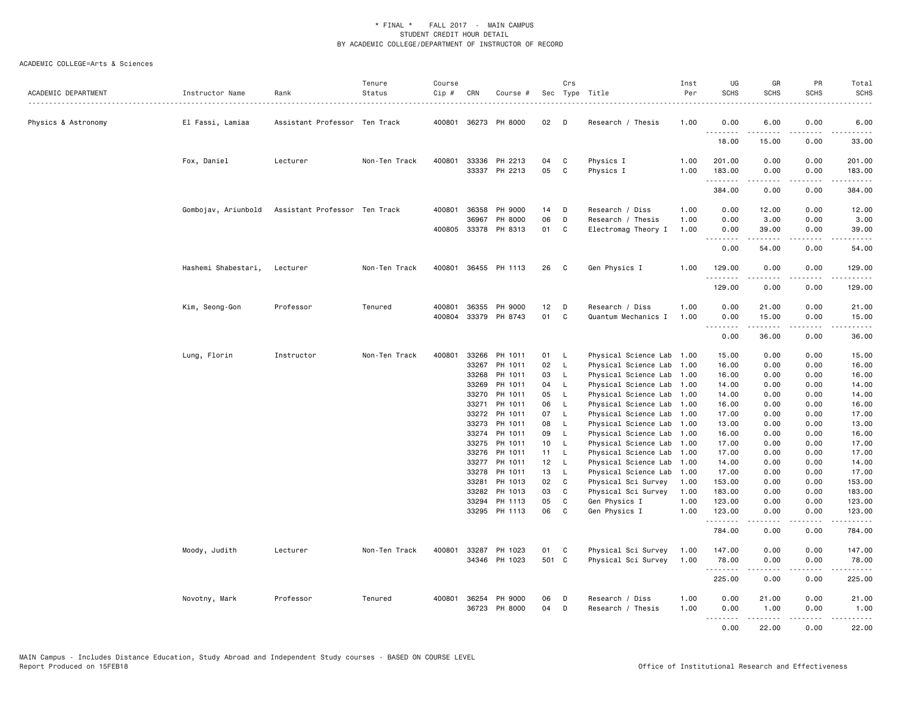| ACADEMIC DEPARTMENT | Instructor Name     | Rank                          | Tenure<br>Status | Course<br>Cip # | CRN            | Course #                 |                 | Crs                          | Sec Type Title                               | Inst<br>Per<br>. | UG<br><b>SCHS</b>  | GR<br><b>SCHS</b>                                                                                                                                             | PR<br><b>SCHS</b>     | Total<br><b>SCHS</b><br>$- - - -$                                                                                                                              |
|---------------------|---------------------|-------------------------------|------------------|-----------------|----------------|--------------------------|-----------------|------------------------------|----------------------------------------------|------------------|--------------------|---------------------------------------------------------------------------------------------------------------------------------------------------------------|-----------------------|----------------------------------------------------------------------------------------------------------------------------------------------------------------|
| Physics & Astronomy | El Fassi, Lamiaa    | Assistant Professor Ten Track |                  |                 |                | 400801 36273 PH 8000     | 02              | D                            | Research / Thesis                            | 1.00             | 0.00               | 6.00                                                                                                                                                          | 0.00                  | 6.00                                                                                                                                                           |
|                     |                     |                               |                  |                 |                |                          |                 |                              |                                              |                  | .<br>18.00         | $\frac{1}{2} \left( \frac{1}{2} \right) \left( \frac{1}{2} \right) \left( \frac{1}{2} \right) \left( \frac{1}{2} \right) \left( \frac{1}{2} \right)$<br>15.00 | 0.00                  | .<br>33.00                                                                                                                                                     |
|                     | Fox, Daniel         | Lecturer                      | Non-Ten Track    | 400801          | 33336          | PH 2213<br>33337 PH 2213 | 04<br>05        | C<br>C                       | Physics I                                    | 1.00<br>1.00     | 201.00<br>183.00   | 0.00<br>0.00                                                                                                                                                  | 0.00<br>0.00          | 201.00<br>183.00                                                                                                                                               |
|                     |                     |                               |                  |                 |                |                          |                 |                              | Physics I                                    |                  | .<br>384.00        | $-2 - 2 - 2 - 2$<br>0.00                                                                                                                                      | .<br>0.00             | .<br>384.00                                                                                                                                                    |
|                     | Gombojav, Ariunbold | Assistant Professor Ten Track |                  | 400801          | 36358          | PH 9000                  | 14              | D                            | Research / Diss                              | 1.00             | 0.00               | 12.00                                                                                                                                                         | 0.00                  | 12.00                                                                                                                                                          |
|                     |                     |                               |                  |                 | 36967          | PH 8000                  | 06              | D                            | Research / Thesis                            | 1.00             | 0.00               | 3.00                                                                                                                                                          | 0.00                  | 3.00                                                                                                                                                           |
|                     |                     |                               |                  |                 |                | 400805 33378 PH 8313     | 01              | C                            | Electromag Theory I                          | 1.00             | 0.00               | 39.00<br>.                                                                                                                                                    | 0.00<br>.             | 39.00<br>.                                                                                                                                                     |
|                     |                     |                               |                  |                 |                |                          |                 |                              |                                              |                  | 0.00               | 54.00                                                                                                                                                         | 0.00                  | 54.00                                                                                                                                                          |
|                     | Hashemi Shabestari, | Lecturer                      | Non-Ten Track    | 400801          |                | 36455 PH 1113            | 26              | C                            | Gen Physics I                                | 1.00             | 129.00<br>.        | 0.00<br>-----                                                                                                                                                 | 0.00<br>.             | 129.00<br>$\sim$ $\sim$ $\sim$ $\sim$ $\sim$                                                                                                                   |
|                     |                     |                               |                  |                 |                |                          |                 |                              |                                              |                  | 129.00             | 0.00                                                                                                                                                          | 0.00                  | 129.00                                                                                                                                                         |
|                     | Kim, Seong-Gon      | Professor                     | Tenured          | 400801          | 36355          | PH 9000                  | 12 <sub>2</sub> | D                            | Research / Diss                              | 1.00             | 0.00               | 21.00                                                                                                                                                         | 0.00                  | 21.00                                                                                                                                                          |
|                     |                     |                               |                  | 400804          |                | 33379 PH 8743            | 01              | C                            | Quantum Mechanics I                          | 1.00             | 0.00<br>. <b>.</b> | 15.00<br>$- - - - -$                                                                                                                                          | 0.00<br>$\frac{1}{2}$ | 15.00<br>.                                                                                                                                                     |
|                     |                     |                               |                  |                 |                |                          |                 |                              |                                              |                  | 0.00               | 36.00                                                                                                                                                         | 0.00                  | 36.00                                                                                                                                                          |
|                     | Lung, Florin        | Instructor                    | Non-Ten Track    | 400801          |                | 33266 PH 1011            | 01 L            |                              | Physical Science Lab 1.00                    |                  | 15.00              | 0.00                                                                                                                                                          | 0.00                  | 15.00                                                                                                                                                          |
|                     |                     |                               |                  |                 | 33267          | PH 1011                  | 02              | $\mathsf{L}$                 | Physical Science Lab                         | 1.00             | 16.00              | 0.00                                                                                                                                                          | 0.00                  | 16.00                                                                                                                                                          |
|                     |                     |                               |                  |                 | 33268          | PH 1011                  | 03              | - L                          | Physical Science Lab 1.00                    |                  | 16.00              | 0.00                                                                                                                                                          | 0.00                  | 16.00                                                                                                                                                          |
|                     |                     |                               |                  |                 | 33269          | PH 1011                  | 04              | <b>L</b>                     | Physical Science Lab 1.00                    |                  | 14.00              | 0.00                                                                                                                                                          | 0.00                  | 14.00                                                                                                                                                          |
|                     |                     |                               |                  |                 | 33270          | PH 1011                  | 05              | $\mathsf{L}$                 | Physical Science Lab 1.00                    |                  | 14.00              | 0.00                                                                                                                                                          | 0.00                  | 14.00                                                                                                                                                          |
|                     |                     |                               |                  |                 | 33271          | PH 1011                  | 06              | $\mathsf{L}$                 | Physical Science Lab                         | 1.00             | 16.00              | 0.00                                                                                                                                                          | 0.00                  | 16.00                                                                                                                                                          |
|                     |                     |                               |                  |                 | 33272          | PH 1011                  | 07              | <b>L</b>                     | Physical Science Lab                         | 1.00             | 17.00              | 0.00                                                                                                                                                          | 0.00                  | 17.00                                                                                                                                                          |
|                     |                     |                               |                  |                 | 33273          | PH 1011<br>PH 1011       | 08<br>09        | $\mathsf{L}$<br>$\mathsf{L}$ | Physical Science Lab                         | 1.00             | 13.00              | 0.00                                                                                                                                                          | 0.00                  | 13.00                                                                                                                                                          |
|                     |                     |                               |                  |                 | 33274<br>33275 | PH 1011                  | 10 <sub>1</sub> | $\mathsf{L}$                 | Physical Science Lab<br>Physical Science Lab | 1.00<br>1.00     | 16.00<br>17.00     | 0.00<br>0.00                                                                                                                                                  | 0.00<br>0.00          | 16.00<br>17.00                                                                                                                                                 |
|                     |                     |                               |                  |                 | 33276          | PH 1011                  | 11 L            |                              | Physical Science Lab                         | 1.00             | 17.00              | 0.00                                                                                                                                                          | 0.00                  | 17.00                                                                                                                                                          |
|                     |                     |                               |                  |                 | 33277          | PH 1011                  | 12              | - L                          | Physical Science Lab                         | 1.00             | 14.00              | 0.00                                                                                                                                                          | 0.00                  | 14.00                                                                                                                                                          |
|                     |                     |                               |                  |                 | 33278          | PH 1011                  | 13              | $\mathsf{L}$                 | Physical Science Lab                         | 1.00             | 17.00              | 0.00                                                                                                                                                          | 0.00                  | 17.00                                                                                                                                                          |
|                     |                     |                               |                  |                 | 33281          | PH 1013                  | 02              | $\mathbf{C}$                 | Physical Sci Survey                          | 1.00             | 153.00             | 0.00                                                                                                                                                          | 0.00                  | 153.00                                                                                                                                                         |
|                     |                     |                               |                  |                 | 33282          | PH 1013                  | 03              | $\mathbf c$                  | Physical Sci Survey                          | 1.00             | 183.00             | 0.00                                                                                                                                                          | 0.00                  | 183.00                                                                                                                                                         |
|                     |                     |                               |                  |                 | 33294          | PH 1113<br>33295 PH 1113 | 05<br>06        | C<br>C                       | Gen Physics I<br>Gen Physics I               | 1.00<br>1.00     | 123.00<br>123.00   | 0.00<br>0.00                                                                                                                                                  | 0.00<br>0.00          | 123.00<br>123.00                                                                                                                                               |
|                     |                     |                               |                  |                 |                |                          |                 |                              |                                              |                  | .<br>784.00        | -----<br>0.00                                                                                                                                                 | .<br>0.00             | $\frac{1}{2} \left( \frac{1}{2} \right) \left( \frac{1}{2} \right) \left( \frac{1}{2} \right) \left( \frac{1}{2} \right) \left( \frac{1}{2} \right)$<br>784.00 |
|                     | Moody, Judith       | Lecturer                      | Non-Ten Track    | 400801          |                | 33287 PH 1023            | 01              | C                            | Physical Sci Survey                          | 1.00             | 147.00             | 0.00                                                                                                                                                          | 0.00                  | 147.00                                                                                                                                                         |
|                     |                     |                               |                  |                 |                | 34346 PH 1023            | 501 C           |                              | Physical Sci Survey                          | 1.00             | 78.00<br>.         | 0.00<br>-----                                                                                                                                                 | 0.00<br>.             | 78.00                                                                                                                                                          |
|                     |                     |                               |                  |                 |                |                          |                 |                              |                                              |                  | 225.00             | 0.00                                                                                                                                                          | 0.00                  | 225.00                                                                                                                                                         |
|                     | Novotny, Mark       | Professor                     | Tenured          | 400801          |                | 36254 PH 9000            | 06              | D                            | Research / Diss                              | 1.00             | 0.00               | 21.00                                                                                                                                                         | 0.00                  | 21.00                                                                                                                                                          |
|                     |                     |                               |                  |                 |                | 36723 PH 8000            | 04              | D                            | Research / Thesis                            | 1.00             | 0.00<br>.          | 1.00<br>. <u>.</u>                                                                                                                                            | 0.00<br>.             | 1.00<br>.                                                                                                                                                      |
|                     |                     |                               |                  |                 |                |                          |                 |                              |                                              |                  | 0.00               | 22.00                                                                                                                                                         | 0.00                  | 22.00                                                                                                                                                          |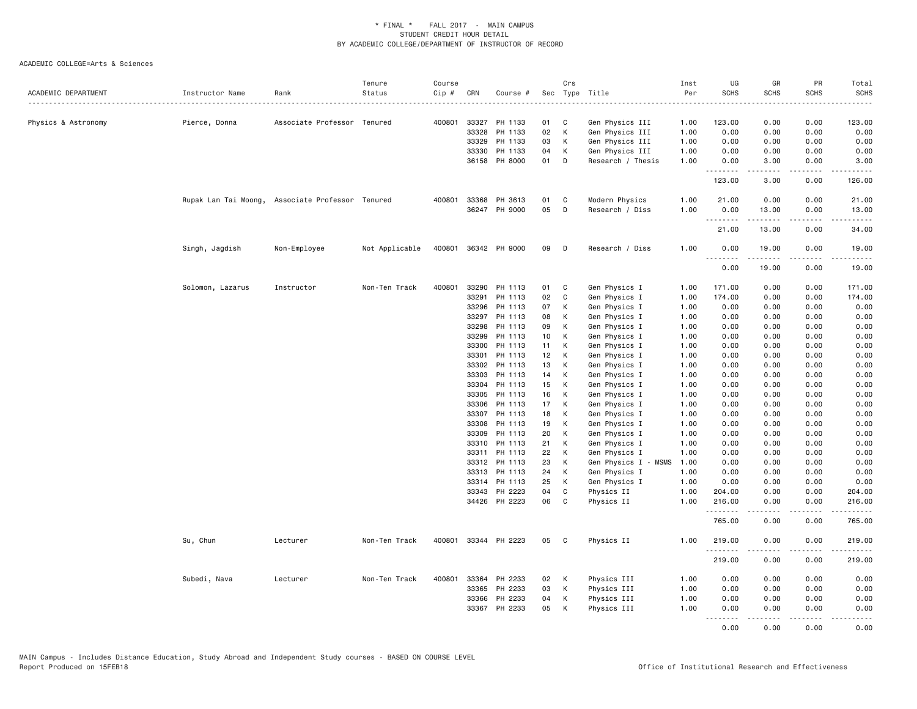| ACADEMIC DEPARTMENT | Instructor Name                                  | Rank                        | Tenure<br>Status | Course<br>Cip # | CRN            | Course #             |                 | Crs          | Sec Type Title                 | Inst<br>Per  | UG<br><b>SCHS</b> | GR<br><b>SCHS</b>                                                                                                                                             | PR<br><b>SCHS</b>     | Total<br><b>SCHS</b>                                                                                                                                         |
|---------------------|--------------------------------------------------|-----------------------------|------------------|-----------------|----------------|----------------------|-----------------|--------------|--------------------------------|--------------|-------------------|---------------------------------------------------------------------------------------------------------------------------------------------------------------|-----------------------|--------------------------------------------------------------------------------------------------------------------------------------------------------------|
| Physics & Astronomy | Pierce, Donna                                    | Associate Professor Tenured |                  |                 |                | 400801 33327 PH 1133 | 01              | C            | Gen Physics III                | 1.00         | 123.00            | 0.00                                                                                                                                                          | 0.00                  | 123.00                                                                                                                                                       |
|                     |                                                  |                             |                  |                 | 33328          | PH 1133              | 02              | К            | Gen Physics III                | 1.00         | 0.00              | 0.00                                                                                                                                                          | 0.00                  | 0.00                                                                                                                                                         |
|                     |                                                  |                             |                  |                 | 33329          | PH 1133              | 03              | К            | Gen Physics III                | 1.00         | 0.00              | 0.00                                                                                                                                                          | 0.00                  | 0.00                                                                                                                                                         |
|                     |                                                  |                             |                  |                 | 33330          | PH 1133              | 04              | К            | Gen Physics III                | 1.00         | 0.00              | 0.00                                                                                                                                                          | 0.00                  | 0.00                                                                                                                                                         |
|                     |                                                  |                             |                  |                 |                | 36158 PH 8000        | 01              | D            | Research / Thesis              | 1.00         | 0.00<br>.         | 3.00<br>.                                                                                                                                                     | 0.00<br>$\frac{1}{2}$ | 3.00                                                                                                                                                         |
|                     |                                                  |                             |                  |                 |                |                      |                 |              |                                |              | 123.00            | 3.00                                                                                                                                                          | 0.00                  | 126.00                                                                                                                                                       |
|                     | Rupak Lan Tai Moong, Associate Professor Tenured |                             |                  | 400801          | 33368          | PH 3613              | 01              | C            | Modern Physics                 | 1.00         | 21.00             | 0.00                                                                                                                                                          | 0.00                  | 21.00                                                                                                                                                        |
|                     |                                                  |                             |                  |                 |                | 36247 PH 9000        | 05              | D            | Research / Diss                | 1.00         | 0.00              | 13.00                                                                                                                                                         | 0.00                  | 13.00                                                                                                                                                        |
|                     |                                                  |                             |                  |                 |                |                      |                 |              |                                |              | .<br>21.00        | 13.00                                                                                                                                                         | 0.00                  | 34.00                                                                                                                                                        |
|                     | Singh, Jagdish                                   | Non-Employee                | Not Applicable   |                 |                | 400801 36342 PH 9000 | 09              | D            | Research / Diss                | 1.00         | 0.00<br>.         | 19.00<br>$\frac{1}{2} \left( \frac{1}{2} \right) \left( \frac{1}{2} \right) \left( \frac{1}{2} \right) \left( \frac{1}{2} \right) \left( \frac{1}{2} \right)$ | 0.00                  | 19.00                                                                                                                                                        |
|                     |                                                  |                             |                  |                 |                |                      |                 |              |                                |              | 0.00              | 19.00                                                                                                                                                         | 0.00                  | 19.00                                                                                                                                                        |
|                     | Solomon, Lazarus                                 | Instructor                  | Non-Ten Track    | 400801          | 33290          | PH 1113              | 01              | C            | Gen Physics I                  | 1.00         | 171.00            | 0.00                                                                                                                                                          | 0.00                  | 171.00                                                                                                                                                       |
|                     |                                                  |                             |                  |                 | 33291          | PH 1113              | 02              | C            | Gen Physics I                  | 1.00         | 174.00            | 0.00                                                                                                                                                          | 0.00                  | 174.00                                                                                                                                                       |
|                     |                                                  |                             |                  |                 | 33296          | PH 1113              | 07              | К            | Gen Physics I                  | 1.00         | 0.00              | 0.00                                                                                                                                                          | 0.00                  | 0.00                                                                                                                                                         |
|                     |                                                  |                             |                  |                 | 33297          | PH 1113              | 08              | К            | Gen Physics I                  | 1.00         | 0.00              | 0.00                                                                                                                                                          | 0.00                  | 0.00                                                                                                                                                         |
|                     |                                                  |                             |                  |                 | 33298          | PH 1113              | 09              | К            | Gen Physics I                  | 1.00         | 0.00              | 0.00                                                                                                                                                          | 0.00                  | 0.00                                                                                                                                                         |
|                     |                                                  |                             |                  |                 | 33299          | PH 1113              | 10 <sub>1</sub> | К            | Gen Physics I                  | 1.00         | 0.00              | 0.00                                                                                                                                                          | 0.00                  | 0.00                                                                                                                                                         |
|                     |                                                  |                             |                  |                 | 33300          | PH 1113              | 11<br>12        | К<br>К       | Gen Physics I                  | 1.00         | 0.00<br>0.00      | 0.00                                                                                                                                                          | 0.00                  | 0.00                                                                                                                                                         |
|                     |                                                  |                             |                  |                 | 33301<br>33302 | PH 1113<br>PH 1113   | 13              | к            | Gen Physics I<br>Gen Physics I | 1.00<br>1.00 | 0.00              | 0.00<br>0.00                                                                                                                                                  | 0.00<br>0.00          | 0.00<br>0.00                                                                                                                                                 |
|                     |                                                  |                             |                  |                 | 33303          | PH 1113              | 14              | К            | Gen Physics I                  | 1.00         | 0.00              | 0.00                                                                                                                                                          | 0.00                  | 0.00                                                                                                                                                         |
|                     |                                                  |                             |                  |                 | 33304          | PH 1113              | 15              | К            | Gen Physics I                  | 1.00         | 0.00              | 0.00                                                                                                                                                          | 0.00                  | 0.00                                                                                                                                                         |
|                     |                                                  |                             |                  |                 | 33305          | PH 1113              | 16              | К            | Gen Physics I                  | 1.00         | 0.00              | 0.00                                                                                                                                                          | 0.00                  | 0.00                                                                                                                                                         |
|                     |                                                  |                             |                  |                 | 33306          | PH 1113              | 17              | К            | Gen Physics I                  | 1.00         | 0.00              | 0.00                                                                                                                                                          | 0.00                  | 0.00                                                                                                                                                         |
|                     |                                                  |                             |                  |                 | 33307          | PH 1113              | 18              | К            | Gen Physics I                  | 1.00         | 0.00              | 0.00                                                                                                                                                          | 0.00                  | 0.00                                                                                                                                                         |
|                     |                                                  |                             |                  |                 | 33308          | PH 1113              | 19              | К            | Gen Physics I                  | 1.00         | 0.00              | 0.00                                                                                                                                                          | 0.00                  | 0.00                                                                                                                                                         |
|                     |                                                  |                             |                  |                 | 33309          | PH 1113              | 20              | К            | Gen Physics I                  | 1.00         | 0.00              | 0.00                                                                                                                                                          | 0.00                  | 0.00                                                                                                                                                         |
|                     |                                                  |                             |                  |                 | 33310          | PH 1113              | 21              | К            | Gen Physics I                  | 1.00         | 0.00              | 0.00                                                                                                                                                          | 0.00                  | 0.00                                                                                                                                                         |
|                     |                                                  |                             |                  |                 | 33311          | PH 1113              | 22              | К            | Gen Physics I                  | 1.00         | 0.00              | 0.00                                                                                                                                                          | 0.00                  | 0.00                                                                                                                                                         |
|                     |                                                  |                             |                  |                 |                | 33312 PH 1113        | 23              | К            | Gen Physics I - MSMS           | 1.00         | 0.00              | 0.00                                                                                                                                                          | 0.00                  | 0.00                                                                                                                                                         |
|                     |                                                  |                             |                  |                 |                | 33313 PH 1113        | 24              | К            | Gen Physics I                  | 1.00         | 0.00              | 0.00                                                                                                                                                          | 0.00                  | 0.00                                                                                                                                                         |
|                     |                                                  |                             |                  |                 | 33314          | PH 1113              | 25              | К            | Gen Physics I                  | 1.00         | 0.00              | 0.00                                                                                                                                                          | 0.00                  | 0.00                                                                                                                                                         |
|                     |                                                  |                             |                  |                 | 33343          | PH 2223              | 04              | C            | Physics II                     | 1.00         | 204.00            | 0.00                                                                                                                                                          | 0.00                  | 204.00                                                                                                                                                       |
|                     |                                                  |                             |                  |                 |                | 34426 PH 2223        | 06              | C            | Physics II                     | 1.00         | 216.00<br>.       | 0.00<br>.                                                                                                                                                     | 0.00<br>.             | 216.00<br>.                                                                                                                                                  |
|                     |                                                  |                             |                  |                 |                |                      |                 |              |                                |              | 765.00            | 0.00                                                                                                                                                          | 0.00                  | 765.00                                                                                                                                                       |
|                     | Su, Chun                                         | Lecturer                    | Non-Ten Track    |                 |                | 400801 33344 PH 2223 | 05              | $\mathbf{C}$ | Physics II                     | 1.00         | 219.00<br>.       | 0.00<br>$- - - - -$                                                                                                                                           | 0.00<br>.             | 219.00<br>$- - - - -$                                                                                                                                        |
|                     |                                                  |                             |                  |                 |                |                      |                 |              |                                |              | 219.00            | 0.00                                                                                                                                                          | 0.00                  | 219.00                                                                                                                                                       |
|                     | Subedi, Nava                                     | Lecturer                    | Non-Ten Track    | 400801          |                | 33364 PH 2233        | 02              | K            | Physics III                    | 1.00         | 0.00              | 0.00                                                                                                                                                          | 0.00                  | 0.00                                                                                                                                                         |
|                     |                                                  |                             |                  |                 | 33365          | PH 2233              | 03              | К            | Physics III                    | 1.00         | 0.00              | 0.00                                                                                                                                                          | 0.00                  | 0.00                                                                                                                                                         |
|                     |                                                  |                             |                  |                 | 33366          | PH 2233              | 04              | К            | Physics III                    | 1.00         | 0.00              | 0.00                                                                                                                                                          | 0.00                  | 0.00                                                                                                                                                         |
|                     |                                                  |                             |                  |                 | 33367          | PH 2233              | 05              | К            | Physics III                    | 1.00         | 0.00<br>.         | 0.00<br><b><i><u>.</u></i></b>                                                                                                                                | 0.00<br>الأنابات      | 0.00<br>$\frac{1}{2} \left( \frac{1}{2} \right) \left( \frac{1}{2} \right) \left( \frac{1}{2} \right) \left( \frac{1}{2} \right) \left( \frac{1}{2} \right)$ |
|                     |                                                  |                             |                  |                 |                |                      |                 |              |                                |              | 0.00              | 0.00                                                                                                                                                          | 0.00                  | 0.00                                                                                                                                                         |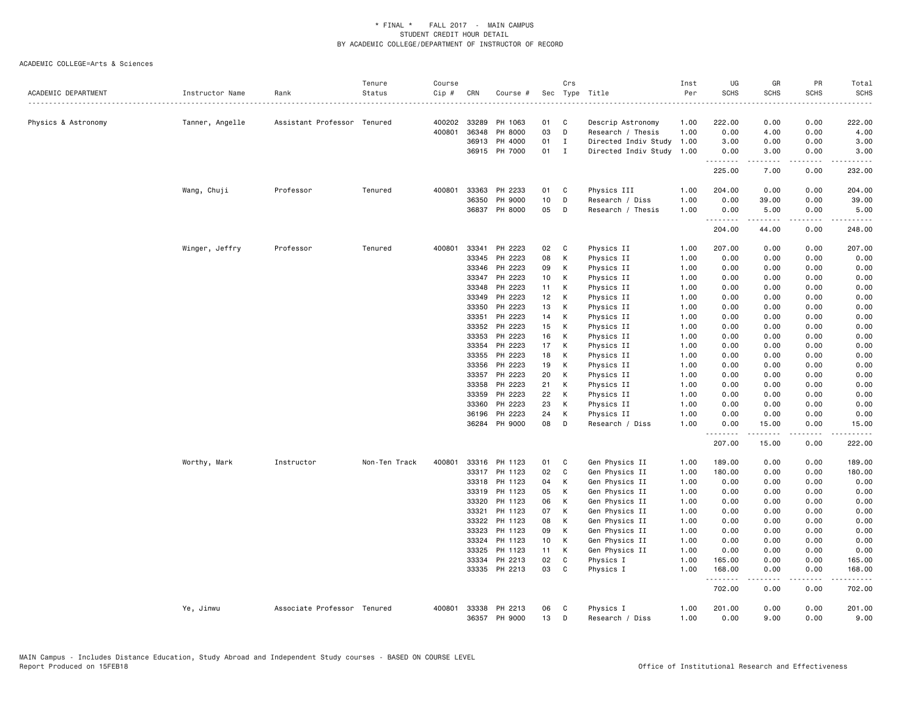| ACADEMIC DEPARTMENT | Instructor Name | Rank                        | Tenure<br>Status | Course<br>Cip # | CRN          | Course #      |                 | Crs            | Sec Type Title            | Inst<br>Per | UG<br><b>SCHS</b>  | GR<br><b>SCHS</b>                                                                                                                                                                       | PR<br><b>SCHS</b> | Total<br><b>SCHS</b>      |
|---------------------|-----------------|-----------------------------|------------------|-----------------|--------------|---------------|-----------------|----------------|---------------------------|-------------|--------------------|-----------------------------------------------------------------------------------------------------------------------------------------------------------------------------------------|-------------------|---------------------------|
| Physics & Astronomy | Tanner, Angelle | Assistant Professor Tenured |                  |                 | 400202 33289 | PH 1063       | 01              | C              | Descrip Astronomy         | 1.00        | 222.00             | 0.00                                                                                                                                                                                    | 0.00              | 222.00                    |
|                     |                 |                             |                  | 400801          | 36348        | PH 8000       | 03              | D              | Research / Thesis         | 1.00        | 0.00               | 4.00                                                                                                                                                                                    | 0.00              | 4.00                      |
|                     |                 |                             |                  |                 | 36913        | PH 4000       | 01              | $\mathbf{I}$   | Directed Indiv Study      | 1.00        | 3.00               | 0.00                                                                                                                                                                                    | 0.00              | 3.00                      |
|                     |                 |                             |                  |                 |              | 36915 PH 7000 | 01              | $\blacksquare$ | Directed Indiv Study 1.00 |             | 0.00               | 3.00                                                                                                                                                                                    | 0.00              | 3.00                      |
|                     |                 |                             |                  |                 |              |               |                 |                |                           |             | <u>.</u><br>225.00 | $\frac{1}{2}$<br>7.00                                                                                                                                                                   | .<br>0.00         | $- - - - - - -$<br>232.00 |
|                     | Wang, Chuji     | Professor                   | Tenured          | 400801          |              | 33363 PH 2233 | 01              | C              | Physics III               | 1.00        | 204.00             | 0.00                                                                                                                                                                                    | 0.00              | 204.00                    |
|                     |                 |                             |                  |                 | 36350        | PH 9000       | 10              | D              | Research / Diss           | 1.00        | 0.00               | 39.00                                                                                                                                                                                   | 0.00              | 39.00                     |
|                     |                 |                             |                  |                 |              | 36837 PH 8000 | 05              | D              | Research / Thesis         | 1.00        | 0.00               | 5.00                                                                                                                                                                                    | 0.00              | 5.00                      |
|                     |                 |                             |                  |                 |              |               |                 |                |                           |             | .<br>204.00        | .<br>44.00                                                                                                                                                                              | .<br>0.00         | $- - - - - - -$<br>248.00 |
|                     | Winger, Jeffry  | Professor                   | Tenured          | 400801          |              | 33341 PH 2223 | 02              | C              | Physics II                | 1.00        | 207.00             | 0.00                                                                                                                                                                                    | 0.00              | 207.00                    |
|                     |                 |                             |                  |                 | 33345        | PH 2223       | 08              | К              | Physics II                | 1.00        | 0.00               | 0.00                                                                                                                                                                                    | 0.00              | 0.00                      |
|                     |                 |                             |                  |                 | 33346        | PH 2223       | 09              | K              | Physics II                | 1.00        | 0.00               | 0.00                                                                                                                                                                                    | 0.00              | 0.00                      |
|                     |                 |                             |                  |                 | 33347        | PH 2223       | 10 <sub>1</sub> | K              | Physics II                | 1.00        | 0.00               | 0.00                                                                                                                                                                                    | 0.00              | 0.00                      |
|                     |                 |                             |                  |                 | 33348        | PH 2223       | 11              | К              | Physics II                | 1.00        | 0.00               | 0.00                                                                                                                                                                                    | 0.00              | 0.00                      |
|                     |                 |                             |                  |                 | 33349        | PH 2223       | 12 <sub>2</sub> | K              | Physics II                | 1.00        | 0.00               | 0.00                                                                                                                                                                                    | 0.00              | 0.00                      |
|                     |                 |                             |                  |                 | 33350        | PH 2223       | 13              | K              | Physics II                | 1.00        | 0.00               | 0.00                                                                                                                                                                                    | 0.00              | 0.00                      |
|                     |                 |                             |                  |                 | 33351        | PH 2223       | 14              | К              | Physics II                | 1.00        | 0.00               | 0.00                                                                                                                                                                                    | 0.00              | 0.00                      |
|                     |                 |                             |                  |                 | 33352        | PH 2223       | 15              | K              | Physics II                | 1.00        | 0.00               | 0.00                                                                                                                                                                                    | 0.00              | 0.00                      |
|                     |                 |                             |                  |                 | 33353        | PH 2223       | 16              | K              | Physics II                | 1.00        | 0.00               | 0.00                                                                                                                                                                                    | 0.00              | 0.00                      |
|                     |                 |                             |                  |                 | 33354        | PH 2223       | 17              | К              | Physics II                | 1.00        | 0.00               | 0.00                                                                                                                                                                                    | 0.00              | 0.00                      |
|                     |                 |                             |                  |                 | 33355        | PH 2223       | 18              | К              | Physics II                | 1.00        | 0.00               | 0.00                                                                                                                                                                                    | 0.00              | 0.00                      |
|                     |                 |                             |                  |                 | 33356        | PH 2223       | 19              | K              | Physics II                | 1.00        | 0.00               | 0.00                                                                                                                                                                                    | 0.00              | 0.00                      |
|                     |                 |                             |                  |                 | 33357        | PH 2223       | 20              | K              | Physics II                | 1.00        | 0.00               | 0.00                                                                                                                                                                                    | 0.00              | 0.00                      |
|                     |                 |                             |                  |                 | 33358        | PH 2223       | 21              | K              | Physics II                | 1.00        | 0.00               | 0.00                                                                                                                                                                                    | 0.00              | 0.00                      |
|                     |                 |                             |                  |                 | 33359        | PH 2223       | 22              | K              |                           | 1.00        | 0.00               | 0.00                                                                                                                                                                                    | 0.00              | 0.00                      |
|                     |                 |                             |                  |                 | 33360        | PH 2223       | 23              | К              | Physics II                | 1.00        | 0.00               | 0.00                                                                                                                                                                                    | 0.00              |                           |
|                     |                 |                             |                  |                 |              |               |                 |                | Physics II                |             |                    |                                                                                                                                                                                         |                   | 0.00                      |
|                     |                 |                             |                  |                 | 36196        | PH 2223       | 24              | К              | Physics II                | 1.00        | 0.00               | 0.00                                                                                                                                                                                    | 0.00              | 0.00                      |
|                     |                 |                             |                  |                 |              | 36284 PH 9000 | 08              | D              | Research / Diss           | 1.00        | 0.00<br>.          | 15.00<br>.                                                                                                                                                                              | 0.00<br>.         | 15.00                     |
|                     |                 |                             |                  |                 |              |               |                 |                |                           |             | 207.00             | 15.00                                                                                                                                                                                   | 0.00              | 222.00                    |
|                     | Worthy, Mark    | Instructor                  | Non-Ten Track    | 400801          |              | 33316 PH 1123 | 01              | C              | Gen Physics II            | 1.00        | 189.00             | 0.00                                                                                                                                                                                    | 0.00              | 189.00                    |
|                     |                 |                             |                  |                 |              | 33317 PH 1123 | 02              | C              | Gen Physics II            | 1.00        | 180.00             | 0.00                                                                                                                                                                                    | 0.00              | 180.00                    |
|                     |                 |                             |                  |                 |              | 33318 PH 1123 | 04              | K              | Gen Physics II            | 1.00        | 0.00               | 0.00                                                                                                                                                                                    | 0.00              | 0.00                      |
|                     |                 |                             |                  |                 | 33319        | PH 1123       | 05              | К              | Gen Physics II            | 1.00        | 0.00               | 0.00                                                                                                                                                                                    | 0.00              | 0.00                      |
|                     |                 |                             |                  |                 | 33320        | PH 1123       | 06              | К              | Gen Physics II            | 1.00        | 0.00               | 0.00                                                                                                                                                                                    | 0.00              | 0.00                      |
|                     |                 |                             |                  |                 | 33321        | PH 1123       | 07              | К              | Gen Physics II            | 1.00        | 0.00               | 0.00                                                                                                                                                                                    | 0.00              | 0.00                      |
|                     |                 |                             |                  |                 | 33322        | PH 1123       | 08              | К              | Gen Physics II            | 1.00        | 0.00               | 0.00                                                                                                                                                                                    | 0.00              | 0.00                      |
|                     |                 |                             |                  |                 | 33323        | PH 1123       | 09              | К              | Gen Physics II            | 1.00        | 0.00               | 0.00                                                                                                                                                                                    | 0.00              | 0.00                      |
|                     |                 |                             |                  |                 | 33324        | PH 1123       | 10 <sub>1</sub> | K              | Gen Physics II            | 1.00        | 0.00               | 0.00                                                                                                                                                                                    | 0.00              | 0.00                      |
|                     |                 |                             |                  |                 | 33325        | PH 1123       | 11              | K              | Gen Physics II            | 1.00        | 0.00               | 0.00                                                                                                                                                                                    | 0.00              | 0.00                      |
|                     |                 |                             |                  |                 | 33334        | PH 2213       | 02              | C              | Physics I                 | 1.00        | 165.00             | 0.00                                                                                                                                                                                    | 0.00              | 165.00                    |
|                     |                 |                             |                  |                 |              | 33335 PH 2213 | 03              | C              | Physics I                 | 1.00        | 168.00<br>.        | 0.00                                                                                                                                                                                    | 0.00<br>.         | 168.00<br>.               |
|                     |                 |                             |                  |                 |              |               |                 |                |                           |             | 702.00             | $\frac{1}{2} \left( \frac{1}{2} \right) \left( \frac{1}{2} \right) \left( \frac{1}{2} \right) \left( \frac{1}{2} \right) \left( \frac{1}{2} \right) \left( \frac{1}{2} \right)$<br>0.00 | 0.00              | 702.00                    |
|                     | Ye, Jinwu       | Associate Professor Tenured |                  | 400801          |              | 33338 PH 2213 | 06              | C              | Physics I                 | 1.00        | 201.00             | 0.00                                                                                                                                                                                    | 0.00              | 201.00                    |
|                     |                 |                             |                  |                 |              | 36357 PH 9000 | 13              | D              | Research / Diss           | 1.00        | 0.00               | 9.00                                                                                                                                                                                    | 0.00              | 9.00                      |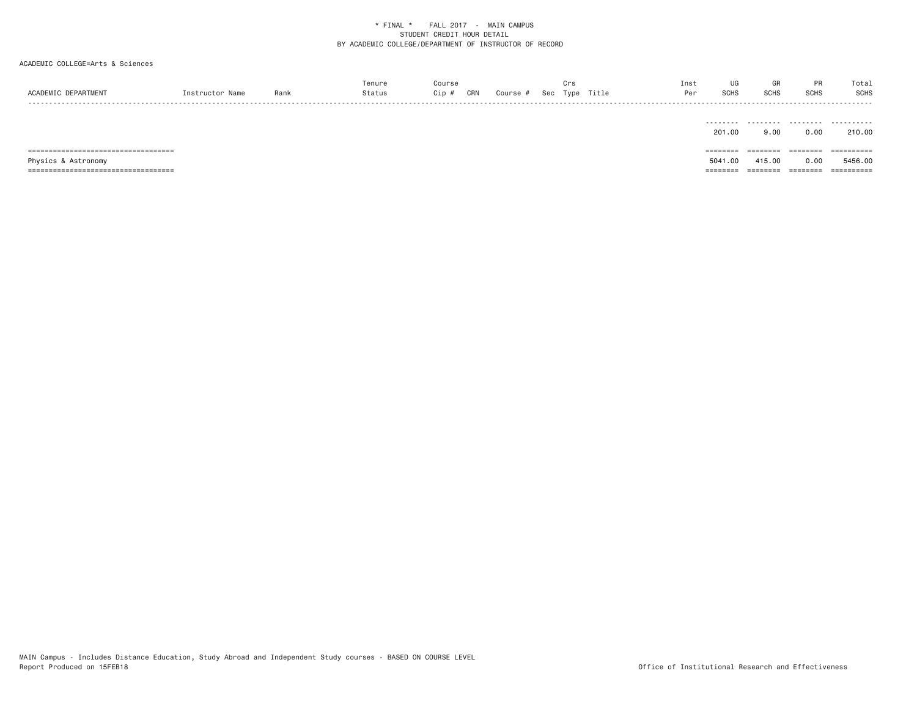# ACADEMIC COLLEGE=Arts & Sciences

|                     |                |     | enure T                   | ourse:       |        |     |      |       | Inst | vu                 |             |      | Total |
|---------------------|----------------|-----|---------------------------|--------------|--------|-----|------|-------|------|--------------------|-------------|------|-------|
| ACADEMIC DEPARTMENT | Instructor Nam | Ran | $7 + 11 + 11$<br>, ta tus | Cip i<br>CRN | Course | Sec | Type | Title | Per  | 0010<br><b>SUH</b> | <b>SCHS</b> | SCHS | SCHS  |
| - - - -             |                |     |                           |              |        |     |      |       |      |                    |             |      | ----- |

|                               | ---------<br>201.00 | 9.00     | --------<br>0.00 | .<br>210.00            |
|-------------------------------|---------------------|----------|------------------|------------------------|
| ,,,,,,,,,,,,,,,,,,,,,,,,,,,,, | ========            | ======== |                  | ----------<br>-------- |
| Physics & Astronomy           | 5041.00             | 415.00   | 0.00             | 5456.00                |
| :=======================      | =======             |          |                  | eessesses              |

MAIN Campus - Includes Distance Education, Study Abroad and Independent Study courses - BASED ON COURSE LEVEL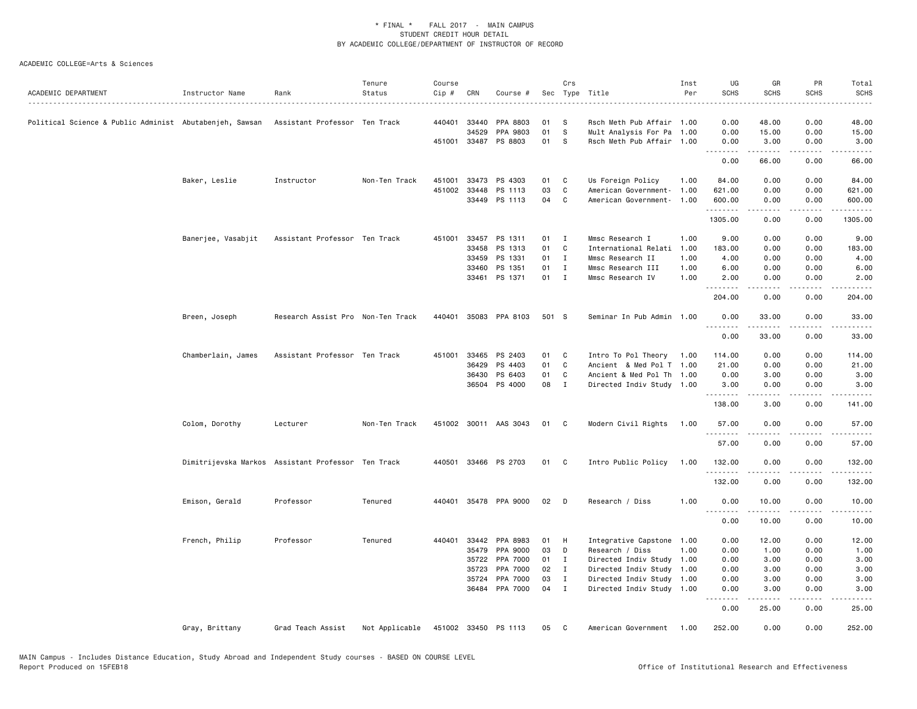| ACADEMIC DEPARTMENT | Instructor Name    | Rank                                               | Tenure<br>Status | Course<br>Cip # | CRN          | Course #              |              | Crs            | Sec Type Title            | Inst<br>Per | UG<br><b>SCHS</b><br>$\sim$ $\sim$ $\sim$ $\sim$ | GR<br><b>SCHS</b>   | <b>PR</b><br><b>SCHS</b> | Total<br><b>SCHS</b><br>$\frac{1}{2}$                                                                                                                          |
|---------------------|--------------------|----------------------------------------------------|------------------|-----------------|--------------|-----------------------|--------------|----------------|---------------------------|-------------|--------------------------------------------------|---------------------|--------------------------|----------------------------------------------------------------------------------------------------------------------------------------------------------------|
|                     |                    | Assistant Professor Ten Track                      |                  | 440401          | 33440        | PPA 8803              | 01           | -S             | Rsch Meth Pub Affair 1.00 |             | 0.00                                             | 48.00               | 0.00                     | 48.00                                                                                                                                                          |
|                     |                    |                                                    |                  |                 | 34529        | PPA 9803              | 01           | s              | Mult Analysis For Pa      | 1.00        | 0.00                                             | 15.00               | 0.00                     | 15.00                                                                                                                                                          |
|                     |                    |                                                    |                  |                 |              | 451001 33487 PS 8803  | 01           | S              | Rsch Meth Pub Affair 1.00 |             | 0.00<br>.                                        | 3.00<br>.           | 0.00<br>.                | 3.00<br>.                                                                                                                                                      |
|                     |                    |                                                    |                  |                 |              |                       |              |                |                           |             | 0.00                                             | 66.00               | 0.00                     | 66.00                                                                                                                                                          |
|                     | Baker, Leslie      | Instructor                                         | Non-Ten Track    | 451001          | 33473        | PS 4303               | 01           | C              | Us Foreign Policy         | 1.00        | 84.00                                            | 0.00                | 0.00                     | 84.00                                                                                                                                                          |
|                     |                    |                                                    |                  |                 | 451002 33448 | PS 1113               | 03           | C              | American Government-      | 1.00        | 621.00                                           | 0.00                | 0.00                     | 621.00                                                                                                                                                         |
|                     |                    |                                                    |                  |                 |              | 33449 PS 1113         | 04           | C              | American Government-      | 1.00        | 600.00<br>.                                      | 0.00<br>$- - - - -$ | 0.00<br>.                | 600.00<br>. <u>.</u>                                                                                                                                           |
|                     |                    |                                                    |                  |                 |              |                       |              |                |                           |             | 1305.00                                          | 0.00                | 0.00                     | 1305.00                                                                                                                                                        |
|                     | Banerjee, Vasabjit | Assistant Professor Ten Track                      |                  |                 |              | 451001 33457 PS 1311  | 01           | $\mathbf{I}$   | Mmsc Research I           | 1.00        | 9.00                                             | 0.00                | 0.00                     | 9.00                                                                                                                                                           |
|                     |                    |                                                    |                  |                 | 33458        | PS 1313               | 01           | C              | International Relati      | 1.00        | 183.00                                           | 0.00                | 0.00                     | 183.00                                                                                                                                                         |
|                     |                    |                                                    |                  |                 | 33459        | PS 1331               | 01           | $\mathbf{I}$   | Mmsc Research II          | 1.00        | 4.00                                             | 0.00                | 0.00                     | 4.00                                                                                                                                                           |
|                     |                    |                                                    |                  |                 | 33460        | PS 1351               | 01           | $\mathbf{I}$   | Mmsc Research III         | 1.00        | 6.00                                             | 0.00                | 0.00                     | 6.00                                                                                                                                                           |
|                     |                    |                                                    |                  |                 |              | 33461 PS 1371         | $01 \quad I$ |                | Mmsc Research IV          | 1.00        | 2.00<br>.                                        | 0.00                | 0.00                     | 2.00                                                                                                                                                           |
|                     |                    |                                                    |                  |                 |              |                       |              |                |                           |             | 204.00                                           | 0.00                | 0.00                     | 204.00                                                                                                                                                         |
|                     | Breen, Joseph      | Research Assist Pro Non-Ten Track                  |                  |                 |              | 440401 35083 PPA 8103 | 501 S        |                | Seminar In Pub Admin 1.00 |             | 0.00                                             | 33.00               | 0.00                     | 33.00                                                                                                                                                          |
|                     |                    |                                                    |                  |                 |              |                       |              |                |                           |             | .<br>0.00                                        | 33.00               | 0.00                     | 33.00                                                                                                                                                          |
|                     | Chamberlain, James | Assistant Professor Ten Track                      |                  |                 | 451001 33465 | PS 2403               | 01           | C              | Intro To Pol Theory 1.00  |             | 114.00                                           | 0.00                | 0.00                     | 114.00                                                                                                                                                         |
|                     |                    |                                                    |                  |                 | 36429        | PS 4403               | 01           | C              | Ancient & Med Pol T 1.00  |             | 21.00                                            | 0.00                | 0.00                     | 21.00                                                                                                                                                          |
|                     |                    |                                                    |                  |                 | 36430        | PS 6403               | 01           | C              | Ancient & Med Pol Th 1.00 |             | 0.00                                             | 3.00                | 0.00                     | 3.00                                                                                                                                                           |
|                     |                    |                                                    |                  |                 |              | 36504 PS 4000         | 08           | $\blacksquare$ | Directed Indiv Study 1.00 |             | 3.00                                             | 0.00                | 0.00                     | 3.00                                                                                                                                                           |
|                     |                    |                                                    |                  |                 |              |                       |              |                |                           |             | .<br>138.00                                      | $- - - - -$<br>3.00 | .<br>0.00                | $\frac{1}{2} \left( \frac{1}{2} \right) \left( \frac{1}{2} \right) \left( \frac{1}{2} \right) \left( \frac{1}{2} \right) \left( \frac{1}{2} \right)$<br>141.00 |
|                     | Colom, Dorothy     | Lecturer                                           | Non-Ten Track    |                 |              | 451002 30011 AAS 3043 | 01           | $\mathbf{C}$   | Modern Civil Rights       | 1.00        | 57.00                                            | 0.00                | 0.00                     | 57.00                                                                                                                                                          |
|                     |                    |                                                    |                  |                 |              |                       |              |                |                           |             | .<br>57.00                                       | -----<br>0.00       | .<br>0.00                | 57.00                                                                                                                                                          |
|                     |                    | Dimitrijevska Markos Assistant Professor Ten Track |                  |                 |              | 440501 33466 PS 2703  | 01           | C              | Intro Public Policy       | 1.00        | 132.00                                           | 0.00                | 0.00                     | 132.00                                                                                                                                                         |
|                     |                    |                                                    |                  |                 |              |                       |              |                |                           |             | .<br>132.00                                      | $- - - - -$<br>0.00 | .<br>0.00                | $\frac{1}{2} \left( \frac{1}{2} \right) \left( \frac{1}{2} \right) \left( \frac{1}{2} \right) \left( \frac{1}{2} \right) \left( \frac{1}{2} \right)$<br>132.00 |
|                     | Emison, Gerald     | Professor                                          | Tenured          | 440401          |              | 35478 PPA 9000        | 02           | D              | Research / Diss           | 1.00        | 0.00                                             | 10.00               | 0.00                     | 10.00                                                                                                                                                          |
|                     |                    |                                                    |                  |                 |              |                       |              |                |                           |             | .<br>0.00                                        | .<br>10.00          | $\frac{1}{2}$<br>0.00    | 10.00                                                                                                                                                          |
|                     | French, Philip     | Professor                                          | Tenured          | 440401          | 33442        | PPA 8983              | 01           | H              | Integrative Capstone      | 1.00        | 0.00                                             | 12.00               | 0.00                     | 12.00                                                                                                                                                          |
|                     |                    |                                                    |                  |                 | 35479        | PPA 9000              | 03           | D              | Research / Diss           | 1.00        | 0.00                                             | 1.00                | 0.00                     | 1.00                                                                                                                                                           |
|                     |                    |                                                    |                  |                 | 35722        | PPA 7000              | 01           | I              | Directed Indiv Study 1.00 |             | 0.00                                             | 3.00                | 0.00                     | 3.00                                                                                                                                                           |
|                     |                    |                                                    |                  |                 | 35723        | PPA 7000              | 02           | $\mathbf{I}$   | Directed Indiv Study 1.00 |             | 0.00                                             | 3.00                | 0.00                     | 3.00                                                                                                                                                           |
|                     |                    |                                                    |                  |                 | 35724        | PPA 7000              | 03           | $\mathbf{I}$   | Directed Indiv Study 1.00 |             | 0.00                                             | 3.00                | 0.00                     | 3.00                                                                                                                                                           |
|                     |                    |                                                    |                  |                 |              | 36484 PPA 7000        | 04           | $\mathbf{I}$   | Directed Indiv Study 1.00 |             | 0.00                                             | 3.00                | 0.00                     | 3.00                                                                                                                                                           |
|                     |                    |                                                    |                  |                 |              |                       |              |                |                           |             | .<br>0.00                                        | .<br>25.00          | .<br>0.00                | المتمام المتحدة<br>25.00                                                                                                                                       |
|                     | Gray, Brittany     | Grad Teach Assist                                  | Not Applicable   |                 |              | 451002 33450 PS 1113  | 05           | C              | American Government 1.00  |             | 252.00                                           | 0.00                | 0.00                     | 252.00                                                                                                                                                         |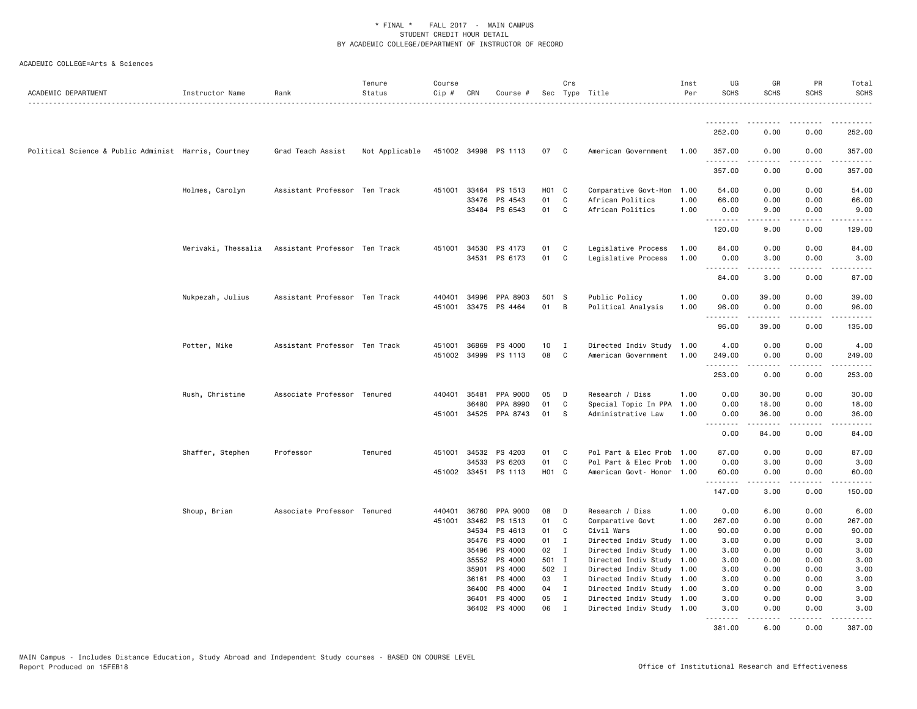| ACADEMIC DEPARTMENT                                  | Instructor Name  | Rank                                              | Tenure<br>Status | Course<br>Cip # | CRN   | Course #                 |                   | Crs          | Sec Type Title                                    | Inst<br>Per | UG<br><b>SCHS</b>  | GR<br><b>SCHS</b>                                                                                                                                            | PR<br><b>SCHS</b>                   | Total<br>SCHS           |
|------------------------------------------------------|------------------|---------------------------------------------------|------------------|-----------------|-------|--------------------------|-------------------|--------------|---------------------------------------------------|-------------|--------------------|--------------------------------------------------------------------------------------------------------------------------------------------------------------|-------------------------------------|-------------------------|
|                                                      |                  |                                                   |                  |                 |       |                          |                   |              |                                                   |             | <u>.</u>           | . <b>.</b>                                                                                                                                                   | -----                               | $- - - - - - -$         |
|                                                      |                  |                                                   |                  |                 |       |                          |                   |              |                                                   |             | 252.00             | 0.00                                                                                                                                                         | 0.00                                | 252.00                  |
| Political Science & Public Administ Harris, Courtney |                  | Grad Teach Assist                                 | Not Applicable   |                 |       | 451002 34998 PS 1113     | 07 C              |              | American Government                               | 1.00        | 357.00<br><u>.</u> | 0.00<br>.                                                                                                                                                    | 0.00<br>.                           | 357.00<br><u>.</u>      |
|                                                      |                  |                                                   |                  |                 |       |                          |                   |              |                                                   |             | 357.00             | 0.00                                                                                                                                                         | 0.00                                | 357.00                  |
|                                                      | Holmes, Carolyn  | Assistant Professor Ten Track                     |                  | 451001          |       | 33464 PS 1513            | H <sub>01</sub> C |              | Comparative Govt-Hon                              | 1.00        | 54.00              | 0.00                                                                                                                                                         | 0.00                                | 54.00                   |
|                                                      |                  |                                                   |                  |                 |       | 33476 PS 4543            | 01                | C            | African Politics                                  | 1.00        | 66.00              | 0.00                                                                                                                                                         | 0.00                                | 66.00                   |
|                                                      |                  |                                                   |                  |                 |       | 33484 PS 6543            | 01                | C            | African Politics                                  | 1.00        | 0.00<br>.          | 9.00<br>.                                                                                                                                                    | 0.00<br>.                           | 9.00<br>.               |
|                                                      |                  |                                                   |                  |                 |       |                          |                   |              |                                                   |             | 120.00             | 9.00                                                                                                                                                         | 0.00                                | 129.00                  |
|                                                      |                  | Merivaki, Thessalia Assistant Professor Ten Track |                  |                 |       | 451001 34530 PS 4173     | 01                | C            | Legislative Process                               | 1.00        | 84.00              | 0.00                                                                                                                                                         | 0.00                                | 84.00                   |
|                                                      |                  |                                                   |                  |                 |       | 34531 PS 6173            | 01                | C            | Legislative Process                               | 1.00        | 0.00<br><u>.</u>   | 3.00<br>.                                                                                                                                                    | 0.00<br>.                           | 3.00<br>.               |
|                                                      |                  |                                                   |                  |                 |       |                          |                   |              |                                                   |             | 84.00              | 3.00                                                                                                                                                         | 0.00                                | 87.00                   |
|                                                      | Nukpezah, Julius | Assistant Professor Ten Track                     |                  | 440401          |       | 34996 PPA 8903           | 501 S             |              | Public Policy                                     | 1.00        | 0.00               | 39.00                                                                                                                                                        | 0.00                                | 39.00                   |
|                                                      |                  |                                                   |                  | 451001          |       | 33475 PS 4464            | 01                | B            | Political Analysis                                | 1.00        | 96.00<br>.         | 0.00<br>$\frac{1}{2} \left( \frac{1}{2} \right) \left( \frac{1}{2} \right) \left( \frac{1}{2} \right) \left( \frac{1}{2} \right) \left( \frac{1}{2} \right)$ | 0.00<br>$\sim$ $\sim$ $\sim$ $\sim$ | 96.00<br>.              |
|                                                      |                  |                                                   |                  |                 |       |                          |                   |              |                                                   |             | 96.00              | 39.00                                                                                                                                                        | 0.00                                | 135.00                  |
|                                                      | Potter, Mike     | Assistant Professor Ten Track                     |                  | 451001          | 36869 | PS 4000                  | 10                | I            | Directed Indiv Study                              | 1.00        | 4.00               | 0.00                                                                                                                                                         | 0.00                                | 4.00                    |
|                                                      |                  |                                                   |                  | 451002          | 34999 | PS 1113                  | 08                | C            | American Government                               | 1.00        | 249.00<br><u>.</u> | 0.00                                                                                                                                                         | 0.00<br>.                           | 249.00<br>.             |
|                                                      |                  |                                                   |                  |                 |       |                          |                   |              |                                                   |             | 253.00             | 0.00                                                                                                                                                         | 0.00                                | 253.00                  |
|                                                      | Rush, Christine  | Associate Professor Tenured                       |                  | 440401          | 35481 | PPA 9000                 | 05                | D            | Research / Diss                                   | 1.00        | 0.00               | 30.00                                                                                                                                                        | 0.00                                | 30.00                   |
|                                                      |                  |                                                   |                  |                 | 36480 | PPA 8990                 | 01                | C            | Special Topic In PPA                              | 1.00        | 0.00               | 18.00                                                                                                                                                        | 0.00                                | 18.00                   |
|                                                      |                  |                                                   |                  | 451001          |       | 34525 PPA 8743           | 01                | S            | Administrative Law                                | 1.00        | 0.00<br>.          | 36.00<br>.                                                                                                                                                   | 0.00<br>المتمالين                   | 36.00<br>د د د د د      |
|                                                      |                  |                                                   |                  |                 |       |                          |                   |              |                                                   |             | 0.00               | 84.00                                                                                                                                                        | 0.00                                | 84.00                   |
|                                                      | Shaffer, Stephen | Professor                                         | Tenured          | 451001          | 34532 | PS 4203                  | 01                | C            | Pol Part & Elec Prob                              | 1.00        | 87.00              | 0.00                                                                                                                                                         | 0.00                                | 87.00                   |
|                                                      |                  |                                                   |                  |                 | 34533 | PS 6203                  | 01                | C            | Pol Part & Elec Prob                              | 1.00        | 0.00               | 3.00                                                                                                                                                         | 0.00                                | 3.00                    |
|                                                      |                  |                                                   |                  |                 |       | 451002 33451 PS 1113     | H01 C             |              | American Govt- Honor 1.00                         |             | 60.00<br>.         | 0.00<br><u>.</u>                                                                                                                                             | 0.00<br>.                           | 60.00<br>.              |
|                                                      |                  |                                                   |                  |                 |       |                          |                   |              |                                                   |             | 147.00             | 3.00                                                                                                                                                         | 0.00                                | 150.00                  |
|                                                      | Shoup, Brian     | Associate Professor Tenured                       |                  | 440401          | 36760 | PPA 9000                 | 08                | D            | Research / Diss                                   | 1.00        | 0.00               | 6.00                                                                                                                                                         | 0.00                                | 6.00                    |
|                                                      |                  |                                                   |                  | 451001          | 33462 | PS 1513                  | 01                | C            | Comparative Govt                                  | 1.00        | 267.00             | 0.00                                                                                                                                                         | 0.00                                | 267.00                  |
|                                                      |                  |                                                   |                  |                 | 34534 | PS 4613                  | 01                | C            | Civil Wars                                        | 1.00        | 90.00              | 0.00                                                                                                                                                         | 0.00                                | 90.00                   |
|                                                      |                  |                                                   |                  |                 |       | 35476 PS 4000            | 01                | $\mathbf{I}$ | Directed Indiv Study                              | 1.00        | 3.00               | 0.00                                                                                                                                                         | 0.00                                | 3.00                    |
|                                                      |                  |                                                   |                  |                 | 35496 | PS 4000                  | 02                | $\mathbf{I}$ | Directed Indiv Study                              | 1.00        | 3.00               | 0.00                                                                                                                                                         | 0.00                                | 3.00                    |
|                                                      |                  |                                                   |                  |                 | 35901 | 35552 PS 4000<br>PS 4000 | 501 I<br>502 I    |              | Directed Indiv Study<br>Directed Indiv Study 1.00 | 1.00        | 3.00<br>3.00       | 0.00<br>0.00                                                                                                                                                 | 0.00<br>0.00                        | 3.00<br>3.00            |
|                                                      |                  |                                                   |                  |                 | 36161 | PS 4000                  | 03                | $\mathbf{I}$ | Directed Indiv Study                              | 1.00        | 3.00               | 0.00                                                                                                                                                         | 0.00                                | 3.00                    |
|                                                      |                  |                                                   |                  |                 |       | 36400 PS 4000            | 04                | $\mathbf{I}$ | Directed Indiv Study 1.00                         |             | 3.00               | 0.00                                                                                                                                                         | 0.00                                | 3.00                    |
|                                                      |                  |                                                   |                  |                 | 36401 | PS 4000                  | 05                | $\mathbf{I}$ | Directed Indiv Study 1.00                         |             | 3.00               | 0.00                                                                                                                                                         | 0.00                                | 3.00                    |
|                                                      |                  |                                                   |                  |                 |       | 36402 PS 4000            | 06                | $\mathbf{I}$ | Directed Indiv Study 1.00                         |             | 3.00               | 0.00                                                                                                                                                         | 0.00                                | 3.00                    |
|                                                      |                  |                                                   |                  |                 |       |                          |                   |              |                                                   |             | .<br>381.00        | .<br>6.00                                                                                                                                                    | $- - - -$<br>0.00                   | $\frac{1}{2}$<br>387.00 |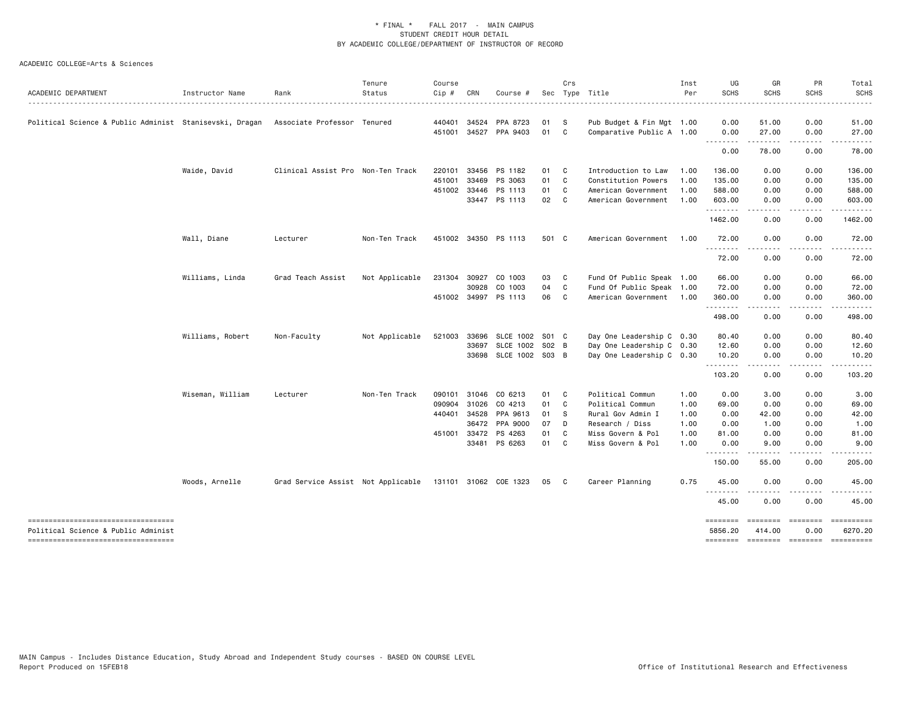| ACADEMIC DEPARTMENT                                                       | Instructor Name  | Rank                                                     | Tenure<br>Status | Course<br>Cip # | CRN          | Course #              |       | Crs          | Sec Type Title            | Inst<br>Per | UG<br><b>SCHS</b>   | GR<br><b>SCHS</b> | PR<br><b>SCHS</b> | Total<br><b>SCHS</b>                                                                                                                                                                                                                                                                                                                                                                                                                                                                            |
|---------------------------------------------------------------------------|------------------|----------------------------------------------------------|------------------|-----------------|--------------|-----------------------|-------|--------------|---------------------------|-------------|---------------------|-------------------|-------------------|-------------------------------------------------------------------------------------------------------------------------------------------------------------------------------------------------------------------------------------------------------------------------------------------------------------------------------------------------------------------------------------------------------------------------------------------------------------------------------------------------|
| Political Science & Public Administ Stanisevski, Dragan                   |                  | Associate Professor Tenured                              |                  |                 | 440401 34524 | PPA 8723              | 01    | - S          | Pub Budget & Fin Mgt 1.00 |             | 0.00                | 51.00             | 0.00              | 51.00                                                                                                                                                                                                                                                                                                                                                                                                                                                                                           |
|                                                                           |                  |                                                          |                  |                 |              | 451001 34527 PPA 9403 | 01    | $\mathbf{C}$ | Comparative Public A 1.00 |             | 0.00                | 27.00             | 0.00              | 27.00                                                                                                                                                                                                                                                                                                                                                                                                                                                                                           |
|                                                                           |                  |                                                          |                  |                 |              |                       |       |              |                           |             | .<br>0.00           | 78.00             | 0.00              | 78.00                                                                                                                                                                                                                                                                                                                                                                                                                                                                                           |
|                                                                           | Waide, David     | Clinical Assist Pro Non-Ten Track                        |                  | 220101          | 33456        | PS 1182               | 01 C  |              | Introduction to Law       | 1.00        | 136.00              | 0.00              | 0.00              | 136.00                                                                                                                                                                                                                                                                                                                                                                                                                                                                                          |
|                                                                           |                  |                                                          |                  | 451001          | 33469        | PS 3063               | 01 C  |              | Constitution Powers       | 1.00        | 135.00              | 0.00              | 0.00              | 135.00                                                                                                                                                                                                                                                                                                                                                                                                                                                                                          |
|                                                                           |                  |                                                          |                  |                 | 451002 33446 | PS 1113               | 01    | C            | American Government       | 1.00        | 588.00              | 0.00              | 0.00              | 588.00                                                                                                                                                                                                                                                                                                                                                                                                                                                                                          |
|                                                                           |                  |                                                          |                  |                 |              | 33447 PS 1113         | 02    | $\mathbf{C}$ | American Government       | 1.00        | 603.00<br>.         | 0.00              | 0.00              | 603.00                                                                                                                                                                                                                                                                                                                                                                                                                                                                                          |
|                                                                           |                  |                                                          |                  |                 |              |                       |       |              |                           |             | 1462.00             | 0.00              | 0.00              | 1462.00                                                                                                                                                                                                                                                                                                                                                                                                                                                                                         |
|                                                                           | Wall, Diane      | Lecturer                                                 | Non-Ten Track    |                 |              | 451002 34350 PS 1113  | 501 C |              | American Government       | 1.00        | 72.00               | 0.00              | 0.00              | 72.00                                                                                                                                                                                                                                                                                                                                                                                                                                                                                           |
|                                                                           |                  |                                                          |                  |                 |              |                       |       |              |                           |             | .<br>72.00          | -----<br>0.00     | 0.00              | 72.00                                                                                                                                                                                                                                                                                                                                                                                                                                                                                           |
|                                                                           | Williams, Linda  | Grad Teach Assist                                        | Not Applicable   | 231304          | 30927        | CO 1003               | 03    | $\mathbf{C}$ | Fund Of Public Speak 1.00 |             | 66.00               | 0.00              | 0.00              | 66.00                                                                                                                                                                                                                                                                                                                                                                                                                                                                                           |
|                                                                           |                  |                                                          |                  |                 | 30928        | CO 1003               | 04    | $\mathbf{C}$ | Fund Of Public Speak 1.00 |             | 72.00               | 0.00              | 0.00              | 72.00                                                                                                                                                                                                                                                                                                                                                                                                                                                                                           |
|                                                                           |                  |                                                          |                  |                 |              | 451002 34997 PS 1113  | 06 C  |              | American Government 1.00  |             | 360.00              | 0.00              | 0.00              | 360.00                                                                                                                                                                                                                                                                                                                                                                                                                                                                                          |
|                                                                           |                  |                                                          |                  |                 |              |                       |       |              |                           |             | -------<br>498.00   | .<br>0.00         | .<br>0.00         | . <b>.</b><br>498.00                                                                                                                                                                                                                                                                                                                                                                                                                                                                            |
|                                                                           | Williams, Robert | Non-Faculty                                              | Not Applicable   | 521003          | 33696        | SLCE 1002             | S01 C |              | Day One Leadership C 0.30 |             | 80.40               | 0.00              | 0.00              | 80.40                                                                                                                                                                                                                                                                                                                                                                                                                                                                                           |
|                                                                           |                  |                                                          |                  |                 | 33697        | <b>SLCE 1002</b>      | S02 B |              | Day One Leadership C 0.30 |             | 12.60               | 0.00              | 0.00              | 12.60                                                                                                                                                                                                                                                                                                                                                                                                                                                                                           |
|                                                                           |                  |                                                          |                  |                 |              | 33698 SLCE 1002 S03 B |       |              | Day One Leadership C 0.30 |             | 10.20<br><u>.</u>   | 0.00<br>$\cdots$  | 0.00<br>.         | 10.20<br>.                                                                                                                                                                                                                                                                                                                                                                                                                                                                                      |
|                                                                           |                  |                                                          |                  |                 |              |                       |       |              |                           |             | 103.20              | 0.00              | 0.00              | 103.20                                                                                                                                                                                                                                                                                                                                                                                                                                                                                          |
|                                                                           | Wiseman, William | Lecturer                                                 | Non-Ten Track    | 090101          | 31046        | CO 6213               | 01    | $\mathbf{C}$ | Political Commun          | 1.00        | 0.00                | 3.00              | 0.00              | 3.00                                                                                                                                                                                                                                                                                                                                                                                                                                                                                            |
|                                                                           |                  |                                                          |                  | 090904          | 31026        | CO 4213               | 01    | $\mathbf{C}$ | Political Commun          | 1.00        | 69.00               | 0.00              | 0.00              | 69.00                                                                                                                                                                                                                                                                                                                                                                                                                                                                                           |
|                                                                           |                  |                                                          |                  | 440401          | 34528        | PPA 9613              | 01 S  |              | Rural Gov Admin I         | 1.00        | 0.00                | 42.00             | 0.00              | 42.00                                                                                                                                                                                                                                                                                                                                                                                                                                                                                           |
|                                                                           |                  |                                                          |                  |                 | 36472        | PPA 9000              | 07    | D            | Research / Diss           | 1.00        | 0.00                | 1.00              | 0.00              | 1.00                                                                                                                                                                                                                                                                                                                                                                                                                                                                                            |
|                                                                           |                  |                                                          |                  |                 | 451001 33472 | PS 4263               | 01    | C            | Miss Govern & Pol         | 1.00        | 81.00               | 0.00              | 0.00              | 81.00                                                                                                                                                                                                                                                                                                                                                                                                                                                                                           |
|                                                                           |                  |                                                          |                  |                 |              | 33481 PS 6263         | 01 C  |              | Miss Govern & Pol         | 1.00        | 0.00<br><u>.</u>    | 9.00<br>$\cdots$  | 0.00<br>.         | 9.00<br><u>.</u>                                                                                                                                                                                                                                                                                                                                                                                                                                                                                |
|                                                                           |                  |                                                          |                  |                 |              |                       |       |              |                           |             | 150.00              | 55.00             | 0.00              | 205.00                                                                                                                                                                                                                                                                                                                                                                                                                                                                                          |
|                                                                           | Woods, Arnelle   | Grad Service Assist Not Applicable 131101 31062 COE 1323 |                  |                 |              |                       | 05    | $\mathbf{C}$ | Career Planning           | 0.75        | 45.00<br><u>.</u>   | 0.00              | 0.00              | 45.00                                                                                                                                                                                                                                                                                                                                                                                                                                                                                           |
|                                                                           |                  |                                                          |                  |                 |              |                       |       |              |                           |             | 45.00               | 0.00              | 0.00              | 45.00                                                                                                                                                                                                                                                                                                                                                                                                                                                                                           |
| ----------------------------------<br>Political Science & Public Administ |                  |                                                          |                  |                 |              |                       |       |              |                           |             | ========<br>5856.20 | 414.00            | 0.00              | $\begin{array}{c} \multicolumn{3}{c}{}\\ \multicolumn{3}{c}{}\\ \multicolumn{3}{c}{}\\ \multicolumn{3}{c}{}\\ \multicolumn{3}{c}{}\\ \multicolumn{3}{c}{}\\ \multicolumn{3}{c}{}\\ \multicolumn{3}{c}{}\\ \multicolumn{3}{c}{}\\ \multicolumn{3}{c}{}\\ \multicolumn{3}{c}{}\\ \multicolumn{3}{c}{}\\ \multicolumn{3}{c}{}\\ \multicolumn{3}{c}{}\\ \multicolumn{3}{c}{}\\ \multicolumn{3}{c}{}\\ \multicolumn{3}{c}{}\\ \multicolumn{3}{c}{}\\ \multicolumn{3}{c}{}\\ \multicolumn$<br>6270.20 |
| ----------------------------------                                        |                  |                                                          |                  |                 |              |                       |       |              |                           |             | ========            | ========          | $=$               |                                                                                                                                                                                                                                                                                                                                                                                                                                                                                                 |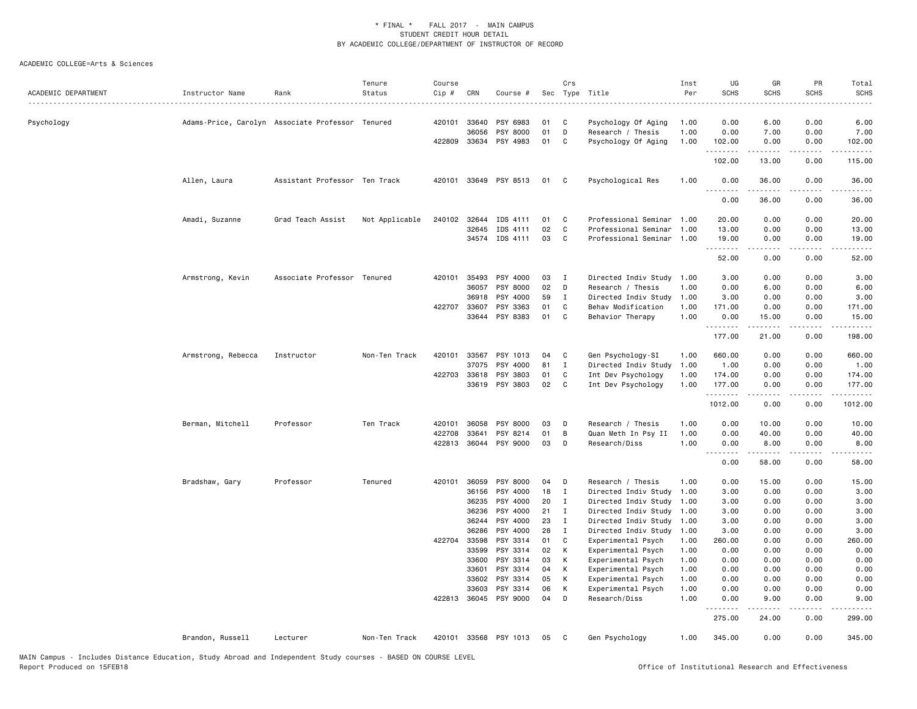| ACADEMIC DEPARTMENT | Instructor Name                                  | Rank                          | Tenure<br>Status | Course<br>Cip # | CRN            | Course #              | Sec      | Crs          | Type Title                               | Inst<br>Per  | UG<br><b>SCHS</b>       | GR<br><b>SCHS</b>   | PR<br><b>SCHS</b>     | Total<br><b>SCHS</b>  |
|---------------------|--------------------------------------------------|-------------------------------|------------------|-----------------|----------------|-----------------------|----------|--------------|------------------------------------------|--------------|-------------------------|---------------------|-----------------------|-----------------------|
| Psychology          | Adams-Price, Carolyn Associate Professor Tenured |                               |                  | 420101          | 33640          | PSY 6983              | 01       | C            | Psychology Of Aging                      | 1.00         | 0.00                    | 6.00                | 0.00                  | 6.00                  |
|                     |                                                  |                               |                  |                 | 36056          | PSY 8000              | 01       | D            | Research / Thesis                        | 1.00         | 0.00                    | 7.00                | 0.00                  | 7.00                  |
|                     |                                                  |                               |                  |                 |                | 422809 33634 PSY 4983 | 01       | C            | Psychology Of Aging                      | 1.00         | 102.00<br>.             | 0.00<br>$- - - - -$ | 0.00<br>.             | 102.00<br>$- - - - -$ |
|                     |                                                  |                               |                  |                 |                |                       |          |              |                                          |              | 102.00                  | 13.00               | 0.00                  | 115.00                |
|                     | Allen, Laura                                     | Assistant Professor Ten Track |                  |                 |                | 420101 33649 PSY 8513 | 01       | C            | Psychological Res                        | 1.00         | 0.00<br><u>.</u><br>--- | 36.00<br>. <u>.</u> | 0.00<br>.             | 36.00<br>.            |
|                     |                                                  |                               |                  |                 |                |                       |          |              |                                          |              | 0.00                    | 36.00               | 0.00                  | 36.00                 |
|                     | Amadi, Suzanne                                   | Grad Teach Assist             | Not Applicable   | 240102          | 32644          | IDS 4111              | 01       | C            | Professional Seminar                     | 1.00         | 20.00                   | 0.00                | 0.00                  | 20.00                 |
|                     |                                                  |                               |                  |                 | 32645          | IDS 4111              | 02       | C            | Professional Seminar                     | 1.00         | 13.00                   | 0.00                | 0.00                  | 13.00                 |
|                     |                                                  |                               |                  |                 |                | 34574 IDS 4111        | 03       | C            | Professional Seminar                     | 1.00         | 19.00<br>.              | 0.00<br>.           | 0.00<br>.             | 19.00<br>.            |
|                     |                                                  |                               |                  |                 |                |                       |          |              |                                          |              | 52.00                   | 0.00                | 0.00                  | 52.00                 |
|                     | Armstrong, Kevin                                 | Associate Professor Tenured   |                  | 420101          | 35493          | PSY 4000              | 03       | <b>I</b>     | Directed Indiv Study                     | 1.00         | 3.00                    | 0.00                | 0.00                  | 3.00                  |
|                     |                                                  |                               |                  |                 | 36057          | PSY 8000              | 02       | D            | Research / Thesis                        | 1.00         | 0.00                    | 6.00                | 0.00                  | 6.00                  |
|                     |                                                  |                               |                  |                 | 36918          | PSY 4000              | 59       | <b>I</b>     | Directed Indiv Study                     | 1.00         | 3.00                    | 0.00                | 0.00                  | 3.00                  |
|                     |                                                  |                               |                  | 422707          | 33607          | PSY 3363              | 01       | C            | Behav Modification                       | 1.00         | 171.00                  | 0.00                | 0.00                  | 171.00                |
|                     |                                                  |                               |                  |                 | 33644          | PSY 8383              | 01       | C            | Behavior Therapy                         | 1.00         | 0.00<br>.               | 15.00               | 0.00                  | 15.00                 |
|                     |                                                  |                               |                  |                 |                |                       |          |              |                                          |              | 177.00                  | 21.00               | 0.00                  | 198.00                |
|                     | Armstrong, Rebecca                               | Instructor                    | Non-Ten Track    | 420101          | 33567          | PSY 1013              | 04       | C            | Gen Psychology-SI                        | 1.00         | 660.00                  | 0.00                | 0.00                  | 660.00                |
|                     |                                                  |                               |                  |                 | 37075          | PSY 4000              | 81       | $\mathbf{I}$ | Directed Indiv Study                     | 1.00         | 1.00                    | 0.00                | 0.00                  | 1.00                  |
|                     |                                                  |                               |                  |                 | 422703 33618   | PSY 3803              | 01       | C            | Int Dev Psychology                       | 1.00         | 174.00                  | 0.00                | 0.00                  | 174.00                |
|                     |                                                  |                               |                  |                 |                | 33619 PSY 3803        | 02       | C            | Int Dev Psychology                       | 1.00         | 177.00<br>.             | 0.00<br>.           | 0.00<br>$\frac{1}{2}$ | 177.00<br>.           |
|                     |                                                  |                               |                  |                 |                |                       |          |              |                                          |              | 1012.00                 | 0.00                | 0.00                  | 1012.00               |
|                     | Berman, Mitchell                                 | Professor                     | Ten Track        | 420101          | 36058          | PSY 8000              | 03       | D            | Research / Thesis                        | 1.00         | 0.00                    | 10.00               | 0.00                  | 10.00                 |
|                     |                                                  |                               |                  | 422708          | 33641          | PSY 8214              | 01       | B            | Quan Meth In Psy II                      | 1.00         | 0.00                    | 40.00               | 0.00                  | 40.00                 |
|                     |                                                  |                               |                  | 422813          | 36044          | PSY 9000              | 03       | D            | Research/Diss                            | 1.00         | 0.00<br>$- - -$         | 8.00                | 0.00                  | 8.00                  |
|                     |                                                  |                               |                  |                 |                |                       |          |              |                                          |              | 0.00                    | 58.00               | 0.00                  | 58.00                 |
|                     | Bradshaw, Gary                                   | Professor                     | Tenured          | 420101          | 36059          | PSY 8000              | 04       | D            | Research / Thesis                        | 1.00         | 0.00                    | 15.00               | 0.00                  | 15.00                 |
|                     |                                                  |                               |                  |                 | 36156          | PSY 4000              | 18       | I            | Directed Indiv Study                     | 1.00         | 3.00                    | 0.00                | 0.00                  | 3.00                  |
|                     |                                                  |                               |                  |                 | 36235          | PSY 4000              | 20       | I            | Directed Indiv Study                     | 1.00         | 3.00                    | 0.00                | 0.00                  | 3.00                  |
|                     |                                                  |                               |                  |                 | 36236          | PSY 4000              | 21       | I            | Directed Indiv Study                     | 1.00         | 3.00                    | 0.00                | 0.00                  | 3.00                  |
|                     |                                                  |                               |                  |                 | 36244          | PSY 4000              | 23       | I            | Directed Indiv Study                     | 1.00         | 3.00                    | 0.00                | 0.00                  | 3.00                  |
|                     |                                                  |                               |                  |                 | 36286          | PSY 4000              | 28       | I            | Directed Indiv Study                     | 1.00         | 3.00                    | 0.00                | 0.00                  | 3.00                  |
|                     |                                                  |                               |                  | 422704 33598    |                | PSY 3314              | 01       | C            | Experimental Psych                       | 1.00         | 260.00                  | 0.00                | 0.00                  | 260.00                |
|                     |                                                  |                               |                  |                 | 33599<br>33600 | PSY 3314<br>PSY 3314  | 02<br>03 | К<br>к       | Experimental Psych<br>Experimental Psych | 1.00<br>1.00 | 0.00<br>0.00            | 0.00<br>0.00        | 0.00<br>0.00          | 0.00<br>0.00          |
|                     |                                                  |                               |                  |                 | 33601          | PSY 3314              | 04       | К            | Experimental Psych                       | 1.00         | 0.00                    | 0.00                | 0.00                  | 0.00                  |
|                     |                                                  |                               |                  |                 | 33602          | PSY 3314              | 05       | K            | Experimental Psych                       | 1.00         | 0.00                    | 0.00                | 0.00                  | 0.00                  |
|                     |                                                  |                               |                  |                 | 33603          | PSY 3314              | 06       | к            | Experimental Psych                       | 1.00         | 0.00                    | 0.00                | 0.00                  | 0.00                  |
|                     |                                                  |                               |                  |                 | 422813 36045   | PSY 9000              | 04       | D            | Research/Diss                            | 1.00         | 0.00                    | 9.00                | 0.00                  | 9.00                  |
|                     |                                                  |                               |                  |                 |                |                       |          |              |                                          |              | .<br>275.00             | 24.00               | 0.00                  | 299.00                |
|                     | Brandon, Russell                                 | Lecturer                      | Non-Ten Track    |                 |                | 420101 33568 PSY 1013 | 05       | C            | Gen Psychology                           | 1.00         | 345.00                  | 0.00                | 0.00                  | 345.00                |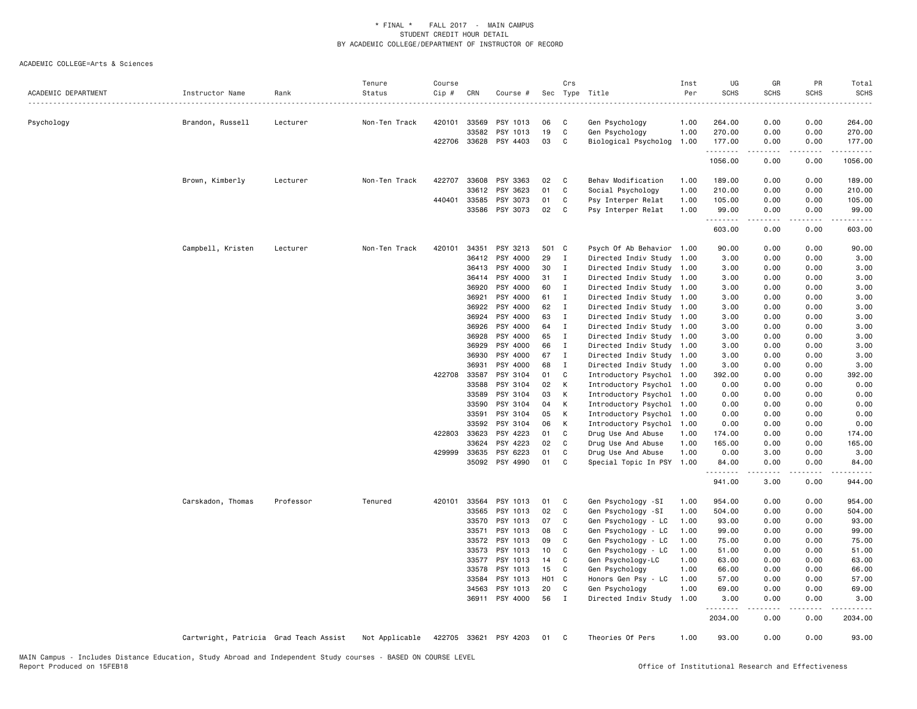| ACADEMIC DEPARTMENT | Instructor Name                        | Rank      | Tenure<br>Status<br>. | Course<br>Cip # | CRN          | Course #              |       | Crs            | Sec Type Title            | Inst<br>Per | UG<br><b>SCHS</b>   | GR<br><b>SCHS</b>   | PR<br><b>SCHS</b> | Total<br><b>SCHS</b> |
|---------------------|----------------------------------------|-----------|-----------------------|-----------------|--------------|-----------------------|-------|----------------|---------------------------|-------------|---------------------|---------------------|-------------------|----------------------|
| Psychology          | Brandon, Russell                       | Lecturer  | Non-Ten Track         |                 | 420101 33569 | PSY 1013              | 06    | C              | Gen Psychology            | 1.00        | 264.00              | 0.00                | 0.00              | 264.00               |
|                     |                                        |           |                       |                 | 33582        | PSY 1013              | 19    | C              | Gen Psychology            | 1.00        | 270.00              | 0.00                | 0.00              | 270.00               |
|                     |                                        |           |                       |                 | 422706 33628 | PSY 4403              | 03    | C              | Biological Psycholog      | 1.00        | 177.00              | 0.00                | 0.00              | 177.00               |
|                     |                                        |           |                       |                 |              |                       |       |                |                           |             | .<br>1056.00        | -----<br>0.00       | .<br>0.00         | .<br>1056.00         |
|                     | Brown, Kimberly                        | Lecturer  | Non-Ten Track         | 422707          | 33608        | PSY 3363              | 02    | $\mathbf{C}$   | Behav Modification        | 1.00        | 189.00              | 0.00                | 0.00              | 189.00               |
|                     |                                        |           |                       |                 | 33612        | PSY 3623              | 01    | C              | Social Psychology         | 1.00        | 210.00              | 0.00                | 0.00              | 210.00               |
|                     |                                        |           |                       | 440401          | 33585        | PSY 3073              | 01    | C              | Psy Interper Relat        | 1.00        | 105.00              | 0.00                | 0.00              | 105.00               |
|                     |                                        |           |                       |                 | 33586        | PSY 3073              | 02    | <b>C</b>       | Psy Interper Relat        | 1.00        | 99.00               | 0.00                | 0.00              | 99.00                |
|                     |                                        |           |                       |                 |              |                       |       |                |                           |             | .<br>603.00         | $- - - - -$<br>0.00 | .<br>0.00         | .<br>603.00          |
|                     | Campbell, Kristen                      | Lecturer  | Non-Ten Track         | 420101          | 34351        | PSY 3213              | 501 C |                | Psych Of Ab Behavior 1.00 |             | 90.00               | 0.00                | 0.00              | 90.00                |
|                     |                                        |           |                       |                 | 36412        | PSY 4000              | 29    | $\mathbf{I}$   | Directed Indiv Study      | 1.00        | 3.00                | 0.00                | 0.00              | 3.00                 |
|                     |                                        |           |                       |                 | 36413        | PSY 4000              | 30    | $\mathbf{I}$   | Directed Indiv Study 1.00 |             | 3.00                | 0.00                | 0.00              | 3.00                 |
|                     |                                        |           |                       |                 | 36414        | PSY 4000              | 31    | I              | Directed Indiv Study 1.00 |             | 3.00                | 0.00                | 0.00              | 3.00                 |
|                     |                                        |           |                       |                 | 36920        | PSY 4000              | 60    | $\mathbf{I}$   | Directed Indiv Study 1.00 |             | 3.00                | 0.00                | 0.00              | 3.00                 |
|                     |                                        |           |                       |                 | 36921        | PSY 4000              | 61    | $\blacksquare$ | Directed Indiv Study 1.00 |             | 3.00                | 0.00                | 0.00              | 3.00                 |
|                     |                                        |           |                       |                 | 36922        | PSY 4000              | 62    | $\mathbf{I}$   | Directed Indiv Study 1.00 |             | 3.00                | 0.00                | 0.00              | 3.00                 |
|                     |                                        |           |                       |                 | 36924        | PSY 4000              | 63    | $\mathbf{I}$   | Directed Indiv Study 1.00 |             | 3.00                | 0.00                | 0.00              | 3.00                 |
|                     |                                        |           |                       |                 | 36926        | PSY 4000              | 64    | $\mathbf{I}$   | Directed Indiv Study 1.00 |             | 3.00                | 0.00                | 0.00              | 3.00                 |
|                     |                                        |           |                       |                 | 36928        | PSY 4000              | 65    | $\blacksquare$ | Directed Indiv Study 1.00 |             | 3.00                | 0.00                | 0.00              | 3.00                 |
|                     |                                        |           |                       |                 | 36929        | PSY 4000              | 66    | I              | Directed Indiv Study 1.00 |             | 3.00                | 0.00                | 0.00              | 3.00                 |
|                     |                                        |           |                       |                 | 36930        | PSY 4000              | 67    | $\mathbf{I}$   | Directed Indiv Study 1.00 |             | 3.00                | 0.00                | 0.00              | 3.00                 |
|                     |                                        |           |                       |                 | 36931        | PSY 4000              | 68    | I              | Directed Indiv Study 1.00 |             | 3.00                | 0.00                | 0.00              | 3.00                 |
|                     |                                        |           |                       | 422708          | 33587        | PSY 3104              | 01    | C              | Introductory Psychol      | 1.00        | 392.00              | 0.00                | 0.00              | 392.00               |
|                     |                                        |           |                       |                 | 33588        | PSY 3104              | 02    | K              | Introductory Psychol 1.00 |             | 0.00                | 0.00                | 0.00              | 0.00                 |
|                     |                                        |           |                       |                 | 33589        | PSY 3104              | 03    | $\,$ K         | Introductory Psychol      | 1.00        | 0.00                | 0.00                | 0.00              | 0.00                 |
|                     |                                        |           |                       |                 | 33590        | PSY 3104              | 04    | К              | Introductory Psychol      | 1.00        | 0.00                | 0.00                | 0.00              | 0.00                 |
|                     |                                        |           |                       |                 | 33591        | PSY 3104              | 05    | К              | Introductory Psychol      | 1.00        | 0.00                | 0.00                | 0.00              | 0.00                 |
|                     |                                        |           |                       |                 | 33592        | PSY 3104              | 06    | К              | Introductory Psychol      | 1.00        | 0.00                | 0.00                | 0.00              | 0.00                 |
|                     |                                        |           |                       | 422803          | 33623        | PSY 4223              | 01    | C              | Drug Use And Abuse        | 1.00        | 174.00              | 0.00                | 0.00              | 174.00               |
|                     |                                        |           |                       |                 | 33624        | PSY 4223              | 02    | C              | Drug Use And Abuse        | 1.00        | 165.00              | 0.00                | 0.00              | 165.00               |
|                     |                                        |           |                       | 429999          | 33635        | PSY 6223              | 01    | C              | Drug Use And Abuse        | 1.00        | 0.00                | 3.00                | 0.00              | 3.00                 |
|                     |                                        |           |                       |                 | 35092        | PSY 4990              | 01    | C              | Special Topic In PSY 1.00 |             | 84.00<br>.          | 0.00<br>.           | 0.00<br>.         | 84.00<br>.           |
|                     |                                        |           |                       |                 |              |                       |       |                |                           |             | 941.00              | 3.00                | 0.00              | 944.00               |
|                     | Carskadon, Thomas                      | Professor | Tenured               | 420101          | 33564        | PSY 1013              | 01    | <b>C</b>       | Gen Psychology -SI        | 1.00        | 954.00              | 0.00                | 0.00              | 954.00               |
|                     |                                        |           |                       |                 | 33565        | PSY 1013              | 02    | C              | Gen Psychology -SI        | 1.00        | 504.00              | 0.00                | 0.00              | 504.00               |
|                     |                                        |           |                       |                 | 33570        | PSY 1013              | 07    | C              | Gen Psychology - LC       | 1.00        | 93.00               | 0.00                | 0.00              | 93.00                |
|                     |                                        |           |                       |                 | 33571        | PSY 1013              | 08    | C              | Gen Psychology - LC       | 1.00        | 99.00               | 0.00                | 0.00              | 99.00                |
|                     |                                        |           |                       |                 | 33572        | PSY 1013              | 09    | C              | Gen Psychology - LC       | 1.00        | 75.00               | 0.00                | 0.00              | 75.00                |
|                     |                                        |           |                       |                 | 33573        | PSY 1013              | 10    | C              | Gen Psychology - LC       | 1.00        | 51.00               | 0.00                | 0.00              | 51.00                |
|                     |                                        |           |                       |                 | 33577        | PSY 1013              | 14    | C              | Gen Psychology-LC         | 1.00        | 63.00               | 0.00                | 0.00              | 63.00                |
|                     |                                        |           |                       |                 | 33578        | PSY 1013              | 15    | C              | Gen Psychology            | 1.00        | 66.00               | 0.00                | 0.00              | 66.00                |
|                     |                                        |           |                       |                 | 33584        | PSY 1013              | H01 C |                | Honors Gen Psy - LC       | 1.00        | 57.00               | 0.00                | 0.00              | 57.00                |
|                     |                                        |           |                       |                 | 34563        | PSY 1013              | 20    | C              | Gen Psychology            | 1.00        | 69.00               | 0.00                | 0.00              | 69.00                |
|                     |                                        |           |                       |                 |              | 36911 PSY 4000        | 56    | $\mathbf{I}$   | Directed Indiv Study      | 1.00        | 3.00                | 0.00                | 0.00              | 3.00                 |
|                     |                                        |           |                       |                 |              |                       |       |                |                           |             | <u>.</u><br>2034.00 | -----<br>0.00       | .<br>0.00         | 2034.00              |
|                     | Cartwright, Patricia Grad Teach Assist |           | Not Applicable        |                 |              | 422705 33621 PSY 4203 | 01    | C              | Theories Of Pers          | 1.00        | 93.00               | 0.00                | 0.00              | 93.00                |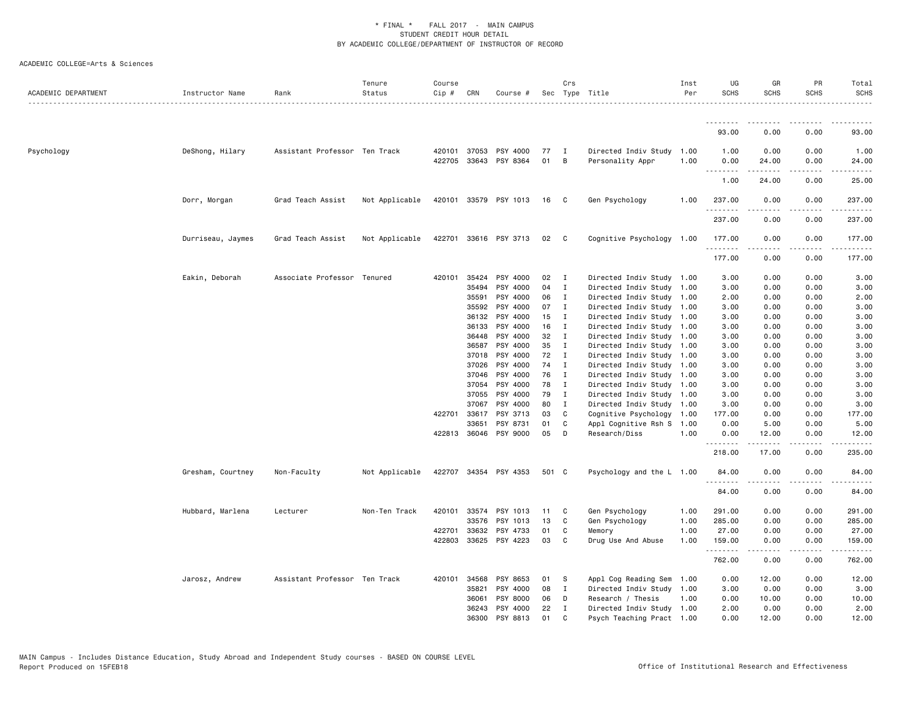| ACADEMIC DEPARTMENT | Instructor Name   | Rank                          | Tenure<br>Status | Course<br>$Cip$ # | CRN                   | Course #              |          | Crs                              | Sec Type Title                                | Inst<br>Per | UG<br><b>SCHS</b>     | GR<br><b>SCHS</b>     | PR<br><b>SCHS</b> | Total<br><b>SCHS</b> |
|---------------------|-------------------|-------------------------------|------------------|-------------------|-----------------------|-----------------------|----------|----------------------------------|-----------------------------------------------|-------------|-----------------------|-----------------------|-------------------|----------------------|
|                     |                   |                               |                  |                   |                       |                       |          |                                  |                                               |             | <u>.</u>              | --------              |                   |                      |
|                     |                   |                               |                  |                   |                       |                       |          |                                  |                                               |             | 93.00                 | 0.00                  | 0.00              | 93.00                |
| Psychology          | DeShong, Hilary   | Assistant Professor Ten Track |                  | 422705            | 420101 37053<br>33643 | PSY 4000<br>PSY 8364  | 77<br>01 | $\blacksquare$<br>$\overline{B}$ | Directed Indiv Study 1.00<br>Personality Appr | 1.00        | 1.00<br>0.00          | 0.00<br>24.00         | 0.00<br>0.00      | 1.00<br>24.00        |
|                     |                   |                               |                  |                   |                       |                       |          |                                  |                                               |             | $\sim$ $\sim$<br>1.00 | 24.00                 | 0.00              | 25.00                |
|                     | Dorr, Morgan      | Grad Teach Assist             | Not Applicable   |                   |                       | 420101 33579 PSY 1013 | 16       | $\mathbf{C}$                     | Gen Psychology                                | 1.00        | 237.00                | 0.00                  | 0.00              | 237.00               |
|                     |                   |                               |                  |                   |                       |                       |          |                                  |                                               |             | .                     |                       |                   |                      |
|                     |                   |                               |                  |                   |                       |                       |          |                                  |                                               |             | 237.00                | 0.00                  | 0.00              | 237.00               |
|                     | Durriseau, Jaymes | Grad Teach Assist             | Not Applicable   |                   |                       | 422701 33616 PSY 3713 | 02 C     |                                  | Cognitive Psychology 1.00                     |             | 177.00<br>.           | 0.00<br>$\frac{1}{2}$ | 0.00<br>.         | 177.00<br>.          |
|                     |                   |                               |                  |                   |                       |                       |          |                                  |                                               |             | 177.00                | 0.00                  | 0.00              | 177.00               |
|                     | Eakin, Deborah    | Associate Professor Tenured   |                  |                   | 420101 35424          | PSY 4000              | 02       | $\mathbf{I}$                     | Directed Indiv Study 1.00                     |             | 3.00                  | 0.00                  | 0.00              | 3.00                 |
|                     |                   |                               |                  |                   | 35494                 | PSY 4000              | 04       | I                                | Directed Indiv Study 1.00                     |             | 3.00                  | 0.00                  | 0.00              | 3.00                 |
|                     |                   |                               |                  |                   | 35591                 | PSY 4000              | 06       | $\blacksquare$                   | Directed Indiv Study 1.00                     |             | 2.00                  | 0.00                  | 0.00              | 2.00                 |
|                     |                   |                               |                  |                   | 35592                 | PSY 4000              | 07       | $\mathbf{I}$                     | Directed Indiv Study 1.00                     |             | 3.00                  | 0.00                  | 0.00              | 3.00                 |
|                     |                   |                               |                  |                   | 36132                 | PSY 4000              | 15       | $\mathbf{I}$                     | Directed Indiv Study 1.00                     |             | 3.00                  | 0.00                  | 0.00              | 3.00                 |
|                     |                   |                               |                  |                   | 36133                 | PSY 4000              | 16       | $\mathbf{I}$                     | Directed Indiv Study 1.00                     |             | 3.00                  | 0.00                  | 0.00              | 3.00                 |
|                     |                   |                               |                  |                   | 36448                 | PSY 4000              | 32       | $\mathbf{I}$                     | Directed Indiv Study 1.00                     |             | 3.00                  | 0.00                  | 0.00              | 3.00                 |
|                     |                   |                               |                  |                   | 36587                 | PSY 4000              | 35       | $\mathbf{I}$                     | Directed Indiv Study 1.00                     |             | 3.00                  | 0.00                  | 0.00              | 3.00                 |
|                     |                   |                               |                  |                   | 37018                 | PSY 4000              | 72 I     |                                  | Directed Indiv Study 1.00                     |             | 3.00                  | 0.00                  | 0.00              | 3.00                 |
|                     |                   |                               |                  |                   | 37026                 | PSY 4000              | 74       | $\mathbf{I}$                     | Directed Indiv Study 1.00                     |             | 3.00                  | 0.00                  | 0.00              | 3.00                 |
|                     |                   |                               |                  |                   | 37046                 | PSY 4000              | 76       | $\blacksquare$                   | Directed Indiv Study 1.00                     |             | 3.00                  | 0.00                  | 0.00              | 3.00                 |
|                     |                   |                               |                  |                   | 37054                 | PSY 4000              | 78       | $\mathbf{I}$                     | Directed Indiv Study 1.00                     |             | 3.00                  | 0.00                  | 0.00              | 3.00                 |
|                     |                   |                               |                  |                   | 37055                 | PSY 4000              | 79       | $\mathbf{I}$                     | Directed Indiv Study 1.00                     |             | 3.00                  | 0.00                  | 0.00              | 3.00                 |
|                     |                   |                               |                  |                   | 37067                 | PSY 4000              | 80       | $\mathbf{I}$                     | Directed Indiv Study 1.00                     |             | 3.00                  | 0.00                  | 0.00              | 3.00                 |
|                     |                   |                               |                  | 422701            | 33617                 | PSY 3713              | 03       | C                                | Cognitive Psychology                          | 1.00        | 177.00                | 0.00                  | 0.00              | 177.00               |
|                     |                   |                               |                  |                   | 33651                 | PSY 8731              | 01       | $\mathbf{C}$                     | Appl Cognitive Rsh S 1.00                     |             | 0.00                  | 5.00                  | 0.00              | 5.00                 |
|                     |                   |                               |                  |                   | 422813 36046          | PSY 9000              | 05       | D                                | Research/Diss                                 | 1.00        | 0.00                  | 12.00                 | 0.00              | 12.00                |
|                     |                   |                               |                  |                   |                       |                       |          |                                  |                                               |             | 218.00                | 17.00                 | 0.00              | 235.00               |
|                     | Gresham, Courtney | Non-Faculty                   | Not Applicable   |                   |                       | 422707 34354 PSY 4353 | 501 C    |                                  | Psychology and the L 1.00                     |             | 84.00<br>.            | 0.00<br>.             | 0.00<br>.         | 84.00                |
|                     |                   |                               |                  |                   |                       |                       |          |                                  |                                               |             | 84.00                 | 0.00                  | 0.00              | 84.00                |
|                     | Hubbard, Marlena  | Lecturer                      | Non-Ten Track    | 420101            | 33574                 | PSY 1013              | 11       | $\mathbf{C}$                     | Gen Psychology                                | 1.00        | 291.00                | 0.00                  | 0.00              | 291.00               |
|                     |                   |                               |                  |                   | 33576                 | PSY 1013              | 13       | C                                | Gen Psychology                                | 1.00        | 285.00                | 0.00                  | 0.00              | 285.00               |
|                     |                   |                               |                  | 422701            | 33632                 | PSY 4733              | 01       | C                                | Memory                                        | 1.00        | 27.00                 | 0.00                  | 0.00              | 27.00                |
|                     |                   |                               |                  | 422803            | 33625                 | PSY 4223              | 03       | C                                | Drug Use And Abuse                            | 1.00        | 159.00<br>.           | 0.00<br>$- - - -$     | 0.00<br>.         | 159.00<br>.          |
|                     |                   |                               |                  |                   |                       |                       |          |                                  |                                               |             | 762.00                | 0.00                  | 0.00              | 762.00               |
|                     | Jarosz, Andrew    | Assistant Professor Ten Track |                  |                   | 420101 34568          | PSY 8653              | 01 S     |                                  | Appl Cog Reading Sem 1.00                     |             | 0.00                  | 12.00                 | 0.00              | 12.00                |
|                     |                   |                               |                  |                   | 35821                 | PSY 4000              | 08       | $\mathbf{I}$                     | Directed Indiv Study 1.00                     |             | 3.00                  | 0.00                  | 0.00              | 3.00                 |
|                     |                   |                               |                  |                   | 36061                 | PSY 8000              | 06       | $\mathsf{D}$                     | Research / Thesis                             | 1.00        | 0.00                  | 10.00                 | 0.00              | 10.00                |
|                     |                   |                               |                  |                   | 36243                 | PSY 4000              | 22       | <b>I</b>                         | Directed Indiv Study 1.00                     |             | 2.00                  | 0.00                  | 0.00              | 2.00                 |
|                     |                   |                               |                  |                   | 36300                 | PSY 8813              | 01       | C                                | Psych Teaching Pract 1.00                     |             | 0.00                  | 12.00                 | 0.00              | 12.00                |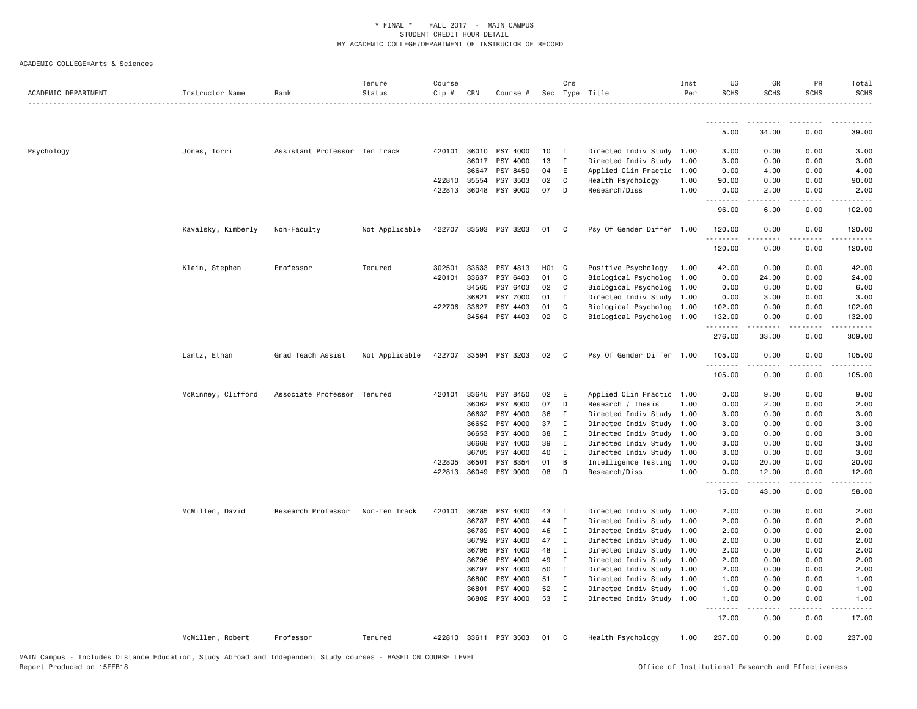| ACADEMIC DEPARTMENT | Instructor Name    | Rank                          | Tenure<br>Status | Course<br>Cip # | CRN          | Course #              |       | Crs          | Sec Type Title            | Inst<br>Per | UG<br><b>SCHS</b>    | GR<br><b>SCHS</b>                                                                                                                                            | PR<br><b>SCHS</b> | Total<br><b>SCHS</b> |
|---------------------|--------------------|-------------------------------|------------------|-----------------|--------------|-----------------------|-------|--------------|---------------------------|-------------|----------------------|--------------------------------------------------------------------------------------------------------------------------------------------------------------|-------------------|----------------------|
|                     |                    |                               |                  |                 |              |                       |       |              |                           |             |                      |                                                                                                                                                              |                   |                      |
|                     |                    |                               |                  |                 |              |                       |       |              |                           |             | 5.00                 | 34.00                                                                                                                                                        | 0.00              | 39.00                |
| Psychology          | Jones, Torri       | Assistant Professor Ten Track |                  |                 | 420101 36010 | PSY 4000              | 10    | $\mathbf{I}$ | Directed Indiv Study 1.00 |             | 3.00                 | 0.00                                                                                                                                                         | 0.00              | 3.00                 |
|                     |                    |                               |                  |                 | 36017        | PSY 4000              | 13    | $\mathbf{I}$ | Directed Indiv Study 1.00 |             | 3.00                 | 0.00                                                                                                                                                         | 0.00              | 3.00                 |
|                     |                    |                               |                  |                 | 36647        | PSY 8450              | 04    | E            | Applied Clin Practic 1.00 |             | 0.00                 | 4.00                                                                                                                                                         | 0.00              | 4.00                 |
|                     |                    |                               |                  |                 | 422810 35554 | PSY 3503              | 02    | C            | Health Psychology         | 1.00        | 90.00                | 0.00                                                                                                                                                         | 0.00              | 90.00                |
|                     |                    |                               |                  |                 | 422813 36048 | PSY 9000              | 07    | D            | Research/Diss             | 1.00        | 0.00<br>.            | 2.00                                                                                                                                                         | 0.00              | 2.00                 |
|                     |                    |                               |                  |                 |              |                       |       |              |                           |             | 96.00                | 6.00                                                                                                                                                         | 0.00              | 102.00               |
|                     | Kavalsky, Kimberly | Non-Faculty                   | Not Applicable   |                 |              | 422707 33593 PSY 3203 | 01    | $\mathbf{C}$ | Psy Of Gender Differ 1.00 |             | 120.00<br>. <u>.</u> | 0.00                                                                                                                                                         | 0.00              | 120.00               |
|                     |                    |                               |                  |                 |              |                       |       |              |                           |             | 120.00               | 0.00                                                                                                                                                         | 0.00              | 120.00               |
|                     | Klein, Stephen     | Professor                     | Tenured          | 302501          | 33633        | PSY 4813              | H01 C |              | Positive Psychology       | 1.00        | 42.00                | 0.00                                                                                                                                                         | 0.00              | 42.00                |
|                     |                    |                               |                  |                 | 420101 33637 | PSY 6403              | 01    | C            | Biological Psycholog 1.00 |             | 0.00                 | 24.00                                                                                                                                                        | 0.00              | 24.00                |
|                     |                    |                               |                  |                 | 34565        | PSY 6403              | 02    | C            | Biological Psycholog 1.00 |             | 0.00                 | 6.00                                                                                                                                                         | 0.00              | 6.00                 |
|                     |                    |                               |                  |                 | 36821        | PSY 7000              | 01    | I            | Directed Indiv Study 1.00 |             | 0.00                 | 3.00                                                                                                                                                         | 0.00              | 3.00                 |
|                     |                    |                               |                  |                 | 422706 33627 | PSY 4403              | 01    | C            | Biological Psycholog 1.00 |             | 102.00               | 0.00                                                                                                                                                         | 0.00              | 102.00               |
|                     |                    |                               |                  |                 | 34564        | PSY 4403              | 02    | C            | Biological Psycholog 1.00 |             | 132.00               | 0.00                                                                                                                                                         | 0.00              | 132.00               |
|                     |                    |                               |                  |                 |              |                       |       |              |                           |             | --------<br>276.00   | .<br>33.00                                                                                                                                                   | د د د د<br>0.00   | .<br>309.00          |
|                     | Lantz, Ethan       | Grad Teach Assist             | Not Applicable   | 422707          | 33594        | PSY 3203              | 02    | $\mathbf{C}$ | Psy Of Gender Differ 1.00 |             | 105.00<br>.          | 0.00<br>-----                                                                                                                                                | 0.00<br>.         | 105.00<br>.          |
|                     |                    |                               |                  |                 |              |                       |       |              |                           |             | 105.00               | 0.00                                                                                                                                                         | 0.00              | 105.00               |
|                     | McKinney, Clifford | Associate Professor Tenured   |                  | 420101          | 33646        | PSY 8450              | 02    | E            | Applied Clin Practic 1.00 |             | 0.00                 | 9.00                                                                                                                                                         | 0.00              | 9.00                 |
|                     |                    |                               |                  |                 | 36062        | PSY 8000              | 07    | D            | Research / Thesis         | 1.00        | 0.00                 | 2.00                                                                                                                                                         | 0.00              | 2.00                 |
|                     |                    |                               |                  |                 | 36632        | PSY 4000              | 36    | Ι.           | Directed Indiv Study 1.00 |             | 3.00                 | 0.00                                                                                                                                                         | 0.00              | 3.00                 |
|                     |                    |                               |                  |                 | 36652        | PSY 4000              | 37    | $\mathbf{I}$ | Directed Indiv Study 1.00 |             | 3.00                 | 0.00                                                                                                                                                         | 0.00              | 3.00                 |
|                     |                    |                               |                  |                 | 36653        | PSY 4000              | 38    | I            | Directed Indiv Study 1.00 |             | 3.00                 | 0.00                                                                                                                                                         | 0.00              | 3.00                 |
|                     |                    |                               |                  |                 | 36668        | PSY 4000              | 39    | $\mathbf{I}$ | Directed Indiv Study 1.00 |             | 3.00                 | 0.00                                                                                                                                                         | 0.00              | 3.00                 |
|                     |                    |                               |                  |                 | 36705        | PSY 4000              | 40    | $\mathbf{I}$ | Directed Indiv Study 1.00 |             | 3.00                 | 0.00                                                                                                                                                         | 0.00              | 3.00                 |
|                     |                    |                               |                  | 422805          | 36501        | PSY 8354              | 01    | B            | Intelligence Testing      | 1.00        | 0.00                 | 20.00                                                                                                                                                        | 0.00              | 20.00                |
|                     |                    |                               |                  |                 | 422813 36049 | PSY 9000              | 08    | D            | Research/Diss             | 1.00        | 0.00                 | 12.00                                                                                                                                                        | 0.00              | 12.00                |
|                     |                    |                               |                  |                 |              |                       |       |              |                           |             | 15.00                | 43.00                                                                                                                                                        | 0.00              | 58.00                |
|                     | McMillen, David    | Research Professor            | Non-Ten Track    | 420101          | 36785        | PSY 4000              | 43    | $\mathbf{I}$ | Directed Indiv Study 1.00 |             | 2.00                 | 0.00                                                                                                                                                         | 0.00              | 2.00                 |
|                     |                    |                               |                  |                 | 36787        | PSY 4000              | 44    | I            | Directed Indiv Study 1.00 |             | 2.00                 | 0.00                                                                                                                                                         | 0.00              | 2.00                 |
|                     |                    |                               |                  |                 | 36789        | PSY 4000              | 46    | $\mathbf{I}$ | Directed Indiv Study 1.00 |             | 2.00                 | 0.00                                                                                                                                                         | 0.00              | 2.00                 |
|                     |                    |                               |                  |                 | 36792        | PSY 4000              | 47    | $\mathbf{I}$ | Directed Indiv Study 1.00 |             | 2.00                 | 0.00                                                                                                                                                         | 0.00              | 2.00                 |
|                     |                    |                               |                  |                 | 36795        | PSY 4000              | 48    | $\mathbf{I}$ | Directed Indiv Study 1.00 |             | 2.00                 | 0.00                                                                                                                                                         | 0.00              | 2.00                 |
|                     |                    |                               |                  |                 | 36796        | PSY 4000              | 49    | I            | Directed Indiv Study 1.00 |             | 2.00                 | 0.00                                                                                                                                                         | 0.00              | 2.00                 |
|                     |                    |                               |                  |                 | 36797        | PSY 4000              | 50    | $\mathbf{I}$ | Directed Indiv Study 1.00 |             | 2.00                 | 0.00                                                                                                                                                         | 0.00              | 2.00                 |
|                     |                    |                               |                  |                 | 36800        | PSY 4000              | 51 I  |              | Directed Indiv Study 1.00 |             | 1.00                 | 0.00                                                                                                                                                         | 0.00              | 1.00                 |
|                     |                    |                               |                  |                 | 36801        | PSY 4000              | 52    | $\mathbf{I}$ | Directed Indiv Study 1.00 |             | 1.00                 | 0.00                                                                                                                                                         | 0.00              | 1.00                 |
|                     |                    |                               |                  |                 | 36802        | PSY 4000              | 53    | $\mathbf{I}$ | Directed Indiv Study 1.00 |             | 1.00                 | 0.00                                                                                                                                                         | 0.00              | 1.00                 |
|                     |                    |                               |                  |                 |              |                       |       |              |                           |             | .<br>17.00           | $\frac{1}{2} \left( \frac{1}{2} \right) \left( \frac{1}{2} \right) \left( \frac{1}{2} \right) \left( \frac{1}{2} \right) \left( \frac{1}{2} \right)$<br>0.00 | .<br>0.00         | .<br>17.00           |
|                     | McMillen, Robert   | Professor                     | Tenured          |                 |              | 422810 33611 PSY 3503 | 01    | C            | Health Psychology         | 1.00        | 237.00               | 0.00                                                                                                                                                         | 0.00              | 237.00               |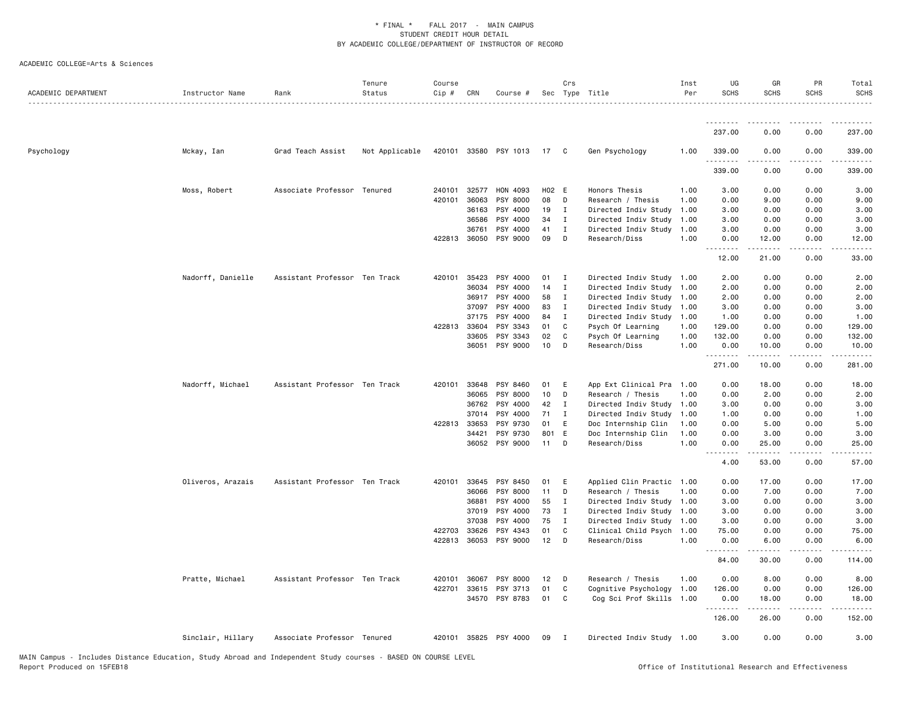| ACADEMIC DEPARTMENT | Instructor Name   | Rank                          | Tenure<br>Status | Course<br>Cip # | CRN          | Course #                   |       | Crs            | Sec Type Title            | Inst<br>Per | UG<br><b>SCHS</b> | GR<br><b>SCHS</b>  | PR<br><b>SCHS</b>                   | Total<br><b>SCHS</b> |
|---------------------|-------------------|-------------------------------|------------------|-----------------|--------------|----------------------------|-------|----------------|---------------------------|-------------|-------------------|--------------------|-------------------------------------|----------------------|
|                     |                   |                               |                  |                 |              |                            |       |                |                           |             | --------          |                    |                                     |                      |
|                     |                   |                               |                  |                 |              |                            |       |                |                           |             | 237.00            | 0.00               | 0.00                                | 237.00               |
| Psychology          | Mckay, Ian        | Grad Teach Assist             | Not Applicable   |                 |              | 420101 33580 PSY 1013 17 C |       |                | Gen Psychology            | 1.00        | 339.00            | 0.00               | 0.00                                | 339.00               |
|                     |                   |                               |                  |                 |              |                            |       |                |                           |             | 339.00            | 0.00               | 0.00                                | 339.00               |
|                     | Moss, Robert      | Associate Professor Tenured   |                  |                 | 240101 32577 | HON 4093                   | H02 E |                | Honors Thesis             | 1.00        | 3.00              | 0.00               | 0.00                                | 3.00                 |
|                     |                   |                               |                  | 420101          | 36063        | PSY 8000                   | 08    | D              | Research / Thesis         | 1.00        | 0.00              | 9.00               | 0.00                                | 9.00                 |
|                     |                   |                               |                  |                 | 36163        | PSY 4000                   | 19    | $\mathbf{I}$   | Directed Indiv Study      | 1.00        | 3.00              | 0.00               | 0.00                                | 3.00                 |
|                     |                   |                               |                  |                 | 36586        | PSY 4000                   | 34    | $\mathbf{I}$   | Directed Indiv Study      | 1.00        | 3.00              | 0.00               | 0.00                                | 3.00                 |
|                     |                   |                               |                  |                 | 36761        | PSY 4000                   | 41    | I              | Directed Indiv Study      | 1.00        | 3.00              | 0.00               | 0.00                                | 3.00                 |
|                     |                   |                               |                  |                 | 422813 36050 | PSY 9000                   | 09    | D              | Research/Diss             | 1.00        | 0.00<br>.         | 12.00              | 0.00<br>$\sim$ $\sim$ $\sim$ $\sim$ | 12.00                |
|                     |                   |                               |                  |                 |              |                            |       |                |                           |             | 12.00             | 21.00              | 0.00                                | 33.00                |
|                     | Nadorff, Danielle | Assistant Professor Ten Track |                  | 420101          | 35423        | PSY 4000                   | 01    | $\mathbf{I}$   | Directed Indiv Study 1.00 |             | 2.00              | 0.00               | 0.00                                | 2.00                 |
|                     |                   |                               |                  |                 | 36034        | PSY 4000                   | 14    | $\mathbf{I}$   | Directed Indiv Study 1.00 |             | 2.00              | 0.00               | 0.00                                | 2.00                 |
|                     |                   |                               |                  |                 | 36917        | PSY 4000                   | 58    | $\mathbf{I}$   | Directed Indiv Study 1.00 |             | 2.00              | 0.00               | 0.00                                | 2.00                 |
|                     |                   |                               |                  |                 | 37097        | PSY 4000                   | 83    | I              | Directed Indiv Study 1.00 |             | 3.00              | 0.00               | 0.00                                | 3.00                 |
|                     |                   |                               |                  |                 | 37175        | PSY 4000                   | 84 I  |                | Directed Indiv Study 1.00 |             | 1.00              | 0.00               | 0.00                                | 1.00                 |
|                     |                   |                               |                  | 422813 33604    |              | PSY 3343                   | 01    | C              | Psych Of Learning         | 1.00        | 129.00            | 0.00               | 0.00                                | 129.00               |
|                     |                   |                               |                  |                 | 33605        | PSY 3343                   | 02    | C              | Psych Of Learning         | 1.00        | 132.00            | 0.00               | 0.00                                | 132.00               |
|                     |                   |                               |                  |                 | 36051        | PSY 9000                   | 10    | D              | Research/Diss             | 1.00        | 0.00<br>.         | 10.00<br>.         | 0.00<br>.                           | 10.00<br>.           |
|                     |                   |                               |                  |                 |              |                            |       |                |                           |             | 271.00            | 10.00              | 0.00                                | 281.00               |
|                     | Nadorff, Michael  | Assistant Professor Ten Track |                  | 420101          | 33648        | PSY 8460                   | 01    | E              | App Ext Clinical Pra 1.00 |             | 0.00              | 18.00              | 0.00                                | 18.00                |
|                     |                   |                               |                  |                 | 36065        | PSY 8000                   | 10    | D              | Research / Thesis         | 1.00        | 0.00              | 2.00               | 0.00                                | 2.00                 |
|                     |                   |                               |                  |                 | 36762        | PSY 4000                   | 42    | $\mathbf{I}$   | Directed Indiv Study      | 1.00        | 3.00              | 0.00               | 0.00                                | 3.00                 |
|                     |                   |                               |                  |                 | 37014        | PSY 4000                   | 71    | I              | Directed Indiv Study      | 1.00        | 1.00              | 0.00               | 0.00                                | 1.00                 |
|                     |                   |                               |                  | 422813 33653    |              | PSY 9730                   | 01    | E              | Doc Internship Clin       | 1.00        | 0.00              | 5.00               | 0.00                                | 5.00                 |
|                     |                   |                               |                  |                 | 34421        | PSY 9730                   | 801 E |                | Doc Internship Clin       | 1.00        | 0.00              | 3.00               | 0.00                                | 3.00                 |
|                     |                   |                               |                  |                 | 36052        | PSY 9000                   | 11    | D              | Research/Diss             | 1.00        | 0.00              | 25.00              | 0.00                                | 25.00                |
|                     |                   |                               |                  |                 |              |                            |       |                |                           |             | 4.00              | 53.00              | 0.00                                | 57.00                |
|                     | Oliveros, Arazais | Assistant Professor Ten Track |                  | 420101          | 33645        | PSY 8450                   | 01    | E              | Applied Clin Practic 1.00 |             | 0.00              | 17.00              | 0.00                                | 17.00                |
|                     |                   |                               |                  |                 | 36066        | PSY 8000                   | 11    | D              | Research / Thesis         | 1.00        | 0.00              | 7.00               | 0.00                                | 7.00                 |
|                     |                   |                               |                  |                 | 36881        | PSY 4000                   | 55    | $\mathbf{I}$   | Directed Indiv Study 1.00 |             | 3.00              | 0.00               | 0.00                                | 3.00                 |
|                     |                   |                               |                  |                 | 37019        | PSY 4000                   | 73    | $\mathbf{I}$   | Directed Indiv Study 1.00 |             | 3.00              | 0.00               | 0.00                                | 3.00                 |
|                     |                   |                               |                  |                 | 37038        | PSY 4000                   | 75    | $\mathbf{I}$   | Directed Indiv Study 1.00 |             | 3.00              | 0.00               | 0.00                                | 3.00                 |
|                     |                   |                               |                  |                 | 422703 33626 | PSY 4343                   | 01    | C              | Clinical Child Psych 1.00 |             | 75.00             | 0.00               | 0.00                                | 75.00                |
|                     |                   |                               |                  |                 | 422813 36053 | PSY 9000                   | 12    | D              | Research/Diss             | 1.00        | 0.00<br>.         | 6.00<br>. <u>.</u> | 0.00<br>.                           | 6.00                 |
|                     |                   |                               |                  |                 |              |                            |       |                |                           |             | 84.00             | 30.00              | 0.00                                | 114.00               |
|                     | Pratte, Michael   | Assistant Professor Ten Track |                  | 420101          | 36067        | PSY 8000                   | 12    | D D            | Research / Thesis         | 1.00        | 0.00              | 8.00               | 0.00                                | 8.00                 |
|                     |                   |                               |                  | 422701          | 33615        | PSY 3713                   | 01    | C              | Cognitive Psychology 1.00 |             | 126.00            | 0.00               | 0.00                                | 126.00               |
|                     |                   |                               |                  |                 | 34570        | PSY 8783                   | 01    | C              | Cog Sci Prof Skills 1.00  |             | 0.00<br>.         | 18.00              | 0.00                                | 18.00                |
|                     |                   |                               |                  |                 |              |                            |       |                |                           |             | 126.00            | 26.00              | 0.00                                | 152.00               |
|                     | Sinclair, Hillary | Associate Professor Tenured   |                  |                 |              | 420101 35825 PSY 4000      | 09    | $\blacksquare$ | Directed Indiv Study 1.00 |             | 3.00              | 0.00               | 0.00                                | 3.00                 |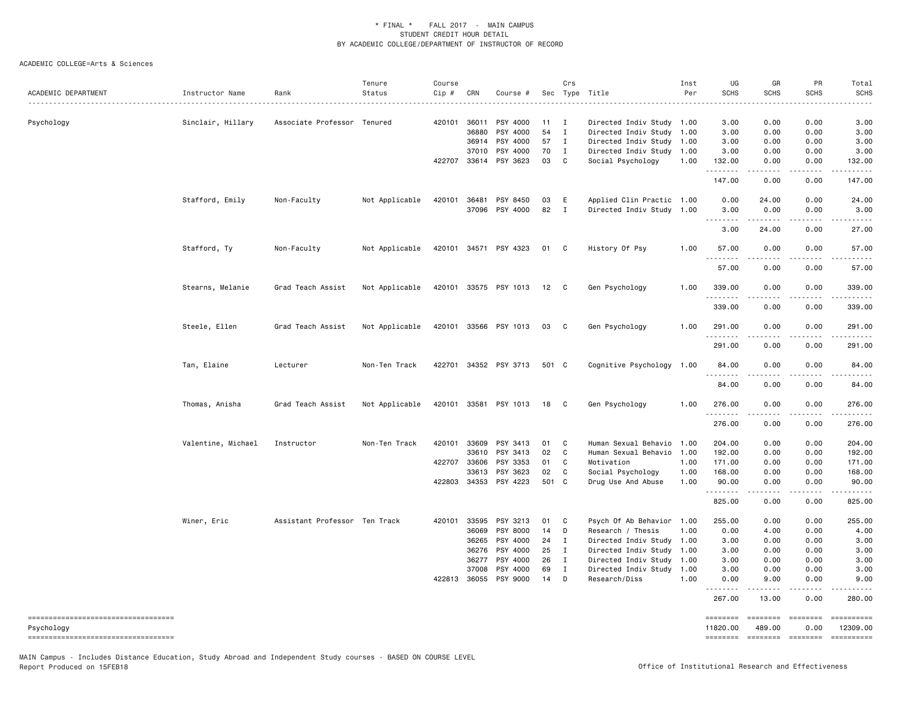| ACADEMIC DEPARTMENT                                  | Instructor Name    | Rank                          | Tenure<br>Status | Course<br>Cip # | CRN                              | Course #                                                              |                            | Crs                             | Sec Type Title<br>.                                                                                                    | Inst<br>Per                  | UG<br><b>SCHS</b>                      | GR<br><b>SCHS</b>                                                                                                                                             | PR<br><b>SCHS</b>                                                                                                                 | Total<br><b>SCHS</b><br>$\frac{1}{2} \left( \frac{1}{2} \right) \left( \frac{1}{2} \right) \left( \frac{1}{2} \right) \left( \frac{1}{2} \right)$              |
|------------------------------------------------------|--------------------|-------------------------------|------------------|-----------------|----------------------------------|-----------------------------------------------------------------------|----------------------------|---------------------------------|------------------------------------------------------------------------------------------------------------------------|------------------------------|----------------------------------------|---------------------------------------------------------------------------------------------------------------------------------------------------------------|-----------------------------------------------------------------------------------------------------------------------------------|----------------------------------------------------------------------------------------------------------------------------------------------------------------|
| Psychology                                           | Sinclair, Hillary  | Associate Professor Tenured   |                  | 420101          | 36011<br>36880<br>36914<br>37010 | PSY 4000<br>PSY 4000<br>PSY 4000<br>PSY 4000<br>422707 33614 PSY 3623 | 11<br>54<br>57<br>70<br>03 | I<br>$\mathbf I$<br>I<br>I<br>C | Directed Indiv Study 1.00<br>Directed Indiv Study<br>Directed Indiv Study<br>Directed Indiv Study<br>Social Psychology | 1.00<br>1.00<br>1.00<br>1.00 | 3.00<br>3.00<br>3.00<br>3.00<br>132.00 | 0.00<br>0.00<br>0.00<br>0.00<br>0.00                                                                                                                          | 0.00<br>0.00<br>0.00<br>0.00<br>0.00                                                                                              | 3.00<br>3.00<br>3.00<br>3.00<br>132.00                                                                                                                         |
|                                                      |                    |                               |                  |                 |                                  |                                                                       |                            |                                 |                                                                                                                        |                              | .<br>147.00                            | 22222<br>0.00                                                                                                                                                 | د د د د<br>0.00                                                                                                                   | $\omega$ is a set of<br>147.00                                                                                                                                 |
|                                                      | Stafford, Emily    | Non-Faculty                   | Not Applicable   | 420101          | 36481<br>37096                   | PSY 8450<br>PSY 4000                                                  | 03<br>82                   | E<br>$\mathbf I$                | Applied Clin Practic 1.00<br>Directed Indiv Study 1.00                                                                 |                              | 0.00<br>3.00                           | 24.00<br>0.00                                                                                                                                                 | 0.00<br>0.00                                                                                                                      | 24.00<br>3.00                                                                                                                                                  |
|                                                      |                    |                               |                  |                 |                                  |                                                                       |                            |                                 |                                                                                                                        |                              | .<br>3.00                              | د د د د د<br>24.00                                                                                                                                            | د د د د<br>0.00                                                                                                                   | $\sim$ $\sim$ $\sim$<br>27.00                                                                                                                                  |
|                                                      | Stafford, Ty       | Non-Faculty                   | Not Applicable   |                 |                                  | 420101 34571 PSY 4323                                                 | 01                         | C                               | History Of Psy                                                                                                         | 1.00                         | 57.00<br>.                             | 0.00<br>.                                                                                                                                                     | 0.00<br>$\frac{1}{2}$                                                                                                             | 57.00<br>.                                                                                                                                                     |
|                                                      |                    |                               |                  |                 |                                  |                                                                       |                            |                                 |                                                                                                                        |                              | 57.00                                  | 0.00                                                                                                                                                          | 0.00                                                                                                                              | 57.00                                                                                                                                                          |
|                                                      | Stearns, Melanie   | Grad Teach Assist             | Not Applicable   |                 |                                  | 420101 33575 PSY 1013                                                 | 12                         | - C                             | Gen Psychology                                                                                                         | 1.00                         | 339.00<br>.                            | 0.00                                                                                                                                                          | 0.00                                                                                                                              | 339.00                                                                                                                                                         |
|                                                      | Steele, Ellen      | Grad Teach Assist             | Not Applicable   |                 |                                  | 420101 33566 PSY 1013                                                 | 03                         | C.                              | Gen Psychology                                                                                                         | 1.00                         | 339.00<br>291.00                       | 0.00<br>0.00                                                                                                                                                  | 0.00<br>0.00                                                                                                                      | 339.00<br>291.00                                                                                                                                               |
|                                                      |                    |                               |                  |                 |                                  |                                                                       |                            |                                 |                                                                                                                        |                              | .<br>291.00                            | 0.00                                                                                                                                                          | 0.00                                                                                                                              | $\frac{1}{2} \left( \frac{1}{2} \right) \left( \frac{1}{2} \right) \left( \frac{1}{2} \right) \left( \frac{1}{2} \right) \left( \frac{1}{2} \right)$<br>291.00 |
|                                                      | Tan, Elaine        | Lecturer                      | Non-Ten Track    |                 |                                  | 422701 34352 PSY 3713                                                 | 501 C                      |                                 | Cognitive Psychology 1.00                                                                                              |                              | 84.00                                  | 0.00                                                                                                                                                          | 0.00                                                                                                                              | 84.00                                                                                                                                                          |
|                                                      |                    |                               |                  |                 |                                  |                                                                       |                            |                                 |                                                                                                                        |                              | <u>.</u><br>84.00                      | 0.00                                                                                                                                                          | $   -$<br>0.00                                                                                                                    | .<br>84.00                                                                                                                                                     |
|                                                      | Thomas, Anisha     | Grad Teach Assist             | Not Applicable   |                 |                                  | 420101 33581 PSY 1013                                                 | 18                         | - C                             | Gen Psychology                                                                                                         | 1.00                         | 276.00                                 | 0.00                                                                                                                                                          | 0.00<br>$\frac{1}{2} \left( \frac{1}{2} \right) \left( \frac{1}{2} \right) \left( \frac{1}{2} \right) \left( \frac{1}{2} \right)$ | 276.00                                                                                                                                                         |
|                                                      |                    |                               |                  |                 |                                  |                                                                       |                            |                                 |                                                                                                                        |                              | 276.00                                 | 0.00                                                                                                                                                          | 0.00                                                                                                                              | 276.00                                                                                                                                                         |
|                                                      | Valentine, Michael | Instructor                    | Non-Ten Track    | 420101          | 33609                            | PSY 3413                                                              | 01                         | C                               | Human Sexual Behavio                                                                                                   | 1.00                         | 204.00                                 | 0.00                                                                                                                                                          | 0.00                                                                                                                              | 204.00                                                                                                                                                         |
|                                                      |                    |                               |                  |                 | 33610<br>422707 33606            | PSY 3413<br>PSY 3353                                                  | 02<br>01                   | C<br>C                          | Human Sexual Behavio<br>Motivation                                                                                     | 1.00                         | 192.00<br>171.00                       | 0.00                                                                                                                                                          | 0.00<br>0.00                                                                                                                      | 192.00<br>171.00                                                                                                                                               |
|                                                      |                    |                               |                  |                 | 33613                            | PSY 3623                                                              | 02                         | C                               | Social Psychology                                                                                                      | 1.00<br>1.00                 | 168.00                                 | 0.00<br>0.00                                                                                                                                                  | 0.00                                                                                                                              | 168.00                                                                                                                                                         |
|                                                      |                    |                               |                  | 422803          | 34353                            | PSY 4223                                                              | 501 C                      |                                 | Drug Use And Abuse                                                                                                     | 1.00                         | 90.00                                  | 0.00                                                                                                                                                          | 0.00                                                                                                                              | 90.00                                                                                                                                                          |
|                                                      |                    |                               |                  |                 |                                  |                                                                       |                            |                                 |                                                                                                                        |                              | .<br>825.00                            | .<br>0.00                                                                                                                                                     | .<br>0.00                                                                                                                         | $- - - - -$<br>825.00                                                                                                                                          |
|                                                      | Winer, Eric        | Assistant Professor Ten Track |                  | 420101          | 33595                            | PSY 3213                                                              | 01                         | C                               | Psych Of Ab Behavior                                                                                                   | 1.00                         | 255.00                                 | 0.00                                                                                                                                                          | 0.00                                                                                                                              | 255.00                                                                                                                                                         |
|                                                      |                    |                               |                  |                 | 36069                            | PSY 8000                                                              | 14                         | D                               | Research / Thesis                                                                                                      | 1.00                         | 0.00                                   | 4.00                                                                                                                                                          | 0.00                                                                                                                              | 4.00                                                                                                                                                           |
|                                                      |                    |                               |                  |                 | 36265<br>36276                   | PSY 4000                                                              | 24<br>25                   | Ι.<br>$\mathbf{I}$              | Directed Indiv Study 1.00                                                                                              | 1.00                         | 3.00                                   | 0.00<br>0.00                                                                                                                                                  | 0.00<br>0.00                                                                                                                      | 3.00                                                                                                                                                           |
|                                                      |                    |                               |                  |                 | 36277                            | PSY 4000<br>PSY 4000                                                  | 26                         | $\mathbf I$                     | Directed Indiv Study<br>Directed Indiv Study 1.00                                                                      |                              | 3.00<br>3.00                           | 0.00                                                                                                                                                          | 0.00                                                                                                                              | 3.00<br>3.00                                                                                                                                                   |
|                                                      |                    |                               |                  |                 | 37008                            | PSY 4000                                                              | 69                         | Ι                               | Directed Indiv Study                                                                                                   | 1.00                         | 3.00                                   | 0.00                                                                                                                                                          | 0.00                                                                                                                              | 3.00                                                                                                                                                           |
|                                                      |                    |                               |                  |                 | 422813 36055                     | PSY 9000                                                              | 14                         | D                               | Research/Diss                                                                                                          | 1.00                         | 0.00                                   | 9.00                                                                                                                                                          | 0.00                                                                                                                              | 9.00                                                                                                                                                           |
|                                                      |                    |                               |                  |                 |                                  |                                                                       |                            |                                 |                                                                                                                        |                              | .<br>267.00                            | $\frac{1}{2} \left( \frac{1}{2} \right) \left( \frac{1}{2} \right) \left( \frac{1}{2} \right) \left( \frac{1}{2} \right) \left( \frac{1}{2} \right)$<br>13.00 | $\sim$ $\sim$ $\sim$ $\sim$<br>0.00                                                                                               | $\sim$ $\sim$ $\sim$<br>280.00                                                                                                                                 |
| ======================================<br>Psychology |                    |                               |                  |                 |                                  |                                                                       |                            |                                 |                                                                                                                        |                              | ========<br>11820.00                   | <b>SEESSEES</b><br>489.00                                                                                                                                     | ========<br>0.00                                                                                                                  | 12309.00                                                                                                                                                       |
| ----------------------------------                   |                    |                               |                  |                 |                                  |                                                                       |                            |                                 |                                                                                                                        |                              | ========                               | $= 10000000000$                                                                                                                                               | $= 222222222$                                                                                                                     |                                                                                                                                                                |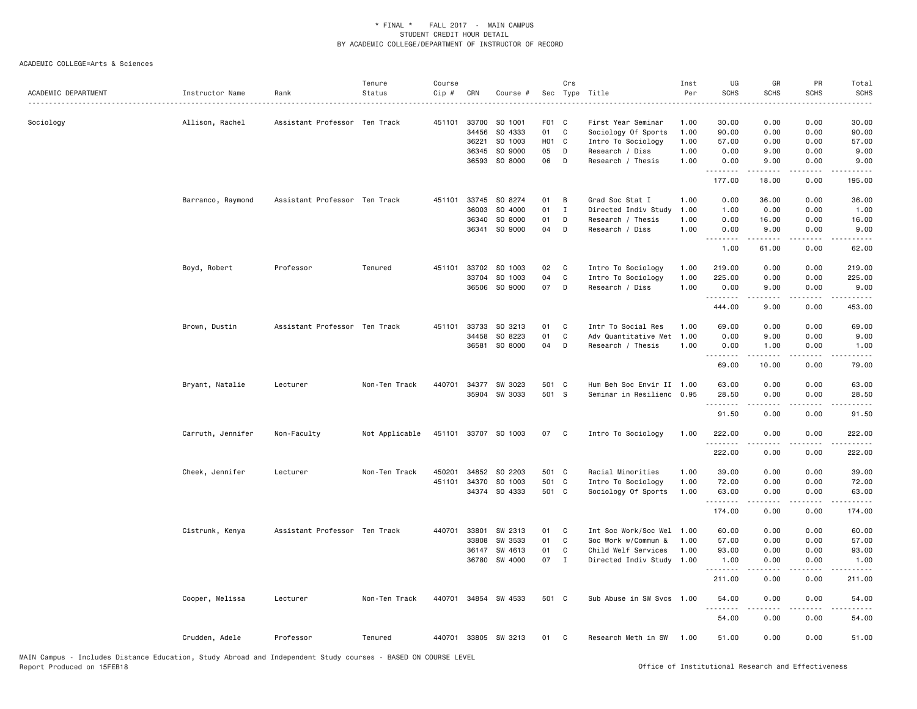| ACADEMIC DEPARTMENT | Instructor Name   | Rank                          | Tenure<br>Status | Course<br>Cip # | CRN          | Course #             |       | Crs          | Sec Type Title            | Inst<br>Per | UG<br><b>SCHS</b>   | GR<br><b>SCHS</b> | PR<br><b>SCHS</b>                   | Total<br><b>SCHS</b><br>$\cdots$ |
|---------------------|-------------------|-------------------------------|------------------|-----------------|--------------|----------------------|-------|--------------|---------------------------|-------------|---------------------|-------------------|-------------------------------------|----------------------------------|
| Sociology           | Allison, Rachel   | Assistant Professor Ten Track |                  |                 | 451101 33700 | SO 1001              | F01 C |              | First Year Seminar        | 1.00        | 30.00               | 0.00              | 0.00                                | 30.00                            |
|                     |                   |                               |                  |                 | 34456        | SO 4333              | 01    | C            | Sociology Of Sports       | 1.00        | 90.00               | 0.00              | 0.00                                | 90.00                            |
|                     |                   |                               |                  |                 | 36221        | SO 1003              | H01 C |              | Intro To Sociology        | 1.00        | 57.00               | 0.00              | 0.00                                | 57.00                            |
|                     |                   |                               |                  |                 | 36345        | SO 9000              | 05    | D            | Research / Diss           | 1.00        | 0.00                | 9.00              | 0.00                                | 9.00                             |
|                     |                   |                               |                  |                 | 36593        | SO 8000              | 06    | D            | Research / Thesis         | 1.00        | 0.00<br>.           | 9.00              | 0.00                                | 9.00                             |
|                     |                   |                               |                  |                 |              |                      |       |              |                           |             | 177.00              | 18.00             | 0.00                                | 195.00                           |
|                     | Barranco, Raymond | Assistant Professor Ten Track |                  | 451101          | 33745        | SO 8274              | 01    | В            | Grad Soc Stat I           | 1.00        | 0.00                | 36.00             | 0.00                                | 36.00                            |
|                     |                   |                               |                  |                 | 36003        | SO 4000              | 01    | $\mathbf{I}$ | Directed Indiv Study      | 1.00        | 1.00                | 0.00              | 0.00                                | 1.00                             |
|                     |                   |                               |                  |                 | 36340        | SO 8000              | 01    | D            | Research / Thesis         | 1.00        | 0.00                | 16.00             | 0.00                                | 16.00                            |
|                     |                   |                               |                  |                 | 36341        | SO 9000              | 04    | D            | Research / Diss           | 1.00        | 0.00<br>.           | 9.00              | 0.00                                | 9.00                             |
|                     |                   |                               |                  |                 |              |                      |       |              |                           |             | 1.00                | 61.00             | 0.00                                | 62.00                            |
|                     | Boyd, Robert      | Professor                     | Tenured          | 451101          | 33702        | SO 1003              | 02    | C            | Intro To Sociology        | 1.00        | 219.00              | 0.00              | 0.00                                | 219.00                           |
|                     |                   |                               |                  |                 | 33704        | SO 1003              | 04    | $\mathbf c$  | Intro To Sociology        | 1.00        | 225.00              | 0.00              | 0.00                                | 225.00                           |
|                     |                   |                               |                  |                 | 36506        | SO 9000              | 07    | D            | Research / Diss           | 1.00        | 0.00<br>.           | 9.00<br>-----     | 0.00<br>.                           | 9.00<br>-----                    |
|                     |                   |                               |                  |                 |              |                      |       |              |                           |             | 444.00              | 9.00              | 0.00                                | 453.00                           |
|                     | Brown, Dustin     | Assistant Professor Ten Track |                  | 451101          | 33733        | SO 3213              | 01    | C            | Intr To Social Res        | 1.00        | 69.00               | 0.00              | 0.00                                | 69.00                            |
|                     |                   |                               |                  |                 | 34458        | SO 8223              | 01    | C            | Adv Quantitative Met      | 1.00        | 0.00                | 9.00              | 0.00                                | 9.00                             |
|                     |                   |                               |                  |                 | 36581        | SO 8000              | 04    | D            | Research / Thesis         | 1.00        | 0.00                | 1.00              | 0.00                                | 1.00                             |
|                     |                   |                               |                  |                 |              |                      |       |              |                           |             | . <b>.</b><br>69.00 | .<br>10.00        | . <b>.</b> .<br>0.00                | .<br>79.00                       |
|                     |                   |                               |                  |                 |              |                      |       |              |                           |             |                     |                   |                                     |                                  |
|                     | Bryant, Natalie   | Lecturer                      | Non-Ten Track    | 440701          | 34377        | SW 3023              | 501 C |              | Hum Beh Soc Envir II 1.00 |             | 63.00               | 0.00              | 0.00                                | 63.00                            |
|                     |                   |                               |                  |                 |              | 35904 SW 3033        | 501 S |              | Seminar in Resilienc 0.95 |             | 28.50<br>.          | 0.00<br>.         | 0.00<br>.                           | 28.50<br>$\cdots$                |
|                     |                   |                               |                  |                 |              |                      |       |              |                           |             | 91.50               | 0.00              | 0.00                                | 91.50                            |
|                     | Carruth, Jennifer | Non-Faculty                   | Not Applicable   |                 |              | 451101 33707 SO 1003 | 07    | C            | Intro To Sociology        | 1.00        | 222.00<br>.         | 0.00              | 0.00<br>د د د د                     | 222.00<br>.                      |
|                     |                   |                               |                  |                 |              |                      |       |              |                           |             | 222.00              | 0.00              | 0.00                                | 222.00                           |
|                     | Cheek, Jennifer   | Lecturer                      | Non-Ten Track    | 450201          |              | 34852 SO 2203        | 501 C |              | Racial Minorities         | 1.00        | 39.00               | 0.00              | 0.00                                | 39.00                            |
|                     |                   |                               |                  | 451101          | 34370        | SO 1003              | 501 C |              | Intro To Sociology        | 1.00        | 72.00               | 0.00              | 0.00                                | 72.00                            |
|                     |                   |                               |                  |                 |              | 34374 SO 4333        | 501 C |              | Sociology Of Sports       | 1.00        | 63.00<br>.          | 0.00<br>.         | 0.00<br>.                           | 63.00<br>.                       |
|                     |                   |                               |                  |                 |              |                      |       |              |                           |             | 174.00              | 0.00              | 0.00                                | 174.00                           |
|                     | Cistrunk, Kenya   | Assistant Professor Ten Track |                  | 440701          | 33801        | SW 2313              | 01    | C            | Int Soc Work/Soc Wel      | 1.00        | 60.00               | 0.00              | 0.00                                | 60.00                            |
|                     |                   |                               |                  |                 | 33808        | SW 3533              | 01    | C            | Soc Work w/Commun &       | 1.00        | 57.00               | 0.00              | 0.00                                | 57.00                            |
|                     |                   |                               |                  |                 | 36147        | SW 4613              | 01    | C            | Child Welf Services       | 1.00        | 93.00               | 0.00              | 0.00                                | 93.00                            |
|                     |                   |                               |                  |                 |              | 36780 SW 4000        | 07    | $\mathbf{I}$ | Directed Indiv Study 1.00 |             | 1.00<br>.           | 0.00<br>.         | 0.00<br>$\sim$ $\sim$ $\sim$ $\sim$ | 1.00<br>.                        |
|                     |                   |                               |                  |                 |              |                      |       |              |                           |             | 211.00              | 0.00              | 0.00                                | 211.00                           |
|                     | Cooper, Melissa   | Lecturer                      | Non-Ten Track    |                 |              | 440701 34854 SW 4533 | 501 C |              | Sub Abuse in SW Svcs      | 1.00        | 54.00<br>.          | 0.00              | 0.00                                | 54.00                            |
|                     |                   |                               |                  |                 |              |                      |       |              |                           |             | 54.00               | 0.00              | 0.00                                | 54.00                            |
|                     | Crudden, Adele    | Professor                     | Tenured          |                 |              | 440701 33805 SW 3213 | 01    | C            | Research Meth in SW       | 1.00        | 51.00               | 0.00              | 0.00                                | 51.00                            |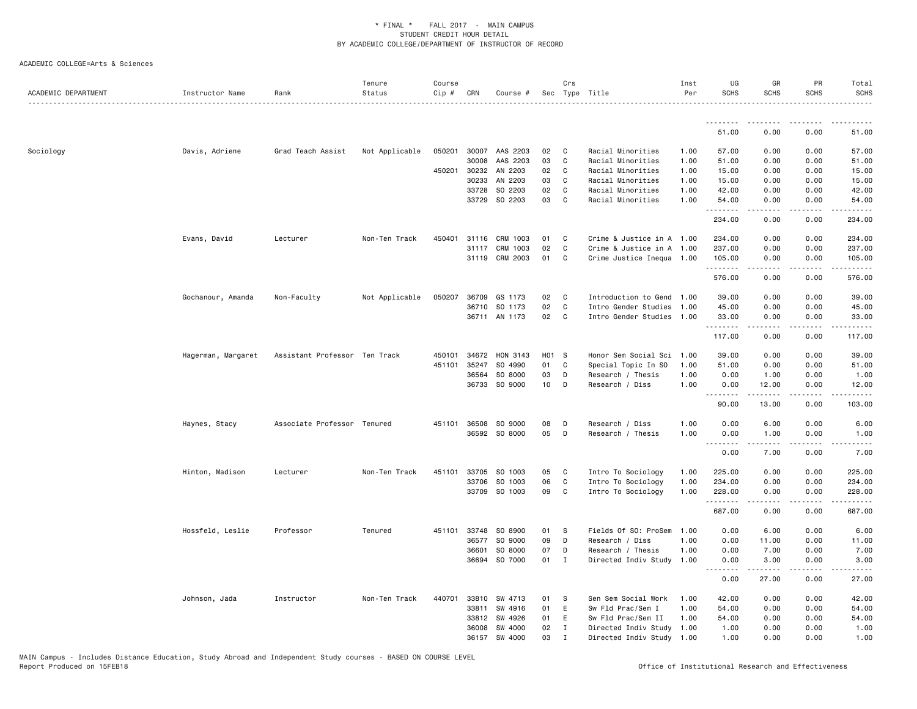| ACADEMIC DEPARTMENT | Instructor Name    | Rank                          | Tenure<br>Status | Course<br>Cip # | CRN          | Course #       |       | Crs          | Sec Type Title            | Inst<br>Per | UG<br><b>SCHS</b>                   | GR<br><b>SCHS</b> | PR<br><b>SCHS</b> | Total<br><b>SCHS</b> |
|---------------------|--------------------|-------------------------------|------------------|-----------------|--------------|----------------|-------|--------------|---------------------------|-------------|-------------------------------------|-------------------|-------------------|----------------------|
|                     |                    |                               |                  |                 |              |                |       |              |                           |             |                                     |                   |                   |                      |
|                     |                    |                               |                  |                 |              |                |       |              |                           |             | 51.00                               | 0.00              | 0.00              | 51.00                |
| Sociology           | Davis, Adriene     | Grad Teach Assist             | Not Applicable   | 050201          |              | 30007 AAS 2203 | 02    | C            | Racial Minorities         | 1.00        | 57.00                               | 0.00              | 0.00              | 57.00                |
|                     |                    |                               |                  |                 | 30008        | AAS 2203       | 03    | C            | Racial Minorities         | 1.00        | 51.00                               | 0.00              | 0.00              | 51.00                |
|                     |                    |                               |                  |                 | 450201 30232 | AN 2203        | 02    | $\mathbf{C}$ | Racial Minorities         | 1.00        | 15.00                               | 0.00              | 0.00              | 15.00                |
|                     |                    |                               |                  |                 | 30233        | AN 2203        | 03    | C            | Racial Minorities         | 1.00        | 15.00                               | 0.00              | 0.00              | 15.00                |
|                     |                    |                               |                  |                 | 33728        | SO 2203        | 02    | C            | Racial Minorities         | 1.00        | 42.00                               | 0.00              | 0.00              | 42.00                |
|                     |                    |                               |                  |                 | 33729        | SO 2203        | 03    | $\mathbf{C}$ | Racial Minorities         | 1.00        | 54.00<br>. <b>.</b>                 | 0.00<br>.         | 0.00<br>.         | 54.00<br>.           |
|                     |                    |                               |                  |                 |              |                |       |              |                           |             | 234.00                              | 0.00              | 0.00              | 234.00               |
|                     | Evans, David       | Lecturer                      | Non-Ten Track    | 450401          | 31116        | CRM 1003       | 01    | C            | Crime & Justice in A 1.00 |             | 234.00                              | 0.00              | 0.00              | 234.00               |
|                     |                    |                               |                  |                 | 31117        | CRM 1003       | 02    | C            | Crime & Justice in A 1.00 |             | 237.00                              | 0.00              | 0.00              | 237.00               |
|                     |                    |                               |                  |                 |              | 31119 CRM 2003 | 01    | C            | Crime Justice Inequa 1.00 |             | 105.00<br>.                         | 0.00<br>.         | 0.00              | 105.00<br>.          |
|                     |                    |                               |                  |                 |              |                |       |              |                           |             | 576.00                              | 0.00              | 0.00              | 576.00               |
|                     | Gochanour, Amanda  | Non-Faculty                   | Not Applicable   | 050207          | 36709        | GS 1173        | 02    | <b>C</b>     | Introduction to Gend      | 1.00        | 39.00                               | 0.00              | 0.00              | 39.00                |
|                     |                    |                               |                  |                 | 36710        | SO 1173        | 02    | $\mathbf{C}$ | Intro Gender Studies      | 1.00        | 45.00                               | 0.00              | 0.00              | 45.00                |
|                     |                    |                               |                  |                 |              | 36711 AN 1173  | 02    | $\mathbf{C}$ | Intro Gender Studies 1.00 |             | 33.00                               | 0.00              | 0.00              | 33.00                |
|                     |                    |                               |                  |                 |              |                |       |              |                           |             | .<br>117.00                         | 0.00              | 0.00              | 117.00               |
|                     | Hagerman, Margaret | Assistant Professor Ten Track |                  |                 | 450101 34672 | HON 3143       | H01 S |              | Honor Sem Social Sci 1.00 |             | 39.00                               | 0.00              | 0.00              | 39.00                |
|                     |                    |                               |                  | 451101          | 35247        | SO 4990        | 01    | C            | Special Topic In SO       | 1.00        | 51.00                               | 0.00              | 0.00              | 51.00                |
|                     |                    |                               |                  |                 | 36564        | SO 8000        | 03    | D            | Research / Thesis         | 1.00        | 0.00                                | 1.00              | 0.00              | 1.00                 |
|                     |                    |                               |                  |                 | 36733        | SO 9000        | 10    | D            | Research / Diss           | 1.00        | 0.00<br>.                           | 12.00             | 0.00              | 12.00                |
|                     |                    |                               |                  |                 |              |                |       |              |                           |             | 90.00                               | 13.00             | 0.00              | 103.00               |
|                     | Haynes, Stacy      | Associate Professor Tenured   |                  | 451101          | 36508        | SO 9000        | 08    | D            | Research / Diss           | 1.00        | 0.00                                | 6.00              | 0.00              | 6.00                 |
|                     |                    |                               |                  |                 |              | 36592 SO 8000  | 05    | D            | Research / Thesis         | 1.00        | 0.00                                | 1.00              | 0.00              | 1.00                 |
|                     |                    |                               |                  |                 |              |                |       |              |                           |             | .<br>0.00                           | .<br>7.00         | .<br>0.00         | $- - - - -$<br>7.00  |
|                     | Hinton, Madison    | Lecturer                      | Non-Ten Track    | 451101          | 33705        | SO 1003        | 05    | C            | Intro To Sociology        | 1.00        | 225.00                              | 0.00              | 0.00              | 225.00               |
|                     |                    |                               |                  |                 | 33706        | SO 1003        | 06    | $\mathbf{C}$ | Intro To Sociology        | 1.00        | 234.00                              | 0.00              | 0.00              | 234.00               |
|                     |                    |                               |                  |                 |              | 33709 SO 1003  | 09    | C            | Intro To Sociology        | 1.00        | 228.00<br>.                         | 0.00              | 0.00              | 228.00               |
|                     |                    |                               |                  |                 |              |                |       |              |                           |             | 687.00                              | 0.00              | 0.00              | 687.00               |
|                     | Hossfeld, Leslie   | Professor                     | Tenured          | 451101          | 33748        | SO 8900        | 01    | <b>S</b>     | Fields Of SO: ProSem      | 1.00        | 0.00                                | 6.00              | 0.00              | 6.00                 |
|                     |                    |                               |                  |                 | 36577        | SO 9000        | 09    | D            | Research / Diss           | 1.00        | 0.00                                | 11.00             | 0.00              | 11.00                |
|                     |                    |                               |                  |                 | 36601        | SO 8000        | 07    | D            | Research / Thesis         | 1.00        | 0.00                                | 7.00              | 0.00              | 7.00                 |
|                     |                    |                               |                  |                 | 36694        | SO 7000        | 01    | $\mathbf{I}$ | Directed Indiv Study      | 1.00        | 0.00<br>$\sim$ $\sim$ $\sim$ $\sim$ | 3.00              | 0.00              | 3.00                 |
|                     |                    |                               |                  |                 |              |                |       |              |                           |             | 0.00                                | 27.00             | 0.00              | 27.00                |
|                     | Johnson, Jada      | Instructor                    | Non-Ten Track    | 440701          | 33810        | SW 4713        | 01    | <b>S</b>     | Sen Sem Social Work       | 1.00        | 42.00                               | 0.00              | 0.00              | 42.00                |
|                     |                    |                               |                  |                 | 33811        | SW 4916        | 01    | E            | Sw Fld Prac/Sem I         | 1.00        | 54.00                               | 0.00              | 0.00              | 54.00                |
|                     |                    |                               |                  |                 | 33812        | SW 4926        | 01    | E.           | Sw Fld Prac/Sem II        | 1.00        | 54.00                               | 0.00              | 0.00              | 54.00                |
|                     |                    |                               |                  |                 | 36008        | SW 4000        | 02    | $\mathbf{I}$ | Directed Indiv Study 1.00 |             | 1.00                                | 0.00              | 0.00              | 1.00                 |
|                     |                    |                               |                  |                 |              | 36157 SW 4000  | 03    | $\mathbf{I}$ | Directed Indiv Study 1.00 |             | 1.00                                | 0.00              | 0.00              | 1.00                 |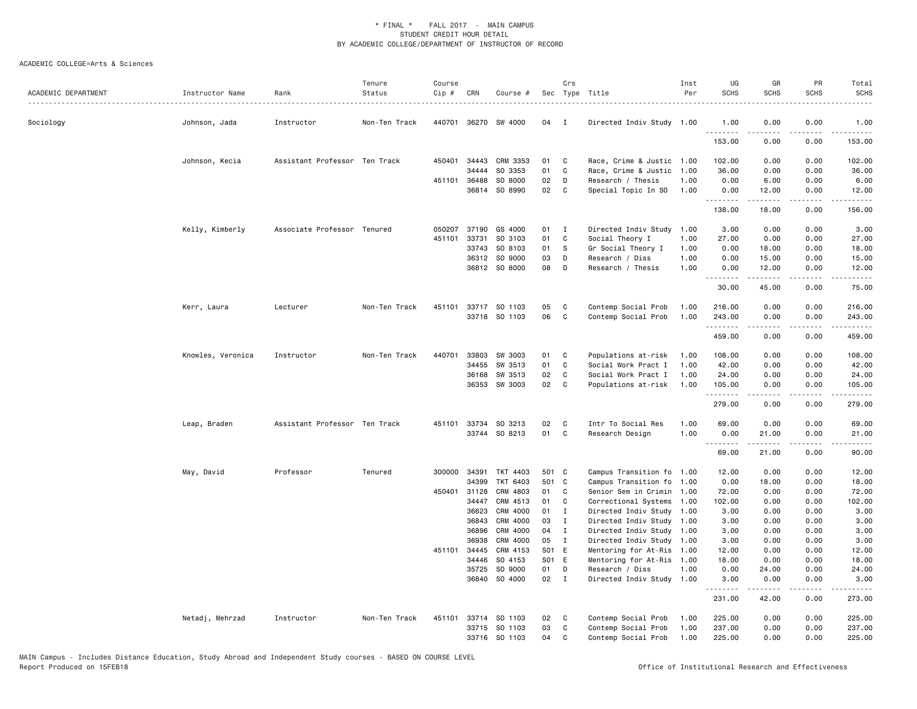| ACADEMIC DEPARTMENT | Instructor Name   | Rank                          | Tenure<br>Status | Course<br>Cip # | CRN          | Course #                 |          | Crs               | Sec Type Title                               | Inst<br>Per | UG<br><b>SCHS</b> | GR<br><b>SCHS</b>                                                                                                                                            | PR<br><b>SCHS</b> | Total<br><b>SCHS</b>                                                                                                                                           |
|---------------------|-------------------|-------------------------------|------------------|-----------------|--------------|--------------------------|----------|-------------------|----------------------------------------------|-------------|-------------------|--------------------------------------------------------------------------------------------------------------------------------------------------------------|-------------------|----------------------------------------------------------------------------------------------------------------------------------------------------------------|
| Sociology           | Johnson, Jada     | Instructor                    | Non-Ten Track    | 440701          | 36270        | SW 4000                  | 04       | I                 | Directed Indiv Study 1.00                    |             | 1.00<br>.         | 0.00                                                                                                                                                         | 0.00              | 1.00                                                                                                                                                           |
|                     |                   |                               |                  |                 |              |                          |          |                   |                                              |             | 153.00            | 0.00                                                                                                                                                         | 0.00              | 153.00                                                                                                                                                         |
|                     | Johnson, Kecia    | Assistant Professor Ten Track |                  | 450401          | 34443        | CRM 3353                 | 01       | C                 | Race, Crime & Justic 1.00                    |             | 102.00            | 0.00                                                                                                                                                         | 0.00              | 102.00                                                                                                                                                         |
|                     |                   |                               |                  |                 | 34444        | SO 3353                  | 01       | C                 | Race, Crime & Justic                         | 1.00        | 36.00             | 0.00                                                                                                                                                         | 0.00              | 36.00                                                                                                                                                          |
|                     |                   |                               |                  | 451101          | 36488        | SO 8000                  | 02       | D                 | Research / Thesis                            | 1.00        | 0.00              | 6.00                                                                                                                                                         | 0.00              | 6.00                                                                                                                                                           |
|                     |                   |                               |                  |                 |              | 36814 SO 8990            | 02       | $\mathbf{C}$      | Special Topic In SO                          | 1.00        | 0.00<br>.         | 12.00<br>-----                                                                                                                                               | 0.00<br>.         | 12.00<br>.                                                                                                                                                     |
|                     |                   |                               |                  |                 |              |                          |          |                   |                                              |             | 138.00            | 18.00                                                                                                                                                        | 0.00              | 156.00                                                                                                                                                         |
|                     | Kelly, Kimberly   | Associate Professor Tenured   |                  | 050207          | 37190        | GS 4000                  | 01       | I                 | Directed Indiv Study                         | 1.00        | 3.00              | 0.00                                                                                                                                                         | 0.00              | 3.00                                                                                                                                                           |
|                     |                   |                               |                  | 451101          | 33731        | SO 3103                  | 01       | C                 | Social Theory I                              | 1.00        | 27.00             | 0.00                                                                                                                                                         | 0.00              | 27.00                                                                                                                                                          |
|                     |                   |                               |                  |                 | 33743        | SO 8103                  | 01       | s                 | Gr Social Theory I                           | 1.00        | 0.00              | 18.00                                                                                                                                                        | 0.00              | 18.00                                                                                                                                                          |
|                     |                   |                               |                  |                 | 36312        | SO 9000                  | 03       | D                 | Research / Diss                              | 1.00        | 0.00              | 15.00                                                                                                                                                        | 0.00              | 15.00                                                                                                                                                          |
|                     |                   |                               |                  |                 |              | 36812 SO 8000            | 08       | D                 | Research / Thesis                            | 1.00        | 0.00<br>.         | 12.00<br>.                                                                                                                                                   | 0.00<br>.         | 12.00<br>.                                                                                                                                                     |
|                     |                   |                               |                  |                 |              |                          |          |                   |                                              |             | 30.00             | 45.00                                                                                                                                                        | 0.00              | 75.00                                                                                                                                                          |
|                     | Kerr, Laura       | Lecturer                      | Non-Ten Track    | 451101          |              | 33717 SO 1103            | 05       | C                 | Contemp Social Prob                          | 1.00        | 216.00            | 0.00                                                                                                                                                         | 0.00              | 216.00                                                                                                                                                         |
|                     |                   |                               |                  |                 |              | 33718 SO 1103            | 06       | $\mathbf{C}$      | Contemp Social Prob                          | 1.00        | 243.00            | 0.00                                                                                                                                                         | 0.00              | 243.00                                                                                                                                                         |
|                     |                   |                               |                  |                 |              |                          |          |                   |                                              |             | .<br>459.00       | <b>.</b><br>0.00                                                                                                                                             | .<br>0.00         | .<br>459.00                                                                                                                                                    |
|                     | Knowles, Veronica | Instructor                    | Non-Ten Track    | 440701          | 33803        | SW 3003                  | 01       | C                 | Populations at-risk                          | 1.00        | 108.00            | 0.00                                                                                                                                                         | 0.00              | 108.00                                                                                                                                                         |
|                     |                   |                               |                  |                 | 34455        | SW 3513                  | 01       | C                 | Social Work Pract I                          | 1.00        | 42.00             | 0.00                                                                                                                                                         | 0.00              | 42.00                                                                                                                                                          |
|                     |                   |                               |                  |                 | 36168        | SW 3513                  | 02       | C                 | Social Work Pract I                          | 1.00        | 24.00             | 0.00                                                                                                                                                         | 0.00              | 24.00                                                                                                                                                          |
|                     |                   |                               |                  |                 |              | 36353 SW 3003            | 02       | C                 | Populations at-risk                          | 1.00        | 105.00<br>.       | 0.00<br>$\frac{1}{2} \left( \frac{1}{2} \right) \left( \frac{1}{2} \right) \left( \frac{1}{2} \right) \left( \frac{1}{2} \right) \left( \frac{1}{2} \right)$ | 0.00<br>.         | 105.00<br>$\frac{1}{2} \left( \frac{1}{2} \right) \left( \frac{1}{2} \right) \left( \frac{1}{2} \right) \left( \frac{1}{2} \right) \left( \frac{1}{2} \right)$ |
|                     |                   |                               |                  |                 |              |                          |          |                   |                                              |             | 279.00            | 0.00                                                                                                                                                         | 0.00              | 279.00                                                                                                                                                         |
|                     | Leap, Braden      | Assistant Professor Ten Track |                  | 451101          | 33734        | SO 3213                  | 02       | C                 | Intr To Social Res                           | 1.00        | 69.00             | 0.00                                                                                                                                                         | 0.00              | 69.00                                                                                                                                                          |
|                     |                   |                               |                  |                 |              | 33744 SO 8213            | 01       | C                 | Research Design                              | 1.00        | 0.00              | 21.00                                                                                                                                                        | 0.00              | 21.00                                                                                                                                                          |
|                     |                   |                               |                  |                 |              |                          |          |                   |                                              |             | .<br>69.00        | .<br>21.00                                                                                                                                                   | .<br>0.00         | .<br>90.00                                                                                                                                                     |
|                     | May, David        | Professor                     | Tenured          |                 | 300000 34391 | TKT 4403                 | 501 C    |                   | Campus Transition fo 1.00                    |             | 12.00             | 0.00                                                                                                                                                         | 0.00              | 12.00                                                                                                                                                          |
|                     |                   |                               |                  |                 | 34399        | TKT 6403                 | 501 C    |                   | Campus Transition fo 1.00                    |             | 0.00              | 18.00                                                                                                                                                        | 0.00              | 18.00                                                                                                                                                          |
|                     |                   |                               |                  | 450401          | 31128        | CRM 4803                 | 01       | C                 | Senior Sem in Crimin                         | 1.00        | 72.00             | 0.00                                                                                                                                                         | 0.00              | 72.00                                                                                                                                                          |
|                     |                   |                               |                  |                 | 34447        | CRM 4513                 | 01       | C                 | Correctional Systems                         | 1.00        | 102.00            | 0.00                                                                                                                                                         | 0.00              | 102.00                                                                                                                                                         |
|                     |                   |                               |                  |                 | 36623        | CRM 4000                 | 01       | Ι                 | Directed Indiv Study 1.00                    |             | 3.00              | 0.00                                                                                                                                                         | 0.00              | 3.00                                                                                                                                                           |
|                     |                   |                               |                  |                 | 36843        | CRM 4000                 | 03       | $\mathbf{I}$      | Directed Indiv Study 1.00                    |             | 3.00              | 0.00                                                                                                                                                         | 0.00              | 3.00                                                                                                                                                           |
|                     |                   |                               |                  |                 | 36896        | CRM 4000                 | 04       | I                 | Directed Indiv Study 1.00                    |             | 3.00              | 0.00                                                                                                                                                         | 0.00              | 3.00                                                                                                                                                           |
|                     |                   |                               |                  |                 | 36938        | CRM 4000                 | 05       | I                 | Directed Indiv Study 1.00                    |             | 3.00              | 0.00                                                                                                                                                         | 0.00              | 3.00                                                                                                                                                           |
|                     |                   |                               |                  |                 | 451101 34445 | CRM 4153                 | S01 E    |                   | Mentoring for At-Ris                         | 1.00        | 12.00             | 0.00                                                                                                                                                         | 0.00              | 12.00                                                                                                                                                          |
|                     |                   |                               |                  |                 | 34446        | SO 4153                  | S01 E    |                   | Mentoring for At-Ris                         | 1.00        | 18.00             | 0.00                                                                                                                                                         | 0.00              | 18.00                                                                                                                                                          |
|                     |                   |                               |                  |                 | 35725        | SO 9000<br>36840 SO 4000 | 01<br>02 | D<br>$\mathbf{I}$ | Research / Diss<br>Directed Indiv Study 1.00 | 1.00        | 0.00<br>3.00      | 24.00<br>0.00                                                                                                                                                | 0.00<br>0.00      | 24.00<br>3.00                                                                                                                                                  |
|                     |                   |                               |                  |                 |              |                          |          |                   |                                              |             | .<br>231.00       | 42.00                                                                                                                                                        | لأعامل<br>0.00    | 273.00                                                                                                                                                         |
|                     | Netadj, Mehrzad   | Instructor                    | Non-Ten Track    |                 |              | 451101 33714 SO 1103     | 02       | C                 | Contemp Social Prob                          | 1.00        | 225.00            | 0.00                                                                                                                                                         | 0.00              | 225.00                                                                                                                                                         |
|                     |                   |                               |                  |                 | 33715        | SO 1103                  | 03       | C                 | Contemp Social Prob                          | 1.00        | 237.00            | 0.00                                                                                                                                                         | 0.00              | 237.00                                                                                                                                                         |
|                     |                   |                               |                  |                 |              | 33716 SO 1103            | 04       | C                 | Contemp Social Prob                          | 1.00        | 225.00            | 0.00                                                                                                                                                         | 0.00              | 225.00                                                                                                                                                         |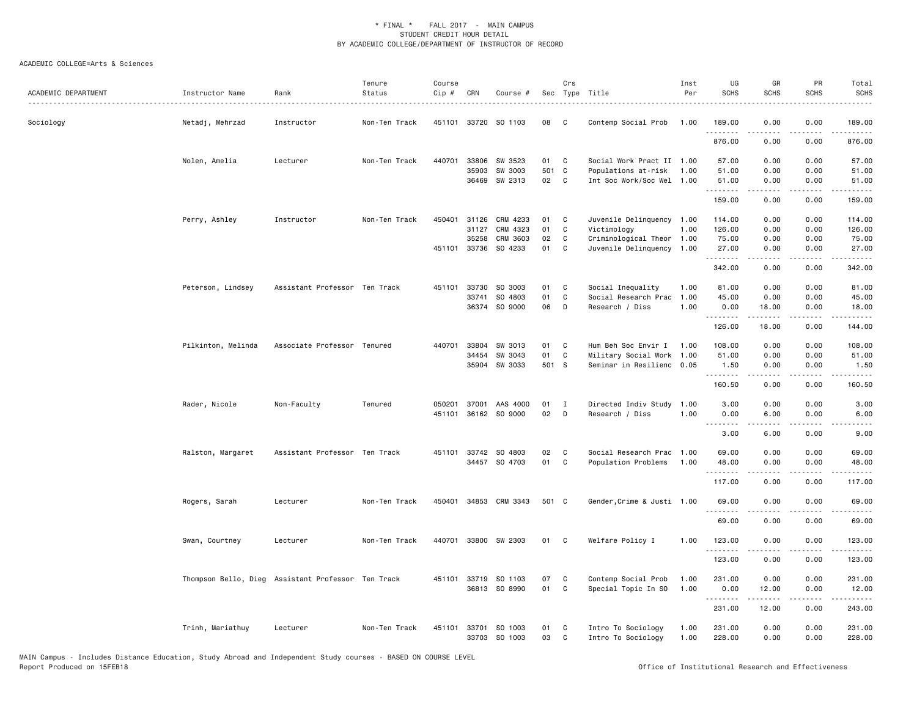| ACADEMIC DEPARTMENT | Instructor Name    | Rank                                               | Tenure<br>Status | Course<br>$Cip$ # | CRN            | Course #                              |             | Crs          | Sec Type Title                                   | Inst<br>Per | UG<br><b>SCHS</b>                                                                                                                                                                                                                                                                                                                                                                                                                                                                              | GR<br><b>SCHS</b>  | PR<br><b>SCHS</b> | Total<br><b>SCHS</b><br>$    -$                                                                                                                                                                                    |
|---------------------|--------------------|----------------------------------------------------|------------------|-------------------|----------------|---------------------------------------|-------------|--------------|--------------------------------------------------|-------------|------------------------------------------------------------------------------------------------------------------------------------------------------------------------------------------------------------------------------------------------------------------------------------------------------------------------------------------------------------------------------------------------------------------------------------------------------------------------------------------------|--------------------|-------------------|--------------------------------------------------------------------------------------------------------------------------------------------------------------------------------------------------------------------|
| Sociology           | Netadj, Mehrzad    | Instructor                                         | Non-Ten Track    |                   |                | 451101 33720 SO 1103                  | 08          | C.           | Contemp Social Prob                              | 1.00        | 189.00<br>.                                                                                                                                                                                                                                                                                                                                                                                                                                                                                    | 0.00               | 0.00              | 189.00<br>.                                                                                                                                                                                                        |
|                     |                    |                                                    |                  |                   |                |                                       |             |              |                                                  |             | 876.00                                                                                                                                                                                                                                                                                                                                                                                                                                                                                         | 0.00               | 0.00              | 876.00                                                                                                                                                                                                             |
|                     | Nolen, Amelia      | Lecturer                                           | Non-Ten Track    | 440701            | 33806          | SW 3523                               | 01          | C            | Social Work Pract II 1.00                        |             | 57.00                                                                                                                                                                                                                                                                                                                                                                                                                                                                                          | 0.00               | 0.00              | 57.00                                                                                                                                                                                                              |
|                     |                    |                                                    |                  |                   | 35903<br>36469 | SW 3003<br>SW 2313                    | 501 C<br>02 | $\mathbf{C}$ | Populations at-risk<br>Int Soc Work/Soc Wel 1.00 | 1.00        | 51.00<br>51.00                                                                                                                                                                                                                                                                                                                                                                                                                                                                                 | 0.00<br>0.00       | 0.00<br>0.00      | 51.00<br>51.00                                                                                                                                                                                                     |
|                     |                    |                                                    |                  |                   |                |                                       |             |              |                                                  |             | .<br>159.00                                                                                                                                                                                                                                                                                                                                                                                                                                                                                    | .<br>0.00          | .<br>0.00         | $\begin{array}{cccccccccc} \bullet & \bullet & \bullet & \bullet & \bullet & \bullet & \bullet \end{array}$<br>159.00                                                                                              |
|                     |                    |                                                    |                  |                   |                |                                       |             |              |                                                  |             |                                                                                                                                                                                                                                                                                                                                                                                                                                                                                                |                    |                   |                                                                                                                                                                                                                    |
|                     | Perry, Ashley      | Instructor                                         | Non-Ten Track    | 450401            | 31126          | CRM 4233<br>CRM 4323                  | 01<br>01    | C<br>C       | Juvenile Delinquency 1.00<br>Victimology         | 1.00        | 114.00<br>126.00                                                                                                                                                                                                                                                                                                                                                                                                                                                                               | 0.00               | 0.00<br>0.00      | 114.00<br>126.00                                                                                                                                                                                                   |
|                     |                    |                                                    |                  |                   | 31127<br>35258 | CRM 3603                              | 02          | C            | Criminological Theor 1.00                        |             | 75.00                                                                                                                                                                                                                                                                                                                                                                                                                                                                                          | 0.00<br>0.00       | 0.00              | 75.00                                                                                                                                                                                                              |
|                     |                    |                                                    |                  |                   | 451101 33736   | SO 4233                               | 01          | C            | Juvenile Delinquency 1.00                        |             | 27.00                                                                                                                                                                                                                                                                                                                                                                                                                                                                                          | 0.00               | 0.00              | 27.00                                                                                                                                                                                                              |
|                     |                    |                                                    |                  |                   |                |                                       |             |              |                                                  |             | 342.00                                                                                                                                                                                                                                                                                                                                                                                                                                                                                         | .<br>0.00          | د د د د<br>0.00   | .<br>342.00                                                                                                                                                                                                        |
|                     |                    |                                                    |                  |                   |                |                                       |             |              |                                                  |             |                                                                                                                                                                                                                                                                                                                                                                                                                                                                                                |                    |                   |                                                                                                                                                                                                                    |
|                     | Peterson, Lindsey  | Assistant Professor Ten Track                      |                  | 451101            | 33730          | SO 3003                               | 01          | C            | Social Inequality                                | 1.00        | 81.00                                                                                                                                                                                                                                                                                                                                                                                                                                                                                          | 0.00               | 0.00              | 81.00                                                                                                                                                                                                              |
|                     |                    |                                                    |                  |                   | 33741          | SO 4803                               | 01          | C            | Social Research Prac                             | 1.00        | 45.00                                                                                                                                                                                                                                                                                                                                                                                                                                                                                          | 0.00               | 0.00              | 45.00                                                                                                                                                                                                              |
|                     |                    |                                                    |                  |                   |                | 36374 SO 9000                         | 06          | D            | Research / Diss                                  | 1.00        | 0.00                                                                                                                                                                                                                                                                                                                                                                                                                                                                                           | 18.00<br>د د د د د | 0.00<br>د د د د   | 18.00<br>.                                                                                                                                                                                                         |
|                     |                    |                                                    |                  |                   |                |                                       |             |              |                                                  |             | 126.00                                                                                                                                                                                                                                                                                                                                                                                                                                                                                         | 18.00              | 0.00              | 144.00                                                                                                                                                                                                             |
|                     | Pilkinton, Melinda | Associate Professor Tenured                        |                  |                   |                | 440701 33804 SW 3013                  | 01 C        |              | Hum Beh Soc Envir I 1.00                         |             | 108.00                                                                                                                                                                                                                                                                                                                                                                                                                                                                                         | 0.00               | 0.00              | 108.00                                                                                                                                                                                                             |
|                     |                    |                                                    |                  |                   | 34454          | SW 3043                               | 01          | C            | Military Social Work 1.00                        |             | 51.00                                                                                                                                                                                                                                                                                                                                                                                                                                                                                          | 0.00               | 0.00              | 51.00                                                                                                                                                                                                              |
|                     |                    |                                                    |                  |                   |                | 35904 SW 3033                         | 501 S       |              | Seminar in Resilienc 0.05                        |             | 1.50<br>$\begin{array}{cccccccccccccc} \multicolumn{2}{c}{} & \multicolumn{2}{c}{} & \multicolumn{2}{c}{} & \multicolumn{2}{c}{} & \multicolumn{2}{c}{} & \multicolumn{2}{c}{} & \multicolumn{2}{c}{} & \multicolumn{2}{c}{} & \multicolumn{2}{c}{} & \multicolumn{2}{c}{} & \multicolumn{2}{c}{} & \multicolumn{2}{c}{} & \multicolumn{2}{c}{} & \multicolumn{2}{c}{} & \multicolumn{2}{c}{} & \multicolumn{2}{c}{} & \multicolumn{2}{c}{} & \multicolumn{2}{c}{} & \multicolumn{2}{c}{} & \$ | 0.00<br>.          | 0.00<br>.         | 1.50<br>$\frac{1}{2} \left( \frac{1}{2} \right) \left( \frac{1}{2} \right) \left( \frac{1}{2} \right) \left( \frac{1}{2} \right) \left( \frac{1}{2} \right) \left( \frac{1}{2} \right) \left( \frac{1}{2} \right)$ |
|                     |                    |                                                    |                  |                   |                |                                       |             |              |                                                  |             | 160.50                                                                                                                                                                                                                                                                                                                                                                                                                                                                                         | 0.00               | 0.00              | 160.50                                                                                                                                                                                                             |
|                     | Rader, Nicole      | Non-Faculty                                        | Tenured          | 050201            |                | 37001 AAS 4000                        | 01          | I            | Directed Indiv Study 1.00                        |             | 3.00                                                                                                                                                                                                                                                                                                                                                                                                                                                                                           | 0.00               | 0.00              | 3.00                                                                                                                                                                                                               |
|                     |                    |                                                    |                  |                   |                | 451101 36162 SO 9000                  | 02          | $\mathsf{D}$ | Research / Diss                                  | 1.00        | 0.00                                                                                                                                                                                                                                                                                                                                                                                                                                                                                           | 6.00               | 0.00              | 6.00                                                                                                                                                                                                               |
|                     |                    |                                                    |                  |                   |                |                                       |             |              |                                                  |             | 3.00                                                                                                                                                                                                                                                                                                                                                                                                                                                                                           | .<br>6.00          | .<br>0.00         | .<br>9.00                                                                                                                                                                                                          |
|                     |                    |                                                    |                  |                   |                |                                       |             |              |                                                  |             |                                                                                                                                                                                                                                                                                                                                                                                                                                                                                                |                    |                   |                                                                                                                                                                                                                    |
|                     | Ralston, Margaret  | Assistant Professor Ten Track                      |                  |                   |                | 451101 33742 SO 4803<br>34457 SO 4703 | 02<br>01    | C<br>C       | Social Research Prac 1.00<br>Population Problems | 1.00        | 69.00<br>48.00                                                                                                                                                                                                                                                                                                                                                                                                                                                                                 | 0.00<br>0.00       | 0.00<br>0.00      | 69.00<br>48.00                                                                                                                                                                                                     |
|                     |                    |                                                    |                  |                   |                |                                       |             |              |                                                  |             | .                                                                                                                                                                                                                                                                                                                                                                                                                                                                                              |                    | .                 | المتمام                                                                                                                                                                                                            |
|                     |                    |                                                    |                  |                   |                |                                       |             |              |                                                  |             | 117.00                                                                                                                                                                                                                                                                                                                                                                                                                                                                                         | 0.00               | 0.00              | 117.00                                                                                                                                                                                                             |
|                     | Rogers, Sarah      | Lecturer                                           | Non-Ten Track    |                   |                | 450401 34853 CRM 3343                 | 501 C       |              | Gender, Crime & Justi 1.00                       |             | 69.00                                                                                                                                                                                                                                                                                                                                                                                                                                                                                          | 0.00               | 0.00              | 69.00                                                                                                                                                                                                              |
|                     |                    |                                                    |                  |                   |                |                                       |             |              |                                                  |             | 69.00                                                                                                                                                                                                                                                                                                                                                                                                                                                                                          | 0.00               | 0.00              | 69.00                                                                                                                                                                                                              |
|                     | Swan, Courtney     | Lecturer                                           | Non-Ten Track    |                   |                | 440701 33800 SW 2303                  | 01          | C.           | Welfare Policy I                                 | 1.00        | 123.00                                                                                                                                                                                                                                                                                                                                                                                                                                                                                         | 0.00               | 0.00              | 123.00                                                                                                                                                                                                             |
|                     |                    |                                                    |                  |                   |                |                                       |             |              |                                                  |             | .<br>123.00                                                                                                                                                                                                                                                                                                                                                                                                                                                                                    | 0.00               | .<br>0.00         | .<br>123.00                                                                                                                                                                                                        |
|                     |                    | Thompson Bello, Dieg Assistant Professor Ten Track |                  |                   |                | 451101 33719 SO 1103                  | 07          | C            | Contemp Social Prob                              | 1.00        | 231.00                                                                                                                                                                                                                                                                                                                                                                                                                                                                                         | 0.00               | 0.00              | 231.00                                                                                                                                                                                                             |
|                     |                    |                                                    |                  |                   |                | 36813 SO 8990                         | 01          | $\mathbf{C}$ | Special Topic In SO                              | 1.00        | 0.00                                                                                                                                                                                                                                                                                                                                                                                                                                                                                           | 12.00              | 0.00              | 12.00                                                                                                                                                                                                              |
|                     |                    |                                                    |                  |                   |                |                                       |             |              |                                                  |             | .                                                                                                                                                                                                                                                                                                                                                                                                                                                                                              | .                  | .                 | .                                                                                                                                                                                                                  |
|                     |                    |                                                    |                  |                   |                |                                       |             |              |                                                  |             | 231.00                                                                                                                                                                                                                                                                                                                                                                                                                                                                                         | 12.00              | 0.00              | 243.00                                                                                                                                                                                                             |
|                     | Trinh, Mariathuy   | Lecturer                                           | Non-Ten Track    | 451101            |                | 33701 SO 1003                         | 01          | C            | Intro To Sociology                               | 1.00        | 231.00                                                                                                                                                                                                                                                                                                                                                                                                                                                                                         | 0.00               | 0.00              | 231.00                                                                                                                                                                                                             |
|                     |                    |                                                    |                  |                   |                | 33703 SO 1003                         | 03          | C            | Intro To Sociology                               | 1.00        | 228.00                                                                                                                                                                                                                                                                                                                                                                                                                                                                                         | 0.00               | 0.00              | 228.00                                                                                                                                                                                                             |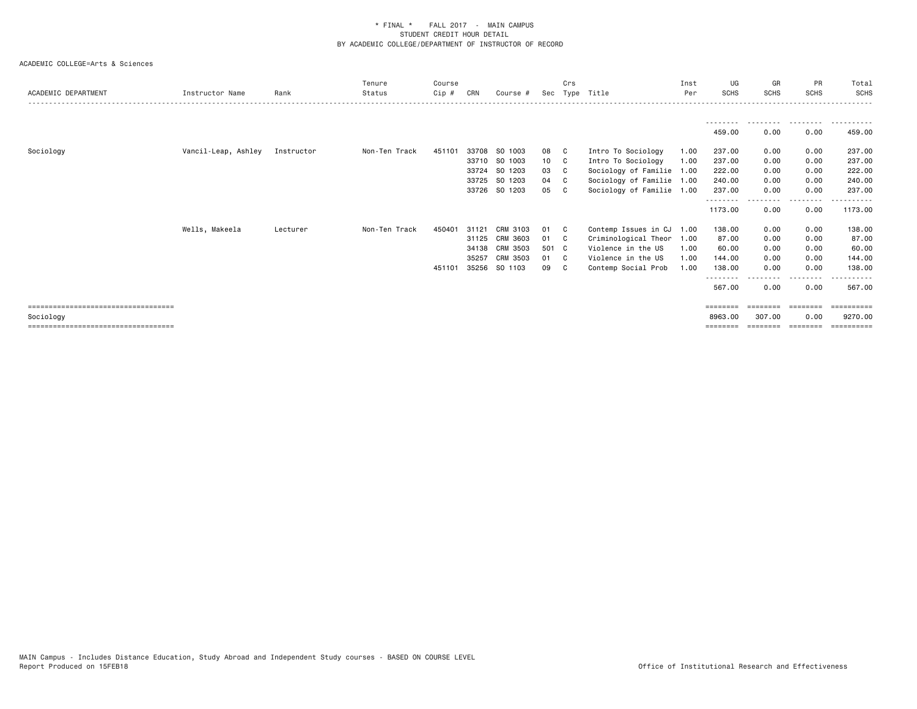|                                       |                     |            | Tenure        | Course |       |                |                 | Crs          |                           | Inst | UG          | GR          | PR                     | Total       |
|---------------------------------------|---------------------|------------|---------------|--------|-------|----------------|-----------------|--------------|---------------------------|------|-------------|-------------|------------------------|-------------|
| ACADEMIC DEPARTMENT                   | Instructor Name     | Rank       | Status        | Cip #  | CRN   | Course #       | Sec             |              | Type Title                | Per  | <b>SCHS</b> | <b>SCHS</b> | <b>SCHS</b>            | SCHS        |
|                                       |                     |            |               |        |       |                |                 |              |                           |      |             |             |                        |             |
|                                       |                     |            |               |        |       |                |                 |              |                           |      | --------    | ---------   | .                      | .           |
|                                       |                     |            |               |        |       |                |                 |              |                           |      | 459.00      | 0.00        | 0.00                   | 459.00      |
|                                       |                     |            |               |        |       |                |                 |              |                           |      |             |             |                        |             |
| Sociology                             | Vancil-Leap, Ashley | Instructor | Non-Ten Track | 451101 |       | 33708 SO 1003  | 08              | $\mathbf{C}$ | Intro To Sociology        | 1.00 | 237.00      | 0.00        | 0.00                   | 237.00      |
|                                       |                     |            |               |        |       | 33710 SO 1003  | 10 <sub>1</sub> | - C          | Intro To Sociology        | 1.00 | 237.00      | 0.00        | 0.00                   | 237.00      |
|                                       |                     |            |               |        | 33724 | SO 1203        | 03              | - C          | Sociology of Familie 1.00 |      | 222.00      | 0.00        | 0.00                   | 222.00      |
|                                       |                     |            |               |        | 33725 | SO 1203        | 04              | - C          | Sociology of Familie 1.00 |      | 240.00      | 0.00        | 0.00                   | 240.00      |
|                                       |                     |            |               |        |       | 33726 SO 1203  | 05              |              | Sociology of Familie 1.00 |      | 237.00      | 0.00        | 0.00                   | 237.00      |
|                                       |                     |            |               |        |       |                |                 |              |                           |      | 1173.00     | 0.00        | .<br>0.00              | 1173.00     |
|                                       | Wells, Makeela      | Lecturer   | Non-Ten Track | 450401 | 31121 | CRM 3103       | 01              | - C          | Contemp Issues in CJ 1.00 |      | 138.00      | 0.00        | 0.00                   | 138.00      |
|                                       |                     |            |               |        | 31125 | CRM 3603       | 01              | - C          | Criminological Theor      | 1.00 | 87.00       | 0.00        | 0.00                   | 87.00       |
|                                       |                     |            |               |        |       | 34138 CRM 3503 | 501 C           |              | Violence in the US        | 1.00 | 60.00       | 0.00        | 0.00                   | 60.00       |
|                                       |                     |            |               |        | 35257 | CRM 3503       | 01              | - C          | Violence in the US        | 1.00 | 144.00      | 0.00        | 0.00                   | 144.00      |
|                                       |                     |            |               | 451101 | 35256 | SO 1103        | 09              |              | Contemp Social Prob       | 1.00 | 138.00      | 0.00        | 0.00                   | 138.00      |
|                                       |                     |            |               |        |       |                |                 |              |                           |      | .           |             | <u>- - - - - - - -</u> |             |
|                                       |                     |            |               |        |       |                |                 |              |                           |      | 567.00      | 0.00        | 0.00                   | 567.00      |
| ===================================== |                     |            |               |        |       |                |                 |              |                           |      | ========    | ========    | $=$ = = = = = = =      |             |
| Sociology                             |                     |            |               |        |       |                |                 |              |                           |      | 8963.00     | 307.00      | 0.00                   | 9270.00     |
| ====================================  |                     |            |               |        |       |                |                 |              |                           |      | ========    | ========    | ========               | ----------- |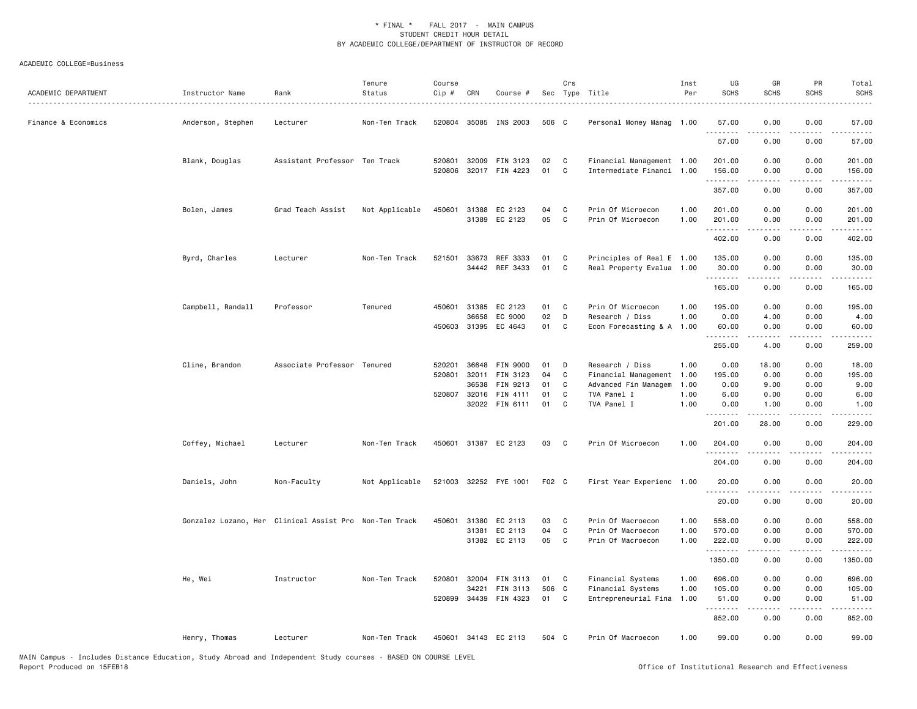| ACADEMIC DEPARTMENT | Instructor Name<br><u>.</u> | Rank                                                   | Tenure<br>Status | Course<br>Cip #  | CRN                            | Course #                                                             |                            | Crs                               | Sec Type Title                                                                                     | Inst<br>Per                  | UG<br><b>SCHS</b>                      | GR<br><b>SCHS</b>                                                                                                                                                                                                                                                                                                                            | PR<br><b>SCHS</b>                    | Total<br><b>SCHS</b>                                                                                                                                           |
|---------------------|-----------------------------|--------------------------------------------------------|------------------|------------------|--------------------------------|----------------------------------------------------------------------|----------------------------|-----------------------------------|----------------------------------------------------------------------------------------------------|------------------------------|----------------------------------------|----------------------------------------------------------------------------------------------------------------------------------------------------------------------------------------------------------------------------------------------------------------------------------------------------------------------------------------------|--------------------------------------|----------------------------------------------------------------------------------------------------------------------------------------------------------------|
| Finance & Economics | Anderson, Stephen           | Lecturer                                               | Non-Ten Track    | 520804           |                                | 35085 INS 2003                                                       | 506 C                      |                                   | Personal Money Manag 1.00                                                                          |                              | 57.00<br>.                             | 0.00                                                                                                                                                                                                                                                                                                                                         | 0.00                                 | 57.00                                                                                                                                                          |
|                     |                             |                                                        |                  |                  |                                |                                                                      |                            |                                   |                                                                                                    |                              | 57.00                                  | 0.00                                                                                                                                                                                                                                                                                                                                         | 0.00                                 | 57.00                                                                                                                                                          |
|                     | Blank, Douglas              | Assistant Professor Ten Track                          |                  | 520801           |                                | 32009 FIN 3123<br>520806 32017 FIN 4223                              | 02<br>01                   | <b>C</b><br>C.                    | Financial Management 1.00<br>Intermediate Financi 1.00                                             |                              | 201.00<br>156.00                       | 0.00<br>0.00                                                                                                                                                                                                                                                                                                                                 | 0.00<br>0.00                         | 201.00<br>156.00                                                                                                                                               |
|                     |                             |                                                        |                  |                  |                                |                                                                      |                            |                                   |                                                                                                    |                              | .<br>357.00                            | <u>.</u><br>0.00                                                                                                                                                                                                                                                                                                                             | .<br>0.00                            | $\frac{1}{2} \left( \frac{1}{2} \right) \left( \frac{1}{2} \right) \left( \frac{1}{2} \right) \left( \frac{1}{2} \right) \left( \frac{1}{2} \right)$<br>357.00 |
|                     | Bolen, James                | Grad Teach Assist                                      | Not Applicable   |                  |                                | 450601 31388 EC 2123<br>31389 EC 2123                                | 04<br>05                   | C<br>$\mathbf{C}$                 | Prin Of Microecon<br>Prin Of Microecon                                                             | 1.00<br>1.00                 | 201.00<br>201.00                       | 0.00<br>0.00                                                                                                                                                                                                                                                                                                                                 | 0.00<br>0.00                         | 201.00<br>201.00                                                                                                                                               |
|                     |                             |                                                        |                  |                  |                                |                                                                      |                            |                                   |                                                                                                    |                              | .<br>402.00                            | $- - - - -$<br>0.00                                                                                                                                                                                                                                                                                                                          | .<br>0.00                            | .<br>402.00                                                                                                                                                    |
|                     | Byrd, Charles               | Lecturer                                               | Non-Ten Track    | 521501           |                                | 33673 REF 3333<br>34442 REF 3433                                     | 01<br>01                   | C<br>C                            | Principles of Real E 1.00<br>Real Property Evalua 1.00                                             |                              | 135.00<br>30.00                        | 0.00<br>0.00                                                                                                                                                                                                                                                                                                                                 | 0.00<br>0.00                         | 135.00<br>30.00                                                                                                                                                |
|                     |                             |                                                        |                  |                  |                                |                                                                      |                            |                                   |                                                                                                    |                              | .<br>165.00                            | .<br>0.00                                                                                                                                                                                                                                                                                                                                    | .<br>0.00                            | .<br>165.00                                                                                                                                                    |
|                     | Campbell, Randall           | Professor                                              | Tenured          | 450601           | 31385<br>36658                 | EC 2123<br>EC 9000                                                   | 01<br>02                   | C<br>D                            | Prin Of Microecon<br>Research / Diss                                                               | 1.00<br>1.00                 | 195.00<br>0.00                         | 0.00<br>4.00                                                                                                                                                                                                                                                                                                                                 | 0.00<br>0.00                         | 195.00<br>4.00                                                                                                                                                 |
|                     |                             |                                                        |                  |                  |                                | 450603 31395 EC 4643                                                 | 01 C                       |                                   | Econ Forecasting & A 1.00                                                                          |                              | 60.00<br>.                             | 0.00<br>$\frac{1}{2} \left( \begin{array}{ccc} 1 & 0 & 0 & 0 \\ 0 & 0 & 0 & 0 \\ 0 & 0 & 0 & 0 \\ 0 & 0 & 0 & 0 \\ 0 & 0 & 0 & 0 \\ 0 & 0 & 0 & 0 \\ 0 & 0 & 0 & 0 \\ 0 & 0 & 0 & 0 \\ 0 & 0 & 0 & 0 \\ 0 & 0 & 0 & 0 \\ 0 & 0 & 0 & 0 & 0 \\ 0 & 0 & 0 & 0 & 0 \\ 0 & 0 & 0 & 0 & 0 \\ 0 & 0 & 0 & 0 & 0 \\ 0 & 0 & 0 & 0 & 0 \\ 0 & 0 & 0$ | 0.00<br>.                            | 60.00<br>.                                                                                                                                                     |
|                     |                             |                                                        |                  |                  |                                |                                                                      |                            |                                   |                                                                                                    |                              | 255.00                                 | 4.00                                                                                                                                                                                                                                                                                                                                         | 0.00                                 | 259.00                                                                                                                                                         |
|                     | Cline, Brandon              | Associate Professor Tenured                            |                  | 520201<br>520801 | 32011<br>36538<br>520807 32016 | 36648 FIN 9000<br>FIN 3123<br>FIN 9213<br>FIN 4111<br>32022 FIN 6111 | 01<br>04<br>01<br>01<br>01 | D<br>C<br>C<br>C<br>C             | Research / Diss<br>Financial Management 1.00<br>Advanced Fin Managem<br>TVA Panel I<br>TVA Panel I | 1.00<br>1.00<br>1.00<br>1.00 | 0.00<br>195.00<br>0.00<br>6.00<br>0.00 | 18.00<br>0.00<br>9.00<br>0.00<br>1.00                                                                                                                                                                                                                                                                                                        | 0.00<br>0.00<br>0.00<br>0.00<br>0.00 | 18.00<br>195.00<br>9.00<br>6.00<br>1.00                                                                                                                        |
|                     |                             |                                                        |                  |                  |                                |                                                                      |                            |                                   |                                                                                                    |                              | .<br>201.00                            | $- - - - -$<br>28.00                                                                                                                                                                                                                                                                                                                         | .<br>0.00                            | $- - - - - -$<br>229.00                                                                                                                                        |
|                     | Coffey, Michael             | Lecturer                                               | Non-Ten Track    | 450601           |                                | 31387 EC 2123                                                        | 03                         | $\mathbf{C}$                      | Prin Of Microecon                                                                                  | 1.00                         | 204.00<br>.                            | 0.00                                                                                                                                                                                                                                                                                                                                         | 0.00                                 | 204.00                                                                                                                                                         |
|                     |                             |                                                        |                  |                  |                                |                                                                      |                            |                                   |                                                                                                    |                              | 204.00                                 | 0.00                                                                                                                                                                                                                                                                                                                                         | 0.00                                 | 204.00                                                                                                                                                         |
|                     | Daniels, John               | Non-Faculty                                            | Not Applicable   |                  |                                | 521003 32252 FYE 1001                                                | F02 C                      |                                   | First Year Experienc 1.00                                                                          |                              | 20.00<br>.                             | 0.00                                                                                                                                                                                                                                                                                                                                         | 0.00                                 | 20.00                                                                                                                                                          |
|                     |                             |                                                        |                  |                  |                                |                                                                      |                            |                                   |                                                                                                    |                              | 20.00                                  | 0.00                                                                                                                                                                                                                                                                                                                                         | 0.00                                 | 20.00                                                                                                                                                          |
|                     |                             | Gonzalez Lozano, Her Clinical Assist Pro Non-Ten Track |                  | 450601           | 31380                          | EC 2113<br>31381 EC 2113<br>31382 EC 2113                            | 03<br>04<br>05             | $\mathbf{C}$<br>C<br>$\mathbf{C}$ | Prin Of Macroecon<br>Prin Of Macroecon<br>Prin Of Macroecon                                        | 1.00<br>1.00<br>1.00         | 558.00<br>570.00<br>222.00<br>.        | 0.00<br>0.00<br>0.00<br>$- - - - -$                                                                                                                                                                                                                                                                                                          | 0.00<br>0.00<br>0.00<br>.            | 558.00<br>570.00<br>222.00<br>.                                                                                                                                |
|                     |                             |                                                        |                  |                  |                                |                                                                      |                            |                                   |                                                                                                    |                              | 1350.00                                | 0.00                                                                                                                                                                                                                                                                                                                                         | 0.00                                 | 1350.00                                                                                                                                                        |
|                     | He, Wei                     | Instructor                                             | Non-Ten Track    | 520801<br>520899 | 32004<br>34221                 | FIN 3113<br>FIN 3113<br>34439 FIN 4323                               | 01<br>506 C<br>01          | $\mathbf{C}$<br>C                 | Financial Systems<br>Financial Systems<br>Entrepreneurial Fina                                     | 1.00<br>1.00<br>1.00         | 696.00<br>105.00<br>51.00              | 0.00<br>0.00<br>0.00                                                                                                                                                                                                                                                                                                                         | 0.00<br>0.00<br>0.00                 | 696.00<br>105.00<br>51.00                                                                                                                                      |
|                     |                             |                                                        |                  |                  |                                |                                                                      |                            |                                   |                                                                                                    |                              | .<br>852.00                            | 0.00                                                                                                                                                                                                                                                                                                                                         | 0.00                                 | 852.00                                                                                                                                                         |
|                     | Henry, Thomas               | Lecturer                                               | Non-Ten Track    |                  |                                | 450601 34143 EC 2113                                                 | 504 C                      |                                   | Prin Of Macroecon                                                                                  | 1.00                         | 99.00                                  | 0.00                                                                                                                                                                                                                                                                                                                                         | 0.00                                 | 99.00                                                                                                                                                          |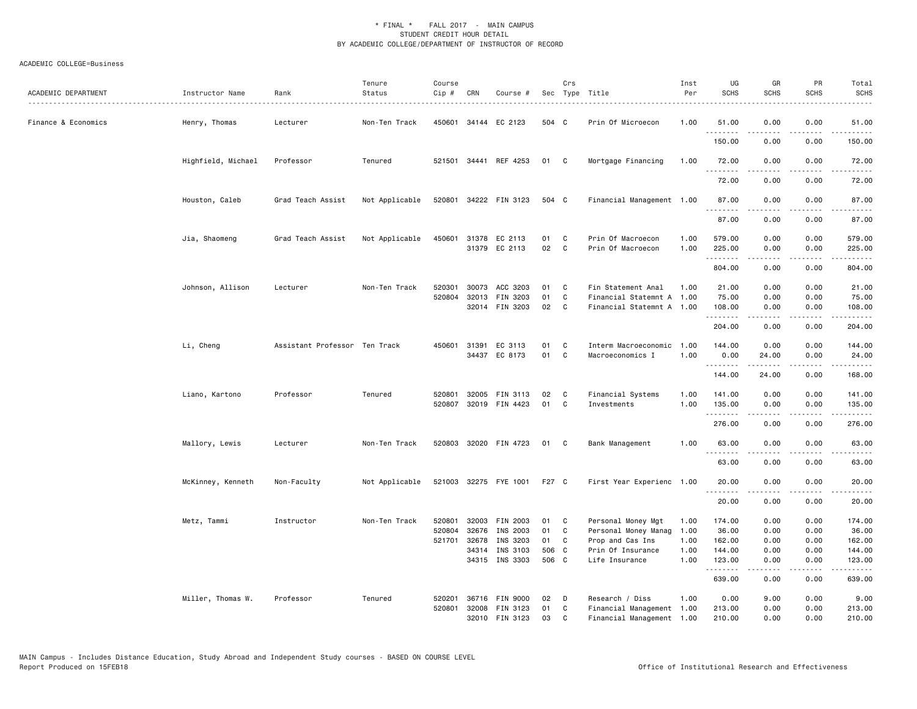| ACADEMIC DEPARTMENT | Instructor Name    | Rank<br>.                     | Tenure<br>Status | Course<br>Cip #  | CRN          | Course #                                     |                | Crs                | Sec Type Title<br>.                                                          | Inst<br>Per  | UG<br><b>SCHS</b>             | GR<br><b>SCHS</b>         | PR<br><b>SCHS</b>                                                                                                                 | Total<br><b>SCHS</b><br>.     |
|---------------------|--------------------|-------------------------------|------------------|------------------|--------------|----------------------------------------------|----------------|--------------------|------------------------------------------------------------------------------|--------------|-------------------------------|---------------------------|-----------------------------------------------------------------------------------------------------------------------------------|-------------------------------|
| Finance & Economics | Henry, Thomas      | Lecturer                      | Non-Ten Track    |                  |              | 450601 34144 EC 2123                         | 504 C          |                    | Prin Of Microecon                                                            | 1.00         | 51.00                         | 0.00<br>.                 | 0.00<br>.                                                                                                                         | 51.00<br>.                    |
|                     |                    |                               |                  |                  |              |                                              |                |                    |                                                                              |              | .<br>150.00                   | 0.00                      | 0.00                                                                                                                              | 150.00                        |
|                     | Highfield, Michael | Professor                     | Tenured          |                  |              | 521501 34441 REF 4253                        | 01             | $\mathbf{C}$       | Mortgage Financing                                                           | 1.00         | 72.00<br>.                    | 0.00<br>.                 | 0.00<br>بالمحامر                                                                                                                  | 72.00<br>.                    |
|                     |                    |                               |                  |                  |              |                                              |                |                    |                                                                              |              | 72.00                         | 0.00                      | 0.00                                                                                                                              | 72.00                         |
|                     | Houston, Caleb     | Grad Teach Assist             | Not Applicable   |                  |              | 520801 34222 FIN 3123                        | 504 C          |                    | Financial Management 1.00                                                    |              | 87.00<br><u>.</u>             | 0.00                      | 0.00                                                                                                                              | 87.00<br>.                    |
|                     |                    |                               |                  |                  |              |                                              |                |                    |                                                                              |              | 87.00                         | 0.00                      | 0.00                                                                                                                              | 87.00                         |
|                     | Jia, Shaomeng      | Grad Teach Assist             | Not Applicable   |                  |              | 450601 31378 EC 2113<br>31379 EC 2113        | 01<br>02       | C<br>$\mathbf{C}$  | Prin Of Macroecon<br>Prin Of Macroecon                                       | 1.00<br>1.00 | 579.00<br>225.00<br>.         | 0.00<br>0.00<br>.         | 0.00<br>0.00<br>.                                                                                                                 | 579.00<br>225.00<br>.         |
|                     |                    |                               |                  |                  |              |                                              |                |                    |                                                                              |              | 804.00                        | 0.00                      | 0.00                                                                                                                              | 804.00                        |
|                     | Johnson, Allison   | Lecturer                      | Non-Ten Track    | 520301<br>520804 | 30073        | ACC 3203<br>32013 FIN 3203<br>32014 FIN 3203 | 01<br>01<br>02 | C.<br>C<br>C       | Fin Statement Anal<br>Financial Statemnt A 1.00<br>Financial Statemnt A 1.00 | 1.00         | 21.00<br>75.00<br>108.00<br>. | 0.00<br>0.00<br>0.00<br>. | 0.00<br>0.00<br>0.00<br>.                                                                                                         | 21.00<br>75.00<br>108.00<br>. |
|                     |                    |                               |                  |                  |              |                                              |                |                    |                                                                              |              | 204.00                        | 0.00                      | 0.00                                                                                                                              | 204.00                        |
|                     | Li, Cheng          | Assistant Professor Ten Track |                  |                  | 450601 31391 | EC 3113<br>34437 EC 8173                     | 01<br>01       | C.<br>$\mathbf{C}$ | Interm Macroeconomic 1.00<br>Macroeconomics I                                | 1.00         | 144.00<br>0.00<br><u>.</u>    | 0.00<br>24.00<br>-----    | 0.00<br>0.00<br>$   -$                                                                                                            | 144.00<br>24.00<br>.          |
|                     |                    |                               |                  |                  |              |                                              |                |                    |                                                                              |              | 144.00                        | 24.00                     | 0.00                                                                                                                              | 168.00                        |
|                     | Liano, Kartono     | Professor                     | Tenured          | 520801           |              | 32005 FIN 3113<br>520807 32019 FIN 4423      | 02<br>01       | C<br>C             | Financial Systems<br>Investments                                             | 1.00<br>1.00 | 141.00<br>135.00<br>.         | 0.00<br>0.00              | 0.00<br>0.00<br>.                                                                                                                 | 141.00<br>135.00<br>.         |
|                     |                    |                               |                  |                  |              |                                              |                |                    |                                                                              |              | 276.00                        | 0.00                      | 0.00                                                                                                                              | 276.00                        |
|                     | Mallory, Lewis     | Lecturer                      | Non-Ten Track    | 520803           |              | 32020 FIN 4723                               | 01 C           |                    | Bank Management                                                              | 1.00         | 63.00<br>.                    | 0.00                      | 0.00                                                                                                                              | 63.00                         |
|                     |                    |                               |                  |                  |              |                                              |                |                    |                                                                              |              | 63.00                         | 0.00                      | 0.00                                                                                                                              | 63.00                         |
|                     | McKinney, Kenneth  | Non-Faculty                   | Not Applicable   |                  |              | 521003 32275 FYE 1001                        | F27 C          |                    | First Year Experienc 1.00                                                    |              | 20.00<br>.                    | 0.00<br>.                 | 0.00<br>.                                                                                                                         | 20.00<br>.                    |
|                     |                    |                               |                  |                  |              |                                              |                |                    |                                                                              |              | 20.00                         | 0.00                      | 0.00                                                                                                                              | 20.00                         |
|                     | Metz, Tammi        | Instructor                    | Non-Ten Track    | 520801           | 32676        | 32003 FIN 2003                               | 01<br>01       | $\mathbf{C}$<br>C  | Personal Money Mgt                                                           | 1.00         | 174.00<br>36.00               | 0.00<br>0.00              | 0.00<br>0.00                                                                                                                      | 174.00                        |
|                     |                    |                               |                  | 520804           |              | INS 2003                                     |                |                    | Personal Money Manag 1.00                                                    |              |                               |                           |                                                                                                                                   | 36.00                         |
|                     |                    |                               |                  | 521701           | 32678        | INS 3203                                     | 01             | C                  | Prop and Cas Ins                                                             | 1.00         | 162.00                        | 0.00                      | 0.00                                                                                                                              | 162.00                        |
|                     |                    |                               |                  |                  | 34314        | INS 3103<br>34315 INS 3303                   | 506 C<br>506 C |                    | Prin Of Insurance<br>Life Insurance                                          | 1.00<br>1.00 | 144.00<br>123.00              | 0.00<br>0.00              | 0.00<br>0.00                                                                                                                      | 144.00<br>123.00              |
|                     |                    |                               |                  |                  |              |                                              |                |                    |                                                                              |              | .<br>639.00                   | .<br>0.00                 | $\frac{1}{2} \left( \frac{1}{2} \right) \left( \frac{1}{2} \right) \left( \frac{1}{2} \right) \left( \frac{1}{2} \right)$<br>0.00 | .<br>639.00                   |
|                     | Miller, Thomas W.  | Professor                     | Tenured          | 520201           |              | 36716 FIN 9000                               | 02             | D                  | Research / Diss                                                              | 1.00         | 0.00                          | 9.00                      | 0.00                                                                                                                              | 9.00                          |
|                     |                    |                               |                  | 520801           |              | 32008 FIN 3123                               | 01             | C                  | Financial Management 1.00                                                    |              | 213.00                        | 0.00                      | 0.00                                                                                                                              | 213.00                        |
|                     |                    |                               |                  |                  |              | 32010 FIN 3123                               | 03             | C                  | Financial Management 1.00                                                    |              | 210.00                        | 0.00                      | 0.00                                                                                                                              | 210.00                        |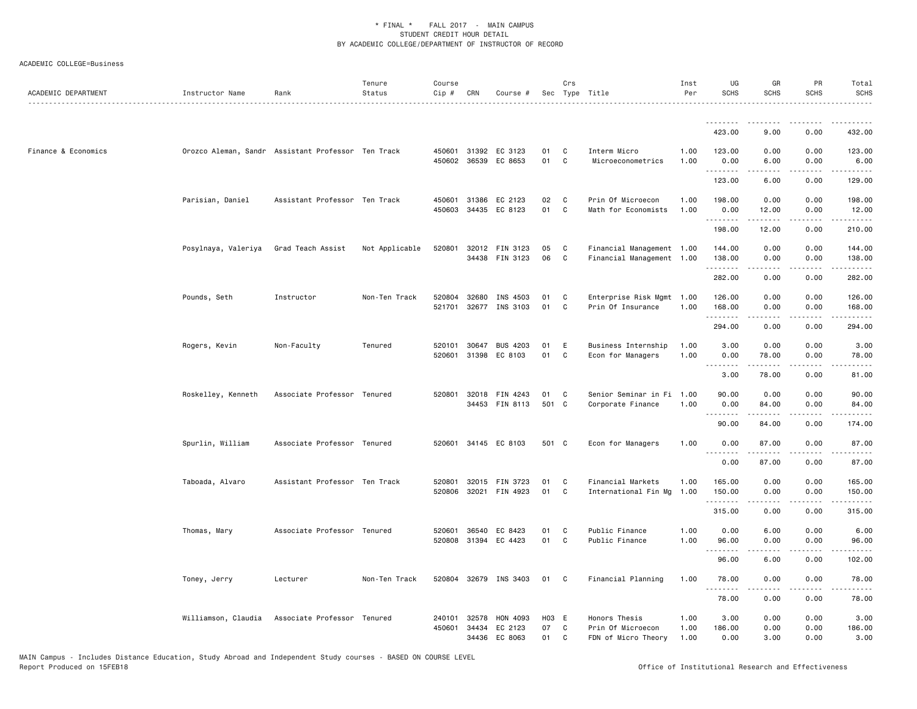| ACADEMIC DEPARTMENT | Instructor Name     | Rank                                               | Tenure<br>Status | Course<br>Cip #  | CRN                     | Course #                         |                   | Crs               | Sec Type Title                                            | Inst<br>Per          | UG<br><b>SCHS</b>                                                                                                                                                                    | GR<br><b>SCHS</b>                                                                                                                                            | PR<br><b>SCHS</b>             | Total<br><b>SCHS</b>   |
|---------------------|---------------------|----------------------------------------------------|------------------|------------------|-------------------------|----------------------------------|-------------------|-------------------|-----------------------------------------------------------|----------------------|--------------------------------------------------------------------------------------------------------------------------------------------------------------------------------------|--------------------------------------------------------------------------------------------------------------------------------------------------------------|-------------------------------|------------------------|
|                     |                     |                                                    |                  |                  |                         |                                  |                   |                   |                                                           |                      | .                                                                                                                                                                                    | --------                                                                                                                                                     | .                             | .                      |
|                     |                     |                                                    |                  |                  |                         |                                  |                   |                   |                                                           |                      | 423.00                                                                                                                                                                               | 9.00                                                                                                                                                         | 0.00                          | 432.00                 |
| Finance & Economics |                     | Orozco Aleman, Sandr Assistant Professor Ten Track |                  |                  | 450601 31392            | EC 3123<br>450602 36539 EC 8653  | 01<br>01          | C<br>C            | Interm Micro<br>Microeconometrics                         | 1.00<br>1.00         | 123.00<br>0.00<br>- - -                                                                                                                                                              | 0.00<br>6.00                                                                                                                                                 | 0.00<br>0.00                  | 123.00<br>6.00         |
|                     |                     |                                                    |                  |                  |                         |                                  |                   |                   |                                                           |                      | 123.00                                                                                                                                                                               | 6.00                                                                                                                                                         | 0.00                          | 129.00                 |
|                     | Parisian, Daniel    | Assistant Professor Ten Track                      |                  | 450601<br>450603 | 31386<br>34435          | EC 2123<br>EC 8123               | 02<br>01          | C<br>C            | Prin Of Microecon<br>Math for Economists                  | 1.00<br>1.00         | 198.00<br>0.00<br>.                                                                                                                                                                  | 0.00<br>12.00                                                                                                                                                | 0.00<br>0.00<br>$\frac{1}{2}$ | 198.00<br>12.00<br>.   |
|                     |                     |                                                    |                  |                  |                         |                                  |                   |                   |                                                           |                      | 198.00                                                                                                                                                                               | 12.00                                                                                                                                                        | 0.00                          | 210.00                 |
|                     | Posylnaya, Valeriya | Grad Teach Assist                                  | Not Applicable   | 520801           |                         | 32012 FIN 3123<br>34438 FIN 3123 | 05<br>06          | $\mathbf{C}$<br>C | Financial Management 1.00<br>Financial Management 1.00    |                      | 144.00<br>138.00<br>.                                                                                                                                                                | 0.00<br>0.00                                                                                                                                                 | 0.00<br>0.00                  | 144.00<br>138.00       |
|                     |                     |                                                    |                  |                  |                         |                                  |                   |                   |                                                           |                      | 282.00                                                                                                                                                                               | $\frac{1}{2} \left( \frac{1}{2} \right) \left( \frac{1}{2} \right) \left( \frac{1}{2} \right) \left( \frac{1}{2} \right) \left( \frac{1}{2} \right)$<br>0.00 | .<br>0.00                     | .<br>282.00            |
|                     | Pounds, Seth        | Instructor                                         | Non-Ten Track    | 520804<br>521701 | 32680                   | INS 4503<br>32677 INS 3103       | 01<br>01          | C<br>C            | Enterprise Risk Mgmt 1.00<br>Prin Of Insurance            | 1.00                 | 126.00<br>168.00                                                                                                                                                                     | 0.00<br>0.00                                                                                                                                                 | 0.00<br>0.00                  | 126.00<br>168.00       |
|                     |                     |                                                    |                  |                  |                         |                                  |                   |                   |                                                           |                      | .<br>294.00                                                                                                                                                                          | .<br>0.00                                                                                                                                                    | .<br>0.00                     | ------<br>294.00       |
|                     | Rogers, Kevin       | Non-Faculty                                        | Tenured          | 520101<br>520601 | 30647<br>31398          | <b>BUS 4203</b><br>EC 8103       | 01<br>01          | E.<br>C           | Business Internship<br>Econ for Managers                  | 1.00<br>1.00         | 3.00<br>0.00<br>.                                                                                                                                                                    | 0.00<br>78.00                                                                                                                                                | 0.00<br>0.00                  | 3.00<br>78.00          |
|                     |                     |                                                    |                  |                  |                         |                                  |                   |                   |                                                           |                      | 3.00                                                                                                                                                                                 | 78.00                                                                                                                                                        | 0.00                          | 81.00                  |
|                     | Roskelley, Kenneth  | Associate Professor Tenured                        |                  | 520801           | 32018                   | FIN 4243<br>34453 FIN 8113       | 01<br>501 C       | C                 | Senior Seminar in Fi 1.00<br>Corporate Finance            | 1.00                 | 90.00<br>0.00<br>.                                                                                                                                                                   | 0.00<br>84.00                                                                                                                                                | 0.00<br>0.00<br>.             | 90.00<br>84.00         |
|                     |                     |                                                    |                  |                  |                         |                                  |                   |                   |                                                           |                      | 90.00                                                                                                                                                                                | 84.00                                                                                                                                                        | 0.00                          | 174.00                 |
|                     | Spurlin, William    | Associate Professor Tenured                        |                  |                  |                         | 520601 34145 EC 8103             | 501 C             |                   | Econ for Managers                                         | 1.00                 | 0.00<br>$\sim$ $\sim$ $\sim$<br>$\frac{1}{2} \left( \frac{1}{2} \right) \left( \frac{1}{2} \right) \left( \frac{1}{2} \right) \left( \frac{1}{2} \right) \left( \frac{1}{2} \right)$ | 87.00<br>.                                                                                                                                                   | 0.00<br>.                     | 87.00<br>.             |
|                     |                     |                                                    |                  |                  |                         |                                  |                   |                   |                                                           |                      | 0.00                                                                                                                                                                                 | 87.00                                                                                                                                                        | 0.00                          | 87.00                  |
|                     | Taboada, Alvaro     | Assistant Professor Ten Track                      |                  | 520801<br>520806 | 32015<br>32021          | FIN 3723<br>FIN 4923             | 01<br>01          | C<br>C            | Financial Markets<br>International Fin Mg                 | 1.00<br>1.00         | 165.00<br>150.00<br>.                                                                                                                                                                | 0.00<br>0.00                                                                                                                                                 | 0.00<br>0.00<br>.             | 165.00<br>150.00<br>.  |
|                     |                     |                                                    |                  |                  |                         |                                  |                   |                   |                                                           |                      | 315.00                                                                                                                                                                               | 0.00                                                                                                                                                         | 0.00                          | 315.00                 |
|                     | Thomas, Mary        | Associate Professor Tenured                        |                  | 520601           | 36540                   | EC 8423<br>520808 31394 EC 4423  | 01<br>01          | C.<br>C.          | Public Finance<br>Public Finance                          | 1.00<br>1.00         | 0.00<br>96.00<br>.                                                                                                                                                                   | 6.00<br>0.00                                                                                                                                                 | 0.00<br>0.00<br>$- - - -$     | 6.00<br>96.00          |
|                     |                     |                                                    |                  |                  |                         |                                  |                   |                   |                                                           |                      | 96.00                                                                                                                                                                                | 6.00                                                                                                                                                         | 0.00                          | 102.00                 |
|                     | Toney, Jerry        | Lecturer                                           | Non-Ten Track    |                  |                         | 520804 32679 INS 3403            | 01 C              |                   | Financial Planning                                        | 1.00                 | 78.00<br>--------                                                                                                                                                                    | 0.00<br>-----                                                                                                                                                | 0.00<br>.                     | 78.00                  |
|                     |                     |                                                    |                  |                  |                         |                                  |                   |                   |                                                           |                      | 78.00                                                                                                                                                                                | 0.00                                                                                                                                                         | 0.00                          | 78.00                  |
|                     | Williamson, Claudia | Associate Professor Tenured                        |                  | 240101<br>450601 | 32578<br>34434<br>34436 | HON 4093<br>EC 2123<br>EC 8063   | H03 E<br>07<br>01 | C<br>C            | Honors Thesis<br>Prin Of Microecon<br>FDN of Micro Theory | 1.00<br>1.00<br>1.00 | 3.00<br>186.00<br>0.00                                                                                                                                                               | 0.00<br>0.00<br>3.00                                                                                                                                         | 0.00<br>0.00<br>0.00          | 3.00<br>186.00<br>3.00 |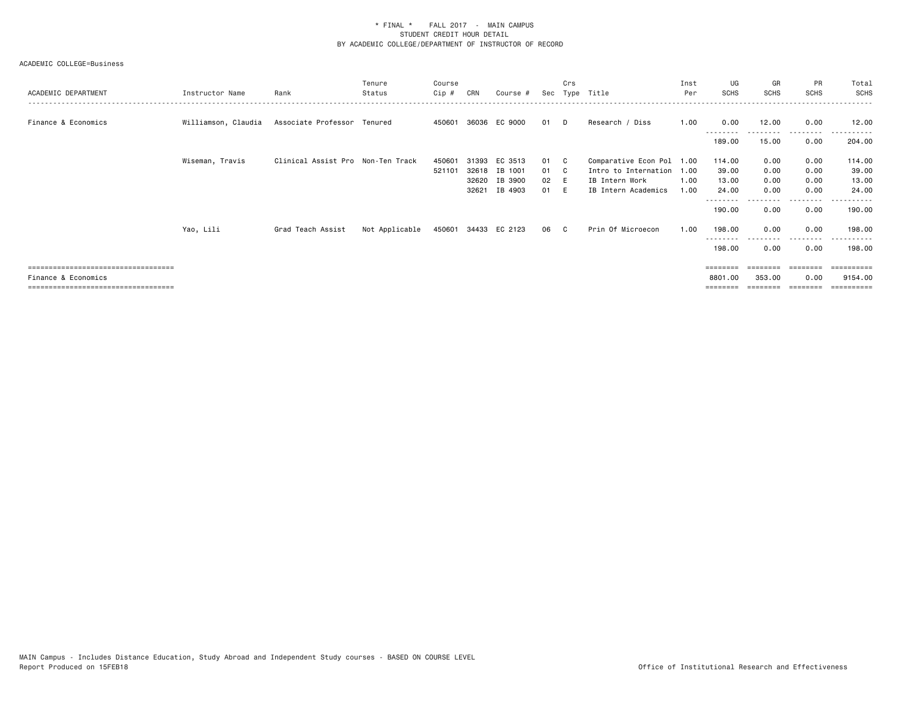| ACADEMIC DEPARTMENT                  | Instructor Name     | Rank                              | Tenure<br>Status | Course<br>Cip #  | CRN                     | Course #                      |                    | Crs | Sec Type Title                                                           | Inst<br>Per | UG<br><b>SCHS</b>        | GR<br><b>SCHS</b>    | <b>PR</b><br><b>SCHS</b> | Total<br>SCHS            |
|--------------------------------------|---------------------|-----------------------------------|------------------|------------------|-------------------------|-------------------------------|--------------------|-----|--------------------------------------------------------------------------|-------------|--------------------------|----------------------|--------------------------|--------------------------|
| Finance & Economics                  | Williamson, Claudia | Associate Professor Tenured       |                  |                  |                         | 450601 36036 EC 9000          | 01                 | D.  | Research / Diss                                                          | 1.00        | 0.00                     | 12.00                | 0.00                     | 12.00                    |
|                                      |                     |                                   |                  |                  |                         |                               |                    |     |                                                                          |             | 189.00                   | 15.00                | 0.00                     | 204.00                   |
|                                      | Wiseman, Travis     | Clinical Assist Pro Non-Ten Track |                  | 450601<br>521101 | 31393<br>32618<br>32620 | EC 3513<br>IB 1001<br>IB 3900 | 01<br>01 C<br>02 E | - C | Comparative Econ Pol 1.00<br>Intro to Internation 1.00<br>IB Intern Work | 1.00        | 114.00<br>39.00<br>13.00 | 0.00<br>0.00<br>0.00 | 0.00<br>0.00<br>0.00     | 114.00<br>39.00<br>13.00 |
|                                      |                     |                                   |                  |                  | 32621                   | IB 4903                       | 01                 |     | IB Intern Academics                                                      | 1.00        | 24.00                    | 0.00                 | 0.00                     | 24.00                    |
|                                      |                     |                                   |                  |                  |                         |                               |                    |     |                                                                          |             | 190.00                   | 0.00                 | .<br>0.00                | .<br>190.00              |
|                                      | Yao, Lili           | Grad Teach Assist                 | Not Applicable   |                  |                         | 450601 34433 EC 2123          | 06 C               |     | Prin Of Microecon                                                        | 1.00        | 198.00                   | 0.00                 | 0.00                     | 198.00                   |
|                                      |                     |                                   |                  |                  |                         |                               |                    |     |                                                                          |             | 198.00                   | 0.00                 | ----<br>0.00             | 198.00                   |
| ============================         |                     |                                   |                  |                  |                         |                               |                    |     |                                                                          |             |                          |                      |                          |                          |
| Finance & Economics                  |                     |                                   |                  |                  |                         |                               |                    |     |                                                                          |             | 8801.00                  | 353.00               | 0.00                     | 9154.00                  |
| ==================================== |                     |                                   |                  |                  |                         |                               |                    |     |                                                                          |             |                          |                      |                          | =========                |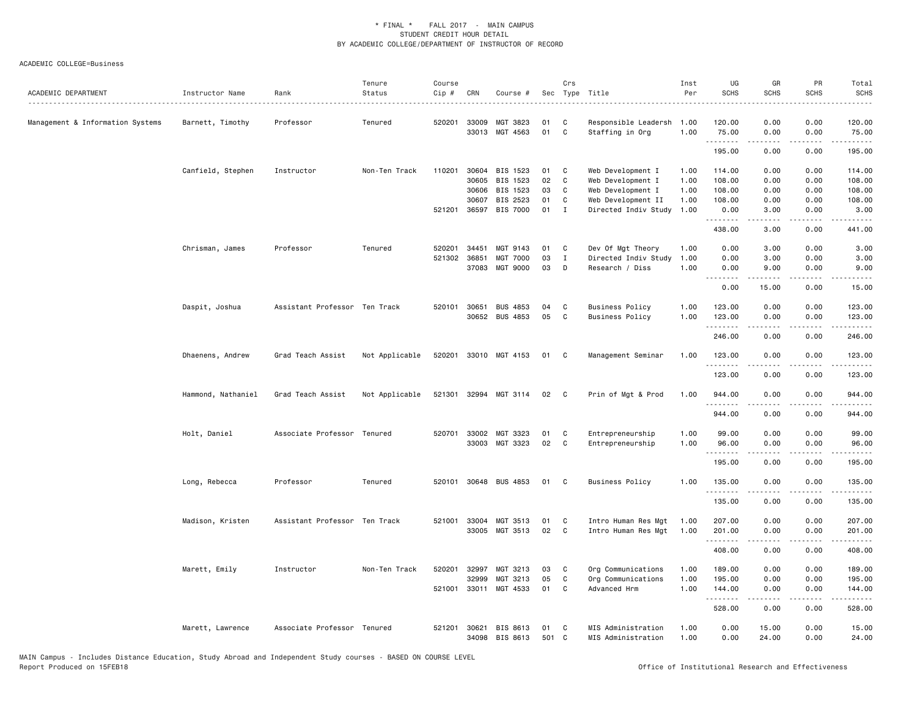| ACADEMIC DEPARTMENT              | Instructor Name    | Rank                          | Tenure<br>Status | Course<br>Cip # | CRN            | Course #              | Sec         | Crs          | Type Title                               | Inst<br>Per  | UG<br><b>SCHS</b>    | GR<br><b>SCHS</b>                                                                                                                                             | PR<br><b>SCHS</b>            | Total<br><b>SCHS</b>                                                                                                                                           |
|----------------------------------|--------------------|-------------------------------|------------------|-----------------|----------------|-----------------------|-------------|--------------|------------------------------------------|--------------|----------------------|---------------------------------------------------------------------------------------------------------------------------------------------------------------|------------------------------|----------------------------------------------------------------------------------------------------------------------------------------------------------------|
| Management & Information Systems | Barnett, Timothy   | Professor                     | Tenured          | 520201          | 33009<br>33013 | MGT 3823<br>MGT 4563  | 01<br>01    | C<br>C       | Responsible Leadersh<br>Staffing in Org  | 1.00<br>1.00 | 120.00<br>75.00      | 0.00<br>0.00                                                                                                                                                  | 0.00<br>0.00                 | 120.00<br>75.00                                                                                                                                                |
|                                  |                    |                               |                  |                 |                |                       |             |              |                                          |              | .<br>195.00          | .<br>0.00                                                                                                                                                     | $- - - -$<br>0.00            | .<br>195.00                                                                                                                                                    |
|                                  | Canfield, Stephen  | Instructor                    | Non-Ten Track    | 110201          | 30604          | BIS 1523              | 01          | C            | Web Development I                        | 1.00         | 114.00               | 0.00                                                                                                                                                          | 0.00                         | 114.00                                                                                                                                                         |
|                                  |                    |                               |                  |                 | 30605          | BIS 1523              | 02          | C            | Web Development I                        | 1.00         | 108.00               | 0.00                                                                                                                                                          | 0.00                         | 108.00                                                                                                                                                         |
|                                  |                    |                               |                  |                 | 30606          | BIS 1523              | 03          | C            | Web Development I                        | 1.00         | 108.00               | 0.00                                                                                                                                                          | 0.00                         | 108.00                                                                                                                                                         |
|                                  |                    |                               |                  |                 | 30607          | BIS 2523              | 01          | C            | Web Development II                       | 1.00         | 108.00               | 0.00                                                                                                                                                          | 0.00                         | 108.00                                                                                                                                                         |
|                                  |                    |                               |                  |                 | 521201 36597   | BIS 7000              | 01          | $\mathbf{I}$ | Directed Indiv Study                     | 1.00         | 0.00                 | 3.00                                                                                                                                                          | 0.00                         | 3.00                                                                                                                                                           |
|                                  |                    |                               |                  |                 |                |                       |             |              |                                          |              | 438.00               | -----<br>3.00                                                                                                                                                 | $- - - -$<br>0.00            | $\cdots$<br>441.00                                                                                                                                             |
|                                  | Chrisman, James    | Professor                     | Tenured          | 520201          | 34451          | MGT 9143              | 01          | C            | Dev Of Mgt Theory                        | 1.00         | 0.00                 | 3.00                                                                                                                                                          | 0.00                         | 3.00                                                                                                                                                           |
|                                  |                    |                               |                  | 521302          | 36851          | <b>MGT 7000</b>       | 03          | Ι            | Directed Indiv Study                     | 1.00         | 0.00                 | 3.00                                                                                                                                                          | 0.00                         | 3.00                                                                                                                                                           |
|                                  |                    |                               |                  |                 | 37083          | MGT 9000              | 03          | D            | Research / Diss                          | 1.00         | 0.00                 | 9.00                                                                                                                                                          | 0.00                         | 9.00                                                                                                                                                           |
|                                  |                    |                               |                  |                 |                |                       |             |              |                                          |              | .<br>0.00            | $\frac{1}{2} \left( \frac{1}{2} \right) \left( \frac{1}{2} \right) \left( \frac{1}{2} \right) \left( \frac{1}{2} \right) \left( \frac{1}{2} \right)$<br>15.00 | $\sim$ $\sim$ $\sim$<br>0.00 | .<br>15.00                                                                                                                                                     |
|                                  | Daspit, Joshua     | Assistant Professor Ten Track |                  | 520101          | 30651          | <b>BUS 4853</b>       | 04          | C            | <b>Business Policy</b>                   | 1.00         | 123.00               | 0.00                                                                                                                                                          | 0.00                         | 123.00                                                                                                                                                         |
|                                  |                    |                               |                  |                 |                | 30652 BUS 4853        | 05          | C            | <b>Business Policy</b>                   | 1.00         | 123.00               | 0.00                                                                                                                                                          | 0.00                         | 123.00                                                                                                                                                         |
|                                  |                    |                               |                  |                 |                |                       |             |              |                                          |              | 246.00               | .<br>0.00                                                                                                                                                     | .<br>0.00                    | $\frac{1}{2} \left( \frac{1}{2} \right) \left( \frac{1}{2} \right) \left( \frac{1}{2} \right) \left( \frac{1}{2} \right) \left( \frac{1}{2} \right)$<br>246.00 |
|                                  | Dhaenens, Andrew   | Grad Teach Assist             | Not Applicable   |                 |                | 520201 33010 MGT 4153 | 01          | C            | Management Seminar                       | 1.00         | 123.00               | 0.00                                                                                                                                                          | 0.00                         | 123.00                                                                                                                                                         |
|                                  |                    |                               |                  |                 |                |                       |             |              |                                          |              | .<br>123.00          | 0.00                                                                                                                                                          | 0.00                         | .<br>123.00                                                                                                                                                    |
|                                  | Hammond, Nathaniel | Grad Teach Assist             | Not Applicable   | 521301          | 32994          | MGT 3114              | 02          | C            | Prin of Mgt & Prod                       | 1.00         | 944.00               | 0.00                                                                                                                                                          | 0.00                         | 944.00                                                                                                                                                         |
|                                  |                    |                               |                  |                 |                |                       |             |              |                                          |              | . <u>.</u><br>944.00 | 0.00                                                                                                                                                          | 0.00                         | 944.00                                                                                                                                                         |
|                                  | Holt, Daniel       | Associate Professor Tenured   |                  |                 | 520701 33002   | MGT 3323              | 01          | C            | Entrepreneurship                         | 1.00         | 99.00                |                                                                                                                                                               | 0.00                         | 99.00                                                                                                                                                          |
|                                  |                    |                               |                  |                 |                | 33003 MGT 3323        | 02          | C            | Entrepreneurship                         | 1.00         | 96.00                | 0.00<br>0.00                                                                                                                                                  | 0.00                         | 96.00                                                                                                                                                          |
|                                  |                    |                               |                  |                 |                |                       |             |              |                                          |              | .                    |                                                                                                                                                               | $- - - -$                    | .                                                                                                                                                              |
|                                  |                    |                               |                  |                 |                |                       |             |              |                                          |              | 195.00               | 0.00                                                                                                                                                          | 0.00                         | 195.00                                                                                                                                                         |
|                                  | Long, Rebecca      | Professor                     | Tenured          | 520101          |                | 30648 BUS 4853        | 01          | C)           | <b>Business Policy</b>                   | 1.00         | 135.00<br>.          | 0.00                                                                                                                                                          | 0.00                         | 135.00                                                                                                                                                         |
|                                  |                    |                               |                  |                 |                |                       |             |              |                                          |              | 135.00               | 0.00                                                                                                                                                          | 0.00                         | 135.00                                                                                                                                                         |
|                                  | Madison, Kristen   | Assistant Professor Ten Track |                  | 521001          | 33004          | MGT 3513              | 01          | C            | Intro Human Res Mgt                      | 1.00         | 207.00               | 0.00                                                                                                                                                          | 0.00                         | 207.00                                                                                                                                                         |
|                                  |                    |                               |                  |                 | 33005          | MGT 3513              | 02          | C            | Intro Human Res Mgt                      | 1.00         | 201.00<br>.          | 0.00                                                                                                                                                          | 0.00<br>$- - - -$            | 201.00<br>.                                                                                                                                                    |
|                                  |                    |                               |                  |                 |                |                       |             |              |                                          |              | 408.00               | 0.00                                                                                                                                                          | 0.00                         | 408.00                                                                                                                                                         |
|                                  | Marett, Emily      | Instructor                    | Non-Ten Track    | 520201          | 32997          | MGT 3213              | 03          | C            | Org Communications                       | 1.00         | 189.00               | 0.00                                                                                                                                                          | 0.00                         | 189.00                                                                                                                                                         |
|                                  |                    |                               |                  |                 | 32999          | MGT 3213              | 05          | C            | Org Communications                       | 1.00         | 195.00               | 0.00                                                                                                                                                          | 0.00                         | 195.00                                                                                                                                                         |
|                                  |                    |                               |                  |                 |                | 521001 33011 MGT 4533 | 01          | C            | Advanced Hrm                             | 1.00         | 144.00<br>.          | 0.00<br>$\frac{1}{2} \left( \frac{1}{2} \right) \left( \frac{1}{2} \right) \left( \frac{1}{2} \right) \left( \frac{1}{2} \right) \left( \frac{1}{2} \right)$  | 0.00<br>.                    | 144.00<br>.                                                                                                                                                    |
|                                  |                    |                               |                  |                 |                |                       |             |              |                                          |              | 528.00               | 0.00                                                                                                                                                          | 0.00                         | 528.00                                                                                                                                                         |
|                                  | Marett, Lawrence   | Associate Professor Tenured   |                  | 521201          | 30621<br>34098 | BIS 8613<br>BIS 8613  | 01<br>501 C | C            | MIS Administration<br>MIS Administration | 1.00<br>1.00 | 0.00<br>0.00         | 15.00<br>24.00                                                                                                                                                | 0.00<br>0.00                 | 15.00<br>24.00                                                                                                                                                 |
|                                  |                    |                               |                  |                 |                |                       |             |              |                                          |              |                      |                                                                                                                                                               |                              |                                                                                                                                                                |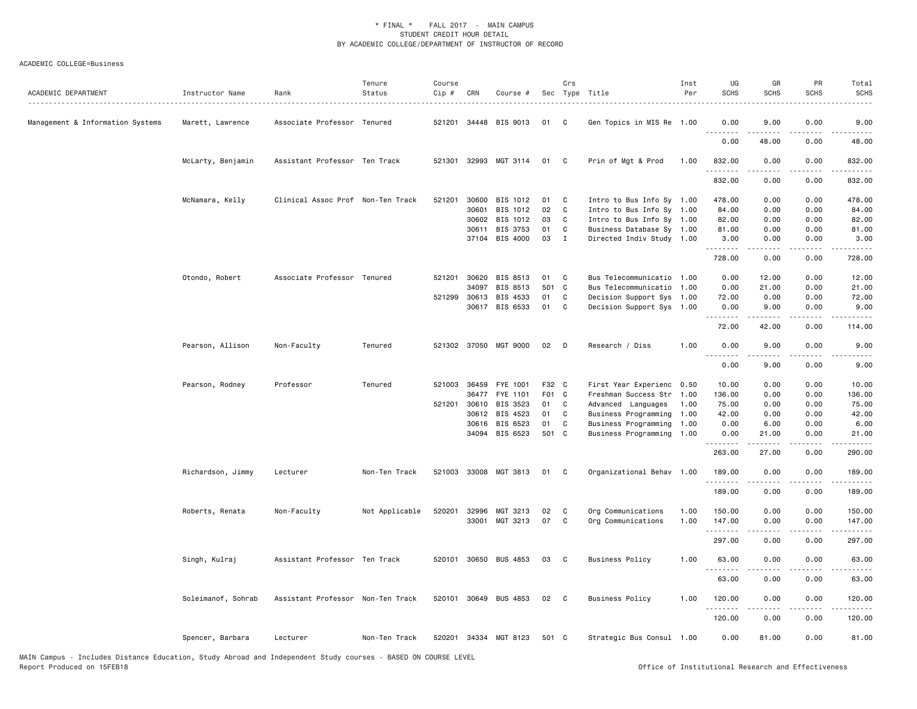| ACADEMIC DEPARTMENT              | Instructor Name    | Rank                              | Tenure<br>Status | Course<br>Cip # | CRN          | Course #              |       | Crs            | Sec Type Title<br>.       | Inst<br>Per | UG<br><b>SCHS</b>            | GR<br><b>SCHS</b> | PR<br><b>SCHS</b> | Total<br><b>SCHS</b> |
|----------------------------------|--------------------|-----------------------------------|------------------|-----------------|--------------|-----------------------|-------|----------------|---------------------------|-------------|------------------------------|-------------------|-------------------|----------------------|
| Management & Information Systems | Marett, Lawrence   | Associate Professor Tenured       |                  | 521201          |              | 34448 BIS 9013        | 01    | C              | Gen Topics in MIS Re 1.00 |             | 0.00<br>.                    | 9.00              | 0.00              | 9.00                 |
|                                  |                    |                                   |                  |                 |              |                       |       |                |                           |             | 0.00                         | 48.00             | 0.00              | 48.00                |
|                                  | McLarty, Benjamin  | Assistant Professor Ten Track     |                  |                 |              | 521301 32993 MGT 3114 | 01    | C C            | Prin of Mgt & Prod        | 1.00        | 832.00<br>.                  | 0.00              | 0.00              | 832.00               |
|                                  |                    |                                   |                  |                 |              |                       |       |                |                           |             | 832.00                       | 0.00              | 0.00              | 832.00               |
|                                  | McNamara, Kelly    | Clinical Assoc Prof Non-Ten Track |                  | 521201          | 30600        | BIS 1012              | 01    | C              | Intro to Bus Info Sy 1.00 |             | 478.00                       | 0.00              | 0.00              | 478.00               |
|                                  |                    |                                   |                  |                 | 30601        | BIS 1012              | 02    | $\mathbf{C}$   | Intro to Bus Info Sy 1.00 |             | 84.00                        | 0.00              | 0.00              | 84.00                |
|                                  |                    |                                   |                  |                 | 30602        | BIS 1012              | 03    | $\mathbf{C}$   | Intro to Bus Info Sy 1.00 |             | 82.00                        | 0.00              | 0.00              | 82.00                |
|                                  |                    |                                   |                  |                 | 30611        | BIS 3753              | 01    | C              | Business Database Sy 1.00 |             | 81.00                        | 0.00              | 0.00              | 81.00                |
|                                  |                    |                                   |                  |                 |              | 37104 BIS 4000        | 03    | $\mathbf{I}$   | Directed Indiv Study 1.00 |             | 3.00                         | 0.00              | 0.00              | 3.00                 |
|                                  |                    |                                   |                  |                 |              |                       |       |                |                           |             | <u>.</u><br>728.00           | .<br>0.00         | .<br>0.00         | .<br>728.00          |
|                                  | Otondo, Robert     | Associate Professor Tenured       |                  | 521201          | 30620        | BIS 8513              | 01    | C              | Bus Telecommunicatio 1.00 |             | 0.00                         | 12.00             | 0.00              | 12.00                |
|                                  |                    |                                   |                  |                 | 34097        | BIS 8513              | 501 C |                | Bus Telecommunicatio 1.00 |             | 0.00                         | 21.00             | 0.00              | 21.00                |
|                                  |                    |                                   |                  | 521299          | 30613        | BIS 4533              | 01    | C              | Decision Support Sys 1.00 |             | 72.00                        | 0.00              | 0.00              | 72.00                |
|                                  |                    |                                   |                  |                 |              | 30617 BIS 6533        | 01    | C              | Decision Support Sys 1.00 |             | 0.00                         | 9.00              | 0.00              | 9.00                 |
|                                  |                    |                                   |                  |                 |              |                       |       |                |                           |             | .<br>72.00                   | 42.00             | 0.00              | 114.00               |
|                                  | Pearson, Allison   | Non-Faculty                       | Tenured          |                 |              | 521302 37050 MGT 9000 | 02    | - D            | Research / Diss           | 1.00        | 0.00                         | 9.00              | 0.00              | 9.00                 |
|                                  |                    |                                   |                  |                 |              |                       |       |                |                           |             | $\sim$ $\sim$ $\sim$<br>0.00 | 9.00              | 0.00              | 9.00                 |
|                                  | Pearson, Rodney    | Professor                         | Tenured          | 521003          | 36459        | FYE 1001              | F32 C |                | First Year Experienc 0.50 |             | 10.00                        | 0.00              | 0.00              | 10.00                |
|                                  |                    |                                   |                  |                 | 36477        | FYE 1101              | F01 C |                | Freshman Success Str 1.00 |             | 136.00                       | 0.00              | 0.00              | 136.00               |
|                                  |                    |                                   |                  |                 | 521201 30610 | BIS 3523              | 01    | $\mathbf{C}$   | Advanced Languages        | 1.00        | 75.00                        | 0.00              | 0.00              | 75.00                |
|                                  |                    |                                   |                  |                 | 30612        | BIS 4523              | 01    | C              | Business Programming 1.00 |             | 42.00                        | 0.00              | 0.00              | 42.00                |
|                                  |                    |                                   |                  |                 | 30616        | BIS 6523              | 01    | C              | Business Programming 1.00 |             | 0.00                         | 6.00              | 0.00              | 6.00                 |
|                                  |                    |                                   |                  |                 |              | 34094 BIS 6523        | 501 C |                | Business Programming 1.00 |             | 0.00<br>.                    | 21.00<br>.        | 0.00<br>.         | 21.00<br>.           |
|                                  |                    |                                   |                  |                 |              |                       |       |                |                           |             | 263.00                       | 27.00             | 0.00              | 290.00               |
|                                  | Richardson, Jimmy  | Lecturer                          | Non-Ten Track    |                 |              | 521003 33008 MGT 3813 | 01    | C <sub>1</sub> | Organizational Behav 1.00 |             | 189.00<br>.                  | 0.00              | 0.00<br>.         | 189.00<br>.          |
|                                  |                    |                                   |                  |                 |              |                       |       |                |                           |             | 189.00                       | 0.00              | 0.00              | 189.00               |
|                                  | Roberts, Renata    | Non-Faculty                       | Not Applicable   | 520201          | 32996        | MGT 3213              | 02    | C              | Org Communications        | 1.00        | 150.00                       | 0.00              | 0.00              | 150.00               |
|                                  |                    |                                   |                  |                 |              | 33001 MGT 3213        | 07    | C              | Org Communications        | 1.00        | 147.00                       | 0.00              | 0.00              | 147.00               |
|                                  |                    |                                   |                  |                 |              |                       |       |                |                           |             | .                            |                   |                   |                      |
|                                  |                    |                                   |                  |                 |              |                       |       |                |                           |             | 297.00                       | 0.00              | 0.00              | 297.00               |
|                                  | Singh, Kulraj      | Assistant Professor Ten Track     |                  |                 |              | 520101 30650 BUS 4853 | 03    | $\mathbf{C}$   | <b>Business Policy</b>    | 1.00        | 63.00                        | 0.00              | 0.00              | 63.00                |
|                                  |                    |                                   |                  |                 |              |                       |       |                |                           |             | 63.00                        | 0.00              | 0.00              | 63.00                |
|                                  | Soleimanof, Sohrab | Assistant Professor Non-Ten Track |                  |                 |              | 520101 30649 BUS 4853 | 02    | $\mathbf{C}$   | <b>Business Policy</b>    | 1.00        | 120.00                       | 0.00              | 0.00              | 120.00               |
|                                  |                    |                                   |                  |                 |              |                       |       |                |                           |             | .<br>120.00                  | 0.00              | 0.00              | 120.00               |
|                                  | Spencer, Barbara   | Lecturer                          | Non-Ten Track    |                 |              | 520201 34334 MGT 8123 | 501 C |                | Strategic Bus Consul 1.00 |             | 0.00                         | 81.00             | 0.00              | 81.00                |
|                                  |                    |                                   |                  |                 |              |                       |       |                |                           |             |                              |                   |                   |                      |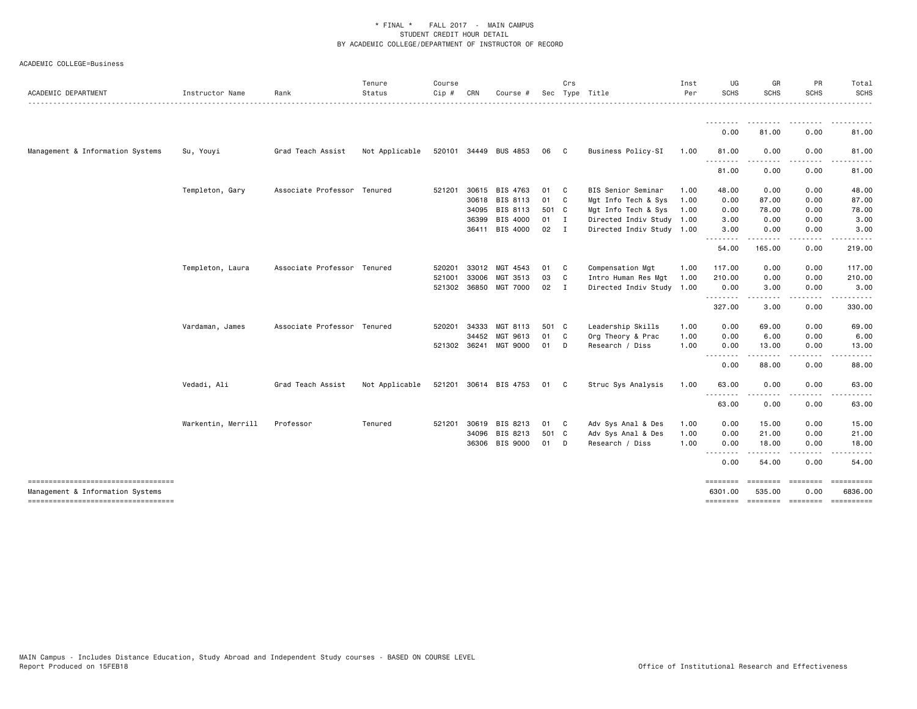| ACADEMIC DEPARTMENT                                                    | Instructor Name    | Rank                        | Tenure<br>Status | Course<br>Cip # | CRN          | Course #              | Sec    | Crs            | Type Title                | Inst<br>Per | UG<br><b>SCHS</b>                             | GR<br><b>SCHS</b>                                                                                                                                             | PR<br><b>SCHS</b> | Total<br>SCHS                                                                                                                               |
|------------------------------------------------------------------------|--------------------|-----------------------------|------------------|-----------------|--------------|-----------------------|--------|----------------|---------------------------|-------------|-----------------------------------------------|---------------------------------------------------------------------------------------------------------------------------------------------------------------|-------------------|---------------------------------------------------------------------------------------------------------------------------------------------|
|                                                                        |                    |                             |                  |                 |              |                       |        |                |                           |             | <u>.</u>                                      | .                                                                                                                                                             |                   |                                                                                                                                             |
|                                                                        |                    |                             |                  |                 |              |                       |        |                |                           |             | 0.00                                          | 81.00                                                                                                                                                         | 0.00              | 81.00                                                                                                                                       |
| Management & Information Systems                                       | Su, Youyi          | Grad Teach Assist           | Not Applicable   |                 |              | 520101 34449 BUS 4853 | 06     | $\mathbf{C}$   | Business Policy-SI        | 1.00        | 81.00                                         | 0.00                                                                                                                                                          | 0.00              | 81.00                                                                                                                                       |
|                                                                        |                    |                             |                  |                 |              |                       |        |                |                           |             | $- - -$<br>.<br>81.00                         | .<br>0.00                                                                                                                                                     | .<br>0.00         | .<br>81.00                                                                                                                                  |
|                                                                        | Templeton, Gary    | Associate Professor Tenured |                  | 521201          | 30615        | BIS 4763              | 01 C   |                | BIS Senior Seminar        | 1.00        | 48.00                                         | 0.00                                                                                                                                                          | 0.00              | 48.00                                                                                                                                       |
|                                                                        |                    |                             |                  |                 | 30618        | BIS 8113              | 01 C   |                | Mgt Info Tech & Sys       | 1.00        | 0.00                                          | 87.00                                                                                                                                                         | 0.00              | 87.00                                                                                                                                       |
|                                                                        |                    |                             |                  |                 | 34095        | BIS 8113              | 501 C  |                | Mgt Info Tech & Sys       | 1.00        | 0.00                                          | 78.00                                                                                                                                                         | 0.00              | 78.00                                                                                                                                       |
|                                                                        |                    |                             |                  |                 | 36399        | BIS 4000              | $01$ I |                | Directed Indiv Study 1.00 |             | 3.00                                          | 0.00                                                                                                                                                          | 0.00              | 3.00                                                                                                                                        |
|                                                                        |                    |                             |                  |                 | 36411        | BIS 4000              | 02 I   |                | Directed Indiv Study 1.00 |             | 3.00                                          | 0.00                                                                                                                                                          | 0.00              | 3.00                                                                                                                                        |
|                                                                        |                    |                             |                  |                 |              |                       |        |                |                           |             | <u> - - - - - - - -</u><br>54.00              | .<br>165.00                                                                                                                                                   | ----<br>0.00      | 219.00                                                                                                                                      |
|                                                                        | Templeton, Laura   | Associate Professor Tenured |                  | 520201          | 33012        | MGT 4543              | 01     | C C            | Compensation Mgt          | 1.00        | 117.00                                        | 0.00                                                                                                                                                          | 0.00              | 117.00                                                                                                                                      |
|                                                                        |                    |                             |                  | 521001          | 33006        | MGT 3513              | 03     | $\mathbf{C}$   | Intro Human Res Mgt       | 1.00        | 210.00                                        | 0.00                                                                                                                                                          | 0.00              | 210.00                                                                                                                                      |
|                                                                        |                    |                             |                  |                 | 521302 36850 | MGT 7000              | 02     | $\blacksquare$ | Directed Indiv Study 1.00 |             | 0.00                                          | 3.00<br>.                                                                                                                                                     | 0.00<br>.         | 3.00                                                                                                                                        |
|                                                                        |                    |                             |                  |                 |              |                       |        |                |                           |             | --------<br>327.00                            | 3.00                                                                                                                                                          | 0.00              | 330.00                                                                                                                                      |
|                                                                        | Vardaman, James    | Associate Professor Tenured |                  | 520201          | 34333        | MGT 8113              | 501 C  |                | Leadership Skills         | 1.00        | 0.00                                          | 69.00                                                                                                                                                         | 0.00              | 69.00                                                                                                                                       |
|                                                                        |                    |                             |                  |                 | 34452        | MGT 9613              | 01 C   |                | Org Theory & Prac         | 1.00        | 0.00                                          | 6.00                                                                                                                                                          | 0.00              | 6.00                                                                                                                                        |
|                                                                        |                    |                             |                  | 521302 36241    |              | MGT 9000              | 01 D   |                | Research / Diss           | 1.00        | 0.00<br>$\frac{1}{2}$<br><u>.</u>             | 13.00<br>$\frac{1}{2} \left( \frac{1}{2} \right) \left( \frac{1}{2} \right) \left( \frac{1}{2} \right) \left( \frac{1}{2} \right) \left( \frac{1}{2} \right)$ | 0.00<br>.         | 13.00                                                                                                                                       |
|                                                                        |                    |                             |                  |                 |              |                       |        |                |                           |             | 0.00                                          | 88.00                                                                                                                                                         | 0.00              | 88.00                                                                                                                                       |
|                                                                        | Vedadi, Ali        | Grad Teach Assist           | Not Applicable   |                 |              | 521201 30614 BIS 4753 | 01 C   |                | Struc Sys Analysis        | 1.00        | 63.00                                         | 0.00                                                                                                                                                          | 0.00              | 63.00                                                                                                                                       |
|                                                                        |                    |                             |                  |                 |              |                       |        |                |                           |             | $\sim$ $\sim$ $\sim$<br>63.00                 | 0.00                                                                                                                                                          | 0.00              | 63.00                                                                                                                                       |
|                                                                        | Warkentin, Merrill | Professor                   | Tenured          | 521201          | 30619        | BIS 8213              | 01 C   |                | Adv Sys Anal & Des        | 1.00        | 0.00                                          | 15.00                                                                                                                                                         | 0.00              | 15.00                                                                                                                                       |
|                                                                        |                    |                             |                  |                 | 34096        | BIS 8213              | 501 C  |                | Adv Sys Anal & Des        | 1.00        | 0.00                                          | 21.00                                                                                                                                                         | 0.00              | 21.00                                                                                                                                       |
|                                                                        |                    |                             |                  |                 | 36306        | BIS 9000              | 01 D   |                | Research / Diss           | 1.00        | 0.00<br>$\sim$ $\sim$ $\sim$<br>$\frac{1}{2}$ | 18.00                                                                                                                                                         | 0.00              | 18.00                                                                                                                                       |
|                                                                        |                    |                             |                  |                 |              |                       |        |                |                           |             | 0.00                                          | 54.00                                                                                                                                                         | 0.00              | 54.00                                                                                                                                       |
| ----------------------------------<br>Management & Information Systems |                    |                             |                  |                 |              |                       |        |                |                           |             | <b>EDESSER</b><br>6301,00                     | ========<br>535,00                                                                                                                                            | ========<br>0.00  | $\begin{minipage}{0.9\linewidth} \hspace*{-0.2cm} \textbf{m} = \textbf{m} = \textbf{m} = \textbf{m} = \textbf{m} \end{minipage}$<br>6836,00 |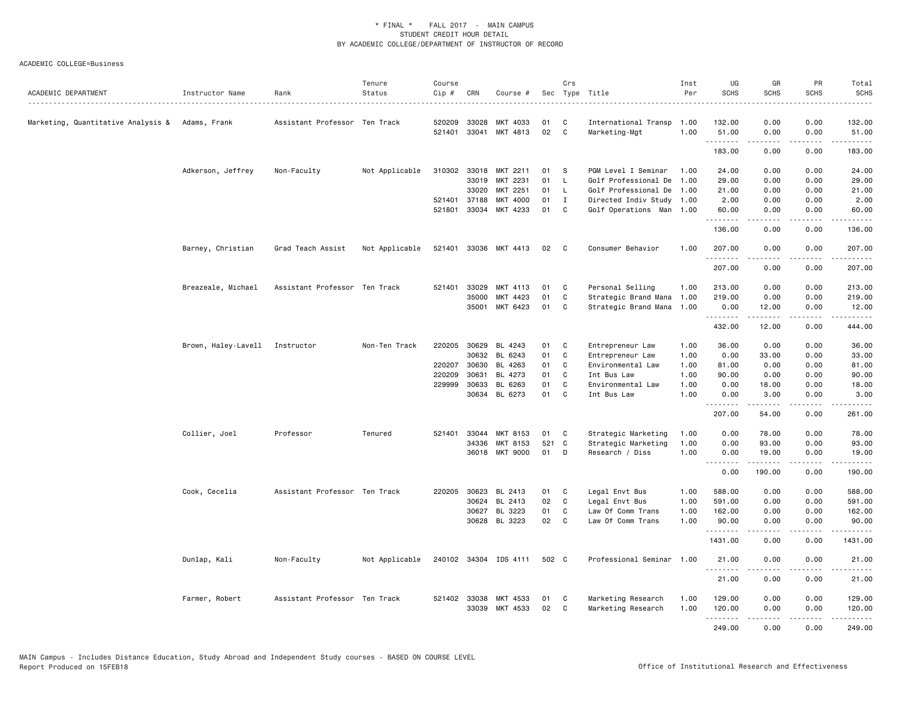| ACADEMIC DEPARTMENT                               | Instructor Name                | Rank                          | Tenure<br>Status | Course<br>Cip # | CRN          | Course #              |       | Crs          | Sec Type Title<br>.       | Inst<br>Per | UG<br><b>SCHS</b> | GR<br><b>SCHS</b>                                                                                                                                             | PR<br><b>SCHS</b>                   | Total<br><b>SCHS</b><br>$\frac{1}{2}$                                                                                                                                                                                                                                                                                                          |
|---------------------------------------------------|--------------------------------|-------------------------------|------------------|-----------------|--------------|-----------------------|-------|--------------|---------------------------|-------------|-------------------|---------------------------------------------------------------------------------------------------------------------------------------------------------------|-------------------------------------|------------------------------------------------------------------------------------------------------------------------------------------------------------------------------------------------------------------------------------------------------------------------------------------------------------------------------------------------|
| Marketing, Quantitative Analysis &   Adams, Frank |                                | Assistant Professor Ten Track |                  | 520209          | 33028        | MKT 4033              | 01    | C            | International Transp      | 1.00        | 132,00            | 0.00                                                                                                                                                          | 0.00                                | 132.00                                                                                                                                                                                                                                                                                                                                         |
|                                                   |                                |                               |                  |                 |              | 521401 33041 MKT 4813 | 02    | $\mathbf{C}$ | Marketing-Mgt             | 1.00        | 51.00<br>.        | 0.00<br>$\frac{1}{2} \left( \frac{1}{2} \right) \left( \frac{1}{2} \right) \left( \frac{1}{2} \right) \left( \frac{1}{2} \right) \left( \frac{1}{2} \right)$  | 0.00<br>.                           | 51.00<br>$- - - - - -$                                                                                                                                                                                                                                                                                                                         |
|                                                   |                                |                               |                  |                 |              |                       |       |              |                           |             | 183.00            | 0.00                                                                                                                                                          | 0.00                                | 183.00                                                                                                                                                                                                                                                                                                                                         |
|                                                   | Adkerson, Jeffrey              | Non-Faculty                   | Not Applicable   |                 | 310302 33018 | MKT 2211              | 01    | - S          | PGM Level I Seminar       | 1.00        | 24.00             | 0.00                                                                                                                                                          | 0.00                                | 24.00                                                                                                                                                                                                                                                                                                                                          |
|                                                   |                                |                               |                  |                 | 33019        | MKT 2231              | 01    | L            | Golf Professional De      | 1.00        | 29.00             | 0.00                                                                                                                                                          | 0.00                                | 29.00                                                                                                                                                                                                                                                                                                                                          |
|                                                   |                                |                               |                  |                 | 33020        | MKT 2251              | 01    | L            | Golf Professional De      | 1.00        | 21.00             | 0.00                                                                                                                                                          | 0.00                                | 21.00                                                                                                                                                                                                                                                                                                                                          |
|                                                   |                                |                               |                  |                 | 521401 37188 | MKT 4000              | 01    | $\mathbf I$  | Directed Indiv Study 1.00 |             | 2.00              | 0.00                                                                                                                                                          | 0.00                                | 2.00                                                                                                                                                                                                                                                                                                                                           |
|                                                   |                                |                               |                  | 521801          | 33034        | MKT 4233              | 01    | C            | Golf Operations Man       | 1.00        | 60.00<br>.        | 0.00                                                                                                                                                          | 0.00                                | 60.00                                                                                                                                                                                                                                                                                                                                          |
|                                                   |                                |                               |                  |                 |              |                       |       |              |                           |             | 136.00            | 0.00                                                                                                                                                          | 0.00                                | 136.00                                                                                                                                                                                                                                                                                                                                         |
|                                                   | Barney, Christian              | Grad Teach Assist             | Not Applicable   |                 |              | 521401 33036 MKT 4413 | 02    | $\mathbf{C}$ | Consumer Behavior         | 1.00        | 207.00<br>.       | 0.00                                                                                                                                                          | 0.00                                | 207.00                                                                                                                                                                                                                                                                                                                                         |
|                                                   |                                |                               |                  |                 |              |                       |       |              |                           |             | 207.00            | 0.00                                                                                                                                                          | 0.00                                | 207.00                                                                                                                                                                                                                                                                                                                                         |
|                                                   | Breazeale, Michael             | Assistant Professor Ten Track |                  |                 | 521401 33029 | MKT 4113              | 01    | C            | Personal Selling          | 1.00        | 213.00            | 0.00                                                                                                                                                          | 0.00                                | 213.00                                                                                                                                                                                                                                                                                                                                         |
|                                                   |                                |                               |                  |                 | 35000        | MKT 4423              | 01    | C            | Strategic Brand Mana 1.00 |             | 219.00            | 0.00                                                                                                                                                          | 0.00                                | 219.00                                                                                                                                                                                                                                                                                                                                         |
|                                                   |                                |                               |                  |                 | 35001        | MKT 6423              | 01    | C            | Strategic Brand Mana      | 1.00        | 0.00              | 12.00                                                                                                                                                         | 0.00                                | 12.00                                                                                                                                                                                                                                                                                                                                          |
|                                                   |                                |                               |                  |                 |              |                       |       |              |                           |             | .<br>432.00       | $\frac{1}{2} \left( \frac{1}{2} \right) \left( \frac{1}{2} \right) \left( \frac{1}{2} \right) \left( \frac{1}{2} \right) \left( \frac{1}{2} \right)$<br>12.00 | $\sim$ $\sim$ $\sim$ $\sim$<br>0.00 | $\frac{1}{2} \left( \begin{array}{ccc} 1 & 0 & 0 & 0 \\ 0 & 0 & 0 & 0 \\ 0 & 0 & 0 & 0 \\ 0 & 0 & 0 & 0 \\ 0 & 0 & 0 & 0 \\ 0 & 0 & 0 & 0 \\ 0 & 0 & 0 & 0 \\ 0 & 0 & 0 & 0 \\ 0 & 0 & 0 & 0 \\ 0 & 0 & 0 & 0 \\ 0 & 0 & 0 & 0 & 0 \\ 0 & 0 & 0 & 0 & 0 \\ 0 & 0 & 0 & 0 & 0 \\ 0 & 0 & 0 & 0 & 0 \\ 0 & 0 & 0 & 0 & 0 \\ 0 & 0 & 0$<br>444.00 |
|                                                   | Brown, Haley-Lavell Instructor |                               | Non-Ten Track    |                 | 220205 30629 | BL 4243               | 01    | C            | Entrepreneur Law          | 1.00        | 36.00             | 0.00                                                                                                                                                          | 0.00                                | 36.00                                                                                                                                                                                                                                                                                                                                          |
|                                                   |                                |                               |                  |                 | 30632        | BL 6243               | 01    | C            | Entrepreneur Law          | 1.00        | 0.00              | 33.00                                                                                                                                                         | 0.00                                | 33.00                                                                                                                                                                                                                                                                                                                                          |
|                                                   |                                |                               |                  |                 | 220207 30630 | BL 4263               | 01    | C            | Environmental Law         | 1.00        | 81.00             | 0.00                                                                                                                                                          | 0.00                                | 81.00                                                                                                                                                                                                                                                                                                                                          |
|                                                   |                                |                               |                  | 220209          | 30631        | BL 4273               | 01    | C.           | Int Bus Law               | 1.00        | 90.00             | 0.00                                                                                                                                                          | 0.00                                | 90.00                                                                                                                                                                                                                                                                                                                                          |
|                                                   |                                |                               |                  |                 | 229999 30633 | BL 6263               | 01    | C            | Environmental Law         | 1.00        | 0.00              | 18.00                                                                                                                                                         | 0.00                                | 18.00                                                                                                                                                                                                                                                                                                                                          |
|                                                   |                                |                               |                  |                 | 30634        | BL 6273               | 01    | C            | Int Bus Law               | 1.00        | 0.00<br>.         | 3.00<br>.                                                                                                                                                     | 0.00<br>.                           | 3.00<br>-----                                                                                                                                                                                                                                                                                                                                  |
|                                                   |                                |                               |                  |                 |              |                       |       |              |                           |             | 207.00            | 54.00                                                                                                                                                         | 0.00                                | 261.00                                                                                                                                                                                                                                                                                                                                         |
|                                                   | Collier, Joel                  | Professor                     | Tenured          | 521401          | 33044        | MKT 8153              | 01    | C            | Strategic Marketing       | 1.00        | 0.00              | 78.00                                                                                                                                                         | 0.00                                | 78.00                                                                                                                                                                                                                                                                                                                                          |
|                                                   |                                |                               |                  |                 | 34336        | MKT 8153              | 521 C |              | Strategic Marketing       | 1.00        | 0.00              | 93.00                                                                                                                                                         | 0.00                                | 93.00                                                                                                                                                                                                                                                                                                                                          |
|                                                   |                                |                               |                  |                 |              | 36018 MKT 9000        | 01    | D            | Research / Diss           | 1.00        | 0.00              | 19.00                                                                                                                                                         | 0.00                                | 19.00                                                                                                                                                                                                                                                                                                                                          |
|                                                   |                                |                               |                  |                 |              |                       |       |              |                           |             | .<br>0.00         | 190.00                                                                                                                                                        | $\sim$ $\sim$ $\sim$<br>0.00        | 190.00                                                                                                                                                                                                                                                                                                                                         |
|                                                   | Cook, Cecelia                  | Assistant Professor Ten Track |                  | 220205          | 30623        | BL 2413               | 01    | C            | Legal Envt Bus            | 1.00        | 588.00            | 0.00                                                                                                                                                          | 0.00                                | 588.00                                                                                                                                                                                                                                                                                                                                         |
|                                                   |                                |                               |                  |                 | 30624        | BL 2413               | 02    | C            | Legal Envt Bus            | 1.00        | 591.00            | 0.00                                                                                                                                                          | 0.00                                | 591.00                                                                                                                                                                                                                                                                                                                                         |
|                                                   |                                |                               |                  |                 | 30627        | BL 3223               | 01    | C            | Law Of Comm Trans         | 1.00        | 162.00            | 0.00                                                                                                                                                          | 0.00                                | 162.00                                                                                                                                                                                                                                                                                                                                         |
|                                                   |                                |                               |                  |                 | 30628        | BL 3223               | 02    | C            | Law Of Comm Trans         | 1.00        | 90.00             | 0.00                                                                                                                                                          | 0.00                                | 90.00                                                                                                                                                                                                                                                                                                                                          |
|                                                   |                                |                               |                  |                 |              |                       |       |              |                           |             | .<br>1431.00      | $\frac{1}{2} \left( \frac{1}{2} \right) \left( \frac{1}{2} \right) \left( \frac{1}{2} \right) \left( \frac{1}{2} \right) \left( \frac{1}{2} \right)$<br>0.00  | .<br>0.00                           | .<br>1431.00                                                                                                                                                                                                                                                                                                                                   |
|                                                   | Dunlap, Kali                   | Non-Faculty                   | Not Applicable   |                 |              | 240102 34304 IDS 4111 | 502 C |              | Professional Seminar      | 1.00        | 21.00<br>.        | 0.00                                                                                                                                                          | 0.00                                | 21.00                                                                                                                                                                                                                                                                                                                                          |
|                                                   |                                |                               |                  |                 |              |                       |       |              |                           |             | 21.00             | .<br>0.00                                                                                                                                                     | .<br>0.00                           | .<br>21.00                                                                                                                                                                                                                                                                                                                                     |
|                                                   | Farmer, Robert                 | Assistant Professor Ten Track |                  |                 | 521402 33038 | MKT 4533              | 01    | C            | Marketing Research        | 1.00        | 129.00            | 0.00                                                                                                                                                          | 0.00                                | 129.00                                                                                                                                                                                                                                                                                                                                         |
|                                                   |                                |                               |                  |                 |              | 33039 MKT 4533        | 02    | <b>C</b>     | Marketing Research        | 1.00        | 120.00            | 0.00                                                                                                                                                          | 0.00                                | 120.00                                                                                                                                                                                                                                                                                                                                         |
|                                                   |                                |                               |                  |                 |              |                       |       |              |                           |             | .                 | .                                                                                                                                                             | .                                   | .                                                                                                                                                                                                                                                                                                                                              |
|                                                   |                                |                               |                  |                 |              |                       |       |              |                           |             | 249.00            | 0.00                                                                                                                                                          | 0.00                                | 249.00                                                                                                                                                                                                                                                                                                                                         |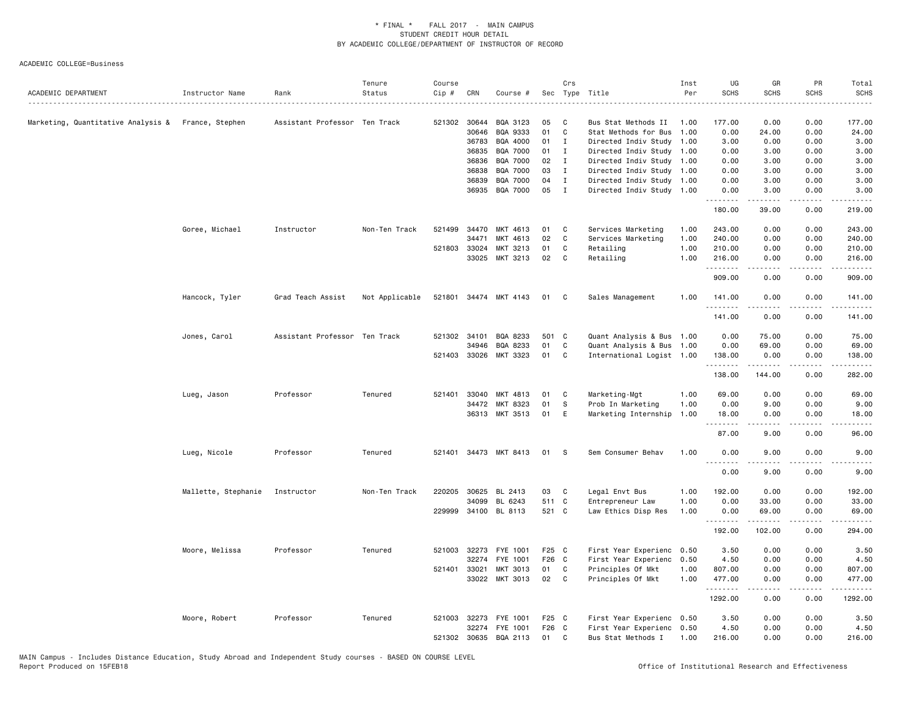| ACADEMIC DEPARTMENT                                | Instructor Name     | Rank                          | Tenure<br>Status | Course<br>$Cip$ # | CRN          | Course #              |       | Crs          | Sec Type Title            | Inst<br>Per | UG<br><b>SCHS</b> | GR<br><b>SCHS</b>                                                                                         | PR<br><b>SCHS</b> | Total<br><b>SCHS</b>                                                                                                                                                                      |
|----------------------------------------------------|---------------------|-------------------------------|------------------|-------------------|--------------|-----------------------|-------|--------------|---------------------------|-------------|-------------------|-----------------------------------------------------------------------------------------------------------|-------------------|-------------------------------------------------------------------------------------------------------------------------------------------------------------------------------------------|
| Marketing, Quantitative Analysis & France, Stephen |                     | Assistant Professor Ten Track |                  |                   | 521302 30644 | BQA 3123              | 05    | C            | Bus Stat Methods II       | 1.00        | 177.00            | 0.00                                                                                                      | 0.00              | 177.00                                                                                                                                                                                    |
|                                                    |                     |                               |                  |                   | 30646        | BQA 9333              | 01    | C            | Stat Methods for Bus      | 1.00        | 0.00              | 24.00                                                                                                     | 0.00              | 24.00                                                                                                                                                                                     |
|                                                    |                     |                               |                  |                   | 36783        | BQA 4000              | 01    | $\mathbf{I}$ | Directed Indiv Study 1.00 |             | 3.00              | 0.00                                                                                                      | 0.00              | 3.00                                                                                                                                                                                      |
|                                                    |                     |                               |                  |                   | 36835        | <b>BQA 7000</b>       | 01    | I            | Directed Indiv Study 1.00 |             | 0.00              | 3.00                                                                                                      | 0.00              | 3.00                                                                                                                                                                                      |
|                                                    |                     |                               |                  |                   | 36836        | BQA 7000              | 02    | I            | Directed Indiv Study 1.00 |             | 0.00              | 3.00                                                                                                      | 0.00              | 3.00                                                                                                                                                                                      |
|                                                    |                     |                               |                  |                   | 36838        | BQA 7000              | 03    | I            | Directed Indiv Study 1.00 |             | 0.00              | 3.00                                                                                                      | 0.00              | 3.00                                                                                                                                                                                      |
|                                                    |                     |                               |                  |                   | 36839        | <b>BQA 7000</b>       | 04    | $\mathbf I$  | Directed Indiv Study 1.00 |             | 0.00              | 3.00                                                                                                      | 0.00              | 3.00                                                                                                                                                                                      |
|                                                    |                     |                               |                  |                   | 36935        | BQA 7000              | 05    | $\mathbf{I}$ | Directed Indiv Study 1.00 |             | 0.00<br>.         | 3.00<br>$\begin{array}{cccccccccc} \bullet & \bullet & \bullet & \bullet & \bullet & \bullet \end{array}$ | 0.00<br>.         | 3.00<br>.                                                                                                                                                                                 |
|                                                    |                     |                               |                  |                   |              |                       |       |              |                           |             | 180.00            | 39.00                                                                                                     | 0.00              | 219.00                                                                                                                                                                                    |
|                                                    | Goree, Michael      | Instructor                    | Non-Ten Track    | 521499            | 34470        | MKT 4613              | 01    | C            | Services Marketing        | 1.00        | 243.00            | 0.00                                                                                                      | 0.00              | 243.00                                                                                                                                                                                    |
|                                                    |                     |                               |                  |                   | 34471        | MKT 4613              | 02    | C            | Services Marketing        | 1.00        | 240.00            | 0.00                                                                                                      | 0.00              | 240.00                                                                                                                                                                                    |
|                                                    |                     |                               |                  | 521803            | 33024        | MKT 3213              | 01    | C            | Retailing                 | 1.00        | 210.00            | 0.00                                                                                                      | 0.00              | 210.00                                                                                                                                                                                    |
|                                                    |                     |                               |                  |                   | 33025        | MKT 3213              | 02    | C            | Retailing                 | 1.00        | 216.00<br>.       | 0.00                                                                                                      | 0.00              | 216.00<br>الداعات عالما                                                                                                                                                                   |
|                                                    |                     |                               |                  |                   |              |                       |       |              |                           |             | 909.00            | 0.00                                                                                                      | 0.00              | 909.00                                                                                                                                                                                    |
|                                                    | Hancock, Tyler      | Grad Teach Assist             | Not Applicable   |                   |              | 521801 34474 MKT 4143 | 01    | C            | Sales Management          | 1.00        | 141.00            | 0.00                                                                                                      | 0.00              | 141.00                                                                                                                                                                                    |
|                                                    |                     |                               |                  |                   |              |                       |       |              |                           |             | .<br>141.00       | 0.00                                                                                                      | $- - - -$<br>0.00 | .<br>141.00                                                                                                                                                                               |
|                                                    | Jones, Carol        | Assistant Professor Ten Track |                  | 521302 34101      |              | BQA 8233              | 501 C |              | Quant Analysis & Bus 1.00 |             | 0.00              | 75.00                                                                                                     | 0.00              | 75.00                                                                                                                                                                                     |
|                                                    |                     |                               |                  |                   | 34946        | BQA 8233              | 01    | $\mathtt{C}$ | Quant Analysis & Bus 1.00 |             | 0.00              | 69.00                                                                                                     | 0.00              | 69.00                                                                                                                                                                                     |
|                                                    |                     |                               |                  |                   |              | 521403 33026 MKT 3323 | 01    | C            | International Logist 1.00 |             | 138.00<br>.       | 0.00<br>.                                                                                                 | 0.00<br>.         | 138.00<br>$\frac{1}{2} \left( \frac{1}{2} \right) \left( \frac{1}{2} \right) \left( \frac{1}{2} \right) \left( \frac{1}{2} \right) \left( \frac{1}{2} \right) \left( \frac{1}{2} \right)$ |
|                                                    |                     |                               |                  |                   |              |                       |       |              |                           |             | 138.00            | 144.00                                                                                                    | 0.00              | 282.00                                                                                                                                                                                    |
|                                                    | Lueg, Jason         | Professor                     | Tenured          | 521401            | 33040        | MKT 4813              | 01    | C            | Marketing-Mgt             | 1.00        | 69.00             | 0.00                                                                                                      | 0.00              | 69.00                                                                                                                                                                                     |
|                                                    |                     |                               |                  |                   | 34472        | MKT 8323              | 01    | S            | Prob In Marketing         | 1.00        | 0.00              | 9.00                                                                                                      | 0.00              | 9.00                                                                                                                                                                                      |
|                                                    |                     |                               |                  |                   |              | 36313 MKT 3513        | 01    | E            | Marketing Internship      | 1.00        | 18.00<br>.        | 0.00<br>$- - - - -$                                                                                       | 0.00<br>.         | 18.00<br>.                                                                                                                                                                                |
|                                                    |                     |                               |                  |                   |              |                       |       |              |                           |             | 87.00             | 9.00                                                                                                      | 0.00              | 96.00                                                                                                                                                                                     |
|                                                    | Lueg, Nicole        | Professor                     | Tenured          | 521401            |              | 34473 MKT 8413        | 01    | -S           | Sem Consumer Behav        | 1.00        | 0.00<br>.         | 9.00<br>.                                                                                                 | 0.00<br>- - - -   | 9.00                                                                                                                                                                                      |
|                                                    |                     |                               |                  |                   |              |                       |       |              |                           |             | 0.00              | 9.00                                                                                                      | 0.00              | 9.00                                                                                                                                                                                      |
|                                                    | Mallette, Stephanie | Instructor                    | Non-Ten Track    | 220205            | 30625        | BL 2413               | 03    | C            | Legal Envt Bus            | 1.00        | 192.00            | 0.00                                                                                                      | 0.00              | 192.00                                                                                                                                                                                    |
|                                                    |                     |                               |                  |                   | 34099        | BL 6243               | 511 C |              | Entrepreneur Law          | 1.00        | 0.00              | 33.00                                                                                                     | 0.00              | 33.00                                                                                                                                                                                     |
|                                                    |                     |                               |                  |                   |              | 229999 34100 BL 8113  | 521 C |              | Law Ethics Disp Res       | 1.00        | 0.00<br><u>.</u>  | 69.00<br><u>.</u>                                                                                         | 0.00<br>.         | 69.00<br>.                                                                                                                                                                                |
|                                                    |                     |                               |                  |                   |              |                       |       |              |                           |             | 192.00            | 102.00                                                                                                    | 0.00              | 294.00                                                                                                                                                                                    |
|                                                    | Moore, Melissa      | Professor                     | Tenured          |                   | 521003 32273 | FYE 1001              | F25 C |              | First Year Experienc 0.50 |             | 3.50              | 0.00                                                                                                      | 0.00              | 3.50                                                                                                                                                                                      |
|                                                    |                     |                               |                  |                   | 32274        | FYE 1001              | F26 C |              | First Year Experienc      | 0.50        | 4.50              | 0.00                                                                                                      | 0.00              | 4.50                                                                                                                                                                                      |
|                                                    |                     |                               |                  | 521401 33021      |              | MKT 3013              | 01    | C            | Principles Of Mkt         | 1.00        | 807.00            | 0.00                                                                                                      | 0.00              | 807.00                                                                                                                                                                                    |
|                                                    |                     |                               |                  |                   |              | 33022 MKT 3013        | 02    | C            | Principles Of Mkt         | 1.00        | 477.00<br>.       | 0.00<br>$- - - - -$                                                                                       | 0.00<br>.         | 477.00<br>.                                                                                                                                                                               |
|                                                    |                     |                               |                  |                   |              |                       |       |              |                           |             | 1292.00           | 0.00                                                                                                      | 0.00              | 1292.00                                                                                                                                                                                   |
|                                                    | Moore, Robert       | Professor                     | Tenured          |                   | 521003 32273 | FYE 1001              | F25 C |              | First Year Experienc 0.50 |             | 3.50              | 0.00                                                                                                      | 0.00              | 3.50                                                                                                                                                                                      |
|                                                    |                     |                               |                  |                   | 32274        | FYE 1001              | F26 C |              | First Year Experienc 0.50 |             | 4.50              | 0.00                                                                                                      | 0.00              | 4.50                                                                                                                                                                                      |
|                                                    |                     |                               |                  |                   | 521302 30635 | BQA 2113              | 01    | C            | Bus Stat Methods I        | 1.00        | 216.00            | 0.00                                                                                                      | 0.00              | 216.00                                                                                                                                                                                    |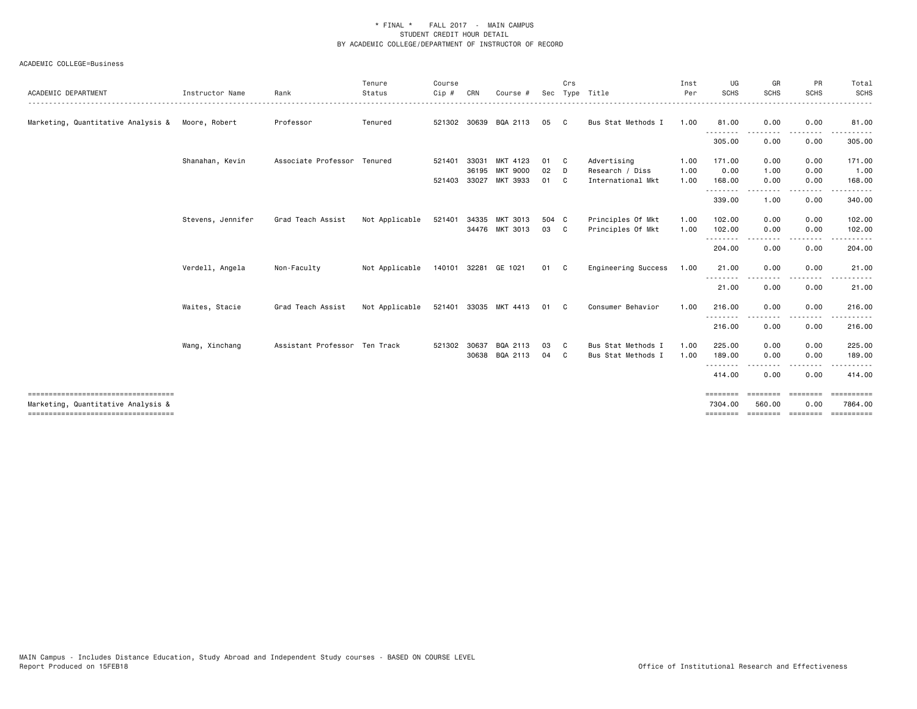| ACADEMIC DEPARTMENT                                                        | Instructor Name   | Rank                          | Tenure<br>Status | Course<br>Cip# | CRN   | Course #                                 | Sec         | Crs      | Type Title                           | Inst<br>Per  | UG<br><b>SCHS</b>     | GR<br><b>SCHS</b>  | PR<br><b>SCHS</b>      | Total<br><b>SCHS</b>             |
|----------------------------------------------------------------------------|-------------------|-------------------------------|------------------|----------------|-------|------------------------------------------|-------------|----------|--------------------------------------|--------------|-----------------------|--------------------|------------------------|----------------------------------|
| Marketing, Quantitative Analysis &                                         | Moore, Robert     | Professor                     | Tenured          | 521302 30639   |       | BQA 2113                                 | 05          | - C      | Bus Stat Methods I                   | 1.00         | 81.00                 | 0.00               | 0.00                   | 81.00                            |
|                                                                            |                   |                               |                  |                |       |                                          |             |          |                                      |              | .<br>305.00           | 0.00               | ----<br>0.00           | 305.00                           |
|                                                                            | Shanahan, Kevin   | Associate Professor Tenured   |                  | 521401         | 33031 | MKT 4123                                 | 01          | <b>C</b> | Advertising                          | 1.00         | 171.00                | 0.00               | 0.00                   | 171.00                           |
|                                                                            |                   |                               |                  |                | 36195 | <b>MKT 9000</b><br>521403 33027 MKT 3933 | 02<br>01    | D<br>C   | Research / Diss<br>International Mkt | 1.00<br>1.00 | 0.00<br>168.00        | 1.00<br>0.00       | 0.00<br>0.00           | 1.00<br>168.00                   |
|                                                                            |                   |                               |                  |                |       |                                          |             |          |                                      |              | .<br>339.00           | 1.00               | $- - - -$<br>0.00      | . <u>.</u> .<br>340.00           |
|                                                                            | Stevens, Jennifer | Grad Teach Assist             | Not Applicable   | 521401         |       | 34335 MKT 3013<br>34476 MKT 3013         | 504 C<br>03 | C.       | Principles Of Mkt                    | 1.00<br>1.00 | 102.00                | 0.00               | 0.00                   | 102.00                           |
|                                                                            |                   |                               |                  |                |       |                                          |             |          | Principles Of Mkt                    |              | 102.00<br>.<br>204.00 | 0.00<br>0.00       | 0.00<br>----<br>0.00   | 102.00<br>204.00                 |
|                                                                            | Verdell, Angela   | Non-Faculty                   | Not Applicable   |                |       | 140101 32281 GE 1021                     | 01 C        |          | Engineering Success                  | 1.00         | 21.00                 | 0.00               | 0.00                   | 21.00                            |
|                                                                            |                   |                               |                  |                |       |                                          |             |          |                                      |              | 21.00                 | 0.00               | 0.00                   | 21.00                            |
|                                                                            | Waites, Stacie    | Grad Teach Assist             | Not Applicable   |                |       | 521401 33035 MKT 4413                    | 01          | C.       | Consumer Behavior                    | 1.00         | 216.00                | 0.00               | 0.00                   | 216.00                           |
|                                                                            |                   |                               |                  |                |       |                                          |             |          |                                      |              | 216.00                | 0.00               | 0.00                   | 216.00                           |
|                                                                            | Wang, Xinchang    | Assistant Professor Ten Track |                  | 521302 30637   |       | BQA 2113                                 | 03          | - C      | Bus Stat Methods I                   | 1.00         | 225.00                | 0.00               | 0.00                   | 225.00                           |
|                                                                            |                   |                               |                  |                | 30638 | BQA 2113                                 | 04          | C        | Bus Stat Methods I                   | 1.00         | 189.00                | 0.00               | 0.00<br>$\frac{1}{2}$  | 189.00<br>.                      |
|                                                                            |                   |                               |                  |                |       |                                          |             |          |                                      |              | 414.00                | 0.00               | 0.00                   | 414.00                           |
| ====================================<br>Marketing, Quantitative Analysis & |                   |                               |                  |                |       |                                          |             |          |                                      |              | ========<br>7304.00   | ========<br>560.00 | <b>ESSESSE</b><br>0.00 | $=$ = = = = = = = = =<br>7864.00 |
| ====================================                                       |                   |                               |                  |                |       |                                          |             |          |                                      |              | ========              | SESSESSE SESSESSE  |                        | $=$ = = = = = = = = = =          |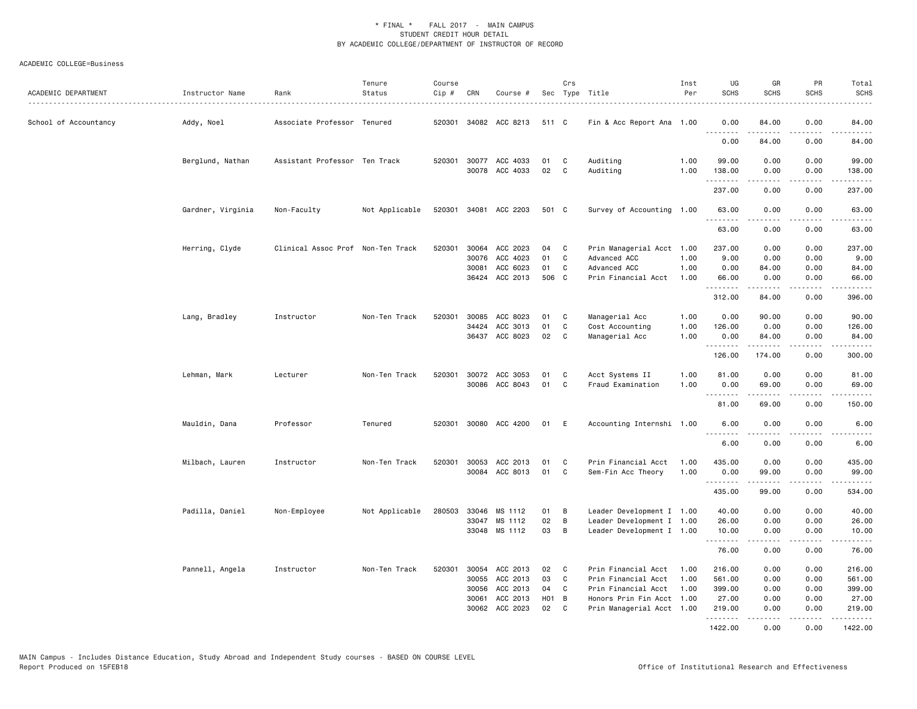| ACADEMIC DEPARTMENT   | Instructor Name   | Rank                              | Tenure<br>Status | Course<br>Cip # | CRN   | Course #                                |                  | Crs    | Sec Type Title            | Inst<br>Per  | UG<br><b>SCHS</b>                   | GR<br><b>SCHS</b>                                                                                                                                            | PR<br><b>SCHS</b>                   | Total<br><b>SCHS</b> |
|-----------------------|-------------------|-----------------------------------|------------------|-----------------|-------|-----------------------------------------|------------------|--------|---------------------------|--------------|-------------------------------------|--------------------------------------------------------------------------------------------------------------------------------------------------------------|-------------------------------------|----------------------|
| School of Accountancy | Addy, Noel        | Associate Professor Tenured       |                  | 520301          |       | 34082 ACC 8213                          | 511 C            |        | Fin & Acc Report Ana 1.00 |              | 0.00                                | 84.00                                                                                                                                                        | 0.00                                | 84.00                |
|                       |                   |                                   |                  |                 |       |                                         |                  |        |                           |              | $\sim$ $\sim$ $\sim$ $\sim$<br>0.00 | 84.00                                                                                                                                                        | .<br>0.00                           | 84.00                |
|                       | Berglund, Nathan  | Assistant Professor Ten Track     |                  |                 |       | 520301 30077 ACC 4033<br>30078 ACC 4033 | 01<br>02         | C<br>C | Auditing<br>Auditing      | 1.00<br>1.00 | 99.00<br>138.00                     | 0.00<br>0.00                                                                                                                                                 | 0.00<br>0.00                        | 99.00<br>138.00      |
|                       |                   |                                   |                  |                 |       |                                         |                  |        |                           |              | .<br>237.00                         | 0.00                                                                                                                                                         | .<br>0.00                           | 237.00               |
|                       | Gardner, Virginia | Non-Faculty                       | Not Applicable   | 520301          |       | 34081 ACC 2203                          | 501 C            |        | Survey of Accounting 1.00 |              | 63.00                               | 0.00                                                                                                                                                         | 0.00                                | 63.00                |
|                       |                   |                                   |                  |                 |       |                                         |                  |        |                           |              | .<br>63.00                          | 0.00                                                                                                                                                         | 0.00                                | .<br>63.00           |
|                       | Herring, Clyde    | Clinical Assoc Prof Non-Ten Track |                  | 520301          |       | 30064 ACC 2023                          | 04               | C      | Prin Managerial Acct 1.00 |              | 237.00                              | 0.00                                                                                                                                                         | 0.00                                | 237.00               |
|                       |                   |                                   |                  |                 | 30076 | ACC 4023                                | 01               | C      | Advanced ACC              | 1.00         | 9.00                                | 0.00                                                                                                                                                         | 0.00                                | 9.00                 |
|                       |                   |                                   |                  |                 | 30081 | ACC 6023                                | 01               | C      | Advanced ACC              | 1.00         | 0.00                                | 84.00                                                                                                                                                        | 0.00                                | 84.00                |
|                       |                   |                                   |                  |                 |       | 36424 ACC 2013                          | 506 C            |        | Prin Financial Acct       | 1.00         | 66.00<br><u>.</u>                   | 0.00<br>$\frac{1}{2} \left( \frac{1}{2} \right) \left( \frac{1}{2} \right) \left( \frac{1}{2} \right) \left( \frac{1}{2} \right) \left( \frac{1}{2} \right)$ | 0.00<br>$\sim$ $\sim$ $\sim$        | 66.00<br>.           |
|                       |                   |                                   |                  |                 |       |                                         |                  |        |                           |              | 312.00                              | 84.00                                                                                                                                                        | 0.00                                | 396.00               |
|                       | Lang, Bradley     | Instructor                        | Non-Ten Track    | 520301          | 30085 | ACC 8023                                | 01               | C      | Managerial Acc            | 1.00         | 0.00                                | 90.00                                                                                                                                                        | 0.00                                | 90.00                |
|                       |                   |                                   |                  |                 | 34424 | ACC 3013                                | 01               | C      | Cost Accounting           | 1.00         | 126.00                              | 0.00                                                                                                                                                         | 0.00                                | 126.00               |
|                       |                   |                                   |                  |                 |       | 36437 ACC 8023                          | 02               | C      | Managerial Acc            | 1.00         | 0.00                                | 84.00                                                                                                                                                        | 0.00                                | 84.00                |
|                       |                   |                                   |                  |                 |       |                                         |                  |        |                           |              | . <b>.</b>                          | .                                                                                                                                                            | .                                   | <u>.</u>             |
|                       |                   |                                   |                  |                 |       |                                         |                  |        |                           |              | 126.00                              | 174.00                                                                                                                                                       | 0.00                                | 300.00               |
|                       | Lehman, Mark      | Lecturer                          | Non-Ten Track    | 520301          |       | 30072 ACC 3053                          | 01               | C      | Acct Systems II           | 1.00         | 81.00                               | 0.00                                                                                                                                                         | 0.00                                | 81.00                |
|                       |                   |                                   |                  |                 |       | 30086 ACC 8043                          | 01               | C      | Fraud Examination         | 1.00         | 0.00<br>.                           | 69.00<br>.                                                                                                                                                   | 0.00<br>$\sim$ $\sim$ $\sim$ $\sim$ | 69.00<br>.           |
|                       |                   |                                   |                  |                 |       |                                         |                  |        |                           |              | 81.00                               | 69.00                                                                                                                                                        | 0.00                                | 150.00               |
|                       | Mauldin, Dana     | Professor                         | Tenured          | 520301          |       | 30080 ACC 4200                          | 01               | E      | Accounting Internshi 1.00 |              | 6.00<br><u>.</u>                    | 0.00                                                                                                                                                         | 0.00                                | 6.00<br>$\cdots$     |
|                       |                   |                                   |                  |                 |       |                                         |                  |        |                           |              | 6.00                                | 0.00                                                                                                                                                         | 0.00                                | 6.00                 |
|                       | Milbach, Lauren   | Instructor                        | Non-Ten Track    | 520301          | 30053 | ACC 2013                                | 01               | C      | Prin Financial Acct       | 1.00         | 435.00                              | 0.00                                                                                                                                                         | 0.00                                | 435.00               |
|                       |                   |                                   |                  |                 |       | 30084 ACC 8013                          | 01               | C      | Sem-Fin Acc Theory        | 1.00         | 0.00                                | 99.00                                                                                                                                                        | 0.00                                | 99.00                |
|                       |                   |                                   |                  |                 |       |                                         |                  |        |                           |              | .                                   | المستمين                                                                                                                                                     | .                                   | .                    |
|                       |                   |                                   |                  |                 |       |                                         |                  |        |                           |              | 435.00                              | 99.00                                                                                                                                                        | 0.00                                | 534.00               |
|                       | Padilla, Daniel   | Non-Employee                      | Not Applicable   | 280503          | 33046 | MS 1112                                 | 01               | В      | Leader Development I 1.00 |              | 40.00                               | 0.00                                                                                                                                                         | 0.00                                | 40.00                |
|                       |                   |                                   |                  |                 | 33047 | MS 1112                                 | 02               | в      | Leader Development I 1.00 |              | 26.00                               | 0.00                                                                                                                                                         | 0.00                                | 26.00                |
|                       |                   |                                   |                  |                 |       | 33048 MS 1112                           | 03               | B      | Leader Development I 1.00 |              | 10.00<br>.                          | 0.00<br>.                                                                                                                                                    | 0.00<br>.                           | 10.00<br>.           |
|                       |                   |                                   |                  |                 |       |                                         |                  |        |                           |              | 76.00                               | 0.00                                                                                                                                                         | 0.00                                | 76.00                |
|                       | Pannell, Angela   | Instructor                        | Non-Ten Track    | 520301          | 30054 | ACC 2013                                | 02               | C      | Prin Financial Acct       | 1.00         | 216.00                              | 0.00                                                                                                                                                         | 0.00                                | 216.00               |
|                       |                   |                                   |                  |                 |       | 30055 ACC 2013                          | 03               | C      | Prin Financial Acct       | 1.00         | 561.00                              | 0.00                                                                                                                                                         | 0.00                                | 561.00               |
|                       |                   |                                   |                  |                 | 30056 | ACC 2013                                | 04               | C      | Prin Financial Acct       | 1.00         | 399.00                              | 0.00                                                                                                                                                         | 0.00                                | 399.00               |
|                       |                   |                                   |                  |                 | 30061 | ACC 2013                                | H <sub>0</sub> 1 | - B    | Honors Prin Fin Acct 1.00 |              | 27.00                               | 0.00                                                                                                                                                         | 0.00                                | 27.00                |
|                       |                   |                                   |                  |                 |       | 30062 ACC 2023                          | 02               | C      | Prin Managerial Acct 1.00 |              | 219.00                              | 0.00                                                                                                                                                         | 0.00                                | 219.00               |
|                       |                   |                                   |                  |                 |       |                                         |                  |        |                           |              | .                                   | <u>.</u>                                                                                                                                                     | .                                   | .                    |
|                       |                   |                                   |                  |                 |       |                                         |                  |        |                           |              | 1422.00                             | 0.00                                                                                                                                                         | 0.00                                | 1422.00              |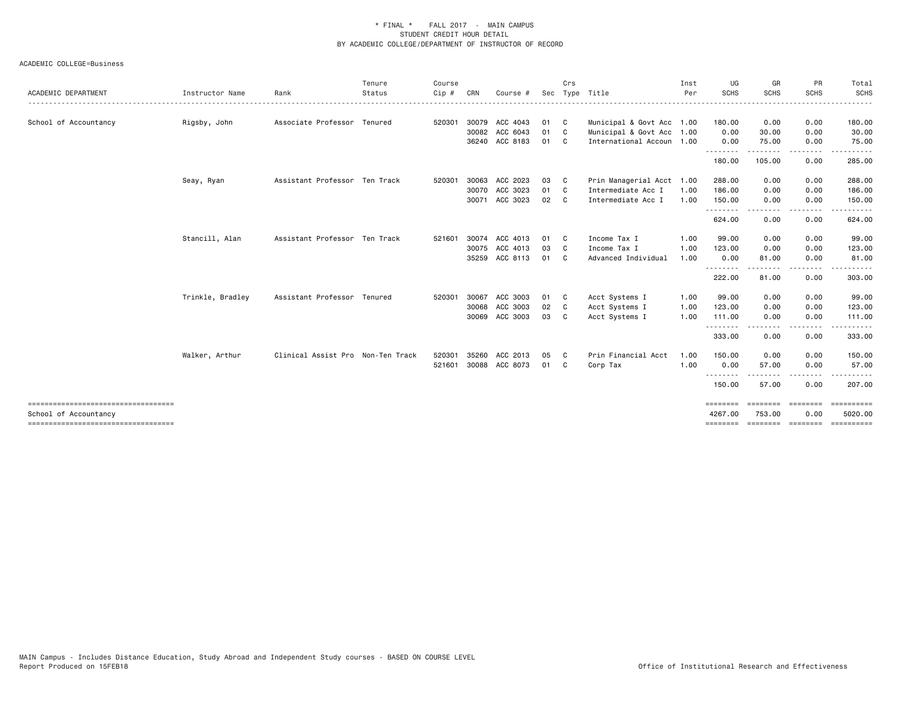|                                                             |                  |                                   | Tenure | Course |       |                |     | Crs |                           | Inst | UG                      | GR                 | PR                         | Total                 |
|-------------------------------------------------------------|------------------|-----------------------------------|--------|--------|-------|----------------|-----|-----|---------------------------|------|-------------------------|--------------------|----------------------------|-----------------------|
| ACADEMIC DEPARTMENT                                         | Instructor Name  | Rank                              | Status | Cip #  | CRN   | Course #       | Sec |     | Type Title                | Per  | <b>SCHS</b>             | <b>SCHS</b>        | <b>SCHS</b>                | SCHS                  |
| School of Accountancy                                       | Rigsby, John     | Associate Professor Tenured       |        | 520301 |       | 30079 ACC 4043 | 01  | C   | Municipal & Govt Acc 1.00 |      | 180.00                  | 0.00               | 0.00                       | 180.00                |
|                                                             |                  |                                   |        |        | 30082 | ACC 6043       | 01  | C   | Municipal & Govt Acc 1.00 |      | 0.00                    | 30.00              | 0.00                       | 30.00                 |
|                                                             |                  |                                   |        |        |       | 36240 ACC 8183 | 01  | C   | International Accoun 1.00 |      | 0.00                    | 75.00              | 0.00                       | 75.00                 |
|                                                             |                  |                                   |        |        |       |                |     |     |                           |      | .<br>180.00             | .<br>105.00        | $\cdots$<br>0.00           | .<br>285.00           |
|                                                             | Seay, Ryan       | Assistant Professor Ten Track     |        | 520301 | 30063 | ACC 2023       | 03  | C   | Prin Managerial Acct 1.00 |      | 288.00                  | 0.00               | 0.00                       | 288.00                |
|                                                             |                  |                                   |        |        | 30070 | ACC 3023       | 01  | C   | Intermediate Acc I        | 1.00 | 186.00                  | 0.00               | 0.00                       | 186.00                |
|                                                             |                  |                                   |        |        |       | 30071 ACC 3023 | 02  | C   | Intermediate Acc I        | 1.00 | 150.00                  | 0.00               | 0.00                       | 150.00                |
|                                                             |                  |                                   |        |        |       |                |     |     |                           |      | $\frac{1}{2}$<br>624.00 | 0.00               | 0.00                       | 624.00                |
|                                                             | Stancill, Alan   | Assistant Professor Ten Track     |        | 521601 |       | 30074 ACC 4013 | 01  | - C | Income Tax I              | 1.00 | 99.00                   | 0.00               | 0.00                       | 99.00                 |
|                                                             |                  |                                   |        |        |       | 30075 ACC 4013 | 03  | C   | Income Tax I              | 1.00 | 123.00                  | 0.00               | 0.00                       | 123.00                |
|                                                             |                  |                                   |        |        |       | 35259 ACC 8113 | 01  | C   | Advanced Individual       | 1.00 | 0.00                    | 81.00              | 0.00                       | 81.00                 |
|                                                             |                  |                                   |        |        |       |                |     |     |                           |      | <u>.</u><br>222.00      | - - - - -<br>81.00 | . <b>.</b><br>0.00         | .<br>303.00           |
|                                                             | Trinkle, Bradley | Assistant Professor Tenured       |        | 520301 | 30067 | ACC 3003       | 01  | C   | Acct Systems I            | 1.00 | 99.00                   | 0.00               | 0.00                       | 99.00                 |
|                                                             |                  |                                   |        |        | 30068 | ACC 3003       | 02  | C   | Acct Systems I            | 1.00 | 123.00                  | 0.00               | 0.00                       | 123.00                |
|                                                             |                  |                                   |        |        | 30069 | ACC 3003       | 03  | C.  | Acct Systems I            | 1.00 | 111.00                  | 0.00               | 0.00                       | 111.00                |
|                                                             |                  |                                   |        |        |       |                |     |     |                           |      | .<br>333.00             | $\cdots$<br>0.00   | ----<br>0.00               | .<br>333.00           |
|                                                             | Walker, Arthur   | Clinical Assist Pro Non-Ten Track |        | 520301 | 35260 | ACC 2013       | 05  | C   | Prin Financial Acct       | 1.00 | 150.00                  | 0.00               | 0.00                       | 150.00                |
|                                                             |                  |                                   |        | 521601 |       | 30088 ACC 8073 | 01  | C   | Corp Tax                  | 1.00 | 0.00                    | 57.00              | 0.00                       | 57.00                 |
|                                                             |                  |                                   |        |        |       |                |     |     |                           |      | 150.00                  | 57.00              | 0.00                       | 207.00                |
| ====================================                        |                  |                                   |        |        |       |                |     |     |                           |      | ========                | ========           | ========                   | ==========            |
| School of Accountancy<br>---------------------------------- |                  |                                   |        |        |       |                |     |     |                           |      | 4267.00<br>========     | 753.00             | 0.00<br>--------- -------- | 5020.00<br>========== |
|                                                             |                  |                                   |        |        |       |                |     |     |                           |      |                         |                    |                            |                       |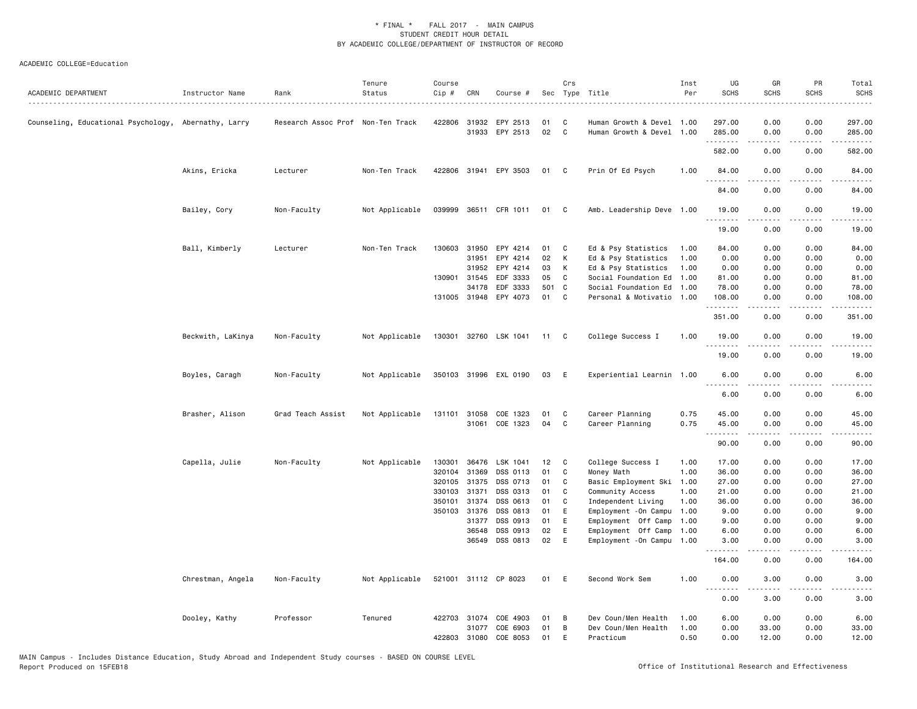| ACADEMIC DEPARTMENT                                  | Instructor Name   | Rank                              | Tenure<br>Status | Course<br>Cip # | CRN          | Course #              |       | Crs            | Sec Type Title             | Inst<br>Per | UG<br><b>SCHS</b>                             | GR<br><b>SCHS</b>   | PR<br><b>SCHS</b>  | Total<br><b>SCHS</b>   |
|------------------------------------------------------|-------------------|-----------------------------------|------------------|-----------------|--------------|-----------------------|-------|----------------|----------------------------|-------------|-----------------------------------------------|---------------------|--------------------|------------------------|
| Counseling, Educational Psychology, Abernathy, Larry |                   | Research Assoc Prof Non-Ten Track |                  | 422806          | 31932        | EPY 2513              | 01    | C              | Human Growth & Devel 1.00  |             | 297.00                                        | 0.00                | 0.00               | 297.00                 |
|                                                      |                   |                                   |                  |                 |              | 31933 EPY 2513        | 02    | C              | Human Growth & Devel 1.00  |             | 285.00                                        | 0.00                | 0.00               | 285.00                 |
|                                                      |                   |                                   |                  |                 |              |                       |       |                |                            |             | .<br>582.00                                   | 0.00                | .<br>0.00          | 582.00                 |
|                                                      | Akins, Ericka     | Lecturer                          | Non-Ten Track    |                 |              | 422806 31941 EPY 3503 | 01    | $\mathbf{C}$   | Prin Of Ed Psych           | 1.00        | 84.00                                         | 0.00                | 0.00               | 84.00                  |
|                                                      |                   |                                   |                  |                 |              |                       |       |                |                            |             | .<br>84.00                                    | .<br>0.00           | .<br>0.00          | .<br>84.00             |
|                                                      | Bailey, Cory      | Non-Faculty                       | Not Applicable   | 039999          |              | 36511 CFR 1011        | 01    | $\mathbf{C}$   | Amb. Leadership Deve 1.00  |             | 19.00                                         | 0.00                | 0.00               | 19.00                  |
|                                                      |                   |                                   |                  |                 |              |                       |       |                |                            |             | .<br>19.00                                    | .<br>0.00           | $\cdots$<br>0.00   | $\frac{1}{2}$<br>19.00 |
|                                                      | Ball, Kimberly    | Lecturer                          | Non-Ten Track    | 130603          | 31950        | EPY 4214              | 01    | C              | Ed & Psy Statistics        | 1.00        | 84.00                                         | 0.00                | 0.00               | 84.00                  |
|                                                      |                   |                                   |                  |                 | 31951        | EPY 4214              | 02    | К              | Ed & Psy Statistics        | 1.00        | 0.00                                          | 0.00                | 0.00               | 0.00                   |
|                                                      |                   |                                   |                  |                 | 31952        | EPY 4214              | 03    | К              | Ed & Psy Statistics        | 1.00        | 0.00                                          | 0.00                | 0.00               | 0.00                   |
|                                                      |                   |                                   |                  |                 | 130901 31545 | EDF 3333              | 05    | C              | Social Foundation Ed 1.00  |             | 81.00                                         | 0.00                | 0.00               | 81.00                  |
|                                                      |                   |                                   |                  |                 | 34178        | EDF 3333              | 501 C |                | Social Foundation Ed 1.00  |             | 78.00                                         | 0.00                | 0.00               | 78.00                  |
|                                                      |                   |                                   |                  |                 | 131005 31948 | EPY 4073              | 01    | C <sub>c</sub> | Personal & Motivatio 1.00  |             | 108.00<br>.                                   | 0.00<br>.           | 0.00<br>.          | 108.00<br><u>.</u>     |
|                                                      |                   |                                   |                  |                 |              |                       |       |                |                            |             | 351.00                                        | 0.00                | 0.00               | 351.00                 |
|                                                      | Beckwith, LaKinya | Non-Faculty                       | Not Applicable   |                 |              | 130301 32760 LSK 1041 | 11 C  |                | College Success I          | 1.00        | 19.00<br><u>.</u>                             | 0.00                | 0.00<br>. <b>.</b> | 19.00                  |
|                                                      |                   |                                   |                  |                 |              |                       |       |                |                            |             | 19.00                                         | 0.00                | 0.00               | 19.00                  |
|                                                      | Boyles, Caragh    | Non-Faculty                       | Not Applicable   |                 |              | 350103 31996 EXL 0190 | 03    | - E            | Experiential Learnin 1.00  |             | 6.00<br>.                                     | 0.00                | 0.00<br>.          | 6.00                   |
|                                                      |                   |                                   |                  |                 |              |                       |       |                |                            |             | 6.00                                          | 0.00                | 0.00               | 6.00                   |
|                                                      | Brasher, Alison   | Grad Teach Assist                 | Not Applicable   | 131101          | 31058        | COE 1323              | 01    | C              | Career Planning            | 0.75        | 45.00                                         | 0.00                | 0.00               | 45.00                  |
|                                                      |                   |                                   |                  |                 |              | 31061 COE 1323        | 04    | C              | Career Planning            | 0.75        | 45.00                                         | 0.00                | 0.00               | 45.00                  |
|                                                      |                   |                                   |                  |                 |              |                       |       |                |                            |             | 90.00                                         | 0.00                | 0.00               | 90.00                  |
|                                                      | Capella, Julie    | Non-Faculty                       | Not Applicable   | 130301          | 36476        | LSK 1041              | 12    | $\mathbf{C}$   | College Success I          | 1.00        | 17.00                                         | 0.00                | 0.00               | 17.00                  |
|                                                      |                   |                                   |                  | 320104          | 31369        | DSS 0113              | 01    | C              | Money Math                 | 1.00        | 36.00                                         | 0.00                | 0.00               | 36.00                  |
|                                                      |                   |                                   |                  | 320105          | 31375        | DSS 0713              | 01    | C              | Basic Employment Ski       | 1.00        | 27.00                                         | 0.00                | 0.00               | 27.00                  |
|                                                      |                   |                                   |                  |                 | 330103 31371 | DSS 0313              | 01    | C              | Community Access           | 1.00        | 21.00                                         | 0.00                | 0.00               | 21.00                  |
|                                                      |                   |                                   |                  | 350101          | 31374        | DSS 0613              | 01    | C              | Independent Living         | 1.00        | 36.00                                         | 0.00                | 0.00               | 36.00                  |
|                                                      |                   |                                   |                  |                 | 350103 31376 | DSS 0813              | 01    | E              | Employment - On Campu 1.00 |             | 9.00                                          | 0.00                | 0.00               | 9.00                   |
|                                                      |                   |                                   |                  |                 | 31377        | DSS 0913              | 01    | E              | Employment Off Camp        | 1.00        | 9.00                                          | 0.00                | 0.00               | 9.00                   |
|                                                      |                   |                                   |                  |                 | 36548        | DSS 0913              | 02    | Ε              | Employment Off Camp 1.00   |             | 6.00                                          | 0.00                | 0.00               | 6.00                   |
|                                                      |                   |                                   |                  |                 | 36549        | DSS 0813              | 02    | Ε              | Employment - On Campu 1.00 |             | 3.00                                          | 0.00                | 0.00               | 3.00                   |
|                                                      |                   |                                   |                  |                 |              |                       |       |                |                            |             | 164.00                                        | 0.00                | 0.00               | 164.00                 |
|                                                      | Chrestman, Angela | Non-Faculty                       | Not Applicable   |                 |              | 521001 31112 CP 8023  | 01 E  |                | Second Work Sem            | 1.00        | 0.00<br>$-$ - - - $-$<br>$\sim$ $\sim$ $\sim$ | 3.00<br>$- - - - -$ | 0.00<br>.          | 3.00                   |
|                                                      |                   |                                   |                  |                 |              |                       |       |                |                            |             | 0.00                                          | 3.00                | 0.00               | 3.00                   |
|                                                      | Dooley, Kathy     | Professor                         | Tenured          | 422703          | 31074        | COE 4903              | 01    | B              | Dev Coun/Men Health        | 1.00        | 6.00                                          | 0.00                | 0.00               | 6.00                   |
|                                                      |                   |                                   |                  |                 | 31077        | COE 6903              | 01    | B              | Dev Coun/Men Health        | 1.00        | 0.00                                          | 33.00               | 0.00               | 33.00                  |
|                                                      |                   |                                   |                  | 422803          | 31080        | COE 8053              | 01    | E              | Practicum                  | 0.50        | 0.00                                          | 12.00               | 0.00               | 12.00                  |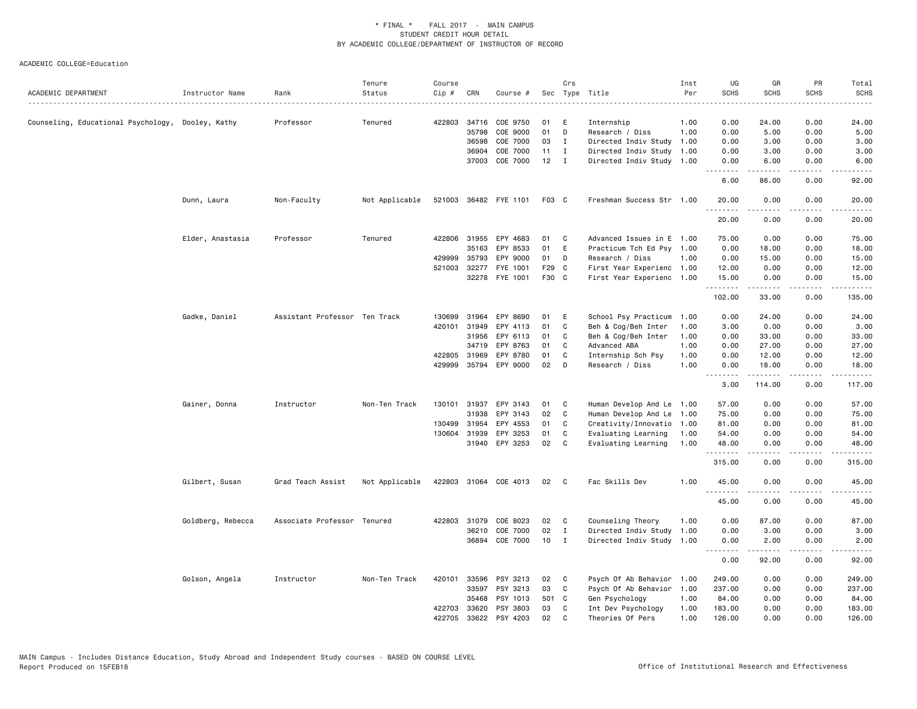| ACADEMIC DEPARTMENT                               | Instructor Name   | Rank                          | Tenure<br>Status | Course<br>Cip# | CRN          | Course #              |       | Crs          | Sec Type Title            | Inst<br>Per<br>$\frac{1}{2} \left( \frac{1}{2} \right) \left( \frac{1}{2} \right) \left( \frac{1}{2} \right) \left( \frac{1}{2} \right)$ | UG<br><b>SCHS</b> | GR<br><b>SCHS</b>                                                                                                                                            | PR<br><b>SCHS</b>                   | Total<br><b>SCHS</b><br>$\frac{1}{2} \left( \frac{1}{2} \right) \left( \frac{1}{2} \right) \left( \frac{1}{2} \right) \left( \frac{1}{2} \right) \left( \frac{1}{2} \right)$ |
|---------------------------------------------------|-------------------|-------------------------------|------------------|----------------|--------------|-----------------------|-------|--------------|---------------------------|------------------------------------------------------------------------------------------------------------------------------------------|-------------------|--------------------------------------------------------------------------------------------------------------------------------------------------------------|-------------------------------------|------------------------------------------------------------------------------------------------------------------------------------------------------------------------------|
| Counseling, Educational Psychology, Dooley, Kathy |                   | Professor                     | Tenured          | 422803         | 34716        | COE 9750              | 01    | E            | Internship                | 1.00                                                                                                                                     | 0.00              | 24.00                                                                                                                                                        | 0.00                                | 24.00                                                                                                                                                                        |
|                                                   |                   |                               |                  |                | 35798        | COE 9000              | 01    | D            | Research / Diss           | 1.00                                                                                                                                     | 0.00              | 5.00                                                                                                                                                         | 0.00                                | 5.00                                                                                                                                                                         |
|                                                   |                   |                               |                  |                | 36598        | COE 7000              | 03    | $\mathbf{I}$ | Directed Indiv Study      | 1.00                                                                                                                                     | 0.00              | 3.00                                                                                                                                                         | 0.00                                | 3.00                                                                                                                                                                         |
|                                                   |                   |                               |                  |                | 36904        | COE 7000              | 11    | $\bf{I}$     | Directed Indiv Study      | 1.00                                                                                                                                     | 0.00              | 3.00                                                                                                                                                         | 0.00                                | 3.00                                                                                                                                                                         |
|                                                   |                   |                               |                  |                | 37003        | COE 7000              | 12    | $\mathbf{I}$ | Directed Indiv Study 1.00 |                                                                                                                                          | 0.00<br>.         | 6.00<br><b>.</b>                                                                                                                                             | 0.00<br>.                           | 6.00<br>$\sim$ $\sim$ $\sim$ $\sim$ $\sim$                                                                                                                                   |
|                                                   |                   |                               |                  |                |              |                       |       |              |                           |                                                                                                                                          | 6.00              | 86.00                                                                                                                                                        | 0.00                                | 92.00                                                                                                                                                                        |
|                                                   | Dunn, Laura       | Non-Faculty                   | Not Applicable   |                |              | 521003 36482 FYE 1101 | F03 C |              | Freshman Success Str 1.00 |                                                                                                                                          | 20.00             | 0.00                                                                                                                                                         | 0.00                                | 20.00                                                                                                                                                                        |
|                                                   |                   |                               |                  |                |              |                       |       |              |                           |                                                                                                                                          | 20.00             | 0.00                                                                                                                                                         | 0.00                                | 20.00                                                                                                                                                                        |
|                                                   | Elder, Anastasia  | Professor                     | Tenured          |                | 422806 31955 | EPY 4683              | 01    | C            | Advanced Issues in E      | 1.00                                                                                                                                     | 75.00             | 0.00                                                                                                                                                         | 0.00                                | 75.00                                                                                                                                                                        |
|                                                   |                   |                               |                  |                | 35163        | EPY 8533              | 01    | E            | Practicum Tch Ed Psy 1.00 |                                                                                                                                          | 0.00              | 18.00                                                                                                                                                        | 0.00                                | 18.00                                                                                                                                                                        |
|                                                   |                   |                               |                  | 429999         | 35793        | EPY 9000              | 01    | D            | Research / Diss           | 1.00                                                                                                                                     | 0.00              | 15.00                                                                                                                                                        | 0.00                                | 15.00                                                                                                                                                                        |
|                                                   |                   |                               |                  | 521003         | 32277        | FYE 1001              | F29   | C            | First Year Experienc 1.00 |                                                                                                                                          | 12.00             | 0.00                                                                                                                                                         | 0.00                                | 12.00                                                                                                                                                                        |
|                                                   |                   |                               |                  |                |              | 32278 FYE 1001        | F30 C |              | First Year Experienc 1.00 |                                                                                                                                          | 15.00<br>.        | 0.00<br>$\frac{1}{2} \left( \frac{1}{2} \right) \left( \frac{1}{2} \right) \left( \frac{1}{2} \right) \left( \frac{1}{2} \right) \left( \frac{1}{2} \right)$ | 0.00<br>.                           | 15.00<br>.                                                                                                                                                                   |
|                                                   |                   |                               |                  |                |              |                       |       |              |                           |                                                                                                                                          | 102.00            | 33.00                                                                                                                                                        | 0.00                                | 135.00                                                                                                                                                                       |
|                                                   | Gadke, Daniel     | Assistant Professor Ten Track |                  | 130699         | 31964        | EPY 8690              | 01    | Ε            | School Psy Practicum      | 1.00                                                                                                                                     | 0.00              | 24.00                                                                                                                                                        | 0.00                                | 24.00                                                                                                                                                                        |
|                                                   |                   |                               |                  | 420101         | 31949        | EPY 4113              | 01    | C            | Beh & Cog/Beh Inter       | 1.00                                                                                                                                     | 3.00              | 0.00                                                                                                                                                         | 0.00                                | 3.00                                                                                                                                                                         |
|                                                   |                   |                               |                  |                | 31956        | EPY 6113              | 01    | C            | Beh & Cog/Beh Inter       | 1.00                                                                                                                                     | 0.00              | 33.00                                                                                                                                                        | 0.00                                | 33.00                                                                                                                                                                        |
|                                                   |                   |                               |                  |                | 34719        | EPY 8763              | 01    | C            | Advanced ABA              | 1.00                                                                                                                                     | 0.00              | 27.00                                                                                                                                                        | 0.00                                | 27.00                                                                                                                                                                        |
|                                                   |                   |                               |                  | 422805         | 31969        | EPY 8780              | 01    | C            | Internship Sch Psy        | 1.00                                                                                                                                     | 0.00              | 12.00                                                                                                                                                        | 0.00                                | 12.00                                                                                                                                                                        |
|                                                   |                   |                               |                  | 429999         | 35794        | EPY 9000              | 02    | D            | Research / Diss           | 1.00                                                                                                                                     | 0.00              | 18.00                                                                                                                                                        | 0.00                                | 18.00                                                                                                                                                                        |
|                                                   |                   |                               |                  |                |              |                       |       |              |                           |                                                                                                                                          | .<br>3.00         | .<br>114.00                                                                                                                                                  | .<br>0.00                           | .<br>117.00                                                                                                                                                                  |
|                                                   | Gainer, Donna     | Instructor                    | Non-Ten Track    | 130101         | 31937        | EPY 3143              | 01    | C            | Human Develop And Le 1.00 |                                                                                                                                          | 57.00             | 0.00                                                                                                                                                         | 0.00                                | 57.00                                                                                                                                                                        |
|                                                   |                   |                               |                  |                | 31938        | EPY 3143              | 02    | C            | Human Develop And Le      | 1.00                                                                                                                                     | 75.00             | 0.00                                                                                                                                                         | 0.00                                | 75.00                                                                                                                                                                        |
|                                                   |                   |                               |                  | 130499         | 31954        | EPY 4553              | 01    | C            | Creativity/Innovatio      | 1.00                                                                                                                                     | 81.00             | 0.00                                                                                                                                                         | 0.00                                | 81.00                                                                                                                                                                        |
|                                                   |                   |                               |                  |                | 130604 31939 | EPY 3253              | 01    | C            | Evaluating Learning       | 1.00                                                                                                                                     | 54.00             | 0.00                                                                                                                                                         | 0.00                                | 54.00                                                                                                                                                                        |
|                                                   |                   |                               |                  |                |              | 31940 EPY 3253        | 02    | $\mathbf{C}$ | Evaluating Learning       | 1.00                                                                                                                                     | 48.00             | 0.00                                                                                                                                                         | 0.00                                | 48.00                                                                                                                                                                        |
|                                                   |                   |                               |                  |                |              |                       |       |              |                           |                                                                                                                                          | .<br>315.00       | .<br>0.00                                                                                                                                                    | $\frac{1}{2}$<br>0.00               | .<br>315.00                                                                                                                                                                  |
|                                                   | Gilbert, Susan    | Grad Teach Assist             | Not Applicable   |                |              | 422803 31064 COE 4013 | 02    | C            | Fac Skills Dev            | 1.00                                                                                                                                     | 45.00             | 0.00                                                                                                                                                         | 0.00                                | 45.00                                                                                                                                                                        |
|                                                   |                   |                               |                  |                |              |                       |       |              |                           |                                                                                                                                          | .<br>45.00        | .<br>0.00                                                                                                                                                    | $\sim$ $\sim$ $\sim$ $\sim$<br>0.00 | .<br>45.00                                                                                                                                                                   |
|                                                   | Goldberg, Rebecca | Associate Professor Tenured   |                  | 422803         | 31079        | COE 8023              | 02    | C            | Counseling Theory         | 1.00                                                                                                                                     | 0.00              | 87.00                                                                                                                                                        | 0.00                                | 87.00                                                                                                                                                                        |
|                                                   |                   |                               |                  |                | 36210        | COE 7000              | 02    | I            | Directed Indiv Study      | 1.00                                                                                                                                     | 0.00              | 3.00                                                                                                                                                         | 0.00                                | 3.00                                                                                                                                                                         |
|                                                   |                   |                               |                  |                | 36894        | COE 7000              | 10    | I            | Directed Indiv Study 1.00 |                                                                                                                                          | 0.00<br>.         | 2.00<br>-----                                                                                                                                                | 0.00<br>.                           | 2.00<br>المتماما                                                                                                                                                             |
|                                                   |                   |                               |                  |                |              |                       |       |              |                           |                                                                                                                                          | 0.00              | 92.00                                                                                                                                                        | 0.00                                | 92.00                                                                                                                                                                        |
|                                                   | Golson, Angela    | Instructor                    | Non-Ten Track    | 420101         | 33596        | PSY 3213              | 02    | C            | Psych Of Ab Behavior 1.00 |                                                                                                                                          | 249.00            | 0.00                                                                                                                                                         | 0.00                                | 249.00                                                                                                                                                                       |
|                                                   |                   |                               |                  |                | 33597        | PSY 3213              | 03    | C            | Psych Of Ab Behavior      | 1.00                                                                                                                                     | 237.00            | 0.00                                                                                                                                                         | 0.00                                | 237.00                                                                                                                                                                       |
|                                                   |                   |                               |                  |                | 35468        | PSY 1013              | 501 C |              | Gen Psychology            | 1.00                                                                                                                                     | 84.00             | 0.00                                                                                                                                                         | 0.00                                | 84.00                                                                                                                                                                        |
|                                                   |                   |                               |                  | 422703         | 33620        | PSY 3803              | 03    | C            | Int Dev Psychology        | 1.00                                                                                                                                     | 183.00            | 0.00                                                                                                                                                         | 0.00                                | 183.00                                                                                                                                                                       |
|                                                   |                   |                               |                  | 422705         | 33622        | PSY 4203              | 02    | C            | Theories Of Pers          | 1.00                                                                                                                                     | 126.00            | 0.00                                                                                                                                                         | 0.00                                | 126.00                                                                                                                                                                       |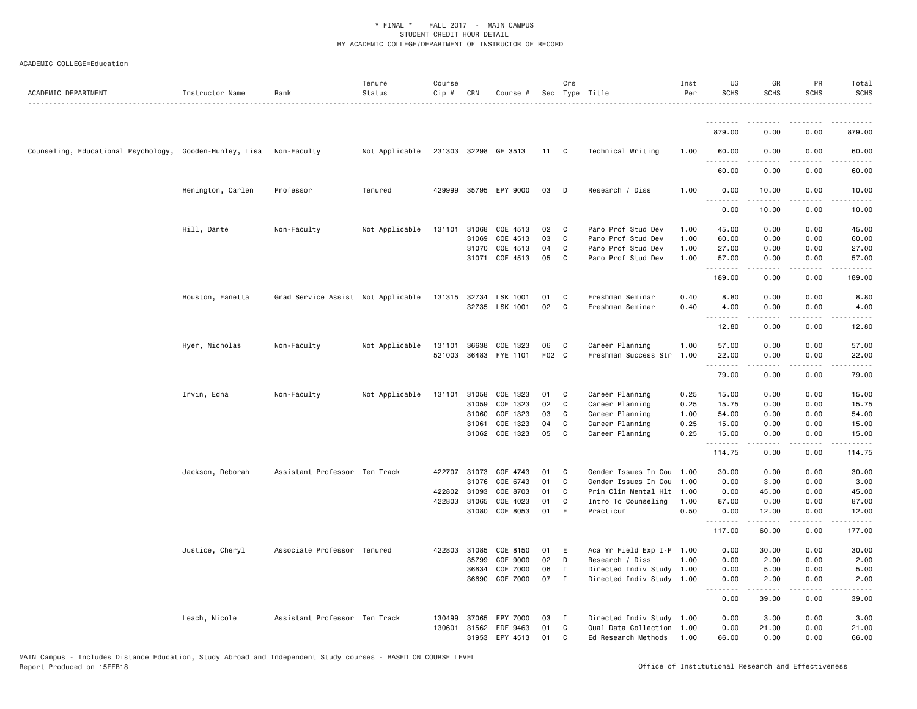| ACADEMIC DEPARTMENT                                     | Instructor Name   | Rank                               | Tenure<br>Status | Course<br>Cip # | CRN          | Course #              |       | Crs            | Sec Type Title            | Inst<br>Per | UG<br><b>SCHS</b>                                                                                                                                             | GR<br><b>SCHS</b>                                                                                                    | PR<br><b>SCHS</b>                   | Total<br><b>SCHS</b> |
|---------------------------------------------------------|-------------------|------------------------------------|------------------|-----------------|--------------|-----------------------|-------|----------------|---------------------------|-------------|---------------------------------------------------------------------------------------------------------------------------------------------------------------|----------------------------------------------------------------------------------------------------------------------|-------------------------------------|----------------------|
|                                                         |                   |                                    |                  |                 |              |                       |       |                |                           |             |                                                                                                                                                               |                                                                                                                      |                                     |                      |
|                                                         |                   |                                    |                  |                 |              |                       |       |                |                           |             | 879.00                                                                                                                                                        | 0.00                                                                                                                 | 0.00                                | 879.00               |
| Counseling, Educational Psychology, Gooden-Hunley, Lisa |                   | Non-Faculty                        | Not Applicable   |                 |              | 231303 32298 GE 3513  | 11 C  |                | Technical Writing         | 1.00        | 60.00                                                                                                                                                         | 0.00                                                                                                                 | 0.00                                | 60.00                |
|                                                         |                   |                                    |                  |                 |              |                       |       |                |                           |             | 60.00                                                                                                                                                         | 0.00                                                                                                                 | 0.00                                | 60.00                |
|                                                         | Henington, Carlen | Professor                          | Tenured          |                 |              | 429999 35795 EPY 9000 | 03    | $\mathsf{D}$   | Research / Diss           | 1.00        | 0.00<br>$- - -$<br><u>.</u>                                                                                                                                   | 10.00<br>$- - - - -$                                                                                                 | 0.00<br>.                           | 10.00<br>.           |
|                                                         |                   |                                    |                  |                 |              |                       |       |                |                           |             | 0.00                                                                                                                                                          | 10.00                                                                                                                | 0.00                                | 10.00                |
|                                                         | Hill, Dante       | Non-Faculty                        | Not Applicable   | 131101          | 31068        | COE 4513              | 02    | C              | Paro Prof Stud Dev        | 1.00        | 45.00                                                                                                                                                         | 0.00                                                                                                                 | 0.00                                | 45.00                |
|                                                         |                   |                                    |                  |                 | 31069        | COE 4513              | 03    | C              | Paro Prof Stud Dev        | 1.00        | 60.00                                                                                                                                                         | 0.00                                                                                                                 | 0.00                                | 60.00                |
|                                                         |                   |                                    |                  |                 | 31070        | COE 4513              | 04    | C.             | Paro Prof Stud Dev        | 1.00        | 27.00                                                                                                                                                         | 0.00                                                                                                                 | 0.00                                | 27.00                |
|                                                         |                   |                                    |                  |                 |              | 31071 COE 4513        | 05    | C              | Paro Prof Stud Dev        | 1.00        | 57.00<br>.                                                                                                                                                    | 0.00<br>.                                                                                                            | 0.00                                | 57.00<br>. <u>.</u>  |
|                                                         |                   |                                    |                  |                 |              |                       |       |                |                           |             | 189.00                                                                                                                                                        | 0.00                                                                                                                 | 0.00                                | 189.00               |
|                                                         | Houston, Fanetta  | Grad Service Assist Not Applicable |                  | 131315 32734    |              | LSK 1001              | 01    | C              | Freshman Seminar          | 0.40        | 8.80                                                                                                                                                          | 0.00                                                                                                                 | 0.00                                | 8.80                 |
|                                                         |                   |                                    |                  |                 |              | 32735 LSK 1001        | 02    | C              | Freshman Seminar          | 0.40        | 4.00                                                                                                                                                          | 0.00                                                                                                                 | 0.00                                | 4.00                 |
|                                                         |                   |                                    |                  |                 |              |                       |       |                |                           |             | $\frac{1}{2} \left( \frac{1}{2} \right) \left( \frac{1}{2} \right) \left( \frac{1}{2} \right) \left( \frac{1}{2} \right) \left( \frac{1}{2} \right)$<br>12.80 | .<br>0.00                                                                                                            | .<br>0.00                           | .<br>12.80           |
|                                                         | Hyer, Nicholas    | Non-Faculty                        | Not Applicable   | 131101          | 36638        | COE 1323              | 06    | C              | Career Planning           | 1.00        | 57.00                                                                                                                                                         | 0.00                                                                                                                 | 0.00                                | 57.00                |
|                                                         |                   |                                    |                  | 521003          | 36483        | FYE 1101              | F02 C |                | Freshman Success Str      | 1.00        | 22.00                                                                                                                                                         | 0.00                                                                                                                 | 0.00                                | 22.00                |
|                                                         |                   |                                    |                  |                 |              |                       |       |                |                           |             | .<br>79.00                                                                                                                                                    | 0.00                                                                                                                 | 0.00                                | 79.00                |
|                                                         | Irvin, Edna       | Non-Faculty                        | Not Applicable   | 131101 31058    |              | COE 1323              | 01    | <b>C</b>       | Career Planning           | 0.25        | 15.00                                                                                                                                                         | 0.00                                                                                                                 | 0.00                                | 15.00                |
|                                                         |                   |                                    |                  |                 | 31059        | COE 1323              | 02    | C              | Career Planning           | 0.25        | 15.75                                                                                                                                                         | 0.00                                                                                                                 | 0.00                                | 15.75                |
|                                                         |                   |                                    |                  |                 | 31060        | COE 1323              | 03    | C              | Career Planning           | 1.00        | 54.00                                                                                                                                                         | 0.00                                                                                                                 | 0.00                                | 54.00                |
|                                                         |                   |                                    |                  |                 | 31061        | COE 1323              | 04    | C              | Career Planning           | 0.25        | 15.00                                                                                                                                                         | 0.00                                                                                                                 | 0.00                                | 15.00                |
|                                                         |                   |                                    |                  |                 |              | 31062 COE 1323        | 05    | C              | Career Planning           | 0.25        | 15.00                                                                                                                                                         | 0.00                                                                                                                 | 0.00                                | 15.00                |
|                                                         |                   |                                    |                  |                 |              |                       |       |                |                           |             | .<br>114.75                                                                                                                                                   | 0.00                                                                                                                 | $\sim$ $\sim$ $\sim$ $\sim$<br>0.00 | 114.75               |
|                                                         | Jackson, Deborah  | Assistant Professor Ten Track      |                  |                 | 422707 31073 | COE 4743              | 01    | C              | Gender Issues In Cou 1.00 |             | 30.00                                                                                                                                                         | 0.00                                                                                                                 | 0.00                                | 30.00                |
|                                                         |                   |                                    |                  |                 | 31076        | COE 6743              | 01    | C              | Gender Issues In Cou 1.00 |             | 0.00                                                                                                                                                          | 3.00                                                                                                                 | 0.00                                | 3.00                 |
|                                                         |                   |                                    |                  | 422802 31093    |              | COE 8703              | 01    | C              | Prin Clin Mental Hlt 1.00 |             | 0.00                                                                                                                                                          | 45.00                                                                                                                | 0.00                                | 45.00                |
|                                                         |                   |                                    |                  | 422803 31065    |              | COE 4023              | 01    | C              | Intro To Counseling       | 1.00        | 87.00                                                                                                                                                         | 0.00                                                                                                                 | 0.00                                | 87.00                |
|                                                         |                   |                                    |                  |                 | 31080        | COE 8053              | 01    | E              | Practicum                 | 0.50        | 0.00<br>.                                                                                                                                                     | 12.00<br>$\begin{array}{cccccccccc} \bullet & \bullet & \bullet & \bullet & \bullet & \bullet & \bullet \end{array}$ | 0.00<br>.                           | 12.00<br>.           |
|                                                         |                   |                                    |                  |                 |              |                       |       |                |                           |             | 117.00                                                                                                                                                        | 60.00                                                                                                                | 0.00                                | 177.00               |
|                                                         | Justice, Cheryl   | Associate Professor Tenured        |                  |                 | 422803 31085 | COE 8150              | 01    | E              | Aca Yr Field Exp I-P 1.00 |             | 0.00                                                                                                                                                          | 30.00                                                                                                                | 0.00                                | 30.00                |
|                                                         |                   |                                    |                  |                 | 35799        | COE 9000              | 02    | D              | Research / Diss           | 1.00        | 0.00                                                                                                                                                          | 2.00                                                                                                                 | 0.00                                | 2.00                 |
|                                                         |                   |                                    |                  |                 | 36634        | COE 7000              | 06    | I              | Directed Indiv Study 1.00 |             | 0.00                                                                                                                                                          | 5.00                                                                                                                 | 0.00                                | 5.00                 |
|                                                         |                   |                                    |                  |                 | 36690        | COE 7000              | 07    | $\mathbf{I}$   | Directed Indiv Study 1.00 |             | 0.00<br>$\sim$ $\sim$ $\sim$                                                                                                                                  | 2.00<br>.                                                                                                            | 0.00<br>.                           | 2.00                 |
|                                                         |                   |                                    |                  |                 |              |                       |       |                |                           |             | 0.00                                                                                                                                                          | 39.00                                                                                                                | 0.00                                | 39.00                |
|                                                         | Leach, Nicole     | Assistant Professor Ten Track      |                  | 130499          | 37065        | EPY 7000              | 03    | $\blacksquare$ | Directed Indiv Study 1.00 |             | 0.00                                                                                                                                                          | 3.00                                                                                                                 | 0.00                                | 3.00                 |
|                                                         |                   |                                    |                  | 130601          | 31562        | EDF 9463              | 01    | C              | Qual Data Collection 1.00 |             | 0.00                                                                                                                                                          | 21.00                                                                                                                | 0.00                                | 21.00                |
|                                                         |                   |                                    |                  |                 | 31953        | EPY 4513              | 01    | C              | Ed Research Methods       | 1.00        | 66.00                                                                                                                                                         | 0.00                                                                                                                 | 0.00                                | 66.00                |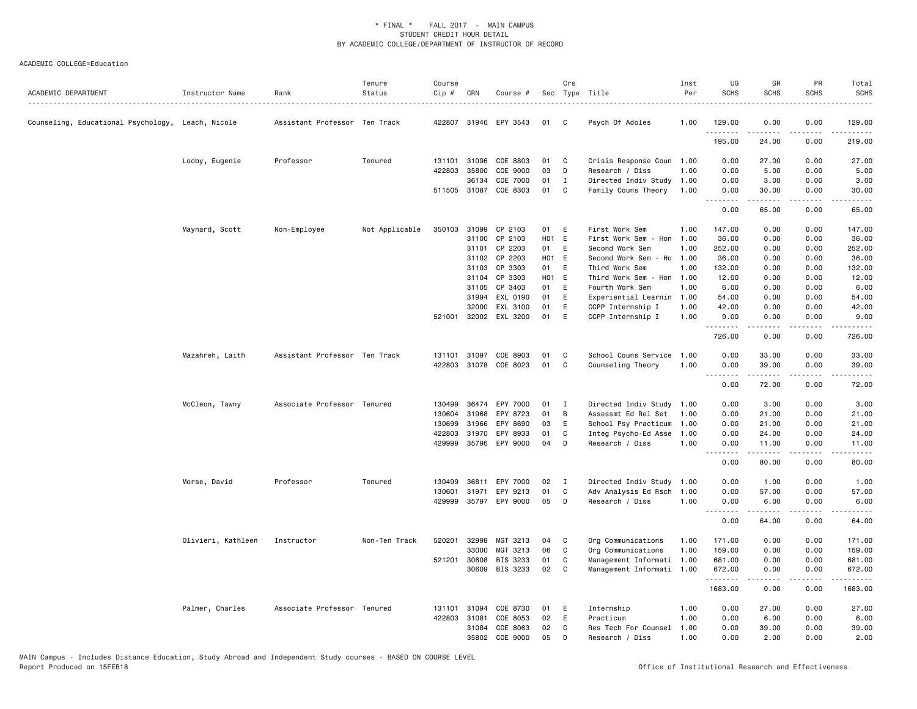| ACADEMIC DEPARTMENT                               | Instructor Name    | Rank                          | Tenure<br>Status | Course<br>Cip # | CRN   | Course #              |       | Crs          | Sec Type Title            | Inst<br>Per | UG<br><b>SCHS</b>     | GR<br><b>SCHS</b>        | PR<br><b>SCHS</b>     | Total<br><b>SCHS</b> |
|---------------------------------------------------|--------------------|-------------------------------|------------------|-----------------|-------|-----------------------|-------|--------------|---------------------------|-------------|-----------------------|--------------------------|-----------------------|----------------------|
| Counseling, Educational Psychology, Leach, Nicole |                    | Assistant Professor Ten Track |                  |                 |       | 422807 31946 EPY 3543 | 01    | C.           | Psych Of Adoles           | 1.00        | 129,00                | 0.00                     | 0.00                  | 129.00               |
|                                                   |                    |                               |                  |                 |       |                       |       |              |                           |             | .<br>195.00           | 24.00                    | . <u>.</u> .<br>0.00  | -----<br>219.00      |
|                                                   | Looby, Eugenie     | Professor                     | Tenured          | 131101          | 31096 | COE 8803              | 01    | C            | Crisis Response Coun 1.00 |             | 0.00                  | 27.00                    | 0.00                  | 27.00                |
|                                                   |                    |                               |                  | 422803          | 35800 | COE 9000              | 03    | D            | Research / Diss           | 1.00        | 0.00                  | 5.00                     | 0.00                  | 5.00                 |
|                                                   |                    |                               |                  |                 | 36134 | COE 7000              | 01    | $\mathbf{I}$ | Directed Indiv Study 1.00 |             | 0.00                  | 3.00                     | 0.00                  | 3.00                 |
|                                                   |                    |                               |                  |                 |       | 511505 31087 COE 8303 | 01    | $\mathbf{C}$ | Family Couns Theory       | 1.00        | 0.00<br><u>.</u>      | 30.00<br>$- - - - -$     | 0.00<br>.             | 30.00<br>.           |
|                                                   |                    |                               |                  |                 |       |                       |       |              |                           |             | 0.00                  | 65.00                    | 0.00                  | 65.00                |
|                                                   | Maynard, Scott     | Non-Employee                  | Not Applicable   | 350103          | 31099 | CP 2103               | 01    | E            | First Work Sem            | 1.00        | 147.00                | 0.00                     | 0.00                  | 147.00               |
|                                                   |                    |                               |                  |                 | 31100 | CP 2103               | H01 E |              | First Work Sem - Hon      | 1.00        | 36.00                 | 0.00                     | 0.00                  | 36.00                |
|                                                   |                    |                               |                  |                 | 31101 | CP 2203               | 01    | E            | Second Work Sem           | 1.00        | 252.00                | 0.00                     | 0.00                  | 252.00               |
|                                                   |                    |                               |                  |                 | 31102 | CP 2203               | H01 E |              | Second Work Sem<br>- Ho   | 1.00        | 36.00                 | 0.00                     | 0.00                  | 36.00                |
|                                                   |                    |                               |                  |                 | 31103 | CP 3303               | 01    | E            | Third Work Sem            | 1.00        | 132.00                | 0.00                     | 0.00                  | 132.00               |
|                                                   |                    |                               |                  |                 | 31104 | CP 3303               | H01 E |              | Third Work Sem - Hon 1.00 |             | 12.00                 | 0.00                     | 0.00                  | 12.00                |
|                                                   |                    |                               |                  |                 | 31105 | CP 3403               | 01    | E            | Fourth Work Sem           | 1.00        | 6.00                  | 0.00                     | 0.00                  | 6.00                 |
|                                                   |                    |                               |                  |                 | 31994 | EXL 0190              | 01    | E            | Experiential Learnin 1.00 |             | 54.00                 | 0.00                     | 0.00                  | 54.00                |
|                                                   |                    |                               |                  |                 | 32000 | EXL 3100              | 01    | E            | CCPP Internship I         | 1.00        | 42.00                 | 0.00                     | 0.00                  | 42.00                |
|                                                   |                    |                               |                  | 521001          | 32002 | EXL 3200              | 01    | E            | CCPP Internship I         | 1.00        | 9.00<br>.             | 0.00<br>.                | 0.00<br>$\frac{1}{2}$ | 9.00<br>.            |
|                                                   |                    |                               |                  |                 |       |                       |       |              |                           |             | 726.00                | 0.00                     | 0.00                  | 726.00               |
|                                                   | Mazahreh, Laith    | Assistant Professor Ten Track |                  | 131101          | 31097 | COE 8903              | 01    | C            | School Couns Service      | 1.00        | 0.00                  | 33.00                    | 0.00                  | 33.00                |
|                                                   |                    |                               |                  | 422803          |       | 31078 COE 8023        | 01    | C            | Counseling Theory         | 1.00        | 0.00<br>1.1.1.1.1.1.1 | 39.00<br>.               | 0.00<br>.             | 39.00<br>.           |
|                                                   |                    |                               |                  |                 |       |                       |       |              |                           |             | 0.00                  | 72.00                    | 0.00                  | 72.00                |
|                                                   | McCleon, Tawny     | Associate Professor Tenured   |                  | 130499          |       | 36474 EPY 7000        | 01    | I            | Directed Indiv Study 1.00 |             | 0.00                  | 3.00                     | 0.00                  | 3.00                 |
|                                                   |                    |                               |                  | 130604          | 31968 | EPY 8723              | 01    | В            | Assessmt Ed Rel Set       | 1.00        | 0.00                  | 21.00                    | 0.00                  | 21.00                |
|                                                   |                    |                               |                  | 130699          | 31966 | EPY 8690              | 03    | E            | School Psy Practicum      | 1.00        | 0.00                  | 21.00                    | 0.00                  | 21.00                |
|                                                   |                    |                               |                  | 422803          | 31970 | EPY 8933              | 01    | C            | Integ Psycho-Ed Asse      | 1.00        | 0.00                  | 24.00                    | 0.00                  | 24.00                |
|                                                   |                    |                               |                  |                 |       | 429999 35796 EPY 9000 | 04    | D            | Research / Diss           | 1.00        | 0.00                  | 11.00<br>$- - - - - - -$ | 0.00<br>.             | 11.00<br>.           |
|                                                   |                    |                               |                  |                 |       |                       |       |              |                           |             | 0.00                  | 80.00                    | 0.00                  | 80.00                |
|                                                   | Morse, David       | Professor                     | Tenured          | 130499          | 36811 | EPY 7000              | 02    | $\mathbf{I}$ | Directed Indiv Study 1.00 |             | 0.00                  | 1.00                     | 0.00                  | 1.00                 |
|                                                   |                    |                               |                  | 130601          | 31971 | EPY 9213              | 01    | C            | Adv Analysis Ed Rsch      | 1.00        | 0.00                  | 57.00                    | 0.00                  | 57.00                |
|                                                   |                    |                               |                  | 429999          |       | 35797 EPY 9000        | 05    | D            | Research / Diss           | 1.00        | 0.00                  | 6.00<br>$- - - - -$      | 0.00<br>.             | 6.00<br>.            |
|                                                   |                    |                               |                  |                 |       |                       |       |              |                           |             | 0.00                  | 64.00                    | 0.00                  | 64.00                |
|                                                   | Olivieri, Kathleen | Instructor                    | Non-Ten Track    | 520201          | 32998 | MGT 3213              | 04    | C            | Org Communications        | 1.00        | 171.00                | 0.00                     | 0.00                  | 171.00               |
|                                                   |                    |                               |                  |                 | 33000 | MGT 3213              | 06    | C            | Org Communications        | 1.00        | 159.00                | 0.00                     | 0.00                  | 159.00               |
|                                                   |                    |                               |                  | 521201          | 30608 | BIS 3233              | 01    | C            | Management Informati 1.00 |             | 681.00                | 0.00                     | 0.00                  | 681.00               |
|                                                   |                    |                               |                  |                 | 30609 | BIS 3233              | 02    | C            | Management Informati 1.00 |             | 672.00<br>.           | 0.00<br>.                | 0.00<br>.             | 672.00<br>.          |
|                                                   |                    |                               |                  |                 |       |                       |       |              |                           |             | 1683.00               | 0.00                     | 0.00                  | 1683.00              |
|                                                   | Palmer, Charles    | Associate Professor Tenured   |                  | 131101          | 31094 | COE 8730              | 01    | E            | Internship                | 1.00        | 0.00                  | 27.00                    | 0.00                  | 27.00                |
|                                                   |                    |                               |                  | 422803          | 31081 | COE 8053              | 02    | E            | Practicum                 | 1.00        | 0.00                  | 6.00                     | 0.00                  | 6.00                 |
|                                                   |                    |                               |                  |                 | 31084 | COE 8063              | 02    | C            | Res Tech For Counsel      | 1.00        | 0.00                  | 39.00                    | 0.00                  | 39.00                |
|                                                   |                    |                               |                  |                 | 35802 | COE 9000              | 05    | D            | Research / Diss           | 1.00        | 0.00                  | 2.00                     | 0.00                  | 2.00                 |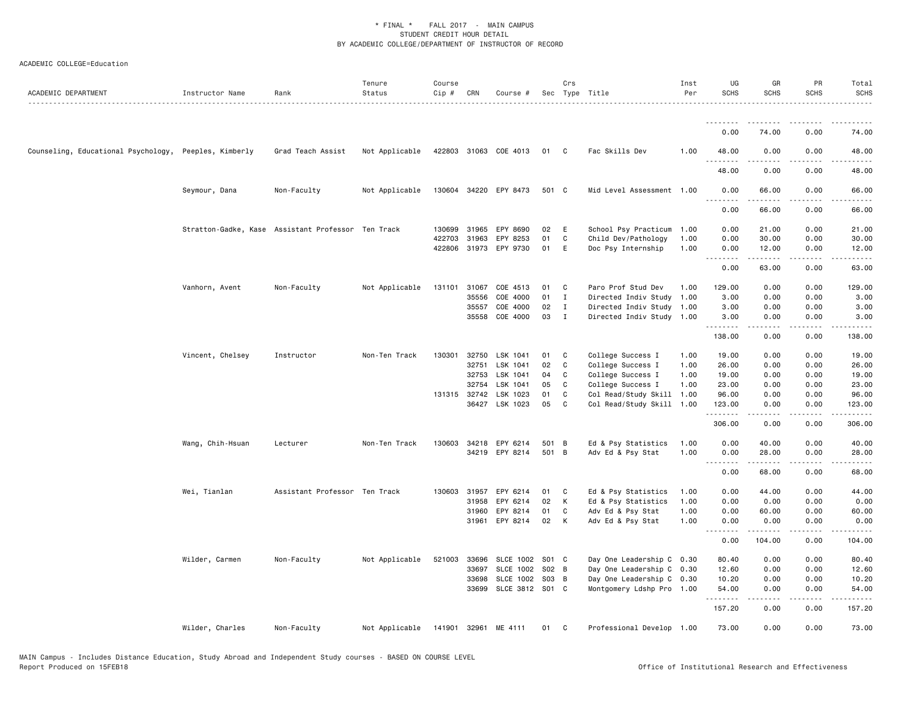| ACADEMIC DEPARTMENT                                   | Instructor Name  | Rank                                               | Tenure<br>Status | Course<br>Cip # | CRN   | Course #              |       | Crs          | Sec Type Title            | Inst<br>Per | UG<br><b>SCHS</b>                     | GR<br><b>SCHS</b>     | PR<br><b>SCHS</b> | Total<br><b>SCHS</b> |
|-------------------------------------------------------|------------------|----------------------------------------------------|------------------|-----------------|-------|-----------------------|-------|--------------|---------------------------|-------------|---------------------------------------|-----------------------|-------------------|----------------------|
|                                                       |                  |                                                    |                  |                 |       |                       |       |              |                           |             |                                       |                       |                   |                      |
|                                                       |                  |                                                    |                  |                 |       |                       |       |              |                           |             | 0.00                                  | 74.00                 | 0.00              | 74.00                |
| Counseling, Educational Psychology, Peeples, Kimberly |                  | Grad Teach Assist                                  | Not Applicable   |                 |       | 422803 31063 COE 4013 | 01 C  |              | Fac Skills Dev            | 1.00        | 48.00<br>.                            | 0.00<br>.             | 0.00<br>.         | 48.00<br>.           |
|                                                       |                  |                                                    |                  |                 |       |                       |       |              |                           |             | 48.00                                 | 0.00                  | 0.00              | 48.00                |
|                                                       | Seymour, Dana    | Non-Faculty                                        | Not Applicable   |                 |       | 130604 34220 EPY 8473 | 501 C |              | Mid Level Assessment 1.00 |             | 0.00<br>$\sim$ $\sim$ $\sim$<br>----- | 66.00<br>.            | 0.00<br>.         | 66.00                |
|                                                       |                  |                                                    |                  |                 |       |                       |       |              |                           |             | 0.00                                  | 66.00                 | 0.00              | 66.00                |
|                                                       |                  | Stratton-Gadke, Kase Assistant Professor Ten Track |                  | 130699          | 31965 | EPY 8690              | 02    | E            | School Psy Practicum 1.00 |             | 0.00                                  | 21.00                 | 0.00              | 21.00                |
|                                                       |                  |                                                    |                  | 422703          | 31963 | EPY 8253              | 01    | C            | Child Dev/Pathology       | 1.00        | 0.00                                  | 30.00                 | 0.00              | 30.00                |
|                                                       |                  |                                                    |                  | 422806 31973    |       | EPY 9730              | 01    | E            | Doc Psy Internship        | 1.00        | 0.00                                  | 12.00<br>.            | 0.00<br>.         | 12.00<br>.           |
|                                                       |                  |                                                    |                  |                 |       |                       |       |              |                           |             | 0.00                                  | 63.00                 | 0.00              | 63.00                |
|                                                       | Vanhorn, Avent   | Non-Faculty                                        | Not Applicable   | 131101          | 31067 | COE 4513              | 01    | $\mathbf{C}$ | Paro Prof Stud Dev        | 1.00        | 129.00                                | 0.00                  | 0.00              | 129.00               |
|                                                       |                  |                                                    |                  |                 | 35556 | COE 4000              | 01    | $\mathbf{I}$ | Directed Indiv Study 1.00 |             | 3.00                                  | 0.00                  | 0.00              | 3.00                 |
|                                                       |                  |                                                    |                  |                 | 35557 | COE 4000              | 02    | $\mathbf{I}$ | Directed Indiv Study 1.00 |             | 3.00                                  | 0.00                  | 0.00              | 3.00                 |
|                                                       |                  |                                                    |                  |                 | 35558 | COE 4000              | 03    | $\mathbf{I}$ | Directed Indiv Study 1.00 |             | 3.00<br><u>.</u>                      | 0.00<br>$\frac{1}{2}$ | 0.00<br>$\cdots$  | 3.00                 |
|                                                       |                  |                                                    |                  |                 |       |                       |       |              |                           |             | 138.00                                | 0.00                  | 0.00              | 138.00               |
|                                                       | Vincent, Chelsey | Instructor                                         | Non-Ten Track    | 130301 32750    |       | LSK 1041              | 01    | C C          | College Success I         | 1.00        | 19.00                                 | 0.00                  | 0.00              | 19.00                |
|                                                       |                  |                                                    |                  |                 | 32751 | LSK 1041              | 02    | C            | College Success I         | 1.00        | 26.00                                 | 0.00                  | 0.00              | 26.00                |
|                                                       |                  |                                                    |                  |                 | 32753 | LSK 1041              | 04    | C            | College Success I         | 1.00        | 19.00                                 | 0.00                  | 0.00              | 19.00                |
|                                                       |                  |                                                    |                  |                 | 32754 | LSK 1041              | 05    | C            | College Success I         | 1.00        | 23.00                                 | 0.00                  | 0.00              | 23.00                |
|                                                       |                  |                                                    |                  | 131315 32742    |       | LSK 1023              | 01    | C            | Col Read/Study Skill 1.00 |             | 96.00                                 | 0.00                  | 0.00              | 96.00                |
|                                                       |                  |                                                    |                  |                 | 36427 | LSK 1023              | 05    | C            | Col Read/Study Skill 1.00 |             | 123.00                                | 0.00                  | 0.00              | 123.00               |
|                                                       |                  |                                                    |                  |                 |       |                       |       |              |                           |             | 306.00                                | 0.00                  | 0.00              | 306.00               |
|                                                       | Wang, Chih-Hsuan | Lecturer                                           | Non-Ten Track    | 130603 34218    |       | EPY 6214              | 501 B |              | Ed & Psy Statistics       | 1.00        | 0.00                                  | 40.00                 | 0.00              | 40.00                |
|                                                       |                  |                                                    |                  |                 |       | 34219 EPY 8214        | 501 B |              | Adv Ed & Psy Stat         | 1.00        | 0.00<br>$\sim$ $\sim$ .<br>$  -$      | 28.00                 | 0.00              | 28.00                |
|                                                       |                  |                                                    |                  |                 |       |                       |       |              |                           |             | 0.00                                  | 68.00                 | 0.00              | 68.00                |
|                                                       | Wei, Tianlan     | Assistant Professor Ten Track                      |                  | 130603 31957    |       | EPY 6214              | 01    | $\mathbf{C}$ | Ed & Psy Statistics       | 1.00        | 0.00                                  | 44.00                 | 0.00              | 44.00                |
|                                                       |                  |                                                    |                  |                 | 31958 | EPY 6214              | 02    | K            | Ed & Psy Statistics       | 1.00        | 0.00                                  | 0.00                  | 0.00              | 0.00                 |
|                                                       |                  |                                                    |                  |                 | 31960 | EPY 8214              | 01    | C            | Adv Ed & Psy Stat         | 1.00        | 0.00                                  | 60.00                 | 0.00              | 60.00                |
|                                                       |                  |                                                    |                  |                 |       | 31961 EPY 8214        | 02    | K            | Adv Ed & Psy Stat         | 1.00        | 0.00<br>.<br>$  -$                    | 0.00<br>.             | 0.00<br>.         | 0.00                 |
|                                                       |                  |                                                    |                  |                 |       |                       |       |              |                           |             | 0.00                                  | 104.00                | 0.00              | 104.00               |
|                                                       | Wilder, Carmen   | Non-Faculty                                        | Not Applicable   | 521003          | 33696 | <b>SLCE 1002</b>      | S01 C |              | Day One Leadership C 0.30 |             | 80.40                                 | 0.00                  | 0.00              | 80.40                |
|                                                       |                  |                                                    |                  |                 | 33697 | <b>SLCE 1002</b>      | S02 B |              | Day One Leadership C 0.30 |             | 12.60                                 | 0.00                  | 0.00              | 12.60                |
|                                                       |                  |                                                    |                  |                 | 33698 | SLCE 1002             | S03 B |              | Day One Leadership C 0.30 |             | 10.20                                 | 0.00                  | 0.00              | 10.20                |
|                                                       |                  |                                                    |                  |                 | 33699 | SLCE 3812 S01 C       |       |              | Montgomery Ldshp Pro 1.00 |             | 54.00<br>.                            | 0.00<br>.             | 0.00<br>.         | 54.00<br>.           |
|                                                       |                  |                                                    |                  |                 |       |                       |       |              |                           |             | 157.20                                | 0.00                  | 0.00              | 157.20               |
|                                                       | Wilder, Charles  | Non-Faculty                                        | Not Applicable   | 141901 32961    |       | ME 4111               | 01    | C            | Professional Develop 1.00 |             | 73.00                                 | 0.00                  | 0.00              | 73.00                |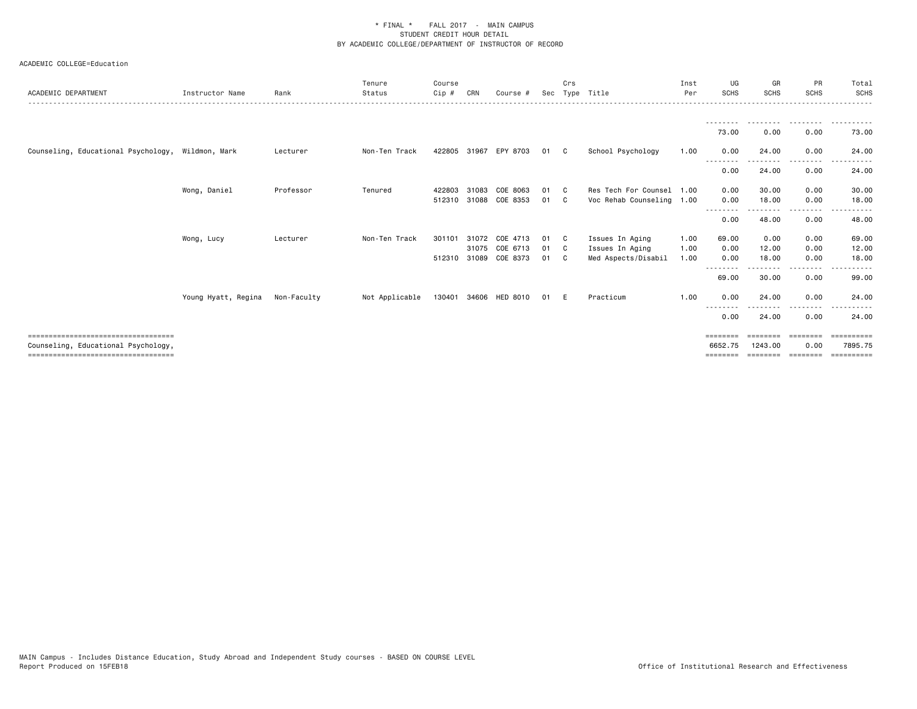| ACADEMIC DEPARTMENT                               | Instructor Name                 | Rank      | Tenure<br>Status | Course<br>Cip # | CRN   | Course #              | Sec | Crs          | Type Title                | Inst<br>Per | UG<br><b>SCHS</b> | GR<br><b>SCHS</b>        | <b>PR</b><br><b>SCHS</b> | Total<br>SCHS |
|---------------------------------------------------|---------------------------------|-----------|------------------|-----------------|-------|-----------------------|-----|--------------|---------------------------|-------------|-------------------|--------------------------|--------------------------|---------------|
|                                                   |                                 |           |                  |                 |       |                       |     |              |                           |             |                   |                          |                          |               |
|                                                   |                                 |           |                  |                 |       |                       |     |              |                           |             | 73.00             | 0.00                     | 0.00                     | 73.00         |
| Counseling, Educational Psychology, Wildmon, Mark |                                 | Lecturer  | Non-Ten Track    | 422805          | 31967 | EPY 8703              | 01  | C C          | School Psychology         | 1.00        | 0.00<br>--------  | 24.00<br>- - - - - - - - | 0.00<br>-----            | 24.00<br>.    |
|                                                   |                                 |           |                  |                 |       |                       |     |              |                           |             | 0.00              | 24.00                    | 0.00                     | 24.00         |
|                                                   | Wong, Daniel                    | Professor | Tenured          | 422803          | 31083 | COE 8063              | 01  | C.           | Res Tech For Counsel 1.00 |             | 0.00              | 30.00                    | 0.00                     | 30.00         |
|                                                   |                                 |           |                  | 512310          |       | 31088 COE 8353        | 01  | C.           | Voc Rehab Counseling 1.00 |             | 0.00<br>--------  | 18.00                    | 0.00<br>.                | 18.00         |
|                                                   |                                 |           |                  |                 |       |                       |     |              |                           |             | 0.00              | 48.00                    | 0.00                     | 48.00         |
|                                                   | Wong, Lucy                      | Lecturer  | Non-Ten Track    | 301101          | 31072 | COE 4713              | 01  | $\mathbf{C}$ | Issues In Aging           | 1.00        | 69.00             | 0.00                     | 0.00                     | 69.00         |
|                                                   |                                 |           |                  |                 |       | 31075 COE 6713        | 01  | $\mathbf{C}$ | Issues In Aging           | 1.00        | 0.00              | 12.00                    | 0.00                     | 12.00         |
|                                                   |                                 |           |                  |                 |       | 512310 31089 COE 8373 | 01  | $\mathbf{C}$ | Med Aspects/Disabil       | 1.00        | 0.00<br>----      | 18.00                    | 0.00<br>$- - - -$        | 18.00         |
|                                                   |                                 |           |                  |                 |       |                       |     |              |                           |             | 69.00             | 30.00                    | 0.00                     | 99.00         |
|                                                   | Young Hyatt, Regina Non-Faculty |           | Not Applicable   |                 |       | 130401 34606 HED 8010 | 01  | - E          | Practicum                 | 1.00        | 0.00              | 24,00                    | 0.00                     | 24.00         |
|                                                   |                                 |           |                  |                 |       |                       |     |              |                           |             | 0.00              | 24.00                    | .<br>0.00                | 24.00         |
| =====================================             |                                 |           |                  |                 |       |                       |     |              |                           |             | ========          | ========                 | ========                 | ==========    |
| Counseling, Educational Psychology,               |                                 |           |                  |                 |       |                       |     |              |                           |             | 6652.75           | 1243.00                  | 0.00                     | 7895.75       |
| ====================================              |                                 |           |                  |                 |       |                       |     |              |                           |             | ========          | --------                 | eeeeeee                  | eessesses     |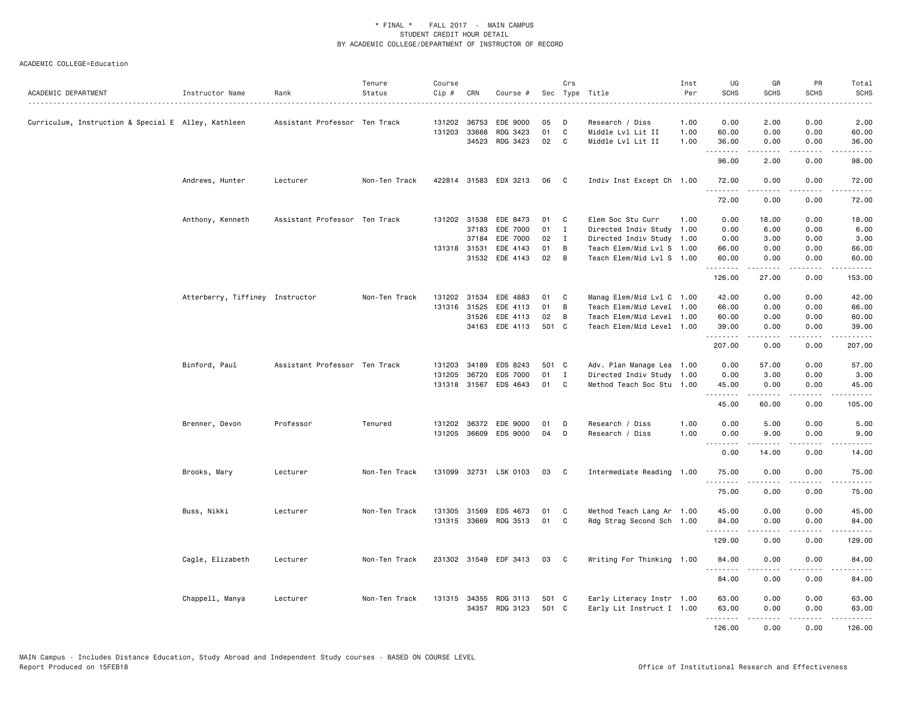| ACADEMIC DEPARTMENT                                 | Instructor Name                 | Rank                          | Tenure<br>Status | Course<br>Cip # | CRN          | Course #              |       | Crs          | Sec Type Title                                         | Inst<br>Per | UG<br><b>SCHS</b> | GR<br><b>SCHS</b>                                                                                                                                                                       | PR<br><b>SCHS</b> | Total<br><b>SCHS</b> |
|-----------------------------------------------------|---------------------------------|-------------------------------|------------------|-----------------|--------------|-----------------------|-------|--------------|--------------------------------------------------------|-------------|-------------------|-----------------------------------------------------------------------------------------------------------------------------------------------------------------------------------------|-------------------|----------------------|
| Curriculum, Instruction & Special E Alley, Kathleen |                                 | Assistant Professor Ten Track |                  |                 | 131202 36753 | EDE 9000              | 05    | D            | Research / Diss                                        | 1.00        | 0.00              | 2.00                                                                                                                                                                                    | 0.00              | 2.00                 |
|                                                     |                                 |                               |                  | 131203 33668    |              | RDG 3423              | 01    | C            | Middle Lvl Lit II                                      | 1.00        | 60.00             | 0.00                                                                                                                                                                                    | 0.00              | 60.00                |
|                                                     |                                 |                               |                  |                 | 34523        | RDG 3423              | 02    | C            | Middle Lvl Lit II                                      | 1.00        | 36.00             | 0.00                                                                                                                                                                                    | 0.00              | 36.00                |
|                                                     |                                 |                               |                  |                 |              |                       |       |              |                                                        |             | .<br>96.00        | 2.00                                                                                                                                                                                    | 0.00              | 98.00                |
|                                                     | Andrews, Hunter                 | Lecturer                      | Non-Ten Track    |                 |              | 422814 31583 EDX 3213 | 06    | $\mathbf{C}$ | Indiv Inst Except Ch 1.00                              |             | 72.00             | 0.00                                                                                                                                                                                    | 0.00              | 72.00                |
|                                                     |                                 |                               |                  |                 |              |                       |       |              |                                                        |             | 72.00             | 0.00                                                                                                                                                                                    | 0.00              | 72.00                |
|                                                     | Anthony, Kenneth                | Assistant Professor Ten Track |                  |                 | 131202 31538 | EDE 8473              | 01    | C            | Elem Soc Stu Curr                                      | 1.00        | 0.00              | 18.00                                                                                                                                                                                   | 0.00              | 18.00                |
|                                                     |                                 |                               |                  |                 | 37183        | EDE 7000              | 01    | $\mathbf{I}$ | Directed Indiv Study                                   | 1.00        | 0.00              | 6.00                                                                                                                                                                                    | 0.00              | 6.00                 |
|                                                     |                                 |                               |                  |                 | 37184        | EDE 7000              | 02    | $\mathbf{I}$ | Directed Indiv Study                                   | 1.00        | 0.00              | 3.00                                                                                                                                                                                    | 0.00              | 3.00                 |
|                                                     |                                 |                               |                  | 131318 31531    |              | EDE 4143              | 01    | B            | Teach Elem/Mid Lvl S 1.00                              |             | 66.00             | 0.00                                                                                                                                                                                    | 0.00              | 66.00                |
|                                                     |                                 |                               |                  |                 |              | 31532 EDE 4143        | 02    | – B          | Teach Elem/Mid Lvl S 1.00                              |             | 60.00<br>.        | 0.00<br>.                                                                                                                                                                               | 0.00<br>.         | 60.00<br>.           |
|                                                     |                                 |                               |                  |                 |              |                       |       |              |                                                        |             | 126.00            | 27.00                                                                                                                                                                                   | 0.00              | 153.00               |
|                                                     | Atterberry, Tiffiney Instructor |                               | Non-Ten Track    |                 | 131202 31534 | EDE 4883              | 01    | C            | Manag Elem/Mid Lvl C 1.00                              |             | 42.00             | 0.00                                                                                                                                                                                    | 0.00              | 42.00                |
|                                                     |                                 |                               |                  |                 | 131316 31525 | EDE 4113              | 01    | B            | Teach Elem/Mid Level 1.00                              |             | 66.00             | 0.00                                                                                                                                                                                    | 0.00              | 66.00                |
|                                                     |                                 |                               |                  |                 | 31526        | EDE 4113              | 02    | B            | Teach Elem/Mid Level 1.00                              |             | 60.00             | 0.00                                                                                                                                                                                    | 0.00              | 60.00                |
|                                                     |                                 |                               |                  |                 | 34163        | EDE 4113              | 501 C |              | Teach Elem/Mid Level 1.00                              |             | 39.00<br>.        | 0.00<br>.                                                                                                                                                                               | 0.00<br>.         | 39.00<br>.           |
|                                                     |                                 |                               |                  |                 |              |                       |       |              |                                                        |             | 207.00            | 0.00                                                                                                                                                                                    | 0.00              | 207.00               |
|                                                     | Binford, Paul                   | Assistant Professor Ten Track |                  | 131203          | 34189        | EDS 8243              | 501 C |              | Adv. Plan Manage Lea 1.00                              |             | 0.00              | 57.00                                                                                                                                                                                   | 0.00              | 57.00                |
|                                                     |                                 |                               |                  | 131205          | 36720        | EDS 7000              | 01    | $\mathbf{I}$ | Directed Indiv Study 1.00                              |             | 0.00              | 3.00                                                                                                                                                                                    | 0.00              | 3.00                 |
|                                                     |                                 |                               |                  |                 | 131318 31567 | EDS 4643              | 01    | C.           | Method Teach Soc Stu                                   | 1.00        | 45.00<br>.        | 0.00<br>.                                                                                                                                                                               | 0.00<br>.         | 45.00<br>.           |
|                                                     |                                 |                               |                  |                 |              |                       |       |              |                                                        |             | 45.00             | 60.00                                                                                                                                                                                   | 0.00              | 105.00               |
|                                                     | Brenner, Devon                  | Professor                     | Tenured          | 131202          | 36372        | EDE 9000              | 01    | D            | Research / Diss                                        | 1.00        | 0.00              | 5.00                                                                                                                                                                                    | 0.00              | 5.00                 |
|                                                     |                                 |                               |                  |                 | 131205 36609 | EDS 9000              | 04    | D            | Research / Diss                                        | 1.00        | 0.00              | 9.00                                                                                                                                                                                    | 0.00              | 9.00                 |
|                                                     |                                 |                               |                  |                 |              |                       |       |              |                                                        |             | .<br>0.00         | 14.00                                                                                                                                                                                   | 0.00              | 14.00                |
|                                                     | Brooks, Mary                    | Lecturer                      | Non-Ten Track    |                 |              | 131099 32731 LSK 0103 | 03    | C            | Intermediate Reading                                   | 1.00        | 75.00             | 0.00                                                                                                                                                                                    | 0.00              | 75.00                |
|                                                     |                                 |                               |                  |                 |              |                       |       |              |                                                        |             | .<br>75.00        | $\frac{1}{2} \left( \frac{1}{2} \right) \left( \frac{1}{2} \right) \left( \frac{1}{2} \right) \left( \frac{1}{2} \right) \left( \frac{1}{2} \right) \left( \frac{1}{2} \right)$<br>0.00 | $- - - -$<br>0.00 | .<br>75.00           |
|                                                     | Buss, Nikki                     | Lecturer                      | Non-Ten Track    | 131305          | 31569        | EDS 4673              | 01    | C            | Method Teach Lang Ar 1.00                              |             | 45.00             | 0.00                                                                                                                                                                                    | 0.00              | 45.00                |
|                                                     |                                 |                               |                  |                 | 131315 33669 | RDG 3513              | 01    | C            | Rdg Strag Second Sch 1.00                              |             | 84.00             | 0.00                                                                                                                                                                                    | 0.00              | 84.00                |
|                                                     |                                 |                               |                  |                 |              |                       |       |              |                                                        |             | .<br>129.00       | .<br>0.00                                                                                                                                                                               | .<br>0.00         | .<br>129.00          |
|                                                     | Cagle, Elizabeth                | Lecturer                      | Non-Ten Track    |                 |              | 231302 31549 EDF 3413 | 03    | - C          | Writing For Thinking 1.00                              |             | 84.00             | 0.00                                                                                                                                                                                    | 0.00              | 84.00                |
|                                                     |                                 |                               |                  |                 |              |                       |       |              |                                                        |             | <u>.</u><br>84.00 | 0.00                                                                                                                                                                                    | 0.00              | 84.00                |
|                                                     |                                 | Lecturer                      | Non-Ten Track    |                 | 131315 34355 | RDG 3113              | 501 C |              |                                                        |             | 63.00             | 0.00                                                                                                                                                                                    | 0.00              | 63.00                |
|                                                     | Chappell, Manya                 |                               |                  |                 |              | 34357 RDG 3123        | 501 C |              | Early Literacy Instr 1.00<br>Early Lit Instruct I 1.00 |             | 63.00             | 0.00                                                                                                                                                                                    | 0.00              | 63.00                |
|                                                     |                                 |                               |                  |                 |              |                       |       |              |                                                        |             | <u>.</u>          | .                                                                                                                                                                                       | .                 | <u>.</u>             |
|                                                     |                                 |                               |                  |                 |              |                       |       |              |                                                        |             | 126.00            | 0.00                                                                                                                                                                                    | 0.00              | 126.00               |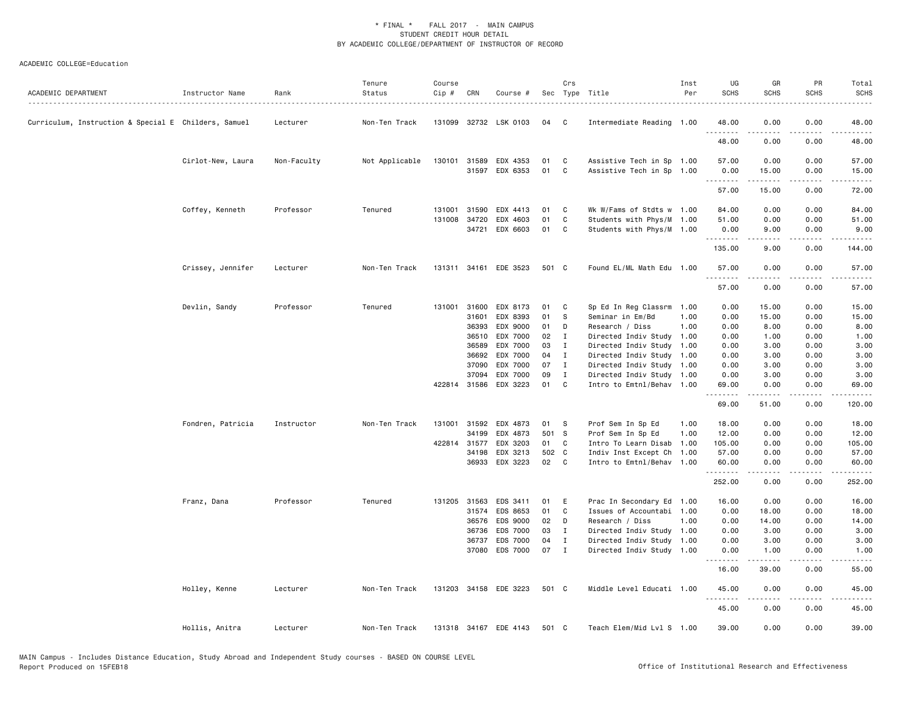| ACADEMIC DEPARTMENT                                  | Instructor Name   | Rank        | Tenure<br>Status | Course<br>Cip # | CRN            | Course #              |             | Crs               | Sec Type Title                                         | Inst<br>Per | UG<br><b>SCHS</b>   | GR<br><b>SCHS</b>                                                                                                                                            | PR<br><b>SCHS</b> | Total<br><b>SCHS</b><br>. |
|------------------------------------------------------|-------------------|-------------|------------------|-----------------|----------------|-----------------------|-------------|-------------------|--------------------------------------------------------|-------------|---------------------|--------------------------------------------------------------------------------------------------------------------------------------------------------------|-------------------|---------------------------|
| Curriculum, Instruction & Special E Childers, Samuel |                   | Lecturer    | Non-Ten Track    |                 |                | 131099 32732 LSK 0103 | 04          | C                 | Intermediate Reading 1.00                              |             | 48.00               | 0.00                                                                                                                                                         | 0.00              | 48.00                     |
|                                                      |                   |             |                  |                 |                |                       |             |                   |                                                        |             | .<br>48.00          | $\frac{1}{2} \left( \frac{1}{2} \right) \left( \frac{1}{2} \right) \left( \frac{1}{2} \right) \left( \frac{1}{2} \right) \left( \frac{1}{2} \right)$<br>0.00 | .<br>0.00         | .<br>48.00                |
|                                                      | Cirlot-New, Laura | Non-Faculty | Not Applicable   |                 | 130101 31589   | EDX 4353              | 01          | C                 | Assistive Tech in Sp 1.00                              |             | 57.00               | 0.00                                                                                                                                                         | 0.00              | 57.00                     |
|                                                      |                   |             |                  |                 |                | 31597 EDX 6353        | 01          | C                 | Assistive Tech in Sp 1.00                              |             | 0.00<br>.           | 15.00<br>.                                                                                                                                                   | 0.00<br>22222.    | 15.00<br>.                |
|                                                      |                   |             |                  |                 |                |                       |             |                   |                                                        |             | 57.00               | 15.00                                                                                                                                                        | 0.00              | 72.00                     |
|                                                      | Coffey, Kenneth   | Professor   | Tenured          | 131001          | 31590          | EDX 4413              | 01          | C                 | Wk W/Fams of Stdts w 1.00                              |             | 84.00               | 0.00                                                                                                                                                         | 0.00              | 84.00                     |
|                                                      |                   |             |                  | 131008          | 34720          | EDX 4603              | 01          | C                 | Students with Phys/M 1.00                              |             | 51.00               | 0.00                                                                                                                                                         | 0.00              | 51.00                     |
|                                                      |                   |             |                  |                 |                | 34721 EDX 6603        | 01          | C                 | Students with Phys/M 1.00                              |             | 0.00<br><u>.</u>    | 9.00<br>-----                                                                                                                                                | 0.00<br>.         | 9.00<br>.                 |
|                                                      |                   |             |                  |                 |                |                       |             |                   |                                                        |             | 135.00              | 9.00                                                                                                                                                         | 0.00              | 144.00                    |
|                                                      | Crissey, Jennifer | Lecturer    | Non-Ten Track    |                 |                | 131311 34161 EDE 3523 | 501 C       |                   | Found EL/ML Math Edu 1.00                              |             | 57.00<br>. <b>.</b> | 0.00                                                                                                                                                         | 0.00              | 57.00                     |
|                                                      |                   |             |                  |                 |                |                       |             |                   |                                                        |             | 57.00               | 0.00                                                                                                                                                         | 0.00              | 57.00                     |
|                                                      | Devlin, Sandy     | Professor   | Tenured          |                 | 131001 31600   | EDX 8173              | 01          | C                 | Sp Ed In Reg Classrm                                   | 1.00        | 0.00                | 15.00                                                                                                                                                        | 0.00              | 15.00                     |
|                                                      |                   |             |                  |                 | 31601          | EDX 8393              | 01          | S                 | Seminar in Em/Bd                                       | 1.00        | 0.00                | 15.00                                                                                                                                                        | 0.00              | 15.00                     |
|                                                      |                   |             |                  |                 | 36393          | EDX 9000              | 01          | D                 | Research / Diss                                        | 1.00        | 0.00                | 8.00                                                                                                                                                         | 0.00              | 8.00                      |
|                                                      |                   |             |                  |                 | 36510          | EDX 7000              | 02          | $\blacksquare$    | Directed Indiv Study                                   | 1.00        | 0.00                | 1.00                                                                                                                                                         | 0.00              | 1.00                      |
|                                                      |                   |             |                  |                 | 36589          | EDX 7000              | 03          | I                 | Directed Indiv Study                                   | 1.00        | 0.00                | 3.00                                                                                                                                                         | 0.00              | 3.00                      |
|                                                      |                   |             |                  |                 | 36692          | EDX 7000              | 04<br>07    | $\mathbf{I}$      | Directed Indiv Study 1.00                              |             | 0.00                | 3.00                                                                                                                                                         | 0.00              | 3.00                      |
|                                                      |                   |             |                  |                 | 37090<br>37094 | EDX 7000<br>EDX 7000  | 09          | $\mathbf{I}$<br>I | Directed Indiv Study 1.00<br>Directed Indiv Study 1.00 |             | 0.00<br>0.00        | 3.00<br>3.00                                                                                                                                                 | 0.00<br>0.00      | 3.00<br>3.00              |
|                                                      |                   |             |                  |                 | 422814 31586   | EDX 3223              | 01          | C                 | Intro to Emtnl/Behav 1.00                              |             | 69.00               | 0.00                                                                                                                                                         | 0.00              | 69.00                     |
|                                                      |                   |             |                  |                 |                |                       |             |                   |                                                        |             | .<br>69.00          | د د د د د<br>51.00                                                                                                                                           | .<br>0.00         | .<br>120.00               |
|                                                      | Fondren, Patricia | Instructor  | Non-Ten Track    | 131001          | 31592          | EDX 4873              | 01          | - S               | Prof Sem In Sp Ed                                      | 1.00        | 18.00               | 0.00                                                                                                                                                         | 0.00              | 18.00                     |
|                                                      |                   |             |                  |                 | 34199          | EDX 4873              | 501 S       |                   | Prof Sem In Sp Ed                                      | 1.00        | 12.00               | 0.00                                                                                                                                                         | 0.00              | 12.00                     |
|                                                      |                   |             |                  |                 | 422814 31577   | EDX 3203              | 01          | C                 | Intro To Learn Disab                                   | 1.00        | 105.00              | 0.00                                                                                                                                                         | 0.00              | 105.00                    |
|                                                      |                   |             |                  |                 | 34198<br>36933 | EDX 3213<br>EDX 3223  | 502 C<br>02 | $\mathbf{C}$      | Indiv Inst Except Ch 1.00<br>Intro to Emtnl/Behav 1.00 |             | 57.00<br>60.00      | 0.00<br>0.00                                                                                                                                                 | 0.00<br>0.00      | 57.00<br>60.00            |
|                                                      |                   |             |                  |                 |                |                       |             |                   |                                                        |             | .<br>252.00         | 0.00                                                                                                                                                         | 0.00              | 252.00                    |
|                                                      | Franz, Dana       | Professor   | Tenured          |                 | 131205 31563   | EDS 3411              | 01          | E                 | Prac In Secondary Ed 1.00                              |             | 16.00               | 0.00                                                                                                                                                         | 0.00              | 16.00                     |
|                                                      |                   |             |                  |                 | 31574          | EDS 8653              | 01          | $\mathbf c$       | Issues of Accountabi 1.00                              |             | 0.00                | 18.00                                                                                                                                                        | 0.00              | 18.00                     |
|                                                      |                   |             |                  |                 | 36576          | EDS 9000              | 02          | D                 | Research / Diss                                        | 1.00        | 0.00                | 14.00                                                                                                                                                        | 0.00              | 14.00                     |
|                                                      |                   |             |                  |                 | 36736          | EDS 7000              | 03          | I                 | Directed Indiv Study 1.00                              |             | 0.00                | 3.00                                                                                                                                                         | 0.00              | 3.00                      |
|                                                      |                   |             |                  |                 | 36737<br>37080 | EDS 7000<br>EDS 7000  | 04<br>07    | I<br>$\mathbf{I}$ | Directed Indiv Study 1.00                              |             | 0.00                | 3.00                                                                                                                                                         | 0.00<br>0.00      | 3.00                      |
|                                                      |                   |             |                  |                 |                |                       |             |                   | Directed Indiv Study 1.00                              |             | 0.00<br>.           | 1.00                                                                                                                                                         | $- - - -$         | 1.00                      |
|                                                      |                   |             |                  |                 |                |                       |             |                   |                                                        |             | 16.00               | 39.00                                                                                                                                                        | 0.00              | 55.00                     |
|                                                      | Holley, Kenne     | Lecturer    | Non-Ten Track    |                 |                | 131203 34158 EDE 3223 | 501 C       |                   | Middle Level Educati 1.00                              |             | 45.00               | 0.00                                                                                                                                                         | 0.00              | 45.00                     |
|                                                      |                   |             |                  |                 |                |                       |             |                   |                                                        |             | 45.00               | 0.00                                                                                                                                                         | 0.00              | 45.00                     |
|                                                      | Hollis, Anitra    | Lecturer    | Non-Ten Track    |                 |                | 131318 34167 EDE 4143 | 501 C       |                   | Teach Elem/Mid Lvl S 1.00                              |             | 39.00               | 0.00                                                                                                                                                         | 0.00              | 39.00                     |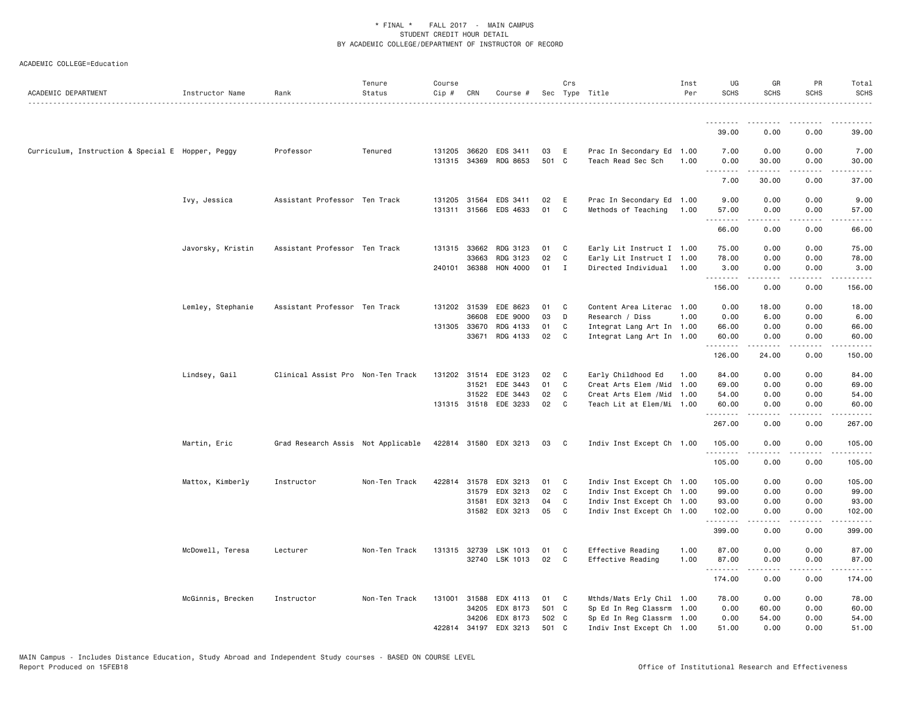| ACADEMIC DEPARTMENT                               | Instructor Name   | Rank                               | Tenure<br>Status | Course<br>Cip # | CRN                          | Course #                          |             | Crs          | Sec Type Title                                   | Inst<br>Per | UG<br><b>SCHS</b> | GR<br><b>SCHS</b>                                                                                                                                            | PR<br><b>SCHS</b> | Total<br><b>SCHS</b>                                                                                                                                           |
|---------------------------------------------------|-------------------|------------------------------------|------------------|-----------------|------------------------------|-----------------------------------|-------------|--------------|--------------------------------------------------|-------------|-------------------|--------------------------------------------------------------------------------------------------------------------------------------------------------------|-------------------|----------------------------------------------------------------------------------------------------------------------------------------------------------------|
|                                                   |                   |                                    |                  |                 |                              |                                   |             |              |                                                  |             | .                 |                                                                                                                                                              |                   |                                                                                                                                                                |
|                                                   |                   |                                    |                  |                 |                              |                                   |             |              |                                                  |             | 39.00             | 0.00                                                                                                                                                         | 0.00              | 39.00                                                                                                                                                          |
| Curriculum, Instruction & Special E Hopper, Peggy |                   | Professor                          | Tenured          |                 | 131205 36620                 | EDS 3411<br>131315 34369 RDG 8653 | 03<br>501 C | E            | Prac In Secondary Ed 1.00<br>Teach Read Sec Sch  | 1.00        | 7.00<br>0.00      | 0.00<br>30.00                                                                                                                                                | 0.00<br>0.00      | 7.00<br>30.00                                                                                                                                                  |
|                                                   |                   |                                    |                  |                 |                              |                                   |             |              |                                                  |             | .<br>7.00         | .<br>30.00                                                                                                                                                   | .<br>0.00         | .<br>37.00                                                                                                                                                     |
|                                                   | Ivy, Jessica      | Assistant Professor Ten Track      |                  |                 | 131205 31564<br>131311 31566 | EDS 3411<br>EDS 4633              | 02<br>01    | E<br>C       | Prac In Secondary Ed 1.00<br>Methods of Teaching | 1.00        | 9.00<br>57.00     | 0.00<br>0.00                                                                                                                                                 | 0.00<br>0.00      | 9.00<br>57.00                                                                                                                                                  |
|                                                   |                   |                                    |                  |                 |                              |                                   |             |              |                                                  |             | 66.00             | 0.00                                                                                                                                                         | 0.00              | 66.00                                                                                                                                                          |
|                                                   | Javorsky, Kristin | Assistant Professor Ten Track      |                  |                 | 131315 33662                 | RDG 3123                          | 01          | C            | Early Lit Instruct I 1.00                        |             | 75.00             | 0.00                                                                                                                                                         | 0.00              | 75.00                                                                                                                                                          |
|                                                   |                   |                                    |                  |                 | 33663                        | RDG 3123                          | 02          | C            | Early Lit Instruct I 1.00                        |             | 78.00             | 0.00                                                                                                                                                         | 0.00              | 78.00                                                                                                                                                          |
|                                                   |                   |                                    |                  | 240101          | 36388                        | HON 4000                          | 01          | I            | Directed Individual                              | 1.00        | 3.00<br>.         | 0.00                                                                                                                                                         | 0.00              | 3.00                                                                                                                                                           |
|                                                   |                   |                                    |                  |                 |                              |                                   |             |              |                                                  |             | 156.00            | 0.00                                                                                                                                                         | 0.00              | 156.00                                                                                                                                                         |
|                                                   | Lemley, Stephanie | Assistant Professor Ten Track      |                  |                 | 131202 31539                 | EDE 8623                          | 01          | C            | Content Area Literac 1.00                        |             | 0.00              | 18.00                                                                                                                                                        | 0.00              | 18.00                                                                                                                                                          |
|                                                   |                   |                                    |                  |                 | 36608                        | EDE 9000                          | 03          | D            | Research / Diss                                  | 1.00        | 0.00              | 6.00                                                                                                                                                         | 0.00              | 6.00                                                                                                                                                           |
|                                                   |                   |                                    |                  |                 | 131305 33670                 | RDG 4133                          | 01          | C            | Integrat Lang Art In 1.00                        |             | 66.00             | 0.00                                                                                                                                                         | 0.00              | 66.00                                                                                                                                                          |
|                                                   |                   |                                    |                  |                 | 33671                        | RDG 4133                          | 02          | $\mathbf{C}$ | Integrat Lang Art In 1.00                        |             | 60.00<br>.        | 0.00                                                                                                                                                         | 0.00<br>.         | 60.00                                                                                                                                                          |
|                                                   |                   |                                    |                  |                 |                              |                                   |             |              |                                                  |             | 126.00            | 24.00                                                                                                                                                        | 0.00              | 150.00                                                                                                                                                         |
|                                                   | Lindsey, Gail     | Clinical Assist Pro Non-Ten Track  |                  |                 |                              | 131202 31514 EDE 3123             | 02          | C            | Early Childhood Ed                               | 1.00        | 84.00             | 0.00                                                                                                                                                         | 0.00              | 84.00                                                                                                                                                          |
|                                                   |                   |                                    |                  |                 | 31521                        | EDE 3443                          | 01          | C            | Creat Arts Elem / Mid 1.00                       |             | 69.00             | 0.00                                                                                                                                                         | 0.00              | 69.00                                                                                                                                                          |
|                                                   |                   |                                    |                  |                 | 31522                        | EDE 3443                          | 02          | C            | Creat Arts Elem / Mid 1.00                       |             | 54.00             | 0.00                                                                                                                                                         | 0.00              | 54.00                                                                                                                                                          |
|                                                   |                   |                                    |                  |                 |                              | 131315 31518 EDE 3233             | 02          | C            | Teach Lit at Elem/Mi 1.00                        |             | 60.00<br>.        | 0.00                                                                                                                                                         | 0.00              | 60.00<br>.                                                                                                                                                     |
|                                                   |                   |                                    |                  |                 |                              |                                   |             |              |                                                  |             | 267.00            | 0.00                                                                                                                                                         | 0.00              | 267.00                                                                                                                                                         |
|                                                   | Martin, Eric      | Grad Research Assis Not Applicable |                  |                 |                              | 422814 31580 EDX 3213             | 03          | C            | Indiv Inst Except Ch 1.00                        |             | 105.00<br>.       | 0.00<br>.                                                                                                                                                    | 0.00<br>د د د د   | 105.00<br>$\frac{1}{2} \left( \frac{1}{2} \right) \left( \frac{1}{2} \right) \left( \frac{1}{2} \right) \left( \frac{1}{2} \right) \left( \frac{1}{2} \right)$ |
|                                                   |                   |                                    |                  |                 |                              |                                   |             |              |                                                  |             | 105.00            | 0.00                                                                                                                                                         | 0.00              | 105.00                                                                                                                                                         |
|                                                   | Mattox, Kimberly  | Instructor                         | Non-Ten Track    |                 | 422814 31578                 | EDX 3213                          | 01          | C            | Indiv Inst Except Ch 1.00                        |             | 105.00            | 0.00                                                                                                                                                         | 0.00              | 105.00                                                                                                                                                         |
|                                                   |                   |                                    |                  |                 | 31579                        | EDX 3213                          | 02          | C            | Indiv Inst Except Ch 1.00                        |             | 99.00             | 0.00                                                                                                                                                         | 0.00              | 99.00                                                                                                                                                          |
|                                                   |                   |                                    |                  |                 | 31581                        | EDX 3213                          | 04          | C            | Indiv Inst Except Ch 1.00                        |             | 93.00             | 0.00                                                                                                                                                         | 0.00              | 93.00                                                                                                                                                          |
|                                                   |                   |                                    |                  |                 |                              | 31582 EDX 3213                    | 05          | C            | Indiv Inst Except Ch 1.00                        |             | 102.00<br>.       | 0.00<br>$\frac{1}{2} \left( \frac{1}{2} \right) \left( \frac{1}{2} \right) \left( \frac{1}{2} \right) \left( \frac{1}{2} \right) \left( \frac{1}{2} \right)$ | 0.00<br>.         | 102.00<br>$\begin{array}{cccccccccccccc} \bullet & \bullet & \bullet & \bullet & \bullet & \bullet & \bullet & \bullet \end{array}$                            |
|                                                   |                   |                                    |                  |                 |                              |                                   |             |              |                                                  |             | 399.00            | 0.00                                                                                                                                                         | 0.00              | 399.00                                                                                                                                                         |
|                                                   | McDowell, Teresa  | Lecturer                           | Non-Ten Track    |                 | 131315 32739                 | LSK 1013                          | 01          | C            | Effective Reading                                | 1.00        | 87.00             | 0.00                                                                                                                                                         | 0.00              | 87.00                                                                                                                                                          |
|                                                   |                   |                                    |                  |                 |                              | 32740 LSK 1013                    | 02          | C            | Effective Reading                                | 1.00        | 87.00             | 0.00                                                                                                                                                         | 0.00              | 87.00                                                                                                                                                          |
|                                                   |                   |                                    |                  |                 |                              |                                   |             |              |                                                  |             | .<br>174.00       | <b>.</b><br>0.00                                                                                                                                             | .<br>0.00         | 174.00                                                                                                                                                         |
|                                                   | McGinnis, Brecken | Instructor                         | Non-Ten Track    | 131001          | 31588                        | EDX 4113                          | 01          | C            | Mthds/Mats Erly Chil 1.00                        |             | 78.00             | 0.00                                                                                                                                                         | 0.00              | 78.00                                                                                                                                                          |
|                                                   |                   |                                    |                  |                 | 34205                        | EDX 8173                          | 501 C       |              | Sp Ed In Reg Classrm 1.00                        |             | 0.00              | 60.00                                                                                                                                                        | 0.00              | 60.00                                                                                                                                                          |
|                                                   |                   |                                    |                  |                 | 34206                        | EDX 8173                          | 502 C       |              | Sp Ed In Reg Classrm 1.00                        |             | 0.00              | 54.00                                                                                                                                                        | 0.00              | 54.00                                                                                                                                                          |
|                                                   |                   |                                    |                  |                 | 422814 34197                 | EDX 3213                          | 501 C       |              | Indiv Inst Except Ch 1.00                        |             | 51.00             | 0.00                                                                                                                                                         | 0.00              | 51.00                                                                                                                                                          |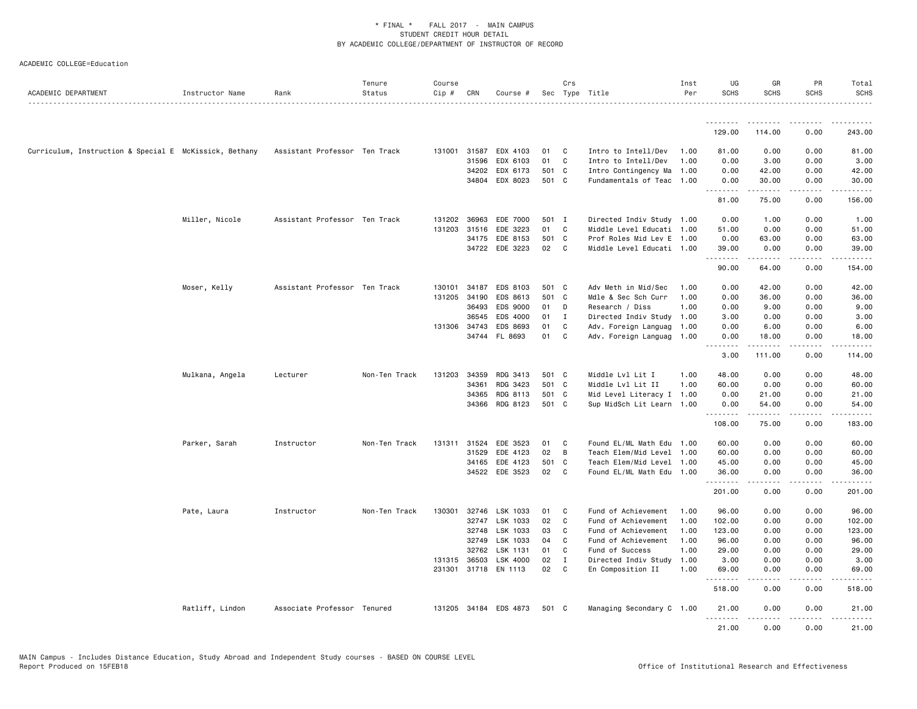| ACADEMIC DEPARTMENT                                    | Instructor Name | Rank                          | Tenure<br>Status | Course<br>Cip # | CRN          | Course #             |       | Crs            | Sec Type Title            | Inst<br>Per | UG<br><b>SCHS</b> | GR<br><b>SCHS</b>                                                                                                                                                                       | PR<br><b>SCHS</b>            | Total<br><b>SCHS</b> |
|--------------------------------------------------------|-----------------|-------------------------------|------------------|-----------------|--------------|----------------------|-------|----------------|---------------------------|-------------|-------------------|-----------------------------------------------------------------------------------------------------------------------------------------------------------------------------------------|------------------------------|----------------------|
|                                                        |                 |                               |                  |                 |              |                      |       |                |                           |             | <u>.</u>          |                                                                                                                                                                                         |                              |                      |
|                                                        |                 |                               |                  |                 |              |                      |       |                |                           |             | 129.00            | 114.00                                                                                                                                                                                  | 0.00                         | 243.00               |
| Curriculum, Instruction & Special E McKissick, Bethany |                 | Assistant Professor Ten Track |                  |                 | 131001 31587 | EDX 4103             | 01    | C              | Intro to Intell/Dev       | 1.00        | 81.00             | 0.00                                                                                                                                                                                    | 0.00                         | 81.00                |
|                                                        |                 |                               |                  |                 | 31596        | EDX 6103             | 01    | C              | Intro to Intell/Dev       | 1.00        | 0.00              | 3.00                                                                                                                                                                                    | 0.00                         | 3.00                 |
|                                                        |                 |                               |                  |                 | 34202        | EDX 6173             | 501 C |                | Intro Contingency Ma      | 1.00        | 0.00              | 42.00                                                                                                                                                                                   | 0.00                         | 42.00                |
|                                                        |                 |                               |                  |                 |              | 34804 EDX 8023       | 501 C |                | Fundamentals of Teac 1.00 |             | 0.00<br>.         | 30.00<br><b>.</b>                                                                                                                                                                       | 0.00                         | 30.00<br>.           |
|                                                        |                 |                               |                  |                 |              |                      |       |                |                           |             | 81.00             | 75.00                                                                                                                                                                                   | 0.00                         | 156.00               |
|                                                        | Miller, Nicole  | Assistant Professor Ten Track |                  |                 | 131202 36963 | EDE 7000             | 501 I |                | Directed Indiv Study 1.00 |             | 0.00              | 1.00                                                                                                                                                                                    | 0.00                         | 1.00                 |
|                                                        |                 |                               |                  | 131203          | 31516        | EDE 3223             | 01    | C              | Middle Level Educati 1.00 |             | 51.00             | 0.00                                                                                                                                                                                    | 0.00                         | 51.00                |
|                                                        |                 |                               |                  |                 | 34175        | EDE 8153             | 501 C |                | Prof Roles Mid Lev E 1.00 |             | 0.00              | 63.00                                                                                                                                                                                   | 0.00                         | 63.00                |
|                                                        |                 |                               |                  |                 |              | 34722 EDE 3223       | 02    | C <sub>1</sub> | Middle Level Educati 1.00 |             | 39.00<br>.        | 0.00<br>$\frac{1}{2} \left( \frac{1}{2} \right) \left( \frac{1}{2} \right) \left( \frac{1}{2} \right) \left( \frac{1}{2} \right) \left( \frac{1}{2} \right) \left( \frac{1}{2} \right)$ | 0.00<br>$\sim$ $\sim$ $\sim$ | 39.00                |
|                                                        |                 |                               |                  |                 |              |                      |       |                |                           |             | 90.00             | 64.00                                                                                                                                                                                   | 0.00                         | 154.00               |
|                                                        | Moser, Kelly    | Assistant Professor Ten Track |                  | 130101          | 34187        | EDS 8103             | 501 C |                | Adv Meth in Mid/Sec       | 1.00        | 0.00              | 42.00                                                                                                                                                                                   | 0.00                         | 42.00                |
|                                                        |                 |                               |                  | 131205          | 34190        | EDS 8613             | 501 C |                | Mdle & Sec Sch Curr       | 1.00        | 0.00              | 36.00                                                                                                                                                                                   | 0.00                         | 36.00                |
|                                                        |                 |                               |                  |                 | 36493        | EDS 9000             | 01    | D              | Research / Diss           | 1.00        | 0.00              | 9.00                                                                                                                                                                                    | 0.00                         | 9.00                 |
|                                                        |                 |                               |                  |                 | 36545        | EDS 4000             | 01    | $\mathbf I$    | Directed Indiv Study 1.00 |             | 3.00              | 0.00                                                                                                                                                                                    | 0.00                         | 3.00                 |
|                                                        |                 |                               |                  |                 | 131306 34743 | EDS 8693             | 01    | C              | Adv. Foreign Languag      | 1.00        | 0.00              | 6.00                                                                                                                                                                                    | 0.00                         | 6.00                 |
|                                                        |                 |                               |                  |                 |              | 34744 FL 8693        | 01    | C              | Adv. Foreign Languag 1.00 |             | 0.00<br>.         | 18.00<br>.                                                                                                                                                                              | 0.00<br>.                    | 18.00<br>.           |
|                                                        |                 |                               |                  |                 |              |                      |       |                |                           |             | 3.00              | 111.00                                                                                                                                                                                  | 0.00                         | 114.00               |
|                                                        | Mulkana, Angela | Lecturer                      | Non-Ten Track    | 131203          | 34359        | RDG 3413             | 501 C |                | Middle Lvl Lit I          | 1.00        | 48.00             | 0.00                                                                                                                                                                                    | 0.00                         | 48.00                |
|                                                        |                 |                               |                  |                 | 34361        | RDG 3423             | 501 C |                | Middle Lvl Lit II         | 1.00        | 60.00             | 0.00                                                                                                                                                                                    | 0.00                         | 60.00                |
|                                                        |                 |                               |                  |                 | 34365        | RDG 8113             | 501 C |                | Mid Level Literacy I 1.00 |             | 0.00              | 21.00                                                                                                                                                                                   | 0.00                         | 21.00                |
|                                                        |                 |                               |                  |                 | 34366        | RDG 8123             | 501 C |                | Sup MidSch Lit Learn 1.00 |             | 0.00<br>.         | 54.00<br>د د د د د                                                                                                                                                                      | 0.00<br>$\frac{1}{2}$        | 54.00                |
|                                                        |                 |                               |                  |                 |              |                      |       |                |                           |             | 108.00            | 75.00                                                                                                                                                                                   | 0.00                         | 183.00               |
|                                                        | Parker, Sarah   | Instructor                    | Non-Ten Track    | 131311          | 31524        | EDE 3523             | 01    | C              | Found EL/ML Math Edu 1.00 |             | 60.00             | 0.00                                                                                                                                                                                    | 0.00                         | 60.00                |
|                                                        |                 |                               |                  |                 | 31529        | EDE 4123             | 02    | B              | Teach Elem/Mid Level      | 1.00        | 60.00             | 0.00                                                                                                                                                                                    | 0.00                         | 60.00                |
|                                                        |                 |                               |                  |                 | 34165        | EDE 4123             | 501 C |                | Teach Elem/Mid Level 1.00 |             | 45.00             | 0.00                                                                                                                                                                                    | 0.00                         | 45.00                |
|                                                        |                 |                               |                  |                 |              | 34522 EDE 3523       | 02    | C              | Found EL/ML Math Edu 1.00 |             | 36.00<br>.        | 0.00<br>.                                                                                                                                                                               | 0.00<br>.                    | 36.00<br>.           |
|                                                        |                 |                               |                  |                 |              |                      |       |                |                           |             | 201.00            | 0.00                                                                                                                                                                                    | 0.00                         | 201.00               |
|                                                        | Pate, Laura     | Instructor                    | Non-Ten Track    | 130301          | 32746        | LSK 1033             | 01    | C              | Fund of Achievement       | 1.00        | 96.00             | 0.00                                                                                                                                                                                    | 0.00                         | 96.00                |
|                                                        |                 |                               |                  |                 | 32747        | LSK 1033             | 02    | C              | Fund of Achievement       | 1.00        | 102.00            | 0.00                                                                                                                                                                                    | 0.00                         | 102.00               |
|                                                        |                 |                               |                  |                 | 32748        | LSK 1033             | 03    | C              | Fund of Achievement       | 1.00        | 123.00            | 0.00                                                                                                                                                                                    | 0.00                         | 123.00               |
|                                                        |                 |                               |                  |                 | 32749        | LSK 1033             | 04    | C              | Fund of Achievement       | 1.00        | 96.00             | 0.00                                                                                                                                                                                    | 0.00                         | 96.00                |
|                                                        |                 |                               |                  |                 | 32762        | LSK 1131             | 01    | C              | Fund of Success           | 1.00        | 29.00             | 0.00                                                                                                                                                                                    | 0.00                         | 29.00                |
|                                                        |                 |                               |                  |                 | 131315 36503 | LSK 4000             | 02    | I              | Directed Indiv Study      | 1.00        | 3.00              | 0.00                                                                                                                                                                                    | 0.00                         | 3.00                 |
|                                                        |                 |                               |                  |                 |              | 231301 31718 EN 1113 | 02    | C              | En Composition II         | 1.00        | 69.00<br>.        | 0.00<br>.                                                                                                                                                                               | 0.00<br>.                    | 69.00<br>.           |
|                                                        |                 |                               |                  |                 |              |                      |       |                |                           |             | 518.00            | 0.00                                                                                                                                                                                    | 0.00                         | 518.00               |
|                                                        | Ratliff, Lindon | Associate Professor Tenured   |                  | 131205          |              | 34184 EDS 4873       | 501 C |                | Managing Secondary C 1.00 |             | 21.00<br>.        | 0.00                                                                                                                                                                                    | 0.00                         | 21.00                |
|                                                        |                 |                               |                  |                 |              |                      |       |                |                           |             | 21.00             | 0.00                                                                                                                                                                                    | 0.00                         | 21,00                |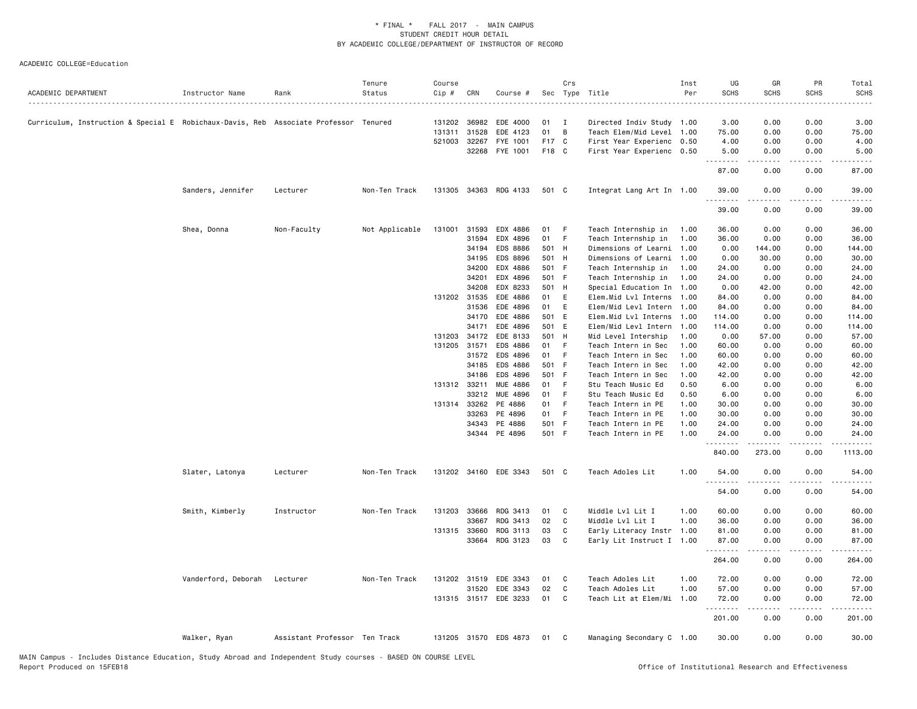| ACADEMIC DEPARTMENT                                                                  | Instructor Name     | Rank                          | Tenure<br>Status | Course<br>Cip # | CRN            | Course #              |             | Crs          | Sec Type Title                                    | Inst<br>Per | UG<br><b>SCHS</b> | GR<br><b>SCHS</b>   | PR<br><b>SCHS</b>     | Total<br><b>SCHS</b> |
|--------------------------------------------------------------------------------------|---------------------|-------------------------------|------------------|-----------------|----------------|-----------------------|-------------|--------------|---------------------------------------------------|-------------|-------------------|---------------------|-----------------------|----------------------|
| Curriculum, Instruction & Special E Robichaux-Davis, Reb Associate Professor Tenured |                     |                               |                  |                 | 131202 36982   | EDE 4000              | 01          | $\mathbf{I}$ | Directed Indiv Study 1.00                         |             | 3.00              | 0.00                | 0.00                  | 3.00                 |
|                                                                                      |                     |                               |                  | 131311          | 31528          | EDE 4123              | 01          | B            | Teach Elem/Mid Level                              | 1.00        | 75.00             | 0.00                | 0.00                  | 75.00                |
|                                                                                      |                     |                               |                  | 521003 32267    |                | FYE 1001              | F17 C       |              | First Year Experienc 0.50                         |             | 4.00              | 0.00                | 0.00                  | 4.00                 |
|                                                                                      |                     |                               |                  |                 | 32268          | FYE 1001              | F18 C       |              | First Year Experienc 0.50                         |             | 5.00<br>.         | 0.00<br>.           | 0.00<br>$\frac{1}{2}$ | 5.00<br>.            |
|                                                                                      |                     |                               |                  |                 |                |                       |             |              |                                                   |             | 87.00             | 0.00                | 0.00                  | 87.00                |
|                                                                                      | Sanders, Jennifer   | Lecturer                      | Non-Ten Track    | 131305          | 34363          | RDG 4133              | 501 C       |              | Integrat Lang Art In 1.00                         |             | 39.00<br>.        | 0.00                | 0.00                  | 39.00                |
|                                                                                      |                     |                               |                  |                 |                |                       |             |              |                                                   |             | 39.00             | 0.00                | 0.00                  | 39.00                |
|                                                                                      | Shea, Donna         | Non-Faculty                   | Not Applicable   | 131001          | 31593          | EDX 4886              | 01          | - F          | Teach Internship in                               | 1.00        | 36.00             | 0.00                | 0.00                  | 36.00                |
|                                                                                      |                     |                               |                  |                 | 31594          | EDX 4896              | 01          | -F           | Teach Internship in                               | 1.00        | 36.00             | 0.00                | 0.00                  | 36.00                |
|                                                                                      |                     |                               |                  |                 | 34194          | EDS 8886              | 501 H       |              | Dimensions of Learni 1.00                         |             | 0.00              | 144.00              | 0.00                  | 144.00               |
|                                                                                      |                     |                               |                  |                 | 34195          | EDS 8896              | 501 H       |              | Dimensions of Learni                              | 1.00        | 0.00              | 30.00               | 0.00                  | 30.00                |
|                                                                                      |                     |                               |                  |                 | 34200          | EDX 4886              | 501 F       |              | Teach Internship in                               | 1.00        | 24.00             | 0.00                | 0.00                  | 24.00                |
|                                                                                      |                     |                               |                  |                 | 34201          | EDX 4896              | 501 F       |              | Teach Internship in                               | 1.00        | 24.00             | 0.00                | 0.00                  | 24.00                |
|                                                                                      |                     |                               |                  |                 | 34208          | EDX 8233              | 501 H       |              | Special Education In 1.00                         |             | 0.00              | 42.00               | 0.00                  | 42.00                |
|                                                                                      |                     |                               |                  |                 | 131202 31535   | EDE 4886              | 01          | E            | Elem.Mid Lvl Interns 1.00                         |             | 84.00             | 0.00                | 0.00                  | 84.00                |
|                                                                                      |                     |                               |                  |                 | 31536<br>34170 | EDE 4896<br>EDE 4886  | 01<br>501 E | E            | Elem/Mid Levl Intern 1.00<br>Elem.Mid Lvl Interns | 1.00        | 84.00<br>114.00   | 0.00<br>0.00        | 0.00<br>0.00          | 84.00                |
|                                                                                      |                     |                               |                  |                 | 34171          | EDE 4896              | 501 E       |              | Elem/Mid Levl Intern                              | 1.00        | 114.00            | 0.00                | 0.00                  | 114.00<br>114.00     |
|                                                                                      |                     |                               |                  | 131203          | 34172          | EDE 8133              | 501 H       |              | Mid Level Intership                               | 1.00        | 0.00              | 57.00               | 0.00                  | 57.00                |
|                                                                                      |                     |                               |                  | 131205 31571    |                | EDS 4886              | 01          | -F           | Teach Intern in Sec                               | 1.00        | 60.00             | 0.00                | 0.00                  | 60.00                |
|                                                                                      |                     |                               |                  |                 | 31572          | EDS 4896              | 01          | - F          | Teach Intern in Sec                               | 1.00        | 60.00             | 0.00                | 0.00                  | 60.00                |
|                                                                                      |                     |                               |                  |                 | 34185          | EDS 4886              | 501 F       |              | Teach Intern in Sec                               | 1.00        | 42.00             | 0.00                | 0.00                  | 42.00                |
|                                                                                      |                     |                               |                  |                 | 34186          | EDS 4896              | 501 F       |              | Teach Intern in Sec                               | 1.00        | 42.00             | 0.00                | 0.00                  | 42.00                |
|                                                                                      |                     |                               |                  | 131312 33211    |                | <b>MUE 4886</b>       | 01          | -F           | Stu Teach Music Ed                                | 0.50        | 6.00              | 0.00                | 0.00                  | 6.00                 |
|                                                                                      |                     |                               |                  |                 | 33212          | MUE 4896              | 01          | -F           | Stu Teach Music Ed                                | 0.50        | 6.00              | 0.00                | 0.00                  | 6.00                 |
|                                                                                      |                     |                               |                  |                 | 131314 33262   | PE 4886               | 01          | -F           | Teach Intern in PE                                | 1.00        | 30.00             | 0.00                | 0.00                  | 30.00                |
|                                                                                      |                     |                               |                  |                 | 33263          | PE 4896               | 01          | -F           | Teach Intern in PE                                | 1.00        | 30.00             | 0.00                | 0.00                  | 30.00                |
|                                                                                      |                     |                               |                  |                 | 34343          | PE 4886               | 501 F       |              | Teach Intern in PE                                | 1.00        | 24.00             | 0.00                | 0.00                  | 24.00                |
|                                                                                      |                     |                               |                  |                 |                | 34344 PE 4896         | 501 F       |              | Teach Intern in PE                                | 1.00        | 24.00<br>.        | 0.00<br>--------    | 0.00<br>.             | 24.00                |
|                                                                                      |                     |                               |                  |                 |                |                       |             |              |                                                   |             | 840.00            | 273.00              | 0.00                  | 1113.00              |
|                                                                                      | Slater, Latonya     | Lecturer                      | Non-Ten Track    |                 |                | 131202 34160 EDE 3343 | 501 C       |              | Teach Adoles Lit                                  | 1.00        | 54.00<br>.        | 0.00<br>$- - - - -$ | 0.00<br>.             | 54.00                |
|                                                                                      |                     |                               |                  |                 |                |                       |             |              |                                                   |             | 54.00             | 0.00                | 0.00                  | 54.00                |
|                                                                                      | Smith, Kimberly     | Instructor                    | Non-Ten Track    |                 | 131203 33666   | RDG 3413              | 01          | $\mathbf{C}$ | Middle Lvl Lit I                                  | 1.00        | 60.00             | 0.00                | 0.00                  | 60.00                |
|                                                                                      |                     |                               |                  |                 | 33667          | RDG 3413              | 02          | C            | Middle Lvl Lit I                                  | 1.00        | 36.00             | 0.00                | 0.00                  | 36.00                |
|                                                                                      |                     |                               |                  | 131315 33660    |                | RDG 3113              | 03          | C            | Early Literacy Instr 1.00                         |             | 81.00             | 0.00                | 0.00                  | 81.00                |
|                                                                                      |                     |                               |                  |                 | 33664          | RDG 3123              | 03          | C            | Early Lit Instruct I 1.00                         |             | 87.00<br>.        | 0.00                | 0.00                  | 87.00                |
|                                                                                      |                     |                               |                  |                 |                |                       |             |              |                                                   |             | 264.00            | 0.00                | 0.00                  | 264.00               |
|                                                                                      | Vanderford, Deborah | Lecturer                      | Non-Ten Track    |                 |                | 131202 31519 EDE 3343 | 01          | C            | Teach Adoles Lit                                  | 1.00        | 72.00             | 0.00                | 0.00                  | 72.00                |
|                                                                                      |                     |                               |                  |                 | 31520          | EDE 3343              | 02          | C            | Teach Adoles Lit                                  | 1.00        | 57.00             | 0.00                | 0.00                  | 57.00                |
|                                                                                      |                     |                               |                  |                 |                | 131315 31517 EDE 3233 | 01          | C            | Teach Lit at Elem/Mi                              | 1.00        | 72.00<br>.        | 0.00                | 0.00                  | 72.00                |
|                                                                                      |                     |                               |                  |                 |                |                       |             |              |                                                   |             | 201.00            | 0.00                | 0.00                  | 201.00               |
|                                                                                      | Walker, Ryan        | Assistant Professor Ten Track |                  |                 |                | 131205 31570 EDS 4873 | 01          | $\mathbf{C}$ | Managing Secondary C 1.00                         |             | 30.00             | 0.00                | 0.00                  | 30.00                |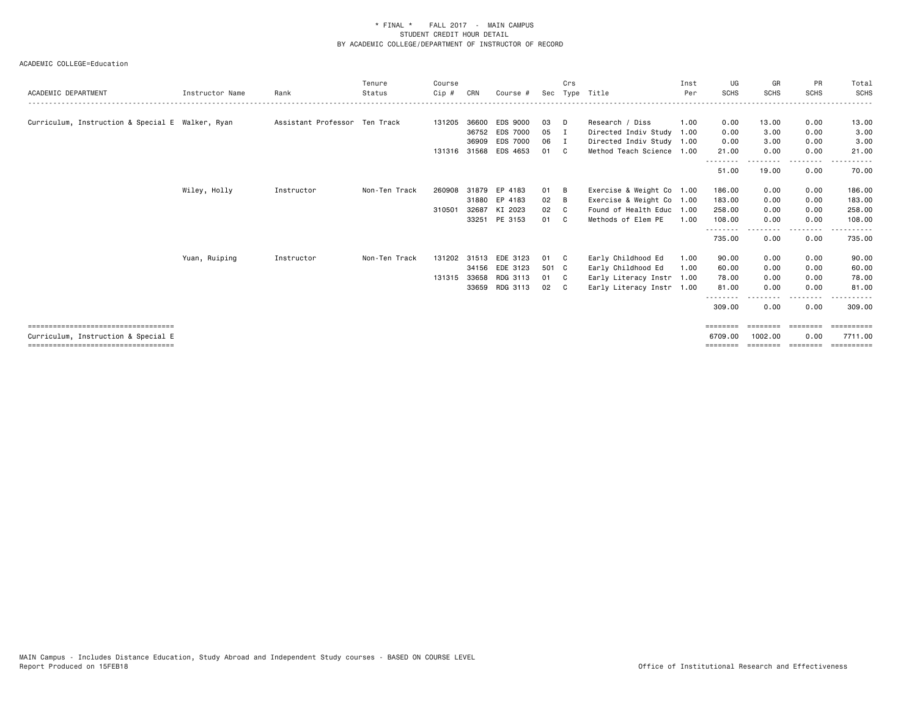| ACADEMIC DEPARTMENT                                                         | Instructor Name | Rank                          | Tenure<br>Status | Course<br>$Cip$ # | CRN          | Course #              | Sec   | Crs<br>Type  | Title                     | Inst<br>Per | UG<br><b>SCHS</b>   | GR<br><b>SCHS</b>   | PR<br><b>SCHS</b> | Total<br>SCHS               |
|-----------------------------------------------------------------------------|-----------------|-------------------------------|------------------|-------------------|--------------|-----------------------|-------|--------------|---------------------------|-------------|---------------------|---------------------|-------------------|-----------------------------|
|                                                                             |                 |                               |                  |                   |              |                       |       |              |                           |             |                     |                     |                   |                             |
| Curriculum, Instruction & Special E Walker, Ryan                            |                 | Assistant Professor Ten Track |                  | 131205 36600      |              | EDS 9000              | 03    | D            | Research / Diss           | 1.00        | 0.00                | 13.00               | 0.00              | 13.00                       |
|                                                                             |                 |                               |                  |                   | 36752        | <b>EDS 7000</b>       | 05    |              | Directed Indiv Study      | 1.00        | 0.00                | 3.00                | 0.00              | 3.00                        |
|                                                                             |                 |                               |                  |                   | 36909        | <b>EDS 7000</b>       | 06    | - I          | Directed Indiv Study 1.00 |             | 0.00                | 3.00                | 0.00              | 3.00                        |
|                                                                             |                 |                               |                  |                   |              | 131316 31568 EDS 4653 | 01    | C.           | Method Teach Science 1.00 |             | 21.00               | 0.00                | 0.00<br>$\cdots$  | 21.00                       |
|                                                                             |                 |                               |                  |                   |              |                       |       |              |                           |             | 51.00               | 19.00               | 0.00              | 70.00                       |
|                                                                             | Wiley, Holly    | Instructor                    | Non-Ten Track    | 260908            |              | 31879 EP 4183         | 01    | B            | Exercise & Weight Co 1.00 |             | 186.00              | 0.00                | 0.00              | 186.00                      |
|                                                                             |                 |                               |                  |                   |              | 31880 EP 4183         | 02    | B            | Exercise & Weight Co 1.00 |             | 183.00              | 0.00                | 0.00              | 183.00                      |
|                                                                             |                 |                               |                  | 310501            | 32687        | KI 2023               | 02    | C.           | Found of Health Educ 1.00 |             | 258.00              | 0.00                | 0.00              | 258.00                      |
|                                                                             |                 |                               |                  |                   |              | 33251 PE 3153         | 01    | C.           | Methods of Elem PE        | 1.00        | 108,00              | 0.00                | 0.00              | 108.00                      |
|                                                                             |                 |                               |                  |                   |              |                       |       |              |                           |             | .<br>735.00         | - - - - -<br>0.00   | .<br>0.00         | 735.00                      |
|                                                                             | Yuan, Ruiping   | Instructor                    | Non-Ten Track    |                   | 131202 31513 | EDE 3123              | 01    | - C          | Early Childhood Ed        | 1.00        | 90.00               | 0.00                | 0.00              | 90.00                       |
|                                                                             |                 |                               |                  |                   |              | 34156 EDE 3123        | 501 C |              | Early Childhood Ed        | 1.00        | 60.00               | 0.00                | 0.00              | 60.00                       |
|                                                                             |                 |                               |                  | 131315 33658      |              | RDG 3113              | 01    | - C          | Early Literacy Instr      | 1.00        | 78.00               | 0.00                | 0.00              | 78.00                       |
|                                                                             |                 |                               |                  |                   | 33659        | RDG 3113              | 02    | $\mathbf{C}$ | Early Literacy Instr 1.00 |             | 81.00               | 0.00                | 0.00              | 81.00                       |
|                                                                             |                 |                               |                  |                   |              |                       |       |              |                           |             | --------<br>309,00  | 0.00                | $- - - -$<br>0.00 | 309,00                      |
| ====================================<br>Curriculum, Instruction & Special E |                 |                               |                  |                   |              |                       |       |              |                           |             | ========<br>6709.00 | ========<br>1002.00 | ========<br>0.00  | <b>SEREEBEER</b><br>7711.00 |
| =====================================                                       |                 |                               |                  |                   |              |                       |       |              |                           |             |                     |                     |                   | :========                   |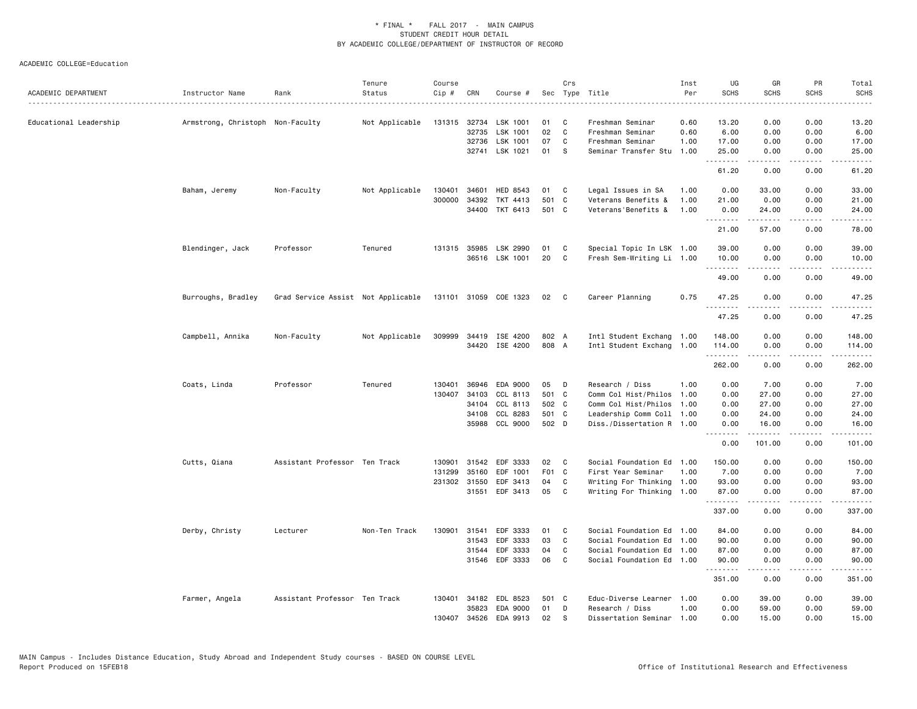| ACADEMIC DEPARTMENT    | Instructor Name                  | Rank                               | Tenure<br>Status | Course<br>Cip # | CRN          | Course #              |       | Crs          | Sec Type Title            | Inst<br>Per | UG<br><b>SCHS</b> | GR<br><b>SCHS</b>    | PR<br><b>SCHS</b>            | Total<br><b>SCHS</b>                                                                                                               |
|------------------------|----------------------------------|------------------------------------|------------------|-----------------|--------------|-----------------------|-------|--------------|---------------------------|-------------|-------------------|----------------------|------------------------------|------------------------------------------------------------------------------------------------------------------------------------|
| Educational Leadership | Armstrong, Christoph Non-Faculty |                                    | Not Applicable   |                 | 131315 32734 | LSK 1001              | 01    | C            | Freshman Seminar          | 0.60        | 13.20             | 0.00                 | 0.00                         | 13.20                                                                                                                              |
|                        |                                  |                                    |                  |                 | 32735        | LSK 1001              | 02    | C            | Freshman Seminar          | 0.60        | 6.00              | 0.00                 | 0.00                         | 6.00                                                                                                                               |
|                        |                                  |                                    |                  |                 | 32736        | LSK 1001              | 07    | C            | Freshman Seminar          | 1.00        | 17.00             | 0.00                 | 0.00                         | 17.00                                                                                                                              |
|                        |                                  |                                    |                  |                 |              | 32741 LSK 1021        | 01    | -S           | Seminar Transfer Stu      | 1.00        | 25.00<br>.        | 0.00<br>.            | 0.00<br>$\sim$ $\sim$ $\sim$ | 25.00<br>$\frac{1}{2} \left( \frac{1}{2} \right) \left( \frac{1}{2} \right) \left( \frac{1}{2} \right) \left( \frac{1}{2} \right)$ |
|                        |                                  |                                    |                  |                 |              |                       |       |              |                           |             | 61.20             | 0.00                 | 0.00                         | 61.20                                                                                                                              |
|                        | Baham, Jeremy                    | Non-Faculty                        | Not Applicable   | 130401          | 34601        | HED 8543              | 01    | C            | Legal Issues in SA        | 1.00        | 0.00              | 33.00                | 0.00                         | 33.00                                                                                                                              |
|                        |                                  |                                    |                  | 300000          | 34392        | TKT 4413              | 501 C |              | Veterans Benefits &       | 1.00        | 21.00             | 0.00                 | 0.00                         | 21.00                                                                                                                              |
|                        |                                  |                                    |                  |                 |              | 34400 TKT 6413        | 501 C |              | Veterans'Benefits &       | 1.00        | 0.00<br><u>.</u>  | 24.00<br>$- - - - -$ | 0.00<br>$\frac{1}{2}$        | 24.00<br>$\frac{1}{2}$                                                                                                             |
|                        |                                  |                                    |                  |                 |              |                       |       |              |                           |             | 21.00             | 57.00                | 0.00                         | 78.00                                                                                                                              |
|                        | Blendinger, Jack                 | Professor                          | Tenured          |                 |              | 131315 35985 LSK 2990 | 01    | C            | Special Topic In LSK 1.00 |             | 39.00             | 0.00                 | 0.00                         | 39.00                                                                                                                              |
|                        |                                  |                                    |                  |                 |              | 36516 LSK 1001        | 20    | C            | Fresh Sem-Writing Li 1.00 |             | 10.00<br>.        | 0.00                 | 0.00                         | 10.00<br>$\frac{1}{2}$                                                                                                             |
|                        |                                  |                                    |                  |                 |              |                       |       |              |                           |             | 49.00             | 0.00                 | 0.00                         | 49.00                                                                                                                              |
|                        | Burroughs, Bradley               | Grad Service Assist Not Applicable |                  |                 |              | 131101 31059 COE 1323 | 02    | $\mathbf{C}$ | Career Planning           | 0.75        | 47.25             | 0.00                 | 0.00                         | 47.25                                                                                                                              |
|                        |                                  |                                    |                  |                 |              |                       |       |              |                           |             | <u>.</u><br>47.25 | 0.00                 | 0.00                         | $\cdots$<br>47.25                                                                                                                  |
|                        | Campbell, Annika                 | Non-Faculty                        | Not Applicable   |                 |              | 309999 34419 ISE 4200 | 802 A |              | Intl Student Exchang 1.00 |             | 148.00            | 0.00                 | 0.00                         | 148.00                                                                                                                             |
|                        |                                  |                                    |                  |                 |              | 34420 ISE 4200        | 808 A |              | Intl Student Exchang      | 1.00        | 114.00            | 0.00                 | 0.00                         | 114.00                                                                                                                             |
|                        |                                  |                                    |                  |                 |              |                       |       |              |                           |             | .<br>262.00       | 0.00                 | بالمحامي<br>0.00             | 262.00                                                                                                                             |
|                        | Coats, Linda                     | Professor                          | Tenured          | 130401          | 36946        | EDA 9000              | 05    | D            | Research / Diss           | 1.00        | 0.00              | 7.00                 | 0.00                         | 7.00                                                                                                                               |
|                        |                                  |                                    |                  |                 | 130407 34103 | CCL 8113              | 501 C |              | Comm Col Hist/Philos 1.00 |             | 0.00              | 27.00                | 0.00                         | 27.00                                                                                                                              |
|                        |                                  |                                    |                  |                 | 34104        | CCL 8113              | 502 C |              | Comm Col Hist/Philos      | 1.00        | 0.00              | 27.00                | 0.00                         | 27.00                                                                                                                              |
|                        |                                  |                                    |                  |                 | 34108        | CCL 8283              | 501 C |              | Leadership Comm Coll 1.00 |             | 0.00              | 24.00                | 0.00                         | 24.00                                                                                                                              |
|                        |                                  |                                    |                  |                 |              | 35988 CCL 9000        | 502 D |              | Diss./Dissertation R 1.00 |             | 0.00<br>.         | 16.00<br>.           | 0.00<br>.                    | 16.00<br>.                                                                                                                         |
|                        |                                  |                                    |                  |                 |              |                       |       |              |                           |             | 0.00              | 101.00               | 0.00                         | 101.00                                                                                                                             |
|                        | Cutts, Qiana                     | Assistant Professor Ten Track      |                  | 130901          | 31542        | EDF 3333              | 02    | $\mathbf{C}$ | Social Foundation Ed 1.00 |             | 150.00            | 0.00                 | 0.00                         | 150.00                                                                                                                             |
|                        |                                  |                                    |                  | 131299          | 35160        | EDF 1001              | F01 C |              | First Year Seminar        | 1.00        | 7.00              | 0.00                 | 0.00                         | 7.00                                                                                                                               |
|                        |                                  |                                    |                  |                 | 231302 31550 | EDF 3413              | 04    | C            | Writing For Thinking 1.00 |             | 93.00             | 0.00                 | 0.00                         | 93.00                                                                                                                              |
|                        |                                  |                                    |                  |                 | 31551        | EDF 3413              | 05    | C            | Writing For Thinking 1.00 |             | 87.00             | 0.00<br><u>.</u>     | 0.00<br>د د د د              | 87.00<br>.                                                                                                                         |
|                        |                                  |                                    |                  |                 |              |                       |       |              |                           |             | 337.00            | 0.00                 | 0.00                         | 337,00                                                                                                                             |
|                        | Derby, Christy                   | Lecturer                           | Non-Ten Track    | 130901          | 31541        | EDF 3333              | 01    | C            | Social Foundation Ed 1.00 |             | 84.00             | 0.00                 | 0.00                         | 84.00                                                                                                                              |
|                        |                                  |                                    |                  |                 | 31543        | EDF 3333              | 03    | C            | Social Foundation Ed 1.00 |             | 90.00             | 0.00                 | 0.00                         | 90.00                                                                                                                              |
|                        |                                  |                                    |                  |                 | 31544        | EDF 3333              | 04    | C            | Social Foundation Ed 1.00 |             | 87.00             | 0.00                 | 0.00                         | 87.00                                                                                                                              |
|                        |                                  |                                    |                  |                 | 31546        | EDF 3333              | 06    | C            | Social Foundation Ed 1.00 |             | 90.00<br>.        | 0.00<br>-----        | 0.00                         | 90.00<br>.                                                                                                                         |
|                        |                                  |                                    |                  |                 |              |                       |       |              |                           |             | 351.00            | 0.00                 | 0.00                         | 351.00                                                                                                                             |
|                        | Farmer, Angela                   | Assistant Professor Ten Track      |                  |                 | 130401 34182 | EDL 8523              | 501 C |              | Educ-Diverse Learner 1.00 |             | 0.00              | 39.00                | 0.00                         | 39.00                                                                                                                              |
|                        |                                  |                                    |                  |                 | 35823        | EDA 9000              | 01    | D            | Research / Diss           | 1.00        | 0.00              | 59.00                | 0.00                         | 59.00                                                                                                                              |
|                        |                                  |                                    |                  |                 | 130407 34526 | EDA 9913              | 02    | S            | Dissertation Seminar 1.00 |             | 0.00              | 15.00                | 0.00                         | 15.00                                                                                                                              |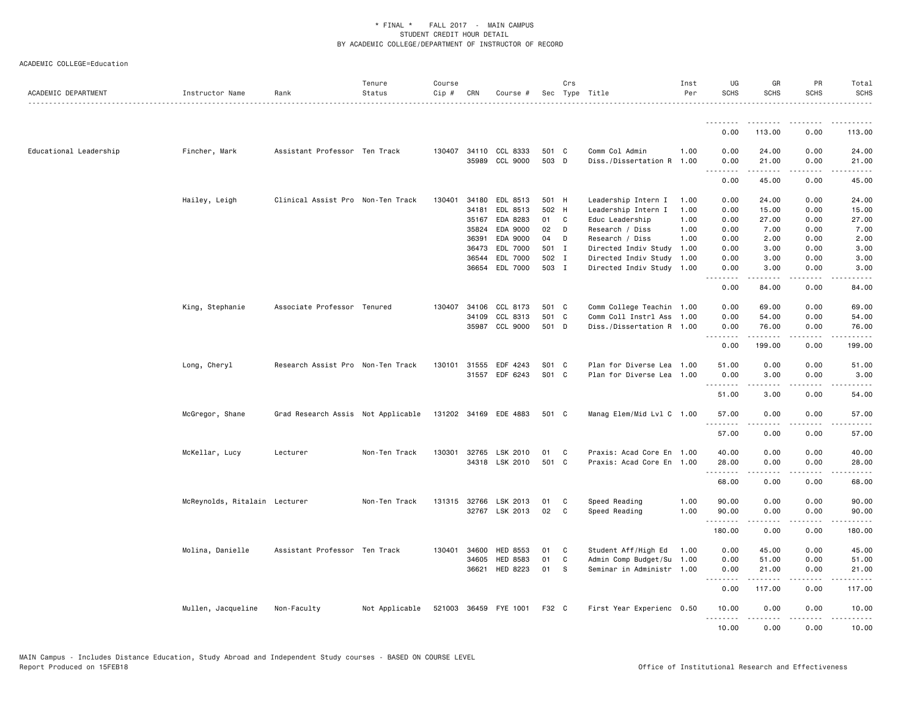| ACADEMIC DEPARTMENT    | Instructor Name               | Rank                               | Tenure<br>Status | Course<br>$Cip \#$ | CRN            | Course #              |                | Crs          | Sec Type Title                                         | Inst<br>Per | UG<br><b>SCHS</b>                 | GR<br><b>SCHS</b>     | PR<br><b>SCHS</b>  | Total<br><b>SCHS</b>  |
|------------------------|-------------------------------|------------------------------------|------------------|--------------------|----------------|-----------------------|----------------|--------------|--------------------------------------------------------|-------------|-----------------------------------|-----------------------|--------------------|-----------------------|
|                        |                               |                                    |                  |                    |                |                       |                |              |                                                        |             |                                   |                       |                    |                       |
|                        |                               |                                    |                  |                    |                |                       |                |              |                                                        |             | 0.00                              | 113.00                | 0.00               | 113.00                |
| Educational Leadership | Fincher, Mark                 | Assistant Professor Ten Track      |                  | 130407 34110       | 35989          | CCL 8333<br>CCL 9000  | 501 C<br>503 D |              | Comm Col Admin<br>Diss./Dissertation R 1.00            | 1.00        | 0.00<br>0.00<br>.                 | 24.00<br>21.00<br>.   | 0.00<br>0.00<br>.  | 24.00<br>21.00<br>.   |
|                        |                               |                                    |                  |                    |                |                       |                |              |                                                        |             | 0.00                              | 45.00                 | 0.00               | 45.00                 |
|                        | Hailey, Leigh                 | Clinical Assist Pro Non-Ten Track  |                  | 130401             | 34180          | EDL 8513              | 501 H          |              | Leadership Intern I                                    | 1.00        | 0.00                              | 24.00                 | 0.00               | 24.00                 |
|                        |                               |                                    |                  |                    | 34181          | EDL 8513              | 502 H          |              | Leadership Intern I                                    | 1.00        | 0.00                              | 15.00                 | 0.00               | 15.00                 |
|                        |                               |                                    |                  |                    | 35167          | EDA 8283              | 01 C           |              | Educ Leadership                                        | 1.00        | 0.00                              | 27.00                 | 0.00               | 27.00                 |
|                        |                               |                                    |                  |                    | 35824          | EDA 9000              | 02             | $\Box$       | Research / Diss                                        | 1.00        | 0.00                              | 7.00                  | 0.00               | 7.00                  |
|                        |                               |                                    |                  |                    | 36391          | EDA 9000              | 04             | D            | Research / Diss                                        | 1.00        | 0.00                              | 2.00                  | 0.00               | 2.00                  |
|                        |                               |                                    |                  |                    | 36473<br>36544 | EDL 7000<br>EDL 7000  | 501 I<br>502 I |              | Directed Indiv Study 1.00<br>Directed Indiv Study 1.00 |             | 0.00<br>0.00                      | 3.00<br>3.00          | 0.00<br>0.00       | 3.00<br>3.00          |
|                        |                               |                                    |                  |                    | 36654          | EDL 7000              | 503 I          |              | Directed Indiv Study 1.00                              |             | 0.00                              | 3.00                  | 0.00               | 3.00                  |
|                        |                               |                                    |                  |                    |                |                       |                |              |                                                        |             | .<br>$\sim$ $\sim$ $\sim$<br>0.00 | 84.00                 | 0.00               | 84.00                 |
|                        | King, Stephanie               | Associate Professor Tenured        |                  | 130407 34106       |                | CCL 8173              | 501 C          |              | Comm College Teachin 1.00                              |             | 0.00                              | 69.00                 | 0.00               | 69.00                 |
|                        |                               |                                    |                  |                    | 34109          | CCL 8313              | 501 C          |              | Comm Coll Instrl Ass 1.00                              |             | 0.00                              | 54.00                 | 0.00               | 54.00                 |
|                        |                               |                                    |                  |                    | 35987          | CCL 9000              | 501 D          |              | Diss./Dissertation R 1.00                              |             | 0.00                              | 76.00                 | 0.00               | 76.00                 |
|                        |                               |                                    |                  |                    |                |                       |                |              |                                                        |             | 0.00                              | .<br>199.00           | .<br>0.00          | .<br>199.00           |
|                        | Long, Cheryl                  | Research Assist Pro Non-Ten Track  |                  | 130101             | 31555          | EDF 4243              | S01 C          |              | Plan for Diverse Lea 1.00                              |             | 51.00                             | 0.00                  | 0.00               | 51.00                 |
|                        |                               |                                    |                  |                    |                | 31557 EDF 6243        | S01 C          |              | Plan for Diverse Lea 1.00                              |             | 0.00<br><u>.</u>                  | 3.00<br>$- - - - -$   | 0.00<br>.          | 3.00<br>$\frac{1}{2}$ |
|                        |                               |                                    |                  |                    |                |                       |                |              |                                                        |             | 51.00                             | 3.00                  | 0.00               | 54.00                 |
|                        | McGregor, Shane               | Grad Research Assis Not Applicable |                  |                    |                | 131202 34169 EDE 4883 | 501 C          |              | Manag Elem/Mid Lvl C 1.00                              |             | 57.00                             | 0.00                  | 0.00               | 57.00                 |
|                        |                               |                                    |                  |                    |                |                       |                |              |                                                        |             | .<br>57.00                        | $- - - -$<br>0.00     | . <b>.</b><br>0.00 | 57.00                 |
|                        | McKellar, Lucy                | Lecturer                           | Non-Ten Track    | 130301             | 32765          | LSK 2010              | 01             | $\mathbf{C}$ | Praxis: Acad Core En 1.00                              |             | 40.00                             | 0.00                  | 0.00               | 40.00                 |
|                        |                               |                                    |                  |                    |                | 34318 LSK 2010        | 501 C          |              | Praxis: Acad Core En 1.00                              |             | 28.00<br><u>.</u>                 | 0.00                  | 0.00               | 28.00                 |
|                        |                               |                                    |                  |                    |                |                       |                |              |                                                        |             | 68.00                             | 0.00                  | 0.00               | 68.00                 |
|                        | McReynolds, Ritalain Lecturer |                                    | Non-Ten Track    |                    |                | 131315 32766 LSK 2013 | 01             | C            | Speed Reading                                          | 1.00        | 90.00                             | 0.00                  | 0.00               | 90.00                 |
|                        |                               |                                    |                  |                    |                | 32767 LSK 2013        | 02             | C.           | Speed Reading                                          | 1.00        | 90.00                             | 0.00<br>-----         | 0.00<br>.          | 90.00                 |
|                        |                               |                                    |                  |                    |                |                       |                |              |                                                        |             | .<br>180.00                       | 0.00                  | 0.00               | 180.00                |
|                        | Molina, Danielle              | Assistant Professor Ten Track      |                  | 130401 34600       |                | HED 8553              | 01             | $\mathbf{C}$ | Student Aff/High Ed                                    | 1.00        | 0.00                              | 45.00                 | 0.00               | 45.00                 |
|                        |                               |                                    |                  |                    | 34605          | <b>HED 8583</b>       | 01             | C            | Admin Comp Budget/Su 1.00                              |             | 0.00                              | 51.00                 | 0.00               | 51.00                 |
|                        |                               |                                    |                  |                    | 36621          | HED 8223              | 01             | $^{\circ}$ S | Seminar in Administr 1.00                              |             | 0.00                              | 21.00                 | 0.00               | 21.00                 |
|                        |                               |                                    |                  |                    |                |                       |                |              |                                                        |             | 0.00                              | 117.00                | 0.00               | 117.00                |
|                        | Mullen, Jacqueline            | Non-Faculty                        | Not Applicable   |                    |                | 521003 36459 FYE 1001 | F32 C          |              | First Year Experienc 0.50                              |             | 10.00<br>. <b>.</b>               | 0.00<br>$\frac{1}{2}$ | 0.00<br>-----      | 10.00                 |
|                        |                               |                                    |                  |                    |                |                       |                |              |                                                        |             | 10.00                             | 0.00                  | 0.00               | 10.00                 |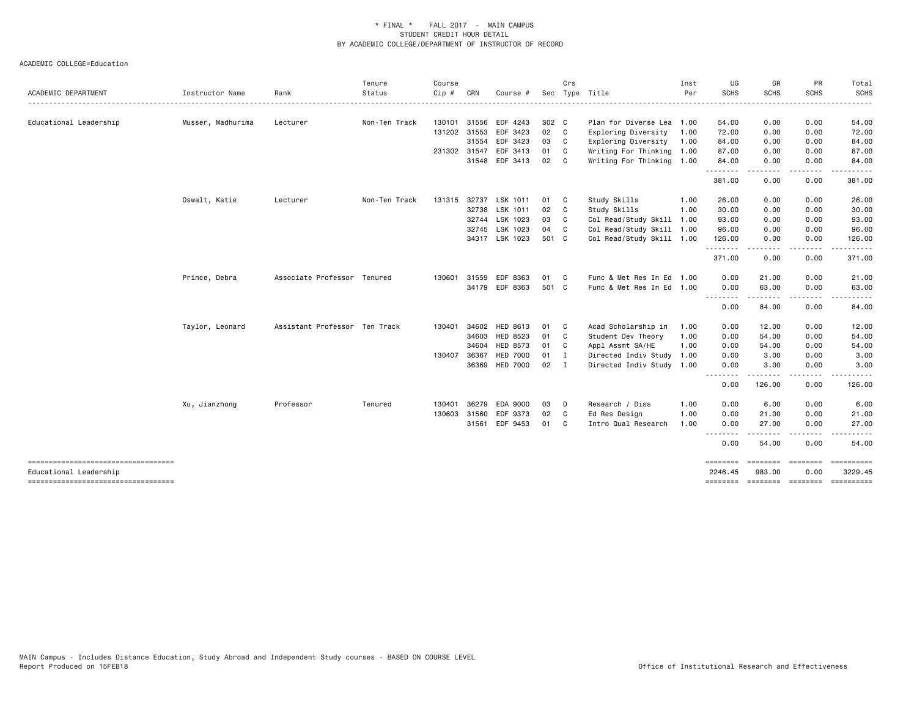|                                                                 |                   |                               | Tenure        | Course       |              |                 |               | Crs          |                           | Inst | UG                                                                                                                                            | GR                  | PR          | Total                                |
|-----------------------------------------------------------------|-------------------|-------------------------------|---------------|--------------|--------------|-----------------|---------------|--------------|---------------------------|------|-----------------------------------------------------------------------------------------------------------------------------------------------|---------------------|-------------|--------------------------------------|
| ACADEMIC DEPARTMENT                                             | Instructor Name   | Rank                          | Status        | $Cip$ #      | CRN          | Course #        |               |              | Sec Type Title            | Per  | <b>SCHS</b>                                                                                                                                   | <b>SCHS</b>         | <b>SCHS</b> | SCHS                                 |
| Educational Leadership                                          | Musser, Madhurima | Lecturer                      | Non-Ten Track |              | 130101 31556 | EDF 4243        | S02 C         |              | Plan for Diverse Lea 1.00 |      | 54.00                                                                                                                                         | 0.00                | 0.00        | 54.00                                |
|                                                                 |                   |                               |               |              | 131202 31553 | EDF 3423        | 02 C          |              | Exploring Diversity 1.00  |      | 72.00                                                                                                                                         | 0.00                | 0.00        | 72.00                                |
|                                                                 |                   |                               |               |              | 31554        | EDF 3423        | 03            | $\mathbf{C}$ | Exploring Diversity 1.00  |      | 84.00                                                                                                                                         | 0.00                | 0.00        | 84.00                                |
|                                                                 |                   |                               |               | 231302 31547 |              | EDF 3413        | 01            | - C          | Writing For Thinking 1.00 |      | 87.00                                                                                                                                         | 0.00                | 0.00        | 87.00                                |
|                                                                 |                   |                               |               |              |              | 31548 EDF 3413  | 02            | - C          | Writing For Thinking 1.00 |      | 84.00                                                                                                                                         | 0.00                | 0.00        | 84.00                                |
|                                                                 |                   |                               |               |              |              |                 |               |              |                           |      | . <u>.</u><br>381.00                                                                                                                          | 0.00                | 0.00        | 381.00                               |
|                                                                 | Oswalt, Katie     | Lecturer                      | Non-Ten Track | 131315 32737 |              | LSK 1011        | 01            | $\mathbf{C}$ | Study Skills              | 1.00 | 26.00                                                                                                                                         | 0.00                | 0.00        | 26.00                                |
|                                                                 |                   |                               |               |              | 32738        | LSK 1011        | 02            | $\mathbf{C}$ | Study Skills              | 1.00 | 30.00                                                                                                                                         | 0.00                | 0.00        | 30.00                                |
|                                                                 |                   |                               |               |              | 32744        | LSK 1023        | 03            | C            | Col Read/Study Skill      | 1.00 | 93.00                                                                                                                                         | 0.00                | 0.00        | 93.00                                |
|                                                                 |                   |                               |               |              | 32745        | LSK 1023        | 04 C          |              | Col Read/Study Skill 1.00 |      | 96.00                                                                                                                                         | 0.00                | 0.00        | 96.00                                |
|                                                                 |                   |                               |               |              |              | 34317 LSK 1023  | 501 C         |              | Col Read/Study Skill 1.00 |      | 126.00                                                                                                                                        | 0.00                | 0.00        | 126.00                               |
|                                                                 |                   |                               |               |              |              |                 |               |              |                           |      | . <b>.</b><br>371.00                                                                                                                          | 0.00                | 0.00        | 371.00                               |
|                                                                 | Prince, Debra     | Associate Professor Tenured   |               | 130601       | 31559        | EDF 8363        | 01            | $\mathbf{C}$ | Func & Met Res In Ed 1.00 |      | 0.00                                                                                                                                          | 21.00               | 0.00        | 21.00                                |
|                                                                 |                   |                               |               |              |              | 34179 EDF 8363  | 501 C         |              | Func & Met Res In Ed 1.00 |      | 0.00                                                                                                                                          | 63.00               | 0.00        | 63.00                                |
|                                                                 |                   |                               |               |              |              |                 |               |              |                           |      | .<br>0.00                                                                                                                                     | 84.00               | 0.00        | 84.00                                |
|                                                                 | Taylor, Leonard   | Assistant Professor Ten Track |               |              | 130401 34602 | <b>HED 8613</b> | 01            | $\mathbf{C}$ | Acad Scholarship in       | 1.00 | 0.00                                                                                                                                          | 12.00               | 0.00        | 12.00                                |
|                                                                 |                   |                               |               |              | 34603        | HED 8523        | 01            | $\mathbf{C}$ | Student Dev Theory        | 1.00 | 0.00                                                                                                                                          | 54.00               | 0.00        | 54.00                                |
|                                                                 |                   |                               |               |              | 34604        | HED 8573        | 01            | $\mathbf{C}$ | Appl Assmt SA/HE          | 1.00 | 0.00                                                                                                                                          | 54.00               | 0.00        | 54.00                                |
|                                                                 |                   |                               |               | 130407 36367 |              | <b>HED 7000</b> | 01 I          |              | Directed Indiv Study 1.00 |      | 0.00                                                                                                                                          | 3.00                | 0.00        | 3.00                                 |
|                                                                 |                   |                               |               |              |              | 36369 HED 7000  | $02 \qquad I$ |              | Directed Indiv Study 1.00 |      | 0.00                                                                                                                                          | 3.00                | 0.00        | 3.00                                 |
|                                                                 |                   |                               |               |              |              |                 |               |              |                           |      | $\frac{1}{2} \left( \frac{1}{2} \right) \left( \frac{1}{2} \right) \left( \frac{1}{2} \right) \left( \frac{1}{2} \right)$<br>$\cdots$<br>0.00 | 126.00              | 0.00        | 126.00                               |
|                                                                 | Xu, Jianzhong     | Professor                     | Tenured       | 130401       | 36279        | EDA 9000        | 03            | D            | Research / Diss           | 1.00 | 0.00                                                                                                                                          | 6.00                | 0.00        | 6.00                                 |
|                                                                 |                   |                               |               | 130603 31560 |              | EDF 9373        | 02            | - C          | Ed Res Design             | 1.00 | 0.00                                                                                                                                          | 21.00               | 0.00        | 21.00                                |
|                                                                 |                   |                               |               |              | 31561        | EDF 9453        | 01            | C            | Intro Qual Research       | 1.00 | 0.00                                                                                                                                          | 27.00               | 0.00        | 27.00                                |
|                                                                 |                   |                               |               |              |              |                 |               |              |                           |      | $\frac{1}{2}$<br>0.00                                                                                                                         | 54.00               | 0.00        | 54.00                                |
| -------------------------------------<br>Educational Leadership |                   |                               |               |              |              |                 |               |              |                           |      | ========<br>2246.45                                                                                                                           | ---------<br>983.00 | 0.00        | ==========<br>3229.45                |
|                                                                 |                   |                               |               |              |              |                 |               |              |                           |      |                                                                                                                                               |                     |             | ======== ======== ======== ========= |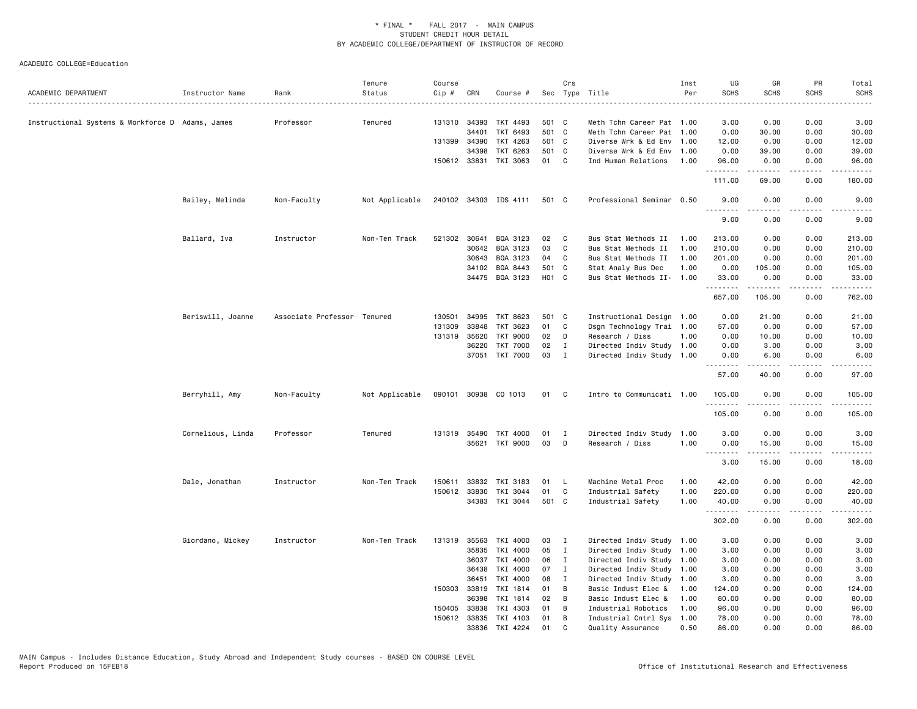| ACADEMIC DEPARTMENT                              | Instructor Name   | Rank                        | Tenure<br>Status | Course<br>Cip # | CRN          | Course #              |       | Crs            | Sec Type Title            | Inst<br>Per | UG<br><b>SCHS</b>    | GR<br><b>SCHS</b>                                                                                                                                             | PR<br><b>SCHS</b>     | Total<br><b>SCHS</b> |
|--------------------------------------------------|-------------------|-----------------------------|------------------|-----------------|--------------|-----------------------|-------|----------------|---------------------------|-------------|----------------------|---------------------------------------------------------------------------------------------------------------------------------------------------------------|-----------------------|----------------------|
|                                                  |                   |                             |                  |                 |              |                       |       |                |                           |             |                      |                                                                                                                                                               |                       |                      |
| Instructional Systems & Workforce D Adams, James |                   | Professor                   | Tenured          |                 | 131310 34393 | TKT 4493              | 501 C |                | Meth Tchn Career Pat 1.00 |             | 3.00                 | 0.00                                                                                                                                                          | 0.00                  | 3.00                 |
|                                                  |                   |                             |                  |                 | 34401        | TKT 6493              | 501 C |                | Meth Tchn Career Pat 1.00 |             | 0.00                 | 30.00                                                                                                                                                         | 0.00                  | 30.00                |
|                                                  |                   |                             |                  | 131399          | 34390        | TKT 4263              | 501 C |                | Diverse Wrk & Ed Env      | 1.00        | 12.00                | 0.00                                                                                                                                                          | 0.00                  | 12.00                |
|                                                  |                   |                             |                  |                 | 34398        | TKT 6263              | 501 C |                | Diverse Wrk & Ed Env 1.00 |             | 0.00                 | 39.00                                                                                                                                                         | 0.00                  | 39.00                |
|                                                  |                   |                             |                  | 150612 33831    |              | TKI 3063              | 01    | C <sub>1</sub> | Ind Human Relations       | 1.00        | 96.00<br>.           | 0.00<br>-----                                                                                                                                                 | 0.00<br>.             | 96.00<br>.           |
|                                                  |                   |                             |                  |                 |              |                       |       |                |                           |             | 111.00               | 69.00                                                                                                                                                         | 0.00                  | 180.00               |
|                                                  | Bailey, Melinda   | Non-Faculty                 | Not Applicable   |                 |              | 240102 34303 IDS 4111 | 501 C |                | Professional Seminar 0.50 |             | 9.00<br><u>.</u>     | 0.00<br>.                                                                                                                                                     | 0.00<br>$\frac{1}{2}$ | 9.00<br>$\cdots$     |
|                                                  |                   |                             |                  |                 |              |                       |       |                |                           |             | 9.00                 | 0.00                                                                                                                                                          | 0.00                  | 9.00                 |
|                                                  | Ballard, Iva      | Instructor                  | Non-Ten Track    | 521302 30641    |              | BQA 3123              | 02    | C              | Bus Stat Methods II       | 1.00        | 213.00               | 0.00                                                                                                                                                          | 0.00                  | 213.00               |
|                                                  |                   |                             |                  |                 | 30642        | BQA 3123              | 03    | C              | Bus Stat Methods II       | 1.00        | 210.00               | 0.00                                                                                                                                                          | 0.00                  | 210.00               |
|                                                  |                   |                             |                  |                 | 30643        | BQA 3123              | 04    | C              | Bus Stat Methods II       | 1.00        | 201.00               | 0.00                                                                                                                                                          | 0.00                  | 201.00               |
|                                                  |                   |                             |                  |                 | 34102        | BQA 8443              | 501 C |                | Stat Analy Bus Dec        | 1.00        | 0.00                 | 105.00                                                                                                                                                        | 0.00                  | 105.00               |
|                                                  |                   |                             |                  |                 |              | 34475 BQA 3123        | H01 C |                | Bus Stat Methods II- 1.00 |             | 33.00<br>.           | 0.00<br>.                                                                                                                                                     | 0.00<br>المتماما      | 33.00<br>.           |
|                                                  |                   |                             |                  |                 |              |                       |       |                |                           |             | 657.00               | 105.00                                                                                                                                                        | 0.00                  | 762.00               |
|                                                  | Beriswill, Joanne | Associate Professor Tenured |                  | 130501          | 34995        | TKT 8623              | 501 C |                | Instructional Design 1.00 |             | 0.00                 | 21.00                                                                                                                                                         | 0.00                  | 21.00                |
|                                                  |                   |                             |                  | 131309          | 33848        | TKT 3623              | 01    | C              | Dsgn Technology Trai 1.00 |             | 57.00                | 0.00                                                                                                                                                          | 0.00                  | 57.00                |
|                                                  |                   |                             |                  | 131319 35620    |              | <b>TKT 9000</b>       | 02    | D              | Research / Diss           | 1.00        | 0.00                 | 10.00                                                                                                                                                         | 0.00                  | 10.00                |
|                                                  |                   |                             |                  |                 | 36220        | <b>TKT 7000</b>       | 02    | Ι              | Directed Indiv Study 1.00 |             | 0.00                 | 3.00                                                                                                                                                          | 0.00                  | 3.00                 |
|                                                  |                   |                             |                  |                 | 37051        | <b>TKT 7000</b>       | 03    | $\mathbf I$    | Directed Indiv Study 1.00 |             | 0.00                 | 6.00                                                                                                                                                          | 0.00                  | 6.00                 |
|                                                  |                   |                             |                  |                 |              |                       |       |                |                           |             | .<br>57.00           | $\frac{1}{2} \left( \frac{1}{2} \right) \left( \frac{1}{2} \right) \left( \frac{1}{2} \right) \left( \frac{1}{2} \right) \left( \frac{1}{2} \right)$<br>40.00 | .<br>0.00             | .<br>97.00           |
|                                                  | Berryhill, Amy    | Non-Faculty                 | Not Applicable   |                 |              | 090101 30938 CO 1013  | 01    | C              | Intro to Communicati 1.00 |             | 105,00               | 0.00                                                                                                                                                          | 0.00                  | 105.00               |
|                                                  |                   |                             |                  |                 |              |                       |       |                |                           |             | . <b>.</b><br>105.00 | 0.00                                                                                                                                                          | 0.00                  | 105.00               |
|                                                  | Cornelious, Linda | Professor                   | Tenured          |                 | 131319 35490 | TKT 4000              | 01    | Ι              | Directed Indiv Study      | 1.00        | 3.00                 | 0.00                                                                                                                                                          | 0.00                  | 3.00                 |
|                                                  |                   |                             |                  |                 | 35621        | TKT 9000              | 03    | D              | Research / Diss           | 1.00        | 0.00                 | 15.00                                                                                                                                                         | 0.00                  | 15.00                |
|                                                  |                   |                             |                  |                 |              |                       |       |                |                           |             | .                    | .                                                                                                                                                             | .                     | .                    |
|                                                  |                   |                             |                  |                 |              |                       |       |                |                           |             | 3.00                 | 15.00                                                                                                                                                         | 0.00                  | 18.00                |
|                                                  | Dale, Jonathan    | Instructor                  | Non-Ten Track    | 150611          | 33832        | TKI 3183              | 01    | L.             | Machine Metal Proc        | 1.00        | 42.00                | 0.00                                                                                                                                                          | 0.00                  | 42.00                |
|                                                  |                   |                             |                  | 150612          | 33830        | TKI 3044              | 01    | C              | Industrial Safety         | 1.00        | 220.00               | 0.00                                                                                                                                                          | 0.00                  | 220.00               |
|                                                  |                   |                             |                  |                 | 34383        | TKI 3044              | 501 C |                | Industrial Safety         | 1.00        | 40.00<br>.           | 0.00                                                                                                                                                          | 0.00                  | 40.00                |
|                                                  |                   |                             |                  |                 |              |                       |       |                |                           |             | 302.00               | 0.00                                                                                                                                                          | 0.00                  | 302.00               |
|                                                  | Giordano, Mickey  | Instructor                  | Non-Ten Track    | 131319          | 35563        | TKI 4000              | 03    | $\mathbf{I}$   | Directed Indiv Study      | 1.00        | 3.00                 | 0.00                                                                                                                                                          | 0.00                  | 3.00                 |
|                                                  |                   |                             |                  |                 | 35835        | TKI 4000              | 05    | $\mathbf{I}$   | Directed Indiv Study      | 1.00        | 3.00                 | 0.00                                                                                                                                                          | 0.00                  | 3.00                 |
|                                                  |                   |                             |                  |                 | 36037        | TKI 4000              | 06    | $\mathbf{I}$   | Directed Indiv Study 1.00 |             | 3.00                 | 0.00                                                                                                                                                          | 0.00                  | 3.00                 |
|                                                  |                   |                             |                  |                 | 36438        | TKI 4000              | 07    | $\mathbf I$    | Directed Indiv Study 1.00 |             | 3.00                 | 0.00                                                                                                                                                          | 0.00                  | 3.00                 |
|                                                  |                   |                             |                  |                 | 36451        | TKI 4000              | 08    | $\mathbf{I}$   | Directed Indiv Study      | 1.00        | 3.00                 | 0.00                                                                                                                                                          | 0.00                  | 3.00                 |
|                                                  |                   |                             |                  | 150303 33819    |              | TKI 1814              | 01    | В              | Basic Indust Elec &       | 1.00        | 124.00               | 0.00                                                                                                                                                          | 0.00                  | 124.00               |
|                                                  |                   |                             |                  |                 | 36398        | TKI 1814              | 02    | B              | Basic Indust Elec &       | 1.00        | 80.00                | 0.00                                                                                                                                                          | 0.00                  | 80.00                |
|                                                  |                   |                             |                  | 150405          | 33838        | TKI 4303              | 01    | В              | Industrial Robotics       | 1.00        | 96.00                | 0.00                                                                                                                                                          | 0.00                  | 96.00                |
|                                                  |                   |                             |                  | 150612 33835    |              | TKI 4103              | 01    | B              | Industrial Cntrl Sys 1.00 |             | 78.00                | 0.00                                                                                                                                                          | 0.00                  | 78.00                |
|                                                  |                   |                             |                  |                 | 33836        | TKI 4224              | 01    | C              | Quality Assurance         | 0.50        | 86.00                | 0.00                                                                                                                                                          | 0.00                  | 86.00                |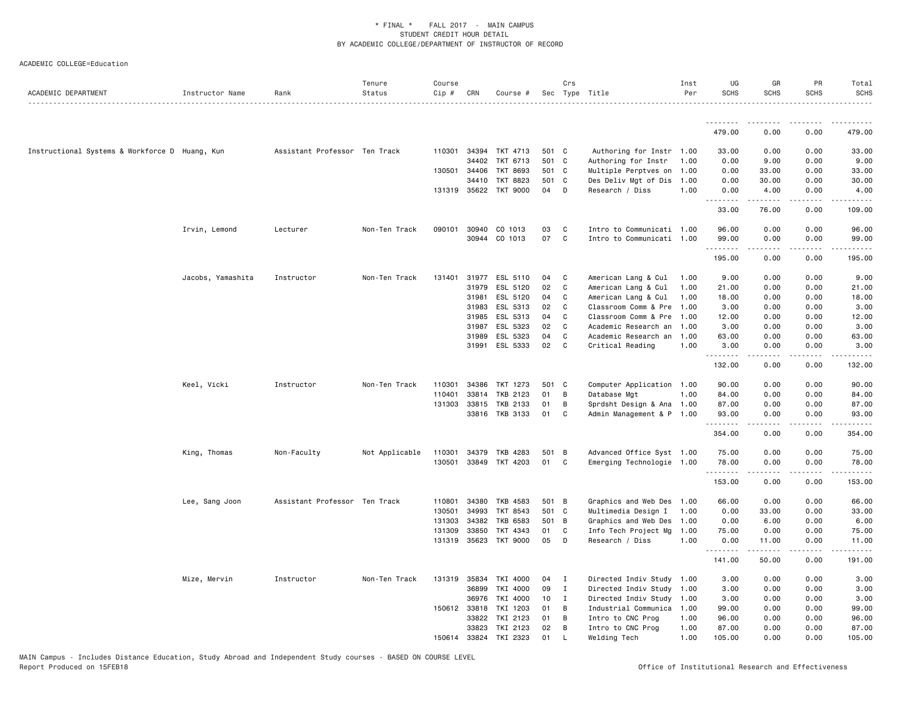| ACADEMIC DEPARTMENT                            | Instructor Name   | Rank                          | Tenure<br>Status | Course<br>Cip # | CRN          | Course #              |       | Crs          | Sec Type Title            | Inst<br>Per | UG<br><b>SCHS</b>   | GR<br><b>SCHS</b> | PR<br><b>SCHS</b> | Total<br><b>SCHS</b>                                                                                                                                         |
|------------------------------------------------|-------------------|-------------------------------|------------------|-----------------|--------------|-----------------------|-------|--------------|---------------------------|-------------|---------------------|-------------------|-------------------|--------------------------------------------------------------------------------------------------------------------------------------------------------------|
|                                                |                   |                               |                  |                 |              |                       |       |              |                           |             | .                   | ------            | .                 |                                                                                                                                                              |
|                                                |                   |                               |                  |                 |              |                       |       |              |                           |             | 479.00              | 0.00              | 0.00              | 479.00                                                                                                                                                       |
| Instructional Systems & Workforce D Huang, Kun |                   | Assistant Professor Ten Track |                  | 110301          | 34394        | TKT 4713              | 501 C |              | Authoring for Instr 1.00  |             | 33.00               | 0.00              | 0.00              | 33.00                                                                                                                                                        |
|                                                |                   |                               |                  |                 | 34402        | TKT 6713              | 501 C |              | Authoring for Instr       | 1.00        | 0.00                | 9.00              | 0.00              | 9.00                                                                                                                                                         |
|                                                |                   |                               |                  | 130501          | 34406        | <b>TKT 8693</b>       | 501 C |              | Multiple Perptves on      | 1.00        | 0.00                | 33.00             | 0.00              | 33.00                                                                                                                                                        |
|                                                |                   |                               |                  |                 | 34410        | TKT 8823              | 501 C |              | Des Deliv Mgt of Dis      | 1.00        | 0.00                | 30.00             | 0.00              | 30.00                                                                                                                                                        |
|                                                |                   |                               |                  |                 |              | 131319 35622 TKT 9000 | 04    | D            | Research / Diss           | 1.00        | 0.00<br><u>.</u>    | 4.00<br>.         | 0.00<br>$\cdots$  | 4.00<br>$\frac{1}{2} \left( \frac{1}{2} \right) \left( \frac{1}{2} \right) \left( \frac{1}{2} \right) \left( \frac{1}{2} \right) \left( \frac{1}{2} \right)$ |
|                                                |                   |                               |                  |                 |              |                       |       |              |                           |             | 33.00               | 76.00             | 0.00              | 109.00                                                                                                                                                       |
|                                                | Irvin, Lemond     | Lecturer                      | Non-Ten Track    | 090101          | 30940        | CO 1013               | 03    | C            | Intro to Communicati 1.00 |             | 96.00               | 0.00              | 0.00              | 96.00                                                                                                                                                        |
|                                                |                   |                               |                  |                 | 30944        | CO 1013               | 07    | C            | Intro to Communicati 1.00 |             | 99.00               | 0.00              | 0.00              | 99.00                                                                                                                                                        |
|                                                |                   |                               |                  |                 |              |                       |       |              |                           |             | .                   | .                 | .                 | .                                                                                                                                                            |
|                                                |                   |                               |                  |                 |              |                       |       |              |                           |             | 195.00              | 0.00              | 0.00              | 195.00                                                                                                                                                       |
|                                                | Jacobs, Yamashita | Instructor                    | Non-Ten Track    | 131401          | 31977        | ESL 5110              | 04    | C            | American Lang & Cul       | 1.00        | 9.00                | 0.00              | 0.00              | 9.00                                                                                                                                                         |
|                                                |                   |                               |                  |                 | 31979        | ESL 5120              | 02    | C            | American Lang & Cul       | 1.00        | 21.00               | 0.00              | 0.00              | 21.00                                                                                                                                                        |
|                                                |                   |                               |                  |                 | 31981        | ESL 5120              | 04    | C            | American Lang & Cul       | 1.00        | 18.00               | 0.00              | 0.00              | 18.00                                                                                                                                                        |
|                                                |                   |                               |                  |                 | 31983        | ESL 5313              | 02    | C            | Classroom Comm & Pre      | 1.00        | 3.00                | 0.00              | 0.00              | 3.00                                                                                                                                                         |
|                                                |                   |                               |                  |                 | 31985        | ESL 5313              | 04    | C            | Classroom Comm & Pre      | 1.00        | 12.00               | 0.00              | 0.00              | 12.00                                                                                                                                                        |
|                                                |                   |                               |                  |                 | 31987        | ESL 5323              | 02    | C            | Academic Research an      | 1.00        | 3.00                | 0.00              | 0.00              | 3.00                                                                                                                                                         |
|                                                |                   |                               |                  |                 | 31989        | ESL 5323              | 04    | C            | Academic Research an      | 1.00        | 63.00               | 0.00              | 0.00              | 63.00                                                                                                                                                        |
|                                                |                   |                               |                  |                 | 31991        | ESL 5333              | 02    | C            | Critical Reading          | 1.00        | 3.00<br>.           | 0.00<br>.         | 0.00<br>$\cdots$  | 3.00<br>.                                                                                                                                                    |
|                                                |                   |                               |                  |                 |              |                       |       |              |                           |             | 132.00              | 0.00              | 0.00              | 132.00                                                                                                                                                       |
|                                                | Keel, Vicki       | Instructor                    | Non-Ten Track    | 110301          | 34386        | TKT 1273              | 501 C |              | Computer Application 1.00 |             | 90.00               | 0.00              | 0.00              | 90.00                                                                                                                                                        |
|                                                |                   |                               |                  | 110401          | 33814        | TKB 2123              | 01    | B            | Database Mgt              | 1.00        | 84.00               | 0.00              | 0.00              | 84.00                                                                                                                                                        |
|                                                |                   |                               |                  | 131303          | 33815        | TKB 2133              | 01    | B            | Sprdsht Design & Ana 1.00 |             | 87.00               | 0.00              | 0.00              | 87.00                                                                                                                                                        |
|                                                |                   |                               |                  |                 | 33816        | TKB 3133              | 01    | C            | Admin Management & P 1.00 |             | 93.00<br>. <b>.</b> | 0.00              | 0.00              | 93.00<br>.                                                                                                                                                   |
|                                                |                   |                               |                  |                 |              |                       |       |              |                           |             | 354.00              | <b></b><br>0.00   | .<br>0.00         | 354.00                                                                                                                                                       |
|                                                | King, Thomas      | Non-Faculty                   | Not Applicable   | 110301          | 34379        | <b>TKB 4283</b>       | 501 B |              | Advanced Office Syst 1.00 |             | 75.00               | 0.00              | 0.00              | 75.00                                                                                                                                                        |
|                                                |                   |                               |                  | 130501          | 33849        | TKT 4203              | 01    | C            | Emerging Technologie 1.00 |             | 78.00               | 0.00              | 0.00              | 78.00                                                                                                                                                        |
|                                                |                   |                               |                  |                 |              |                       |       |              |                           |             | .<br>153.00         | .<br>0.00         | .<br>0.00         | .<br>153.00                                                                                                                                                  |
|                                                | Lee, Sang Joon    | Assistant Professor Ten Track |                  | 110801          | 34380        | TKB 4583              | 501 B |              | Graphics and Web Des 1.00 |             | 66.00               | 0.00              | 0.00              | 66.00                                                                                                                                                        |
|                                                |                   |                               |                  | 130501          | 34993        | TKT 8543              | 501 C |              | Multimedia Design I       | 1.00        | 0.00                | 33.00             | 0.00              | 33.00                                                                                                                                                        |
|                                                |                   |                               |                  | 131303          | 34382        | <b>TKB 6583</b>       | 501 B |              | Graphics and Web Des      | 1.00        | 0.00                | 6.00              | 0.00              | 6.00                                                                                                                                                         |
|                                                |                   |                               |                  | 131309          | 33850        | TKT 4343              | 01    | C            | Info Tech Project Mg      | 1.00        | 75.00               | 0.00              | 0.00              | 75.00                                                                                                                                                        |
|                                                |                   |                               |                  |                 | 131319 35623 | <b>TKT 9000</b>       | 05    | D            | Research / Diss           | 1.00        | 0.00                | 11.00             | 0.00              | 11.00                                                                                                                                                        |
|                                                |                   |                               |                  |                 |              |                       |       |              |                           |             | .<br>141.00         | 50.00             | 0.00              | 191.00                                                                                                                                                       |
|                                                | Mize, Mervin      | Instructor                    | Non-Ten Track    |                 | 131319 35834 | TKI 4000              | 04    | I            | Directed Indiv Study 1.00 |             | 3.00                | 0.00              | 0.00              | 3.00                                                                                                                                                         |
|                                                |                   |                               |                  |                 | 36899        | TKI 4000              | 09    | $\mathbf{I}$ | Directed Indiv Study 1.00 |             | 3.00                | 0.00              | 0.00              | 3.00                                                                                                                                                         |
|                                                |                   |                               |                  |                 | 36976        | TKI 4000              | 10    | $\mathbf I$  | Directed Indiv Study 1.00 |             | 3.00                | 0.00              | 0.00              | 3.00                                                                                                                                                         |
|                                                |                   |                               |                  |                 | 150612 33818 | TKI 1203              | 01    | B            | Industrial Communica      | 1.00        | 99.00               | 0.00              | 0.00              | 99.00                                                                                                                                                        |
|                                                |                   |                               |                  |                 | 33822        | TKI 2123              | 01    | B            | Intro to CNC Prog         | 1.00        | 96.00               | 0.00              | 0.00              | 96.00                                                                                                                                                        |
|                                                |                   |                               |                  |                 | 33823        | TKI 2123              | 02    | B            | Intro to CNC Prog         | 1.00        | 87.00               | 0.00              | 0.00              | 87.00                                                                                                                                                        |
|                                                |                   |                               |                  | 150614          | 33824        | TKI 2323              | 01    | $\mathbf{I}$ | Welding Tech              | 1.00        | 105.00              | 0.00              | 0.00              | 105.00                                                                                                                                                       |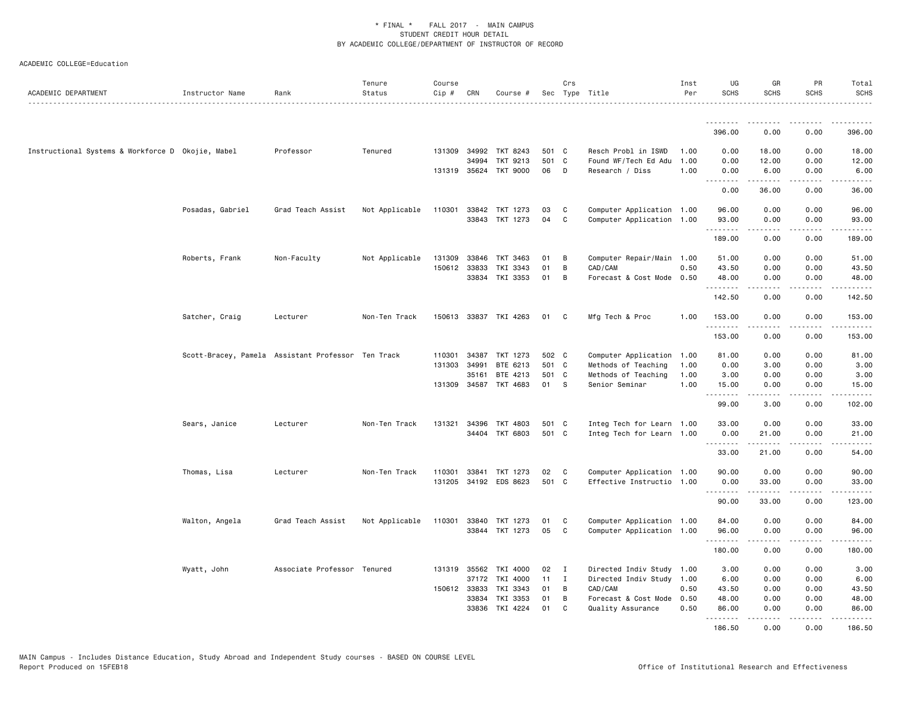| ACADEMIC DEPARTMENT                               | Instructor Name                                    | Rank                        | Tenure<br>Status | Course<br>Cip # | CRN   | Course #              |       | Crs          | Sec Type Title                                         | Inst<br>Per | UG<br><b>SCHS</b>   | GR<br><b>SCHS</b> | <b>PR</b><br><b>SCHS</b> | Total<br><b>SCHS</b><br>. |
|---------------------------------------------------|----------------------------------------------------|-----------------------------|------------------|-----------------|-------|-----------------------|-------|--------------|--------------------------------------------------------|-------------|---------------------|-------------------|--------------------------|---------------------------|
|                                                   |                                                    |                             |                  |                 |       |                       |       |              |                                                        |             | <u>.</u>            |                   |                          |                           |
|                                                   |                                                    |                             |                  |                 |       |                       |       |              |                                                        |             | 396.00              | 0.00              | 0.00                     | 396.00                    |
| Instructional Systems & Workforce D Okojie, Mabel |                                                    | Professor                   | Tenured          | 131309          | 34992 | TKT 8243              | 501 C |              | Resch Probl in ISWD                                    | 1.00        | 0.00                | 18.00             | 0.00                     | 18.00                     |
|                                                   |                                                    |                             |                  |                 | 34994 | TKT 9213              | 501   | $\mathbf{C}$ | Found WF/Tech Ed Adu                                   | 1.00        | 0.00                | 12.00             | 0.00                     | 12.00                     |
|                                                   |                                                    |                             |                  |                 |       | 131319 35624 TKT 9000 | 06    | D            | Research / Diss                                        | 1.00        | 0.00<br>.           | 6.00<br>-----     | 0.00<br>.                | 6.00<br>.                 |
|                                                   |                                                    |                             |                  |                 |       |                       |       |              |                                                        |             | 0.00                | 36.00             | 0.00                     | 36.00                     |
|                                                   | Posadas, Gabriel                                   | Grad Teach Assist           | Not Applicable   | 110301          |       | 33842 TKT 1273        | 03    | C            | Computer Application 1.00                              |             | 96.00               | 0.00              | 0.00                     | 96.00                     |
|                                                   |                                                    |                             |                  |                 |       | 33843 TKT 1273        | 04    | C            | Computer Application 1.00                              |             | 93.00               | 0.00              | 0.00                     | 93.00                     |
|                                                   |                                                    |                             |                  |                 |       |                       |       |              |                                                        |             | .<br>189.00         | -----<br>0.00     | .<br>0.00                | .<br>189.00               |
|                                                   | Roberts, Frank                                     | Non-Faculty                 | Not Applicable   | 131309          | 33846 | TKT 3463              | 01    | B            | Computer Repair/Main 1.00                              |             | 51.00               | 0.00              | 0.00                     | 51.00                     |
|                                                   |                                                    |                             |                  | 150612 33833    |       | TKI 3343              | 01    | В            | CAD/CAM                                                | 0.50        | 43.50               | 0.00              | 0.00                     | 43.50                     |
|                                                   |                                                    |                             |                  |                 |       | 33834 TKI 3353        | 01    | В            | Forecast & Cost Mode 0.50                              |             | 48.00<br>.          | 0.00<br>.         | 0.00<br>.                | 48.00<br>.                |
|                                                   |                                                    |                             |                  |                 |       |                       |       |              |                                                        |             | 142.50              | 0.00              | 0.00                     | 142.50                    |
|                                                   | Satcher, Craig                                     | Lecturer                    | Non-Ten Track    |                 |       | 150613 33837 TKI 4263 | 01 C  |              | Mfg Tech & Proc                                        | 1.00        | 153.00              | 0.00              | 0.00                     | 153.00                    |
|                                                   |                                                    |                             |                  |                 |       |                       |       |              |                                                        |             | .<br>153.00         | <u>.</u><br>0.00  | .<br>0.00                | 153.00                    |
|                                                   | Scott-Bracey, Pamela Assistant Professor Ten Track |                             |                  | 110301          | 34387 | TKT 1273              | 502 C |              | Computer Application                                   | 1.00        | 81.00               | 0.00              | 0.00                     | 81.00                     |
|                                                   |                                                    |                             |                  | 131303          | 34991 | BTE 6213              | 501 C |              | Methods of Teaching                                    | 1.00        | 0.00                | 3.00              | 0.00                     | 3.00                      |
|                                                   |                                                    |                             |                  |                 | 35161 | BTE 4213              | 501   | $\mathbf{C}$ | Methods of Teaching                                    | 1.00        | 3.00                | 0.00              | 0.00                     | 3.00                      |
|                                                   |                                                    |                             |                  | 131309 34587    |       | TKT 4683              | 01    | - S          | Senior Seminar                                         | 1.00        | 15.00<br>.          | 0.00              | 0.00<br>.                | 15.00<br>.                |
|                                                   |                                                    |                             |                  |                 |       |                       |       |              |                                                        |             | 99.00               | .<br>3.00         | 0.00                     | 102.00                    |
|                                                   | Sears, Janice                                      | Lecturer                    | Non-Ten Track    | 131321          | 34396 | TKT 4803              | 501   | $\mathbf{C}$ | Integ Tech for Learn 1.00                              |             | 33.00               | 0.00              | 0.00                     | 33.00                     |
|                                                   |                                                    |                             |                  |                 |       | 34404 TKT 6803        | 501 C |              | Integ Tech for Learn 1.00                              |             | 0.00                | 21.00             | 0.00                     | 21.00                     |
|                                                   |                                                    |                             |                  |                 |       |                       |       |              |                                                        |             | <b>.</b> .<br>33.00 | .<br>21.00        | .<br>0.00                | .<br>54.00                |
|                                                   |                                                    | Lecturer                    | Non-Ten Track    | 110301          |       | 33841 TKT 1273        | 02    | C            |                                                        |             | 90.00               | 0.00              | 0.00                     | 90.00                     |
|                                                   | Thomas, Lisa                                       |                             |                  | 131205          |       | 34192 EDS 8623        | 501 C |              | Computer Application 1.00<br>Effective Instructio 1.00 |             | 0.00                | 33.00             | 0.00                     | 33.00                     |
|                                                   |                                                    |                             |                  |                 |       |                       |       |              |                                                        |             | <u>.</u> .<br>90.00 | .<br>33.00        | .<br>0.00                | .<br>123.00               |
|                                                   |                                                    |                             |                  |                 |       |                       |       |              |                                                        |             |                     |                   |                          |                           |
|                                                   | Walton, Angela                                     | Grad Teach Assist           | Not Applicable   | 110301          |       | 33840 TKT 1273        | 01    | C            | Computer Application 1.00                              |             | 84.00               | 0.00              | 0.00                     | 84.00                     |
|                                                   |                                                    |                             |                  |                 |       | 33844 TKT 1273        | 05    | C.           | Computer Application 1.00                              |             | 96.00<br>.          | 0.00<br>.         | 0.00<br>.                | 96.00<br>.                |
|                                                   |                                                    |                             |                  |                 |       |                       |       |              |                                                        |             | 180.00              | 0.00              | 0.00                     | 180.00                    |
|                                                   | Wyatt, John                                        | Associate Professor Tenured |                  |                 |       | 131319 35562 TKI 4000 | 02    | $\mathbf{I}$ | Directed Indiv Study                                   | 1.00        | 3.00                | 0.00              | 0.00                     | 3.00                      |
|                                                   |                                                    |                             |                  |                 | 37172 | TKI 4000              | 11    | $\mathbf{I}$ | Directed Indiv Study 1.00                              |             | 6.00                | 0.00              | 0.00                     | 6.00                      |
|                                                   |                                                    |                             |                  | 150612 33833    |       | TKI 3343              | 01    | B            | CAD/CAM                                                | 0.50        | 43.50               | 0.00              | 0.00                     | 43.50                     |
|                                                   |                                                    |                             |                  |                 | 33834 | TKI 3353              | 01    | В            | Forecast & Cost Mode                                   | 0.50        | 48.00               | 0.00              | 0.00                     | 48.00                     |
|                                                   |                                                    |                             |                  |                 | 33836 | TKI 4224              | 01    | C            | Quality Assurance                                      | 0.50        | 86.00<br>.          | 0.00<br>.         | 0.00<br>22222            | 86.00<br>.                |
|                                                   |                                                    |                             |                  |                 |       |                       |       |              |                                                        |             | 186.50              | 0.00              | 0.00                     | 186.50                    |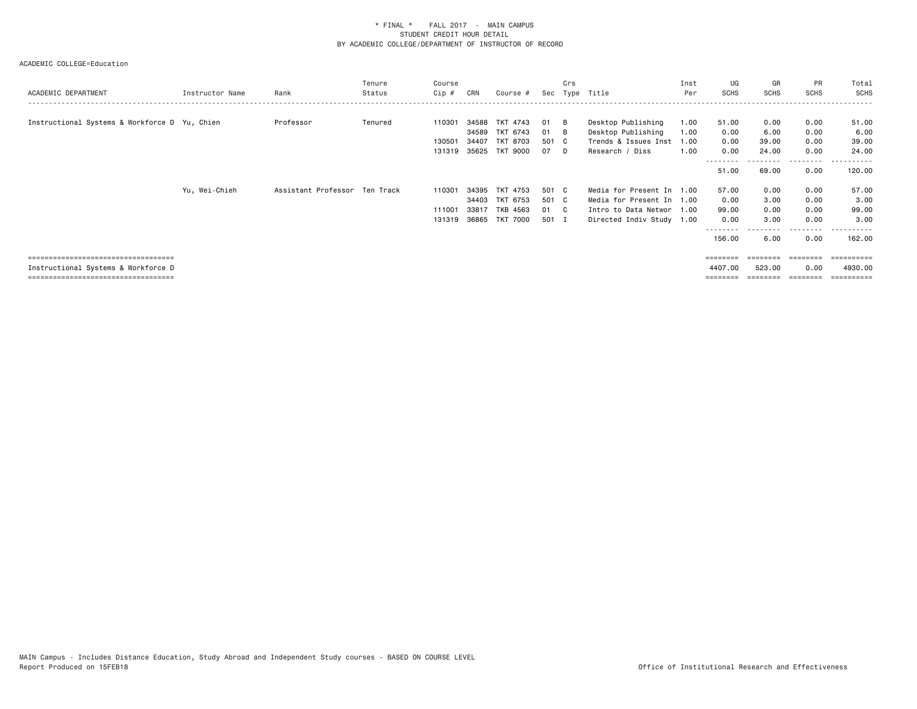ACADEMIC COLLEGE=Education

| ACADEMIC DEPARTMENT                           | Instructor Name | Rank                          | Tenure<br>Status | Course<br>Cip # | CRN   | Course # |       | Crs    | Sec Type Title            | Inst<br>Per | UG<br>SCHS | GR<br>SCHS | <b>PR</b><br><b>SCHS</b> | Total<br><b>SCHS</b> |
|-----------------------------------------------|-----------------|-------------------------------|------------------|-----------------|-------|----------|-------|--------|---------------------------|-------------|------------|------------|--------------------------|----------------------|
|                                               |                 |                               |                  |                 |       |          |       |        |                           |             |            |            |                          |                      |
| Instructional Systems & Workforce D Yu, Chien |                 | Professor                     | Tenured          | 110301          | 34588 | TKT 4743 | 01    | - B    | Desktop Publishing        | 1.00        | 51.00      | 0.00       | 0.00                     | 51.00                |
|                                               |                 |                               |                  |                 | 34589 | TKT 6743 | 01    | — В    | Desktop Publishing        | 1.00        | 0.00       | 6.00       | 0.00                     | 6.00                 |
|                                               |                 |                               |                  | 130501          | 34407 | TKT 8703 | 501 C |        | Trends & Issues Inst      | 1.00        | 0.00       | 39.00      | 0.00                     | 39.00                |
|                                               |                 |                               |                  | 131319 35625    |       | TKT 9000 | 07    | $\Box$ | Research / Diss           | 1.00        | 0.00       | 24.00      | 0.00                     | 24.00                |
|                                               |                 |                               |                  |                 |       |          |       |        |                           |             | 51.00      | 69.00      | ---------<br>0.00        | -------<br>120.00    |
|                                               | Yu, Wei-Chieh   | Assistant Professor Ten Track |                  | 110301          | 34395 | TKT 4753 | 501 C |        | Media for Present In 1.00 |             | 57.00      | 0.00       | 0.00                     | 57.00                |
|                                               |                 |                               |                  |                 | 34403 | TKT 6753 | 501 C |        | Media for Present In 1.00 |             | 0.00       | 3.00       | 0.00                     | 3.00                 |
|                                               |                 |                               |                  | 111001          | 33817 | TKB 4563 | 01 C  |        | Intro to Data Networ 1.00 |             | 99.00      | 0.00       | 0.00                     | 99.00                |
|                                               |                 |                               |                  | 131319          | 36865 | TKT 7000 | 501 I |        | Directed Indiv Study 1.00 |             | 0.00       | 3.00       | 0.00                     | 3.00                 |
|                                               |                 |                               |                  |                 |       |          |       |        |                           |             |            |            | ---------                | <u>- - - - - - -</u> |
|                                               |                 |                               |                  |                 |       |          |       |        |                           |             | 156.00     | 6.00       | 0.00                     | 162.00               |
| =====================================         |                 |                               |                  |                 |       |          |       |        |                           |             | ========   | ---------  | ========                 | -----------          |

 Instructional Systems & Workforce D 4407.00 523.00 0.00 4930.00 =================================== ======== ======== ======== ==========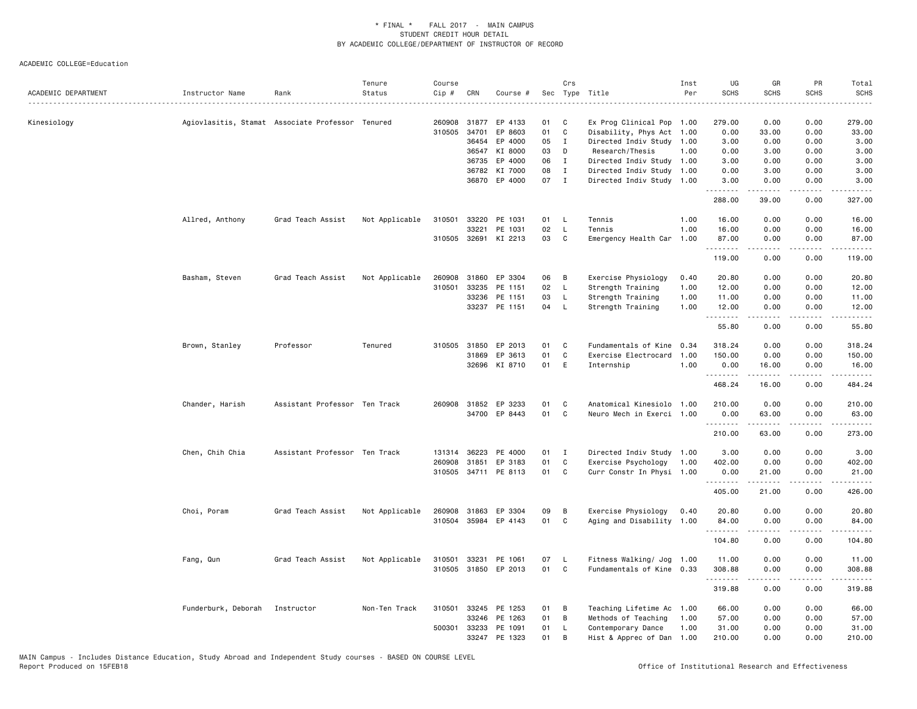| ACADEMIC DEPARTMENT | Instructor Name                | Rank                                             | Tenure<br>Status | Course<br>Cip # | CRN          | Course #             |    | Crs          | Sec Type Title            | Inst<br>Per | UG<br><b>SCHS</b> | GR<br><b>SCHS</b>                                                                                          | <b>PR</b><br><b>SCHS</b>     | Total<br><b>SCHS</b><br>$\frac{1}{2} \left( \frac{1}{2} \right) \left( \frac{1}{2} \right) \left( \frac{1}{2} \right) \left( \frac{1}{2} \right)$                                        |
|---------------------|--------------------------------|--------------------------------------------------|------------------|-----------------|--------------|----------------------|----|--------------|---------------------------|-------------|-------------------|------------------------------------------------------------------------------------------------------------|------------------------------|------------------------------------------------------------------------------------------------------------------------------------------------------------------------------------------|
| Kinesiology         |                                | Agiovlasitis, Stamat Associate Professor Tenured |                  | 260908          | 31877        | EP 4133              | 01 | C            | Ex Prog Clinical Pop 1.00 |             | 279.00            | 0.00                                                                                                       | 0.00                         | 279.00                                                                                                                                                                                   |
|                     |                                |                                                  |                  | 310505          | 34701        | EP 8603              | 01 | $\mathtt{C}$ | Disability, Phys Act 1.00 |             | 0.00              | 33.00                                                                                                      | 0.00                         | 33.00                                                                                                                                                                                    |
|                     |                                |                                                  |                  |                 | 36454        | EP 4000              | 05 | $\mathbf{I}$ | Directed Indiv Study 1.00 |             | 3.00              | 0.00                                                                                                       | 0.00                         | 3.00                                                                                                                                                                                     |
|                     |                                |                                                  |                  |                 | 36547        | KI 8000              | 03 | D            | Research/Thesis           | 1.00        | 0.00              | 3.00                                                                                                       | 0.00                         | 3.00                                                                                                                                                                                     |
|                     |                                |                                                  |                  |                 | 36735        | EP 4000              | 06 | $\mathbf{I}$ | Directed Indiv Study 1.00 |             | 3.00              | 0.00                                                                                                       | 0.00                         | 3.00                                                                                                                                                                                     |
|                     |                                |                                                  |                  |                 |              | 36782 KI 7000        | 08 | I            | Directed Indiv Study 1.00 |             | 0.00              | 3.00                                                                                                       | 0.00                         | 3.00                                                                                                                                                                                     |
|                     |                                |                                                  |                  |                 | 36870        | EP 4000              | 07 | $\mathbf{I}$ | Directed Indiv Study 1.00 |             | 3.00<br>.         | 0.00<br>$- - - - -$                                                                                        | 0.00<br>.                    | 3.00<br>.                                                                                                                                                                                |
|                     |                                |                                                  |                  |                 |              |                      |    |              |                           |             | 288.00            | 39.00                                                                                                      | 0.00                         | 327.00                                                                                                                                                                                   |
|                     | Allred, Anthony                | Grad Teach Assist                                | Not Applicable   | 310501          | 33220        | PE 1031              | 01 | <b>L</b>     | Tennis                    | 1.00        | 16.00             | 0.00                                                                                                       | 0.00                         | 16.00                                                                                                                                                                                    |
|                     |                                |                                                  |                  |                 | 33221        | PE 1031              | 02 | <b>L</b>     | Tennis                    | 1.00        | 16.00             | 0.00                                                                                                       | 0.00                         | 16.00                                                                                                                                                                                    |
|                     |                                |                                                  |                  |                 |              | 310505 32691 KI 2213 | 03 | C            | Emergency Health Car      | 1.00        | 87.00<br>.        | 0.00<br>$- - - - -$                                                                                        | 0.00<br>.                    | 87.00<br>$\frac{1}{2} \left( \frac{1}{2} \right) \left( \frac{1}{2} \right) \left( \frac{1}{2} \right) \left( \frac{1}{2} \right) \left( \frac{1}{2} \right) \left( \frac{1}{2} \right)$ |
|                     |                                |                                                  |                  |                 |              |                      |    |              |                           |             | 119.00            | 0.00                                                                                                       | 0.00                         | 119.00                                                                                                                                                                                   |
|                     | Basham, Steven                 | Grad Teach Assist                                | Not Applicable   | 260908          | 31860        | EP 3304              | 06 | В            | Exercise Physiology       | 0.40        | 20.80             | 0.00                                                                                                       | 0.00                         | 20.80                                                                                                                                                                                    |
|                     |                                |                                                  |                  | 310501          | 33235        | PE 1151              | 02 | - L          | Strength Training         | 1.00        | 12.00             | 0.00                                                                                                       | 0.00                         | 12.00                                                                                                                                                                                    |
|                     |                                |                                                  |                  |                 | 33236        | PE 1151              | 03 | $\mathsf{L}$ | Strength Training         | 1.00        | 11.00             | 0.00                                                                                                       | 0.00                         | 11.00                                                                                                                                                                                    |
|                     |                                |                                                  |                  |                 |              | 33237 PE 1151        | 04 | $\mathsf{L}$ | Strength Training         | 1.00        | 12.00             | 0.00                                                                                                       | 0.00                         | 12.00                                                                                                                                                                                    |
|                     |                                |                                                  |                  |                 |              |                      |    |              |                           |             | 55.80             | $\omega$ is $\omega$ in $\omega$<br>0.00                                                                   | .<br>0.00                    | .<br>55.80                                                                                                                                                                               |
|                     | Brown, Stanley                 | Professor                                        | Tenured          |                 | 310505 31850 | EP 2013              | 01 | C            | Fundamentals of Kine      | 0.34        | 318.24            | 0.00                                                                                                       | 0.00                         | 318.24                                                                                                                                                                                   |
|                     |                                |                                                  |                  |                 | 31869        | EP 3613              | 01 | C            | Exercise Electrocard      | 1.00        | 150.00            | 0.00                                                                                                       | 0.00                         | 150.00                                                                                                                                                                                   |
|                     |                                |                                                  |                  |                 |              | 32696 KI 8710        | 01 | E            | Internship                | 1.00        | 0.00<br>.         | 16.00<br>$\begin{array}{cccccccccc} \bullet & \bullet & \bullet & \bullet & \bullet & \bullet \end{array}$ | 0.00<br>.                    | 16.00<br>$\frac{1}{2} \left( \frac{1}{2} \right) \left( \frac{1}{2} \right) \left( \frac{1}{2} \right) \left( \frac{1}{2} \right) \left( \frac{1}{2} \right) \left( \frac{1}{2} \right)$ |
|                     |                                |                                                  |                  |                 |              |                      |    |              |                           |             | 468.24            | 16.00                                                                                                      | 0.00                         | 484.24                                                                                                                                                                                   |
|                     | Chander, Harish                | Assistant Professor Ten Track                    |                  |                 |              | 260908 31852 EP 3233 | 01 | C            | Anatomical Kinesiolo 1.00 |             | 210.00            | 0.00                                                                                                       | 0.00                         | 210.00                                                                                                                                                                                   |
|                     |                                |                                                  |                  |                 |              | 34700 EP 8443        | 01 | C            | Neuro Mech in Exerci 1.00 |             | 0.00              | 63.00                                                                                                      | 0.00                         | 63.00                                                                                                                                                                                    |
|                     |                                |                                                  |                  |                 |              |                      |    |              |                           |             | .<br>210.00       | .<br>63.00                                                                                                 | د د د د<br>0.00              | <u>.</u><br>273.00                                                                                                                                                                       |
|                     | Chen, Chih Chia                | Assistant Professor Ten Track                    |                  | 131314          | 36223        | PE 4000              | 01 | $\mathbf{I}$ | Directed Indiv Study 1.00 |             | 3.00              | 0.00                                                                                                       | 0.00                         | 3.00                                                                                                                                                                                     |
|                     |                                |                                                  |                  |                 | 260908 31851 | EP 3183              | 01 | $\mathtt{C}$ | Exercise Psychology       | 1.00        | 402.00            | 0.00                                                                                                       | 0.00                         | 402.00                                                                                                                                                                                   |
|                     |                                |                                                  |                  |                 |              | 310505 34711 PE 8113 | 01 | C            | Curr Constr In Physi 1.00 |             | 0.00<br>.         | 21.00<br>-----                                                                                             | 0.00<br>$\sim$ $\sim$ $\sim$ | 21.00<br>.                                                                                                                                                                               |
|                     |                                |                                                  |                  |                 |              |                      |    |              |                           |             | 405.00            | 21.00                                                                                                      | 0.00                         | 426.00                                                                                                                                                                                   |
|                     | Choi, Poram                    | Grad Teach Assist                                | Not Applicable   |                 |              | 260908 31863 EP 3304 | 09 | B            | Exercise Physiology       | 0.40        | 20.80             | 0.00                                                                                                       | 0.00                         | 20.80                                                                                                                                                                                    |
|                     |                                |                                                  |                  |                 | 310504 35984 | EP 4143              | 01 | C            | Aging and Disability 1.00 |             | 84.00             | 0.00                                                                                                       | 0.00                         | 84.00                                                                                                                                                                                    |
|                     |                                |                                                  |                  |                 |              |                      |    |              |                           |             | .<br>104.80       | .<br>0.00                                                                                                  | .<br>0.00                    | .<br>104.80                                                                                                                                                                              |
|                     | Fang, Qun                      | Grad Teach Assist                                | Not Applicable   | 310501          | 33231        | PE 1061              | 07 | - L          | Fitness Walking/ Jog 1.00 |             | 11.00             | 0.00                                                                                                       | 0.00                         | 11.00                                                                                                                                                                                    |
|                     |                                |                                                  |                  |                 |              | 310505 31850 EP 2013 | 01 | c            | Fundamentals of Kine 0.33 |             | 308.88            | 0.00                                                                                                       | 0.00                         | 308.88                                                                                                                                                                                   |
|                     |                                |                                                  |                  |                 |              |                      |    |              |                           |             | .<br>319.88       | <b>.</b><br>0.00                                                                                           | .<br>0.00                    | .<br>319.88                                                                                                                                                                              |
|                     | Funderburk, Deborah Instructor |                                                  | Non-Ten Track    | 310501          | 33245        | PE 1253              | 01 | B            | Teaching Lifetime Ac      | 1.00        | 66.00             | 0.00                                                                                                       | 0.00                         | 66.00                                                                                                                                                                                    |
|                     |                                |                                                  |                  |                 | 33246        | PE 1263              | 01 | B            | Methods of Teaching       | 1.00        | 57.00             | 0.00                                                                                                       | 0.00                         | 57.00                                                                                                                                                                                    |
|                     |                                |                                                  |                  | 500301          | 33233        | PE 1091              | 01 | L.           | Contemporary Dance        | 1.00        | 31.00             | 0.00                                                                                                       | 0.00                         | 31.00                                                                                                                                                                                    |
|                     |                                |                                                  |                  |                 |              | 33247 PE 1323        | 01 | B            | Hist & Apprec of Dan 1.00 |             | 210.00            | 0.00                                                                                                       | 0.00                         | 210.00                                                                                                                                                                                   |
|                     |                                |                                                  |                  |                 |              |                      |    |              |                           |             |                   |                                                                                                            |                              |                                                                                                                                                                                          |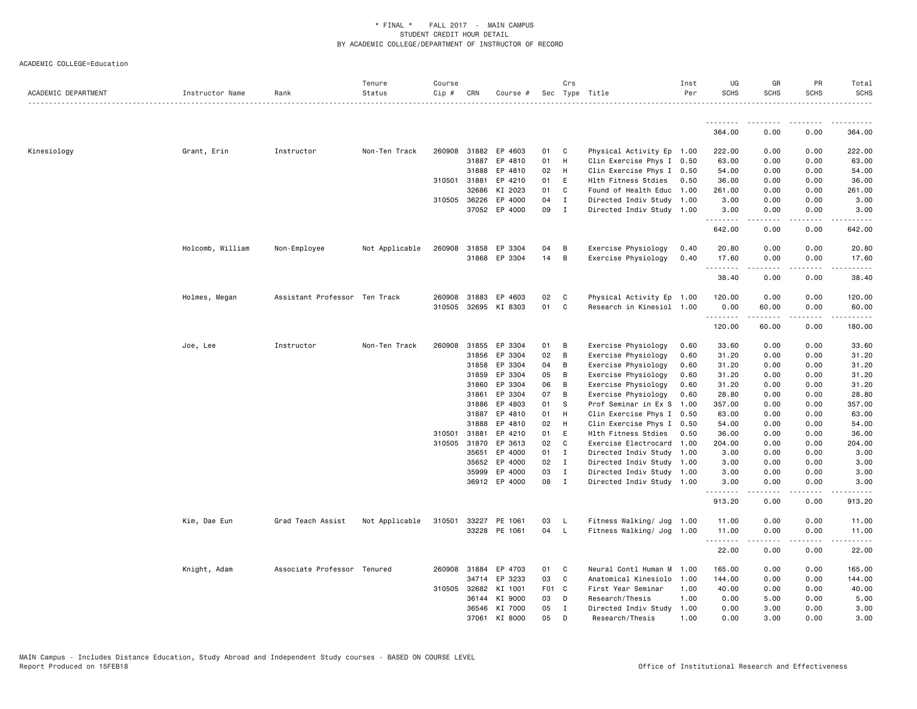| ACADEMIC DEPARTMENT | Instructor Name  | Rank                          | Tenure<br>Status | Course<br>Cip # | CRN            | Course #           |          | Crs                          | Sec Type Title                                         | Inst<br>Per | UG<br><b>SCHS</b>  | GR<br><b>SCHS</b>     | PR<br><b>SCHS</b> | Total<br><b>SCHS</b> |
|---------------------|------------------|-------------------------------|------------------|-----------------|----------------|--------------------|----------|------------------------------|--------------------------------------------------------|-------------|--------------------|-----------------------|-------------------|----------------------|
|                     |                  |                               |                  |                 |                |                    |          |                              |                                                        |             |                    |                       |                   |                      |
|                     |                  |                               |                  |                 |                |                    |          |                              |                                                        |             | 364.00             | 0.00                  | 0.00              | 364.00               |
| Kinesiology         | Grant, Erin      | Instructor                    | Non-Ten Track    |                 | 260908 31882   | EP 4603            | 01       | $\mathbf{C}$                 | Physical Activity Ep 1.00                              |             | 222.00             | 0.00                  | 0.00              | 222.00               |
|                     |                  |                               |                  |                 | 31887          | EP 4810            | 01       | H                            | Clin Exercise Phys I 0.50                              |             | 63.00              | 0.00                  | 0.00              | 63.00                |
|                     |                  |                               |                  |                 | 31888          | EP 4810            | 02       | H                            | Clin Exercise Phys I 0.50                              |             | 54.00              | 0.00                  | 0.00              | 54.00                |
|                     |                  |                               |                  | 310501          | 31881          | EP 4210            | 01       | E                            | Hlth Fitness Stdies                                    | 0.50        | 36.00              | 0.00                  | 0.00              | 36.00                |
|                     |                  |                               |                  |                 | 32686          | KI 2023            | 01       | C                            | Found of Health Educ 1.00                              |             | 261.00             | 0.00                  | 0.00              | 261.00               |
|                     |                  |                               |                  |                 | 310505 36226   | EP 4000            | 04       | $\mathbf{I}$                 | Directed Indiv Study 1.00                              |             | 3.00               | 0.00                  | 0.00              | 3.00                 |
|                     |                  |                               |                  |                 |                | 37052 EP 4000      | 09       | $\mathbf{I}$                 | Directed Indiv Study 1.00                              |             | 3.00<br>.          | 0.00                  | 0.00              | 3.00                 |
|                     |                  |                               |                  |                 |                |                    |          |                              |                                                        |             | 642.00             | 0.00                  | 0.00              | 642.00               |
|                     | Holcomb, William | Non-Employee                  | Not Applicable   | 260908          | 31858          | EP 3304            | 04       | B                            | Exercise Physiology                                    | 0.40        | 20.80              | 0.00                  | 0.00              | 20.80                |
|                     |                  |                               |                  |                 |                | 31868 EP 3304      | 14       | $\overline{B}$               | Exercise Physiology                                    | 0.40        | 17.60<br><u>.</u>  | 0.00                  | 0.00              | 17.60                |
|                     |                  |                               |                  |                 |                |                    |          |                              |                                                        |             | 38.40              | 0.00                  | 0.00              | 38.40                |
|                     | Holmes, Megan    | Assistant Professor Ten Track |                  | 260908          | 31883          | EP 4603            | 02       | C                            | Physical Activity Ep 1.00                              |             | 120.00             | 0.00                  | 0.00              | 120.00               |
|                     |                  |                               |                  | 310505          | 32695          | KI 8303            | 01       | C                            | Research in Kinesiol 1.00                              |             | 0.00<br>.          | 60.00<br>المستسلمات   | 0.00<br>.         | 60.00<br>.           |
|                     |                  |                               |                  |                 |                |                    |          |                              |                                                        |             | 120.00             | 60.00                 | 0.00              | 180.00               |
|                     | Joe, Lee         | Instructor                    | Non-Ten Track    | 260908          | 31855          | EP 3304            | 01       | $\overline{B}$               | Exercise Physiology                                    | 0.60        | 33.60              | 0.00                  | 0.00              | 33.60                |
|                     |                  |                               |                  |                 | 31856          | EP 3304            | 02       | B                            | Exercise Physiology                                    | 0.60        | 31.20              | 0.00                  | 0.00              | 31.20                |
|                     |                  |                               |                  |                 | 31858          | EP 3304            | 04       | B                            | Exercise Physiology                                    | 0.60        | 31.20              | 0.00                  | 0.00              | 31.20                |
|                     |                  |                               |                  |                 | 31859          | EP 3304            | 05       | B                            | Exercise Physiology                                    | 0.60        | 31.20              | 0.00                  | 0.00              | 31.20                |
|                     |                  |                               |                  |                 | 31860          | EP 3304            | 06       | B                            | Exercise Physiology                                    | 0.60        | 31.20              | 0.00                  | 0.00              | 31.20                |
|                     |                  |                               |                  |                 | 31861          | EP 3304            | 07       | B                            | Exercise Physiology                                    | 0.60        | 28.80              | 0.00                  | 0.00              | 28.80                |
|                     |                  |                               |                  |                 | 31886          | EP 4803            | 01       | -S                           | Prof Seminar in Ex S                                   | 1.00        | 357.00             | 0.00                  | 0.00              | 357.00               |
|                     |                  |                               |                  |                 | 31887          | EP 4810            | 01       | H                            | Clin Exercise Phys I 0.50                              |             | 63.00              | 0.00                  | 0.00              | 63.00                |
|                     |                  |                               |                  |                 | 31888          | EP 4810            | 02       | H                            | Clin Exercise Phys I 0.50                              |             | 54.00              | 0.00                  | 0.00              | 54.00                |
|                     |                  |                               |                  | 310501          | 31881          | EP 4210            | 01       | E                            | Hlth Fitness Stdies                                    | 0.50        | 36.00              | 0.00                  | 0.00              | 36.00                |
|                     |                  |                               |                  | 310505          | 31870          | EP 3613            | 02       | C                            | Exercise Electrocard                                   | 1.00        | 204.00             | 0.00                  | 0.00              | 204.00               |
|                     |                  |                               |                  |                 | 35651<br>35652 | EP 4000<br>EP 4000 | 01<br>02 | $\mathbf{I}$                 | Directed Indiv Study 1.00                              |             | 3.00               | 0.00<br>0.00          | 0.00<br>0.00      | 3.00<br>3.00         |
|                     |                  |                               |                  |                 | 35999          | EP 4000            | 03       | $\mathbf{I}$<br>$\mathbf{I}$ | Directed Indiv Study 1.00<br>Directed Indiv Study 1.00 |             | 3.00<br>3.00       | 0.00                  | 0.00              | 3.00                 |
|                     |                  |                               |                  |                 |                | 36912 EP 4000      | 08       | $\mathbf{I}$                 | Directed Indiv Study 1.00                              |             | 3.00               | 0.00                  | 0.00              | 3.00                 |
|                     |                  |                               |                  |                 |                |                    |          |                              |                                                        |             | <u>.</u><br>913.20 | $\frac{1}{2}$<br>0.00 | .<br>0.00         | 913.20               |
|                     | Kim, Dae Eun     | Grad Teach Assist             | Not Applicable   | 310501          | 33227          | PE 1061            | 03       | - L                          | Fitness Walking/ Jog 1.00                              |             | 11.00              | 0.00                  | 0.00              | 11.00                |
|                     |                  |                               |                  |                 |                | 33228 PE 1061      | 04       | $\mathsf{L}$                 | Fitness Walking/ Jog                                   | 1.00        | 11.00              | 0.00                  | 0.00              | 11.00                |
|                     |                  |                               |                  |                 |                |                    |          |                              |                                                        |             | .<br>22.00         | 0.00                  | 0.00              | 22.00                |
|                     | Knight, Adam     | Associate Professor Tenured   |                  |                 | 260908 31884   | EP 4703            | 01       | $\mathbf{C}$                 | Neural Contl Human M 1.00                              |             | 165.00             | 0.00                  | 0.00              | 165.00               |
|                     |                  |                               |                  |                 | 34714          | EP 3233            | 03       | $\mathbf{C}$                 | Anatomical Kinesiolo                                   | 1.00        | 144.00             | 0.00                  | 0.00              | 144.00               |
|                     |                  |                               |                  |                 | 310505 32682   | KI 1001            | F01 C    |                              | First Year Seminar                                     | 1.00        | 40.00              | 0.00                  | 0.00              | 40.00                |
|                     |                  |                               |                  |                 | 36144          | KI 9000            | 03       | D                            | Research/Thesis                                        | 1.00        | 0.00               | 5.00                  | 0.00              | 5.00                 |
|                     |                  |                               |                  |                 | 36546          | KI 7000            | 05       | $\mathbf{I}$                 | Directed Indiv Study                                   | 1.00        | 0.00               | 3.00                  | 0.00              | 3.00                 |
|                     |                  |                               |                  |                 | 37061          | KI 8000            | 05       | D                            | Research/Thesis                                        | 1.00        | 0.00               | 3.00                  | 0.00              | 3.00                 |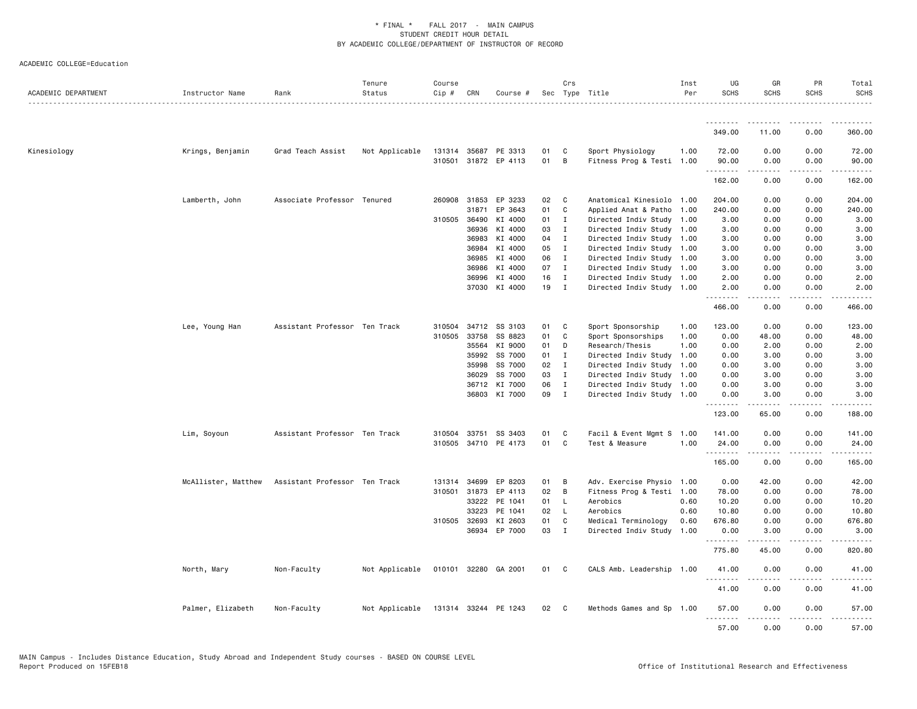| ACADEMIC DEPARTMENT | Instructor Name     | Rank                          | Tenure<br>Status | Course<br>Cip # | CRN          | Course #             |      | Crs          | Sec Type Title            | Inst<br>Per | UG<br><b>SCHS</b> | GR<br><b>SCHS</b>                                                                                                       | <b>PR</b><br><b>SCHS</b> | Total<br><b>SCHS</b> |
|---------------------|---------------------|-------------------------------|------------------|-----------------|--------------|----------------------|------|--------------|---------------------------|-------------|-------------------|-------------------------------------------------------------------------------------------------------------------------|--------------------------|----------------------|
|                     |                     |                               |                  |                 |              |                      |      |              |                           |             | .                 | .                                                                                                                       |                          | .                    |
|                     |                     |                               |                  |                 |              |                      |      |              |                           |             | 349.00            | 11.00                                                                                                                   | 0.00                     | 360.00               |
| Kinesiology         | Krings, Benjamin    | Grad Teach Assist             | Not Applicable   |                 | 131314 35687 | PE 3313              | 01   | C            | Sport Physiology          | 1.00        | 72.00             | 0.00                                                                                                                    | 0.00                     | 72.00                |
|                     |                     |                               |                  | 310501          |              | 31872 EP 4113        | 01   | B            | Fitness Prog & Testi 1.00 |             | 90.00<br>.        | 0.00<br>.                                                                                                               | 0.00<br>المتمالين        | 90.00<br>.           |
|                     |                     |                               |                  |                 |              |                      |      |              |                           |             | 162.00            | 0.00                                                                                                                    | 0.00                     | 162.00               |
|                     | Lamberth, John      | Associate Professor Tenured   |                  | 260908          | 31853        | EP 3233              | 02   | C            | Anatomical Kinesiolo 1.00 |             | 204.00            | 0.00                                                                                                                    | 0.00                     | 204.00               |
|                     |                     |                               |                  |                 | 31871        | EP 3643              | 01   | C            | Applied Anat & Patho 1.00 |             | 240.00            | 0.00                                                                                                                    | 0.00                     | 240.00               |
|                     |                     |                               |                  |                 | 310505 36490 | KI 4000              | 01 I |              | Directed Indiv Study 1.00 |             | 3.00              | 0.00                                                                                                                    | 0.00                     | 3.00                 |
|                     |                     |                               |                  |                 | 36936        | KI 4000              | 03   | $\mathbf{I}$ | Directed Indiv Study 1.00 |             | 3.00              | 0.00                                                                                                                    | 0.00                     | 3.00                 |
|                     |                     |                               |                  |                 | 36983        | KI 4000              | 04   | $\mathbf{I}$ | Directed Indiv Study 1.00 |             | 3.00              | 0.00                                                                                                                    | 0.00                     | 3.00                 |
|                     |                     |                               |                  |                 | 36984        | KI 4000              | 05   | I            | Directed Indiv Study 1.00 |             | 3.00              | 0.00                                                                                                                    | 0.00                     | 3.00                 |
|                     |                     |                               |                  |                 | 36985        | KI 4000              | 06   | $\mathbf{I}$ | Directed Indiv Study 1.00 |             | 3.00              | 0.00                                                                                                                    | 0.00                     | 3.00                 |
|                     |                     |                               |                  |                 | 36986        | KI 4000              | 07   | $\mathbf{I}$ | Directed Indiv Study 1.00 |             | 3.00              | 0.00                                                                                                                    | 0.00                     | 3.00                 |
|                     |                     |                               |                  |                 | 36996        | KI 4000              | 16   | $\mathbf{I}$ | Directed Indiv Study 1.00 |             | 2.00              | 0.00                                                                                                                    | 0.00                     | 2.00                 |
|                     |                     |                               |                  |                 | 37030        | KI 4000              | 19   | $\mathbf{I}$ | Directed Indiv Study 1.00 |             | 2.00<br>.         | 0.00<br>.                                                                                                               | 0.00<br>.                | 2.00<br>.            |
|                     |                     |                               |                  |                 |              |                      |      |              |                           |             | 466.00            | 0.00                                                                                                                    | 0.00                     | 466.00               |
|                     | Lee, Young Han      | Assistant Professor Ten Track |                  | 310504          | 34712        | SS 3103              | 01   | C            | Sport Sponsorship         | 1.00        | 123.00            | 0.00                                                                                                                    | 0.00                     | 123.00               |
|                     |                     |                               |                  | 310505          | 33758        | SS 8823              | 01   | C            | Sport Sponsorships        | 1.00        | 0.00              | 48.00                                                                                                                   | 0.00                     | 48.00                |
|                     |                     |                               |                  |                 | 35564        | KI 9000              | 01   | D            | Research/Thesis           | 1.00        | 0.00              | 2.00                                                                                                                    | 0.00                     | 2.00                 |
|                     |                     |                               |                  |                 | 35992        | SS 7000              | 01 I |              | Directed Indiv Study      | 1.00        | 0.00              | 3.00                                                                                                                    | 0.00                     | 3.00                 |
|                     |                     |                               |                  |                 | 35998        | SS 7000              | 02   | $\mathbf{I}$ | Directed Indiv Study 1.00 |             | 0.00              | 3.00                                                                                                                    | 0.00                     | 3.00                 |
|                     |                     |                               |                  |                 | 36029        | SS 7000              | 03   | $\mathbf{I}$ | Directed Indiv Study 1.00 |             | 0.00              | 3.00                                                                                                                    | 0.00                     | 3.00                 |
|                     |                     |                               |                  |                 | 36712        | KI 7000              | 06   | $\mathbf{I}$ | Directed Indiv Study 1.00 |             | 0.00              | 3.00                                                                                                                    | 0.00                     | 3.00                 |
|                     |                     |                               |                  |                 | 36803        | KI 7000              | 09 I |              | Directed Indiv Study 1.00 |             | 0.00<br>.         | 3.00                                                                                                                    | 0.00                     | 3.00                 |
|                     |                     |                               |                  |                 |              |                      |      |              |                           |             | 123.00            | 65.00                                                                                                                   | 0.00                     | 188.00               |
|                     | Lim, Soyoun         | Assistant Professor Ten Track |                  | 310504          | 33751        | SS 3403              | 01   | C            | Facil & Event Mgmt S 1.00 |             | 141.00            | 0.00                                                                                                                    | 0.00                     | 141.00               |
|                     |                     |                               |                  |                 |              | 310505 34710 PE 4173 | 01 C |              | Test & Measure            | 1.00        | 24.00             | 0.00                                                                                                                    | 0.00                     | 24.00                |
|                     |                     |                               |                  |                 |              |                      |      |              |                           |             | .<br>165.00       | $\begin{array}{cccccccccccccc} \bullet & \bullet & \bullet & \bullet & \bullet & \bullet & \bullet \end{array}$<br>0.00 | .<br>0.00                | .<br>165.00          |
|                     | McAllister, Matthew | Assistant Professor Ten Track |                  | 131314          | 34699        | EP 8203              | 01   | B            | Adv. Exercise Physio 1.00 |             | 0.00              | 42.00                                                                                                                   | 0.00                     | 42.00                |
|                     |                     |                               |                  |                 | 310501 31873 | EP 4113              | 02   | B            | Fitness Prog & Testi 1.00 |             | 78.00             | 0.00                                                                                                                    | 0.00                     | 78.00                |
|                     |                     |                               |                  |                 | 33222        | PE 1041              | 01   | L            | Aerobics                  | 0.60        | 10.20             | 0.00                                                                                                                    | 0.00                     | 10.20                |
|                     |                     |                               |                  |                 | 33223        | PE 1041              | 02   | $\mathsf{L}$ | Aerobics                  | 0.60        | 10.80             | 0.00                                                                                                                    | 0.00                     | 10.80                |
|                     |                     |                               |                  | 310505          | 32693        | KI 2603              | 01   | C            | Medical Terminology       | 0.60        | 676.80            | 0.00                                                                                                                    | 0.00                     | 676.80               |
|                     |                     |                               |                  |                 | 36934        | EP 7000              | 03   | $\mathbf{I}$ | Directed Indiv Study      | 1.00        | 0.00              | 3.00<br>$- - - - -$                                                                                                     | 0.00<br>.                | 3.00<br>.            |
|                     |                     |                               |                  |                 |              |                      |      |              |                           |             | .<br>775.80       | 45.00                                                                                                                   | 0.00                     | 820.80               |
|                     | North, Mary         | Non-Faculty                   | Not Applicable   |                 |              | 010101 32280 GA 2001 | 01 C |              | CALS Amb. Leadership 1.00 |             | 41.00             | 0.00                                                                                                                    | 0.00                     | 41.00                |
|                     |                     |                               |                  |                 |              |                      |      |              |                           |             | <u>.</u><br>41.00 | 0.00                                                                                                                    | .<br>0.00                | 41.00                |
|                     | Palmer, Elizabeth   | Non-Faculty                   | Not Applicable   |                 |              | 131314 33244 PE 1243 | 02 C |              | Methods Games and Sp 1.00 |             | 57.00             | 0.00                                                                                                                    | 0.00                     | 57.00                |
|                     |                     |                               |                  |                 |              |                      |      |              |                           |             | .<br>57.00        | .<br>0.00                                                                                                               | .<br>0.00                | . <u>.</u><br>57.00  |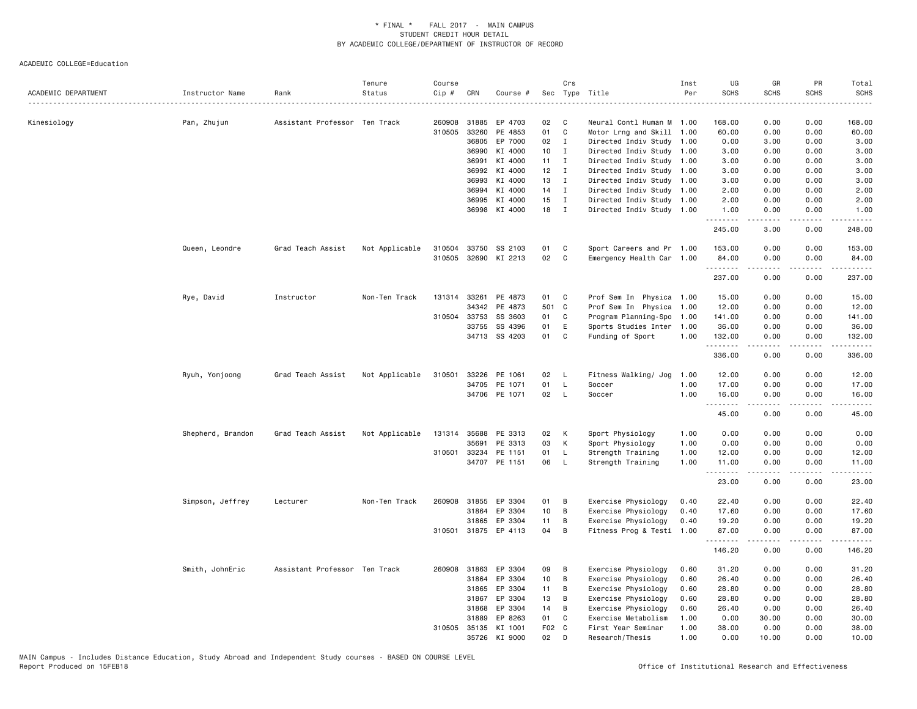| ACADEMIC DEPARTMENT | Instructor Name   | Rank                          | Tenure<br>Status | Course<br>$Cip \#$ | CRN          | Course #             |                 | Crs          | Sec Type Title            | Inst<br>Per | UG<br><b>SCHS</b> | GR<br><b>SCHS</b>   | PR<br><b>SCHS</b>            | Total<br><b>SCHS</b><br>. |
|---------------------|-------------------|-------------------------------|------------------|--------------------|--------------|----------------------|-----------------|--------------|---------------------------|-------------|-------------------|---------------------|------------------------------|---------------------------|
| Kinesiology         | Pan, Zhujun       | Assistant Professor Ten Track |                  |                    | 260908 31885 | EP 4703              | 02              | C            | Neural Contl Human M 1.00 |             | 168.00            | 0.00                | 0.00                         | 168.00                    |
|                     |                   |                               |                  | 310505             | 33260        | PE 4853              | 01              | $\mathtt{C}$ | Motor Lrng and Skill      | 1.00        | 60.00             | 0.00                | 0.00                         | 60.00                     |
|                     |                   |                               |                  |                    | 36805        | EP 7000              | 02              | $\mathbf{I}$ | Directed Indiv Study 1.00 |             | 0.00              | 3.00                | 0.00                         | 3.00                      |
|                     |                   |                               |                  |                    | 36990        | KI 4000              | 10              | $\mathbf{I}$ | Directed Indiv Study      | 1.00        | 3.00              | 0.00                | 0.00                         | 3.00                      |
|                     |                   |                               |                  |                    | 36991        | KI 4000              | 11              | $\mathbf{I}$ | Directed Indiv Study 1.00 |             | 3.00              | 0.00                | 0.00                         | 3.00                      |
|                     |                   |                               |                  |                    | 36992        | KI 4000              | 12              | $\mathbf I$  | Directed Indiv Study 1.00 |             | 3.00              | 0.00                | 0.00                         | 3.00                      |
|                     |                   |                               |                  |                    | 36993        | KI 4000              | 13              | $\mathbf{I}$ | Directed Indiv Study 1.00 |             | 3.00              | 0.00                | 0.00                         | 3.00                      |
|                     |                   |                               |                  |                    | 36994        | KI 4000              | 14              | $\mathbf{I}$ | Directed Indiv Study 1.00 |             | 2.00              | 0.00                | 0.00                         | 2.00                      |
|                     |                   |                               |                  |                    | 36995        | KI 4000              | 15              | $\mathbf I$  | Directed Indiv Study 1.00 |             | 2.00              | 0.00                | 0.00                         | 2.00                      |
|                     |                   |                               |                  |                    |              | 36998 KI 4000        | 18              | $\mathbf I$  | Directed Indiv Study 1.00 |             | 1.00<br>.         | 0.00<br>.           | 0.00<br>.                    | 1.00<br>.                 |
|                     |                   |                               |                  |                    |              |                      |                 |              |                           |             | 245.00            | 3.00                | 0.00                         | 248.00                    |
|                     | Queen, Leondre    | Grad Teach Assist             | Not Applicable   | 310504             | 33750        | SS 2103              | 01              | C            | Sport Careers and Pr 1.00 |             | 153.00            | 0.00                | 0.00                         | 153.00                    |
|                     |                   |                               |                  |                    |              | 310505 32690 KI 2213 | 02              | C            | Emergency Health Car 1.00 |             | 84.00<br>.        | 0.00                | 0.00                         | 84.00                     |
|                     |                   |                               |                  |                    |              |                      |                 |              |                           |             | 237.00            | 0.00                | 0.00                         | 237.00                    |
|                     | Rye, David        | Instructor                    | Non-Ten Track    | 131314             | 33261        | PE 4873              | 01              | C            | Prof Sem In Physica 1.00  |             | 15.00             | 0.00                | 0.00                         | 15.00                     |
|                     |                   |                               |                  |                    | 34342        | PE 4873              | 501 C           |              | Prof Sem In Physica       | 1.00        | 12.00             | 0.00                | 0.00                         | 12.00                     |
|                     |                   |                               |                  | 310504             | 33753        | SS 3603              | 01              | C            | Program Planning-Spo      | 1.00        | 141.00            | 0.00                | 0.00                         | 141.00                    |
|                     |                   |                               |                  |                    | 33755        | SS 4396              | 01              | E            | Sports Studies Inter 1.00 |             | 36.00             | 0.00                | 0.00                         | 36.00                     |
|                     |                   |                               |                  |                    |              | 34713 SS 4203        | 01              | C            | Funding of Sport          | 1.00        | 132.00            | 0.00                | 0.00                         | 132.00                    |
|                     |                   |                               |                  |                    |              |                      |                 |              |                           |             | .<br>336.00       | .<br>0.00           | $\sim$ $\sim$ $\sim$<br>0.00 | .<br>336.00               |
|                     | Ryuh, Yonjoong    | Grad Teach Assist             | Not Applicable   | 310501             |              | 33226 PE 1061        | 02              | - L          | Fitness Walking/ Jog 1.00 |             | 12.00             | 0.00                | 0.00                         | 12.00                     |
|                     |                   |                               |                  |                    |              | 34705 PE 1071        | 01              | $\mathsf{L}$ | Soccer                    | 1.00        | 17.00             | 0.00                | 0.00                         | 17.00                     |
|                     |                   |                               |                  |                    |              | 34706 PE 1071        | 02              | $\mathsf{L}$ | Soccer                    | 1.00        | 16.00<br><u>.</u> | 0.00                | 0.00                         | 16.00<br>.                |
|                     |                   |                               |                  |                    |              |                      |                 |              |                           |             | 45.00             | 0.00                | 0.00                         | 45.00                     |
|                     | Shepherd, Brandon | Grad Teach Assist             | Not Applicable   |                    | 131314 35688 | PE 3313              | 02              | К            | Sport Physiology          | 1.00        | 0.00              | 0.00                | 0.00                         | 0.00                      |
|                     |                   |                               |                  |                    | 35691        | PE 3313              | 03              | К            | Sport Physiology          | 1.00        | 0.00              | 0.00                | 0.00                         | 0.00                      |
|                     |                   |                               |                  | 310501             | 33234        | PE 1151              | 01              | $\mathsf{L}$ | Strength Training         | 1.00        | 12.00             | 0.00                | 0.00                         | 12.00                     |
|                     |                   |                               |                  |                    |              | 34707 PE 1151        | 06              | $\mathsf{L}$ | Strength Training         | 1.00        | 11.00<br>.        | 0.00<br>$- - - - -$ | 0.00<br>.                    | 11.00<br>.                |
|                     |                   |                               |                  |                    |              |                      |                 |              |                           |             | 23.00             | 0.00                | 0.00                         | 23.00                     |
|                     | Simpson, Jeffrey  | Lecturer                      | Non-Ten Track    | 260908             | 31855        | EP 3304              | 01              | B            | Exercise Physiology       | 0.40        | 22.40             | 0.00                | 0.00                         | 22.40                     |
|                     |                   |                               |                  |                    | 31864        | EP 3304              | 10 <sub>1</sub> | B            | Exercise Physiology       | 0.40        | 17.60             | 0.00                | 0.00                         | 17.60                     |
|                     |                   |                               |                  |                    | 31865        | EP 3304              | 11              | B            | Exercise Physiology       | 0.40        | 19.20             | 0.00                | 0.00                         | 19.20                     |
|                     |                   |                               |                  |                    |              | 310501 31875 EP 4113 | 04              | B            | Fitness Prog & Testi      | 1.00        | 87.00             | 0.00                | 0.00                         | 87.00                     |
|                     |                   |                               |                  |                    |              |                      |                 |              |                           |             | .<br>146.20       | 0.00                | 0.00                         | 146.20                    |
|                     | Smith, JohnEric   | Assistant Professor Ten Track |                  |                    | 260908 31863 | EP 3304              | 09              | B            | Exercise Physiology       | 0.60        | 31.20             | 0.00                | 0.00                         | 31.20                     |
|                     |                   |                               |                  |                    | 31864        | EP 3304              | 10 <sub>1</sub> | B            | Exercise Physiology       | 0.60        | 26.40             | 0.00                | 0.00                         | 26.40                     |
|                     |                   |                               |                  |                    | 31865        | EP 3304              | 11              | В            | Exercise Physiology       | 0.60        | 28.80             | 0.00                | 0.00                         | 28.80                     |
|                     |                   |                               |                  |                    | 31867        | EP 3304              | 13              | В            | Exercise Physiology       | 0.60        | 28.80             | 0.00                | 0.00                         | 28.80                     |
|                     |                   |                               |                  |                    | 31868        | EP 3304              | 14              | B            | Exercise Physiology       | 0.60        | 26.40             | 0.00                | 0.00                         | 26.40                     |
|                     |                   |                               |                  |                    | 31889        | EP 8263              | 01              | C            | Exercise Metabolism       | 1.00        | 0.00              | 30.00               | 0.00                         | 30.00                     |
|                     |                   |                               |                  | 310505             |              | 35135 KI 1001        | F02 C           |              | First Year Seminar        | 1.00        | 38.00             | 0.00                | 0.00                         | 38.00                     |
|                     |                   |                               |                  |                    |              | 35726 KI 9000        | 02              | D            | Research/Thesis           | 1.00        | 0.00              | 10.00               | 0.00                         | 10.00                     |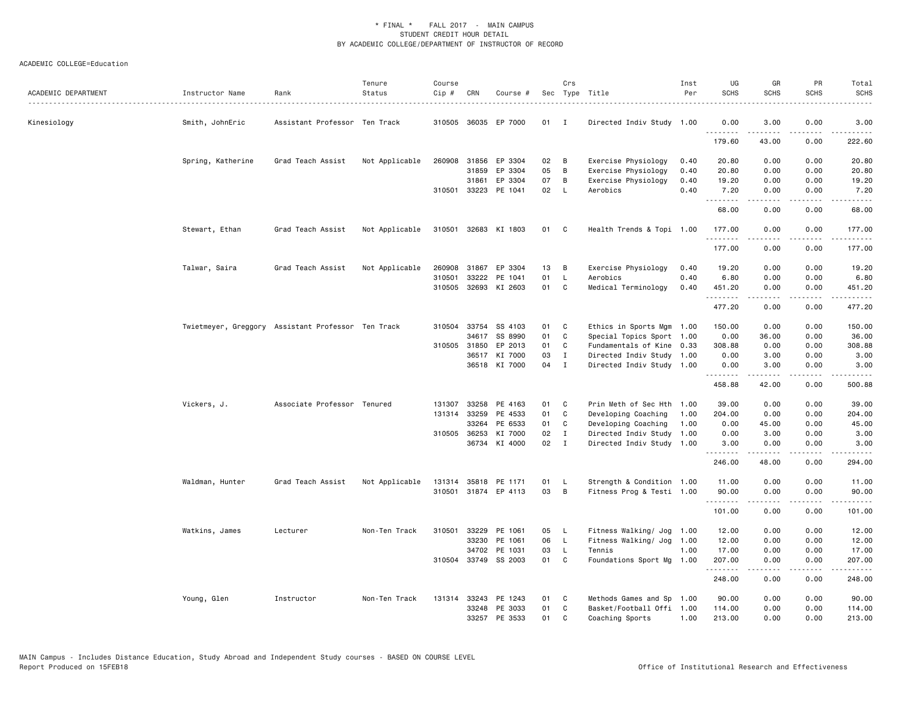| ACADEMIC DEPARTMENT | Instructor Name   | Rank                                               | Tenure<br>Status | Course<br>Cip # | CRN          | Course #             |      | Crs            | Sec Type Title            | Inst<br>Per | UG<br><b>SCHS</b> | GR<br><b>SCHS</b>                                                                                                                                             | PR<br><b>SCHS</b>     | Total<br><b>SCHS</b>                                                                                                                                                                                                                                                                                                                                                                                                                                                                             |
|---------------------|-------------------|----------------------------------------------------|------------------|-----------------|--------------|----------------------|------|----------------|---------------------------|-------------|-------------------|---------------------------------------------------------------------------------------------------------------------------------------------------------------|-----------------------|--------------------------------------------------------------------------------------------------------------------------------------------------------------------------------------------------------------------------------------------------------------------------------------------------------------------------------------------------------------------------------------------------------------------------------------------------------------------------------------------------|
| Kinesiology         | Smith, JohnEric   | Assistant Professor Ten Track                      |                  |                 | 310505 36035 | EP 7000              | 01   | $\blacksquare$ | Directed Indiv Study 1.00 |             | 0.00              | 3.00                                                                                                                                                          | 0.00                  | 3.00                                                                                                                                                                                                                                                                                                                                                                                                                                                                                             |
|                     |                   |                                                    |                  |                 |              |                      |      |                |                           |             | .<br>179.60       | 43.00                                                                                                                                                         | 0.00                  | 222.60                                                                                                                                                                                                                                                                                                                                                                                                                                                                                           |
|                     | Spring, Katherine | Grad Teach Assist                                  | Not Applicable   |                 | 260908 31856 | EP 3304              | 02   | B              | Exercise Physiology       | 0.40        | 20.80             | 0.00                                                                                                                                                          | 0.00                  | 20.80                                                                                                                                                                                                                                                                                                                                                                                                                                                                                            |
|                     |                   |                                                    |                  |                 | 31859        | EP 3304              | 05   | В              | Exercise Physiology       | 0.40        | 20.80             | 0.00                                                                                                                                                          | 0.00                  | 20.80                                                                                                                                                                                                                                                                                                                                                                                                                                                                                            |
|                     |                   |                                                    |                  |                 | 31861        | EP 3304              | 07   | B              | Exercise Physiology       | 0.40        | 19.20             | 0.00                                                                                                                                                          | 0.00                  | 19.20                                                                                                                                                                                                                                                                                                                                                                                                                                                                                            |
|                     |                   |                                                    |                  |                 | 310501 33223 | PE 1041              | 02   | L              | Aerobics                  | 0.40        | 7.20<br>.         | 0.00<br>$\frac{1}{2} \left( \frac{1}{2} \right) \left( \frac{1}{2} \right) \left( \frac{1}{2} \right) \left( \frac{1}{2} \right) \left( \frac{1}{2} \right)$  | 0.00<br>.             | 7.20<br>.                                                                                                                                                                                                                                                                                                                                                                                                                                                                                        |
|                     |                   |                                                    |                  |                 |              |                      |      |                |                           |             | 68.00             | 0.00                                                                                                                                                          | 0.00                  | 68.00                                                                                                                                                                                                                                                                                                                                                                                                                                                                                            |
|                     | Stewart, Ethan    | Grad Teach Assist                                  | Not Applicable   |                 |              | 310501 32683 KI 1803 | 01 C |                | Health Trends & Topi 1.00 |             | 177.00            | 0.00                                                                                                                                                          | 0.00                  | 177.00                                                                                                                                                                                                                                                                                                                                                                                                                                                                                           |
|                     |                   |                                                    |                  |                 |              |                      |      |                |                           |             | .<br>177.00       | 0.00                                                                                                                                                          | 0.00                  | 177.00                                                                                                                                                                                                                                                                                                                                                                                                                                                                                           |
|                     | Talwar, Saira     | Grad Teach Assist                                  | Not Applicable   | 260908          | 31867        | EP 3304              | 13   | B              | Exercise Physiology       | 0.40        | 19.20             | 0.00                                                                                                                                                          | 0.00                  | 19.20                                                                                                                                                                                                                                                                                                                                                                                                                                                                                            |
|                     |                   |                                                    |                  | 310501          | 33222        | PE 1041              | 01   | L              | Aerobics                  | 0.40        | 6.80              | 0.00                                                                                                                                                          | 0.00                  | 6.80                                                                                                                                                                                                                                                                                                                                                                                                                                                                                             |
|                     |                   |                                                    |                  |                 | 310505 32693 | KI 2603              | 01   | C              | Medical Terminology       | 0.40        | 451.20            | 0.00                                                                                                                                                          | 0.00                  | 451.20                                                                                                                                                                                                                                                                                                                                                                                                                                                                                           |
|                     |                   |                                                    |                  |                 |              |                      |      |                |                           |             | .<br>477.20       | 0.00                                                                                                                                                          | .<br>0.00             | $- - - - - -$<br>477.20                                                                                                                                                                                                                                                                                                                                                                                                                                                                          |
|                     |                   | Twietmeyer, Greggory Assistant Professor Ten Track |                  |                 | 310504 33754 | SS 4103              | 01   | C              | Ethics in Sports Mgm 1.00 |             | 150.00            | 0.00                                                                                                                                                          | 0.00                  | 150.00                                                                                                                                                                                                                                                                                                                                                                                                                                                                                           |
|                     |                   |                                                    |                  |                 |              | 34617 SS 8990        | 01   | C              | Special Topics Sport 1.00 |             | 0.00              | 36.00                                                                                                                                                         | 0.00                  | 36.00                                                                                                                                                                                                                                                                                                                                                                                                                                                                                            |
|                     |                   |                                                    |                  |                 | 310505 31850 | EP 2013              | 01   | C              | Fundamentals of Kine 0.33 |             | 308.88            | 0.00                                                                                                                                                          | 0.00                  | 308.88                                                                                                                                                                                                                                                                                                                                                                                                                                                                                           |
|                     |                   |                                                    |                  |                 | 36517        | KI 7000              | 03   | $\mathbf{I}$   | Directed Indiv Study 1.00 |             | 0.00              | 3.00                                                                                                                                                          | 0.00                  | 3.00                                                                                                                                                                                                                                                                                                                                                                                                                                                                                             |
|                     |                   |                                                    |                  |                 |              | 36518 KI 7000        | 04   | $\mathbf{I}$   | Directed Indiv Study 1.00 |             | 0.00              | 3.00                                                                                                                                                          | 0.00                  | 3.00<br>$\frac{1}{2} \left( \frac{1}{2} \right) \left( \frac{1}{2} \right) \left( \frac{1}{2} \right) \left( \frac{1}{2} \right) \left( \frac{1}{2} \right)$                                                                                                                                                                                                                                                                                                                                     |
|                     |                   |                                                    |                  |                 |              |                      |      |                |                           |             | .<br>458.88       | $\frac{1}{2} \left( \frac{1}{2} \right) \left( \frac{1}{2} \right) \left( \frac{1}{2} \right) \left( \frac{1}{2} \right) \left( \frac{1}{2} \right)$<br>42.00 | .<br>0.00             | 500.88                                                                                                                                                                                                                                                                                                                                                                                                                                                                                           |
|                     | Vickers, J.       | Associate Professor Tenured                        |                  | 131307          | 33258        | PE 4163              | 01   | C              | Prin Meth of Sec Hth      | 1.00        | 39.00             | 0.00                                                                                                                                                          | 0.00                  | 39.00                                                                                                                                                                                                                                                                                                                                                                                                                                                                                            |
|                     |                   |                                                    |                  |                 | 131314 33259 | PE 4533              | 01   | C              | Developing Coaching       | 1.00        | 204.00            | 0.00                                                                                                                                                          | 0.00                  | 204.00                                                                                                                                                                                                                                                                                                                                                                                                                                                                                           |
|                     |                   |                                                    |                  |                 | 33264        | PE 6533              | 01   | C              | Developing Coaching       | 1.00        | 0.00              | 45.00                                                                                                                                                         | 0.00                  | 45.00                                                                                                                                                                                                                                                                                                                                                                                                                                                                                            |
|                     |                   |                                                    |                  |                 | 310505 36253 | KI 7000              | 02   | $\mathbf{I}$   | Directed Indiv Study      | 1.00        | 0.00              | 3.00                                                                                                                                                          | 0.00                  | 3.00                                                                                                                                                                                                                                                                                                                                                                                                                                                                                             |
|                     |                   |                                                    |                  |                 | 36734        | KI 4000              | 02   | $\mathbf{I}$   | Directed Indiv Study 1.00 |             | 3.00<br>.         | 0.00<br>$- - - - -$                                                                                                                                           | 0.00<br>$\frac{1}{2}$ | 3.00<br>.                                                                                                                                                                                                                                                                                                                                                                                                                                                                                        |
|                     |                   |                                                    |                  |                 |              |                      |      |                |                           |             | 246.00            | 48.00                                                                                                                                                         | 0.00                  | 294.00                                                                                                                                                                                                                                                                                                                                                                                                                                                                                           |
|                     | Waldman, Hunter   | Grad Teach Assist                                  | Not Applicable   |                 |              | 131314 35818 PE 1171 | 01   | - L            | Strength & Condition 1.00 |             | 11.00             | 0.00                                                                                                                                                          | 0.00                  | 11.00                                                                                                                                                                                                                                                                                                                                                                                                                                                                                            |
|                     |                   |                                                    |                  |                 |              | 310501 31874 EP 4113 | 03   | B              | Fitness Prog & Testi 1.00 |             | 90.00<br>.        | 0.00                                                                                                                                                          | 0.00                  | 90.00<br>.                                                                                                                                                                                                                                                                                                                                                                                                                                                                                       |
|                     |                   |                                                    |                  |                 |              |                      |      |                |                           |             | 101.00            | 0.00                                                                                                                                                          | 0.00                  | 101.00                                                                                                                                                                                                                                                                                                                                                                                                                                                                                           |
|                     | Watkins, James    | Lecturer                                           | Non-Ten Track    | 310501          | 33229        | PE 1061              | 05   | L              | Fitness Walking/ Jog      | 1.00        | 12.00             | 0.00                                                                                                                                                          | 0.00                  | 12.00                                                                                                                                                                                                                                                                                                                                                                                                                                                                                            |
|                     |                   |                                                    |                  |                 | 33230        | PE 1061              | 06   | $\mathsf{L}$   | Fitness Walking/ Jog      | 1.00        | 12.00             | 0.00                                                                                                                                                          | 0.00                  | 12.00                                                                                                                                                                                                                                                                                                                                                                                                                                                                                            |
|                     |                   |                                                    |                  |                 | 34702        | PE 1031              | 03   | L.             | Tennis                    | 1.00        | 17.00             | 0.00                                                                                                                                                          | 0.00                  | 17.00                                                                                                                                                                                                                                                                                                                                                                                                                                                                                            |
|                     |                   |                                                    |                  |                 | 310504 33749 | SS 2003              | 01   | C              | Foundations Sport Mg      | 1.00        | 207.00<br>.       | 0.00<br>.                                                                                                                                                     | 0.00                  | 207.00<br>$\begin{array}{cccccccccccccc} \multicolumn{2}{c}{} & \multicolumn{2}{c}{} & \multicolumn{2}{c}{} & \multicolumn{2}{c}{} & \multicolumn{2}{c}{} & \multicolumn{2}{c}{} & \multicolumn{2}{c}{} & \multicolumn{2}{c}{} & \multicolumn{2}{c}{} & \multicolumn{2}{c}{} & \multicolumn{2}{c}{} & \multicolumn{2}{c}{} & \multicolumn{2}{c}{} & \multicolumn{2}{c}{} & \multicolumn{2}{c}{} & \multicolumn{2}{c}{} & \multicolumn{2}{c}{} & \multicolumn{2}{c}{} & \multicolumn{2}{c}{} & \$ |
|                     |                   |                                                    |                  |                 |              |                      |      |                |                           |             | 248.00            | 0.00                                                                                                                                                          | 0.00                  | 248.00                                                                                                                                                                                                                                                                                                                                                                                                                                                                                           |
|                     | Young, Glen       | Instructor                                         | Non-Ten Track    |                 |              | 131314 33243 PE 1243 | 01   | C              | Methods Games and Sp      | 1.00        | 90.00             | 0.00                                                                                                                                                          | 0.00                  | 90.00                                                                                                                                                                                                                                                                                                                                                                                                                                                                                            |
|                     |                   |                                                    |                  |                 | 33248        | PE 3033              | 01   | C              | Basket/Football Offi 1.00 |             | 114.00            | 0.00                                                                                                                                                          | 0.00                  | 114.00                                                                                                                                                                                                                                                                                                                                                                                                                                                                                           |
|                     |                   |                                                    |                  |                 |              | 33257 PE 3533        | 01   | C              | Coaching Sports           | 1.00        | 213.00            | 0.00                                                                                                                                                          | 0.00                  | 213.00                                                                                                                                                                                                                                                                                                                                                                                                                                                                                           |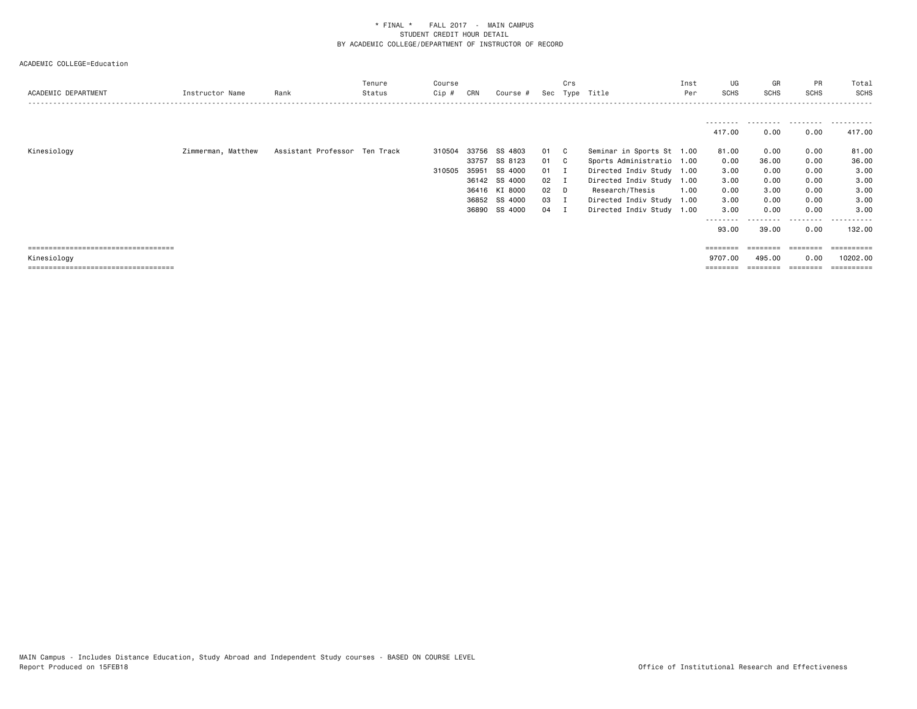| ACADEMIC DEPARTMENT                   | Instructor Name    | Rank                          | Tenure<br>Status | Course<br>$Cip \#$ | CRN   | Course #      | Sec          | Crs          | Type Title                | Inst<br>Per | UG<br>SCHS         | GR<br>SCHS | PR<br><b>SCHS</b> | Total<br><b>SCHS</b>  |
|---------------------------------------|--------------------|-------------------------------|------------------|--------------------|-------|---------------|--------------|--------------|---------------------------|-------------|--------------------|------------|-------------------|-----------------------|
|                                       |                    |                               |                  |                    |       |               |              |              |                           |             | 417.00             | .<br>0.00  | 0.00              | 417.00                |
| Kinesiology                           | Zimmerman, Matthew | Assistant Professor Ten Track |                  | 310504             |       | 33756 SS 4803 | 01 C         |              | Seminar in Sports St 1.00 |             | 81.00              | 0.00       | 0.00              | 81.00                 |
|                                       |                    |                               |                  |                    | 33757 | SS 8123       | 01           | $\mathbf{C}$ | Sports Administratio 1.00 |             | 0.00               | 36.00      | 0.00              | 36.00                 |
|                                       |                    |                               |                  | 310505             | 35951 | SS 4000       | $01 \quad I$ |              | Directed Indiv Study 1.00 |             | 3.00               | 0.00       | 0.00              | 3.00                  |
|                                       |                    |                               |                  |                    |       | 36142 SS 4000 | $02 \quad I$ |              | Directed Indiv Study      | 1.00        | 3.00               | 0.00       | 0.00              | 3.00                  |
|                                       |                    |                               |                  |                    |       | 36416 KI 8000 | $02$ D       |              | Research/Thesis           | 1.00        | 0.00               | 3.00       | 0.00              | 3.00                  |
|                                       |                    |                               |                  |                    |       | 36852 SS 4000 | 03 I         |              | Directed Indiv Study      | 1.00        | 3.00               | 0.00       | 0.00              | 3.00                  |
|                                       |                    |                               |                  |                    |       | 36890 SS 4000 | 04 I         |              | Directed Indiv Study 1.00 |             | 3.00               | 0.00       | 0.00              | 3.00                  |
|                                       |                    |                               |                  |                    |       |               |              |              |                           |             | ---------<br>93.00 | 39.00      | -----<br>0.00     | . <b>.</b><br>132.00  |
| ===================================== |                    |                               |                  |                    |       |               |              |              |                           |             | $=$ = = = = = = =  |            | ========          | $=$ = = = = = = = = : |
| Kinesiology                           |                    |                               |                  |                    |       |               |              |              |                           |             | 9707.00            | 495.00     | 0.00              | 10202.00              |
| :===================================  |                    |                               |                  |                    |       |               |              |              |                           |             | ========           | ========   | ========          |                       |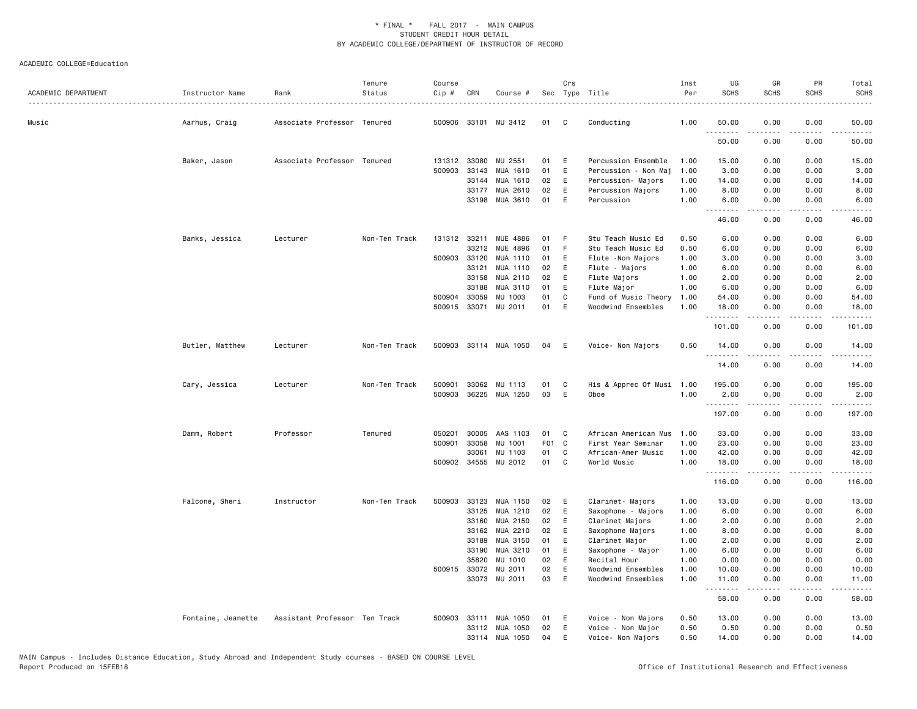| ACADEMIC DEPARTMENT | Instructor Name    | Rank                          | Tenure<br>Status | Course<br>Cip # | CRN          | Course #              |       | Crs         | Sec Type Title            | Inst<br>Per | UG<br><b>SCHS</b>          | GR<br><b>SCHS</b>   | <b>PR</b><br><b>SCHS</b> | Total<br><b>SCHS</b> |
|---------------------|--------------------|-------------------------------|------------------|-----------------|--------------|-----------------------|-------|-------------|---------------------------|-------------|----------------------------|---------------------|--------------------------|----------------------|
| Music               | Aarhus, Craig      | Associate Professor Tenured   |                  |                 |              | 500906 33101 MU 3412  | 01    | C           | Conducting                | 1.00        | 50.00                      | 0.00                | 0.00                     | 50.00                |
|                     |                    |                               |                  |                 |              |                       |       |             |                           |             | 50.00                      | 0.00                | 0.00                     | 50.00                |
|                     | Baker, Jason       | Associate Professor Tenured   |                  |                 | 131312 33080 | MU 2551               | 01    | E           | Percussion Ensemble       | 1.00        | 15.00                      | 0.00                | 0.00                     | 15.00                |
|                     |                    |                               |                  | 500903          | 33143        | MUA 1610              | 01    | E           | Percussion - Non Maj      | 1.00        | 3.00                       | 0.00                | 0.00                     | 3.00                 |
|                     |                    |                               |                  |                 | 33144        | MUA 1610              | 02    | E           | Percussion- Majors        | 1.00        | 14.00                      | 0.00                | 0.00                     | 14.00                |
|                     |                    |                               |                  |                 | 33177        | MUA 2610              | 02    | E           | Percussion Majors         | 1.00        | 8.00                       | 0.00                | 0.00                     | 8.00                 |
|                     |                    |                               |                  |                 | 33198        | MUA 3610              | 01    | E           | Percussion                | 1.00        | 6.00<br>$\sim$ $\sim$<br>. | 0.00                | 0.00                     | 6.00                 |
|                     |                    |                               |                  |                 |              |                       |       |             |                           |             | 46.00                      | 0.00                | 0.00                     | 46.00                |
|                     | Banks, Jessica     | Lecturer                      | Non-Ten Track    |                 |              | 131312 33211 MUE 4886 | 01    | F           | Stu Teach Music Ed        | 0.50        | 6.00                       | 0.00                | 0.00                     | 6.00                 |
|                     |                    |                               |                  |                 | 33212        | MUE 4896              | 01    | $\mathsf F$ | Stu Teach Music Ed        | 0.50        | 6.00                       | 0.00                | 0.00                     | 6.00                 |
|                     |                    |                               |                  | 500903          | 33120        | MUA 1110              | 01    | Ε           | Flute - Non Majors        | 1.00        | 3.00                       | 0.00                | 0.00                     | 3.00                 |
|                     |                    |                               |                  |                 | 33121        | MUA 1110              | 02    | Ε           | Flute - Majors            | 1.00        | 6.00                       | 0.00                | 0.00                     | 6.00                 |
|                     |                    |                               |                  |                 | 33158        | MUA 2110              | 02    | E           | Flute Majors              | 1.00        | 2.00                       | 0.00                | 0.00                     | 2.00                 |
|                     |                    |                               |                  |                 | 33188        | MUA 3110              | 01    | Ε           | Flute Major               | 1.00        | 6.00                       | 0.00                | 0.00                     | 6.00                 |
|                     |                    |                               |                  |                 | 500904 33059 | MU 1003               | 01    | C           | Fund of Music Theory      | 1.00        | 54.00                      | 0.00                | 0.00                     | 54.00                |
|                     |                    |                               |                  |                 |              | 500915 33071 MU 2011  | 01    | E           | Woodwind Ensembles        | 1.00        | 18.00<br>.                 | 0.00<br>-----       | 0.00<br>.                | 18.00<br>.           |
|                     |                    |                               |                  |                 |              |                       |       |             |                           |             | 101.00                     | 0.00                | 0.00                     | 101.00               |
|                     | Butler, Matthew    | Lecturer                      | Non-Ten Track    |                 |              | 500903 33114 MUA 1050 | 04    | E           | Voice- Non Majors         | 0.50        | 14.00<br>1.1.1.1.1         | 0.00                | 0.00                     | 14.00                |
|                     |                    |                               |                  |                 |              |                       |       |             |                           |             | 14.00                      | 0.00                | 0.00                     | 14.00                |
|                     | Cary, Jessica      | Lecturer                      | Non-Ten Track    | 500901          | 33062        | MU 1113               | 01    | C           | His & Apprec Of Musi 1.00 |             | 195.00                     | 0.00                | 0.00                     | 195.00               |
|                     |                    |                               |                  | 500903          | 36225        | MUA 1250              | 03    | E           | Oboe                      | 1.00        | 2.00                       | 0.00                | 0.00                     | 2.00                 |
|                     |                    |                               |                  |                 |              |                       |       |             |                           |             | .<br>197.00                | 0.00                | 0.00                     | 197.00               |
|                     | Damm, Robert       | Professor                     | Tenured          | 050201          | 30005        | AAS 1103              | 01    | C           | African American Mus      | 1.00        | 33.00                      | 0.00                | 0.00                     | 33.00                |
|                     |                    |                               |                  | 500901          | 33058        | MU 1001               | F01 C |             | First Year Seminar        | 1.00        | 23.00                      | 0.00                | 0.00                     | 23.00                |
|                     |                    |                               |                  |                 | 33061        | MU 1103               | 01    | $\mathbf c$ | African-Amer Music        | 1.00        | 42.00                      | 0.00                | 0.00                     | 42.00                |
|                     |                    |                               |                  |                 | 500902 34555 | MU 2012               | 01    | C           | World Music               | 1.00        | 18.00                      | 0.00                | 0.00                     | 18.00                |
|                     |                    |                               |                  |                 |              |                       |       |             |                           |             | .<br>116.00                | -----<br>0.00       | .<br>0.00                | 116.00               |
|                     | Falcone, Sheri     | Instructor                    | Non-Ten Track    | 500903          | 33123        | MUA 1150              | 02    | Ε           | Clarinet- Majors          | 1.00        | 13.00                      | 0.00                | 0.00                     | 13.00                |
|                     |                    |                               |                  |                 | 33125        | MUA 1210              | 02    | $\mathsf E$ | Saxophone - Majors        | 1.00        | 6.00                       | 0.00                | 0.00                     | 6.00                 |
|                     |                    |                               |                  |                 | 33160        | MUA 2150              | 02    | E           | Clarinet Majors           | 1.00        | 2.00                       | 0.00                | 0.00                     | 2.00                 |
|                     |                    |                               |                  |                 | 33162        | MUA 2210              | 02    | E           | Saxophone Majors          | 1.00        | 8.00                       | 0.00                | 0.00                     | 8.00                 |
|                     |                    |                               |                  |                 | 33189        | MUA 3150              | 01    | Ε           | Clarinet Major            | 1.00        | 2.00                       | 0.00                | 0.00                     | 2.00                 |
|                     |                    |                               |                  |                 | 33190        | MUA 3210              | 01    | Ε           | Saxophone - Major         | 1.00        | 6.00                       | 0.00                | 0.00                     | 6.00                 |
|                     |                    |                               |                  |                 | 35820        | MU 1010               | 02    | E           | Recital Hour              | 1.00        | 0.00                       | 0.00                | 0.00                     | 0.00                 |
|                     |                    |                               |                  |                 | 500915 33072 | MU 2011               | 02    | E           | Woodwind Ensembles        | 1.00        | 10.00                      | 0.00                | 0.00                     | 10.00                |
|                     |                    |                               |                  |                 |              | 33073 MU 2011         | 03    | E           | Woodwind Ensembles        | 1.00        | 11.00<br><u>.</u>          | 0.00<br>$- - - - -$ | 0.00<br>.                | 11.00<br>.           |
|                     |                    |                               |                  |                 |              |                       |       |             |                           |             | 58.00                      | 0.00                | 0.00                     | 58.00                |
|                     | Fontaine, Jeanette | Assistant Professor Ten Track |                  | 500903          | 33111        | MUA 1050              | 01    | E           | Voice - Non Majors        | 0.50        | 13.00                      | 0.00                | 0.00                     | 13.00                |
|                     |                    |                               |                  |                 | 33112        | MUA 1050              | 02    | E           | Voice - Non Major         | 0.50        | 0.50                       | 0.00                | 0.00                     | 0.50                 |
|                     |                    |                               |                  |                 |              | 33114 MUA 1050        | 04    | E           | Voice- Non Majors         | 0.50        | 14.00                      | 0.00                | 0.00                     | 14.00                |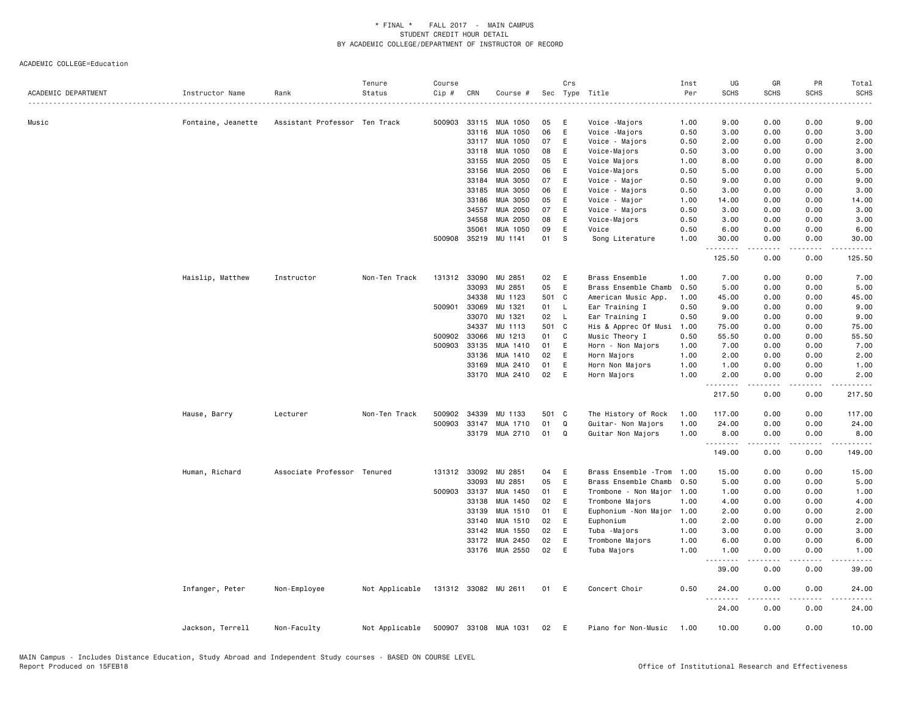| ACADEMIC DEPARTMENT | Instructor Name    | Rank                          | Tenure<br>Status | Course<br>Cip # | CRN          | Course #              |       | Crs          | Sec Type Title        | Inst<br>Per | UG<br><b>SCHS</b>   | GR<br><b>SCHS</b> | PR<br><b>SCHS</b>     | Total<br><b>SCHS</b> |
|---------------------|--------------------|-------------------------------|------------------|-----------------|--------------|-----------------------|-------|--------------|-----------------------|-------------|---------------------|-------------------|-----------------------|----------------------|
|                     |                    |                               |                  |                 |              |                       |       |              |                       |             |                     |                   |                       |                      |
| Music               | Fontaine, Jeanette | Assistant Professor Ten Track |                  |                 |              | 500903 33115 MUA 1050 | 05    | E            | Voice -Majors         | 1.00        | 9.00                | 0.00              | 0.00                  | 9.00                 |
|                     |                    |                               |                  |                 | 33116        | MUA 1050              | 06    | E            | Voice -Majors         | 0.50        | 3.00                | 0.00              | 0.00                  | 3.00                 |
|                     |                    |                               |                  |                 | 33117        | MUA 1050              | 07    | E            | Voice - Majors        | 0.50        | 2.00                | 0.00              | 0.00                  | 2.00                 |
|                     |                    |                               |                  |                 | 33118        | MUA 1050              | 08    | E            | Voice-Majors          | 0.50        | 3.00                | 0.00              | 0.00                  | 3.00                 |
|                     |                    |                               |                  |                 | 33155        | MUA 2050              | 05    | Ε            | Voice Majors          | 1.00        | 8.00                | 0.00              | 0.00                  | 8.00                 |
|                     |                    |                               |                  |                 | 33156        | MUA 2050              | 06    | E            | Voice-Majors          | 0.50        | 5.00                | 0.00              | 0.00                  | 5.00                 |
|                     |                    |                               |                  |                 | 33184        | MUA 3050              | 07    | Ε            | Voice - Major         | 0.50        | 9.00                | 0.00              | 0.00                  | 9.00                 |
|                     |                    |                               |                  |                 | 33185        | MUA 3050              | 06    | E            | Voice - Majors        | 0.50        | 3.00                | 0.00              | 0.00                  | 3.00                 |
|                     |                    |                               |                  |                 | 33186        | MUA 3050              | 05    | Ε            | Voice - Major         | 1.00        | 14.00               | 0.00              | 0.00                  | 14.00                |
|                     |                    |                               |                  |                 | 34557        | MUA 2050              | 07    | E            | Voice - Majors        | 0.50        | 3.00                | 0.00              | 0.00                  | 3.00                 |
|                     |                    |                               |                  |                 | 34558        | MUA 2050              | 08    | E            | Voice-Majors          | 0.50        | 3.00                | 0.00              | 0.00                  | 3.00                 |
|                     |                    |                               |                  |                 | 35061        | MUA 1050              | 09    | E            | Voice                 | 0.50        | 6.00                | 0.00              | 0.00                  | 6.00                 |
|                     |                    |                               |                  | 500908          | 35219        | MU 1141               | 01    | S            | Song Literature       | 1.00        | 30.00               | 0.00              | 0.00                  | 30.00                |
|                     |                    |                               |                  |                 |              |                       |       |              |                       |             | .                   |                   | .                     |                      |
|                     |                    |                               |                  |                 |              |                       |       |              |                       |             | 125.50              | 0.00              | 0.00                  | 125.50               |
|                     | Haislip, Matthew   | Instructor                    | Non-Ten Track    |                 | 131312 33090 | MU 2851               | 02    | E            | Brass Ensemble        | 1.00        | 7.00                | 0.00              | 0.00                  | 7.00                 |
|                     |                    |                               |                  |                 | 33093        | MU 2851               | 05    | E            | Brass Ensemble Chamb  | 0.50        | 5.00                | 0.00              | 0.00                  | 5.00                 |
|                     |                    |                               |                  |                 | 34338        | MU 1123               | 501 C |              | American Music App.   | 1.00        | 45.00               | 0.00              | 0.00                  | 45.00                |
|                     |                    |                               |                  |                 | 500901 33069 | MU 1321               | 01    | L.           | Ear Training I        | 0.50        | 9.00                | 0.00              | 0.00                  | 9.00                 |
|                     |                    |                               |                  |                 | 33070        | MU 1321               | 02    | $\mathsf{L}$ | Ear Training I        | 0.50        | 9.00                | 0.00              | 0.00                  | 9.00                 |
|                     |                    |                               |                  |                 | 34337        | MU 1113               | 501 C |              | His & Apprec Of Musi  | 1.00        | 75.00               | 0.00              | 0.00                  | 75.00                |
|                     |                    |                               |                  |                 | 500902 33066 | MU 1213               | 01    | C            | Music Theory I        | 0.50        | 55.50               | 0.00              | 0.00                  | 55.50                |
|                     |                    |                               |                  |                 | 500903 33135 | MUA 1410              | 01    | E            | Horn - Non Majors     | 1.00        | 7.00                | 0.00              | 0.00                  | 7.00                 |
|                     |                    |                               |                  |                 | 33136        | MUA 1410              | 02    | E            | Horn Majors           | 1.00        | 2.00                | 0.00              | 0.00                  | 2.00                 |
|                     |                    |                               |                  |                 | 33169        | MUA 2410              | 01    | E            | Horn Non Majors       | 1.00        | 1.00                | 0.00              | 0.00                  | 1.00                 |
|                     |                    |                               |                  |                 | 33170        | MUA 2410              | 02    | E            | Horn Majors           | 1.00        | 2.00                | 0.00              | 0.00                  | 2.00                 |
|                     |                    |                               |                  |                 |              |                       |       |              |                       |             | 217.50              | 0.00              | 0.00                  | 217.50               |
|                     | Hause, Barry       | Lecturer                      | Non-Ten Track    |                 | 500902 34339 | MU 1133               | 501 C |              | The History of Rock   | 1.00        | 117.00              | 0.00              | 0.00                  | 117.00               |
|                     |                    |                               |                  |                 | 500903 33147 | MUA 1710              | 01    | $\mathsf Q$  | Guitar- Non Majors    | 1.00        | 24.00               | 0.00              | 0.00                  | 24.00                |
|                     |                    |                               |                  |                 | 33179        | MUA 2710              | 01    | Q            | Guitar Non Majors     | 1.00        | 8.00                | 0.00              | 0.00                  | 8.00                 |
|                     |                    |                               |                  |                 |              |                       |       |              |                       |             | .                   |                   |                       |                      |
|                     |                    |                               |                  |                 |              |                       |       |              |                       |             | 149.00              | 0.00              | 0.00                  | 149.00               |
|                     | Human, Richard     | Associate Professor Tenured   |                  |                 | 131312 33092 | MU 2851               | 04    | E            | Brass Ensemble - Trom | 1.00        | 15.00               | 0.00              | 0.00                  | 15.00                |
|                     |                    |                               |                  |                 | 33093        | MU 2851               | 05    | E            | Brass Ensemble Chamb  | 0.50        | 5.00                | 0.00              | 0.00                  | 5.00                 |
|                     |                    |                               |                  |                 | 500903 33137 | MUA 1450              | 01    | E            | Trombone - Non Major  | 1.00        | 1.00                | 0.00              | 0.00                  | 1.00                 |
|                     |                    |                               |                  |                 | 33138        | MUA 1450              | 02    | Ε            | Trombone Majors       | 1.00        | 4.00                | 0.00              | 0.00                  | 4.00                 |
|                     |                    |                               |                  |                 | 33139        | MUA 1510              | 01    | E            | Euphonium - Non Major | 1.00        | 2.00                | 0.00              | 0.00                  | 2.00                 |
|                     |                    |                               |                  |                 | 33140        | MUA 1510              | 02    | E            | Euphonium             | 1.00        | 2.00                | 0.00              | 0.00                  | 2.00                 |
|                     |                    |                               |                  |                 | 33142        | MUA 1550              | 02    | E            | Tuba -Majors          | 1.00        | 3.00                | 0.00              | 0.00                  | 3.00                 |
|                     |                    |                               |                  |                 | 33172        | MUA 2450              | 02    | E            | Trombone Majors       | 1.00        | 6.00                | 0.00              | 0.00                  | 6.00                 |
|                     |                    |                               |                  |                 |              | 33176 MUA 2550        | 02    | E            | Tuba Majors           | 1.00        | 1.00                | 0.00              | 0.00                  | 1.00                 |
|                     |                    |                               |                  |                 |              |                       |       |              |                       |             | .                   | .                 | .                     | .                    |
|                     |                    |                               |                  |                 |              |                       |       |              |                       |             | 39.00               | 0.00              | 0.00                  | 39.00                |
|                     | Infanger, Peter    | Non-Employee                  | Not Applicable   |                 |              | 131312 33082 MU 2611  | 01    | E            | Concert Choir         | 0.50        | 24.00<br>. <b>.</b> | 0.00<br>.         | 0.00<br>$\frac{1}{2}$ | 24.00<br>.           |
|                     |                    |                               |                  |                 |              |                       |       |              |                       |             | 24.00               | 0.00              | 0.00                  | 24.00                |
|                     | Jackson, Terrell   | Non-Faculty                   | Not Applicable   |                 |              | 500907 33108 MUA 1031 | 02    | E            | Piano for Non-Music   | 1.00        | 10.00               | 0.00              | 0.00                  | 10.00                |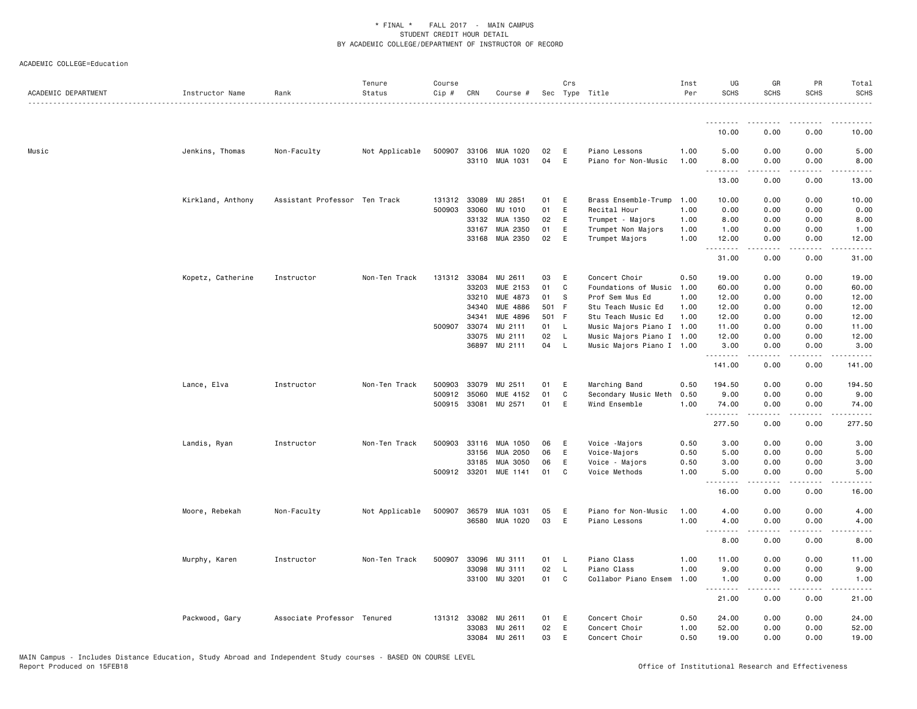| ACADEMIC DEPARTMENT | Instructor Name   | Rank                          | Tenure<br>Status | Course<br>Cip# | CRN          | Course #              |       | Crs          | Sec Type Title            | Inst<br>Per | UG<br><b>SCHS</b>         | GR<br><b>SCHS</b>     | <b>PR</b><br><b>SCHS</b> | Total<br><b>SCHS</b> |
|---------------------|-------------------|-------------------------------|------------------|----------------|--------------|-----------------------|-------|--------------|---------------------------|-------------|---------------------------|-----------------------|--------------------------|----------------------|
|                     |                   |                               | .                |                |              |                       |       |              |                           |             |                           |                       |                          | $\frac{1}{2}$        |
|                     |                   |                               |                  |                |              |                       |       |              |                           |             | .<br>10.00                | <u>.</u><br>0.00      | .<br>0.00                | .<br>10.00           |
| Music               | Jenkins, Thomas   | Non-Faculty                   | Not Applicable   | 500907         | 33106        | MUA 1020              | 02    | E            | Piano Lessons             | 1.00        | 5.00                      | 0.00                  | 0.00                     | 5.00                 |
|                     |                   |                               |                  |                |              | 33110 MUA 1031        | 04    | E            | Piano for Non-Music       | 1.00        | 8.00<br>.                 | 0.00                  | 0.00<br>د د د د          | 8.00                 |
|                     |                   |                               |                  |                |              |                       |       |              |                           |             | 13.00                     | 0.00                  | 0.00                     | 13.00                |
|                     | Kirkland, Anthony | Assistant Professor Ten Track |                  | 131312         | 33089        | MU 2851               | 01    | E            | Brass Ensemble-Trump      | 1.00        | 10.00                     | 0.00                  | 0.00                     | 10.00                |
|                     |                   |                               |                  | 500903         | 33060        | MU 1010               | 01    | E            | Recital Hour              | 1.00        | 0.00                      | 0.00                  | 0.00                     | 0.00                 |
|                     |                   |                               |                  |                | 33132        | MUA 1350              | 02    | Ε            | Trumpet - Majors          | 1.00        | 8.00                      | 0.00                  | 0.00                     | 8.00                 |
|                     |                   |                               |                  |                | 33167        | MUA 2350              | 01    | E            | Trumpet Non Majors        | 1.00        | 1.00                      | 0.00                  | 0.00                     | 1.00                 |
|                     |                   |                               |                  |                | 33168        | MUA 2350              | 02    | E            | Trumpet Majors            | 1.00        | 12.00<br>.                | 0.00                  | 0.00                     | 12.00                |
|                     |                   |                               |                  |                |              |                       |       |              |                           |             | 31.00                     | 0.00                  | 0.00                     | 31.00                |
|                     | Kopetz, Catherine | Instructor                    | Non-Ten Track    |                | 131312 33084 | MU 2611               | 03    | E            | Concert Choir             | 0.50        | 19.00                     | 0.00                  | 0.00                     | 19.00                |
|                     |                   |                               |                  |                | 33203        | MUE 2153              | 01    | C            | Foundations of Music 1.00 |             | 60.00                     | 0.00                  | 0.00                     | 60.00                |
|                     |                   |                               |                  |                | 33210        | MUE 4873              | 01    | s            | Prof Sem Mus Ed           | 1.00        | 12.00                     | 0.00                  | 0.00                     | 12.00                |
|                     |                   |                               |                  |                | 34340        | MUE 4886              | 501 F |              | Stu Teach Music Ed        | 1.00        | 12.00                     | 0.00                  | 0.00                     | 12.00                |
|                     |                   |                               |                  |                | 34341        | MUE 4896              | 501 F |              | Stu Teach Music Ed        | 1.00        | 12.00                     | 0.00                  | 0.00                     | 12.00                |
|                     |                   |                               |                  | 500907         | 33074        | MU 2111               | 01    | - L          | Music Majors Piano I      | 1.00        | 11.00                     | 0.00                  | 0.00                     | 11.00                |
|                     |                   |                               |                  |                | 33075        | MU 2111               | 02    | L,           | Music Majors Piano I 1.00 |             | 12.00                     | 0.00                  | 0.00                     | 12.00                |
|                     |                   |                               |                  |                | 36897        | MU 2111               | 04    | $\mathsf{L}$ | Music Majors Piano I 1.00 |             | 3.00<br>.                 | 0.00                  | 0.00                     | 3.00                 |
|                     |                   |                               |                  |                |              |                       |       |              |                           |             | 141.00                    | 0.00                  | 0.00                     | 141.00               |
|                     | Lance, Elva       | Instructor                    | Non-Ten Track    | 500903         | 33079        | MU 2511               | 01    | E            | Marching Band             | 0.50        | 194.50                    | 0.00                  | 0.00                     | 194.50               |
|                     |                   |                               |                  | 500912         | 35060        | MUE 4152              | 01    | C            | Secondary Music Meth      | 0.50        | 9.00                      | 0.00                  | 0.00                     | 9.00                 |
|                     |                   |                               |                  | 500915         | 33081        | MU 2571               | 01    | E            | Wind Ensemble             | 1.00        | 74.00<br>.                | 0.00<br>-----         | 0.00<br>.                | 74.00<br>.           |
|                     |                   |                               |                  |                |              |                       |       |              |                           |             | 277.50                    | 0.00                  | 0.00                     | 277.50               |
|                     | Landis, Ryan      | Instructor                    | Non-Ten Track    | 500903         | 33116        | MUA 1050              | 06    | E            | Voice -Majors             | 0.50        | 3.00                      | 0.00                  | 0.00                     | 3.00                 |
|                     |                   |                               |                  |                | 33156        | MUA 2050              | 06    | E            | Voice-Majors              | 0.50        | 5.00                      | 0.00                  | 0.00                     | 5.00                 |
|                     |                   |                               |                  |                | 33185        | MUA 3050              | 06    | E            | Voice - Majors            | 0.50        | 3.00                      | 0.00                  | 0.00                     | 3.00                 |
|                     |                   |                               |                  |                |              | 500912 33201 MUE 1141 | 01    | C            | Voice Methods             | 1.00        | 5.00<br><u>.</u>          | 0.00<br>$- - - - -$   | 0.00<br>.                | 5.00                 |
|                     |                   |                               |                  |                |              |                       |       |              |                           |             | 16.00                     | 0.00                  | 0.00                     | 16.00                |
|                     | Moore, Rebekah    | Non-Faculty                   | Not Applicable   | 500907         | 36579        | MUA 1031              | 05    | E            | Piano for Non-Music       | 1.00        | 4.00                      | 0.00                  | 0.00                     | 4.00                 |
|                     |                   |                               |                  |                |              | 36580 MUA 1020        | 03    | E            | Piano Lessons             | 1.00        | 4.00                      | 0.00                  | 0.00                     | 4.00                 |
|                     |                   |                               |                  |                |              |                       |       |              |                           |             | $\sim$ $\sim$ $\sim$<br>. |                       | .                        |                      |
|                     |                   |                               |                  |                |              |                       |       |              |                           |             | 8.00                      | 0.00                  | 0.00                     | 8.00                 |
|                     | Murphy, Karen     | Instructor                    | Non-Ten Track    | 500907         | 33096        | MU 3111               | 01    | L,           | Piano Class               | 1.00        | 11.00                     | 0.00                  | 0.00                     | 11.00                |
|                     |                   |                               |                  |                | 33098        | MU 3111               | 02    | L            | Piano Class               | 1.00        | 9.00                      | 0.00                  | 0.00                     | 9.00                 |
|                     |                   |                               |                  |                |              | 33100 MU 3201         | 01    | C            | Collabor Piano Ensem      | 1.00        | 1.00<br>.                 | 0.00<br>$\frac{1}{2}$ | 0.00<br>.                | 1.00<br>.            |
|                     |                   |                               |                  |                |              |                       |       |              |                           |             | 21.00                     | 0.00                  | 0.00                     | 21.00                |
|                     | Packwood, Gary    | Associate Professor Tenured   |                  |                | 131312 33082 | MU 2611               | 01    | E            | Concert Choir             | 0.50        | 24.00                     | 0.00                  | 0.00                     | 24.00                |
|                     |                   |                               |                  |                | 33083        | MU 2611               | 02    | E            | Concert Choir             | 1.00        | 52.00                     | 0.00                  | 0.00                     | 52.00                |
|                     |                   |                               |                  |                |              | 33084 MU 2611         | 03    | E            | Concert Choir             | 0.50        | 19.00                     | 0.00                  | 0.00                     | 19.00                |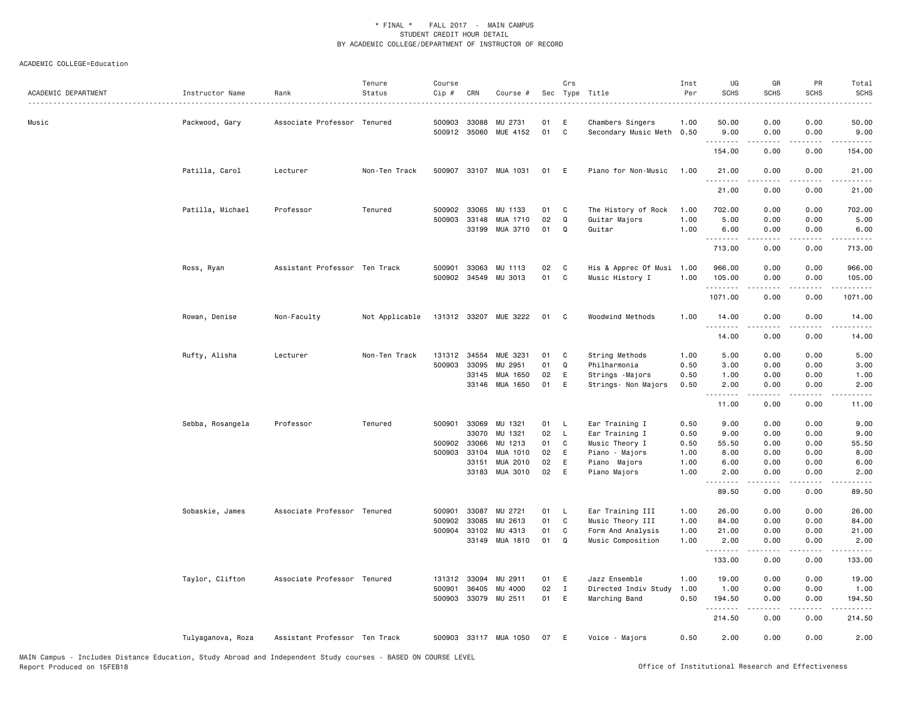| ACADEMIC DEPARTMENT | Instructor Name   | Rank<br>.                     | Tenure<br>Status | Course<br>Cip # | CRN          | Course #              |    | Crs          | Sec Type Title            | Inst<br>Per | UG<br><b>SCHS</b>  | GR<br><b>SCHS</b>                                                                                                                                            | PR<br><b>SCHS</b> | Total<br><b>SCHS</b> |
|---------------------|-------------------|-------------------------------|------------------|-----------------|--------------|-----------------------|----|--------------|---------------------------|-------------|--------------------|--------------------------------------------------------------------------------------------------------------------------------------------------------------|-------------------|----------------------|
| Music               | Packwood, Gary    | Associate Professor Tenured   |                  | 500903          | 33088        | MU 2731               | 01 | Ε            | Chambers Singers          | 1.00        | 50.00              | 0.00                                                                                                                                                         | 0.00              | 50.00                |
|                     |                   |                               |                  |                 |              | 500912 35060 MUE 4152 | 01 | C            | Secondary Music Meth 0.50 |             | 9.00<br>.          | 0.00                                                                                                                                                         | 0.00              | 9.00                 |
|                     |                   |                               |                  |                 |              |                       |    |              |                           |             | 154.00             | 0.00                                                                                                                                                         | 0.00              | 154.00               |
|                     | Patilla, Carol    | Lecturer                      | Non-Ten Track    |                 |              | 500907 33107 MUA 1031 | 01 | E            | Piano for Non-Music       | 1.00        | 21.00<br>.         | 0.00<br>$\frac{1}{2} \left( \frac{1}{2} \right) \left( \frac{1}{2} \right) \left( \frac{1}{2} \right) \left( \frac{1}{2} \right) \left( \frac{1}{2} \right)$ | 0.00<br>.         | 21.00<br>.           |
|                     |                   |                               |                  |                 |              |                       |    |              |                           |             | 21.00              | 0.00                                                                                                                                                         | 0.00              | 21.00                |
|                     | Patilla, Michael  | Professor                     | Tenured          |                 | 500902 33065 | MU 1133               | 01 | C            | The History of Rock       | 1.00        | 702.00             | 0.00                                                                                                                                                         | 0.00              | 702.00               |
|                     |                   |                               |                  | 500903          | 33148        | MUA 1710              | 02 | Q            | Guitar Majors             | 1.00        | 5.00               | 0.00                                                                                                                                                         | 0.00              | 5.00                 |
|                     |                   |                               |                  |                 | 33199        | MUA 3710              | 01 | Q            | Guitar                    | 1.00        | 6.00               | 0.00                                                                                                                                                         | 0.00              | 6.00                 |
|                     |                   |                               |                  |                 |              |                       |    |              |                           |             | 713.00             | 0.00                                                                                                                                                         | 0.00              | 713.00               |
|                     | Ross, Ryan        | Assistant Professor Ten Track |                  | 500901          | 33063        | MU 1113               | 02 | C            | His & Apprec Of Musi      | 1.00        | 966.00             | 0.00                                                                                                                                                         | 0.00              | 966.00               |
|                     |                   |                               |                  |                 |              | 500902 34549 MU 3013  | 01 | C            | Music History I           | 1.00        | 105.00<br>.        | 0.00                                                                                                                                                         | 0.00<br>.         | 105.00<br>.          |
|                     |                   |                               |                  |                 |              |                       |    |              |                           |             | 1071.00            | -----<br>0.00                                                                                                                                                | 0.00              | 1071.00              |
|                     | Rowan, Denise     | Non-Faculty                   | Not Applicable   |                 |              | 131312 33207 MUE 3222 | 01 | C            | Woodwind Methods          | 1.00        | 14.00              | 0.00<br>.                                                                                                                                                    | 0.00<br>.         | 14.00<br>.           |
|                     |                   |                               |                  |                 |              |                       |    |              |                           |             | .<br>14.00         | 0.00                                                                                                                                                         | 0.00              | 14.00                |
|                     | Rufty, Alisha     | Lecturer                      | Non-Ten Track    | 131312          | 34554        | MUE 3231              | 01 | C            | String Methods            | 1.00        | 5.00               | 0.00                                                                                                                                                         | 0.00              | 5.00                 |
|                     |                   |                               |                  | 500903          | 33095        | MU 2951               | 01 | Q            | Philharmonia              | 0.50        | 3.00               | 0.00                                                                                                                                                         | 0.00              | 3.00                 |
|                     |                   |                               |                  |                 | 33145        | MUA 1650              | 02 | E            | Strings - Majors          | 0.50        | 1.00               | 0.00                                                                                                                                                         | 0.00              | 1.00                 |
|                     |                   |                               |                  |                 |              | 33146 MUA 1650        | 01 | E            | Strings- Non Majors       | 0.50        | 2.00<br>.          | 0.00<br>-----                                                                                                                                                | 0.00<br>.         | 2.00<br>$- - - -$    |
|                     |                   |                               |                  |                 |              |                       |    |              |                           |             | 11.00              | 0.00                                                                                                                                                         | 0.00              | 11.00                |
|                     | Sebba, Rosangela  | Professor                     | Tenured          | 500901          | 33069        | MU 1321               | 01 | - L          | Ear Training I            | 0.50        | 9.00               | 0.00                                                                                                                                                         | 0.00              | 9.00                 |
|                     |                   |                               |                  |                 | 33070        | MU 1321               | 02 | L.           | Ear Training I            | 0.50        | 9.00               | 0.00                                                                                                                                                         | 0.00              | 9.00                 |
|                     |                   |                               |                  | 500902          | 33066        | MU 1213               | 01 | C            | Music Theory I            | 0.50        | 55.50              | 0.00                                                                                                                                                         | 0.00              | 55.50                |
|                     |                   |                               |                  |                 | 500903 33104 | MUA 1010              | 02 | E            | Piano - Majors            | 1.00        | 8.00               | 0.00                                                                                                                                                         | 0.00              | 8.00                 |
|                     |                   |                               |                  |                 | 33151        | MUA 2010              | 02 | E            | Piano Majors              | 1.00        | 6.00               | 0.00                                                                                                                                                         | 0.00              | 6.00                 |
|                     |                   |                               |                  |                 | 33183        | MUA 3010              | 02 | E            | Piano Majors              | 1.00        | 2.00               | 0.00                                                                                                                                                         | 0.00              | 2.00                 |
|                     |                   |                               |                  |                 |              |                       |    |              |                           |             | 89.50              | 0.00                                                                                                                                                         | 0.00              | 89.50                |
|                     | Sobaskie, James   | Associate Professor Tenured   |                  | 500901          | 33087        | MU 2721               | 01 | L.           | Ear Training III          | 1.00        | 26.00              | 0.00                                                                                                                                                         | 0.00              | 26.00                |
|                     |                   |                               |                  | 500902          | 33085        | MU 2613               | 01 | $\mathbf c$  | Music Theory III          | 1.00        | 84.00              | 0.00                                                                                                                                                         | 0.00              | 84.00                |
|                     |                   |                               |                  |                 | 500904 33102 | MU 4313               | 01 | C            | Form And Analysis         | 1.00        | 21.00              | 0.00                                                                                                                                                         | 0.00              | 21.00                |
|                     |                   |                               |                  |                 | 33149        | MUA 1810              | 01 | Q            | Music Composition         | 1.00        | 2.00<br>. <b>.</b> | 0.00                                                                                                                                                         | 0.00<br>$- - - -$ | 2.00                 |
|                     |                   |                               |                  |                 |              |                       |    |              |                           |             | 133.00             | 0.00                                                                                                                                                         | 0.00              | 133.00               |
|                     | Taylor, Clifton   | Associate Professor Tenured   |                  | 131312          | 33094        | MU 2911               | 01 | E            | Jazz Ensemble             | 1.00        | 19.00              | 0.00                                                                                                                                                         | 0.00              | 19.00                |
|                     |                   |                               |                  | 500901          | 36405        | MU 4000               | 02 | $\mathbf{I}$ | Directed Indiv Study      | 1.00        | 1.00               | 0.00                                                                                                                                                         | 0.00              | 1.00                 |
|                     |                   |                               |                  |                 |              | 500903 33079 MU 2511  | 01 | E            | Marching Band             | 0.50        | 194.50<br>.        | 0.00<br>-----                                                                                                                                                | 0.00<br>.         | 194.50               |
|                     |                   |                               |                  |                 |              |                       |    |              |                           |             | 214.50             | 0.00                                                                                                                                                         | 0.00              | 214.50               |
|                     | Tulyaganova, Roza | Assistant Professor Ten Track |                  |                 |              | 500903 33117 MUA 1050 | 07 | E            | Voice - Majors            | 0.50        | 2.00               | 0.00                                                                                                                                                         | 0.00              | 2.00                 |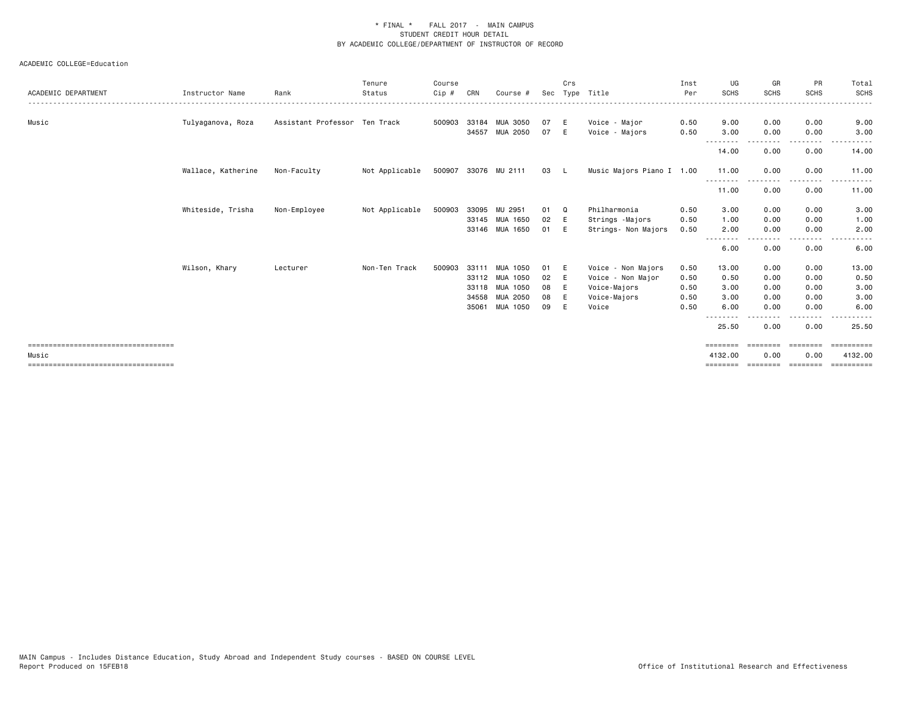| ACADEMIC DEPARTMENT                   | Instructor Name    | Rank                          | Tenure<br>Status | Course<br>Cip # | CRN   | Course #             | Sec | Crs          | Type Title                | Inst<br>Per | UG<br><b>SCHS</b>  | GR<br><b>SCHS</b> | PR<br><b>SCHS</b>       | Total<br><b>SCHS</b> |
|---------------------------------------|--------------------|-------------------------------|------------------|-----------------|-------|----------------------|-----|--------------|---------------------------|-------------|--------------------|-------------------|-------------------------|----------------------|
| Music                                 | Tulyaganova, Roza  | Assistant Professor Ten Track |                  | 500903          | 33184 | <b>MUA 3050</b>      | 07  | E            | Voice - Major             | 0.50        | 9.00               | 0.00              | 0.00                    | 9.00                 |
|                                       |                    |                               |                  |                 | 34557 | MUA 2050             | 07  | E            | Voice - Majors            | 0.50        | 3.00               | 0.00              | 0.00                    | 3.00                 |
|                                       |                    |                               |                  |                 |       |                      |     |              |                           |             | 14.00              | 0.00              | 0.00                    | 14.00                |
|                                       | Wallace, Katherine | Non-Faculty                   | Not Applicable   |                 |       | 500907 33076 MU 2111 | 03  | $\mathbf{L}$ | Music Majors Piano I 1.00 |             | 11.00<br>--------- | 0.00              | 0.00<br>- - - - - - - - | 11.00<br>.           |
|                                       |                    |                               |                  |                 |       |                      |     |              |                           |             | 11.00              | 0.00              | 0.00                    | 11.00                |
|                                       | Whiteside, Trisha  | Non-Employee                  | Not Applicable   | 500903          | 33095 | MU 2951              | 01  | Q            | Philharmonia              | 0.50        | 3.00               | 0.00              | 0.00                    | 3.00                 |
|                                       |                    |                               |                  |                 |       | 33145 MUA 1650       | 02  | E            | Strings -Majors           | 0.50        | 1.00               | 0.00              | 0.00                    | 1.00                 |
|                                       |                    |                               |                  |                 |       | 33146 MUA 1650       | 01  | E            | Strings- Non Majors       | 0.50        | 2.00               | 0.00              | 0.00                    | 2.00                 |
|                                       |                    |                               |                  |                 |       |                      |     |              |                           |             | 6.00               | 0.00              | 0.00                    | 6.00                 |
|                                       | Wilson, Khary      | Lecturer                      | Non-Ten Track    | 500903          | 33111 | MUA 1050             | 01  | E            | Voice - Non Majors        | 0.50        | 13.00              | 0.00              | 0.00                    | 13.00                |
|                                       |                    |                               |                  |                 |       | 33112 MUA 1050       | 02  | E            | Voice - Non Major         | 0.50        | 0.50               | 0.00              | 0.00                    | 0.50                 |
|                                       |                    |                               |                  |                 |       | 33118 MUA 1050       | 08  | E            | Voice-Majors              | 0.50        | 3.00               | 0.00              | 0.00                    | 3.00                 |
|                                       |                    |                               |                  |                 | 34558 | MUA 2050             | 08  | E            | Voice-Majors              | 0.50        | 3.00               | 0.00              | 0.00                    | 3.00                 |
|                                       |                    |                               |                  |                 | 35061 | MUA 1050             | 09  | E            | Voice                     | 0.50        | 6.00               | 0.00              | 0.00                    | 6.00                 |
|                                       |                    |                               |                  |                 |       |                      |     |              |                           |             | $-$<br>25.50       | 0.00              | 0.00                    | 25.50                |
| ===================================== |                    |                               |                  |                 |       |                      |     |              |                           |             | ========           | ========          | ========                | ==========           |
| Music                                 |                    |                               |                  |                 |       |                      |     |              |                           |             | 4132.00            | 0.00              | 0.00                    | 4132.00              |
| ====================================  |                    |                               |                  |                 |       |                      |     |              |                           |             | ========           | ========          | ---------               | ==========           |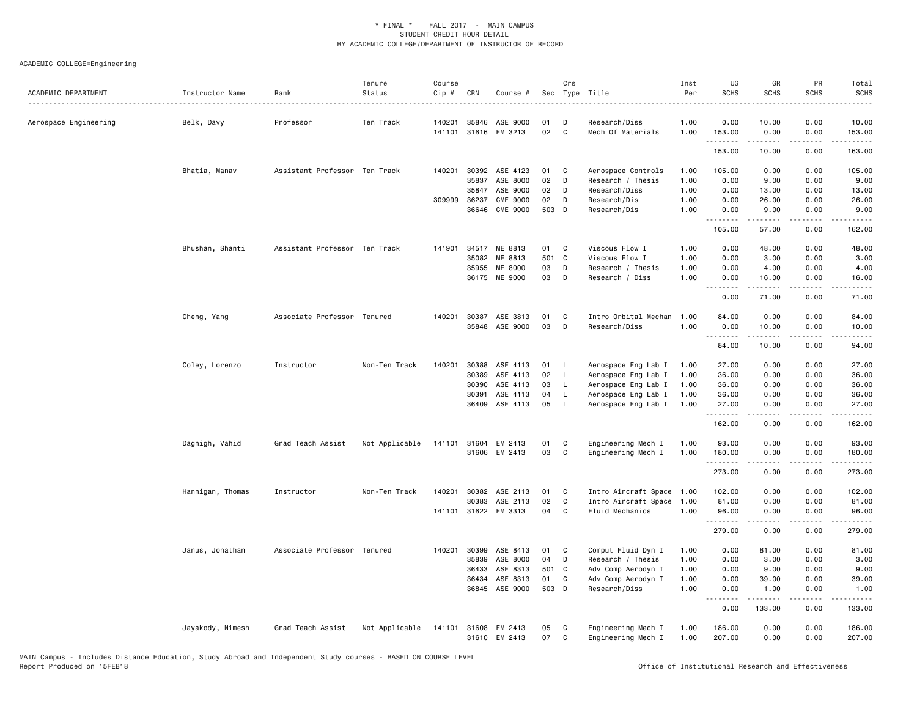| ACADEMIC DEPARTMENT   | Instructor Name  | Rank                          | Tenure<br>Status | Course<br>Cip # | CRN          | Course #             |       | Crs          | Sec Type Title       | Inst<br>Per | UG<br><b>SCHS</b>  | GR<br><b>SCHS</b>                                                                                                                                             | PR<br><b>SCHS</b>            | Total<br><b>SCHS</b>                                                                                                                                                                                                                                                                                                                           |
|-----------------------|------------------|-------------------------------|------------------|-----------------|--------------|----------------------|-------|--------------|----------------------|-------------|--------------------|---------------------------------------------------------------------------------------------------------------------------------------------------------------|------------------------------|------------------------------------------------------------------------------------------------------------------------------------------------------------------------------------------------------------------------------------------------------------------------------------------------------------------------------------------------|
| Aerospace Engineering | Belk, Davy       | Professor                     | Ten Track        | 140201          | 35846        | ASE 9000             | 01    | D            | Research/Diss        | 1.00        | 0.00               | 10.00                                                                                                                                                         | 0.00                         | 10.00                                                                                                                                                                                                                                                                                                                                          |
|                       |                  |                               |                  |                 |              | 141101 31616 EM 3213 | 02    | C            | Mech Of Materials    | 1.00        | 153.00<br>.        | 0.00                                                                                                                                                          | 0.00<br>$\sim$ $\sim$ $\sim$ | 153.00<br>.                                                                                                                                                                                                                                                                                                                                    |
|                       |                  |                               |                  |                 |              |                      |       |              |                      |             | 153.00             | 10.00                                                                                                                                                         | 0.00                         | 163.00                                                                                                                                                                                                                                                                                                                                         |
|                       | Bhatia, Manav    | Assistant Professor Ten Track |                  |                 | 140201 30392 | ASE 4123             | 01    | C            | Aerospace Controls   | 1.00        | 105.00             | 0.00                                                                                                                                                          | 0.00                         | 105.00                                                                                                                                                                                                                                                                                                                                         |
|                       |                  |                               |                  |                 | 35837        | ASE 8000             | 02    | D            | Research / Thesis    | 1.00        | 0.00               | 9.00                                                                                                                                                          | 0.00                         | 9.00                                                                                                                                                                                                                                                                                                                                           |
|                       |                  |                               |                  |                 | 35847        | ASE 9000             | 02    | D            | Research/Diss        | 1.00        | 0.00               | 13.00                                                                                                                                                         | 0.00                         | 13.00                                                                                                                                                                                                                                                                                                                                          |
|                       |                  |                               |                  | 309999          | 36237        | <b>CME 9000</b>      | 02    | D            | Research/Dis         | 1.00        | 0.00               | 26.00                                                                                                                                                         | 0.00                         | 26.00                                                                                                                                                                                                                                                                                                                                          |
|                       |                  |                               |                  |                 | 36646        | CME 9000             | 503   | D            | Research/Dis         | 1.00        | 0.00<br>.          | 9.00<br>$\frac{1}{2} \left( \frac{1}{2} \right) \left( \frac{1}{2} \right) \left( \frac{1}{2} \right) \left( \frac{1}{2} \right) \left( \frac{1}{2} \right)$  | 0.00<br>.                    | 9.00<br>.                                                                                                                                                                                                                                                                                                                                      |
|                       |                  |                               |                  |                 |              |                      |       |              |                      |             | 105.00             | 57.00                                                                                                                                                         | 0.00                         | 162.00                                                                                                                                                                                                                                                                                                                                         |
|                       | Bhushan, Shanti  | Assistant Professor Ten Track |                  | 141901          | 34517        | ME 8813              | 01    | C            | Viscous Flow I       | 1.00        | 0.00               | 48.00                                                                                                                                                         | 0.00                         | 48.00                                                                                                                                                                                                                                                                                                                                          |
|                       |                  |                               |                  |                 | 35082        | ME 8813              | 501 C |              | Viscous Flow I       | 1.00        | 0.00               | 3.00                                                                                                                                                          | 0.00                         | 3.00                                                                                                                                                                                                                                                                                                                                           |
|                       |                  |                               |                  |                 | 35955        | ME 8000              | 03    | D            | Research / Thesis    | 1.00        | 0.00               | 4.00                                                                                                                                                          | 0.00                         | 4.00                                                                                                                                                                                                                                                                                                                                           |
|                       |                  |                               |                  |                 |              | 36175 ME 9000        | 03    | D            | Research / Diss      | 1.00        | 0.00<br>. <b>.</b> | 16.00<br>.                                                                                                                                                    | 0.00<br>.                    | 16.00<br>.                                                                                                                                                                                                                                                                                                                                     |
|                       |                  |                               |                  |                 |              |                      |       |              |                      |             | 0.00               | 71.00                                                                                                                                                         | 0.00                         | 71.00                                                                                                                                                                                                                                                                                                                                          |
|                       | Cheng, Yang      | Associate Professor Tenured   |                  | 140201          |              | 30387 ASE 3813       | 01    | C            | Intro Orbital Mechan | 1.00        | 84.00              | 0.00                                                                                                                                                          | 0.00                         | 84.00                                                                                                                                                                                                                                                                                                                                          |
|                       |                  |                               |                  |                 |              | 35848 ASE 9000       | 03    | D            | Research/Diss        | 1.00        | 0.00               | 10.00                                                                                                                                                         | 0.00                         | 10.00                                                                                                                                                                                                                                                                                                                                          |
|                       |                  |                               |                  |                 |              |                      |       |              |                      |             | .<br>84.00         | $\frac{1}{2} \left( \frac{1}{2} \right) \left( \frac{1}{2} \right) \left( \frac{1}{2} \right) \left( \frac{1}{2} \right) \left( \frac{1}{2} \right)$<br>10.00 | .<br>0.00                    | .<br>94.00                                                                                                                                                                                                                                                                                                                                     |
|                       | Coley, Lorenzo   | Instructor                    | Non-Ten Track    | 140201          | 30388        | ASE 4113             | 01    | L,           | Aerospace Eng Lab I  | 1.00        | 27.00              | 0.00                                                                                                                                                          | 0.00                         | 27.00                                                                                                                                                                                                                                                                                                                                          |
|                       |                  |                               |                  |                 | 30389        | ASE 4113             | 02    | L            | Aerospace Eng Lab I  | 1.00        | 36.00              | 0.00                                                                                                                                                          | 0.00                         | 36.00                                                                                                                                                                                                                                                                                                                                          |
|                       |                  |                               |                  |                 | 30390        | ASE 4113             | 03    | L            | Aerospace Eng Lab I  | 1.00        | 36.00              | 0.00                                                                                                                                                          | 0.00                         | 36.00                                                                                                                                                                                                                                                                                                                                          |
|                       |                  |                               |                  |                 | 30391        | ASE 4113             | 04    | $\mathsf{L}$ | Aerospace Eng Lab I  | 1.00        | 36.00              | 0.00                                                                                                                                                          | 0.00                         | 36.00                                                                                                                                                                                                                                                                                                                                          |
|                       |                  |                               |                  |                 | 36409        | ASE 4113             | 05    | $\mathsf{L}$ | Aerospace Eng Lab I  | 1.00        | 27.00<br>.         | 0.00<br>.                                                                                                                                                     | 0.00<br>.                    | 27.00                                                                                                                                                                                                                                                                                                                                          |
|                       |                  |                               |                  |                 |              |                      |       |              |                      |             | 162.00             | 0.00                                                                                                                                                          | 0.00                         | 162.00                                                                                                                                                                                                                                                                                                                                         |
|                       | Daghigh, Vahid   | Grad Teach Assist             | Not Applicable   | 141101          | 31604        | EM 2413              | 01    | C            | Engineering Mech I   | 1.00        | 93.00              | 0.00                                                                                                                                                          | 0.00                         | 93.00                                                                                                                                                                                                                                                                                                                                          |
|                       |                  |                               |                  |                 | 31606        | EM 2413              | 03    | C            | Engineering Mech I   | 1.00        | 180.00             | 0.00                                                                                                                                                          | 0.00                         | 180.00                                                                                                                                                                                                                                                                                                                                         |
|                       |                  |                               |                  |                 |              |                      |       |              |                      |             | .<br>273.00        | -----<br>0.00                                                                                                                                                 | .<br>0.00                    | $\frac{1}{2} \left( \begin{array}{ccc} 1 & 0 & 0 & 0 \\ 0 & 0 & 0 & 0 \\ 0 & 0 & 0 & 0 \\ 0 & 0 & 0 & 0 \\ 0 & 0 & 0 & 0 \\ 0 & 0 & 0 & 0 \\ 0 & 0 & 0 & 0 \\ 0 & 0 & 0 & 0 \\ 0 & 0 & 0 & 0 \\ 0 & 0 & 0 & 0 \\ 0 & 0 & 0 & 0 & 0 \\ 0 & 0 & 0 & 0 & 0 \\ 0 & 0 & 0 & 0 & 0 \\ 0 & 0 & 0 & 0 & 0 \\ 0 & 0 & 0 & 0 & 0 \\ 0 & 0 & 0$<br>273.00 |
|                       | Hannigan, Thomas | Instructor                    | Non-Ten Track    | 140201          | 30382        | ASE 2113             | 01    | C            | Intro Aircraft Space | 1.00        | 102.00             | 0.00                                                                                                                                                          | 0.00                         | 102.00                                                                                                                                                                                                                                                                                                                                         |
|                       |                  |                               |                  |                 | 30383        | ASE 2113             | 02    | C            | Intro Aircraft Space | 1.00        | 81.00              | 0.00                                                                                                                                                          | 0.00                         | 81.00                                                                                                                                                                                                                                                                                                                                          |
|                       |                  |                               |                  |                 |              | 141101 31622 EM 3313 | 04    | C            | Fluid Mechanics      | 1.00        | 96.00              | 0.00                                                                                                                                                          | 0.00                         | 96.00                                                                                                                                                                                                                                                                                                                                          |
|                       |                  |                               |                  |                 |              |                      |       |              |                      |             | .<br>279.00        | $\frac{1}{2} \left( \frac{1}{2} \right) \left( \frac{1}{2} \right) \left( \frac{1}{2} \right) \left( \frac{1}{2} \right) \left( \frac{1}{2} \right)$<br>0.00  | $- - - -$<br>0.00            | $- - - - - -$<br>279.00                                                                                                                                                                                                                                                                                                                        |
|                       | Janus, Jonathan  | Associate Professor Tenured   |                  | 140201          | 30399        | ASE 8413             | 01    | C            | Comput Fluid Dyn I   | 1.00        | 0.00               | 81.00                                                                                                                                                         | 0.00                         | 81.00                                                                                                                                                                                                                                                                                                                                          |
|                       |                  |                               |                  |                 | 35839        | ASE 8000             | 04    | D            | Research / Thesis    | 1.00        | 0.00               | 3.00                                                                                                                                                          | 0.00                         | 3.00                                                                                                                                                                                                                                                                                                                                           |
|                       |                  |                               |                  |                 | 36433        | ASE 8313             | 501 C |              | Adv Comp Aerodyn I   | 1.00        | 0.00               | 9.00                                                                                                                                                          | 0.00                         | 9.00                                                                                                                                                                                                                                                                                                                                           |
|                       |                  |                               |                  |                 | 36434        | ASE 8313             | 01    | C            | Adv Comp Aerodyn I   | 1.00        | 0.00               | 39.00                                                                                                                                                         | 0.00                         | 39.00                                                                                                                                                                                                                                                                                                                                          |
|                       |                  |                               |                  |                 | 36845        | ASE 9000             | 503 D |              | Research/Diss        | 1.00        | 0.00               | 1.00                                                                                                                                                          | 0.00                         | 1.00                                                                                                                                                                                                                                                                                                                                           |
|                       |                  |                               |                  |                 |              |                      |       |              |                      |             | .<br>0.00          | . <b>.</b> .<br>133.00                                                                                                                                        | .<br>0.00                    | .<br>133.00                                                                                                                                                                                                                                                                                                                                    |
|                       | Jayakody, Nimesh | Grad Teach Assist             | Not Applicable   | 141101          | 31608        | EM 2413              | 05    | C            | Engineering Mech I   | 1.00        | 186.00             | 0.00                                                                                                                                                          | 0.00                         | 186.00                                                                                                                                                                                                                                                                                                                                         |
|                       |                  |                               |                  |                 |              | 31610 EM 2413        | 07    | C            | Engineering Mech I   | 1.00        | 207.00             | 0.00                                                                                                                                                          | 0.00                         | 207.00                                                                                                                                                                                                                                                                                                                                         |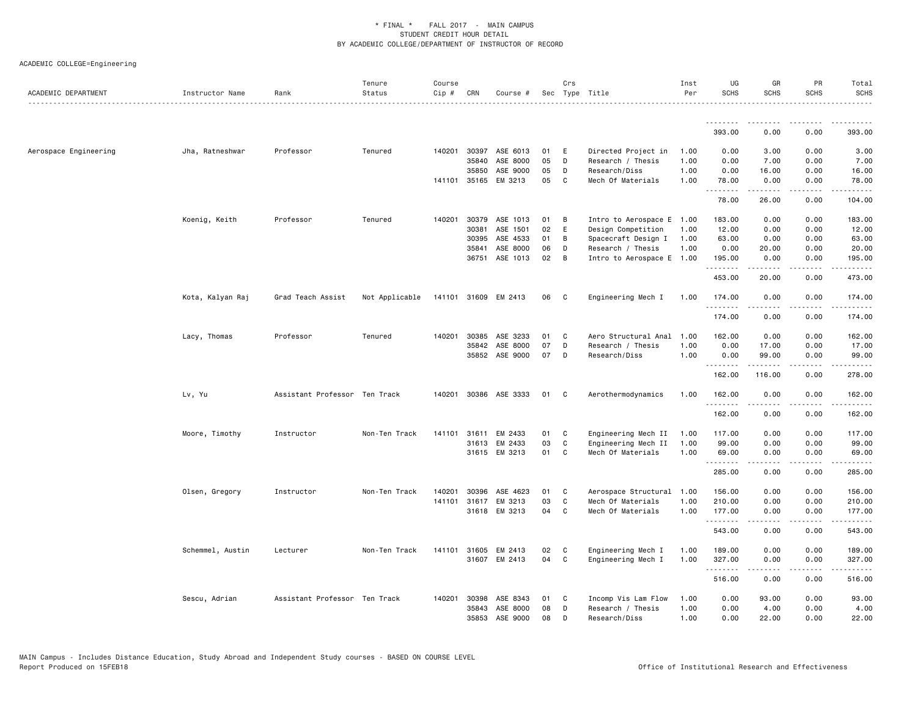| ACADEMIC DEPARTMENT   | Instructor Name  | Rank                          | Tenure<br>Status | Course<br>Cip # | CRN   | Course #              |    | Crs          | Sec Type Title                           | Inst<br>Per | UG<br><b>SCHS</b>  | GR<br><b>SCHS</b>                                                                                                                                            | PR<br><b>SCHS</b>     | Total<br><b>SCHS</b>    |
|-----------------------|------------------|-------------------------------|------------------|-----------------|-------|-----------------------|----|--------------|------------------------------------------|-------------|--------------------|--------------------------------------------------------------------------------------------------------------------------------------------------------------|-----------------------|-------------------------|
|                       |                  |                               |                  |                 |       |                       |    |              |                                          |             | <u>.</u>           |                                                                                                                                                              |                       |                         |
|                       |                  |                               |                  |                 |       |                       |    |              |                                          |             | 393.00             | 0.00                                                                                                                                                         | 0.00                  | 393.00                  |
| Aerospace Engineering | Jha, Ratneshwar  | Professor                     | Tenured          | 140201          | 30397 | ASE 6013              | 01 | E            | Directed Project in                      | 1.00        | 0.00               | 3.00                                                                                                                                                         | 0.00                  | 3.00                    |
|                       |                  |                               |                  |                 | 35840 | ASE 8000              | 05 | D            | Research / Thesis                        | 1.00        | 0.00               | 7.00                                                                                                                                                         | 0.00                  | 7.00                    |
|                       |                  |                               |                  |                 | 35850 | ASE 9000              | 05 | D            | Research/Diss                            | 1.00        | 0.00               | 16.00                                                                                                                                                        | 0.00                  | 16.00                   |
|                       |                  |                               |                  | 141101          | 35165 | EM 3213               | 05 | C            | Mech Of Materials                        | 1.00        | 78.00<br>.         | 0.00<br>$    -$                                                                                                                                              | 0.00<br>.             | 78.00<br>.              |
|                       |                  |                               |                  |                 |       |                       |    |              |                                          |             | 78.00              | 26.00                                                                                                                                                        | 0.00                  | 104.00                  |
|                       | Koenig, Keith    | Professor                     | Tenured          | 140201          | 30379 | ASE 1013              | 01 | B            | Intro to Aerospace E                     | 1.00        | 183.00             | 0.00                                                                                                                                                         | 0.00                  | 183.00                  |
|                       |                  |                               |                  |                 | 30381 | ASE 1501              | 02 | E            | Design Competition                       | 1.00        | 12.00              | 0.00                                                                                                                                                         | 0.00                  | 12.00                   |
|                       |                  |                               |                  |                 | 30395 | ASE 4533              | 01 | В            | Spacecraft Design I                      | 1.00        | 63.00              | 0.00                                                                                                                                                         | 0.00                  | 63.00                   |
|                       |                  |                               |                  |                 | 35841 | ASE 8000              | 06 | D            | Research / Thesis                        | 1.00        | 0.00               | 20.00                                                                                                                                                        | 0.00                  | 20.00                   |
|                       |                  |                               |                  |                 | 36751 | ASE 1013              | 02 | B            | Intro to Aerospace E                     | 1.00        | 195.00<br>.        | 0.00<br>-----                                                                                                                                                | 0.00<br>لأعامل        | 195.00<br>.             |
|                       |                  |                               |                  |                 |       |                       |    |              |                                          |             | 453.00             | 20.00                                                                                                                                                        | 0.00                  | 473.00                  |
|                       | Kota, Kalyan Raj | Grad Teach Assist             | Not Applicable   |                 |       | 141101 31609 EM 2413  | 06 | C            | Engineering Mech I                       | 1.00        | 174.00             | 0.00                                                                                                                                                         | 0.00                  | 174.00                  |
|                       |                  |                               |                  |                 |       |                       |    |              |                                          |             | .<br>174.00        | .<br>0.00                                                                                                                                                    | $\frac{1}{2}$<br>0.00 | .<br>174.00             |
|                       | Lacy, Thomas     | Professor                     | Tenured          | 140201          | 30385 | ASE 3233              | 01 | C            | Aero Structural Anal                     | 1.00        | 162.00             | 0.00                                                                                                                                                         | 0.00                  | 162.00                  |
|                       |                  |                               |                  |                 | 35842 | ASE 8000              | 07 | D            | Research / Thesis                        | 1.00        | 0.00               | 17.00                                                                                                                                                        | 0.00                  | 17.00                   |
|                       |                  |                               |                  |                 |       | 35852 ASE 9000        | 07 | D            | Research/Diss                            | 1.00        | 0.00               | 99.00                                                                                                                                                        | 0.00                  | 99.00                   |
|                       |                  |                               |                  |                 |       |                       |    |              |                                          |             | <u>.</u><br>162.00 | . <u>.</u><br>116.00                                                                                                                                         | $\frac{1}{2}$<br>0.00 | .<br>278.00             |
|                       | Lv, Yu           | Assistant Professor Ten Track |                  |                 |       | 140201 30386 ASE 3333 | 01 | C            | Aerothermodynamics                       | 1.00        | 162.00             | 0.00                                                                                                                                                         | 0.00                  | 162.00                  |
|                       |                  |                               |                  |                 |       |                       |    |              |                                          |             | .<br>162.00        | <u>.</u><br>0.00                                                                                                                                             | .<br>0.00             | $- - - - - -$<br>162.00 |
|                       | Moore, Timothy   | Instructor                    | Non-Ten Track    | 141101          | 31611 | EM 2433               | 01 | C            | Engineering Mech II                      | 1.00        | 117.00             | 0.00                                                                                                                                                         | 0.00                  | 117.00                  |
|                       |                  |                               |                  |                 | 31613 | EM 2433               | 03 | $\mathtt{C}$ | Engineering Mech II                      | 1.00        | 99.00              | 0.00                                                                                                                                                         | 0.00                  | 99.00                   |
|                       |                  |                               |                  |                 |       | 31615 EM 3213         | 01 | C            | Mech Of Materials                        | 1.00        | 69.00              | 0.00                                                                                                                                                         | 0.00                  | 69.00                   |
|                       |                  |                               |                  |                 |       |                       |    |              |                                          |             | .<br>285.00        | -----<br>0.00                                                                                                                                                | .<br>0.00             | .<br>285.00             |
|                       | Olsen, Gregory   | Instructor                    | Non-Ten Track    | 140201          | 30396 | ASE 4623              | 01 | C            | Aerospace Structural                     | 1.00        | 156.00             | 0.00                                                                                                                                                         | 0.00                  | 156.00                  |
|                       |                  |                               |                  | 141101          | 31617 | EM 3213               | 03 | $\mathtt{C}$ | Mech Of Materials                        | 1.00        | 210.00             | 0.00                                                                                                                                                         | 0.00                  | 210.00                  |
|                       |                  |                               |                  |                 |       | 31618 EM 3213         | 04 | C            | Mech Of Materials                        | 1.00        | 177.00             | 0.00                                                                                                                                                         | 0.00                  | 177.00                  |
|                       |                  |                               |                  |                 |       |                       |    |              |                                          |             | .<br>543.00        | $\frac{1}{2} \left( \frac{1}{2} \right) \left( \frac{1}{2} \right) \left( \frac{1}{2} \right) \left( \frac{1}{2} \right) \left( \frac{1}{2} \right)$<br>0.00 | .<br>0.00             | .<br>543.00             |
|                       |                  |                               |                  | 141101          | 31605 | EM 2413               | 02 | C            |                                          | 1.00        | 189.00             | 0.00                                                                                                                                                         | 0.00                  | 189.00                  |
|                       | Schemmel, Austin | Lecturer                      | Non-Ten Track    |                 |       | 31607 EM 2413         | 04 | C            | Engineering Mech I<br>Engineering Mech I | 1.00        | 327.00             | 0.00                                                                                                                                                         | 0.00                  | 327.00                  |
|                       |                  |                               |                  |                 |       |                       |    |              |                                          |             | .<br>516.00        | .<br>0.00                                                                                                                                                    | 0.00                  | $- - - - - -$<br>516.00 |
|                       | Sescu, Adrian    | Assistant Professor Ten Track |                  | 140201          | 30398 | ASE 8343              | 01 | C            | Incomp Vis Lam Flow                      | 1.00        | 0.00               | 93.00                                                                                                                                                        | 0.00                  | 93.00                   |
|                       |                  |                               |                  |                 | 35843 | ASE 8000              | 08 | D            | Research / Thesis                        | 1.00        | 0.00               | 4.00                                                                                                                                                         | 0.00                  | 4.00                    |
|                       |                  |                               |                  |                 | 35853 | ASE 9000              | 08 | D            | Research/Diss                            | 1.00        | 0.00               | 22.00                                                                                                                                                        | 0.00                  | 22.00                   |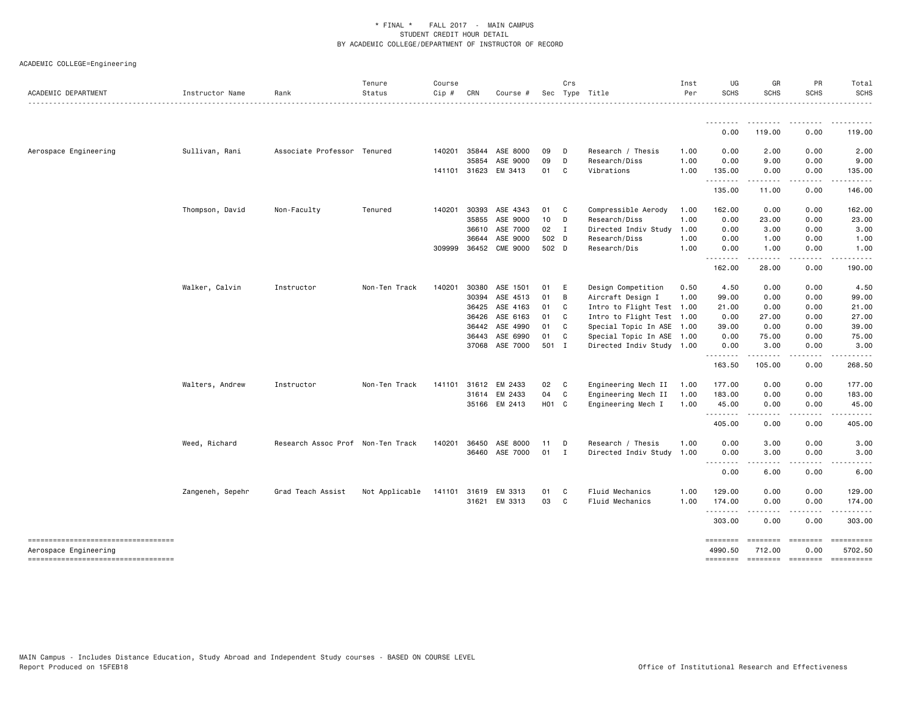| ACADEMIC DEPARTMENT                                          | Instructor Name  | Rank                              | Tenure<br>Status | Course<br>Cip # | CRN            | Course #           | Sec        | Crs            | Type Title                | Inst<br>Per  | UG<br><b>SCHS</b>                                                                                                         | GR<br><b>SCHS</b>                                                                                                                                             | PR<br><b>SCHS</b> | Total<br><b>SCHS</b>                                                                                                                                                                                                                                                                                                                                                                                                                                                                              |
|--------------------------------------------------------------|------------------|-----------------------------------|------------------|-----------------|----------------|--------------------|------------|----------------|---------------------------|--------------|---------------------------------------------------------------------------------------------------------------------------|---------------------------------------------------------------------------------------------------------------------------------------------------------------|-------------------|---------------------------------------------------------------------------------------------------------------------------------------------------------------------------------------------------------------------------------------------------------------------------------------------------------------------------------------------------------------------------------------------------------------------------------------------------------------------------------------------------|
|                                                              |                  |                                   |                  |                 |                |                    |            |                |                           |              | $\frac{1}{2} \left( \frac{1}{2} \right) \left( \frac{1}{2} \right) \left( \frac{1}{2} \right) \left( \frac{1}{2} \right)$ |                                                                                                                                                               |                   |                                                                                                                                                                                                                                                                                                                                                                                                                                                                                                   |
|                                                              |                  |                                   |                  |                 |                |                    |            |                |                           |              | 0.00                                                                                                                      | 119.00                                                                                                                                                        | 0.00              | 119.00                                                                                                                                                                                                                                                                                                                                                                                                                                                                                            |
| Aerospace Engineering                                        | Sullivan, Rani   | Associate Professor Tenured       |                  |                 | 140201 35844   | ASE 8000           | 09         | $\Box$         | Research / Thesis         | 1.00         | 0.00                                                                                                                      | 2.00                                                                                                                                                          | 0.00              | 2.00                                                                                                                                                                                                                                                                                                                                                                                                                                                                                              |
|                                                              |                  |                                   |                  |                 | 35854          | ASE 9000           | 09         | D              | Research/Diss             | 1.00         | 0.00                                                                                                                      | 9.00                                                                                                                                                          | 0.00              | 9.00                                                                                                                                                                                                                                                                                                                                                                                                                                                                                              |
|                                                              |                  |                                   |                  |                 | 141101 31623   | EM 3413            | 01         | $\mathbf{C}$   | Vibrations                | 1.00         | 135.00                                                                                                                    | 0.00                                                                                                                                                          | 0.00              | 135.00                                                                                                                                                                                                                                                                                                                                                                                                                                                                                            |
|                                                              |                  |                                   |                  |                 |                |                    |            |                |                           |              | .<br>135.00                                                                                                               | $- - - - -$<br>11.00                                                                                                                                          | .<br>0.00         | 146.00                                                                                                                                                                                                                                                                                                                                                                                                                                                                                            |
|                                                              | Thompson, David  | Non-Faculty                       | Tenured          | 140201          | 30393          | ASE 4343           | 01         | $\mathbf{C}$   | Compressible Aerody       | 1.00         | 162.00                                                                                                                    | 0.00                                                                                                                                                          | 0.00              | 162.00                                                                                                                                                                                                                                                                                                                                                                                                                                                                                            |
|                                                              |                  |                                   |                  |                 | 35855          | ASE 9000           | 10         | D              | Research/Diss             | 1.00         | 0.00                                                                                                                      | 23.00                                                                                                                                                         | 0.00              | 23.00                                                                                                                                                                                                                                                                                                                                                                                                                                                                                             |
|                                                              |                  |                                   |                  |                 | 36610          | ASE 7000           | 02 I       |                | Directed Indiv Study      | 1.00         | 0.00                                                                                                                      | 3.00                                                                                                                                                          | 0.00              | 3.00                                                                                                                                                                                                                                                                                                                                                                                                                                                                                              |
|                                                              |                  |                                   |                  |                 | 36644          | ASE 9000           | 502 D      |                | Research/Diss             | 1.00         | 0.00                                                                                                                      | 1.00                                                                                                                                                          | 0.00              | 1.00                                                                                                                                                                                                                                                                                                                                                                                                                                                                                              |
|                                                              |                  |                                   |                  |                 | 309999 36452   | <b>CME 9000</b>    | 502 D      |                | Research/Dis              | 1.00         | 0.00                                                                                                                      | 1.00                                                                                                                                                          | 0.00              | 1.00                                                                                                                                                                                                                                                                                                                                                                                                                                                                                              |
|                                                              |                  |                                   |                  |                 |                |                    |            |                |                           |              | .<br>162.00                                                                                                               | $\frac{1}{2} \left( \frac{1}{2} \right) \left( \frac{1}{2} \right) \left( \frac{1}{2} \right) \left( \frac{1}{2} \right) \left( \frac{1}{2} \right)$<br>28.00 | .<br>0.00         | 190.00                                                                                                                                                                                                                                                                                                                                                                                                                                                                                            |
|                                                              | Walker, Calvin   | Instructor                        | Non-Ten Track    | 140201          | 30380          | ASE 1501           | 01         | - E            | Design Competition        | 0.50         | 4.50                                                                                                                      | 0.00                                                                                                                                                          | 0.00              | 4.50                                                                                                                                                                                                                                                                                                                                                                                                                                                                                              |
|                                                              |                  |                                   |                  |                 | 30394          | ASE 4513           | 01         | B              | Aircraft Design I         | 1.00         | 99.00                                                                                                                     | 0.00                                                                                                                                                          | 0.00              | 99.00                                                                                                                                                                                                                                                                                                                                                                                                                                                                                             |
|                                                              |                  |                                   |                  |                 | 36425          | ASE 4163           | 01         | $\mathbf{C}$   | Intro to Flight Test 1.00 |              | 21.00                                                                                                                     | 0.00                                                                                                                                                          | 0.00              | 21.00                                                                                                                                                                                                                                                                                                                                                                                                                                                                                             |
|                                                              |                  |                                   |                  |                 | 36426          | ASE 6163           | 01         | $\mathbf{C}$   | Intro to Flight Test 1.00 |              | 0.00                                                                                                                      | 27.00                                                                                                                                                         | 0.00              | 27.00                                                                                                                                                                                                                                                                                                                                                                                                                                                                                             |
|                                                              |                  |                                   |                  |                 | 36442          | ASE 4990           | 01         | C.             | Special Topic In ASE 1.00 |              | 39.00                                                                                                                     | 0.00                                                                                                                                                          | 0.00              | 39.00                                                                                                                                                                                                                                                                                                                                                                                                                                                                                             |
|                                                              |                  |                                   |                  |                 | 36443          | ASE 6990           | 01         | C              | Special Topic In ASE 1.00 |              | 0.00                                                                                                                      | 75.00                                                                                                                                                         | 0.00              | 75.00                                                                                                                                                                                                                                                                                                                                                                                                                                                                                             |
|                                                              |                  |                                   |                  |                 | 37068          | ASE 7000           | 501 I      |                | Directed Indiv Study 1.00 |              | 0.00                                                                                                                      | 3.00                                                                                                                                                          | 0.00              | 3.00                                                                                                                                                                                                                                                                                                                                                                                                                                                                                              |
|                                                              |                  |                                   |                  |                 |                |                    |            |                |                           |              | .<br>163.50                                                                                                               | .<br>105.00                                                                                                                                                   | .<br>0.00         | 268.50                                                                                                                                                                                                                                                                                                                                                                                                                                                                                            |
|                                                              |                  |                                   |                  |                 |                |                    |            |                |                           |              |                                                                                                                           |                                                                                                                                                               |                   |                                                                                                                                                                                                                                                                                                                                                                                                                                                                                                   |
|                                                              | Walters, Andrew  | Instructor                        | Non-Ten Track    | 141101          | 31612<br>31614 | EM 2433<br>EM 2433 | 02 C<br>04 | $\mathbf{C}$   | Engineering Mech II       | 1.00<br>1.00 | 177.00<br>183.00                                                                                                          | 0.00<br>0.00                                                                                                                                                  | 0.00<br>0.00      | 177.00<br>183.00                                                                                                                                                                                                                                                                                                                                                                                                                                                                                  |
|                                                              |                  |                                   |                  |                 |                |                    |            |                | Engineering Mech II       | 1.00         |                                                                                                                           |                                                                                                                                                               |                   | 45.00                                                                                                                                                                                                                                                                                                                                                                                                                                                                                             |
|                                                              |                  |                                   |                  |                 |                | 35166 EM 2413      | H01 C      |                | Engineering Mech I        |              | 45.00<br>.                                                                                                                | 0.00<br>.                                                                                                                                                     | 0.00<br>.         |                                                                                                                                                                                                                                                                                                                                                                                                                                                                                                   |
|                                                              |                  |                                   |                  |                 |                |                    |            |                |                           |              | 405.00                                                                                                                    | 0.00                                                                                                                                                          | 0.00              | 405.00                                                                                                                                                                                                                                                                                                                                                                                                                                                                                            |
|                                                              | Weed, Richard    | Research Assoc Prof Non-Ten Track |                  | 140201          | 36450          | ASE 8000           | 11         | D              | Research / Thesis         | 1.00         | 0.00                                                                                                                      | 3.00                                                                                                                                                          | 0.00              | 3.00                                                                                                                                                                                                                                                                                                                                                                                                                                                                                              |
|                                                              |                  |                                   |                  |                 |                | 36460 ASE 7000     | 01         | $\blacksquare$ | Directed Indiv Study 1.00 |              | 0.00                                                                                                                      | 3.00                                                                                                                                                          | 0.00              | 3.00                                                                                                                                                                                                                                                                                                                                                                                                                                                                                              |
|                                                              |                  |                                   |                  |                 |                |                    |            |                |                           |              | $\sim$ $\sim$ $\sim$<br>0.00                                                                                              | 6.00                                                                                                                                                          | 0.00              | 6.00                                                                                                                                                                                                                                                                                                                                                                                                                                                                                              |
|                                                              | Zangeneh, Sepehr | Grad Teach Assist                 | Not Applicable   | 141101          | 31619          | EM 3313            | 01         | C.             | Fluid Mechanics           | 1.00         | 129.00                                                                                                                    | 0.00                                                                                                                                                          | 0.00              | 129.00                                                                                                                                                                                                                                                                                                                                                                                                                                                                                            |
|                                                              |                  |                                   |                  |                 | 31621          | EM 3313            | 03         | C              | Fluid Mechanics           | 1.00         | 174.00                                                                                                                    | 0.00                                                                                                                                                          | 0.00              | 174.00                                                                                                                                                                                                                                                                                                                                                                                                                                                                                            |
|                                                              |                  |                                   |                  |                 |                |                    |            |                |                           |              | . <b>.</b><br>303.00                                                                                                      | .<br>0.00                                                                                                                                                     | $\cdots$<br>0.00  | <u>.</u><br>303.00                                                                                                                                                                                                                                                                                                                                                                                                                                                                                |
| -----------------------------------<br>Aerospace Engineering |                  |                                   |                  |                 |                |                    |            |                |                           |              | ========<br>4990.50                                                                                                       | ========<br>712.00                                                                                                                                            | ========<br>0.00  | $\begin{array}{cccccccccc} \multicolumn{2}{c}{} & \multicolumn{2}{c}{} & \multicolumn{2}{c}{} & \multicolumn{2}{c}{} & \multicolumn{2}{c}{} & \multicolumn{2}{c}{} & \multicolumn{2}{c}{} & \multicolumn{2}{c}{} & \multicolumn{2}{c}{} & \multicolumn{2}{c}{} & \multicolumn{2}{c}{} & \multicolumn{2}{c}{} & \multicolumn{2}{c}{} & \multicolumn{2}{c}{} & \multicolumn{2}{c}{} & \multicolumn{2}{c}{} & \multicolumn{2}{c}{} & \multicolumn{2}{c}{} & \multicolumn{2}{c}{} & \mult$<br>5702.50 |
| ----------------------------------                           |                  |                                   |                  |                 |                |                    |            |                |                           |              | ========                                                                                                                  | $=$ ========                                                                                                                                                  | <b>ESSESSE</b>    | ==========                                                                                                                                                                                                                                                                                                                                                                                                                                                                                        |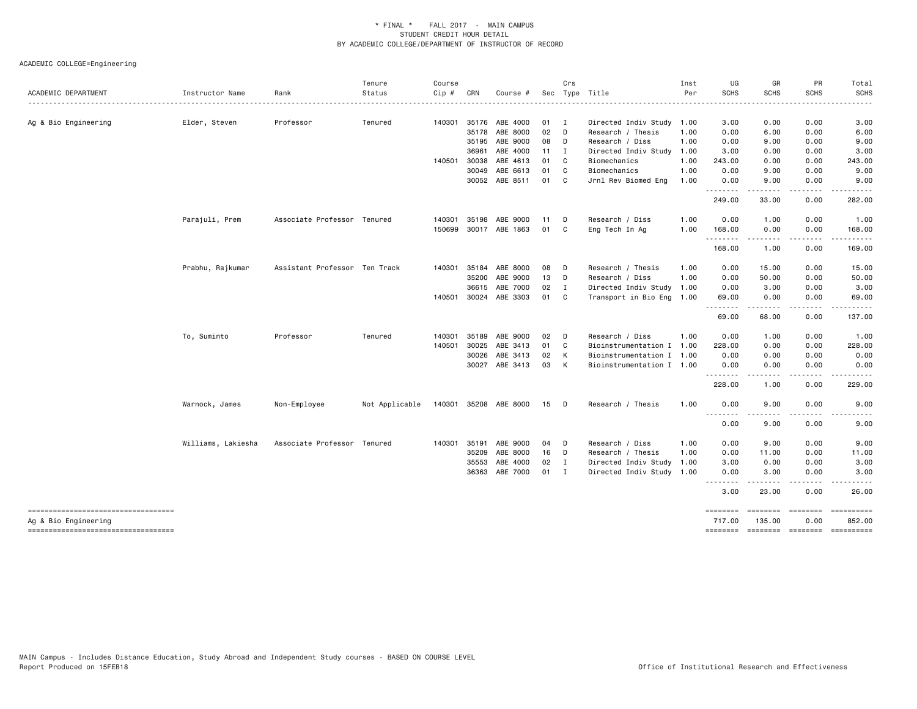| ACADEMIC DEPARTMENT                                        | Instructor Name    | Rank                          | Tenure<br>Status | Course<br>Cip # | CRN   | Course #       | Sec | Crs            | Type Title                | Inst<br>Per | UG<br><b>SCHS</b> | GR<br><b>SCHS</b>                                                                                                                                            | PR<br><b>SCHS</b> | Total<br><b>SCHS</b>                          |
|------------------------------------------------------------|--------------------|-------------------------------|------------------|-----------------|-------|----------------|-----|----------------|---------------------------|-------------|-------------------|--------------------------------------------------------------------------------------------------------------------------------------------------------------|-------------------|-----------------------------------------------|
|                                                            |                    |                               |                  |                 |       |                |     |                |                           |             |                   |                                                                                                                                                              |                   | <u>.</u>                                      |
| Ag & Bio Engineering                                       | Elder, Steven      | Professor                     | Tenured          | 140301          |       | 35176 ABE 4000 | 01  | $\blacksquare$ | Directed Indiv Study      | 1.00        | 3.00              | 0.00                                                                                                                                                         | 0.00              | 3.00                                          |
|                                                            |                    |                               |                  |                 | 35178 | ABE 8000       | 02  | D              | Research / Thesis         | 1.00        | 0.00              | 6.00                                                                                                                                                         | 0.00              | 6.00                                          |
|                                                            |                    |                               |                  |                 | 35195 | ABE 9000       | 08  | D              | Research / Diss           | 1.00        | 0.00              | 9.00                                                                                                                                                         | 0.00              | 9.00                                          |
|                                                            |                    |                               |                  |                 | 36961 | ABE 4000       | 11  | I              | Directed Indiv Study      | 1.00        | 3.00              | 0.00                                                                                                                                                         | 0.00              | 3.00                                          |
|                                                            |                    |                               |                  | 140501          | 30038 | ABE 4613       | 01  | C              | Biomechanics              | 1.00        | 243.00            | 0.00                                                                                                                                                         | 0.00              | 243.00                                        |
|                                                            |                    |                               |                  |                 | 30049 | ABE 6613       | 01  | C              | Biomechanics              | 1.00        | 0.00              | 9.00                                                                                                                                                         | 0.00              | 9.00                                          |
|                                                            |                    |                               |                  |                 |       | 30052 ABE 8511 | 01  | C              | Jrnl Rev Biomed Eng       | 1.00        | 0.00<br>.         | 9.00<br>-----                                                                                                                                                | 0.00<br>.         | 9.00<br>.                                     |
|                                                            |                    |                               |                  |                 |       |                |     |                |                           |             | 249.00            | 33.00                                                                                                                                                        | 0.00              | 282.00                                        |
|                                                            | Parajuli, Prem     | Associate Professor Tenured   |                  | 140301          | 35198 | ABE 9000       | 11  | D              | Research / Diss           | 1.00        | 0.00              | 1.00                                                                                                                                                         | 0.00              | 1.00                                          |
|                                                            |                    |                               |                  | 150699          |       | 30017 ABE 1863 | 01  | C              | Eng Tech In Ag            | 1.00        | 168.00<br>.       | 0.00<br>$\frac{1}{2} \left( \frac{1}{2} \right) \left( \frac{1}{2} \right) \left( \frac{1}{2} \right) \left( \frac{1}{2} \right) \left( \frac{1}{2} \right)$ | 0.00<br>.         | 168.00<br>.                                   |
|                                                            |                    |                               |                  |                 |       |                |     |                |                           |             | 168.00            | 1.00                                                                                                                                                         | 0.00              | 169.00                                        |
|                                                            | Prabhu, Rajkumar   | Assistant Professor Ten Track |                  | 140301          | 35184 | ABE 8000       | 08  | D              | Research / Thesis         | 1.00        | 0.00              | 15.00                                                                                                                                                        | 0.00              | 15.00                                         |
|                                                            |                    |                               |                  |                 | 35200 | ABE 9000       | 13  | D              | Research / Diss           | 1.00        | 0.00              | 50.00                                                                                                                                                        | 0.00              | 50.00                                         |
|                                                            |                    |                               |                  |                 | 36615 | ABE 7000       | 02  | $\mathbf{I}$   | Directed Indiv Study      | 1.00        | 0.00              | 3.00                                                                                                                                                         | 0.00              | 3.00                                          |
|                                                            |                    |                               |                  | 140501          |       | 30024 ABE 3303 | 01  | C              | Transport in Bio Eng 1.00 |             | 69.00             | 0.00                                                                                                                                                         | 0.00              | 69.00<br>$\frac{1}{2}$                        |
|                                                            |                    |                               |                  |                 |       |                |     |                |                           |             | .<br>69.00        | 68.00                                                                                                                                                        | ----<br>0.00      | 137.00                                        |
|                                                            | To, Suminto        | Professor                     | Tenured          | 140301          | 35189 | ABE 9000       | 02  | D              | Research / Diss           | 1.00        | 0.00              | 1.00                                                                                                                                                         | 0.00              | 1.00                                          |
|                                                            |                    |                               |                  | 140501          | 30025 | ABE 3413       | 01  | C              | Bioinstrumentation I 1.00 |             | 228.00            | 0.00                                                                                                                                                         | 0.00              | 228.00                                        |
|                                                            |                    |                               |                  |                 | 30026 | ABE 3413       | 02  | к              | Bioinstrumentation I 1.00 |             | 0.00              | 0.00                                                                                                                                                         | 0.00              | 0.00                                          |
|                                                            |                    |                               |                  |                 | 30027 | ABE 3413       | 03  | К              | Bioinstrumentation I 1.00 |             | 0.00<br><u>.</u>  | 0.00<br>$\frac{1}{2}$                                                                                                                                        | 0.00<br>- - - -   | 0.00<br>$- - - - -$                           |
|                                                            |                    |                               |                  |                 |       |                |     |                |                           |             | 228.00            | 1.00                                                                                                                                                         | 0.00              | 229.00                                        |
|                                                            | Warnock, James     | Non-Employee                  | Not Applicable   | 140301          |       | 35208 ABE 8000 | 15  | D              | Research / Thesis         | 1.00        | 0.00<br>--------  | 9.00                                                                                                                                                         | 0.00<br>$   -$    | 9.00                                          |
|                                                            |                    |                               |                  |                 |       |                |     |                |                           |             | 0.00              | 9.00                                                                                                                                                         | 0.00              | 9.00                                          |
|                                                            | Williams, Lakiesha | Associate Professor Tenured   |                  | 140301          | 35191 | ABE 9000       | 04  | D              | Research / Diss           | 1.00        | 0.00              | 9.00                                                                                                                                                         | 0.00              | 9.00                                          |
|                                                            |                    |                               |                  |                 | 35209 | ABE 8000       | 16  | D              | Research / Thesis         | 1.00        | 0.00              | 11.00                                                                                                                                                        | 0.00              | 11.00                                         |
|                                                            |                    |                               |                  |                 | 35553 | ABE 4000       | 02  | I              | Directed Indiv Study      | 1.00        | 3.00              | 0.00                                                                                                                                                         | 0.00              | 3.00                                          |
|                                                            |                    |                               |                  |                 | 36363 | ABE 7000       | 01  | I              | Directed Indiv Study 1.00 |             | 0.00<br>.         | 3.00                                                                                                                                                         | 0.00<br>.         | 3.00<br>$\frac{1}{2}$                         |
|                                                            |                    |                               |                  |                 |       |                |     |                |                           |             | 3.00              | 23.00                                                                                                                                                        | 0.00              | 26.00                                         |
| ----------------------------------                         |                    |                               |                  |                 |       |                |     |                |                           |             | ========          | ========                                                                                                                                                     | $= 222222222$     |                                               |
| Ag & Bio Engineering<br>---------------------------------- |                    |                               |                  |                 |       |                |     |                |                           |             | 717.00            | 135,00                                                                                                                                                       | 0.00              | 852.00<br>-------- ------- -------- --------- |
|                                                            |                    |                               |                  |                 |       |                |     |                |                           |             |                   |                                                                                                                                                              |                   |                                               |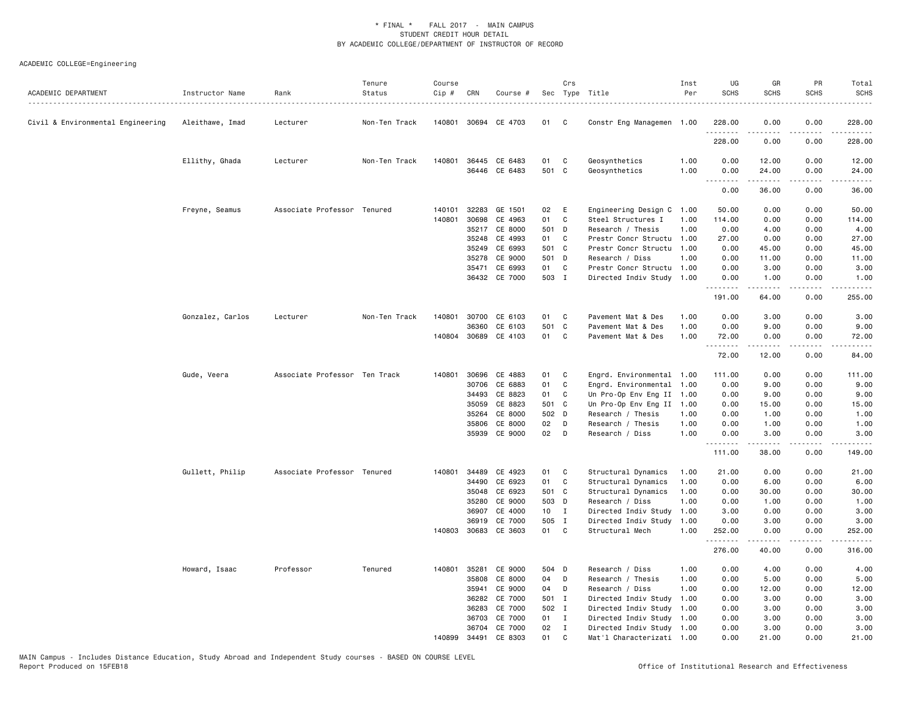| ACADEMIC DEPARTMENT               | Instructor Name<br>. | Rank                          | Tenure<br>Status | Course<br>Cip # | CRN   | Course #             |        | Crs          | Sec Type Title            | Inst<br>Per | UG<br><b>SCHS</b> | GR<br><b>SCHS</b>                                                                                                                                             | PR<br><b>SCHS</b>                   | Total<br><b>SCHS</b>                                                                                                                                           |
|-----------------------------------|----------------------|-------------------------------|------------------|-----------------|-------|----------------------|--------|--------------|---------------------------|-------------|-------------------|---------------------------------------------------------------------------------------------------------------------------------------------------------------|-------------------------------------|----------------------------------------------------------------------------------------------------------------------------------------------------------------|
| Civil & Environmental Engineering | Aleithawe, Imad      | Lecturer                      | Non-Ten Track    |                 |       | 140801 30694 CE 4703 | 01     | C            | Constr Eng Managemen 1.00 |             | 228.00            | 0.00                                                                                                                                                          | 0.00                                | 228.00                                                                                                                                                         |
|                                   |                      |                               |                  |                 |       |                      |        |              |                           |             | .<br>228.00       | .<br>0.00                                                                                                                                                     | $\frac{1}{2}$<br>0.00               | $\frac{1}{2} \left( \frac{1}{2} \right) \left( \frac{1}{2} \right) \left( \frac{1}{2} \right) \left( \frac{1}{2} \right) \left( \frac{1}{2} \right)$<br>228.00 |
|                                   | Ellithy, Ghada       | Lecturer                      | Non-Ten Track    | 140801          | 36445 | CE 6483              | 01     | C            | Geosynthetics             | 1.00        | 0.00              | 12.00                                                                                                                                                         | 0.00                                | 12.00                                                                                                                                                          |
|                                   |                      |                               |                  |                 |       | 36446 CE 6483        | 501 C  |              | Geosynthetics             | 1.00        | 0.00<br>.         | 24.00<br>2.2.2.2.2                                                                                                                                            | 0.00<br>.                           | 24.00<br>.                                                                                                                                                     |
|                                   |                      |                               |                  |                 |       |                      |        |              |                           |             | 0.00              | 36.00                                                                                                                                                         | 0.00                                | 36.00                                                                                                                                                          |
|                                   | Freyne, Seamus       | Associate Professor Tenured   |                  | 140101          | 32283 | GE 1501              | 02     | E            | Engineering Design C 1.00 |             | 50.00             | 0.00                                                                                                                                                          | 0.00                                | 50.00                                                                                                                                                          |
|                                   |                      |                               |                  | 140801          | 30698 | CE 4963              | 01     | C            | Steel Structures I        | 1.00        | 114.00            | 0.00                                                                                                                                                          | 0.00                                | 114.00                                                                                                                                                         |
|                                   |                      |                               |                  |                 | 35217 | CE 8000              | 501    | D            | Research / Thesis         | 1.00        | 0.00              | 4.00                                                                                                                                                          | 0.00                                | 4.00                                                                                                                                                           |
|                                   |                      |                               |                  |                 | 35248 | CE 4993              | 01     | C            | Prestr Concr Structu 1.00 |             | 27.00             | 0.00                                                                                                                                                          | 0.00                                | 27.00                                                                                                                                                          |
|                                   |                      |                               |                  |                 | 35249 | CE 6993              | 501 C  |              | Prestr Concr Structu      | 1.00        | 0.00              | 45.00                                                                                                                                                         | 0.00                                | 45.00                                                                                                                                                          |
|                                   |                      |                               |                  |                 | 35278 | CE 9000              | 501 D  |              | Research / Diss           | 1.00        | 0.00              | 11.00                                                                                                                                                         | 0.00                                | 11.00                                                                                                                                                          |
|                                   |                      |                               |                  |                 | 35471 | CE 6993              | 01     | C            | Prestr Concr Structu 1.00 |             | 0.00              | 3.00                                                                                                                                                          | 0.00                                | 3.00                                                                                                                                                           |
|                                   |                      |                               |                  |                 | 36432 | CE 7000              | 503 I  |              | Directed Indiv Study 1.00 |             | 0.00<br>.         | 1.00<br>المتمام المتعاد                                                                                                                                       | 0.00<br>.                           | 1.00<br>.                                                                                                                                                      |
|                                   |                      |                               |                  |                 |       |                      |        |              |                           |             | 191.00            | 64.00                                                                                                                                                         | 0.00                                | 255.00                                                                                                                                                         |
|                                   | Gonzalez, Carlos     | Lecturer                      | Non-Ten Track    | 140801          | 30700 | CE 6103              | 01     | C            | Pavement Mat & Des        | 1.00        | 0.00              | 3.00                                                                                                                                                          | 0.00                                | 3.00                                                                                                                                                           |
|                                   |                      |                               |                  |                 | 36360 | CE 6103              | 501 C  |              | Pavement Mat & Des        | 1.00        | 0.00              | 9.00                                                                                                                                                          | 0.00                                | 9.00                                                                                                                                                           |
|                                   |                      |                               |                  |                 |       | 140804 30689 CE 4103 | 01     | C            | Pavement Mat & Des        | 1.00        | 72.00             | 0.00                                                                                                                                                          | 0.00                                | 72.00                                                                                                                                                          |
|                                   |                      |                               |                  |                 |       |                      |        |              |                           |             | .<br>72.00        | . <u>.</u><br>12.00                                                                                                                                           | .<br>0.00                           | .<br>84.00                                                                                                                                                     |
|                                   | Gude, Veera          | Associate Professor Ten Track |                  | 140801          | 30696 | CE 4883              | 01     | C            | Engrd. Environmental 1.00 |             | 111.00            | 0.00                                                                                                                                                          | 0.00                                | 111.00                                                                                                                                                         |
|                                   |                      |                               |                  |                 | 30706 | CE 6883              | 01     | C            | Engrd. Environmental      | 1.00        | 0.00              | 9.00                                                                                                                                                          | 0.00                                | 9.00                                                                                                                                                           |
|                                   |                      |                               |                  |                 | 34493 | CE 8823              | 01     | C            | Un Pro-Op Env Eng II 1.00 |             | 0.00              | 9.00                                                                                                                                                          | 0.00                                | 9.00                                                                                                                                                           |
|                                   |                      |                               |                  |                 | 35059 | CE 8823              | 501 C  |              | Un Pro-Op Env Eng II      | 1.00        | 0.00              | 15.00                                                                                                                                                         | 0.00                                | 15.00                                                                                                                                                          |
|                                   |                      |                               |                  |                 | 35264 | CE 8000              | 502 D  |              | Research / Thesis         | 1.00        | 0.00              | 1.00                                                                                                                                                          | 0.00                                | 1.00                                                                                                                                                           |
|                                   |                      |                               |                  |                 | 35806 | CE 8000              | 02     | D            | Research / Thesis         | 1.00        | 0.00              | 1.00                                                                                                                                                          | 0.00                                | 1.00                                                                                                                                                           |
|                                   |                      |                               |                  |                 | 35939 | CE 9000              | 02     | D            | Research / Diss           | 1.00        | 0.00              | 3.00                                                                                                                                                          | 0.00                                | 3.00<br>.                                                                                                                                                      |
|                                   |                      |                               |                  |                 |       |                      |        |              |                           |             | .<br>111.00       | $\frac{1}{2} \left( \frac{1}{2} \right) \left( \frac{1}{2} \right) \left( \frac{1}{2} \right) \left( \frac{1}{2} \right) \left( \frac{1}{2} \right)$<br>38.00 | $\sim$ $\sim$ $\sim$ $\sim$<br>0.00 | 149.00                                                                                                                                                         |
|                                   | Gullett, Philip      | Associate Professor Tenured   |                  | 140801          | 34489 | CE 4923              | 01     | C            | Structural Dynamics       | 1.00        | 21.00             | 0.00                                                                                                                                                          | 0.00                                | 21.00                                                                                                                                                          |
|                                   |                      |                               |                  |                 | 34490 | CE 6923              | 01     | C            | Structural Dynamics       | 1.00        | 0.00              | 6.00                                                                                                                                                          | 0.00                                | 6.00                                                                                                                                                           |
|                                   |                      |                               |                  |                 | 35048 | CE 6923              | 501 C  |              | Structural Dynamics       | 1.00        | 0.00              | 30.00                                                                                                                                                         | 0.00                                | 30.00                                                                                                                                                          |
|                                   |                      |                               |                  |                 | 35280 | CE 9000              | 503 D  |              | Research / Diss           | 1.00        | 0.00              | 1.00                                                                                                                                                          | 0.00                                | 1.00                                                                                                                                                           |
|                                   |                      |                               |                  |                 | 36907 | CE 4000              | $10$ I |              | Directed Indiv Study      | 1.00        | 3.00              | 0.00                                                                                                                                                          | 0.00                                | 3.00                                                                                                                                                           |
|                                   |                      |                               |                  |                 | 36919 | CE 7000              | 505 I  |              | Directed Indiv Study      | 1.00        | 0.00              | 3.00                                                                                                                                                          | 0.00                                | 3.00                                                                                                                                                           |
|                                   |                      |                               |                  | 140803 30683    |       | CE 3603              | 01     | C            | Structural Mech           | 1.00        | 252.00<br>.       | 0.00                                                                                                                                                          | 0.00                                | 252.00                                                                                                                                                         |
|                                   |                      |                               |                  |                 |       |                      |        |              |                           |             | 276.00            | 40.00                                                                                                                                                         | 0.00                                | 316.00                                                                                                                                                         |
|                                   | Howard, Isaac        | Professor                     | Tenured          | 140801 35281    |       | CE 9000              | 504 D  |              | Research / Diss           | 1.00        | 0.00              | 4.00                                                                                                                                                          | 0.00                                | 4.00                                                                                                                                                           |
|                                   |                      |                               |                  |                 | 35808 | CE 8000              | 04     | D            | Research / Thesis         | 1.00        | 0.00              | 5.00                                                                                                                                                          | 0.00                                | 5.00                                                                                                                                                           |
|                                   |                      |                               |                  |                 | 35941 | CE 9000              | 04     | D            | Research / Diss           | 1.00        | 0.00              | 12.00                                                                                                                                                         | 0.00                                | 12.00                                                                                                                                                          |
|                                   |                      |                               |                  |                 | 36282 | CE 7000              | 501 I  |              | Directed Indiv Study      | 1.00        | 0.00              | 3.00                                                                                                                                                          | 0.00                                | 3.00                                                                                                                                                           |
|                                   |                      |                               |                  |                 | 36283 | CE 7000              | 502 I  |              | Directed Indiv Study      | 1.00        | 0.00              | 3.00                                                                                                                                                          | 0.00                                | 3.00                                                                                                                                                           |
|                                   |                      |                               |                  |                 | 36703 | CE 7000              | 01     | $\mathbf{I}$ | Directed Indiv Study      | 1.00        | 0.00              | 3.00                                                                                                                                                          | 0.00                                | 3.00                                                                                                                                                           |
|                                   |                      |                               |                  |                 | 36704 | CE 7000              | 02     | $\mathbf{I}$ | Directed Indiv Study      | 1.00        | 0.00              | 3.00                                                                                                                                                          | 0.00                                | 3.00                                                                                                                                                           |
|                                   |                      |                               |                  | 140899          | 34491 | CE 8303              | 01     | C            | Mat'l Characterizati 1.00 |             | 0.00              | 21.00                                                                                                                                                         | 0.00                                | 21.00                                                                                                                                                          |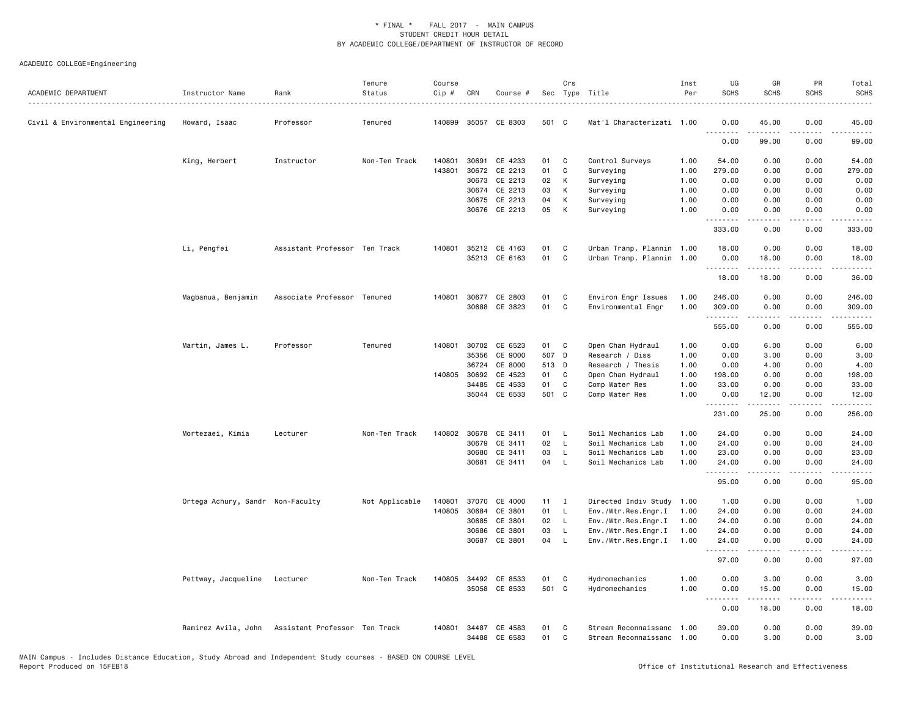| ACADEMIC DEPARTMENT               | Instructor Name                  | Rank                                              | Tenure<br>Status | Course<br>$Cip$ # | CRN          | Course #             |       | Crs          | Sec Type Title            | Inst<br>Per | UG<br><b>SCHS</b> | GR<br><b>SCHS</b>                                                                                                                                             | PR<br><b>SCHS</b> | Total<br><b>SCHS</b>      |
|-----------------------------------|----------------------------------|---------------------------------------------------|------------------|-------------------|--------------|----------------------|-------|--------------|---------------------------|-------------|-------------------|---------------------------------------------------------------------------------------------------------------------------------------------------------------|-------------------|---------------------------|
| Civil & Environmental Engineering | Howard, Isaac                    | Professor                                         | Tenured          |                   |              | 140899 35057 CE 8303 | 501 C |              | Mat'l Characterizati 1.00 |             | 0.00              | 45.00                                                                                                                                                         | 0.00              | 45.00                     |
|                                   |                                  |                                                   |                  |                   |              |                      |       |              |                           |             | 0.00              | 99.00                                                                                                                                                         | 0.00              | 99.00                     |
|                                   | King, Herbert                    | Instructor                                        | Non-Ten Track    | 140801            | 30691        | CE 4233              | 01    | C            | Control Surveys           | 1.00        | 54.00             | 0.00                                                                                                                                                          | 0.00              | 54.00                     |
|                                   |                                  |                                                   |                  | 143801            | 30672        | CE 2213              | 01    | $\mathtt{C}$ | Surveying                 | 1.00        | 279.00            | 0.00                                                                                                                                                          | 0.00              | 279.00                    |
|                                   |                                  |                                                   |                  |                   | 30673        | CE 2213              | 02    | К            | Surveying                 | 1.00        | 0.00              | 0.00                                                                                                                                                          | 0.00              | 0.00                      |
|                                   |                                  |                                                   |                  |                   | 30674        | CE 2213              | 03    | К            | Surveying                 | 1.00        | 0.00              | 0.00                                                                                                                                                          | 0.00              | 0.00                      |
|                                   |                                  |                                                   |                  |                   | 30675        | CE 2213              | 04    | К            | Surveying                 | 1.00        | 0.00              | 0.00                                                                                                                                                          | 0.00              | 0.00                      |
|                                   |                                  |                                                   |                  |                   |              | 30676 CE 2213        | 05    | К            | Surveying                 | 1.00        | 0.00<br>.         | 0.00<br>-----                                                                                                                                                 | 0.00<br>.         | 0.00<br>.                 |
|                                   |                                  |                                                   |                  |                   |              |                      |       |              |                           |             | 333.00            | 0.00                                                                                                                                                          | 0.00              | 333.00                    |
|                                   | Li, Pengfei                      | Assistant Professor Ten Track                     |                  | 140801            |              | 35212 CE 4163        | 01    | C            | Urban Tranp. Plannin 1.00 |             | 18.00             | 0.00                                                                                                                                                          | 0.00              | 18.00                     |
|                                   |                                  |                                                   |                  |                   |              | 35213 CE 6163        | 01    | C            | Urban Tranp. Plannin      | 1.00        | 0.00<br>.         | 18.00                                                                                                                                                         | 0.00              | 18.00                     |
|                                   |                                  |                                                   |                  |                   |              |                      |       |              |                           |             | 18.00             | 18.00                                                                                                                                                         | 0.00              | 36.00                     |
|                                   | Magbanua, Benjamin               | Associate Professor Tenured                       |                  |                   |              | 140801 30677 CE 2803 | 01    | C            | Environ Engr Issues       | 1.00        | 246.00            | 0.00                                                                                                                                                          | 0.00              | 246.00                    |
|                                   |                                  |                                                   |                  |                   |              | 30688 CE 3823        | 01    | C            | Environmental Engr        | 1.00        | 309.00<br>.       | 0.00<br>22222                                                                                                                                                 | 0.00<br>.         | 309.00<br>المتمام المنافذ |
|                                   |                                  |                                                   |                  |                   |              |                      |       |              |                           |             | 555.00            | 0.00                                                                                                                                                          | 0.00              | 555.00                    |
|                                   | Martin, James L.                 | Professor                                         | Tenured          | 140801            | 30702        | CE 6523              | 01    | C            | Open Chan Hydraul         | 1.00        | 0.00              | 6.00                                                                                                                                                          | 0.00              | 6.00                      |
|                                   |                                  |                                                   |                  |                   | 35356        | CE 9000              | 507 D |              | Research / Diss           | 1.00        | 0.00              | 3.00                                                                                                                                                          | 0.00              | 3.00                      |
|                                   |                                  |                                                   |                  |                   | 36724        | CE 8000              | 513 D |              | Research / Thesis         | 1.00        | 0.00              | 4.00                                                                                                                                                          | 0.00              | 4.00                      |
|                                   |                                  |                                                   |                  |                   | 140805 30692 | CE 4523              | 01    | C            | Open Chan Hydraul         | 1.00        | 198.00            | 0.00                                                                                                                                                          | 0.00              | 198.00                    |
|                                   |                                  |                                                   |                  |                   | 34485        | CE 4533              | 01    | C            | Comp Water Res            | 1.00        | 33.00             | 0.00                                                                                                                                                          | 0.00              | 33.00                     |
|                                   |                                  |                                                   |                  |                   | 35044        | CE 6533              | 501 C |              | Comp Water Res            | 1.00        | 0.00<br>.         | 12.00<br>$- - - - -$                                                                                                                                          | 0.00<br>.         | 12.00<br>.                |
|                                   |                                  |                                                   |                  |                   |              |                      |       |              |                           |             | 231.00            | 25.00                                                                                                                                                         | 0.00              | 256.00                    |
|                                   | Mortezaei, Kimia                 | Lecturer                                          | Non-Ten Track    | 140802            | 30678        | CE 3411              | 01    | - L          | Soil Mechanics Lab        | 1.00        | 24.00             | 0.00                                                                                                                                                          | 0.00              | 24.00                     |
|                                   |                                  |                                                   |                  |                   | 30679        | CE 3411              | 02    | <b>L</b>     | Soil Mechanics Lab        | 1.00        | 24.00             | 0.00                                                                                                                                                          | 0.00              | 24.00                     |
|                                   |                                  |                                                   |                  |                   | 30680        | CE 3411              | 03    | L            | Soil Mechanics Lab        | 1.00        | 23.00             | 0.00                                                                                                                                                          | 0.00              | 23.00                     |
|                                   |                                  |                                                   |                  |                   | 30681        | CE 3411              | 04    | $\mathsf{L}$ | Soil Mechanics Lab        | 1.00        | 24.00<br>.        | 0.00<br>$- - - - -$                                                                                                                                           | 0.00<br>.         | 24.00<br>.                |
|                                   |                                  |                                                   |                  |                   |              |                      |       |              |                           |             | 95.00             | 0.00                                                                                                                                                          | 0.00              | 95.00                     |
|                                   | Ortega Achury, Sandr Non-Faculty |                                                   | Not Applicable   | 140801            | 37070        | CE 4000              | 11    | $\mathbf{I}$ | Directed Indiv Study 1.00 |             | 1.00              | 0.00                                                                                                                                                          | 0.00              | 1.00                      |
|                                   |                                  |                                                   |                  | 140805            | 30684        | CE 3801              | 01    | $\mathsf{L}$ | Env./Wtr.Res.Engr.I       | 1.00        | 24.00             | 0.00                                                                                                                                                          | 0.00              | 24.00                     |
|                                   |                                  |                                                   |                  |                   | 30685        | CE 3801              | 02    | $\mathsf{L}$ | Env./Wtr.Res.Engr.I       | 1.00        | 24.00             | 0.00                                                                                                                                                          | 0.00              | 24.00                     |
|                                   |                                  |                                                   |                  |                   | 30686        | CE 3801              | 03    | $\mathsf{L}$ | Env./Wtr.Res.Engr.I       | 1.00        | 24.00             | 0.00                                                                                                                                                          | 0.00              | 24.00                     |
|                                   |                                  |                                                   |                  |                   | 30687        | CE 3801              | 04    | $\mathsf{L}$ | Env./Wtr.Res.Engr.I       | 1.00        | 24,00<br>.        | 0.00                                                                                                                                                          | 0.00              | 24,00                     |
|                                   |                                  |                                                   |                  |                   |              |                      |       |              |                           |             | 97.00             | 0.00                                                                                                                                                          | 0.00              | 97.00                     |
|                                   | Pettway, Jacqueline              | Lecturer                                          | Non-Ten Track    |                   |              | 140805 34492 CE 8533 | 01    | C            | Hydromechanics            | 1.00        | 0.00              | 3.00                                                                                                                                                          | 0.00              | 3.00                      |
|                                   |                                  |                                                   |                  |                   |              | 35058 CE 8533        | 501 C |              | Hydromechanics            | 1.00        | 0.00<br>.         | 15.00<br>$\frac{1}{2} \left( \frac{1}{2} \right) \left( \frac{1}{2} \right) \left( \frac{1}{2} \right) \left( \frac{1}{2} \right) \left( \frac{1}{2} \right)$ | 0.00<br>.         | 15.00<br>.                |
|                                   |                                  |                                                   |                  |                   |              |                      |       |              |                           |             | 0.00              | 18.00                                                                                                                                                         | 0.00              | 18.00                     |
|                                   |                                  | Ramirez Avila, John Assistant Professor Ten Track |                  | 140801            | 34487        | CE 4583              | 01    | C            | Stream Reconnaissanc 1.00 |             | 39.00             | 0.00                                                                                                                                                          | 0.00              | 39.00                     |
|                                   |                                  |                                                   |                  |                   |              | 34488 CE 6583        | 01    | C            | Stream Reconnaissanc 1.00 |             | 0.00              | 3.00                                                                                                                                                          | 0.00              | 3.00                      |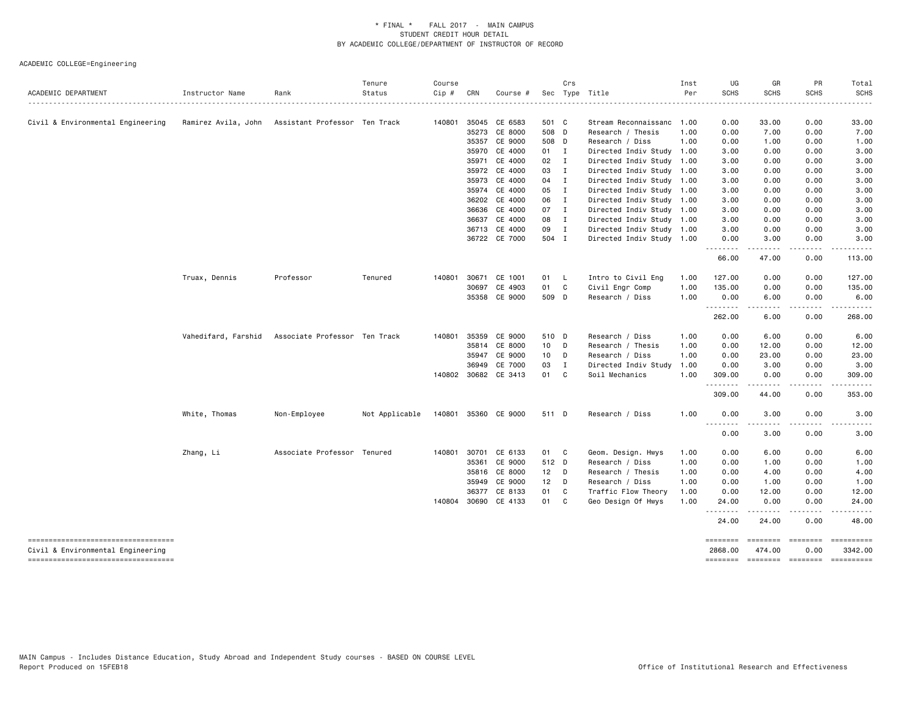| .<br>Civil & Environmental Engineering<br>Ramirez Avila, John<br>Assistant Professor Ten Track<br>140801 35045<br>CE 6583<br>501 C<br>Stream Reconnaissanc<br>1.00<br>0.00<br>33.00<br>0.00<br>33.00<br>CE 8000<br>35273<br>508 D<br>Research / Thesis<br>1.00<br>0.00<br>7.00<br>0.00<br>7.00<br>35357 CE 9000<br>508 D<br>Research / Diss<br>1.00<br>0.00<br>1.00<br>0.00<br>1.00<br>CE 4000<br>35970<br>01 I<br>Directed Indiv Study 1.00<br>3.00<br>0.00<br>0.00<br>3.00<br>CE 4000<br>02<br>3.00<br>35971<br>$\blacksquare$<br>Directed Indiv Study 1.00<br>3.00<br>0.00<br>0.00<br>CE 4000<br>03<br>$\mathbf{I}$<br>35972<br>Directed Indiv Study 1.00<br>3.00<br>0.00<br>0.00<br>3.00<br>CE 4000<br>35973<br>04<br>Directed Indiv Study 1.00<br>0.00<br>0.00<br>3.00<br>$\mathbf{I}$<br>3.00<br>CE 4000<br>05<br>$\mathbf{I}$<br>35974<br>Directed Indiv Study 1.00<br>3.00<br>0.00<br>0.00<br>3.00<br>CE 4000<br>06<br>36202<br>Directed Indiv Study 1.00<br>3.00<br>0.00<br>0.00<br>3.00<br>$\blacksquare$<br>CE 4000<br>07<br>36636<br>$\mathbf{I}$<br>Directed Indiv Study 1.00<br>3.00<br>0.00<br>0.00<br>3.00<br>36637<br>CE 4000<br>08<br>3.00<br>$\mathbf{I}$<br>Directed Indiv Study 1.00<br>3.00<br>0.00<br>0.00<br>CE 4000<br>09<br>36713<br>$\mathbf{I}$<br>Directed Indiv Study 1.00<br>3.00<br>0.00<br>0.00<br>3.00<br>36722 CE 7000<br>504 I<br>Directed Indiv Study 1.00<br>0.00<br>3.00<br>0.00<br>3.00<br>.<br>.<br>$- - - - -$<br>47.00<br>0.00<br>66.00<br>113.00<br>Truax, Dennis<br>Professor<br>140801<br>30671<br>CE 1001<br>01<br>$\mathsf{L}$<br>Intro to Civil Eng<br>1.00<br>127.00<br>0.00<br>0.00<br>127.00<br>Tenured<br>30697<br>CE 4903<br>01<br>C<br>Civil Engr Comp<br>1.00<br>135.00<br>0.00<br>0.00<br>135.00<br>35358 CE 9000<br>509 D<br>Research / Diss<br>1.00<br>0.00<br>6.00<br>0.00<br>6.00<br>.<br>.<br>.<br>.<br>262.00<br>6.00<br>0.00<br>268.00<br>Vahedifard, Farshid<br>Associate Professor Ten Track<br>35359<br>CE 9000<br>510 D<br>Research / Diss<br>1.00<br>0.00<br>6.00<br>0.00<br>6.00<br>140801<br>35814<br>CE 8000<br>10 D<br>Research / Thesis<br>1.00<br>0.00<br>12.00<br>0.00<br>12.00<br>CE 9000<br>Research / Diss<br>35947<br>10 D<br>1.00<br>0.00<br>23.00<br>0.00<br>23.00<br>CE 7000<br>03<br>36949<br>Ι<br>Directed Indiv Study<br>0.00<br>3.00<br>0.00<br>3.00<br>1.00<br>140802 30682 CE 3413<br>01<br>C<br>Soil Mechanics<br>1.00<br>309.00<br>0.00<br>0.00<br>309.00<br>.<br>.<br>ه د د د د د<br>$\frac{1}{2} \left( \frac{1}{2} \right) \left( \frac{1}{2} \right) \left( \frac{1}{2} \right) \left( \frac{1}{2} \right) \left( \frac{1}{2} \right) \left( \frac{1}{2} \right)$<br>309.00<br>44.00<br>0.00<br>353.00<br>White, Thomas<br>Non-Employee<br>Not Applicable<br>140801 35360 CE 9000<br>Research / Diss<br>1.00<br>0.00<br>3.00<br>0.00<br>511 D<br>3.00<br>--------<br>0.00<br>3.00<br>0.00<br>3.00<br>Associate Professor Tenured<br>30701<br>CE 6133<br>Zhang, Li<br>140801<br>01<br>C<br>Geom. Design. Hwys<br>0.00<br>6.00<br>0.00<br>6.00<br>1.00<br>CE 9000<br>35361<br>512 D<br>Research / Diss<br>1.00<br>0.00<br>0.00<br>1.00<br>1.00<br>CE 8000<br>12<br>Research / Thesis<br>0.00<br>4.00<br>0.00<br>35816<br>$\Box$<br>1.00<br>4.00<br>CE 9000<br>12 <sub>2</sub><br>35949<br>D<br>Research / Diss<br>1.00<br>0.00<br>1.00<br>0.00<br>1.00<br>36377<br>CE 8133<br>01<br>C<br>Traffic Flow Theory<br>1.00<br>0.00<br>12.00<br>0.00<br>12.00<br>140804 30690 CE 4133<br>01<br>C<br>Geo Design Of Hwys<br>1.00<br>0.00<br>0.00<br>24.00<br>24.00<br>.<br>$- - - - -$<br>.<br>.<br>24.00<br>0.00<br>24.00<br>48.00<br>----------------------------------<br>========<br>========<br>Civil & Environmental Engineering<br>0.00<br>3342.00<br>2868,00<br>474.00<br>-----------------------------------<br>$\begin{minipage}{0.9\linewidth} \hspace*{-0.2cm} \textbf{1} & \textbf{2} & \textbf{3} & \textbf{5} & \textbf{6} & \textbf{7} & \textbf{8} \\ \textbf{1} & \textbf{2} & \textbf{3} & \textbf{5} & \textbf{5} & \textbf{7} & \textbf{8} & \textbf{8} \\ \textbf{3} & \textbf{4} & \textbf{5} & \textbf{5} & \textbf{6} & \textbf{7} & \textbf{8} & \textbf{9} & \textbf{1} \\ \textbf{5} & \textbf{5} & \textbf{6} & \textbf{7} & \$<br>========<br>========<br>======== | ACADEMIC DEPARTMENT | Instructor Name | Rank | Tenure<br>Status | Course<br>$Cip$ # | CRN | Course # | Crs | Sec Type Title | Inst<br>Per | UG<br><b>SCHS</b> | GR<br><b>SCHS</b> | PR<br><b>SCHS</b> | Total<br><b>SCHS</b> |
|--------------------------------------------------------------------------------------------------------------------------------------------------------------------------------------------------------------------------------------------------------------------------------------------------------------------------------------------------------------------------------------------------------------------------------------------------------------------------------------------------------------------------------------------------------------------------------------------------------------------------------------------------------------------------------------------------------------------------------------------------------------------------------------------------------------------------------------------------------------------------------------------------------------------------------------------------------------------------------------------------------------------------------------------------------------------------------------------------------------------------------------------------------------------------------------------------------------------------------------------------------------------------------------------------------------------------------------------------------------------------------------------------------------------------------------------------------------------------------------------------------------------------------------------------------------------------------------------------------------------------------------------------------------------------------------------------------------------------------------------------------------------------------------------------------------------------------------------------------------------------------------------------------------------------------------------------------------------------------------------------------------------------------------------------------------------------------------------------------------------------------------------------------------------------------------------------------------------------------------------------------------------------------------------------------------------------------------------------------------------------------------------------------------------------------------------------------------------------------------------------------------------------------------------------------------------------------------------------------------------------------------------------------------------------------------------------------------------------------------------------------------------------------------------------------------------------------------------------------------------------------------------------------------------------------------------------------------------------------------------------------------------------------------------------------------------------------------------------------------------------------------------------------------------------------------------------------------------------------------------------------------------------------------------------------------------------------------------------------------------------------------------------------------------------------------------------------------------------------------------------------------------------------------------------------------------------------------------------------------------------------------------------------------------------------------------------------------------------------------------------------------------------------------------------------------------------------------------------------------------------------------------------------------------------------------------------------------------------------------------------------------------------------------------------------------------------------------------------------------------------------------------------------------------------------------------------------------------------------------------------------------------------------------|---------------------|-----------------|------|------------------|-------------------|-----|----------|-----|----------------|-------------|-------------------|-------------------|-------------------|----------------------|
|                                                                                                                                                                                                                                                                                                                                                                                                                                                                                                                                                                                                                                                                                                                                                                                                                                                                                                                                                                                                                                                                                                                                                                                                                                                                                                                                                                                                                                                                                                                                                                                                                                                                                                                                                                                                                                                                                                                                                                                                                                                                                                                                                                                                                                                                                                                                                                                                                                                                                                                                                                                                                                                                                                                                                                                                                                                                                                                                                                                                                                                                                                                                                                                                                                                                                                                                                                                                                                                                                                                                                                                                                                                                                                                                                                                                                                                                                                                                                                                                                                                                                                                                                                                                                                                                                      |                     |                 |      |                  |                   |     |          |     |                |             |                   |                   |                   |                      |
|                                                                                                                                                                                                                                                                                                                                                                                                                                                                                                                                                                                                                                                                                                                                                                                                                                                                                                                                                                                                                                                                                                                                                                                                                                                                                                                                                                                                                                                                                                                                                                                                                                                                                                                                                                                                                                                                                                                                                                                                                                                                                                                                                                                                                                                                                                                                                                                                                                                                                                                                                                                                                                                                                                                                                                                                                                                                                                                                                                                                                                                                                                                                                                                                                                                                                                                                                                                                                                                                                                                                                                                                                                                                                                                                                                                                                                                                                                                                                                                                                                                                                                                                                                                                                                                                                      |                     |                 |      |                  |                   |     |          |     |                |             |                   |                   |                   |                      |
|                                                                                                                                                                                                                                                                                                                                                                                                                                                                                                                                                                                                                                                                                                                                                                                                                                                                                                                                                                                                                                                                                                                                                                                                                                                                                                                                                                                                                                                                                                                                                                                                                                                                                                                                                                                                                                                                                                                                                                                                                                                                                                                                                                                                                                                                                                                                                                                                                                                                                                                                                                                                                                                                                                                                                                                                                                                                                                                                                                                                                                                                                                                                                                                                                                                                                                                                                                                                                                                                                                                                                                                                                                                                                                                                                                                                                                                                                                                                                                                                                                                                                                                                                                                                                                                                                      |                     |                 |      |                  |                   |     |          |     |                |             |                   |                   |                   |                      |
|                                                                                                                                                                                                                                                                                                                                                                                                                                                                                                                                                                                                                                                                                                                                                                                                                                                                                                                                                                                                                                                                                                                                                                                                                                                                                                                                                                                                                                                                                                                                                                                                                                                                                                                                                                                                                                                                                                                                                                                                                                                                                                                                                                                                                                                                                                                                                                                                                                                                                                                                                                                                                                                                                                                                                                                                                                                                                                                                                                                                                                                                                                                                                                                                                                                                                                                                                                                                                                                                                                                                                                                                                                                                                                                                                                                                                                                                                                                                                                                                                                                                                                                                                                                                                                                                                      |                     |                 |      |                  |                   |     |          |     |                |             |                   |                   |                   |                      |
|                                                                                                                                                                                                                                                                                                                                                                                                                                                                                                                                                                                                                                                                                                                                                                                                                                                                                                                                                                                                                                                                                                                                                                                                                                                                                                                                                                                                                                                                                                                                                                                                                                                                                                                                                                                                                                                                                                                                                                                                                                                                                                                                                                                                                                                                                                                                                                                                                                                                                                                                                                                                                                                                                                                                                                                                                                                                                                                                                                                                                                                                                                                                                                                                                                                                                                                                                                                                                                                                                                                                                                                                                                                                                                                                                                                                                                                                                                                                                                                                                                                                                                                                                                                                                                                                                      |                     |                 |      |                  |                   |     |          |     |                |             |                   |                   |                   |                      |
|                                                                                                                                                                                                                                                                                                                                                                                                                                                                                                                                                                                                                                                                                                                                                                                                                                                                                                                                                                                                                                                                                                                                                                                                                                                                                                                                                                                                                                                                                                                                                                                                                                                                                                                                                                                                                                                                                                                                                                                                                                                                                                                                                                                                                                                                                                                                                                                                                                                                                                                                                                                                                                                                                                                                                                                                                                                                                                                                                                                                                                                                                                                                                                                                                                                                                                                                                                                                                                                                                                                                                                                                                                                                                                                                                                                                                                                                                                                                                                                                                                                                                                                                                                                                                                                                                      |                     |                 |      |                  |                   |     |          |     |                |             |                   |                   |                   |                      |
|                                                                                                                                                                                                                                                                                                                                                                                                                                                                                                                                                                                                                                                                                                                                                                                                                                                                                                                                                                                                                                                                                                                                                                                                                                                                                                                                                                                                                                                                                                                                                                                                                                                                                                                                                                                                                                                                                                                                                                                                                                                                                                                                                                                                                                                                                                                                                                                                                                                                                                                                                                                                                                                                                                                                                                                                                                                                                                                                                                                                                                                                                                                                                                                                                                                                                                                                                                                                                                                                                                                                                                                                                                                                                                                                                                                                                                                                                                                                                                                                                                                                                                                                                                                                                                                                                      |                     |                 |      |                  |                   |     |          |     |                |             |                   |                   |                   |                      |
|                                                                                                                                                                                                                                                                                                                                                                                                                                                                                                                                                                                                                                                                                                                                                                                                                                                                                                                                                                                                                                                                                                                                                                                                                                                                                                                                                                                                                                                                                                                                                                                                                                                                                                                                                                                                                                                                                                                                                                                                                                                                                                                                                                                                                                                                                                                                                                                                                                                                                                                                                                                                                                                                                                                                                                                                                                                                                                                                                                                                                                                                                                                                                                                                                                                                                                                                                                                                                                                                                                                                                                                                                                                                                                                                                                                                                                                                                                                                                                                                                                                                                                                                                                                                                                                                                      |                     |                 |      |                  |                   |     |          |     |                |             |                   |                   |                   |                      |
|                                                                                                                                                                                                                                                                                                                                                                                                                                                                                                                                                                                                                                                                                                                                                                                                                                                                                                                                                                                                                                                                                                                                                                                                                                                                                                                                                                                                                                                                                                                                                                                                                                                                                                                                                                                                                                                                                                                                                                                                                                                                                                                                                                                                                                                                                                                                                                                                                                                                                                                                                                                                                                                                                                                                                                                                                                                                                                                                                                                                                                                                                                                                                                                                                                                                                                                                                                                                                                                                                                                                                                                                                                                                                                                                                                                                                                                                                                                                                                                                                                                                                                                                                                                                                                                                                      |                     |                 |      |                  |                   |     |          |     |                |             |                   |                   |                   |                      |
|                                                                                                                                                                                                                                                                                                                                                                                                                                                                                                                                                                                                                                                                                                                                                                                                                                                                                                                                                                                                                                                                                                                                                                                                                                                                                                                                                                                                                                                                                                                                                                                                                                                                                                                                                                                                                                                                                                                                                                                                                                                                                                                                                                                                                                                                                                                                                                                                                                                                                                                                                                                                                                                                                                                                                                                                                                                                                                                                                                                                                                                                                                                                                                                                                                                                                                                                                                                                                                                                                                                                                                                                                                                                                                                                                                                                                                                                                                                                                                                                                                                                                                                                                                                                                                                                                      |                     |                 |      |                  |                   |     |          |     |                |             |                   |                   |                   |                      |
|                                                                                                                                                                                                                                                                                                                                                                                                                                                                                                                                                                                                                                                                                                                                                                                                                                                                                                                                                                                                                                                                                                                                                                                                                                                                                                                                                                                                                                                                                                                                                                                                                                                                                                                                                                                                                                                                                                                                                                                                                                                                                                                                                                                                                                                                                                                                                                                                                                                                                                                                                                                                                                                                                                                                                                                                                                                                                                                                                                                                                                                                                                                                                                                                                                                                                                                                                                                                                                                                                                                                                                                                                                                                                                                                                                                                                                                                                                                                                                                                                                                                                                                                                                                                                                                                                      |                     |                 |      |                  |                   |     |          |     |                |             |                   |                   |                   |                      |
|                                                                                                                                                                                                                                                                                                                                                                                                                                                                                                                                                                                                                                                                                                                                                                                                                                                                                                                                                                                                                                                                                                                                                                                                                                                                                                                                                                                                                                                                                                                                                                                                                                                                                                                                                                                                                                                                                                                                                                                                                                                                                                                                                                                                                                                                                                                                                                                                                                                                                                                                                                                                                                                                                                                                                                                                                                                                                                                                                                                                                                                                                                                                                                                                                                                                                                                                                                                                                                                                                                                                                                                                                                                                                                                                                                                                                                                                                                                                                                                                                                                                                                                                                                                                                                                                                      |                     |                 |      |                  |                   |     |          |     |                |             |                   |                   |                   |                      |
|                                                                                                                                                                                                                                                                                                                                                                                                                                                                                                                                                                                                                                                                                                                                                                                                                                                                                                                                                                                                                                                                                                                                                                                                                                                                                                                                                                                                                                                                                                                                                                                                                                                                                                                                                                                                                                                                                                                                                                                                                                                                                                                                                                                                                                                                                                                                                                                                                                                                                                                                                                                                                                                                                                                                                                                                                                                                                                                                                                                                                                                                                                                                                                                                                                                                                                                                                                                                                                                                                                                                                                                                                                                                                                                                                                                                                                                                                                                                                                                                                                                                                                                                                                                                                                                                                      |                     |                 |      |                  |                   |     |          |     |                |             |                   |                   |                   |                      |
|                                                                                                                                                                                                                                                                                                                                                                                                                                                                                                                                                                                                                                                                                                                                                                                                                                                                                                                                                                                                                                                                                                                                                                                                                                                                                                                                                                                                                                                                                                                                                                                                                                                                                                                                                                                                                                                                                                                                                                                                                                                                                                                                                                                                                                                                                                                                                                                                                                                                                                                                                                                                                                                                                                                                                                                                                                                                                                                                                                                                                                                                                                                                                                                                                                                                                                                                                                                                                                                                                                                                                                                                                                                                                                                                                                                                                                                                                                                                                                                                                                                                                                                                                                                                                                                                                      |                     |                 |      |                  |                   |     |          |     |                |             |                   |                   |                   |                      |
|                                                                                                                                                                                                                                                                                                                                                                                                                                                                                                                                                                                                                                                                                                                                                                                                                                                                                                                                                                                                                                                                                                                                                                                                                                                                                                                                                                                                                                                                                                                                                                                                                                                                                                                                                                                                                                                                                                                                                                                                                                                                                                                                                                                                                                                                                                                                                                                                                                                                                                                                                                                                                                                                                                                                                                                                                                                                                                                                                                                                                                                                                                                                                                                                                                                                                                                                                                                                                                                                                                                                                                                                                                                                                                                                                                                                                                                                                                                                                                                                                                                                                                                                                                                                                                                                                      |                     |                 |      |                  |                   |     |          |     |                |             |                   |                   |                   |                      |
|                                                                                                                                                                                                                                                                                                                                                                                                                                                                                                                                                                                                                                                                                                                                                                                                                                                                                                                                                                                                                                                                                                                                                                                                                                                                                                                                                                                                                                                                                                                                                                                                                                                                                                                                                                                                                                                                                                                                                                                                                                                                                                                                                                                                                                                                                                                                                                                                                                                                                                                                                                                                                                                                                                                                                                                                                                                                                                                                                                                                                                                                                                                                                                                                                                                                                                                                                                                                                                                                                                                                                                                                                                                                                                                                                                                                                                                                                                                                                                                                                                                                                                                                                                                                                                                                                      |                     |                 |      |                  |                   |     |          |     |                |             |                   |                   |                   |                      |
|                                                                                                                                                                                                                                                                                                                                                                                                                                                                                                                                                                                                                                                                                                                                                                                                                                                                                                                                                                                                                                                                                                                                                                                                                                                                                                                                                                                                                                                                                                                                                                                                                                                                                                                                                                                                                                                                                                                                                                                                                                                                                                                                                                                                                                                                                                                                                                                                                                                                                                                                                                                                                                                                                                                                                                                                                                                                                                                                                                                                                                                                                                                                                                                                                                                                                                                                                                                                                                                                                                                                                                                                                                                                                                                                                                                                                                                                                                                                                                                                                                                                                                                                                                                                                                                                                      |                     |                 |      |                  |                   |     |          |     |                |             |                   |                   |                   |                      |
|                                                                                                                                                                                                                                                                                                                                                                                                                                                                                                                                                                                                                                                                                                                                                                                                                                                                                                                                                                                                                                                                                                                                                                                                                                                                                                                                                                                                                                                                                                                                                                                                                                                                                                                                                                                                                                                                                                                                                                                                                                                                                                                                                                                                                                                                                                                                                                                                                                                                                                                                                                                                                                                                                                                                                                                                                                                                                                                                                                                                                                                                                                                                                                                                                                                                                                                                                                                                                                                                                                                                                                                                                                                                                                                                                                                                                                                                                                                                                                                                                                                                                                                                                                                                                                                                                      |                     |                 |      |                  |                   |     |          |     |                |             |                   |                   |                   |                      |
|                                                                                                                                                                                                                                                                                                                                                                                                                                                                                                                                                                                                                                                                                                                                                                                                                                                                                                                                                                                                                                                                                                                                                                                                                                                                                                                                                                                                                                                                                                                                                                                                                                                                                                                                                                                                                                                                                                                                                                                                                                                                                                                                                                                                                                                                                                                                                                                                                                                                                                                                                                                                                                                                                                                                                                                                                                                                                                                                                                                                                                                                                                                                                                                                                                                                                                                                                                                                                                                                                                                                                                                                                                                                                                                                                                                                                                                                                                                                                                                                                                                                                                                                                                                                                                                                                      |                     |                 |      |                  |                   |     |          |     |                |             |                   |                   |                   |                      |
|                                                                                                                                                                                                                                                                                                                                                                                                                                                                                                                                                                                                                                                                                                                                                                                                                                                                                                                                                                                                                                                                                                                                                                                                                                                                                                                                                                                                                                                                                                                                                                                                                                                                                                                                                                                                                                                                                                                                                                                                                                                                                                                                                                                                                                                                                                                                                                                                                                                                                                                                                                                                                                                                                                                                                                                                                                                                                                                                                                                                                                                                                                                                                                                                                                                                                                                                                                                                                                                                                                                                                                                                                                                                                                                                                                                                                                                                                                                                                                                                                                                                                                                                                                                                                                                                                      |                     |                 |      |                  |                   |     |          |     |                |             |                   |                   |                   |                      |
|                                                                                                                                                                                                                                                                                                                                                                                                                                                                                                                                                                                                                                                                                                                                                                                                                                                                                                                                                                                                                                                                                                                                                                                                                                                                                                                                                                                                                                                                                                                                                                                                                                                                                                                                                                                                                                                                                                                                                                                                                                                                                                                                                                                                                                                                                                                                                                                                                                                                                                                                                                                                                                                                                                                                                                                                                                                                                                                                                                                                                                                                                                                                                                                                                                                                                                                                                                                                                                                                                                                                                                                                                                                                                                                                                                                                                                                                                                                                                                                                                                                                                                                                                                                                                                                                                      |                     |                 |      |                  |                   |     |          |     |                |             |                   |                   |                   |                      |
|                                                                                                                                                                                                                                                                                                                                                                                                                                                                                                                                                                                                                                                                                                                                                                                                                                                                                                                                                                                                                                                                                                                                                                                                                                                                                                                                                                                                                                                                                                                                                                                                                                                                                                                                                                                                                                                                                                                                                                                                                                                                                                                                                                                                                                                                                                                                                                                                                                                                                                                                                                                                                                                                                                                                                                                                                                                                                                                                                                                                                                                                                                                                                                                                                                                                                                                                                                                                                                                                                                                                                                                                                                                                                                                                                                                                                                                                                                                                                                                                                                                                                                                                                                                                                                                                                      |                     |                 |      |                  |                   |     |          |     |                |             |                   |                   |                   |                      |
|                                                                                                                                                                                                                                                                                                                                                                                                                                                                                                                                                                                                                                                                                                                                                                                                                                                                                                                                                                                                                                                                                                                                                                                                                                                                                                                                                                                                                                                                                                                                                                                                                                                                                                                                                                                                                                                                                                                                                                                                                                                                                                                                                                                                                                                                                                                                                                                                                                                                                                                                                                                                                                                                                                                                                                                                                                                                                                                                                                                                                                                                                                                                                                                                                                                                                                                                                                                                                                                                                                                                                                                                                                                                                                                                                                                                                                                                                                                                                                                                                                                                                                                                                                                                                                                                                      |                     |                 |      |                  |                   |     |          |     |                |             |                   |                   |                   |                      |
|                                                                                                                                                                                                                                                                                                                                                                                                                                                                                                                                                                                                                                                                                                                                                                                                                                                                                                                                                                                                                                                                                                                                                                                                                                                                                                                                                                                                                                                                                                                                                                                                                                                                                                                                                                                                                                                                                                                                                                                                                                                                                                                                                                                                                                                                                                                                                                                                                                                                                                                                                                                                                                                                                                                                                                                                                                                                                                                                                                                                                                                                                                                                                                                                                                                                                                                                                                                                                                                                                                                                                                                                                                                                                                                                                                                                                                                                                                                                                                                                                                                                                                                                                                                                                                                                                      |                     |                 |      |                  |                   |     |          |     |                |             |                   |                   |                   |                      |
|                                                                                                                                                                                                                                                                                                                                                                                                                                                                                                                                                                                                                                                                                                                                                                                                                                                                                                                                                                                                                                                                                                                                                                                                                                                                                                                                                                                                                                                                                                                                                                                                                                                                                                                                                                                                                                                                                                                                                                                                                                                                                                                                                                                                                                                                                                                                                                                                                                                                                                                                                                                                                                                                                                                                                                                                                                                                                                                                                                                                                                                                                                                                                                                                                                                                                                                                                                                                                                                                                                                                                                                                                                                                                                                                                                                                                                                                                                                                                                                                                                                                                                                                                                                                                                                                                      |                     |                 |      |                  |                   |     |          |     |                |             |                   |                   |                   |                      |
|                                                                                                                                                                                                                                                                                                                                                                                                                                                                                                                                                                                                                                                                                                                                                                                                                                                                                                                                                                                                                                                                                                                                                                                                                                                                                                                                                                                                                                                                                                                                                                                                                                                                                                                                                                                                                                                                                                                                                                                                                                                                                                                                                                                                                                                                                                                                                                                                                                                                                                                                                                                                                                                                                                                                                                                                                                                                                                                                                                                                                                                                                                                                                                                                                                                                                                                                                                                                                                                                                                                                                                                                                                                                                                                                                                                                                                                                                                                                                                                                                                                                                                                                                                                                                                                                                      |                     |                 |      |                  |                   |     |          |     |                |             |                   |                   |                   |                      |
|                                                                                                                                                                                                                                                                                                                                                                                                                                                                                                                                                                                                                                                                                                                                                                                                                                                                                                                                                                                                                                                                                                                                                                                                                                                                                                                                                                                                                                                                                                                                                                                                                                                                                                                                                                                                                                                                                                                                                                                                                                                                                                                                                                                                                                                                                                                                                                                                                                                                                                                                                                                                                                                                                                                                                                                                                                                                                                                                                                                                                                                                                                                                                                                                                                                                                                                                                                                                                                                                                                                                                                                                                                                                                                                                                                                                                                                                                                                                                                                                                                                                                                                                                                                                                                                                                      |                     |                 |      |                  |                   |     |          |     |                |             |                   |                   |                   |                      |
|                                                                                                                                                                                                                                                                                                                                                                                                                                                                                                                                                                                                                                                                                                                                                                                                                                                                                                                                                                                                                                                                                                                                                                                                                                                                                                                                                                                                                                                                                                                                                                                                                                                                                                                                                                                                                                                                                                                                                                                                                                                                                                                                                                                                                                                                                                                                                                                                                                                                                                                                                                                                                                                                                                                                                                                                                                                                                                                                                                                                                                                                                                                                                                                                                                                                                                                                                                                                                                                                                                                                                                                                                                                                                                                                                                                                                                                                                                                                                                                                                                                                                                                                                                                                                                                                                      |                     |                 |      |                  |                   |     |          |     |                |             |                   |                   |                   |                      |
|                                                                                                                                                                                                                                                                                                                                                                                                                                                                                                                                                                                                                                                                                                                                                                                                                                                                                                                                                                                                                                                                                                                                                                                                                                                                                                                                                                                                                                                                                                                                                                                                                                                                                                                                                                                                                                                                                                                                                                                                                                                                                                                                                                                                                                                                                                                                                                                                                                                                                                                                                                                                                                                                                                                                                                                                                                                                                                                                                                                                                                                                                                                                                                                                                                                                                                                                                                                                                                                                                                                                                                                                                                                                                                                                                                                                                                                                                                                                                                                                                                                                                                                                                                                                                                                                                      |                     |                 |      |                  |                   |     |          |     |                |             |                   |                   |                   |                      |
|                                                                                                                                                                                                                                                                                                                                                                                                                                                                                                                                                                                                                                                                                                                                                                                                                                                                                                                                                                                                                                                                                                                                                                                                                                                                                                                                                                                                                                                                                                                                                                                                                                                                                                                                                                                                                                                                                                                                                                                                                                                                                                                                                                                                                                                                                                                                                                                                                                                                                                                                                                                                                                                                                                                                                                                                                                                                                                                                                                                                                                                                                                                                                                                                                                                                                                                                                                                                                                                                                                                                                                                                                                                                                                                                                                                                                                                                                                                                                                                                                                                                                                                                                                                                                                                                                      |                     |                 |      |                  |                   |     |          |     |                |             |                   |                   |                   |                      |
|                                                                                                                                                                                                                                                                                                                                                                                                                                                                                                                                                                                                                                                                                                                                                                                                                                                                                                                                                                                                                                                                                                                                                                                                                                                                                                                                                                                                                                                                                                                                                                                                                                                                                                                                                                                                                                                                                                                                                                                                                                                                                                                                                                                                                                                                                                                                                                                                                                                                                                                                                                                                                                                                                                                                                                                                                                                                                                                                                                                                                                                                                                                                                                                                                                                                                                                                                                                                                                                                                                                                                                                                                                                                                                                                                                                                                                                                                                                                                                                                                                                                                                                                                                                                                                                                                      |                     |                 |      |                  |                   |     |          |     |                |             |                   |                   |                   |                      |
|                                                                                                                                                                                                                                                                                                                                                                                                                                                                                                                                                                                                                                                                                                                                                                                                                                                                                                                                                                                                                                                                                                                                                                                                                                                                                                                                                                                                                                                                                                                                                                                                                                                                                                                                                                                                                                                                                                                                                                                                                                                                                                                                                                                                                                                                                                                                                                                                                                                                                                                                                                                                                                                                                                                                                                                                                                                                                                                                                                                                                                                                                                                                                                                                                                                                                                                                                                                                                                                                                                                                                                                                                                                                                                                                                                                                                                                                                                                                                                                                                                                                                                                                                                                                                                                                                      |                     |                 |      |                  |                   |     |          |     |                |             |                   |                   |                   |                      |
|                                                                                                                                                                                                                                                                                                                                                                                                                                                                                                                                                                                                                                                                                                                                                                                                                                                                                                                                                                                                                                                                                                                                                                                                                                                                                                                                                                                                                                                                                                                                                                                                                                                                                                                                                                                                                                                                                                                                                                                                                                                                                                                                                                                                                                                                                                                                                                                                                                                                                                                                                                                                                                                                                                                                                                                                                                                                                                                                                                                                                                                                                                                                                                                                                                                                                                                                                                                                                                                                                                                                                                                                                                                                                                                                                                                                                                                                                                                                                                                                                                                                                                                                                                                                                                                                                      |                     |                 |      |                  |                   |     |          |     |                |             |                   |                   |                   |                      |
|                                                                                                                                                                                                                                                                                                                                                                                                                                                                                                                                                                                                                                                                                                                                                                                                                                                                                                                                                                                                                                                                                                                                                                                                                                                                                                                                                                                                                                                                                                                                                                                                                                                                                                                                                                                                                                                                                                                                                                                                                                                                                                                                                                                                                                                                                                                                                                                                                                                                                                                                                                                                                                                                                                                                                                                                                                                                                                                                                                                                                                                                                                                                                                                                                                                                                                                                                                                                                                                                                                                                                                                                                                                                                                                                                                                                                                                                                                                                                                                                                                                                                                                                                                                                                                                                                      |                     |                 |      |                  |                   |     |          |     |                |             |                   |                   |                   |                      |
|                                                                                                                                                                                                                                                                                                                                                                                                                                                                                                                                                                                                                                                                                                                                                                                                                                                                                                                                                                                                                                                                                                                                                                                                                                                                                                                                                                                                                                                                                                                                                                                                                                                                                                                                                                                                                                                                                                                                                                                                                                                                                                                                                                                                                                                                                                                                                                                                                                                                                                                                                                                                                                                                                                                                                                                                                                                                                                                                                                                                                                                                                                                                                                                                                                                                                                                                                                                                                                                                                                                                                                                                                                                                                                                                                                                                                                                                                                                                                                                                                                                                                                                                                                                                                                                                                      |                     |                 |      |                  |                   |     |          |     |                |             |                   |                   |                   |                      |
|                                                                                                                                                                                                                                                                                                                                                                                                                                                                                                                                                                                                                                                                                                                                                                                                                                                                                                                                                                                                                                                                                                                                                                                                                                                                                                                                                                                                                                                                                                                                                                                                                                                                                                                                                                                                                                                                                                                                                                                                                                                                                                                                                                                                                                                                                                                                                                                                                                                                                                                                                                                                                                                                                                                                                                                                                                                                                                                                                                                                                                                                                                                                                                                                                                                                                                                                                                                                                                                                                                                                                                                                                                                                                                                                                                                                                                                                                                                                                                                                                                                                                                                                                                                                                                                                                      |                     |                 |      |                  |                   |     |          |     |                |             |                   |                   |                   |                      |
|                                                                                                                                                                                                                                                                                                                                                                                                                                                                                                                                                                                                                                                                                                                                                                                                                                                                                                                                                                                                                                                                                                                                                                                                                                                                                                                                                                                                                                                                                                                                                                                                                                                                                                                                                                                                                                                                                                                                                                                                                                                                                                                                                                                                                                                                                                                                                                                                                                                                                                                                                                                                                                                                                                                                                                                                                                                                                                                                                                                                                                                                                                                                                                                                                                                                                                                                                                                                                                                                                                                                                                                                                                                                                                                                                                                                                                                                                                                                                                                                                                                                                                                                                                                                                                                                                      |                     |                 |      |                  |                   |     |          |     |                |             |                   |                   |                   |                      |
|                                                                                                                                                                                                                                                                                                                                                                                                                                                                                                                                                                                                                                                                                                                                                                                                                                                                                                                                                                                                                                                                                                                                                                                                                                                                                                                                                                                                                                                                                                                                                                                                                                                                                                                                                                                                                                                                                                                                                                                                                                                                                                                                                                                                                                                                                                                                                                                                                                                                                                                                                                                                                                                                                                                                                                                                                                                                                                                                                                                                                                                                                                                                                                                                                                                                                                                                                                                                                                                                                                                                                                                                                                                                                                                                                                                                                                                                                                                                                                                                                                                                                                                                                                                                                                                                                      |                     |                 |      |                  |                   |     |          |     |                |             |                   |                   |                   |                      |
|                                                                                                                                                                                                                                                                                                                                                                                                                                                                                                                                                                                                                                                                                                                                                                                                                                                                                                                                                                                                                                                                                                                                                                                                                                                                                                                                                                                                                                                                                                                                                                                                                                                                                                                                                                                                                                                                                                                                                                                                                                                                                                                                                                                                                                                                                                                                                                                                                                                                                                                                                                                                                                                                                                                                                                                                                                                                                                                                                                                                                                                                                                                                                                                                                                                                                                                                                                                                                                                                                                                                                                                                                                                                                                                                                                                                                                                                                                                                                                                                                                                                                                                                                                                                                                                                                      |                     |                 |      |                  |                   |     |          |     |                |             |                   |                   |                   |                      |
|                                                                                                                                                                                                                                                                                                                                                                                                                                                                                                                                                                                                                                                                                                                                                                                                                                                                                                                                                                                                                                                                                                                                                                                                                                                                                                                                                                                                                                                                                                                                                                                                                                                                                                                                                                                                                                                                                                                                                                                                                                                                                                                                                                                                                                                                                                                                                                                                                                                                                                                                                                                                                                                                                                                                                                                                                                                                                                                                                                                                                                                                                                                                                                                                                                                                                                                                                                                                                                                                                                                                                                                                                                                                                                                                                                                                                                                                                                                                                                                                                                                                                                                                                                                                                                                                                      |                     |                 |      |                  |                   |     |          |     |                |             |                   |                   |                   |                      |
|                                                                                                                                                                                                                                                                                                                                                                                                                                                                                                                                                                                                                                                                                                                                                                                                                                                                                                                                                                                                                                                                                                                                                                                                                                                                                                                                                                                                                                                                                                                                                                                                                                                                                                                                                                                                                                                                                                                                                                                                                                                                                                                                                                                                                                                                                                                                                                                                                                                                                                                                                                                                                                                                                                                                                                                                                                                                                                                                                                                                                                                                                                                                                                                                                                                                                                                                                                                                                                                                                                                                                                                                                                                                                                                                                                                                                                                                                                                                                                                                                                                                                                                                                                                                                                                                                      |                     |                 |      |                  |                   |     |          |     |                |             |                   |                   |                   |                      |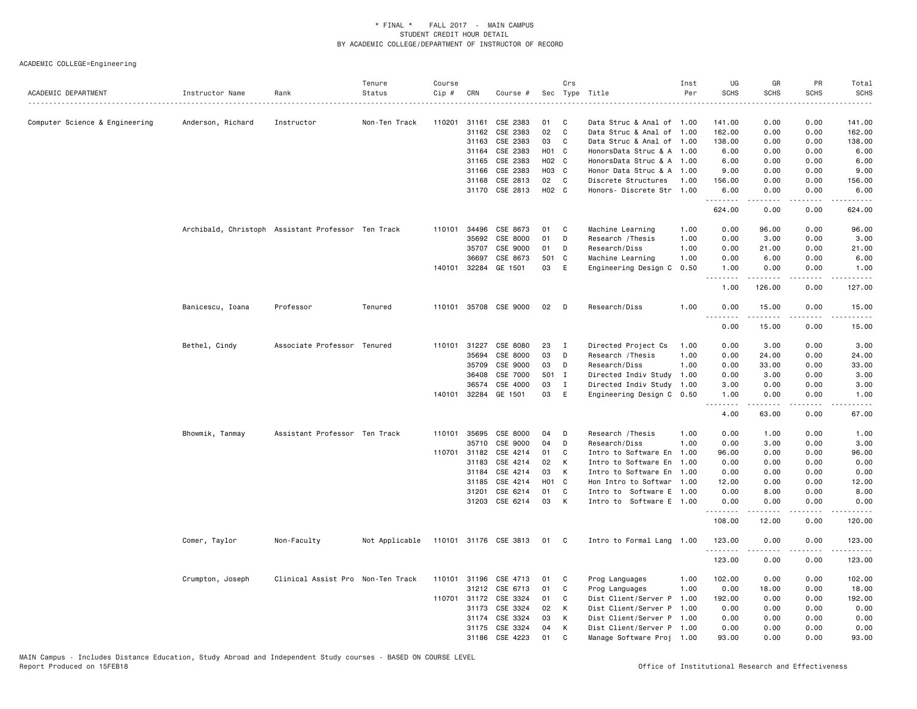| ACADEMIC DEPARTMENT            | Instructor Name                                    | Rank                              | Tenure<br>Status | Course<br>Cip # | CRN          | Course #              |       | Crs          | Sec Type Title            | Inst<br>Per | UG<br><b>SCHS</b> | GR<br><b>SCHS</b> | PR<br><b>SCHS</b>                                                                                                                 | Total<br><b>SCHS</b>  |
|--------------------------------|----------------------------------------------------|-----------------------------------|------------------|-----------------|--------------|-----------------------|-------|--------------|---------------------------|-------------|-------------------|-------------------|-----------------------------------------------------------------------------------------------------------------------------------|-----------------------|
|                                |                                                    |                                   |                  |                 |              |                       |       |              |                           |             |                   |                   |                                                                                                                                   |                       |
| Computer Science & Engineering | Anderson, Richard                                  | Instructor                        | Non-Ten Track    | 110201          | 31161        | CSE 2383              | 01    | C            | Data Struc & Anal of 1.00 |             | 141.00            | 0.00              | 0.00                                                                                                                              | 141.00                |
|                                |                                                    |                                   |                  |                 | 31162        | CSE 2383              | 02    | C            | Data Struc & Anal of 1.00 |             | 162.00            | 0.00              | 0.00                                                                                                                              | 162.00                |
|                                |                                                    |                                   |                  |                 | 31163        | CSE 2383              | 03    | C            | Data Struc & Anal of 1.00 |             | 138.00            | 0.00              | 0.00                                                                                                                              | 138.00                |
|                                |                                                    |                                   |                  |                 | 31164        | CSE 2383              | H01 C |              | HonorsData Struc & A 1.00 |             | 6.00              | 0.00              | 0.00                                                                                                                              | 6.00                  |
|                                |                                                    |                                   |                  |                 | 31165        | CSE 2383              | H02 C |              | HonorsData Struc & A 1.00 |             | 6.00              | 0.00              | 0.00                                                                                                                              | 6.00                  |
|                                |                                                    |                                   |                  |                 | 31166        | CSE 2383              | H03 C |              | Honor Data Struc & A 1.00 |             | 9.00              | 0.00              | 0.00                                                                                                                              | 9.00                  |
|                                |                                                    |                                   |                  |                 | 31168        | CSE 2813              | 02    | C            | Discrete Structures       | 1.00        | 156.00            | 0.00              | 0.00                                                                                                                              | 156.00                |
|                                |                                                    |                                   |                  |                 |              | 31170 CSE 2813        | H02 C |              | Honors- Discrete Str 1.00 |             | 6.00<br>.         | 0.00<br>.         | 0.00<br>.                                                                                                                         | 6.00<br>.             |
|                                |                                                    |                                   |                  |                 |              |                       |       |              |                           |             | 624.00            | 0.00              | 0.00                                                                                                                              | 624.00                |
|                                | Archibald, Christoph Assistant Professor Ten Track |                                   |                  | 110101          | 34496        | CSE 8673              | 01    | C            | Machine Learning          | 1.00        | 0.00              | 96.00             | 0.00                                                                                                                              | 96.00                 |
|                                |                                                    |                                   |                  |                 | 35692        | CSE 8000              | 01    | D            | Research / Thesis         | 1.00        | 0.00              | 3.00              | 0.00                                                                                                                              | 3.00                  |
|                                |                                                    |                                   |                  |                 | 35707        | CSE 9000              | 01    | D            | Research/Diss             | 1.00        | 0.00              | 21.00             | 0.00                                                                                                                              | 21.00                 |
|                                |                                                    |                                   |                  |                 | 36697        | CSE 8673              | 501 C |              | Machine Learning          | 1.00        | 0.00              | 6.00              | 0.00                                                                                                                              | 6.00                  |
|                                |                                                    |                                   |                  |                 |              | 140101 32284 GE 1501  | 03    | E            | Engineering Design C 0.50 |             | 1.00              | 0.00              | 0.00                                                                                                                              | 1.00                  |
|                                |                                                    |                                   |                  |                 |              |                       |       |              |                           |             | <u>.</u><br>1.00  | .<br>126.00       | .<br>0.00                                                                                                                         | .<br>127.00           |
|                                | Banicescu, Ioana                                   | Professor                         | Tenured          |                 |              | 110101 35708 CSE 9000 | 02    | D            | Research/Diss             | 1.00        | 0.00              | 15.00             | 0.00                                                                                                                              | 15.00                 |
|                                |                                                    |                                   |                  |                 |              |                       |       |              |                           |             | <b></b><br>0.00   | .<br>15.00        | .<br>0.00                                                                                                                         | .<br>15.00            |
|                                | Bethel, Cindy                                      | Associate Professor Tenured       |                  |                 | 110101 31227 | CSE 8080              | 23    | $\mathbf I$  | Directed Project Cs       | 1.00        | 0.00              | 3.00              | 0.00                                                                                                                              | 3.00                  |
|                                |                                                    |                                   |                  |                 | 35694        | CSE 8000              | 03    | D            | Research / Thesis         | 1.00        | 0.00              | 24.00             | 0.00                                                                                                                              | 24.00                 |
|                                |                                                    |                                   |                  |                 | 35709        | CSE 9000              | 03    | D            | Research/Diss             | 1.00        | 0.00              | 33.00             | 0.00                                                                                                                              | 33.00                 |
|                                |                                                    |                                   |                  |                 | 36408        | CSE 7000              | 501 I |              | Directed Indiv Study 1.00 |             | 0.00              | 3.00              | 0.00                                                                                                                              | 3.00                  |
|                                |                                                    |                                   |                  |                 | 36574        | CSE 4000              | 03    | $\mathbf I$  | Directed Indiv Study 1.00 |             | 3.00              | 0.00              | 0.00                                                                                                                              | 3.00                  |
|                                |                                                    |                                   |                  | 140101          | 32284        | GE 1501               | 03    | E            | Engineering Design C 0.50 |             | 1.00              | 0.00              | 0.00                                                                                                                              | 1.00                  |
|                                |                                                    |                                   |                  |                 |              |                       |       |              |                           |             | 4.00              | 63.00             | 0.00                                                                                                                              | وساعات<br>67.00       |
|                                | Bhowmik, Tanmay                                    | Assistant Professor Ten Track     |                  |                 | 110101 35695 | CSE 8000              | 04    | D            | Research / Thesis         | 1.00        | 0.00              | 1.00              | 0.00                                                                                                                              | 1.00                  |
|                                |                                                    |                                   |                  |                 | 35710        | CSE 9000              | 04    | D            | Research/Diss             | 1.00        | 0.00              | 3.00              | 0.00                                                                                                                              | 3.00                  |
|                                |                                                    |                                   |                  | 110701          | 31182        | CSE 4214              | 01    | C            | Intro to Software En      | 1.00        | 96.00             | 0.00              | 0.00                                                                                                                              | 96.00                 |
|                                |                                                    |                                   |                  |                 | 31183        | CSE 4214              | 02    | К            | Intro to Software En 1.00 |             | 0.00              | 0.00              | 0.00                                                                                                                              | 0.00                  |
|                                |                                                    |                                   |                  |                 | 31184        | CSE 4214              | 03    | К            | Intro to Software En 1.00 |             | 0.00              | 0.00              | 0.00                                                                                                                              | 0.00                  |
|                                |                                                    |                                   |                  |                 | 31185        | CSE 4214              | H01 C |              | Hon Intro to Softwar 1.00 |             | 12.00             | 0.00              | 0.00                                                                                                                              | 12.00                 |
|                                |                                                    |                                   |                  |                 | 31201        | CSE 6214              | 01    | C            | Intro to Software E 1.00  |             | 0.00              | 8.00              | 0.00                                                                                                                              | 8.00                  |
|                                |                                                    |                                   |                  |                 |              | 31203 CSE 6214        | 03    | K            | Intro to Software E 1.00  |             | 0.00<br>.         | 0.00<br><u>.</u>  | 0.00<br>د د د د                                                                                                                   | 0.00<br>$- - - - - -$ |
|                                |                                                    |                                   |                  |                 |              |                       |       |              |                           |             | 108.00            | 12.00             | 0.00                                                                                                                              | 120.00                |
|                                | Comer, Taylor                                      | Non-Faculty                       | Not Applicable   |                 |              | 110101 31176 CSE 3813 | 01 C  |              | Intro to Formal Lang 1.00 |             | 123.00<br>.       | 0.00              | 0.00                                                                                                                              | 123.00<br>.           |
|                                |                                                    |                                   |                  |                 |              |                       |       |              |                           |             | 123.00            | .<br>0.00         | $\frac{1}{2} \left( \frac{1}{2} \right) \left( \frac{1}{2} \right) \left( \frac{1}{2} \right) \left( \frac{1}{2} \right)$<br>0.00 | 123.00                |
|                                | Crumpton, Joseph                                   | Clinical Assist Pro Non-Ten Track |                  |                 |              | 110101 31196 CSE 4713 | 01    | C            | Prog Languages            | 1.00        | 102.00            | 0.00              | 0.00                                                                                                                              | 102.00                |
|                                |                                                    |                                   |                  |                 | 31212        | CSE 6713              | 01    | C            | Prog Languages            | 1.00        | 0.00              | 18.00             | 0.00                                                                                                                              | 18.00                 |
|                                |                                                    |                                   |                  |                 | 110701 31172 | CSE 3324              | 01    | C            | Dist Client/Server P 1.00 |             | 192.00            | 0.00              | 0.00                                                                                                                              | 192.00                |
|                                |                                                    |                                   |                  |                 | 31173        | CSE 3324              | 02    | K            | Dist Client/Server P 1.00 |             | 0.00              | 0.00              | 0.00                                                                                                                              | 0.00                  |
|                                |                                                    |                                   |                  |                 | 31174        | CSE 3324              | 03    | K            | Dist Client/Server P 1.00 |             | 0.00              | 0.00              | 0.00                                                                                                                              | 0.00                  |
|                                |                                                    |                                   |                  |                 | 31175        | CSE 3324              | 04    | к            | Dist Client/Server P 1.00 |             | 0.00              | 0.00              | 0.00                                                                                                                              | 0.00                  |
|                                |                                                    |                                   |                  |                 | 31186        | CSE 4223              | 01    | $\mathbf{C}$ | Manage Software Proj 1.00 |             | 93.00             | 0.00              | 0.00                                                                                                                              | 93.00                 |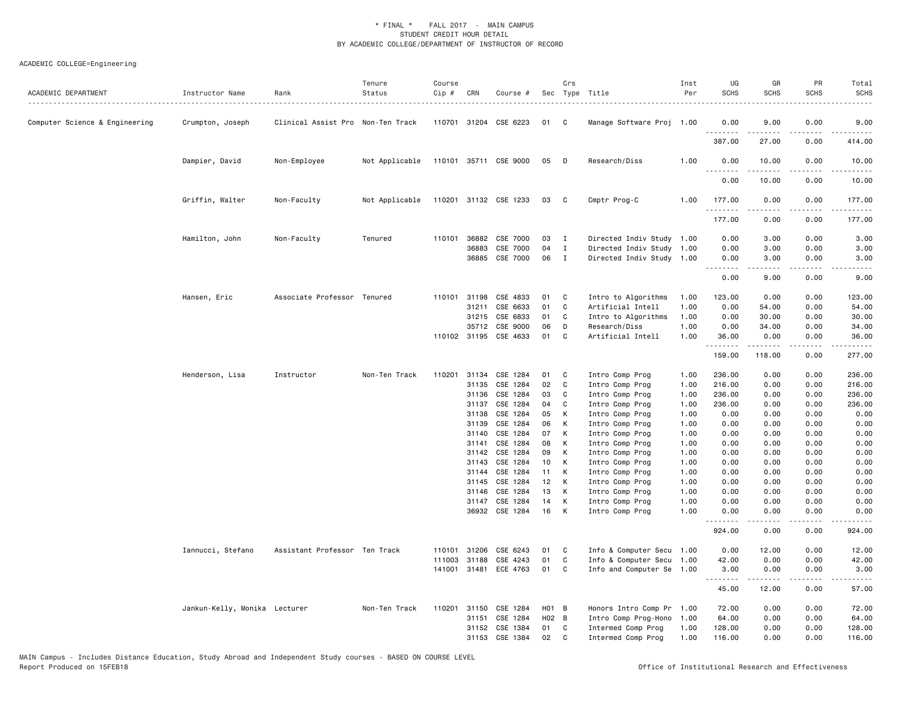| ACADEMIC DEPARTMENT            | Instructor Name<br>.          | Rank                              | Tenure<br>Status | Course<br>Cip # | CRN            | Course #              |          | Crs          | Sec Type Title                     | Inst<br>Per  | UG<br><b>SCHS</b>                                                                                                                                         | GR<br><b>SCHS</b>     | PR<br><b>SCHS</b>      | Total<br><b>SCHS</b> |
|--------------------------------|-------------------------------|-----------------------------------|------------------|-----------------|----------------|-----------------------|----------|--------------|------------------------------------|--------------|-----------------------------------------------------------------------------------------------------------------------------------------------------------|-----------------------|------------------------|----------------------|
| Computer Science & Engineering | Crumpton, Joseph              | Clinical Assist Pro Non-Ten Track |                  |                 |                | 110701 31204 CSE 6223 | 01       | $\mathbf{C}$ | Manage Software Proj 1.00          |              | 0.00                                                                                                                                                      | 9.00                  | 0.00                   | 9.00                 |
|                                |                               |                                   |                  |                 |                |                       |          |              |                                    |              | .<br>387.00                                                                                                                                               | $- - - - -$<br>27.00  | $\cdots$<br>0.00       | 414.00               |
|                                | Dampier, David                | Non-Employee                      | Not Applicable   |                 |                | 110101 35711 CSE 9000 | 05       | D D          | Research/Diss                      | 1.00         | 0.00<br>$\sim$ $\sim$ $\sim$<br>$\frac{1}{2} \left( \frac{1}{2} \right) \left( \frac{1}{2} \right) \left( \frac{1}{2} \right) \left( \frac{1}{2} \right)$ | 10.00<br>-----        | 0.00<br>المتمام المتنا | 10.00                |
|                                |                               |                                   |                  |                 |                |                       |          |              |                                    |              | 0.00                                                                                                                                                      | 10.00                 | 0.00                   | 10.00                |
|                                | Griffin, Walter               | Non-Faculty                       | Not Applicable   |                 |                | 110201 31132 CSE 1233 | 03 C     |              | Cmptr Prog-C                       | 1.00         | 177.00<br>.                                                                                                                                               | 0.00<br>. <u>.</u>    | 0.00<br>.              | 177.00               |
|                                |                               |                                   |                  |                 |                |                       |          |              |                                    |              | 177.00                                                                                                                                                    | 0.00                  | 0.00                   | 177.00               |
|                                | Hamilton, John                | Non-Faculty                       | Tenured          |                 | 110101 36882   | CSE 7000              | 03       | $\mathbf{I}$ | Directed Indiv Study 1.00          |              | 0.00                                                                                                                                                      | 3.00                  | 0.00                   | 3.00                 |
|                                |                               |                                   |                  |                 | 36883          | CSE 7000              | 04       | $\mathbf{I}$ | Directed Indiv Study 1.00          |              | 0.00                                                                                                                                                      | 3.00                  | 0.00                   | 3.00                 |
|                                |                               |                                   |                  |                 | 36885          | CSE 7000              | 06       | $\mathbf{I}$ | Directed Indiv Study 1.00          |              | 0.00                                                                                                                                                      | 3.00                  | 0.00                   | 3.00                 |
|                                |                               |                                   |                  |                 |                |                       |          |              |                                    |              | 0.00                                                                                                                                                      | 9.00                  | 0.00                   | 9.00                 |
|                                | Hansen, Eric                  | Associate Professor Tenured       |                  |                 | 110101 31198   | CSE 4833              | 01       | C            | Intro to Algorithms                | 1.00         | 123.00                                                                                                                                                    | 0.00                  | 0.00                   | 123.00               |
|                                |                               |                                   |                  |                 | 31211          | CSE 6633              | 01       | C            | Artificial Intell                  | 1.00         | 0.00                                                                                                                                                      | 54.00                 | 0.00                   | 54.00                |
|                                |                               |                                   |                  |                 | 31215          | CSE 6833              | 01       | C            | Intro to Algorithms                | 1.00         | 0.00                                                                                                                                                      | 30.00                 | 0.00                   | 30.00                |
|                                |                               |                                   |                  |                 | 35712          | CSE 9000              | 06       | D            | Research/Diss                      | 1.00         | 0.00                                                                                                                                                      | 34.00                 | 0.00                   | 34.00                |
|                                |                               |                                   |                  |                 |                | 110102 31195 CSE 4633 | 01       | C            | Artificial Intell                  | 1.00         | 36.00                                                                                                                                                     | 0.00                  | 0.00                   | 36.00                |
|                                |                               |                                   |                  |                 |                |                       |          |              |                                    |              | .<br>159.00                                                                                                                                               | <u>.</u><br>118.00    | .<br>0.00              | <u>.</u><br>277.00   |
|                                | Henderson, Lisa               | Instructor                        | Non-Ten Track    |                 | 110201 31134   | CSE 1284              | 01       | C            | Intro Comp Prog                    | 1.00         | 236.00                                                                                                                                                    | 0.00                  | 0.00                   | 236.00               |
|                                |                               |                                   |                  |                 | 31135          | CSE 1284              | 02       | C            | Intro Comp Prog                    | 1.00         | 216.00                                                                                                                                                    | 0.00                  | 0.00                   | 216.00               |
|                                |                               |                                   |                  |                 | 31136          | CSE 1284              | 03       | C            | Intro Comp Prog                    | 1.00         | 236.00                                                                                                                                                    | 0.00                  | 0.00                   | 236.00               |
|                                |                               |                                   |                  |                 | 31137          | CSE 1284              | 04       | C            | Intro Comp Prog                    | 1.00         | 236.00                                                                                                                                                    | 0.00                  | 0.00                   | 236.00               |
|                                |                               |                                   |                  |                 | 31138          | CSE 1284              | 05       | K            | Intro Comp Prog                    | 1.00         | 0.00                                                                                                                                                      | 0.00                  | 0.00                   | 0.00                 |
|                                |                               |                                   |                  |                 | 31139          | CSE 1284              | 06       | К            | Intro Comp Prog                    | 1.00         | 0.00                                                                                                                                                      | 0.00                  | 0.00                   | 0.00                 |
|                                |                               |                                   |                  |                 | 31140          | CSE 1284              | 07       | К            | Intro Comp Prog                    | 1.00         | 0.00                                                                                                                                                      | 0.00                  | 0.00                   | 0.00                 |
|                                |                               |                                   |                  |                 | 31141<br>31142 | CSE 1284<br>CSE 1284  | 08<br>09 | К<br>К       | Intro Comp Prog<br>Intro Comp Prog | 1.00<br>1.00 | 0.00<br>0.00                                                                                                                                              | 0.00<br>0.00          | 0.00<br>0.00           | 0.00<br>0.00         |
|                                |                               |                                   |                  |                 | 31143          | CSE 1284              | 10       | K            | Intro Comp Prog                    | 1.00         | 0.00                                                                                                                                                      | 0.00                  | 0.00                   | 0.00                 |
|                                |                               |                                   |                  |                 | 31144          | CSE 1284              | 11       | К            | Intro Comp Prog                    | 1.00         | 0.00                                                                                                                                                      | 0.00                  | 0.00                   | 0.00                 |
|                                |                               |                                   |                  |                 | 31145          | CSE 1284              | 12       | K            | Intro Comp Prog                    | 1.00         | 0.00                                                                                                                                                      | 0.00                  | 0.00                   | 0.00                 |
|                                |                               |                                   |                  |                 | 31146          | CSE 1284              | 13       | К            | Intro Comp Prog                    | 1.00         | 0.00                                                                                                                                                      | 0.00                  | 0.00                   | 0.00                 |
|                                |                               |                                   |                  |                 | 31147          | CSE 1284              | 14       | к            | Intro Comp Prog                    | 1.00         | 0.00                                                                                                                                                      | 0.00                  | 0.00                   | 0.00                 |
|                                |                               |                                   |                  |                 |                | 36932 CSE 1284        | 16       | K            | Intro Comp Prog                    | 1.00         | 0.00<br>.                                                                                                                                                 | 0.00<br>$\frac{1}{2}$ | 0.00<br>.              | 0.00<br><u>.</u>     |
|                                |                               |                                   |                  |                 |                |                       |          |              |                                    |              | 924.00                                                                                                                                                    | 0.00                  | 0.00                   | 924.00               |
|                                | Iannucci, Stefano             | Assistant Professor Ten Track     |                  | 110101          | 31206          | CSE 6243              | 01       | C            | Info & Computer Secu 1.00          |              | 0.00                                                                                                                                                      | 12.00                 | 0.00                   | 12.00                |
|                                |                               |                                   |                  | 111003          | 31188          | CSE 4243              | 01       | C            | Info & Computer Secu 1.00          |              | 42.00                                                                                                                                                     | 0.00                  | 0.00                   | 42.00                |
|                                |                               |                                   |                  |                 |                | 141001 31481 ECE 4763 | 01       | C            | Info and Computer Se 1.00          |              | 3.00<br>.                                                                                                                                                 | 0.00<br>.             | 0.00<br>.              | 3.00<br>. <u>.</u> . |
|                                |                               |                                   |                  |                 |                |                       |          |              |                                    |              | 45.00                                                                                                                                                     | 12.00                 | 0.00                   | 57.00                |
|                                | Jankun-Kelly, Monika Lecturer |                                   | Non-Ten Track    | 110201          | 31150          | CSE 1284              | H01 B    |              | Honors Intro Comp Pr 1.00          |              | 72.00                                                                                                                                                     | 0.00                  | 0.00                   | 72.00                |
|                                |                               |                                   |                  |                 | 31151          | CSE 1284              | H02 B    |              | Intro Comp Prog-Hono 1.00          |              | 64.00                                                                                                                                                     | 0.00                  | 0.00                   | 64.00                |
|                                |                               |                                   |                  |                 | 31152          | CSE 1384              | 01       | C            | Intermed Comp Prog                 | 1.00         | 128.00                                                                                                                                                    | 0.00                  | 0.00                   | 128.00               |
|                                |                               |                                   |                  |                 | 31153          | CSE 1384              | 02       | C            | Intermed Comp Prog                 | 1.00         | 116.00                                                                                                                                                    | 0.00                  | 0.00                   | 116.00               |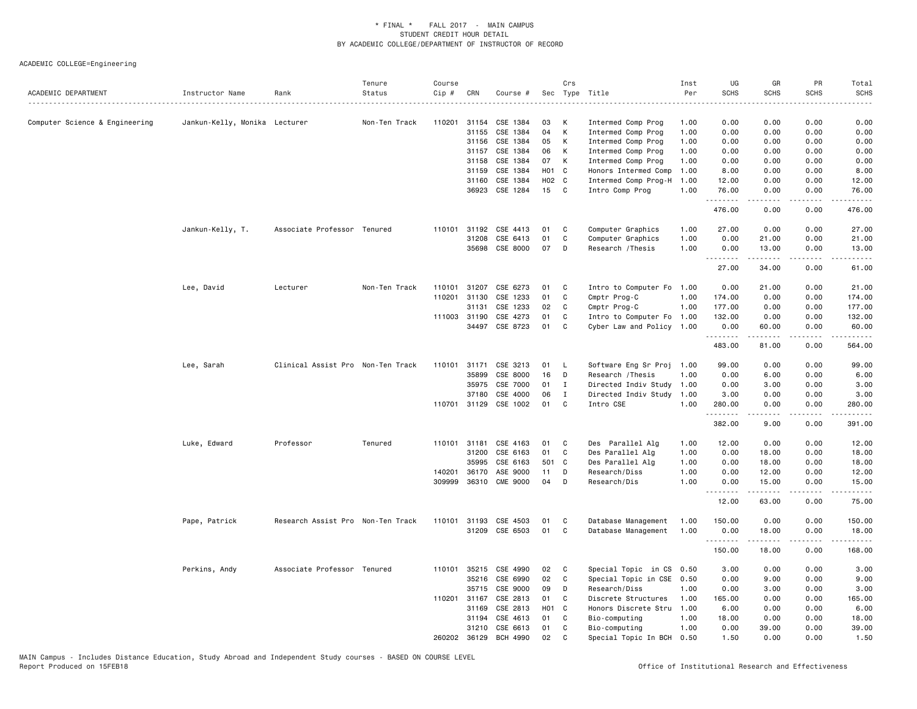| ACADEMIC DEPARTMENT            | Instructor Name               | Rank                              | Tenure<br>Status | Course<br>Cip # | CRN          | Course #        |       | Crs<br>Sec Type Title |                           | Inst<br>Per | UG<br><b>SCHS</b> | GR<br><b>SCHS</b>                                                                                                                                             | PR<br><b>SCHS</b>            | Total<br><b>SCHS</b>   |
|--------------------------------|-------------------------------|-----------------------------------|------------------|-----------------|--------------|-----------------|-------|-----------------------|---------------------------|-------------|-------------------|---------------------------------------------------------------------------------------------------------------------------------------------------------------|------------------------------|------------------------|
| Computer Science & Engineering | Jankun-Kelly, Monika Lecturer |                                   | Non-Ten Track    | 110201          | 31154        | CSE 1384        | 03    | К                     | Intermed Comp Prog        | 1.00        | 0.00              | 0.00                                                                                                                                                          | 0.00                         | 0.00                   |
|                                |                               |                                   |                  |                 | 31155        | CSE 1384        | 04    | К                     | Intermed Comp Prog        | 1.00        | 0.00              | 0.00                                                                                                                                                          | 0.00                         | 0.00                   |
|                                |                               |                                   |                  |                 | 31156        | CSE 1384        | 05    | К                     | Intermed Comp Prog        | 1.00        | 0.00              | 0.00                                                                                                                                                          | 0.00                         | 0.00                   |
|                                |                               |                                   |                  |                 | 31157        | CSE 1384        | 06    | K                     | Intermed Comp Prog        | 1.00        | 0.00              | 0.00                                                                                                                                                          | 0.00                         | 0.00                   |
|                                |                               |                                   |                  |                 | 31158        | CSE 1384        | 07    | K                     | Intermed Comp Prog        | 1.00        | 0.00              | 0.00                                                                                                                                                          | 0.00                         | 0.00                   |
|                                |                               |                                   |                  |                 | 31159        | CSE 1384        | H01 C |                       | Honors Intermed Comp      | 1.00        | 8.00              | 0.00                                                                                                                                                          | 0.00                         | 8.00                   |
|                                |                               |                                   |                  |                 | 31160        | CSE 1384        | H02 C |                       | Intermed Comp Prog-H      | 1.00        | 12.00             | 0.00                                                                                                                                                          | 0.00                         | 12.00                  |
|                                |                               |                                   |                  |                 | 36923        | CSE 1284        | 15    | C                     | Intro Comp Prog           | 1.00        | 76.00<br>.        | 0.00<br>.                                                                                                                                                     | 0.00<br>.                    | 76.00<br>.             |
|                                |                               |                                   |                  |                 |              |                 |       |                       |                           |             | 476.00            | 0.00                                                                                                                                                          | 0.00                         | 476.00                 |
|                                | Jankun-Kelly, T.              | Associate Professor Tenured       |                  | 110101          | 31192        | CSE 4413        | 01    | C                     | Computer Graphics         | 1.00        | 27.00             | 0.00                                                                                                                                                          | 0.00                         | 27.00                  |
|                                |                               |                                   |                  |                 | 31208        | CSE 6413        | 01    | $\mathbb{C}$          | Computer Graphics         | 1.00        | 0.00              | 21.00                                                                                                                                                         | 0.00                         | 21.00                  |
|                                |                               |                                   |                  |                 | 35698        | CSE 8000        | 07    | D                     | Research / Thesis         | 1.00        | 0.00              | 13.00                                                                                                                                                         | 0.00                         | 13.00                  |
|                                |                               |                                   |                  |                 |              |                 |       |                       |                           |             | .<br>27.00        | .<br>34.00                                                                                                                                                    | $\sim$ $\sim$ $\sim$<br>0.00 | المتمام<br>61.00       |
|                                |                               |                                   |                  |                 |              |                 |       |                       |                           |             |                   |                                                                                                                                                               |                              |                        |
|                                | Lee, David                    | Lecturer                          | Non-Ten Track    | 110101          | 31207        | CSE 6273        | 01    | C                     | Intro to Computer Fo      | 1.00        | 0.00              | 21.00                                                                                                                                                         | 0.00                         | 21.00                  |
|                                |                               |                                   |                  | 110201          | 31130        | CSE 1233        | 01    | C                     | Cmptr Prog-C              | 1.00        | 174.00            | 0.00                                                                                                                                                          | 0.00                         | 174.00                 |
|                                |                               |                                   |                  |                 | 31131        | CSE 1233        | 02    | C                     | Cmptr Prog-C              | 1.00        | 177.00            | 0.00                                                                                                                                                          | 0.00                         | 177.00                 |
|                                |                               |                                   |                  | 111003          | 31190        | CSE 4273        | 01    | C                     | Intro to Computer Fo      | 1.00        | 132.00            | 0.00                                                                                                                                                          | 0.00                         | 132.00                 |
|                                |                               |                                   |                  |                 | 34497        | CSE 8723        | 01    | C                     | Cyber Law and Policy 1.00 |             | 0.00<br>.         | 60.00<br>.                                                                                                                                                    | 0.00<br>.                    | 60.00<br>$- - - - - -$ |
|                                |                               |                                   |                  |                 |              |                 |       |                       |                           |             | 483.00            | 81.00                                                                                                                                                         | 0.00                         | 564.00                 |
|                                | Lee, Sarah                    | Clinical Assist Pro Non-Ten Track |                  | 110101          | 31171        | CSE 3213        | 01    | L                     | Software Eng Sr Proj      | 1.00        | 99.00             | 0.00                                                                                                                                                          | 0.00                         | 99.00                  |
|                                |                               |                                   |                  |                 | 35899        | CSE 8000        | 16    | D                     | Research / Thesis         | 1.00        | 0.00              | 6.00                                                                                                                                                          | 0.00                         | 6.00                   |
|                                |                               |                                   |                  |                 | 35975        | CSE 7000        | 01    | $\mathbf{I}$          | Directed Indiv Study      | 1.00        | 0.00              | 3.00                                                                                                                                                          | 0.00                         | 3.00                   |
|                                |                               |                                   |                  |                 | 37180        | CSE 4000        | 06    | $\mathbf{I}$          | Directed Indiv Study      | 1.00        | 3.00              | 0.00                                                                                                                                                          | 0.00                         | 3.00                   |
|                                |                               |                                   |                  |                 | 110701 31129 | CSE 1002        | 01    | C                     | Intro CSE                 | 1.00        | 280.00<br>.       | 0.00<br>.                                                                                                                                                     | 0.00<br>.                    | 280.00<br>.            |
|                                |                               |                                   |                  |                 |              |                 |       |                       |                           |             | 382.00            | 9.00                                                                                                                                                          | 0.00                         | 391.00                 |
|                                | Luke, Edward                  | Professor                         | Tenured          | 110101 31181    |              | CSE 4163        | 01    | C                     | Des Parallel Alg          | 1.00        | 12.00             | 0.00                                                                                                                                                          | 0.00                         | 12.00                  |
|                                |                               |                                   |                  |                 | 31200        | CSE 6163        | 01    | C                     | Des Parallel Alg          | 1.00        | 0.00              | 18.00                                                                                                                                                         | 0.00                         | 18.00                  |
|                                |                               |                                   |                  |                 | 35995        | CSE 6163        | 501 C |                       | Des Parallel Alg          | 1.00        | 0.00              | 18.00                                                                                                                                                         | 0.00                         | 18.00                  |
|                                |                               |                                   |                  | 140201          | 36170        | ASE 9000        | 11    | D                     | Research/Diss             | 1.00        | 0.00              | 12.00                                                                                                                                                         | 0.00                         | 12.00                  |
|                                |                               |                                   |                  | 309999          | 36310        | <b>CME 9000</b> | 04    | D                     | Research/Dis              | 1.00        | 0.00              | 15.00                                                                                                                                                         | 0.00                         | 15.00                  |
|                                |                               |                                   |                  |                 |              |                 |       |                       |                           |             | .<br>12.00        | $\frac{1}{2} \left( \frac{1}{2} \right) \left( \frac{1}{2} \right) \left( \frac{1}{2} \right) \left( \frac{1}{2} \right) \left( \frac{1}{2} \right)$<br>63.00 | .<br>0.00                    | .<br>75.00             |
|                                | Pape, Patrick                 | Research Assist Pro Non-Ten Track |                  | 110101          | 31193        | CSE 4503        | 01    | C                     | Database Management       | 1.00        | 150.00            | 0.00                                                                                                                                                          | 0.00                         | 150.00                 |
|                                |                               |                                   |                  |                 | 31209        | CSE 6503        | 01    | C                     | Database Management       | 1.00        | 0.00              | 18.00                                                                                                                                                         | 0.00                         | 18.00                  |
|                                |                               |                                   |                  |                 |              |                 |       |                       |                           |             | . <b>.</b>        |                                                                                                                                                               | د د د د                      | .                      |
|                                |                               |                                   |                  |                 |              |                 |       |                       |                           |             | 150.00            | 18.00                                                                                                                                                         | 0.00                         | 168.00                 |
|                                | Perkins, Andy                 | Associate Professor Tenured       |                  | 110101          | 35215        | CSE 4990        | 02    | C                     | Special Topic in CS 0.50  |             | 3.00              | 0.00                                                                                                                                                          | 0.00                         | 3.00                   |
|                                |                               |                                   |                  |                 | 35216        | CSE 6990        | 02    | C                     | Special Topic in CSE 0.50 |             | 0.00              | 9.00                                                                                                                                                          | 0.00                         | 9.00                   |
|                                |                               |                                   |                  |                 | 35715        | CSE 9000        | 09    | D                     | Research/Diss             | 1.00        | 0.00              | 3.00                                                                                                                                                          | 0.00                         | 3.00                   |
|                                |                               |                                   |                  | 110201 31167    |              | CSE 2813        | 01    | C                     | Discrete Structures       | 1.00        | 165.00            | 0.00                                                                                                                                                          | 0.00                         | 165.00                 |
|                                |                               |                                   |                  |                 | 31169        | CSE 2813        | H01 C |                       | Honors Discrete Stru      | 1.00        | 6.00              | 0.00                                                                                                                                                          | 0.00                         | 6.00                   |
|                                |                               |                                   |                  |                 | 31194        | CSE 4613        | 01    | C                     | Bio-computing             | 1.00        | 18.00             | 0.00                                                                                                                                                          | 0.00                         | 18.00                  |
|                                |                               |                                   |                  |                 | 31210        | CSE 6613        | 01    | C                     | Bio-computing             | 1.00        | 0.00              | 39.00                                                                                                                                                         | 0.00                         | 39.00                  |
|                                |                               |                                   |                  | 260202          | 36129        | BCH 4990        | 02    | C                     | Special Topic In BCH      | 0.50        | 1.50              | 0.00                                                                                                                                                          | 0.00                         | 1.50                   |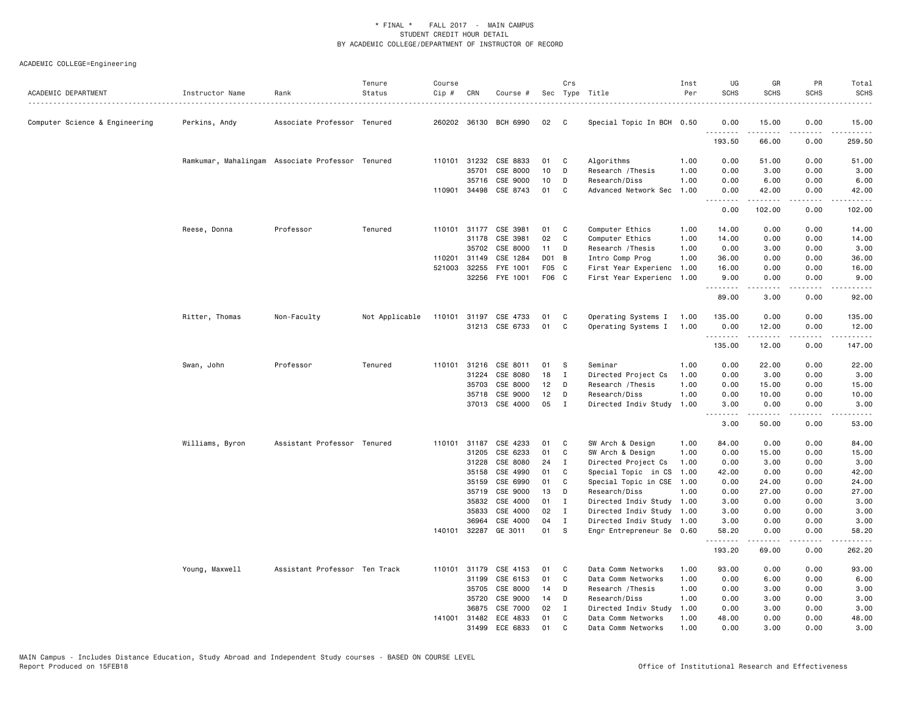| ACADEMIC DEPARTMENT            | Instructor Name | Rank<br>.                                        | Tenure<br>Status | Course<br>Cip # | CRN          | Course #              |                 | Crs          | Sec Type Title            | Inst<br>Per | UG<br><b>SCHS</b> | GR<br><b>SCHS</b>              | <b>PR</b><br><b>SCHS</b> | Total<br><b>SCHS</b>                                                                                                              |
|--------------------------------|-----------------|--------------------------------------------------|------------------|-----------------|--------------|-----------------------|-----------------|--------------|---------------------------|-------------|-------------------|--------------------------------|--------------------------|-----------------------------------------------------------------------------------------------------------------------------------|
| Computer Science & Engineering | Perkins, Andy   | Associate Professor Tenured                      |                  |                 |              | 260202 36130 BCH 6990 | 02              | C            | Special Topic In BCH 0.50 |             | 0.00<br>.         | 15.00<br>.                     | 0.00<br>$\frac{1}{2}$    | 15.00<br>$- - - - -$                                                                                                              |
|                                |                 |                                                  |                  |                 |              |                       |                 |              |                           |             | 193.50            | 66.00                          | 0.00                     | 259.50                                                                                                                            |
|                                |                 | Ramkumar, Mahalingam Associate Professor Tenured |                  |                 | 110101 31232 | CSE 8833              | 01              | C            | Algorithms                | 1.00        | 0.00              | 51.00                          | 0.00                     | 51,00                                                                                                                             |
|                                |                 |                                                  |                  |                 | 35701        | CSE 8000              | 10              | D            | Research / Thesis         | 1.00        | 0.00              | 3.00                           | 0.00                     | 3.00                                                                                                                              |
|                                |                 |                                                  |                  |                 | 35716        | CSE 9000              | 10              | D            | Research/Diss             | 1.00        | 0.00              | 6.00                           | 0.00                     | 6.00                                                                                                                              |
|                                |                 |                                                  |                  |                 | 110901 34498 | CSE 8743              | 01              | C            | Advanced Network Sec      | 1.00        | 0.00<br>د د د د   | 42.00<br>.                     | 0.00<br>د د د د          | 42.00<br>.                                                                                                                        |
|                                |                 |                                                  |                  |                 |              |                       |                 |              |                           |             | 0.00              | 102.00                         | 0.00                     | 102.00                                                                                                                            |
|                                | Reese, Donna    | Professor                                        | Tenured          |                 | 110101 31177 | CSE 3981              | 01              | C            | Computer Ethics           | 1.00        | 14.00             | 0.00                           | 0.00                     | 14.00                                                                                                                             |
|                                |                 |                                                  |                  |                 | 31178        | CSE 3981              | 02              | C            | Computer Ethics           | 1.00        | 14.00             | 0.00                           | 0.00                     | 14.00                                                                                                                             |
|                                |                 |                                                  |                  |                 | 35702        | CSE 8000              | 11              | D            | Research / Thesis         | 1.00        | 0.00              | 3.00                           | 0.00                     | 3.00                                                                                                                              |
|                                |                 |                                                  |                  | 110201          | 31149        | CSE 1284              | D01 B           |              | Intro Comp Prog           | 1.00        | 36.00             | 0.00                           | 0.00                     | 36.00                                                                                                                             |
|                                |                 |                                                  |                  | 521003          | 32255        | FYE 1001              | F05 C           |              | First Year Experienc      | 1.00        | 16.00             | 0.00                           | 0.00                     | 16.00                                                                                                                             |
|                                |                 |                                                  |                  |                 |              | 32256 FYE 1001        | F06 C           |              | First Year Experienc 1.00 |             | 9.00<br>.         | 0.00<br><b><i><u>.</u></i></b> | 0.00<br>لأعامل           | 9.00<br>.                                                                                                                         |
|                                |                 |                                                  |                  |                 |              |                       |                 |              |                           |             | 89.00             | 3.00                           | 0.00                     | 92.00                                                                                                                             |
|                                | Ritter, Thomas  | Non-Faculty                                      | Not Applicable   | 110101          |              | 31197 CSE 4733        | 01              | C            | Operating Systems I       | 1.00        | 135.00            | 0.00                           | 0.00                     | 135.00                                                                                                                            |
|                                |                 |                                                  |                  |                 |              | 31213 CSE 6733        | 01              | C            | Operating Systems I       | 1.00        | 0.00              | 12.00                          | 0.00                     | 12.00                                                                                                                             |
|                                |                 |                                                  |                  |                 |              |                       |                 |              |                           |             | .                 | .                              | .                        | <u>.</u>                                                                                                                          |
|                                |                 |                                                  |                  |                 |              |                       |                 |              |                           |             | 135.00            | 12.00                          | 0.00                     | 147.00                                                                                                                            |
|                                | Swan, John      | Professor                                        | Tenured          | 110101          | 31216        | CSE 8011              | 01              | -S           | Seminar                   | 1.00        | 0.00              | 22.00                          | 0.00                     | 22.00                                                                                                                             |
|                                |                 |                                                  |                  |                 | 31224        | CSE 8080              | 18              | $\mathbf{I}$ | Directed Project Cs       | 1.00        | 0.00              | 3.00                           | 0.00                     | 3.00                                                                                                                              |
|                                |                 |                                                  |                  |                 | 35703        | CSE 8000              | 12 <sub>2</sub> | D            | Research / Thesis         | 1.00        | 0.00              | 15.00                          | 0.00                     | 15.00                                                                                                                             |
|                                |                 |                                                  |                  |                 | 35718        | CSE 9000              | 12              | D            | Research/Diss             | 1.00        | 0.00              | 10.00                          | 0.00                     | 10.00                                                                                                                             |
|                                |                 |                                                  |                  |                 |              | 37013 CSE 4000        | 05              | $\mathbf{I}$ | Directed Indiv Study      | 1.00        | 3.00<br>.         | 0.00<br>.                      | 0.00                     | 3.00<br>$\frac{1}{2} \left( \frac{1}{2} \right) \left( \frac{1}{2} \right) \left( \frac{1}{2} \right) \left( \frac{1}{2} \right)$ |
|                                |                 |                                                  |                  |                 |              |                       |                 |              |                           |             | 3.00              | 50.00                          | 0.00                     | 53.00                                                                                                                             |
|                                | Williams, Byron | Assistant Professor Tenured                      |                  |                 |              | 110101 31187 CSE 4233 | 01              | C            | SW Arch & Design          | 1.00        | 84.00             | 0.00                           | 0.00                     | 84.00                                                                                                                             |
|                                |                 |                                                  |                  |                 | 31205        | CSE 6233              | 01              | C            | SW Arch & Design          | 1.00        | 0.00              | 15.00                          | 0.00                     | 15.00                                                                                                                             |
|                                |                 |                                                  |                  |                 | 31228        | CSE 8080              | 24              | $\mathbf{I}$ | Directed Project Cs       | 1.00        | 0.00              | 3.00                           | 0.00                     | 3.00                                                                                                                              |
|                                |                 |                                                  |                  |                 | 35158        | CSE 4990              | 01              | C            | Special Topic in CS       | 1.00        | 42.00             | 0.00                           | 0.00                     | 42.00                                                                                                                             |
|                                |                 |                                                  |                  |                 | 35159        | CSE 6990              | 01              | C            | Special Topic in CSE      | 1.00        | 0.00              | 24.00                          | 0.00                     | 24.00                                                                                                                             |
|                                |                 |                                                  |                  |                 | 35719        | CSE 9000              | 13              | D            | Research/Diss             | 1.00        | 0.00              | 27.00                          | 0.00                     | 27.00                                                                                                                             |
|                                |                 |                                                  |                  |                 | 35832        | CSE 4000              | 01              | I            | Directed Indiv Study 1.00 |             | 3.00              | 0.00                           | 0.00                     | 3.00                                                                                                                              |
|                                |                 |                                                  |                  |                 | 35833        | CSE 4000              | 02              | $\mathbf I$  | Directed Indiv Study 1.00 |             | 3.00              | 0.00                           | 0.00                     | 3.00                                                                                                                              |
|                                |                 |                                                  |                  |                 | 36964        | CSE 4000              | 04              | I            | Directed Indiv Study 1.00 |             | 3.00              | 0.00                           | 0.00                     | 3.00                                                                                                                              |
|                                |                 |                                                  |                  |                 | 140101 32287 | GE 3011               | 01              | <b>S</b>     | Engr Entrepreneur Se 0.60 |             | 58.20<br>.        | 0.00<br>. <b>.</b>             | 0.00<br>.                | 58.20<br>.                                                                                                                        |
|                                |                 |                                                  |                  |                 |              |                       |                 |              |                           |             | 193.20            | 69.00                          | 0.00                     | 262.20                                                                                                                            |
|                                | Young, Maxwell  | Assistant Professor Ten Track                    |                  |                 | 110101 31179 | CSE 4153              | 01              | C            | Data Comm Networks        | 1.00        | 93.00             | 0.00                           | 0.00                     | 93.00                                                                                                                             |
|                                |                 |                                                  |                  |                 | 31199        | CSE 6153              | 01              | C            | Data Comm Networks        | 1.00        | 0.00              | 6.00                           | 0.00                     | 6.00                                                                                                                              |
|                                |                 |                                                  |                  |                 | 35705        | CSE 8000              | 14              | D            | Research / Thesis         | 1.00        | 0.00              | 3.00                           | 0.00                     | 3.00                                                                                                                              |
|                                |                 |                                                  |                  |                 | 35720        | CSE 9000              | 14              | D            | Research/Diss             | 1.00        | 0.00              | 3.00                           | 0.00                     | 3.00                                                                                                                              |
|                                |                 |                                                  |                  |                 | 36875        | CSE 7000              | 02              | I            | Directed Indiv Study      | 1.00        | 0.00              | 3.00                           | 0.00                     | 3.00                                                                                                                              |
|                                |                 |                                                  |                  |                 | 141001 31482 | ECE 4833              | 01              | C            | Data Comm Networks        | 1.00        | 48.00             | 0.00                           | 0.00                     | 48.00                                                                                                                             |
|                                |                 |                                                  |                  |                 | 31499        | ECE 6833              | 01              | C.           | Data Comm Networks        | 1.00        | 0.00              | 3.00                           | 0.00                     | 3.00                                                                                                                              |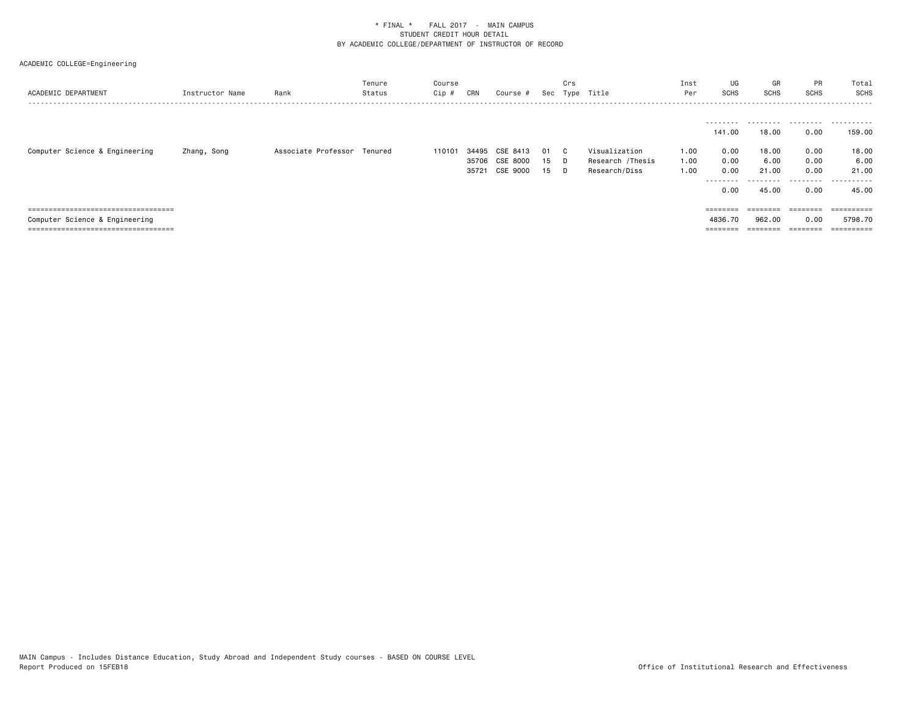| ACADEMIC DEPARTMENT                   | Instructor Name | Rank                        | Tenure<br>Status | Course<br>Cip # | CRN                     | Course #                         |                | Crs<br>Sec Type | Title                                              | Inst<br>Per          | UG<br><b>SCHS</b>                                           | GR<br>SCHS                               | <b>PR</b><br><b>SCHS</b>                       | Total<br>SCHS<br>-------------------------                |
|---------------------------------------|-----------------|-----------------------------|------------------|-----------------|-------------------------|----------------------------------|----------------|-----------------|----------------------------------------------------|----------------------|-------------------------------------------------------------|------------------------------------------|------------------------------------------------|-----------------------------------------------------------|
| Computer Science & Engineering        | Zhang, Song     | Associate Professor Tenured |                  | 110101          | 34495<br>35706<br>35721 | CSE 8413<br>CSE 8000<br>CSE 9000 | 01<br>15<br>15 | C.<br>D.<br>D.  | Visualization<br>Research /Thesis<br>Research/Diss | 1.00<br>1.00<br>1.00 | --------<br>141.00<br>0.00<br>0.00<br>0.00<br>-----<br>0.00 | 18,00<br>18.00<br>6.00<br>21.00<br>45.00 | .<br>0.00<br>0.00<br>0.00<br>0.00<br>.<br>0.00 | .<br>159.00<br>18.00<br>6.00<br>21.00<br>-------<br>45.00 |
| ====================================  |                 |                             |                  |                 |                         |                                  |                |                 |                                                    |                      |                                                             |                                          | ---------                                      |                                                           |
| Computer Science & Engineering        |                 |                             |                  |                 |                         |                                  |                |                 |                                                    |                      | 4836.70                                                     | 962,00                                   | 0.00                                           | 5798.70                                                   |
| ===================================== |                 |                             |                  |                 |                         |                                  |                |                 |                                                    |                      | $=$ = = = = = = =                                           |                                          | --------                                       |                                                           |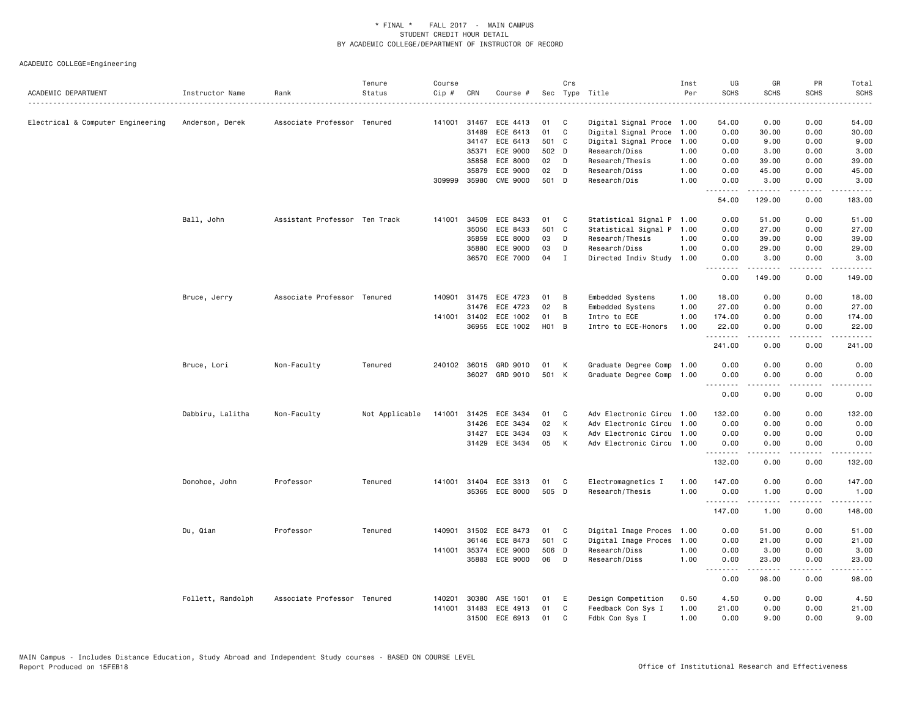| ACADEMIC DEPARTMENT               | Instructor Name   | Rank                          | Tenure<br>Status | Course<br>Cip # | CRN          | Course #              |       | Crs          | Sec Type Title            | Inst<br>Per | UG<br><b>SCHS</b>    | GR<br><b>SCHS</b>                                                                                                                                                                         | PR<br><b>SCHS</b>            | Total<br><b>SCHS</b><br>$\frac{1}{2} \left( \frac{1}{2} \right) \left( \frac{1}{2} \right) \left( \frac{1}{2} \right) \left( \frac{1}{2} \right) \left( \frac{1}{2} \right)$ |
|-----------------------------------|-------------------|-------------------------------|------------------|-----------------|--------------|-----------------------|-------|--------------|---------------------------|-------------|----------------------|-------------------------------------------------------------------------------------------------------------------------------------------------------------------------------------------|------------------------------|------------------------------------------------------------------------------------------------------------------------------------------------------------------------------|
| Electrical & Computer Engineering | Anderson, Derek   | Associate Professor Tenured   |                  | 141001          | 31467        | ECE 4413              | 01    | C            | Digital Signal Proce 1.00 |             | 54.00                | 0.00                                                                                                                                                                                      | 0.00                         | 54.00                                                                                                                                                                        |
|                                   |                   |                               |                  |                 | 31489        | ECE 6413              | 01    | C            | Digital Signal Proce      | 1.00        | 0.00                 | 30.00                                                                                                                                                                                     | 0.00                         | 30.00                                                                                                                                                                        |
|                                   |                   |                               |                  |                 | 34147        | ECE 6413              | 501 C |              | Digital Signal Proce      | 1.00        | 0.00                 | 9.00                                                                                                                                                                                      | 0.00                         | 9.00                                                                                                                                                                         |
|                                   |                   |                               |                  |                 | 35371        | ECE 9000              | 502 D |              | Research/Diss             | 1.00        | 0.00                 | 3.00                                                                                                                                                                                      | 0.00                         | 3.00                                                                                                                                                                         |
|                                   |                   |                               |                  |                 | 35858        | ECE 8000              | 02    | $\mathsf{D}$ | Research/Thesis           | 1.00        | 0.00                 | 39.00                                                                                                                                                                                     | 0.00                         | 39.00                                                                                                                                                                        |
|                                   |                   |                               |                  |                 | 35879        | ECE 9000              | 02    | D            | Research/Diss             | 1.00        | 0.00                 | 45.00                                                                                                                                                                                     | 0.00                         | 45.00                                                                                                                                                                        |
|                                   |                   |                               |                  | 309999          | 35980        | <b>CME 9000</b>       | 501 D |              | Research/Dis              | 1.00        | 0.00                 | 3.00<br>.                                                                                                                                                                                 | 0.00<br>$\sim$ $\sim$ $\sim$ | 3.00<br>المالم عامات                                                                                                                                                         |
|                                   |                   |                               |                  |                 |              |                       |       |              |                           |             | 54.00                | 129.00                                                                                                                                                                                    | 0.00                         | 183.00                                                                                                                                                                       |
|                                   | Ball, John        | Assistant Professor Ten Track |                  | 141001          | 34509        | ECE 8433              | 01    | C            | Statistical Signal P 1.00 |             | 0.00                 | 51.00                                                                                                                                                                                     | 0.00                         | 51.00                                                                                                                                                                        |
|                                   |                   |                               |                  |                 | 35050        | ECE 8433              | 501 C |              | Statistical Signal P 1.00 |             | 0.00                 | 27.00                                                                                                                                                                                     | 0.00                         | 27.00                                                                                                                                                                        |
|                                   |                   |                               |                  |                 | 35859        | ECE 8000              | 03    | D            | Research/Thesis           | 1.00        | 0.00                 | 39.00                                                                                                                                                                                     | 0.00                         | 39.00                                                                                                                                                                        |
|                                   |                   |                               |                  |                 | 35880        | ECE 9000              | 03    | D            | Research/Diss             | 1.00        | 0.00                 | 29.00                                                                                                                                                                                     | 0.00                         | 29.00                                                                                                                                                                        |
|                                   |                   |                               |                  |                 | 36570        | ECE 7000              | 04    | $\mathbf I$  | Directed Indiv Study      | 1.00        | 0.00                 | 3.00                                                                                                                                                                                      | 0.00                         | 3.00                                                                                                                                                                         |
|                                   |                   |                               |                  |                 |              |                       |       |              |                           |             | .<br>0.00            | $\frac{1}{2} \left( \frac{1}{2} \right) \left( \frac{1}{2} \right) \left( \frac{1}{2} \right) \left( \frac{1}{2} \right) \left( \frac{1}{2} \right) \left( \frac{1}{2} \right)$<br>149.00 | .<br>0.00                    | .<br>149.00                                                                                                                                                                  |
|                                   | Bruce, Jerry      | Associate Professor Tenured   |                  | 140901          | 31475        | ECE 4723              | 01    | В            | Embedded Systems          | 1.00        | 18.00                | 0.00                                                                                                                                                                                      | 0.00                         | 18.00                                                                                                                                                                        |
|                                   |                   |                               |                  |                 | 31476        | ECE 4723              | 02    | B            | Embedded Systems          | 1.00        | 27.00                | 0.00                                                                                                                                                                                      | 0.00                         | 27.00                                                                                                                                                                        |
|                                   |                   |                               |                  |                 | 141001 31402 | ECE 1002              | 01    | B            | Intro to ECE              | 1.00        | 174.00               | 0.00                                                                                                                                                                                      | 0.00                         | 174.00                                                                                                                                                                       |
|                                   |                   |                               |                  |                 | 36955        | ECE 1002              | H01 B |              | Intro to ECE-Honors       | 1.00        | 22.00<br><u>.</u>    | 0.00                                                                                                                                                                                      | 0.00<br>.                    | 22.00<br>.                                                                                                                                                                   |
|                                   |                   |                               |                  |                 |              |                       |       |              |                           |             | 241.00               | .<br>0.00                                                                                                                                                                                 | 0.00                         | 241.00                                                                                                                                                                       |
|                                   | Bruce, Lori       | Non-Faculty                   | Tenured          |                 |              | 240102 36015 GRD 9010 | 01    | K            | Graduate Degree Comp      | 1.00        | 0.00                 | 0.00                                                                                                                                                                                      | 0.00                         | 0.00                                                                                                                                                                         |
|                                   |                   |                               |                  |                 |              | 36027 GRD 9010        | 501 K |              | Graduate Degree Comp      | 1.00        | 0.00<br>.            | 0.00                                                                                                                                                                                      | 0.00                         | 0.00<br>.                                                                                                                                                                    |
|                                   |                   |                               |                  |                 |              |                       |       |              |                           |             | 0.00                 | 0.00                                                                                                                                                                                      | 0.00                         | 0.00                                                                                                                                                                         |
|                                   | Dabbiru, Lalitha  | Non-Faculty                   | Not Applicable   | 141001          | 31425        | ECE 3434              | 01    | C            | Adv Electronic Circu      | 1.00        | 132.00               | 0.00                                                                                                                                                                                      | 0.00                         | 132.00                                                                                                                                                                       |
|                                   |                   |                               |                  |                 | 31426        | ECE 3434              | 02    | К            | Adv Electronic Circu 1.00 |             | 0.00                 | 0.00                                                                                                                                                                                      | 0.00                         | 0.00                                                                                                                                                                         |
|                                   |                   |                               |                  |                 | 31427        | ECE 3434              | 03    | К            | Adv Electronic Circu 1.00 |             | 0.00                 | 0.00                                                                                                                                                                                      | 0.00                         | 0.00                                                                                                                                                                         |
|                                   |                   |                               |                  |                 | 31429        | ECE 3434              | 05    | K            | Adv Electronic Circu 1.00 |             | 0.00                 | 0.00                                                                                                                                                                                      | 0.00                         | 0.00                                                                                                                                                                         |
|                                   |                   |                               |                  |                 |              |                       |       |              |                           |             | . <b>.</b><br>132.00 | .<br>0.00                                                                                                                                                                                 | .<br>0.00                    | .<br>132.00                                                                                                                                                                  |
|                                   | Donohoe, John     | Professor                     | Tenured          |                 |              | 141001 31404 ECE 3313 | 01    | $\mathbf{C}$ | Electromagnetics I        | 1.00        | 147.00               | 0.00                                                                                                                                                                                      | 0.00                         | 147.00                                                                                                                                                                       |
|                                   |                   |                               |                  |                 | 35365        | ECE 8000              | 505 D |              | Research/Thesis           | 1.00        | 0.00<br>.            | 1.00<br>.                                                                                                                                                                                 | 0.00<br>بالمحامي             | 1.00<br>.                                                                                                                                                                    |
|                                   |                   |                               |                  |                 |              |                       |       |              |                           |             | 147.00               | 1.00                                                                                                                                                                                      | 0.00                         | 148.00                                                                                                                                                                       |
|                                   | Du, Qian          | Professor                     | Tenured          | 140901          | 31502        | ECE 8473              | 01    | C            | Digital Image Proces      | 1.00        | 0.00                 | 51.00                                                                                                                                                                                     | 0.00                         | 51.00                                                                                                                                                                        |
|                                   |                   |                               |                  |                 | 36146        | ECE 8473              | 501 C |              | Digital Image Proces      | 1.00        | 0.00                 | 21.00                                                                                                                                                                                     | 0.00                         | 21.00                                                                                                                                                                        |
|                                   |                   |                               |                  | 141001          | 35374        | ECE 9000              | 506 D |              | Research/Diss             | 1.00        | 0.00                 | 3.00                                                                                                                                                                                      | 0.00                         | 3.00                                                                                                                                                                         |
|                                   |                   |                               |                  |                 | 35883        | ECE 9000              | 06    | D            | Research/Diss             | 1.00        | 0.00<br><u>.</u>     | 23.00<br>.                                                                                                                                                                                | 0.00                         | 23.00<br>$    -$                                                                                                                                                             |
|                                   |                   |                               |                  |                 |              |                       |       |              |                           |             | 0.00                 | 98.00                                                                                                                                                                                     | 0.00                         | 98.00                                                                                                                                                                        |
|                                   | Follett, Randolph | Associate Professor Tenured   |                  | 140201          | 30380        | ASE 1501              | 01    | E            | Design Competition        | 0.50        | 4.50                 | 0.00                                                                                                                                                                                      | 0.00                         | 4.50                                                                                                                                                                         |
|                                   |                   |                               |                  | 141001          | 31483        | ECE 4913              | 01    | C            | Feedback Con Sys I        | 1.00        | 21.00                | 0.00                                                                                                                                                                                      | 0.00                         | 21.00                                                                                                                                                                        |
|                                   |                   |                               |                  |                 | 31500        | ECE 6913              | 01    | C            | Fdbk Con Sys I            | 1.00        | 0.00                 | 9.00                                                                                                                                                                                      | 0.00                         | 9.00                                                                                                                                                                         |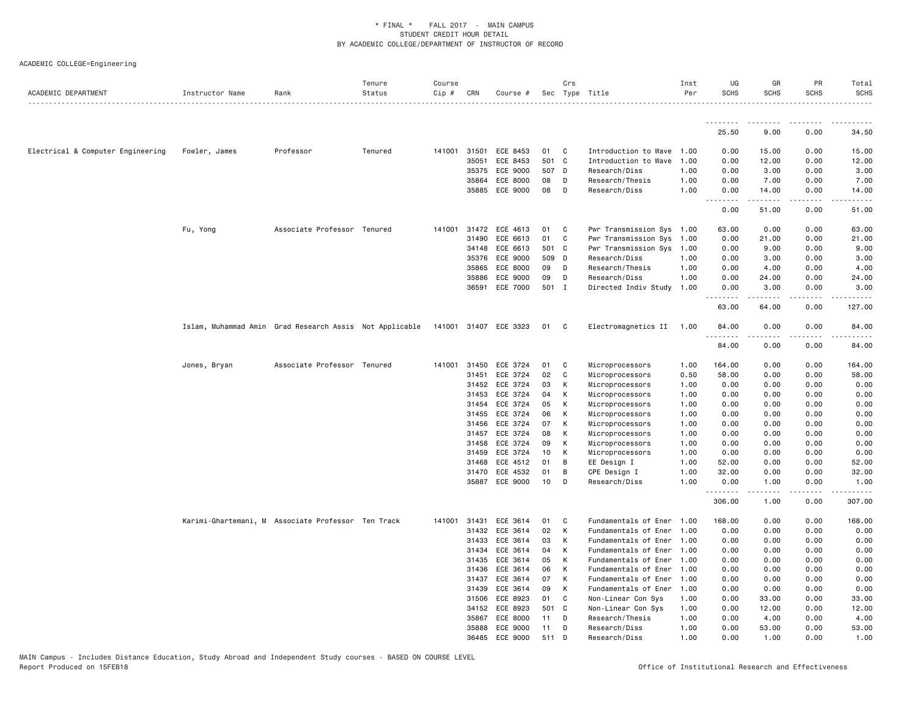| ACADEMIC DEPARTMENT               | Instructor Name | Rank                                                                          | Tenure<br>Status | Course<br>Cip # | CRN          | Course # |       | Crs          | Sec Type Title            | Inst<br>Per | UG<br><b>SCHS</b> | GR<br><b>SCHS</b>   | PR<br><b>SCHS</b> | Total<br><b>SCHS</b>  |
|-----------------------------------|-----------------|-------------------------------------------------------------------------------|------------------|-----------------|--------------|----------|-------|--------------|---------------------------|-------------|-------------------|---------------------|-------------------|-----------------------|
|                                   |                 |                                                                               |                  |                 |              |          |       |              |                           |             | .                 |                     |                   |                       |
|                                   |                 |                                                                               |                  |                 |              |          |       |              |                           |             | 25.50             | 9.00                | 0.00              | 34.50                 |
| Electrical & Computer Engineering | Fowler, James   | Professor                                                                     | Tenured          |                 | 141001 31501 | ECE 8453 | 01    | $\mathbf{C}$ | Introduction to Wave 1.00 |             | 0.00              | 15.00               | 0.00              | 15.00                 |
|                                   |                 |                                                                               |                  |                 | 35051        | ECE 8453 | 501 C |              | Introduction to Wave 1.00 |             | 0.00              | 12.00               | 0.00              | 12.00                 |
|                                   |                 |                                                                               |                  |                 | 35375        | ECE 9000 | 507 D |              | Research/Diss             | 1.00        | 0.00              | 3.00                | 0.00              | 3.00                  |
|                                   |                 |                                                                               |                  |                 | 35864        | ECE 8000 | 08    | D            | Research/Thesis           | 1.00        | 0.00              | 7.00                | 0.00              | 7.00                  |
|                                   |                 |                                                                               |                  |                 | 35885        | ECE 9000 | 08    | D            | Research/Diss             | 1.00        | 0.00<br>.         | 14.00<br>.          | 0.00<br>.         | 14.00<br>. <u>.</u> . |
|                                   |                 |                                                                               |                  |                 |              |          |       |              |                           |             | 0.00              | 51.00               | 0.00              | 51.00                 |
|                                   | Fu, Yong        | Associate Professor Tenured                                                   |                  | 141001          | 31472        | ECE 4613 | 01    | C            | Pwr Transmission Sys 1.00 |             | 63.00             | 0.00                | 0.00              | 63.00                 |
|                                   |                 |                                                                               |                  |                 | 31490        | ECE 6613 | 01    | C            | Pwr Transmission Sys 1.00 |             | 0.00              | 21.00               | 0.00              | 21.00                 |
|                                   |                 |                                                                               |                  |                 | 34148        | ECE 6613 | 501 C |              | Pwr Transmission Sys 1.00 |             | 0.00              | 9.00                | 0.00              | 9.00                  |
|                                   |                 |                                                                               |                  |                 | 35376        | ECE 9000 | 509 D |              | Research/Diss             | 1.00        | 0.00              | 3.00                | 0.00              | 3.00                  |
|                                   |                 |                                                                               |                  |                 | 35865        | ECE 8000 | 09    | D            | Research/Thesis           | 1.00        | 0.00              | 4.00                | 0.00              | 4.00                  |
|                                   |                 |                                                                               |                  |                 | 35886        | ECE 9000 | 09    | D            | Research/Diss             | 1.00        | 0.00              | 24.00               | 0.00              | 24.00                 |
|                                   |                 |                                                                               |                  |                 | 36591        | ECE 7000 | 501 I |              | Directed Indiv Study      | 1.00        | 0.00              | 3.00                | 0.00              | 3.00                  |
|                                   |                 |                                                                               |                  |                 |              |          |       |              |                           |             | 63.00             | 64.00               | 0.00              | 127.00                |
|                                   |                 | Islam, Muhammad Amin Grad Research Assis Not Applicable 141001 31407 ECE 3323 |                  |                 |              |          | 01    | $\mathbf{C}$ | Electromagnetics II 1.00  |             | 84.00<br><u>.</u> | 0.00<br>$- - - - -$ | 0.00<br>.         | 84.00                 |
|                                   |                 |                                                                               |                  |                 |              |          |       |              |                           |             | 84.00             | 0.00                | 0.00              | 84.00                 |
|                                   | Jones, Bryan    | Associate Professor Tenured                                                   |                  |                 | 141001 31450 | ECE 3724 | 01    | C            | Microprocessors           | 1.00        | 164.00            | 0.00                | 0.00              | 164.00                |
|                                   |                 |                                                                               |                  |                 | 31451        | ECE 3724 | 02    | C            | Microprocessors           | 0.50        | 58.00             | 0.00                | 0.00              | 58.00                 |
|                                   |                 |                                                                               |                  |                 | 31452        | ECE 3724 | 03    | К            | Microprocessors           | 1.00        | 0.00              | 0.00                | 0.00              | 0.00                  |
|                                   |                 |                                                                               |                  |                 | 31453        | ECE 3724 | 04    | К            | Microprocessors           | 1.00        | 0.00              | 0.00                | 0.00              | 0.00                  |
|                                   |                 |                                                                               |                  |                 | 31454        | ECE 3724 | 05    | к            | Microprocessors           | 1.00        | 0.00              | 0.00                | 0.00              | 0.00                  |
|                                   |                 |                                                                               |                  |                 | 31455        | ECE 3724 | 06    | К            | Microprocessors           | 1.00        | 0.00              | 0.00                | 0.00              | 0.00                  |
|                                   |                 |                                                                               |                  |                 | 31456        | ECE 3724 | 07    | Κ            | Microprocessors           | 1.00        | 0.00              | 0.00                | 0.00              | 0.00                  |
|                                   |                 |                                                                               |                  |                 | 31457        | ECE 3724 | 08    | K            | Microprocessors           | 1.00        | 0.00              | 0.00                | 0.00              | 0.00                  |
|                                   |                 |                                                                               |                  |                 | 31458        | ECE 3724 | 09    | к            | Microprocessors           | 1.00        | 0.00              | 0.00                | 0.00              | 0.00                  |
|                                   |                 |                                                                               |                  |                 | 31459        | ECE 3724 | 10    | К            | Microprocessors           | 1.00        | 0.00              | 0.00                | 0.00              | 0.00                  |
|                                   |                 |                                                                               |                  |                 | 31468        | ECE 4512 | 01    | B            | EE Design I               | 1.00        | 52.00             | 0.00                | 0.00              | 52.00                 |
|                                   |                 |                                                                               |                  |                 | 31470        | ECE 4532 | 01    | B            | CPE Design I              | 1.00        | 32.00             | 0.00                | 0.00              | 32.00                 |
|                                   |                 |                                                                               |                  |                 | 35887        | ECE 9000 | 10    | D            | Research/Diss             | 1.00        | 0.00<br>.         | 1.00                | 0.00              | 1.00                  |
|                                   |                 |                                                                               |                  |                 |              |          |       |              |                           |             | 306.00            | 1.00                | 0.00              | 307.00                |
|                                   |                 | Karimi-Ghartemani, M Associate Professor Ten Track                            |                  |                 | 141001 31431 | ECE 3614 | 01    | C            | Fundamentals of Ener 1.00 |             | 168.00            | 0.00                | 0.00              | 168.00                |
|                                   |                 |                                                                               |                  |                 | 31432        | ECE 3614 | 02    | К            | Fundamentals of Ener 1.00 |             | 0.00              | 0.00                | 0.00              | 0.00                  |
|                                   |                 |                                                                               |                  |                 | 31433        | ECE 3614 | 03    | K            | Fundamentals of Ener 1.00 |             | 0.00              | 0.00                | 0.00              | 0.00                  |
|                                   |                 |                                                                               |                  |                 | 31434        | ECE 3614 | 04    | K            | Fundamentals of Ener 1.00 |             | 0.00              | 0.00                | 0.00              | 0.00                  |
|                                   |                 |                                                                               |                  |                 | 31435        | ECE 3614 | 05    | K            | Fundamentals of Ener 1.00 |             | 0.00              | 0.00                | 0.00              | 0.00                  |
|                                   |                 |                                                                               |                  |                 | 31436        | ECE 3614 | 06    | К            | Fundamentals of Ener 1.00 |             | 0.00              | 0.00                | 0.00              | 0.00                  |
|                                   |                 |                                                                               |                  |                 | 31437        | ECE 3614 | 07    | К            | Fundamentals of Ener 1.00 |             | 0.00              | 0.00                | 0.00              | 0.00                  |
|                                   |                 |                                                                               |                  |                 | 31439        | ECE 3614 | 09    | К            | Fundamentals of Ener      | 1.00        | 0.00              | 0.00                | 0.00              | 0.00                  |
|                                   |                 |                                                                               |                  |                 | 31506        | ECE 8923 | 01    | C            | Non-Linear Con Sys        | 1.00        | 0.00              | 33.00               | 0.00              | 33.00                 |
|                                   |                 |                                                                               |                  |                 | 34152        | ECE 8923 | 501 C |              | Non-Linear Con Sys        | 1.00        | 0.00              | 12.00               | 0.00              | 12.00                 |
|                                   |                 |                                                                               |                  |                 | 35867        | ECE 8000 | 11    | D            | Research/Thesis           | 1.00        | 0.00              | 4.00                | 0.00              | 4.00                  |
|                                   |                 |                                                                               |                  |                 | 35888        | ECE 9000 | 11    | D            | Research/Diss             | 1.00        | 0.00              | 53.00               | 0.00              | 53.00                 |
|                                   |                 |                                                                               |                  |                 | 36485        | ECE 9000 | 511   | D            | Research/Diss             | 1.00        | 0.00              | 1.00                | 0.00              | 1.00                  |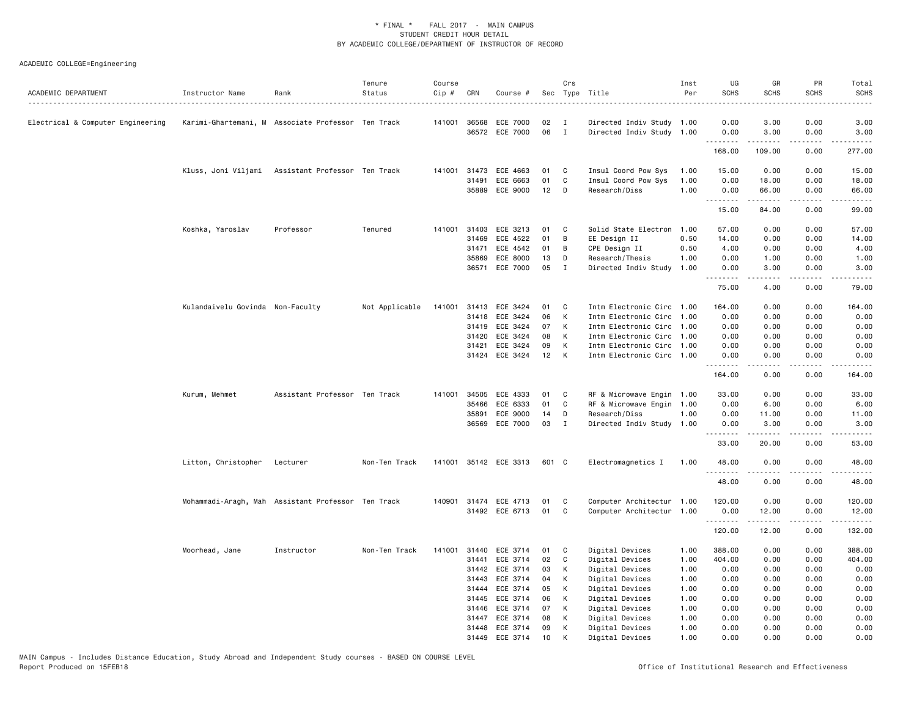| ACADEMIC DEPARTMENT               | Instructor Name                  | Rank                                               | Tenure<br>Status | Course<br>Cip # | CRN          | Course #              |       | Crs          | Sec Type Title            | Inst<br>Per | UG<br><b>SCHS</b>                    | GR<br><b>SCHS</b> | PR<br><b>SCHS</b> | Total<br><b>SCHS</b> |
|-----------------------------------|----------------------------------|----------------------------------------------------|------------------|-----------------|--------------|-----------------------|-------|--------------|---------------------------|-------------|--------------------------------------|-------------------|-------------------|----------------------|
| Electrical & Computer Engineering |                                  | Karimi-Ghartemani, M Associate Professor Ten Track |                  |                 | 141001 36568 | ECE 7000              | 02    | $\mathbf{I}$ | Directed Indiv Study 1.00 |             | 0.00                                 | 3.00              | 0.00              | 3.00                 |
|                                   |                                  |                                                    |                  |                 |              | 36572 ECE 7000        | 06    | $\mathbf{I}$ | Directed Indiv Study 1.00 |             | 0.00                                 | 3.00              | 0.00              | 3.00                 |
|                                   |                                  |                                                    |                  |                 |              |                       |       |              |                           |             | 168.00                               | 109.00            | 0.00              | 277.00               |
|                                   |                                  | Kluss, Joni Viljami Assistant Professor Ten Track  |                  |                 | 141001 31473 | ECE 4663              | 01    | C            | Insul Coord Pow Sys       | 1.00        | 15.00                                | 0.00              | 0.00              | 15.00                |
|                                   |                                  |                                                    |                  |                 | 31491        | ECE 6663              | 01    | C            | Insul Coord Pow Sys       | 1.00        | 0.00                                 | 18.00             | 0.00              | 18.00                |
|                                   |                                  |                                                    |                  |                 | 35889        | ECE 9000              | 12    | D            | Research/Diss             | 1.00        | 0.00                                 | 66.00             | 0.00              | 66.00                |
|                                   |                                  |                                                    |                  |                 |              |                       |       |              |                           |             | .<br>15.00                           | .<br>84.00        | .<br>0.00         | .<br>99.00           |
|                                   | Koshka, Yaroslav                 | Professor                                          | Tenured          |                 | 141001 31403 | ECE 3213              | 01    | C            | Solid State Electron      | 1.00        | 57.00                                | 0.00              | 0.00              | 57.00                |
|                                   |                                  |                                                    |                  |                 | 31469        | ECE 4522              | 01    | B            | EE Design II              | 0.50        | 14.00                                | 0.00              | 0.00              | 14.00                |
|                                   |                                  |                                                    |                  |                 | 31471        | ECE 4542              | 01    | B            | CPE Design II             | 0.50        | 4.00                                 | 0.00              | 0.00              | 4.00                 |
|                                   |                                  |                                                    |                  |                 | 35869        | ECE 8000              | 13    | D            | Research/Thesis           | 1.00        | 0.00                                 | 1.00              | 0.00              | 1.00                 |
|                                   |                                  |                                                    |                  |                 | 36571        | ECE 7000              | 05    | $\mathbf{I}$ | Directed Indiv Study      | 1.00        | 0.00                                 | 3.00              | 0.00              | 3.00                 |
|                                   |                                  |                                                    |                  |                 |              |                       |       |              |                           |             | 75.00                                | 4.00              | 0.00              | 79.00                |
|                                   | Kulandaivelu Govinda Non-Faculty |                                                    | Not Applicable   |                 | 141001 31413 | ECE 3424              | 01    | C            | Intm Electronic Circ      | 1.00        | 164.00                               | 0.00              | 0.00              | 164.00               |
|                                   |                                  |                                                    |                  |                 | 31418        | ECE 3424              | 06    | К            | Intm Electronic Circ      | 1.00        | 0.00                                 | 0.00              | 0.00              | 0.00                 |
|                                   |                                  |                                                    |                  |                 | 31419        | ECE 3424              | 07    | К            | Intm Electronic Circ 1.00 |             | 0.00                                 | 0.00              | 0.00              | 0.00                 |
|                                   |                                  |                                                    |                  |                 | 31420        | ECE 3424              | 08    | К            | Intm Electronic Circ 1.00 |             | 0.00                                 | 0.00              | 0.00              | 0.00                 |
|                                   |                                  |                                                    |                  |                 | 31421        | ECE 3424              | 09    | К            | Intm Electronic Circ      | 1.00        | 0.00                                 | 0.00              | 0.00              | 0.00                 |
|                                   |                                  |                                                    |                  |                 | 31424        | ECE 3424              | 12    | K            | Intm Electronic Circ      | 1.00        | 0.00                                 | 0.00              | 0.00              | 0.00                 |
|                                   |                                  |                                                    |                  |                 |              |                       |       |              |                           |             | .<br>164.00                          | -----<br>0.00     | .<br>0.00         | 164.00               |
|                                   | Kurum, Mehmet                    | Assistant Professor Ten Track                      |                  |                 | 141001 34505 | ECE 4333              | 01    | C            | RF & Microwave Engin      | 1.00        | 33.00                                | 0.00              | 0.00              | 33.00                |
|                                   |                                  |                                                    |                  |                 | 35466        | ECE 6333              | 01    | C            | RF & Microwave Engin      | 1.00        | 0.00                                 | 6.00              | 0.00              | 6.00                 |
|                                   |                                  |                                                    |                  |                 | 35891        | ECE 9000              | 14    | D            | Research/Diss             | 1.00        | 0.00                                 | 11.00             | 0.00              | 11.00                |
|                                   |                                  |                                                    |                  |                 | 36569        | ECE 7000              | 03    | $\mathbf{I}$ | Directed Indiv Study      | 1.00        | 0.00                                 | 3.00              | 0.00              | 3.00                 |
|                                   |                                  |                                                    |                  |                 |              |                       |       |              |                           |             | $\sim$ $\sim$ $\sim$ $\sim$<br>33.00 | 20.00             | 0.00              | 53.00                |
|                                   | Litton, Christopher Lecturer     |                                                    | Non-Ten Track    |                 |              | 141001 35142 ECE 3313 | 601 C |              | Electromagnetics I        | 1.00        | 48.00<br>.                           | 0.00              | 0.00<br>.         | 48.00<br>.           |
|                                   |                                  |                                                    |                  |                 |              |                       |       |              |                           |             | 48.00                                | 0.00              | 0.00              | 48.00                |
|                                   |                                  | Mohammadi-Aragh, Mah Assistant Professor Ten Track |                  |                 |              | 140901 31474 ECE 4713 | 01    | C            | Computer Architectur 1.00 |             | 120.00                               | 0.00              | 0.00              | 120.00               |
|                                   |                                  |                                                    |                  |                 |              | 31492 ECE 6713        | 01    | C            | Computer Architectur 1.00 |             | 0.00                                 | 12.00             | 0.00              | 12.00                |
|                                   |                                  |                                                    |                  |                 |              |                       |       |              |                           |             | .<br>120.00                          | .<br>12.00        | .<br>0.00         | .<br>132.00          |
|                                   | Moorhead, Jane                   | Instructor                                         | Non-Ten Track    | 141001          | 31440        | ECE 3714              | 01    | C            | Digital Devices           | 1.00        | 388.00                               | 0.00              | 0.00              | 388.00               |
|                                   |                                  |                                                    |                  |                 | 31441        | ECE 3714              | 02    | C            | Digital Devices           | 1.00        | 404.00                               | 0.00              | 0.00              | 404.00               |
|                                   |                                  |                                                    |                  |                 | 31442        | ECE 3714              | 03    | К            | Digital Devices           | 1.00        | 0.00                                 | 0.00              | 0.00              | 0.00                 |
|                                   |                                  |                                                    |                  |                 | 31443        | ECE 3714              | 04    | К            | Digital Devices           | 1.00        | 0.00                                 | 0.00              | 0.00              | 0.00                 |
|                                   |                                  |                                                    |                  |                 | 31444        | ECE 3714              | 05    | К            | Digital Devices           | 1.00        | 0.00                                 | 0.00              | 0.00              | 0.00                 |
|                                   |                                  |                                                    |                  |                 | 31445        | ECE 3714              | 06    | К            | Digital Devices           | 1.00        | 0.00                                 | 0.00              | 0.00              | 0.00                 |
|                                   |                                  |                                                    |                  |                 | 31446        | ECE 3714              | 07    | К            | Digital Devices           | 1.00        | 0.00                                 | 0.00              | 0.00              | 0.00                 |
|                                   |                                  |                                                    |                  |                 | 31447        | ECE 3714              | 08    | K            | Digital Devices           | 1.00        | 0.00                                 | 0.00              | 0.00              | 0.00                 |
|                                   |                                  |                                                    |                  |                 | 31448        | ECE 3714              | 09    | К            | Digital Devices           | 1.00        | 0.00                                 | 0.00              | 0.00              | 0.00                 |
|                                   |                                  |                                                    |                  |                 | 31449        | ECE 3714              | 10    | K            | Digital Devices           | 1.00        | 0.00                                 | 0.00              | 0.00              | 0.00                 |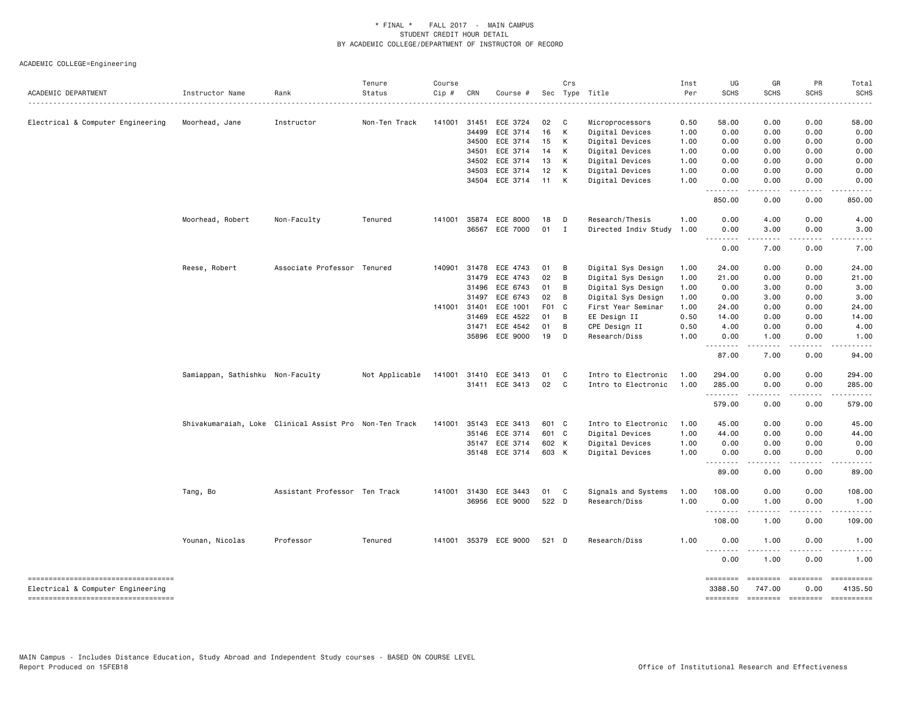| ACADEMIC DEPARTMENT                                                      | Instructor Name                  | Rank                                                   | Tenure<br>Status | Course<br>Cip # | CRN          | Course #       |       | Crs          | Sec Type Title       | Inst<br>Per | UG<br><b>SCHS</b>                                    | GR<br><b>SCHS</b>       | PR<br><b>SCHS</b> | Total<br><b>SCHS</b> |
|--------------------------------------------------------------------------|----------------------------------|--------------------------------------------------------|------------------|-----------------|--------------|----------------|-------|--------------|----------------------|-------------|------------------------------------------------------|-------------------------|-------------------|----------------------|
|                                                                          |                                  |                                                        |                  |                 |              |                |       |              |                      | ------      | .                                                    |                         |                   | .                    |
| Electrical & Computer Engineering                                        | Moorhead, Jane                   | Instructor                                             | Non-Ten Track    | 141001          | 31451        | ECE 3724       | 02    | $\mathbf{C}$ | Microprocessors      | 0.50        | 58.00                                                | 0.00                    | 0.00              | 58.00                |
|                                                                          |                                  |                                                        |                  |                 | 34499        | ECE 3714       | 16    | К            | Digital Devices      | 1.00        | 0.00                                                 | 0.00                    | 0.00              | 0.00                 |
|                                                                          |                                  |                                                        |                  |                 | 34500        | ECE 3714       | 15    | K            | Digital Devices      | 1.00        | 0.00                                                 | 0.00                    | 0.00              | 0.00                 |
|                                                                          |                                  |                                                        |                  |                 | 34501        | ECE 3714       | 14    | K            | Digital Devices      | 1.00        | 0.00                                                 | 0.00                    | 0.00              | 0.00                 |
|                                                                          |                                  |                                                        |                  |                 | 34502        | ECE 3714       | 13    | К            | Digital Devices      | 1.00        | 0.00                                                 | 0.00                    | 0.00              | 0.00                 |
|                                                                          |                                  |                                                        |                  |                 | 34503        | ECE 3714       | 12    | к            | Digital Devices      | 1.00        | 0.00                                                 | 0.00                    | 0.00              | 0.00                 |
|                                                                          |                                  |                                                        |                  |                 | 34504        | ECE 3714       | 11    | K            | Digital Devices      | 1.00        | 0.00<br>.                                            | 0.00                    | 0.00              | 0.00                 |
|                                                                          |                                  |                                                        |                  |                 |              |                |       |              |                      |             | 850.00                                               | 0.00                    | 0.00              | 850.00               |
|                                                                          | Moorhead, Robert                 | Non-Faculty                                            | Tenured          | 141001          | 35874        | ECE 8000       | 18    | D            | Research/Thesis      | 1.00        | 0.00                                                 | 4.00                    | 0.00              | 4.00                 |
|                                                                          |                                  |                                                        |                  |                 | 36567        | ECE 7000       | 01    | $\mathbf{I}$ | Directed Indiv Study | 1.00        | 0.00<br>$\sim$ $\sim$ $\sim$<br>$\sim$ $\sim$ $\sim$ | 3.00                    | 0.00              | 3.00                 |
|                                                                          |                                  |                                                        |                  |                 |              |                |       |              |                      |             | 0.00                                                 | 7.00                    | 0.00              | 7.00                 |
|                                                                          | Reese, Robert                    | Associate Professor Tenured                            |                  |                 | 140901 31478 | ECE 4743       | 01    | B            | Digital Sys Design   | 1.00        | 24.00                                                | 0.00                    | 0.00              | 24.00                |
|                                                                          |                                  |                                                        |                  |                 | 31479        | ECE 4743       | 02    | B            | Digital Sys Design   | 1.00        | 21.00                                                | 0.00                    | 0.00              | 21.00                |
|                                                                          |                                  |                                                        |                  |                 | 31496        | ECE 6743       | 01    | B            | Digital Sys Design   | 1.00        | 0.00                                                 | 3.00                    | 0.00              | 3.00                 |
|                                                                          |                                  |                                                        |                  |                 | 31497        | ECE 6743       | 02    | B            | Digital Sys Design   | 1.00        | 0.00                                                 | 3.00                    | 0.00              | 3.00                 |
|                                                                          |                                  |                                                        |                  | 141001 31401    |              | ECE 1001       | F01 C |              | First Year Seminar   | 1.00        | 24.00                                                | 0.00                    | 0.00              | 24.00                |
|                                                                          |                                  |                                                        |                  |                 | 31469        | ECE 4522       | 01    | B            | EE Design II         | 0.50        | 14.00                                                | 0.00                    | 0.00              | 14.00                |
|                                                                          |                                  |                                                        |                  |                 | 31471        | ECE 4542       | 01    | B            | CPE Design II        | 0.50        | 4.00                                                 | 0.00                    | 0.00              | 4.00                 |
|                                                                          |                                  |                                                        |                  |                 | 35896        | ECE 9000       | 19    | D            | Research/Diss        | 1.00        | 0.00<br>.                                            | 1.00                    | 0.00              | 1.00                 |
|                                                                          |                                  |                                                        |                  |                 |              |                |       |              |                      |             | 87.00                                                | 7.00                    | 0.00              | 94.00                |
|                                                                          | Samiappan, Sathishku Non-Faculty |                                                        | Not Applicable   | 141001          | 31410        | ECE 3413       | 01    | C            | Intro to Electronic  | 1.00        | 294.00                                               | 0.00                    | 0.00              | 294.00               |
|                                                                          |                                  |                                                        |                  |                 |              | 31411 ECE 3413 | 02    | C            | Intro to Electronic  | 1.00        | 285.00                                               | 0.00                    | 0.00              | 285.00               |
|                                                                          |                                  |                                                        |                  |                 |              |                |       |              |                      |             | .<br>579.00                                          | 0.00                    | 0.00              | 579.00               |
|                                                                          |                                  | Shivakumaraiah, Loke Clinical Assist Pro Non-Ten Track |                  | 141001          | 35143        | ECE 3413       | 601 C |              | Intro to Electronic  | 1.00        | 45.00                                                | 0.00                    | 0.00              | 45.00                |
|                                                                          |                                  |                                                        |                  |                 | 35146        | ECE 3714       | 601 C |              | Digital Devices      | 1.00        | 44.00                                                | 0.00                    | 0.00              | 44.00                |
|                                                                          |                                  |                                                        |                  |                 | 35147        | ECE 3714       | 602 K |              | Digital Devices      | 1.00        | 0.00                                                 | 0.00                    | 0.00              | 0.00                 |
|                                                                          |                                  |                                                        |                  |                 |              | 35148 ECE 3714 | 603 K |              | Digital Devices      | 1.00        | 0.00<br>.                                            | 0.00<br>.               | 0.00<br>.         | 0.00                 |
|                                                                          |                                  |                                                        |                  |                 |              |                |       |              |                      |             | 89.00                                                | 0.00                    | 0.00              | 89.00                |
|                                                                          | Tang, Bo                         | Assistant Professor Ten Track                          |                  | 141001          | 31430        | ECE 3443       | 01    | $\mathbf{C}$ | Signals and Systems  | 1.00        | 108.00                                               | 0.00                    | 0.00              | 108.00               |
|                                                                          |                                  |                                                        |                  |                 |              | 36956 ECE 9000 | 522 D |              | Research/Diss        | 1.00        | 0.00<br>.                                            | 1.00                    | 0.00<br>$\cdots$  | 1.00                 |
|                                                                          |                                  |                                                        |                  |                 |              |                |       |              |                      |             | 108.00                                               | 1.00                    | 0.00              | 109.00               |
|                                                                          | Younan, Nicolas                  | Professor                                              | Tenured          | 141001          |              | 35379 ECE 9000 | 521 D |              | Research/Diss        | 1.00        | 0.00                                                 | 1.00                    | 0.00              | 1.00                 |
|                                                                          |                                  |                                                        |                  |                 |              |                |       |              |                      |             | .<br>0.00                                            | 1.00                    | 0.00              | 1.00                 |
| -----------------------------------                                      |                                  |                                                        |                  |                 |              |                |       |              |                      |             | ========                                             | ========                | $=$ = = = = = = = | ==========           |
| Electrical & Computer Engineering<br>----------------------------------- |                                  |                                                        |                  |                 |              |                |       |              |                      |             | 3388.50<br>========                                  | 747.00<br>$= 222222222$ | 0.00              | 4135.50              |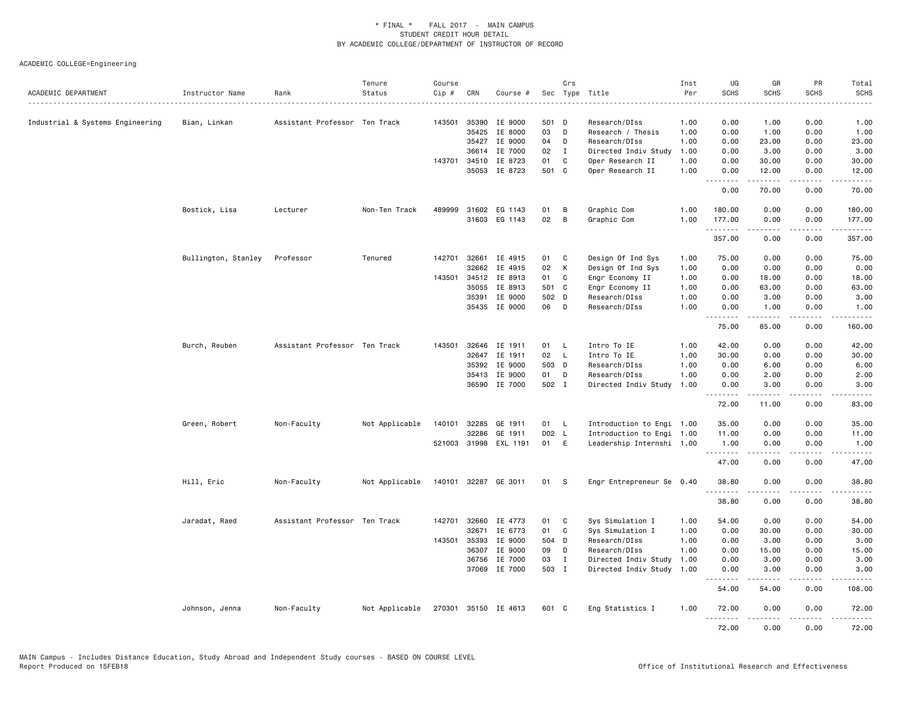| ACADEMIC DEPARTMENT              | Instructor Name<br>. | Rank                          | Tenure<br>Status | Course<br>Cip # | CRN          | Course #              |       | Crs          | Sec Type Title            | Inst<br>Per | UG<br><b>SCHS</b> | GR<br><b>SCHS</b>    | PR<br><b>SCHS</b> | Total<br><b>SCHS</b> |
|----------------------------------|----------------------|-------------------------------|------------------|-----------------|--------------|-----------------------|-------|--------------|---------------------------|-------------|-------------------|----------------------|-------------------|----------------------|
| Industrial & Systems Engineering | Bian, Linkan         | Assistant Professor Ten Track |                  | 143501          | 35390        | IE 9000               | 501 D |              | Research/DIss             | 1.00        | 0.00              | 1.00                 | 0.00              | 1.00                 |
|                                  |                      |                               |                  |                 | 35425        | IE 8000               | 03    | D            | Research / Thesis         | 1.00        | 0.00              | 1.00                 | 0.00              | 1.00                 |
|                                  |                      |                               |                  |                 | 35427        | IE 9000               | 04    | D            | Research/DIss             | 1.00        | 0.00              | 23.00                | 0.00              | 23.00                |
|                                  |                      |                               |                  |                 | 36614        | IE 7000               | 02    | $\mathbf{I}$ | Directed Indiv Study      | 1.00        | 0.00              | 3.00                 | 0.00              | 3.00                 |
|                                  |                      |                               |                  |                 |              | 143701 34510 IE 8723  | 01    | C            | Oper Research II          | 1.00        | 0.00              | 30.00                | 0.00              | 30.00                |
|                                  |                      |                               |                  |                 |              | 35053 IE 8723         | 501 C |              | Oper Research II          | 1.00        | 0.00<br>.         | 12.00<br>$- - - - -$ | 0.00<br>.         | 12.00<br>.           |
|                                  |                      |                               |                  |                 |              |                       |       |              |                           |             | 0.00              | 70.00                | 0.00              | 70.00                |
|                                  | Bostick, Lisa        | Lecturer                      | Non-Ten Track    | 489999          |              | 31602 EG 1143         | 01    | В            | Graphic Com               | 1.00        | 180.00            | 0.00                 | 0.00              | 180.00               |
|                                  |                      |                               |                  |                 |              | 31603 EG 1143         | 02    | B            | Graphic Com               | 1.00        | 177.00<br>.       | 0.00<br>.            | 0.00<br>.         | 177.00<br>.          |
|                                  |                      |                               |                  |                 |              |                       |       |              |                           |             | 357.00            | 0.00                 | 0.00              | 357.00               |
|                                  | Bullington, Stanley  | Professor                     | Tenured          | 142701          | 32661        | IE 4915               | 01 C  |              | Design Of Ind Sys         | 1.00        | 75.00             | 0.00                 | 0.00              | 75.00                |
|                                  |                      |                               |                  |                 | 32662        | IE 4915               | 02    | K            | Design Of Ind Sys         | 1.00        | 0.00              | 0.00                 | 0.00              | 0.00                 |
|                                  |                      |                               |                  | 143501          |              | 34512 IE 8913         | 01    | $\mathbf{C}$ | Engr Economy II           | 1.00        | 0.00              | 18.00                | 0.00              | 18.00                |
|                                  |                      |                               |                  |                 | 35055        | IE 8913               | 501 C |              | Engr Economy II           | 1.00        | 0.00              | 63.00                | 0.00              | 63.00                |
|                                  |                      |                               |                  |                 | 35391        | IE 9000               | 502 D |              | Research/DIss             | 1.00        | 0.00              | 3.00                 | 0.00              | 3.00                 |
|                                  |                      |                               |                  |                 |              | 35435 IE 9000         | 06    | D            | Research/DIss             | 1.00        | 0.00<br>.         | 1.00<br><b>.</b>     | 0.00<br>د د د د   | 1.00<br>.            |
|                                  |                      |                               |                  |                 |              |                       |       |              |                           |             | 75.00             | 85.00                | 0.00              | 160.00               |
|                                  | Burch, Reuben        | Assistant Professor Ten Track |                  | 143501          | 32646        | IE 1911               | 01    | - L          | Intro To IE               | 1.00        | 42.00             | 0.00                 | 0.00              | 42.00                |
|                                  |                      |                               |                  |                 |              | 32647 IE 1911         | 02    | - L          | Intro To IE               | 1.00        | 30.00             | 0.00                 | 0.00              | 30.00                |
|                                  |                      |                               |                  |                 | 35392        | IE 9000               | 503 D |              | Research/DIss             | 1.00        | 0.00              | 6.00                 | 0.00              | 6.00                 |
|                                  |                      |                               |                  |                 |              | 35413 IE 9000         | 01    | D            | Research/DIss             | 1.00        | 0.00              | 2.00                 | 0.00              | 2.00                 |
|                                  |                      |                               |                  |                 |              | 36590 IE 7000         | 502 I |              | Directed Indiv Study      | 1.00        | 0.00<br>.         | 3.00<br>22222        | 0.00<br>الأعامات  | 3.00<br>والمستحدث    |
|                                  |                      |                               |                  |                 |              |                       |       |              |                           |             | 72.00             | 11.00                | 0.00              | 83.00                |
|                                  | Green, Robert        | Non-Faculty                   | Not Applicable   | 140101          | 32285        | GE 1911               | 01    | - L          | Introduction to Engi 1.00 |             | 35.00             | 0.00                 | 0.00              | 35.00                |
|                                  |                      |                               |                  |                 | 32286        | GE 1911               | D02 L |              | Introduction to Engi 1.00 |             | 11.00             | 0.00                 | 0.00              | 11.00                |
|                                  |                      |                               |                  |                 |              | 521003 31998 EXL 1191 | 01 E  |              | Leadership Internshi 1.00 |             | 1.00<br>--------  | 0.00<br>.            | 0.00<br>.         | 1.00<br>.            |
|                                  |                      |                               |                  |                 |              |                       |       |              |                           |             | 47.00             | 0.00                 | 0.00              | 47.00                |
|                                  | Hill, Eric           | Non-Faculty                   | Not Applicable   |                 |              | 140101 32287 GE 3011  | 01 S  |              | Engr Entrepreneur Se 0.40 |             | 38.80<br>.        | 0.00<br>.            | 0.00<br>.         | 38.80<br>.           |
|                                  |                      |                               |                  |                 |              |                       |       |              |                           |             | 38.80             | 0.00                 | 0.00              | 38.80                |
|                                  | Jaradat, Raed        | Assistant Professor Ten Track |                  | 142701          | 32660        | IE 4773               | 01    | C            | Sys Simulation I          | 1.00        | 54.00             | 0.00                 | 0.00              | 54.00                |
|                                  |                      |                               |                  |                 | 32671        | IE 6773               | 01    | C            | Sys Simulation I          | 1.00        | 0.00              | 30.00                | 0.00              | 30.00                |
|                                  |                      |                               |                  |                 | 143501 35393 | IE 9000               | 504 D |              | Research/DIss             | 1.00        | 0.00              | 3.00                 | 0.00              | 3.00                 |
|                                  |                      |                               |                  |                 | 36307        | IE 9000               | 09    | D            | Research/DIss             | 1.00        | 0.00              | 15.00                | 0.00              | 15.00                |
|                                  |                      |                               |                  |                 |              | 36756 IE 7000         | 03    | $\mathbf{I}$ | Directed Indiv Study      | 1.00        | 0.00              | 3.00                 | 0.00              | 3.00                 |
|                                  |                      |                               |                  |                 |              | 37069 IE 7000         | 503 I |              | Directed Indiv Study 1.00 |             | 0.00<br><b></b>   | 3.00<br>$    -$      | 0.00<br>.         | 3.00<br>.            |
|                                  |                      |                               |                  |                 |              |                       |       |              |                           |             | 54.00             | 54.00                | 0.00              | 108.00               |
|                                  | Johnson, Jenna       | Non-Faculty                   | Not Applicable   | 270301          |              | 35150 IE 4613         | 601 C |              | Eng Statistics I          | 1.00        | 72.00<br>.        | 0.00<br>.            | 0.00<br>.         | 72.00<br>.           |
|                                  |                      |                               |                  |                 |              |                       |       |              |                           |             | 72.00             | 0.00                 | 0.00              | 72.00                |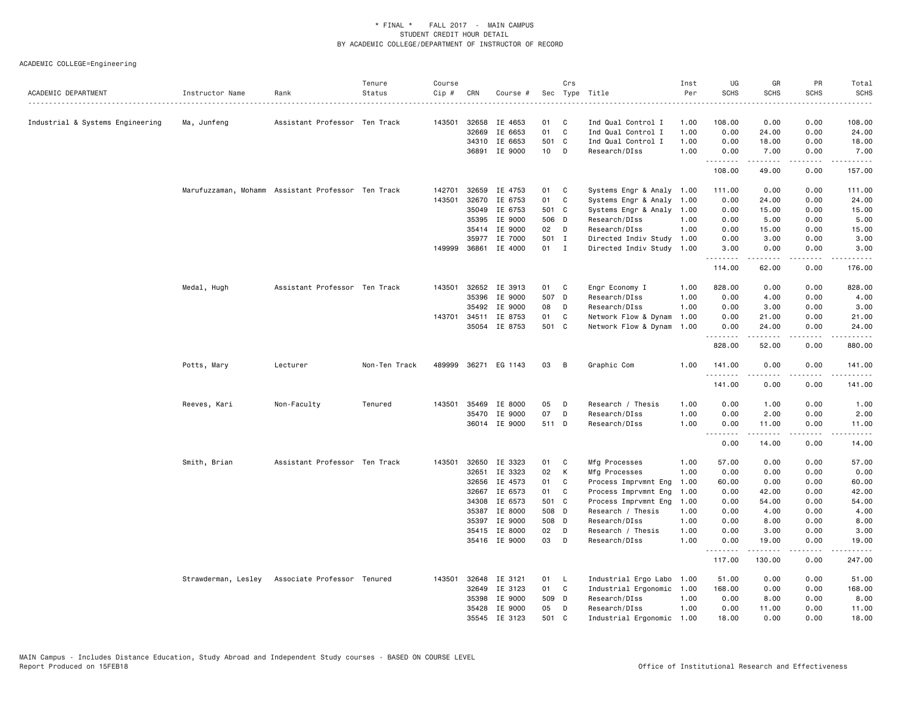| ACADEMIC DEPARTMENT              | Instructor Name                                    | Rank                          | Tenure<br>Status | Course<br>Cip # | CRN          | Course #             |                 | Crs          | Sec Type Title            | Inst<br>Per | UG<br><b>SCHS</b> | GR<br><b>SCHS</b>         | PR<br><b>SCHS</b>            | Total<br><b>SCHS</b> |
|----------------------------------|----------------------------------------------------|-------------------------------|------------------|-----------------|--------------|----------------------|-----------------|--------------|---------------------------|-------------|-------------------|---------------------------|------------------------------|----------------------|
| Industrial & Systems Engineering | Ma, Junfeng                                        | Assistant Professor Ten Track |                  | 143501          | 32658        | IE 4653              | 01              | C            | Ind Qual Control I        | 1.00        | 108.00            | 0.00                      | 0.00                         | 108.00               |
|                                  |                                                    |                               |                  |                 | 32669        | IE 6653              | 01              | $\mathbf c$  | Ind Qual Control I        | 1.00        | 0.00              | 24.00                     | 0.00                         | 24.00                |
|                                  |                                                    |                               |                  |                 | 34310        | IE 6653              | 501 C           |              | Ind Qual Control I        | 1.00        | 0.00              | 18.00                     | 0.00                         | 18.00                |
|                                  |                                                    |                               |                  |                 | 36891        | IE 9000              | 10 <sub>1</sub> | - D          | Research/DIss             | 1.00        | 0.00              | 7.00                      | 0.00                         | 7.00                 |
|                                  |                                                    |                               |                  |                 |              |                      |                 |              |                           |             | 108.00            | .<br>49.00                | بالمحامي<br>0.00             | .<br>157.00          |
|                                  | Marufuzzaman, Mohamm Assistant Professor Ten Track |                               |                  | 142701          | 32659        | IE 4753              | 01              | C            | Systems Engr & Analy 1.00 |             | 111.00            | 0.00                      | 0.00                         | 111.00               |
|                                  |                                                    |                               |                  | 143501          | 32670        | IE 6753              | 01              | C            | Systems Engr & Analy      | 1.00        | 0.00              | 24.00                     | 0.00                         | 24.00                |
|                                  |                                                    |                               |                  |                 | 35049        | IE 6753              | 501 C           |              | Systems Engr & Analy 1.00 |             | 0.00              | 15.00                     | 0.00                         | 15.00                |
|                                  |                                                    |                               |                  |                 | 35395        | IE 9000              | 506 D           |              | Research/DIss             | 1.00        | 0.00              | 5.00                      | 0.00                         | 5.00                 |
|                                  |                                                    |                               |                  |                 | 35414        | IE 9000              | 02 D            |              | Research/DIss             | 1.00        | 0.00              | 15.00                     | 0.00                         | 15.00                |
|                                  |                                                    |                               |                  |                 | 35977        | IE 7000              | 501 I           |              | Directed Indiv Study      | 1.00        | 0.00              | 3.00                      | 0.00                         | 3.00                 |
|                                  |                                                    |                               |                  |                 | 149999 36861 | IE 4000              | 01              | $\mathbf{I}$ | Directed Indiv Study 1.00 |             | 3.00              | 0.00                      | 0.00                         | 3.00                 |
|                                  |                                                    |                               |                  |                 |              |                      |                 |              |                           |             | .<br>114.00       | $-2 - 2 - 2 - 2$<br>62.00 | الأعامات<br>0.00             | .<br>176.00          |
|                                  | Medal, Hugh                                        | Assistant Professor Ten Track |                  |                 |              | 143501 32652 IE 3913 | 01 C            |              | Engr Economy I            | 1.00        | 828.00            | 0.00                      | 0.00                         | 828.00               |
|                                  |                                                    |                               |                  |                 | 35396        | IE 9000              | 507 D           |              | Research/DIss             | 1.00        | 0.00              | 4.00                      | 0.00                         | 4.00                 |
|                                  |                                                    |                               |                  |                 | 35492        | IE 9000              | 08              | D            | Research/DIss             | 1.00        | 0.00              | 3.00                      | 0.00                         | 3.00                 |
|                                  |                                                    |                               |                  |                 | 143701 34511 | IE 8753              | 01              | $\mathbf{C}$ | Network Flow & Dynam      | 1.00        | 0.00              | 21.00                     | 0.00                         | 21.00                |
|                                  |                                                    |                               |                  |                 |              | 35054 IE 8753        | 501 C           |              | Network Flow & Dynam      | 1.00        | 0.00              | 24.00                     | 0.00                         | 24.00                |
|                                  |                                                    |                               |                  |                 |              |                      |                 |              |                           |             | .<br>828.00       | -----<br>52.00            | $\sim$ $\sim$ $\sim$<br>0.00 | .<br>880.00          |
|                                  | Potts, Mary                                        | Lecturer                      | Non-Ten Track    |                 |              | 489999 36271 EG 1143 | 03              | B            | Graphic Com               | 1.00        | 141.00            | 0.00                      | 0.00                         | 141.00               |
|                                  |                                                    |                               |                  |                 |              |                      |                 |              |                           |             | .<br>141.00       | -----<br>0.00             | .<br>0.00                    | .<br>141.00          |
|                                  | Reeves, Kari                                       | Non-Faculty                   | Tenured          | 143501          | 35469        | IE 8000              | 05              | D            | Research / Thesis         | 1.00        | 0.00              | 1.00                      | 0.00                         | 1.00                 |
|                                  |                                                    |                               |                  |                 |              | 35470 IE 9000        | 07              | D            | Research/DIss             | 1.00        | 0.00              | 2.00                      | 0.00                         | 2.00                 |
|                                  |                                                    |                               |                  |                 |              | 36014 IE 9000        | 511 D           |              | Research/DIss             | 1.00        | 0.00              | 11.00                     | 0.00                         | 11.00                |
|                                  |                                                    |                               |                  |                 |              |                      |                 |              |                           |             | .<br>0.00         | .<br>14.00                | .<br>0.00                    | .<br>14.00           |
|                                  | Smith, Brian                                       | Assistant Professor Ten Track |                  | 143501          |              | 32650 IE 3323        | 01              | C            | Mfg Processes             | 1.00        | 57.00             | 0.00                      | 0.00                         | 57.00                |
|                                  |                                                    |                               |                  |                 | 32651        | IE 3323              | 02              | К            | Mfg Processes             | 1.00        | 0.00              | 0.00                      | 0.00                         | 0.00                 |
|                                  |                                                    |                               |                  |                 | 32656        | IE 4573              | 01              | C            | Process Imprvmnt Eng      | 1.00        | 60.00             | 0.00                      | 0.00                         | 60.00                |
|                                  |                                                    |                               |                  |                 | 32667        | IE 6573              | 01              | C            | Process Imprvmnt Eng      | 1.00        | 0.00              | 42.00                     | 0.00                         | 42.00                |
|                                  |                                                    |                               |                  |                 | 34308        | IE 6573              | 501 C           |              | Process Imprvmnt Eng      | 1.00        | 0.00              | 54.00                     | 0.00                         | 54.00                |
|                                  |                                                    |                               |                  |                 | 35387        | IE 8000              | 508 D           |              | Research / Thesis         | 1.00        | 0.00              | 4.00                      | 0.00                         | 4.00                 |
|                                  |                                                    |                               |                  |                 | 35397        | IE 9000              | 508 D           |              | Research/DIss             | 1.00        | 0.00              | 8.00                      | 0.00                         | 8.00                 |
|                                  |                                                    |                               |                  |                 | 35415        | IE 8000              | 02              | D            | Research / Thesis         | 1.00        | 0.00              | 3.00                      | 0.00                         | 3.00                 |
|                                  |                                                    |                               |                  |                 |              | 35416 IE 9000        | 03              | D            | Research/DIss             | 1.00        | 0.00              | 19.00                     | 0.00                         | 19.00                |
|                                  |                                                    |                               |                  |                 |              |                      |                 |              |                           |             | .<br>117.00       | .<br>130.00               | د د د د<br>0.00              | .<br>247.00          |
|                                  | Strawderman, Lesley                                | Associate Professor Tenured   |                  |                 |              | 143501 32648 IE 3121 | 01 L            |              | Industrial Ergo Labo 1.00 |             | 51.00             | 0.00                      | 0.00                         | 51.00                |
|                                  |                                                    |                               |                  |                 | 32649        | IE 3123              | 01              | C            | Industrial Ergonomic 1.00 |             | 168.00            | 0.00                      | 0.00                         | 168.00               |
|                                  |                                                    |                               |                  |                 | 35398        | IE 9000              | 509 D           |              | Research/DIss             | 1.00        | 0.00              | 8.00                      | 0.00                         | 8.00                 |
|                                  |                                                    |                               |                  |                 | 35428        | IE 9000              | 05              | D            | Research/DIss             | 1.00        | 0.00              | 11.00                     | 0.00                         | 11.00                |
|                                  |                                                    |                               |                  |                 |              | 35545 IE 3123        | 501             | C            | Industrial Ergonomic 1.00 |             | 18.00             | 0.00                      | 0.00                         | 18,00                |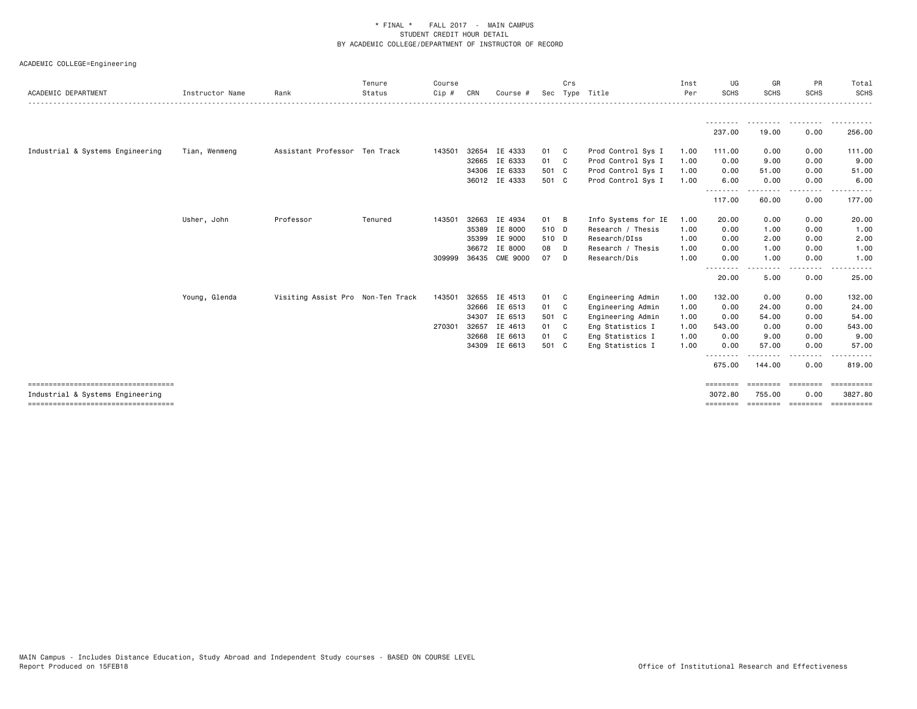| ACADEMIC DEPARTMENT                    | Instructor Name | Rank                              | Tenure<br>Status | Course<br>Cip # | CRN   | Course #      | Sec   | Crs          | Tvpe Title          | Inst<br>Per | UG<br><b>SCHS</b>  | GR<br><b>SCHS</b>                                                                                                                                                                                                                                                                                                                                                                                                                                                                                                                                                       | PR<br><b>SCHS</b> | Total<br><b>SCHS</b> |
|----------------------------------------|-----------------|-----------------------------------|------------------|-----------------|-------|---------------|-------|--------------|---------------------|-------------|--------------------|-------------------------------------------------------------------------------------------------------------------------------------------------------------------------------------------------------------------------------------------------------------------------------------------------------------------------------------------------------------------------------------------------------------------------------------------------------------------------------------------------------------------------------------------------------------------------|-------------------|----------------------|
|                                        |                 |                                   |                  |                 |       |               |       |              |                     |             |                    |                                                                                                                                                                                                                                                                                                                                                                                                                                                                                                                                                                         |                   |                      |
|                                        |                 |                                   |                  |                 |       |               |       |              |                     |             | 237.00             | --------<br>19.00                                                                                                                                                                                                                                                                                                                                                                                                                                                                                                                                                       | .<br>0.00         | 256.00               |
| Industrial & Systems Engineering       | Tian, Wenmeng   | Assistant Professor Ten Track     |                  | 143501          | 32654 | IE 4333       | 01    | - C          | Prod Control Sys I  | 1.00        | 111.00             | 0.00                                                                                                                                                                                                                                                                                                                                                                                                                                                                                                                                                                    | 0.00              | 111.00               |
|                                        |                 |                                   |                  |                 |       | 32665 IE 6333 | 01 C  |              | Prod Control Sys I  | 1.00        | 0.00               | 9.00                                                                                                                                                                                                                                                                                                                                                                                                                                                                                                                                                                    | 0.00              | 9.00                 |
|                                        |                 |                                   |                  |                 |       | 34306 IE 6333 | 501 C |              | Prod Control Sys I  | 1.00        | 0.00               | 51.00                                                                                                                                                                                                                                                                                                                                                                                                                                                                                                                                                                   | 0.00              | 51.00                |
|                                        |                 |                                   |                  |                 |       | 36012 IE 4333 | 501 C |              | Prod Control Sys I  | 1.00        | 6.00<br>.          | 0.00<br>$- - - - -$                                                                                                                                                                                                                                                                                                                                                                                                                                                                                                                                                     | 0.00<br>.         | 6.00<br>.            |
|                                        |                 |                                   |                  |                 |       |               |       |              |                     |             | 117.00             | 60.00                                                                                                                                                                                                                                                                                                                                                                                                                                                                                                                                                                   | 0.00              | 177.00               |
|                                        | Usher, John     | Professor                         | Tenured          | 143501          | 32663 | IE 4934       | 01    | B            | Info Systems for IE | 1.00        | 20.00              | 0.00                                                                                                                                                                                                                                                                                                                                                                                                                                                                                                                                                                    | 0.00              | 20.00                |
|                                        |                 |                                   |                  |                 | 35389 | IE 8000       | 510 D |              | Research / Thesis   | 1.00        | 0.00               | 1.00                                                                                                                                                                                                                                                                                                                                                                                                                                                                                                                                                                    | 0.00              | 1.00                 |
|                                        |                 |                                   |                  |                 |       | 35399 IE 9000 | 510 D |              | Research/DIss       | 1.00        | 0.00               | 2.00                                                                                                                                                                                                                                                                                                                                                                                                                                                                                                                                                                    | 0.00              | 2.00                 |
|                                        |                 |                                   |                  |                 | 36672 | IE 8000       | 08    | D            | Research / Thesis   | 1.00        | 0.00               | 1.00                                                                                                                                                                                                                                                                                                                                                                                                                                                                                                                                                                    | 0.00              | 1.00                 |
|                                        |                 |                                   |                  | 309999          | 36435 | CME 9000      | 07    | D            | Research/Dis        | 1.00        | 0.00               | 1.00                                                                                                                                                                                                                                                                                                                                                                                                                                                                                                                                                                    | 0.00              | 1.00                 |
|                                        |                 |                                   |                  |                 |       |               |       |              |                     |             | --------<br>20.00  | . <b>.</b><br>5.00                                                                                                                                                                                                                                                                                                                                                                                                                                                                                                                                                      | $\cdots$<br>0.00  | 25.00                |
|                                        | Young, Glenda   | Visiting Assist Pro Non-Ten Track |                  | 143501          |       | 32655 IE 4513 | 01 C  |              | Engineering Admin   | 1.00        | 132.00             | 0.00                                                                                                                                                                                                                                                                                                                                                                                                                                                                                                                                                                    | 0.00              | 132.00               |
|                                        |                 |                                   |                  |                 | 32666 | IE 6513       | 01 C  |              | Engineering Admin   | 1.00        | 0.00               | 24.00                                                                                                                                                                                                                                                                                                                                                                                                                                                                                                                                                                   | 0.00              | 24.00                |
|                                        |                 |                                   |                  |                 | 34307 | IE 6513       | 501 C |              | Engineering Admin   | 1.00        | 0.00               | 54.00                                                                                                                                                                                                                                                                                                                                                                                                                                                                                                                                                                   | 0.00              | 54.00                |
|                                        |                 |                                   |                  | 270301          | 32657 | IE 4613       | 01    | $\mathbf{C}$ | Eng Statistics I    | 1.00        | 543.00             | 0.00                                                                                                                                                                                                                                                                                                                                                                                                                                                                                                                                                                    | 0.00              | 543.00               |
|                                        |                 |                                   |                  |                 |       | 32668 IE 6613 | 01    | C .          | Eng Statistics I    | 1.00        | 0.00               | 9.00                                                                                                                                                                                                                                                                                                                                                                                                                                                                                                                                                                    | 0.00              | 9.00                 |
|                                        |                 |                                   |                  |                 |       | 34309 IE 6613 | 501 C |              | Eng Statistics I    | 1.00        | 0.00               | 57.00                                                                                                                                                                                                                                                                                                                                                                                                                                                                                                                                                                   | 0.00              | 57.00                |
|                                        |                 |                                   |                  |                 |       |               |       |              |                     |             | --------<br>675.00 | -------<br>144.00                                                                                                                                                                                                                                                                                                                                                                                                                                                                                                                                                       | $- - - -$<br>0.00 | .<br>819.00          |
| ====================================   |                 |                                   |                  |                 |       |               |       |              |                     |             | ========           | $\begin{minipage}{0.03\textwidth} \centering \begin{minipage}{0.03\textwidth} \centering \centering \end{minipage} \begin{minipage}{0.03\textwidth} \centering \centering \end{minipage} \begin{minipage}{0.03\textwidth} \centering \centering \begin{minipage}{0.03\textwidth} \centering \centering \end{minipage} \end{minipage} \begin{minipage}{0.03\textwidth} \centering \centering \end{minipage} \begin{minipage}{0.03\textwidth} \centering \centering \end{minipage} \begin{minipage}{0.03\textwidth} \centering \centering \end{minipage} \begin{minipage$ |                   | <b>CONSIDERS</b>     |
| Industrial & Systems Engineering       |                 |                                   |                  |                 |       |               |       |              |                     |             | 3072.80            | 755.00                                                                                                                                                                                                                                                                                                                                                                                                                                                                                                                                                                  | 0.00              | 3827.80              |
| ====================================== |                 |                                   |                  |                 |       |               |       |              |                     |             | ========           |                                                                                                                                                                                                                                                                                                                                                                                                                                                                                                                                                                         |                   | -----------          |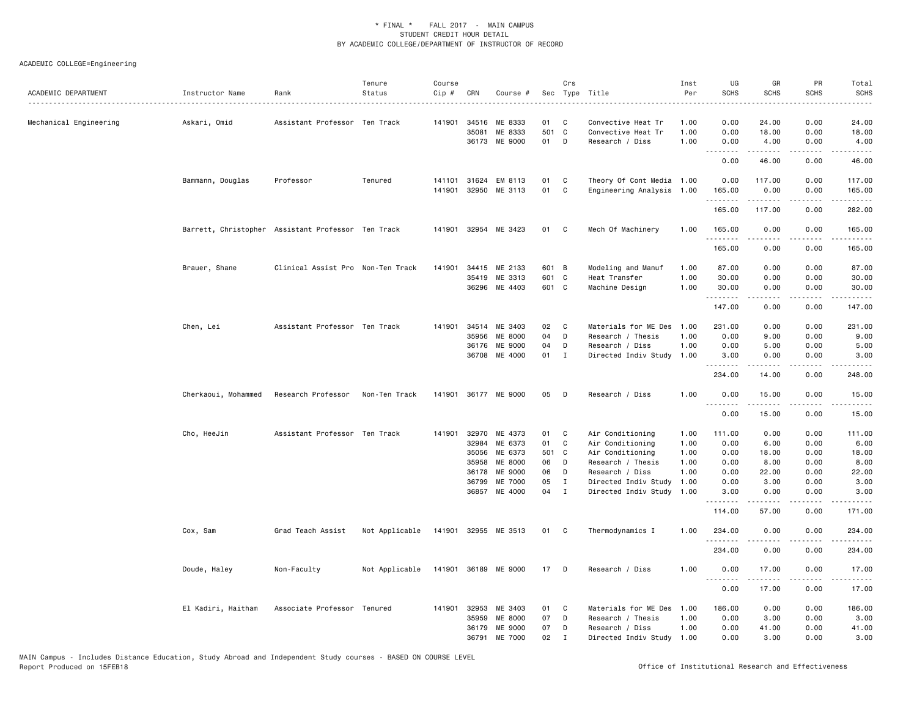| ACADEMIC DEPARTMENT    | Instructor Name     | Rank                                               | Tenure<br>Status | Course<br>Cip # | CRN            | Course #             |          | Crs                          | Sec Type Title                               | Inst<br>Per  | UG<br><b>SCHS</b>   | GR<br><b>SCHS</b>        | PR<br><b>SCHS</b> | Total<br><b>SCHS</b><br>. |
|------------------------|---------------------|----------------------------------------------------|------------------|-----------------|----------------|----------------------|----------|------------------------------|----------------------------------------------|--------------|---------------------|--------------------------|-------------------|---------------------------|
| Mechanical Engineering | Askari, Omid        | Assistant Professor Ten Track                      |                  |                 | 141901 34516   | ME 8333              | 01       | C                            | Convective Heat Tr                           | 1.00         | 0.00                | 24.00                    | 0.00              | 24.00                     |
|                        |                     |                                                    |                  |                 | 35081          | ME 8333              | 501 C    |                              | Convective Heat Tr                           | 1.00         | 0.00                | 18.00                    | 0.00              | 18.00                     |
|                        |                     |                                                    |                  |                 |                | 36173 ME 9000        | 01       | D                            | Research / Diss                              | 1.00         | 0.00<br>.           | 4.00<br>.                | 0.00<br>.         | 4.00<br>.                 |
|                        |                     |                                                    |                  |                 |                |                      |          |                              |                                              |              | 0.00                | 46.00                    | 0.00              | 46.00                     |
|                        | Bammann, Douglas    | Professor                                          | Tenured          | 141101          |                | 31624 EM 8113        | 01       | C                            | Theory Of Cont Media 1.00                    |              | 0.00                | 117.00                   | 0.00              | 117.00                    |
|                        |                     |                                                    |                  | 141901          | 32950          | ME 3113              | 01       | C                            | Engineering Analysis 1.00                    |              | 165.00<br>.         | 0.00<br>.                | 0.00<br>.         | 165.00<br>.               |
|                        |                     |                                                    |                  |                 |                |                      |          |                              |                                              |              | 165.00              | 117.00                   | 0.00              | 282.00                    |
|                        |                     | Barrett, Christopher Assistant Professor Ten Track |                  |                 |                | 141901 32954 ME 3423 | 01       | C <sub>1</sub>               | Mech Of Machinery                            | 1.00         | 165.00<br>.         | 0.00<br>.                | 0.00<br>.         | 165.00<br>.               |
|                        |                     |                                                    |                  |                 |                |                      |          |                              |                                              |              | 165.00              | 0.00                     | 0.00              | 165.00                    |
|                        | Brauer, Shane       | Clinical Assist Pro Non-Ten Track                  |                  |                 |                | 141901 34415 ME 2133 | 601 B    |                              | Modeling and Manuf                           | 1.00         | 87.00               | 0.00                     | 0.00              | 87.00                     |
|                        |                     |                                                    |                  |                 | 35419          | ME 3313              | 601 C    |                              | Heat Transfer                                | 1.00         | 30.00               | 0.00                     | 0.00              | 30.00                     |
|                        |                     |                                                    |                  |                 |                | 36296 ME 4403        | 601 C    |                              | Machine Design                               | 1.00         | 30.00<br>. <b>.</b> | 0.00                     | 0.00              | 30.00                     |
|                        |                     |                                                    |                  |                 |                |                      |          |                              |                                              |              | 147.00              | 0.00                     | 0.00              | 147.00                    |
|                        | Chen, Lei           | Assistant Professor Ten Track                      |                  |                 |                | 141901 34514 ME 3403 | 02       | C                            | Materials for ME Des                         | 1.00         | 231.00              | 0.00                     | 0.00              | 231.00                    |
|                        |                     |                                                    |                  |                 | 35956          | ME 8000              | 04       | D                            | Research / Thesis                            | 1.00         | 0.00                | 9.00                     | 0.00              | 9.00                      |
|                        |                     |                                                    |                  |                 | 36176          | ME 9000              | 04       | D                            | Research / Diss                              | 1.00         | 0.00                | 5.00                     | 0.00              | 5.00                      |
|                        |                     |                                                    |                  |                 |                | 36708 ME 4000        | 01 I     |                              | Directed Indiv Study                         | 1.00         | 3,00<br>.           | 0.00                     | 0.00              | 3.00                      |
|                        |                     |                                                    |                  |                 |                |                      |          |                              |                                              |              | 234.00              | 14.00                    | 0.00              | 248.00                    |
|                        | Cherkaoui, Mohammed | Research Professor                                 | Non-Ten Track    |                 |                | 141901 36177 ME 9000 | 05       | D                            | Research / Diss                              | 1.00         | 0.00<br>.           | 15.00                    | 0.00              | 15.00                     |
|                        |                     |                                                    |                  |                 |                |                      |          |                              |                                              |              | 0.00                | 15.00                    | 0.00              | 15.00                     |
|                        | Cho, HeeJin         | Assistant Professor Ten Track                      |                  |                 |                | 141901 32970 ME 4373 | 01       | C                            | Air Conditioning                             | 1.00         | 111.00              | 0.00                     | 0.00              | 111.00                    |
|                        |                     |                                                    |                  |                 | 32984          | ME 6373              | 01       | C                            | Air Conditioning                             | 1.00         | 0.00                | 6.00                     | 0.00              | 6.00                      |
|                        |                     |                                                    |                  |                 | 35056          | ME 6373              | 501 C    |                              | Air Conditioning                             | 1.00         | 0.00                | 18.00                    | 0.00              | 18.00                     |
|                        |                     |                                                    |                  |                 | 35958          | ME 8000              | 06       | D                            | Research / Thesis                            | 1.00         | 0.00                | 8.00                     | 0.00              | 8.00                      |
|                        |                     |                                                    |                  |                 | 36178          | ME 9000              | 06       | D                            | Research / Diss                              | 1.00         | 0.00                | 22.00                    | 0.00              | 22.00                     |
|                        |                     |                                                    |                  |                 | 36799<br>36857 | ME 7000<br>ME 4000   | 05<br>04 | $\mathbf{I}$<br>$\mathbf{I}$ | Directed Indiv Study<br>Directed Indiv Study | 1.00<br>1.00 | 0.00<br>3.00        | 3.00<br>0.00             | 0.00<br>0.00      | 3.00<br>3.00              |
|                        |                     |                                                    |                  |                 |                |                      |          |                              |                                              |              | .                   |                          |                   |                           |
|                        |                     |                                                    |                  |                 |                |                      |          |                              |                                              |              | 114.00              | 57.00                    | 0.00              | 171.00                    |
|                        | Cox, Sam            | Grad Teach Assist                                  | Not Applicable   |                 |                | 141901 32955 ME 3513 | 01 C     |                              | Thermodynamics I                             | 1.00         | 234.00              | 0.00                     | 0.00              | 234.00                    |
|                        |                     |                                                    |                  |                 |                |                      |          |                              |                                              |              | 234.00              | 0.00                     | 0.00              | 234.00                    |
|                        | Doude, Haley        | Non-Faculty                                        | Not Applicable   |                 |                | 141901 36189 ME 9000 | 17       | D                            | Research / Diss                              | 1.00         | 0.00<br>.           | 17.00<br>المتمام المتعاد | 0.00<br>.         | 17.00<br>.                |
|                        |                     |                                                    |                  |                 |                |                      |          |                              |                                              |              | 0.00                | 17.00                    | 0.00              | 17.00                     |
|                        | El Kadiri, Haitham  | Associate Professor Tenured                        |                  |                 | 141901 32953   | ME 3403              | 01       | C                            | Materials for ME Des                         | 1.00         | 186.00              | 0.00                     | 0.00              | 186.00                    |
|                        |                     |                                                    |                  |                 | 35959          | ME 8000              | 07       | D                            | Research / Thesis                            | 1.00         | 0.00                | 3.00                     | 0.00              | 3.00                      |
|                        |                     |                                                    |                  |                 | 36179          | ME 9000              | 07       | D                            | Research / Diss                              | 1.00         | 0.00                | 41.00                    | 0.00              | 41.00                     |
|                        |                     |                                                    |                  |                 | 36791          | ME 7000              | 02       | $\mathbf I$                  | Directed Indiv Study 1.00                    |              | 0.00                | 3.00                     | 0.00              | 3.00                      |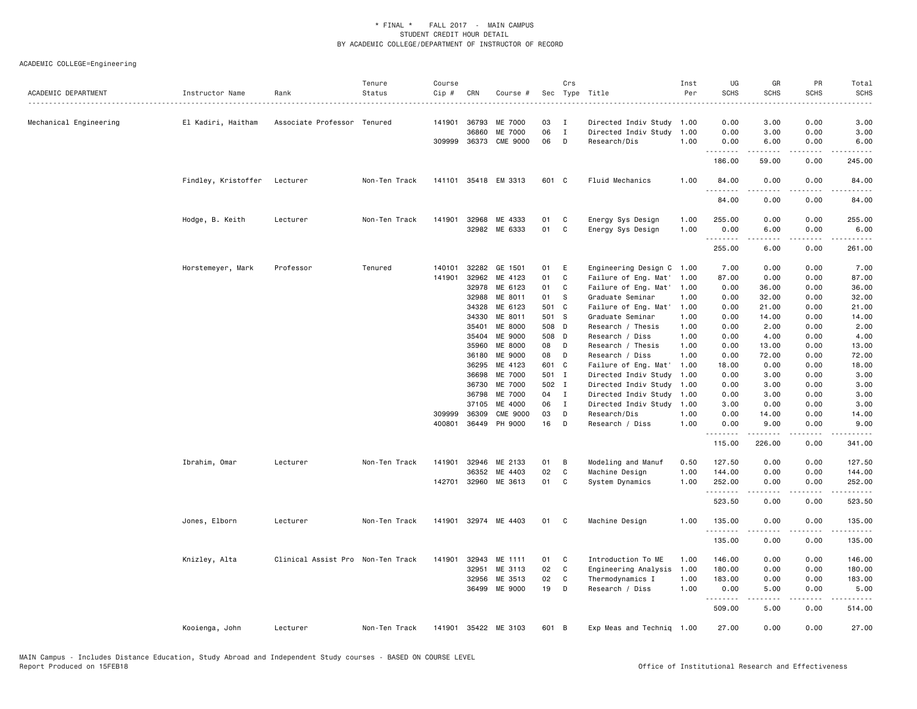| ACADEMIC DEPARTMENT    | Instructor Name     | Rank                              | Tenure<br>Status | Course<br>Cip # | CRN                   | Course #                   |          | Crs              | Sec Type Title                       | Inst<br>Per  | UG<br><b>SCHS</b><br>$\frac{1}{2} \left( \frac{1}{2} \right) \left( \frac{1}{2} \right) \left( \frac{1}{2} \right) \left( \frac{1}{2} \right)$ | GR<br><b>SCHS</b>                                                                                                                                                                                                                                                                                                                            | PR<br><b>SCHS</b> | Total<br><b>SCHS</b>                                                                                                                                                                                                                                                                                                                         |
|------------------------|---------------------|-----------------------------------|------------------|-----------------|-----------------------|----------------------------|----------|------------------|--------------------------------------|--------------|------------------------------------------------------------------------------------------------------------------------------------------------|----------------------------------------------------------------------------------------------------------------------------------------------------------------------------------------------------------------------------------------------------------------------------------------------------------------------------------------------|-------------------|----------------------------------------------------------------------------------------------------------------------------------------------------------------------------------------------------------------------------------------------------------------------------------------------------------------------------------------------|
| Mechanical Engineering | El Kadiri, Haitham  | Associate Professor Tenured       |                  |                 | 141901 36793          | ME 7000                    | 03       | I                | Directed Indiv Study 1.00            |              | 0.00                                                                                                                                           | 3.00                                                                                                                                                                                                                                                                                                                                         | 0.00              | 3.00                                                                                                                                                                                                                                                                                                                                         |
|                        |                     |                                   |                  |                 | 36860<br>309999 36373 | ME 7000<br><b>CME 9000</b> | 06<br>06 | $\mathbf I$<br>D | Directed Indiv Study<br>Research/Dis | 1.00<br>1.00 | 0.00<br>0.00                                                                                                                                   | 3.00<br>6.00                                                                                                                                                                                                                                                                                                                                 | 0.00<br>0.00      | 3.00<br>6.00                                                                                                                                                                                                                                                                                                                                 |
|                        |                     |                                   |                  |                 |                       |                            |          |                  |                                      |              | .<br>186.00                                                                                                                                    | $\frac{1}{2} \left( \frac{1}{2} \right) \left( \frac{1}{2} \right) \left( \frac{1}{2} \right) \left( \frac{1}{2} \right) \left( \frac{1}{2} \right)$<br>59.00                                                                                                                                                                                | .<br>0.00         | .<br>245.00                                                                                                                                                                                                                                                                                                                                  |
|                        | Findley, Kristoffer | Lecturer                          | Non-Ten Track    |                 |                       | 141101 35418 EM 3313       | 601 C    |                  | Fluid Mechanics                      | 1.00         | 84.00                                                                                                                                          | 0.00                                                                                                                                                                                                                                                                                                                                         | 0.00              | 84.00                                                                                                                                                                                                                                                                                                                                        |
|                        |                     |                                   |                  |                 |                       |                            |          |                  |                                      |              | .<br>84.00                                                                                                                                     | 0.00                                                                                                                                                                                                                                                                                                                                         | 0.00              | 84.00                                                                                                                                                                                                                                                                                                                                        |
|                        | Hodge, B. Keith     | Lecturer                          | Non-Ten Track    |                 | 141901 32968          | ME 4333                    | 01       | C                | Energy Sys Design                    | 1.00         | 255.00                                                                                                                                         | 0.00                                                                                                                                                                                                                                                                                                                                         | 0.00              | 255.00                                                                                                                                                                                                                                                                                                                                       |
|                        |                     |                                   |                  |                 |                       | 32982 ME 6333              | 01       | <b>C</b>         | Energy Sys Design                    | 1.00         | 0.00                                                                                                                                           | 6.00                                                                                                                                                                                                                                                                                                                                         | 0.00              | 6.00                                                                                                                                                                                                                                                                                                                                         |
|                        |                     |                                   |                  |                 |                       |                            |          |                  |                                      |              | .<br>255.00                                                                                                                                    | <u>.</u><br>6.00                                                                                                                                                                                                                                                                                                                             | .<br>0.00         | <u>.</u><br>261.00                                                                                                                                                                                                                                                                                                                           |
|                        | Horstemeyer, Mark   | Professor                         | Tenured          | 140101          | 32282                 | GE 1501                    | 01       | E                | Engineering Design C                 | 1.00         | 7.00                                                                                                                                           | 0.00                                                                                                                                                                                                                                                                                                                                         | 0.00              | 7.00                                                                                                                                                                                                                                                                                                                                         |
|                        |                     |                                   |                  | 141901          | 32962                 | ME 4123                    | 01       | C                | Failure of Eng. Mat'                 | 1.00         | 87.00                                                                                                                                          | 0.00                                                                                                                                                                                                                                                                                                                                         | 0.00              | 87.00                                                                                                                                                                                                                                                                                                                                        |
|                        |                     |                                   |                  |                 | 32978                 | ME 6123                    | 01       | C                | Failure of Eng. Mat'                 | 1.00         | 0.00                                                                                                                                           | 36.00                                                                                                                                                                                                                                                                                                                                        | 0.00              | 36.00                                                                                                                                                                                                                                                                                                                                        |
|                        |                     |                                   |                  |                 | 32988                 | ME 8011                    | 01       | <b>S</b>         | Graduate Seminar                     | 1.00         | 0.00                                                                                                                                           | 32.00                                                                                                                                                                                                                                                                                                                                        | 0.00              | 32.00                                                                                                                                                                                                                                                                                                                                        |
|                        |                     |                                   |                  |                 | 34328                 | ME 6123                    | 501 C    |                  | Failure of Eng. Mat                  | 1.00         | 0.00                                                                                                                                           | 21.00                                                                                                                                                                                                                                                                                                                                        | 0.00              | 21.00                                                                                                                                                                                                                                                                                                                                        |
|                        |                     |                                   |                  |                 | 34330                 | ME 8011                    | 501 S    |                  | Graduate Seminar                     | 1.00         | 0.00                                                                                                                                           | 14.00                                                                                                                                                                                                                                                                                                                                        | 0.00              | 14.00                                                                                                                                                                                                                                                                                                                                        |
|                        |                     |                                   |                  |                 | 35401                 | ME 8000                    | 508 D    |                  | Research / Thesis                    | 1.00         | 0.00                                                                                                                                           | 2.00                                                                                                                                                                                                                                                                                                                                         | 0.00              | 2.00                                                                                                                                                                                                                                                                                                                                         |
|                        |                     |                                   |                  |                 | 35404                 | ME 9000                    | 508 D    |                  | Research / Diss                      | 1.00         | 0.00                                                                                                                                           | 4.00                                                                                                                                                                                                                                                                                                                                         | 0.00              | 4.00                                                                                                                                                                                                                                                                                                                                         |
|                        |                     |                                   |                  |                 | 35960                 | ME 8000                    | 08       | D                | Research / Thesis                    | 1.00         | 0.00                                                                                                                                           | 13.00                                                                                                                                                                                                                                                                                                                                        | 0.00              | 13.00                                                                                                                                                                                                                                                                                                                                        |
|                        |                     |                                   |                  |                 | 36180                 | ME 9000                    | 08       | D                | Research / Diss                      | 1.00         | 0.00                                                                                                                                           | 72.00                                                                                                                                                                                                                                                                                                                                        | 0.00              | 72.00                                                                                                                                                                                                                                                                                                                                        |
|                        |                     |                                   |                  |                 | 36295                 | ME 4123                    | 601 C    |                  | Failure of Eng. Mat'                 | 1.00         | 18.00                                                                                                                                          | 0.00                                                                                                                                                                                                                                                                                                                                         | 0.00              | 18.00                                                                                                                                                                                                                                                                                                                                        |
|                        |                     |                                   |                  |                 | 36698                 | ME 7000                    | 501 I    |                  | Directed Indiv Study                 | 1.00         | 0.00                                                                                                                                           | 3.00                                                                                                                                                                                                                                                                                                                                         | 0.00              | 3.00                                                                                                                                                                                                                                                                                                                                         |
|                        |                     |                                   |                  |                 | 36730                 | ME 7000                    | 502 I    |                  | Directed Indiv Study                 | 1.00         | 0.00                                                                                                                                           | 3.00                                                                                                                                                                                                                                                                                                                                         | 0.00              | 3.00                                                                                                                                                                                                                                                                                                                                         |
|                        |                     |                                   |                  |                 | 36798                 | ME 7000                    | 04       | $\mathbf{I}$     | Directed Indiv Study                 | 1.00         | 0.00                                                                                                                                           | 3.00                                                                                                                                                                                                                                                                                                                                         | 0.00              | 3.00                                                                                                                                                                                                                                                                                                                                         |
|                        |                     |                                   |                  |                 | 37105                 | ME 4000                    | 06       | $\mathbf{I}$     | Directed Indiv Study                 | 1.00         | 3.00                                                                                                                                           | 0.00                                                                                                                                                                                                                                                                                                                                         | 0.00              | 3.00                                                                                                                                                                                                                                                                                                                                         |
|                        |                     |                                   |                  | 309999          | 36309                 | <b>CME 9000</b>            | 03       | D                | Research/Dis                         | 1.00         | 0.00                                                                                                                                           | 14.00                                                                                                                                                                                                                                                                                                                                        | 0.00              | 14.00                                                                                                                                                                                                                                                                                                                                        |
|                        |                     |                                   |                  |                 | 400801 36449          | PH 9000                    | 16       | D                | Research / Diss                      | 1.00         | 0.00<br>.                                                                                                                                      | 9.00<br>.                                                                                                                                                                                                                                                                                                                                    | 0.00<br>.         | 9.00<br>$\frac{1}{2} \left( \frac{1}{2} \right) \left( \frac{1}{2} \right) \left( \frac{1}{2} \right) \left( \frac{1}{2} \right) \left( \frac{1}{2} \right)$                                                                                                                                                                                 |
|                        |                     |                                   |                  |                 |                       |                            |          |                  |                                      |              | 115.00                                                                                                                                         | 226.00                                                                                                                                                                                                                                                                                                                                       | 0.00              | 341.00                                                                                                                                                                                                                                                                                                                                       |
|                        | Ibrahim, Omar       | Lecturer                          | Non-Ten Track    | 141901          | 32946                 | ME 2133                    | 01       | B                | Modeling and Manuf                   | 0.50         | 127.50                                                                                                                                         | 0.00                                                                                                                                                                                                                                                                                                                                         | 0.00              | 127.50                                                                                                                                                                                                                                                                                                                                       |
|                        |                     |                                   |                  |                 | 36352                 | ME 4403                    | 02       | C.               | Machine Design                       | 1.00         | 144.00                                                                                                                                         | 0.00                                                                                                                                                                                                                                                                                                                                         | 0.00              | 144.00                                                                                                                                                                                                                                                                                                                                       |
|                        |                     |                                   |                  |                 | 142701 32960          | ME 3613                    | 01       | C                | System Dynamics                      | 1.00         | 252.00<br>.                                                                                                                                    | 0.00                                                                                                                                                                                                                                                                                                                                         | 0.00<br>$- - - -$ | 252.00<br><u>.</u>                                                                                                                                                                                                                                                                                                                           |
|                        |                     |                                   |                  |                 |                       |                            |          |                  |                                      |              | 523.50                                                                                                                                         | 0.00                                                                                                                                                                                                                                                                                                                                         | 0.00              | 523.50                                                                                                                                                                                                                                                                                                                                       |
|                        | Jones, Elborn       | Lecturer                          | Non-Ten Track    |                 |                       | 141901 32974 ME 4403       | 01 C     |                  | Machine Design                       | 1.00         | 135.00<br>.                                                                                                                                    | 0.00<br><u>.</u>                                                                                                                                                                                                                                                                                                                             | 0.00<br>.         | 135.00<br>. <u>.</u> .                                                                                                                                                                                                                                                                                                                       |
|                        |                     |                                   |                  |                 |                       |                            |          |                  |                                      |              | 135.00                                                                                                                                         | 0.00                                                                                                                                                                                                                                                                                                                                         | 0.00              | 135.00                                                                                                                                                                                                                                                                                                                                       |
|                        | Knizley, Alta       | Clinical Assist Pro Non-Ten Track |                  | 141901          | 32943                 | ME 1111                    | 01       | C                | Introduction To ME                   | 1.00         | 146.00                                                                                                                                         | 0.00                                                                                                                                                                                                                                                                                                                                         | 0.00              | 146.00                                                                                                                                                                                                                                                                                                                                       |
|                        |                     |                                   |                  |                 | 32951                 | ME 3113                    | 02       | $\mathbf{C}$     | Engineering Analysis                 | 1.00         | 180.00                                                                                                                                         | 0.00                                                                                                                                                                                                                                                                                                                                         | 0.00              | 180.00                                                                                                                                                                                                                                                                                                                                       |
|                        |                     |                                   |                  |                 | 32956                 | ME 3513                    | 02       | C                | Thermodynamics I                     | 1.00         | 183.00                                                                                                                                         | 0.00                                                                                                                                                                                                                                                                                                                                         | 0.00              | 183.00                                                                                                                                                                                                                                                                                                                                       |
|                        |                     |                                   |                  |                 | 36499                 | ME 9000                    | 19       | D                | Research / Diss                      | 1.00         | 0.00<br>.                                                                                                                                      | 5.00<br>$\frac{1}{2} \left( \begin{array}{ccc} 1 & 0 & 0 & 0 \\ 0 & 0 & 0 & 0 \\ 0 & 0 & 0 & 0 \\ 0 & 0 & 0 & 0 \\ 0 & 0 & 0 & 0 \\ 0 & 0 & 0 & 0 \\ 0 & 0 & 0 & 0 \\ 0 & 0 & 0 & 0 \\ 0 & 0 & 0 & 0 \\ 0 & 0 & 0 & 0 \\ 0 & 0 & 0 & 0 & 0 \\ 0 & 0 & 0 & 0 & 0 \\ 0 & 0 & 0 & 0 & 0 \\ 0 & 0 & 0 & 0 & 0 \\ 0 & 0 & 0 & 0 & 0 \\ 0 & 0 & 0$ | 0.00<br>.         | 5.00<br>$\frac{1}{2} \left( \begin{array}{ccc} 1 & 0 & 0 & 0 \\ 0 & 0 & 0 & 0 \\ 0 & 0 & 0 & 0 \\ 0 & 0 & 0 & 0 \\ 0 & 0 & 0 & 0 \\ 0 & 0 & 0 & 0 \\ 0 & 0 & 0 & 0 \\ 0 & 0 & 0 & 0 \\ 0 & 0 & 0 & 0 \\ 0 & 0 & 0 & 0 \\ 0 & 0 & 0 & 0 & 0 \\ 0 & 0 & 0 & 0 & 0 \\ 0 & 0 & 0 & 0 & 0 \\ 0 & 0 & 0 & 0 & 0 \\ 0 & 0 & 0 & 0 & 0 \\ 0 & 0 & 0$ |
|                        |                     |                                   |                  |                 |                       |                            |          |                  |                                      |              | 509.00                                                                                                                                         | 5.00                                                                                                                                                                                                                                                                                                                                         | 0.00              | 514.00                                                                                                                                                                                                                                                                                                                                       |
|                        | Kooienga, John      | Lecturer                          | Non-Ten Track    | 141901          |                       | 35422 ME 3103              | 601 B    |                  | Exp Meas and Techniq 1.00            |              | 27.00                                                                                                                                          | 0.00                                                                                                                                                                                                                                                                                                                                         | 0.00              | 27.00                                                                                                                                                                                                                                                                                                                                        |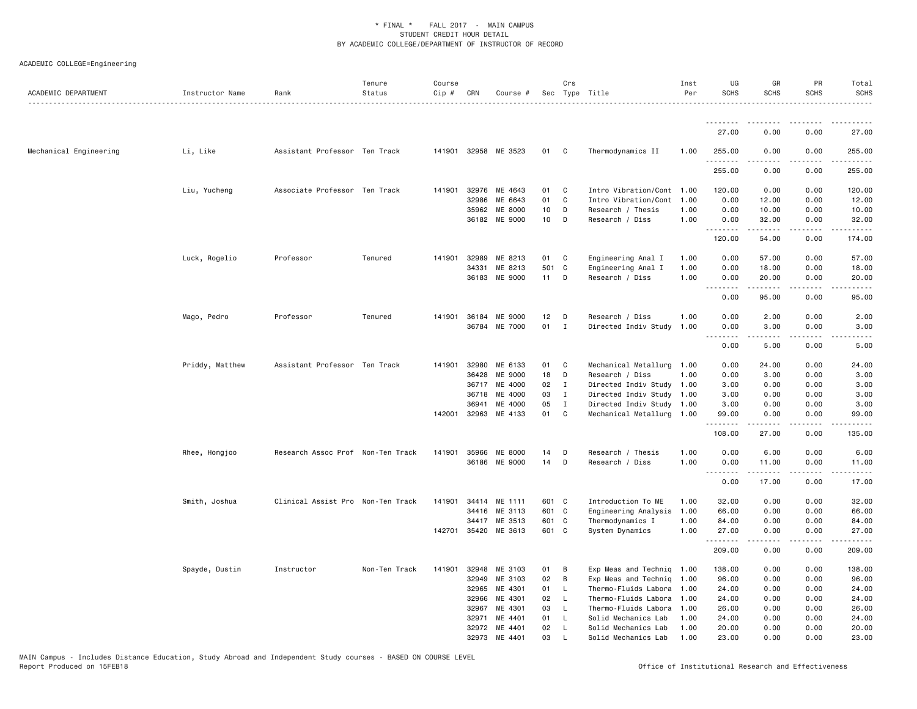| ACADEMIC DEPARTMENT    | Instructor Name | Rank                              | Tenure<br>Status | Course<br>Cip # | CRN          | Course #             |                 | Crs            | Sec Type Title            | Inst<br>Per | UG<br><b>SCHS</b>                       | GR<br><b>SCHS</b>                                                                                                                                             | PR<br><b>SCHS</b>  | Total<br><b>SCHS</b> |
|------------------------|-----------------|-----------------------------------|------------------|-----------------|--------------|----------------------|-----------------|----------------|---------------------------|-------------|-----------------------------------------|---------------------------------------------------------------------------------------------------------------------------------------------------------------|--------------------|----------------------|
|                        |                 |                                   |                  |                 |              |                      |                 |                |                           |             |                                         |                                                                                                                                                               |                    |                      |
|                        |                 |                                   |                  |                 |              |                      |                 |                |                           |             | 27.00                                   | 0.00                                                                                                                                                          | 0.00               | 27.00                |
| Mechanical Engineering | Li, Like        | Assistant Professor Ten Track     |                  |                 |              | 141901 32958 ME 3523 | 01 C            |                | Thermodynamics II         | 1.00        | 255.00<br>.                             | 0.00                                                                                                                                                          | 0.00               | 255.00<br>.          |
|                        |                 |                                   |                  |                 |              |                      |                 |                |                           |             | 255.00                                  | 0.00                                                                                                                                                          | 0.00               | 255.00               |
|                        | Liu, Yucheng    | Associate Professor Ten Track     |                  |                 | 141901 32976 | ME 4643              | 01              | $\mathbf{C}$   | Intro Vibration/Cont 1.00 |             | 120.00                                  | 0.00                                                                                                                                                          | 0.00               | 120.00               |
|                        |                 |                                   |                  |                 | 32986        | ME 6643              | 01              | C              | Intro Vibration/Cont      | 1.00        | 0.00                                    | 12.00                                                                                                                                                         | 0.00               | 12.00                |
|                        |                 |                                   |                  |                 | 35962        | ME 8000              | 10 <sub>1</sub> | D              | Research / Thesis         | 1.00        | 0.00                                    | 10.00                                                                                                                                                         | 0.00               | 10.00                |
|                        |                 |                                   |                  |                 |              | 36182 ME 9000        | 10 D            |                | Research / Diss           | 1.00        | 0.00<br>.                               | 32.00<br>.                                                                                                                                                    | 0.00<br>.          | 32.00<br>.           |
|                        |                 |                                   |                  |                 |              |                      |                 |                |                           |             | 120.00                                  | 54.00                                                                                                                                                         | 0.00               | 174.00               |
|                        | Luck, Rogelio   | Professor                         | Tenured          |                 | 141901 32989 | ME 8213              | 01              | $\mathbf{C}$   | Engineering Anal I        | 1.00        | 0.00                                    | 57.00                                                                                                                                                         | 0.00               | 57.00                |
|                        |                 |                                   |                  |                 | 34331        | ME 8213              | 501 C           |                | Engineering Anal I        | 1.00        | 0.00                                    | 18.00                                                                                                                                                         | 0.00               | 18.00                |
|                        |                 |                                   |                  |                 | 36183        | ME 9000              | 11 D            |                | Research / Diss           | 1.00        | 0.00<br>د د د د<br>$\sim$ $\sim$ $\sim$ | 20.00<br>.                                                                                                                                                    | 0.00<br>.          | 20.00                |
|                        |                 |                                   |                  |                 |              |                      |                 |                |                           |             | 0.00                                    | 95.00                                                                                                                                                         | 0.00               | 95.00                |
|                        | Mago, Pedro     | Professor                         | Tenured          |                 | 141901 36184 | ME 9000              | $12$ D          |                | Research / Diss           | 1.00        | 0.00                                    | 2.00                                                                                                                                                          | 0.00               | 2.00                 |
|                        |                 |                                   |                  |                 |              | 36784 ME 7000        | 01 I            |                | Directed Indiv Study 1.00 |             | 0.00<br>$- - - -$                       | 3.00<br>.                                                                                                                                                     | 0.00<br>.          | 3.00<br><u>.</u>     |
|                        |                 |                                   |                  |                 |              |                      |                 |                |                           |             | 0.00                                    | 5.00                                                                                                                                                          | 0.00               | 5.00                 |
|                        | Priddy, Matthew | Assistant Professor Ten Track     |                  |                 | 141901 32980 | ME 6133              | 01              | C              | Mechanical Metallurg 1.00 |             | 0.00                                    | 24.00                                                                                                                                                         | 0.00               | 24.00                |
|                        |                 |                                   |                  |                 | 36428        | ME 9000              | 18              | $\mathsf{D}$   | Research / Diss           | 1.00        | 0.00                                    | 3.00                                                                                                                                                          | 0.00               | 3.00                 |
|                        |                 |                                   |                  |                 | 36717        | ME 4000              | 02              | $\mathbf{I}$   | Directed Indiv Study 1.00 |             | 3.00                                    | 0.00                                                                                                                                                          | 0.00               | 3.00                 |
|                        |                 |                                   |                  |                 | 36718        | ME 4000              | 03              | $\mathbf{I}$   | Directed Indiv Study 1.00 |             | 3.00                                    | 0.00                                                                                                                                                          | 0.00               | 3.00                 |
|                        |                 |                                   |                  |                 | 36941        | ME 4000              | 05              | $\mathbf{I}$   | Directed Indiv Study 1.00 |             | 3.00                                    | 0.00                                                                                                                                                          | 0.00               | 3.00                 |
|                        |                 |                                   |                  |                 | 142001 32963 | ME 4133              | 01              | $\mathbf{C}$   | Mechanical Metallurg 1.00 |             | 99.00<br>.                              | 0.00<br>.                                                                                                                                                     | 0.00<br>. <b>.</b> | 99.00<br>.           |
|                        |                 |                                   |                  |                 |              |                      |                 |                |                           |             | 108.00                                  | 27.00                                                                                                                                                         | 0.00               | 135.00               |
|                        | Rhee, Hongjoo   | Research Assoc Prof Non-Ten Track |                  | 141901          | 35966        | ME 8000              | 14              | D              | Research / Thesis         | 1.00        | 0.00                                    | 6.00                                                                                                                                                          | 0.00               | 6.00                 |
|                        |                 |                                   |                  |                 |              | 36186 ME 9000        | 14              | D              | Research / Diss           | 1.00        | 0.00<br>$\sim$ $\sim$ .<br>د د د د      | 11.00<br>$\frac{1}{2} \left( \frac{1}{2} \right) \left( \frac{1}{2} \right) \left( \frac{1}{2} \right) \left( \frac{1}{2} \right) \left( \frac{1}{2} \right)$ | 0.00               | 11.00                |
|                        |                 |                                   |                  |                 |              |                      |                 |                |                           |             | 0.00                                    | 17.00                                                                                                                                                         | 0.00               | 17.00                |
|                        | Smith, Joshua   | Clinical Assist Pro Non-Ten Track |                  | 141901          | 34414        | ME 1111              | 601 C           |                | Introduction To ME        | 1.00        | 32.00                                   | 0.00                                                                                                                                                          | 0.00               | 32.00                |
|                        |                 |                                   |                  |                 | 34416        | ME 3113              | 601 C           |                | Engineering Analysis      | 1.00        | 66.00                                   | 0.00                                                                                                                                                          | 0.00               | 66.00                |
|                        |                 |                                   |                  |                 | 34417        | ME 3513              | 601 C           |                | Thermodynamics I          | 1.00        | 84.00                                   | 0.00                                                                                                                                                          | 0.00               | 84.00                |
|                        |                 |                                   |                  | 142701          |              | 35420 ME 3613        | 601 C           |                | System Dynamics           | 1.00        | 27.00<br>.                              | 0.00                                                                                                                                                          | 0.00               | 27.00                |
|                        |                 |                                   |                  |                 |              |                      |                 |                |                           |             | 209.00                                  | 0.00                                                                                                                                                          | 0.00               | 209.00               |
|                        | Spayde, Dustin  | Instructor                        | Non-Ten Track    |                 | 141901 32948 | ME 3103              | 01              | $\overline{B}$ | Exp Meas and Techniq 1.00 |             | 138.00                                  | 0.00                                                                                                                                                          | 0.00               | 138.00               |
|                        |                 |                                   |                  |                 | 32949        | ME 3103              | 02              | $\overline{B}$ | Exp Meas and Techniq 1.00 |             | 96.00                                   | 0.00                                                                                                                                                          | 0.00               | 96.00                |
|                        |                 |                                   |                  |                 | 32965        | ME 4301              | 01              | <b>L</b>       | Thermo-Fluids Labora 1.00 |             | 24.00                                   | 0.00                                                                                                                                                          | 0.00               | 24.00                |
|                        |                 |                                   |                  |                 | 32966        | ME 4301              | 02              | - L            | Thermo-Fluids Labora 1.00 |             | 24.00                                   | 0.00                                                                                                                                                          | 0.00               | 24.00                |
|                        |                 |                                   |                  |                 | 32967        | ME 4301              | 03              | <b>L</b>       | Thermo-Fluids Labora      | 1.00        | 26.00                                   | 0.00                                                                                                                                                          | 0.00               | 26.00                |
|                        |                 |                                   |                  |                 | 32971        | ME 4401              | 01              | - L            | Solid Mechanics Lab       | 1.00        | 24.00                                   | 0.00                                                                                                                                                          | 0.00               | 24.00                |
|                        |                 |                                   |                  |                 | 32972        | ME 4401              | 02              | <b>L</b>       | Solid Mechanics Lab       | 1.00        | 20.00                                   | 0.00                                                                                                                                                          | 0.00               | 20.00                |
|                        |                 |                                   |                  |                 | 32973        | ME 4401              | 03              | - L            | Solid Mechanics Lab       | 1.00        | 23.00                                   | 0.00                                                                                                                                                          | 0.00               | 23.00                |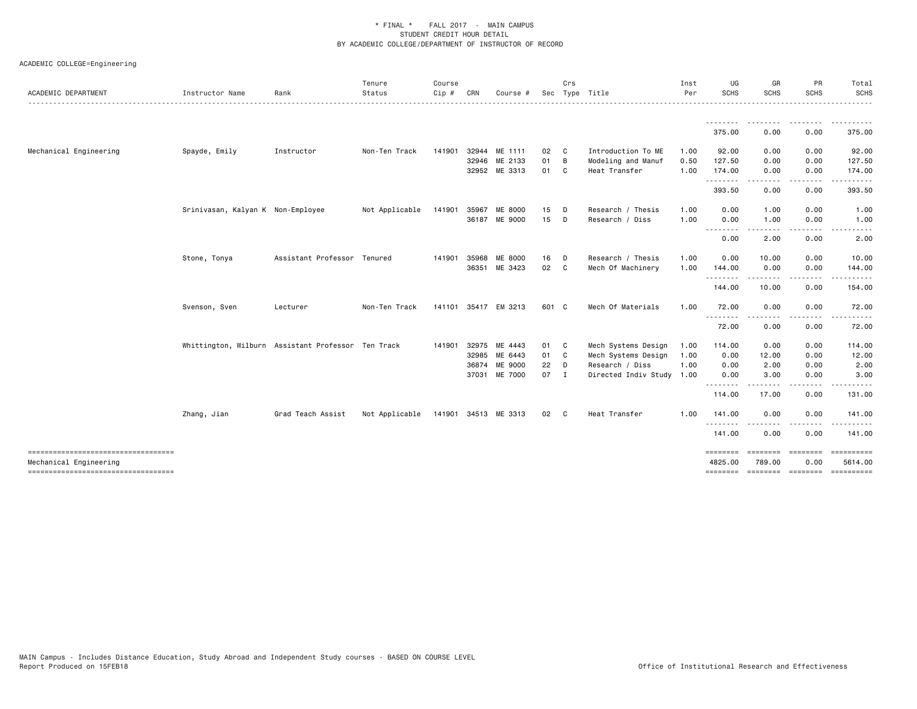| ACADEMIC DEPARTMENT                                          | Instructor Name                                    | Rank                        | Tenure<br>Status | Course<br>$Cip$ # | CRN   | Course #                 |            | Crs            | Sec Type Title                               | Inst<br>Per  | UG<br><b>SCHS</b>   | GR<br><b>SCHS</b>                                                                                                                                             | PR<br><b>SCHS</b>                                                                                                                 | Total<br><b>SCHS</b><br>. |
|--------------------------------------------------------------|----------------------------------------------------|-----------------------------|------------------|-------------------|-------|--------------------------|------------|----------------|----------------------------------------------|--------------|---------------------|---------------------------------------------------------------------------------------------------------------------------------------------------------------|-----------------------------------------------------------------------------------------------------------------------------------|---------------------------|
|                                                              |                                                    |                             |                  |                   |       |                          |            |                |                                              |              | 375.00              | ---------<br>0.00                                                                                                                                             | <u>.</u><br>0.00                                                                                                                  | .<br>375.00               |
| Mechanical Engineering                                       | Spayde, Emily                                      | Instructor                  | Non-Ten Track    | 141901            |       | 32944 ME 1111            | 02         | $\mathbf{C}$   | Introduction To ME                           | 1.00         | 92.00               | 0.00                                                                                                                                                          | 0.00                                                                                                                              | 92.00                     |
|                                                              |                                                    |                             |                  |                   | 32946 | ME 2133<br>32952 ME 3313 | 01<br>01 C | $\overline{B}$ | Modeling and Manuf<br>Heat Transfer          | 0.50<br>1.00 | 127.50<br>174.00    | 0.00<br>0.00                                                                                                                                                  | 0.00<br>0.00                                                                                                                      | 127.50<br>174.00          |
|                                                              |                                                    |                             |                  |                   |       |                          |            |                |                                              |              | .<br>393.50         | 0.00                                                                                                                                                          | ----<br>0.00                                                                                                                      | 393.50                    |
|                                                              | Srinivasan, Kalyan K Non-Employee                  |                             | Not Applicable   | 141901            | 35967 | ME 8000<br>36187 ME 9000 | 15<br>15   | D.<br>$\Box$   | Research / Thesis<br>Research / Diss         | 1.00<br>1.00 | 0.00<br>0.00        | 1.00<br>1.00                                                                                                                                                  | 0.00<br>0.00                                                                                                                      | 1.00<br>1.00              |
|                                                              |                                                    |                             |                  |                   |       |                          |            |                |                                              |              | .<br>0.00           | .<br>2.00                                                                                                                                                     | $\frac{1}{2} \left( \frac{1}{2} \right) \left( \frac{1}{2} \right) \left( \frac{1}{2} \right) \left( \frac{1}{2} \right)$<br>0.00 | 2.00                      |
|                                                              | Stone, Tonya                                       | Assistant Professor Tenured |                  | 141901            | 35968 | ME 8000                  | 16         | D              | Research / Thesis                            | 1.00         | 0.00                | 10.00                                                                                                                                                         | 0.00                                                                                                                              | 10.00                     |
|                                                              |                                                    |                             |                  |                   |       | 36351 ME 3423            | 02 C       |                | Mech Of Machinery                            | 1.00         | 144.00              | 0.00                                                                                                                                                          | 0.00                                                                                                                              | 144.00                    |
|                                                              |                                                    |                             |                  |                   |       |                          |            |                |                                              |              | .<br>144.00         | .<br>10.00                                                                                                                                                    | -----<br>0.00                                                                                                                     | <u>.</u><br>154.00        |
|                                                              | Svenson, Sven                                      | Lecturer                    | Non-Ten Track    |                   |       | 141101 35417 EM 3213     | 601 C      |                | Mech Of Materials                            | 1.00         | 72.00<br><u>.</u>   | 0.00                                                                                                                                                          | 0.00                                                                                                                              | 72.00                     |
|                                                              |                                                    |                             |                  |                   |       |                          |            |                |                                              |              | 72.00               | 0.00                                                                                                                                                          | 0.00                                                                                                                              | 72.00                     |
|                                                              | Whittington, Wilburn Assistant Professor Ten Track |                             |                  | 141901            | 32975 | ME 4443                  | 01 C       |                | Mech Systems Design                          | 1.00         | 114.00              | 0.00                                                                                                                                                          | 0.00                                                                                                                              | 114.00                    |
|                                                              |                                                    |                             |                  |                   |       | 32985 ME 6443            | 01 C       |                | Mech Systems Design                          | 1.00         | 0.00                | 12.00                                                                                                                                                         | 0.00                                                                                                                              | 12.00                     |
|                                                              |                                                    |                             |                  |                   | 36874 | ME 9000<br>37031 ME 7000 | 22<br>07 I | D              | Research / Diss<br>Directed Indiv Study 1.00 | 1.00         | 0.00<br>0.00        | 2.00<br>3.00                                                                                                                                                  | 0.00<br>0.00                                                                                                                      | 2.00<br>3.00              |
|                                                              |                                                    |                             |                  |                   |       |                          |            |                |                                              |              | .<br>114.00         | $\frac{1}{2} \left( \frac{1}{2} \right) \left( \frac{1}{2} \right) \left( \frac{1}{2} \right) \left( \frac{1}{2} \right) \left( \frac{1}{2} \right)$<br>17.00 | -----<br>0.00                                                                                                                     | .<br>131.00               |
|                                                              | Zhang, Jian                                        | Grad Teach Assist           | Not Applicable   |                   |       | 141901 34513 ME 3313     | 02 C       |                | Heat Transfer                                | 1.00         | 141.00              | 0.00                                                                                                                                                          | 0.00                                                                                                                              | 141.00                    |
|                                                              |                                                    |                             |                  |                   |       |                          |            |                |                                              |              | .<br>141.00         | 0.00                                                                                                                                                          | 0.00                                                                                                                              | 141.00                    |
| ----------------------------------<br>Mechanical Engineering |                                                    |                             |                  |                   |       |                          |            |                |                                              |              | ========<br>4825.00 | ========<br>789.00                                                                                                                                            | ========<br>0.00                                                                                                                  | 5614.00                   |
| ----------------------------------                           |                                                    |                             |                  |                   |       |                          |            |                |                                              |              | ========            | --------- --------                                                                                                                                            |                                                                                                                                   |                           |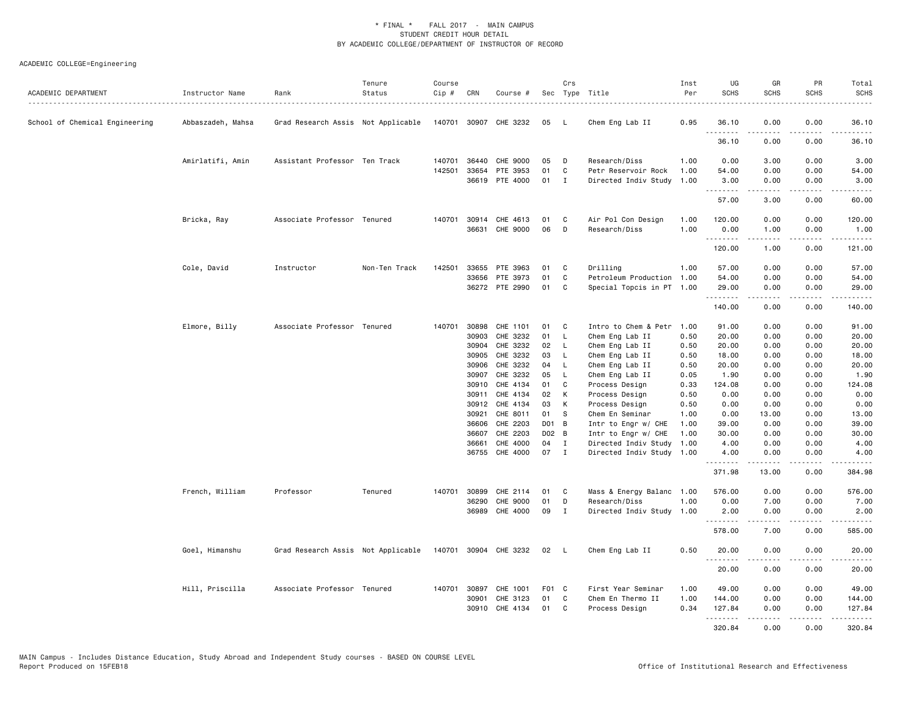| ACADEMIC DEPARTMENT            | Instructor Name   | Rank                               | Tenure<br>Status | Course<br>Cip # | CRN   | Course #              |       | Crs            | Sec Type Title            | Inst<br>Per | UG<br><b>SCHS</b> | GR<br><b>SCHS</b>   | PR<br><b>SCHS</b>     | Total<br><b>SCHS</b>                       |
|--------------------------------|-------------------|------------------------------------|------------------|-----------------|-------|-----------------------|-------|----------------|---------------------------|-------------|-------------------|---------------------|-----------------------|--------------------------------------------|
| School of Chemical Engineering | Abbaszadeh, Mahsa | Grad Research Assis Not Applicable |                  |                 |       | 140701 30907 CHE 3232 | 05    | - L            | Chem Eng Lab II           | 0.95        | 36.10             | 0.00                | 0.00                  | 36.10                                      |
|                                |                   |                                    |                  |                 |       |                       |       |                |                           |             | 36.10             | .<br>0.00           | $\frac{1}{2}$<br>0.00 | .<br>36.10                                 |
|                                | Amirlatifi, Amin  | Assistant Professor Ten Track      |                  |                 |       | 140701 36440 CHE 9000 | 05    | D              | Research/Diss             | 1.00        | 0.00              | 3.00                | 0.00                  | 3.00                                       |
|                                |                   |                                    |                  | 142501          | 33654 | PTE 3953              | 01    | C              | Petr Reservoir Rock       | 1.00        | 54.00             | 0.00                | 0.00                  | 54.00                                      |
|                                |                   |                                    |                  |                 |       | 36619 PTE 4000        | 01    | $\mathbf I$    | Directed Indiv Study 1.00 |             | 3.00              | 0.00<br>.           | 0.00                  | 3.00<br>المتمام                            |
|                                |                   |                                    |                  |                 |       |                       |       |                |                           |             | 57.00             | 3.00                | 0.00                  | 60.00                                      |
|                                | Bricka, Ray       | Associate Professor Tenured        |                  |                 |       | 140701 30914 CHE 4613 | 01    | C              | Air Pol Con Design        | 1.00        | 120.00            | 0.00                | 0.00                  | 120.00                                     |
|                                |                   |                                    |                  |                 |       | 36631 CHE 9000        | 06    | D              | Research/Diss             | 1.00        | 0.00              | 1.00                | 0.00                  | 1.00                                       |
|                                |                   |                                    |                  |                 |       |                       |       |                |                           |             | .<br>120.00       | <u>.</u><br>1.00    | .<br>0.00             | .<br>121.00                                |
|                                | Cole, David       | Instructor                         | Non-Ten Track    | 142501          | 33655 | PTE 3963              | 01    | C              | Drilling                  | 1.00        | 57.00             | 0.00                | 0.00                  | 57.00                                      |
|                                |                   |                                    |                  |                 | 33656 | PTE 3973              | 01    | C              | Petroleum Production 1.00 |             | 54.00             | 0.00                | 0.00                  | 54.00                                      |
|                                |                   |                                    |                  |                 |       | 36272 PTE 2990        | 01    | $\mathbf{C}$   | Special Topcis in PT 1.00 |             | 29.00<br>.        | 0.00<br>$- - - - -$ | 0.00<br>.             | 29.00<br>.                                 |
|                                |                   |                                    |                  |                 |       |                       |       |                |                           |             | 140.00            | 0.00                | 0.00                  | 140.00                                     |
|                                | Elmore, Billy     | Associate Professor Tenured        |                  | 140701          | 30898 | CHE 1101              | 01    | C              | Intro to Chem & Petr      | 1.00        | 91.00             | 0.00                | 0.00                  | 91.00                                      |
|                                |                   |                                    |                  |                 | 30903 | CHE 3232              | 01    | L.             | Chem Eng Lab II           | 0.50        | 20.00             | 0.00                | 0.00                  | 20.00                                      |
|                                |                   |                                    |                  |                 | 30904 | CHE 3232              | 02    | $\mathsf{L}$   | Chem Eng Lab II           | 0.50        | 20.00             | 0.00                | 0.00                  | 20.00                                      |
|                                |                   |                                    |                  |                 | 30905 | CHE 3232              | 03    | $\mathsf{L}$   | Chem Eng Lab II           | 0.50        | 18.00             | 0.00                | 0.00                  | 18.00                                      |
|                                |                   |                                    |                  |                 | 30906 | CHE 3232              | 04    | <b>L</b>       | Chem Eng Lab II           | 0.50        | 20.00             | 0.00                | 0.00                  | 20.00                                      |
|                                |                   |                                    |                  |                 | 30907 | CHE 3232              | 05    | L.             | Chem Eng Lab II           | 0.05        | 1.90              | 0.00                | 0.00                  | 1.90                                       |
|                                |                   |                                    |                  |                 | 30910 | CHE 4134              | 01    | C.             | Process Design            | 0.33        | 124.08            | 0.00                | 0.00                  | 124.08                                     |
|                                |                   |                                    |                  |                 | 30911 | CHE 4134              | 02    | К              | Process Design            | 0.50        | 0.00              | 0.00                | 0.00                  | 0.00                                       |
|                                |                   |                                    |                  |                 |       | 30912 CHE 4134        | 03    | К              | Process Design            | 0.50        | 0.00              | 0.00                | 0.00                  | 0.00                                       |
|                                |                   |                                    |                  |                 | 30921 | CHE 8011              | 01    | - S            | Chem En Seminar           | 1.00        | 0.00              | 13.00               | 0.00                  | 13.00                                      |
|                                |                   |                                    |                  |                 | 36606 | CHE 2203              | D01 B |                | Intr to Engr w/ CHE       | 1.00        | 39.00             | 0.00                | 0.00                  | 39.00                                      |
|                                |                   |                                    |                  |                 | 36607 | CHE 2203              | D02 B |                | Intr to Engr w/ CHE       | 1.00        | 30.00             | 0.00                | 0.00                  | 30.00                                      |
|                                |                   |                                    |                  |                 | 36661 | CHE 4000              | 04    | $\mathbf{I}$   | Directed Indiv Study      | 1.00        | 4.00              | 0.00                | 0.00                  | 4.00                                       |
|                                |                   |                                    |                  |                 |       | 36755 CHE 4000        | 07    | $\blacksquare$ | Directed Indiv Study      | 1.00        | 4.00<br>.         | 0.00                | 0.00<br>$- - - -$     | 4.00<br>$\sim$ $\sim$ $\sim$ $\sim$ $\sim$ |
|                                |                   |                                    |                  |                 |       |                       |       |                |                           |             | 371.98            | 13.00               | 0.00                  | 384.98                                     |
|                                | French, William   | Professor                          | Tenured          | 140701          | 30899 | CHE 2114              | 01    | C              | Mass & Energy Balanc 1.00 |             | 576.00            | 0.00                | 0.00                  | 576.00                                     |
|                                |                   |                                    |                  |                 | 36290 | CHE 9000              | 01    | D              | Research/Diss             | 1.00        | 0.00              | 7.00                | 0.00                  | 7.00                                       |
|                                |                   |                                    |                  |                 | 36989 | CHE 4000              | 09    | $\mathbf{I}$   | Directed Indiv Study 1.00 |             | 2.00<br>.         | 0.00<br><u>.</u>    | 0.00<br>.             | 2.00<br>.                                  |
|                                |                   |                                    |                  |                 |       |                       |       |                |                           |             | 578.00            | 7.00                | 0.00                  | 585.00                                     |
|                                | Goel, Himanshu    | Grad Research Assis Not Applicable |                  |                 |       | 140701 30904 CHE 3232 | 02 L  |                | Chem Eng Lab II           | 0.50        | 20.00<br>.        | 0.00                | 0.00                  | 20.00                                      |
|                                |                   |                                    |                  |                 |       |                       |       |                |                           |             | 20.00             | 0.00                | 0.00                  | 20.00                                      |
|                                | Hill, Priscilla   | Associate Professor Tenured        |                  |                 |       | 140701 30897 CHE 1001 | F01 C |                | First Year Seminar        | 1.00        | 49.00             | 0.00                | 0.00                  | 49.00                                      |
|                                |                   |                                    |                  |                 | 30901 | CHE 3123              | 01    | C              | Chem En Thermo II         | 1.00        | 144.00            | 0.00                | 0.00                  | 144.00                                     |
|                                |                   |                                    |                  |                 | 30910 | CHE 4134              | 01    | C              | Process Design            | 0.34        | 127.84<br>.       | 0.00                | 0.00<br>د د د د       | 127.84                                     |
|                                |                   |                                    |                  |                 |       |                       |       |                |                           |             | 320.84            | 0.00                | 0.00                  | 320.84                                     |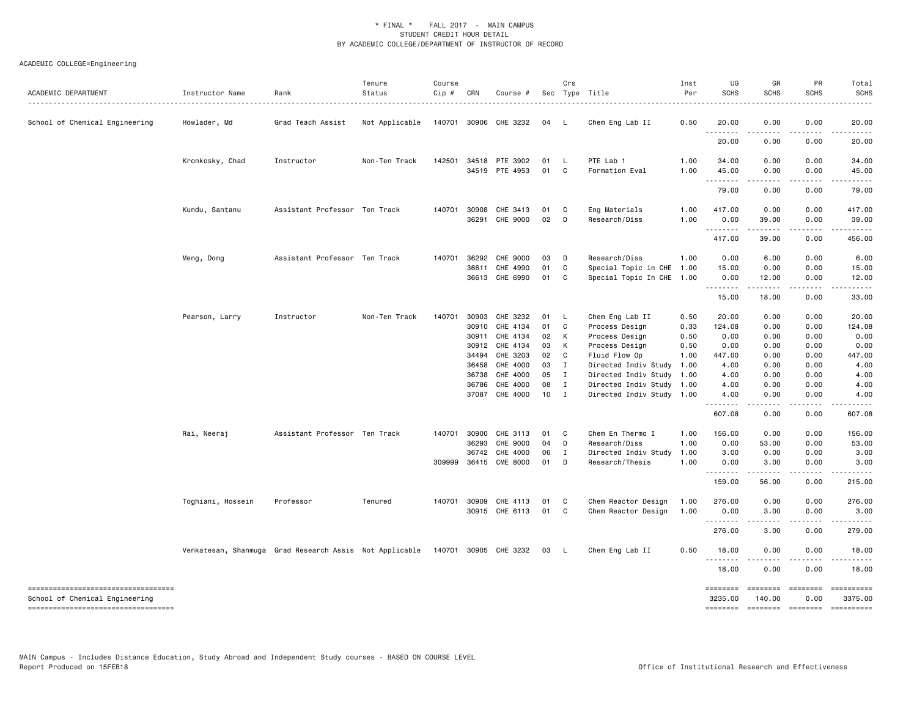| ACADEMIC DEPARTMENT                                                     | Instructor Name<br>. <u>.</u> . | Rank                                                                          | Tenure<br>Status | Course<br>Cip # | CRN            | Course #              |          | Crs                          | Sec Type Title                 | Inst<br>Per  | UG<br><b>SCHS</b>   | GR<br><b>SCHS</b>     | PR<br><b>SCHS</b> | Total<br><b>SCHS</b>  |
|-------------------------------------------------------------------------|---------------------------------|-------------------------------------------------------------------------------|------------------|-----------------|----------------|-----------------------|----------|------------------------------|--------------------------------|--------------|---------------------|-----------------------|-------------------|-----------------------|
| School of Chemical Engineering                                          | Howlader, Md                    | Grad Teach Assist                                                             | Not Applicable   |                 |                | 140701 30906 CHE 3232 | 04       | - L                          | Chem Eng Lab II                | 0.50         | 20.00<br>.          | 0.00<br>.             | 0.00<br>.         | 20.00                 |
|                                                                         |                                 |                                                                               |                  |                 |                |                       |          |                              |                                |              | 20.00               | 0.00                  | 0.00              | 20.00                 |
|                                                                         | Kronkosky, Chad                 | Instructor                                                                    | Non-Ten Track    |                 | 142501 34518   | PTE 3902              | 01       | $\mathsf{L}$                 | PTE Lab 1                      | 1.00         | 34.00               | 0.00                  | 0.00              | 34.00                 |
|                                                                         |                                 |                                                                               |                  |                 |                | 34519 PTE 4953        | 01       | $\mathbf{C}$                 | Formation Eval                 | 1.00         | 45.00<br>.          | 0.00<br>----          | 0.00<br>.         | 45.00                 |
|                                                                         |                                 |                                                                               |                  |                 |                |                       |          |                              |                                |              | 79.00               | 0.00                  | 0.00              | 79.00                 |
|                                                                         | Kundu, Santanu                  | Assistant Professor Ten Track                                                 |                  | 140701          | 30908<br>36291 | CHE 3413<br>CHE 9000  | 01<br>02 | $\mathbf{C}$<br>$\mathsf{D}$ | Eng Materials<br>Research/Diss | 1.00<br>1.00 | 417.00<br>0.00      | 0.00<br>39.00         | 0.00              | 417.00<br>39.00       |
|                                                                         |                                 |                                                                               |                  |                 |                |                       |          |                              |                                |              | .                   | .                     | 0.00<br>----      |                       |
|                                                                         |                                 |                                                                               |                  |                 |                |                       |          |                              |                                |              | 417.00              | 39.00                 | 0.00              | 456.00                |
|                                                                         | Meng, Dong                      | Assistant Professor Ten Track                                                 |                  |                 | 140701 36292   | CHE 9000              | 03       | $\Box$                       | Research/Diss                  | 1.00         | 0.00                | 6.00                  | 0.00              | 6.00                  |
|                                                                         |                                 |                                                                               |                  |                 | 36611          | CHE 4990              | 01       | C                            | Special Topic in CHE 1.00      |              | 15.00               | 0.00                  | 0.00              | 15.00                 |
|                                                                         |                                 |                                                                               |                  |                 |                | 36613 CHE 6990        | 01       | C                            | Special Topic In CHE 1.00      |              | 0.00<br>. <b>.</b>  | 12.00<br>.            | 0.00<br>.         | 12.00<br>.            |
|                                                                         |                                 |                                                                               |                  |                 |                |                       |          |                              |                                |              | 15.00               | 18.00                 | 0.00              | 33.00                 |
|                                                                         | Pearson, Larry                  | Instructor                                                                    | Non-Ten Track    | 140701          | 30903          | CHE 3232              | 01 L     |                              | Chem Eng Lab II                | 0.50         | 20.00               | 0.00                  | 0.00              | 20.00                 |
|                                                                         |                                 |                                                                               |                  |                 | 30910          | CHE 4134              | 01       | $\mathbf{C}$                 | Process Design                 | 0.33         | 124.08              | 0.00                  | 0.00              | 124.08                |
|                                                                         |                                 |                                                                               |                  |                 | 30911          | CHE 4134              | 02       | К                            | Process Design                 | 0.50         | 0.00                | 0.00                  | 0.00              | 0.00                  |
|                                                                         |                                 |                                                                               |                  |                 | 30912          | CHE 4134              | 03       | K                            | Process Design                 | 0.50         | 0.00                | 0.00                  | 0.00              | 0.00                  |
|                                                                         |                                 |                                                                               |                  |                 | 34494          | CHE 3203              | 02       | $\mathbf{C}$                 | Fluid Flow Op                  | 1.00         | 447.00              | 0.00                  | 0.00              | 447.00                |
|                                                                         |                                 |                                                                               |                  |                 | 36458          | CHE 4000              | 03       | <b>I</b>                     | Directed Indiv Study           | 1.00         | 4.00                | 0.00                  | 0.00              | 4.00                  |
|                                                                         |                                 |                                                                               |                  |                 | 36738          | CHE 4000              | 05       | $\mathbf{I}$                 | Directed Indiv Study 1.00      |              | 4.00                | 0.00                  | 0.00              | 4.00                  |
|                                                                         |                                 |                                                                               |                  |                 | 36786          | CHE 4000              | 08       | $\mathbf{I}$                 | Directed Indiv Study 1.00      |              | 4.00                | 0.00                  | 0.00              | 4.00                  |
|                                                                         |                                 |                                                                               |                  |                 |                | 37087 CHE 4000        | $10$ I   |                              | Directed Indiv Study 1.00      |              | 4.00<br>.           | 0.00<br>$\frac{1}{2}$ | 0.00<br>.         | 4.00                  |
|                                                                         |                                 |                                                                               |                  |                 |                |                       |          |                              |                                |              | 607.08              | 0.00                  | 0.00              | 607.08                |
|                                                                         | Rai, Neeraj                     | Assistant Professor Ten Track                                                 |                  |                 | 140701 30900   | CHE 3113              | 01       | $\mathbf{C}$                 | Chem En Thermo I               | 1.00         | 156.00              | 0.00                  | 0.00              | 156.00                |
|                                                                         |                                 |                                                                               |                  |                 | 36293          | CHE 9000              | 04       | D                            | Research/Diss                  | 1.00         | 0.00                | 53.00                 | 0.00              | 53.00                 |
|                                                                         |                                 |                                                                               |                  |                 | 36742          | CHE 4000              | 06       | I                            | Directed Indiv Study           | 1.00         | 3.00                | 0.00                  | 0.00              | 3.00                  |
|                                                                         |                                 |                                                                               |                  | 309999          | 36415          | <b>CME 8000</b>       | 01       | D                            | Research/Thesis                | 1.00         | 0.00<br>$  -$       | 3.00                  | 0.00              | 3.00                  |
|                                                                         |                                 |                                                                               |                  |                 |                |                       |          |                              |                                |              | 159.00              | 56.00                 | 0.00              | 215.00                |
|                                                                         | Toghiani, Hossein               | Professor                                                                     | Tenured          |                 | 140701 30909   | CHE 4113              | 01       | $\mathbf{C}$                 | Chem Reactor Design            | 1.00         | 276.00              | 0.00                  | 0.00              | 276.00                |
|                                                                         |                                 |                                                                               |                  |                 |                | 30915 CHE 6113        | 01       | C                            | Chem Reactor Design            | 1.00         | 0.00                | 3.00<br>.             | 0.00<br>.         | 3.00                  |
|                                                                         |                                 |                                                                               |                  |                 |                |                       |          |                              |                                |              | 276.00              | 3.00                  | 0.00              | 279.00                |
|                                                                         |                                 | Venkatesan, Shanmuga Grad Research Assis Not Applicable 140701 30905 CHE 3232 |                  |                 |                |                       | 03 L     |                              | Chem Eng Lab II                | 0.50         | 18.00               | 0.00                  | 0.00              | 18.00                 |
|                                                                         |                                 |                                                                               |                  |                 |                |                       |          |                              |                                |              | $- - - -$<br>18.00  | 0.00                  | 0.00              | 18.00                 |
| =====================================<br>School of Chemical Engineering |                                 |                                                                               |                  |                 |                |                       |          |                              |                                |              | ========<br>3235,00 | ========<br>140.00    | ========<br>0.00  | ==========<br>3375.00 |
| ----------------------------------                                      |                                 |                                                                               |                  |                 |                |                       |          |                              |                                |              | ========            | ========              |                   | ==========            |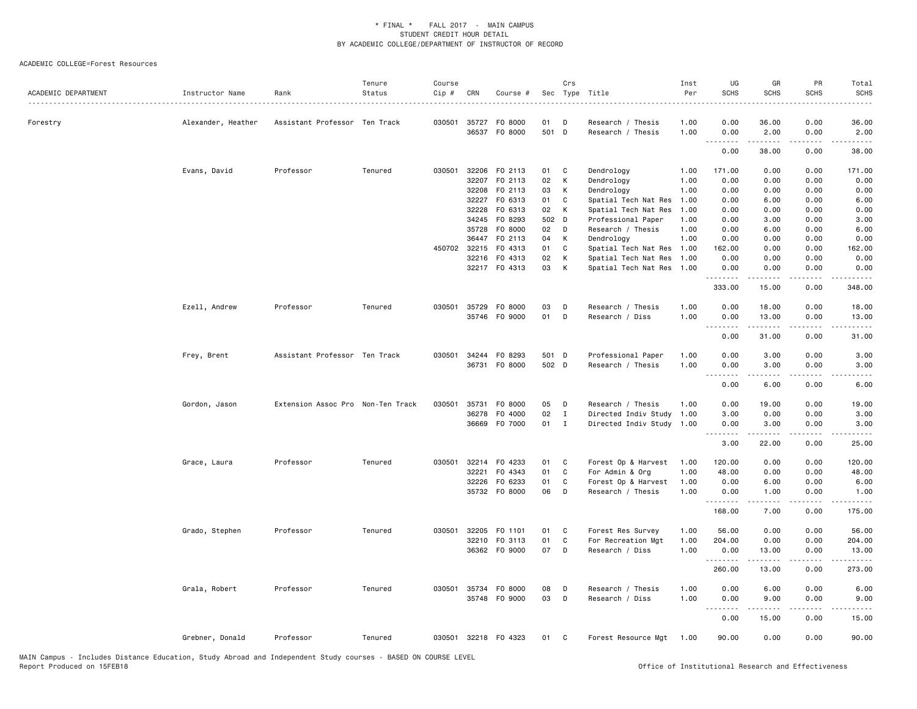| ACADEMIC DEPARTMENT | Instructor Name    | Rank                              | Tenure<br>Status | Course<br>Cip # | CRN          | Course #             | Sec   | Crs          | Type Title                | Inst<br>Per | UG<br><b>SCHS</b>         | GR<br><b>SCHS</b>                                                                                                                                    | PR<br><b>SCHS</b>           | Total<br><b>SCHS</b>                                                                                                      |
|---------------------|--------------------|-----------------------------------|------------------|-----------------|--------------|----------------------|-------|--------------|---------------------------|-------------|---------------------------|------------------------------------------------------------------------------------------------------------------------------------------------------|-----------------------------|---------------------------------------------------------------------------------------------------------------------------|
| Forestry            | Alexander, Heather | Assistant Professor Ten Track     |                  | 030501          | 35727        | F0 8000              | 01    | D            | Research / Thesis         | 1.00        | 0.00                      | 36.00                                                                                                                                                | 0.00                        | 36.00                                                                                                                     |
|                     |                    |                                   |                  |                 |              | 36537 F0 8000        | 501 D |              | Research / Thesis         | 1.00        | 0.00                      | 2.00                                                                                                                                                 | 0.00                        | 2.00                                                                                                                      |
|                     |                    |                                   |                  |                 |              |                      |       |              |                           |             | 0.00                      | .<br>38.00                                                                                                                                           | .<br>0.00                   | .<br>38.00                                                                                                                |
|                     | Evans, David       | Professor                         | Tenured          | 030501          |              | 32206 FO 2113        | 01    | C            | Dendrology                | 1.00        | 171.00                    | 0.00                                                                                                                                                 | 0.00                        | 171.00                                                                                                                    |
|                     |                    |                                   |                  |                 |              | 32207 FO 2113        | 02    | К            | Dendrology                | 1.00        | 0.00                      | 0.00                                                                                                                                                 | 0.00                        | 0.00                                                                                                                      |
|                     |                    |                                   |                  |                 | 32208        | F0 2113              | 03    | К            | Dendrology                | 1.00        | 0.00                      | 0.00                                                                                                                                                 | 0.00                        | 0.00                                                                                                                      |
|                     |                    |                                   |                  |                 | 32227        | F0 6313              | 01    | C            | Spatial Tech Nat Res      | 1.00        | 0.00                      | 6.00                                                                                                                                                 | 0.00                        | 6.00                                                                                                                      |
|                     |                    |                                   |                  |                 | 32228        | F0 6313              | 02    | К            | Spatial Tech Nat Res      | 1.00        | 0.00                      | 0.00                                                                                                                                                 | 0.00                        | 0.00                                                                                                                      |
|                     |                    |                                   |                  |                 | 34245        | F0 8293              | 502 D |              | Professional Paper        | 1.00        | 0.00                      | 3.00                                                                                                                                                 | 0.00                        | 3.00                                                                                                                      |
|                     |                    |                                   |                  |                 | 35728        | F0 8000              | 02    | D            | Research / Thesis         | 1.00        | 0.00                      | 6.00                                                                                                                                                 | 0.00                        | 6.00                                                                                                                      |
|                     |                    |                                   |                  |                 | 36447        | F0 2113              | 04    | К            | Dendrology                | 1.00        | 0.00                      | 0.00                                                                                                                                                 | 0.00                        | 0.00                                                                                                                      |
|                     |                    |                                   |                  |                 | 450702 32215 | FO 4313              | 01    | C            | Spatial Tech Nat Res      | 1.00        | 162.00                    | 0.00                                                                                                                                                 | 0.00                        | 162.00                                                                                                                    |
|                     |                    |                                   |                  |                 |              | 32216 FO 4313        | 02    | К            | Spatial Tech Nat Res      | 1.00        | 0.00                      | 0.00                                                                                                                                                 | 0.00                        | 0.00                                                                                                                      |
|                     |                    |                                   |                  |                 |              | 32217 FO 4313        | 03    | К            | Spatial Tech Nat Res      | 1.00        | 0.00<br>.                 | 0.00                                                                                                                                                 | 0.00<br>. <u>.</u> .        | 0.00<br>.                                                                                                                 |
|                     |                    |                                   |                  |                 |              |                      |       |              |                           |             | 333.00                    | 15.00                                                                                                                                                | 0.00                        | 348.00                                                                                                                    |
|                     | Ezell, Andrew      | Professor                         | Tenured          |                 |              | 030501 35729 F0 8000 | 03    | D            | Research / Thesis         | 1.00        | 0.00                      | 18.00                                                                                                                                                | 0.00                        | 18.00                                                                                                                     |
|                     |                    |                                   |                  |                 |              | 35746 F0 9000        | 01    | D            | Research / Diss           | 1.00        | 0.00                      | 13.00                                                                                                                                                | 0.00                        | 13.00                                                                                                                     |
|                     |                    |                                   |                  |                 |              |                      |       |              |                           |             | .<br>$\sim$ $\sim$ $\sim$ | د د د د د                                                                                                                                            | $\sim$ $\sim$ $\sim$ $\sim$ | .                                                                                                                         |
|                     |                    |                                   |                  |                 |              |                      |       |              |                           |             | 0.00                      | 31.00                                                                                                                                                | 0.00                        | 31.00                                                                                                                     |
|                     | Frey, Brent        | Assistant Professor Ten Track     |                  | 030501          |              | 34244 FO 8293        | 501 D |              | Professional Paper        | 1.00        | 0.00                      | 3.00                                                                                                                                                 | 0.00                        | 3.00                                                                                                                      |
|                     |                    |                                   |                  |                 |              | 36731 F0 8000        | 502 D |              | Research / Thesis         | 1.00        | 0.00                      | 3.00                                                                                                                                                 | 0.00                        | 3.00                                                                                                                      |
|                     |                    |                                   |                  |                 |              |                      |       |              |                           |             | .                         | <b>.</b>                                                                                                                                             | د د د د                     | $\frac{1}{2} \left( \frac{1}{2} \right) \left( \frac{1}{2} \right) \left( \frac{1}{2} \right) \left( \frac{1}{2} \right)$ |
|                     |                    |                                   |                  |                 |              |                      |       |              |                           |             | 0.00                      | 6.00                                                                                                                                                 | 0.00                        | 6.00                                                                                                                      |
|                     | Gordon, Jason      | Extension Assoc Pro Non-Ten Track |                  | 030501          | 35731        | F0 8000              | 05    | D            | Research / Thesis         | 1.00        | 0.00                      | 19.00                                                                                                                                                | 0.00                        | 19.00                                                                                                                     |
|                     |                    |                                   |                  |                 | 36278        | F0 4000              | 02    | $\mathbf{I}$ | Directed Indiv Study      | 1.00        | 3.00                      | 0.00                                                                                                                                                 | 0.00                        | 3.00                                                                                                                      |
|                     |                    |                                   |                  |                 |              | 36669 F0 7000        | 01    | $\mathbf{I}$ | Directed Indiv Study 1.00 |             | 0.00                      | 3.00                                                                                                                                                 | 0.00                        | 3.00                                                                                                                      |
|                     |                    |                                   |                  |                 |              |                      |       |              |                           |             | <u>.</u><br>3.00          | .<br>22.00                                                                                                                                           | .<br>0.00                   | $    -$<br>25.00                                                                                                          |
|                     |                    |                                   |                  |                 |              |                      |       |              |                           |             |                           |                                                                                                                                                      |                             |                                                                                                                           |
|                     | Grace, Laura       | Professor                         | Tenured          | 030501          | 32214        | F0 4233              | 01    | C            | Forest Op & Harvest       | 1.00        | 120.00                    | 0.00                                                                                                                                                 | 0.00                        | 120.00                                                                                                                    |
|                     |                    |                                   |                  |                 | 32221        | F0 4343              | 01    | $\mathtt{C}$ | For Admin & Org           | 1.00        | 48.00                     | 0.00                                                                                                                                                 | 0.00                        | 48.00                                                                                                                     |
|                     |                    |                                   |                  |                 | 32226        | F0 6233              | 01    | C            | Forest Op & Harvest       | 1.00        | 0.00                      | 6.00                                                                                                                                                 | 0.00                        | 6.00                                                                                                                      |
|                     |                    |                                   |                  |                 |              | 35732 F0 8000        | 06    | D            | Research / Thesis         | 1.00        | 0.00<br><u>.</u>          | 1.00<br>.                                                                                                                                            | 0.00                        | 1.00<br>.                                                                                                                 |
|                     |                    |                                   |                  |                 |              |                      |       |              |                           |             | 168.00                    | 7.00                                                                                                                                                 | 0.00                        | 175.00                                                                                                                    |
|                     | Grado, Stephen     | Professor                         | Tenured          | 030501          |              | 32205 F0 1101        | 01    | C            | Forest Res Survey         | 1.00        | 56.00                     | 0.00                                                                                                                                                 | 0.00                        | 56.00                                                                                                                     |
|                     |                    |                                   |                  |                 |              | 32210 FO 3113        | 01    | C            | For Recreation Mgt        | 1.00        | 204.00                    | 0.00                                                                                                                                                 | 0.00                        | 204.00                                                                                                                    |
|                     |                    |                                   |                  |                 |              | 36362 FO 9000        | 07    | D            | Research / Diss           | 1.00        | 0.00                      | 13.00                                                                                                                                                | 0.00                        | 13.00                                                                                                                     |
|                     |                    |                                   |                  |                 |              |                      |       |              |                           |             | .                         | -----                                                                                                                                                | $\frac{1}{2}$               | .                                                                                                                         |
|                     |                    |                                   |                  |                 |              |                      |       |              |                           |             | 260.00                    | 13.00                                                                                                                                                | 0.00                        | 273.00                                                                                                                    |
|                     | Grala, Robert      | Professor                         | Tenured          |                 |              | 030501 35734 FO 8000 | 08    | D            | Research / Thesis         | 1.00        | 0.00                      | 6.00                                                                                                                                                 | 0.00                        | 6.00                                                                                                                      |
|                     |                    |                                   |                  |                 |              | 35748 FO 9000        | 03    | D            | Research / Diss           | 1.00        | 0.00                      | 9.00                                                                                                                                                 | 0.00                        | 9.00                                                                                                                      |
|                     |                    |                                   |                  |                 |              |                      |       |              |                           |             |                           | $\frac{1}{2} \left( \frac{1}{2} \right) \left( \frac{1}{2} \right) \left( \frac{1}{2} \right) \left( \frac{1}{2} \right) \left( \frac{1}{2} \right)$ | $\sim$ $\sim$ $\sim$ $\sim$ | والمناصبات                                                                                                                |
|                     |                    |                                   |                  |                 |              |                      |       |              |                           |             | 0.00                      | 15.00                                                                                                                                                | 0.00                        | 15.00                                                                                                                     |
|                     | Grebner, Donald    | Professor                         | Tenured          |                 |              | 030501 32218 F0 4323 | 01    | C            | Forest Resource Mgt 1.00  |             | 90.00                     | 0.00                                                                                                                                                 | 0.00                        | 90.00                                                                                                                     |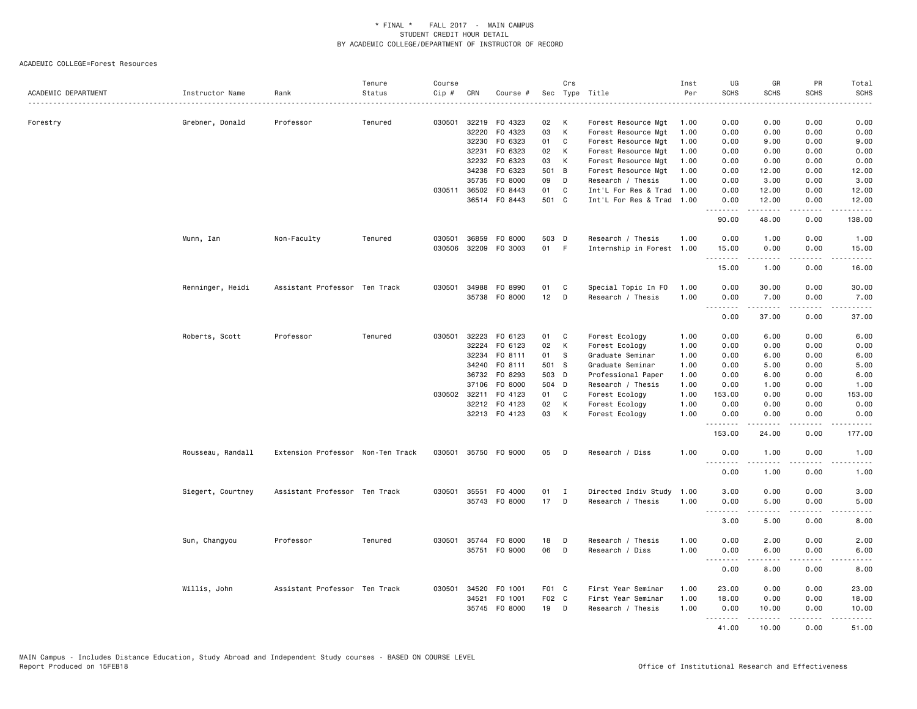| ACADEMIC DEPARTMENT | Instructor Name   | Rank                              | Tenure<br>Status | Course<br>Cip # | CRN          | Course #             | Sec   | Crs            | Type Title                | Inst<br>Per | UG<br><b>SCHS</b> | GR<br><b>SCHS</b>                                                                                                                                             | PR<br><b>SCHS</b>                   | Total<br><b>SCHS</b> |
|---------------------|-------------------|-----------------------------------|------------------|-----------------|--------------|----------------------|-------|----------------|---------------------------|-------------|-------------------|---------------------------------------------------------------------------------------------------------------------------------------------------------------|-------------------------------------|----------------------|
|                     |                   |                                   |                  |                 |              |                      |       |                | .                         | . <u>.</u>  |                   |                                                                                                                                                               | - - - -                             | .                    |
| Forestry            | Grebner, Donald   | Professor                         | Tenured          | 030501          |              | 32219 F0 4323        | 02    | К              | Forest Resource Mgt       | 1.00        | 0.00              | 0.00                                                                                                                                                          | 0.00                                | 0.00                 |
|                     |                   |                                   |                  |                 | 32220        | F0 4323              | 03    | К              | Forest Resource Mgt       | 1.00        | 0.00              | 0.00                                                                                                                                                          | 0.00                                | 0.00                 |
|                     |                   |                                   |                  |                 |              | 32230 F0 6323        | 01    | C              | Forest Resource Mgt       | 1.00        | 0.00              | 9.00                                                                                                                                                          | 0.00                                | 9.00                 |
|                     |                   |                                   |                  |                 | 32231        | F0 6323              | 02    | K              | Forest Resource Mgt       | 1.00        | 0.00              | 0.00                                                                                                                                                          | 0.00                                | 0.00                 |
|                     |                   |                                   |                  |                 | 32232        | F0 6323              | 03    | К              | Forest Resource Mgt       | 1.00        | 0.00              | 0.00                                                                                                                                                          | 0.00                                | 0.00                 |
|                     |                   |                                   |                  |                 |              | 34238 FO 6323        | 501   | $\overline{B}$ | Forest Resource Mgt       | 1.00        | 0.00              | 12.00                                                                                                                                                         | 0.00                                | 12.00                |
|                     |                   |                                   |                  |                 | 35735        | F0 8000              | 09    | D              | Research / Thesis         | 1.00        | 0.00              | 3.00                                                                                                                                                          | 0.00                                | 3.00                 |
|                     |                   |                                   |                  |                 |              | 030511 36502 F0 8443 | 01    | C              | Int'L For Res & Trad      | 1.00        | 0.00              | 12.00                                                                                                                                                         | 0.00                                | 12.00                |
|                     |                   |                                   |                  |                 |              | 36514 FO 8443        | 501 C |                | Int'L For Res & Trad      | 1.00        | 0.00<br>.         | 12.00<br>المستمين                                                                                                                                             | 0.00<br>.                           | 12.00<br>.           |
|                     |                   |                                   |                  |                 |              |                      |       |                |                           |             | 90.00             | 48.00                                                                                                                                                         | 0.00                                | 138.00               |
|                     | Munn, Ian         | Non-Faculty                       | Tenured          | 030501          | 36859        | F0 8000              | 503 D |                | Research / Thesis         | 1.00        | 0.00              | 1.00                                                                                                                                                          | 0.00                                | 1.00                 |
|                     |                   |                                   |                  | 030506          |              | 32209 FO 3003        | 01 F  |                | Internship in Forest 1.00 |             | 15.00<br>.        | 0.00                                                                                                                                                          | 0.00<br>.                           | 15.00<br>.           |
|                     |                   |                                   |                  |                 |              |                      |       |                |                           |             | 15.00             | .<br>1.00                                                                                                                                                     | 0.00                                | 16.00                |
|                     | Renninger, Heidi  | Assistant Professor Ten Track     |                  | 030501          |              | 34988 FO 8990        | 01    | C              | Special Topic In FO       | 1.00        | 0.00              | 30.00                                                                                                                                                         | 0.00                                | 30.00                |
|                     |                   |                                   |                  |                 |              | 35738 FO 8000        | 12    | D              | Research / Thesis         | 1.00        | 0.00              | 7.00                                                                                                                                                          | 0.00                                | 7.00                 |
|                     |                   |                                   |                  |                 |              |                      |       |                |                           |             | .<br>0.00         | المتمامين<br>37.00                                                                                                                                            | د د د د<br>0.00                     | $    -$<br>37.00     |
|                     | Roberts, Scott    | Professor                         | Tenured          | 030501          | 32223        | F0 6123              | 01    | $\mathbf{C}$   | Forest Ecology            | 1.00        | 0.00              | 6.00                                                                                                                                                          | 0.00                                | 6.00                 |
|                     |                   |                                   |                  |                 | 32224        | F0 6123              | 02    | К              | Forest Ecology            | 1.00        | 0.00              | 0.00                                                                                                                                                          | 0.00                                | 0.00                 |
|                     |                   |                                   |                  |                 | 32234        | FO 8111              | 01    | - S            | Graduate Seminar          | 1.00        | 0.00              | 6.00                                                                                                                                                          | 0.00                                | 6.00                 |
|                     |                   |                                   |                  |                 | 34240        | FO 8111              | 501   | <b>S</b>       | Graduate Seminar          | 1.00        | 0.00              | 5.00                                                                                                                                                          | 0.00                                | 5.00                 |
|                     |                   |                                   |                  |                 |              | 36732 FO 8293        | 503 D |                | Professional Paper        | 1.00        | 0.00              | 6.00                                                                                                                                                          | 0.00                                | 6.00                 |
|                     |                   |                                   |                  |                 |              | 37106 FO 8000        | 504 D |                | Research / Thesis         | 1.00        | 0.00              | 1.00                                                                                                                                                          | 0.00                                | 1.00                 |
|                     |                   |                                   |                  |                 | 030502 32211 | F0 4123              | 01    | C              | Forest Ecology            | 1.00        | 153.00            | 0.00                                                                                                                                                          | 0.00                                | 153.00               |
|                     |                   |                                   |                  |                 |              | 32212 FO 4123        | 02    | K              | Forest Ecology            | 1.00        | 0.00              | 0.00                                                                                                                                                          | 0.00                                | 0.00                 |
|                     |                   |                                   |                  |                 |              | 32213 FO 4123        | 03    | К              | Forest Ecology            | 1.00        | 0.00              | 0.00                                                                                                                                                          | 0.00                                | 0.00                 |
|                     |                   |                                   |                  |                 |              |                      |       |                |                           |             | .<br>153.00       | .<br>24.00                                                                                                                                                    | .<br>0.00                           | .<br>177.00          |
|                     | Rousseau, Randall | Extension Professor Non-Ten Track |                  | 030501          |              | 35750 FO 9000        | 05    | D              | Research / Diss           | 1.00        | 0.00<br>.         | 1.00<br>-----                                                                                                                                                 | 0.00<br>د د د د                     | 1.00<br>$    -$      |
|                     |                   |                                   |                  |                 |              |                      |       |                |                           |             | 0.00              | 1.00                                                                                                                                                          | 0.00                                | 1.00                 |
|                     | Siegert, Courtney | Assistant Professor Ten Track     |                  | 030501          |              | 35551 F0 4000        | 01    | $\blacksquare$ | Directed Indiv Study      | 1.00        | 3.00              | 0.00                                                                                                                                                          | 0.00                                | 3.00                 |
|                     |                   |                                   |                  |                 |              | 35743 FO 8000        | 17    | D              | Research / Thesis         | 1.00        | 0.00              | 5.00                                                                                                                                                          | 0.00                                | 5.00                 |
|                     |                   |                                   |                  |                 |              |                      |       |                |                           |             | .                 | .                                                                                                                                                             | .                                   | -----                |
|                     |                   |                                   |                  |                 |              |                      |       |                |                           |             | 3.00              | 5.00                                                                                                                                                          | 0.00                                | 8.00                 |
|                     | Sun, Changyou     | Professor                         | Tenured          | 030501          |              | 35744 FO 8000        | 18    | D              | Research / Thesis         | 1.00        | 0.00              | 2.00                                                                                                                                                          | 0.00                                | 2.00                 |
|                     |                   |                                   |                  |                 |              | 35751 FO 9000        | 06    | D              | Research / Diss           | 1.00        | 0.00<br><b></b>   | 6.00<br>.                                                                                                                                                     | 0.00<br>$- - - -$                   | 6.00<br>.            |
|                     |                   |                                   |                  |                 |              |                      |       |                |                           |             | 0.00              | 8.00                                                                                                                                                          | 0.00                                | 8.00                 |
|                     | Willis, John      | Assistant Professor Ten Track     |                  | 030501          |              | 34520 F0 1001        | F01 C |                | First Year Seminar        | 1.00        | 23.00             | 0.00                                                                                                                                                          | 0.00                                | 23.00                |
|                     |                   |                                   |                  |                 | 34521        | F0 1001              | F02 C |                | First Year Seminar        | 1.00        | 18.00             | 0.00                                                                                                                                                          | 0.00                                | 18.00                |
|                     |                   |                                   |                  |                 |              | 35745 FO 8000        | 19    | D              | Research / Thesis         | 1.00        | 0.00              | 10.00                                                                                                                                                         | 0.00                                | 10.00                |
|                     |                   |                                   |                  |                 |              |                      |       |                |                           |             | .<br>41.00        | $\frac{1}{2} \left( \frac{1}{2} \right) \left( \frac{1}{2} \right) \left( \frac{1}{2} \right) \left( \frac{1}{2} \right) \left( \frac{1}{2} \right)$<br>10.00 | $\sim$ $\sim$ $\sim$ $\sim$<br>0.00 | $    -$<br>51.00     |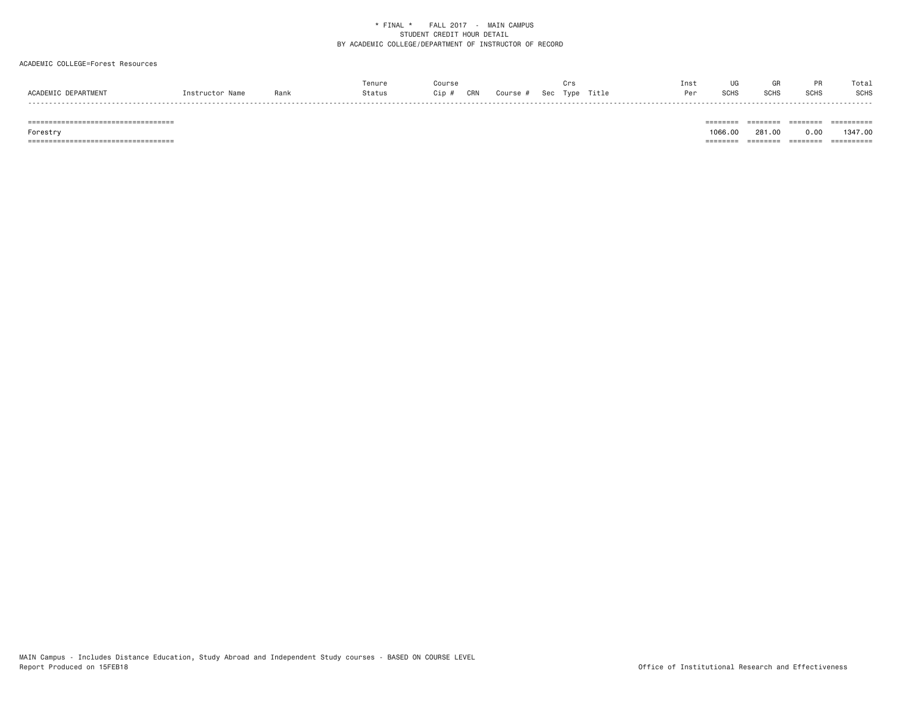## ACADEMIC COLLEGE=Forest Resources

|           |      | Tenur  |                                    | urs           | 1 I I S I |       |             |                  | Tota.       |
|-----------|------|--------|------------------------------------|---------------|-----------|-------|-------------|------------------|-------------|
| ACADEMIC. | Rank | Statu, | <b>CRN</b><br>Course<br>Sec<br>Cip | Title<br>Tvpe |           | אווטט | <b>SCHS</b> | SCH <sub>S</sub> | <b>SCHS</b> |

 =================================== ======== ======== ======== ========== Forestry 1066.00 281.00 0.00 1347.00 =================================== ======== ======== ======== ==========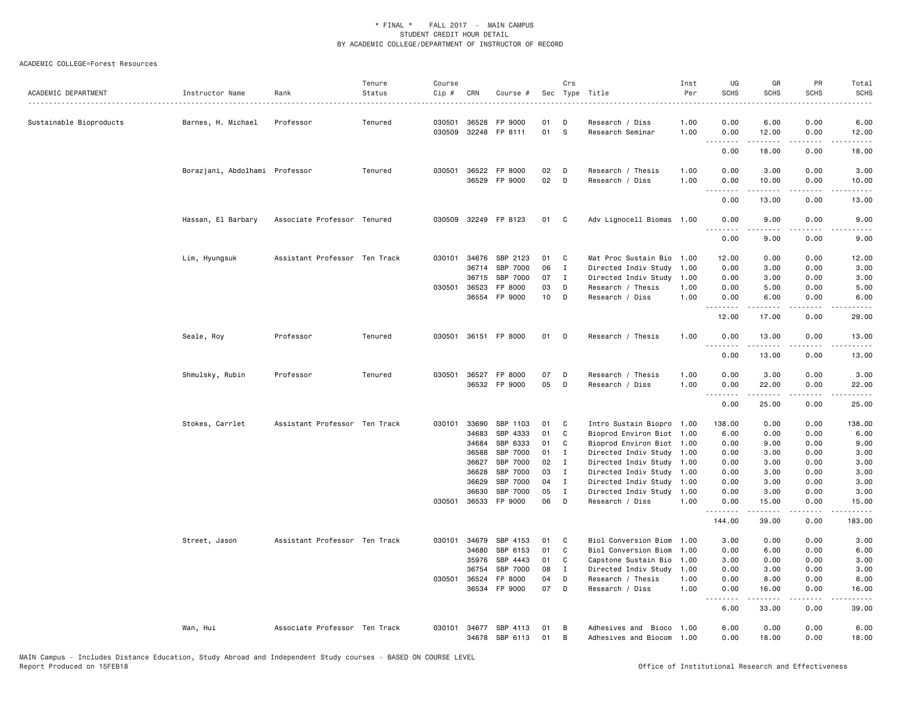| ACADEMIC DEPARTMENT     | Instructor Name                | Rank                          | Tenure<br>Status | Course<br>Cip # | CRN          | Course #                   |          | Crs          | Sec Type Title                                        | Inst<br>Per<br>. | UG<br><b>SCHS</b> | GR<br><b>SCHS</b>                                                                                                                                    | PR<br><b>SCHS</b> | Total<br><b>SCHS</b><br>$\omega$ is a set |
|-------------------------|--------------------------------|-------------------------------|------------------|-----------------|--------------|----------------------------|----------|--------------|-------------------------------------------------------|------------------|-------------------|------------------------------------------------------------------------------------------------------------------------------------------------------|-------------------|-------------------------------------------|
| Sustainable Bioproducts | Barnes, H. Michael             | Professor                     | Tenured          | 030501          | 36528        | FP 9000                    | 01       | D            | Research / Diss                                       | 1.00             | 0.00              | 6.00                                                                                                                                                 | 0.00              | 6.00                                      |
|                         |                                |                               |                  | 030509          |              | 32248 FP 8111              | 01       | <b>S</b>     | Research Seminar                                      | 1.00             | 0.00<br>.         | 12.00<br>.                                                                                                                                           | 0.00<br>.         | 12.00<br>.                                |
|                         |                                |                               |                  |                 |              |                            |          |              |                                                       |                  | 0.00              | 18.00                                                                                                                                                | 0.00              | 18.00                                     |
|                         | Borazjani, Abdolhami Professor |                               | Tenured          | 030501          | 36522        | FP 8000                    | 02       | D            | Research / Thesis                                     | 1.00             | 0.00              | 3.00                                                                                                                                                 | 0.00              | 3.00                                      |
|                         |                                |                               |                  |                 | 36529        | FP 9000                    | 02       | D            | Research / Diss                                       | 1.00             | 0.00<br>.         | 10.00<br>$\frac{1}{2} \left( \frac{1}{2} \right) \left( \frac{1}{2} \right) \left( \frac{1}{2} \right) \left( \frac{1}{2} \right)$                   | 0.00<br>الأنابات  | 10.00<br>.                                |
|                         |                                |                               |                  |                 |              |                            |          |              |                                                       |                  | 0.00              | 13.00                                                                                                                                                | 0.00              | 13.00                                     |
|                         | Hassan, El Barbary             | Associate Professor Tenured   |                  | 030509          |              | 32249 FP 8123              | 01       | $\mathbf{C}$ | Adv Lignocell Biomas 1.00                             |                  | 0.00              | 9.00                                                                                                                                                 | 0.00              | 9.00                                      |
|                         |                                |                               |                  |                 |              |                            |          |              |                                                       |                  | 0.00              | 9.00                                                                                                                                                 | 0.00              | 9.00                                      |
|                         | Lim, Hyungsuk                  | Assistant Professor Ten Track |                  |                 | 030101 34676 | SBP 2123                   | 01       | C.           | Mat Proc Sustain Bio 1.00                             |                  | 12.00             | 0.00                                                                                                                                                 | 0.00              | 12.00                                     |
|                         |                                |                               |                  |                 | 36714        | SBP 7000                   | 06       | I            | Directed Indiv Study                                  | 1.00             | 0.00              | 3.00                                                                                                                                                 | 0.00              | 3.00                                      |
|                         |                                |                               |                  |                 | 36715        | SBP 7000                   | 07       | $\mathbf I$  | Directed Indiv Study                                  | 1.00             | 0.00              | 3.00                                                                                                                                                 | 0.00              | 3.00                                      |
|                         |                                |                               |                  | 030501          | 36523        | FP 8000<br>36554 FP 9000   | 03<br>10 | D<br>D       | Research / Thesis<br>Research / Diss                  | 1.00<br>1.00     | 0.00<br>0.00      | 5.00<br>6.00                                                                                                                                         | 0.00<br>0.00      | 5.00<br>6.00                              |
|                         |                                |                               |                  |                 |              |                            |          |              |                                                       |                  | .                 | $\frac{1}{2} \left( \frac{1}{2} \right) \left( \frac{1}{2} \right) \left( \frac{1}{2} \right) \left( \frac{1}{2} \right) \left( \frac{1}{2} \right)$ | د د د د           | $    -$                                   |
|                         |                                |                               |                  |                 |              |                            |          |              |                                                       |                  | 12.00             | 17.00                                                                                                                                                | 0.00              | 29.00                                     |
|                         | Seale, Roy                     | Professor                     | Tenured          |                 |              | 030501 36151 FP 8000       | 01       | $\mathsf{D}$ | Research / Thesis                                     | 1.00             | 0.00              | 13.00                                                                                                                                                | 0.00              | 13.00                                     |
|                         |                                |                               |                  |                 |              |                            |          |              |                                                       |                  | 0.00              | 13.00                                                                                                                                                | 0.00              | 13.00                                     |
|                         | Shmulsky, Rubin                | Professor                     | Tenured          |                 |              | 030501 36527 FP 8000       | 07       | D            | Research / Thesis                                     | 1.00             | 0.00              | 3.00                                                                                                                                                 | 0.00              | 3.00                                      |
|                         |                                |                               |                  |                 |              | 36532 FP 9000              | 05       | D            | Research / Diss                                       | 1.00             | 0.00<br><u>.</u>  | 22.00<br>.                                                                                                                                           | 0.00<br>.         | 22.00<br>.                                |
|                         |                                |                               |                  |                 |              |                            |          |              |                                                       |                  | 0.00              | 25.00                                                                                                                                                | 0.00              | 25.00                                     |
|                         | Stokes, Carrlet                | Assistant Professor Ten Track |                  | 030101          | 33690        | SBP 1103                   | 01       | C            | Intro Sustain Biopro 1.00                             |                  | 138.00            | 0.00                                                                                                                                                 | 0.00              | 138.00                                    |
|                         |                                |                               |                  |                 | 34683        | SBP 4333                   | 01       | C            | Bioprod Environ Biot 1.00                             |                  | 6.00              | 0.00                                                                                                                                                 | 0.00              | 6.00                                      |
|                         |                                |                               |                  |                 | 34684        | SBP 6333                   | 01       | C            | Bioprod Environ Biot 1.00                             |                  | 0.00              | 9.00                                                                                                                                                 | 0.00              | 9.00                                      |
|                         |                                |                               |                  |                 | 36588        | SBP 7000                   | 01       | $\mathbf{I}$ | Directed Indiv Study 1.00                             |                  | 0.00              | 3.00                                                                                                                                                 | 0.00              | 3.00                                      |
|                         |                                |                               |                  |                 | 36627        | SBP 7000                   | 02       | $\mathbf{I}$ | Directed Indiv Study 1.00                             |                  | 0.00              | 3.00                                                                                                                                                 | 0.00              | 3.00                                      |
|                         |                                |                               |                  |                 | 36628        | SBP 7000                   | 03       | $\mathbf I$  | Directed Indiv Study 1.00                             |                  | 0.00              | 3.00                                                                                                                                                 | 0.00              | 3.00                                      |
|                         |                                |                               |                  |                 | 36629        | SBP 7000                   | 04       | I            | Directed Indiv Study                                  | 1.00             | 0.00              | 3.00                                                                                                                                                 | 0.00              | 3.00                                      |
|                         |                                |                               |                  | 030501          | 36630        | SBP 7000<br>36533 FP 9000  | 05<br>06 | I<br>D       | Directed Indiv Study<br>Research / Diss               | 1.00<br>1.00     | 0.00<br>0.00      | 3.00<br>15.00                                                                                                                                        | 0.00<br>0.00      | 3.00<br>15.00                             |
|                         |                                |                               |                  |                 |              |                            |          |              |                                                       |                  | 144.00            | 39.00                                                                                                                                                | 0.00              | 183.00                                    |
|                         | Street, Jason                  | Assistant Professor Ten Track |                  | 030101          | 34679        | SBP 4153                   | 01       | C            | Biol Conversion Biom                                  | 1.00             | 3.00              | 0.00                                                                                                                                                 | 0.00              | 3.00                                      |
|                         |                                |                               |                  |                 | 34680        | SBP 6153                   | 01       | $\mathtt{C}$ | Biol Conversion Biom                                  | 1.00             | 0.00              | 6.00                                                                                                                                                 | 0.00              | 6.00                                      |
|                         |                                |                               |                  |                 | 35976        | SBP 4443                   | 01       | C            | Capstone Sustain Bio                                  | 1.00             | 3.00              | 0.00                                                                                                                                                 | 0.00              | 3.00                                      |
|                         |                                |                               |                  |                 | 36754        | SBP 7000                   | 08       | $\mathbf I$  | Directed Indiv Study                                  | 1.00             | 0.00              | 3.00                                                                                                                                                 | 0.00              | 3.00                                      |
|                         |                                |                               |                  |                 | 030501 36524 | FP 8000                    | 04       | D            | Research / Thesis                                     | 1.00             | 0.00              | 8.00                                                                                                                                                 | 0.00              | 8.00                                      |
|                         |                                |                               |                  |                 | 36534        | FP 9000                    | 07       | D            | Research / Diss                                       | 1.00             | 0.00<br><u>.</u>  | 16.00<br><u>.</u>                                                                                                                                    | 0.00<br>.         | 16.00<br>.                                |
|                         |                                |                               |                  |                 |              |                            |          |              |                                                       |                  | 6.00              | 33.00                                                                                                                                                | 0.00              | 39.00                                     |
|                         | Wan, Hui                       | Associate Professor Ten Track |                  | 030101          | 34677        | SBP 4113<br>34678 SBP 6113 | 01<br>01 | В<br>B       | Adhesives and Bioco 1.00<br>Adhesives and Biocom 1.00 |                  | 6.00<br>0.00      | 0.00<br>18.00                                                                                                                                        | 0.00<br>0.00      | 6.00<br>18,00                             |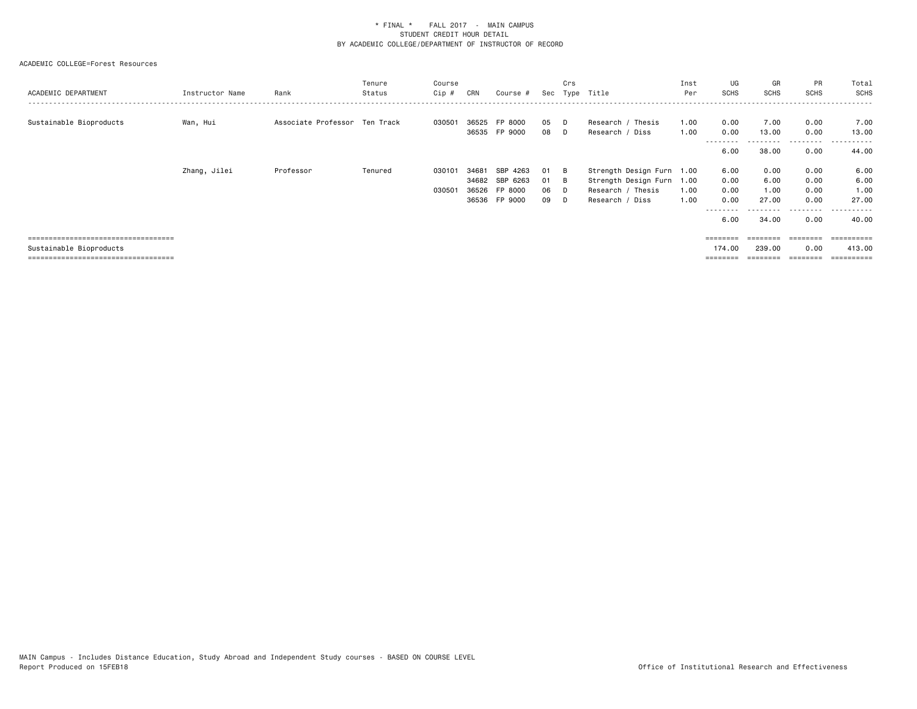| ACADEMIC DEPARTMENT                   | Instructor Name | Rank                          | Tenure<br>Status | Course<br>Cip # | CRN   | Course #      | Sec | Crs | Type Title                | Inst<br>Per | UG<br>SCHS        | GR<br><b>SCHS</b>  | PR<br><b>SCHS</b> | Total<br>SCHS |
|---------------------------------------|-----------------|-------------------------------|------------------|-----------------|-------|---------------|-----|-----|---------------------------|-------------|-------------------|--------------------|-------------------|---------------|
| Sustainable Bioproducts               | Wan, Hui        | Associate Professor Ten Track |                  | 030501          | 36525 | FP 8000       | 05  | D   | Research / Thesis         | 1.00        | 0.00              | 7.00               | 0.00              | 7.00          |
|                                       |                 |                               |                  |                 |       | 36535 FP 9000 | 08  | D   | Research / Diss           | 1.00        | 0.00              | 13.00              | 0.00              | 13.00         |
|                                       |                 |                               |                  |                 |       |               |     |     |                           |             | --------<br>6.00  | 38.00              | .<br>0.00         | .<br>44.00    |
|                                       | Zhang, Jilei    | Professor                     | Tenured          | 03010           | 34681 | SBP 4263      | 01  | B   | Strength Design Furn 1.00 |             | 6.00              | 0.00               | 0.00              | 6.00          |
|                                       |                 |                               |                  |                 | 34682 | SBP 6263      | 01  | - B | Strength Design Furn 1.00 |             | 0.00              | 6.00               | 0.00              | 6.00          |
|                                       |                 |                               |                  | 03050           | 36526 | FP 8000       | 06  |     | Research / Thesis         | 1.00        | 0.00              | 1.00               | 0.00              | 1.00          |
|                                       |                 |                               |                  |                 | 36536 | FP 9000       | 09  |     | Research / Diss           | 1.00        | 0.00              | 27.00              | 0.00              | 27,00         |
|                                       |                 |                               |                  |                 |       |               |     |     |                           |             | ---------<br>6.00 | ---------<br>34.00 | .<br>0.00         | .<br>40.00    |
| ===================================== |                 |                               |                  |                 |       |               |     |     |                           |             | ========          |                    | ========          |               |
| Sustainable Bioproducts               |                 |                               |                  |                 |       |               |     |     |                           |             | 174.00            | 239,00             | 0.00              | 413,00        |
| ===================================== |                 |                               |                  |                 |       |               |     |     |                           |             |                   |                    |                   | :=======      |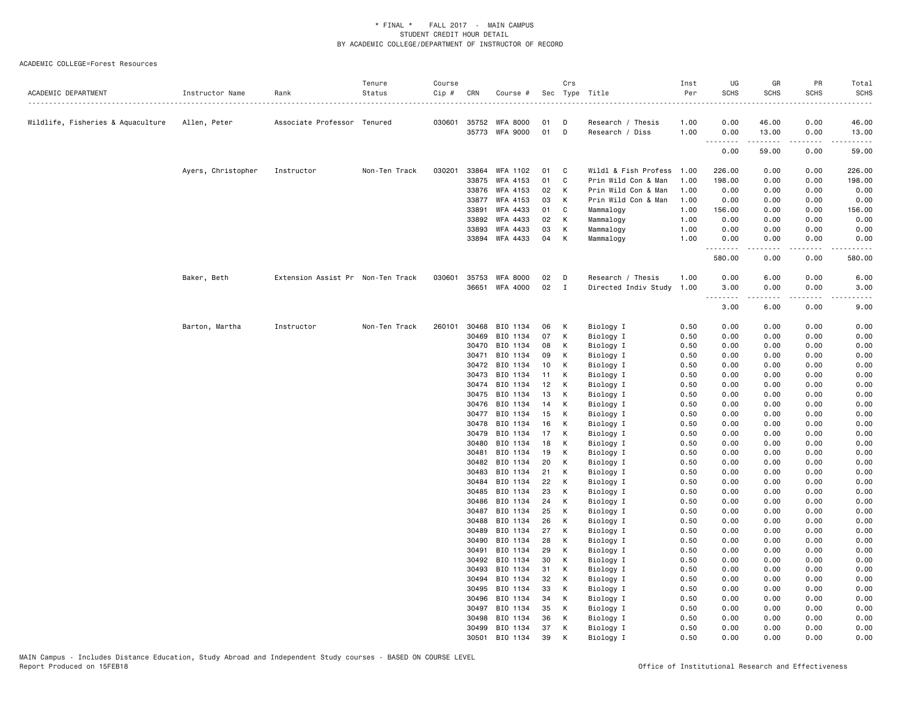| ACADEMIC DEPARTMENT               | Instructor Name    | Rank                              | Tenure<br>Status | Course<br>Cip# | CRN            | Course #              |          | Crs          | Sec Type Title         | Inst<br>Per<br>. | UG<br><b>SCHS</b>                                                                                                                                                | GR<br><b>SCHS</b> | PR<br><b>SCHS</b> | Total<br><b>SCHS</b><br>$\frac{1}{2}$ |
|-----------------------------------|--------------------|-----------------------------------|------------------|----------------|----------------|-----------------------|----------|--------------|------------------------|------------------|------------------------------------------------------------------------------------------------------------------------------------------------------------------|-------------------|-------------------|---------------------------------------|
| Wildlife, Fisheries & Aquaculture | Allen, Peter       | Associate Professor Tenured       |                  |                |                | 030601 35752 WFA 8000 | 01       | D            | Research / Thesis      | 1.00             | 0.00                                                                                                                                                             | 46.00             | 0.00              | 46.00                                 |
|                                   |                    |                                   |                  |                |                | 35773 WFA 9000        | 01       | D            | Research / Diss        | 1.00             | 0.00<br><u>.</u>                                                                                                                                                 | 13.00<br>.        | 0.00<br>.         | 13.00<br>المستمد                      |
|                                   |                    |                                   |                  |                |                |                       |          |              |                        |                  | 0.00                                                                                                                                                             | 59.00             | 0.00              | 59.00                                 |
|                                   | Ayers, Christopher | Instructor                        | Non-Ten Track    | 030201         |                | 33864 WFA 1102        | 01       | C            | Wildl & Fish Profess   | 1.00             | 226.00                                                                                                                                                           | 0.00              | 0.00              | 226.00                                |
|                                   |                    |                                   |                  |                | 33875          | WFA 4153              | 01       | C            | Prin Wild Con & Man    | 1.00             | 198.00                                                                                                                                                           | 0.00              | 0.00              | 198.00                                |
|                                   |                    |                                   |                  |                | 33876          | WFA 4153              | 02       | к            | Prin Wild Con & Man    | 1.00             | 0.00                                                                                                                                                             | 0.00              | 0.00              | 0.00                                  |
|                                   |                    |                                   |                  |                | 33877          | WFA 4153              | 03       | K            | Prin Wild Con & Man    | 1.00             | 0.00                                                                                                                                                             | 0.00              | 0.00              | 0.00                                  |
|                                   |                    |                                   |                  |                | 33891          | WFA 4433              | 01       | C            | Mammalogy              | 1.00             | 156.00                                                                                                                                                           | 0.00              | 0.00              | 156.00                                |
|                                   |                    |                                   |                  |                | 33892          | WFA 4433              | 02       | К            | Mammalogy              | 1.00             | 0.00                                                                                                                                                             | 0.00              | 0.00              | 0.00                                  |
|                                   |                    |                                   |                  |                | 33893          | WFA 4433              | 03       | K            | Mammalogy              | 1.00             | 0.00                                                                                                                                                             | 0.00              | 0.00              | 0.00                                  |
|                                   |                    |                                   |                  |                |                | 33894 WFA 4433        | 04       | K            | Mammalogy              | 1.00             | 0.00<br>.                                                                                                                                                        | 0.00<br>-----     | 0.00<br>.         | 0.00<br>.                             |
|                                   |                    |                                   |                  |                |                |                       |          |              |                        |                  | 580.00                                                                                                                                                           | 0.00              | 0.00              | 580.00                                |
|                                   | Baker, Beth        | Extension Assist Pr Non-Ten Track |                  | 030601         | 35753          | <b>WFA 8000</b>       | 02       | D            | Research / Thesis      | 1.00             | 0.00                                                                                                                                                             | 6.00              | 0.00              | 6.00                                  |
|                                   |                    |                                   |                  |                | 36651          | WFA 4000              | 02       | $\mathbf{I}$ | Directed Indiv Study   | 1.00             | 3.00                                                                                                                                                             | 0.00              | 0.00              | 3.00                                  |
|                                   |                    |                                   |                  |                |                |                       |          |              |                        |                  | $\sim$ $\sim$ $\sim$ $\sim$<br>$\frac{1}{2} \left( \frac{1}{2} \right) \left( \frac{1}{2} \right) \left( \frac{1}{2} \right) \left( \frac{1}{2} \right)$<br>3.00 | 6.00              | $- - -$<br>0.00   | 9.00                                  |
|                                   | Barton, Martha     | Instructor                        | Non-Ten Track    | 260101         | 30468          | BIO 1134              | 06       | К            | Biology I              | 0.50             | 0.00                                                                                                                                                             | 0.00              | 0.00              | 0.00                                  |
|                                   |                    |                                   |                  |                | 30469          | BIO 1134              | 07       | K            | Biology I              | 0.50             | 0.00                                                                                                                                                             | 0.00              | 0.00              | 0.00                                  |
|                                   |                    |                                   |                  |                | 30470          | BIO 1134              | 08       | K            | Biology I              | 0.50             | 0.00                                                                                                                                                             | 0.00              | 0.00              | 0.00                                  |
|                                   |                    |                                   |                  |                | 30471          | BIO 1134              | 09       | К            | Biology I              | 0.50             | 0.00                                                                                                                                                             | 0.00              | 0.00              | 0.00                                  |
|                                   |                    |                                   |                  |                | 30472          | BIO 1134              | 10       | К            | Biology I              | 0.50             | 0.00                                                                                                                                                             | 0.00              | 0.00              | 0.00                                  |
|                                   |                    |                                   |                  |                | 30473          | BIO 1134              | 11       | K            | Biology I              | 0.50             | 0.00                                                                                                                                                             | 0.00              | 0.00              | 0.00                                  |
|                                   |                    |                                   |                  |                | 30474          | BIO 1134              | 12       | К            | Biology I              | 0.50             | 0.00                                                                                                                                                             | 0.00              | 0.00              | 0.00                                  |
|                                   |                    |                                   |                  |                | 30475          | BIO 1134              | 13       | K            | Biology I              | 0.50             | 0.00                                                                                                                                                             | 0.00              | 0.00              | 0.00                                  |
|                                   |                    |                                   |                  |                | 30476          | BIO 1134              | 14       | K            | Biology I              | 0.50             | 0.00                                                                                                                                                             | 0.00              | 0.00              | 0.00                                  |
|                                   |                    |                                   |                  |                | 30477          | BIO 1134              | 15       | К            | Biology I              | 0.50             | 0.00                                                                                                                                                             | 0.00              | 0.00              | 0.00                                  |
|                                   |                    |                                   |                  |                | 30478          | BIO 1134              | 16       | К            | Biology I              | 0.50             | 0.00                                                                                                                                                             | 0.00              | 0.00              | 0.00                                  |
|                                   |                    |                                   |                  |                | 30479          | BIO 1134              | 17       | K            | Biology I              | 0.50             | 0.00                                                                                                                                                             | 0.00              | 0.00              | 0.00                                  |
|                                   |                    |                                   |                  |                | 30480          | BIO 1134              | 18       | K            | Biology I              | 0.50             | 0.00                                                                                                                                                             | 0.00              | 0.00              | 0.00                                  |
|                                   |                    |                                   |                  |                | 30481<br>30482 | BIO 1134<br>BIO 1134  | 19<br>20 | К<br>К       | Biology I              | 0.50<br>0.50     | 0.00<br>0.00                                                                                                                                                     | 0.00<br>0.00      | 0.00<br>0.00      | 0.00<br>0.00                          |
|                                   |                    |                                   |                  |                | 30483          | BIO 1134              | 21       | K            | Biology I<br>Biology I | 0.50             | 0.00                                                                                                                                                             | 0.00              | 0.00              | 0.00                                  |
|                                   |                    |                                   |                  |                | 30484          | BIO 1134              | 22       | К            | Biology I              | 0.50             | 0.00                                                                                                                                                             | 0.00              | 0.00              | 0.00                                  |
|                                   |                    |                                   |                  |                | 30485          | BIO 1134              | 23       | К            | Biology I              | 0.50             | 0.00                                                                                                                                                             | 0.00              | 0.00              | 0.00                                  |
|                                   |                    |                                   |                  |                | 30486          | BIO 1134              | 24       | K            | Biology I              | 0.50             | 0.00                                                                                                                                                             | 0.00              | 0.00              | 0.00                                  |
|                                   |                    |                                   |                  |                | 30487          | BIO 1134              | 25       | K            | Biology I              | 0.50             | 0.00                                                                                                                                                             | 0.00              | 0.00              | 0.00                                  |
|                                   |                    |                                   |                  |                | 30488          | BIO 1134              | 26       | К            | Biology I              | 0.50             | 0.00                                                                                                                                                             | 0.00              | 0.00              | 0.00                                  |
|                                   |                    |                                   |                  |                | 30489          | BIO 1134              | 27       | К            | Biology I              | 0.50             | 0.00                                                                                                                                                             | 0.00              | 0.00              | 0.00                                  |
|                                   |                    |                                   |                  |                | 30490          | BIO 1134              | 28       | K            | Biology I              | 0.50             | 0.00                                                                                                                                                             | 0.00              | 0.00              | 0.00                                  |
|                                   |                    |                                   |                  |                | 30491          | BIO 1134              | 29       | K            | Biology I              | 0.50             | 0.00                                                                                                                                                             | 0.00              | 0.00              | 0.00                                  |
|                                   |                    |                                   |                  |                | 30492          | BIO 1134              | 30       | К            | Biology I              | 0.50             | 0.00                                                                                                                                                             | 0.00              | 0.00              | 0.00                                  |
|                                   |                    |                                   |                  |                | 30493          | BIO 1134              | 31       | K            | Biology I              | 0.50             | 0.00                                                                                                                                                             | 0.00              | 0.00              | 0.00                                  |
|                                   |                    |                                   |                  |                | 30494          | BIO 1134              | 32       | К            | Biology I              | 0.50             | 0.00                                                                                                                                                             | 0.00              | 0.00              | 0.00                                  |
|                                   |                    |                                   |                  |                | 30495          | BIO 1134              | 33       | Κ            | Biology I              | 0.50             | 0.00                                                                                                                                                             | 0.00              | 0.00              | 0.00                                  |
|                                   |                    |                                   |                  |                | 30496          | BIO 1134              | 34       | к            | Biology I              | 0.50             | 0.00                                                                                                                                                             | 0.00              | 0.00              | 0.00                                  |
|                                   |                    |                                   |                  |                | 30497          | BIO 1134              | 35       | K            | Biology I              | 0.50             | 0.00                                                                                                                                                             | 0.00              | 0.00              | 0.00                                  |
|                                   |                    |                                   |                  |                | 30498          | BIO 1134              | 36       | K            | Biology I              | 0.50             | 0.00                                                                                                                                                             | 0.00              | 0.00              | 0.00                                  |
|                                   |                    |                                   |                  |                | 30499          | BIO 1134              | 37       | К            | Biology I              | 0.50             | 0.00                                                                                                                                                             | 0.00              | 0.00              | 0.00                                  |
|                                   |                    |                                   |                  |                | 30501          | BIO 1134              | 39       | K            | Biology I              | 0.50             | 0.00                                                                                                                                                             | 0.00              | 0.00              | 0.00                                  |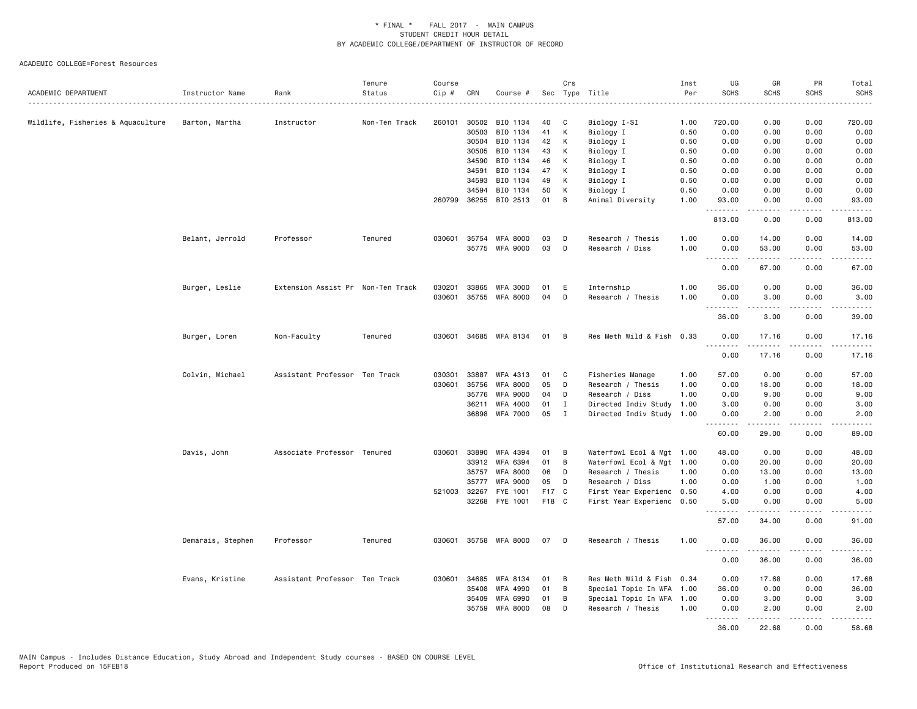| ACADEMIC DEPARTMENT               | Instructor Name   | Rank                              | Tenure<br>Status | Course<br>Cip # | CRN            | Course #             |          | Crs          | Sec Type Title            | Inst<br>Per  | UG<br><b>SCHS</b> | GR<br><b>SCHS</b>       | PR<br><b>SCHS</b>            | Total<br><b>SCHS</b> |
|-----------------------------------|-------------------|-----------------------------------|------------------|-----------------|----------------|----------------------|----------|--------------|---------------------------|--------------|-------------------|-------------------------|------------------------------|----------------------|
|                                   |                   |                                   |                  |                 |                |                      |          |              |                           |              |                   |                         |                              |                      |
| Wildlife, Fisheries & Aquaculture | Barton, Martha    | Instructor                        | Non-Ten Track    | 260101          | 30502          | BIO 1134             | 40       | C            | Biology I-SI              | 1.00         | 720.00            | 0.00                    | 0.00                         | 720.00               |
|                                   |                   |                                   |                  |                 | 30503          | BIO 1134             | 41       | К            | Biology I                 | 0.50         | 0.00              | 0.00                    | 0.00                         | 0.00                 |
|                                   |                   |                                   |                  |                 | 30504<br>30505 | BIO 1134<br>BIO 1134 | 42<br>43 | К<br>К       | Biology I                 | 0.50<br>0.50 | 0.00<br>0.00      | 0.00                    | 0.00<br>0.00                 | 0.00<br>0.00         |
|                                   |                   |                                   |                  |                 |                |                      | 46       |              | Biology I                 |              | 0.00              | 0.00                    | 0.00                         |                      |
|                                   |                   |                                   |                  |                 | 34590<br>34591 | BIO 1134<br>BIO 1134 | 47       | κ<br>К       | Biology I<br>Biology I    | 0.50<br>0.50 | 0.00              | 0.00<br>0.00            | 0.00                         | 0.00<br>0.00         |
|                                   |                   |                                   |                  |                 | 34593          | BIO 1134             | 49       | Κ            |                           | 0.50         | 0.00              | 0.00                    | 0.00                         | 0.00                 |
|                                   |                   |                                   |                  |                 | 34594          | BIO 1134             | 50       | κ            | Biology I<br>Biology I    | 0.50         | 0.00              | 0.00                    | 0.00                         | 0.00                 |
|                                   |                   |                                   |                  | 260799          | 36255          | BIO 2513             | 01       | В            | Animal Diversity          | 1.00         | 93.00             | 0.00                    | 0.00                         | 93.00                |
|                                   |                   |                                   |                  |                 |                |                      |          |              |                           |              | .                 | <u>.</u>                | .                            | .                    |
|                                   |                   |                                   |                  |                 |                |                      |          |              |                           |              | 813.00            | 0.00                    | 0.00                         | 813.00               |
|                                   | Belant, Jerrold   | Professor                         | Tenured          | 030601          |                | 35754 WFA 8000       | 03       | D            | Research / Thesis         | 1.00         | 0.00              | 14.00                   | 0.00                         | 14.00                |
|                                   |                   |                                   |                  |                 |                | 35775 WFA 9000       | 03       | D            | Research / Diss           | 1.00         | 0.00              | 53.00                   | 0.00                         | 53.00                |
|                                   |                   |                                   |                  |                 |                |                      |          |              |                           |              | .                 | .                       | .                            | .                    |
|                                   |                   |                                   |                  |                 |                |                      |          |              |                           |              | 0.00              | 67.00                   | 0.00                         | 67.00                |
|                                   | Burger, Leslie    | Extension Assist Pr Non-Ten Track |                  | 030201          | 33865          | <b>WFA 3000</b>      | 01       | Е            | Internship                | 1.00         | 36.00             | 0.00                    | 0.00                         | 36.00                |
|                                   |                   |                                   |                  | 030601          | 35755          | <b>WFA 8000</b>      | 04       | D            | Research / Thesis         | 1.00         | 0.00<br>.         | 3.00<br>.               | 0.00<br>$\frac{1}{2}$        | 3.00<br>$- - - - -$  |
|                                   |                   |                                   |                  |                 |                |                      |          |              |                           |              | 36.00             | 3.00                    | 0.00                         | 39.00                |
|                                   | Burger, Loren     | Non-Faculty                       | Tenured          | 030601          |                | 34685 WFA 8134       | 01       | B            | Res Meth Wild & Fish 0.33 |              | 0.00              | 17.16                   | 0.00                         | 17.16                |
|                                   |                   |                                   |                  |                 |                |                      |          |              |                           |              | .<br>0.00         | .<br>17.16              | .<br>0.00                    | .<br>17.16           |
|                                   | Colvin, Michael   | Assistant Professor Ten Track     |                  | 030301          | 33887          | WFA 4313             | 01       | C            | Fisheries Manage          | 1.00         | 57.00             | 0.00                    | 0.00                         | 57.00                |
|                                   |                   |                                   |                  | 030601          | 35756          | <b>WFA 8000</b>      | 05       | D            | Research / Thesis         | 1.00         | 0.00              | 18.00                   | 0.00                         | 18.00                |
|                                   |                   |                                   |                  |                 | 35776          | <b>WFA 9000</b>      | 04       | D            | Research / Diss           | 1.00         | 0.00              | 9.00                    | 0.00                         | 9.00                 |
|                                   |                   |                                   |                  |                 | 36211          | <b>WFA 4000</b>      | 01       | $\mathbf I$  | Directed Indiv Study      | 1.00         | 3.00              | 0.00                    | 0.00                         | 3.00                 |
|                                   |                   |                                   |                  |                 |                | 36898 WFA 7000       | 05       | $\mathbf{I}$ | Directed Indiv Study 1.00 |              | 0.00              | 2.00                    | 0.00                         | 2.00                 |
|                                   |                   |                                   |                  |                 |                |                      |          |              |                           |              | .<br>60.00        | $- - - - -$<br>29.00    | .<br>0.00                    | .<br>89.00           |
|                                   | Davis, John       | Associate Professor Tenured       |                  | 030601          | 33890          | WFA 4394             | 01       | B            | Waterfowl Ecol & Mgt 1.00 |              | 48.00             | 0.00                    | 0.00                         | 48.00                |
|                                   |                   |                                   |                  |                 |                | 33912 WFA 6394       | 01       | B            | Waterfowl Ecol & Mgt 1.00 |              | 0.00              | 20.00                   | 0.00                         | 20.00                |
|                                   |                   |                                   |                  |                 | 35757          | <b>WFA 8000</b>      | 06       | D            | Research / Thesis         | 1.00         | 0.00              | 13.00                   | 0.00                         | 13.00                |
|                                   |                   |                                   |                  |                 | 35777          | <b>WFA 9000</b>      | 05       | D            | Research / Diss           | 1.00         | 0.00              | 1.00                    | 0.00                         | 1.00                 |
|                                   |                   |                                   |                  |                 | 521003 32267   | FYE 1001             | F17      | $\mathbf{C}$ | First Year Experienc 0.50 |              | 4.00              | 0.00                    | 0.00                         | 4.00                 |
|                                   |                   |                                   |                  |                 |                | 32268 FYE 1001       | F18 C    |              | First Year Experienc 0.50 |              | 5.00<br>.         | 0.00<br>$- - - - -$     | 0.00<br>$\sim$ $\sim$ $\sim$ | 5.00<br>$- - - - -$  |
|                                   |                   |                                   |                  |                 |                |                      |          |              |                           |              | 57.00             | 34.00                   | 0.00                         | 91.00                |
|                                   | Demarais, Stephen | Professor                         | Tenured          | 030601          |                | 35758 WFA 8000       | 07       | D            | Research / Thesis         | 1.00         | 0.00              | 36.00                   | 0.00                         | 36.00                |
|                                   |                   |                                   |                  |                 |                |                      |          |              |                           |              | 0.00              | .<br>36.00              | .<br>0.00                    | .<br>36.00           |
|                                   | Evans, Kristine   | Assistant Professor Ten Track     |                  | 030601          | 34685          | WFA 8134             | 01       | B            | Res Meth Wild & Fish 0.34 |              | 0.00              | 17.68                   | 0.00                         | 17.68                |
|                                   |                   |                                   |                  |                 | 35408          | <b>WFA 4990</b>      | 01       | B            | Special Topic In WFA 1.00 |              | 36.00             | 0.00                    | 0.00                         | 36.00                |
|                                   |                   |                                   |                  |                 | 35409          | <b>WFA 6990</b>      | 01       | В            | Special Topic In WFA 1.00 |              | 0.00              | 3.00                    | 0.00                         | 3.00                 |
|                                   |                   |                                   |                  |                 | 35759          | <b>WFA 8000</b>      | 08       | D            | Research / Thesis         | 1.00         | 0.00<br>.         | 2.00<br>المتمام المتعاد | 0.00<br>.                    | 2.00<br>.            |
|                                   |                   |                                   |                  |                 |                |                      |          |              |                           |              | 36.00             | 22.68                   | 0.00                         | 58.68                |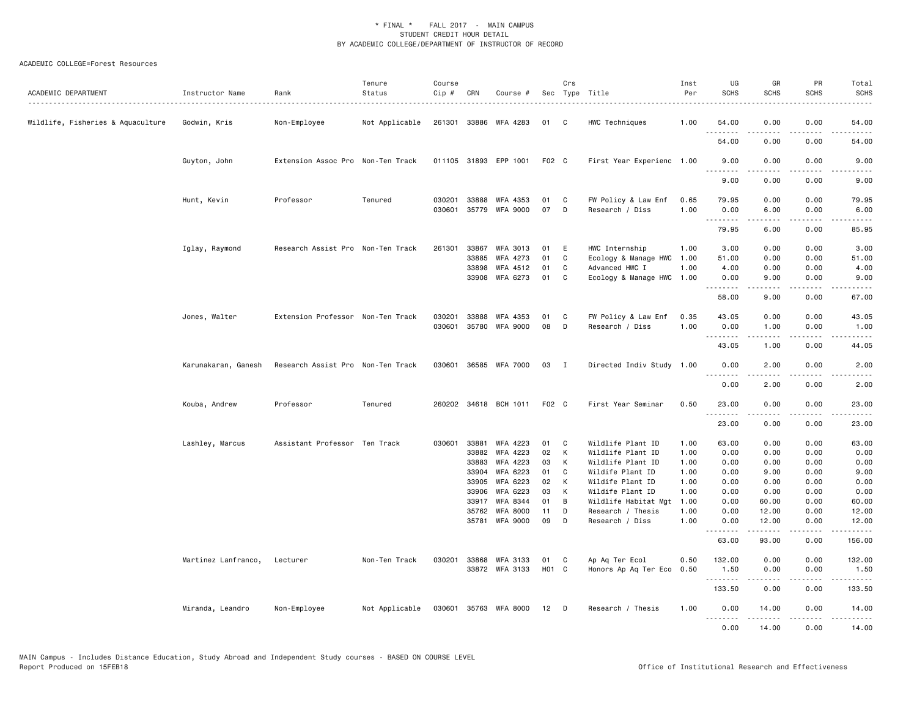| ACADEMIC DEPARTMENT               | Instructor Name     | Rank                              | Tenure<br>Status | Course<br>Cip # | CRN   | Course #              |                   | Crs            | Sec Type Title            | Inst<br>Per | UG<br><b>SCHS</b>                      | GR<br><b>SCHS</b>   | PR<br><b>SCHS</b> | Total<br><b>SCHS</b>                                                                                                              |
|-----------------------------------|---------------------|-----------------------------------|------------------|-----------------|-------|-----------------------|-------------------|----------------|---------------------------|-------------|----------------------------------------|---------------------|-------------------|-----------------------------------------------------------------------------------------------------------------------------------|
| Wildlife, Fisheries & Aquaculture | Godwin, Kris        | Non-Employee                      | Not Applicable   |                 |       | 261301 33886 WFA 4283 | 01                | C.             | HWC Techniques            | 1.00        | 54.00<br>.                             | 0.00<br>.           | 0.00              | 54.00                                                                                                                             |
|                                   |                     |                                   |                  |                 |       |                       |                   |                |                           |             | 54.00                                  | 0.00                | 0.00              | 54.00                                                                                                                             |
|                                   | Guyton, John        | Extension Assoc Pro Non-Ten Track |                  |                 |       | 011105 31893 EPP 1001 | F <sub>02</sub> C |                | First Year Experienc 1.00 |             | 9.00<br>.                              | 0.00                | 0.00              | 9.00                                                                                                                              |
|                                   |                     |                                   |                  |                 |       |                       |                   |                |                           |             | 9.00                                   | 0.00                | 0.00              | 9.00                                                                                                                              |
|                                   | Hunt, Kevin         | Professor                         | Tenured          | 030201          | 33888 | WFA 4353              | 01                | C              | FW Policy & Law Enf       | 0.65        | 79.95                                  | 0.00                | 0.00              | 79.95                                                                                                                             |
|                                   |                     |                                   |                  | 030601          | 35779 | <b>WFA 9000</b>       | 07                | D              | Research / Diss           | 1.00        | 0.00<br><u>.</u>                       | 6.00                | 0.00              | 6.00                                                                                                                              |
|                                   |                     |                                   |                  |                 |       |                       |                   |                |                           |             | 79.95                                  | 6.00                | 0.00              | 85.95                                                                                                                             |
|                                   | Iglay, Raymond      | Research Assist Pro Non-Ten Track |                  | 261301          | 33867 | <b>WFA 3013</b>       | 01                | E              | HWC Internship            | 1.00        | 3.00                                   | 0.00                | 0.00              | 3.00                                                                                                                              |
|                                   |                     |                                   |                  |                 | 33885 | WFA 4273              | 01                | C              | Ecology & Manage HWC      | 1.00        | 51.00                                  | 0.00                | 0.00              | 51.00                                                                                                                             |
|                                   |                     |                                   |                  |                 | 33898 | WFA 4512              | 01                | C              | Advanced HWC I            | 1.00        | 4.00                                   | 0.00                | 0.00              | 4.00                                                                                                                              |
|                                   |                     |                                   |                  |                 |       | 33908 WFA 6273        | 01                | C              | Ecology & Manage HWC      | 1.00        | 0.00<br>.                              | 9.00<br>.           | 0.00              | 9.00<br>$\frac{1}{2} \left( \frac{1}{2} \right) \left( \frac{1}{2} \right) \left( \frac{1}{2} \right) \left( \frac{1}{2} \right)$ |
|                                   |                     |                                   |                  |                 |       |                       |                   |                |                           |             | 58.00                                  | 9.00                | 0.00              | 67.00                                                                                                                             |
|                                   | Jones, Walter       | Extension Professor Non-Ten Track |                  | 030201          | 33888 | WFA 4353              | 01                | C              | FW Policy & Law Enf       | 0.35        | 43.05                                  | 0.00                | 0.00              | 43.05                                                                                                                             |
|                                   |                     |                                   |                  | 030601          | 35780 | <b>WFA 9000</b>       | 08                | D              | Research / Diss           | 1.00        | 0.00                                   | 1.00                | 0.00              | 1.00                                                                                                                              |
|                                   |                     |                                   |                  |                 |       |                       |                   |                |                           |             | .<br>43.05                             | .<br>1.00           | .<br>0.00         | والمناصبات<br>44.05                                                                                                               |
|                                   | Karunakaran, Ganesh | Research Assist Pro Non-Ten Track |                  |                 |       | 030601 36585 WFA 7000 | 03                | $\blacksquare$ | Directed Indiv Study 1.00 |             | 0.00                                   | 2.00                | 0.00              | 2.00                                                                                                                              |
|                                   |                     |                                   |                  |                 |       |                       |                   |                |                           |             | $\frac{1}{2}$<br>$\sim$ $\sim$<br>0.00 | 2.00                | 0.00              | 2.00                                                                                                                              |
|                                   | Kouba, Andrew       | Professor                         | Tenured          |                 |       | 260202 34618 BCH 1011 | F02 C             |                | First Year Seminar        | 0.50        | 23.00<br>.                             | 0.00                | 0.00              | 23.00                                                                                                                             |
|                                   |                     |                                   |                  |                 |       |                       |                   |                |                           |             | 23.00                                  | 0.00                | 0.00              | 23.00                                                                                                                             |
|                                   | Lashley, Marcus     | Assistant Professor Ten Track     |                  | 030601          | 33881 | WFA 4223              | 01                | C              | Wildlife Plant ID         | 1.00        | 63.00                                  | 0.00                | 0.00              | 63.00                                                                                                                             |
|                                   |                     |                                   |                  |                 | 33882 | <b>WFA 4223</b>       | 02                | К              | Wildlife Plant ID         | 1.00        | 0.00                                   | 0.00                | 0.00              | 0.00                                                                                                                              |
|                                   |                     |                                   |                  |                 | 33883 | WFA 4223              | 03                | К              | Wildlife Plant ID         | 1.00        | 0.00                                   | 0.00                | 0.00              | 0.00                                                                                                                              |
|                                   |                     |                                   |                  |                 | 33904 | WFA 6223              | 01                | C              | Wildife Plant ID          | 1.00        | 0.00                                   | 9.00                | 0.00              | 9.00                                                                                                                              |
|                                   |                     |                                   |                  |                 | 33905 | WFA 6223              | 02                | K              | Wildife Plant ID          | 1.00        | 0.00                                   | 0.00                | 0.00              | 0.00                                                                                                                              |
|                                   |                     |                                   |                  |                 | 33906 | WFA 6223              | 03                | К              | Wildife Plant ID          | 1.00        | 0.00                                   | 0.00                | 0.00              | 0.00                                                                                                                              |
|                                   |                     |                                   |                  |                 | 33917 | WFA 8344              | 01                | B              | Wildlife Habitat Mgt      | 1.00        | 0.00                                   | 60.00               | 0.00              | 60.00                                                                                                                             |
|                                   |                     |                                   |                  |                 | 35762 | WFA 8000              | 11                | D              | Research / Thesis         | 1.00        | 0.00                                   | 12.00               | 0.00              | 12.00                                                                                                                             |
|                                   |                     |                                   |                  |                 | 35781 | WFA 9000              | 09                | D              | Research / Diss           | 1.00        | 0.00                                   | 12.00               | 0.00              | 12.00                                                                                                                             |
|                                   |                     |                                   |                  |                 |       |                       |                   |                |                           |             | 63.00                                  | 93.00               | 0.00              | 156.00                                                                                                                            |
|                                   | Martinez Lanfranco, | Lecturer                          | Non-Ten Track    | 030201          |       | 33868 WFA 3133        | 01                | C              | Ap Aq Ter Ecol            | 0.50        | 132.00                                 | 0.00                | 0.00              | 132.00                                                                                                                            |
|                                   |                     |                                   |                  |                 |       | 33872 WFA 3133        | H01 C             |                | Honors Ap Aq Ter Eco      | 0.50        | 1.50                                   | 0.00<br>$- - - - -$ | 0.00<br>.         | 1.50<br>$\begin{array}{cccccccccc} \bullet & \bullet & \bullet & \bullet & \bullet & \bullet & \bullet \end{array}$               |
|                                   |                     |                                   |                  |                 |       |                       |                   |                |                           |             | 133.50                                 | 0.00                | 0.00              | 133.50                                                                                                                            |
|                                   | Miranda, Leandro    | Non-Employee                      | Not Applicable   |                 |       | 030601 35763 WFA 8000 | 12 <sup>12</sup>  | D              | Research / Thesis         | 1.00        | 0.00<br>.                              | 14.00<br>.          | 0.00<br>.         | 14.00<br>.                                                                                                                        |
|                                   |                     |                                   |                  |                 |       |                       |                   |                |                           |             | 0.00                                   | 14.00               | 0.00              | 14.00                                                                                                                             |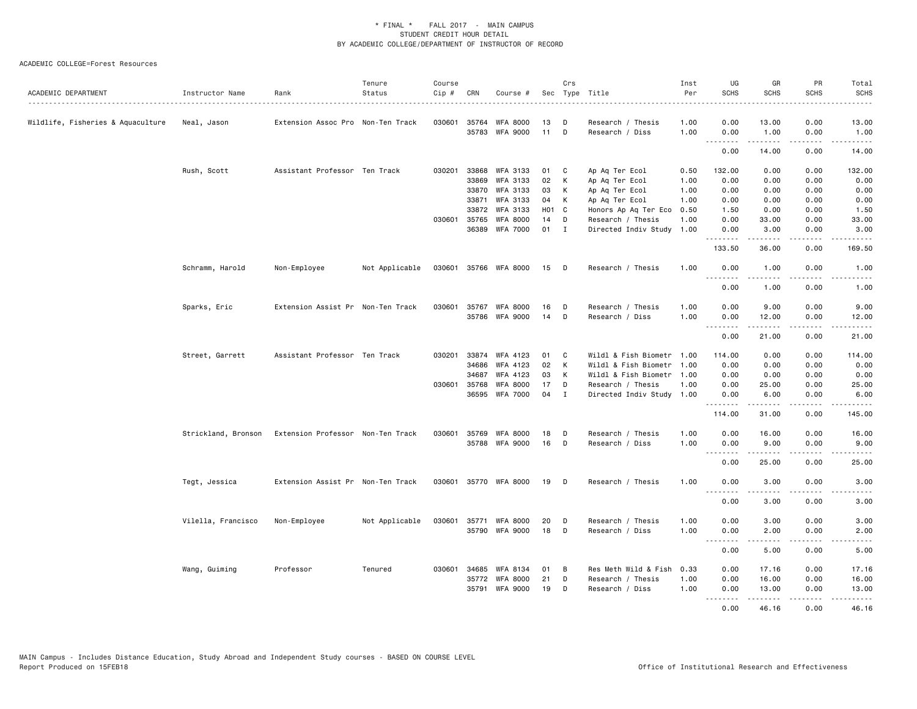| ACADEMIC DEPARTMENT               | Instructor Name    | Rank                                                  | Tenure<br>Status | Course<br>Cip # | CRN            | Course #                    |          | Crs         | Sec Type Title                       | Inst<br>Per<br>. | UG<br><b>SCHS</b>                                                                                                                 | GR<br><b>SCHS</b>                                                                                                                                                                        | PR<br><b>SCHS</b><br>-----          | Total<br><b>SCHS</b><br>. |
|-----------------------------------|--------------------|-------------------------------------------------------|------------------|-----------------|----------------|-----------------------------|----------|-------------|--------------------------------------|------------------|-----------------------------------------------------------------------------------------------------------------------------------|------------------------------------------------------------------------------------------------------------------------------------------------------------------------------------------|-------------------------------------|---------------------------|
| Wildlife, Fisheries & Aquaculture | Neal, Jason        | Extension Assoc Pro Non-Ten Track                     |                  | 030601          | 35764<br>35783 | WFA 8000<br><b>WFA 9000</b> | 13<br>11 | D<br>D      | Research / Thesis<br>Research / Diss | 1.00<br>1.00     | 0.00<br>0.00                                                                                                                      | 13.00<br>1.00                                                                                                                                                                            | 0.00<br>0.00                        | 13.00<br>1.00             |
|                                   |                    |                                                       |                  |                 |                |                             |          |             |                                      |                  |                                                                                                                                   |                                                                                                                                                                                          | .                                   | المتمام                   |
|                                   |                    |                                                       |                  |                 |                |                             |          |             |                                      |                  | 0.00                                                                                                                              | 14.00                                                                                                                                                                                    | 0.00                                | 14.00                     |
|                                   | Rush, Scott        | Assistant Professor Ten Track                         |                  | 030201          | 33868          | WFA 3133                    | 01       | C           | Ap Aq Ter Ecol                       | 0.50             | 132.00                                                                                                                            | 0.00                                                                                                                                                                                     | 0.00                                | 132.00                    |
|                                   |                    |                                                       |                  |                 | 33869          | WFA 3133                    | 02       | К           | Ap Aq Ter Ecol                       | 1.00             | 0.00                                                                                                                              | 0.00                                                                                                                                                                                     | 0.00                                | 0.00                      |
|                                   |                    |                                                       |                  |                 | 33870          | WFA 3133                    | 03       | К           | Ap Aq Ter Ecol                       | 1.00             | 0.00                                                                                                                              | 0.00                                                                                                                                                                                     | 0.00                                | 0.00                      |
|                                   |                    |                                                       |                  |                 | 33871          | WFA 3133                    | 04       | К           | Ap Aq Ter Ecol                       | 1.00             | 0.00                                                                                                                              | 0.00                                                                                                                                                                                     | 0.00                                | 0.00                      |
|                                   |                    |                                                       |                  |                 | 33872          | WFA 3133                    | H01 C    |             | Honors Ap Aq Ter Eco                 | 0.50             | 1.50                                                                                                                              | 0.00                                                                                                                                                                                     | 0.00                                | 1.50                      |
|                                   |                    |                                                       |                  | 030601          | 35765          | WFA 8000                    | 14       | D           | Research / Thesis                    | 1.00             | 0.00                                                                                                                              | 33.00                                                                                                                                                                                    | 0.00                                | 33.00                     |
|                                   |                    |                                                       |                  |                 |                | 36389 WFA 7000              | 01       | I           | Directed Indiv Study 1.00            |                  | 0.00<br>--------                                                                                                                  | 3.00<br>-----                                                                                                                                                                            | 0.00<br>بالمحامي                    | 3.00<br>.                 |
|                                   |                    |                                                       |                  |                 |                |                             |          |             |                                      |                  | 133.50                                                                                                                            | 36.00                                                                                                                                                                                    | 0.00                                | 169.50                    |
|                                   | Schramm, Harold    | Non-Employee                                          | Not Applicable   | 030601          |                | 35766 WFA 8000              | 15       | D           | Research / Thesis                    | 1.00             | 0.00                                                                                                                              | 1.00                                                                                                                                                                                     | 0.00                                | 1.00                      |
|                                   |                    |                                                       |                  |                 |                |                             |          |             |                                      |                  | .<br>0.00                                                                                                                         | .<br>1.00                                                                                                                                                                                | $- - - -$<br>0.00                   | .<br>1.00                 |
|                                   | Sparks, Eric       | Extension Assist Pr Non-Ten Track                     |                  | 030601          | 35767          | <b>WFA 8000</b>             | 16       | D           | Research / Thesis                    | 1.00             | 0.00                                                                                                                              | 9.00                                                                                                                                                                                     | 0.00                                | 9.00                      |
|                                   |                    |                                                       |                  |                 |                | 35786 WFA 9000              | 14       | D           | Research / Diss                      | 1.00             | 0.00                                                                                                                              | 12.00                                                                                                                                                                                    | 0.00                                | 12.00                     |
|                                   |                    |                                                       |                  |                 |                |                             |          |             |                                      |                  | 0.00                                                                                                                              | .<br>21.00                                                                                                                                                                               | .<br>0.00                           | .<br>21.00                |
|                                   | Street, Garrett    | Assistant Professor Ten Track                         |                  | 030201          | 33874          | WFA 4123                    | 01       | C           | Wildl & Fish Biometr 1.00            |                  | 114.00                                                                                                                            | 0.00                                                                                                                                                                                     | 0.00                                | 114.00                    |
|                                   |                    |                                                       |                  |                 | 34686          | WFA 4123                    | 02       | К           | Wildl & Fish Biometr 1.00            |                  | 0.00                                                                                                                              | 0.00                                                                                                                                                                                     | 0.00                                | 0.00                      |
|                                   |                    |                                                       |                  |                 | 34687          | WFA 4123                    | 03       | К           | Wildl & Fish Biometr                 | 1.00             | 0.00                                                                                                                              | 0.00                                                                                                                                                                                     | 0.00                                | 0.00                      |
|                                   |                    |                                                       |                  |                 | 030601 35768   | <b>WFA 8000</b>             | 17       | D           | Research / Thesis                    | 1.00             | 0.00                                                                                                                              | 25.00                                                                                                                                                                                    | 0.00                                | 25.00                     |
|                                   |                    |                                                       |                  |                 | 36595          | WFA 7000                    | 04       | $\mathbf I$ | Directed Indiv Study 1.00            |                  | 0.00<br>$\sim$ $\sim$ $\sim$                                                                                                      | 6.00                                                                                                                                                                                     | 0.00                                | 6.00                      |
|                                   |                    |                                                       |                  |                 |                |                             |          |             |                                      |                  | 114.00                                                                                                                            | 31.00                                                                                                                                                                                    | 0.00                                | 145.00                    |
|                                   |                    | Strickland, Bronson Extension Professor Non-Ten Track |                  | 030601          | 35769          | <b>WFA 8000</b>             | 18       | D           | Research / Thesis                    | 1.00             | 0.00                                                                                                                              | 16.00                                                                                                                                                                                    | 0.00                                | 16.00                     |
|                                   |                    |                                                       |                  |                 |                | 35788 WFA 9000              | 16       | D           | Research / Diss                      | 1.00             | 0.00<br>.                                                                                                                         | 9.00<br>$\frac{1}{2} \left( \frac{1}{2} \right) \left( \frac{1}{2} \right) \left( \frac{1}{2} \right) \left( \frac{1}{2} \right) \left( \frac{1}{2} \right)$                             | 0.00<br>بالمحامي                    | 9.00<br>المتمام           |
|                                   |                    |                                                       |                  |                 |                |                             |          |             |                                      |                  | 0.00                                                                                                                              | 25.00                                                                                                                                                                                    | 0.00                                | 25.00                     |
|                                   | Tegt, Jessica      | Extension Assist Pr Non-Ten Track                     |                  |                 |                | 030601 35770 WFA 8000       | 19 D     |             | Research / Thesis                    | 1.00             | 0.00                                                                                                                              | 3.00                                                                                                                                                                                     | 0.00                                | 3.00                      |
|                                   |                    |                                                       |                  |                 |                |                             |          |             |                                      |                  | $- - - -$<br>0.00                                                                                                                 | <u>.</u><br>3.00                                                                                                                                                                         | .<br>0.00                           | $\frac{1}{2}$<br>3.00     |
|                                   | Vilella, Francisco | Non-Employee                                          | Not Applicable   | 030601          | 35771          | <b>WFA 8000</b>             | 20       | D           | Research / Thesis                    | 1.00             | 0.00                                                                                                                              | 3.00                                                                                                                                                                                     | 0.00                                | 3.00                      |
|                                   |                    |                                                       |                  |                 |                | 35790 WFA 9000              | 18       | D           | Research / Diss                      | 1.00             | 0.00                                                                                                                              | 2.00                                                                                                                                                                                     | 0.00                                | 2.00                      |
|                                   |                    |                                                       |                  |                 |                |                             |          |             |                                      |                  | $\frac{1}{2}$<br>0.00                                                                                                             | .<br>5.00                                                                                                                                                                                | $\frac{1}{2}$<br>0.00               | .<br>5.00                 |
|                                   | Wang, Guiming      | Professor                                             | Tenured          | 030601          | 34685          | WFA 8134                    | 01       | B           | Res Meth Wild & Fish                 | 0.33             | 0.00                                                                                                                              | 17.16                                                                                                                                                                                    | 0.00                                | 17.16                     |
|                                   |                    |                                                       |                  |                 | 35772          | <b>WFA 8000</b>             | 21       | D           | Research / Thesis                    | 1.00             | 0.00                                                                                                                              | 16.00                                                                                                                                                                                    | 0.00                                | 16.00                     |
|                                   |                    |                                                       |                  |                 |                | 35791 WFA 9000              | 19       | D           | Research / Diss                      | 1.00             | 0.00                                                                                                                              | 13.00                                                                                                                                                                                    | 0.00                                | 13.00                     |
|                                   |                    |                                                       |                  |                 |                |                             |          |             |                                      |                  | $\frac{1}{2} \left( \frac{1}{2} \right) \left( \frac{1}{2} \right) \left( \frac{1}{2} \right) \left( \frac{1}{2} \right)$<br>0.00 | $\frac{1}{2} \left( \frac{1}{2} \right) \left( \frac{1}{2} \right) \left( \frac{1}{2} \right) \left( \frac{1}{2} \right) \left( \frac{1}{2} \right) \left( \frac{1}{2} \right)$<br>46.16 | $\sim$ $\sim$ $\sim$ $\sim$<br>0.00 | والمناصبات<br>46.16       |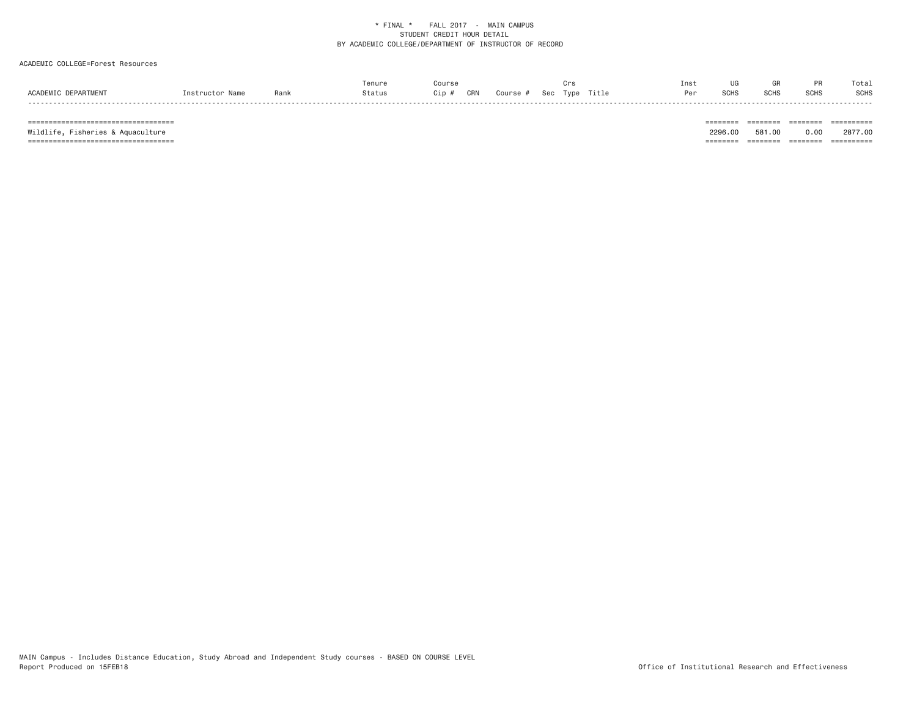### ACADEMIC COLLEGE=Forest Resources

|                     |                 |      | Tenure | Course                               | Crs | Inst | UG          | GR          | PR          | Total       |
|---------------------|-----------------|------|--------|--------------------------------------|-----|------|-------------|-------------|-------------|-------------|
| ACADEMIC DEPARTMENT | Instructor Name | Rank | Status | CRN Course # Sec Type Title<br>Cip # |     | Per  | <b>SCHS</b> | <b>SCHS</b> | <b>SCHS</b> | <b>SCHS</b> |

 =================================== ======== ======== ======== ========== Wildlife, Fisheries & Aquaculture 2296.00 581.00 0.00 2877.00 =================================== ======== ======== ======== ==========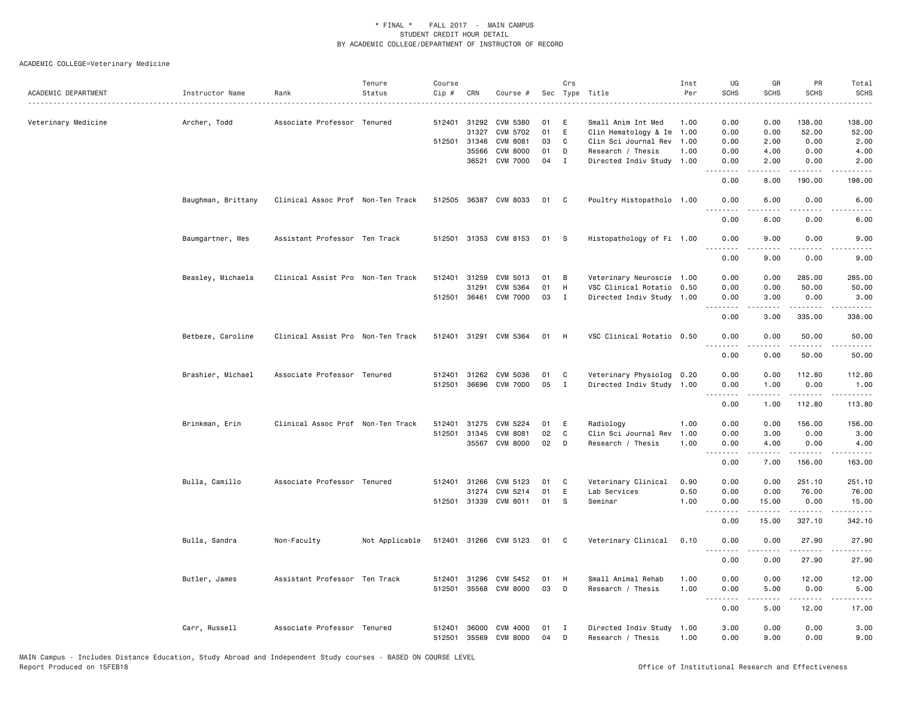ACADEMIC COLLEGE=Veterinary Medicine

| ACADEMIC DEPARTMENT | Instructor Name    | Rank                              | Tenure<br>Status | Course<br>Cip # | CRN          | Course #              |    | Crs          | Sec Type Title            | Inst<br>Per | UG<br><b>SCHS</b> | GR<br><b>SCHS</b>   | PR<br><b>SCHS</b>    | Total<br><b>SCHS</b><br>$\frac{1}{2} \left( \frac{1}{2} \right) \left( \frac{1}{2} \right) \left( \frac{1}{2} \right) \left( \frac{1}{2} \right) \left( \frac{1}{2} \right)$ |
|---------------------|--------------------|-----------------------------------|------------------|-----------------|--------------|-----------------------|----|--------------|---------------------------|-------------|-------------------|---------------------|----------------------|------------------------------------------------------------------------------------------------------------------------------------------------------------------------------|
| Veterinary Medicine | Archer, Todd       | Associate Professor Tenured       |                  | 512401          | 31292        | CVM 5380              | 01 | E            | Small Anim Int Med        | 1.00        | 0.00              | 0.00                | 138.00               | 138.00                                                                                                                                                                       |
|                     |                    |                                   |                  |                 | 31327        | CVM 5702              | 01 | E            | Clin Hematology & Im      | 1.00        | 0.00              | 0.00                | 52.00                | 52.00                                                                                                                                                                        |
|                     |                    |                                   |                  |                 | 512501 31346 | CVM 8081              | 03 | $\mathbf C$  | Clin Sci Journal Rev      | 1.00        | 0.00              | 2.00                | 0.00                 | 2.00                                                                                                                                                                         |
|                     |                    |                                   |                  |                 | 35566        | <b>CVM 8000</b>       | 01 | D            | Research / Thesis         | 1.00        | 0.00              | 4.00                | 0.00                 | 4.00                                                                                                                                                                         |
|                     |                    |                                   |                  |                 | 36521        | <b>CVM 7000</b>       | 04 | $\mathbf I$  | Directed Indiv Study 1.00 |             | 0.00              | 2.00                | 0.00                 | 2.00                                                                                                                                                                         |
|                     |                    |                                   |                  |                 |              |                       |    |              |                           |             | 0.00              | 8.00                | 190.00               | 198.00                                                                                                                                                                       |
|                     | Baughman, Brittany | Clinical Assoc Prof Non-Ten Track |                  |                 |              | 512505 36387 CVM 8033 | 01 | C            | Poultry Histopatholo 1.00 |             | 0.00<br>.         | 6.00<br>.           | 0.00<br>. <u>.</u> . | 6.00<br>$- - - -$                                                                                                                                                            |
|                     |                    |                                   |                  |                 |              |                       |    |              |                           |             | 0.00              | 6.00                | 0.00                 | 6.00                                                                                                                                                                         |
|                     | Baumgartner, Wes   | Assistant Professor Ten Track     |                  |                 |              | 512501 31353 CVM 8153 | 01 | $^{\circ}$ s | Histopathology of Fi 1.00 |             | 0.00              | 9.00                | 0.00                 | 9.00                                                                                                                                                                         |
|                     |                    |                                   |                  |                 |              |                       |    |              |                           |             | 0.00              | 9.00                | 0.00                 | 9.00                                                                                                                                                                         |
|                     | Beasley, Michaela  | Clinical Assist Pro Non-Ten Track |                  | 512401          | 31259        | CVM 5013              | 01 | В            | Veterinary Neuroscie 1.00 |             | 0.00              | 0.00                | 285.00               | 285.00                                                                                                                                                                       |
|                     |                    |                                   |                  |                 | 31291        | CVM 5364              | 01 | H            | VSC Clinical Rotatio 0.50 |             | 0.00              | 0.00                | 50.00                | 50.00                                                                                                                                                                        |
|                     |                    |                                   |                  |                 |              | 512501 36461 CVM 7000 | 03 | $\mathbf{I}$ | Directed Indiv Study 1.00 |             | 0.00<br>.         | 3.00<br>.           | 0.00<br>.            | 3.00<br>.                                                                                                                                                                    |
|                     |                    |                                   |                  |                 |              |                       |    |              |                           |             | 0.00              | 3.00                | 335.00               | 338.00                                                                                                                                                                       |
|                     | Betbeze, Caroline  | Clinical Assist Pro Non-Ten Track |                  |                 |              | 512401 31291 CVM 5364 | 01 | H            | VSC Clinical Rotatio 0.50 |             | 0.00<br>.         | 0.00<br>.           | 50.00<br>.           | 50.00                                                                                                                                                                        |
|                     |                    |                                   |                  |                 |              |                       |    |              |                           |             | 0.00              | 0.00                | 50.00                | 50.00                                                                                                                                                                        |
|                     | Brashier, Michael  | Associate Professor Tenured       |                  |                 | 512401 31262 | CVM 5036              | 01 | C            | Veterinary Physiolog 0.20 |             | 0.00              | 0.00                | 112.80               | 112.80                                                                                                                                                                       |
|                     |                    |                                   |                  |                 |              | 512501 36696 CVM 7000 | 05 | $\mathbf{I}$ | Directed Indiv Study 1.00 |             | 0.00              | 1.00                | 0.00                 | 1.00                                                                                                                                                                         |
|                     |                    |                                   |                  |                 |              |                       |    |              |                           |             | .<br>0.00         | $- - - - -$<br>1.00 | <u>.</u><br>112.80   | .<br>113.80                                                                                                                                                                  |
|                     | Brinkman, Erin     | Clinical Assoc Prof Non-Ten Track |                  | 512401          | 31275        | CVM 5224              | 01 | E            | Radiology                 | 1.00        | 0.00              | 0.00                | 156.00               | 156.00                                                                                                                                                                       |
|                     |                    |                                   |                  | 512501          | 31345        | <b>CVM 8081</b>       | 02 | C            | Clin Sci Journal Rev      | 1.00        | 0.00              | 3.00                | 0.00                 | 3.00                                                                                                                                                                         |
|                     |                    |                                   |                  |                 |              | 35567 CVM 8000        | 02 | D            | Research / Thesis         | 1.00        | 0.00<br>.         | 4.00                | 0.00<br><u>.</u>     | 4.00                                                                                                                                                                         |
|                     |                    |                                   |                  |                 |              |                       |    |              |                           |             | 0.00              | 7.00                | 156.00               | $\frac{1}{2} \left( \frac{1}{2} \right) \left( \frac{1}{2} \right) \left( \frac{1}{2} \right) \left( \frac{1}{2} \right) \left( \frac{1}{2} \right)$<br>163.00               |
|                     | Bulla, Camillo     | Associate Professor Tenured       |                  |                 | 512401 31266 | CVM 5123              | 01 | C            | Veterinary Clinical       | 0.90        | 0.00              | 0.00                | 251.10               | 251.10                                                                                                                                                                       |
|                     |                    |                                   |                  |                 | 31274        | CVM 5214              | 01 | E            | Lab Services              | 0.50        | 0.00              | 0.00                | 76.00                | 76.00                                                                                                                                                                        |
|                     |                    |                                   |                  | 512501          | 31339        | CVM 8011              | 01 | -S           | Seminar                   | 1.00        | 0.00<br>$  -$     | 15.00               | 0.00<br>.            | 15.00<br>$   -$                                                                                                                                                              |
|                     |                    |                                   |                  |                 |              |                       |    |              |                           |             | 0.00              | 15.00               | 327.10               | 342.10                                                                                                                                                                       |
|                     | Bulla, Sandra      | Non-Faculty                       | Not Applicable   |                 |              | 512401 31266 CVM 5123 | 01 | C            | Veterinary Clinical       | 0.10        | 0.00<br>.         | 0.00                | 27.90                | 27.90                                                                                                                                                                        |
|                     |                    |                                   |                  |                 |              |                       |    |              |                           |             | 0.00              | 0.00                | 27.90                | 27.90                                                                                                                                                                        |
|                     | Butler, James      | Assistant Professor Ten Track     |                  | 512401          | 31296        | CVM 5452              | 01 | H            | Small Animal Rehab        | 1.00        | 0.00              | 0.00                | 12.00                | 12.00                                                                                                                                                                        |
|                     |                    |                                   |                  | 512501          | 35568        | CVM 8000              | 03 | D            | Research / Thesis         | 1.00        | 0.00<br>.         | 5.00                | 0.00                 | 5.00                                                                                                                                                                         |
|                     |                    |                                   |                  |                 |              |                       |    |              |                           |             | 0.00              | 5.00                | 12.00                | 17.00                                                                                                                                                                        |
|                     | Carr, Russell      | Associate Professor Tenured       |                  | 512401          | 36000        | CVM 4000              | 01 | Ι            | Directed Indiv Study      | 1.00        | 3.00              | 0.00                | 0.00                 | 3.00                                                                                                                                                                         |
|                     |                    |                                   |                  | 512501          | 35569        | <b>CVM 8000</b>       | 04 | D            | Research / Thesis         | 1.00        | 0.00              | 9.00                | 0.00                 | 9.00                                                                                                                                                                         |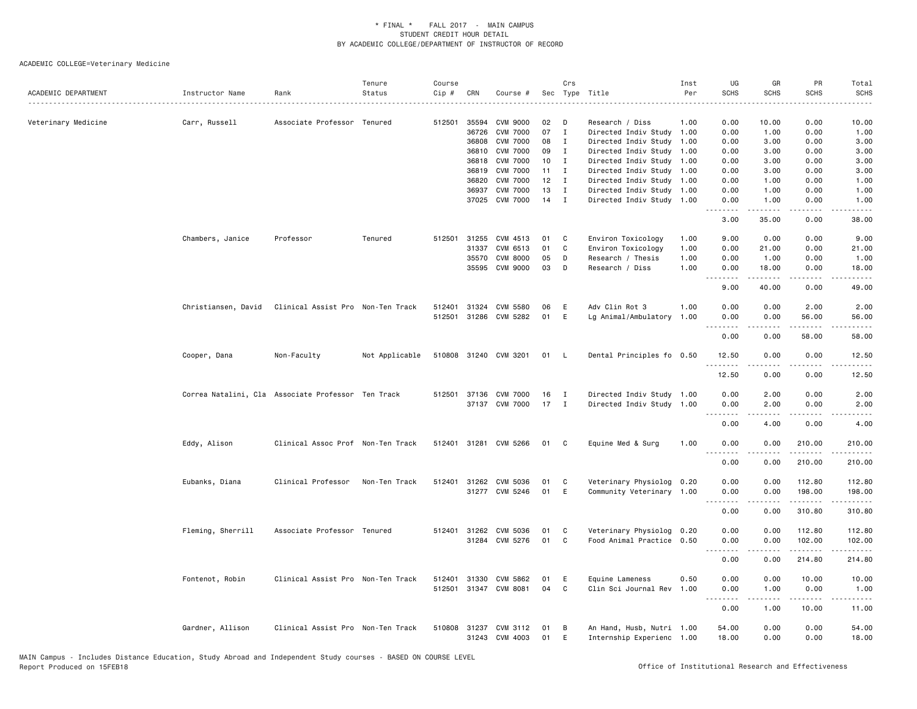| ACADEMIC DEPARTMENT | Instructor Name     | Rank                                               | Tenure<br>Status | Course<br>$Cip \#$ | CRN          | Course #              |    | Crs          | Sec Type Title            | Inst<br>Per | UG<br><b>SCHS</b>           | GR<br><b>SCHS</b>                                                                                                                                             | PR<br><b>SCHS</b>                                                                                                                                                               | Total<br><b>SCHS</b>                 |
|---------------------|---------------------|----------------------------------------------------|------------------|--------------------|--------------|-----------------------|----|--------------|---------------------------|-------------|-----------------------------|---------------------------------------------------------------------------------------------------------------------------------------------------------------|---------------------------------------------------------------------------------------------------------------------------------------------------------------------------------|--------------------------------------|
| Veterinary Medicine | Carr, Russell       | Associate Professor Tenured                        |                  | 512501             | 35594        | <b>CVM 9000</b>       | 02 | D            | Research / Diss           | 1.00        | 0.00                        | 10.00                                                                                                                                                         | 0.00                                                                                                                                                                            | 10.00                                |
|                     |                     |                                                    |                  |                    | 36726        | <b>CVM 7000</b>       | 07 | $\mathbf I$  | Directed Indiv Study 1.00 |             | 0.00                        | 1.00                                                                                                                                                          | 0.00                                                                                                                                                                            | 1.00                                 |
|                     |                     |                                                    |                  |                    | 36808        | <b>CVM 7000</b>       | 08 | $\mathbf I$  | Directed Indiv Study 1.00 |             | 0.00                        | 3.00                                                                                                                                                          | 0.00                                                                                                                                                                            | 3.00                                 |
|                     |                     |                                                    |                  |                    | 36810        | <b>CVM 7000</b>       | 09 | $\mathbf{I}$ | Directed Indiv Study 1.00 |             | 0.00                        | 3.00                                                                                                                                                          | 0.00                                                                                                                                                                            | 3.00                                 |
|                     |                     |                                                    |                  |                    | 36818        | <b>CVM 7000</b>       | 10 | I            | Directed Indiv Study 1.00 |             | 0.00                        | 3.00                                                                                                                                                          | 0.00                                                                                                                                                                            | 3.00                                 |
|                     |                     |                                                    |                  |                    | 36819        | <b>CVM 7000</b>       | 11 | $\mathbf I$  | Directed Indiv Study 1.00 |             | 0.00                        | 3.00                                                                                                                                                          | 0.00                                                                                                                                                                            | 3.00                                 |
|                     |                     |                                                    |                  |                    | 36820        | <b>CVM 7000</b>       | 12 | $\mathbf{I}$ | Directed Indiv Study 1.00 |             | 0.00                        | 1.00                                                                                                                                                          | 0.00                                                                                                                                                                            | 1.00                                 |
|                     |                     |                                                    |                  |                    | 36937        | <b>CVM 7000</b>       | 13 | I            | Directed Indiv Study 1.00 |             | 0.00                        | 1.00                                                                                                                                                          | 0.00                                                                                                                                                                            | 1.00                                 |
|                     |                     |                                                    |                  |                    |              | 37025 CVM 7000        | 14 | $\mathbf{I}$ | Directed Indiv Study 1.00 |             | 0.00<br>.                   | 1.00<br>$    -$                                                                                                                                               | 0.00<br>$\frac{1}{2}$                                                                                                                                                           | 1.00<br>وبالمسامين                   |
|                     |                     |                                                    |                  |                    |              |                       |    |              |                           |             | 3.00                        | 35.00                                                                                                                                                         | 0.00                                                                                                                                                                            | 38.00                                |
|                     | Chambers, Janice    | Professor                                          | Tenured          |                    |              | 512501 31255 CVM 4513 | 01 | C            | Environ Toxicology        | 1.00        | 9.00                        | 0.00                                                                                                                                                          | 0.00                                                                                                                                                                            | 9.00                                 |
|                     |                     |                                                    |                  |                    | 31337        | CVM 6513              | 01 | $\mathtt{C}$ | Environ Toxicology        | 1.00        | 0.00                        | 21.00                                                                                                                                                         | 0.00                                                                                                                                                                            | 21.00                                |
|                     |                     |                                                    |                  |                    | 35570        | <b>CVM 8000</b>       | 05 | D            | Research / Thesis         | 1.00        | 0.00                        | 1.00                                                                                                                                                          | 0.00                                                                                                                                                                            | 1.00                                 |
|                     |                     |                                                    |                  |                    |              | 35595 CVM 9000        | 03 | D            | Research / Diss           | 1.00        | 0.00<br>.                   | 18.00<br>$\frac{1}{2} \left( \frac{1}{2} \right) \left( \frac{1}{2} \right) \left( \frac{1}{2} \right) \left( \frac{1}{2} \right) \left( \frac{1}{2} \right)$ | 0.00                                                                                                                                                                            | 18.00<br>$\sim$ $\sim$ $\sim$ $\sim$ |
|                     |                     |                                                    |                  |                    |              |                       |    |              |                           |             | 9.00                        | 40.00                                                                                                                                                         | 0.00                                                                                                                                                                            | 49.00                                |
|                     | Christiansen, David | Clinical Assist Pro Non-Ten Track                  |                  | 512401             |              | 31324 CVM 5580        | 06 | E            | Adv Clin Rot 3            | 1.00        | 0.00                        | 0.00                                                                                                                                                          | 2.00                                                                                                                                                                            | 2.00                                 |
|                     |                     |                                                    |                  |                    |              | 512501 31286 CVM 5282 | 01 | E            | Lg Animal/Ambulatory 1.00 |             | 0.00                        | 0.00                                                                                                                                                          | 56.00                                                                                                                                                                           | 56.00                                |
|                     |                     |                                                    |                  |                    |              |                       |    |              |                           |             | $\sim$ $\sim$ $\sim$ $\sim$ | .                                                                                                                                                             | .                                                                                                                                                                               | .                                    |
|                     |                     |                                                    |                  |                    |              |                       |    |              |                           |             | 0.00                        | 0.00                                                                                                                                                          | 58.00                                                                                                                                                                           | 58.00                                |
|                     | Cooper, Dana        | Non-Faculty                                        | Not Applicable   |                    |              | 510808 31240 CVM 3201 | 01 | - L          | Dental Principles fo 0.50 |             | 12.50                       | 0.00                                                                                                                                                          | 0.00                                                                                                                                                                            | 12.50                                |
|                     |                     |                                                    |                  |                    |              |                       |    |              |                           |             | .<br>12.50                  | -----<br>0.00                                                                                                                                                 | .<br>0.00                                                                                                                                                                       | .<br>12.50                           |
|                     |                     |                                                    |                  |                    |              |                       |    |              |                           |             |                             |                                                                                                                                                               |                                                                                                                                                                                 |                                      |
|                     |                     | Correa Natalini, Cla Associate Professor Ten Track |                  |                    |              | 512501 37136 CVM 7000 | 16 | $\mathbf{I}$ | Directed Indiv Study 1.00 |             | 0.00                        | 2.00                                                                                                                                                          | 0.00                                                                                                                                                                            | 2.00                                 |
|                     |                     |                                                    |                  |                    |              | 37137 CVM 7000        | 17 | $\mathbf{I}$ | Directed Indiv Study 1.00 |             | 0.00<br>.                   | 2.00                                                                                                                                                          | 0.00<br>.                                                                                                                                                                       | 2.00<br>.                            |
|                     |                     |                                                    |                  |                    |              |                       |    |              |                           |             | 0.00                        | 4.00                                                                                                                                                          | 0.00                                                                                                                                                                            | 4.00                                 |
|                     | Eddy, Alison        | Clinical Assoc Prof Non-Ten Track                  |                  |                    | 512401 31281 | CVM 5266              | 01 | C            | Equine Med & Surg         | 1.00        | 0.00                        | 0.00                                                                                                                                                          | 210.00                                                                                                                                                                          | 210.00                               |
|                     |                     |                                                    |                  |                    |              |                       |    |              |                           |             | .                           |                                                                                                                                                               | $\frac{1}{2} \left( \frac{1}{2} \right) \left( \frac{1}{2} \right) \left( \frac{1}{2} \right) \left( \frac{1}{2} \right) \left( \frac{1}{2} \right) \left( \frac{1}{2} \right)$ | .                                    |
|                     |                     |                                                    |                  |                    |              |                       |    |              |                           |             | 0.00                        | 0.00                                                                                                                                                          | 210.00                                                                                                                                                                          | 210.00                               |
|                     | Eubanks, Diana      | Clinical Professor                                 | Non-Ten Track    |                    |              | 512401 31262 CVM 5036 | 01 | C            | Veterinary Physiolog 0.20 |             | 0.00                        | 0.00                                                                                                                                                          | 112.80                                                                                                                                                                          | 112.80                               |
|                     |                     |                                                    |                  |                    |              | 31277 CVM 5246        | 01 | E            | Community Veterinary 1.00 |             | 0.00                        | 0.00                                                                                                                                                          | 198.00                                                                                                                                                                          | 198.00                               |
|                     |                     |                                                    |                  |                    |              |                       |    |              |                           |             |                             | -----                                                                                                                                                         | .                                                                                                                                                                               | .                                    |
|                     |                     |                                                    |                  |                    |              |                       |    |              |                           |             | 0.00                        | 0.00                                                                                                                                                          | 310.80                                                                                                                                                                          | 310.80                               |
|                     | Fleming, Sherrill   | Associate Professor Tenured                        |                  |                    |              | 512401 31262 CVM 5036 | 01 | C            | Veterinary Physiolog 0.20 |             | 0.00                        | 0.00                                                                                                                                                          | 112.80                                                                                                                                                                          | 112.80                               |
|                     |                     |                                                    |                  |                    |              | 31284 CVM 5276        | 01 | C            | Food Animal Practice 0.50 |             | 0.00                        | 0.00                                                                                                                                                          | 102.00                                                                                                                                                                          | 102.00                               |
|                     |                     |                                                    |                  |                    |              |                       |    |              |                           |             |                             |                                                                                                                                                               | .                                                                                                                                                                               | المتمام والمنافر                     |
|                     |                     |                                                    |                  |                    |              |                       |    |              |                           |             | 0.00                        | 0.00                                                                                                                                                          | 214.80                                                                                                                                                                          | 214.80                               |
|                     | Fontenot, Robin     | Clinical Assist Pro Non-Ten Track                  |                  | 512401             | 31330        | CVM 5862              | 01 | E            | Equine Lameness           | 0.50        | 0.00                        | 0.00                                                                                                                                                          | 10.00                                                                                                                                                                           | 10.00                                |
|                     |                     |                                                    |                  |                    |              | 512501 31347 CVM 8081 | 04 | C            | Clin Sci Journal Rev      | 1.00        | 0.00                        | 1.00                                                                                                                                                          | 0.00                                                                                                                                                                            | 1.00                                 |
|                     |                     |                                                    |                  |                    |              |                       |    |              |                           |             |                             |                                                                                                                                                               |                                                                                                                                                                                 |                                      |
|                     |                     |                                                    |                  |                    |              |                       |    |              |                           |             | 0.00                        | 1.00                                                                                                                                                          | 10.00                                                                                                                                                                           | 11.00                                |
|                     |                     |                                                    |                  |                    |              |                       |    |              |                           |             |                             |                                                                                                                                                               | 0.00                                                                                                                                                                            |                                      |
|                     | Gardner, Allison    | Clinical Assist Pro Non-Ten Track                  |                  |                    |              | 510808 31237 CVM 3112 | 01 | B            | An Hand, Husb, Nutri 1.00 |             | 54.00                       | 0.00                                                                                                                                                          | 0.00                                                                                                                                                                            | 54.00                                |
|                     |                     |                                                    |                  |                    |              | 31243 CVM 4003        | 01 | E            | Internship Experienc 1.00 |             | 18.00                       | 0.00                                                                                                                                                          |                                                                                                                                                                                 | 18.00                                |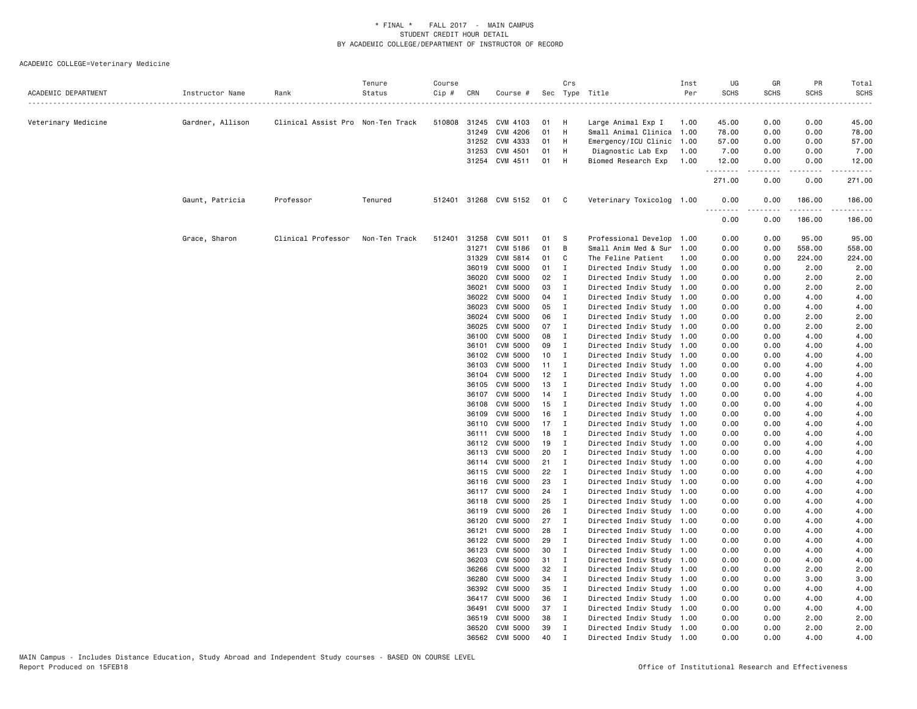| ACADEMIC DEPARTMENT | Instructor Name  | Rank                              | Tenure<br>Status | Course<br>Cip # | CRN            | Course #                   |              | Crs                          | Sec Type Title                                         | Inst<br>Per | UG<br><b>SCHS</b> | GR<br><b>SCHS</b> | PR<br><b>SCHS</b>  | Total<br><b>SCHS</b> |
|---------------------|------------------|-----------------------------------|------------------|-----------------|----------------|----------------------------|--------------|------------------------------|--------------------------------------------------------|-------------|-------------------|-------------------|--------------------|----------------------|
| Veterinary Medicine | Gardner, Allison | Clinical Assist Pro Non-Ten Track |                  |                 |                | 510808 31245 CVM 4103      | 01 H         |                              | Large Animal Exp I                                     | 1.00        | 45.00             | 0.00              | 0.00               | 45.00                |
|                     |                  |                                   |                  |                 | 31249          | CVM 4206                   | 01           | H                            | Small Animal Clinica 1.00                              |             | 78.00             | 0.00              | 0.00               | 78.00                |
|                     |                  |                                   |                  |                 | 31252          | CVM 4333                   | 01 H         |                              | Emergency/ICU Clinic 1.00                              |             | 57.00             | 0.00              | 0.00               | 57.00                |
|                     |                  |                                   |                  |                 | 31253          | CVM 4501                   | 01 H         |                              | Diagnostic Lab Exp                                     | 1.00        | 7.00              | 0.00              | 0.00               | 7.00                 |
|                     |                  |                                   |                  |                 |                | 31254 CVM 4511             | 01 H         |                              | Biomed Research Exp                                    | 1.00        | 12.00             | 0.00              | 0.00               | 12.00                |
|                     |                  |                                   |                  |                 |                |                            |              |                              |                                                        |             | .<br>271.00       | .<br>0.00         | المستسلمات<br>0.00 | 271.00               |
|                     | Gaunt, Patricia  | Professor                         | Tenured          |                 |                | 512401 31268 CVM 5152 01 C |              |                              | Veterinary Toxicolog 1.00                              |             | 0.00              | 0.00              | 186.00<br>.        | 186.00               |
|                     |                  |                                   |                  |                 |                |                            |              |                              |                                                        |             | 0.00              | 0.00              | 186.00             | 186.00               |
|                     | Grace, Sharon    | Clinical Professor                | Non-Ten Track    |                 | 512401 31258   | CVM 5011                   | 01 S         |                              | Professional Develop 1.00                              |             | 0.00              | 0.00              | 95.00              | 95.00                |
|                     |                  |                                   |                  |                 | 31271          | CVM 5186                   | 01           | $\overline{B}$               | Small Anim Med & Sur 1.00                              |             | 0.00              | 0.00              | 558.00             | 558.00               |
|                     |                  |                                   |                  |                 | 31329          | CVM 5814                   | 01           | $\mathbf{C}$                 | The Feline Patient                                     | 1.00        | 0.00              | 0.00              | 224.00             | 224.00               |
|                     |                  |                                   |                  |                 | 36019          | CVM 5000                   | 01 I         |                              | Directed Indiv Study 1.00                              |             | 0.00              | 0.00              | 2.00               | 2.00                 |
|                     |                  |                                   |                  |                 | 36020          | <b>CVM 5000</b>            | 02           | $\mathbf{I}$                 | Directed Indiv Study 1.00                              |             | 0.00              | 0.00              | 2.00               | 2.00                 |
|                     |                  |                                   |                  |                 | 36021          | CVM 5000                   | 03           | $\mathbf{I}$                 | Directed Indiv Study 1.00                              |             | 0.00              | 0.00              | 2.00               | 2.00                 |
|                     |                  |                                   |                  |                 | 36022          | <b>CVM 5000</b>            | 04 I         |                              | Directed Indiv Study 1.00                              |             | 0.00              | 0.00              | 4.00               | 4.00                 |
|                     |                  |                                   |                  |                 | 36023          | CVM 5000                   | 05 I         |                              | Directed Indiv Study 1.00                              |             | 0.00              | 0.00              | 4.00               | 4.00                 |
|                     |                  |                                   |                  |                 | 36024          | <b>CVM 5000</b>            | 06           | $\mathbf{I}$                 | Directed Indiv Study 1.00                              |             | 0.00              | 0.00              | 2.00               | 2.00                 |
|                     |                  |                                   |                  |                 | 36025          | <b>CVM 5000</b>            | 07 I         |                              | Directed Indiv Study 1.00                              |             | 0.00              | 0.00              | 2.00               | 2.00                 |
|                     |                  |                                   |                  |                 | 36100          | CVM 5000<br>CVM 5000       | 08<br>09     | $\blacksquare$               | Directed Indiv Study 1.00                              |             | 0.00              | 0.00<br>0.00      | 4.00               | 4.00<br>4.00         |
|                     |                  |                                   |                  |                 | 36101<br>36102 | <b>CVM 5000</b>            | 10           | $\mathbf{I}$<br>$\mathbf{I}$ | Directed Indiv Study 1.00<br>Directed Indiv Study 1.00 |             | 0.00<br>0.00      | 0.00              | 4.00<br>4.00       | 4.00                 |
|                     |                  |                                   |                  |                 | 36103          | CVM 5000                   | $11 \quad I$ |                              | Directed Indiv Study 1.00                              |             | 0.00              | 0.00              | 4.00               | 4.00                 |
|                     |                  |                                   |                  |                 | 36104          | <b>CVM 5000</b>            | $12$ I       |                              | Directed Indiv Study 1.00                              |             | 0.00              | 0.00              | 4.00               | 4.00                 |
|                     |                  |                                   |                  |                 | 36105          | CVM 5000                   | 13           | $\blacksquare$               | Directed Indiv Study 1.00                              |             | 0.00              | 0.00              | 4.00               | 4.00                 |
|                     |                  |                                   |                  |                 | 36107          | <b>CVM 5000</b>            | $14$ I       |                              | Directed Indiv Study 1.00                              |             | 0.00              | 0.00              | 4.00               | 4.00                 |
|                     |                  |                                   |                  |                 | 36108          | CVM 5000                   | 15           | $\mathbf{I}$                 | Directed Indiv Study 1.00                              |             | 0.00              | 0.00              | 4.00               | 4.00                 |
|                     |                  |                                   |                  |                 | 36109          | <b>CVM 5000</b>            | 16           | $\mathbf{I}$                 | Directed Indiv Study 1.00                              |             | 0.00              | 0.00              | 4.00               | 4.00                 |
|                     |                  |                                   |                  |                 | 36110          | CVM 5000                   | $17$ I       |                              | Directed Indiv Study 1.00                              |             | 0.00              | 0.00              | 4.00               | 4.00                 |
|                     |                  |                                   |                  |                 | 36111          | <b>CVM 5000</b>            | 18           | $\mathbf{I}$                 | Directed Indiv Study 1.00                              |             | 0.00              | 0.00              | 4.00               | 4.00                 |
|                     |                  |                                   |                  |                 | 36112          | <b>CVM 5000</b>            | 19           | $\mathbf{I}$                 | Directed Indiv Study 1.00                              |             | 0.00              | 0.00              | 4.00               | 4.00                 |
|                     |                  |                                   |                  |                 | 36113          | <b>CVM 5000</b>            | 20           | $\mathbf{I}$                 | Directed Indiv Study 1.00                              |             | 0.00              | 0.00              | 4.00               | 4.00                 |
|                     |                  |                                   |                  |                 |                | 36114 CVM 5000             | 21 I         |                              | Directed Indiv Study 1.00                              |             | 0.00              | 0.00              | 4.00               | 4.00                 |
|                     |                  |                                   |                  |                 |                | 36115 CVM 5000             | 22           | $\mathbf{I}$                 | Directed Indiv Study 1.00                              |             | 0.00              | 0.00              | 4.00               | 4.00                 |
|                     |                  |                                   |                  |                 | 36116          | CVM 5000                   | 23           | $\mathbf{I}$                 | Directed Indiv Study 1.00                              |             | 0.00              | 0.00              | 4.00               | 4.00                 |
|                     |                  |                                   |                  |                 |                | 36117 CVM 5000             | 24 I         |                              | Directed Indiv Study 1.00                              |             | 0.00              | 0.00              | 4.00               | 4.00                 |
|                     |                  |                                   |                  |                 |                | 36118 CVM 5000             | 25           | $\mathbf{I}$                 | Directed Indiv Study 1.00                              |             | 0.00              | 0.00              | 4.00               | 4.00                 |
|                     |                  |                                   |                  |                 | 36119          | CVM 5000                   | 26           | $\mathbf{I}$                 | Directed Indiv Study 1.00                              |             | 0.00              | 0.00              | 4.00               | 4.00                 |
|                     |                  |                                   |                  |                 | 36120          | CVM 5000                   | 27           | $\mathbf{I}$                 | Directed Indiv Study 1.00                              |             | 0.00              | 0.00              | 4.00               | 4.00                 |
|                     |                  |                                   |                  |                 | 36121          | <b>CVM 5000</b>            | 28           | $\mathbf{I}$                 | Directed Indiv Study 1.00                              |             | 0.00              | 0.00              | 4.00               | 4.00                 |
|                     |                  |                                   |                  |                 | 36122          | CVM 5000                   | 29           | $\mathbf{I}$                 | Directed Indiv Study 1.00                              |             | 0.00              | 0.00              | 4.00               | 4.00                 |
|                     |                  |                                   |                  |                 | 36123          | CVM 5000                   | 30           | $\mathbf{I}$                 | Directed Indiv Study 1.00                              |             | 0.00              | 0.00              | 4.00               | 4.00                 |
|                     |                  |                                   |                  |                 | 36203          | <b>CVM 5000</b>            | 31 I         |                              | Directed Indiv Study 1.00                              |             | 0.00              | 0.00              | 4.00               | 4.00                 |
|                     |                  |                                   |                  |                 | 36266          | CVM 5000                   | 32           | $\mathbf{I}$                 | Directed Indiv Study 1.00                              |             | 0.00              | 0.00              | 2.00               | 2.00                 |
|                     |                  |                                   |                  |                 | 36280          | <b>CVM 5000</b>            | 34 I         |                              | Directed Indiv Study 1.00                              |             | 0.00              | 0.00              | 3.00               | 3.00                 |
|                     |                  |                                   |                  |                 | 36392          | CVM 5000                   | 35           | $\mathbf{I}$                 | Directed Indiv Study 1.00                              |             | 0.00              | 0.00              | 4.00               | 4.00                 |
|                     |                  |                                   |                  |                 | 36417          | <b>CVM 5000</b>            | 36           | $\mathbf{I}$                 | Directed Indiv Study 1.00                              |             | 0.00              | 0.00              | 4.00               | 4.00                 |
|                     |                  |                                   |                  |                 | 36491          | CVM 5000                   | 37 I         |                              | Directed Indiv Study 1.00                              |             | 0.00              | 0.00              | 4.00               | 4.00                 |
|                     |                  |                                   |                  |                 | 36519          | <b>CVM 5000</b>            | 38           | $\mathbf{I}$                 | Directed Indiv Study 1.00                              |             | 0.00              | 0.00              | 2.00               | 2.00                 |
|                     |                  |                                   |                  |                 | 36520          | CVM 5000                   | 39           | I                            | Directed Indiv Study 1.00                              |             | 0.00              | 0.00              | 2.00               | 2.00                 |
|                     |                  |                                   |                  |                 | 36562          | CVM 5000                   | 40           | $\mathbf I$                  | Directed Indiv Study 1.00                              |             | 0.00              | 0.00              | 4.00               | 4.00                 |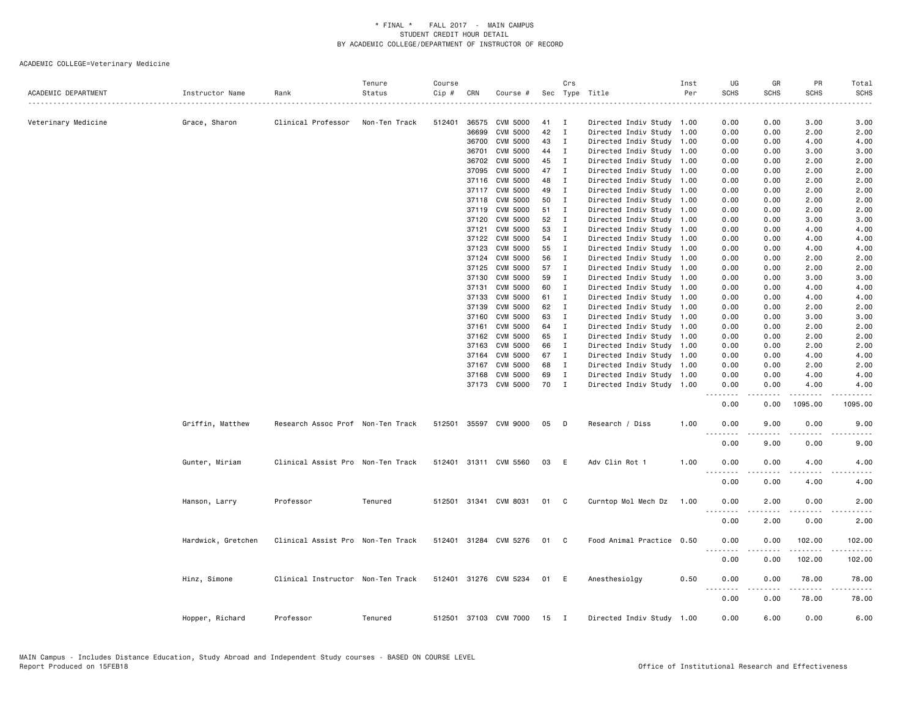| ACADEMIC DEPARTMENT | Instructor Name    | Rank                              | Tenure<br>Status | Course<br>$Cip \#$ | CRN            | Course #                   |          | Crs                          | Sec Type Title                                         | Inst<br>Per | UG<br><b>SCHS</b>                    | GR<br><b>SCHS</b> | PR<br><b>SCHS</b> | Total<br><b>SCHS</b>                                                                                                      |
|---------------------|--------------------|-----------------------------------|------------------|--------------------|----------------|----------------------------|----------|------------------------------|--------------------------------------------------------|-------------|--------------------------------------|-------------------|-------------------|---------------------------------------------------------------------------------------------------------------------------|
|                     |                    |                                   |                  |                    |                |                            |          |                              |                                                        |             |                                      |                   |                   | $\frac{1}{2} \left( \frac{1}{2} \right) \left( \frac{1}{2} \right) \left( \frac{1}{2} \right) \left( \frac{1}{2} \right)$ |
| Veterinary Medicine | Grace, Sharon      | Clinical Professor                | Non-Ten Track    | 512401             | 36575          | CVM 5000                   | 41       | $\mathbf{I}$                 | Directed Indiv Study 1.00                              |             | 0.00                                 | 0.00              | 3.00              | 3.00                                                                                                                      |
|                     |                    |                                   |                  |                    | 36699          | CVM 5000<br>36700 CVM 5000 | 42<br>43 | $\mathbf{I}$                 | Directed Indiv Study 1.00                              |             | 0.00                                 | 0.00<br>0.00      | 2.00              | 2.00                                                                                                                      |
|                     |                    |                                   |                  |                    |                |                            |          | $\mathbf{I}$                 | Directed Indiv Study 1.00                              |             | 0.00                                 |                   | 4.00              | 4.00                                                                                                                      |
|                     |                    |                                   |                  |                    | 36701          | CVM 5000<br>CVM 5000       | 44       | I                            | Directed Indiv Study 1.00                              |             | 0.00                                 | 0.00              | 3.00              | 3.00                                                                                                                      |
|                     |                    |                                   |                  |                    | 36702<br>37095 | CVM 5000                   | 45<br>47 | $\mathbf{I}$<br>$\mathbf{I}$ | Directed Indiv Study 1.00<br>Directed Indiv Study 1.00 |             | 0.00<br>0.00                         | 0.00<br>0.00      | 2.00<br>2.00      | 2.00<br>2.00                                                                                                              |
|                     |                    |                                   |                  |                    |                | 37116 CVM 5000             | 48       | $\mathbf I$                  | Directed Indiv Study 1.00                              |             | 0.00                                 | 0.00              | 2.00              | 2.00                                                                                                                      |
|                     |                    |                                   |                  |                    |                | 37117 CVM 5000             | 49       | $\mathbf I$                  | Directed Indiv Study 1.00                              |             | 0.00                                 | 0.00              | 2.00              | 2.00                                                                                                                      |
|                     |                    |                                   |                  |                    | 37118          | CVM 5000                   | 50       | $\mathbf{I}$                 | Directed Indiv Study 1.00                              |             | 0.00                                 | 0.00              | 2.00              | 2.00                                                                                                                      |
|                     |                    |                                   |                  |                    | 37119          | CVM 5000                   | 51       | $\mathbf I$                  | Directed Indiv Study 1.00                              |             | 0.00                                 | 0.00              | 2.00              | 2.00                                                                                                                      |
|                     |                    |                                   |                  |                    | 37120          | CVM 5000                   | 52       | $\mathbf{I}$                 | Directed Indiv Study 1.00                              |             | 0.00                                 | 0.00              | 3.00              | 3.00                                                                                                                      |
|                     |                    |                                   |                  |                    | 37121          | CVM 5000                   | 53       | $\mathbf{I}$                 | Directed Indiv Study 1.00                              |             | 0.00                                 | 0.00              | 4.00              | 4.00                                                                                                                      |
|                     |                    |                                   |                  |                    | 37122          | CVM 5000                   | 54       | $\mathbf I$                  | Directed Indiv Study 1.00                              |             | 0.00                                 | 0.00              | 4.00              | 4.00                                                                                                                      |
|                     |                    |                                   |                  |                    | 37123          | CVM 5000                   | 55       | $\mathbf{I}$                 | Directed Indiv Study 1.00                              |             | 0.00                                 | 0.00              | 4.00              | 4.00                                                                                                                      |
|                     |                    |                                   |                  |                    | 37124          | CVM 5000                   | 56       | $\mathbf{I}$                 | Directed Indiv Study 1.00                              |             | 0.00                                 | 0.00              | 2.00              | 2.00                                                                                                                      |
|                     |                    |                                   |                  |                    | 37125          | CVM 5000                   | 57       | $\mathbf{I}$                 | Directed Indiv Study 1.00                              |             | 0.00                                 | 0.00              | 2.00              | 2.00                                                                                                                      |
|                     |                    |                                   |                  |                    | 37130          | CVM 5000                   | 59       | I                            | Directed Indiv Study 1.00                              |             | 0.00                                 | 0.00              | 3.00              | 3.00                                                                                                                      |
|                     |                    |                                   |                  |                    | 37131          | <b>CVM 5000</b>            | 60       | $\mathbf{I}$                 |                                                        |             | 0.00                                 | 0.00              | 4.00              | 4.00                                                                                                                      |
|                     |                    |                                   |                  |                    | 37133          | <b>CVM 5000</b>            | 61       | $\mathbf{I}$                 | Directed Indiv Study 1.00<br>Directed Indiv Study 1.00 |             | 0.00                                 | 0.00              | 4.00              | 4.00                                                                                                                      |
|                     |                    |                                   |                  |                    | 37139          | <b>CVM 5000</b>            | 62       | $\mathbf{I}$                 | Directed Indiv Study 1.00                              |             | 0.00                                 | 0.00              | 2.00              | 2.00                                                                                                                      |
|                     |                    |                                   |                  |                    | 37160          | CVM 5000                   | 63       | $\mathbf{I}$                 | Directed Indiv Study 1.00                              |             | 0.00                                 | 0.00              | 3.00              | 3.00                                                                                                                      |
|                     |                    |                                   |                  |                    | 37161          | CVM 5000                   | 64       | I                            |                                                        |             | 0.00                                 | 0.00              | 2.00              |                                                                                                                           |
|                     |                    |                                   |                  |                    |                | 37162 CVM 5000             | 65       | $\mathbf{I}$                 | Directed Indiv Study 1.00<br>Directed Indiv Study 1.00 |             | 0.00                                 | 0.00              | 2.00              | 2.00<br>2.00                                                                                                              |
|                     |                    |                                   |                  |                    | 37163          |                            |          | $\mathbf{I}$                 |                                                        |             |                                      |                   | 2.00              |                                                                                                                           |
|                     |                    |                                   |                  |                    |                | CVM 5000<br>CVM 5000       | 66<br>67 |                              | Directed Indiv Study 1.00                              |             | 0.00                                 | 0.00              |                   | 2.00                                                                                                                      |
|                     |                    |                                   |                  |                    | 37164<br>37167 |                            | 68       | $\mathbf{I}$<br>$\mathbf{I}$ | Directed Indiv Study 1.00                              |             | 0.00<br>0.00                         | 0.00<br>0.00      | 4.00<br>2.00      | 4.00<br>2.00                                                                                                              |
|                     |                    |                                   |                  |                    |                | CVM 5000                   |          |                              | Directed Indiv Study 1.00                              |             |                                      |                   |                   |                                                                                                                           |
|                     |                    |                                   |                  |                    | 37168          | CVM 5000<br>37173 CVM 5000 | 69<br>70 | $\mathbf{I}$<br>$\mathbf{I}$ | Directed Indiv Study 1.00<br>Directed Indiv Study 1.00 |             | 0.00<br>0.00                         | 0.00<br>0.00      | 4.00<br>4.00      | 4.00<br>4.00                                                                                                              |
|                     |                    |                                   |                  |                    |                |                            |          |                              |                                                        |             | .                                    |                   |                   |                                                                                                                           |
|                     |                    |                                   |                  |                    |                |                            |          |                              |                                                        |             | 0.00                                 | 0.00              | 1095.00           | 1095.00                                                                                                                   |
|                     | Griffin, Matthew   | Research Assoc Prof Non-Ten Track |                  |                    |                | 512501 35597 CVM 9000      | 05       | $\Box$                       | Research / Diss                                        | 1.00        | 0.00<br>$\sim$ $\sim$ $\sim$<br>---- | 9.00              | 0.00<br>.         | 9.00<br>----                                                                                                              |
|                     |                    |                                   |                  |                    |                |                            |          |                              |                                                        |             | 0.00                                 | 9.00              | 0.00              | 9.00                                                                                                                      |
|                     | Gunter, Miriam     | Clinical Assist Pro Non-Ten Track |                  |                    |                | 512401 31311 CVM 5560      | 03       | E                            | Adv Clin Rot 1                                         | 1.00        | 0.00                                 | 0.00              | 4.00              | 4.00                                                                                                                      |
|                     |                    |                                   |                  |                    |                |                            |          |                              |                                                        |             | $- - - -$<br>0.00                    | .<br>0.00         | .<br>4.00         | $\frac{1}{2}$<br>4.00                                                                                                     |
|                     | Hanson, Larry      | Professor                         | Tenured          |                    |                | 512501 31341 CVM 8031      | 01 C     |                              | Curntop Mol Mech Dz                                    | 1.00        | 0.00                                 | 2.00              | 0.00              | 2.00                                                                                                                      |
|                     |                    |                                   |                  |                    |                |                            |          |                              |                                                        |             | $\frac{1}{2}$                        |                   |                   |                                                                                                                           |
|                     |                    |                                   |                  |                    |                |                            |          |                              |                                                        |             | 0.00                                 | 2.00              | 0.00              | 2.00                                                                                                                      |
|                     | Hardwick, Gretchen | Clinical Assist Pro Non-Ten Track |                  |                    |                | 512401 31284 CVM 5276      | 01       | $\mathbf{C}$                 | Food Animal Practice 0.50                              |             | 0.00                                 | 0.00              | 102.00            | 102.00                                                                                                                    |
|                     |                    |                                   |                  |                    |                |                            |          |                              |                                                        |             | 0.00                                 | 0.00              | 102.00            | 102.00                                                                                                                    |
|                     | Hinz, Simone       | Clinical Instructor Non-Ten Track |                  |                    |                | 512401 31276 CVM 5234      | 01 E     |                              | Anesthesiolgy                                          | 0.50        | 0.00<br>.                            | 0.00<br>-----     | 78.00<br>.        | 78.00<br>.                                                                                                                |
|                     |                    |                                   |                  |                    |                |                            |          |                              |                                                        |             | 0.00                                 | 0.00              | 78.00             | 78.00                                                                                                                     |
|                     | Hopper, Richard    | Professor                         | Tenured          |                    |                | 512501 37103 CVM 7000      | 15       | $\mathbf{I}$                 | Directed Indiv Study 1.00                              |             | 0.00                                 | 6.00              | 0.00              | 6.00                                                                                                                      |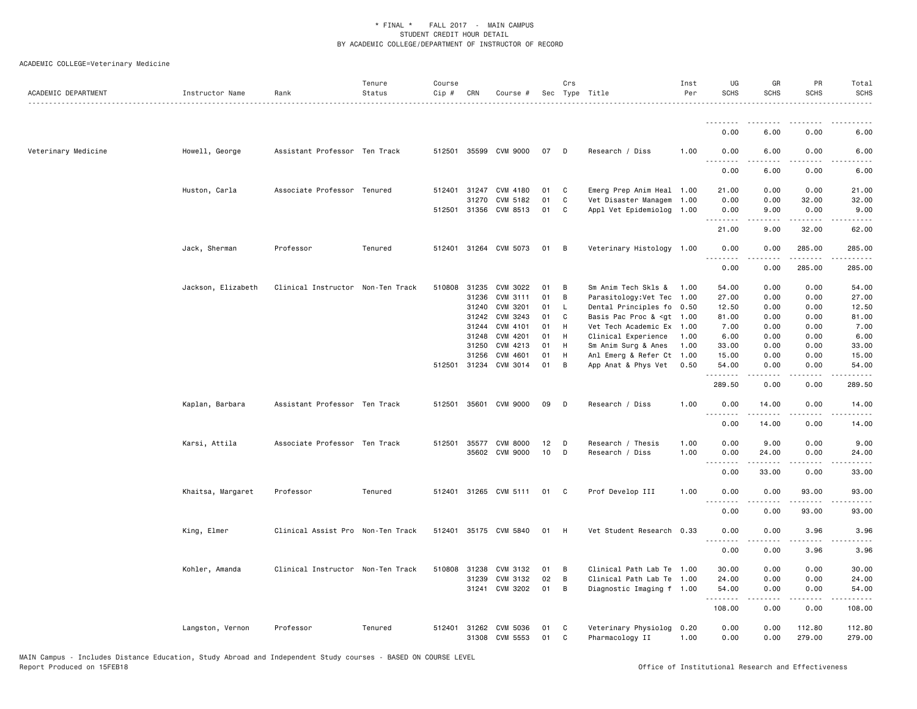| ACADEMIC DEPARTMENT | Instructor Name    | Rank                              | Tenure<br>Status | Course<br>Cip # | CRN                   | Course #                                |          | Crs    | Sec Type Title                                                                                           | Inst<br>Per  | UG<br><b>SCHS</b>     | GR<br><b>SCHS</b>                                                                                                                                    | PR<br><b>SCHS</b>    | Total<br><b>SCHS</b>        |
|---------------------|--------------------|-----------------------------------|------------------|-----------------|-----------------------|-----------------------------------------|----------|--------|----------------------------------------------------------------------------------------------------------|--------------|-----------------------|------------------------------------------------------------------------------------------------------------------------------------------------------|----------------------|-----------------------------|
|                     |                    |                                   |                  |                 |                       |                                         |          |        |                                                                                                          |              | --------              |                                                                                                                                                      |                      |                             |
|                     |                    |                                   |                  |                 |                       |                                         |          |        |                                                                                                          |              | 0.00                  | 6.00                                                                                                                                                 | 0.00                 | 6.00                        |
| Veterinary Medicine | Howell, George     | Assistant Professor Ten Track     |                  |                 |                       | 512501 35599 CVM 9000                   | 07       | D      | Research / Diss                                                                                          | 1.00         | 0.00                  | 6.00                                                                                                                                                 | 0.00                 | 6.00                        |
|                     |                    |                                   |                  |                 |                       |                                         |          |        |                                                                                                          |              | 0.00                  | 6.00                                                                                                                                                 | 0.00                 | 6.00                        |
|                     | Huston, Carla      | Associate Professor Tenured       |                  |                 |                       | 512401 31247 CVM 4180                   | 01       | C      | Emerg Prep Anim Heal 1.00                                                                                |              | 21.00                 | 0.00                                                                                                                                                 | 0.00                 | 21.00                       |
|                     |                    |                                   |                  |                 | 31270<br>512501 31356 | CVM 5182<br>CVM 8513                    | 01<br>01 | C<br>C | Vet Disaster Managem<br>Appl Vet Epidemiolog                                                             | 1.00<br>1.00 | 0.00<br>0.00          | 0.00<br>9.00                                                                                                                                         | 32.00<br>0.00        | 32.00<br>9.00               |
|                     |                    |                                   |                  |                 |                       |                                         |          |        |                                                                                                          |              |                       | $\frac{1}{2} \left( \frac{1}{2} \right) \left( \frac{1}{2} \right) \left( \frac{1}{2} \right) \left( \frac{1}{2} \right) \left( \frac{1}{2} \right)$ | ------               | $\sim$ $\sim$ $\sim$ $\sim$ |
|                     |                    |                                   |                  |                 |                       |                                         |          |        |                                                                                                          |              | 21.00                 | 9.00                                                                                                                                                 | 32.00                | 62.00                       |
|                     | Jack, Sherman      | Professor                         | Tenured          |                 |                       | 512401 31264 CVM 5073                   | 01       | B      | Veterinary Histology 1.00                                                                                |              | 0.00<br>.             | 0.00<br>.                                                                                                                                            | 285.00<br>.          | 285.00<br>.                 |
|                     |                    |                                   |                  |                 |                       |                                         |          |        |                                                                                                          |              | 0.00                  | 0.00                                                                                                                                                 | 285.00               | 285.00                      |
|                     | Jackson, Elizabeth | Clinical Instructor Non-Ten Track |                  | 510808          | 31235                 | CVM 3022                                | 01       | B      | Sm Anim Tech Skls &                                                                                      | 1.00         | 54.00                 | 0.00                                                                                                                                                 | 0.00                 | 54.00                       |
|                     |                    |                                   |                  |                 | 31236                 | CVM 3111                                | 01       | B      | Parasitology:Vet Tec                                                                                     | 1.00         | 27.00                 | 0.00                                                                                                                                                 | 0.00                 | 27.00                       |
|                     |                    |                                   |                  |                 | 31240                 | CVM 3201                                | 01       | L.     | Dental Principles fo 0.50                                                                                |              | 12.50                 | 0.00                                                                                                                                                 | 0.00                 | 12.50                       |
|                     |                    |                                   |                  |                 | 31242                 | CVM 3243                                | 01       | C      | Basis Pac Proc & <gt 1.00<="" td=""><td></td><td>81.00</td><td>0.00</td><td>0.00</td><td>81.00</td></gt> |              | 81.00                 | 0.00                                                                                                                                                 | 0.00                 | 81.00                       |
|                     |                    |                                   |                  |                 | 31244                 | CVM 4101                                | 01       | H      | Vet Tech Academic Ex 1.00                                                                                |              | 7.00                  | 0.00                                                                                                                                                 | 0.00                 | 7.00                        |
|                     |                    |                                   |                  |                 | 31248                 | CVM 4201                                | 01       | H      | Clinical Experience                                                                                      | 1.00         | 6.00                  | 0.00                                                                                                                                                 | 0.00                 | 6.00                        |
|                     |                    |                                   |                  |                 | 31250                 | CVM 4213                                | 01       | H      | Sm Anim Surg & Anes                                                                                      | 1.00         | 33.00                 | 0.00                                                                                                                                                 | 0.00                 | 33.00                       |
|                     |                    |                                   |                  |                 | 31256                 | CVM 4601                                | 01       | H      | Anl Emerg & Refer Ct                                                                                     | 1.00         | 15.00                 | 0.00                                                                                                                                                 | 0.00                 | 15.00                       |
|                     |                    |                                   |                  | 512501          | 31234                 | CVM 3014                                | 01       | B      | App Anat & Phys Vet                                                                                      | 0.50         | 54.00<br>.            | 0.00                                                                                                                                                 | 0.00                 | 54.00                       |
|                     |                    |                                   |                  |                 |                       |                                         |          |        |                                                                                                          |              | 289.50                | 0.00                                                                                                                                                 | 0.00                 | 289.50                      |
|                     | Kaplan, Barbara    | Assistant Professor Ten Track     |                  | 512501          |                       | 35601 CVM 9000                          | 09       | D      | Research / Diss                                                                                          | 1.00         | 0.00<br>.             | 14.00<br>$- - - - -$                                                                                                                                 | 0.00<br>$- - - -$    | 14.00<br>.                  |
|                     |                    |                                   |                  |                 |                       |                                         |          |        |                                                                                                          |              | 0.00                  | 14.00                                                                                                                                                | 0.00                 | 14.00                       |
|                     | Karsi, Attila      | Associate Professor Ten Track     |                  | 512501          | 35577                 | <b>CVM 8000</b>                         | 12       | D      | Research / Thesis                                                                                        | 1.00         | 0.00                  | 9.00                                                                                                                                                 | 0.00                 | 9.00                        |
|                     |                    |                                   |                  |                 |                       | 35602 CVM 9000                          | 10       | D      | Research / Diss                                                                                          | 1.00         | 0.00                  | 24.00                                                                                                                                                | 0.00                 | 24.00                       |
|                     |                    |                                   |                  |                 |                       |                                         |          |        |                                                                                                          |              |                       | د د د د د                                                                                                                                            | .                    | .                           |
|                     |                    |                                   |                  |                 |                       |                                         |          |        |                                                                                                          |              | 0.00                  | 33.00                                                                                                                                                | 0.00                 | 33.00                       |
|                     | Khaitsa, Margaret  | Professor                         | Tenured          |                 |                       | 512401 31265 CVM 5111                   | 01       | C      | Prof Develop III                                                                                         | 1.00         | 0.00<br>$\frac{1}{2}$ | 0.00<br>.                                                                                                                                            | 93.00<br>$- - - - -$ | 93.00<br>.                  |
|                     |                    |                                   |                  |                 |                       |                                         |          |        |                                                                                                          |              | 0.00                  | 0.00                                                                                                                                                 | 93.00                | 93.00                       |
|                     | King, Elmer        | Clinical Assist Pro Non-Ten Track |                  | 512401          |                       | 35175 CVM 5840                          | 01       | H      | Vet Student Research                                                                                     | 0.33         | 0.00                  | 0.00                                                                                                                                                 | 3.96                 | 3.96                        |
|                     |                    |                                   |                  |                 |                       |                                         |          |        |                                                                                                          |              | 0.00                  | 0.00                                                                                                                                                 | 3.96                 | 3.96                        |
|                     | Kohler, Amanda     | Clinical Instructor Non-Ten Track |                  |                 | 510808 31238          | CVM 3132                                | 01       | B      | Clinical Path Lab Te 1.00                                                                                |              | 30.00                 | 0.00                                                                                                                                                 | 0.00                 | 30.00                       |
|                     |                    |                                   |                  |                 | 31239                 | CVM 3132                                | 02       | B      | Clinical Path Lab Te 1.00                                                                                |              | 24.00                 | 0.00                                                                                                                                                 | 0.00                 | 24.00                       |
|                     |                    |                                   |                  |                 | 31241                 | CVM 3202                                | 01       | B      | Diagnostic Imaging f 1.00                                                                                |              | 54.00                 | 0.00                                                                                                                                                 | 0.00                 | 54.00                       |
|                     |                    |                                   |                  |                 |                       |                                         |          |        |                                                                                                          |              | .<br>108.00           | <b>.</b><br>0.00                                                                                                                                     | .<br>0.00            | .<br>108.00                 |
|                     |                    |                                   |                  |                 |                       |                                         |          |        |                                                                                                          |              |                       |                                                                                                                                                      |                      |                             |
|                     | Langston, Vernon   | Professor                         | Tenured          |                 |                       | 512401 31262 CVM 5036<br>31308 CVM 5553 | 01<br>01 | C<br>C | Veterinary Physiolog<br>Pharmacology II                                                                  | 0.20<br>1.00 | 0.00<br>0.00          | 0.00<br>0.00                                                                                                                                         | 112.80<br>279.00     | 112.80<br>279.00            |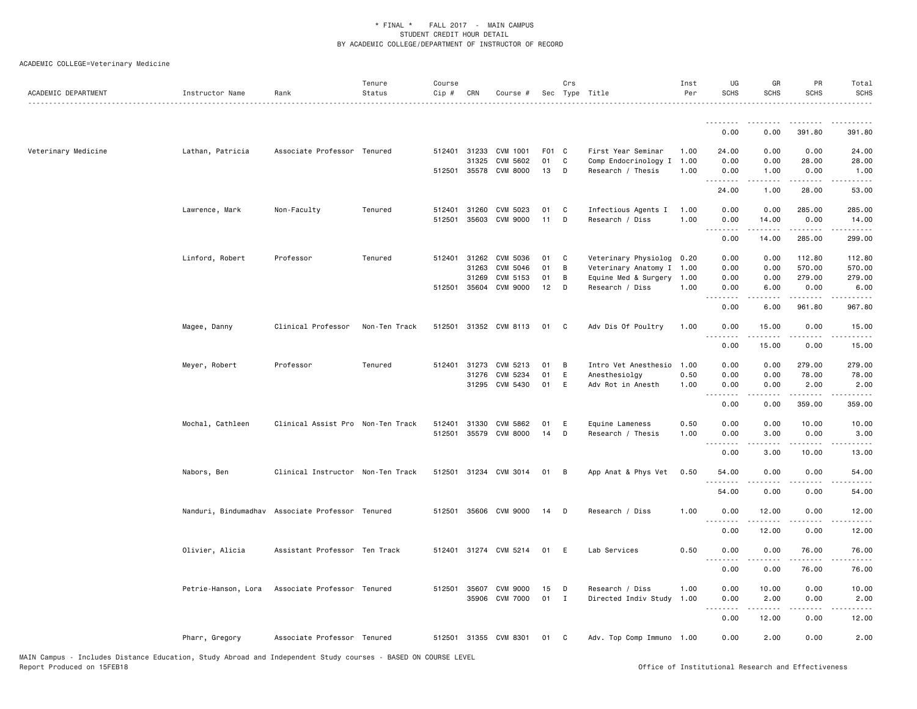| ACADEMIC DEPARTMENT | Instructor Name     | Rank                                             | Tenure<br>Status | Course<br>Cip # | CRN          | Course #              |       | Crs                     | Sec Type Title            | Inst<br>Per | UG<br><b>SCHS</b>                           | GR<br><b>SCHS</b>     | PR<br><b>SCHS</b>                                                                                                                                    | Total<br><b>SCHS</b>                                                                                                                                 |
|---------------------|---------------------|--------------------------------------------------|------------------|-----------------|--------------|-----------------------|-------|-------------------------|---------------------------|-------------|---------------------------------------------|-----------------------|------------------------------------------------------------------------------------------------------------------------------------------------------|------------------------------------------------------------------------------------------------------------------------------------------------------|
|                     |                     |                                                  |                  |                 |              |                       |       |                         |                           |             |                                             |                       |                                                                                                                                                      |                                                                                                                                                      |
|                     |                     |                                                  |                  |                 |              |                       |       |                         |                           |             | 0.00                                        | 0.00                  | 391.80                                                                                                                                               | 391.80                                                                                                                                               |
| Veterinary Medicine | Lathan, Patricia    | Associate Professor Tenured                      |                  |                 | 512401 31233 | CVM 1001              | F01 C |                         | First Year Seminar        | 1.00        | 24.00                                       | 0.00                  | 0.00                                                                                                                                                 | 24.00                                                                                                                                                |
|                     |                     |                                                  |                  |                 | 31325        | CVM 5602              | 01    | C                       | Comp Endocrinology I 1.00 |             | 0.00                                        | 0.00                  | 28.00                                                                                                                                                | 28.00                                                                                                                                                |
|                     |                     |                                                  |                  |                 |              | 512501 35578 CVM 8000 | 13    | D                       | Research / Thesis         | 1.00        | 0.00                                        | 1.00                  | 0.00                                                                                                                                                 | 1.00                                                                                                                                                 |
|                     |                     |                                                  |                  |                 |              |                       |       |                         |                           |             | .<br>24.00                                  | . <u>.</u><br>1.00    | .<br>28.00                                                                                                                                           | .<br>53.00                                                                                                                                           |
|                     | Lawrence, Mark      | Non-Faculty                                      | Tenured          |                 | 512401 31260 | CVM 5023              | 01    | $\mathbf{C}$            | Infectious Agents I       | 1.00        | 0.00                                        | 0.00                  | 285.00                                                                                                                                               | 285.00                                                                                                                                               |
|                     |                     |                                                  |                  |                 | 512501 35603 | CVM 9000              | 11    | D                       | Research / Diss           | 1.00        | 0.00                                        | 14.00                 | 0.00                                                                                                                                                 | 14.00                                                                                                                                                |
|                     |                     |                                                  |                  |                 |              |                       |       |                         |                           |             | .                                           |                       |                                                                                                                                                      | .                                                                                                                                                    |
|                     |                     |                                                  |                  |                 |              |                       |       |                         |                           |             | 0.00                                        | 14.00                 | 285.00                                                                                                                                               | 299.00                                                                                                                                               |
|                     | Linford, Robert     | Professor                                        | Tenured          |                 | 512401 31262 | CVM 5036              | 01    | $\mathbf{C}$            | Veterinary Physiolog 0.20 |             | 0.00                                        | 0.00                  | 112.80                                                                                                                                               | 112.80                                                                                                                                               |
|                     |                     |                                                  |                  |                 | 31263        | CVM 5046              | 01    | B                       | Veterinary Anatomy I 1.00 |             | 0.00                                        | 0.00                  | 570.00                                                                                                                                               | 570.00                                                                                                                                               |
|                     |                     |                                                  |                  |                 | 31269        | CVM 5153              | 01    | B                       | Equine Med & Surgery 1.00 |             | 0.00                                        | 0.00                  | 279.00                                                                                                                                               | 279.00                                                                                                                                               |
|                     |                     |                                                  |                  |                 | 512501 35604 | <b>CVM 9000</b>       | 12    | D                       | Research / Diss           | 1.00        | 0.00<br>.                                   | 6.00                  | 0.00<br>.                                                                                                                                            | 6.00<br>.                                                                                                                                            |
|                     |                     |                                                  |                  |                 |              |                       |       |                         |                           |             | 0.00                                        | 6.00                  | 961.80                                                                                                                                               | 967.80                                                                                                                                               |
|                     | Magee, Danny        | Clinical Professor                               | Non-Ten Track    |                 |              | 512501 31352 CVM 8113 | 01    | $\overline{\mathbf{C}}$ | Adv Dis Of Poultry        | 1.00        | 0.00                                        | 15.00                 | 0.00                                                                                                                                                 | 15.00                                                                                                                                                |
|                     |                     |                                                  |                  |                 |              |                       |       |                         |                           |             | $\sim$ $\sim$ $\sim$<br>$- - - - -$<br>0.00 | .<br>15.00            | .<br>0.00                                                                                                                                            | .<br>15.00                                                                                                                                           |
|                     |                     |                                                  |                  |                 |              |                       |       |                         |                           |             |                                             |                       |                                                                                                                                                      |                                                                                                                                                      |
|                     | Meyer, Robert       | Professor                                        | Tenured          |                 | 512401 31273 | CVM 5213              | 01    | $\overline{B}$          | Intro Vet Anesthesio 1.00 |             | 0.00                                        | 0.00                  | 279.00                                                                                                                                               | 279.00                                                                                                                                               |
|                     |                     |                                                  |                  |                 | 31276        | CVM 5234              | 01    | E                       | Anesthesiolgy             | 0.50        | 0.00                                        | 0.00                  | 78.00                                                                                                                                                | 78.00                                                                                                                                                |
|                     |                     |                                                  |                  |                 |              | 31295 CVM 5430        | 01    | E                       | Adv Rot in Anesth         | 1.00        | 0.00<br>$\sim$ $\sim$ $\sim$                | 0.00                  | 2.00                                                                                                                                                 | 2.00                                                                                                                                                 |
|                     |                     |                                                  |                  |                 |              |                       |       |                         |                           |             | 0.00                                        | 0.00                  | 359.00                                                                                                                                               | 359.00                                                                                                                                               |
|                     | Mochal, Cathleen    | Clinical Assist Pro Non-Ten Track                |                  |                 | 512401 31330 | CVM 5862              | 01    | E                       | Equine Lameness           | 0.50        | 0.00                                        | 0.00                  | 10.00                                                                                                                                                | 10.00                                                                                                                                                |
|                     |                     |                                                  |                  | 512501          |              | 35579 CVM 8000        | 14    | D                       | Research / Thesis         | 1.00        | 0.00                                        | 3.00                  | 0.00                                                                                                                                                 | 3.00                                                                                                                                                 |
|                     |                     |                                                  |                  |                 |              |                       |       |                         |                           |             | .<br>$\sim$ $\sim$ $\sim$                   | .                     | $\frac{1}{2} \left( \frac{1}{2} \right) \left( \frac{1}{2} \right) \left( \frac{1}{2} \right) \left( \frac{1}{2} \right) \left( \frac{1}{2} \right)$ | $\frac{1}{2} \left( \frac{1}{2} \right) \left( \frac{1}{2} \right) \left( \frac{1}{2} \right) \left( \frac{1}{2} \right) \left( \frac{1}{2} \right)$ |
|                     |                     |                                                  |                  |                 |              |                       |       |                         |                           |             | 0.00                                        | 3.00                  | 10.00                                                                                                                                                | 13.00                                                                                                                                                |
|                     | Nabors, Ben         | Clinical Instructor Non-Ten Track                |                  |                 |              | 512501 31234 CVM 3014 | 01    | $\overline{B}$          | App Anat & Phys Vet       | 0.50        | 54.00                                       | 0.00                  | 0.00                                                                                                                                                 | 54.00                                                                                                                                                |
|                     |                     |                                                  |                  |                 |              |                       |       |                         |                           |             | .<br>54.00                                  | .<br>0.00             | .<br>0.00                                                                                                                                            | .<br>54.00                                                                                                                                           |
|                     |                     | Nanduri, Bindumadhav Associate Professor Tenured |                  |                 |              | 512501 35606 CVM 9000 | 14    | $\Box$                  | Research / Diss           | 1.00        | 0.00                                        | 12.00                 | 0.00                                                                                                                                                 | 12.00                                                                                                                                                |
|                     |                     |                                                  |                  |                 |              |                       |       |                         |                           |             | $\sim$ $\sim$ $\sim$<br>-----               | .                     | .                                                                                                                                                    | .                                                                                                                                                    |
|                     |                     |                                                  |                  |                 |              |                       |       |                         |                           |             | 0.00                                        | 12.00                 | 0.00                                                                                                                                                 | 12.00                                                                                                                                                |
|                     | Olivier, Alicia     | Assistant Professor Ten Track                    |                  |                 |              | 512401 31274 CVM 5214 | 01    | - E                     | Lab Services              | 0.50        | 0.00<br>$\frac{1}{2}$<br>$  -$              | 0.00<br>$\frac{1}{2}$ | 76.00<br>.                                                                                                                                           | 76.00<br>.                                                                                                                                           |
|                     |                     |                                                  |                  |                 |              |                       |       |                         |                           |             | 0.00                                        | 0.00                  | 76.00                                                                                                                                                | 76.00                                                                                                                                                |
|                     | Petrie-Hanson, Lora | Associate Professor Tenured                      |                  |                 | 512501 35607 | CVM 9000              | 15    | $\mathsf{D}$            | Research / Diss           | 1.00        | 0.00                                        | 10.00                 | 0.00                                                                                                                                                 | 10.00                                                                                                                                                |
|                     |                     |                                                  |                  |                 |              | 35906 CVM 7000        | 01    | $\mathbf{I}$            | Directed Indiv Study      | 1.00        | 0.00                                        | 2.00                  | 0.00                                                                                                                                                 | 2.00                                                                                                                                                 |
|                     |                     |                                                  |                  |                 |              |                       |       |                         |                           |             |                                             |                       |                                                                                                                                                      |                                                                                                                                                      |
|                     |                     |                                                  |                  |                 |              |                       |       |                         |                           |             | 0.00                                        | 12.00                 | 0.00                                                                                                                                                 | 12.00                                                                                                                                                |
|                     | Pharr, Gregory      | Associate Professor Tenured                      |                  |                 |              | 512501 31355 CVM 8301 | 01    | $\mathbf{C}$            | Adv. Top Comp Immuno 1.00 |             | 0.00                                        | 2.00                  | 0.00                                                                                                                                                 | 2.00                                                                                                                                                 |
|                     |                     |                                                  |                  |                 |              |                       |       |                         |                           |             |                                             |                       |                                                                                                                                                      |                                                                                                                                                      |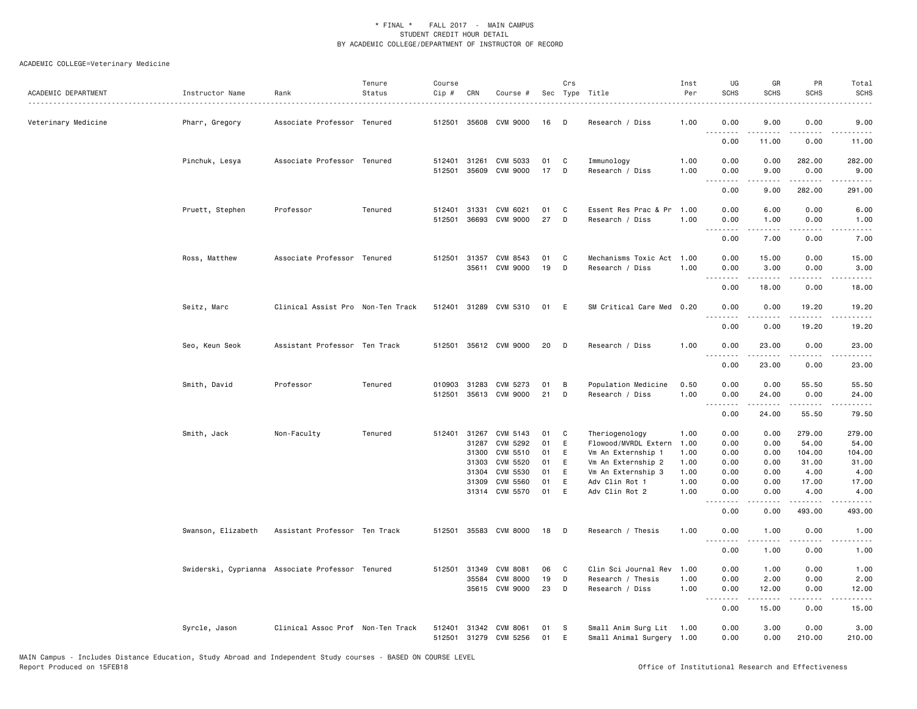| ACADEMIC DEPARTMENT | Instructor Name                                  | Rank                              | Tenure<br>Status | Course<br>Cip #  | CRN                   | Course #                                |          | Crs      | Sec Type Title                                        | Inst<br>Per  | UG<br><b>SCHS</b>                                                                                                                                            | GR<br><b>SCHS</b>   | PR<br><b>SCHS</b>                    | Total<br><b>SCHS</b> |
|---------------------|--------------------------------------------------|-----------------------------------|------------------|------------------|-----------------------|-----------------------------------------|----------|----------|-------------------------------------------------------|--------------|--------------------------------------------------------------------------------------------------------------------------------------------------------------|---------------------|--------------------------------------|----------------------|
| Veterinary Medicine | Pharr, Gregory                                   | Associate Professor Tenured       |                  |                  |                       | 512501 35608 CVM 9000                   | 16       | - D      | Research / Diss                                       | 1.00         | 0.00                                                                                                                                                         | 9.00                | 0.00                                 | 9.00<br>.            |
|                     |                                                  |                                   |                  |                  |                       |                                         |          |          |                                                       |              | 0.00                                                                                                                                                         | 11.00               | 0.00                                 | 11.00                |
|                     | Pinchuk, Lesya                                   | Associate Professor Tenured       |                  |                  | 512401 31261          | CVM 5033<br>512501 35609 CVM 9000       | 01<br>17 | C<br>D   | Immunology<br>Research / Diss                         | 1.00<br>1.00 | 0.00<br>0.00                                                                                                                                                 | 0.00<br>9.00        | 282.00<br>0.00                       | 282.00<br>9.00       |
|                     |                                                  |                                   |                  |                  |                       |                                         |          |          |                                                       |              | .<br>0.00                                                                                                                                                    | .<br>9.00           | .<br>282.00                          | .<br>291.00          |
|                     | Pruett, Stephen                                  | Professor                         | Tenured          | 512501           | 36693                 | 512401 31331 CVM 6021<br>CVM 9000       | 01<br>27 | C<br>D   | Essent Res Prac & Pr 1.00<br>Research / Diss          | 1.00         | 0.00<br>0.00                                                                                                                                                 | 6.00<br>1.00        | 0.00<br>0.00                         | 6.00<br>1.00         |
|                     |                                                  |                                   |                  |                  |                       |                                         |          |          |                                                       |              | .<br>0.00                                                                                                                                                    | .<br>7.00           | .<br>0.00                            | .<br>7.00            |
|                     | Ross, Matthew                                    | Associate Professor Tenured       |                  |                  |                       | 512501 31357 CVM 8543<br>35611 CVM 9000 | 01<br>19 | C<br>D   | Mechanisms Toxic Act 1.00<br>Research / Diss          | 1.00         | 0.00<br>0.00                                                                                                                                                 | 15.00<br>3.00       | 0.00<br>0.00                         | 15.00<br>3.00        |
|                     |                                                  |                                   |                  |                  |                       |                                         |          |          |                                                       |              | <u>.</u><br>0.00                                                                                                                                             | . <u>.</u><br>18.00 | .<br>0.00                            | .<br>18.00           |
|                     | Seitz, Marc                                      | Clinical Assist Pro Non-Ten Track |                  |                  |                       | 512401 31289 CVM 5310                   | 01       | - E      | SM Critical Care Med 0.20                             |              | 0.00                                                                                                                                                         | 0.00                | 19.20<br>$\sim$ $\sim$ $\sim$ $\sim$ | 19.20                |
|                     |                                                  |                                   |                  |                  |                       |                                         |          |          |                                                       |              | 0.00                                                                                                                                                         | 0.00                | 19.20                                | 19.20                |
|                     | Seo, Keun Seok                                   | Assistant Professor Ten Track     |                  |                  |                       | 512501 35612 CVM 9000                   | 20       | D        | Research / Diss                                       | 1.00         | 0.00<br>.                                                                                                                                                    | 23.00<br>.          | 0.00<br>.                            | 23.00<br>.           |
|                     |                                                  |                                   |                  |                  |                       |                                         |          |          |                                                       |              | 0.00                                                                                                                                                         | 23.00               | 0.00                                 | 23.00                |
|                     | Smith, David                                     | Professor                         | Tenured          | 010903<br>512501 | 31283                 | CVM 5273<br>35613 CVM 9000              | 01<br>21 | В<br>D   | Population Medicine<br>Research / Diss                | 0.50<br>1.00 | 0.00<br>0.00                                                                                                                                                 | 0.00<br>24.00       | 55.50<br>0.00                        | 55.50<br>24.00       |
|                     |                                                  |                                   |                  |                  |                       |                                         |          |          |                                                       |              | 0.00                                                                                                                                                         | 24.00               | 55.50                                | 79.50                |
|                     | Smith, Jack                                      | Non-Faculty                       | Tenured          |                  | 512401 31267<br>31287 | CVM 5143<br>CVM 5292                    | 01<br>01 | C<br>E   | Theriogenology<br>Flowood/MVRDL Extern 1.00           | 1.00         | 0.00<br>0.00                                                                                                                                                 | 0.00<br>0.00        | 279.00<br>54.00                      | 279.00<br>54.00      |
|                     |                                                  |                                   |                  |                  | 31300<br>31303        | CVM 5510<br>CVM 5520                    | 01<br>01 | E<br>Ε   | Vm An Externship 1<br>Vm An Externship 2              | 1.00<br>1.00 | 0.00<br>0.00                                                                                                                                                 | 0.00<br>0.00        | 104.00<br>31.00                      | 104.00<br>31.00      |
|                     |                                                  |                                   |                  |                  | 31304                 | CVM 5530                                | 01       | E        | Vm An Externship 3                                    | 1.00         | 0.00                                                                                                                                                         | 0.00                | 4.00                                 | 4.00                 |
|                     |                                                  |                                   |                  |                  | 31309                 | CVM 5560                                | 01       | E        | Adv Clin Rot 1                                        | 1.00         | 0.00                                                                                                                                                         | 0.00                | 17.00                                | 17.00                |
|                     |                                                  |                                   |                  |                  |                       | 31314 CVM 5570                          | 01       | E        | Adv Clin Rot 2                                        | 1.00         | 0.00<br>$\frac{1}{2} \left( \frac{1}{2} \right) \left( \frac{1}{2} \right) \left( \frac{1}{2} \right) \left( \frac{1}{2} \right) \left( \frac{1}{2} \right)$ | 0.00<br>.           | 4.00<br>.                            | 4.00<br>.            |
|                     |                                                  |                                   |                  |                  |                       |                                         |          |          |                                                       |              | 0.00                                                                                                                                                         | 0.00                | 493.00                               | 493.00               |
|                     | Swanson, Elizabeth                               | Assistant Professor Ten Track     |                  | 512501           |                       | 35583 CVM 8000                          | 18       | D        | Research / Thesis                                     | 1.00         | 0.00                                                                                                                                                         | 1.00                | 0.00                                 | 1.00                 |
|                     |                                                  |                                   |                  |                  |                       |                                         |          |          |                                                       |              | 0.00                                                                                                                                                         | 1.00                | 0.00                                 | 1.00                 |
|                     | Swiderski, Cyprianna Associate Professor Tenured |                                   |                  |                  |                       | 512501 31349 CVM 8081                   | 06       | C        | Clin Sci Journal Rev                                  | 1.00         | 0.00                                                                                                                                                         | 1.00                | 0.00                                 | 1.00                 |
|                     |                                                  |                                   |                  |                  | 35584                 | <b>CVM 8000</b>                         | 19       | D        | Research / Thesis                                     | 1.00         | 0.00                                                                                                                                                         | 2.00                | 0.00                                 | 2.00                 |
|                     |                                                  |                                   |                  |                  |                       | 35615 CVM 9000                          | 23       | D        | Research / Diss                                       | 1.00         | 0.00                                                                                                                                                         | 12.00<br>.          | 0.00<br>.                            | 12.00<br>.           |
|                     |                                                  |                                   |                  |                  |                       |                                         |          |          |                                                       |              | 0.00                                                                                                                                                         | 15.00               | 0.00                                 | 15.00                |
|                     | Syrcle, Jason                                    | Clinical Assoc Prof Non-Ten Track |                  | 512401           |                       | 31342 CVM 8061<br>512501 31279 CVM 5256 | 01<br>01 | - S<br>E | Small Anim Surg Lit 1.00<br>Small Animal Surgery 1.00 |              | 0.00<br>0.00                                                                                                                                                 | 3.00<br>0.00        | 0.00<br>210.00                       | 3.00<br>210.00       |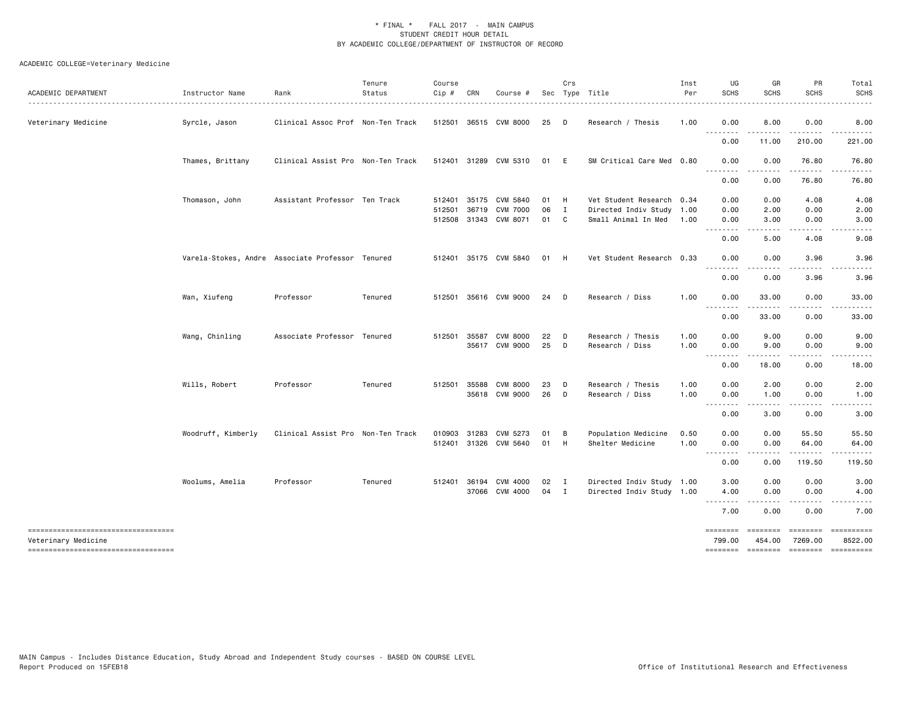| ACADEMIC DEPARTMENT                                       | Instructor Name    | Rank                                             | Tenure<br>Status | Course<br>Cip # | CRN          | Course #                    |            | Crs          | Sec Type Title                                         | Inst<br>Per | UG<br><b>SCHS</b>                       | GR<br><b>SCHS</b>        | PR<br><b>SCHS</b>   | Total<br><b>SCHS</b>                                                                                                                                                                                                                                                                                                                                                                                                                |
|-----------------------------------------------------------|--------------------|--------------------------------------------------|------------------|-----------------|--------------|-----------------------------|------------|--------------|--------------------------------------------------------|-------------|-----------------------------------------|--------------------------|---------------------|-------------------------------------------------------------------------------------------------------------------------------------------------------------------------------------------------------------------------------------------------------------------------------------------------------------------------------------------------------------------------------------------------------------------------------------|
| Veterinary Medicine                                       | Syrcle, Jason      | Clinical Assoc Prof Non-Ten Track                |                  |                 |              | 512501 36515 CVM 8000       | 25         | $\Box$       | Research / Thesis                                      | 1.00        | 0.00                                    | 8.00                     | 0.00                | 8.00                                                                                                                                                                                                                                                                                                                                                                                                                                |
|                                                           |                    |                                                  |                  |                 |              |                             |            |              |                                                        |             | - - - -<br>0.00                         | 11.00                    | .<br>210.00         | 221.00                                                                                                                                                                                                                                                                                                                                                                                                                              |
|                                                           | Thames, Brittany   | Clinical Assist Pro Non-Ten Track                |                  |                 |              | 512401 31289 CVM 5310       | 01 E       |              | SM Critical Care Med 0.80                              |             | 0.00                                    | 0.00                     | 76.80               | 76.80                                                                                                                                                                                                                                                                                                                                                                                                                               |
|                                                           |                    |                                                  |                  |                 |              |                             |            |              |                                                        |             | $- - -$<br>0.00                         | ----<br>0.00             | -----<br>76.80      | .<br>76.80                                                                                                                                                                                                                                                                                                                                                                                                                          |
|                                                           |                    |                                                  |                  |                 |              |                             |            |              |                                                        |             |                                         |                          |                     |                                                                                                                                                                                                                                                                                                                                                                                                                                     |
|                                                           | Thomason, John     | Assistant Professor Ten Track                    |                  |                 | 512401 35175 | CVM 5840<br><b>CVM 7000</b> | 01 H<br>06 | $\mathbf{I}$ | Vet Student Research 0.34<br>Directed Indiv Study 1.00 |             | 0.00<br>0.00                            | 0.00<br>2.00             | 4.08<br>0.00        | 4.08<br>2.00                                                                                                                                                                                                                                                                                                                                                                                                                        |
|                                                           |                    |                                                  |                  | 512501          | 36719        | 512508 31343 CVM 8071       | 01 C       |              | Small Animal In Med                                    | 1.00        | 0.00                                    | 3.00                     | 0.00                | 3.00                                                                                                                                                                                                                                                                                                                                                                                                                                |
|                                                           |                    |                                                  |                  |                 |              |                             |            |              |                                                        |             | -----<br>$\frac{1}{2}$                  | .                        | .                   |                                                                                                                                                                                                                                                                                                                                                                                                                                     |
|                                                           |                    |                                                  |                  |                 |              |                             |            |              |                                                        |             | 0.00                                    | 5.00                     | 4.08                | 9.08                                                                                                                                                                                                                                                                                                                                                                                                                                |
|                                                           |                    | Varela-Stokes, Andre Associate Professor Tenured |                  |                 |              | 512401 35175 CVM 5840       | 01 H       |              | Vet Student Research 0.33                              |             | 0.00<br>$\sim$ $\sim$ $\sim$<br>.       | 0.00<br>.                | 3.96<br>$\cdots$    | 3.96                                                                                                                                                                                                                                                                                                                                                                                                                                |
|                                                           |                    |                                                  |                  |                 |              |                             |            |              |                                                        |             | 0.00                                    | 0.00                     | 3.96                | 3.96                                                                                                                                                                                                                                                                                                                                                                                                                                |
|                                                           | Wan, Xiufeng       | Professor                                        | Tenured          | 512501          |              | 35616 CVM 9000              | 24         | $\Box$       | Research / Diss                                        | 1.00        | 0.00                                    | 33.00                    | 0.00                | 33.00                                                                                                                                                                                                                                                                                                                                                                                                                               |
|                                                           |                    |                                                  |                  |                 |              |                             |            |              |                                                        |             | .<br>$\sim$ $\sim$ .<br>0.00            | 33.00                    | 0.00                | 33.00                                                                                                                                                                                                                                                                                                                                                                                                                               |
|                                                           | Wang, Chinling     | Associate Professor Tenured                      |                  | 512501          | 35587        | <b>CVM 8000</b>             | 22         | $\mathsf{D}$ | Research / Thesis                                      | 1.00        | 0.00                                    | 9.00                     | 0.00                | 9.00                                                                                                                                                                                                                                                                                                                                                                                                                                |
|                                                           |                    |                                                  |                  |                 |              | 35617 CVM 9000              | 25         | $\Box$       | Research / Diss                                        | 1.00        | 0.00<br>$\sim$ $\sim$ $\sim$<br>- - - - | 9.00                     | 0.00<br>----        | 9.00                                                                                                                                                                                                                                                                                                                                                                                                                                |
|                                                           |                    |                                                  |                  |                 |              |                             |            |              |                                                        |             | 0.00                                    | 18.00                    | 0.00                | 18.00                                                                                                                                                                                                                                                                                                                                                                                                                               |
|                                                           | Wills, Robert      | Professor                                        | Tenured          |                 | 512501 35588 | <b>CVM 8000</b>             | 23         | D            | Research / Thesis                                      | 1.00        | 0.00                                    | 2.00                     | 0.00                | 2.00                                                                                                                                                                                                                                                                                                                                                                                                                                |
|                                                           |                    |                                                  |                  |                 |              | 35618 CVM 9000              | 26 D       |              | Research / Diss                                        | 1.00        | 0.00<br>$\sim$ $\sim$ .                 | 1.00                     | 0.00                | 1.00                                                                                                                                                                                                                                                                                                                                                                                                                                |
|                                                           |                    |                                                  |                  |                 |              |                             |            |              |                                                        |             | 0.00                                    | 3.00                     | 0.00                | 3.00                                                                                                                                                                                                                                                                                                                                                                                                                                |
|                                                           | Woodruff, Kimberly | Clinical Assist Pro Non-Ten Track                |                  | 010903          | 31283        | CVM 5273                    | 01         | B            | Population Medicine                                    | 0.50        | 0.00                                    | 0.00                     | 55.50               | 55.50                                                                                                                                                                                                                                                                                                                                                                                                                               |
|                                                           |                    |                                                  |                  |                 |              | 512401 31326 CVM 5640       | 01 H       |              | Shelter Medicine                                       | 1.00        | 0.00<br>.<br>$\sim$ $\sim$ $\sim$       | 0.00<br>د د د د          | 64.00<br>.          | 64.00<br>.                                                                                                                                                                                                                                                                                                                                                                                                                          |
|                                                           |                    |                                                  |                  |                 |              |                             |            |              |                                                        |             | 0.00                                    | 0.00                     | 119.50              | 119.50                                                                                                                                                                                                                                                                                                                                                                                                                              |
|                                                           | Woolums, Amelia    | Professor                                        | Tenured          |                 |              | 512401 36194 CVM 4000       | 02 I       |              | Directed Indiv Study 1.00                              |             | 3.00                                    | 0.00                     | 0.00                | 3.00                                                                                                                                                                                                                                                                                                                                                                                                                                |
|                                                           |                    |                                                  |                  |                 |              | 37066 CVM 4000              | 04         | $\mathbf{I}$ | Directed Indiv Study 1.00                              |             | 4.00                                    | 0.00<br>----             | 0.00                | 4.00                                                                                                                                                                                                                                                                                                                                                                                                                                |
|                                                           |                    |                                                  |                  |                 |              |                             |            |              |                                                        |             | 7.00                                    | 0.00                     | 0.00                | 7.00                                                                                                                                                                                                                                                                                                                                                                                                                                |
| ----------------------------------<br>Veterinary Medicine |                    |                                                  |                  |                 |              |                             |            |              |                                                        |             | <b>ESSESSES</b><br>799.00               | <b>EEEEEEE</b><br>454.00 | ========<br>7269.00 | ==========<br>8522.00                                                                                                                                                                                                                                                                                                                                                                                                               |
| -----------------------------------                       |                    |                                                  |                  |                 |              |                             |            |              |                                                        |             | ========                                | $=$ ========             | $= 1.1222222222$    | $\begin{minipage}{0.9\linewidth} \hspace*{-0.2cm} \textbf{1} & \textbf{2} & \textbf{3} & \textbf{5} & \textbf{6} & \textbf{7} & \textbf{8} \\ \textbf{5} & \textbf{6} & \textbf{7} & \textbf{8} & \textbf{8} & \textbf{8} & \textbf{8} & \textbf{8} \\ \textbf{6} & \textbf{8} & \textbf{8} & \textbf{8} & \textbf{8} & \textbf{8} & \textbf{8} & \textbf{8} & \textbf{8} \\ \textbf{7} & \textbf{8} & \textbf{8} & \textbf{8} & \$ |